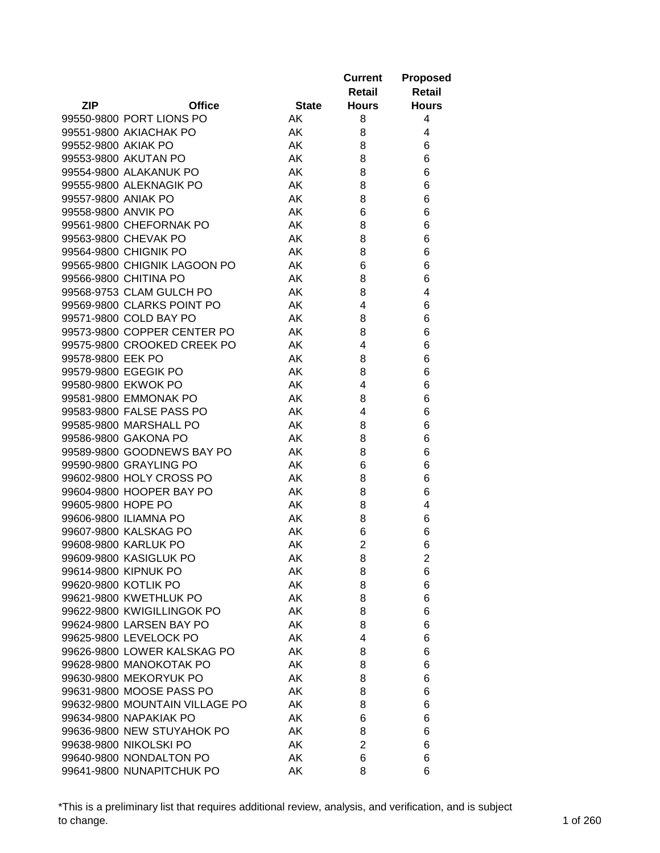|                     |                                |              | <b>Current</b><br>Retail | <b>Proposed</b><br><b>Retail</b> |
|---------------------|--------------------------------|--------------|--------------------------|----------------------------------|
| <b>ZIP</b>          | <b>Office</b>                  | <b>State</b> | <b>Hours</b>             | <b>Hours</b>                     |
|                     | 99550-9800 PORT LIONS PO       | AK           | 8                        | 4                                |
|                     | 99551-9800 AKIACHAK PO         | AK           | 8                        | 4                                |
| 99552-9800 AKIAK PO |                                | AK           | 8                        | 6                                |
|                     | 99553-9800 AKUTAN PO           | AK           | 8                        | 6                                |
|                     | 99554-9800 ALAKANUK PO         | AK           | 8                        | 6                                |
|                     | 99555-9800 ALEKNAGIK PO        | AK           | 8                        | 6                                |
| 99557-9800 ANIAK PO |                                | AK           | 8                        | 6                                |
| 99558-9800 ANVIK PO |                                | AK           | 6                        | 6                                |
|                     | 99561-9800 CHEFORNAK PO        | AK           | 8                        | 6                                |
|                     | 99563-9800 CHEVAK PO           | AK           | 8                        | 6                                |
|                     | 99564-9800 CHIGNIK PO          | AK           | 8                        | 6                                |
|                     | 99565-9800 CHIGNIK LAGOON PO   | AK           | 6                        | 6                                |
|                     | 99566-9800 CHITINA PO          | AK           | 8                        | 6                                |
|                     | 99568-9753 CLAM GULCH PO       | AK           | 8                        | 4                                |
|                     | 99569-9800 CLARKS POINT PO     | AK           | 4                        | 6                                |
|                     | 99571-9800 COLD BAY PO         | AK           | 8                        | 6                                |
|                     | 99573-9800 COPPER CENTER PO    | AK           | 8                        | 6                                |
|                     | 99575-9800 CROOKED CREEK PO    | AK           | 4                        | 6                                |
| 99578-9800 EEK PO   |                                | AK           | 8                        | 6                                |
|                     | 99579-9800 EGEGIK PO           | AK           | 8                        | 6                                |
|                     | 99580-9800 EKWOK PO            | AK           | 4                        | 6                                |
|                     | 99581-9800 EMMONAK PO          | AK           | 8                        | 6                                |
|                     | 99583-9800 FALSE PASS PO       | AK           | 4                        | 6                                |
|                     | 99585-9800 MARSHALL PO         | AK           | 8                        | 6                                |
|                     | 99586-9800 GAKONA PO           | AK           | 8                        | 6                                |
|                     | 99589-9800 GOODNEWS BAY PO     | AK           | 8                        | 6                                |
|                     | 99590-9800 GRAYLING PO         | AK           | 6                        | 6                                |
|                     | 99602-9800 HOLY CROSS PO       | AK           | 8                        | 6                                |
|                     | 99604-9800 HOOPER BAY PO       | AK           | 8                        | 6                                |
| 99605-9800 HOPE PO  |                                | AK           | 8                        | 4                                |
|                     | 99606-9800 ILIAMNA PO          | AK           | 8                        | 6                                |
|                     | 99607-9800 KALSKAG PO          | AK           | 6                        | 6                                |
|                     | 99608-9800 KARLUK PO           | AK           | $\overline{2}$           | 6                                |
|                     | 99609-9800 KASIGLUK PO         | AK           | 8                        | 2                                |
|                     | 99614-9800 KIPNUK PO           | AK           | 8                        | 6                                |
|                     | 99620-9800 KOTLIK PO           | AK           | 8                        | 6                                |
|                     | 99621-9800 KWETHLUK PO         | AK           | 8                        | 6                                |
|                     | 99622-9800 KWIGILLINGOK PO     | AK           | 8                        | 6                                |
|                     | 99624-9800 LARSEN BAY PO       | AK           | 8                        | 6                                |
|                     | 99625-9800 LEVELOCK PO         | AK           | 4                        | 6                                |
|                     | 99626-9800 LOWER KALSKAG PO    | AK           | 8                        | 6                                |
|                     | 99628-9800 MANOKOTAK PO        | AK           | 8                        | 6                                |
|                     | 99630-9800 MEKORYUK PO         | AK           | 8                        | 6                                |
|                     | 99631-9800 MOOSE PASS PO       | AK           | 8                        | 6                                |
|                     | 99632-9800 MOUNTAIN VILLAGE PO | AK           | 8                        | 6                                |
|                     | 99634-9800 NAPAKIAK PO         | AK           | 6                        | 6                                |
|                     | 99636-9800 NEW STUYAHOK PO     | AK           | 8                        | 6                                |
|                     | 99638-9800 NIKOLSKI PO         | AK           | 2                        | 6                                |
|                     | 99640-9800 NONDALTON PO        | AK           | 6                        | 6                                |
|                     | 99641-9800 NUNAPITCHUK PO      | AK           | 8                        | 6                                |

\*This is a preliminary list that requires additional review, analysis, and verification, and is subject to change. 1 of 260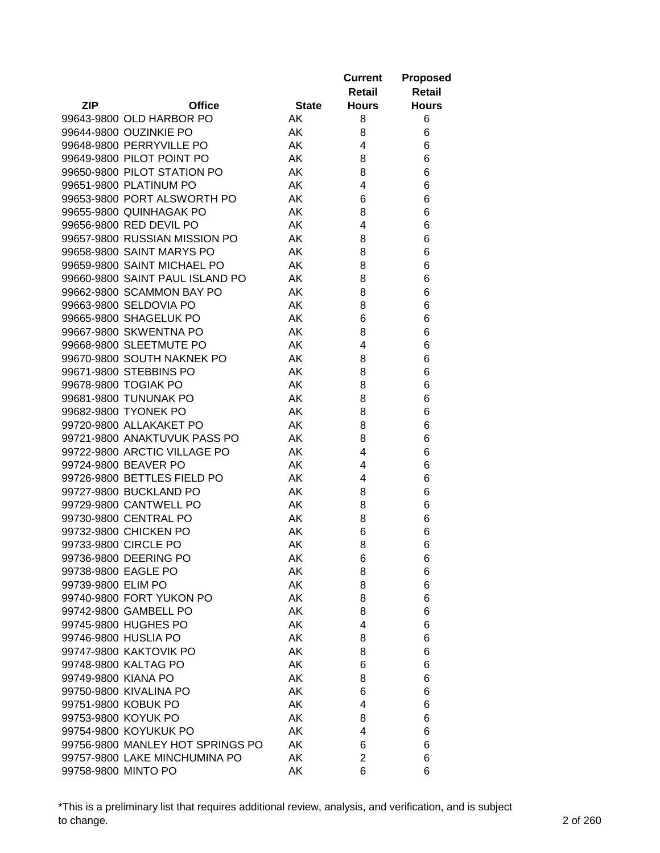|                     |                                  |              | <b>Current</b><br>Retail | <b>Proposed</b><br><b>Retail</b> |
|---------------------|----------------------------------|--------------|--------------------------|----------------------------------|
| <b>ZIP</b>          | <b>Office</b>                    | <b>State</b> | <b>Hours</b>             | <b>Hours</b>                     |
|                     | 99643-9800 OLD HARBOR PO         | AK.          | 8                        | 6                                |
|                     | 99644-9800 OUZINKIE PO           | AK           | 8                        | 6                                |
|                     | 99648-9800 PERRYVILLE PO         | AK           | 4                        | 6                                |
|                     | 99649-9800 PILOT POINT PO        | AK           | 8                        | 6                                |
|                     | 99650-9800 PILOT STATION PO      | AK           | 8                        | 6                                |
|                     | 99651-9800 PLATINUM PO           | AK           | 4                        | 6                                |
|                     | 99653-9800 PORT ALSWORTH PO      | AK           | 6                        | 6                                |
|                     | 99655-9800 QUINHAGAK PO          | AK           | 8                        | 6                                |
|                     | 99656-9800 RED DEVIL PO          | AK           | 4                        | 6                                |
|                     | 99657-9800 RUSSIAN MISSION PO    | AK           | 8                        | 6                                |
|                     | 99658-9800 SAINT MARYS PO        | AK           | 8                        | 6                                |
|                     | 99659-9800 SAINT MICHAEL PO      | AK           | 8                        | 6                                |
|                     | 99660-9800 SAINT PAUL ISLAND PO  | AK           | 8                        | 6                                |
|                     | 99662-9800 SCAMMON BAY PO        | AK           | 8                        | 6                                |
|                     | 99663-9800 SELDOVIA PO           | AK           | 8                        | 6                                |
|                     | 99665-9800 SHAGELUK PO           | AK           | 6                        | 6                                |
|                     | 99667-9800 SKWENTNA PO           | AK           | 8                        | 6                                |
|                     | 99668-9800 SLEETMUTE PO          | AK           | 4                        | 6                                |
|                     | 99670-9800 SOUTH NAKNEK PO       | AK           | 8                        | 6                                |
|                     | 99671-9800 STEBBINS PO           | AK           | 8                        | 6                                |
|                     |                                  | AK           |                          |                                  |
|                     | 99678-9800 TOGIAK PO             |              | 8                        | 6                                |
|                     | 99681-9800 TUNUNAK PO            | AK           | 8                        | 6                                |
|                     | 99682-9800 TYONEK PO             | AK           | 8                        | 6                                |
|                     | 99720-9800 ALLAKAKET PO          | AK           | 8                        | 6                                |
|                     | 99721-9800 ANAKTUVUK PASS PO     | AK.          | 8                        | 6                                |
|                     | 99722-9800 ARCTIC VILLAGE PO     | AK.          | 4                        | 6                                |
|                     | 99724-9800 BEAVER PO             | AK           | 4                        | 6                                |
|                     | 99726-9800 BETTLES FIELD PO      | AK           | 4                        | 6                                |
|                     | 99727-9800 BUCKLAND PO           | AK           | 8                        | 6                                |
|                     | 99729-9800 CANTWELL PO           | AK           | 8                        | 6                                |
|                     | 99730-9800 CENTRAL PO            | AK           | 8                        | 6                                |
|                     | 99732-9800 CHICKEN PO            | AK           | 6                        | 6                                |
|                     | 99733-9800 CIRCLE PO             | AK           | 8                        | 6                                |
|                     | 99736-9800 DEERING PO            | AK           | 6                        | 6                                |
| 99738-9800 EAGLE PO |                                  | AK           | 8                        | 6                                |
| 99739-9800 ELIM PO  |                                  | AK           | 8                        | 6                                |
|                     | 99740-9800 FORT YUKON PO         | AK           | 8                        | 6                                |
|                     | 99742-9800 GAMBELL PO            | AK           | 8                        | 6                                |
|                     | 99745-9800 HUGHES PO             | AK           | 4                        | 6                                |
|                     | 99746-9800 HUSLIA PO             | AK           | 8                        | 6                                |
|                     | 99747-9800 KAKTOVIK PO           | AK           | 8                        | 6                                |
|                     | 99748-9800 KALTAG PO             | AK           | 6                        | 6                                |
| 99749-9800 KIANA PO |                                  | AK           | 8                        | 6                                |
|                     | 99750-9800 KIVALINA PO           | AK           | 6                        | 6                                |
| 99751-9800 KOBUK PO |                                  | AK           | 4                        | 6                                |
| 99753-9800 KOYUK PO |                                  | AK           | 8                        | 6                                |
|                     | 99754-9800 KOYUKUK PO            | AK           | 4                        | 6                                |
|                     | 99756-9800 MANLEY HOT SPRINGS PO | AK           | 6                        | 6                                |
|                     | 99757-9800 LAKE MINCHUMINA PO    | AK           | $\overline{c}$           | 6                                |
| 99758-9800 MINTO PO |                                  | AK           | 6                        | 6                                |

\*This is a preliminary list that requires additional review, analysis, and verification, and is subject to change. 2 of 260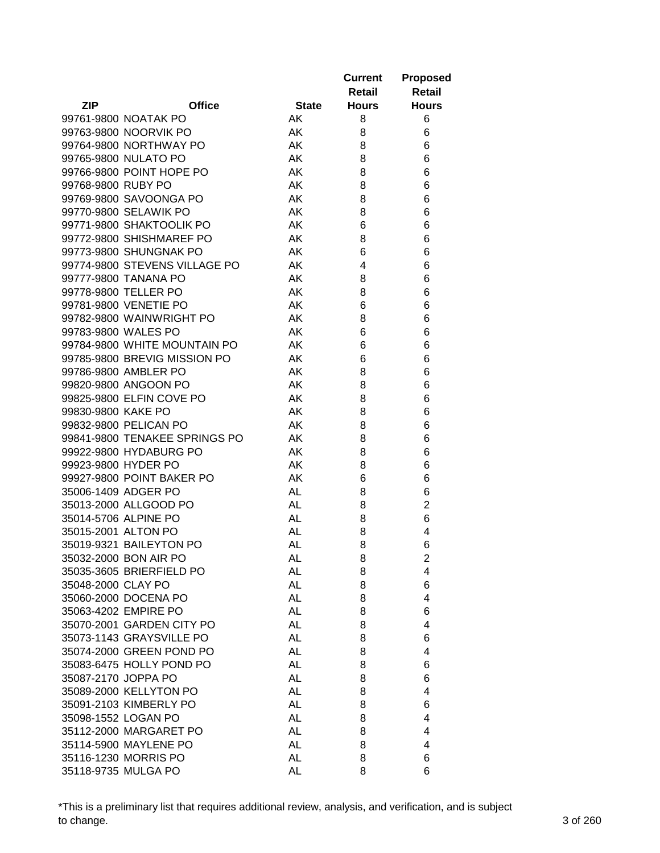|                     |                               |              | <b>Current</b><br>Retail | <b>Proposed</b><br><b>Retail</b> |
|---------------------|-------------------------------|--------------|--------------------------|----------------------------------|
| <b>ZIP</b>          | <b>Office</b>                 | <b>State</b> | <b>Hours</b>             | <b>Hours</b>                     |
|                     | 99761-9800 NOATAK PO          | AK.          | 8                        | 6                                |
|                     | 99763-9800 NOORVIK PO         | AK           | 8                        | 6                                |
|                     | 99764-9800 NORTHWAY PO        | AK           | 8                        | 6                                |
|                     | 99765-9800 NULATO PO          | AK           | 8                        | 6                                |
|                     | 99766-9800 POINT HOPE PO      | AK           | 8                        | 6                                |
| 99768-9800 RUBY PO  |                               | AK           | 8                        | 6                                |
|                     | 99769-9800 SAVOONGA PO        | AK           | 8                        | 6                                |
|                     | 99770-9800 SELAWIK PO         | AK           | 8                        | 6                                |
|                     | 99771-9800 SHAKTOOLIK PO      | AK           | 6                        | 6                                |
|                     | 99772-9800 SHISHMAREF PO      | AK           | 8                        | 6                                |
|                     | 99773-9800 SHUNGNAK PO        | AK           | 6                        | 6                                |
|                     | 99774-9800 STEVENS VILLAGE PO | AK           | 4                        | 6                                |
|                     | 99777-9800 TANANA PO          | AK           | 8                        | 6                                |
|                     | 99778-9800 TELLER PO          | AK           | 8                        | 6                                |
|                     | 99781-9800 VENETIE PO         | AK           | 6                        | 6                                |
|                     | 99782-9800 WAINWRIGHT PO      | AK           | 8                        | 6                                |
| 99783-9800 WALES PO |                               | AK           | 6                        | 6                                |
|                     | 99784-9800 WHITE MOUNTAIN PO  | AK           | 6                        | 6                                |
|                     | 99785-9800 BREVIG MISSION PO  | AK           | 6                        | 6                                |
|                     | 99786-9800 AMBLER PO          | AK           | 8                        | 6                                |
|                     | 99820-9800 ANGOON PO          | AK           | 8                        | 6                                |
|                     | 99825-9800 ELFIN COVE PO      | AK           | 8                        | 6                                |
| 99830-9800 KAKE PO  |                               | AK           | 8                        | 6                                |
|                     | 99832-9800 PELICAN PO         | AK           | 8                        | 6                                |
|                     | 99841-9800 TENAKEE SPRINGS PO | AK.          | 8                        | 6                                |
|                     | 99922-9800 HYDABURG PO        | AK           | 8                        | 6                                |
| 99923-9800 HYDER PO |                               | AK           | 8                        | 6                                |
|                     | 99927-9800 POINT BAKER PO     | AK           | 6                        |                                  |
| 35006-1409 ADGER PO |                               |              |                          | 6                                |
|                     | 35013-2000 ALLGOOD PO         | AL           | 8                        | 6                                |
|                     |                               | AL           | 8                        | $\overline{2}$                   |
|                     | 35014-5706 ALPINE PO          | AL           | 8                        | 6                                |
| 35015-2001 ALTON PO |                               | AL           | 8                        | 4                                |
|                     | 35019-9321 BAILEYTON PO       | AL           | 8                        | 6                                |
|                     | 35032-2000 BON AIR PO         | AL           | 8                        | 2                                |
|                     | 35035-3605 BRIERFIELD PO      | <b>AL</b>    | 8                        | 4                                |
| 35048-2000 CLAY PO  |                               | AL           | 8                        | 6                                |
|                     | 35060-2000 DOCENA PO          | <b>AL</b>    | 8                        | 4                                |
|                     | 35063-4202 EMPIRE PO          | AL           | 8                        | 6                                |
|                     | 35070-2001 GARDEN CITY PO     | <b>AL</b>    | 8                        | 4                                |
|                     | 35073-1143 GRAYSVILLE PO      | <b>AL</b>    | 8                        | 6                                |
|                     | 35074-2000 GREEN POND PO      | <b>AL</b>    | 8                        | 4                                |
|                     | 35083-6475 HOLLY POND PO      | <b>AL</b>    | 8                        | 6                                |
| 35087-2170 JOPPA PO |                               | <b>AL</b>    | 8                        | 6                                |
|                     | 35089-2000 KELLYTON PO        | <b>AL</b>    | 8                        | 4                                |
|                     | 35091-2103 KIMBERLY PO        | AL           | 8                        | 6                                |
| 35098-1552 LOGAN PO |                               | <b>AL</b>    | 8                        | 4                                |
|                     | 35112-2000 MARGARET PO        | <b>AL</b>    | 8                        | 4                                |
|                     | 35114-5900 MAYLENE PO         | AL           | 8                        | 4                                |
|                     | 35116-1230 MORRIS PO          | AL           | 8                        | 6                                |
|                     | 35118-9735 MULGA PO           | <b>AL</b>    | 8                        | 6                                |

\*This is a preliminary list that requires additional review, analysis, and verification, and is subject to change. 3 of 260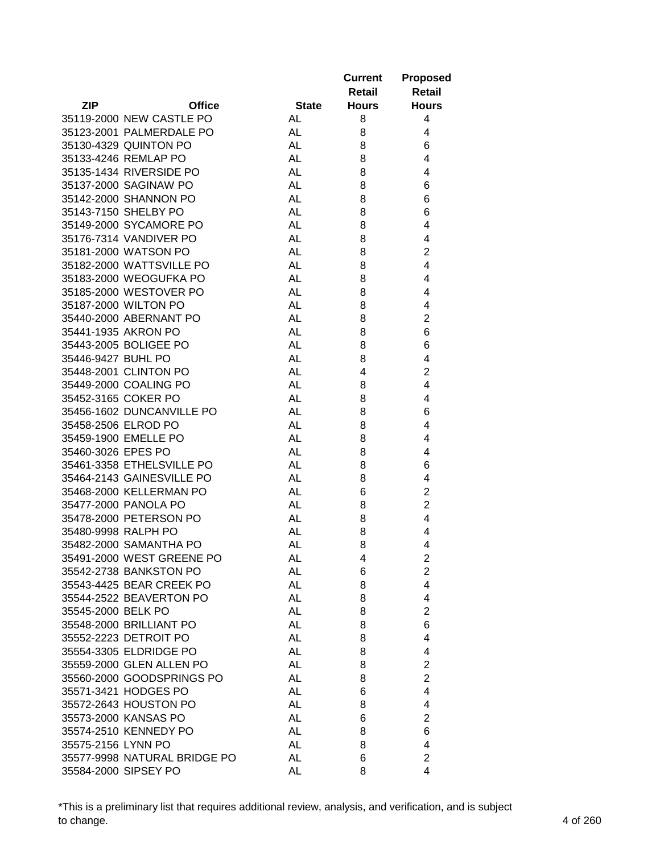|                                             |              | <b>Current</b><br>Retail | Proposed<br><b>Retail</b> |
|---------------------------------------------|--------------|--------------------------|---------------------------|
| <b>ZIP</b><br><b>Office</b>                 | <b>State</b> | <b>Hours</b>             | <b>Hours</b>              |
| 35119-2000 NEW CASTLE PO                    | AL           | 8                        | 4                         |
| 35123-2001 PALMERDALE PO                    | AL           | 8                        | 4                         |
| 35130-4329 QUINTON PO                       | AL           | 8                        | 6                         |
| 35133-4246 REMLAP PO                        | <b>AL</b>    | 8                        | 4                         |
| 35135-1434 RIVERSIDE PO                     | <b>AL</b>    | 8                        | 4                         |
| 35137-2000 SAGINAW PO                       | <b>AL</b>    | 8                        | 6                         |
| 35142-2000 SHANNON PO                       | AL           | 8                        | 6                         |
| 35143-7150 SHELBY PO                        | <b>AL</b>    | 8                        | 6                         |
| 35149-2000 SYCAMORE PO                      | <b>AL</b>    | 8                        | 4                         |
| 35176-7314 VANDIVER PO                      | <b>AL</b>    | 8                        | 4                         |
| 35181-2000 WATSON PO                        | <b>AL</b>    | 8                        | $\overline{2}$            |
| 35182-2000 WATTSVILLE PO                    | <b>AL</b>    | 8                        | 4                         |
| 35183-2000 WEOGUFKA PO                      | <b>AL</b>    | 8                        | 4                         |
| 35185-2000 WESTOVER PO                      | <b>AL</b>    | 8                        | 4                         |
| 35187-2000 WILTON PO                        | <b>AL</b>    | 8                        | 4                         |
| 35440-2000 ABERNANT PO                      | <b>AL</b>    | 8                        | $\overline{2}$            |
| 35441-1935 AKRON PO                         | <b>AL</b>    | 8                        | 6                         |
| 35443-2005 BOLIGEE PO                       | <b>AL</b>    |                          | 6                         |
|                                             | <b>AL</b>    | 8                        | 4                         |
| 35446-9427 BUHL PO<br>35448-2001 CLINTON PO | <b>AL</b>    | 8<br>4                   | $\overline{2}$            |
|                                             |              |                          |                           |
| 35449-2000 COALING PO                       | <b>AL</b>    | 8                        | 4                         |
| 35452-3165 COKER PO                         | AL           | 8                        | 4                         |
| 35456-1602 DUNCANVILLE PO                   | AL           | 8                        | 6                         |
| 35458-2506 ELROD PO                         | AL           | 8                        | 4                         |
| 35459-1900 EMELLE PO                        | <b>AL</b>    | 8                        | 4                         |
| 35460-3026 EPES PO                          | <b>AL</b>    | 8                        | 4                         |
| 35461-3358 ETHELSVILLE PO                   | AL           | 8                        | 6                         |
| 35464-2143 GAINESVILLE PO                   | AL           | 8                        | 4                         |
| 35468-2000 KELLERMAN PO                     | <b>AL</b>    | 6                        | $\overline{c}$            |
| 35477-2000 PANOLA PO                        | <b>AL</b>    | 8                        | $\overline{c}$            |
| 35478-2000 PETERSON PO                      | <b>AL</b>    | 8                        | 4                         |
| 35480-9998 RALPH PO                         | <b>AL</b>    | 8                        | 4                         |
| 35482-2000 SAMANTHA PO                      | <b>AL</b>    | 8                        | 4                         |
| 35491-2000 WEST GREENE PO                   | AL           | 4                        | 2                         |
| 35542-2738 BANKSTON PO                      | <b>AL</b>    | 6                        | $\overline{2}$            |
| 35543-4425 BEAR CREEK PO                    | <b>AL</b>    | 8                        | 4                         |
| 35544-2522 BEAVERTON PO                     | <b>AL</b>    | 8                        | 4                         |
| 35545-2000 BELK PO                          | <b>AL</b>    | 8                        | $\overline{2}$            |
| 35548-2000 BRILLIANT PO                     | <b>AL</b>    | 8                        | 6                         |
| 35552-2223 DETROIT PO                       | <b>AL</b>    | 8                        | 4                         |
| 35554-3305 ELDRIDGE PO                      | AL           | 8                        | 4                         |
| 35559-2000 GLEN ALLEN PO                    | <b>AL</b>    | 8                        | $\overline{2}$            |
| 35560-2000 GOODSPRINGS PO                   | AL           | 8                        | $\overline{2}$            |
| 35571-3421 HODGES PO                        | <b>AL</b>    | 6                        | 4                         |
| 35572-2643 HOUSTON PO                       | <b>AL</b>    | 8                        | 4                         |
| 35573-2000 KANSAS PO                        | <b>AL</b>    | 6                        | $\overline{2}$            |
| 35574-2510 KENNEDY PO                       | <b>AL</b>    | 8                        | 6                         |
| 35575-2156 LYNN PO                          | <b>AL</b>    | 8                        | 4                         |
| 35577-9998 NATURAL BRIDGE PO                | <b>AL</b>    | 6                        | $\overline{2}$            |
| 35584-2000 SIPSEY PO                        | AL           | 8                        | 4                         |

\*This is a preliminary list that requires additional review, analysis, and verification, and is subject to change. 4 of 260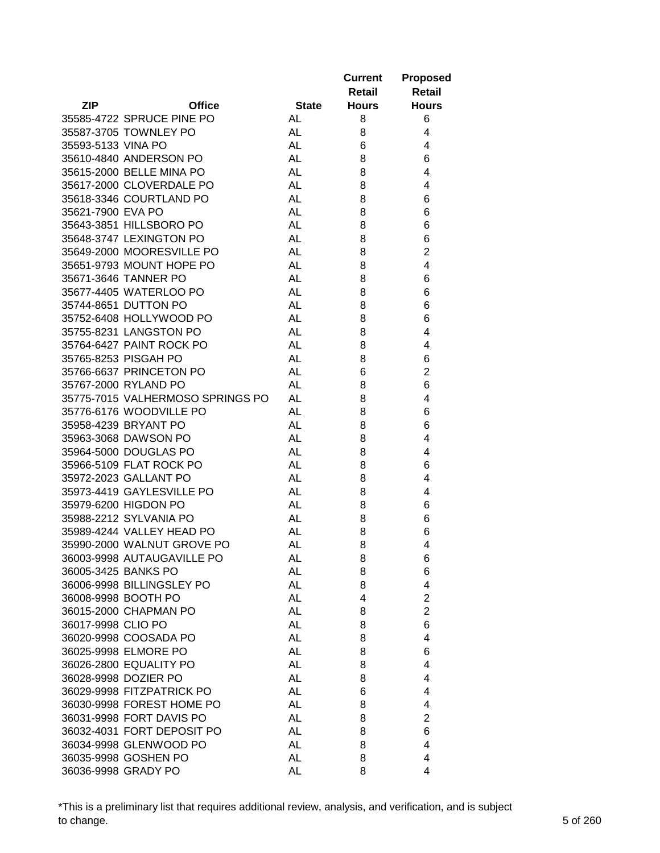|                                  |              | <b>Current</b><br>Retail | <b>Proposed</b><br><b>Retail</b> |
|----------------------------------|--------------|--------------------------|----------------------------------|
| <b>ZIP</b><br><b>Office</b>      | <b>State</b> | <b>Hours</b>             | <b>Hours</b>                     |
| 35585-4722 SPRUCE PINE PO        | AL           | 8                        | 6                                |
| 35587-3705 TOWNLEY PO            | AL           | 8                        | 4                                |
| 35593-5133 VINA PO               | AL           | 6                        | 4                                |
| 35610-4840 ANDERSON PO           | <b>AL</b>    | 8                        | 6                                |
| 35615-2000 BELLE MINA PO         | <b>AL</b>    | 8                        | 4                                |
| 35617-2000 CLOVERDALE PO         | AL           | 8                        | 4                                |
| 35618-3346 COURTLAND PO          | <b>AL</b>    | 8                        | 6                                |
| 35621-7900 EVA PO                | <b>AL</b>    | 8                        | 6                                |
| 35643-3851 HILLSBORO PO          | <b>AL</b>    | 8                        | 6                                |
| 35648-3747 LEXINGTON PO          | <b>AL</b>    | 8                        | 6                                |
| 35649-2000 MOORESVILLE PO        | AL           | 8                        | $\overline{2}$                   |
| 35651-9793 MOUNT HOPE PO         | AL           | 8                        | 4                                |
| 35671-3646 TANNER PO             | <b>AL</b>    | 8                        | 6                                |
| 35677-4405 WATERLOO PO           | <b>AL</b>    | 8                        | 6                                |
| 35744-8651 DUTTON PO             | <b>AL</b>    | 8                        | 6                                |
| 35752-6408 HOLLYWOOD PO          | <b>AL</b>    | 8                        | 6                                |
| 35755-8231 LANGSTON PO           | <b>AL</b>    | 8                        | 4                                |
| 35764-6427 PAINT ROCK PO         | <b>AL</b>    | 8                        | 4                                |
| 35765-8253 PISGAH PO             | <b>AL</b>    | 8                        | 6                                |
| 35766-6637 PRINCETON PO          | <b>AL</b>    | 6                        | $\overline{2}$                   |
| 35767-2000 RYLAND PO             | <b>AL</b>    | 8                        | 6                                |
| 35775-7015 VALHERMOSO SPRINGS PO | <b>AL</b>    | 8                        | 4                                |
| 35776-6176 WOODVILLE PO          | <b>AL</b>    | 8                        | 6                                |
| 35958-4239 BRYANT PO             | <b>AL</b>    | 8                        | 6                                |
| 35963-3068 DAWSON PO             | <b>AL</b>    | 8                        | 4                                |
| 35964-5000 DOUGLAS PO            | AL           | 8                        | 4                                |
| 35966-5109 FLAT ROCK PO          | AL           | 8                        | 6                                |
| 35972-2023 GALLANT PO            | AL           | 8                        | 4                                |
| 35973-4419 GAYLESVILLE PO        | <b>AL</b>    | 8                        | 4                                |
| 35979-6200 HIGDON PO             | AL           | 8                        | 6                                |
| 35988-2212 SYLVANIA PO           | AL           | 8                        | 6                                |
| 35989-4244 VALLEY HEAD PO        | AL           | 8                        | 6                                |
| 35990-2000 WALNUT GROVE PO       | AL           | 8                        | 4                                |
| 36003-9998 AUTAUGAVILLE PO       | AL           | 8                        | 6                                |
| 36005-3425 BANKS PO              | <b>AL</b>    | 8                        | 6                                |
| 36006-9998 BILLINGSLEY PO        | <b>AL</b>    | 8                        | 4                                |
| 36008-9998 BOOTH PO              | <b>AL</b>    | 4                        | $\overline{2}$                   |
| 36015-2000 CHAPMAN PO            | <b>AL</b>    | 8                        | $\overline{2}$                   |
| 36017-9998 CLIO PO               | <b>AL</b>    | 8                        | 6                                |
| 36020-9998 COOSADA PO            | <b>AL</b>    | 8                        | 4                                |
| 36025-9998 ELMORE PO             | <b>AL</b>    | 8                        | 6                                |
| 36026-2800 EQUALITY PO           | <b>AL</b>    | 8                        | 4                                |
| 36028-9998 DOZIER PO             | <b>AL</b>    | 8                        | 4                                |
| 36029-9998 FITZPATRICK PO        | AL           | 6                        | 4                                |
| 36030-9998 FOREST HOME PO        | AL           | 8                        | 4                                |
| 36031-9998 FORT DAVIS PO         | <b>AL</b>    | 8                        | $\overline{2}$                   |
| 36032-4031 FORT DEPOSIT PO       | AL           | 8                        | 6                                |
| 36034-9998 GLENWOOD PO           | AL           | 8                        | 4                                |
| 36035-9998 GOSHEN PO             | AL           | 8                        | 4                                |
| 36036-9998 GRADY PO              | <b>AL</b>    | 8                        | 4                                |

\*This is a preliminary list that requires additional review, analysis, and verification, and is subject to change. 5 of 260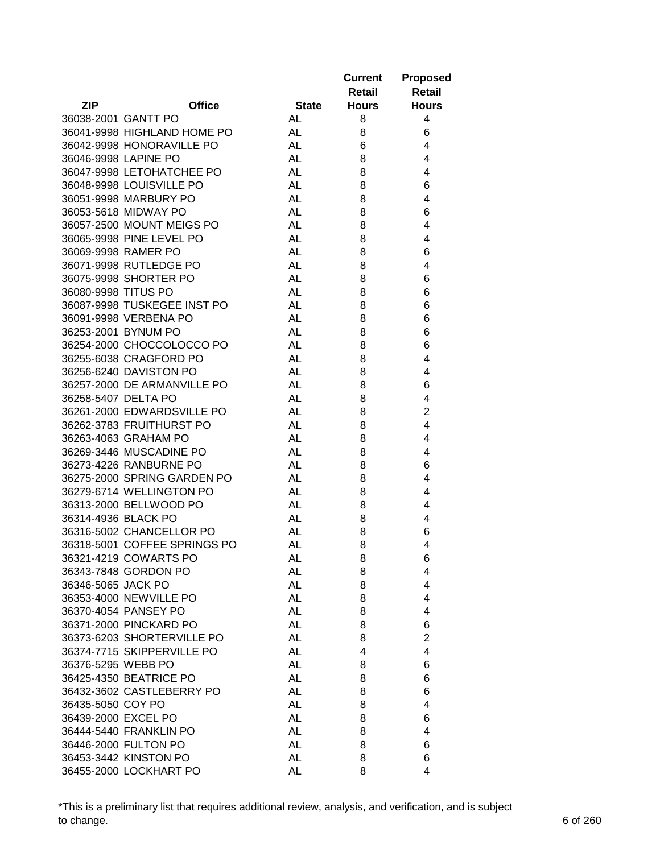|                     |                                                |                 | <b>Current</b><br>Retail | <b>Proposed</b><br><b>Retail</b> |
|---------------------|------------------------------------------------|-----------------|--------------------------|----------------------------------|
| <b>ZIP</b>          | <b>Office</b>                                  | <b>State</b>    | <b>Hours</b>             | <b>Hours</b>                     |
| 36038-2001 GANTT PO |                                                | AL              | 8                        | 4                                |
|                     | 36041-9998 HIGHLAND HOME PO                    | AL              | 8                        | 6                                |
|                     | 36042-9998 HONORAVILLE PO                      | AL              | 6                        | 4                                |
|                     | 36046-9998 LAPINE PO                           | <b>AL</b>       | 8                        | 4                                |
|                     | 36047-9998 LETOHATCHEE PO                      | <b>AL</b>       | 8                        | 4                                |
|                     | 36048-9998 LOUISVILLE PO                       | <b>AL</b>       | 8                        | 6                                |
|                     | 36051-9998 MARBURY PO                          | <b>AL</b>       | 8                        | 4                                |
|                     | 36053-5618 MIDWAY PO                           | <b>AL</b>       | 8                        | 6                                |
|                     | 36057-2500 MOUNT MEIGS PO                      | <b>AL</b>       | 8                        | 4                                |
|                     | 36065-9998 PINE LEVEL PO                       | <b>AL</b>       | 8                        | 4                                |
|                     | 36069-9998 RAMER PO                            | <b>AL</b>       | 8                        | 6                                |
|                     | 36071-9998 RUTLEDGE PO                         | <b>AL</b>       | 8                        | 4                                |
|                     | 36075-9998 SHORTER PO                          | <b>AL</b>       | 8                        | 6                                |
| 36080-9998 TITUS PO |                                                | <b>AL</b>       | 8                        | 6                                |
|                     | 36087-9998 TUSKEGEE INST PO                    | <b>AL</b>       | 8                        | 6                                |
|                     | 36091-9998 VERBENA PO                          | <b>AL</b>       | 8                        | 6                                |
|                     | 36253-2001 BYNUM PO                            | <b>AL</b>       | 8                        | 6                                |
|                     | 36254-2000 CHOCCOLOCCO PO                      | <b>AL</b>       | 8                        | 6                                |
|                     | 36255-6038 CRAGFORD PO                         | <b>AL</b>       | 8                        | 4                                |
|                     | 36256-6240 DAVISTON PO                         | <b>AL</b>       | 8                        | 4                                |
|                     | 36257-2000 DE ARMANVILLE PO                    | <b>AL</b>       | 8                        | 6                                |
| 36258-5407 DELTA PO |                                                | <b>AL</b>       | 8                        | 4                                |
|                     | 36261-2000 EDWARDSVILLE PO                     | <b>AL</b>       | 8                        | $\overline{2}$                   |
|                     | 36262-3783 FRUITHURST PO                       | <b>AL</b>       | 8                        | $\overline{4}$                   |
|                     | 36263-4063 GRAHAM PO                           | <b>AL</b>       | 8                        | 4                                |
|                     | 36269-3446 MUSCADINE PO                        | <b>AL</b>       | 8                        | 4                                |
|                     | 36273-4226 RANBURNE PO                         | AL              | 8                        | 6                                |
|                     | 36275-2000 SPRING GARDEN PO                    | AL              | 8                        | 4                                |
|                     | 36279-6714 WELLINGTON PO                       | <b>AL</b>       | 8                        | 4                                |
|                     | 36313-2000 BELLWOOD PO                         | <b>AL</b>       | 8                        | 4                                |
| 36314-4936 BLACK PO |                                                | <b>AL</b>       | 8                        | 4                                |
|                     | 36316-5002 CHANCELLOR PO                       | AL              | 8                        | 6                                |
|                     | 36318-5001 COFFEE SPRINGS PO                   |                 |                          | 4                                |
|                     |                                                | AL              | 8                        |                                  |
|                     | 36321-4219 COWARTS PO                          | AL              | 8                        | 6                                |
|                     | 36343-7848 GORDON PO                           | <b>AL</b><br>AL | 8                        | 4                                |
| 36346-5065 JACK PO  |                                                | <b>AL</b>       | 8                        | 4                                |
|                     | 36353-4000 NEWVILLE PO<br>36370-4054 PANSEY PO | <b>AL</b>       | 8                        | 4<br>4                           |
|                     |                                                |                 | 8                        |                                  |
|                     | 36371-2000 PINCKARD PO                         | <b>AL</b>       | 8                        | 6                                |
|                     | 36373-6203 SHORTERVILLE PO                     | <b>AL</b>       | 8                        | $\overline{2}$                   |
|                     | 36374-7715 SKIPPERVILLE PO                     | <b>AL</b>       | 4                        | 4                                |
| 36376-5295 WEBB PO  |                                                | <b>AL</b>       | 8                        | 6                                |
|                     | 36425-4350 BEATRICE PO                         | <b>AL</b>       | 8                        | 6                                |
|                     | 36432-3602 CASTLEBERRY PO                      | AL              | 8                        | 6                                |
| 36435-5050 COY PO   |                                                | AL              | 8                        | 4                                |
| 36439-2000 EXCEL PO |                                                | <b>AL</b>       | 8                        | 6                                |
|                     | 36444-5440 FRANKLIN PO                         | <b>AL</b>       | 8                        | 4                                |
|                     | 36446-2000 FULTON PO                           | <b>AL</b>       | 8                        | 6                                |
|                     | 36453-3442 KINSTON PO                          | AL              | 8                        | 6                                |
|                     | 36455-2000 LOCKHART PO                         | <b>AL</b>       | 8                        | 4                                |

\*This is a preliminary list that requires additional review, analysis, and verification, and is subject to change. 6 of 260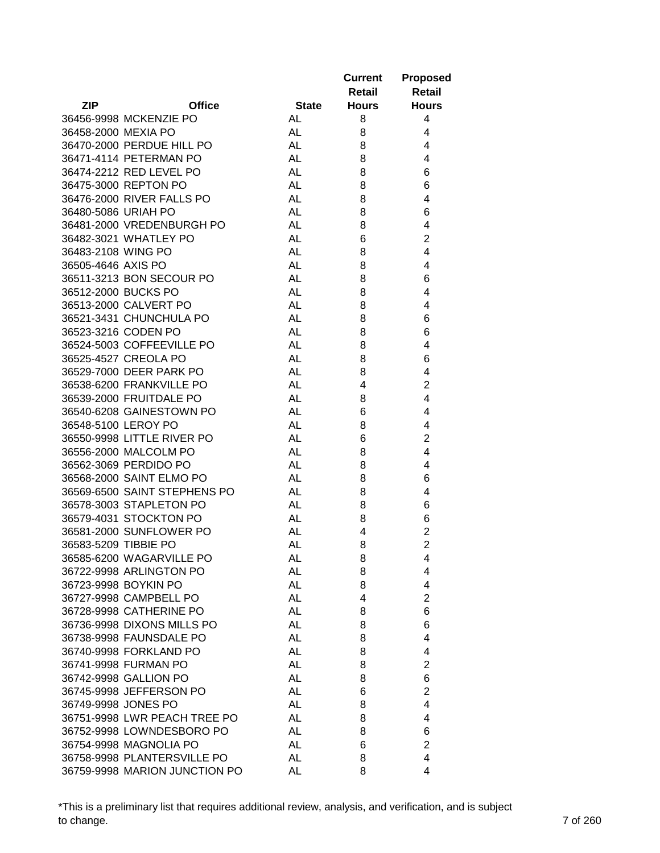|                      |                               |              | <b>Current</b><br>Retail | <b>Proposed</b><br><b>Retail</b> |
|----------------------|-------------------------------|--------------|--------------------------|----------------------------------|
| <b>ZIP</b>           | <b>Office</b>                 | <b>State</b> | <b>Hours</b>             | <b>Hours</b>                     |
|                      | 36456-9998 MCKENZIE PO        | AL           | 8                        | 4                                |
| 36458-2000 MEXIA PO  |                               | AL           | 8                        | 4                                |
|                      | 36470-2000 PERDUE HILL PO     | <b>AL</b>    | 8                        | 4                                |
|                      | 36471-4114 PETERMAN PO        | <b>AL</b>    | 8                        | 4                                |
|                      | 36474-2212 RED LEVEL PO       | <b>AL</b>    | 8                        | 6                                |
|                      | 36475-3000 REPTON PO          | <b>AL</b>    | 8                        | 6                                |
|                      | 36476-2000 RIVER FALLS PO     | <b>AL</b>    | 8                        | 4                                |
| 36480-5086 URIAH PO  |                               | <b>AL</b>    | 8                        | 6                                |
|                      | 36481-2000 VREDENBURGH PO     | <b>AL</b>    | 8                        | 4                                |
|                      | 36482-3021 WHATLEY PO         | <b>AL</b>    | 6                        | $\overline{2}$                   |
| 36483-2108 WING PO   |                               | <b>AL</b>    | 8                        | 4                                |
| 36505-4646 AXIS PO   |                               | <b>AL</b>    | 8                        | 4                                |
|                      | 36511-3213 BON SECOUR PO      | <b>AL</b>    | 8                        | 6                                |
| 36512-2000 BUCKS PO  |                               | <b>AL</b>    | 8                        | 4                                |
|                      | 36513-2000 CALVERT PO         | <b>AL</b>    | 8                        | 4                                |
|                      | 36521-3431 CHUNCHULA PO       | <b>AL</b>    | 8                        | 6                                |
|                      | 36523-3216 CODEN PO           | <b>AL</b>    | 8                        | 6                                |
|                      | 36524-5003 COFFEEVILLE PO     | <b>AL</b>    | 8                        | 4                                |
|                      | 36525-4527 CREOLA PO          | <b>AL</b>    | 8                        | 6                                |
|                      | 36529-7000 DEER PARK PO       | <b>AL</b>    | 8                        | 4                                |
|                      | 36538-6200 FRANKVILLE PO      | <b>AL</b>    | 4                        | $\overline{2}$                   |
|                      | 36539-2000 FRUITDALE PO       | <b>AL</b>    | 8                        | $\overline{4}$                   |
|                      | 36540-6208 GAINESTOWN PO      | <b>AL</b>    | 6                        | 4                                |
| 36548-5100 LEROY PO  |                               | <b>AL</b>    | 8                        | 4                                |
|                      | 36550-9998 LITTLE RIVER PO    | <b>AL</b>    | 6                        | $\overline{2}$                   |
|                      | 36556-2000 MALCOLM PO         | AL           |                          | 4                                |
|                      | 36562-3069 PERDIDO PO         | AL           | 8<br>8                   | 4                                |
|                      | 36568-2000 SAINT ELMO PO      | AL           | 8                        |                                  |
|                      | 36569-6500 SAINT STEPHENS PO  | <b>AL</b>    | 8                        | 6<br>4                           |
|                      |                               | <b>AL</b>    |                          |                                  |
|                      | 36578-3003 STAPLETON PO       |              | 8                        | 6                                |
|                      | 36579-4031 STOCKTON PO        | AL           | 8                        | 6                                |
|                      | 36581-2000 SUNFLOWER PO       | <b>AL</b>    | 4                        | $\overline{c}$<br>$\overline{2}$ |
| 36583-5209 TIBBIE PO |                               | AL           | 8                        |                                  |
|                      | 36585-6200 WAGARVILLE PO      | AL           | 8                        | 4                                |
|                      | 36722-9998 ARLINGTON PO       | <b>AL</b>    | 8                        | 4                                |
|                      | 36723-9998 BOYKIN PO          | <b>AL</b>    | 8                        | 4                                |
|                      | 36727-9998 CAMPBELL PO        | <b>AL</b>    | 4                        | $\overline{2}$                   |
|                      | 36728-9998 CATHERINE PO       | <b>AL</b>    | 8                        | 6                                |
|                      | 36736-9998 DIXONS MILLS PO    | <b>AL</b>    | 8                        | 6                                |
|                      | 36738-9998 FAUNSDALE PO       | <b>AL</b>    | 8                        | 4                                |
|                      | 36740-9998 FORKLAND PO        | <b>AL</b>    | 8                        | 4                                |
|                      | 36741-9998 FURMAN PO          | <b>AL</b>    | 8                        | $\overline{2}$                   |
|                      | 36742-9998 GALLION PO         | AL           | 8                        | 6                                |
|                      | 36745-9998 JEFFERSON PO       | AL           | 6                        | $\overline{2}$                   |
| 36749-9998 JONES PO  |                               | AL           | 8                        | 4                                |
|                      | 36751-9998 LWR PEACH TREE PO  | <b>AL</b>    | 8                        | 4                                |
|                      | 36752-9998 LOWNDESBORO PO     | AL           | 8                        | 6                                |
|                      | 36754-9998 MAGNOLIA PO        | AL           | 6                        | $\overline{2}$                   |
|                      | 36758-9998 PLANTERSVILLE PO   | AL           | 8                        | 4                                |
|                      | 36759-9998 MARION JUNCTION PO | AL           | 8                        | 4                                |

\*This is a preliminary list that requires additional review, analysis, and verification, and is subject to change. 7 of 260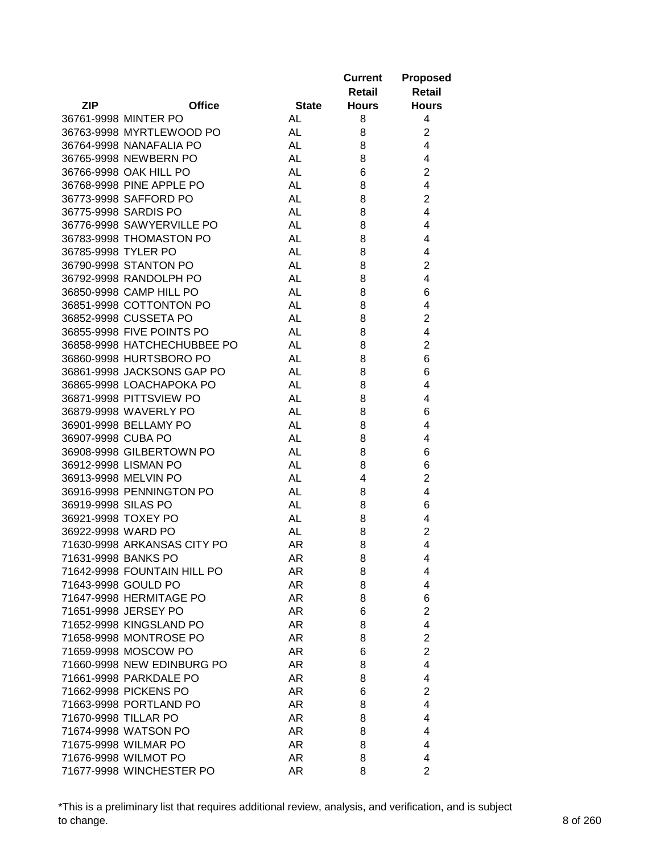|                     |                             |              | <b>Current</b><br>Retail | <b>Proposed</b><br><b>Retail</b> |
|---------------------|-----------------------------|--------------|--------------------------|----------------------------------|
| <b>ZIP</b>          | <b>Office</b>               | <b>State</b> | <b>Hours</b>             | <b>Hours</b>                     |
|                     | 36761-9998 MINTER PO        | AL           | 8                        | 4                                |
|                     | 36763-9998 MYRTLEWOOD PO    | AL           | 8                        | $\overline{2}$                   |
|                     | 36764-9998 NANAFALIA PO     | AL           | 8                        | 4                                |
|                     | 36765-9998 NEWBERN PO       | <b>AL</b>    | 8                        | 4                                |
|                     | 36766-9998 OAK HILL PO      | <b>AL</b>    | 6                        | $\overline{2}$                   |
|                     | 36768-9998 PINE APPLE PO    | <b>AL</b>    | 8                        | 4                                |
|                     | 36773-9998 SAFFORD PO       | <b>AL</b>    | 8                        | $\overline{2}$                   |
|                     | 36775-9998 SARDIS PO        | <b>AL</b>    | 8                        | 4                                |
|                     | 36776-9998 SAWYERVILLE PO   | <b>AL</b>    | 8                        | 4                                |
|                     | 36783-9998 THOMASTON PO     | AL           | 8                        | 4                                |
| 36785-9998 TYLER PO |                             | AL           | 8                        | 4                                |
|                     | 36790-9998 STANTON PO       | <b>AL</b>    | 8                        | $\overline{2}$                   |
|                     | 36792-9998 RANDOLPH PO      | <b>AL</b>    | 8                        | 4                                |
|                     | 36850-9998 CAMP HILL PO     | <b>AL</b>    | 8                        | 6                                |
|                     | 36851-9998 COTTONTON PO     | <b>AL</b>    | 8                        | 4                                |
|                     | 36852-9998 CUSSETA PO       | <b>AL</b>    | 8                        | $\overline{2}$                   |
|                     | 36855-9998 FIVE POINTS PO   | <b>AL</b>    | 8                        | 4                                |
|                     | 36858-9998 HATCHECHUBBEE PO | <b>AL</b>    | 8                        | $\overline{2}$                   |
|                     | 36860-9998 HURTSBORO PO     | <b>AL</b>    | 8                        | 6                                |
|                     | 36861-9998 JACKSONS GAP PO  | <b>AL</b>    | 8                        | 6                                |
|                     | 36865-9998 LOACHAPOKA PO    | <b>AL</b>    | 8                        | 4                                |
|                     | 36871-9998 PITTSVIEW PO     | <b>AL</b>    | 8                        | 4                                |
|                     | 36879-9998 WAVERLY PO       | <b>AL</b>    | 8                        | 6                                |
|                     | 36901-9998 BELLAMY PO       | <b>AL</b>    | 8                        | 4                                |
| 36907-9998 CUBA PO  |                             | <b>AL</b>    | 8                        | 4                                |
|                     | 36908-9998 GILBERTOWN PO    | AL           |                          |                                  |
|                     |                             |              | 8                        | 6                                |
|                     | 36912-9998 LISMAN PO        | AL           | 8                        | 6<br>$\overline{2}$              |
|                     | 36913-9998 MELVIN PO        | AL           | 4                        |                                  |
|                     | 36916-9998 PENNINGTON PO    | <b>AL</b>    | 8                        | 4                                |
| 36919-9998 SILAS PO |                             | <b>AL</b>    | 8                        | 6                                |
|                     | 36921-9998 TOXEY PO         | AL           | 8                        | 4                                |
| 36922-9998 WARD PO  |                             | <b>AL</b>    | 8                        | 2                                |
|                     | 71630-9998 ARKANSAS CITY PO | AR           | 8                        | 4                                |
|                     | 71631-9998 BANKS PO         | AR           | 8                        | 4                                |
|                     | 71642-9998 FOUNTAIN HILL PO | AR           | 8                        | 4                                |
|                     | 71643-9998 GOULD PO         | AR           | 8                        | 4                                |
|                     | 71647-9998 HERMITAGE PO     | AR           | 8                        | 6                                |
|                     | 71651-9998 JERSEY PO        | AR           | 6                        | $\overline{2}$                   |
|                     | 71652-9998 KINGSLAND PO     | AR           | 8                        | $\overline{4}$                   |
|                     | 71658-9998 MONTROSE PO      | AR           | 8                        | $\overline{2}$                   |
|                     | 71659-9998 MOSCOW PO        | AR           | 6                        | $\overline{c}$                   |
|                     | 71660-9998 NEW EDINBURG PO  | AR.          | 8                        | $\overline{4}$                   |
|                     | 71661-9998 PARKDALE PO      | AR           | 8                        | 4                                |
|                     | 71662-9998 PICKENS PO       | AR           | 6                        | $\overline{2}$                   |
|                     | 71663-9998 PORTLAND PO      | AR           | 8                        | 4                                |
|                     | 71670-9998 TILLAR PO        | AR           | 8                        | 4                                |
|                     | 71674-9998 WATSON PO        | AR           | 8                        | 4                                |
|                     | 71675-9998 WILMAR PO        | AR           | 8                        | 4                                |
|                     | 71676-9998 WILMOT PO        | AR           | 8                        | 4                                |
|                     | 71677-9998 WINCHESTER PO    | AR           | 8                        | $\overline{2}$                   |

\*This is a preliminary list that requires additional review, analysis, and verification, and is subject to change. 8 of 260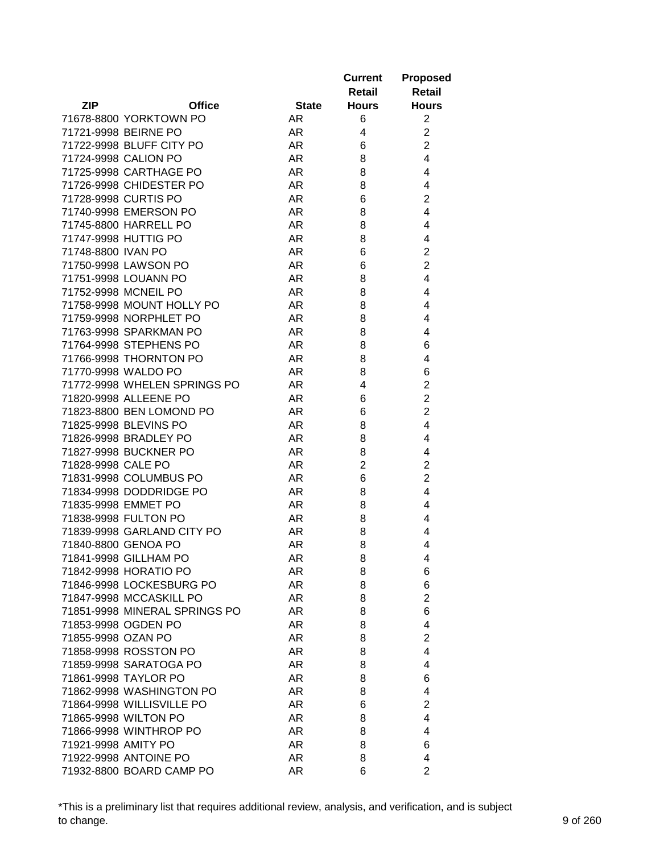|                               |              | <b>Current</b><br>Retail | <b>Proposed</b><br><b>Retail</b> |
|-------------------------------|--------------|--------------------------|----------------------------------|
| <b>ZIP</b><br><b>Office</b>   | <b>State</b> | <b>Hours</b>             | <b>Hours</b>                     |
| 71678-8800 YORKTOWN PO        | AR.          | 6                        | $\overline{c}$                   |
| 71721-9998 BEIRNE PO          | AR.          | 4                        | $\overline{c}$                   |
| 71722-9998 BLUFF CITY PO      | AR.          | 6                        | $\overline{c}$                   |
| 71724-9998 CALION PO          | AR.          | 8                        | 4                                |
| 71725-9998 CARTHAGE PO        | AR.          | 8                        | 4                                |
| 71726-9998 CHIDESTER PO       | AR.          | 8                        | 4                                |
| 71728-9998 CURTIS PO          | AR           | 6                        | $\overline{2}$                   |
| 71740-9998 EMERSON PO         | AR           | 8                        | 4                                |
| 71745-8800 HARRELL PO         | AR           | 8                        | 4                                |
| 71747-9998 HUTTIG PO          | AR           | 8                        | 4                                |
| 71748-8800 IVAN PO            | AR.          | 6                        | $\overline{2}$                   |
| 71750-9998 LAWSON PO          | AR           | 6                        | $\overline{2}$                   |
| 71751-9998 LOUANN PO          | AR           | 8                        | 4                                |
| 71752-9998 MCNEIL PO          | AR.          | 8                        | 4                                |
| 71758-9998 MOUNT HOLLY PO     | AR           | 8                        | 4                                |
| 71759-9998 NORPHLET PO        | AR           | 8                        | 4                                |
| 71763-9998 SPARKMAN PO        | AR           | 8                        | 4                                |
| 71764-9998 STEPHENS PO        | AR           | 8                        | 6                                |
| 71766-9998 THORNTON PO        | AR           | 8                        | 4                                |
| 71770-9998 WALDO PO           | AR.          | 8                        | 6                                |
| 71772-9998 WHELEN SPRINGS PO  | AR           | 4                        | $\overline{2}$                   |
| 71820-9998 ALLEENE PO         | AR.          | 6                        | $\overline{c}$                   |
| 71823-8800 BEN LOMOND PO      | AR           | 6                        | $\overline{2}$                   |
| 71825-9998 BLEVINS PO         | AR           | 8                        | 4                                |
| 71826-9998 BRADLEY PO         | AR           | 8                        | 4                                |
| 71827-9998 BUCKNER PO         | AR.          | 8                        | 4                                |
| 71828-9998 CALE PO            | AR.          | $\overline{2}$           | $\overline{2}$                   |
| 71831-9998 COLUMBUS PO        | AR.          | 6                        | $\overline{2}$                   |
| 71834-9998 DODDRIDGE PO       | AR.          | 8                        | 4                                |
| 71835-9998 EMMET PO           | AR.          | 8                        | 4                                |
| 71838-9998 FULTON PO          | AR.          | 8                        | 4                                |
| 71839-9998 GARLAND CITY PO    | AR.          | 8                        | 4                                |
| 71840-8800 GENOA PO           | AR           | 8                        | 4                                |
| 71841-9998 GILLHAM PO         | AR           | 8                        | 4                                |
| 71842-9998 HORATIO PO         | AR           | 8                        | 6                                |
| 71846-9998 LOCKESBURG PO      | AR           | 8                        | 6                                |
| 71847-9998 MCCASKILL PO       | AR           | 8                        | $\overline{2}$                   |
| 71851-9998 MINERAL SPRINGS PO | AR.          | 8                        | 6                                |
| 71853-9998 OGDEN PO           | AR.          | 8                        | 4                                |
| 71855-9998 OZAN PO            | AR           | 8                        | $\overline{2}$                   |
| 71858-9998 ROSSTON PO         | AR.          | 8                        | 4                                |
| 71859-9998 SARATOGA PO        | AR           | 8                        | 4                                |
| 71861-9998 TAYLOR PO          | AR.          | 8                        | 6                                |
| 71862-9998 WASHINGTON PO      | AR.          | 8                        | 4                                |
| 71864-9998 WILLISVILLE PO     | AR.          | 6                        | $\overline{2}$                   |
| 71865-9998 WILTON PO          | AR.          | 8                        | 4                                |
| 71866-9998 WINTHROP PO        | AR.          | 8                        | 4                                |
| 71921-9998 AMITY PO           | AR.          | 8                        | 6                                |
| 71922-9998 ANTOINE PO         | AR.          | 8                        | 4                                |
| 71932-8800 BOARD CAMP PO      | AR           | 6                        | $\overline{2}$                   |

\*This is a preliminary list that requires additional review, analysis, and verification, and is subject to change. 9 of 260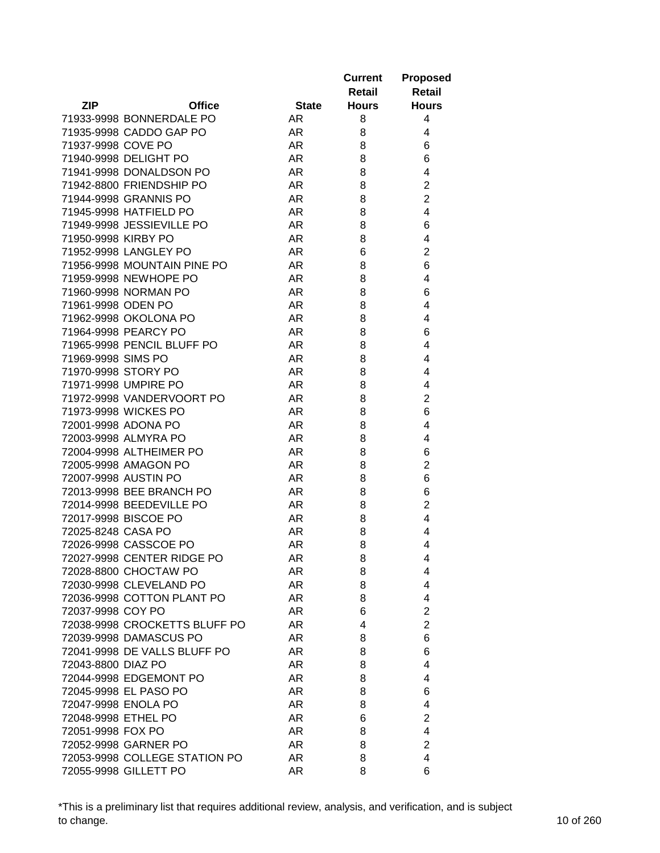|                     |                               |              | <b>Current</b><br>Retail | <b>Proposed</b><br><b>Retail</b> |
|---------------------|-------------------------------|--------------|--------------------------|----------------------------------|
| <b>ZIP</b>          | <b>Office</b>                 | <b>State</b> | <b>Hours</b>             | <b>Hours</b>                     |
|                     | 71933-9998 BONNERDALE PO      | AR.          | 8                        | 4                                |
|                     | 71935-9998 CADDO GAP PO       | AR           | 8                        | 4                                |
| 71937-9998 COVE PO  |                               | AR           | 8                        | 6                                |
|                     | 71940-9998 DELIGHT PO         | <b>AR</b>    | 8                        | 6                                |
|                     | 71941-9998 DONALDSON PO       | <b>AR</b>    | 8                        | 4                                |
|                     | 71942-8800 FRIENDSHIP PO      | AR           | 8                        | $\overline{2}$                   |
|                     | 71944-9998 GRANNIS PO         | AR           | 8                        | $\overline{2}$                   |
|                     | 71945-9998 HATFIELD PO        | <b>AR</b>    | 8                        | 4                                |
|                     | 71949-9998 JESSIEVILLE PO     | AR           | 8                        | 6                                |
| 71950-9998 KIRBY PO |                               | AR.          | 8                        | 4                                |
|                     | 71952-9998 LANGLEY PO         | AR.          | 6                        | $\overline{2}$                   |
|                     | 71956-9998 MOUNTAIN PINE PO   | AR.          | 8                        | 6                                |
|                     | 71959-9998 NEWHOPE PO         | AR           | 8                        | 4                                |
|                     | 71960-9998 NORMAN PO          | AR           | 8                        | 6                                |
| 71961-9998 ODEN PO  |                               | AR           | 8                        | 4                                |
|                     | 71962-9998 OKOLONA PO         | AR           | 8                        | 4                                |
|                     | 71964-9998 PEARCY PO          | AR           | 8                        | 6                                |
|                     | 71965-9998 PENCIL BLUFF PO    | AR           | 8                        | 4                                |
| 71969-9998 SIMS PO  |                               | AR           | 8                        | 4                                |
| 71970-9998 STORY PO |                               | AR           | 8                        | 4                                |
|                     | 71971-9998 UMPIRE PO          | <b>AR</b>    | 8                        | 4                                |
|                     | 71972-9998 VANDERVOORT PO     | <b>AR</b>    | 8                        | $\overline{2}$                   |
|                     | 71973-9998 WICKES PO          | <b>AR</b>    | 8                        | 6                                |
| 72001-9998 ADONA PO |                               | <b>AR</b>    | 8                        | 4                                |
|                     | 72003-9998 ALMYRA PO          | <b>AR</b>    | 8                        | 4                                |
|                     | 72004-9998 ALTHEIMER PO       | AR.          | 8                        | 6                                |
|                     | 72005-9998 AMAGON PO          | AR.          | 8                        | $\overline{2}$                   |
|                     | 72007-9998 AUSTIN PO          | AR.          | 8                        | 6                                |
|                     | 72013-9998 BEE BRANCH PO      | AR           |                          | 6                                |
|                     |                               |              | 8                        | $\overline{2}$                   |
|                     | 72014-9998 BEEDEVILLE PO      | AR           | 8                        |                                  |
|                     | 72017-9998 BISCOE PO          | AR.          | 8                        | 4                                |
| 72025-8248 CASA PO  |                               | AR           | 8                        | 4                                |
|                     | 72026-9998 CASSCOE PO         | AR           | 8                        | 4                                |
|                     | 72027-9998 CENTER RIDGE PO    | AR           | 8                        | 4                                |
|                     | 72028-8800 CHOCTAW PO         | AR           | 8                        | 4                                |
|                     | 72030-9998 CLEVELAND PO       | AR           | 8                        | 4                                |
|                     | 72036-9998 COTTON PLANT PO    | AR           | 8                        | 4                                |
| 72037-9998 COY PO   |                               | AR.          | 6                        | $\overline{c}$                   |
|                     | 72038-9998 CROCKETTS BLUFF PO | AR           | 4                        | $\overline{c}$                   |
|                     | 72039-9998 DAMASCUS PO        | AR.          | 8                        | 6                                |
|                     | 72041-9998 DE VALLS BLUFF PO  | AR.          | 8                        | 6                                |
| 72043-8800 DIAZ PO  |                               | AR           | 8                        | 4                                |
|                     | 72044-9998 EDGEMONT PO        | AR           | 8                        | 4                                |
|                     | 72045-9998 EL PASO PO         | AR.          | 8                        | 6                                |
| 72047-9998 ENOLA PO |                               | AR.          | 8                        | 4                                |
| 72048-9998 ETHEL PO |                               | AR.          | 6                        | $\overline{2}$                   |
| 72051-9998 FOX PO   |                               | AR.          | 8                        | 4                                |
|                     | 72052-9998 GARNER PO          | AR.          | 8                        | $\overline{c}$                   |
|                     | 72053-9998 COLLEGE STATION PO | AR.          | 8                        | 4                                |
|                     | 72055-9998 GILLETT PO         | AR           | 8                        | 6                                |

\*This is a preliminary list that requires additional review, analysis, and verification, and is subject to change. 10 of 260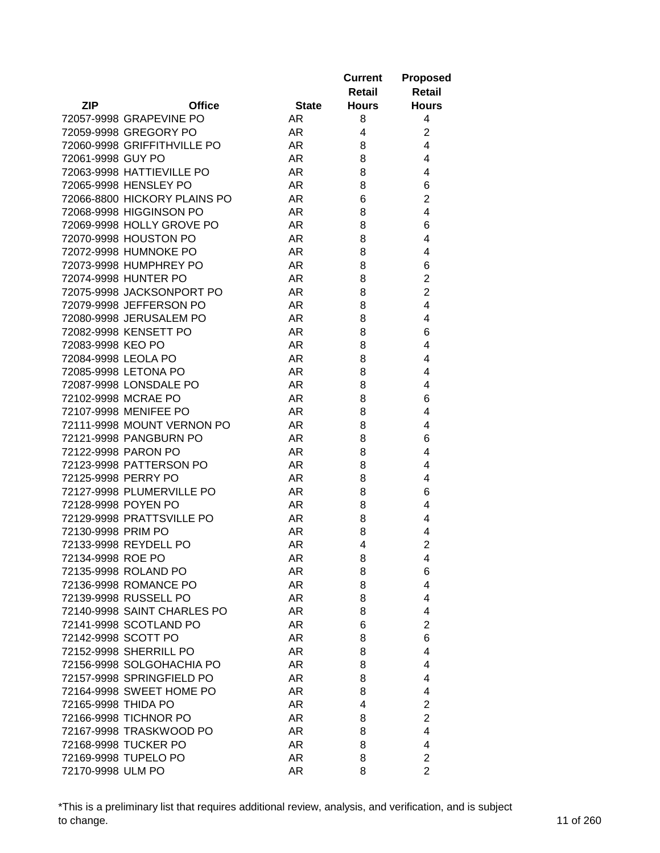|                              |               |              | <b>Current</b><br>Retail | <b>Proposed</b><br><b>Retail</b> |
|------------------------------|---------------|--------------|--------------------------|----------------------------------|
| <b>ZIP</b>                   | <b>Office</b> | <b>State</b> | <b>Hours</b>             | <b>Hours</b>                     |
| 72057-9998 GRAPEVINE PO      |               | AR           | 8                        | 4                                |
| 72059-9998 GREGORY PO        |               | AR           | 4                        | $\overline{2}$                   |
| 72060-9998 GRIFFITHVILLE PO  |               | AR           | 8                        | 4                                |
| 72061-9998 GUY PO            |               | AR           | 8                        | 4                                |
| 72063-9998 HATTIEVILLE PO    |               | AR           | 8                        | 4                                |
| 72065-9998 HENSLEY PO        |               | AR           | 8                        | 6                                |
| 72066-8800 HICKORY PLAINS PO |               | AR           | 6                        | $\overline{2}$                   |
| 72068-9998 HIGGINSON PO      |               | AR           | 8                        | 4                                |
| 72069-9998 HOLLY GROVE PO    |               | <b>AR</b>    | 8                        | 6                                |
| 72070-9998 HOUSTON PO        |               | AR           | 8                        | 4                                |
| 72072-9998 HUMNOKE PO        |               | AR           | 8                        | 4                                |
| 72073-9998 HUMPHREY PO       |               | AR           | 8                        | 6                                |
| 72074-9998 HUNTER PO         |               | <b>AR</b>    | 8                        | $\overline{2}$                   |
| 72075-9998 JACKSONPORT PO    |               | <b>AR</b>    | 8                        | $\overline{2}$                   |
| 72079-9998 JEFFERSON PO      |               | AR           | 8                        | 4                                |
| 72080-9998 JERUSALEM PO      |               | <b>AR</b>    | 8                        | 4                                |
| 72082-9998 KENSETT PO        |               | <b>AR</b>    | 8                        | 6                                |
| 72083-9998 KEO PO            |               | AR           | 8                        | 4                                |
| 72084-9998 LEOLA PO          |               | AR.          | 8                        | 4                                |
| 72085-9998 LETONA PO         |               | AR           | 8                        | 4                                |
| 72087-9998 LONSDALE PO       |               | <b>AR</b>    | 8                        | 4                                |
| 72102-9998 MCRAE PO          |               | <b>AR</b>    | 8                        | 6                                |
| 72107-9998 MENIFEE PO        |               | AR           | 8                        | 4                                |
| 72111-9998 MOUNT VERNON PO   |               | AR           | 8                        | 4                                |
| 72121-9998 PANGBURN PO       |               | <b>AR</b>    | 8                        | 6                                |
| 72122-9998 PARON PO          |               | AR           | 8                        | 4                                |
| 72123-9998 PATTERSON PO      |               | AR           | 8                        | 4                                |
| 72125-9998 PERRY PO          |               | AR           | 8                        | 4                                |
| 72127-9998 PLUMERVILLE PO    |               | AR           | 8                        | 6                                |
| 72128-9998 POYEN PO          |               | AR           | 8                        | 4                                |
| 72129-9998 PRATTSVILLE PO    |               | AR           | 8                        | 4                                |
| 72130-9998 PRIM PO           |               | AR           | 8                        | 4                                |
| 72133-9998 REYDELL PO        |               | AR           | 4                        | $\overline{2}$                   |
| 72134-9998 ROE PO            |               | AR           | 8                        | 4                                |
| 72135-9998 ROLAND PO         |               | AR           | 8                        | 6                                |
| 72136-9998 ROMANCE PO        |               | AR           | 8                        | 4                                |
| 72139-9998 RUSSELL PO        |               | AR           | 8                        | 4                                |
| 72140-9998 SAINT CHARLES PO  |               | AR.          | 8                        | 4                                |
| 72141-9998 SCOTLAND PO       |               | AR           | 6                        | $\overline{2}$                   |
| 72142-9998 SCOTT PO          |               | AR           | 8                        | 6                                |
| 72152-9998 SHERRILL PO       |               | AR           | 8                        | 4                                |
| 72156-9998 SOLGOHACHIA PO    |               | AR           | 8                        | 4                                |
|                              |               |              |                          | 4                                |
| 72157-9998 SPRINGFIELD PO    |               | AR.          | 8                        |                                  |
| 72164-9998 SWEET HOME PO     |               | AR.          | 8                        | 4                                |
| 72165-9998 THIDA PO          |               | AR.          | 4                        | $\overline{2}$                   |
| 72166-9998 TICHNOR PO        |               | AR.          | 8                        | $\overline{2}$                   |
| 72167-9998 TRASKWOOD PO      |               | AR.          | 8                        | 4                                |
| 72168-9998 TUCKER PO         |               | AR.          | 8                        | 4                                |
| 72169-9998 TUPELO PO         |               | AR           | 8                        | $\overline{c}$                   |
| 72170-9998 ULM PO            |               | AR           | 8                        | $\overline{2}$                   |

\*This is a preliminary list that requires additional review, analysis, and verification, and is subject to change. 11 of 260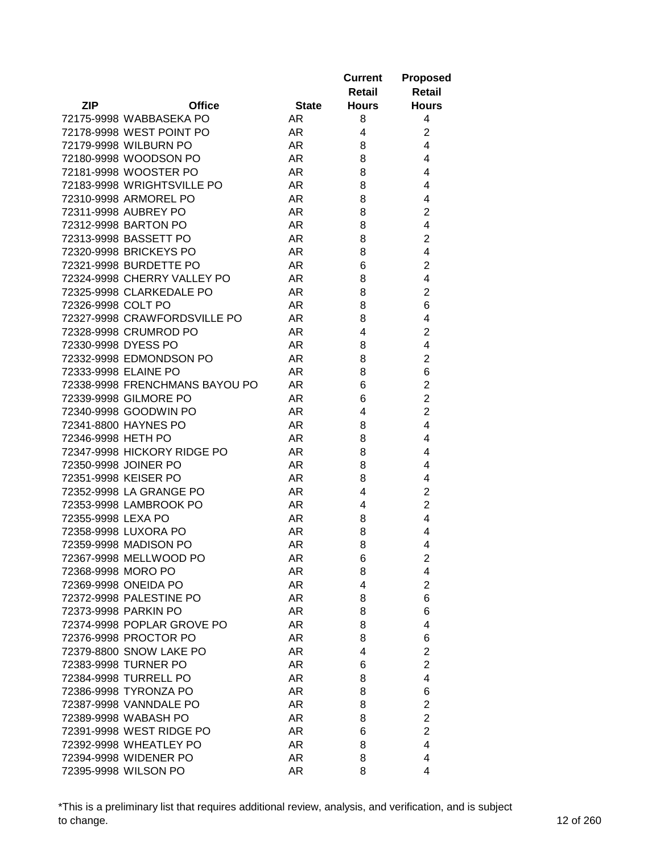|                                            |              | <b>Current</b> | <b>Proposed</b>         |
|--------------------------------------------|--------------|----------------|-------------------------|
|                                            |              | Retail         | Retail                  |
| <b>ZIP</b><br><b>Office</b>                | <b>State</b> | <b>Hours</b>   | <b>Hours</b>            |
| 72175-9998 WABBASEKA PO                    | AR           | 8              | 4                       |
| 72178-9998 WEST POINT PO                   | <b>AR</b>    | 4              | $\overline{c}$          |
| 72179-9998 WILBURN PO                      | <b>AR</b>    | 8              | $\overline{4}$          |
| 72180-9998 WOODSON PO                      | <b>AR</b>    | 8              | $\overline{4}$          |
| 72181-9998 WOOSTER PO                      | <b>AR</b>    | 8              | 4                       |
| 72183-9998 WRIGHTSVILLE PO                 | AR           | 8              | 4                       |
| 72310-9998 ARMOREL PO                      | AR           | 8              | 4                       |
| 72311-9998 AUBREY PO                       | AR           | 8              | $\overline{2}$          |
| 72312-9998 BARTON PO                       | AR           | 8              | 4                       |
| 72313-9998 BASSETT PO                      | <b>AR</b>    | 8              | $\overline{2}$          |
| 72320-9998 BRICKEYS PO                     | AR           | 8              | 4                       |
| 72321-9998 BURDETTE PO                     | AR           | 6              | $\overline{2}$          |
| 72324-9998 CHERRY VALLEY PO                | AR           | 8              | 4                       |
| 72325-9998 CLARKEDALE PO                   | <b>AR</b>    | 8              | $\mathbf 2$             |
| 72326-9998 COLT PO                         | AR           | 8              | $\,6$                   |
| 72327-9998 CRAWFORDSVILLE PO               | AR           | 8              | 4                       |
| 72328-9998 CRUMROD PO                      | <b>AR</b>    | 4              | $\overline{2}$          |
| 72330-9998 DYESS PO                        | <b>AR</b>    | 8              | $\overline{\mathbf{4}}$ |
| 72332-9998 EDMONDSON PO                    | <b>AR</b>    | 8              | $\mathbf 2$             |
| 72333-9998 ELAINE PO                       | <b>AR</b>    | 8              | 6                       |
| 72338-9998 FRENCHMANS BAYOU PO             | <b>AR</b>    | 6              | $\overline{c}$          |
| 72339-9998 GILMORE PO                      | <b>AR</b>    | 6              | $\overline{2}$          |
| 72340-9998 GOODWIN PO                      | AR           | 4              | $\overline{2}$          |
| 72341-8800 HAYNES PO                       | AR           | 8              | $\overline{4}$          |
| 72346-9998 HETH PO                         | AR           | 8              | $\overline{4}$          |
| 72347-9998 HICKORY RIDGE PO                | <b>AR</b>    | 8              | 4                       |
| 72350-9998 JOINER PO                       | AR           | 8              | 4                       |
| 72351-9998 KEISER PO                       | AR           | 8              | 4                       |
| 72352-9998 LA GRANGE PO                    | AR           | 4              | $\mathbf 2$             |
| 72353-9998 LAMBROOK PO                     | <b>AR</b>    | 4              | $\overline{2}$          |
| 72355-9998 LEXA PO                         | AR           |                | 4                       |
| 72358-9998 LUXORA PO                       |              | 8              | 4                       |
| 72359-9998 MADISON PO                      | AR           | 8              | 4                       |
| 72367-9998 MELLWOOD PO                     | AR           | 8              |                         |
|                                            | <b>AR</b>    | 6              | $\overline{2}$          |
| 72368-9998 MORO PO<br>72369-9998 ONEIDA PO | AR<br>AR     | 8<br>4         | 4<br>$\overline{c}$     |
|                                            |              |                |                         |
| 72372-9998 PALESTINE PO                    | AR           | 8              | 6                       |
| 72373-9998 PARKIN PO                       | <b>AR</b>    | 8              | 6                       |
| 72374-9998 POPLAR GROVE PO                 | AR           | 8              | 4                       |
| 72376-9998 PROCTOR PO                      | AR.          | 8              | 6                       |
| 72379-8800 SNOW LAKE PO                    | AR.          | 4              | $\overline{2}$          |
| 72383-9998 TURNER PO                       | AR.          | 6              | $\overline{2}$          |
| 72384-9998 TURRELL PO                      | AR.          | 8              | 4                       |
| 72386-9998 TYRONZA PO                      | AR.          | 8              | 6                       |
| 72387-9998 VANNDALE PO                     | AR.          | 8              | $\overline{2}$          |
| 72389-9998 WABASH PO                       | AR.          | 8              | $\overline{c}$          |
| 72391-9998 WEST RIDGE PO                   | AR           | 6              | $\overline{c}$          |
| 72392-9998 WHEATLEY PO                     | AR.          | 8              | 4                       |
| 72394-9998 WIDENER PO                      | AR.          | 8              | 4                       |
| 72395-9998 WILSON PO                       | AR           | 8              | 4                       |

\*This is a preliminary list that requires additional review, analysis, and verification, and is subject to change. 12 of 260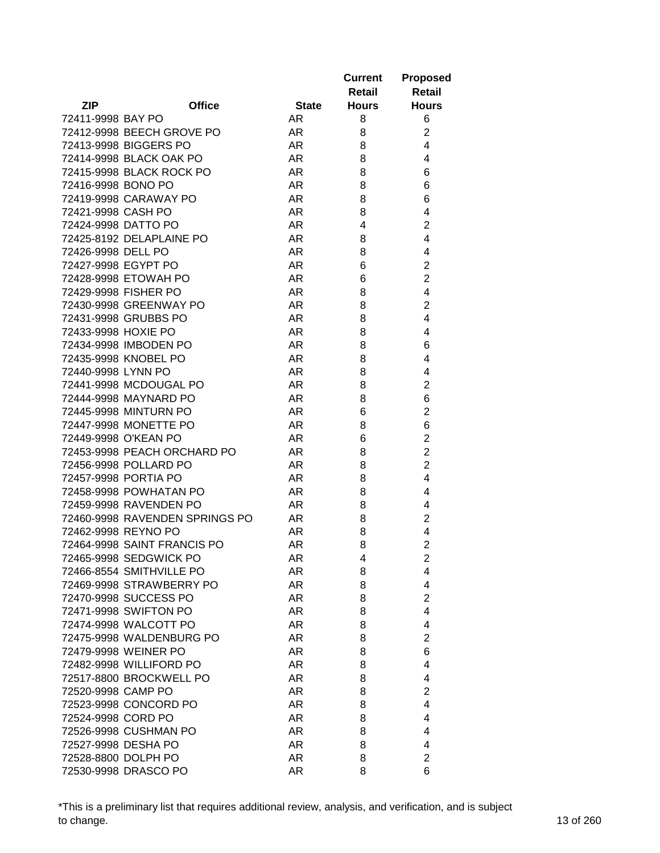| <b>ZIP</b><br><b>Office</b><br><b>State</b><br><b>Hours</b><br><b>Hours</b><br>72411-9998 BAY PO<br>AR.<br>8<br>6<br>72412-9998 BEECH GROVE PO<br>$\overline{2}$<br>AR.<br>8<br>72413-9998 BIGGERS PO<br>4<br>AR<br>8<br>72414-9998 BLACK OAK PO<br>AR.<br>8<br>4<br>72415-9998 BLACK ROCK PO<br>AR.<br>8<br>6<br>72416-9998 BONO PO<br>AR.<br>8<br>6<br>72419-9998 CARAWAY PO<br>AR.<br>8<br>6<br>AR<br>4<br>72421-9998 CASH PO<br>8<br><b>AR</b><br>$\overline{2}$<br>72424-9998 DATTO PO<br>4<br>72425-8192 DELAPLAINE PO<br>AR.<br>4<br>8<br>72426-9998 DELL PO<br>AR.<br>8<br>4<br>$\overline{2}$<br>72427-9998 EGYPT PO<br>AR.<br>6<br>72428-9998 ETOWAH PO<br>AR<br>$\overline{2}$<br>6<br>4<br>72429-9998 FISHER PO<br>AR.<br>8<br>$\overline{2}$<br>72430-9998 GREENWAY PO<br>AR.<br>8<br>72431-9998 GRUBBS PO<br>4<br>AR.<br>8<br>72433-9998 HOXIE PO<br>AR<br>8<br>4<br>72434-9998 IMBODEN PO<br>AR.<br>8<br>6<br>72435-9998 KNOBEL PO<br>AR.<br>8<br>4<br>72440-9998 LYNN PO<br>AR<br>8<br>4<br>$\overline{2}$<br>72441-9998 MCDOUGAL PO<br><b>AR</b><br>8<br>6<br>72444-9998 MAYNARD PO<br>AR.<br>8<br>$\overline{2}$<br>72445-9998 MINTURN PO<br>AR.<br>6<br>AR<br>6<br>72447-9998 MONETTE PO<br>8<br>$\overline{2}$<br>72449-9998 O'KEAN PO<br>AR.<br>6<br>$\overline{2}$<br>72453-9998 PEACH ORCHARD PO<br>AR.<br>8<br>$\overline{2}$<br>72456-9998 POLLARD PO<br>AR.<br>8<br>72457-9998 PORTIA PO<br>AR.<br>4<br>8<br>72458-9998 POWHATAN PO<br>AR.<br>8<br>4<br>72459-9998 RAVENDEN PO<br>AR.<br>8<br>4<br>72460-9998 RAVENDEN SPRINGS PO<br>AR<br>8<br>$\overline{2}$<br>4<br>72462-9998 REYNO PO<br>AR<br>8<br>$\overline{2}$<br>72464-9998 SAINT FRANCIS PO<br>AR<br>8<br>72465-9998 SEDGWICK PO<br>AR<br>2<br>4<br>4<br>72466-8554 SMITHVILLE PO<br>AR.<br>8<br>4<br>72469-9998 STRAWBERRY PO<br>AR<br>8<br>$\overline{2}$<br>72470-9998 SUCCESS PO<br>AR<br>8<br>72471-9998 SWIFTON PO<br>AR<br>4<br>8<br>72474-9998 WALCOTT PO<br>AR.<br>8<br>4<br>$\overline{2}$<br>72475-9998 WALDENBURG PO<br>AR.<br>8<br>AR<br>6<br>72479-9998 WEINER PO<br>8<br>AR<br>72482-9998 WILLIFORD PO<br>4<br>8<br>72517-8800 BROCKWELL PO<br>AR.<br>4<br>8<br>72520-9998 CAMP PO<br>AR.<br>2<br>8<br>72523-9998 CONCORD PO<br>AR.<br>4<br>8<br>72524-9998 CORD PO<br>AR.<br>8<br>4<br>72526-9998 CUSHMAN PO<br>AR.<br>8<br>4<br>72527-9998 DESHA PO<br>AR.<br>8<br>4<br>72528-8800 DOLPH PO<br>$\overline{2}$<br>AR.<br>8 |  | <b>Current</b><br>Retail | <b>Proposed</b><br><b>Retail</b> |
|---------------------------------------------------------------------------------------------------------------------------------------------------------------------------------------------------------------------------------------------------------------------------------------------------------------------------------------------------------------------------------------------------------------------------------------------------------------------------------------------------------------------------------------------------------------------------------------------------------------------------------------------------------------------------------------------------------------------------------------------------------------------------------------------------------------------------------------------------------------------------------------------------------------------------------------------------------------------------------------------------------------------------------------------------------------------------------------------------------------------------------------------------------------------------------------------------------------------------------------------------------------------------------------------------------------------------------------------------------------------------------------------------------------------------------------------------------------------------------------------------------------------------------------------------------------------------------------------------------------------------------------------------------------------------------------------------------------------------------------------------------------------------------------------------------------------------------------------------------------------------------------------------------------------------------------------------------------------------------------------------------------------------------------------------------------------------------------------------------------------------------------------------------------------------------------------------------------------------------------------------------------------------------------------------------------------------------------------------------------------------------------------------------------------------------|--|--------------------------|----------------------------------|
|                                                                                                                                                                                                                                                                                                                                                                                                                                                                                                                                                                                                                                                                                                                                                                                                                                                                                                                                                                                                                                                                                                                                                                                                                                                                                                                                                                                                                                                                                                                                                                                                                                                                                                                                                                                                                                                                                                                                                                                                                                                                                                                                                                                                                                                                                                                                                                                                                                 |  |                          |                                  |
|                                                                                                                                                                                                                                                                                                                                                                                                                                                                                                                                                                                                                                                                                                                                                                                                                                                                                                                                                                                                                                                                                                                                                                                                                                                                                                                                                                                                                                                                                                                                                                                                                                                                                                                                                                                                                                                                                                                                                                                                                                                                                                                                                                                                                                                                                                                                                                                                                                 |  |                          |                                  |
|                                                                                                                                                                                                                                                                                                                                                                                                                                                                                                                                                                                                                                                                                                                                                                                                                                                                                                                                                                                                                                                                                                                                                                                                                                                                                                                                                                                                                                                                                                                                                                                                                                                                                                                                                                                                                                                                                                                                                                                                                                                                                                                                                                                                                                                                                                                                                                                                                                 |  |                          |                                  |
|                                                                                                                                                                                                                                                                                                                                                                                                                                                                                                                                                                                                                                                                                                                                                                                                                                                                                                                                                                                                                                                                                                                                                                                                                                                                                                                                                                                                                                                                                                                                                                                                                                                                                                                                                                                                                                                                                                                                                                                                                                                                                                                                                                                                                                                                                                                                                                                                                                 |  |                          |                                  |
|                                                                                                                                                                                                                                                                                                                                                                                                                                                                                                                                                                                                                                                                                                                                                                                                                                                                                                                                                                                                                                                                                                                                                                                                                                                                                                                                                                                                                                                                                                                                                                                                                                                                                                                                                                                                                                                                                                                                                                                                                                                                                                                                                                                                                                                                                                                                                                                                                                 |  |                          |                                  |
|                                                                                                                                                                                                                                                                                                                                                                                                                                                                                                                                                                                                                                                                                                                                                                                                                                                                                                                                                                                                                                                                                                                                                                                                                                                                                                                                                                                                                                                                                                                                                                                                                                                                                                                                                                                                                                                                                                                                                                                                                                                                                                                                                                                                                                                                                                                                                                                                                                 |  |                          |                                  |
|                                                                                                                                                                                                                                                                                                                                                                                                                                                                                                                                                                                                                                                                                                                                                                                                                                                                                                                                                                                                                                                                                                                                                                                                                                                                                                                                                                                                                                                                                                                                                                                                                                                                                                                                                                                                                                                                                                                                                                                                                                                                                                                                                                                                                                                                                                                                                                                                                                 |  |                          |                                  |
|                                                                                                                                                                                                                                                                                                                                                                                                                                                                                                                                                                                                                                                                                                                                                                                                                                                                                                                                                                                                                                                                                                                                                                                                                                                                                                                                                                                                                                                                                                                                                                                                                                                                                                                                                                                                                                                                                                                                                                                                                                                                                                                                                                                                                                                                                                                                                                                                                                 |  |                          |                                  |
|                                                                                                                                                                                                                                                                                                                                                                                                                                                                                                                                                                                                                                                                                                                                                                                                                                                                                                                                                                                                                                                                                                                                                                                                                                                                                                                                                                                                                                                                                                                                                                                                                                                                                                                                                                                                                                                                                                                                                                                                                                                                                                                                                                                                                                                                                                                                                                                                                                 |  |                          |                                  |
|                                                                                                                                                                                                                                                                                                                                                                                                                                                                                                                                                                                                                                                                                                                                                                                                                                                                                                                                                                                                                                                                                                                                                                                                                                                                                                                                                                                                                                                                                                                                                                                                                                                                                                                                                                                                                                                                                                                                                                                                                                                                                                                                                                                                                                                                                                                                                                                                                                 |  |                          |                                  |
|                                                                                                                                                                                                                                                                                                                                                                                                                                                                                                                                                                                                                                                                                                                                                                                                                                                                                                                                                                                                                                                                                                                                                                                                                                                                                                                                                                                                                                                                                                                                                                                                                                                                                                                                                                                                                                                                                                                                                                                                                                                                                                                                                                                                                                                                                                                                                                                                                                 |  |                          |                                  |
|                                                                                                                                                                                                                                                                                                                                                                                                                                                                                                                                                                                                                                                                                                                                                                                                                                                                                                                                                                                                                                                                                                                                                                                                                                                                                                                                                                                                                                                                                                                                                                                                                                                                                                                                                                                                                                                                                                                                                                                                                                                                                                                                                                                                                                                                                                                                                                                                                                 |  |                          |                                  |
|                                                                                                                                                                                                                                                                                                                                                                                                                                                                                                                                                                                                                                                                                                                                                                                                                                                                                                                                                                                                                                                                                                                                                                                                                                                                                                                                                                                                                                                                                                                                                                                                                                                                                                                                                                                                                                                                                                                                                                                                                                                                                                                                                                                                                                                                                                                                                                                                                                 |  |                          |                                  |
|                                                                                                                                                                                                                                                                                                                                                                                                                                                                                                                                                                                                                                                                                                                                                                                                                                                                                                                                                                                                                                                                                                                                                                                                                                                                                                                                                                                                                                                                                                                                                                                                                                                                                                                                                                                                                                                                                                                                                                                                                                                                                                                                                                                                                                                                                                                                                                                                                                 |  |                          |                                  |
|                                                                                                                                                                                                                                                                                                                                                                                                                                                                                                                                                                                                                                                                                                                                                                                                                                                                                                                                                                                                                                                                                                                                                                                                                                                                                                                                                                                                                                                                                                                                                                                                                                                                                                                                                                                                                                                                                                                                                                                                                                                                                                                                                                                                                                                                                                                                                                                                                                 |  |                          |                                  |
|                                                                                                                                                                                                                                                                                                                                                                                                                                                                                                                                                                                                                                                                                                                                                                                                                                                                                                                                                                                                                                                                                                                                                                                                                                                                                                                                                                                                                                                                                                                                                                                                                                                                                                                                                                                                                                                                                                                                                                                                                                                                                                                                                                                                                                                                                                                                                                                                                                 |  |                          |                                  |
|                                                                                                                                                                                                                                                                                                                                                                                                                                                                                                                                                                                                                                                                                                                                                                                                                                                                                                                                                                                                                                                                                                                                                                                                                                                                                                                                                                                                                                                                                                                                                                                                                                                                                                                                                                                                                                                                                                                                                                                                                                                                                                                                                                                                                                                                                                                                                                                                                                 |  |                          |                                  |
|                                                                                                                                                                                                                                                                                                                                                                                                                                                                                                                                                                                                                                                                                                                                                                                                                                                                                                                                                                                                                                                                                                                                                                                                                                                                                                                                                                                                                                                                                                                                                                                                                                                                                                                                                                                                                                                                                                                                                                                                                                                                                                                                                                                                                                                                                                                                                                                                                                 |  |                          |                                  |
|                                                                                                                                                                                                                                                                                                                                                                                                                                                                                                                                                                                                                                                                                                                                                                                                                                                                                                                                                                                                                                                                                                                                                                                                                                                                                                                                                                                                                                                                                                                                                                                                                                                                                                                                                                                                                                                                                                                                                                                                                                                                                                                                                                                                                                                                                                                                                                                                                                 |  |                          |                                  |
|                                                                                                                                                                                                                                                                                                                                                                                                                                                                                                                                                                                                                                                                                                                                                                                                                                                                                                                                                                                                                                                                                                                                                                                                                                                                                                                                                                                                                                                                                                                                                                                                                                                                                                                                                                                                                                                                                                                                                                                                                                                                                                                                                                                                                                                                                                                                                                                                                                 |  |                          |                                  |
|                                                                                                                                                                                                                                                                                                                                                                                                                                                                                                                                                                                                                                                                                                                                                                                                                                                                                                                                                                                                                                                                                                                                                                                                                                                                                                                                                                                                                                                                                                                                                                                                                                                                                                                                                                                                                                                                                                                                                                                                                                                                                                                                                                                                                                                                                                                                                                                                                                 |  |                          |                                  |
|                                                                                                                                                                                                                                                                                                                                                                                                                                                                                                                                                                                                                                                                                                                                                                                                                                                                                                                                                                                                                                                                                                                                                                                                                                                                                                                                                                                                                                                                                                                                                                                                                                                                                                                                                                                                                                                                                                                                                                                                                                                                                                                                                                                                                                                                                                                                                                                                                                 |  |                          |                                  |
|                                                                                                                                                                                                                                                                                                                                                                                                                                                                                                                                                                                                                                                                                                                                                                                                                                                                                                                                                                                                                                                                                                                                                                                                                                                                                                                                                                                                                                                                                                                                                                                                                                                                                                                                                                                                                                                                                                                                                                                                                                                                                                                                                                                                                                                                                                                                                                                                                                 |  |                          |                                  |
|                                                                                                                                                                                                                                                                                                                                                                                                                                                                                                                                                                                                                                                                                                                                                                                                                                                                                                                                                                                                                                                                                                                                                                                                                                                                                                                                                                                                                                                                                                                                                                                                                                                                                                                                                                                                                                                                                                                                                                                                                                                                                                                                                                                                                                                                                                                                                                                                                                 |  |                          |                                  |
|                                                                                                                                                                                                                                                                                                                                                                                                                                                                                                                                                                                                                                                                                                                                                                                                                                                                                                                                                                                                                                                                                                                                                                                                                                                                                                                                                                                                                                                                                                                                                                                                                                                                                                                                                                                                                                                                                                                                                                                                                                                                                                                                                                                                                                                                                                                                                                                                                                 |  |                          |                                  |
|                                                                                                                                                                                                                                                                                                                                                                                                                                                                                                                                                                                                                                                                                                                                                                                                                                                                                                                                                                                                                                                                                                                                                                                                                                                                                                                                                                                                                                                                                                                                                                                                                                                                                                                                                                                                                                                                                                                                                                                                                                                                                                                                                                                                                                                                                                                                                                                                                                 |  |                          |                                  |
|                                                                                                                                                                                                                                                                                                                                                                                                                                                                                                                                                                                                                                                                                                                                                                                                                                                                                                                                                                                                                                                                                                                                                                                                                                                                                                                                                                                                                                                                                                                                                                                                                                                                                                                                                                                                                                                                                                                                                                                                                                                                                                                                                                                                                                                                                                                                                                                                                                 |  |                          |                                  |
|                                                                                                                                                                                                                                                                                                                                                                                                                                                                                                                                                                                                                                                                                                                                                                                                                                                                                                                                                                                                                                                                                                                                                                                                                                                                                                                                                                                                                                                                                                                                                                                                                                                                                                                                                                                                                                                                                                                                                                                                                                                                                                                                                                                                                                                                                                                                                                                                                                 |  |                          |                                  |
|                                                                                                                                                                                                                                                                                                                                                                                                                                                                                                                                                                                                                                                                                                                                                                                                                                                                                                                                                                                                                                                                                                                                                                                                                                                                                                                                                                                                                                                                                                                                                                                                                                                                                                                                                                                                                                                                                                                                                                                                                                                                                                                                                                                                                                                                                                                                                                                                                                 |  |                          |                                  |
|                                                                                                                                                                                                                                                                                                                                                                                                                                                                                                                                                                                                                                                                                                                                                                                                                                                                                                                                                                                                                                                                                                                                                                                                                                                                                                                                                                                                                                                                                                                                                                                                                                                                                                                                                                                                                                                                                                                                                                                                                                                                                                                                                                                                                                                                                                                                                                                                                                 |  |                          |                                  |
|                                                                                                                                                                                                                                                                                                                                                                                                                                                                                                                                                                                                                                                                                                                                                                                                                                                                                                                                                                                                                                                                                                                                                                                                                                                                                                                                                                                                                                                                                                                                                                                                                                                                                                                                                                                                                                                                                                                                                                                                                                                                                                                                                                                                                                                                                                                                                                                                                                 |  |                          |                                  |
|                                                                                                                                                                                                                                                                                                                                                                                                                                                                                                                                                                                                                                                                                                                                                                                                                                                                                                                                                                                                                                                                                                                                                                                                                                                                                                                                                                                                                                                                                                                                                                                                                                                                                                                                                                                                                                                                                                                                                                                                                                                                                                                                                                                                                                                                                                                                                                                                                                 |  |                          |                                  |
|                                                                                                                                                                                                                                                                                                                                                                                                                                                                                                                                                                                                                                                                                                                                                                                                                                                                                                                                                                                                                                                                                                                                                                                                                                                                                                                                                                                                                                                                                                                                                                                                                                                                                                                                                                                                                                                                                                                                                                                                                                                                                                                                                                                                                                                                                                                                                                                                                                 |  |                          |                                  |
|                                                                                                                                                                                                                                                                                                                                                                                                                                                                                                                                                                                                                                                                                                                                                                                                                                                                                                                                                                                                                                                                                                                                                                                                                                                                                                                                                                                                                                                                                                                                                                                                                                                                                                                                                                                                                                                                                                                                                                                                                                                                                                                                                                                                                                                                                                                                                                                                                                 |  |                          |                                  |
|                                                                                                                                                                                                                                                                                                                                                                                                                                                                                                                                                                                                                                                                                                                                                                                                                                                                                                                                                                                                                                                                                                                                                                                                                                                                                                                                                                                                                                                                                                                                                                                                                                                                                                                                                                                                                                                                                                                                                                                                                                                                                                                                                                                                                                                                                                                                                                                                                                 |  |                          |                                  |
|                                                                                                                                                                                                                                                                                                                                                                                                                                                                                                                                                                                                                                                                                                                                                                                                                                                                                                                                                                                                                                                                                                                                                                                                                                                                                                                                                                                                                                                                                                                                                                                                                                                                                                                                                                                                                                                                                                                                                                                                                                                                                                                                                                                                                                                                                                                                                                                                                                 |  |                          |                                  |
|                                                                                                                                                                                                                                                                                                                                                                                                                                                                                                                                                                                                                                                                                                                                                                                                                                                                                                                                                                                                                                                                                                                                                                                                                                                                                                                                                                                                                                                                                                                                                                                                                                                                                                                                                                                                                                                                                                                                                                                                                                                                                                                                                                                                                                                                                                                                                                                                                                 |  |                          |                                  |
|                                                                                                                                                                                                                                                                                                                                                                                                                                                                                                                                                                                                                                                                                                                                                                                                                                                                                                                                                                                                                                                                                                                                                                                                                                                                                                                                                                                                                                                                                                                                                                                                                                                                                                                                                                                                                                                                                                                                                                                                                                                                                                                                                                                                                                                                                                                                                                                                                                 |  |                          |                                  |
|                                                                                                                                                                                                                                                                                                                                                                                                                                                                                                                                                                                                                                                                                                                                                                                                                                                                                                                                                                                                                                                                                                                                                                                                                                                                                                                                                                                                                                                                                                                                                                                                                                                                                                                                                                                                                                                                                                                                                                                                                                                                                                                                                                                                                                                                                                                                                                                                                                 |  |                          |                                  |
|                                                                                                                                                                                                                                                                                                                                                                                                                                                                                                                                                                                                                                                                                                                                                                                                                                                                                                                                                                                                                                                                                                                                                                                                                                                                                                                                                                                                                                                                                                                                                                                                                                                                                                                                                                                                                                                                                                                                                                                                                                                                                                                                                                                                                                                                                                                                                                                                                                 |  |                          |                                  |
|                                                                                                                                                                                                                                                                                                                                                                                                                                                                                                                                                                                                                                                                                                                                                                                                                                                                                                                                                                                                                                                                                                                                                                                                                                                                                                                                                                                                                                                                                                                                                                                                                                                                                                                                                                                                                                                                                                                                                                                                                                                                                                                                                                                                                                                                                                                                                                                                                                 |  |                          |                                  |
|                                                                                                                                                                                                                                                                                                                                                                                                                                                                                                                                                                                                                                                                                                                                                                                                                                                                                                                                                                                                                                                                                                                                                                                                                                                                                                                                                                                                                                                                                                                                                                                                                                                                                                                                                                                                                                                                                                                                                                                                                                                                                                                                                                                                                                                                                                                                                                                                                                 |  |                          |                                  |
|                                                                                                                                                                                                                                                                                                                                                                                                                                                                                                                                                                                                                                                                                                                                                                                                                                                                                                                                                                                                                                                                                                                                                                                                                                                                                                                                                                                                                                                                                                                                                                                                                                                                                                                                                                                                                                                                                                                                                                                                                                                                                                                                                                                                                                                                                                                                                                                                                                 |  |                          |                                  |
|                                                                                                                                                                                                                                                                                                                                                                                                                                                                                                                                                                                                                                                                                                                                                                                                                                                                                                                                                                                                                                                                                                                                                                                                                                                                                                                                                                                                                                                                                                                                                                                                                                                                                                                                                                                                                                                                                                                                                                                                                                                                                                                                                                                                                                                                                                                                                                                                                                 |  |                          |                                  |
|                                                                                                                                                                                                                                                                                                                                                                                                                                                                                                                                                                                                                                                                                                                                                                                                                                                                                                                                                                                                                                                                                                                                                                                                                                                                                                                                                                                                                                                                                                                                                                                                                                                                                                                                                                                                                                                                                                                                                                                                                                                                                                                                                                                                                                                                                                                                                                                                                                 |  |                          |                                  |
|                                                                                                                                                                                                                                                                                                                                                                                                                                                                                                                                                                                                                                                                                                                                                                                                                                                                                                                                                                                                                                                                                                                                                                                                                                                                                                                                                                                                                                                                                                                                                                                                                                                                                                                                                                                                                                                                                                                                                                                                                                                                                                                                                                                                                                                                                                                                                                                                                                 |  |                          |                                  |
|                                                                                                                                                                                                                                                                                                                                                                                                                                                                                                                                                                                                                                                                                                                                                                                                                                                                                                                                                                                                                                                                                                                                                                                                                                                                                                                                                                                                                                                                                                                                                                                                                                                                                                                                                                                                                                                                                                                                                                                                                                                                                                                                                                                                                                                                                                                                                                                                                                 |  |                          |                                  |
|                                                                                                                                                                                                                                                                                                                                                                                                                                                                                                                                                                                                                                                                                                                                                                                                                                                                                                                                                                                                                                                                                                                                                                                                                                                                                                                                                                                                                                                                                                                                                                                                                                                                                                                                                                                                                                                                                                                                                                                                                                                                                                                                                                                                                                                                                                                                                                                                                                 |  |                          |                                  |
|                                                                                                                                                                                                                                                                                                                                                                                                                                                                                                                                                                                                                                                                                                                                                                                                                                                                                                                                                                                                                                                                                                                                                                                                                                                                                                                                                                                                                                                                                                                                                                                                                                                                                                                                                                                                                                                                                                                                                                                                                                                                                                                                                                                                                                                                                                                                                                                                                                 |  |                          |                                  |
|                                                                                                                                                                                                                                                                                                                                                                                                                                                                                                                                                                                                                                                                                                                                                                                                                                                                                                                                                                                                                                                                                                                                                                                                                                                                                                                                                                                                                                                                                                                                                                                                                                                                                                                                                                                                                                                                                                                                                                                                                                                                                                                                                                                                                                                                                                                                                                                                                                 |  |                          |                                  |
| 6<br>72530-9998 DRASCO PO<br>AR<br>8                                                                                                                                                                                                                                                                                                                                                                                                                                                                                                                                                                                                                                                                                                                                                                                                                                                                                                                                                                                                                                                                                                                                                                                                                                                                                                                                                                                                                                                                                                                                                                                                                                                                                                                                                                                                                                                                                                                                                                                                                                                                                                                                                                                                                                                                                                                                                                                            |  |                          |                                  |

\*This is a preliminary list that requires additional review, analysis, and verification, and is subject to change. 13 of 260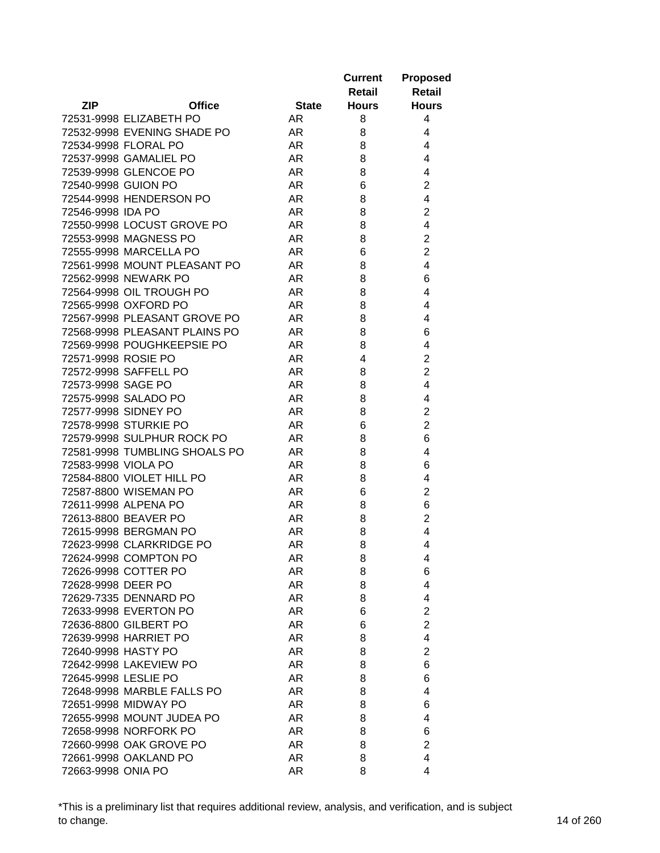|                               |              | <b>Current</b><br>Retail | <b>Proposed</b><br><b>Retail</b> |
|-------------------------------|--------------|--------------------------|----------------------------------|
| <b>ZIP</b><br><b>Office</b>   | <b>State</b> | <b>Hours</b>             | <b>Hours</b>                     |
| 72531-9998 ELIZABETH PO       | AR.          | 8                        | 4                                |
| 72532-9998 EVENING SHADE PO   | AR           | 8                        | 4                                |
| 72534-9998 FLORAL PO          | AR           | 8                        | 4                                |
| 72537-9998 GAMALIEL PO        | <b>AR</b>    | 8                        | 4                                |
| 72539-9998 GLENCOE PO         | <b>AR</b>    | 8                        | 4                                |
| 72540-9998 GUION PO           | <b>AR</b>    | 6                        | $\overline{2}$                   |
| 72544-9998 HENDERSON PO       | <b>AR</b>    | 8                        | 4                                |
| 72546-9998 IDA PO             | AR           | 8                        | $\overline{2}$                   |
| 72550-9998 LOCUST GROVE PO    | <b>AR</b>    | 8                        | $\overline{4}$                   |
| 72553-9998 MAGNESS PO         | AR           | 8                        | $\overline{2}$                   |
| 72555-9998 MARCELLA PO        | AR           | 6                        | $\overline{2}$                   |
| 72561-9998 MOUNT PLEASANT PO  | AR           | 8                        | 4                                |
| 72562-9998 NEWARK PO          | AR           | 8                        | 6                                |
| 72564-9998 OIL TROUGH PO      | AR           | 8                        | 4                                |
| 72565-9998 OXFORD PO          | AR.          | 8                        | 4                                |
| 72567-9998 PLEASANT GROVE PO  | AR           | 8                        | 4                                |
| 72568-9998 PLEASANT PLAINS PO | <b>AR</b>    | 8                        | 6                                |
| 72569-9998 POUGHKEEPSIE PO    | AR.          | 8                        | 4                                |
| 72571-9998 ROSIE PO           | AR.          | 4                        | $\overline{2}$                   |
| 72572-9998 SAFFELL PO         | <b>AR</b>    | 8                        | $\overline{2}$                   |
| 72573-9998 SAGE PO            | AR           | 8                        | $\overline{4}$                   |
| 72575-9998 SALADO PO          | <b>AR</b>    | 8                        | 4                                |
| 72577-9998 SIDNEY PO          | <b>AR</b>    | 8                        | $\overline{2}$                   |
| 72578-9998 STURKIE PO         | AR           | 6                        | $\overline{2}$                   |
| 72579-9998 SULPHUR ROCK PO    | <b>AR</b>    | 8                        | 6                                |
| 72581-9998 TUMBLING SHOALS PO | AR           | 8                        | 4                                |
| 72583-9998 VIOLA PO           | AR.          | 8                        | 6                                |
| 72584-8800 VIOLET HILL PO     | AR.          | 8                        | 4                                |
| 72587-8800 WISEMAN PO         | AR           | 6                        | $\overline{2}$                   |
| 72611-9998 ALPENA PO          | AR           | 8                        | 6                                |
| 72613-8800 BEAVER PO          | AR.          | 8                        | $\overline{2}$                   |
| 72615-9998 BERGMAN PO         | AR           | 8                        | 4                                |
| 72623-9998 CLARKRIDGE PO      | AR           | 8                        | 4                                |
| 72624-9998 COMPTON PO         | AR           | 8                        | 4                                |
| 72626-9998 COTTER PO          | AR           | 8                        | 6                                |
| 72628-9998 DEER PO            | AR           | 8                        | 4                                |
| 72629-7335 DENNARD PO         | AR           | 8                        | 4                                |
| 72633-9998 EVERTON PO         | AR           | 6                        | $\overline{2}$                   |
| 72636-8800 GILBERT PO         | AR           | 6                        | $\overline{2}$                   |
| 72639-9998 HARRIET PO         | AR           | 8                        | 4                                |
| 72640-9998 HASTY PO           | AR           | 8                        | $\overline{2}$                   |
| 72642-9998 LAKEVIEW PO        | AR           | 8                        | 6                                |
| 72645-9998 LESLIE PO          | AR           | 8                        | 6                                |
| 72648-9998 MARBLE FALLS PO    | AR.          | 8                        | 4                                |
| 72651-9998 MIDWAY PO          | AR.          | 8                        | 6                                |
| 72655-9998 MOUNT JUDEA PO     | AR.          | 8                        | 4                                |
| 72658-9998 NORFORK PO         | AR           | 8                        | 6                                |
| 72660-9998 OAK GROVE PO       | AR.          | 8                        | $\overline{2}$                   |
| 72661-9998 OAKLAND PO         | AR.          | 8                        | $\overline{4}$                   |
| 72663-9998 ONIA PO            | AR           | 8                        | 4                                |

\*This is a preliminary list that requires additional review, analysis, and verification, and is subject to change. 14 of 260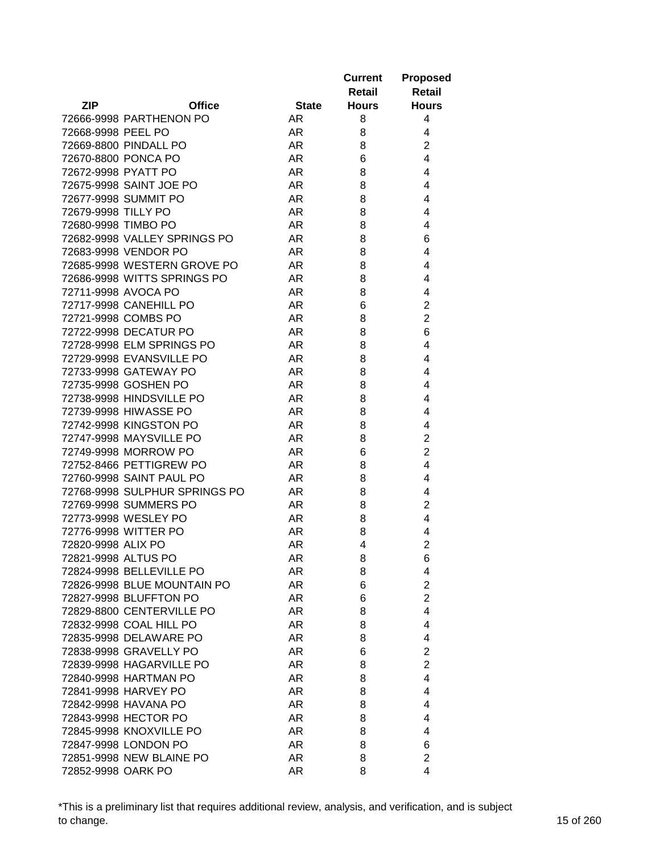|                     |                               |              | <b>Current</b> | <b>Proposed</b> |
|---------------------|-------------------------------|--------------|----------------|-----------------|
|                     |                               |              | Retail         | Retail          |
| ZIP                 | <b>Office</b>                 | <b>State</b> | <b>Hours</b>   | <b>Hours</b>    |
|                     | 72666-9998 PARTHENON PO       | AR.          | 8              | 4               |
| 72668-9998 PEEL PO  |                               | AR           | 8              | 4               |
|                     | 72669-8800 PINDALL PO         | AR           | 8              | $\overline{2}$  |
|                     | 72670-8800 PONCA PO           | AR           | 6              | $\overline{4}$  |
| 72672-9998 PYATT PO |                               | AR           | 8              | 4               |
|                     | 72675-9998 SAINT JOE PO       | AR.          | 8              | 4               |
|                     | 72677-9998 SUMMIT PO          | AR.          | 8              | 4               |
| 72679-9998 TILLY PO |                               | AR.          | 8              | 4               |
| 72680-9998 TIMBO PO |                               | AR           | 8              | 4               |
|                     | 72682-9998 VALLEY SPRINGS PO  | <b>AR</b>    | 8              | 6               |
|                     | 72683-9998 VENDOR PO          | AR           | 8              | 4               |
|                     | 72685-9998 WESTERN GROVE PO   | AR           | 8              | 4               |
|                     | 72686-9998 WITTS SPRINGS PO   | AR           | 8              | 4               |
|                     | 72711-9998 AVOCA PO           | AR           | 8              | 4               |
|                     | 72717-9998 CANEHILL PO        | AR           | 6              | $\overline{c}$  |
|                     | 72721-9998 COMBS PO           | AR           | 8              | $\overline{2}$  |
|                     | 72722-9998 DECATUR PO         | <b>AR</b>    | 8              | 6               |
|                     | 72728-9998 ELM SPRINGS PO     | <b>AR</b>    | 8              | 4               |
|                     | 72729-9998 EVANSVILLE PO      | <b>AR</b>    | 8              | 4               |
|                     | 72733-9998 GATEWAY PO         | AR           | 8              | 4               |
|                     | 72735-9998 GOSHEN PO          | AR           | 8              | 4               |
|                     | 72738-9998 HINDSVILLE PO      | AR           | 8              | 4               |
|                     | 72739-9998 HIWASSE PO         | AR.          | 8              | 4               |
|                     | 72742-9998 KINGSTON PO        | AR.          | 8              | 4               |
|                     | 72747-9998 MAYSVILLE PO       | AR.          | 8              | $\overline{2}$  |
|                     | 72749-9998 MORROW PO          | <b>AR</b>    | 6              | $\overline{2}$  |
|                     | 72752-8466 PETTIGREW PO       | <b>AR</b>    | 8              | 4               |
|                     | 72760-9998 SAINT PAUL PO      | AR           | 8              | 4               |
|                     | 72768-9998 SULPHUR SPRINGS PO | AR           | 8              | 4               |
|                     | 72769-9998 SUMMERS PO         | AR           | 8              | $\overline{c}$  |
|                     | 72773-9998 WESLEY PO          | AR.          | 8              | 4               |
|                     | 72776-9998 WITTER PO          | AR           | 8              | 4               |
| 72820-9998 ALIX PO  |                               | AR           | 4              | $\overline{2}$  |
| 72821-9998 ALTUS PO |                               | <b>AR</b>    | 8              | 6               |
|                     | 72824-9998 BELLEVILLE PO      |              |                | 4               |
|                     | 72826-9998 BLUE MOUNTAIN PO   | AR<br>AR     | 8<br>6         | $\overline{2}$  |
|                     |                               | AR           |                | $\overline{2}$  |
|                     | 72827-9998 BLUFFTON PO        |              | 6              |                 |
|                     | 72829-8800 CENTERVILLE PO     | AR           | 8              | 4               |
|                     | 72832-9998 COAL HILL PO       | AR           | 8              | 4               |
|                     | 72835-9998 DELAWARE PO        | AR           | 8              | 4               |
|                     | 72838-9998 GRAVELLY PO        | AR.          | 6              | $\overline{2}$  |
|                     | 72839-9998 HAGARVILLE PO      | AR           | 8              | $\overline{2}$  |
|                     | 72840-9998 HARTMAN PO         | AR           | 8              | 4               |
|                     | 72841-9998 HARVEY PO          | AR           | 8              | 4               |
|                     | 72842-9998 HAVANA PO          | AR.          | 8              | 4               |
|                     | 72843-9998 HECTOR PO          | AR.          | 8              | 4               |
|                     | 72845-9998 KNOXVILLE PO       | AR           | 8              | 4               |
|                     | 72847-9998 LONDON PO          | AR           | 8              | 6               |
|                     | 72851-9998 NEW BLAINE PO      | AR           | 8              | $\overline{2}$  |
| 72852-9998 OARK PO  |                               | AR           | 8              | 4               |

\*This is a preliminary list that requires additional review, analysis, and verification, and is subject to change. 15 of 260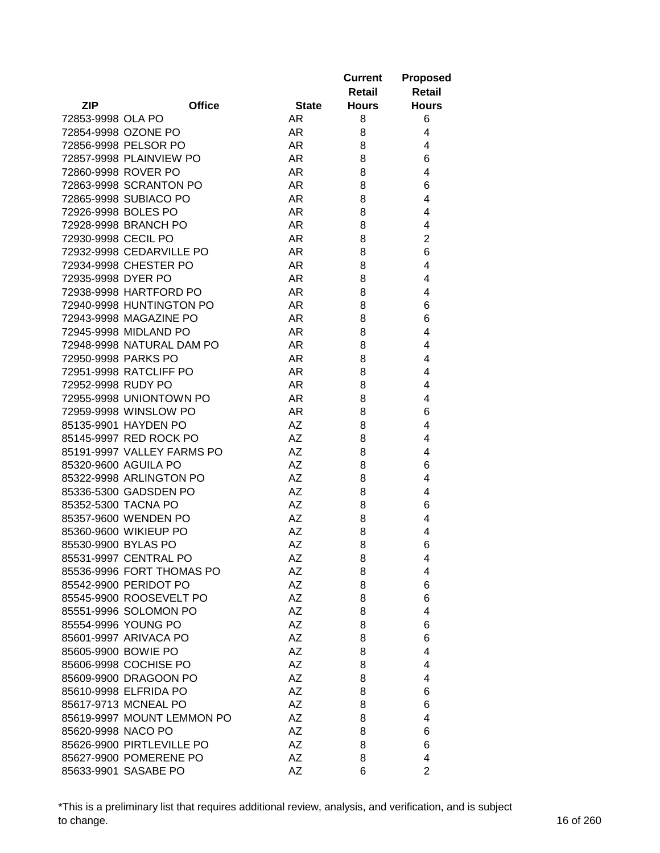|                     |                            |              | <b>Current</b><br>Retail | <b>Proposed</b><br><b>Retail</b> |
|---------------------|----------------------------|--------------|--------------------------|----------------------------------|
| <b>ZIP</b>          | <b>Office</b>              | <b>State</b> | <b>Hours</b>             | <b>Hours</b>                     |
| 72853-9998 OLA PO   |                            | AR           | 8                        | 6                                |
|                     | 72854-9998 OZONE PO        | AR           | 8                        | 4                                |
|                     | 72856-9998 PELSOR PO       | AR           | 8                        | 4                                |
|                     | 72857-9998 PLAINVIEW PO    | AR           | 8                        | 6                                |
|                     | 72860-9998 ROVER PO        | AR           | 8                        | $\overline{4}$                   |
|                     | 72863-9998 SCRANTON PO     | <b>AR</b>    | 8                        | 6                                |
|                     | 72865-9998 SUBIACO PO      | <b>AR</b>    | 8                        | 4                                |
| 72926-9998 BOLES PO |                            | <b>AR</b>    | 8                        | 4                                |
|                     | 72928-9998 BRANCH PO       | <b>AR</b>    | 8                        | 4                                |
| 72930-9998 CECIL PO |                            | AR           | 8                        | $\overline{2}$                   |
|                     | 72932-9998 CEDARVILLE PO   | AR           | 8                        | 6                                |
|                     | 72934-9998 CHESTER PO      | AR           | 8                        | 4                                |
| 72935-9998 DYER PO  |                            | <b>AR</b>    | 8                        | 4                                |
|                     | 72938-9998 HARTFORD PO     | AR           | 8                        | 4                                |
|                     | 72940-9998 HUNTINGTON PO   | AR           | 8                        | 6                                |
|                     | 72943-9998 MAGAZINE PO     | AR           | 8                        | 6                                |
|                     | 72945-9998 MIDLAND PO      | <b>AR</b>    | 8                        | 4                                |
|                     | 72948-9998 NATURAL DAM PO  | <b>AR</b>    | 8                        | 4                                |
| 72950-9998 PARKS PO |                            | AR           | 8                        | 4                                |
|                     | 72951-9998 RATCLIFF PO     | <b>AR</b>    | 8                        | 4                                |
| 72952-9998 RUDY PO  |                            | <b>AR</b>    | 8                        | 4                                |
|                     | 72955-9998 UNIONTOWN PO    | <b>AR</b>    | 8                        | 4                                |
|                     | 72959-9998 WINSLOW PO      | <b>AR</b>    | 8                        | 6                                |
|                     | 85135-9901 HAYDEN PO       | AZ           | 8                        | 4                                |
|                     | 85145-9997 RED ROCK PO     | <b>AZ</b>    | 8                        | $\overline{4}$                   |
|                     | 85191-9997 VALLEY FARMS PO | AZ           | 8                        | 4                                |
|                     | 85320-9600 AGUILA PO       | <b>AZ</b>    | 8                        | 6                                |
|                     | 85322-9998 ARLINGTON PO    | AZ           | 8                        | 4                                |
|                     |                            | AZ           |                          | 4                                |
|                     | 85336-5300 GADSDEN PO      | AZ           | 8                        |                                  |
| 85352-5300 TACNA PO |                            |              | 8                        | 6                                |
|                     | 85357-9600 WENDEN PO       | AZ           | 8                        | 4                                |
|                     | 85360-9600 WIKIEUP PO      | <b>AZ</b>    | 8                        | 4                                |
| 85530-9900 BYLAS PO |                            | <b>AZ</b>    | 8                        | 6                                |
|                     | 85531-9997 CENTRAL PO      | AΖ           | 8                        | 4                                |
|                     | 85536-9996 FORT THOMAS PO  | AΖ           | 8                        | 4                                |
|                     | 85542-9900 PERIDOT PO      | AZ           | 8                        | 6                                |
|                     | 85545-9900 ROOSEVELT PO    | AZ           | 8                        | 6                                |
|                     | 85551-9996 SOLOMON PO      | AZ           | 8                        | 4                                |
|                     | 85554-9996 YOUNG PO        | AΖ           | 8                        | 6                                |
|                     | 85601-9997 ARIVACA PO      | AZ           | 8                        | 6                                |
| 85605-9900 BOWIE PO |                            | <b>AZ</b>    | 8                        | 4                                |
|                     | 85606-9998 COCHISE PO      | AΖ           | 8                        | 4                                |
|                     | 85609-9900 DRAGOON PO      | AZ           | 8                        | 4                                |
|                     | 85610-9998 ELFRIDA PO      | AΖ           | 8                        | 6                                |
|                     | 85617-9713 MCNEAL PO       | AZ           | 8                        | 6                                |
|                     | 85619-9997 MOUNT LEMMON PO | AZ           | 8                        | 4                                |
| 85620-9998 NACO PO  |                            | AZ           | 8                        | 6                                |
|                     | 85626-9900 PIRTLEVILLE PO  | AΖ           | 8                        | 6                                |
|                     | 85627-9900 POMERENE PO     | AZ           | 8                        | 4                                |
|                     | 85633-9901 SASABE PO       | AZ           | 6                        | $\overline{2}$                   |

\*This is a preliminary list that requires additional review, analysis, and verification, and is subject to change. 16 of 260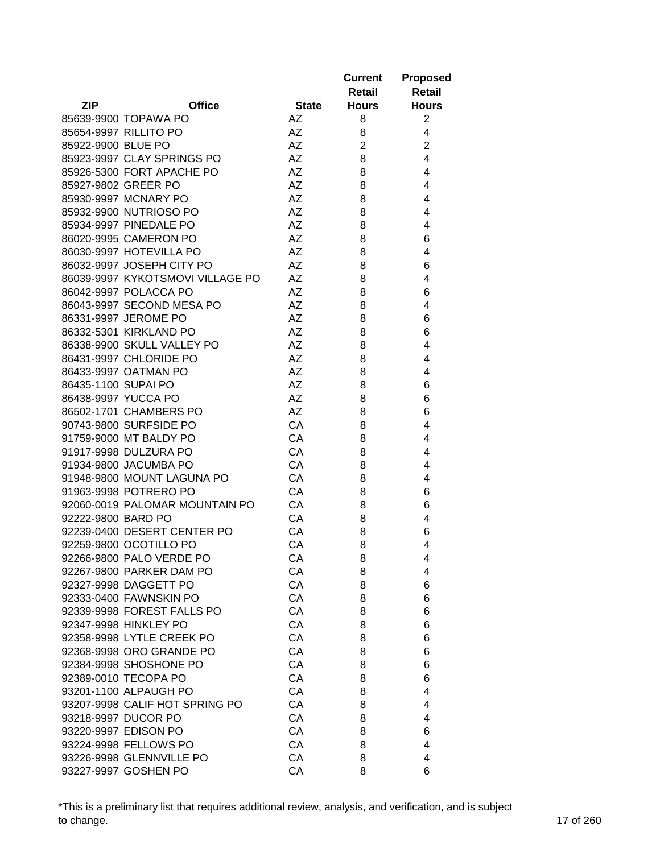|                     |                                  |              | <b>Current</b> | <b>Proposed</b> |
|---------------------|----------------------------------|--------------|----------------|-----------------|
|                     |                                  |              | Retail         | <b>Retail</b>   |
| <b>ZIP</b>          | <b>Office</b>                    | <b>State</b> | <b>Hours</b>   | <b>Hours</b>    |
|                     | 85639-9900 TOPAWA PO             | AZ           | 8              | $\overline{2}$  |
|                     | 85654-9997 RILLITO PO            | AZ           | 8              | 4               |
| 85922-9900 BLUE PO  |                                  | AZ           | $\overline{2}$ | $\overline{2}$  |
|                     | 85923-9997 CLAY SPRINGS PO       | <b>AZ</b>    | 8              | $\overline{4}$  |
|                     | 85926-5300 FORT APACHE PO        | <b>AZ</b>    | 8              | 4               |
| 85927-9802 GREER PO |                                  | <b>AZ</b>    | 8              | 4               |
|                     | 85930-9997 MCNARY PO             | <b>AZ</b>    | 8              | 4               |
|                     | 85932-9900 NUTRIOSO PO           | AΖ           | 8              | 4               |
|                     | 85934-9997 PINEDALE PO           | AZ           | 8              | 4               |
|                     | 86020-9995 CAMERON PO            | AZ           | 8              | 6               |
|                     | 86030-9997 HOTEVILLA PO          | AZ           | 8              | 4               |
|                     | 86032-9997 JOSEPH CITY PO        | AZ           | 8              | 6               |
|                     | 86039-9997 KYKOTSMOVI VILLAGE PO | AZ           | 8              | 4               |
|                     |                                  | AZ           |                |                 |
|                     | 86042-9997 POLACCA PO            |              | 8              | 6               |
|                     | 86043-9997 SECOND MESA PO        | AZ           | 8              | 4               |
|                     | 86331-9997 JEROME PO             | AZ           | 8              | 6               |
|                     | 86332-5301 KIRKLAND PO           | AZ           | 8              | 6               |
|                     | 86338-9900 SKULL VALLEY PO       | AZ           | 8              | 4               |
|                     | 86431-9997 CHLORIDE PO           | AZ           | 8              | 4               |
|                     | 86433-9997 OATMAN PO             | <b>AZ</b>    | 8              | 4               |
| 86435-1100 SUPAI PO |                                  | <b>AZ</b>    | 8              | 6               |
| 86438-9997 YUCCA PO |                                  | <b>AZ</b>    | 8              | 6               |
|                     | 86502-1701 CHAMBERS PO           | <b>AZ</b>    | 8              | 6               |
|                     | 90743-9800 SURFSIDE PO           | CA           | 8              | 4               |
|                     | 91759-9000 MT BALDY PO           | CA           | 8              | 4               |
|                     | 91917-9998 DULZURA PO            | CA           | 8              | 4               |
|                     | 91934-9800 JACUMBA PO            | CA           | 8              | 4               |
|                     | 91948-9800 MOUNT LAGUNA PO       | CA           | 8              | 4               |
|                     | 91963-9998 POTRERO PO            | CA           | 8              | 6               |
|                     | 92060-0019 PALOMAR MOUNTAIN PO   | CA           | 8              | 6               |
| 92222-9800 BARD PO  |                                  | CA           | 8              | 4               |
|                     | 92239-0400 DESERT CENTER PO      | CA           | 8              | 6               |
|                     | 92259-9800 OCOTILLO PO           | CA           | 8              | 4               |
|                     | 92266-9800 PALO VERDE PO         | CA           | 8              | 4               |
|                     | 92267-9800 PARKER DAM PO         | CA           | 8              | 4               |
|                     | 92327-9998 DAGGETT PO            | CA           | 8              | 6               |
|                     | 92333-0400 FAWNSKIN PO           | CA           | 8              | 6               |
|                     | 92339-9998 FOREST FALLS PO       | CA           | 8              | 6               |
|                     | 92347-9998 HINKLEY PO            | CA           | 8              | 6               |
|                     | 92358-9998 LYTLE CREEK PO        | CA           | 8              | 6               |
|                     | 92368-9998 ORO GRANDE PO         | CA           | 8              | 6               |
|                     | 92384-9998 SHOSHONE PO           | CA           | 8              | 6               |
|                     | 92389-0010 TECOPA PO             | CA           | 8              | 6               |
|                     | 93201-1100 ALPAUGH PO            | CA           | 8              | 4               |
|                     | 93207-9998 CALIF HOT SPRING PO   | CA           | 8              | 4               |
|                     | 93218-9997 DUCOR PO              | CA           | 8              | 4               |
|                     | 93220-9997 EDISON PO             | CA           | 8              | 6               |
|                     | 93224-9998 FELLOWS PO            | CA           | 8              | 4               |
|                     | 93226-9998 GLENNVILLE PO         | CA           | 8              | 4               |
|                     | 93227-9997 GOSHEN PO             | СA           | 8              | 6               |
|                     |                                  |              |                |                 |

\*This is a preliminary list that requires additional review, analysis, and verification, and is subject to change. 17 of 260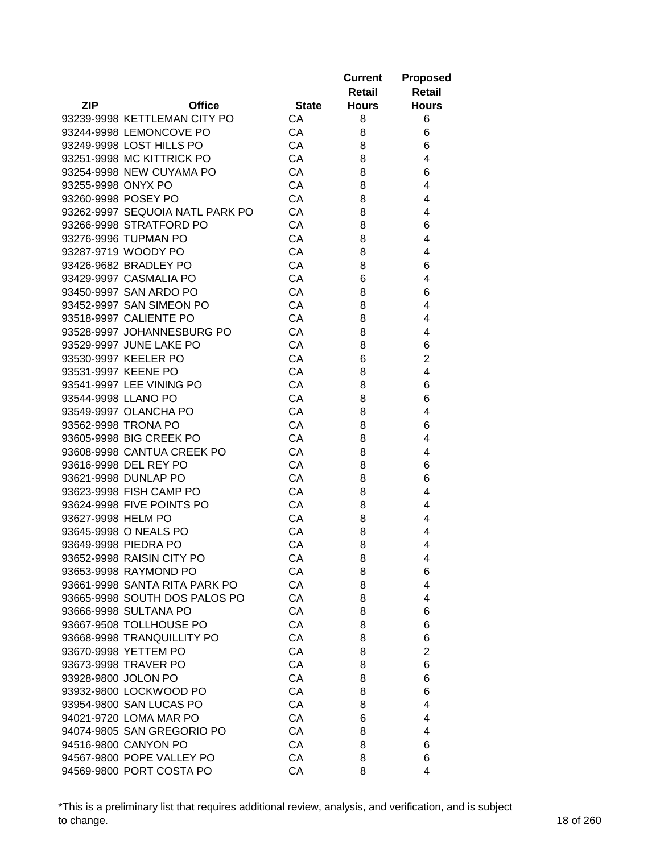|                     |                                 |              | <b>Current</b><br>Retail | <b>Proposed</b><br><b>Retail</b> |
|---------------------|---------------------------------|--------------|--------------------------|----------------------------------|
| <b>ZIP</b>          | <b>Office</b>                   | <b>State</b> | <b>Hours</b>             | <b>Hours</b>                     |
|                     | 93239-9998 KETTLEMAN CITY PO    | CA           | 8                        | 6                                |
|                     | 93244-9998 LEMONCOVE PO         | CA           | 8                        | 6                                |
|                     | 93249-9998 LOST HILLS PO        | CA           | 8                        | 6                                |
|                     | 93251-9998 MC KITTRICK PO       | CA           | 8                        | 4                                |
|                     | 93254-9998 NEW CUYAMA PO        | CA           | 8                        | 6                                |
| 93255-9998 ONYX PO  |                                 | CA           | 8                        | 4                                |
| 93260-9998 POSEY PO |                                 | CA           | 8                        | 4                                |
|                     | 93262-9997 SEQUOIA NATL PARK PO | CA           | 8                        | 4                                |
|                     | 93266-9998 STRATFORD PO         | <b>CA</b>    | 8                        | 6                                |
|                     | 93276-9996 TUPMAN PO            | CA           | 8                        | 4                                |
|                     | 93287-9719 WOODY PO             | CA           | 8                        | 4                                |
|                     | 93426-9682 BRADLEY PO           | CA           | 8                        | 6                                |
|                     | 93429-9997 CASMALIA PO          | CA           | 6                        | 4                                |
|                     | 93450-9997 SAN ARDO PO          | CA           | 8                        | 6                                |
|                     | 93452-9997 SAN SIMEON PO        | CA           | 8                        | 4                                |
|                     | 93518-9997 CALIENTE PO          | CA           | 8                        | 4                                |
|                     | 93528-9997 JOHANNESBURG PO      | CA           | 8                        | 4                                |
|                     | 93529-9997 JUNE LAKE PO         | CA           | 8                        | 6                                |
|                     | 93530-9997 KEELER PO            | CA           | 6                        | $\overline{2}$                   |
| 93531-9997 KEENE PO |                                 | CA           | 8                        | 4                                |
|                     | 93541-9997 LEE VINING PO        | CA           | 8                        | 6                                |
| 93544-9998 LLANO PO |                                 | CA           | 8                        | 6                                |
|                     | 93549-9997 OLANCHA PO           | CA           | 8                        | 4                                |
| 93562-9998 TRONA PO |                                 | CA           | 8                        | 6                                |
|                     | 93605-9998 BIG CREEK PO         | CA           | 8                        | 4                                |
|                     | 93608-9998 CANTUA CREEK PO      | CA           | 8                        | 4                                |
|                     | 93616-9998 DEL REY PO           | CA           | 8                        | 6                                |
|                     | 93621-9998 DUNLAP PO            | CA           | 8                        | 6                                |
|                     | 93623-9998 FISH CAMP PO         | CA           | 8                        | 4                                |
|                     | 93624-9998 FIVE POINTS PO       | CA           | 8                        | 4                                |
| 93627-9998 HELM PO  |                                 | CA           | 8                        | 4                                |
|                     | 93645-9998 O NEALS PO           | СA           | 8                        | 4                                |
|                     | 93649-9998 PIEDRA PO            | CA           | 8                        | 4                                |
|                     | 93652-9998 RAISIN CITY PO       | CA           | 8                        | 4                                |
|                     | 93653-9998 RAYMOND PO           | CA           | 8                        | 6                                |
|                     | 93661-9998 SANTA RITA PARK PO   | CA           | 8                        | 4                                |
|                     | 93665-9998 SOUTH DOS PALOS PO   | CA           | 8                        | 4                                |
|                     | 93666-9998 SULTANA PO           | CA           | 8                        | 6                                |
|                     | 93667-9508 TOLLHOUSE PO         | CA           | 8                        | 6                                |
|                     | 93668-9998 TRANQUILLITY PO      | CA           | 8                        | 6                                |
|                     | 93670-9998 YETTEM PO            | CA           | 8                        | $\overline{2}$                   |
|                     | 93673-9998 TRAVER PO            | CA           | 8                        | 6                                |
| 93928-9800 JOLON PO |                                 | CA           | 8                        | 6                                |
|                     | 93932-9800 LOCKWOOD PO          | CA           | 8                        | 6                                |
|                     | 93954-9800 SAN LUCAS PO         | CA           | 8                        | 4                                |
|                     | 94021-9720 LOMA MAR PO          | CA           | 6                        | 4                                |
|                     | 94074-9805 SAN GREGORIO PO      | CA           | 8                        | 4                                |
|                     | 94516-9800 CANYON PO            | CA           | 8                        | 6                                |
|                     | 94567-9800 POPE VALLEY PO       | СA           | 8                        | 6                                |
|                     | 94569-9800 PORT COSTA PO        | CA           | 8                        | 4                                |

\*This is a preliminary list that requires additional review, analysis, and verification, and is subject to change. 18 of 260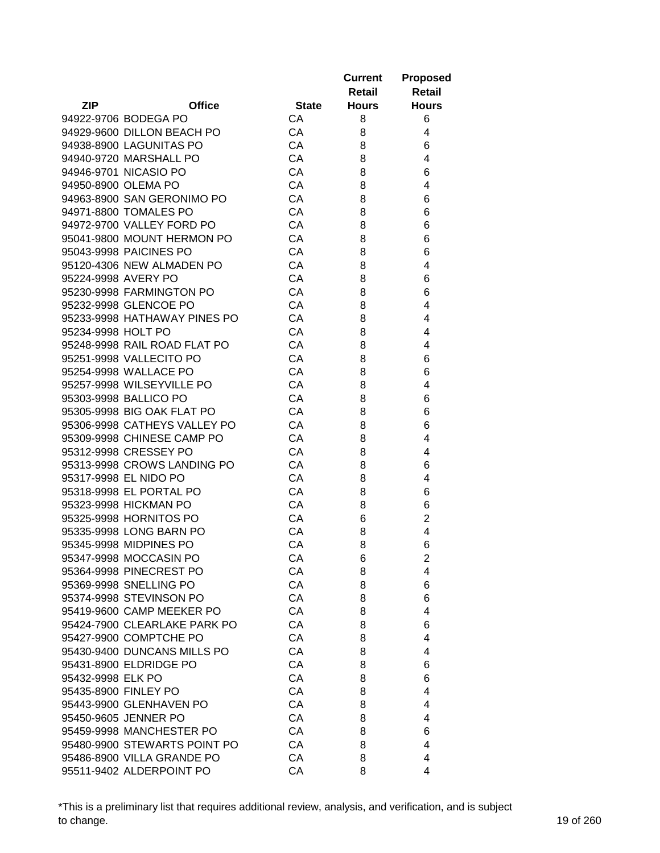|                    |                              |              | <b>Current</b><br>Retail | <b>Proposed</b><br><b>Retail</b> |
|--------------------|------------------------------|--------------|--------------------------|----------------------------------|
| <b>ZIP</b>         | <b>Office</b>                | <b>State</b> | <b>Hours</b>             | <b>Hours</b>                     |
|                    | 94922-9706 BODEGA PO         | CA           | 8                        | 6                                |
|                    | 94929-9600 DILLON BEACH PO   | CA           | 8                        | 4                                |
|                    | 94938-8900 LAGUNITAS PO      | CA           | 8                        | 6                                |
|                    | 94940-9720 MARSHALL PO       | CA           | 8                        | 4                                |
|                    | 94946-9701 NICASIO PO        | CA           | 8                        | 6                                |
|                    | 94950-8900 OLEMA PO          | CA           | 8                        | 4                                |
|                    | 94963-8900 SAN GERONIMO PO   | CA           | 8                        | 6                                |
|                    | 94971-8800 TOMALES PO        | CA           | 8                        | 6                                |
|                    | 94972-9700 VALLEY FORD PO    | CA           | 8                        | 6                                |
|                    | 95041-9800 MOUNT HERMON PO   | CA           | 8                        | 6                                |
|                    | 95043-9998 PAICINES PO       | CA           | 8                        | 6                                |
|                    | 95120-4306 NEW ALMADEN PO    | CA           | 8                        | 4                                |
|                    | 95224-9998 AVERY PO          | CA           | 8                        | 6                                |
|                    | 95230-9998 FARMINGTON PO     | CA           | 8                        | 6                                |
|                    | 95232-9998 GLENCOE PO        | CA           | 8                        | 4                                |
|                    | 95233-9998 HATHAWAY PINES PO | CA           | 8                        | 4                                |
| 95234-9998 HOLT PO |                              | CA           | 8                        | 4                                |
|                    | 95248-9998 RAIL ROAD FLAT PO | CA           | 8                        | 4                                |
|                    | 95251-9998 VALLECITO PO      | CA           | 8                        | 6                                |
|                    | 95254-9998 WALLACE PO        | CA           | 8                        | 6                                |
|                    | 95257-9998 WILSEYVILLE PO    | CA           | 8                        | 4                                |
|                    | 95303-9998 BALLICO PO        | CA           | 8                        | 6                                |
|                    | 95305-9998 BIG OAK FLAT PO   | CA           | 8                        | 6                                |
|                    | 95306-9998 CATHEYS VALLEY PO | CA           | 8                        | 6                                |
|                    | 95309-9998 CHINESE CAMP PO   | CA           | 8                        | 4                                |
|                    | 95312-9998 CRESSEY PO        | CA           | 8                        | 4                                |
|                    | 95313-9998 CROWS LANDING PO  | CA           | 8                        | 6                                |
|                    | 95317-9998 EL NIDO PO        | CA           | 8                        | 4                                |
|                    | 95318-9998 EL PORTAL PO      | CA           | 8                        | 6                                |
|                    | 95323-9998 HICKMAN PO        | CA           | 8                        | 6                                |
|                    | 95325-9998 HORNITOS PO       | CA           | 6                        | $\overline{2}$                   |
|                    | 95335-9998 LONG BARN PO      | CA           | 8                        | 4                                |
|                    | 95345-9998 MIDPINES PO       | CA           | 8                        | 6                                |
|                    | 95347-9998 MOCCASIN PO       | CA           | 6                        | 2                                |
|                    | 95364-9998 PINECREST PO      | CA           | 8                        | 4                                |
|                    | 95369-9998 SNELLING PO       | CA           | 8                        | 6                                |
|                    | 95374-9998 STEVINSON PO      | CA           | 8                        | 6                                |
|                    | 95419-9600 CAMP MEEKER PO    | CA           | 8                        | 4                                |
|                    | 95424-7900 CLEARLAKE PARK PO | CA           | 8                        | 6                                |
|                    | 95427-9900 COMPTCHE PO       | CA           | 8                        | 4                                |
|                    | 95430-9400 DUNCANS MILLS PO  | CA           | 8                        | 4                                |
|                    | 95431-8900 ELDRIDGE PO       | CA           | 8                        | 6                                |
| 95432-9998 ELK PO  |                              | CA           | 8                        | 6                                |
|                    | 95435-8900 FINLEY PO         | CA           | 8                        | 4                                |
|                    | 95443-9900 GLENHAVEN PO      | CA           | 8                        | 4                                |
|                    | 95450-9605 JENNER PO         | CA           | 8                        | 4                                |
|                    | 95459-9998 MANCHESTER PO     | CA           | 8                        | 6                                |
|                    | 95480-9900 STEWARTS POINT PO | CA           | 8                        | 4                                |
|                    | 95486-8900 VILLA GRANDE PO   | CA           | 8                        | 4                                |
|                    | 95511-9402 ALDERPOINT PO     | CA           | 8                        | 4                                |

\*This is a preliminary list that requires additional review, analysis, and verification, and is subject to change. 19 of 260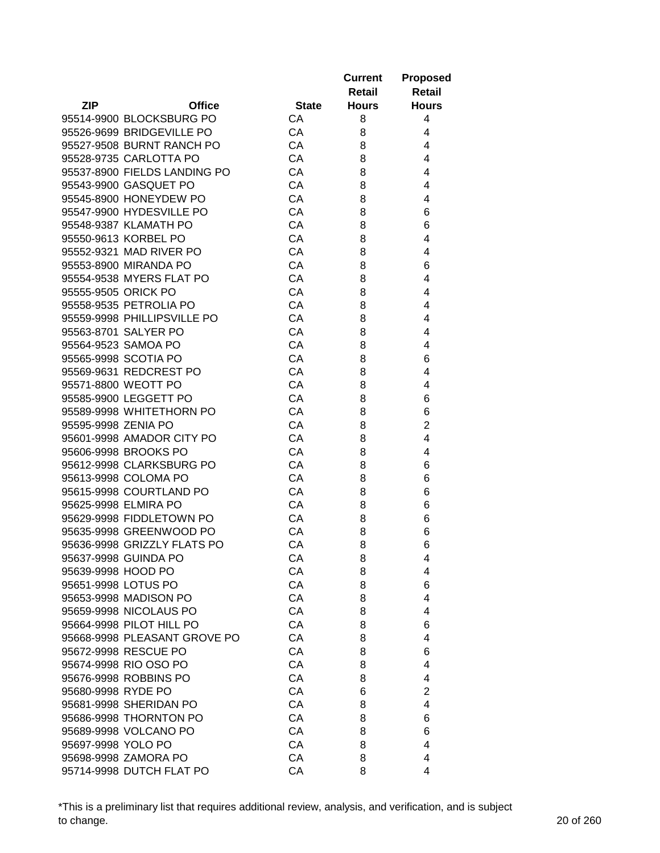|                     |                                                  |              | <b>Current</b><br>Retail | <b>Proposed</b><br><b>Retail</b> |
|---------------------|--------------------------------------------------|--------------|--------------------------|----------------------------------|
| <b>ZIP</b>          | <b>Office</b>                                    | <b>State</b> | <b>Hours</b>             | <b>Hours</b>                     |
|                     | 95514-9900 BLOCKSBURG PO                         | CA           | 8                        | 4                                |
|                     | 95526-9699 BRIDGEVILLE PO                        | CA           | 8                        | 4                                |
|                     | 95527-9508 BURNT RANCH PO                        | CA           | 8                        | 4                                |
|                     | 95528-9735 CARLOTTA PO                           | CA           | 8                        | 4                                |
|                     | 95537-8900 FIELDS LANDING PO                     | CA           | 8                        | 4                                |
|                     | 95543-9900 GASQUET PO                            | CA           | 8                        | 4                                |
|                     | 95545-8900 HONEYDEW PO                           | CA           | 8                        | 4                                |
|                     | 95547-9900 HYDESVILLE PO                         | CA           | 8                        | 6                                |
|                     | 95548-9387 KLAMATH PO                            | CA           | 8                        | 6                                |
|                     | 95550-9613 KORBEL PO                             | CA           | 8                        | 4                                |
|                     | 95552-9321 MAD RIVER PO                          | CA           | 8                        | 4                                |
|                     | 95553-8900 MIRANDA PO                            | CA           | 8                        | 6                                |
|                     | 95554-9538 MYERS FLAT PO                         | CA           | 8                        | 4                                |
| 95555-9505 ORICK PO |                                                  | CA           | 8                        | 4                                |
|                     | 95558-9535 PETROLIA PO                           | CA           | 8                        | 4                                |
|                     | 95559-9998 PHILLIPSVILLE PO                      | CA           | 8                        | 4                                |
|                     | 95563-8701 SALYER PO                             | CA           | 8                        | 4                                |
|                     | 95564-9523 SAMOA PO                              | CA           | 8                        | 4                                |
|                     | 95565-9998 SCOTIA PO                             | CA           | 8                        | 6                                |
|                     | 95569-9631 REDCREST PO                           | CA           | 8                        | 4                                |
|                     | 95571-8800 WEOTT PO                              | CA           | 8                        | 4                                |
|                     | 95585-9900 LEGGETT PO                            | CA           | 8                        | 6                                |
|                     | 95589-9998 WHITETHORN PO                         | CA           | 8                        | 6                                |
| 95595-9998 ZENIA PO |                                                  | CA           | 8                        | $\overline{2}$                   |
|                     | 95601-9998 AMADOR CITY PO                        | CA           | 8                        | 4                                |
|                     | 95606-9998 BROOKS PO                             | CA           | 8                        | 4                                |
|                     | 95612-9998 CLARKSBURG PO                         | CA           | 8                        | 6                                |
|                     | 95613-9998 COLOMA PO                             | CA           | 8                        | 6                                |
|                     | 95615-9998 COURTLAND PO                          | CA           | 8                        | 6                                |
|                     | 95625-9998 ELMIRA PO                             | CA           | 8                        | 6                                |
|                     | 95629-9998 FIDDLETOWN PO                         | CA           | 8                        | 6                                |
|                     | 95635-9998 GREENWOOD PO                          | CA           | 8                        | 6                                |
|                     | 95636-9998 GRIZZLY FLATS PO                      | CA           | 8                        | 6                                |
|                     | 95637-9998 GUINDA PO                             | CA           | 8                        | 4                                |
| 95639-9998 HOOD PO  |                                                  | CA           | 8                        | 4                                |
| 95651-9998 LOTUS PO |                                                  | CA           | 8                        | 6                                |
|                     | 95653-9998 MADISON PO                            | CA           | 8                        | 4                                |
|                     | 95659-9998 NICOLAUS PO                           | CA           | 8                        | 4                                |
|                     | 95664-9998 PILOT HILL PO                         | CA           | 8                        | 6                                |
|                     | 95668-9998 PLEASANT GROVE PO                     | CA           | 8                        | 4                                |
|                     | 95672-9998 RESCUE PO                             | CA           | 8                        | 6                                |
|                     | 95674-9998 RIO OSO PO                            | CA           | 8                        | 4                                |
|                     | 95676-9998 ROBBINS PO                            | CA           |                          | 4                                |
| 95680-9998 RYDE PO  |                                                  | CA           | 8<br>6                   | 2                                |
|                     |                                                  |              |                          |                                  |
|                     | 95681-9998 SHERIDAN PO<br>95686-9998 THORNTON PO | CA<br>CA     | 8                        | 4                                |
|                     |                                                  |              | 8                        | 6                                |
|                     | 95689-9998 VOLCANO PO                            | CA           | 8                        | 6                                |
| 95697-9998 YOLO PO  |                                                  | CA           | 8                        | 4                                |
|                     | 95698-9998 ZAMORA PO                             | CA           | 8                        | 4                                |
|                     | 95714-9998 DUTCH FLAT PO                         | CA           | 8                        | 4                                |

\*This is a preliminary list that requires additional review, analysis, and verification, and is subject to change. 20 of 260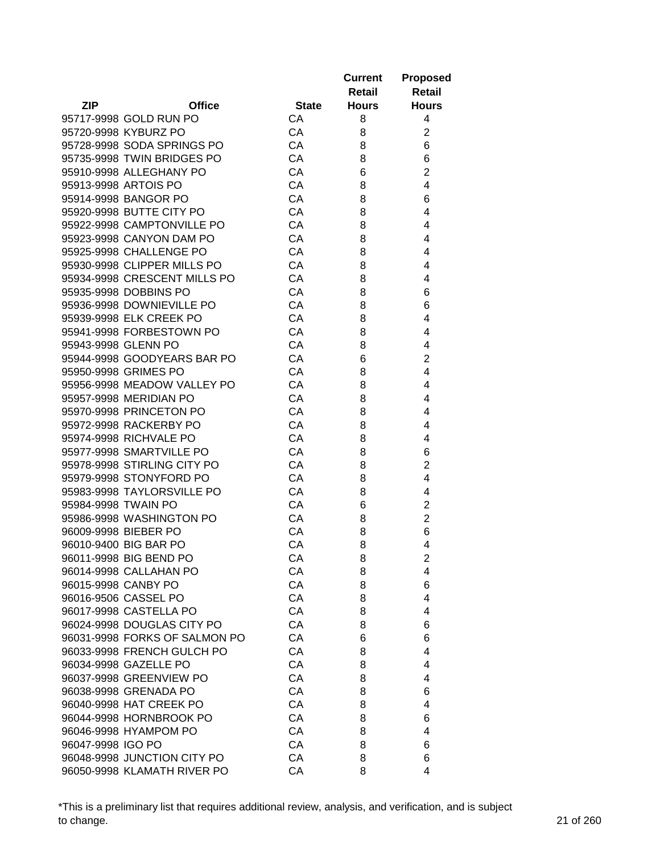|                     |                               |              | <b>Current</b><br>Retail | <b>Proposed</b><br><b>Retail</b> |
|---------------------|-------------------------------|--------------|--------------------------|----------------------------------|
| <b>ZIP</b>          | <b>Office</b>                 | <b>State</b> | <b>Hours</b>             | <b>Hours</b>                     |
|                     | 95717-9998 GOLD RUN PO        | CA           | 8                        | 4                                |
|                     | 95720-9998 KYBURZ PO          | CA           | 8                        | $\overline{2}$                   |
|                     | 95728-9998 SODA SPRINGS PO    | CA           | 8                        | 6                                |
|                     | 95735-9998 TWIN BRIDGES PO    | CA           | 8                        | 6                                |
|                     | 95910-9998 ALLEGHANY PO       | CA           | 6                        | $\overline{2}$                   |
|                     | 95913-9998 ARTOIS PO          | CA           | 8                        | 4                                |
|                     | 95914-9998 BANGOR PO          | CA           | 8                        | 6                                |
|                     | 95920-9998 BUTTE CITY PO      | CA           | 8                        | 4                                |
|                     | 95922-9998 CAMPTONVILLE PO    | CA           | 8                        | 4                                |
|                     | 95923-9998 CANYON DAM PO      | CA           | 8                        | 4                                |
|                     | 95925-9998 CHALLENGE PO       | CA           | 8                        | 4                                |
|                     | 95930-9998 CLIPPER MILLS PO   | CA           | 8                        | 4                                |
|                     | 95934-9998 CRESCENT MILLS PO  | CA           | 8                        | 4                                |
|                     | 95935-9998 DOBBINS PO         | CA           | 8                        | 6                                |
|                     | 95936-9998 DOWNIEVILLE PO     | CA           | 8                        | 6                                |
|                     | 95939-9998 ELK CREEK PO       | CA           | 8                        | 4                                |
|                     | 95941-9998 FORBESTOWN PO      | CA           | 8                        | 4                                |
| 95943-9998 GLENN PO |                               | CA           | 8                        | 4                                |
|                     | 95944-9998 GOODYEARS BAR PO   | CA           | 6                        | $\overline{2}$                   |
|                     | 95950-9998 GRIMES PO          | CA           | 8                        | 4                                |
|                     | 95956-9998 MEADOW VALLEY PO   | CA           | 8                        | 4                                |
|                     | 95957-9998 MERIDIAN PO        | CA           | 8                        | 4                                |
|                     | 95970-9998 PRINCETON PO       | CA           | 8                        | 4                                |
|                     | 95972-9998 RACKERBY PO        | CA           | 8                        | 4                                |
|                     | 95974-9998 RICHVALE PO        | CA           | 8                        | 4                                |
|                     | 95977-9998 SMARTVILLE PO      | CA           | 8                        | 6                                |
|                     | 95978-9998 STIRLING CITY PO   | CA           | 8                        | $\overline{2}$                   |
|                     | 95979-9998 STONYFORD PO       | CA           | 8                        | 4                                |
|                     | 95983-9998 TAYLORSVILLE PO    | CA           | 8                        | 4                                |
| 95984-9998 TWAIN PO |                               | CA           | 6                        | $\overline{c}$                   |
|                     | 95986-9998 WASHINGTON PO      | CA           | 8                        | $\overline{2}$                   |
|                     | 96009-9998 BIEBER PO          | CA           | 8                        | 6                                |
|                     | 96010-9400 BIG BAR PO         | CA           | 8                        | 4                                |
|                     | 96011-9998 BIG BEND PO        | CA           |                          |                                  |
|                     | 96014-9998 CALLAHAN PO        | CA           | 8                        | 2<br>4                           |
| 96015-9998 CANBY PO |                               | CA           | 8<br>8                   | 6                                |
|                     | 96016-9506 CASSEL PO          | CA           |                          |                                  |
|                     | 96017-9998 CASTELLA PO        |              | 8                        | 4                                |
|                     |                               | CA           | 8                        | 4                                |
|                     | 96024-9998 DOUGLAS CITY PO    | CA           | 8                        | 6                                |
|                     | 96031-9998 FORKS OF SALMON PO | CA           | 6                        | 6                                |
|                     | 96033-9998 FRENCH GULCH PO    | CA           | 8                        | 4                                |
|                     | 96034-9998 GAZELLE PO         | CA           | 8                        | 4                                |
|                     | 96037-9998 GREENVIEW PO       | CA           | 8                        | 4                                |
|                     | 96038-9998 GRENADA PO         | CA           | 8                        | 6                                |
|                     | 96040-9998 HAT CREEK PO       | CA           | 8                        | 4                                |
|                     | 96044-9998 HORNBROOK PO       | CA           | 8                        | 6                                |
|                     | 96046-9998 HYAMPOM PO         | CA           | 8                        | 4                                |
| 96047-9998 IGO PO   |                               | CA           | 8                        | 6                                |
|                     | 96048-9998 JUNCTION CITY PO   | CA           | 8                        | 6                                |
|                     | 96050-9998 KLAMATH RIVER PO   | CA           | 8                        | 4                                |

\*This is a preliminary list that requires additional review, analysis, and verification, and is subject to change. 21 of 260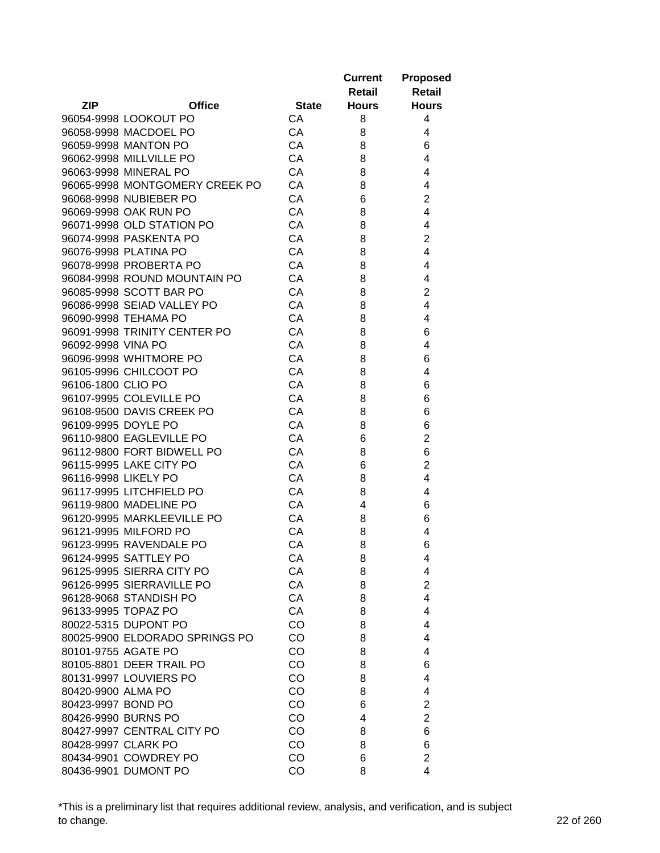|                      |                                |              | <b>Current</b><br>Retail | <b>Proposed</b><br><b>Retail</b> |
|----------------------|--------------------------------|--------------|--------------------------|----------------------------------|
| <b>ZIP</b>           | <b>Office</b>                  | <b>State</b> | <b>Hours</b>             | <b>Hours</b>                     |
|                      | 96054-9998 LOOKOUT PO          | CA           | 8                        | 4                                |
|                      | 96058-9998 MACDOEL PO          | CA           | 8                        | 4                                |
|                      | 96059-9998 MANTON PO           | CA           | 8                        | 6                                |
|                      | 96062-9998 MILLVILLE PO        | CA           | 8                        | 4                                |
|                      | 96063-9998 MINERAL PO          | CA           | 8                        | 4                                |
|                      | 96065-9998 MONTGOMERY CREEK PO | CA           | 8                        | 4                                |
|                      | 96068-9998 NUBIEBER PO         | CA           | 6                        | $\overline{2}$                   |
|                      | 96069-9998 OAK RUN PO          | CA           | 8                        | 4                                |
|                      | 96071-9998 OLD STATION PO      | CA           | 8                        | 4                                |
|                      | 96074-9998 PASKENTA PO         | CA           | 8                        | $\overline{2}$                   |
|                      | 96076-9998 PLATINA PO          | CA           | 8                        | 4                                |
|                      | 96078-9998 PROBERTA PO         | CA           | 8                        | 4                                |
|                      | 96084-9998 ROUND MOUNTAIN PO   | CA           | 8                        | 4                                |
|                      | 96085-9998 SCOTT BAR PO        | CA           | 8                        | $\overline{2}$                   |
|                      | 96086-9998 SEIAD VALLEY PO     | CA           | 8                        | 4                                |
|                      | 96090-9998 TEHAMA PO           | CA           | 8                        | 4                                |
|                      | 96091-9998 TRINITY CENTER PO   | CA           | 8                        | 6                                |
| 96092-9998 VINA PO   |                                | CA           | 8                        | 4                                |
|                      | 96096-9998 WHITMORE PO         | CA           | 8                        | 6                                |
|                      | 96105-9996 CHILCOOT PO         | CA           | 8                        | 4                                |
| 96106-1800 CLIO PO   |                                | CA           | 8                        | 6                                |
|                      | 96107-9995 COLEVILLE PO        | CA           | 8                        | 6                                |
|                      | 96108-9500 DAVIS CREEK PO      | CA           | 8                        | 6                                |
| 96109-9995 DOYLE PO  |                                | CA           | 8                        | 6                                |
|                      | 96110-9800 EAGLEVILLE PO       | CA           | 6                        | $\overline{2}$                   |
|                      | 96112-9800 FORT BIDWELL PO     | CA           | 8                        | 6                                |
|                      | 96115-9995 LAKE CITY PO        | CA           | 6                        | $\overline{2}$                   |
| 96116-9998 LIKELY PO |                                | CA           | 8                        | 4                                |
|                      | 96117-9995 LITCHFIELD PO       | CA           | 8                        | 4                                |
|                      | 96119-9800 MADELINE PO         | CA           | 4                        | 6                                |
|                      | 96120-9995 MARKLEEVILLE PO     | CA           | 8                        | 6                                |
|                      | 96121-9995 MILFORD PO          | CA           | 8                        | 4                                |
|                      | 96123-9995 RAVENDALE PO        | CA           | 8                        | 6                                |
|                      | 96124-9995 SATTLEY PO          | CA           | 8                        | 4                                |
|                      | 96125-9995 SIERRA CITY PO      | CA           | 8                        | 4                                |
|                      | 96126-9995 SIERRAVILLE PO      | CA           | 8                        | $\overline{2}$                   |
|                      | 96128-9068 STANDISH PO         | CA           | 8                        | $\overline{4}$                   |
| 96133-9995 TOPAZ PO  |                                | CA           | 8                        | 4                                |
|                      | 80022-5315 DUPONT PO           | CO           | 8                        | 4                                |
|                      | 80025-9900 ELDORADO SPRINGS PO | CO           | 8                        | 4                                |
| 80101-9755 AGATE PO  |                                | CO           | 8                        | 4                                |
|                      | 80105-8801 DEER TRAIL PO       | CO           | 8                        | 6                                |
|                      | 80131-9997 LOUVIERS PO         | CO           | 8                        | 4                                |
| 80420-9900 ALMA PO   |                                | CO           | 8                        | 4                                |
| 80423-9997 BOND PO   |                                | CO           | 6                        | $\overline{2}$                   |
| 80426-9990 BURNS PO  |                                | CO           | 4                        | $\overline{2}$                   |
|                      | 80427-9997 CENTRAL CITY PO     | CO           | 8                        | 6                                |
| 80428-9997 CLARK PO  |                                | CO           | 8                        | 6                                |
|                      | 80434-9901 COWDREY PO          | CO           | 6                        | $\overline{2}$                   |
|                      | 80436-9901 DUMONT PO           | CO           | 8                        | 4                                |

\*This is a preliminary list that requires additional review, analysis, and verification, and is subject to change. 22 of 260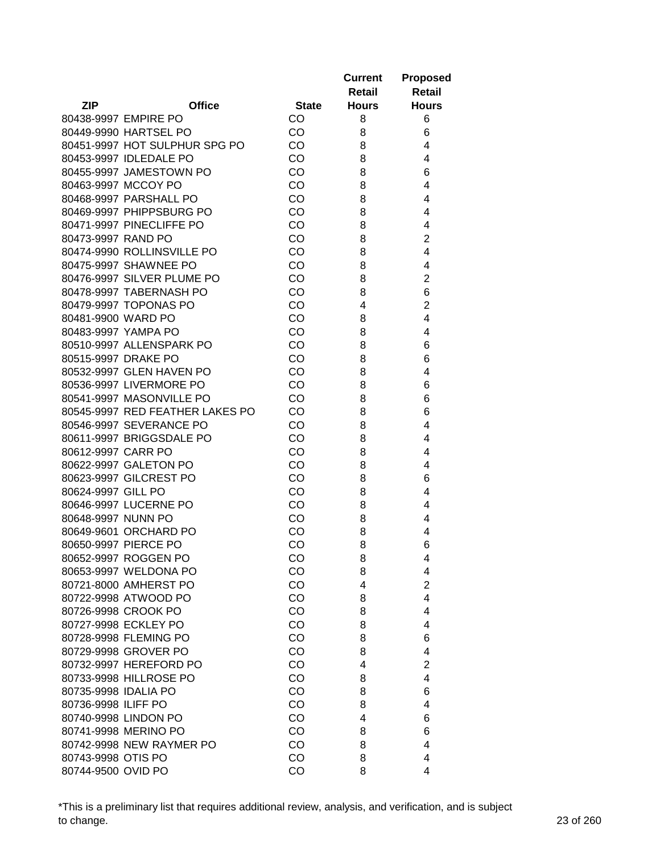|                      |                                 |              | <b>Current</b><br>Retail | <b>Proposed</b><br><b>Retail</b> |
|----------------------|---------------------------------|--------------|--------------------------|----------------------------------|
| <b>ZIP</b>           | <b>Office</b>                   | <b>State</b> | <b>Hours</b>             | <b>Hours</b>                     |
|                      | 80438-9997 EMPIRE PO            | CO           | 8                        | 6                                |
|                      | 80449-9990 HARTSEL PO           | CO           | 8                        | 6                                |
|                      | 80451-9997 HOT SULPHUR SPG PO   | CO           | 8                        | 4                                |
|                      | 80453-9997 IDLEDALE PO          | CO           | 8                        | 4                                |
|                      | 80455-9997 JAMESTOWN PO         | CO           | 8                        | 6                                |
|                      | 80463-9997 MCCOY PO             | CO           | 8                        | 4                                |
|                      | 80468-9997 PARSHALL PO          | CO           | 8                        | 4                                |
|                      | 80469-9997 PHIPPSBURG PO        | CO           | 8                        | 4                                |
|                      | 80471-9997 PINECLIFFE PO        | CO           | 8                        | 4                                |
| 80473-9997 RAND PO   |                                 | CO           | 8                        | $\overline{2}$                   |
|                      | 80474-9990 ROLLINSVILLE PO      | CO           | 8                        | 4                                |
|                      | 80475-9997 SHAWNEE PO           | CO           | 8                        | 4                                |
|                      | 80476-9997 SILVER PLUME PO      | CO           | 8                        | $\overline{2}$                   |
|                      | 80478-9997 TABERNASH PO         | CO           | 8                        | 6                                |
|                      | 80479-9997 TOPONAS PO           | CO           | 4                        | $\overline{2}$                   |
| 80481-9900 WARD PO   |                                 | CO           | 8                        | 4                                |
|                      | 80483-9997 YAMPA PO             | CO           | 8                        | 4                                |
|                      | 80510-9997 ALLENSPARK PO        | CO           | 8                        | 6                                |
| 80515-9997 DRAKE PO  |                                 | CO           | 8                        | 6                                |
|                      | 80532-9997 GLEN HAVEN PO        | CO           | 8                        | 4                                |
|                      | 80536-9997 LIVERMORE PO         | CO           | 8                        | 6                                |
|                      | 80541-9997 MASONVILLE PO        | CO           | 8                        | 6                                |
|                      | 80545-9997 RED FEATHER LAKES PO | CO           | 8                        | 6                                |
|                      | 80546-9997 SEVERANCE PO         | CO           | 8                        | 4                                |
|                      | 80611-9997 BRIGGSDALE PO        | CO           | 8                        | 4                                |
| 80612-9997 CARR PO   |                                 | CO           | 8                        | 4                                |
|                      | 80622-9997 GALETON PO           | CO           | 8                        | 4                                |
|                      | 80623-9997 GILCREST PO          | CO           | 8                        | 6                                |
| 80624-9997 GILL PO   |                                 | CO           | 8                        | 4                                |
|                      | 80646-9997 LUCERNE PO           | CO           | 8                        | 4                                |
| 80648-9997 NUNN PO   |                                 | CO           | 8                        | 4                                |
|                      | 80649-9601 ORCHARD PO           | CO           | 8                        | 4                                |
|                      | 80650-9997 PIERCE PO            | CO           | 8                        | 6                                |
|                      | 80652-9997 ROGGEN PO            | CO           | 8                        | 4                                |
|                      | 80653-9997 WELDONA PO           | CO           | 8                        | 4                                |
|                      | 80721-8000 AMHERST PO           | CO           | 4                        | $\overline{2}$                   |
|                      | 80722-9998 ATWOOD PO            | CO           | 8                        | 4                                |
|                      | 80726-9998 CROOK PO             | CO           | 8                        | 4                                |
|                      | 80727-9998 ECKLEY PO            | CO           | 8                        | 4                                |
|                      | 80728-9998 FLEMING PO           | CO           | 8                        | 6                                |
|                      | 80729-9998 GROVER PO            | CO           | 8                        | 4                                |
|                      | 80732-9997 HEREFORD PO          | CO           | 4                        | $\overline{2}$                   |
|                      | 80733-9998 HILLROSE PO          | CO           | 8                        | 4                                |
| 80735-9998 IDALIA PO |                                 | CO           | 8                        | 6                                |
| 80736-9998 ILIFF PO  |                                 | CO           | 8                        | 4                                |
|                      | 80740-9998 LINDON PO            | CO           | 4                        | 6                                |
|                      | 80741-9998 MERINO PO            | CO           | 8                        | 6                                |
|                      | 80742-9998 NEW RAYMER PO        | CO           | 8                        | 4                                |
| 80743-9998 OTIS PO   |                                 | CO           | 8                        | 4                                |
| 80744-9500 OVID PO   |                                 | CO           | 8                        | 4                                |

\*This is a preliminary list that requires additional review, analysis, and verification, and is subject to change. 23 of 260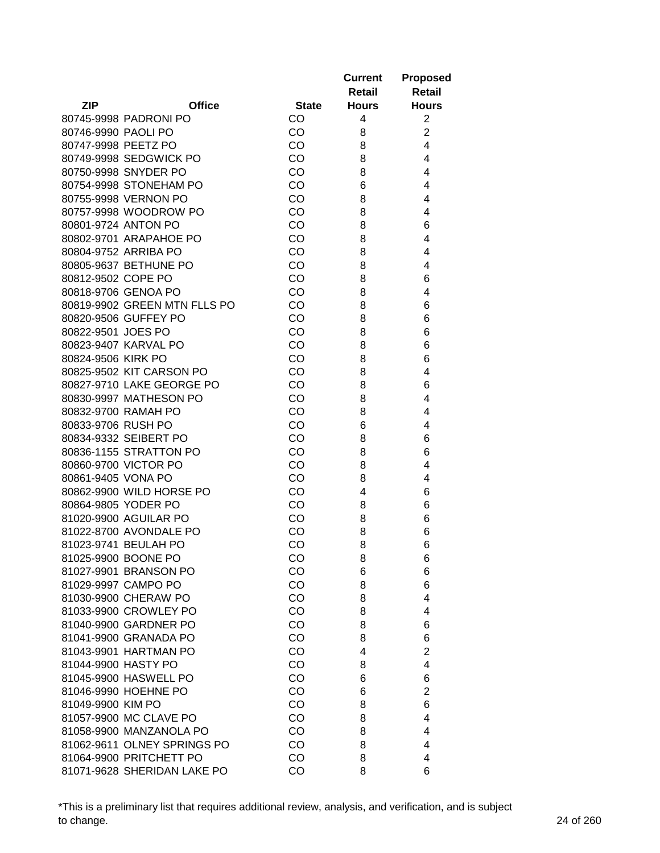|                     |                              |              | <b>Current</b><br>Retail | <b>Proposed</b><br><b>Retail</b> |
|---------------------|------------------------------|--------------|--------------------------|----------------------------------|
| <b>ZIP</b>          | <b>Office</b>                | <b>State</b> | <b>Hours</b>             | <b>Hours</b>                     |
|                     | 80745-9998 PADRONI PO        | CO           | 4                        | $\overline{2}$                   |
| 80746-9990 PAOLI PO |                              | <b>CO</b>    | 8                        | $\overline{2}$                   |
| 80747-9998 PEETZ PO |                              | <b>CO</b>    | 8                        | 4                                |
|                     | 80749-9998 SEDGWICK PO       | CO           | 8                        | 4                                |
|                     | 80750-9998 SNYDER PO         | CO           | 8                        | 4                                |
|                     | 80754-9998 STONEHAM PO       | CO           | 6                        | 4                                |
|                     | 80755-9998 VERNON PO         | CO           | 8                        | 4                                |
|                     | 80757-9998 WOODROW PO        | CO           | 8                        | 4                                |
|                     | 80801-9724 ANTON PO          | CO           | 8                        | 6                                |
|                     | 80802-9701 ARAPAHOE PO       | CO           | 8                        | 4                                |
|                     | 80804-9752 ARRIBA PO         | CO           | 8                        | 4                                |
|                     | 80805-9637 BETHUNE PO        | CO           | 8                        | 4                                |
| 80812-9502 COPE PO  |                              | <b>CO</b>    | 8                        | 6                                |
|                     | 80818-9706 GENOA PO          | CO           | 8                        | 4                                |
|                     | 80819-9902 GREEN MTN FLLS PO | CO           | 8                        | 6                                |
|                     | 80820-9506 GUFFEY PO         | CO           | 8                        | 6                                |
| 80822-9501 JOES PO  |                              | <b>CO</b>    | 8                        | 6                                |
|                     | 80823-9407 KARVAL PO         | CO           | 8                        | 6                                |
| 80824-9506 KIRK PO  |                              | CO           | 8                        | 6                                |
|                     | 80825-9502 KIT CARSON PO     | CO           | 8                        | 4                                |
|                     | 80827-9710 LAKE GEORGE PO    | CO           | 8                        | 6                                |
|                     | 80830-9997 MATHESON PO       | CO           | 8                        | 4                                |
|                     | 80832-9700 RAMAH PO          | CO           | 8                        | 4                                |
| 80833-9706 RUSH PO  |                              | CO           | 6                        | 4                                |
|                     | 80834-9332 SEIBERT PO        | CO           | 8                        | 6                                |
|                     | 80836-1155 STRATTON PO       | CO           | 8                        | 6                                |
|                     | 80860-9700 VICTOR PO         | CO           | 8                        | 4                                |
| 80861-9405 VONA PO  |                              | CO           | 8                        | 4                                |
|                     | 80862-9900 WILD HORSE PO     | CO           | 4                        | 6                                |
|                     | 80864-9805 YODER PO          | CO           | 8                        | 6                                |
|                     | 81020-9900 AGUILAR PO        | CO           | 8                        | 6                                |
|                     | 81022-8700 AVONDALE PO       | CO           | 8                        | 6                                |
|                     | 81023-9741 BEULAH PO         | CO           | 8                        | 6                                |
|                     | 81025-9900 BOONE PO          | CO           | 8                        | 6                                |
|                     | 81027-9901 BRANSON PO        | CO           | 6                        | 6                                |
|                     | 81029-9997 CAMPO PO          | CO           | 8                        | 6                                |
|                     | 81030-9900 CHERAW PO         | CO           | 8                        | 4                                |
|                     | 81033-9900 CROWLEY PO        | CO           | 8                        | 4                                |
|                     | 81040-9900 GARDNER PO        | CO           | 8                        | 6                                |
|                     | 81041-9900 GRANADA PO        | CO           | 8                        | 6                                |
|                     | 81043-9901 HARTMAN PO        | CO           | 4                        | $\overline{2}$                   |
| 81044-9900 HASTY PO |                              | CO           | 8                        | 4                                |
|                     | 81045-9900 HASWELL PO        | CO           | 6                        | 6                                |
|                     | 81046-9990 HOEHNE PO         | CO           | 6                        | 2                                |
| 81049-9900 KIM PO   |                              | CO           | 8                        | 6                                |
|                     | 81057-9900 MC CLAVE PO       | CO           | 8                        | 4                                |
|                     | 81058-9900 MANZANOLA PO      | CO           | 8                        | 4                                |
|                     | 81062-9611 OLNEY SPRINGS PO  | CO           | 8                        | 4                                |
|                     | 81064-9900 PRITCHETT PO      | CO           | 8                        | 4                                |
|                     | 81071-9628 SHERIDAN LAKE PO  | CO           | 8                        | 6                                |

\*This is a preliminary list that requires additional review, analysis, and verification, and is subject to change. 24 of 260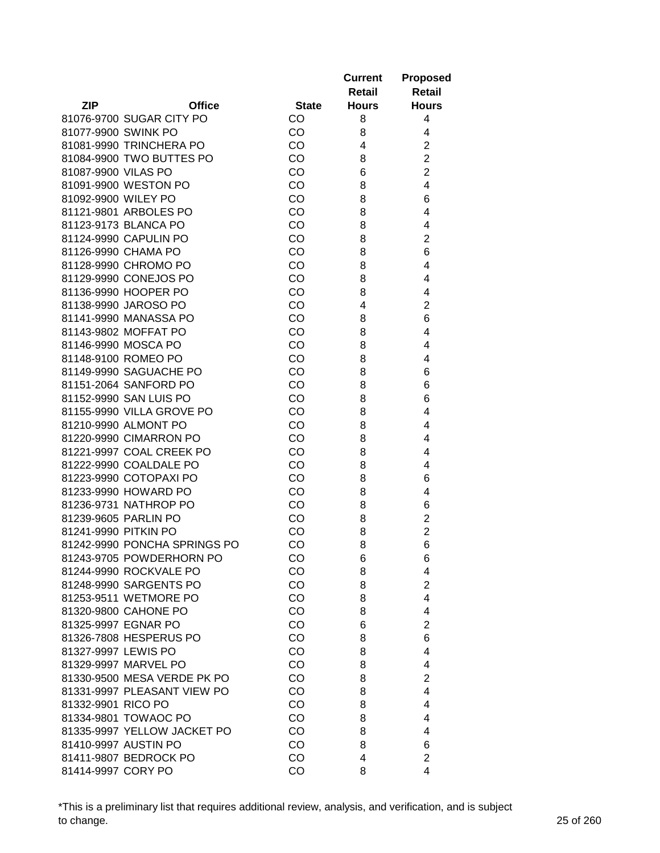|                              |              | <b>Current</b> | <b>Proposed</b> |
|------------------------------|--------------|----------------|-----------------|
|                              |              | Retail         | <b>Retail</b>   |
| <b>ZIP</b><br><b>Office</b>  | <b>State</b> | <b>Hours</b>   | <b>Hours</b>    |
| 81076-9700 SUGAR CITY PO     | CO           | 8              | 4               |
| 81077-9900 SWINK PO          | CO           | 8              | 4               |
| 81081-9990 TRINCHERA PO      | CO           | 4              | $\overline{2}$  |
| 81084-9900 TWO BUTTES PO     | CO           | 8              | $\overline{2}$  |
| 81087-9900 VILAS PO          | CO           | 6              | $\overline{2}$  |
| 81091-9900 WESTON PO         | CO           | 8              | 4               |
| 81092-9900 WILEY PO          | CO           | 8              | 6               |
| 81121-9801 ARBOLES PO        | CO           | 8              | 4               |
| 81123-9173 BLANCA PO         | CO           | 8              | 4               |
| 81124-9990 CAPULIN PO        | CO           | 8              | $\overline{2}$  |
| 81126-9990 CHAMA PO          | CO           | 8              | 6               |
| 81128-9990 CHROMO PO         | CO           | 8              | 4               |
| 81129-9990 CONEJOS PO        | CO           | 8              | 4               |
| 81136-9990 HOOPER PO         | CO           | 8              | 4               |
| 81138-9990 JAROSO PO         | CO           | 4              | $\overline{c}$  |
| 81141-9990 MANASSA PO        | CO           | 8              | 6               |
| 81143-9802 MOFFAT PO         | CO           | 8              | 4               |
| 81146-9990 MOSCA PO          | CO           | 8              | 4               |
| 81148-9100 ROMEO PO          | CO           | 8              | 4               |
| 81149-9990 SAGUACHE PO       | CO           | 8              | 6               |
| 81151-2064 SANFORD PO        | CO           | 8              | 6               |
| 81152-9990 SAN LUIS PO       | CO           | 8              | 6               |
| 81155-9990 VILLA GROVE PO    | CO           | 8              | 4               |
| 81210-9990 ALMONT PO         | CO           | 8              | 4               |
| 81220-9990 CIMARRON PO       | CO           | 8              | 4               |
| 81221-9997 COAL CREEK PO     | CO           | 8              | 4               |
| 81222-9990 COALDALE PO       | CO           | 8              | 4               |
| 81223-9990 COTOPAXI PO       | CO           | 8              | 6               |
| 81233-9990 HOWARD PO         | CO           | 8              | 4               |
| 81236-9731 NATHROP PO        | CO           | 8              | 6               |
| 81239-9605 PARLIN PO         | CO           | 8              | $\overline{c}$  |
| 81241-9990 PITKIN PO         | CO           | 8              | $\overline{2}$  |
| 81242-9990 PONCHA SPRINGS PO | CO           | 8              | 6               |
| 81243-9705 POWDERHORN PO     | CO           | 6              | 6               |
| 81244-9990 ROCKVALE PO       | CO           | 8              | 4               |
| 81248-9990 SARGENTS PO       | CO           | 8              | $\overline{2}$  |
| 81253-9511 WETMORE PO        | CO           | 8              | 4               |
| 81320-9800 CAHONE PO         | CO           | 8              | 4               |
| 81325-9997 EGNAR PO          | CO           | 6              | $\overline{2}$  |
| 81326-7808 HESPERUS PO       |              |                |                 |
|                              | CO           | 8              | 6               |
| 81327-9997 LEWIS PO          | CO           | 8              | 4               |
| 81329-9997 MARVEL PO         | CO           | 8              | 4               |
| 81330-9500 MESA VERDE PK PO  | CO           | 8              | $\overline{2}$  |
| 81331-9997 PLEASANT VIEW PO  | CO           | 8              | 4               |
| 81332-9901 RICO PO           | CO           | 8              | 4               |
| 81334-9801 TOWAOC PO         | CO           | 8              | 4               |
| 81335-9997 YELLOW JACKET PO  | CO           | 8              | 4               |
| 81410-9997 AUSTIN PO         | CO           | 8              | 6               |
| 81411-9807 BEDROCK PO        | CO           | 4              | $\overline{2}$  |
| 81414-9997 CORY PO           | CO           | 8              | 4               |

\*This is a preliminary list that requires additional review, analysis, and verification, and is subject to change. 25 of 260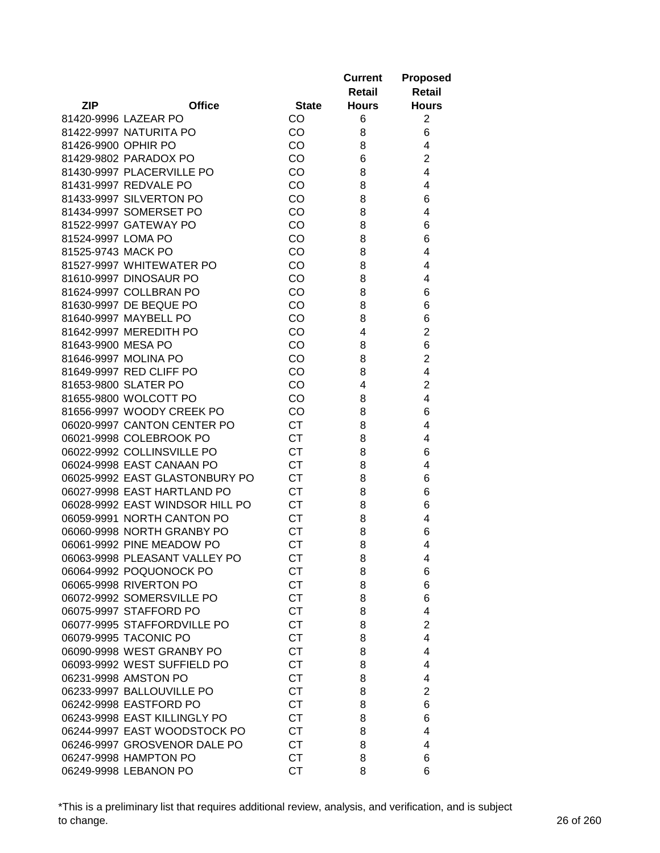|                     |                                 |              | <b>Current</b><br>Retail | <b>Proposed</b><br><b>Retail</b> |
|---------------------|---------------------------------|--------------|--------------------------|----------------------------------|
| <b>ZIP</b>          | <b>Office</b>                   | <b>State</b> | <b>Hours</b>             | <b>Hours</b>                     |
|                     | 81420-9996 LAZEAR PO            | CO           | 6                        | $\overline{2}$                   |
|                     | 81422-9997 NATURITA PO          | CO           | 8                        | 6                                |
| 81426-9900 OPHIR PO |                                 | CO           | 8                        | 4                                |
|                     | 81429-9802 PARADOX PO           | CO           | 6                        | $\overline{2}$                   |
|                     | 81430-9997 PLACERVILLE PO       | CO           | 8                        | 4                                |
|                     | 81431-9997 REDVALE PO           | CO           | 8                        | 4                                |
|                     | 81433-9997 SILVERTON PO         | CO           | 8                        | 6                                |
|                     | 81434-9997 SOMERSET PO          | CO           | 8                        | 4                                |
|                     | 81522-9997 GATEWAY PO           | CO           | 8                        | 6                                |
| 81524-9997 LOMA PO  |                                 | CO           | 8                        | 6                                |
| 81525-9743 MACK PO  |                                 | CO           | 8                        | 4                                |
|                     | 81527-9997 WHITEWATER PO        | CO           | 8                        | 4                                |
|                     | 81610-9997 DINOSAUR PO          | CO           | 8                        | 4                                |
|                     | 81624-9997 COLLBRAN PO          | CO           | 8                        | 6                                |
|                     | 81630-9997 DE BEQUE PO          | CO           | 8                        | 6                                |
|                     | 81640-9997 MAYBELL PO           | CO           | 8                        | 6                                |
|                     | 81642-9997 MEREDITH PO          | CO           | 4                        | $\overline{2}$                   |
| 81643-9900 MESA PO  |                                 | CO           | 8                        | 6                                |
|                     | 81646-9997 MOLINA PO            | CO           | 8                        | $\overline{2}$                   |
|                     | 81649-9997 RED CLIFF PO         | CO           | 8                        | 4                                |
|                     | 81653-9800 SLATER PO            | CO           | 4                        | $\overline{2}$                   |
|                     | 81655-9800 WOLCOTT PO           | CO           | 8                        | 4                                |
|                     | 81656-9997 WOODY CREEK PO       | CO           | 8                        | 6                                |
|                     | 06020-9997 CANTON CENTER PO     | <b>CT</b>    | 8                        | 4                                |
|                     | 06021-9998 COLEBROOK PO         | <b>CT</b>    | 8                        | 4                                |
|                     | 06022-9992 COLLINSVILLE PO      | <b>CT</b>    | 8                        | 6                                |
|                     | 06024-9998 EAST CANAAN PO       | <b>CT</b>    | 8                        | 4                                |
|                     | 06025-9992 EAST GLASTONBURY PO  | <b>CT</b>    | 8                        | 6                                |
|                     | 06027-9998 EAST HARTLAND PO     | <b>CT</b>    | 8                        | 6                                |
|                     | 06028-9992 EAST WINDSOR HILL PO | <b>CT</b>    | 8                        | 6                                |
|                     | 06059-9991 NORTH CANTON PO      | <b>CT</b>    | 8                        | 4                                |
|                     | 06060-9998 NORTH GRANBY PO      | СT           | 8                        | 6                                |
|                     | 06061-9992 PINE MEADOW PO       | <b>CT</b>    | 8                        | 4                                |
|                     | 06063-9998 PLEASANT VALLEY PO   | CТ           | 8                        | 4                                |
|                     | 06064-9992 POQUONOCK PO         | <b>CT</b>    | 8                        | 6                                |
|                     | 06065-9998 RIVERTON PO          | <b>CT</b>    | 8                        | 6                                |
|                     | 06072-9992 SOMERSVILLE PO       | <b>CT</b>    | 8                        | 6                                |
|                     | 06075-9997 STAFFORD PO          | <b>CT</b>    | 8                        | 4                                |
|                     | 06077-9995 STAFFORDVILLE PO     | <b>CT</b>    | 8                        | $\overline{2}$                   |
|                     | 06079-9995 TACONIC PO           | <b>CT</b>    | 8                        | 4                                |
|                     | 06090-9998 WEST GRANBY PO       | <b>CT</b>    | 8                        | 4                                |
|                     | 06093-9992 WEST SUFFIELD PO     | <b>CT</b>    | 8                        | 4                                |
|                     | 06231-9998 AMSTON PO            | <b>CT</b>    | 8                        | 4                                |
|                     | 06233-9997 BALLOUVILLE PO       | <b>CT</b>    | 8                        | 2                                |
|                     | 06242-9998 EASTFORD PO          | <b>CT</b>    | 8                        | 6                                |
|                     | 06243-9998 EAST KILLINGLY PO    | <b>CT</b>    | 8                        | 6                                |
|                     | 06244-9997 EAST WOODSTOCK PO    | <b>CT</b>    | 8                        | 4                                |
|                     | 06246-9997 GROSVENOR DALE PO    | <b>CT</b>    | 8                        | 4                                |
|                     | 06247-9998 HAMPTON PO           | <b>CT</b>    | 8                        | 6                                |
|                     | 06249-9998 LEBANON PO           | <b>CT</b>    | 8                        | 6                                |

\*This is a preliminary list that requires additional review, analysis, and verification, and is subject to change. 26 of 260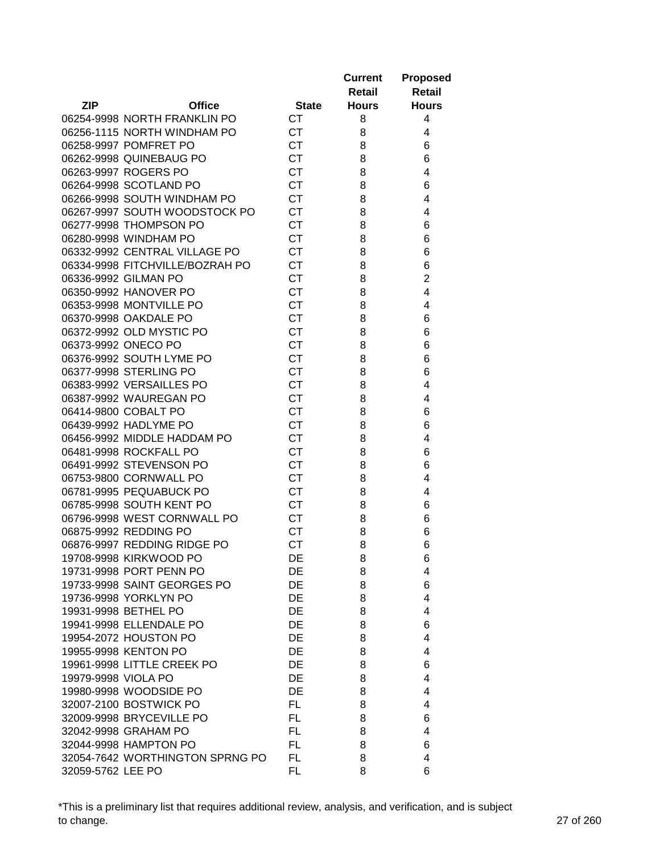|                     |                                 |              | <b>Current</b> | <b>Proposed</b> |
|---------------------|---------------------------------|--------------|----------------|-----------------|
|                     |                                 |              | Retail         | Retail          |
| <b>ZIP</b>          | <b>Office</b>                   | <b>State</b> | <b>Hours</b>   | <b>Hours</b>    |
|                     | 06254-9998 NORTH FRANKLIN PO    | <b>CT</b>    | 8              | 4               |
|                     | 06256-1115 NORTH WINDHAM PO     | <b>CT</b>    | 8              | 4               |
|                     | 06258-9997 POMFRET PO           | <b>CT</b>    | 8              | 6               |
|                     | 06262-9998 QUINEBAUG PO         | <b>CT</b>    | 8              | 6               |
|                     | 06263-9997 ROGERS PO            | <b>CT</b>    | 8              | 4               |
|                     | 06264-9998 SCOTLAND PO          | <b>CT</b>    | 8              | 6               |
|                     | 06266-9998 SOUTH WINDHAM PO     | <b>CT</b>    | 8              | 4               |
|                     | 06267-9997 SOUTH WOODSTOCK PO   | <b>CT</b>    | 8              | 4               |
|                     | 06277-9998 THOMPSON PO          | <b>CT</b>    | 8              | 6               |
|                     | 06280-9998 WINDHAM PO           | <b>CT</b>    | 8              | 6               |
|                     | 06332-9992 CENTRAL VILLAGE PO   | <b>CT</b>    | 8              | 6               |
|                     | 06334-9998 FITCHVILLE/BOZRAH PO | <b>CT</b>    | 8              | 6               |
|                     | 06336-9992 GILMAN PO            | <b>CT</b>    | 8              | $\overline{c}$  |
|                     | 06350-9992 HANOVER PO           | <b>CT</b>    | 8              | 4               |
|                     | 06353-9998 MONTVILLE PO         | <b>CT</b>    | 8              | 4               |
|                     | 06370-9998 OAKDALE PO           | <b>CT</b>    |                | 6               |
|                     |                                 | <b>CT</b>    | 8              |                 |
|                     | 06372-9992 OLD MYSTIC PO        |              | 8              | 6               |
|                     | 06373-9992 ONECO PO             | <b>CT</b>    | 8              | 6               |
|                     | 06376-9992 SOUTH LYME PO        | <b>CT</b>    | 8              | 6               |
|                     | 06377-9998 STERLING PO          | <b>CT</b>    | 8              | 6               |
|                     | 06383-9992 VERSAILLES PO        | <b>CT</b>    | 8              | 4               |
|                     | 06387-9992 WAUREGAN PO          | <b>CT</b>    | 8              | 4               |
|                     | 06414-9800 COBALT PO            | <b>CT</b>    | 8              | 6               |
|                     | 06439-9992 HADLYME PO           | <b>CT</b>    | 8              | 6               |
|                     | 06456-9992 MIDDLE HADDAM PO     | <b>CT</b>    | 8              | 4               |
|                     | 06481-9998 ROCKFALL PO          | <b>CT</b>    | 8              | 6               |
|                     | 06491-9992 STEVENSON PO         | <b>CT</b>    | 8              | 6               |
|                     | 06753-9800 CORNWALL PO          | <b>CT</b>    | 8              | 4               |
|                     | 06781-9995 PEQUABUCK PO         | <b>CT</b>    | 8              | 4               |
|                     | 06785-9998 SOUTH KENT PO        | <b>CT</b>    | 8              | 6               |
|                     | 06796-9998 WEST CORNWALL PO     | <b>CT</b>    | 8              | 6               |
|                     | 06875-9992 REDDING PO           | <b>CT</b>    | 8              | 6               |
|                     | 06876-9997 REDDING RIDGE PO     | <b>CT</b>    | 8              | 6               |
|                     | 19708-9998 KIRKWOOD PO          | DE           | 8              | 6               |
|                     | 19731-9998 PORT PENN PO         | DE           | 8              | 4               |
|                     | 19733-9998 SAINT GEORGES PO     | DE           | 8              | 6               |
|                     | 19736-9998 YORKLYN PO           | DE           | 8              | 4               |
|                     | 19931-9998 BETHEL PO            | <b>DE</b>    | 8              | 4               |
|                     | 19941-9998 ELLENDALE PO         | <b>DE</b>    | 8              | 6               |
|                     | 19954-2072 HOUSTON PO           | DE           | 8              | 4               |
|                     | 19955-9998 KENTON PO            | DE           | 8              | 4               |
|                     | 19961-9998 LITTLE CREEK PO      | DE           | 8              | 6               |
| 19979-9998 VIOLA PO |                                 | <b>DE</b>    | 8              | 4               |
|                     | 19980-9998 WOODSIDE PO          | DE           | 8              | 4               |
|                     | 32007-2100 BOSTWICK PO          | FL.          | 8              | 4               |
|                     | 32009-9998 BRYCEVILLE PO        | FL.          | 8              | 6               |
|                     | 32042-9998 GRAHAM PO            | FL.          | 8              | 4               |
|                     | 32044-9998 HAMPTON PO           | FL           | 8              | 6               |
|                     | 32054-7642 WORTHINGTON SPRNG PO | FL.          | 8              | 4               |
| 32059-5762 LEE PO   |                                 | FL.          | 8              | 6               |

\*This is a preliminary list that requires additional review, analysis, and verification, and is subject to change. 27 of 260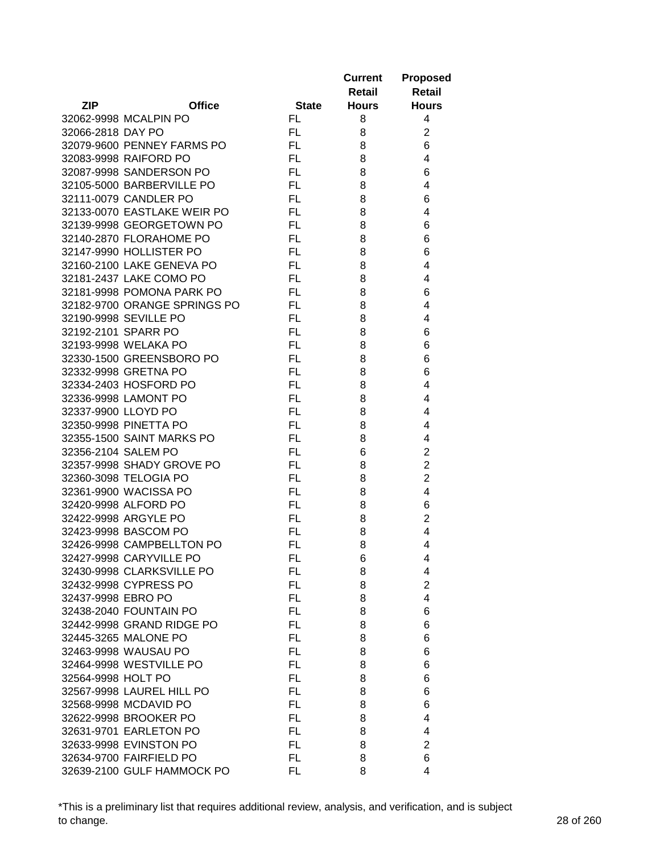|                     |                              |              | <b>Current</b><br>Retail | <b>Proposed</b><br><b>Retail</b> |
|---------------------|------------------------------|--------------|--------------------------|----------------------------------|
| <b>ZIP</b>          | <b>Office</b>                | <b>State</b> | <b>Hours</b>             | <b>Hours</b>                     |
|                     | 32062-9998 MCALPIN PO        | FL.          | 8                        | 4                                |
| 32066-2818 DAY PO   |                              | FL           | 8                        | $\overline{2}$                   |
|                     | 32079-9600 PENNEY FARMS PO   | FL           | 8                        | 6                                |
|                     | 32083-9998 RAIFORD PO        | FL.          | 8                        | 4                                |
|                     | 32087-9998 SANDERSON PO      | <b>FL</b>    | 8                        | 6                                |
|                     | 32105-5000 BARBERVILLE PO    | FL.          | 8                        | 4                                |
|                     | 32111-0079 CANDLER PO        | FL.          | 8                        | 6                                |
|                     | 32133-0070 EASTLAKE WEIR PO  | FL.          | 8                        | 4                                |
|                     | 32139-9998 GEORGETOWN PO     | FL.          | 8                        | 6                                |
|                     | 32140-2870 FLORAHOME PO      | FL           | 8                        | 6                                |
|                     | 32147-9990 HOLLISTER PO      | FL.          | 8                        | 6                                |
|                     | 32160-2100 LAKE GENEVA PO    | FL.          | 8                        | 4                                |
|                     | 32181-2437 LAKE COMO PO      | FL           | 8                        | 4                                |
|                     | 32181-9998 POMONA PARK PO    | FL           | 8                        | 6                                |
|                     | 32182-9700 ORANGE SPRINGS PO | FL.          | 8                        | 4                                |
|                     | 32190-9998 SEVILLE PO        | FL.          | 8                        | 4                                |
|                     | 32192-2101 SPARR PO          | FL.          | 8                        | 6                                |
|                     | 32193-9998 WELAKA PO         | FL           | 8                        | 6                                |
|                     | 32330-1500 GREENSBORO PO     | FL.          | 8                        | 6                                |
|                     | 32332-9998 GRETNA PO         | FL           | 8                        | 6                                |
|                     | 32334-2403 HOSFORD PO        | FL.          | 8                        | 4                                |
|                     | 32336-9998 LAMONT PO         | FL           | 8                        | 4                                |
| 32337-9900 LLOYD PO |                              | <b>FL</b>    | 8                        | 4                                |
|                     |                              | FL.          |                          | 4                                |
|                     | 32350-9998 PINETTA PO        |              | 8                        |                                  |
|                     | 32355-1500 SAINT MARKS PO    | FL.          | 8                        | 4                                |
| 32356-2104 SALEM PO |                              | FL           | 6                        | $\overline{2}$                   |
|                     | 32357-9998 SHADY GROVE PO    | FL.          | 8                        | $\overline{2}$                   |
|                     | 32360-3098 TELOGIA PO        | FL           | 8                        | $\overline{2}$                   |
|                     | 32361-9900 WACISSA PO        | FL           | 8                        | 4                                |
|                     | 32420-9998 ALFORD PO         | FL           | 8                        | 6                                |
|                     | 32422-9998 ARGYLE PO         | FL           | 8                        | $\overline{2}$                   |
|                     | 32423-9998 BASCOM PO         | FL           | 8                        | 4                                |
|                     | 32426-9998 CAMPBELLTON PO    | FL           | 8                        | 4                                |
|                     | 32427-9998 CARYVILLE PO      | FL           | 6                        | 4                                |
|                     | 32430-9998 CLARKSVILLE PO    | FL.          | 8                        | 4                                |
|                     | 32432-9998 CYPRESS PO        | FL           | 8                        | $\overline{2}$                   |
| 32437-9998 EBRO PO  |                              | FL.          | 8                        | 4                                |
|                     | 32438-2040 FOUNTAIN PO       | FL.          | 8                        | 6                                |
|                     | 32442-9998 GRAND RIDGE PO    | FL.          | 8                        | 6                                |
|                     | 32445-3265 MALONE PO         | FL.          | 8                        | 6                                |
|                     | 32463-9998 WAUSAU PO         | <b>FL</b>    | 8                        | 6                                |
|                     | 32464-9998 WESTVILLE PO      | FL           | 8                        | 6                                |
| 32564-9998 HOLT PO  |                              | FL           | 8                        | 6                                |
|                     | 32567-9998 LAUREL HILL PO    | FL.          | 8                        | 6                                |
|                     | 32568-9998 MCDAVID PO        | FL.          | 8                        | 6                                |
|                     | 32622-9998 BROOKER PO        | FL.          | 8                        | 4                                |
|                     | 32631-9701 EARLETON PO       | FL           | 8                        | 4                                |
|                     | 32633-9998 EVINSTON PO       | FL           | 8                        | 2                                |
|                     | 32634-9700 FAIRFIELD PO      | FL           | 8                        | 6                                |
|                     | 32639-2100 GULF HAMMOCK PO   | FL.          | 8                        | 4                                |

\*This is a preliminary list that requires additional review, analysis, and verification, and is subject to change. 28 of 260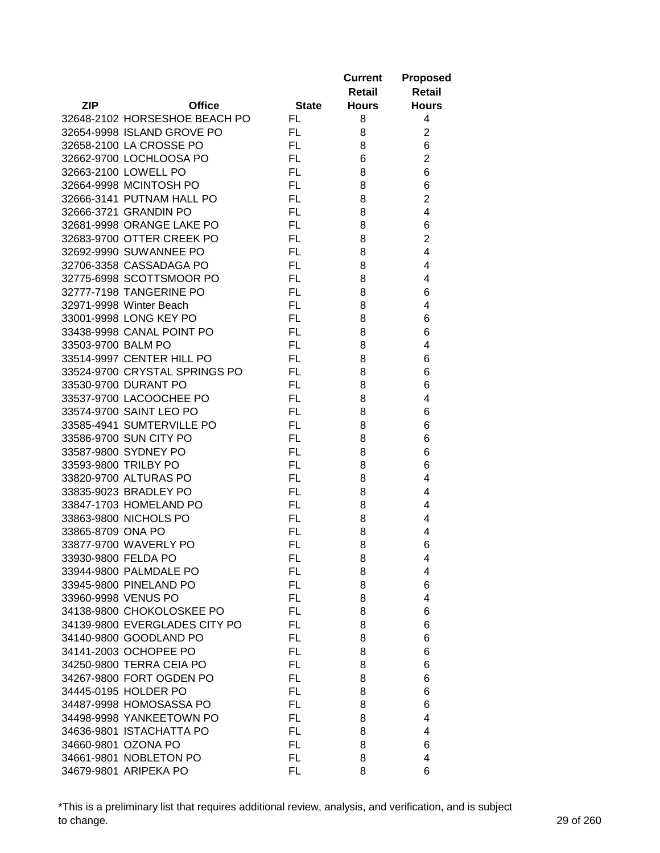|                      |                               |              | <b>Current</b><br>Retail | <b>Proposed</b><br><b>Retail</b> |
|----------------------|-------------------------------|--------------|--------------------------|----------------------------------|
| <b>ZIP</b>           | <b>Office</b>                 | <b>State</b> | <b>Hours</b>             | <b>Hours</b>                     |
|                      | 32648-2102 HORSESHOE BEACH PO | FL.          | 8                        | 4                                |
|                      | 32654-9998 ISLAND GROVE PO    | FL.          | 8                        | $\overline{2}$                   |
|                      | 32658-2100 LA CROSSE PO       | FL.          | 8                        | 6                                |
|                      | 32662-9700 LOCHLOOSA PO       | FL.          | 6                        | $\overline{2}$                   |
|                      | 32663-2100 LOWELL PO          | FL.          | 8                        | 6                                |
|                      | 32664-9998 MCINTOSH PO        | FL.          | 8                        | 6                                |
|                      | 32666-3141 PUTNAM HALL PO     | FL.          | 8                        | $\overline{2}$                   |
|                      | 32666-3721 GRANDIN PO         | FL.          | 8                        | 4                                |
|                      | 32681-9998 ORANGE LAKE PO     | FL.          | 8                        | 6                                |
|                      | 32683-9700 OTTER CREEK PO     | FL.          | 8                        | $\overline{2}$                   |
|                      | 32692-9990 SUWANNEE PO        | FL.          | 8                        | 4                                |
|                      | 32706-3358 CASSADAGA PO       | FL.          | 8                        | 4                                |
|                      | 32775-6998 SCOTTSMOOR PO      | FL.          | 8                        | 4                                |
|                      | 32777-7198 TANGERINE PO       | FL.          | 8                        | 6                                |
|                      | 32971-9998 Winter Beach       | FL.          | 8                        | 4                                |
|                      | 33001-9998 LONG KEY PO        | FL.          | 8                        | 6                                |
|                      | 33438-9998 CANAL POINT PO     | FL.          | 8                        | 6                                |
| 33503-9700 BALM PO   |                               | FL.          | 8                        | 4                                |
|                      | 33514-9997 CENTER HILL PO     | FL.          | 8                        | 6                                |
|                      | 33524-9700 CRYSTAL SPRINGS PO | FL.          | 8                        | 6                                |
|                      | 33530-9700 DURANT PO          | FL.          | 8                        | 6                                |
|                      | 33537-9700 LACOOCHEE PO       | FL.          | 8                        | 4                                |
|                      | 33574-9700 SAINT LEO PO       | FL.          | 8                        | 6                                |
|                      | 33585-4941 SUMTERVILLE PO     | FL.          | 8                        | 6                                |
|                      | 33586-9700 SUN CITY PO        | FL.          | 8                        | 6                                |
|                      | 33587-9800 SYDNEY PO          | FL.          | 8                        | 6                                |
| 33593-9800 TRILBY PO |                               | FL.          | 8                        | 6                                |
|                      | 33820-9700 ALTURAS PO         | FL.          | 8                        | 4                                |
|                      | 33835-9023 BRADLEY PO         | FL.          | 8                        | 4                                |
|                      | 33847-1703 HOMELAND PO        | FL.          | 8                        | 4                                |
|                      | 33863-9800 NICHOLS PO         | FL.          | 8                        | 4                                |
| 33865-8709 ONA PO    |                               | <b>FL</b>    | 8                        | 4                                |
|                      | 33877-9700 WAVERLY PO         | FL           | 8                        | 6                                |
| 33930-9800 FELDA PO  |                               | FL           | 8                        | 4                                |
|                      | 33944-9800 PALMDALE PO        | FL.          | 8                        | 4                                |
|                      | 33945-9800 PINELAND PO        | FL.          | 8                        | 6                                |
| 33960-9998 VENUS PO  |                               | FL.          | 8                        | 4                                |
|                      | 34138-9800 CHOKOLOSKEE PO     | FL.          | 8                        | 6                                |
|                      | 34139-9800 EVERGLADES CITY PO | FL.          | 8                        | 6                                |
|                      | 34140-9800 GOODLAND PO        | FL.          | 8                        | 6                                |
|                      | 34141-2003 OCHOPEE PO         | <b>FL</b>    | 8                        | 6                                |
|                      | 34250-9800 TERRA CEIA PO      | FL.          | 8                        | 6                                |
|                      | 34267-9800 FORT OGDEN PO      | FL.          | 8                        | 6                                |
|                      | 34445-0195 HOLDER PO          | FL.          | 8                        | 6                                |
|                      | 34487-9998 HOMOSASSA PO       | FL           | 8                        | 6                                |
|                      | 34498-9998 YANKEETOWN PO      | FL.          | 8                        | 4                                |
|                      | 34636-9801 ISTACHATTA PO      | FL.          | 8                        | 4                                |
|                      | 34660-9801 OZONA PO           | FL.          | 8                        | 6                                |
|                      | 34661-9801 NOBLETON PO        | FL.          | 8                        | 4                                |
|                      | 34679-9801 ARIPEKA PO         | FL.          | 8                        | 6                                |

\*This is a preliminary list that requires additional review, analysis, and verification, and is subject to change. 29 of 260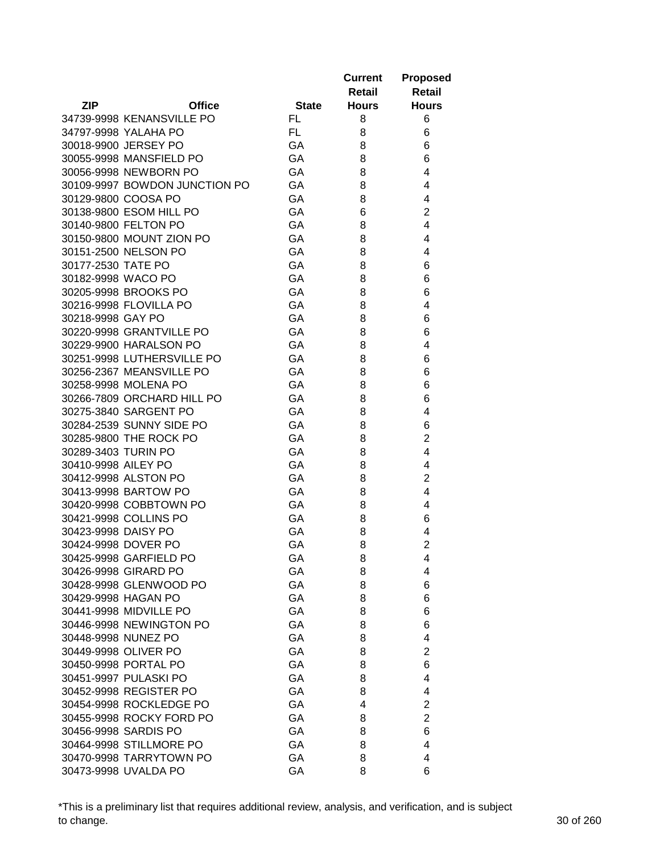|                                                    |              | <b>Current</b> | <b>Proposed</b>     |
|----------------------------------------------------|--------------|----------------|---------------------|
|                                                    |              | <b>Retail</b>  | <b>Retail</b>       |
| <b>ZIP</b><br><b>Office</b>                        | <b>State</b> | <b>Hours</b>   | <b>Hours</b>        |
| 34739-9998 KENANSVILLE PO                          | FL.          | 8              | 6                   |
| 34797-9998 YALAHA PO                               | FL.          | 8              | 6                   |
| 30018-9900 JERSEY PO                               | GA           | 8              | 6                   |
| 30055-9998 MANSFIELD PO                            | GA           | 8              | 6                   |
| 30056-9998 NEWBORN PO                              | GA           | 8              | 4                   |
| 30109-9997 BOWDON JUNCTION PO                      | GA           | 8              | 4                   |
| 30129-9800 COOSA PO                                | GA           | 8              | 4                   |
| 30138-9800 ESOM HILL PO                            | GA           | 6              | $\overline{2}$      |
| 30140-9800 FELTON PO                               | GA           | 8              | 4                   |
| 30150-9800 MOUNT ZION PO                           | GA           | 8              | 4                   |
| 30151-2500 NELSON PO                               | GA           | 8              | 4                   |
| 30177-2530 TATE PO                                 | GA           | 8              | 6                   |
| 30182-9998 WACO PO                                 | GA           | 8              | 6                   |
| 30205-9998 BROOKS PO                               | GA           | 8              | 6                   |
| 30216-9998 FLOVILLA PO                             | GA           | 8              | 4                   |
| 30218-9998 GAY PO                                  | GA           | 8              | 6                   |
| 30220-9998 GRANTVILLE PO                           | GA           | 8              | 6                   |
| 30229-9900 HARALSON PO                             | GA           | 8              | 4                   |
| 30251-9998 LUTHERSVILLE PO                         | GA           | 8              | 6                   |
| 30256-2367 MEANSVILLE PO                           | GA           | 8              | 6                   |
| 30258-9998 MOLENA PO                               | GA           |                |                     |
|                                                    | GA           | 8              | 6                   |
| 30266-7809 ORCHARD HILL PO                         |              | 8              | 6                   |
| 30275-3840 SARGENT PO                              | GA           | 8              | 4                   |
| 30284-2539 SUNNY SIDE PO<br>30285-9800 THE ROCK PO | GA<br>GA     | 8              | 6<br>$\overline{2}$ |
| 30289-3403 TURIN PO                                | GA           | 8<br>8         | 4                   |
| 30410-9998 AILEY PO                                | GA           | 8              | 4                   |
| 30412-9998 ALSTON PO                               | GA           |                | $\overline{2}$      |
|                                                    | GA           | 8              | 4                   |
| 30413-9998 BARTOW PO<br>30420-9998 COBBTOWN PO     | GA           | 8              | 4                   |
| 30421-9998 COLLINS PO                              | GA           | 8              |                     |
| 30423-9998 DAISY PO                                | GA           | 8              | 6                   |
| 30424-9998 DOVER PO                                | GA           | 8<br>8         | 4<br>$\overline{2}$ |
|                                                    |              |                |                     |
| 30425-9998 GARFIELD PO                             | GA           | 8              | 4                   |
| 30426-9998 GIRARD PO<br>30428-9998 GLENWOOD PO     | GA<br>GA     | 8<br>8         | 4<br>6              |
|                                                    | GA           |                | 6                   |
| 30429-9998 HAGAN PO                                | GA           | 8              | 6                   |
| 30441-9998 MIDVILLE PO                             |              | 8              |                     |
| 30446-9998 NEWINGTON PO                            | GA           | 8              | 6                   |
| 30448-9998 NUNEZ PO                                | GA           | 8              | 4                   |
| 30449-9998 OLIVER PO                               | GA           | 8              | $\overline{2}$      |
| 30450-9998 PORTAL PO                               | GA           | 8              | 6                   |
| 30451-9997 PULASKI PO                              | GA           | 8              | 4                   |
| 30452-9998 REGISTER PO                             | GA           | 8              | 4                   |
| 30454-9998 ROCKLEDGE PO                            | GA           | 4              | $\overline{2}$      |
| 30455-9998 ROCKY FORD PO                           | GA           | 8              | $\overline{2}$      |
| 30456-9998 SARDIS PO                               | GA           | 8              | 6                   |
| 30464-9998 STILLMORE PO                            | GA           | 8              | 4                   |
| 30470-9998 TARRYTOWN PO                            | GA           | 8              | 4                   |
| 30473-9998 UVALDA PO                               | GA           | 8              | 6                   |

\*This is a preliminary list that requires additional review, analysis, and verification, and is subject to change. 30 of 260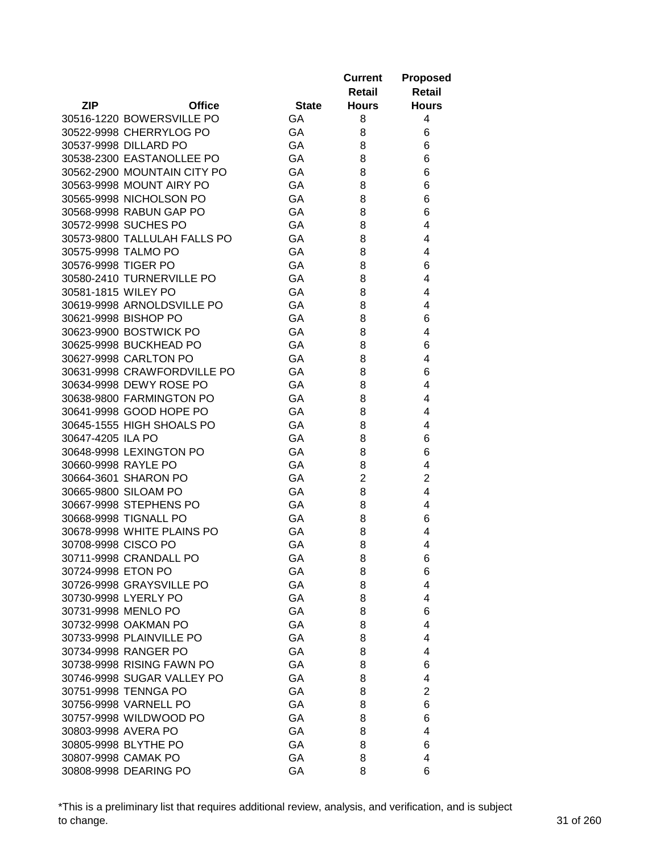|                     |                              |              | <b>Current</b> | <b>Proposed</b> |
|---------------------|------------------------------|--------------|----------------|-----------------|
|                     |                              |              | Retail         | Retail          |
| <b>ZIP</b>          | <b>Office</b>                | <b>State</b> | <b>Hours</b>   | <b>Hours</b>    |
|                     | 30516-1220 BOWERSVILLE PO    | GA           | 8              | 4               |
|                     | 30522-9998 CHERRYLOG PO      | GA           | 8              | 6               |
|                     | 30537-9998 DILLARD PO        | GA           | 8              | 6               |
|                     | 30538-2300 EASTANOLLEE PO    | GA           | 8              | 6               |
|                     | 30562-2900 MOUNTAIN CITY PO  | GA           | 8              | 6               |
|                     | 30563-9998 MOUNT AIRY PO     | GA           | 8              | 6               |
|                     | 30565-9998 NICHOLSON PO      | GA           | 8              | 6               |
|                     | 30568-9998 RABUN GAP PO      | GA           | 8              | 6               |
|                     | 30572-9998 SUCHES PO         | GA           | 8              | 4               |
|                     | 30573-9800 TALLULAH FALLS PO | GA           | 8              | 4               |
|                     | 30575-9998 TALMO PO          | GA           | 8              | 4               |
| 30576-9998 TIGER PO |                              | GA           | 8              | 6               |
|                     | 30580-2410 TURNERVILLE PO    | GA           | 8              | 4               |
| 30581-1815 WILEY PO |                              | GA           | 8              | 4               |
|                     | 30619-9998 ARNOLDSVILLE PO   | GA           | 8              | 4               |
|                     | 30621-9998 BISHOP PO         | GA           | 8              | 6               |
|                     | 30623-9900 BOSTWICK PO       | GA           | 8              | 4               |
|                     | 30625-9998 BUCKHEAD PO       | GA           | 8              | 6               |
|                     | 30627-9998 CARLTON PO        | GA           | 8              | 4               |
|                     | 30631-9998 CRAWFORDVILLE PO  | GA           | 8              | 6               |
|                     |                              | GA           | 8              | 4               |
|                     | 30634-9998 DEWY ROSE PO      | GA           |                | 4               |
|                     | 30638-9800 FARMINGTON PO     |              | 8              |                 |
|                     | 30641-9998 GOOD HOPE PO      | GA           | 8              | 4               |
|                     | 30645-1555 HIGH SHOALS PO    | GA<br>GA     | 8              | 4               |
| 30647-4205 ILA PO   | 30648-9998 LEXINGTON PO      | GA           | 8<br>8         | 6<br>6          |
| 30660-9998 RAYLE PO |                              | GA           | 8              | 4               |
|                     | 30664-3601 SHARON PO         | GA           | $\overline{2}$ | $\overline{2}$  |
|                     |                              |              |                |                 |
|                     | 30665-9800 SILOAM PO         | GA           | 8              | 4               |
|                     | 30667-9998 STEPHENS PO       | GA           | 8              | 4               |
|                     | 30668-9998 TIGNALL PO        | GA           | 8              | 6               |
|                     | 30678-9998 WHITE PLAINS PO   | GA           | 8              | 4               |
| 30708-9998 CISCO PO |                              | GA           | 8              | 4               |
|                     | 30711-9998 CRANDALL PO       | GA           | 8              | 6               |
| 30724-9998 ETON PO  |                              | GA           | 8              | 6               |
|                     | 30726-9998 GRAYSVILLE PO     | GA           | 8              | 4               |
|                     | 30730-9998 LYERLY PO         | GA           | 8              | 4               |
|                     | 30731-9998 MENLO PO          | GA           | 8              | 6               |
|                     | 30732-9998 OAKMAN PO         | GA           | 8              | 4               |
|                     | 30733-9998 PLAINVILLE PO     | GA           | 8              | 4               |
|                     | 30734-9998 RANGER PO         | GA           | 8              | 4               |
|                     | 30738-9998 RISING FAWN PO    | GA           | 8              | 6               |
|                     | 30746-9998 SUGAR VALLEY PO   | GA           | 8              | 4               |
|                     | 30751-9998 TENNGA PO         | GA           | 8              | $\overline{2}$  |
|                     | 30756-9998 VARNELL PO        | GA           | 8              | 6               |
|                     | 30757-9998 WILDWOOD PO       | GA           | 8              | 6               |
| 30803-9998 AVERA PO |                              | GA           | 8              | 4               |
|                     | 30805-9998 BLYTHE PO         | GA           | 8              | 6               |
|                     | 30807-9998 CAMAK PO          | GA           | 8              | 4               |
|                     | 30808-9998 DEARING PO        | GA           | 8              | 6               |

\*This is a preliminary list that requires additional review, analysis, and verification, and is subject to change. 31 of 260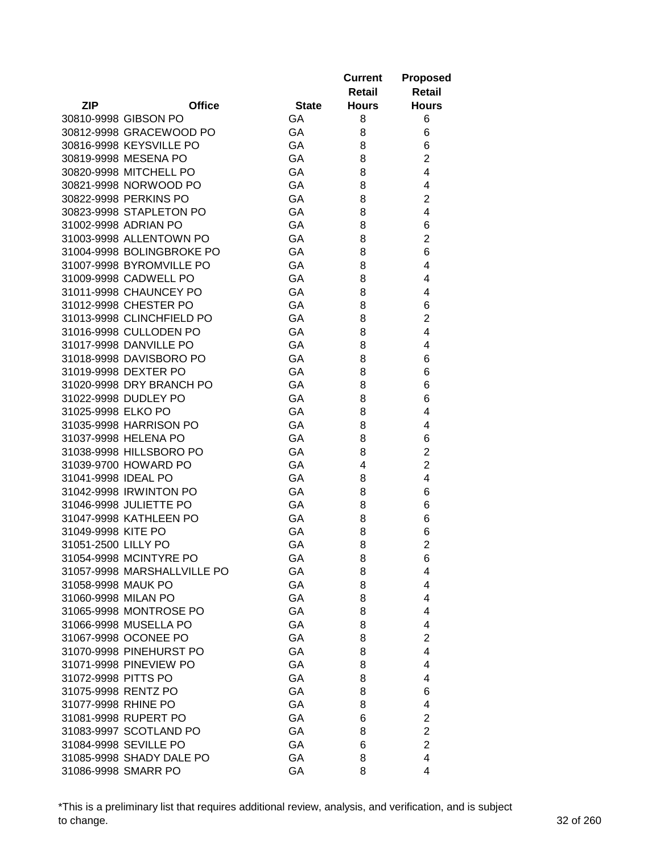|                     |                                                  |              | <b>Current</b> | <b>Proposed</b>     |
|---------------------|--------------------------------------------------|--------------|----------------|---------------------|
|                     |                                                  |              | <b>Retail</b>  | <b>Retail</b>       |
| <b>ZIP</b>          | <b>Office</b>                                    | <b>State</b> | <b>Hours</b>   | <b>Hours</b>        |
|                     | 30810-9998 GIBSON PO                             | GA           | 8              | 6                   |
|                     | 30812-9998 GRACEWOOD PO                          | GA           | 8              | 6                   |
|                     | 30816-9998 KEYSVILLE PO                          | GA           | 8              | 6                   |
|                     | 30819-9998 MESENA PO                             | GA           | 8              | $\overline{2}$      |
|                     | 30820-9998 MITCHELL PO                           | GA           | 8              | 4                   |
|                     | 30821-9998 NORWOOD PO                            | GA           | 8              | 4                   |
|                     | 30822-9998 PERKINS PO                            | GA           | 8              | $\overline{2}$      |
|                     | 30823-9998 STAPLETON PO                          | GA           | 8              | 4                   |
|                     | 31002-9998 ADRIAN PO                             | GA           | 8              | 6                   |
|                     | 31003-9998 ALLENTOWN PO                          | GA           | 8              | $\overline{c}$      |
|                     | 31004-9998 BOLINGBROKE PO                        | GA           | 8              | 6                   |
|                     | 31007-9998 BYROMVILLE PO                         | GA           | 8              | 4                   |
|                     | 31009-9998 CADWELL PO                            | GA           | 8              | 4                   |
|                     | 31011-9998 CHAUNCEY PO                           | GA           | 8              | 4                   |
|                     | 31012-9998 CHESTER PO                            | GA           | 8              | 6                   |
|                     | 31013-9998 CLINCHFIELD PO                        | GA           | 8              | $\overline{c}$      |
|                     | 31016-9998 CULLODEN PO                           | GA           | 8              | 4                   |
|                     | 31017-9998 DANVILLE PO                           | GA           | 8              | 4                   |
|                     | 31018-9998 DAVISBORO PO                          | GA           | 8              | 6                   |
|                     | 31019-9998 DEXTER PO                             | GA           | 8              | 6                   |
|                     |                                                  | GA           |                |                     |
|                     | 31020-9998 DRY BRANCH PO                         | GA           | 8              | 6                   |
|                     | 31022-9998 DUDLEY PO                             |              | 8              | 6<br>4              |
| 31025-9998 ELKO PO  |                                                  | GA           | 8              |                     |
|                     | 31035-9998 HARRISON PO                           | GA           | 8              | 4                   |
|                     | 31037-9998 HELENA PO<br>31038-9998 HILLSBORO PO  | GA<br>GA     | 8              | 6<br>$\overline{c}$ |
|                     |                                                  |              | 8<br>4         |                     |
|                     | 31039-9700 HOWARD PO                             | GA           |                | $\overline{c}$<br>4 |
| 31041-9998 IDEAL PO |                                                  | GA           | 8              |                     |
|                     | 31042-9998 IRWINTON PO                           | GA           | 8              | 6                   |
|                     | 31046-9998 JULIETTE PO<br>31047-9998 KATHLEEN PO | GA           | 8              | 6                   |
|                     |                                                  | GA           | 8              | 6                   |
| 31049-9998 KITE PO  |                                                  | GA           | 8              | 6                   |
| 31051-2500 LILLY PO |                                                  | GA           | 8              | $\overline{2}$      |
|                     | 31054-9998 MCINTYRE PO                           | GA           | 8              | 6                   |
|                     | 31057-9998 MARSHALLVILLE PO                      | GA           | 8              | 4                   |
| 31058-9998 MAUK PO  |                                                  | GA           | 8              | 4                   |
| 31060-9998 MILAN PO |                                                  | GA           | 8              | 4                   |
|                     | 31065-9998 MONTROSE PO                           | GA           | 8              | 4                   |
|                     | 31066-9998 MUSELLA PO                            | GA           | 8              | 4                   |
|                     | 31067-9998 OCONEE PO                             | GA           | 8              | $\overline{2}$      |
|                     | 31070-9998 PINEHURST PO                          | GA           | 8              | 4                   |
|                     | 31071-9998 PINEVIEW PO                           | GA           | 8              | 4                   |
| 31072-9998 PITTS PO |                                                  | GA           | 8              | 4                   |
|                     | 31075-9998 RENTZ PO                              | GA           | 8              | 6                   |
| 31077-9998 RHINE PO |                                                  | GA           | 8              | 4                   |
|                     | 31081-9998 RUPERT PO                             | GA           | 6              | $\overline{c}$      |
|                     | 31083-9997 SCOTLAND PO                           | GA           | 8              | $\overline{2}$      |
|                     | 31084-9998 SEVILLE PO                            | GA           | 6              | $\overline{2}$      |
|                     | 31085-9998 SHADY DALE PO                         | GA           | 8              | 4                   |
|                     | 31086-9998 SMARR PO                              | GA           | 8              | 4                   |

\*This is a preliminary list that requires additional review, analysis, and verification, and is subject to change. 32 of 260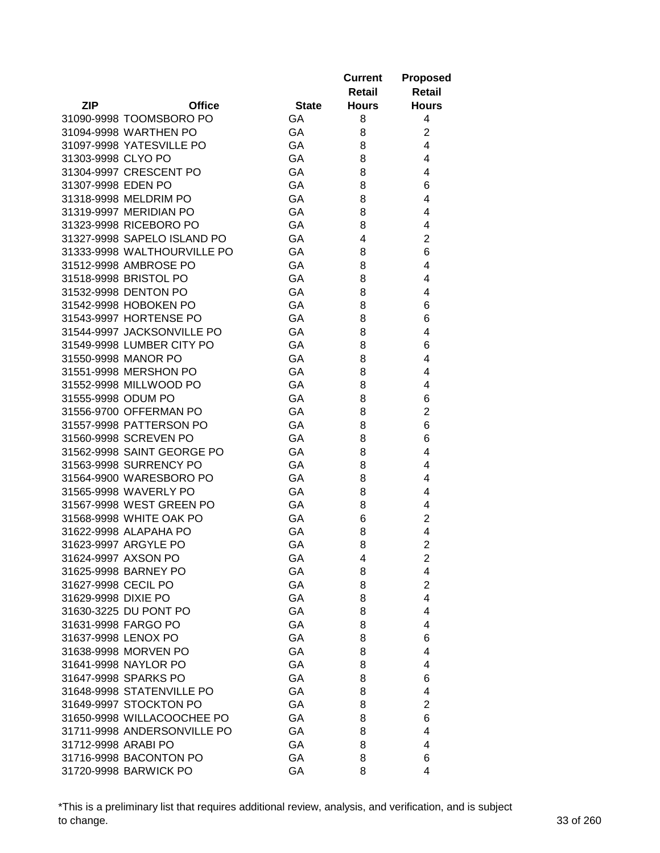|                     |                                                     |              | <b>Current</b> | <b>Proposed</b>         |
|---------------------|-----------------------------------------------------|--------------|----------------|-------------------------|
|                     |                                                     |              | <b>Retail</b>  | <b>Retail</b>           |
| <b>ZIP</b>          | <b>Office</b>                                       | <b>State</b> | <b>Hours</b>   | <b>Hours</b>            |
|                     | 31090-9998 TOOMSBORO PO                             | GA           | 8              | 4                       |
|                     | 31094-9998 WARTHEN PO                               | GA           | 8              | $\overline{c}$          |
|                     | 31097-9998 YATESVILLE PO                            | GA           | 8              | 4                       |
| 31303-9998 CLYO PO  |                                                     | GA           | 8              | 4                       |
|                     | 31304-9997 CRESCENT PO                              | GA           | 8              | 4                       |
| 31307-9998 EDEN PO  |                                                     | GA           | 8              | 6                       |
|                     | 31318-9998 MELDRIM PO                               | GA           | 8              | 4                       |
|                     | 31319-9997 MERIDIAN PO                              | GA           | 8              | 4                       |
|                     | 31323-9998 RICEBORO PO                              | GA           | 8              | 4                       |
|                     | 31327-9998 SAPELO ISLAND PO                         | GA           | 4              | $\overline{2}$          |
|                     | 31333-9998 WALTHOURVILLE PO                         | GA           | 8              | 6                       |
|                     | 31512-9998 AMBROSE PO                               | GA           | 8              | 4                       |
|                     | 31518-9998 BRISTOL PO                               | GA           | 8              | 4                       |
|                     | 31532-9998 DENTON PO                                | GA           | 8              | 4                       |
|                     | 31542-9998 HOBOKEN PO                               | GA           | 8              | 6                       |
|                     | 31543-9997 HORTENSE PO                              | GA           | 8              | 6                       |
|                     | 31544-9997 JACKSONVILLE PO                          | GA           | 8              | 4                       |
|                     | 31549-9998 LUMBER CITY PO                           | GA           | 8              | 6                       |
|                     | 31550-9998 MANOR PO                                 | GA           | 8              | 4                       |
|                     | 31551-9998 MERSHON PO                               | GA           | 8              | 4                       |
|                     |                                                     | GA           |                | 4                       |
|                     | 31552-9998 MILLWOOD PO                              |              | 8              |                         |
| 31555-9998 ODUM PO  |                                                     | GA           | 8              | 6                       |
|                     | 31556-9700 OFFERMAN PO                              | GA           | 8              | $\overline{2}$          |
|                     | 31557-9998 PATTERSON PO                             | GA<br>GA     | 8              | 6<br>6                  |
|                     | 31560-9998 SCREVEN PO<br>31562-9998 SAINT GEORGE PO | GA           | 8              | 4                       |
|                     | 31563-9998 SURRENCY PO                              | GA           | 8              | 4                       |
|                     | 31564-9900 WARESBORO PO                             | GA           | 8              | 4                       |
|                     |                                                     |              | 8              |                         |
|                     | 31565-9998 WAVERLY PO<br>31567-9998 WEST GREEN PO   | GA           | 8              | 4                       |
|                     |                                                     | GA           | 8              | 4                       |
|                     | 31568-9998 WHITE OAK PO                             | GA           | 6              | $\overline{c}$          |
|                     | 31622-9998 ALAPAHA PO                               | GA           | 8              | 4<br>$\overline{2}$     |
|                     | 31623-9997 ARGYLE PO                                | GA           | 8              |                         |
|                     | 31624-9997 AXSON PO                                 | GA           | 4              | $\overline{\mathbf{c}}$ |
| 31627-9998 CECIL PO | 31625-9998 BARNEY PO                                | GA<br>GA     | 8<br>8         | 4<br>$\overline{2}$     |
|                     |                                                     |              |                | 4                       |
| 31629-9998 DIXIE PO |                                                     | GA<br>GA     | 8              | 4                       |
|                     | 31630-3225 DU PONT PO                               |              | 8              |                         |
|                     | 31631-9998 FARGO PO                                 | GA           | 8              | 4                       |
| 31637-9998 LENOX PO |                                                     | GA           | 8              | 6                       |
|                     | 31638-9998 MORVEN PO                                | GA           | 8              | 4                       |
|                     | 31641-9998 NAYLOR PO                                | GA           | 8              | 4                       |
|                     | 31647-9998 SPARKS PO                                | GA           | 8              | 6                       |
|                     | 31648-9998 STATENVILLE PO                           | GA           | 8              | 4                       |
|                     | 31649-9997 STOCKTON PO                              | GA           | 8              | $\overline{2}$          |
|                     | 31650-9998 WILLACOOCHEE PO                          | GA           | 8              | 6                       |
|                     | 31711-9998 ANDERSONVILLE PO                         | GA           | 8              | 4                       |
| 31712-9998 ARABI PO |                                                     | GA           | 8              | 4                       |
|                     | 31716-9998 BACONTON PO                              | GA           | 8              | 6                       |
|                     | 31720-9998 BARWICK PO                               | GA           | 8              | 4                       |

\*This is a preliminary list that requires additional review, analysis, and verification, and is subject to change. 33 of 260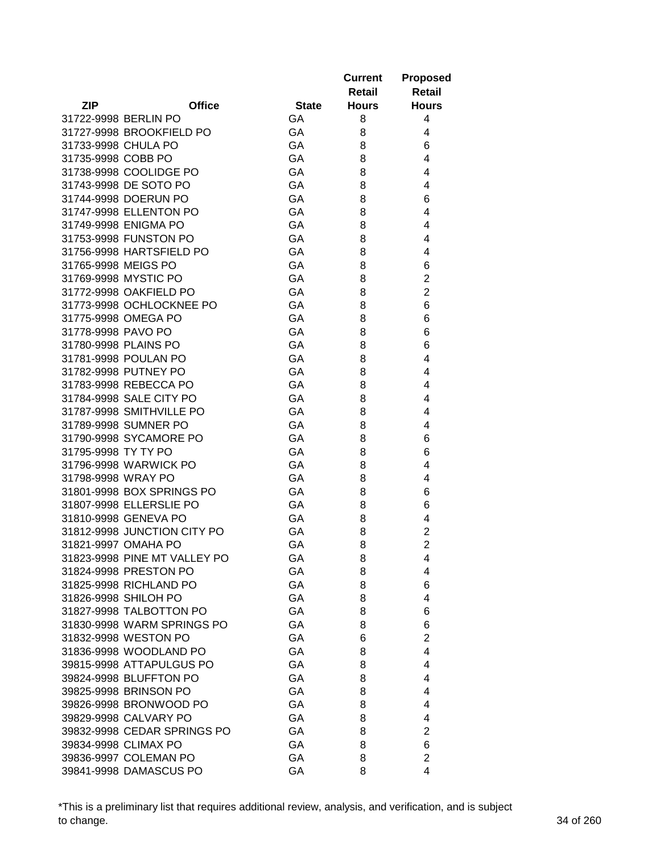|                       |                              |              | <b>Current</b> | <b>Proposed</b>                  |
|-----------------------|------------------------------|--------------|----------------|----------------------------------|
|                       |                              |              | Retail         | <b>Retail</b>                    |
| <b>ZIP</b>            | <b>Office</b>                | <b>State</b> | <b>Hours</b>   | <b>Hours</b>                     |
| 31722-9998 BERLIN PO  |                              | GA           | 8              | 4                                |
|                       | 31727-9998 BROOKFIELD PO     | GA           | 8              | 4                                |
| 31733-9998 CHULA PO   |                              | GA           | 8              | 6                                |
| 31735-9998 COBB PO    |                              | GA           | 8              | 4                                |
|                       | 31738-9998 COOLIDGE PO       | GA           | 8              | 4                                |
| 31743-9998 DE SOTO PO |                              | GA           | 8              | 4                                |
| 31744-9998 DOERUN PO  |                              | GA           | 8              | 6                                |
|                       | 31747-9998 ELLENTON PO       | GA           | 8              | 4                                |
| 31749-9998 ENIGMA PO  |                              | GA           | 8              | 4                                |
| 31753-9998 FUNSTON PO |                              | GA           | 8              | 4                                |
|                       | 31756-9998 HARTSFIELD PO     | GA           | 8              | 4                                |
| 31765-9998 MEIGS PO   |                              | GA           | 8              | 6                                |
| 31769-9998 MYSTIC PO  |                              | GA           | 8              | $\overline{c}$                   |
|                       | 31772-9998 OAKFIELD PO       | GA           | 8              | $\overline{2}$                   |
|                       | 31773-9998 OCHLOCKNEE PO     | GA           | 8              | $\,6$                            |
| 31775-9998 OMEGA PO   |                              | GA           |                | 6                                |
|                       |                              |              | 8              |                                  |
| 31778-9998 PAVO PO    |                              | GA           | 8              | 6                                |
| 31780-9998 PLAINS PO  |                              | GA           | 8              | 6                                |
| 31781-9998 POULAN PO  |                              | GA           | 8              | 4                                |
| 31782-9998 PUTNEY PO  |                              | GA           | 8              | 4                                |
| 31783-9998 REBECCA PO |                              | GA           | 8              | 4                                |
|                       | 31784-9998 SALE CITY PO      | GA           | 8              | 4                                |
|                       | 31787-9998 SMITHVILLE PO     | GA           | 8              | 4                                |
| 31789-9998 SUMNER PO  |                              | GA           | 8              | 4                                |
|                       | 31790-9998 SYCAMORE PO       | GA           | 8              | 6                                |
| 31795-9998 TY TY PO   |                              | GA           | 8              | 6                                |
|                       | 31796-9998 WARWICK PO        | GA           | 8              | 4                                |
| 31798-9998 WRAY PO    |                              | GA           | 8              | 4                                |
|                       | 31801-9998 BOX SPRINGS PO    | GA           | 8              | 6                                |
|                       | 31807-9998 ELLERSLIE PO      | GA           | 8              | 6                                |
| 31810-9998 GENEVA PO  |                              | GA           | 8              | 4                                |
|                       | 31812-9998 JUNCTION CITY PO  | GA           | 8              | $\overline{c}$<br>$\overline{2}$ |
| 31821-9997 OMAHA PO   |                              | GA           | 8              |                                  |
|                       | 31823-9998 PINE MT VALLEY PO | GA           | 8              | 4                                |
| 31824-9998 PRESTON PO |                              | GA           | 8              | 4                                |
|                       | 31825-9998 RICHLAND PO       | GA           | 8              | 6                                |
| 31826-9998 SHILOH PO  |                              | GA           | 8              | 4                                |
|                       | 31827-9998 TALBOTTON PO      | GA           | 8              | 6                                |
|                       | 31830-9998 WARM SPRINGS PO   | GA           | 8              | 6                                |
| 31832-9998 WESTON PO  |                              | GA           | 6              | $\overline{2}$                   |
|                       | 31836-9998 WOODLAND PO       | GA           | 8              | 4                                |
|                       | 39815-9998 ATTAPULGUS PO     | GA           | 8              | 4                                |
|                       | 39824-9998 BLUFFTON PO       | GA           | 8              | 4                                |
| 39825-9998 BRINSON PO |                              | GA           | 8              | 4                                |
|                       | 39826-9998 BRONWOOD PO       | GA           | 8              | 4                                |
| 39829-9998 CALVARY PO |                              | GA           | 8              | 4                                |
|                       | 39832-9998 CEDAR SPRINGS PO  | GA           | 8              | $\overline{c}$                   |
| 39834-9998 CLIMAX PO  |                              | GA           | 8              | 6                                |
|                       | 39836-9997 COLEMAN PO        | GA           | 8              | $\overline{2}$                   |
|                       | 39841-9998 DAMASCUS PO       | GA           | 8              | 4                                |

\*This is a preliminary list that requires additional review, analysis, and verification, and is subject to change. 34 of 260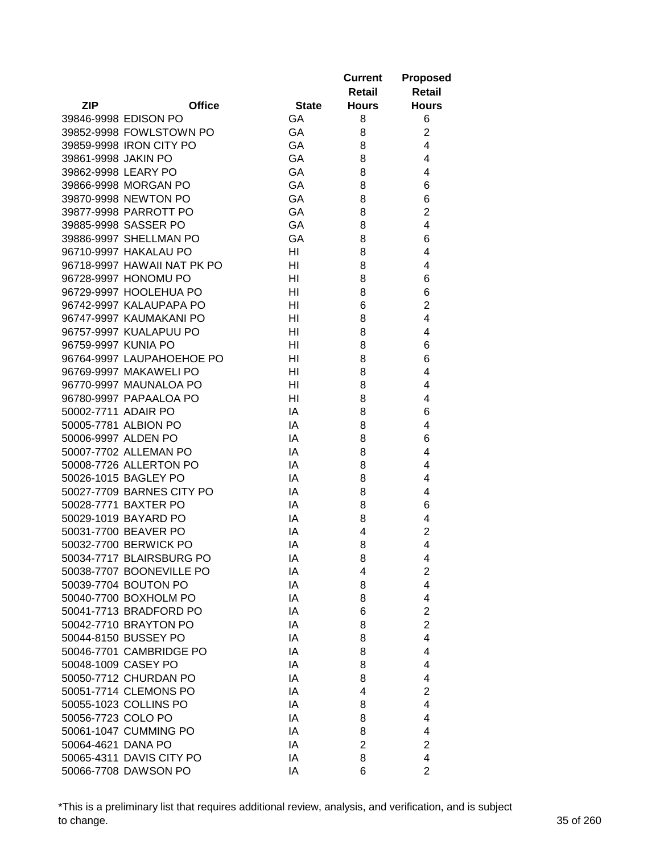|                     |                             |                | <b>Current</b><br>Retail | <b>Proposed</b><br><b>Retail</b> |
|---------------------|-----------------------------|----------------|--------------------------|----------------------------------|
| <b>ZIP</b>          | <b>Office</b>               | <b>State</b>   | <b>Hours</b>             | <b>Hours</b>                     |
|                     | 39846-9998 EDISON PO        | GA             | 8                        | 6                                |
|                     | 39852-9998 FOWLSTOWN PO     | GA             | 8                        | $\overline{2}$                   |
|                     | 39859-9998 IRON CITY PO     | GA             | 8                        | 4                                |
| 39861-9998 JAKIN PO |                             | GA             | 8                        | 4                                |
| 39862-9998 LEARY PO |                             | GA             | 8                        | 4                                |
|                     | 39866-9998 MORGAN PO        | GA             | 8                        | 6                                |
|                     | 39870-9998 NEWTON PO        | GA             | 8                        | 6                                |
|                     | 39877-9998 PARROTT PO       | GA             | 8                        | $\overline{2}$                   |
|                     | 39885-9998 SASSER PO        | GA             | 8                        | $\overline{4}$                   |
|                     | 39886-9997 SHELLMAN PO      | GA             | 8                        | 6                                |
|                     | 96710-9997 HAKALAU PO       | HI             | 8                        | 4                                |
|                     | 96718-9997 HAWAII NAT PK PO | HI             | 8                        | 4                                |
|                     | 96728-9997 HONOMU PO        | HI             | 8                        | 6                                |
|                     | 96729-9997 HOOLEHUA PO      | HI             | 8                        | 6                                |
|                     | 96742-9997 KALAUPAPA PO     | HI             | 6                        | $\overline{2}$                   |
|                     | 96747-9997 KAUMAKANI PO     | HI             | 8                        | 4                                |
|                     | 96757-9997 KUALAPUU PO      | HI             | 8                        | 4                                |
| 96759-9997 KUNIA PO |                             | HI             | 8                        | 6                                |
|                     | 96764-9997 LAUPAHOEHOE PO   |                |                          | 6                                |
|                     |                             | HI             | 8                        |                                  |
|                     | 96769-9997 MAKAWELI PO      | HI             | 8                        | 4                                |
|                     | 96770-9997 MAUNALOA PO      | H <sub>l</sub> | 8                        | 4                                |
|                     | 96780-9997 PAPAALOA PO      | H <sub>l</sub> | 8                        | 4                                |
| 50002-7711 ADAIR PO |                             | IA             | 8                        | 6                                |
|                     | 50005-7781 ALBION PO        | IA             | 8                        | 4                                |
| 50006-9997 ALDEN PO |                             | IA             | 8                        | 6                                |
|                     | 50007-7702 ALLEMAN PO       | IA             | 8                        | 4                                |
|                     | 50008-7726 ALLERTON PO      | IA             | 8                        | 4                                |
|                     | 50026-1015 BAGLEY PO        | IA             | 8                        | 4                                |
|                     | 50027-7709 BARNES CITY PO   | IA             | 8                        | 4                                |
|                     | 50028-7771 BAXTER PO        | IA             | 8                        | 6                                |
|                     | 50029-1019 BAYARD PO        | IA             | 8                        | 4                                |
|                     | 50031-7700 BEAVER PO        | IA             | 4                        | $\overline{c}$                   |
|                     | 50032-7700 BERWICK PO       | IA             | 8                        | $\overline{4}$                   |
|                     | 50034-7717 BLAIRSBURG PO    | IA             | 8                        | 4                                |
|                     | 50038-7707 BOONEVILLE PO    | IA             | 4                        | $\overline{2}$                   |
|                     | 50039-7704 BOUTON PO        | IA             | 8                        | 4                                |
|                     | 50040-7700 BOXHOLM PO       | IA             | 8                        | 4                                |
|                     | 50041-7713 BRADFORD PO      | IA             | 6                        | $\overline{2}$                   |
|                     | 50042-7710 BRAYTON PO       | IA             | 8                        | $\overline{2}$                   |
|                     | 50044-8150 BUSSEY PO        | IA             | 8                        | $\overline{4}$                   |
|                     | 50046-7701 CAMBRIDGE PO     | IA             | 8                        | 4                                |
| 50048-1009 CASEY PO |                             | IA             | 8                        | 4                                |
|                     | 50050-7712 CHURDAN PO       | IA             | 8                        | 4                                |
|                     | 50051-7714 CLEMONS PO       | IA             | 4                        | $\overline{2}$                   |
|                     | 50055-1023 COLLINS PO       | IA             | 8                        | 4                                |
| 50056-7723 COLO PO  |                             | IA             | 8                        | 4                                |
|                     | 50061-1047 CUMMING PO       | IA             | 8                        | 4                                |
| 50064-4621 DANA PO  |                             | IA             | $\overline{2}$           | $\overline{2}$                   |
|                     | 50065-4311 DAVIS CITY PO    | IA             | 8                        | 4                                |
|                     | 50066-7708 DAWSON PO        | IA             | 6                        | $\overline{2}$                   |

\*This is a preliminary list that requires additional review, analysis, and verification, and is subject to change. 35 of 260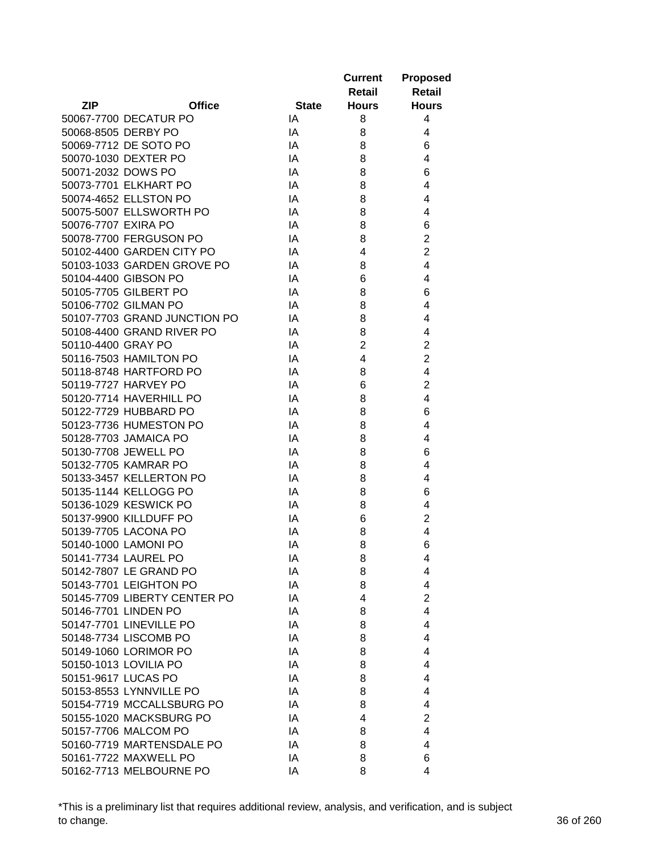|                     |                              |              | <b>Current</b>          | <b>Proposed</b>         |
|---------------------|------------------------------|--------------|-------------------------|-------------------------|
|                     |                              |              | Retail                  | <b>Retail</b>           |
| <b>ZIP</b>          | <b>Office</b>                | <b>State</b> | <b>Hours</b>            | <b>Hours</b>            |
|                     | 50067-7700 DECATUR PO        | IA           | 8                       | 4                       |
|                     | 50068-8505 DERBY PO          | IA           | 8                       | 4                       |
|                     | 50069-7712 DE SOTO PO        | IA           | 8                       | 6                       |
|                     | 50070-1030 DEXTER PO         | IA           | 8                       | 4                       |
| 50071-2032 DOWS PO  |                              | IA           | 8                       | 6                       |
|                     | 50073-7701 ELKHART PO        | IA           | 8                       | 4                       |
|                     | 50074-4652 ELLSTON PO        | IA           | 8                       | 4                       |
|                     | 50075-5007 ELLSWORTH PO      | IA           | 8                       | 4                       |
| 50076-7707 EXIRA PO |                              | IA           | 8                       | 6                       |
|                     | 50078-7700 FERGUSON PO       | IA           | 8                       | $\overline{2}$          |
|                     | 50102-4400 GARDEN CITY PO    | IA           | 4                       | $\overline{2}$          |
|                     | 50103-1033 GARDEN GROVE PO   | IA           | 8                       | 4                       |
|                     | 50104-4400 GIBSON PO         | IA           | 6                       | 4                       |
|                     | 50105-7705 GILBERT PO        | IA           | 8                       | 6                       |
|                     | 50106-7702 GILMAN PO         | IA           | 8                       | 4                       |
|                     | 50107-7703 GRAND JUNCTION PO | IA           | 8                       | 4                       |
|                     | 50108-4400 GRAND RIVER PO    | IA           | 8                       | 4                       |
| 50110-4400 GRAY PO  |                              | IA           | $\overline{2}$          | $\overline{2}$          |
|                     | 50116-7503 HAMILTON PO       | IA           | $\overline{\mathbf{4}}$ | $\overline{2}$          |
|                     | 50118-8748 HARTFORD PO       | IA           | 8                       | 4                       |
|                     | 50119-7727 HARVEY PO         | IA           | 6                       | $\overline{2}$          |
|                     | 50120-7714 HAVERHILL PO      | IA           | 8                       | $\overline{4}$          |
|                     | 50122-7729 HUBBARD PO        | IA           | 8                       | 6                       |
|                     | 50123-7736 HUMESTON PO       | IA           | 8                       | 4                       |
|                     | 50128-7703 JAMAICA PO        | IA           | 8                       | 4                       |
|                     | 50130-7708 JEWELL PO         | IA           | 8                       | 6                       |
|                     | 50132-7705 KAMRAR PO         | IA           | 8                       | 4                       |
|                     | 50133-3457 KELLERTON PO      | IA           | 8                       | 4                       |
|                     | 50135-1144 KELLOGG PO        | IA           | 8                       | 6                       |
|                     | 50136-1029 KESWICK PO        | IA           | 8                       | 4                       |
|                     | 50137-9900 KILLDUFF PO       | IA           | 6                       | $\overline{c}$          |
|                     | 50139-7705 LACONA PO         | IA           | 8                       | 4                       |
|                     | 50140-1000 LAMONI PO         | IA           | 8                       | 6                       |
|                     | 50141-7734 LAUREL PO         | IA           | 8                       | 4                       |
|                     | 50142-7807 LE GRAND PO       | IA           | 8                       | 4                       |
|                     | 50143-7701 LEIGHTON PO       | IA           | 8                       | 4                       |
|                     | 50145-7709 LIBERTY CENTER PO | IA           | 4                       | $\overline{2}$          |
|                     | 50146-7701 LINDEN PO         | IA           | 8                       | 4                       |
|                     | 50147-7701 LINEVILLE PO      | IA           | 8                       | 4                       |
|                     | 50148-7734 LISCOMB PO        | IA           | 8                       | 4                       |
|                     | 50149-1060 LORIMOR PO        | IA           | 8                       | 4                       |
|                     | 50150-1013 LOVILIA PO        | IA           | 8                       | 4                       |
|                     | 50151-9617 LUCAS PO          | IA           | 8                       | 4                       |
|                     | 50153-8553 LYNNVILLE PO      | IA           | 8                       | 4                       |
|                     | 50154-7719 MCCALLSBURG PO    | IA           | 8                       | 4                       |
|                     | 50155-1020 MACKSBURG PO      | IA           | 4                       | $\overline{\mathbf{c}}$ |
|                     | 50157-7706 MALCOM PO         | IA           | 8                       | 4                       |
|                     | 50160-7719 MARTENSDALE PO    | IA           | 8                       | 4                       |
|                     | 50161-7722 MAXWELL PO        | IA           | 8                       | 6                       |
|                     | 50162-7713 MELBOURNE PO      | IA           | 8                       | 4                       |

\*This is a preliminary list that requires additional review, analysis, and verification, and is subject to change. 36 of 260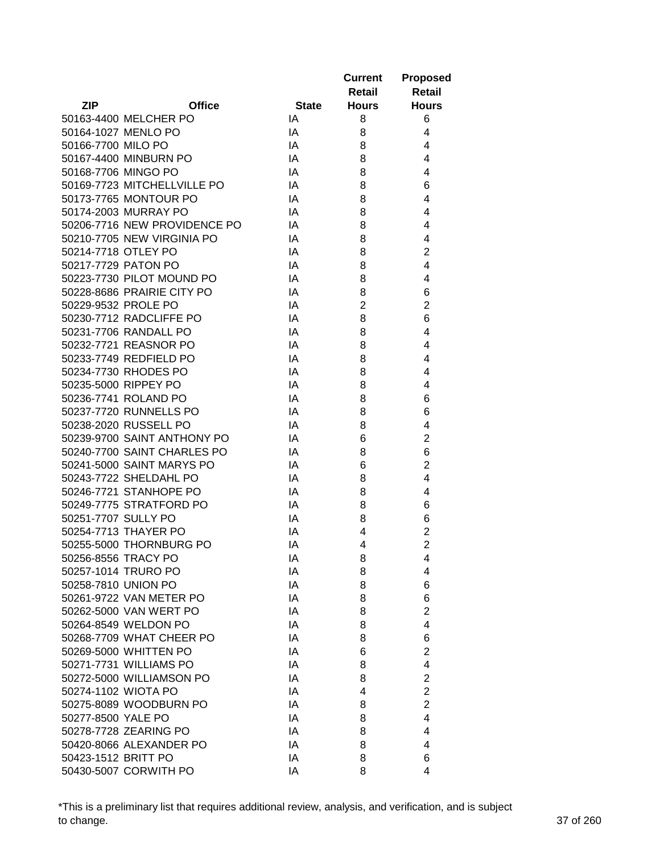|                     |                              |              | <b>Current</b> | <b>Proposed</b>         |
|---------------------|------------------------------|--------------|----------------|-------------------------|
|                     |                              |              | <b>Retail</b>  | <b>Retail</b>           |
| <b>ZIP</b>          | <b>Office</b>                | <b>State</b> | <b>Hours</b>   | <b>Hours</b>            |
|                     | 50163-4400 MELCHER PO        | IA           | 8              | 6                       |
| 50164-1027 MENLO PO |                              | IA           | 8              | 4                       |
| 50166-7700 MILO PO  |                              | IA           | 8              | 4                       |
|                     | 50167-4400 MINBURN PO        | IA           | 8              | $\overline{4}$          |
| 50168-7706 MINGO PO |                              | IA           | 8              | 4                       |
|                     | 50169-7723 MITCHELLVILLE PO  | IA           | 8              | 6                       |
|                     | 50173-7765 MONTOUR PO        | IA           | 8              | 4                       |
|                     | 50174-2003 MURRAY PO         | IA           | 8              | 4                       |
|                     | 50206-7716 NEW PROVIDENCE PO | IA           | 8              | 4                       |
|                     | 50210-7705 NEW VIRGINIA PO   | IA           | 8              | 4                       |
| 50214-7718 OTLEY PO |                              | IA           | 8              | $\overline{2}$          |
| 50217-7729 PATON PO |                              | IA           | 8              | 4                       |
|                     | 50223-7730 PILOT MOUND PO    | IA           | 8              | 4                       |
|                     | 50228-8686 PRAIRIE CITY PO   | IA           | 8              | 6                       |
| 50229-9532 PROLE PO |                              | IA           | $\overline{2}$ | $\overline{2}$          |
|                     | 50230-7712 RADCLIFFE PO      | IA           | 8              | 6                       |
|                     | 50231-7706 RANDALL PO        | IA           | 8              | $\overline{4}$          |
|                     | 50232-7721 REASNOR PO        | IA           | 8              | 4                       |
|                     | 50233-7749 REDFIELD PO       | IA           | 8              | 4                       |
|                     | 50234-7730 RHODES PO         | IA           | 8              | 4                       |
|                     | 50235-5000 RIPPEY PO         | IA           | 8              | $\overline{4}$          |
|                     | 50236-7741 ROLAND PO         | IA           | 8              | 6                       |
|                     | 50237-7720 RUNNELLS PO       | IA           | 8              | 6                       |
|                     | 50238-2020 RUSSELL PO        | IA           | 8              | 4                       |
|                     | 50239-9700 SAINT ANTHONY PO  | IA           | 6              | $\overline{2}$          |
|                     | 50240-7700 SAINT CHARLES PO  | IA           | 8              | 6                       |
|                     | 50241-5000 SAINT MARYS PO    | IA           | 6              | $\overline{2}$          |
|                     | 50243-7722 SHELDAHL PO       | IA           | 8              | 4                       |
|                     | 50246-7721 STANHOPE PO       | IA           | 8              | 4                       |
|                     | 50249-7775 STRATFORD PO      | IA           | 8              | 6                       |
| 50251-7707 SULLY PO |                              | IA           | 8              | 6                       |
|                     | 50254-7713 THAYER PO         | IA           | 4              | $\overline{c}$          |
|                     | 50255-5000 THORNBURG PO      | IA           | 4              | $\overline{2}$          |
| 50256-8556 TRACY PO |                              | IA           | 8              | $\overline{\mathbf{4}}$ |
|                     | 50257-1014 TRURO PO          | IA           | 8              | 4                       |
| 50258-7810 UNION PO |                              | IA           | 8              | 6                       |
|                     | 50261-9722 VAN METER PO      | IA           | 8              | 6                       |
|                     | 50262-5000 VAN WERT PO       | IA           | 8              | $\overline{2}$          |
|                     | 50264-8549 WELDON PO         | IA           | 8              | $\overline{4}$          |
|                     | 50268-7709 WHAT CHEER PO     | IA           | 8              | 6                       |
|                     | 50269-5000 WHITTEN PO        | IA           | 6              | $\overline{2}$          |
|                     | 50271-7731 WILLIAMS PO       | IA           | 8              | $\overline{4}$          |
|                     | 50272-5000 WILLIAMSON PO     | IA           | 8              | $\overline{2}$          |
| 50274-1102 WIOTA PO |                              | IA           | 4              | $\overline{c}$          |
|                     | 50275-8089 WOODBURN PO       | IA           | 8              | $\overline{c}$          |
| 50277-8500 YALE PO  |                              | IA           | 8              | 4                       |
|                     | 50278-7728 ZEARING PO        | IA           | 8              | $\overline{4}$          |
|                     | 50420-8066 ALEXANDER PO      | IA           | 8              | 4                       |
| 50423-1512 BRITT PO |                              | IA           | 8              | 6                       |
|                     | 50430-5007 CORWITH PO        | IA           | 8              | 4                       |
|                     |                              |              |                |                         |

\*This is a preliminary list that requires additional review, analysis, and verification, and is subject to change. 37 of 260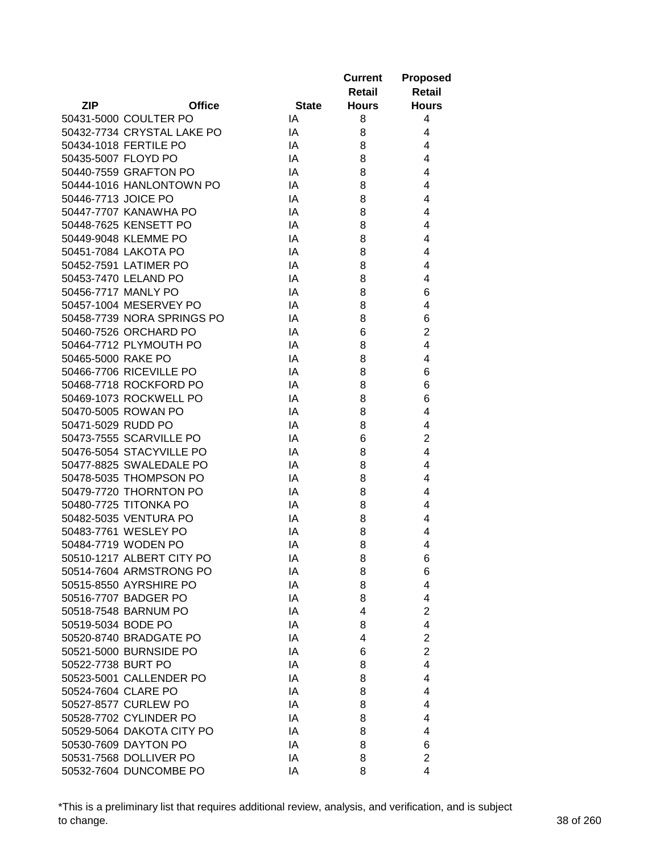|                     |                            |              | <b>Current</b> | <b>Proposed</b> |
|---------------------|----------------------------|--------------|----------------|-----------------|
|                     |                            |              | Retail         | <b>Retail</b>   |
| <b>ZIP</b>          | <b>Office</b>              | <b>State</b> | <b>Hours</b>   | <b>Hours</b>    |
|                     | 50431-5000 COULTER PO      | IA           | 8              | 4               |
|                     | 50432-7734 CRYSTAL LAKE PO | IA           | 8              | 4               |
|                     | 50434-1018 FERTILE PO      | IA           | 8              | 4               |
| 50435-5007 FLOYD PO |                            | IA           | 8              | 4               |
|                     | 50440-7559 GRAFTON PO      | IA           | 8              | 4               |
|                     | 50444-1016 HANLONTOWN PO   | IA           | 8              | 4               |
| 50446-7713 JOICE PO |                            | IA           | 8              | 4               |
|                     | 50447-7707 KANAWHA PO      | IA           | 8              | 4               |
|                     | 50448-7625 KENSETT PO      | IA           | 8              | 4               |
|                     | 50449-9048 KLEMME PO       | IA           | 8              | 4               |
|                     | 50451-7084 LAKOTA PO       | IA           | 8              | 4               |
|                     | 50452-7591 LATIMER PO      | IA           | 8              | 4               |
|                     | 50453-7470 LELAND PO       | IA           | 8              | 4               |
|                     | 50456-7717 MANLY PO        | IA           | 8              | 6               |
|                     | 50457-1004 MESERVEY PO     | IA           | 8              | 4               |
|                     | 50458-7739 NORA SPRINGS PO |              |                | 6               |
|                     |                            | IA<br>IA     | 8              | $\overline{2}$  |
|                     | 50460-7526 ORCHARD PO      |              | 6              | $\overline{4}$  |
|                     | 50464-7712 PLYMOUTH PO     | IA           | 8              |                 |
| 50465-5000 RAKE PO  |                            | IA           | 8              | 4               |
|                     | 50466-7706 RICEVILLE PO    | IA           | 8              | 6               |
|                     | 50468-7718 ROCKFORD PO     | IA           | 8              | 6               |
|                     | 50469-1073 ROCKWELL PO     | IA           | 8              | 6               |
|                     | 50470-5005 ROWAN PO        | IA           | 8              | 4               |
| 50471-5029 RUDD PO  |                            | IA           | 8              | 4               |
|                     | 50473-7555 SCARVILLE PO    | IA           | 6              | $\overline{2}$  |
|                     | 50476-5054 STACYVILLE PO   | IA           | 8              | 4               |
|                     | 50477-8825 SWALEDALE PO    | IA           | 8              | 4               |
|                     | 50478-5035 THOMPSON PO     | IA           | 8              | 4               |
|                     | 50479-7720 THORNTON PO     | IA           | 8              | 4               |
|                     | 50480-7725 TITONKA PO      | IA           | 8              | 4               |
|                     | 50482-5035 VENTURA PO      | IA           | 8              | 4               |
|                     | 50483-7761 WESLEY PO       | IA           | 8              | 4               |
|                     | 50484-7719 WODEN PO        | IA           | 8              | 4               |
|                     | 50510-1217 ALBERT CITY PO  | IA           | 8              | 6               |
|                     | 50514-7604 ARMSTRONG PO    | IA           | 8              | 6               |
|                     | 50515-8550 AYRSHIRE PO     | IA           | 8              | 4               |
|                     | 50516-7707 BADGER PO       | IA           | 8              | 4               |
|                     | 50518-7548 BARNUM PO       | IA           | 4              | $\overline{2}$  |
| 50519-5034 BODE PO  |                            | IA           | 8              | $\overline{4}$  |
|                     | 50520-8740 BRADGATE PO     | IA           | 4              | $\overline{2}$  |
|                     | 50521-5000 BURNSIDE PO     | IA           | 6              | $\overline{2}$  |
| 50522-7738 BURT PO  |                            | IA           | 8              | 4               |
|                     | 50523-5001 CALLENDER PO    | IA           | 8              | 4               |
| 50524-7604 CLARE PO |                            | IA           | 8              | 4               |
|                     | 50527-8577 CURLEW PO       | IA           | 8              | 4               |
|                     | 50528-7702 CYLINDER PO     | IA           | 8              | 4               |
|                     | 50529-5064 DAKOTA CITY PO  | IA           | 8              | 4               |
|                     | 50530-7609 DAYTON PO       | IA           | 8              | 6               |
|                     | 50531-7568 DOLLIVER PO     | IA           | 8              | $\overline{2}$  |
|                     | 50532-7604 DUNCOMBE PO     | ΙA           | 8              | 4               |

\*This is a preliminary list that requires additional review, analysis, and verification, and is subject to change. 38 of 260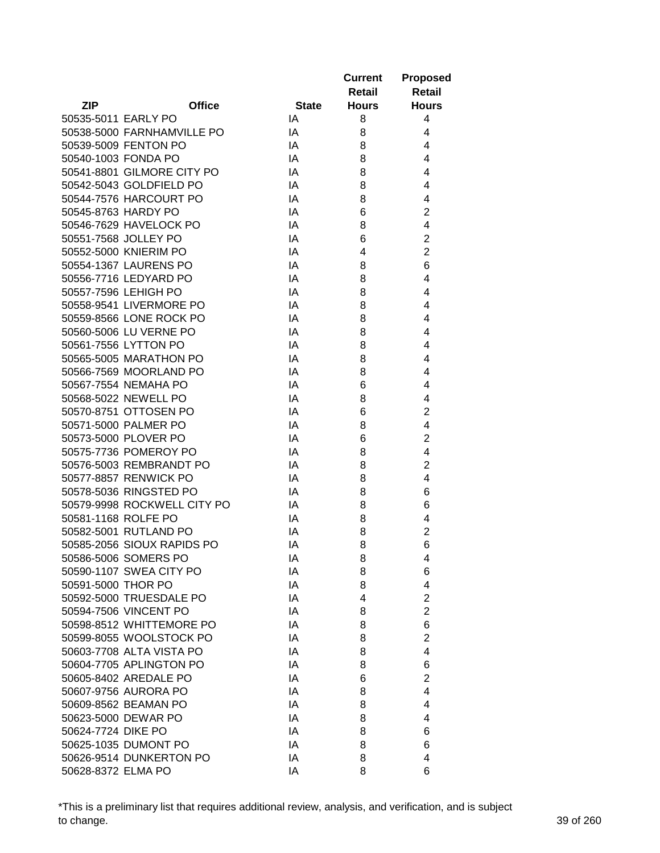|                     |                             |              | <b>Current</b><br>Retail | <b>Proposed</b><br><b>Retail</b> |
|---------------------|-----------------------------|--------------|--------------------------|----------------------------------|
| <b>ZIP</b>          | <b>Office</b>               | <b>State</b> | <b>Hours</b>             | <b>Hours</b>                     |
| 50535-5011 EARLY PO |                             | IA           | 8                        | 4                                |
|                     | 50538-5000 FARNHAMVILLE PO  | IA           | 8                        | 4                                |
|                     | 50539-5009 FENTON PO        | IA           | 8                        | 4                                |
| 50540-1003 FONDA PO |                             | IA           | 8                        | 4                                |
|                     | 50541-8801 GILMORE CITY PO  | IA           | 8                        | 4                                |
|                     | 50542-5043 GOLDFIELD PO     | IA           | 8                        | 4                                |
|                     | 50544-7576 HARCOURT PO      | IA           | 8                        | 4                                |
| 50545-8763 HARDY PO |                             | IA           | 6                        | $\overline{c}$                   |
|                     | 50546-7629 HAVELOCK PO      | IA           | 8                        | $\overline{\mathbf{4}}$          |
|                     | 50551-7568 JOLLEY PO        | IA           | 6                        | $\overline{2}$                   |
|                     | 50552-5000 KNIERIM PO       | IA           | 4                        | $\overline{2}$                   |
|                     | 50554-1367 LAURENS PO       | IA           | 8                        | 6                                |
|                     | 50556-7716 LEDYARD PO       | IA           | 8                        | 4                                |
|                     | 50557-7596 LEHIGH PO        | IA           | 8                        | 4                                |
|                     | 50558-9541 LIVERMORE PO     | IA           | 8                        | 4                                |
|                     | 50559-8566 LONE ROCK PO     | IA           | 8                        | 4                                |
|                     | 50560-5006 LU VERNE PO      | IA           | 8                        | 4                                |
|                     | 50561-7556 LYTTON PO        | IA           | 8                        | 4                                |
|                     | 50565-5005 MARATHON PO      | IA           | 8                        | 4                                |
|                     | 50566-7569 MOORLAND PO      | IA           | 8                        | 4                                |
|                     | 50567-7554 NEMAHA PO        | IA           | 6                        | 4                                |
|                     | 50568-5022 NEWELL PO        | IA           | 8                        | 4                                |
|                     | 50570-8751 OTTOSEN PO       | IA           | 6                        | $\overline{2}$                   |
|                     | 50571-5000 PALMER PO        | IA           | 8                        | 4                                |
|                     | 50573-5000 PLOVER PO        | IA           | 6                        | $\overline{2}$                   |
|                     | 50575-7736 POMEROY PO       | IA           | 8                        | 4                                |
|                     | 50576-5003 REMBRANDT PO     | IA           | 8                        | $\overline{2}$                   |
|                     | 50577-8857 RENWICK PO       | IA           | 8                        | 4                                |
|                     | 50578-5036 RINGSTED PO      | IA           | 8                        | 6                                |
|                     | 50579-9998 ROCKWELL CITY PO | IA           | 8                        | 6                                |
| 50581-1168 ROLFE PO |                             | IA           | 8                        | 4                                |
|                     | 50582-5001 RUTLAND PO       | IA           | 8                        | $\overline{c}$                   |
|                     | 50585-2056 SIOUX RAPIDS PO  | ΙA           | 8                        | 6                                |
|                     | 50586-5006 SOMERS PO        | IA           | 8                        | 4                                |
|                     | 50590-1107 SWEA CITY PO     | IA           | 8                        | 6                                |
| 50591-5000 THOR PO  |                             | IA           | 8                        | 4                                |
|                     | 50592-5000 TRUESDALE PO     | IA           | 4                        | $\overline{2}$                   |
|                     | 50594-7506 VINCENT PO       | IA           | 8                        | $\overline{2}$                   |
|                     | 50598-8512 WHITTEMORE PO    | IA           | 8                        | 6                                |
|                     | 50599-8055 WOOLSTOCK PO     | IA           | 8                        | $\overline{2}$                   |
|                     | 50603-7708 ALTA VISTA PO    | IA           | 8                        | 4                                |
|                     | 50604-7705 APLINGTON PO     | IA           | 8                        | 6                                |
|                     | 50605-8402 AREDALE PO       |              |                          | $\overline{2}$                   |
|                     |                             | IA           | 6                        |                                  |
|                     | 50607-9756 AURORA PO        | IA           | 8                        | 4<br>4                           |
|                     | 50609-8562 BEAMAN PO        | IA           | 8                        |                                  |
|                     | 50623-5000 DEWAR PO         | IA           | 8                        | 4                                |
| 50624-7724 DIKE PO  |                             | IA           | 8                        | 6                                |
|                     | 50625-1035 DUMONT PO        | IA           | 8                        | 6                                |
|                     | 50626-9514 DUNKERTON PO     | IA           | 8                        | 4                                |
| 50628-8372 ELMA PO  |                             | IA           | 8                        | 6                                |

\*This is a preliminary list that requires additional review, analysis, and verification, and is subject to change. 39 of 260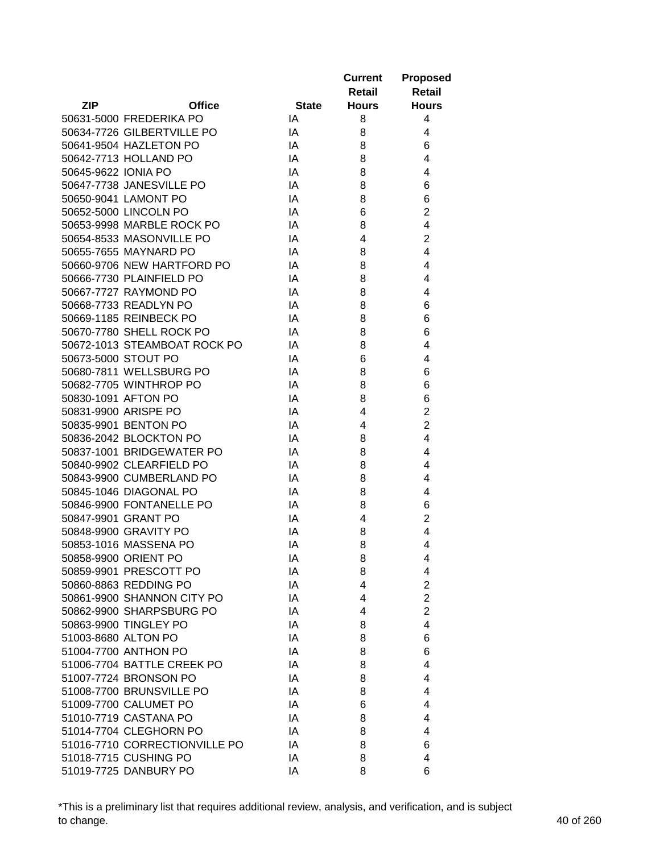|                     |                               |              | <b>Current</b> | <b>Proposed</b> |
|---------------------|-------------------------------|--------------|----------------|-----------------|
|                     |                               |              | <b>Retail</b>  | <b>Retail</b>   |
| <b>ZIP</b>          | <b>Office</b>                 | <b>State</b> | <b>Hours</b>   | <b>Hours</b>    |
|                     | 50631-5000 FREDERIKA PO       | IA           | 8              | 4               |
|                     | 50634-7726 GILBERTVILLE PO    | IA           | 8              | 4               |
|                     | 50641-9504 HAZLETON PO        | IA           | 8              | 6               |
|                     | 50642-7713 HOLLAND PO         | IA           | 8              | 4               |
| 50645-9622 IONIA PO |                               | IA           | 8              | 4               |
|                     | 50647-7738 JANESVILLE PO      | IA           | 8              | 6               |
|                     | 50650-9041 LAMONT PO          | IA           | 8              | 6               |
|                     | 50652-5000 LINCOLN PO         | IA           | 6              | $\overline{2}$  |
|                     | 50653-9998 MARBLE ROCK PO     | IA           | 8              | 4               |
|                     | 50654-8533 MASONVILLE PO      | IA           | 4              | $\overline{2}$  |
|                     | 50655-7655 MAYNARD PO         | IA           | 8              | 4               |
|                     | 50660-9706 NEW HARTFORD PO    | IA           | 8              | 4               |
|                     | 50666-7730 PLAINFIELD PO      | IA           | 8              | 4               |
|                     | 50667-7727 RAYMOND PO         | IA           | 8              | 4               |
|                     | 50668-7733 READLYN PO         | IA           | 8              | 6               |
|                     | 50669-1185 REINBECK PO        | IA           | 8              | 6               |
|                     | 50670-7780 SHELL ROCK PO      | IA           | 8              | 6               |
|                     | 50672-1013 STEAMBOAT ROCK PO  | IA           | 8              | 4               |
| 50673-5000 STOUT PO |                               | IA           | 6              | 4               |
|                     | 50680-7811 WELLSBURG PO       | IA           | 8              | 6               |
|                     | 50682-7705 WINTHROP PO        | IA           | 8              | 6               |
|                     | 50830-1091 AFTON PO           | IA           | 8              | 6               |
|                     | 50831-9900 ARISPE PO          | IA           | 4              | $\overline{2}$  |
|                     | 50835-9901 BENTON PO          | IA           | 4              | $\overline{2}$  |
|                     | 50836-2042 BLOCKTON PO        | IA           | 8              | 4               |
|                     | 50837-1001 BRIDGEWATER PO     | IA           | 8              | 4               |
|                     | 50840-9902 CLEARFIELD PO      | IA           | 8              | 4               |
|                     | 50843-9900 CUMBERLAND PO      | IA           | 8              | 4               |
|                     | 50845-1046 DIAGONAL PO        | IA           | 8              | 4               |
|                     | 50846-9900 FONTANELLE PO      | IA           | 8              | 6               |
|                     | 50847-9901 GRANT PO           | IA           | 4              | $\overline{2}$  |
|                     | 50848-9900 GRAVITY PO         | IA           | 8              | 4               |
|                     | 50853-1016 MASSENA PO         | IA           | 8              | 4               |
|                     | 50858-9900 ORIENT PO          | IA           | 8              | 4               |
|                     | 50859-9901 PRESCOTT PO        | IA           | 8              | 4               |
|                     | 50860-8863 REDDING PO         | IA           | 4              | $\overline{2}$  |
|                     | 50861-9900 SHANNON CITY PO    | IA           | 4              | $\overline{c}$  |
|                     | 50862-9900 SHARPSBURG PO      | IA           | 4              | $\overline{2}$  |
|                     | 50863-9900 TINGLEY PO         | IA           | 8              | $\overline{4}$  |
| 51003-8680 ALTON PO |                               | IA           | 8              | 6               |
|                     | 51004-7700 ANTHON PO          | IA           | 8              | 6               |
|                     | 51006-7704 BATTLE CREEK PO    | IA           | 8              | 4               |
|                     | 51007-7724 BRONSON PO         | IA           | 8              | 4               |
|                     | 51008-7700 BRUNSVILLE PO      | IA           | 8              | 4               |
|                     | 51009-7700 CALUMET PO         | IA           | 6              | 4               |
|                     | 51010-7719 CASTANA PO         | IA           | 8              | 4               |
|                     | 51014-7704 CLEGHORN PO        | IA           | 8              | 4               |
|                     | 51016-7710 CORRECTIONVILLE PO | IA           | 8              | 6               |
|                     | 51018-7715 CUSHING PO         | IA           | 8              | 4               |
|                     | 51019-7725 DANBURY PO         | IA           | 8              | 6               |
|                     |                               |              |                |                 |

\*This is a preliminary list that requires additional review, analysis, and verification, and is subject to change. 40 of 260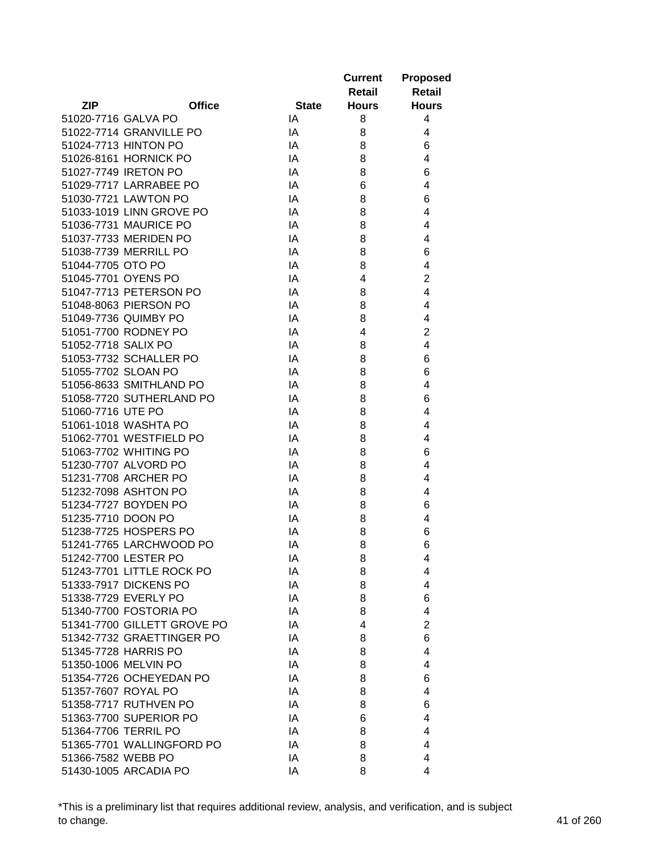|                     |                             |              | <b>Current</b> | <b>Proposed</b>         |
|---------------------|-----------------------------|--------------|----------------|-------------------------|
|                     |                             |              | Retail         | <b>Retail</b>           |
| <b>ZIP</b>          | <b>Office</b>               | <b>State</b> | <b>Hours</b>   | <b>Hours</b>            |
| 51020-7716 GALVA PO |                             | IA           | 8              | 4                       |
|                     | 51022-7714 GRANVILLE PO     | IA           | 8              | 4                       |
|                     | 51024-7713 HINTON PO        | IA           | 8              | 6                       |
|                     | 51026-8161 HORNICK PO       | IA           | 8              | 4                       |
|                     | 51027-7749 IRETON PO        | IA           | 8              | 6                       |
|                     | 51029-7717 LARRABEE PO      | IA           | 6              | 4                       |
|                     | 51030-7721 LAWTON PO        | IA           | 8              | 6                       |
|                     | 51033-1019 LINN GROVE PO    | IA           | 8              | 4                       |
|                     | 51036-7731 MAURICE PO       | IA           | 8              | 4                       |
|                     | 51037-7733 MERIDEN PO       | IA           | 8              | 4                       |
|                     | 51038-7739 MERRILL PO       | IA           | 8              | 6                       |
| 51044-7705 OTO PO   |                             | IA           | 8              | 4                       |
| 51045-7701 OYENS PO |                             | IA           | 4              | $\overline{c}$          |
|                     | 51047-7713 PETERSON PO      | IA           | 8              | 4                       |
|                     | 51048-8063 PIERSON PO       | IA           | 8              | 4                       |
|                     | 51049-7736 QUIMBY PO        | IA           | 8              | 4                       |
|                     | 51051-7700 RODNEY PO        | IA           | 4              | $\overline{2}$          |
| 51052-7718 SALIX PO |                             | IA           | 8              | $\overline{\mathbf{4}}$ |
|                     | 51053-7732 SCHALLER PO      | IA           | 8              | 6                       |
| 51055-7702 SLOAN PO |                             | IA           | 8              | 6                       |
|                     | 51056-8633 SMITHLAND PO     | IA           | 8              | 4                       |
|                     | 51058-7720 SUTHERLAND PO    | IA           | 8              | 6                       |
| 51060-7716 UTE PO   |                             | IA           | 8              | 4                       |
|                     | 51061-1018 WASHTA PO        | IA           | 8              | 4                       |
|                     | 51062-7701 WESTFIELD PO     | IA           | 8              | 4                       |
|                     | 51063-7702 WHITING PO       | IA           | 8              | 6                       |
|                     | 51230-7707 ALVORD PO        | IA           | 8              | 4                       |
|                     | 51231-7708 ARCHER PO        | IA           | 8              | 4                       |
|                     | 51232-7098 ASHTON PO        | IA           | 8              | 4                       |
|                     | 51234-7727 BOYDEN PO        | IA           | 8              | 6                       |
| 51235-7710 DOON PO  |                             | IA           | 8              | 4                       |
|                     | 51238-7725 HOSPERS PO       | IA           | 8              | 6                       |
|                     | 51241-7765 LARCHWOOD PO     | IA           | 8              | 6                       |
|                     | 51242-7700 LESTER PO        | IA           | 8              | 4                       |
|                     | 51243-7701 LITTLE ROCK PO   | IA           | 8              | 4                       |
|                     | 51333-7917 DICKENS PO       | IA           | 8              | 4                       |
|                     | 51338-7729 EVERLY PO        | IA           | 8              | 6                       |
|                     | 51340-7700 FOSTORIA PO      | IA           | 8              | 4                       |
|                     | 51341-7700 GILLETT GROVE PO | IA           | 4              | $\overline{2}$          |
|                     | 51342-7732 GRAETTINGER PO   | IA           | 8              | 6                       |
|                     | 51345-7728 HARRIS PO        | IA           | 8              | 4                       |
|                     | 51350-1006 MELVIN PO        | IA           | 8              | 4                       |
|                     | 51354-7726 OCHEYEDAN PO     | IA           | 8              | 6                       |
| 51357-7607 ROYAL PO |                             | IA           | 8              | 4                       |
|                     | 51358-7717 RUTHVEN PO       | IA           | 8              | 6                       |
|                     | 51363-7700 SUPERIOR PO      | IA           | 6              | 4                       |
|                     | 51364-7706 TERRIL PO        | IA           | 8              | 4                       |
|                     | 51365-7701 WALLINGFORD PO   | IA           | 8              | 4                       |
| 51366-7582 WEBB PO  |                             | IA           | 8              | 4                       |
|                     | 51430-1005 ARCADIA PO       | IA           | 8              | 4                       |
|                     |                             |              |                |                         |

\*This is a preliminary list that requires additional review, analysis, and verification, and is subject to change. 41 of 260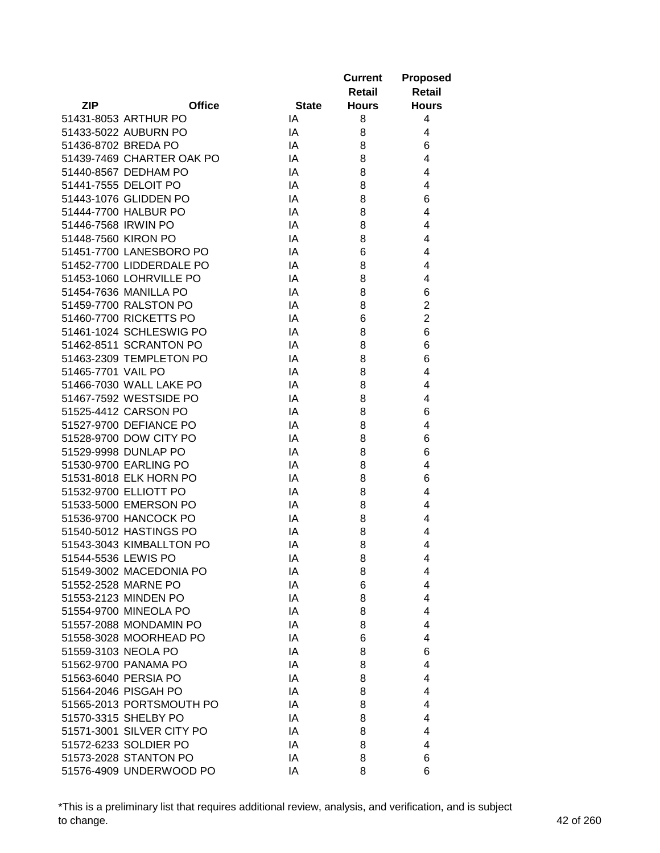|                     |                           |              | <b>Current</b> | <b>Proposed</b> |
|---------------------|---------------------------|--------------|----------------|-----------------|
|                     |                           |              | <b>Retail</b>  | <b>Retail</b>   |
| <b>ZIP</b>          | <b>Office</b>             | <b>State</b> | <b>Hours</b>   | <b>Hours</b>    |
|                     | 51431-8053 ARTHUR PO      | IA           | 8              | 4               |
|                     | 51433-5022 AUBURN PO      | IA           | 8              | 4               |
| 51436-8702 BREDA PO |                           | IA           | 8              | 6               |
|                     | 51439-7469 CHARTER OAK PO | IA           | 8              | $\overline{4}$  |
|                     | 51440-8567 DEDHAM PO      | IA           | 8              | $\overline{4}$  |
|                     | 51441-7555 DELOIT PO      | IA           | 8              | 4               |
|                     | 51443-1076 GLIDDEN PO     | IA           | 8              | 6               |
|                     | 51444-7700 HALBUR PO      | IA           | 8              | 4               |
| 51446-7568 IRWIN PO |                           | IA           | 8              | 4               |
| 51448-7560 KIRON PO |                           | IA           | 8              | 4               |
|                     | 51451-7700 LANESBORO PO   | IA           | 6              | 4               |
|                     | 51452-7700 LIDDERDALE PO  | IA           | 8              | 4               |
|                     | 51453-1060 LOHRVILLE PO   | IA           | 8              | 4               |
|                     | 51454-7636 MANILLA PO     | IA           | 8              | 6               |
|                     | 51459-7700 RALSTON PO     | IA           | 8              | $\overline{2}$  |
|                     | 51460-7700 RICKETTS PO    | IA           | 6              | $\overline{2}$  |
|                     | 51461-1024 SCHLESWIG PO   | IA           | 8              | 6               |
|                     | 51462-8511 SCRANTON PO    | IA           | 8              | 6               |
|                     | 51463-2309 TEMPLETON PO   | IA           | 8              | 6               |
| 51465-7701 VAIL PO  |                           | IA           | 8              | 4               |
|                     | 51466-7030 WALL LAKE PO   | IA           | 8              | $\overline{4}$  |
|                     | 51467-7592 WESTSIDE PO    | IA           | 8              | $\overline{4}$  |
|                     | 51525-4412 CARSON PO      | IA           | 8              | 6               |
|                     | 51527-9700 DEFIANCE PO    | IA           | 8              | 4               |
|                     | 51528-9700 DOW CITY PO    | IA           | 8              | 6               |
|                     | 51529-9998 DUNLAP PO      | IA           | 8              | 6               |
|                     | 51530-9700 EARLING PO     | IA           | 8              | 4               |
|                     | 51531-8018 ELK HORN PO    | IA           | 8              | 6               |
|                     | 51532-9700 ELLIOTT PO     | IA           | 8              | 4               |
|                     | 51533-5000 EMERSON PO     | IA           | 8              | 4               |
|                     | 51536-9700 HANCOCK PO     | IA           | 8              | $\overline{4}$  |
|                     | 51540-5012 HASTINGS PO    | IA           | 8              | 4               |
|                     | 51543-3043 KIMBALLTON PO  | IA           | 8              | 4               |
| 51544-5536 LEWIS PO |                           | IA           | 8              | 4               |
|                     | 51549-3002 MACEDONIA PO   | IA           | 8              | 4               |
|                     | 51552-2528 MARNE PO       | IA           | 6              | 4               |
|                     | 51553-2123 MINDEN PO      | IA           | 8              | 4               |
|                     | 51554-9700 MINEOLA PO     | IA           | 8              | $\overline{4}$  |
|                     | 51557-2088 MONDAMIN PO    | IA           | 8              | 4               |
|                     | 51558-3028 MOORHEAD PO    | IA           | 6              | 4               |
| 51559-3103 NEOLA PO |                           | IA           | 8              | 6               |
|                     | 51562-9700 PANAMA PO      | IA           | 8              | 4               |
|                     | 51563-6040 PERSIA PO      | IA           | 8              | 4               |
|                     | 51564-2046 PISGAH PO      | IA           | 8              | 4               |
|                     | 51565-2013 PORTSMOUTH PO  | IA           | 8              | 4               |
|                     | 51570-3315 SHELBY PO      | IA           | 8              | $\overline{4}$  |
|                     | 51571-3001 SILVER CITY PO | IA           | 8              | $\overline{4}$  |
|                     | 51572-6233 SOLDIER PO     | IA           | 8              | 4               |
|                     | 51573-2028 STANTON PO     | IA           | 8              | 6               |
|                     | 51576-4909 UNDERWOOD PO   | IA           | 8              | 6               |
|                     |                           |              |                |                 |

\*This is a preliminary list that requires additional review, analysis, and verification, and is subject to change. 42 of 260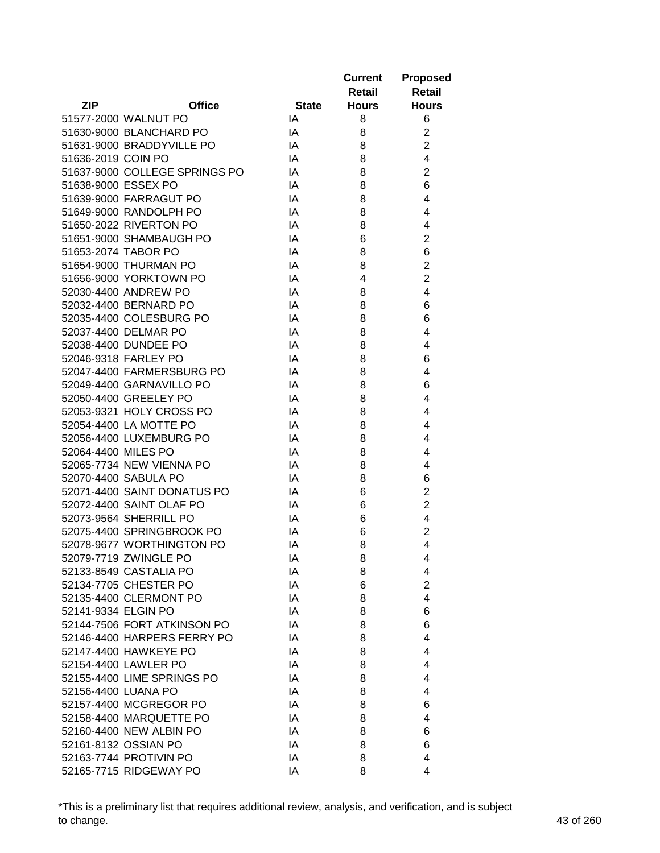|                     |                               |              | <b>Current</b> | <b>Proposed</b>         |
|---------------------|-------------------------------|--------------|----------------|-------------------------|
|                     |                               |              | Retail         | <b>Retail</b>           |
| <b>ZIP</b>          | <b>Office</b>                 | <b>State</b> | <b>Hours</b>   | <b>Hours</b>            |
|                     | 51577-2000 WALNUT PO          | IA           | 8              | 6                       |
|                     | 51630-9000 BLANCHARD PO       | IA           | 8              | $\overline{c}$          |
|                     | 51631-9000 BRADDYVILLE PO     | IA           | 8              | $\overline{2}$          |
| 51636-2019 COIN PO  |                               | IA           | 8              | $\overline{4}$          |
|                     | 51637-9000 COLLEGE SPRINGS PO | IA           | 8              | $\overline{2}$          |
| 51638-9000 ESSEX PO |                               | IA           | 8              | 6                       |
|                     | 51639-9000 FARRAGUT PO        | IA           | 8              | 4                       |
|                     | 51649-9000 RANDOLPH PO        | IA           | 8              | 4                       |
|                     | 51650-2022 RIVERTON PO        | IA           | 8              | 4                       |
|                     | 51651-9000 SHAMBAUGH PO       | IA           | 6              | $\overline{2}$          |
| 51653-2074 TABOR PO |                               | IA           | 8              | 6                       |
|                     | 51654-9000 THURMAN PO         | IA           | 8              | $\overline{c}$          |
|                     | 51656-9000 YORKTOWN PO        | IA           | 4              | $\overline{c}$          |
|                     | 52030-4400 ANDREW PO          | IA           | 8              | $\overline{\mathbf{4}}$ |
|                     | 52032-4400 BERNARD PO         | IA           | 8              | 6                       |
|                     | 52035-4400 COLESBURG PO       | IA           | 8              | 6                       |
|                     | 52037-4400 DELMAR PO          | IA           | 8              | 4                       |
|                     | 52038-4400 DUNDEE PO          | IA           | 8              | 4                       |
|                     | 52046-9318 FARLEY PO          | IA           | 8              | 6                       |
|                     | 52047-4400 FARMERSBURG PO     | IA           | 8              | 4                       |
|                     | 52049-4400 GARNAVILLO PO      | IA           | 8              | 6                       |
|                     | 52050-4400 GREELEY PO         | IA           | 8              | 4                       |
|                     | 52053-9321 HOLY CROSS PO      | IA           | 8              | 4                       |
|                     | 52054-4400 LA MOTTE PO        | IA           | 8              | 4                       |
|                     | 52056-4400 LUXEMBURG PO       | IA           | 8              | 4                       |
| 52064-4400 MILES PO |                               | IA           | 8              | 4                       |
|                     | 52065-7734 NEW VIENNA PO      | IA           | 8              | 4                       |
|                     | 52070-4400 SABULA PO          | IA           | 8              | 6                       |
|                     | 52071-4400 SAINT DONATUS PO   | IA           | 6              | $\overline{\mathbf{c}}$ |
|                     | 52072-4400 SAINT OLAF PO      | IA           | 6              | $\overline{2}$          |
|                     | 52073-9564 SHERRILL PO        | IA           | 6              | 4                       |
|                     | 52075-4400 SPRINGBROOK PO     | IA           | 6              | $\overline{2}$          |
|                     | 52078-9677 WORTHINGTON PO     | IA           | 8              | 4                       |
|                     | 52079-7719 ZWINGLE PO         | IA           | 8              | 4                       |
|                     | 52133-8549 CASTALIA PO        | IA           |                |                         |
|                     | 52134-7705 CHESTER PO         | IA           | 8<br>6         | 4<br>$\overline{c}$     |
|                     | 52135-4400 CLERMONT PO        | IA           | 8              | 4                       |
| 52141-9334 ELGIN PO |                               | IA           | 8              | 6                       |
|                     | 52144-7506 FORT ATKINSON PO   | IA           | 8              | 6                       |
|                     | 52146-4400 HARPERS FERRY PO   | IA           |                | 4                       |
|                     |                               |              | 8              |                         |
|                     | 52147-4400 HAWKEYE PO         | IA           | 8              | 4                       |
|                     | 52154-4400 LAWLER PO          | IA           | 8              | 4                       |
|                     | 52155-4400 LIME SPRINGS PO    | IA           | 8              | 4                       |
| 52156-4400 LUANA PO |                               | IA           | 8              | 4                       |
|                     | 52157-4400 MCGREGOR PO        | IA           | 8              | 6                       |
|                     | 52158-4400 MARQUETTE PO       | IA           | 8              | 4                       |
|                     | 52160-4400 NEW ALBIN PO       | IA           | 8              | 6                       |
|                     | 52161-8132 OSSIAN PO          | IA           | 8              | 6                       |
|                     | 52163-7744 PROTIVIN PO        | IA           | 8              | 4                       |
|                     | 52165-7715 RIDGEWAY PO        | IA           | 8              | 4                       |

\*This is a preliminary list that requires additional review, analysis, and verification, and is subject to change. 43 of 260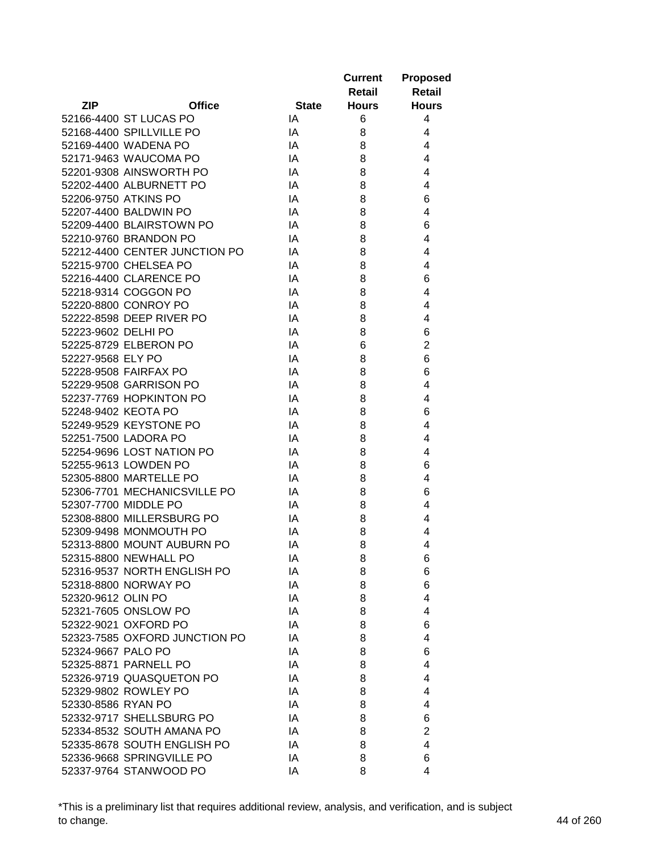|                      |                               |              | <b>Current</b> | <b>Proposed</b> |
|----------------------|-------------------------------|--------------|----------------|-----------------|
|                      |                               |              | <b>Retail</b>  | <b>Retail</b>   |
| <b>ZIP</b>           | <b>Office</b>                 | <b>State</b> | <b>Hours</b>   | <b>Hours</b>    |
|                      | 52166-4400 ST LUCAS PO        | IA           | 6              | 4               |
|                      | 52168-4400 SPILLVILLE PO      | IA           | 8              | 4               |
|                      | 52169-4400 WADENA PO          | IA           | 8              | 4               |
|                      | 52171-9463 WAUCOMA PO         | IA           | 8              | 4               |
|                      | 52201-9308 AINSWORTH PO       | IA           | 8              | 4               |
|                      | 52202-4400 ALBURNETT PO       | IA           | 8              | 4               |
| 52206-9750 ATKINS PO |                               | IA           | 8              | 6               |
|                      | 52207-4400 BALDWIN PO         | IA           | 8              | 4               |
|                      | 52209-4400 BLAIRSTOWN PO      | IA           | 8              | 6               |
|                      | 52210-9760 BRANDON PO         | IA           | 8              | 4               |
|                      | 52212-4400 CENTER JUNCTION PO | IA           | 8              | 4               |
|                      | 52215-9700 CHELSEA PO         | IA           | 8              | 4               |
|                      | 52216-4400 CLARENCE PO        | IA           | 8              | 6               |
|                      | 52218-9314 COGGON PO          | IA           | 8              | 4               |
|                      | 52220-8800 CONROY PO          | IA           | 8              | 4               |
|                      | 52222-8598 DEEP RIVER PO      | IA           | 8              | 4               |
| 52223-9602 DELHI PO  |                               | IA           | 8              | 6               |
|                      | 52225-8729 ELBERON PO         | IA           | 6              | $\overline{2}$  |
| 52227-9568 ELY PO    |                               | IA           | 8              | 6               |
|                      | 52228-9508 FAIRFAX PO         | IA           | 8              | 6               |
|                      | 52229-9508 GARRISON PO        | IA           | 8              | 4               |
|                      | 52237-7769 HOPKINTON PO       | IA           | 8              | 4               |
| 52248-9402 KEOTA PO  |                               | IA           | 8              | 6               |
|                      | 52249-9529 KEYSTONE PO        | IA           | 8              | $\overline{4}$  |
|                      | 52251-7500 LADORA PO          | IA           | 8              | 4               |
|                      | 52254-9696 LOST NATION PO     | IA           | 8              | 4               |
|                      | 52255-9613 LOWDEN PO          | IA           | 8              | 6               |
|                      | 52305-8800 MARTELLE PO        | IA           | 8              | 4               |
|                      | 52306-7701 MECHANICSVILLE PO  | IA           | 8              | 6               |
|                      | 52307-7700 MIDDLE PO          | IA           | 8              | 4               |
|                      | 52308-8800 MILLERSBURG PO     | IA           | 8              | 4               |
|                      | 52309-9498 MONMOUTH PO        | IA           | 8              | 4               |
|                      | 52313-8800 MOUNT AUBURN PO    | IA           | 8              | 4               |
|                      | 52315-8800 NEWHALL PO         | IA           | 8              | 6               |
|                      | 52316-9537 NORTH ENGLISH PO   | IA           | 8              | 6               |
|                      | 52318-8800 NORWAY PO          | IA           | 8              | 6               |
| 52320-9612 OLIN PO   |                               | IA           | 8              | 4               |
|                      | 52321-7605 ONSLOW PO          | IA           | 8              | 4               |
|                      | 52322-9021 OXFORD PO          | IA           | 8              | 6               |
|                      | 52323-7585 OXFORD JUNCTION PO | IA           | 8              | 4               |
| 52324-9667 PALO PO   |                               | IA           | 8              | 6               |
|                      | 52325-8871 PARNELL PO         | IA           | 8              | 4               |
|                      | 52326-9719 QUASQUETON PO      | IA           | 8              | 4               |
|                      | 52329-9802 ROWLEY PO          | IA           | 8              | 4               |
| 52330-8586 RYAN PO   |                               | IA           | 8              | 4               |
|                      | 52332-9717 SHELLSBURG PO      | IA           | 8              | 6               |
|                      | 52334-8532 SOUTH AMANA PO     | IA           | 8              | $\overline{c}$  |
|                      | 52335-8678 SOUTH ENGLISH PO   | IA           | 8              | 4               |
|                      | 52336-9668 SPRINGVILLE PO     | IA           | 8              | 6               |
|                      |                               |              | 8              | 4               |
|                      | 52337-9764 STANWOOD PO        | IA           |                |                 |

\*This is a preliminary list that requires additional review, analysis, and verification, and is subject to change. 44 of 260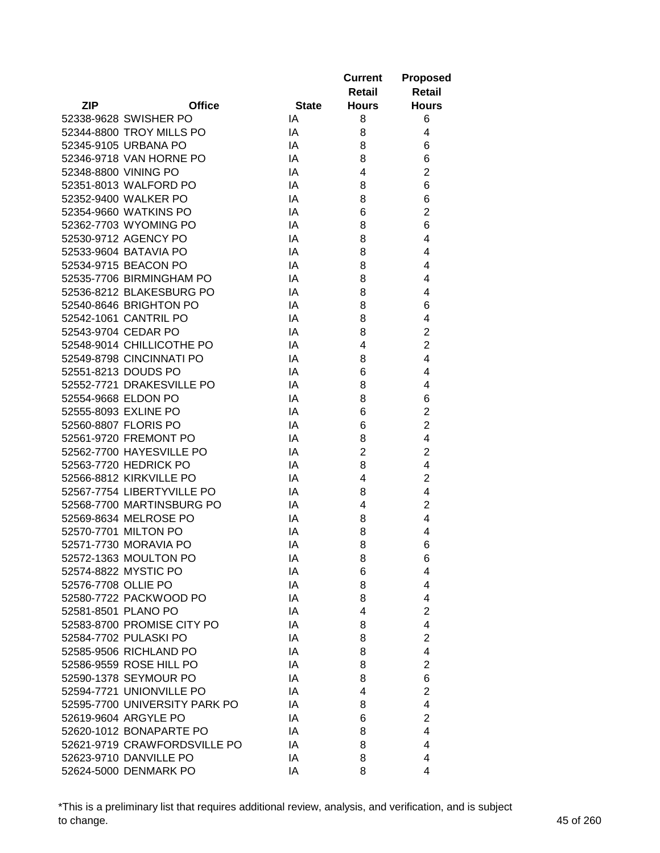|                                                           |               |              | <b>Current</b> | <b>Proposed</b>     |
|-----------------------------------------------------------|---------------|--------------|----------------|---------------------|
|                                                           |               |              | Retail         | <b>Retail</b>       |
| <b>ZIP</b>                                                | <b>Office</b> | <b>State</b> | <b>Hours</b>   | <b>Hours</b>        |
| 52338-9628 SWISHER PO                                     |               | IA           | 8              | 6                   |
| 52344-8800 TROY MILLS PO                                  |               | IA           | 8              | 4                   |
| 52345-9105 URBANA PO                                      |               | IA           | 8              | 6                   |
| 52346-9718 VAN HORNE PO                                   |               | IA           | 8              | 6                   |
| 52348-8800 VINING PO                                      |               | IA           | 4              | $\overline{2}$      |
| 52351-8013 WALFORD PO                                     |               | IA           | 8              | 6                   |
| 52352-9400 WALKER PO                                      |               | IA           | 8              | 6                   |
| 52354-9660 WATKINS PO                                     |               | IA           | 6              | $\overline{c}$      |
| 52362-7703 WYOMING PO                                     |               | IA           | 8              | 6                   |
| 52530-9712 AGENCY PO                                      |               | IA           | 8              | $\overline{4}$      |
| 52533-9604 BATAVIA PO                                     |               | IA           | 8              | 4                   |
| 52534-9715 BEACON PO                                      |               | IA           | 8              | 4                   |
| 52535-7706 BIRMINGHAM PO                                  |               | IA           | 8              | 4                   |
| 52536-8212 BLAKESBURG PO                                  |               | IA           | 8              | 4                   |
| 52540-8646 BRIGHTON PO                                    |               | IA           | 8              | 6                   |
| 52542-1061 CANTRIL PO                                     |               | IA           | 8              | 4                   |
| 52543-9704 CEDAR PO                                       |               | IA           | 8              | $\overline{c}$      |
| 52548-9014 CHILLICOTHE PO                                 |               | IA           | 4              | $\overline{2}$      |
| 52549-8798 CINCINNATI PO                                  |               | IA           | 8              | $\overline{4}$      |
| 52551-8213 DOUDS PO                                       |               | IA           | 6              | 4                   |
| 52552-7721 DRAKESVILLE PO                                 |               | IA           | 8              | 4                   |
| 52554-9668 ELDON PO                                       |               | IA           | 8              | 6                   |
| 52555-8093 EXLINE PO                                      |               | IA           | 6              | $\overline{2}$      |
| 52560-8807 FLORIS PO                                      |               | IA           | 6              | $\overline{c}$      |
| 52561-9720 FREMONT PO                                     |               | IA           | 8              | 4                   |
| 52562-7700 HAYESVILLE PO                                  |               | IA           | $\overline{2}$ | $\overline{2}$      |
| 52563-7720 HEDRICK PO                                     |               | IA           | 8              | $\overline{4}$      |
| 52566-8812 KIRKVILLE PO                                   |               | IA           | 4              | $\overline{2}$      |
| 52567-7754 LIBERTYVILLE PO                                |               | IA           | 8              | 4                   |
| 52568-7700 MARTINSBURG PO                                 |               | IA           | 4              | $\mathbf 2$         |
| 52569-8634 MELROSE PO                                     |               | IA           | 8              | $\overline{4}$      |
| 52570-7701 MILTON PO                                      |               | IA           | 8              | 4                   |
| 52571-7730 MORAVIA PO                                     |               | IA           | 8              | 6                   |
| 52572-1363 MOULTON PO                                     |               | IA           | 8              | 6                   |
| 52574-8822 MYSTIC PO                                      |               | IA           | 6              | 4                   |
| 52576-7708 OLLIE PO                                       |               | IA           | 8              | 4                   |
| 52580-7722 PACKWOOD PO                                    |               | IA           | 8              | 4                   |
| 52581-8501 PLANO PO                                       |               | IA           | 4              | $\overline{2}$      |
| 52583-8700 PROMISE CITY PO                                |               | IA           | 8              | $\overline{4}$      |
| 52584-7702 PULASKI PO                                     |               | IA           | 8              | $\overline{2}$      |
| 52585-9506 RICHLAND PO                                    |               | IA           | 8              | $\overline{4}$      |
| 52586-9559 ROSE HILL PO                                   |               | IA           | 8              | $\overline{2}$      |
| 52590-1378 SEYMOUR PO                                     |               | IA           | 8              | 6                   |
|                                                           |               |              | 4              |                     |
| 52594-7721 UNIONVILLE PO<br>52595-7700 UNIVERSITY PARK PO |               | IA           |                | $\overline{2}$<br>4 |
|                                                           |               | IA           | 8              |                     |
| 52619-9604 ARGYLE PO                                      |               | IA           | 6              | $\mathbf 2$         |
| 52620-1012 BONAPARTE PO                                   |               | ΙA           | 8              | 4                   |
| 52621-9719 CRAWFORDSVILLE PO                              |               | ΙA           | 8              | 4                   |
| 52623-9710 DANVILLE PO                                    |               | IA           | 8              | 4                   |
| 52624-5000 DENMARK PO                                     |               | ΙA           | 8              | 4                   |

\*This is a preliminary list that requires additional review, analysis, and verification, and is subject to change. 45 of 260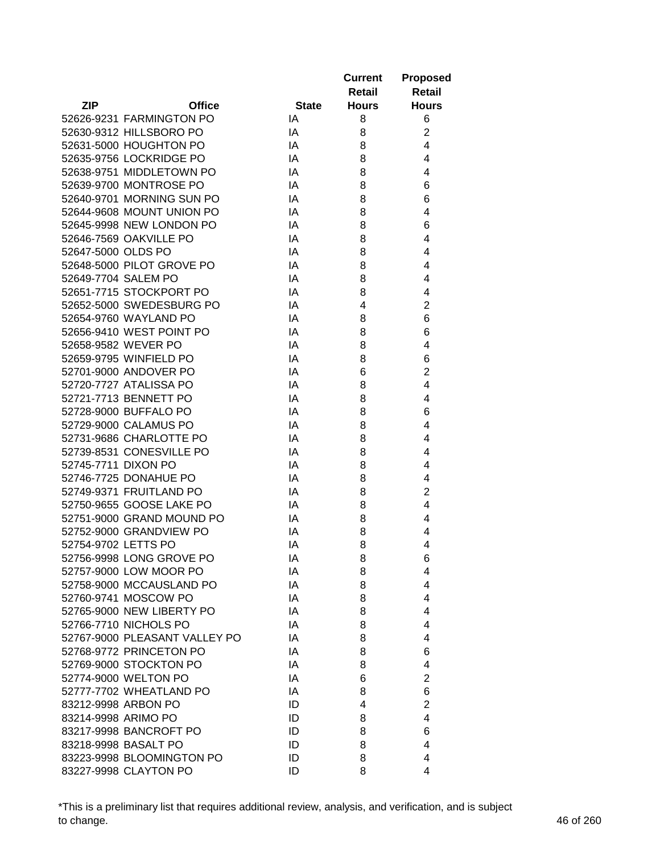|                     |                               |              | <b>Current</b> | <b>Proposed</b> |
|---------------------|-------------------------------|--------------|----------------|-----------------|
|                     |                               |              | Retail         | <b>Retail</b>   |
| <b>ZIP</b>          | <b>Office</b>                 | <b>State</b> | <b>Hours</b>   | <b>Hours</b>    |
|                     | 52626-9231 FARMINGTON PO      | IA           | 8              | 6               |
|                     | 52630-9312 HILLSBORO PO       | IA           | 8              | $\overline{c}$  |
|                     | 52631-5000 HOUGHTON PO        | IA           | 8              | 4               |
|                     | 52635-9756 LOCKRIDGE PO       | IA           | 8              | 4               |
|                     | 52638-9751 MIDDLETOWN PO      | IA           | 8              | 4               |
|                     | 52639-9700 MONTROSE PO        | IA           | 8              | 6               |
|                     | 52640-9701 MORNING SUN PO     | IA           | 8              | 6               |
|                     | 52644-9608 MOUNT UNION PO     | IA           | 8              | 4               |
|                     | 52645-9998 NEW LONDON PO      | IA           | 8              | 6               |
|                     | 52646-7569 OAKVILLE PO        | IA           | 8              | 4               |
| 52647-5000 OLDS PO  |                               | IA           | 8              | 4               |
|                     | 52648-5000 PILOT GROVE PO     | IA           | 8              | 4               |
|                     | 52649-7704 SALEM PO           | IA           | 8              | 4               |
|                     | 52651-7715 STOCKPORT PO       | IA           | 8              | 4               |
|                     | 52652-5000 SWEDESBURG PO      | IA           | 4              | $\overline{c}$  |
|                     | 52654-9760 WAYLAND PO         | IA           | 8              | 6               |
|                     | 52656-9410 WEST POINT PO      | IA           | 8              | 6               |
|                     | 52658-9582 WEVER PO           | IA           | 8              | 4               |
|                     | 52659-9795 WINFIELD PO        | IA           | 8              | 6               |
|                     | 52701-9000 ANDOVER PO         | IA           | 6              | $\overline{2}$  |
|                     | 52720-7727 ATALISSA PO        | IA           | 8              | 4               |
|                     | 52721-7713 BENNETT PO         | IA           | 8              | 4               |
|                     | 52728-9000 BUFFALO PO         | IA           | 8              | 6               |
|                     | 52729-9000 CALAMUS PO         | IA           | 8              | 4               |
|                     | 52731-9686 CHARLOTTE PO       | IA           | 8              | 4               |
|                     | 52739-8531 CONESVILLE PO      | IA           | 8              | 4               |
| 52745-7711 DIXON PO |                               | IA           | 8              | 4               |
|                     | 52746-7725 DONAHUE PO         | IA           | 8              | 4               |
|                     | 52749-9371 FRUITLAND PO       | IA           | 8              | $\overline{c}$  |
|                     | 52750-9655 GOOSE LAKE PO      | IA           | 8              | 4               |
|                     | 52751-9000 GRAND MOUND PO     | IA           | 8              | 4               |
|                     | 52752-9000 GRANDVIEW PO       | IA           | 8              | 4               |
| 52754-9702 LETTS PO |                               | IA           | 8              | 4               |
|                     | 52756-9998 LONG GROVE PO      | IA           | 8              | 6               |
|                     | 52757-9000 LOW MOOR PO        | IA           | 8              | 4               |
|                     | 52758-9000 MCCAUSLAND PO      | IA           | 8              | 4               |
|                     | 52760-9741 MOSCOW PO          | IA           | 8              | 4               |
|                     | 52765-9000 NEW LIBERTY PO     | IA           | 8              | 4               |
|                     | 52766-7710 NICHOLS PO         | IA           | 8              | 4               |
|                     | 52767-9000 PLEASANT VALLEY PO | IA           | 8              | 4               |
|                     | 52768-9772 PRINCETON PO       | IA           | 8              | 6               |
|                     | 52769-9000 STOCKTON PO        | IA           | 8              | 4               |
|                     | 52774-9000 WELTON PO          | IA           | 6              | $\overline{2}$  |
|                     | 52777-7702 WHEATLAND PO       | IA           | 8              | 6               |
|                     | 83212-9998 ARBON PO           | ID           | 4              | $\overline{c}$  |
|                     | 83214-9998 ARIMO PO           | ID           | 8              | 4               |
|                     | 83217-9998 BANCROFT PO        | ID           | 8              | 6               |
|                     | 83218-9998 BASALT PO          | ID           | 8              | 4               |
|                     | 83223-9998 BLOOMINGTON PO     | ID           | 8              | 4               |
|                     | 83227-9998 CLAYTON PO         | ID           | 8              | 4               |

\*This is a preliminary list that requires additional review, analysis, and verification, and is subject to change. 46 of 260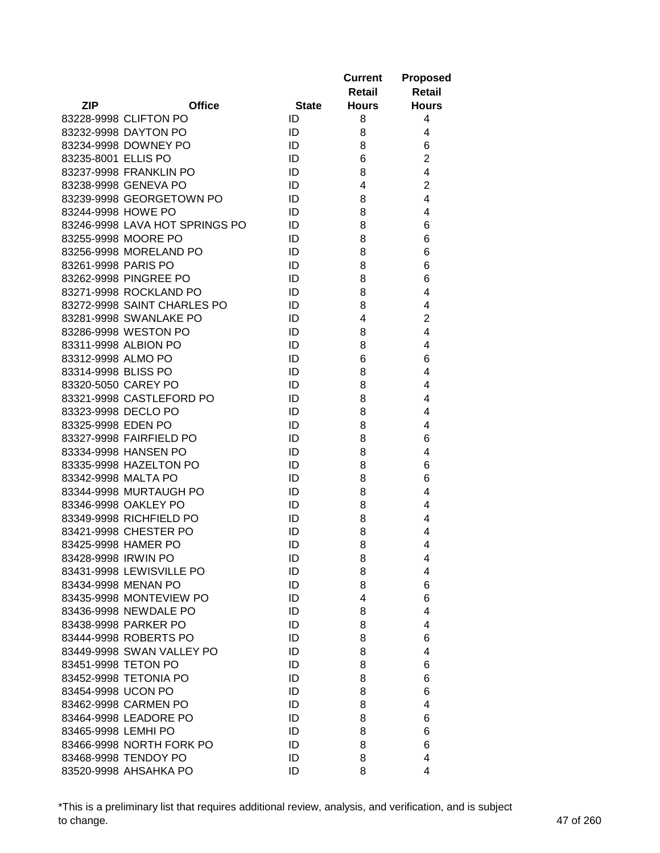|                     |                                |              | <b>Current</b> | <b>Proposed</b>         |
|---------------------|--------------------------------|--------------|----------------|-------------------------|
|                     |                                |              | <b>Retail</b>  | <b>Retail</b>           |
| <b>ZIP</b>          | <b>Office</b>                  | <b>State</b> | <b>Hours</b>   | <b>Hours</b>            |
|                     | 83228-9998 CLIFTON PO          | ID           | 8              | 4                       |
|                     | 83232-9998 DAYTON PO           | ID           | 8              | 4                       |
|                     | 83234-9998 DOWNEY PO           | ID           | 8              | 6                       |
| 83235-8001 ELLIS PO |                                | ID           | 6              | $\overline{2}$          |
|                     | 83237-9998 FRANKLIN PO         | ID           | 8              | $\overline{\mathbf{4}}$ |
|                     | 83238-9998 GENEVA PO           | ID           | 4              | $\overline{c}$          |
|                     | 83239-9998 GEORGETOWN PO       | ID           | 8              | 4                       |
| 83244-9998 HOWE PO  |                                | ID           | 8              | 4                       |
|                     | 83246-9998 LAVA HOT SPRINGS PO | ID           | 8              | 6                       |
|                     | 83255-9998 MOORE PO            | ID           | 8              | 6                       |
|                     | 83256-9998 MORELAND PO         | ID           | 8              | 6                       |
| 83261-9998 PARIS PO |                                | ID           | 8              | 6                       |
|                     | 83262-9998 PINGREE PO          | ID           | 8              | 6                       |
|                     | 83271-9998 ROCKLAND PO         | ID           | 8              | 4                       |
|                     | 83272-9998 SAINT CHARLES PO    | ID           | 8              | 4                       |
|                     | 83281-9998 SWANLAKE PO         | ID           | 4              | $\overline{c}$          |
|                     | 83286-9998 WESTON PO           | ID           | 8              | 4                       |
|                     | 83311-9998 ALBION PO           | ID           | 8              | 4                       |
| 83312-9998 ALMO PO  |                                | ID           | 6              | 6                       |
| 83314-9998 BLISS PO |                                | ID           | 8              | 4                       |
| 83320-5050 CAREY PO |                                | ID           | 8              | 4                       |
|                     | 83321-9998 CASTLEFORD PO       | ID           | 8              | 4                       |
| 83323-9998 DECLO PO |                                | ID           | 8              | 4                       |
| 83325-9998 EDEN PO  |                                | ID           | 8              | 4                       |
|                     | 83327-9998 FAIRFIELD PO        | ID           | 8              | 6                       |
|                     | 83334-9998 HANSEN PO           | ID           | 8              | 4                       |
|                     | 83335-9998 HAZELTON PO         | ID           | 8              | 6                       |
| 83342-9998 MALTA PO |                                | ID           | 8              | 6                       |
|                     | 83344-9998 MURTAUGH PO         | ID           | 8              | 4                       |
|                     | 83346-9998 OAKLEY PO           | ID           | 8              | 4                       |
|                     | 83349-9998 RICHFIELD PO        | ID           | 8              | 4                       |
|                     | 83421-9998 CHESTER PO          | ID           | 8              | 4                       |
|                     | 83425-9998 HAMER PO            | ID           | 8              | 4                       |
| 83428-9998 IRWIN PO |                                | ID           | 8              | 4                       |
|                     | 83431-9998 LEWISVILLE PO       | ID           | 8              | 4                       |
|                     | 83434-9998 MENAN PO            | ID           | 8              | 6                       |
|                     | 83435-9998 MONTEVIEW PO        | ID           | 4              | 6                       |
|                     | 83436-9998 NEWDALE PO          | ID           | 8              | 4                       |
|                     | 83438-9998 PARKER PO           | ID           | 8              | 4                       |
|                     | 83444-9998 ROBERTS PO          | ID           | 8              | 6                       |
|                     | 83449-9998 SWAN VALLEY PO      | ID           | 8              | 4                       |
| 83451-9998 TETON PO |                                | ID           | 8              | 6                       |
|                     | 83452-9998 TETONIA PO          | ID           | 8              | 6                       |
| 83454-9998 UCON PO  |                                | ID           | 8              | 6                       |
|                     | 83462-9998 CARMEN PO           | ID           | 8              | 4                       |
|                     | 83464-9998 LEADORE PO          | ID           | 8              | 6                       |
| 83465-9998 LEMHI PO |                                | ID           | 8              | 6                       |
|                     | 83466-9998 NORTH FORK PO       | ID           | 8              | 6                       |
|                     | 83468-9998 TENDOY PO           | ID           | 8              | 4                       |
|                     | 83520-9998 AHSAHKA PO          | ID           | 8              | 4                       |

\*This is a preliminary list that requires additional review, analysis, and verification, and is subject to change. 47 of 260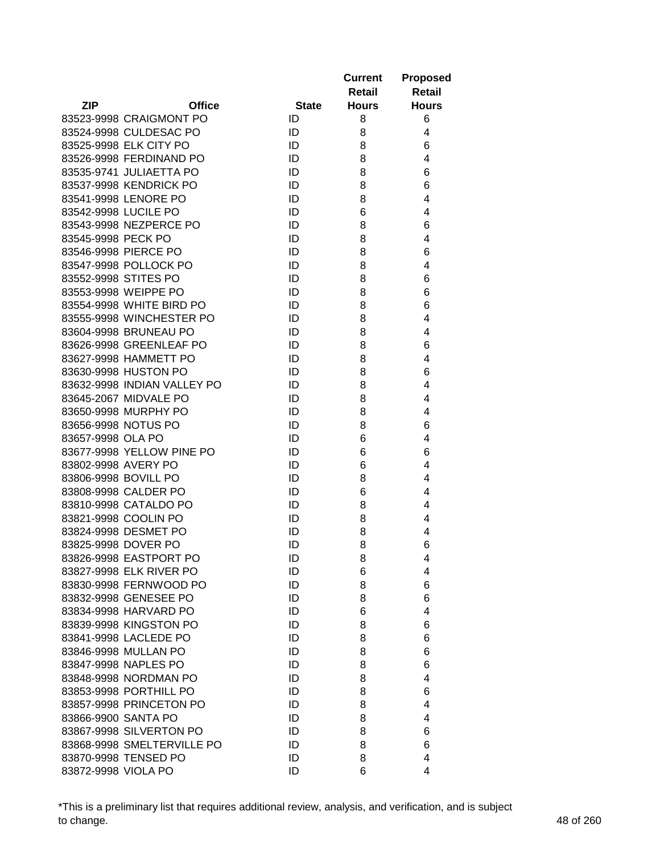| <b>ZIP</b><br><b>Office</b><br><b>State</b><br><b>Hours</b><br><b>Hours</b><br>83523-9998 CRAIGMONT PO<br>ID<br>8<br>6<br>83524-9998 CULDESAC PO<br>ID<br>8<br>4<br>83525-9998 ELK CITY PO<br>6<br>ID<br>8<br>ID<br>4<br>83526-9998 FERDINAND PO<br>8<br>83535-9741 JULIAETTA PO<br>6<br>ID<br>8<br>6<br>83537-9998 KENDRICK PO<br>ID<br>8<br>4<br>83541-9998 LENORE PO<br>ID<br>8<br>ID<br>4<br>83542-9998 LUCILE PO<br>6<br>6<br>83543-9998 NEZPERCE PO<br>ID<br>8<br>83545-9998 PECK PO<br>ID<br>8<br>4<br>83546-9998 PIERCE PO<br>6<br>ID<br>8<br>ID<br>83547-9998 POLLOCK PO<br>8<br>4<br>83552-9998 STITES PO<br>ID<br>6<br>8<br>83553-9998 WEIPPE PO<br>ID<br>8<br>6<br>83554-9998 WHITE BIRD PO<br>6<br>ID<br>8<br>83555-9998 WINCHESTER PO<br>4<br>ID<br>8<br>83604-9998 BRUNEAU PO<br>ID<br>8<br>4<br>83626-9998 GREENLEAF PO<br>6<br>ID<br>8<br>83627-9998 HAMMETT PO<br>ID<br>8<br>4<br>83630-9998 HUSTON PO<br>6<br>ID<br>8<br>83632-9998 INDIAN VALLEY PO<br>ID<br>4<br>8<br>83645-2067 MIDVALE PO<br>ID<br>4<br>8<br>ID<br>4<br>83650-9998 MURPHY PO<br>8<br>83656-9998 NOTUS PO<br>ID<br>6<br>8<br>83657-9998 OLA PO<br>ID<br>6<br>4<br>6<br>83677-9998 YELLOW PINE PO<br>ID<br>6<br>83802-9998 AVERY PO<br>ID<br>6<br>4<br>ID<br>83806-9998 BOVILL PO<br>8<br>4<br>83808-9998 CALDER PO<br>ID<br>4<br>6<br>83810-9998 CATALDO PO<br>ID<br>4<br>8<br>83821-9998 COOLIN PO<br>ID<br>8<br>4<br>83824-9998 DESMET PO<br>ID<br>8<br>4<br>83825-9998 DOVER PO<br>8<br>6<br>ID<br>83826-9998 EASTPORT PO<br>ID<br>8<br>4<br>83827-9998 ELK RIVER PO<br>ID<br>6<br>4<br>6<br>83830-9998 FERNWOOD PO<br>ID<br>8<br>83832-9998 GENESEE PO<br>ID<br>8<br>6<br>83834-9998 HARVARD PO<br>ID<br>4<br>6<br>83839-9998 KINGSTON PO<br>ID<br>6<br>8<br>83841-9998 LACLEDE PO<br>ID<br>8<br>6<br>83846-9998 MULLAN PO<br>ID<br>8<br>6<br>83847-9998 NAPLES PO<br>ID<br>6<br>8<br>83848-9998 NORDMAN PO<br>ID<br>4<br>8<br>83853-9998 PORTHILL PO<br>ID<br>6<br>8<br>83857-9998 PRINCETON PO<br>ID<br>4<br>8<br>83866-9900 SANTA PO<br>ID<br>8<br>4<br>83867-9998 SILVERTON PO<br>ID<br>8<br>6<br>83868-9998 SMELTERVILLE PO<br>ID<br>8<br>6<br>83870-9998 TENSED PO<br>ID<br>8<br>4 |                     |    | <b>Current</b><br>Retail | <b>Proposed</b><br><b>Retail</b> |
|------------------------------------------------------------------------------------------------------------------------------------------------------------------------------------------------------------------------------------------------------------------------------------------------------------------------------------------------------------------------------------------------------------------------------------------------------------------------------------------------------------------------------------------------------------------------------------------------------------------------------------------------------------------------------------------------------------------------------------------------------------------------------------------------------------------------------------------------------------------------------------------------------------------------------------------------------------------------------------------------------------------------------------------------------------------------------------------------------------------------------------------------------------------------------------------------------------------------------------------------------------------------------------------------------------------------------------------------------------------------------------------------------------------------------------------------------------------------------------------------------------------------------------------------------------------------------------------------------------------------------------------------------------------------------------------------------------------------------------------------------------------------------------------------------------------------------------------------------------------------------------------------------------------------------------------------------------------------------------------------------------------------------------------------------------------------------------------------------------------------------------------------------------------------------------|---------------------|----|--------------------------|----------------------------------|
|                                                                                                                                                                                                                                                                                                                                                                                                                                                                                                                                                                                                                                                                                                                                                                                                                                                                                                                                                                                                                                                                                                                                                                                                                                                                                                                                                                                                                                                                                                                                                                                                                                                                                                                                                                                                                                                                                                                                                                                                                                                                                                                                                                                    |                     |    |                          |                                  |
|                                                                                                                                                                                                                                                                                                                                                                                                                                                                                                                                                                                                                                                                                                                                                                                                                                                                                                                                                                                                                                                                                                                                                                                                                                                                                                                                                                                                                                                                                                                                                                                                                                                                                                                                                                                                                                                                                                                                                                                                                                                                                                                                                                                    |                     |    |                          |                                  |
|                                                                                                                                                                                                                                                                                                                                                                                                                                                                                                                                                                                                                                                                                                                                                                                                                                                                                                                                                                                                                                                                                                                                                                                                                                                                                                                                                                                                                                                                                                                                                                                                                                                                                                                                                                                                                                                                                                                                                                                                                                                                                                                                                                                    |                     |    |                          |                                  |
|                                                                                                                                                                                                                                                                                                                                                                                                                                                                                                                                                                                                                                                                                                                                                                                                                                                                                                                                                                                                                                                                                                                                                                                                                                                                                                                                                                                                                                                                                                                                                                                                                                                                                                                                                                                                                                                                                                                                                                                                                                                                                                                                                                                    |                     |    |                          |                                  |
|                                                                                                                                                                                                                                                                                                                                                                                                                                                                                                                                                                                                                                                                                                                                                                                                                                                                                                                                                                                                                                                                                                                                                                                                                                                                                                                                                                                                                                                                                                                                                                                                                                                                                                                                                                                                                                                                                                                                                                                                                                                                                                                                                                                    |                     |    |                          |                                  |
|                                                                                                                                                                                                                                                                                                                                                                                                                                                                                                                                                                                                                                                                                                                                                                                                                                                                                                                                                                                                                                                                                                                                                                                                                                                                                                                                                                                                                                                                                                                                                                                                                                                                                                                                                                                                                                                                                                                                                                                                                                                                                                                                                                                    |                     |    |                          |                                  |
|                                                                                                                                                                                                                                                                                                                                                                                                                                                                                                                                                                                                                                                                                                                                                                                                                                                                                                                                                                                                                                                                                                                                                                                                                                                                                                                                                                                                                                                                                                                                                                                                                                                                                                                                                                                                                                                                                                                                                                                                                                                                                                                                                                                    |                     |    |                          |                                  |
|                                                                                                                                                                                                                                                                                                                                                                                                                                                                                                                                                                                                                                                                                                                                                                                                                                                                                                                                                                                                                                                                                                                                                                                                                                                                                                                                                                                                                                                                                                                                                                                                                                                                                                                                                                                                                                                                                                                                                                                                                                                                                                                                                                                    |                     |    |                          |                                  |
|                                                                                                                                                                                                                                                                                                                                                                                                                                                                                                                                                                                                                                                                                                                                                                                                                                                                                                                                                                                                                                                                                                                                                                                                                                                                                                                                                                                                                                                                                                                                                                                                                                                                                                                                                                                                                                                                                                                                                                                                                                                                                                                                                                                    |                     |    |                          |                                  |
|                                                                                                                                                                                                                                                                                                                                                                                                                                                                                                                                                                                                                                                                                                                                                                                                                                                                                                                                                                                                                                                                                                                                                                                                                                                                                                                                                                                                                                                                                                                                                                                                                                                                                                                                                                                                                                                                                                                                                                                                                                                                                                                                                                                    |                     |    |                          |                                  |
|                                                                                                                                                                                                                                                                                                                                                                                                                                                                                                                                                                                                                                                                                                                                                                                                                                                                                                                                                                                                                                                                                                                                                                                                                                                                                                                                                                                                                                                                                                                                                                                                                                                                                                                                                                                                                                                                                                                                                                                                                                                                                                                                                                                    |                     |    |                          |                                  |
|                                                                                                                                                                                                                                                                                                                                                                                                                                                                                                                                                                                                                                                                                                                                                                                                                                                                                                                                                                                                                                                                                                                                                                                                                                                                                                                                                                                                                                                                                                                                                                                                                                                                                                                                                                                                                                                                                                                                                                                                                                                                                                                                                                                    |                     |    |                          |                                  |
|                                                                                                                                                                                                                                                                                                                                                                                                                                                                                                                                                                                                                                                                                                                                                                                                                                                                                                                                                                                                                                                                                                                                                                                                                                                                                                                                                                                                                                                                                                                                                                                                                                                                                                                                                                                                                                                                                                                                                                                                                                                                                                                                                                                    |                     |    |                          |                                  |
|                                                                                                                                                                                                                                                                                                                                                                                                                                                                                                                                                                                                                                                                                                                                                                                                                                                                                                                                                                                                                                                                                                                                                                                                                                                                                                                                                                                                                                                                                                                                                                                                                                                                                                                                                                                                                                                                                                                                                                                                                                                                                                                                                                                    |                     |    |                          |                                  |
|                                                                                                                                                                                                                                                                                                                                                                                                                                                                                                                                                                                                                                                                                                                                                                                                                                                                                                                                                                                                                                                                                                                                                                                                                                                                                                                                                                                                                                                                                                                                                                                                                                                                                                                                                                                                                                                                                                                                                                                                                                                                                                                                                                                    |                     |    |                          |                                  |
|                                                                                                                                                                                                                                                                                                                                                                                                                                                                                                                                                                                                                                                                                                                                                                                                                                                                                                                                                                                                                                                                                                                                                                                                                                                                                                                                                                                                                                                                                                                                                                                                                                                                                                                                                                                                                                                                                                                                                                                                                                                                                                                                                                                    |                     |    |                          |                                  |
|                                                                                                                                                                                                                                                                                                                                                                                                                                                                                                                                                                                                                                                                                                                                                                                                                                                                                                                                                                                                                                                                                                                                                                                                                                                                                                                                                                                                                                                                                                                                                                                                                                                                                                                                                                                                                                                                                                                                                                                                                                                                                                                                                                                    |                     |    |                          |                                  |
|                                                                                                                                                                                                                                                                                                                                                                                                                                                                                                                                                                                                                                                                                                                                                                                                                                                                                                                                                                                                                                                                                                                                                                                                                                                                                                                                                                                                                                                                                                                                                                                                                                                                                                                                                                                                                                                                                                                                                                                                                                                                                                                                                                                    |                     |    |                          |                                  |
|                                                                                                                                                                                                                                                                                                                                                                                                                                                                                                                                                                                                                                                                                                                                                                                                                                                                                                                                                                                                                                                                                                                                                                                                                                                                                                                                                                                                                                                                                                                                                                                                                                                                                                                                                                                                                                                                                                                                                                                                                                                                                                                                                                                    |                     |    |                          |                                  |
|                                                                                                                                                                                                                                                                                                                                                                                                                                                                                                                                                                                                                                                                                                                                                                                                                                                                                                                                                                                                                                                                                                                                                                                                                                                                                                                                                                                                                                                                                                                                                                                                                                                                                                                                                                                                                                                                                                                                                                                                                                                                                                                                                                                    |                     |    |                          |                                  |
|                                                                                                                                                                                                                                                                                                                                                                                                                                                                                                                                                                                                                                                                                                                                                                                                                                                                                                                                                                                                                                                                                                                                                                                                                                                                                                                                                                                                                                                                                                                                                                                                                                                                                                                                                                                                                                                                                                                                                                                                                                                                                                                                                                                    |                     |    |                          |                                  |
|                                                                                                                                                                                                                                                                                                                                                                                                                                                                                                                                                                                                                                                                                                                                                                                                                                                                                                                                                                                                                                                                                                                                                                                                                                                                                                                                                                                                                                                                                                                                                                                                                                                                                                                                                                                                                                                                                                                                                                                                                                                                                                                                                                                    |                     |    |                          |                                  |
|                                                                                                                                                                                                                                                                                                                                                                                                                                                                                                                                                                                                                                                                                                                                                                                                                                                                                                                                                                                                                                                                                                                                                                                                                                                                                                                                                                                                                                                                                                                                                                                                                                                                                                                                                                                                                                                                                                                                                                                                                                                                                                                                                                                    |                     |    |                          |                                  |
|                                                                                                                                                                                                                                                                                                                                                                                                                                                                                                                                                                                                                                                                                                                                                                                                                                                                                                                                                                                                                                                                                                                                                                                                                                                                                                                                                                                                                                                                                                                                                                                                                                                                                                                                                                                                                                                                                                                                                                                                                                                                                                                                                                                    |                     |    |                          |                                  |
|                                                                                                                                                                                                                                                                                                                                                                                                                                                                                                                                                                                                                                                                                                                                                                                                                                                                                                                                                                                                                                                                                                                                                                                                                                                                                                                                                                                                                                                                                                                                                                                                                                                                                                                                                                                                                                                                                                                                                                                                                                                                                                                                                                                    |                     |    |                          |                                  |
|                                                                                                                                                                                                                                                                                                                                                                                                                                                                                                                                                                                                                                                                                                                                                                                                                                                                                                                                                                                                                                                                                                                                                                                                                                                                                                                                                                                                                                                                                                                                                                                                                                                                                                                                                                                                                                                                                                                                                                                                                                                                                                                                                                                    |                     |    |                          |                                  |
|                                                                                                                                                                                                                                                                                                                                                                                                                                                                                                                                                                                                                                                                                                                                                                                                                                                                                                                                                                                                                                                                                                                                                                                                                                                                                                                                                                                                                                                                                                                                                                                                                                                                                                                                                                                                                                                                                                                                                                                                                                                                                                                                                                                    |                     |    |                          |                                  |
|                                                                                                                                                                                                                                                                                                                                                                                                                                                                                                                                                                                                                                                                                                                                                                                                                                                                                                                                                                                                                                                                                                                                                                                                                                                                                                                                                                                                                                                                                                                                                                                                                                                                                                                                                                                                                                                                                                                                                                                                                                                                                                                                                                                    |                     |    |                          |                                  |
|                                                                                                                                                                                                                                                                                                                                                                                                                                                                                                                                                                                                                                                                                                                                                                                                                                                                                                                                                                                                                                                                                                                                                                                                                                                                                                                                                                                                                                                                                                                                                                                                                                                                                                                                                                                                                                                                                                                                                                                                                                                                                                                                                                                    |                     |    |                          |                                  |
|                                                                                                                                                                                                                                                                                                                                                                                                                                                                                                                                                                                                                                                                                                                                                                                                                                                                                                                                                                                                                                                                                                                                                                                                                                                                                                                                                                                                                                                                                                                                                                                                                                                                                                                                                                                                                                                                                                                                                                                                                                                                                                                                                                                    |                     |    |                          |                                  |
|                                                                                                                                                                                                                                                                                                                                                                                                                                                                                                                                                                                                                                                                                                                                                                                                                                                                                                                                                                                                                                                                                                                                                                                                                                                                                                                                                                                                                                                                                                                                                                                                                                                                                                                                                                                                                                                                                                                                                                                                                                                                                                                                                                                    |                     |    |                          |                                  |
|                                                                                                                                                                                                                                                                                                                                                                                                                                                                                                                                                                                                                                                                                                                                                                                                                                                                                                                                                                                                                                                                                                                                                                                                                                                                                                                                                                                                                                                                                                                                                                                                                                                                                                                                                                                                                                                                                                                                                                                                                                                                                                                                                                                    |                     |    |                          |                                  |
|                                                                                                                                                                                                                                                                                                                                                                                                                                                                                                                                                                                                                                                                                                                                                                                                                                                                                                                                                                                                                                                                                                                                                                                                                                                                                                                                                                                                                                                                                                                                                                                                                                                                                                                                                                                                                                                                                                                                                                                                                                                                                                                                                                                    |                     |    |                          |                                  |
|                                                                                                                                                                                                                                                                                                                                                                                                                                                                                                                                                                                                                                                                                                                                                                                                                                                                                                                                                                                                                                                                                                                                                                                                                                                                                                                                                                                                                                                                                                                                                                                                                                                                                                                                                                                                                                                                                                                                                                                                                                                                                                                                                                                    |                     |    |                          |                                  |
|                                                                                                                                                                                                                                                                                                                                                                                                                                                                                                                                                                                                                                                                                                                                                                                                                                                                                                                                                                                                                                                                                                                                                                                                                                                                                                                                                                                                                                                                                                                                                                                                                                                                                                                                                                                                                                                                                                                                                                                                                                                                                                                                                                                    |                     |    |                          |                                  |
|                                                                                                                                                                                                                                                                                                                                                                                                                                                                                                                                                                                                                                                                                                                                                                                                                                                                                                                                                                                                                                                                                                                                                                                                                                                                                                                                                                                                                                                                                                                                                                                                                                                                                                                                                                                                                                                                                                                                                                                                                                                                                                                                                                                    |                     |    |                          |                                  |
|                                                                                                                                                                                                                                                                                                                                                                                                                                                                                                                                                                                                                                                                                                                                                                                                                                                                                                                                                                                                                                                                                                                                                                                                                                                                                                                                                                                                                                                                                                                                                                                                                                                                                                                                                                                                                                                                                                                                                                                                                                                                                                                                                                                    |                     |    |                          |                                  |
|                                                                                                                                                                                                                                                                                                                                                                                                                                                                                                                                                                                                                                                                                                                                                                                                                                                                                                                                                                                                                                                                                                                                                                                                                                                                                                                                                                                                                                                                                                                                                                                                                                                                                                                                                                                                                                                                                                                                                                                                                                                                                                                                                                                    |                     |    |                          |                                  |
|                                                                                                                                                                                                                                                                                                                                                                                                                                                                                                                                                                                                                                                                                                                                                                                                                                                                                                                                                                                                                                                                                                                                                                                                                                                                                                                                                                                                                                                                                                                                                                                                                                                                                                                                                                                                                                                                                                                                                                                                                                                                                                                                                                                    |                     |    |                          |                                  |
|                                                                                                                                                                                                                                                                                                                                                                                                                                                                                                                                                                                                                                                                                                                                                                                                                                                                                                                                                                                                                                                                                                                                                                                                                                                                                                                                                                                                                                                                                                                                                                                                                                                                                                                                                                                                                                                                                                                                                                                                                                                                                                                                                                                    |                     |    |                          |                                  |
|                                                                                                                                                                                                                                                                                                                                                                                                                                                                                                                                                                                                                                                                                                                                                                                                                                                                                                                                                                                                                                                                                                                                                                                                                                                                                                                                                                                                                                                                                                                                                                                                                                                                                                                                                                                                                                                                                                                                                                                                                                                                                                                                                                                    |                     |    |                          |                                  |
|                                                                                                                                                                                                                                                                                                                                                                                                                                                                                                                                                                                                                                                                                                                                                                                                                                                                                                                                                                                                                                                                                                                                                                                                                                                                                                                                                                                                                                                                                                                                                                                                                                                                                                                                                                                                                                                                                                                                                                                                                                                                                                                                                                                    |                     |    |                          |                                  |
|                                                                                                                                                                                                                                                                                                                                                                                                                                                                                                                                                                                                                                                                                                                                                                                                                                                                                                                                                                                                                                                                                                                                                                                                                                                                                                                                                                                                                                                                                                                                                                                                                                                                                                                                                                                                                                                                                                                                                                                                                                                                                                                                                                                    |                     |    |                          |                                  |
|                                                                                                                                                                                                                                                                                                                                                                                                                                                                                                                                                                                                                                                                                                                                                                                                                                                                                                                                                                                                                                                                                                                                                                                                                                                                                                                                                                                                                                                                                                                                                                                                                                                                                                                                                                                                                                                                                                                                                                                                                                                                                                                                                                                    |                     |    |                          |                                  |
|                                                                                                                                                                                                                                                                                                                                                                                                                                                                                                                                                                                                                                                                                                                                                                                                                                                                                                                                                                                                                                                                                                                                                                                                                                                                                                                                                                                                                                                                                                                                                                                                                                                                                                                                                                                                                                                                                                                                                                                                                                                                                                                                                                                    |                     |    |                          |                                  |
|                                                                                                                                                                                                                                                                                                                                                                                                                                                                                                                                                                                                                                                                                                                                                                                                                                                                                                                                                                                                                                                                                                                                                                                                                                                                                                                                                                                                                                                                                                                                                                                                                                                                                                                                                                                                                                                                                                                                                                                                                                                                                                                                                                                    |                     |    |                          |                                  |
|                                                                                                                                                                                                                                                                                                                                                                                                                                                                                                                                                                                                                                                                                                                                                                                                                                                                                                                                                                                                                                                                                                                                                                                                                                                                                                                                                                                                                                                                                                                                                                                                                                                                                                                                                                                                                                                                                                                                                                                                                                                                                                                                                                                    |                     |    |                          |                                  |
|                                                                                                                                                                                                                                                                                                                                                                                                                                                                                                                                                                                                                                                                                                                                                                                                                                                                                                                                                                                                                                                                                                                                                                                                                                                                                                                                                                                                                                                                                                                                                                                                                                                                                                                                                                                                                                                                                                                                                                                                                                                                                                                                                                                    |                     |    |                          |                                  |
|                                                                                                                                                                                                                                                                                                                                                                                                                                                                                                                                                                                                                                                                                                                                                                                                                                                                                                                                                                                                                                                                                                                                                                                                                                                                                                                                                                                                                                                                                                                                                                                                                                                                                                                                                                                                                                                                                                                                                                                                                                                                                                                                                                                    |                     |    |                          |                                  |
|                                                                                                                                                                                                                                                                                                                                                                                                                                                                                                                                                                                                                                                                                                                                                                                                                                                                                                                                                                                                                                                                                                                                                                                                                                                                                                                                                                                                                                                                                                                                                                                                                                                                                                                                                                                                                                                                                                                                                                                                                                                                                                                                                                                    |                     |    |                          |                                  |
|                                                                                                                                                                                                                                                                                                                                                                                                                                                                                                                                                                                                                                                                                                                                                                                                                                                                                                                                                                                                                                                                                                                                                                                                                                                                                                                                                                                                                                                                                                                                                                                                                                                                                                                                                                                                                                                                                                                                                                                                                                                                                                                                                                                    | 83872-9998 VIOLA PO | ID | 6                        | 4                                |

\*This is a preliminary list that requires additional review, analysis, and verification, and is subject to change. 48 of 260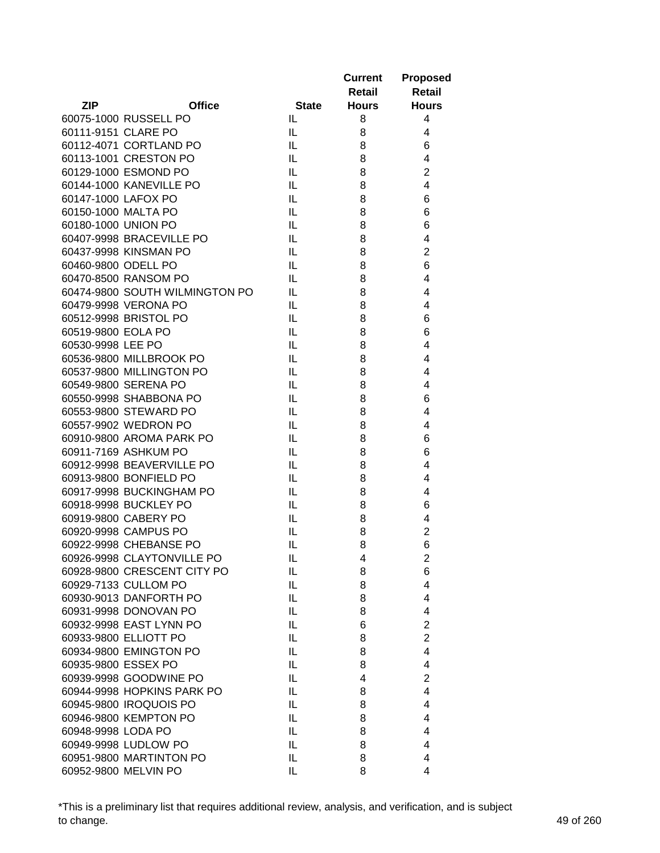|                     |                                |              | <b>Current</b><br>Retail | <b>Proposed</b><br><b>Retail</b> |
|---------------------|--------------------------------|--------------|--------------------------|----------------------------------|
| <b>ZIP</b>          | <b>Office</b>                  | <b>State</b> | <b>Hours</b>             | <b>Hours</b>                     |
|                     | 60075-1000 RUSSELL PO          | IL           | 8                        | 4                                |
| 60111-9151 CLARE PO |                                | IL           | 8                        | 4                                |
|                     | 60112-4071 CORTLAND PO         | IL           | 8                        | 6                                |
|                     | 60113-1001 CRESTON PO          | IL           | 8                        | 4                                |
|                     | 60129-1000 ESMOND PO           | IL           | 8                        | $\overline{2}$                   |
|                     | 60144-1000 KANEVILLE PO        | IL           | 8                        | 4                                |
| 60147-1000 LAFOX PO |                                | IL           | 8                        | 6                                |
| 60150-1000 MALTA PO |                                | IL           | 8                        | 6                                |
| 60180-1000 UNION PO |                                | IL           | 8                        | 6                                |
|                     | 60407-9998 BRACEVILLE PO       | IL           | 8                        | 4                                |
|                     | 60437-9998 KINSMAN PO          | IL           | 8                        | $\overline{2}$                   |
| 60460-9800 ODELL PO |                                | IL           | 8                        | 6                                |
|                     | 60470-8500 RANSOM PO           | IL           | 8                        | 4                                |
|                     | 60474-9800 SOUTH WILMINGTON PO | IL           | 8                        | 4                                |
|                     | 60479-9998 VERONA PO           | IL           | 8                        | 4                                |
|                     | 60512-9998 BRISTOL PO          | IL           | 8                        | 6                                |
| 60519-9800 EOLA PO  |                                | IL           | 8                        | 6                                |
| 60530-9998 LEE PO   |                                | IL           | 8                        | 4                                |
|                     | 60536-9800 MILLBROOK PO        | IL           | 8                        | 4                                |
|                     | 60537-9800 MILLINGTON PO       | IL           | 8                        | 4                                |
|                     | 60549-9800 SERENA PO           | IL           | 8                        | 4                                |
|                     | 60550-9998 SHABBONA PO         | IL           | 8                        | 6                                |
|                     | 60553-9800 STEWARD PO          | IL           | 8                        | 4                                |
|                     | 60557-9902 WEDRON PO           | IL           | 8                        | 4                                |
|                     | 60910-9800 AROMA PARK PO       | IL           | 8                        | 6                                |
|                     | 60911-7169 ASHKUM PO           | IL           | 8                        | 6                                |
|                     | 60912-9998 BEAVERVILLE PO      | IL           | 8                        | 4                                |
|                     | 60913-9800 BONFIELD PO         | IL           | 8                        | 4                                |
|                     | 60917-9998 BUCKINGHAM PO       | IL           | 8                        | 4                                |
|                     | 60918-9998 BUCKLEY PO          | IL           | 8                        | 6                                |
|                     | 60919-9800 CABERY PO           | IL           | 8                        | 4                                |
|                     | 60920-9998 CAMPUS PO           | IL           | 8                        | $\overline{2}$                   |
|                     | 60922-9998 CHEBANSE PO         | IL           | 8                        | 6                                |
|                     | 60926-9998 CLAYTONVILLE PO     | IL           | 4                        | 2                                |
|                     | 60928-9800 CRESCENT CITY PO    | IL.          | 8                        | 6                                |
|                     | 60929-7133 CULLOM PO           | IL.          | 8                        | 4                                |
|                     | 60930-9013 DANFORTH PO         | IL           | 8                        | 4                                |
|                     | 60931-9998 DONOVAN PO          | IL.          | 8                        | 4                                |
|                     | 60932-9998 EAST LYNN PO        | IL           | 6                        | $\overline{2}$                   |
|                     | 60933-9800 ELLIOTT PO          | IL           |                          | $\overline{2}$                   |
|                     |                                |              | 8                        | $\overline{4}$                   |
| 60935-9800 ESSEX PO | 60934-9800 EMINGTON PO         | IL           | 8                        |                                  |
|                     |                                | IL           | 8                        | 4                                |
|                     | 60939-9998 GOODWINE PO         | IL           | 4                        | $\overline{2}$                   |
|                     | 60944-9998 HOPKINS PARK PO     | IL           | 8                        | 4                                |
|                     | 60945-9800 IROQUOIS PO         | IL           | 8                        | 4                                |
|                     | 60946-9800 KEMPTON PO          | IL           | 8                        | 4                                |
| 60948-9998 LODA PO  |                                | IL           | 8                        | 4                                |
|                     | 60949-9998 LUDLOW PO           | IL           | 8                        | 4                                |
|                     | 60951-9800 MARTINTON PO        | IL           | 8                        | 4                                |
|                     | 60952-9800 MELVIN PO           | IL           | 8                        | 4                                |

\*This is a preliminary list that requires additional review, analysis, and verification, and is subject to change. 49 of 260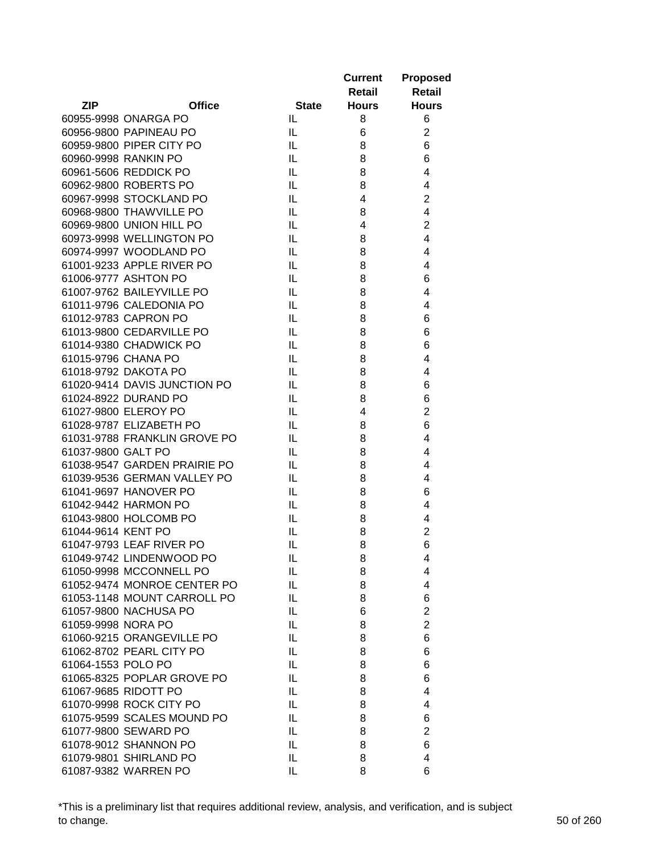|                     |                              |              | <b>Current</b><br>Retail | <b>Proposed</b><br><b>Retail</b> |
|---------------------|------------------------------|--------------|--------------------------|----------------------------------|
| <b>ZIP</b>          | <b>Office</b>                | <b>State</b> | <b>Hours</b>             | <b>Hours</b>                     |
|                     | 60955-9998 ONARGA PO         | IL           | 8                        | 6                                |
|                     | 60956-9800 PAPINEAU PO       | IL.          | 6                        | $\overline{c}$                   |
|                     | 60959-9800 PIPER CITY PO     | IL           | 8                        | 6                                |
|                     | 60960-9998 RANKIN PO         | IL.          | 8                        | 6                                |
|                     | 60961-5606 REDDICK PO        | IL           | 8                        | 4                                |
|                     | 60962-9800 ROBERTS PO        | IL           | 8                        | 4                                |
|                     | 60967-9998 STOCKLAND PO      | IL           | 4                        | $\overline{2}$                   |
|                     | 60968-9800 THAWVILLE PO      | IL           | 8                        | 4                                |
|                     | 60969-9800 UNION HILL PO     | IL           | 4                        | $\overline{2}$                   |
|                     | 60973-9998 WELLINGTON PO     | IL           | 8                        | 4                                |
|                     | 60974-9997 WOODLAND PO       | IL           | 8                        | 4                                |
|                     | 61001-9233 APPLE RIVER PO    | IL           | 8                        | 4                                |
|                     | 61006-9777 ASHTON PO         | IL           | 8                        | 6                                |
|                     | 61007-9762 BAILEYVILLE PO    | IL           | 8                        | 4                                |
|                     | 61011-9796 CALEDONIA PO      | IL           | 8                        | 4                                |
|                     | 61012-9783 CAPRON PO         | IL           | 8                        | 6                                |
|                     | 61013-9800 CEDARVILLE PO     | IL           | 8                        | 6                                |
|                     | 61014-9380 CHADWICK PO       | IL.          | 8                        | 6                                |
| 61015-9796 CHANA PO |                              | IL.          | 8                        | 4                                |
|                     | 61018-9792 DAKOTA PO         | IL           | 8                        | 4                                |
|                     | 61020-9414 DAVIS JUNCTION PO | IL.          | 8                        | 6                                |
|                     | 61024-8922 DURAND PO         | IL           | 8                        | 6                                |
|                     | 61027-9800 ELEROY PO         | IL           | 4                        | $\overline{2}$                   |
|                     | 61028-9787 ELIZABETH PO      | IL           | 8                        | 6                                |
|                     | 61031-9788 FRANKLIN GROVE PO | IL           | 8                        | 4                                |
| 61037-9800 GALT PO  |                              | IL           | 8                        | 4                                |
|                     | 61038-9547 GARDEN PRAIRIE PO | IL           | 8                        | 4                                |
|                     | 61039-9536 GERMAN VALLEY PO  | IL           | 8                        | 4                                |
|                     | 61041-9697 HANOVER PO        | IL           | 8                        | 6                                |
|                     | 61042-9442 HARMON PO         | IL           | 8                        | 4                                |
|                     | 61043-9800 HOLCOMB PO        | IL           | 8                        | 4                                |
| 61044-9614 KENT PO  |                              | IL           | 8                        | $\overline{c}$                   |
|                     | 61047-9793 LEAF RIVER PO     | IL           | 8                        | 6                                |
|                     | 61049-9742 LINDENWOOD PO     | IL           | 8                        | 4                                |
|                     | 61050-9998 MCCONNELL PO      | IL           | 8                        | 4                                |
|                     | 61052-9474 MONROE CENTER PO  | IL           | 8                        | 4                                |
|                     | 61053-1148 MOUNT CARROLL PO  | IL           | 8                        | 6                                |
|                     | 61057-9800 NACHUSA PO        | IL           | 6                        | $\overline{2}$                   |
| 61059-9998 NORA PO  |                              | IL           | 8                        | $\overline{c}$                   |
|                     | 61060-9215 ORANGEVILLE PO    | IL           | 8                        | 6                                |
|                     | 61062-8702 PEARL CITY PO     | IL           | 8                        | 6                                |
| 61064-1553 POLO PO  |                              | IL           | 8                        | 6                                |
|                     | 61065-8325 POPLAR GROVE PO   | IL           | 8                        | 6                                |
|                     | 61067-9685 RIDOTT PO         |              |                          |                                  |
|                     | 61070-9998 ROCK CITY PO      | IL           | 8                        | 4<br>4                           |
|                     |                              | IL           | 8                        |                                  |
|                     | 61075-9599 SCALES MOUND PO   | IL           | 8                        | 6                                |
|                     | 61077-9800 SEWARD PO         | IL           | 8                        | $\overline{2}$                   |
|                     | 61078-9012 SHANNON PO        | IL           | 8                        | 6                                |
|                     | 61079-9801 SHIRLAND PO       | IL           | 8                        | 4                                |
|                     | 61087-9382 WARREN PO         | IL           | 8                        | 6                                |

\*This is a preliminary list that requires additional review, analysis, and verification, and is subject to change. 50 of 260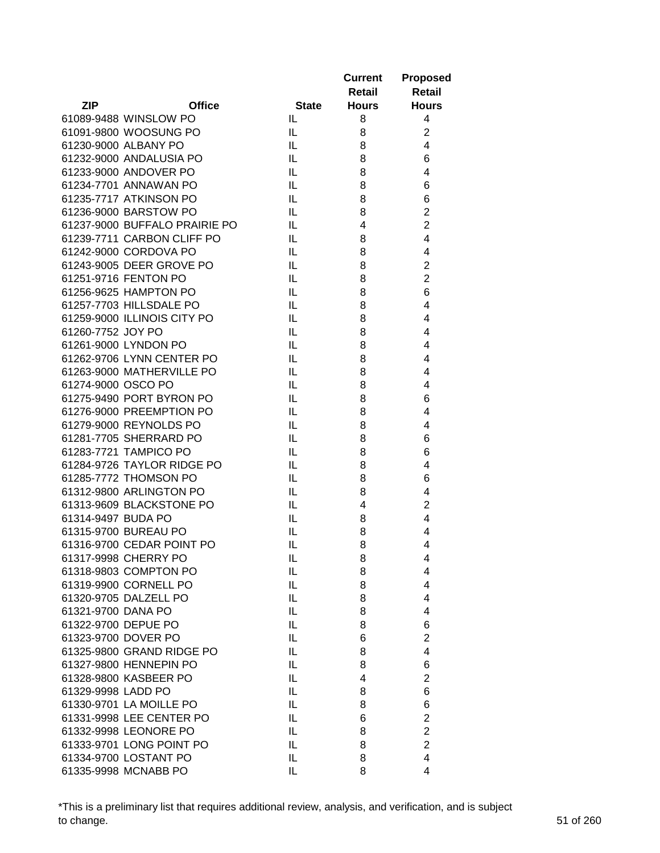|                    |                               |              | <b>Current</b> | <b>Proposed</b>         |
|--------------------|-------------------------------|--------------|----------------|-------------------------|
|                    |                               |              | Retail         | <b>Retail</b>           |
| <b>ZIP</b>         | <b>Office</b>                 | <b>State</b> | <b>Hours</b>   | <b>Hours</b>            |
|                    | 61089-9488 WINSLOW PO         | IL           | 8              | 4                       |
|                    | 61091-9800 WOOSUNG PO         | IL           | 8              | $\overline{c}$          |
|                    | 61230-9000 ALBANY PO          | IL           | 8              | $\overline{4}$          |
|                    | 61232-9000 ANDALUSIA PO       | IL           | 8              | 6                       |
|                    | 61233-9000 ANDOVER PO         | IL           | 8              | 4                       |
|                    | 61234-7701 ANNAWAN PO         | IL           | 8              | 6                       |
|                    | 61235-7717 ATKINSON PO        | IL           | 8              | 6                       |
|                    | 61236-9000 BARSTOW PO         | IL           | 8              | $\overline{c}$          |
|                    | 61237-9000 BUFFALO PRAIRIE PO | IL           | 4              | $\overline{c}$          |
|                    | 61239-7711 CARBON CLIFF PO    | IL           | 8              | $\overline{4}$          |
|                    | 61242-9000 CORDOVA PO         | IL           | 8              | 4                       |
|                    | 61243-9005 DEER GROVE PO      | IL           | 8              | $\overline{c}$          |
|                    | 61251-9716 FENTON PO          | IL           | 8              | $\overline{2}$          |
|                    | 61256-9625 HAMPTON PO         | IL           | 8              | 6                       |
|                    | 61257-7703 HILLSDALE PO       | IL           | 8              | 4                       |
|                    | 61259-9000 ILLINOIS CITY PO   | IL           | 8              | 4                       |
| 61260-7752 JOY PO  |                               | IL           | 8              | 4                       |
|                    | 61261-9000 LYNDON PO          | IL           | 8              | 4                       |
|                    | 61262-9706 LYNN CENTER PO     | IL           | 8              | 4                       |
|                    | 61263-9000 MATHERVILLE PO     | IL           | 8              | 4                       |
| 61274-9000 OSCO PO |                               | IL           | 8              | 4                       |
|                    | 61275-9490 PORT BYRON PO      | IL           | 8              | 6                       |
|                    | 61276-9000 PREEMPTION PO      | IL           | 8              | 4                       |
|                    | 61279-9000 REYNOLDS PO        | IL           | 8              | 4                       |
|                    | 61281-7705 SHERRARD PO        | IL           | 8              | 6                       |
|                    | 61283-7721 TAMPICO PO         | IL           | 8              | 6                       |
|                    | 61284-9726 TAYLOR RIDGE PO    | IL           | 8              | 4                       |
|                    | 61285-7772 THOMSON PO         | IL           | 8              | 6                       |
|                    | 61312-9800 ARLINGTON PO       | IL           | 8              | 4                       |
|                    | 61313-9609 BLACKSTONE PO      | IL           | 4              | $\overline{c}$          |
| 61314-9497 BUDA PO |                               | IL           | 8              | 4                       |
|                    | 61315-9700 BUREAU PO          | IL           | 8              | 4                       |
|                    | 61316-9700 CEDAR POINT PO     | IL           | 8              | 4                       |
|                    | 61317-9998 CHERRY PO          | IL           | 8              | 4                       |
|                    | 61318-9803 COMPTON PO         | IL           | 8              | 4                       |
|                    | 61319-9900 CORNELL PO         | IL           | 8              | 4                       |
|                    | 61320-9705 DALZELL PO         | IL           | 8              | 4                       |
| 61321-9700 DANA PO |                               | IL           | 8              | 4                       |
|                    | 61322-9700 DEPUE PO           | IL           | 8              | 6                       |
|                    | 61323-9700 DOVER PO           | IL           | 6              | $\overline{c}$          |
|                    | 61325-9800 GRAND RIDGE PO     | IL           | 8              | 4                       |
|                    | 61327-9800 HENNEPIN PO        | IL           | 8              | 6                       |
|                    | 61328-9800 KASBEER PO         | IL           | 4              | $\overline{2}$          |
| 61329-9998 LADD PO |                               | IL           | 8              | 6                       |
|                    | 61330-9701 LA MOILLE PO       | IL           | 8              | 6                       |
|                    | 61331-9998 LEE CENTER PO      | IL           | 6              | $\overline{\mathbf{c}}$ |
|                    | 61332-9998 LEONORE PO         | IL           | 8              | $\overline{2}$          |
|                    | 61333-9701 LONG POINT PO      | IL           | 8              | $\overline{2}$          |
|                    | 61334-9700 LOSTANT PO         | IL           | 8              | 4                       |
|                    | 61335-9998 MCNABB PO          | IL           | 8              | 4                       |
|                    |                               |              |                |                         |

\*This is a preliminary list that requires additional review, analysis, and verification, and is subject to change. 51 of 260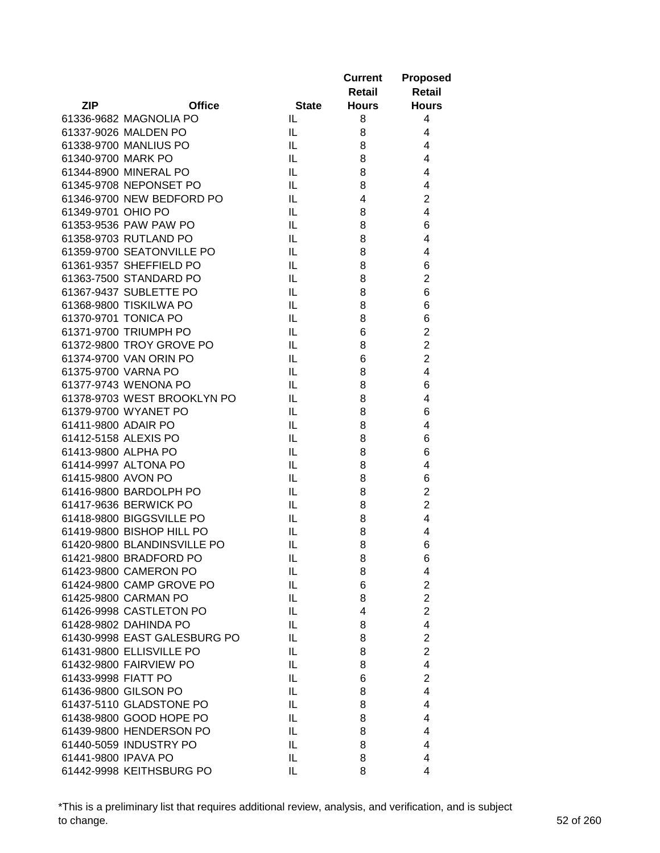|                     |                              |              | <b>Current</b> | <b>Proposed</b>         |
|---------------------|------------------------------|--------------|----------------|-------------------------|
|                     |                              |              | <b>Retail</b>  | <b>Retail</b>           |
| <b>ZIP</b>          | <b>Office</b>                | <b>State</b> | <b>Hours</b>   | <b>Hours</b>            |
|                     | 61336-9682 MAGNOLIA PO       | IL.          | 8              | 4                       |
|                     | 61337-9026 MALDEN PO         | IL           | 8              | 4                       |
|                     | 61338-9700 MANLIUS PO        | IL           | 8              | 4                       |
| 61340-9700 MARK PO  |                              | IL           | 8              | 4                       |
|                     | 61344-8900 MINERAL PO        | IL           | 8              | 4                       |
|                     | 61345-9708 NEPONSET PO       | IL           | 8              | 4                       |
|                     | 61346-9700 NEW BEDFORD PO    | IL           | 4              | $\overline{2}$          |
| 61349-9701 OHIO PO  |                              | IL           | 8              | 4                       |
|                     | 61353-9536 PAW PAW PO        | IL           | 8              | 6                       |
|                     | 61358-9703 RUTLAND PO        | IL           | 8              | 4                       |
|                     | 61359-9700 SEATONVILLE PO    | IL           | 8              | 4                       |
|                     | 61361-9357 SHEFFIELD PO      | IL           | 8              | 6                       |
|                     | 61363-7500 STANDARD PO       | IL           | 8              | $\overline{c}$          |
|                     | 61367-9437 SUBLETTE PO       | IL           | 8              | 6                       |
|                     | 61368-9800 TISKILWA PO       | IL           | 8              | 6                       |
|                     | 61370-9701 TONICA PO         | IL           | 8              | 6                       |
|                     | 61371-9700 TRIUMPH PO        | IL           | 6              | $\overline{2}$          |
|                     | 61372-9800 TROY GROVE PO     | IL           | 8              | $\overline{2}$          |
|                     | 61374-9700 VAN ORIN PO       | IL           | 6              | $\overline{2}$          |
|                     | 61375-9700 VARNA PO          | IL           | 8              | $\overline{4}$          |
|                     | 61377-9743 WENONA PO         | IL           | 8              | 6                       |
|                     | 61378-9703 WEST BROOKLYN PO  | IL           | 8              | 4                       |
|                     | 61379-9700 WYANET PO         | IL           | 8              | 6                       |
| 61411-9800 ADAIR PO |                              | IL           | 8              | 4                       |
|                     | 61412-5158 ALEXIS PO         | IL           | 8              | 6                       |
|                     | 61413-9800 ALPHA PO          | IL           | 8              | 6                       |
|                     | 61414-9997 ALTONA PO         | IL           | 8              | 4                       |
| 61415-9800 AVON PO  |                              | IL           | 8              | 6                       |
|                     | 61416-9800 BARDOLPH PO       | IL           | 8              | $\overline{\mathbf{c}}$ |
|                     | 61417-9636 BERWICK PO        | IL           | 8              | $\overline{2}$          |
|                     | 61418-9800 BIGGSVILLE PO     | IL           | 8              | $\overline{4}$          |
|                     | 61419-9800 BISHOP HILL PO    | IL           | 8              | 4                       |
|                     | 61420-9800 BLANDINSVILLE PO  | IL           | 8              | 6                       |
|                     | 61421-9800 BRADFORD PO       | IL           | 8              | 6                       |
|                     | 61423-9800 CAMERON PO        | IL           | 8              | 4                       |
|                     | 61424-9800 CAMP GROVE PO     | IL           | 6              | $\overline{c}$          |
|                     | 61425-9800 CARMAN PO         | IL           | 8              | $\overline{2}$          |
|                     | 61426-9998 CASTLETON PO      | IL           | 4              | $\overline{2}$          |
|                     | 61428-9802 DAHINDA PO        | IL           | 8              | $\overline{4}$          |
|                     | 61430-9998 EAST GALESBURG PO | IL           | 8              | $\overline{c}$          |
|                     | 61431-9800 ELLISVILLE PO     | IL           | 8              | $\overline{2}$          |
|                     | 61432-9800 FAIRVIEW PO       | IL           | 8              | 4                       |
| 61433-9998 FIATT PO |                              | IL           | 6              | $\overline{2}$          |
|                     | 61436-9800 GILSON PO         | IL           | 8              | 4                       |
|                     | 61437-5110 GLADSTONE PO      | IL           | 8              | 4                       |
|                     | 61438-9800 GOOD HOPE PO      | IL           | 8              | 4                       |
|                     | 61439-9800 HENDERSON PO      | IL.          | 8              | 4                       |
|                     | 61440-5059 INDUSTRY PO       | IL.          | 8              | 4                       |
| 61441-9800 IPAVA PO |                              | IL.          | 8              | 4                       |
|                     | 61442-9998 KEITHSBURG PO     | IL           | 8              | 4                       |

\*This is a preliminary list that requires additional review, analysis, and verification, and is subject to change. 52 of 260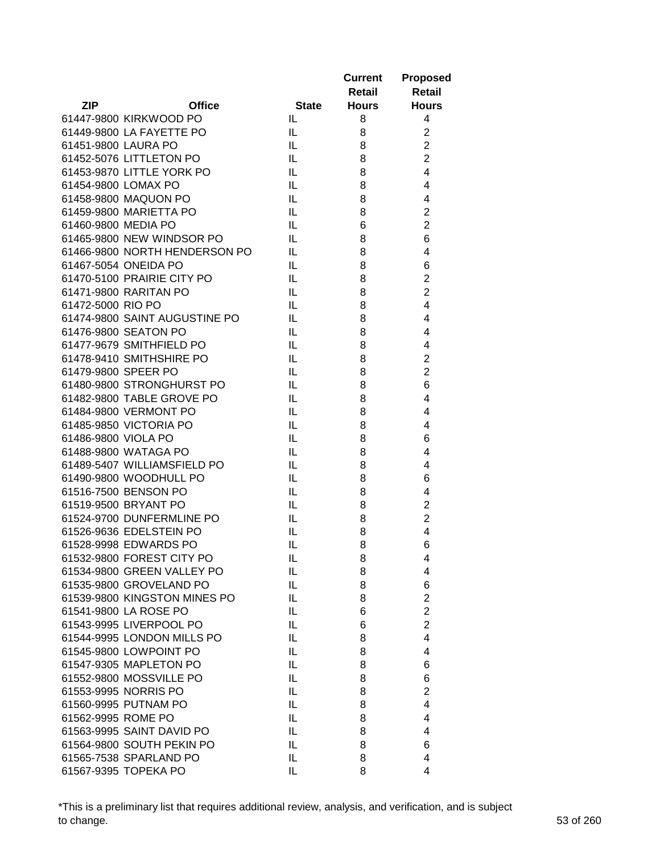|                     |                               |              | <b>Current</b> | <b>Proposed</b>         |
|---------------------|-------------------------------|--------------|----------------|-------------------------|
|                     |                               |              | Retail         | Retail                  |
| <b>ZIP</b>          | <b>Office</b>                 | <b>State</b> | <b>Hours</b>   | <b>Hours</b>            |
|                     | 61447-9800 KIRKWOOD PO        | IL           | 8              | 4                       |
|                     | 61449-9800 LA FAYETTE PO      | IL           | 8              | $\overline{c}$          |
| 61451-9800 LAURA PO |                               | IL           | 8              | $\overline{c}$          |
|                     | 61452-5076 LITTLETON PO       | IL           | 8              | $\overline{2}$          |
|                     | 61453-9870 LITTLE YORK PO     | IL           | 8              | $\overline{4}$          |
| 61454-9800 LOMAX PO |                               | IL           | 8              | 4                       |
|                     | 61458-9800 MAQUON PO          | IL           | 8              | 4                       |
|                     | 61459-9800 MARIETTA PO        | IL           | 8              | $\overline{c}$          |
| 61460-9800 MEDIA PO |                               | IL           | 6              | $\overline{c}$          |
|                     | 61465-9800 NEW WINDSOR PO     | IL           | 8              | 6                       |
|                     | 61466-9800 NORTH HENDERSON PO | IL           | 8              | 4                       |
|                     | 61467-5054 ONEIDA PO          | IL           | 8              | 6                       |
|                     | 61470-5100 PRAIRIE CITY PO    | IL           | 8              | $\overline{\mathbf{c}}$ |
|                     | 61471-9800 RARITAN PO         | IL           | 8              | $\overline{c}$          |
| 61472-5000 RIO PO   |                               | IL.          | 8              | 4                       |
|                     | 61474-9800 SAINT AUGUSTINE PO | IL.          | 8              | 4                       |
|                     | 61476-9800 SEATON PO          | IL           | 8              | 4                       |
|                     | 61477-9679 SMITHFIELD PO      | IL           | 8              | 4                       |
|                     | 61478-9410 SMITHSHIRE PO      | IL           | 8              | $\overline{2}$          |
| 61479-9800 SPEER PO |                               | IL           | 8              | $\overline{2}$          |
|                     | 61480-9800 STRONGHURST PO     | IL           | 8              | 6                       |
|                     | 61482-9800 TABLE GROVE PO     | IL           | 8              | 4                       |
|                     | 61484-9800 VERMONT PO         | IL           | 8              | $\overline{4}$          |
|                     | 61485-9850 VICTORIA PO        | IL           | 8              | 4                       |
| 61486-9800 VIOLA PO |                               | IL           | 8              | 6                       |
|                     | 61488-9800 WATAGA PO          | IL           | 8              | 4                       |
|                     | 61489-5407 WILLIAMSFIELD PO   | IL           | 8              | 4                       |
|                     | 61490-9800 WOODHULL PO        | IL           | 8              | 6                       |
|                     | 61516-7500 BENSON PO          | IL           | 8              | 4                       |
|                     | 61519-9500 BRYANT PO          | IL           |                | $\overline{c}$          |
|                     |                               |              | 8              | $\overline{c}$          |
|                     | 61524-9700 DUNFERMLINE PO     | IL           | 8              | 4                       |
|                     | 61526-9636 EDELSTEIN PO       | IL           | 8              |                         |
|                     | 61528-9998 EDWARDS PO         | IL           | 8              | 6                       |
|                     | 61532-9800 FOREST CITY PO     | $\sf IL$     | 8              | 4                       |
|                     | 61534-9800 GREEN VALLEY PO    | IL           | 8              | 4                       |
|                     | 61535-9800 GROVELAND PO       | IL           | 8              | 6                       |
|                     | 61539-9800 KINGSTON MINES PO  | IL           | 8              | $\overline{c}$          |
|                     | 61541-9800 LA ROSE PO         | IL           | 6              | $\overline{2}$          |
|                     | 61543-9995 LIVERPOOL PO       | IL           | 6              | $\overline{c}$          |
|                     | 61544-9995 LONDON MILLS PO    | IL           | 8              | 4                       |
|                     | 61545-9800 LOWPOINT PO        | IL           | 8              | 4                       |
|                     | 61547-9305 MAPLETON PO        | IL           | 8              | 6                       |
|                     | 61552-9800 MOSSVILLE PO       | IL           | 8              | 6                       |
|                     | 61553-9995 NORRIS PO          | IL           | 8              | $\overline{2}$          |
|                     | 61560-9995 PUTNAM PO          | IL           | 8              | 4                       |
| 61562-9995 ROME PO  |                               | IL           | 8              | 4                       |
|                     | 61563-9995 SAINT DAVID PO     | IL           | 8              | 4                       |
|                     | 61564-9800 SOUTH PEKIN PO     | IL           | 8              | 6                       |
|                     | 61565-7538 SPARLAND PO        | IL           | 8              | 4                       |
|                     | 61567-9395 TOPEKA PO          | IL           | 8              | 4                       |

\*This is a preliminary list that requires additional review, analysis, and verification, and is subject to change. 53 of 260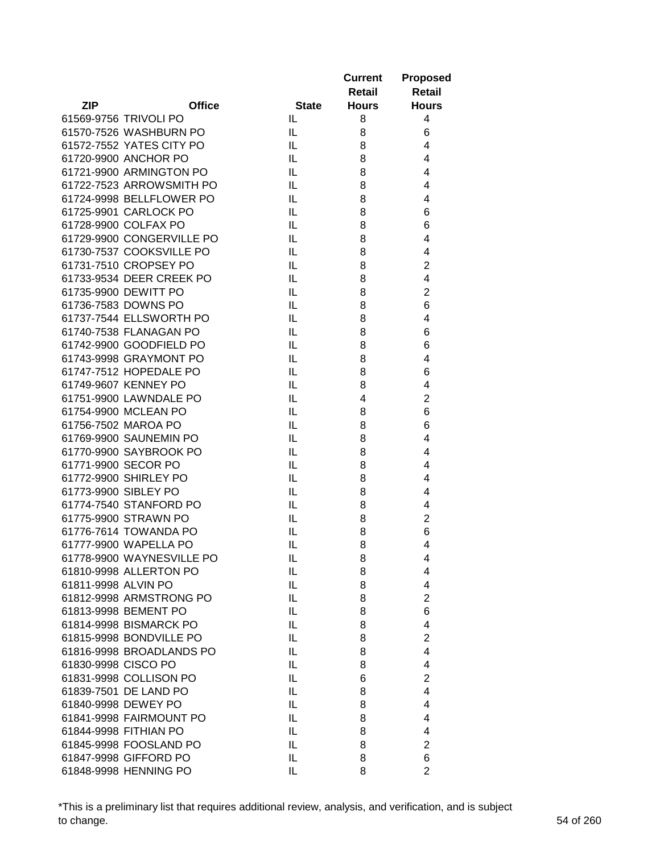|                             |              | <b>Current</b><br>Retail | <b>Proposed</b><br><b>Retail</b> |
|-----------------------------|--------------|--------------------------|----------------------------------|
| <b>ZIP</b><br><b>Office</b> | <b>State</b> | <b>Hours</b>             | <b>Hours</b>                     |
| 61569-9756 TRIVOLI PO       | IL.          | 8                        | 4                                |
| 61570-7526 WASHBURN PO      | IL.          | 8                        | 6                                |
| 61572-7552 YATES CITY PO    | IL           | 8                        | 4                                |
| 61720-9900 ANCHOR PO        | IL           | 8                        | $\overline{4}$                   |
| 61721-9900 ARMINGTON PO     | IL           | 8                        | 4                                |
| 61722-7523 ARROWSMITH PO    | IL           | 8                        | 4                                |
| 61724-9998 BELLFLOWER PO    | IL           | 8                        | 4                                |
| 61725-9901 CARLOCK PO       | IL           | 8                        | 6                                |
| 61728-9900 COLFAX PO        | IL           | 8                        | 6                                |
| 61729-9900 CONGERVILLE PO   | IL           | 8                        | 4                                |
| 61730-7537 COOKSVILLE PO    | IL           | 8                        | 4                                |
| 61731-7510 CROPSEY PO       | IL           | 8                        | $\overline{2}$                   |
| 61733-9534 DEER CREEK PO    | IL           | 8                        | 4                                |
| 61735-9900 DEWITT PO        | IL           | 8                        | $\overline{2}$                   |
| 61736-7583 DOWNS PO         | IL           | 8                        | 6                                |
| 61737-7544 ELLSWORTH PO     | IL           | 8                        | 4                                |
| 61740-7538 FLANAGAN PO      | IL           | 8                        | 6                                |
| 61742-9900 GOODFIELD PO     | IL           | 8                        | 6                                |
| 61743-9998 GRAYMONT PO      | IL           | 8                        | 4                                |
| 61747-7512 HOPEDALE PO      | IL           | 8                        | 6                                |
| 61749-9607 KENNEY PO        | IL           | 8                        | 4                                |
| 61751-9900 LAWNDALE PO      | IL           | 4                        | $\overline{2}$                   |
| 61754-9900 MCLEAN PO        | IL           | 8                        | 6                                |
| 61756-7502 MAROA PO         | IL           | 8                        | 6                                |
| 61769-9900 SAUNEMIN PO      | IL           | 8                        | 4                                |
| 61770-9900 SAYBROOK PO      | IL           | 8                        | 4                                |
| 61771-9900 SECOR PO         | IL           | 8                        | 4                                |
| 61772-9900 SHIRLEY PO       | IL           | 8                        | 4                                |
| 61773-9900 SIBLEY PO        | IL           | 8                        | 4                                |
| 61774-7540 STANFORD PO      | IL           | 8                        | 4                                |
| 61775-9900 STRAWN PO        | IL           | 8                        | $\overline{2}$                   |
| 61776-7614 TOWANDA PO       | IL           | 8                        | 6                                |
| 61777-9900 WAPELLA PO       | IL           | 8                        | 4                                |
| 61778-9900 WAYNESVILLE PO   | IL           | 8                        | 4                                |
| 61810-9998 ALLERTON PO      | IL           | 8                        | 4                                |
| 61811-9998 ALVIN PO         | IL           | 8                        | 4                                |
| 61812-9998 ARMSTRONG PO     | IL           | 8                        | $\overline{2}$                   |
| 61813-9998 BEMENT PO        | IL           | 8                        | 6                                |
| 61814-9998 BISMARCK PO      | IL           | 8                        | $\overline{4}$                   |
| 61815-9998 BONDVILLE PO     | IL           | 8                        | $\overline{2}$                   |
| 61816-9998 BROADLANDS PO    | IL           | 8                        | $\overline{4}$                   |
| 61830-9998 CISCO PO         | IL           | 8                        | 4                                |
| 61831-9998 COLLISON PO      |              |                          | $\overline{2}$                   |
| 61839-7501 DE LAND PO       | IL           | 6                        | $\overline{4}$                   |
|                             | IL           | 8                        |                                  |
| 61840-9998 DEWEY PO         | IL           | 8                        | 4                                |
| 61841-9998 FAIRMOUNT PO     | IL           | 8                        | 4                                |
| 61844-9998 FITHIAN PO       | IL           | 8                        | 4                                |
| 61845-9998 FOOSLAND PO      | IL           | 8                        | $\overline{2}$                   |
| 61847-9998 GIFFORD PO       | IL           | 8                        | 6                                |
| 61848-9998 HENNING PO       | IL           | 8                        | $\overline{2}$                   |

\*This is a preliminary list that requires additional review, analysis, and verification, and is subject to change. 54 of 260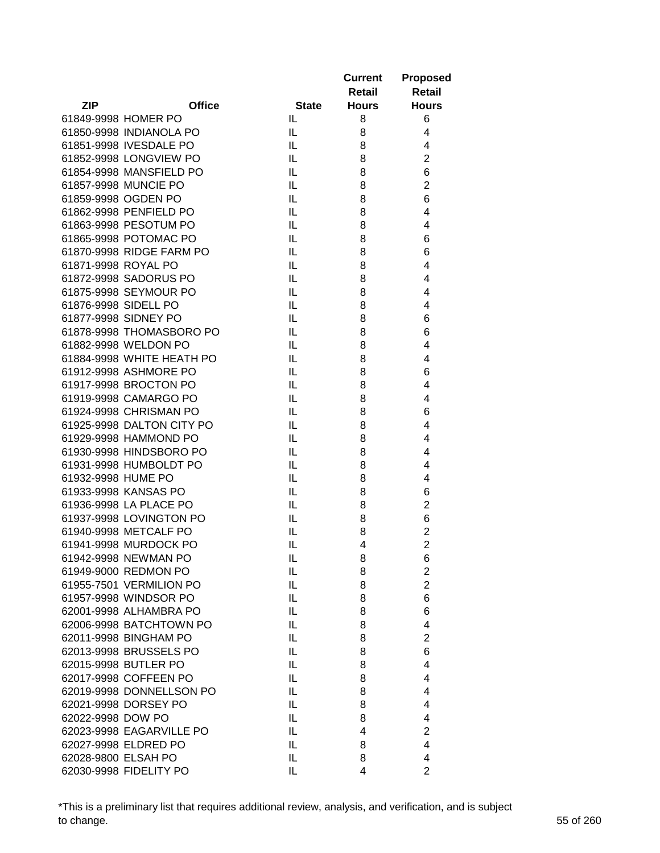|                      |                                                   |              | <b>Current</b> | <b>Proposed</b>                  |
|----------------------|---------------------------------------------------|--------------|----------------|----------------------------------|
|                      |                                                   |              | <b>Retail</b>  | <b>Retail</b>                    |
| <b>ZIP</b>           | <b>Office</b>                                     | <b>State</b> | <b>Hours</b>   | <b>Hours</b>                     |
|                      | 61849-9998 HOMER PO                               | IL.          | 8              | 6                                |
|                      | 61850-9998 INDIANOLA PO                           | IL           | 8              | 4                                |
|                      | 61851-9998 IVESDALE PO                            | IL           | 8              | 4                                |
|                      | 61852-9998 LONGVIEW PO                            | IL           | 8              | $\mathbf 2$                      |
|                      | 61854-9998 MANSFIELD PO                           | IL           | 8              | 6                                |
|                      | 61857-9998 MUNCIE PO                              | IL           | 8              | $\overline{c}$                   |
|                      | 61859-9998 OGDEN PO                               | IL           | 8              | 6                                |
|                      | 61862-9998 PENFIELD PO                            | IL           | 8              | 4                                |
|                      | 61863-9998 PESOTUM PO                             | IL           | 8              | 4                                |
|                      | 61865-9998 POTOMAC PO                             | IL           | 8              | 6                                |
|                      | 61870-9998 RIDGE FARM PO                          | IL           | 8              | 6                                |
| 61871-9998 ROYAL PO  |                                                   | IL           | 8              | 4                                |
|                      | 61872-9998 SADORUS PO                             | IL           | 8              | 4                                |
|                      | 61875-9998 SEYMOUR PO                             | IL.          | 8              | 4                                |
| 61876-9998 SIDELL PO |                                                   | IL           | 8              | 4                                |
|                      | 61877-9998 SIDNEY PO                              | IL.          | 8              | 6                                |
|                      | 61878-9998 THOMASBORO PO                          | IL           | 8              | 6                                |
|                      | 61882-9998 WELDON PO                              | IL           |                | $\overline{4}$                   |
|                      |                                                   |              | 8              |                                  |
|                      | 61884-9998 WHITE HEATH PO                         | IL           | 8              | 4                                |
|                      | 61912-9998 ASHMORE PO                             | IL           | 8              | 6                                |
|                      | 61917-9998 BROCTON PO                             | IL           | 8              | 4                                |
|                      | 61919-9998 CAMARGO PO                             | IL           | 8              | $\overline{4}$                   |
|                      | 61924-9998 CHRISMAN PO                            | IL           | 8              | 6                                |
|                      | 61925-9998 DALTON CITY PO                         | IL           | 8              | $\overline{4}$<br>$\overline{4}$ |
|                      | 61929-9998 HAMMOND PO<br>61930-9998 HINDSBORO PO  | IL           | 8              | $\overline{4}$                   |
|                      |                                                   | IL<br>IL     | 8              | 4                                |
| 61932-9998 HUME PO   | 61931-9998 HUMBOLDT PO                            | IL           | 8              |                                  |
|                      |                                                   |              | 8              | 4                                |
|                      | 61933-9998 KANSAS PO<br>61936-9998 LA PLACE PO    | IL<br>IL.    | 8              | 6<br>$\overline{2}$              |
|                      | 61937-9998 LOVINGTON PO                           |              | 8              |                                  |
|                      |                                                   | IL           | 8              | 6<br>$\overline{2}$              |
|                      | 61940-9998 METCALF PO                             | IL           | 8<br>4         | $\overline{2}$                   |
|                      | 61941-9998 MURDOCK PO<br>61942-9998 NEWMAN PO     | IL           |                |                                  |
|                      |                                                   | IL           | 8              | 6                                |
|                      | 61949-9000 REDMON PO<br>61955-7501 VERMILION PO   | IL<br>IL     | 8<br>8         | $\mathbf 2$<br>$\overline{c}$    |
|                      |                                                   |              |                | 6                                |
|                      | 61957-9998 WINDSOR PO                             | IL           | 8              | 6                                |
|                      | 62001-9998 ALHAMBRA PO<br>62006-9998 BATCHTOWN PO | IL           | 8              |                                  |
|                      |                                                   | IL           | 8              | $\overline{4}$                   |
|                      | 62011-9998 BINGHAM PO                             | IL           | 8              | $\overline{2}$                   |
|                      | 62013-9998 BRUSSELS PO                            | IL           | 8              | 6                                |
|                      | 62015-9998 BUTLER PO                              | IL           | 8              | 4                                |
|                      | 62017-9998 COFFEEN PO                             | IL           | 8              | 4                                |
|                      | 62019-9998 DONNELLSON PO                          | IL           | 8              | 4                                |
|                      | 62021-9998 DORSEY PO                              | IL           | 8              | 4                                |
| 62022-9998 DOW PO    |                                                   | IL           | 8              | $\overline{4}$                   |
|                      | 62023-9998 EAGARVILLE PO                          | IL           | 4              | $\overline{2}$                   |
|                      | 62027-9998 ELDRED PO                              | IL           | 8              | $\overline{4}$                   |
| 62028-9800 ELSAH PO  |                                                   | IL.          | 8              | 4                                |
|                      | 62030-9998 FIDELITY PO                            | IL           | 4              | $\overline{2}$                   |

\*This is a preliminary list that requires additional review, analysis, and verification, and is subject to change. 55 of 260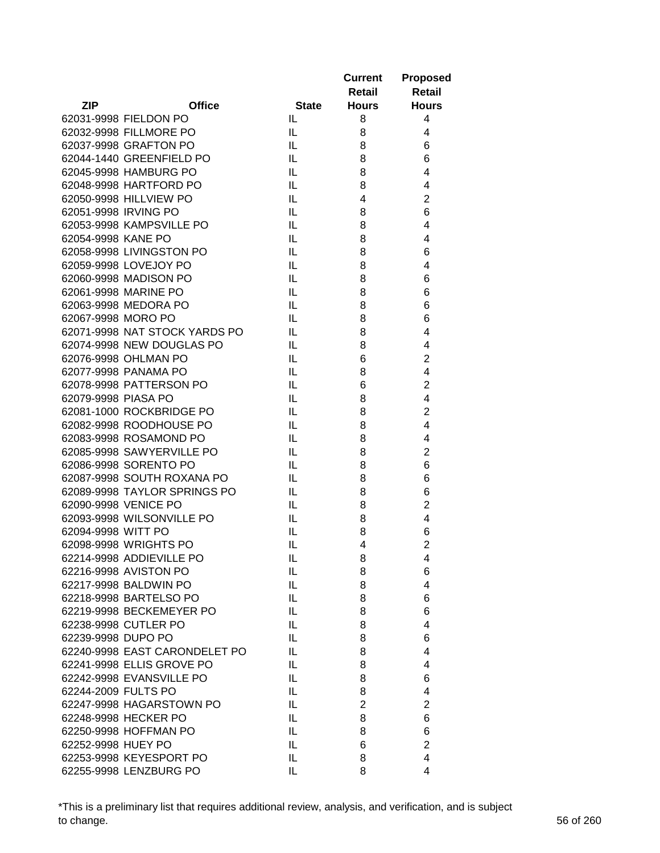|                      |                               |              | <b>Current</b> | <b>Proposed</b>         |
|----------------------|-------------------------------|--------------|----------------|-------------------------|
|                      |                               |              | Retail         | <b>Retail</b>           |
| <b>ZIP</b>           | <b>Office</b>                 | <b>State</b> | <b>Hours</b>   | <b>Hours</b>            |
|                      | 62031-9998 FIELDON PO         | IL.          | 8              | 4                       |
|                      | 62032-9998 FILLMORE PO        | IL           | 8              | 4                       |
|                      | 62037-9998 GRAFTON PO         | IL.          | 8              | 6                       |
|                      | 62044-1440 GREENFIELD PO      | IL           | 8              | 6                       |
|                      | 62045-9998 HAMBURG PO         | IL.          | 8              | $\overline{4}$          |
|                      | 62048-9998 HARTFORD PO        | IL.          | 8              | 4                       |
|                      | 62050-9998 HILLVIEW PO        | IL           | 4              | $\overline{2}$          |
| 62051-9998 IRVING PO |                               | IL.          | 8              | 6                       |
|                      | 62053-9998 KAMPSVILLE PO      | IL           | 8              | $\overline{4}$          |
| 62054-9998 KANE PO   |                               | IL.          | 8              | 4                       |
|                      | 62058-9998 LIVINGSTON PO      | IL           | 8              | 6                       |
|                      | 62059-9998 LOVEJOY PO         | IL           | 8              | 4                       |
|                      | 62060-9998 MADISON PO         | IL           | 8              | 6                       |
|                      | 62061-9998 MARINE PO          | IL.          | 8              | 6                       |
|                      | 62063-9998 MEDORA PO          | IL.          | 8              | 6                       |
| 62067-9998 MORO PO   |                               | IL.          | 8              | 6                       |
|                      | 62071-9998 NAT STOCK YARDS PO | IL.          | 8              | 4                       |
|                      | 62074-9998 NEW DOUGLAS PO     | IL.          | 8              | 4                       |
|                      | 62076-9998 OHLMAN PO          | IL           | 6              | $\overline{2}$          |
|                      | 62077-9998 PANAMA PO          | IL           | 8              | $\overline{\mathbf{4}}$ |
|                      | 62078-9998 PATTERSON PO       | IL           | 6              | $\mathbf 2$             |
| 62079-9998 PIASA PO  |                               | IL           | 8              | $\overline{4}$          |
|                      | 62081-1000 ROCKBRIDGE PO      | IL           | 8              | $\overline{2}$          |
|                      | 62082-9998 ROODHOUSE PO       | IL.          | 8              | $\overline{4}$          |
|                      | 62083-9998 ROSAMOND PO        | IL           | 8              | 4                       |
|                      | 62085-9998 SAWYERVILLE PO     | IL.          | 8              | $\overline{2}$          |
|                      | 62086-9998 SORENTO PO         | IL           | 8              | 6                       |
|                      | 62087-9998 SOUTH ROXANA PO    | IL           | 8              | 6                       |
|                      | 62089-9998 TAYLOR SPRINGS PO  | IL           | 8              | 6                       |
|                      | 62090-9998 VENICE PO          | IL.          | 8              | $\mathbf 2$             |
|                      | 62093-9998 WILSONVILLE PO     | IL.          | 8              | $\overline{4}$          |
| 62094-9998 WITT PO   |                               | IL           | 8              | 6                       |
|                      | 62098-9998 WRIGHTS PO         | IL           | 4              | $\overline{2}$          |
|                      | 62214-9998 ADDIEVILLE PO      | IL           | 8              | $\overline{\mathbf{4}}$ |
|                      | 62216-9998 AVISTON PO         | IL           | 8              | 6                       |
|                      | 62217-9998 BALDWIN PO         | IL           | 8              | $\overline{4}$          |
|                      | 62218-9998 BARTELSO PO        | IL           | 8              | 6                       |
|                      | 62219-9998 BECKEMEYER PO      | IL           | 8              | 6                       |
|                      | 62238-9998 CUTLER PO          | IL           | 8              | 4                       |
| 62239-9998 DUPO PO   |                               | IL           | 8              | 6                       |
|                      | 62240-9998 EAST CARONDELET PO | IL           | 8              | 4                       |
|                      | 62241-9998 ELLIS GROVE PO     | IL           | 8              | 4                       |
|                      | 62242-9998 EVANSVILLE PO      | IL           | 8              | 6                       |
| 62244-2009 FULTS PO  |                               | IL           | 8              | 4                       |
|                      | 62247-9998 HAGARSTOWN PO      | IL           | $\overline{2}$ | $\overline{2}$          |
|                      | 62248-9998 HECKER PO          | IL           | 8              | 6                       |
|                      | 62250-9998 HOFFMAN PO         |              |                | 6                       |
|                      |                               | IL           | 8              | $\overline{c}$          |
| 62252-9998 HUEY PO   |                               | IL           | 6              |                         |
|                      | 62253-9998 KEYESPORT PO       | IL           | 8              | $\overline{4}$          |
|                      | 62255-9998 LENZBURG PO        | IL           | 8              | 4                       |

\*This is a preliminary list that requires additional review, analysis, and verification, and is subject to change. 56 of 260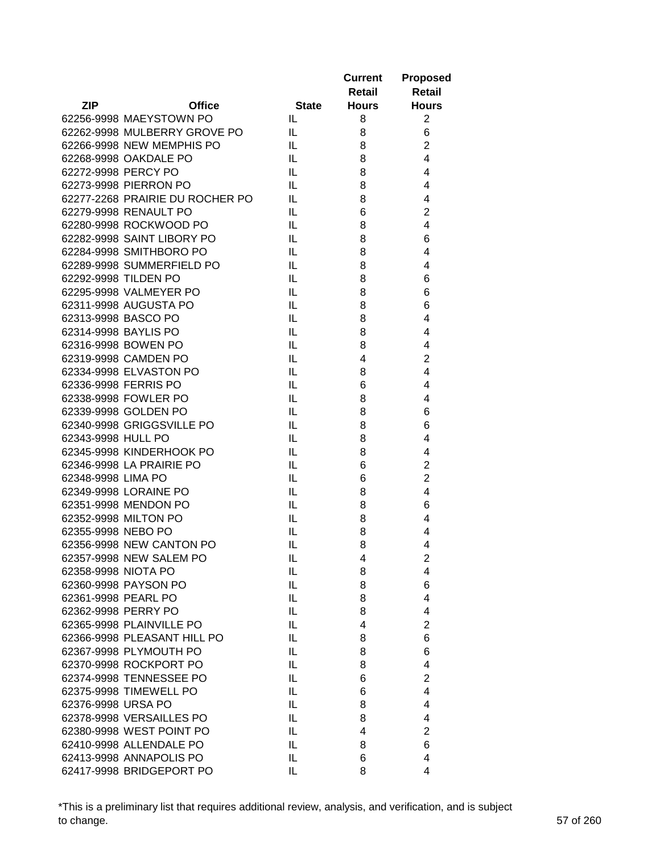|                      |                                 |              | <b>Current</b><br>Retail | <b>Proposed</b><br><b>Retail</b> |
|----------------------|---------------------------------|--------------|--------------------------|----------------------------------|
| <b>ZIP</b>           | <b>Office</b>                   | <b>State</b> | <b>Hours</b>             | <b>Hours</b>                     |
|                      | 62256-9998 MAEYSTOWN PO         | IL           | 8                        | $\overline{2}$                   |
|                      | 62262-9998 MULBERRY GROVE PO    | IL.          | 8                        | 6                                |
|                      | 62266-9998 NEW MEMPHIS PO       | IL.          | 8                        | $\overline{2}$                   |
|                      | 62268-9998 OAKDALE PO           | IL           | 8                        | $\overline{4}$                   |
| 62272-9998 PERCY PO  |                                 | IL           | 8                        | 4                                |
|                      | 62273-9998 PIERRON PO           | IL           | 8                        | 4                                |
|                      | 62277-2268 PRAIRIE DU ROCHER PO | IL           | 8                        | 4                                |
|                      | 62279-9998 RENAULT PO           | IL           | 6                        | $\overline{2}$                   |
|                      | 62280-9998 ROCKWOOD PO          | IL           | 8                        | $\overline{4}$                   |
|                      | 62282-9998 SAINT LIBORY PO      | IL           | 8                        | 6                                |
|                      | 62284-9998 SMITHBORO PO         | IL           | 8                        | 4                                |
|                      | 62289-9998 SUMMERFIELD PO       | IL           | 8                        | 4                                |
|                      | 62292-9998 TILDEN PO            | IL           | 8                        | 6                                |
|                      | 62295-9998 VALMEYER PO          | IL           | 8                        | 6                                |
|                      | 62311-9998 AUGUSTA PO           | IL           | 8                        | 6                                |
| 62313-9998 BASCO PO  |                                 | IL           | 8                        | 4                                |
| 62314-9998 BAYLIS PO |                                 | IL           | 8                        | 4                                |
|                      | 62316-9998 BOWEN PO             | IL           | 8                        | 4                                |
|                      | 62319-9998 CAMDEN PO            | IL           | 4                        | $\overline{2}$                   |
|                      | 62334-9998 ELVASTON PO          |              |                          | 4                                |
|                      |                                 | IL           | 8                        |                                  |
|                      | 62336-9998 FERRIS PO            | IL           | 6                        | 4                                |
|                      | 62338-9998 FOWLER PO            | IL           | 8                        | 4                                |
|                      | 62339-9998 GOLDEN PO            | IL           | 8                        | 6                                |
|                      | 62340-9998 GRIGGSVILLE PO       | IL           | 8                        | 6                                |
| 62343-9998 HULL PO   |                                 | IL           | 8                        | 4                                |
|                      | 62345-9998 KINDERHOOK PO        | IL           | 8                        | 4                                |
|                      | 62346-9998 LA PRAIRIE PO        | IL           | 6                        | $\overline{2}$                   |
| 62348-9998 LIMA PO   |                                 | IL           | 6                        | $\overline{2}$                   |
|                      | 62349-9998 LORAINE PO           | IL           | 8                        | 4                                |
|                      | 62351-9998 MENDON PO            | IL           | 8                        | 6                                |
|                      | 62352-9998 MILTON PO            | IL           | 8                        | 4                                |
| 62355-9998 NEBO PO   |                                 | IL           | 8                        | 4                                |
|                      | 62356-9998 NEW CANTON PO        | IL           | 8                        | 4                                |
|                      | 62357-9998 NEW SALEM PO         | IL           | 4                        | 2                                |
| 62358-9998 NIOTA PO  |                                 | IL           | 8                        | 4                                |
|                      | 62360-9998 PAYSON PO            | IL           | 8                        | 6                                |
| 62361-9998 PEARL PO  |                                 | IL           | 8                        | 4                                |
| 62362-9998 PERRY PO  |                                 | IL           | 8                        | 4                                |
|                      | 62365-9998 PLAINVILLE PO        | IL           | 4                        | $\overline{2}$                   |
|                      | 62366-9998 PLEASANT HILL PO     | IL           | 8                        | 6                                |
|                      | 62367-9998 PLYMOUTH PO          | IL           | 8                        | 6                                |
|                      | 62370-9998 ROCKPORT PO          | IL           | 8                        | 4                                |
|                      | 62374-9998 TENNESSEE PO         | IL           | 6                        | $\overline{2}$                   |
|                      | 62375-9998 TIMEWELL PO          | IL           | 6                        | 4                                |
| 62376-9998 URSA PO   |                                 | IL           | 8                        | 4                                |
|                      | 62378-9998 VERSAILLES PO        | IL           | 8                        | 4                                |
|                      | 62380-9998 WEST POINT PO        | IL           | 4                        | 2                                |
|                      | 62410-9998 ALLENDALE PO         | IL           | 8                        | 6                                |
|                      | 62413-9998 ANNAPOLIS PO         | IL           | 6                        | 4                                |
|                      | 62417-9998 BRIDGEPORT PO        | IL           | 8                        | 4                                |

\*This is a preliminary list that requires additional review, analysis, and verification, and is subject to change. 57 of 260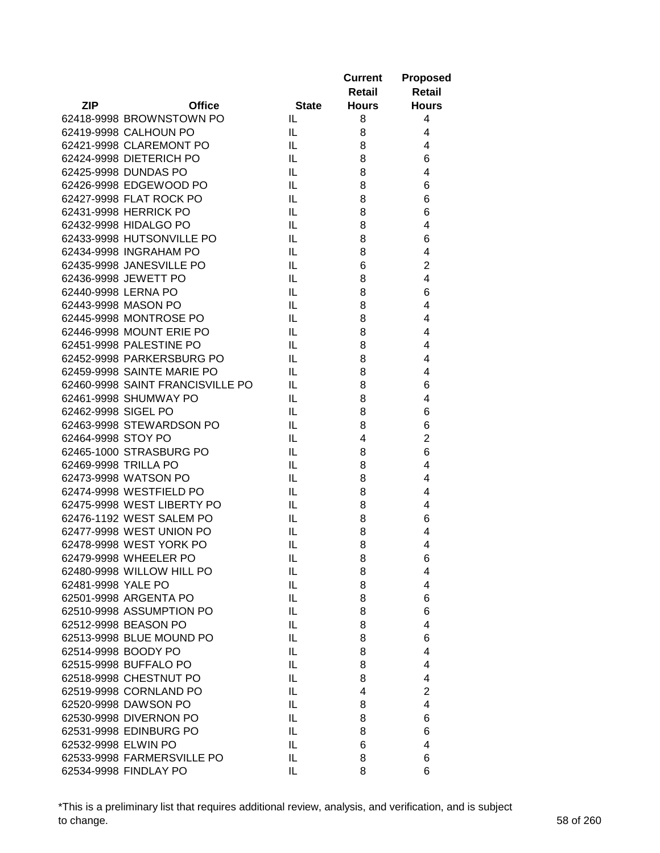|                      |                                  |              | <b>Current</b><br>Retail | <b>Proposed</b><br><b>Retail</b> |
|----------------------|----------------------------------|--------------|--------------------------|----------------------------------|
| <b>ZIP</b>           | <b>Office</b>                    | <b>State</b> | <b>Hours</b>             | <b>Hours</b>                     |
|                      | 62418-9998 BROWNSTOWN PO         | IL           | 8                        | 4                                |
|                      | 62419-9998 CALHOUN PO            | IL.          | 8                        | 4                                |
|                      | 62421-9998 CLAREMONT PO          | IL.          | 8                        | 4                                |
|                      | 62424-9998 DIETERICH PO          | IL.          | 8                        | 6                                |
|                      | 62425-9998 DUNDAS PO             | IL           | 8                        | $\overline{4}$                   |
|                      | 62426-9998 EDGEWOOD PO           | IL           | 8                        | 6                                |
|                      | 62427-9998 FLAT ROCK PO          | IL           | 8                        | 6                                |
|                      | 62431-9998 HERRICK PO            | IL           | 8                        | 6                                |
|                      | 62432-9998 HIDALGO PO            | IL           | 8                        | 4                                |
|                      | 62433-9998 HUTSONVILLE PO        | IL           | 8                        | 6                                |
|                      | 62434-9998 INGRAHAM PO           | IL           | 8                        | 4                                |
|                      | 62435-9998 JANESVILLE PO         | IL           | 6                        | $\overline{2}$                   |
|                      | 62436-9998 JEWETT PO             | IL           | 8                        | 4                                |
| 62440-9998 LERNA PO  |                                  | IL           | 8                        | 6                                |
| 62443-9998 MASON PO  |                                  | IL           | 8                        | 4                                |
|                      | 62445-9998 MONTROSE PO           | IL           | 8                        | 4                                |
|                      | 62446-9998 MOUNT ERIE PO         | IL           | 8                        | 4                                |
|                      | 62451-9998 PALESTINE PO          | IL.          | 8                        | 4                                |
|                      | 62452-9998 PARKERSBURG PO        | IL.          | 8                        | 4                                |
|                      | 62459-9998 SAINTE MARIE PO       |              |                          | 4                                |
|                      | 62460-9998 SAINT FRANCISVILLE PO | IL<br>IL     | 8                        |                                  |
|                      |                                  |              | 8                        | 6                                |
|                      | 62461-9998 SHUMWAY PO            | IL           | 8                        | 4                                |
| 62462-9998 SIGEL PO  |                                  | IL           | 8                        | 6                                |
|                      | 62463-9998 STEWARDSON PO         | IL           | 8                        | 6                                |
| 62464-9998 STOY PO   |                                  | IL           | 4                        | $\overline{2}$                   |
|                      | 62465-1000 STRASBURG PO          | IL           | 8                        | 6                                |
| 62469-9998 TRILLA PO |                                  | IL           | 8                        | 4                                |
|                      | 62473-9998 WATSON PO             | IL           | 8                        | 4                                |
|                      | 62474-9998 WESTFIELD PO          | IL           | 8                        | 4                                |
|                      | 62475-9998 WEST LIBERTY PO       | IL           | 8                        | 4                                |
|                      | 62476-1192 WEST SALEM PO         | IL           | 8                        | 6                                |
|                      | 62477-9998 WEST UNION PO         | IL           | 8                        | 4                                |
|                      | 62478-9998 WEST YORK PO          | IL           | 8                        | 4                                |
|                      | 62479-9998 WHEELER PO            | IL           | 8                        | 6                                |
|                      | 62480-9998 WILLOW HILL PO        | IL           | 8                        | 4                                |
| 62481-9998 YALE PO   |                                  | IL           | 8                        | 4                                |
|                      | 62501-9998 ARGENTA PO            | IL           | 8                        | 6                                |
|                      | 62510-9998 ASSUMPTION PO         | IL           | 8                        | 6                                |
|                      | 62512-9998 BEASON PO             | IL           | 8                        | 4                                |
|                      | 62513-9998 BLUE MOUND PO         | IL           | 8                        | 6                                |
| 62514-9998 BOODY PO  |                                  | IL           | 8                        | $\overline{4}$                   |
|                      | 62515-9998 BUFFALO PO            | IL           | 8                        | 4                                |
|                      | 62518-9998 CHESTNUT PO           | IL           | 8                        | 4                                |
|                      | 62519-9998 CORNLAND PO           | IL           | 4                        | $\overline{2}$                   |
|                      | 62520-9998 DAWSON PO             | IL           | 8                        | 4                                |
|                      | 62530-9998 DIVERNON PO           | IL           | 8                        | 6                                |
|                      | 62531-9998 EDINBURG PO           | IL           | 8                        | 6                                |
| 62532-9998 ELWIN PO  |                                  | IL           | 6                        | 4                                |
|                      | 62533-9998 FARMERSVILLE PO       | IL           | 8                        | 6                                |
|                      | 62534-9998 FINDLAY PO            | IL           | 8                        | 6                                |

\*This is a preliminary list that requires additional review, analysis, and verification, and is subject to change. 58 of 260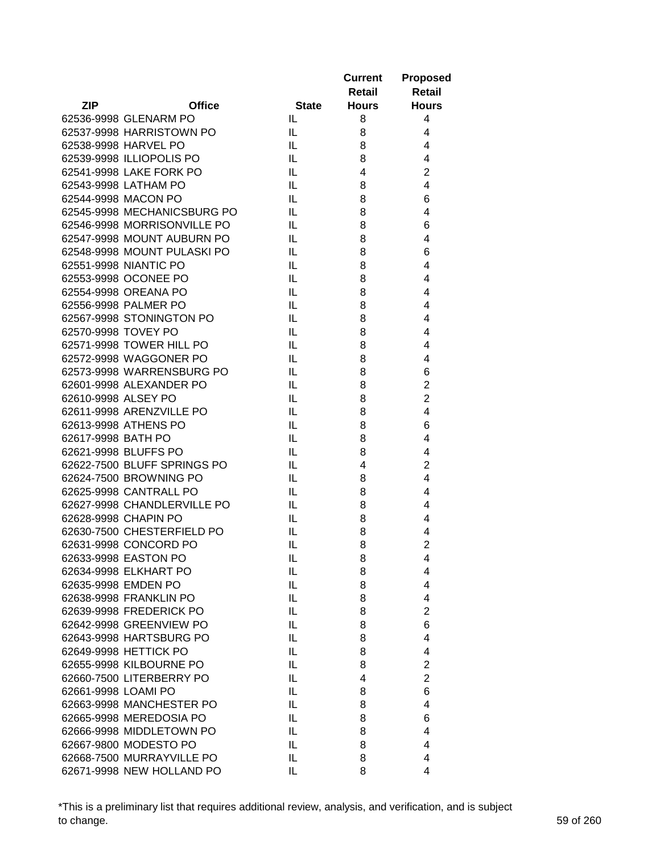| Retail<br>Retail<br><b>ZIP</b><br><b>Office</b><br><b>State</b><br><b>Hours</b><br><b>Hours</b><br>62536-9998 GLENARM PO<br>IL.<br>8<br>4<br>62537-9998 HARRISTOWN PO<br>IL<br>4<br>8<br>IL<br>$\overline{4}$<br>62538-9998 HARVEL PO<br>8<br>62539-9998 ILLIOPOLIS PO<br>IL<br>4<br>8<br>$\overline{c}$<br>62541-9998 LAKE FORK PO<br>IL<br>4<br>62543-9998 LATHAM PO<br>4<br>IL<br>8<br>62544-9998 MACON PO<br>6<br>IL<br>8<br>62545-9998 MECHANICSBURG PO<br>4<br>IL<br>8<br>62546-9998 MORRISONVILLE PO<br>IL<br>8<br>6<br>62547-9998 MOUNT AUBURN PO<br>4<br>IL<br>8<br>62548-9998 MOUNT PULASKI PO<br>IL<br>8<br>6<br>62551-9998 NIANTIC PO<br>4<br>IL<br>8<br>62553-9998 OCONEE PO<br>IL<br>4<br>8<br>62554-9998 OREANA PO<br>IL<br>4<br>8<br>62556-9998 PALMER PO<br>4<br>IL.<br>8<br>62567-9998 STONINGTON PO<br>4<br>IL.<br>8<br>62570-9998 TOVEY PO<br>4<br>IL<br>8<br>62571-9998 TOWER HILL PO<br>IL<br>4<br>8<br>62572-9998 WAGGONER PO<br>IL<br>4<br>8<br>IL<br>6<br>62573-9998 WARRENSBURG PO<br>8<br>$\overline{c}$<br>IL<br>62601-9998 ALEXANDER PO<br>8<br>$\overline{2}$<br>62610-9998 ALSEY PO<br>IL<br>8<br>62611-9998 ARENZVILLE PO<br>IL<br>4<br>8<br>62613-9998 ATHENS PO<br>6<br>IL<br>8<br>62617-9998 BATH PO<br>4<br>IL<br>8<br>62621-9998 BLUFFS PO<br>IL<br>4<br>8<br>62622-7500 BLUFF SPRINGS PO<br>IL<br>$\overline{2}$<br>4<br>62624-7500 BROWNING PO<br>IL<br>4<br>8<br>62625-9998 CANTRALL PO<br>IL<br>4<br>8<br>62627-9998 CHANDLERVILLE PO<br>IL<br>4<br>8<br>62628-9998 CHAPIN PO<br>IL<br>4<br>8<br>62630-7500 CHESTERFIELD PO<br>IL<br>4<br>8<br>$\overline{2}$<br>62631-9998 CONCORD PO<br>IL<br>8<br>62633-9998 EASTON PO<br>$\sf IL$<br>8<br>4<br>62634-9998 ELKHART PO<br>IL<br>8<br>4<br>IL<br>62635-9998 EMDEN PO<br>8<br>4<br>IL<br>4<br>62638-9998 FRANKLIN PO<br>8<br>$\overline{2}$<br>62639-9998 FREDERICK PO<br>IL<br>8<br>6<br>62642-9998 GREENVIEW PO<br>IL<br>8<br>62643-9998 HARTSBURG PO<br>IL<br>8<br>4<br>62649-9998 HETTICK PO<br>IL<br>8<br>4<br>62655-9998 KILBOURNE PO<br>$\overline{2}$<br>IL<br>8<br>$\overline{2}$<br>62660-7500 LITERBERRY PO<br>IL<br>4<br>62661-9998 LOAMI PO<br>IL<br>6<br>8<br>62663-9998 MANCHESTER PO<br>IL<br>4<br>8<br>62665-9998 MEREDOSIA PO<br>IL<br>8<br>6<br>62666-9998 MIDDLETOWN PO<br>IL<br>4<br>8<br>62667-9800 MODESTO PO<br>IL<br>4<br>8<br>62668-7500 MURRAYVILLE PO<br>IL<br>8<br>4<br>62671-9998 NEW HOLLAND PO |  |    | <b>Current</b> | <b>Proposed</b> |
|-------------------------------------------------------------------------------------------------------------------------------------------------------------------------------------------------------------------------------------------------------------------------------------------------------------------------------------------------------------------------------------------------------------------------------------------------------------------------------------------------------------------------------------------------------------------------------------------------------------------------------------------------------------------------------------------------------------------------------------------------------------------------------------------------------------------------------------------------------------------------------------------------------------------------------------------------------------------------------------------------------------------------------------------------------------------------------------------------------------------------------------------------------------------------------------------------------------------------------------------------------------------------------------------------------------------------------------------------------------------------------------------------------------------------------------------------------------------------------------------------------------------------------------------------------------------------------------------------------------------------------------------------------------------------------------------------------------------------------------------------------------------------------------------------------------------------------------------------------------------------------------------------------------------------------------------------------------------------------------------------------------------------------------------------------------------------------------------------------------------------------------------------------------------------------------------------------------------------------------------------------------------------------------------------------------------------------------------------------------------------------------------------------------------------|--|----|----------------|-----------------|
|                                                                                                                                                                                                                                                                                                                                                                                                                                                                                                                                                                                                                                                                                                                                                                                                                                                                                                                                                                                                                                                                                                                                                                                                                                                                                                                                                                                                                                                                                                                                                                                                                                                                                                                                                                                                                                                                                                                                                                                                                                                                                                                                                                                                                                                                                                                                                                                                                         |  |    |                |                 |
|                                                                                                                                                                                                                                                                                                                                                                                                                                                                                                                                                                                                                                                                                                                                                                                                                                                                                                                                                                                                                                                                                                                                                                                                                                                                                                                                                                                                                                                                                                                                                                                                                                                                                                                                                                                                                                                                                                                                                                                                                                                                                                                                                                                                                                                                                                                                                                                                                         |  |    |                |                 |
|                                                                                                                                                                                                                                                                                                                                                                                                                                                                                                                                                                                                                                                                                                                                                                                                                                                                                                                                                                                                                                                                                                                                                                                                                                                                                                                                                                                                                                                                                                                                                                                                                                                                                                                                                                                                                                                                                                                                                                                                                                                                                                                                                                                                                                                                                                                                                                                                                         |  |    |                |                 |
|                                                                                                                                                                                                                                                                                                                                                                                                                                                                                                                                                                                                                                                                                                                                                                                                                                                                                                                                                                                                                                                                                                                                                                                                                                                                                                                                                                                                                                                                                                                                                                                                                                                                                                                                                                                                                                                                                                                                                                                                                                                                                                                                                                                                                                                                                                                                                                                                                         |  |    |                |                 |
|                                                                                                                                                                                                                                                                                                                                                                                                                                                                                                                                                                                                                                                                                                                                                                                                                                                                                                                                                                                                                                                                                                                                                                                                                                                                                                                                                                                                                                                                                                                                                                                                                                                                                                                                                                                                                                                                                                                                                                                                                                                                                                                                                                                                                                                                                                                                                                                                                         |  |    |                |                 |
|                                                                                                                                                                                                                                                                                                                                                                                                                                                                                                                                                                                                                                                                                                                                                                                                                                                                                                                                                                                                                                                                                                                                                                                                                                                                                                                                                                                                                                                                                                                                                                                                                                                                                                                                                                                                                                                                                                                                                                                                                                                                                                                                                                                                                                                                                                                                                                                                                         |  |    |                |                 |
|                                                                                                                                                                                                                                                                                                                                                                                                                                                                                                                                                                                                                                                                                                                                                                                                                                                                                                                                                                                                                                                                                                                                                                                                                                                                                                                                                                                                                                                                                                                                                                                                                                                                                                                                                                                                                                                                                                                                                                                                                                                                                                                                                                                                                                                                                                                                                                                                                         |  |    |                |                 |
|                                                                                                                                                                                                                                                                                                                                                                                                                                                                                                                                                                                                                                                                                                                                                                                                                                                                                                                                                                                                                                                                                                                                                                                                                                                                                                                                                                                                                                                                                                                                                                                                                                                                                                                                                                                                                                                                                                                                                                                                                                                                                                                                                                                                                                                                                                                                                                                                                         |  |    |                |                 |
|                                                                                                                                                                                                                                                                                                                                                                                                                                                                                                                                                                                                                                                                                                                                                                                                                                                                                                                                                                                                                                                                                                                                                                                                                                                                                                                                                                                                                                                                                                                                                                                                                                                                                                                                                                                                                                                                                                                                                                                                                                                                                                                                                                                                                                                                                                                                                                                                                         |  |    |                |                 |
|                                                                                                                                                                                                                                                                                                                                                                                                                                                                                                                                                                                                                                                                                                                                                                                                                                                                                                                                                                                                                                                                                                                                                                                                                                                                                                                                                                                                                                                                                                                                                                                                                                                                                                                                                                                                                                                                                                                                                                                                                                                                                                                                                                                                                                                                                                                                                                                                                         |  |    |                |                 |
|                                                                                                                                                                                                                                                                                                                                                                                                                                                                                                                                                                                                                                                                                                                                                                                                                                                                                                                                                                                                                                                                                                                                                                                                                                                                                                                                                                                                                                                                                                                                                                                                                                                                                                                                                                                                                                                                                                                                                                                                                                                                                                                                                                                                                                                                                                                                                                                                                         |  |    |                |                 |
|                                                                                                                                                                                                                                                                                                                                                                                                                                                                                                                                                                                                                                                                                                                                                                                                                                                                                                                                                                                                                                                                                                                                                                                                                                                                                                                                                                                                                                                                                                                                                                                                                                                                                                                                                                                                                                                                                                                                                                                                                                                                                                                                                                                                                                                                                                                                                                                                                         |  |    |                |                 |
|                                                                                                                                                                                                                                                                                                                                                                                                                                                                                                                                                                                                                                                                                                                                                                                                                                                                                                                                                                                                                                                                                                                                                                                                                                                                                                                                                                                                                                                                                                                                                                                                                                                                                                                                                                                                                                                                                                                                                                                                                                                                                                                                                                                                                                                                                                                                                                                                                         |  |    |                |                 |
|                                                                                                                                                                                                                                                                                                                                                                                                                                                                                                                                                                                                                                                                                                                                                                                                                                                                                                                                                                                                                                                                                                                                                                                                                                                                                                                                                                                                                                                                                                                                                                                                                                                                                                                                                                                                                                                                                                                                                                                                                                                                                                                                                                                                                                                                                                                                                                                                                         |  |    |                |                 |
|                                                                                                                                                                                                                                                                                                                                                                                                                                                                                                                                                                                                                                                                                                                                                                                                                                                                                                                                                                                                                                                                                                                                                                                                                                                                                                                                                                                                                                                                                                                                                                                                                                                                                                                                                                                                                                                                                                                                                                                                                                                                                                                                                                                                                                                                                                                                                                                                                         |  |    |                |                 |
|                                                                                                                                                                                                                                                                                                                                                                                                                                                                                                                                                                                                                                                                                                                                                                                                                                                                                                                                                                                                                                                                                                                                                                                                                                                                                                                                                                                                                                                                                                                                                                                                                                                                                                                                                                                                                                                                                                                                                                                                                                                                                                                                                                                                                                                                                                                                                                                                                         |  |    |                |                 |
|                                                                                                                                                                                                                                                                                                                                                                                                                                                                                                                                                                                                                                                                                                                                                                                                                                                                                                                                                                                                                                                                                                                                                                                                                                                                                                                                                                                                                                                                                                                                                                                                                                                                                                                                                                                                                                                                                                                                                                                                                                                                                                                                                                                                                                                                                                                                                                                                                         |  |    |                |                 |
|                                                                                                                                                                                                                                                                                                                                                                                                                                                                                                                                                                                                                                                                                                                                                                                                                                                                                                                                                                                                                                                                                                                                                                                                                                                                                                                                                                                                                                                                                                                                                                                                                                                                                                                                                                                                                                                                                                                                                                                                                                                                                                                                                                                                                                                                                                                                                                                                                         |  |    |                |                 |
|                                                                                                                                                                                                                                                                                                                                                                                                                                                                                                                                                                                                                                                                                                                                                                                                                                                                                                                                                                                                                                                                                                                                                                                                                                                                                                                                                                                                                                                                                                                                                                                                                                                                                                                                                                                                                                                                                                                                                                                                                                                                                                                                                                                                                                                                                                                                                                                                                         |  |    |                |                 |
|                                                                                                                                                                                                                                                                                                                                                                                                                                                                                                                                                                                                                                                                                                                                                                                                                                                                                                                                                                                                                                                                                                                                                                                                                                                                                                                                                                                                                                                                                                                                                                                                                                                                                                                                                                                                                                                                                                                                                                                                                                                                                                                                                                                                                                                                                                                                                                                                                         |  |    |                |                 |
|                                                                                                                                                                                                                                                                                                                                                                                                                                                                                                                                                                                                                                                                                                                                                                                                                                                                                                                                                                                                                                                                                                                                                                                                                                                                                                                                                                                                                                                                                                                                                                                                                                                                                                                                                                                                                                                                                                                                                                                                                                                                                                                                                                                                                                                                                                                                                                                                                         |  |    |                |                 |
|                                                                                                                                                                                                                                                                                                                                                                                                                                                                                                                                                                                                                                                                                                                                                                                                                                                                                                                                                                                                                                                                                                                                                                                                                                                                                                                                                                                                                                                                                                                                                                                                                                                                                                                                                                                                                                                                                                                                                                                                                                                                                                                                                                                                                                                                                                                                                                                                                         |  |    |                |                 |
|                                                                                                                                                                                                                                                                                                                                                                                                                                                                                                                                                                                                                                                                                                                                                                                                                                                                                                                                                                                                                                                                                                                                                                                                                                                                                                                                                                                                                                                                                                                                                                                                                                                                                                                                                                                                                                                                                                                                                                                                                                                                                                                                                                                                                                                                                                                                                                                                                         |  |    |                |                 |
|                                                                                                                                                                                                                                                                                                                                                                                                                                                                                                                                                                                                                                                                                                                                                                                                                                                                                                                                                                                                                                                                                                                                                                                                                                                                                                                                                                                                                                                                                                                                                                                                                                                                                                                                                                                                                                                                                                                                                                                                                                                                                                                                                                                                                                                                                                                                                                                                                         |  |    |                |                 |
|                                                                                                                                                                                                                                                                                                                                                                                                                                                                                                                                                                                                                                                                                                                                                                                                                                                                                                                                                                                                                                                                                                                                                                                                                                                                                                                                                                                                                                                                                                                                                                                                                                                                                                                                                                                                                                                                                                                                                                                                                                                                                                                                                                                                                                                                                                                                                                                                                         |  |    |                |                 |
|                                                                                                                                                                                                                                                                                                                                                                                                                                                                                                                                                                                                                                                                                                                                                                                                                                                                                                                                                                                                                                                                                                                                                                                                                                                                                                                                                                                                                                                                                                                                                                                                                                                                                                                                                                                                                                                                                                                                                                                                                                                                                                                                                                                                                                                                                                                                                                                                                         |  |    |                |                 |
|                                                                                                                                                                                                                                                                                                                                                                                                                                                                                                                                                                                                                                                                                                                                                                                                                                                                                                                                                                                                                                                                                                                                                                                                                                                                                                                                                                                                                                                                                                                                                                                                                                                                                                                                                                                                                                                                                                                                                                                                                                                                                                                                                                                                                                                                                                                                                                                                                         |  |    |                |                 |
|                                                                                                                                                                                                                                                                                                                                                                                                                                                                                                                                                                                                                                                                                                                                                                                                                                                                                                                                                                                                                                                                                                                                                                                                                                                                                                                                                                                                                                                                                                                                                                                                                                                                                                                                                                                                                                                                                                                                                                                                                                                                                                                                                                                                                                                                                                                                                                                                                         |  |    |                |                 |
|                                                                                                                                                                                                                                                                                                                                                                                                                                                                                                                                                                                                                                                                                                                                                                                                                                                                                                                                                                                                                                                                                                                                                                                                                                                                                                                                                                                                                                                                                                                                                                                                                                                                                                                                                                                                                                                                                                                                                                                                                                                                                                                                                                                                                                                                                                                                                                                                                         |  |    |                |                 |
|                                                                                                                                                                                                                                                                                                                                                                                                                                                                                                                                                                                                                                                                                                                                                                                                                                                                                                                                                                                                                                                                                                                                                                                                                                                                                                                                                                                                                                                                                                                                                                                                                                                                                                                                                                                                                                                                                                                                                                                                                                                                                                                                                                                                                                                                                                                                                                                                                         |  |    |                |                 |
|                                                                                                                                                                                                                                                                                                                                                                                                                                                                                                                                                                                                                                                                                                                                                                                                                                                                                                                                                                                                                                                                                                                                                                                                                                                                                                                                                                                                                                                                                                                                                                                                                                                                                                                                                                                                                                                                                                                                                                                                                                                                                                                                                                                                                                                                                                                                                                                                                         |  |    |                |                 |
|                                                                                                                                                                                                                                                                                                                                                                                                                                                                                                                                                                                                                                                                                                                                                                                                                                                                                                                                                                                                                                                                                                                                                                                                                                                                                                                                                                                                                                                                                                                                                                                                                                                                                                                                                                                                                                                                                                                                                                                                                                                                                                                                                                                                                                                                                                                                                                                                                         |  |    |                |                 |
|                                                                                                                                                                                                                                                                                                                                                                                                                                                                                                                                                                                                                                                                                                                                                                                                                                                                                                                                                                                                                                                                                                                                                                                                                                                                                                                                                                                                                                                                                                                                                                                                                                                                                                                                                                                                                                                                                                                                                                                                                                                                                                                                                                                                                                                                                                                                                                                                                         |  |    |                |                 |
|                                                                                                                                                                                                                                                                                                                                                                                                                                                                                                                                                                                                                                                                                                                                                                                                                                                                                                                                                                                                                                                                                                                                                                                                                                                                                                                                                                                                                                                                                                                                                                                                                                                                                                                                                                                                                                                                                                                                                                                                                                                                                                                                                                                                                                                                                                                                                                                                                         |  |    |                |                 |
|                                                                                                                                                                                                                                                                                                                                                                                                                                                                                                                                                                                                                                                                                                                                                                                                                                                                                                                                                                                                                                                                                                                                                                                                                                                                                                                                                                                                                                                                                                                                                                                                                                                                                                                                                                                                                                                                                                                                                                                                                                                                                                                                                                                                                                                                                                                                                                                                                         |  |    |                |                 |
|                                                                                                                                                                                                                                                                                                                                                                                                                                                                                                                                                                                                                                                                                                                                                                                                                                                                                                                                                                                                                                                                                                                                                                                                                                                                                                                                                                                                                                                                                                                                                                                                                                                                                                                                                                                                                                                                                                                                                                                                                                                                                                                                                                                                                                                                                                                                                                                                                         |  |    |                |                 |
|                                                                                                                                                                                                                                                                                                                                                                                                                                                                                                                                                                                                                                                                                                                                                                                                                                                                                                                                                                                                                                                                                                                                                                                                                                                                                                                                                                                                                                                                                                                                                                                                                                                                                                                                                                                                                                                                                                                                                                                                                                                                                                                                                                                                                                                                                                                                                                                                                         |  |    |                |                 |
|                                                                                                                                                                                                                                                                                                                                                                                                                                                                                                                                                                                                                                                                                                                                                                                                                                                                                                                                                                                                                                                                                                                                                                                                                                                                                                                                                                                                                                                                                                                                                                                                                                                                                                                                                                                                                                                                                                                                                                                                                                                                                                                                                                                                                                                                                                                                                                                                                         |  |    |                |                 |
|                                                                                                                                                                                                                                                                                                                                                                                                                                                                                                                                                                                                                                                                                                                                                                                                                                                                                                                                                                                                                                                                                                                                                                                                                                                                                                                                                                                                                                                                                                                                                                                                                                                                                                                                                                                                                                                                                                                                                                                                                                                                                                                                                                                                                                                                                                                                                                                                                         |  |    |                |                 |
|                                                                                                                                                                                                                                                                                                                                                                                                                                                                                                                                                                                                                                                                                                                                                                                                                                                                                                                                                                                                                                                                                                                                                                                                                                                                                                                                                                                                                                                                                                                                                                                                                                                                                                                                                                                                                                                                                                                                                                                                                                                                                                                                                                                                                                                                                                                                                                                                                         |  |    |                |                 |
|                                                                                                                                                                                                                                                                                                                                                                                                                                                                                                                                                                                                                                                                                                                                                                                                                                                                                                                                                                                                                                                                                                                                                                                                                                                                                                                                                                                                                                                                                                                                                                                                                                                                                                                                                                                                                                                                                                                                                                                                                                                                                                                                                                                                                                                                                                                                                                                                                         |  |    |                |                 |
|                                                                                                                                                                                                                                                                                                                                                                                                                                                                                                                                                                                                                                                                                                                                                                                                                                                                                                                                                                                                                                                                                                                                                                                                                                                                                                                                                                                                                                                                                                                                                                                                                                                                                                                                                                                                                                                                                                                                                                                                                                                                                                                                                                                                                                                                                                                                                                                                                         |  |    |                |                 |
|                                                                                                                                                                                                                                                                                                                                                                                                                                                                                                                                                                                                                                                                                                                                                                                                                                                                                                                                                                                                                                                                                                                                                                                                                                                                                                                                                                                                                                                                                                                                                                                                                                                                                                                                                                                                                                                                                                                                                                                                                                                                                                                                                                                                                                                                                                                                                                                                                         |  |    |                |                 |
|                                                                                                                                                                                                                                                                                                                                                                                                                                                                                                                                                                                                                                                                                                                                                                                                                                                                                                                                                                                                                                                                                                                                                                                                                                                                                                                                                                                                                                                                                                                                                                                                                                                                                                                                                                                                                                                                                                                                                                                                                                                                                                                                                                                                                                                                                                                                                                                                                         |  |    |                |                 |
|                                                                                                                                                                                                                                                                                                                                                                                                                                                                                                                                                                                                                                                                                                                                                                                                                                                                                                                                                                                                                                                                                                                                                                                                                                                                                                                                                                                                                                                                                                                                                                                                                                                                                                                                                                                                                                                                                                                                                                                                                                                                                                                                                                                                                                                                                                                                                                                                                         |  |    |                |                 |
|                                                                                                                                                                                                                                                                                                                                                                                                                                                                                                                                                                                                                                                                                                                                                                                                                                                                                                                                                                                                                                                                                                                                                                                                                                                                                                                                                                                                                                                                                                                                                                                                                                                                                                                                                                                                                                                                                                                                                                                                                                                                                                                                                                                                                                                                                                                                                                                                                         |  |    |                |                 |
|                                                                                                                                                                                                                                                                                                                                                                                                                                                                                                                                                                                                                                                                                                                                                                                                                                                                                                                                                                                                                                                                                                                                                                                                                                                                                                                                                                                                                                                                                                                                                                                                                                                                                                                                                                                                                                                                                                                                                                                                                                                                                                                                                                                                                                                                                                                                                                                                                         |  |    |                |                 |
|                                                                                                                                                                                                                                                                                                                                                                                                                                                                                                                                                                                                                                                                                                                                                                                                                                                                                                                                                                                                                                                                                                                                                                                                                                                                                                                                                                                                                                                                                                                                                                                                                                                                                                                                                                                                                                                                                                                                                                                                                                                                                                                                                                                                                                                                                                                                                                                                                         |  |    |                |                 |
|                                                                                                                                                                                                                                                                                                                                                                                                                                                                                                                                                                                                                                                                                                                                                                                                                                                                                                                                                                                                                                                                                                                                                                                                                                                                                                                                                                                                                                                                                                                                                                                                                                                                                                                                                                                                                                                                                                                                                                                                                                                                                                                                                                                                                                                                                                                                                                                                                         |  |    |                |                 |
|                                                                                                                                                                                                                                                                                                                                                                                                                                                                                                                                                                                                                                                                                                                                                                                                                                                                                                                                                                                                                                                                                                                                                                                                                                                                                                                                                                                                                                                                                                                                                                                                                                                                                                                                                                                                                                                                                                                                                                                                                                                                                                                                                                                                                                                                                                                                                                                                                         |  |    |                |                 |
|                                                                                                                                                                                                                                                                                                                                                                                                                                                                                                                                                                                                                                                                                                                                                                                                                                                                                                                                                                                                                                                                                                                                                                                                                                                                                                                                                                                                                                                                                                                                                                                                                                                                                                                                                                                                                                                                                                                                                                                                                                                                                                                                                                                                                                                                                                                                                                                                                         |  |    |                |                 |
|                                                                                                                                                                                                                                                                                                                                                                                                                                                                                                                                                                                                                                                                                                                                                                                                                                                                                                                                                                                                                                                                                                                                                                                                                                                                                                                                                                                                                                                                                                                                                                                                                                                                                                                                                                                                                                                                                                                                                                                                                                                                                                                                                                                                                                                                                                                                                                                                                         |  | IL | 8              | 4               |

\*This is a preliminary list that requires additional review, analysis, and verification, and is subject to change. 59 of 260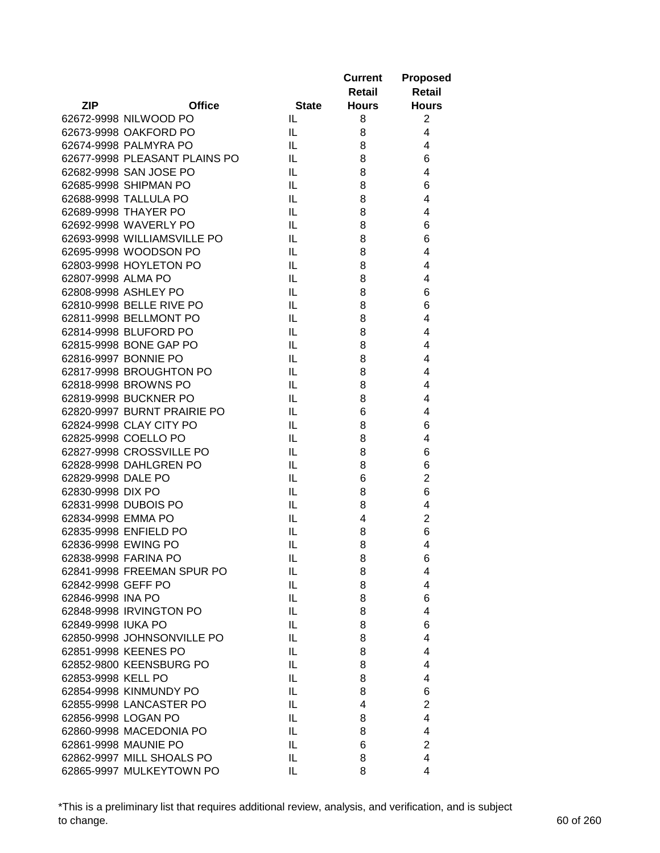|                     |                               |              | <b>Current</b> | <b>Proposed</b> |
|---------------------|-------------------------------|--------------|----------------|-----------------|
|                     |                               |              | <b>Retail</b>  | Retail          |
| <b>ZIP</b>          | <b>Office</b>                 | <b>State</b> | <b>Hours</b>   | <b>Hours</b>    |
|                     | 62672-9998 NILWOOD PO         | IL.          | 8              | $\overline{2}$  |
|                     | 62673-9998 OAKFORD PO         | IL           | 8              | $\overline{4}$  |
|                     | 62674-9998 PALMYRA PO         | IL           | 8              | 4               |
|                     | 62677-9998 PLEASANT PLAINS PO | IL           | 8              | 6               |
|                     | 62682-9998 SAN JOSE PO        | IL           | 8              | 4               |
|                     | 62685-9998 SHIPMAN PO         | IL           | 8              | 6               |
|                     | 62688-9998 TALLULA PO         | IL           | 8              | 4               |
|                     | 62689-9998 THAYER PO          | IL           | 8              | 4               |
|                     | 62692-9998 WAVERLY PO         | IL           | 8              | 6               |
|                     | 62693-9998 WILLIAMSVILLE PO   | IL           | 8              | 6               |
|                     | 62695-9998 WOODSON PO         | IL           | 8              | 4               |
|                     | 62803-9998 HOYLETON PO        | IL           | 8              | 4               |
| 62807-9998 ALMA PO  |                               | IL           | 8              | 4               |
|                     | 62808-9998 ASHLEY PO          | IL           | 8              | 6               |
|                     | 62810-9998 BELLE RIVE PO      | IL           | 8              | 6               |
|                     | 62811-9998 BELLMONT PO        | IL.          | 8              | 4               |
|                     | 62814-9998 BLUFORD PO         | IL           | 8              | 4               |
|                     | 62815-9998 BONE GAP PO        | IL           | 8              | 4               |
|                     | 62816-9997 BONNIE PO          | IL           | 8              | 4               |
|                     | 62817-9998 BROUGHTON PO       | IL           | 8              | 4               |
|                     | 62818-9998 BROWNS PO          | IL           | 8              | 4               |
|                     | 62819-9998 BUCKNER PO         | IL           | 8              | 4               |
|                     | 62820-9997 BURNT PRAIRIE PO   | IL           | 6              | 4               |
|                     | 62824-9998 CLAY CITY PO       | IL           | 8              | 6               |
|                     | 62825-9998 COELLO PO          | IL           | 8              | 4               |
|                     | 62827-9998 CROSSVILLE PO      | IL           | 8              | 6               |
|                     | 62828-9998 DAHLGREN PO        | IL           | 8              | 6               |
| 62829-9998 DALE PO  |                               | IL           | 6              | $\overline{2}$  |
| 62830-9998 DIX PO   |                               | IL           | 8              | 6               |
|                     | 62831-9998 DUBOIS PO          | IL.          | 8              | 4               |
| 62834-9998 EMMA PO  |                               | IL           | 4              | $\overline{2}$  |
|                     | 62835-9998 ENFIELD PO         | IL           | 8              | 6               |
| 62836-9998 EWING PO |                               | IL           | 8              | 4               |
|                     | 62838-9998 FARINA PO          | IL           | 8              | 6               |
|                     | 62841-9998 FREEMAN SPUR PO    | IL           | 8              | 4               |
| 62842-9998 GEFF PO  |                               | IL           | 8              | $\overline{4}$  |
| 62846-9998 INA PO   |                               | IL           | 8              | 6               |
|                     | 62848-9998 IRVINGTON PO       | IL           | 8              | $\overline{4}$  |
| 62849-9998 IUKA PO  |                               | IL           | 8              | 6               |
|                     | 62850-9998 JOHNSONVILLE PO    | IL           | 8              | 4               |
|                     | 62851-9998 KEENES PO          | IL           | 8              | 4               |
|                     | 62852-9800 KEENSBURG PO       | IL           | 8              | 4               |
| 62853-9998 KELL PO  |                               | IL           | 8              | 4               |
|                     | 62854-9998 KINMUNDY PO        | IL           | 8              | 6               |
|                     | 62855-9998 LANCASTER PO       | IL           | 4              | $\overline{2}$  |
| 62856-9998 LOGAN PO |                               | IL           | 8              | 4               |
|                     | 62860-9998 MACEDONIA PO       | IL           |                | 4               |
|                     |                               |              | 8              |                 |
|                     | 62861-9998 MAUNIE PO          | IL           | 6              | $\overline{2}$  |
|                     | 62862-9997 MILL SHOALS PO     | IL           | 8              | 4               |
|                     | 62865-9997 MULKEYTOWN PO      | IL           | 8              | 4               |

\*This is a preliminary list that requires additional review, analysis, and verification, and is subject to change. 60 of 260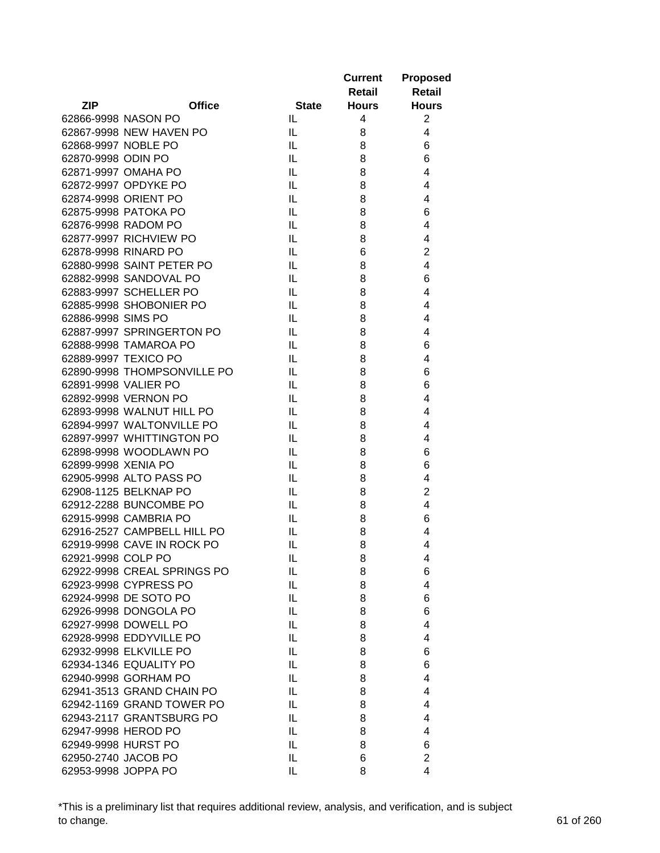|                     |                             |              | <b>Current</b> | <b>Proposed</b>         |
|---------------------|-----------------------------|--------------|----------------|-------------------------|
|                     |                             |              | Retail         | <b>Retail</b>           |
| <b>ZIP</b>          | <b>Office</b>               | <b>State</b> | <b>Hours</b>   | <b>Hours</b>            |
|                     | 62866-9998 NASON PO         | IL.          | 4              | $\overline{2}$          |
|                     | 62867-9998 NEW HAVEN PO     | IL           | 8              | 4                       |
|                     | 62868-9997 NOBLE PO         | IL           | 8              | 6                       |
| 62870-9998 ODIN PO  |                             | IL           | 8              | 6                       |
|                     | 62871-9997 OMAHA PO         | IL.          | 8              | $\overline{4}$          |
|                     | 62872-9997 OPDYKE PO        | IL           | 8              | $\overline{4}$          |
|                     | 62874-9998 ORIENT PO        | IL           | 8              | 4                       |
|                     | 62875-9998 PATOKA PO        | IL           | 8              | 6                       |
|                     | 62876-9998 RADOM PO         | IL           | 8              | $\overline{4}$          |
|                     | 62877-9997 RICHVIEW PO      | IL           | 8              | 4                       |
|                     | 62878-9998 RINARD PO        | IL           | 6              | $\mathbf 2$             |
|                     | 62880-9998 SAINT PETER PO   | IL           | 8              | 4                       |
|                     | 62882-9998 SANDOVAL PO      | IL           | 8              | 6                       |
|                     | 62883-9997 SCHELLER PO      | IL.          | 8              | 4                       |
|                     | 62885-9998 SHOBONIER PO     | IL.          | 8              | 4                       |
| 62886-9998 SIMS PO  |                             | IL.          | 8              | 4                       |
|                     | 62887-9997 SPRINGERTON PO   | IL           | 8              | 4                       |
|                     | 62888-9998 TAMAROA PO       | IL           | 8              | 6                       |
|                     | 62889-9997 TEXICO PO        | IL           | 8              | $\overline{4}$          |
|                     | 62890-9998 THOMPSONVILLE PO | IL           | 8              | 6                       |
|                     | 62891-9998 VALIER PO        | IL           | 8              | 6                       |
|                     | 62892-9998 VERNON PO        | IL           | 8              | $\overline{4}$          |
|                     | 62893-9998 WALNUT HILL PO   | IL           | 8              | $\overline{4}$          |
|                     | 62894-9997 WALTONVILLE PO   | IL           | 8              | $\overline{4}$          |
|                     | 62897-9997 WHITTINGTON PO   | IL           | 8              | 4                       |
|                     | 62898-9998 WOODLAWN PO      | IL           | 8              | 6                       |
| 62899-9998 XENIA PO |                             | IL           | 8              | 6                       |
|                     | 62905-9998 ALTO PASS PO     | IL           | 8              | 4                       |
|                     | 62908-1125 BELKNAP PO       | IL           | 8              | $\mathbf 2$             |
|                     | 62912-2288 BUNCOMBE PO      | IL           | 8              | $\overline{\mathbf{4}}$ |
|                     | 62915-9998 CAMBRIA PO       | IL           | 8              | 6                       |
|                     | 62916-2527 CAMPBELL HILL PO | IL.          | 8              | 4                       |
|                     | 62919-9998 CAVE IN ROCK PO  | IL           | 8              | 4                       |
| 62921-9998 COLP PO  |                             | IL           | 8              | 4                       |
|                     | 62922-9998 CREAL SPRINGS PO | IL           | 8              | 6                       |
|                     | 62923-9998 CYPRESS PO       | IL           | 8              | $\overline{4}$          |
|                     | 62924-9998 DE SOTO PO       | IL           | 8              | 6                       |
|                     | 62926-9998 DONGOLA PO       | IL           | 8              | 6                       |
|                     | 62927-9998 DOWELL PO        | IL           | 8              | 4                       |
|                     | 62928-9998 EDDYVILLE PO     | IL           | 8              | 4                       |
|                     | 62932-9998 ELKVILLE PO      | IL           | 8              | 6                       |
|                     | 62934-1346 EQUALITY PO      | IL           | 8              | 6                       |
|                     | 62940-9998 GORHAM PO        | IL           | 8              | 4                       |
|                     | 62941-3513 GRAND CHAIN PO   | IL           | 8              | 4                       |
|                     |                             |              |                |                         |
|                     | 62942-1169 GRAND TOWER PO   | IL           | 8              | 4                       |
|                     | 62943-2117 GRANTSBURG PO    | IL           | 8              | 4                       |
|                     | 62947-9998 HEROD PO         | IL           | 8              | 4                       |
|                     | 62949-9998 HURST PO         | IL           | 8              | 6                       |
|                     | 62950-2740 JACOB PO         | IL.          | 6              | $\overline{2}$          |
| 62953-9998 JOPPA PO |                             | IL           | 8              | 4                       |

\*This is a preliminary list that requires additional review, analysis, and verification, and is subject to change. 61 of 260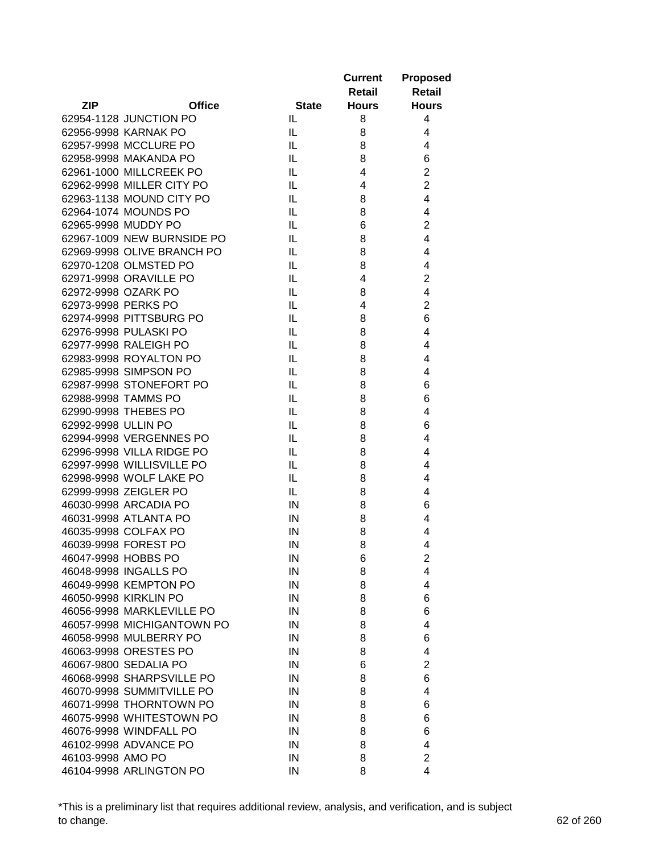|                             |              | <b>Current</b> | <b>Proposed</b> |
|-----------------------------|--------------|----------------|-----------------|
|                             |              | Retail         | <b>Retail</b>   |
| <b>ZIP</b><br><b>Office</b> | <b>State</b> | <b>Hours</b>   | <b>Hours</b>    |
| 62954-1128 JUNCTION PO      | IL.          | 8              | 4               |
| 62956-9998 KARNAK PO        | IL           | 8              | 4               |
| 62957-9998 MCCLURE PO       | IL           | 8              | 4               |
| 62958-9998 MAKANDA PO       | IL           | 8              | 6               |
| 62961-1000 MILLCREEK PO     | IL           | 4              | $\overline{2}$  |
| 62962-9998 MILLER CITY PO   | IL           | 4              | $\overline{c}$  |
| 62963-1138 MOUND CITY PO    | IL           | 8              | 4               |
| 62964-1074 MOUNDS PO        | IL           | 8              | 4               |
| 62965-9998 MUDDY PO         | IL           | 6              | $\overline{2}$  |
| 62967-1009 NEW BURNSIDE PO  | IL           | 8              | 4               |
| 62969-9998 OLIVE BRANCH PO  | IL           | 8              | 4               |
| 62970-1208 OLMSTED PO       | IL           | 8              | 4               |
| 62971-9998 ORAVILLE PO      | IL           | 4              | $\overline{2}$  |
| 62972-9998 OZARK PO         | IL           | 8              | 4               |
| 62973-9998 PERKS PO         | IL           | 4              | $\overline{c}$  |
| 62974-9998 PITTSBURG PO     | IL           | 8              | 6               |
| 62976-9998 PULASKI PO       | IL           | 8              | 4               |
| 62977-9998 RALEIGH PO       | IL           | 8              | 4               |
| 62983-9998 ROYALTON PO      | IL           | 8              | 4               |
| 62985-9998 SIMPSON PO       | IL           | 8              | 4               |
| 62987-9998 STONEFORT PO     | IL           | 8              | 6               |
| 62988-9998 TAMMS PO         | IL           | 8              | 6               |
| 62990-9998 THEBES PO        | IL           | 8              | 4               |
| 62992-9998 ULLIN PO         | IL           | 8              | 6               |
| 62994-9998 VERGENNES PO     | IL           | 8              | 4               |
| 62996-9998 VILLA RIDGE PO   | IL           | 8              | 4               |
| 62997-9998 WILLISVILLE PO   | IL           | 8              | 4               |
| 62998-9998 WOLF LAKE PO     | IL           | 8              | 4               |
| 62999-9998 ZEIGLER PO       | IL           | 8              | 4               |
| 46030-9998 ARCADIA PO       | $\sf IN$     |                | 6               |
| 46031-9998 ATLANTA PO       | IN           | 8<br>8         | 4               |
| 46035-9998 COLFAX PO        |              |                | 4               |
| 46039-9998 FOREST PO        | IN           | 8<br>8         | 4               |
|                             | IN           |                | $\overline{c}$  |
| 46047-9998 HOBBS PO         | ${\sf IN}$   | 6              |                 |
| 46048-9998 INGALLS PO       | IN           | 8              | 4               |
| 46049-9998 KEMPTON PO       | $\sf IN$     | 8              | 4               |
| 46050-9998 KIRKLIN PO       | IN           | 8              | 6               |
| 46056-9998 MARKLEVILLE PO   | IN           | 8              | 6               |
| 46057-9998 MICHIGANTOWN PO  | IN           | 8              | 4               |
| 46058-9998 MULBERRY PO      | IN           | 8              | 6               |
| 46063-9998 ORESTES PO       | IN           | 8              | 4               |
| 46067-9800 SEDALIA PO       | IN           | 6              | $\overline{2}$  |
| 46068-9998 SHARPSVILLE PO   | IN           | 8              | 6               |
| 46070-9998 SUMMITVILLE PO   | IN           | 8              | 4               |
| 46071-9998 THORNTOWN PO     | IN           | 8              | 6               |
| 46075-9998 WHITESTOWN PO    | IN           | 8              | 6               |
| 46076-9998 WINDFALL PO      | IN           | 8              | 6               |
| 46102-9998 ADVANCE PO       | IN           | 8              | 4               |
| 46103-9998 AMO PO           | IN           | 8              | $\overline{2}$  |
| 46104-9998 ARLINGTON PO     | IN           | 8              | 4               |

\*This is a preliminary list that requires additional review, analysis, and verification, and is subject to change. 62 of 260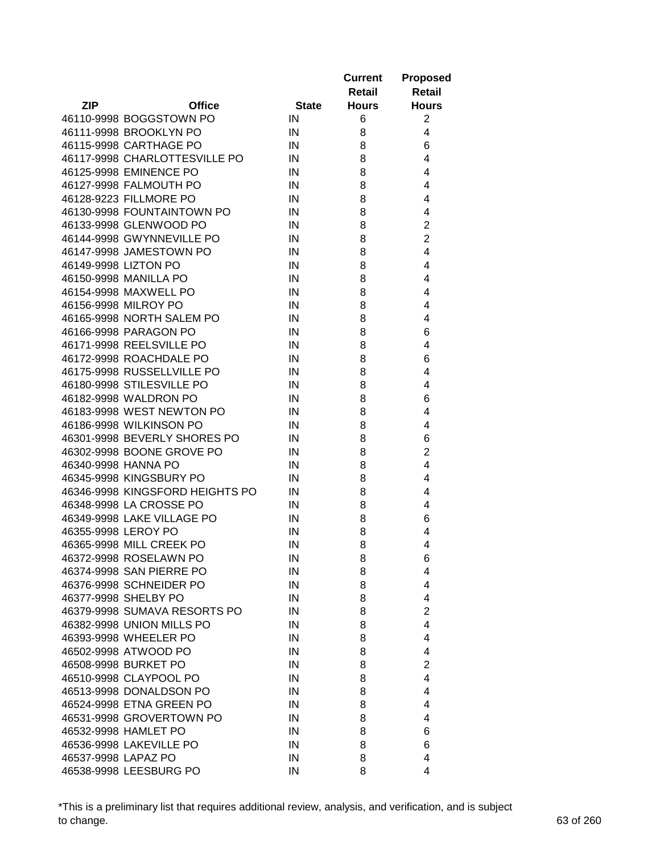|                                 |              | <b>Current</b> | <b>Proposed</b> |
|---------------------------------|--------------|----------------|-----------------|
|                                 |              | Retail         | <b>Retail</b>   |
| <b>ZIP</b><br><b>Office</b>     | <b>State</b> | <b>Hours</b>   | <b>Hours</b>    |
| 46110-9998 BOGGSTOWN PO         | IN           | 6              | $\overline{2}$  |
| 46111-9998 BROOKLYN PO          | IN           | 8              | 4               |
| 46115-9998 CARTHAGE PO          | IN           | 8              | 6               |
| 46117-9998 CHARLOTTESVILLE PO   | IN           | 8              | 4               |
| 46125-9998 EMINENCE PO          | IN           | 8              | 4               |
| 46127-9998 FALMOUTH PO          | IN           | 8              | 4               |
| 46128-9223 FILLMORE PO          | IN           | 8              | 4               |
| 46130-9998 FOUNTAINTOWN PO      | IN           | 8              | 4               |
| 46133-9998 GLENWOOD PO          | IN           | 8              | $\overline{c}$  |
| 46144-9998 GWYNNEVILLE PO       | IN           | 8              | $\overline{c}$  |
| 46147-9998 JAMESTOWN PO         | IN           | 8              | 4               |
| 46149-9998 LIZTON PO            | IN           | 8              | 4               |
| 46150-9998 MANILLA PO           | IN           | 8              | 4               |
| 46154-9998 MAXWELL PO           | IN           | 8              | 4               |
| 46156-9998 MILROY PO            | IN           | 8              | 4               |
| 46165-9998 NORTH SALEM PO       | IN           | 8              | 4               |
| 46166-9998 PARAGON PO           | IN           | 8              | 6               |
| 46171-9998 REELSVILLE PO        | IN           | 8              | 4               |
| 46172-9998 ROACHDALE PO         | IN           | 8              | 6               |
| 46175-9998 RUSSELLVILLE PO      | IN           | 8              | 4               |
| 46180-9998 STILESVILLE PO       | IN           | 8              | 4               |
| 46182-9998 WALDRON PO           | IN           | 8              | 6               |
| 46183-9998 WEST NEWTON PO       | IN           | 8              | 4               |
| 46186-9998 WILKINSON PO         | IN           | 8              | 4               |
| 46301-9998 BEVERLY SHORES PO    | IN           | 8              | 6               |
| 46302-9998 BOONE GROVE PO       | IN           | 8              | $\overline{2}$  |
| 46340-9998 HANNA PO             | IN           | 8              | 4               |
| 46345-9998 KINGSBURY PO         | IN           | 8              | 4               |
| 46346-9998 KINGSFORD HEIGHTS PO | IN           | 8              | 4               |
| 46348-9998 LA CROSSE PO         | IN           | 8              | 4               |
| 46349-9998 LAKE VILLAGE PO      | IN           | 8              | 6               |
| 46355-9998 LEROY PO             | IN           | 8              | 4               |
| 46365-9998 MILL CREEK PO        | IN           | 8              | 4               |
| 46372-9998 ROSELAWN PO          | ${\sf IN}$   | 8              | 6               |
| 46374-9998 SAN PIERRE PO        | IN           | 8              | 4               |
| 46376-9998 SCHNEIDER PO         | IN           | 8              | 4               |
| 46377-9998 SHELBY PO            | IN           | 8              | 4               |
| 46379-9998 SUMAVA RESORTS PO    | IN           | 8              | $\overline{2}$  |
| 46382-9998 UNION MILLS PO       | IN           | 8              | 4               |
| 46393-9998 WHEELER PO           |              |                | 4               |
|                                 | IN           | 8              |                 |
| 46502-9998 ATWOOD PO            | IN           | 8              | 4               |
| 46508-9998 BURKET PO            | IN           | 8              | $\overline{2}$  |
| 46510-9998 CLAYPOOL PO          | IN           | 8              | 4               |
| 46513-9998 DONALDSON PO         | IN           | 8              | 4               |
| 46524-9998 ETNA GREEN PO        | IN           | 8              | 4               |
| 46531-9998 GROVERTOWN PO        | IN           | 8              | 4               |
| 46532-9998 HAMLET PO            | IN           | 8              | 6               |
| 46536-9998 LAKEVILLE PO         | IN           | 8              | 6               |
| 46537-9998 LAPAZ PO             | IN           | 8              | 4               |
| 46538-9998 LEESBURG PO          | IN           | 8              | 4               |

\*This is a preliminary list that requires additional review, analysis, and verification, and is subject to change. 63 of 260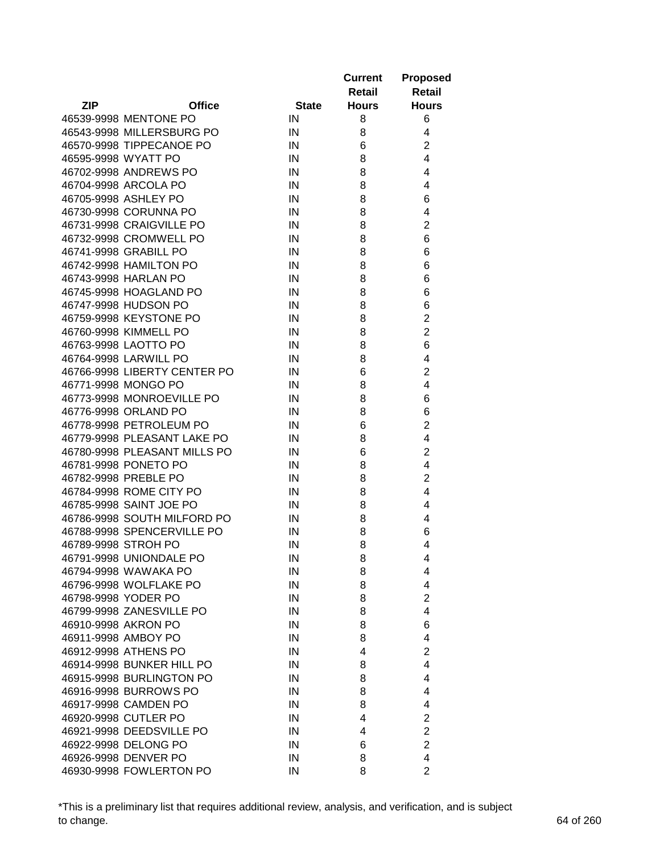|                              |              | <b>Current</b><br>Retail | <b>Proposed</b><br><b>Retail</b> |
|------------------------------|--------------|--------------------------|----------------------------------|
| <b>ZIP</b><br><b>Office</b>  | <b>State</b> | <b>Hours</b>             | <b>Hours</b>                     |
| 46539-9998 MENTONE PO        | IN           | 8                        | 6                                |
| 46543-9998 MILLERSBURG PO    | IN           | 8                        | 4                                |
| 46570-9998 TIPPECANOE PO     | IN           | 6                        | $\overline{2}$                   |
| 46595-9998 WYATT PO          | IN           | 8                        | $\overline{4}$                   |
| 46702-9998 ANDREWS PO        | IN           | 8                        | 4                                |
| 46704-9998 ARCOLA PO         | IN           | 8                        | 4                                |
| 46705-9998 ASHLEY PO         | IN           | 8                        | 6                                |
| 46730-9998 CORUNNA PO        | IN           | 8                        | 4                                |
| 46731-9998 CRAIGVILLE PO     | IN           | 8                        | $\overline{2}$                   |
| 46732-9998 CROMWELL PO       | IN           | 8                        | 6                                |
| 46741-9998 GRABILL PO        | IN           | 8                        | 6                                |
| 46742-9998 HAMILTON PO       | IN           | 8                        | 6                                |
| 46743-9998 HARLAN PO         | IN           | 8                        | 6                                |
| 46745-9998 HOAGLAND PO       | IN           | 8                        | 6                                |
| 46747-9998 HUDSON PO         | IN           | 8                        | 6                                |
| 46759-9998 KEYSTONE PO       | IN           | 8                        | $\overline{\mathbf{c}}$          |
| 46760-9998 KIMMELL PO        | IN           | 8                        | $\overline{2}$                   |
| 46763-9998 LAOTTO PO         | IN           | 8                        | 6                                |
| 46764-9998 LARWILL PO        | IN           | 8                        | 4                                |
| 46766-9998 LIBERTY CENTER PO | IN           | 6                        | $\overline{2}$                   |
| 46771-9998 MONGO PO          | IN           | 8                        | $\overline{4}$                   |
| 46773-9998 MONROEVILLE PO    | IN           | 8                        | 6                                |
| 46776-9998 ORLAND PO         | IN           | 8                        | 6                                |
| 46778-9998 PETROLEUM PO      | IN           | 6                        | $\overline{2}$                   |
| 46779-9998 PLEASANT LAKE PO  | IN           | 8                        | $\overline{4}$                   |
| 46780-9998 PLEASANT MILLS PO | IN           | 6                        | 2                                |
| 46781-9998 PONETO PO         | IN           | 8                        | 4                                |
| 46782-9998 PREBLE PO         | IN           | 8                        | $\overline{2}$                   |
| 46784-9998 ROME CITY PO      | IN           | 8                        | 4                                |
| 46785-9998 SAINT JOE PO      | IN           | 8                        | 4                                |
| 46786-9998 SOUTH MILFORD PO  | IN           | 8                        | 4                                |
| 46788-9998 SPENCERVILLE PO   | IN           | 8                        | 6                                |
| 46789-9998 STROH PO          | IN           | 8                        | 4                                |
| 46791-9998 UNIONDALE PO      | IN           | 8                        | 4                                |
| 46794-9998 WAWAKA PO         | IN           | 8                        | 4                                |
| 46796-9998 WOLFLAKE PO       | IN           | 8                        | 4                                |
| 46798-9998 YODER PO          | IN           | 8                        | $\overline{c}$                   |
| 46799-9998 ZANESVILLE PO     | IN           | 8                        | $\overline{4}$                   |
| 46910-9998 AKRON PO          | IN           | 8                        | 6                                |
| 46911-9998 AMBOY PO          | IN           | 8                        | 4                                |
| 46912-9998 ATHENS PO         | IN           | 4                        | $\overline{2}$                   |
| 46914-9998 BUNKER HILL PO    | IN           | 8                        | 4                                |
| 46915-9998 BURLINGTON PO     |              |                          | 4                                |
| 46916-9998 BURROWS PO        | IN           | 8                        | 4                                |
|                              | IN           | 8                        |                                  |
| 46917-9998 CAMDEN PO         | IN           | 8                        | 4                                |
| 46920-9998 CUTLER PO         | IN           | 4                        | 2                                |
| 46921-9998 DEEDSVILLE PO     | IN           | 4                        | $\overline{2}$                   |
| 46922-9998 DELONG PO         | IN           | 6                        | $\overline{2}$                   |
| 46926-9998 DENVER PO         | IN           | 8                        | 4                                |
| 46930-9998 FOWLERTON PO      | IN           | 8                        | $\overline{2}$                   |

\*This is a preliminary list that requires additional review, analysis, and verification, and is subject to change. 64 of 260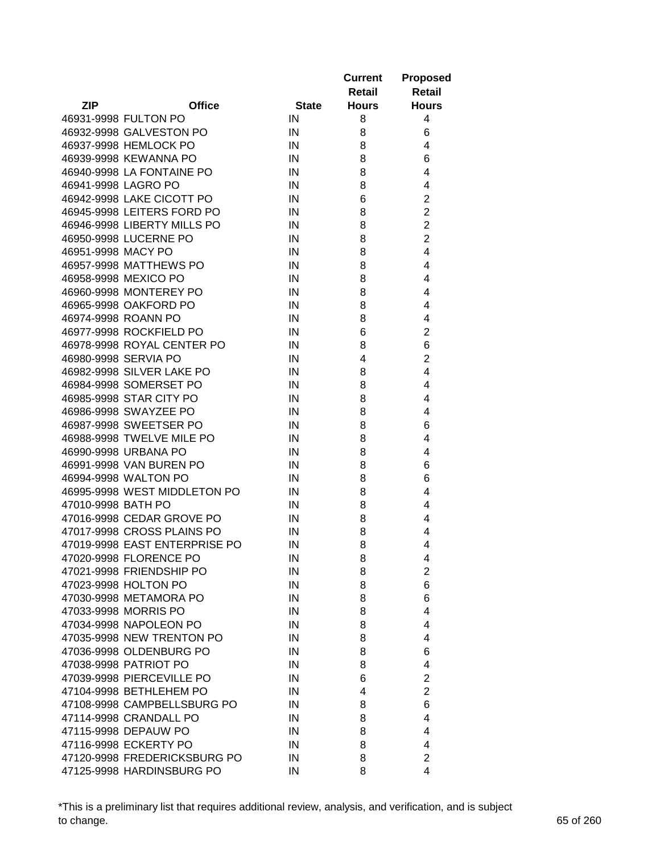|                    |                               |              | <b>Current</b><br>Retail | <b>Proposed</b><br><b>Retail</b> |
|--------------------|-------------------------------|--------------|--------------------------|----------------------------------|
| <b>ZIP</b>         | <b>Office</b>                 | <b>State</b> | <b>Hours</b>             | <b>Hours</b>                     |
|                    | 46931-9998 FULTON PO          | IN           | 8                        | 4                                |
|                    | 46932-9998 GALVESTON PO       | IN           | 8                        | 6                                |
|                    | 46937-9998 HEMLOCK PO         | IN           | 8                        | 4                                |
|                    | 46939-9998 KEWANNA PO         | IN           | 8                        | 6                                |
|                    | 46940-9998 LA FONTAINE PO     | IN           | 8                        | 4                                |
|                    | 46941-9998 LAGRO PO           | IN           | 8                        | 4                                |
|                    | 46942-9998 LAKE CICOTT PO     | IN           | 6                        | $\overline{2}$                   |
|                    | 46945-9998 LEITERS FORD PO    | IN           | 8                        | $\overline{2}$                   |
|                    | 46946-9998 LIBERTY MILLS PO   | IN           | 8                        | $\overline{2}$                   |
|                    | 46950-9998 LUCERNE PO         | IN           | 8                        | $\overline{2}$                   |
| 46951-9998 MACY PO |                               | IN           | 8                        | 4                                |
|                    | 46957-9998 MATTHEWS PO        | IN           | 8                        | 4                                |
|                    | 46958-9998 MEXICO PO          | IN           | 8                        | 4                                |
|                    | 46960-9998 MONTEREY PO        | IN           | 8                        | 4                                |
|                    | 46965-9998 OAKFORD PO         | IN           | 8                        | 4                                |
|                    | 46974-9998 ROANN PO           | IN           | 8                        | 4                                |
|                    | 46977-9998 ROCKFIELD PO       | IN           | 6                        | $\overline{2}$                   |
|                    | 46978-9998 ROYAL CENTER PO    | IN           | 8                        | 6                                |
|                    | 46980-9998 SERVIA PO          | IN           | 4                        | $\overline{c}$                   |
|                    | 46982-9998 SILVER LAKE PO     | IN           | 8                        | 4                                |
|                    | 46984-9998 SOMERSET PO        | IN           | 8                        | 4                                |
|                    | 46985-9998 STAR CITY PO       | IN           | 8                        | 4                                |
|                    | 46986-9998 SWAYZEE PO         | IN           | 8                        | 4                                |
|                    | 46987-9998 SWEETSER PO        | IN           | 8                        | 6                                |
|                    | 46988-9998 TWELVE MILE PO     | IN           | 8                        | 4                                |
|                    | 46990-9998 URBANA PO          | IN           | 8                        | 4                                |
|                    | 46991-9998 VAN BUREN PO       | IN           | 8                        | 6                                |
|                    | 46994-9998 WALTON PO          | IN           | 8                        | 6                                |
|                    | 46995-9998 WEST MIDDLETON PO  | IN           | 8                        | 4                                |
| 47010-9998 BATH PO |                               | IN           | 8                        | 4                                |
|                    | 47016-9998 CEDAR GROVE PO     | IN           | 8                        | 4                                |
|                    | 47017-9998 CROSS PLAINS PO    | IN           | 8                        | 4                                |
|                    | 47019-9998 EAST ENTERPRISE PO | IN           | 8                        | 4                                |
|                    | 47020-9998 FLORENCE PO        | IN           | 8                        | 4                                |
|                    | 47021-9998 FRIENDSHIP PO      | IN           | 8                        | $\overline{2}$                   |
|                    | 47023-9998 HOLTON PO          | IN           | 8                        | 6                                |
|                    | 47030-9998 METAMORA PO        | IN           | 8                        | 6                                |
|                    | 47033-9998 MORRIS PO          | IN           | 8                        | 4                                |
|                    | 47034-9998 NAPOLEON PO        | IN           | 8                        | 4                                |
|                    | 47035-9998 NEW TRENTON PO     | IN           | 8                        | 4                                |
|                    | 47036-9998 OLDENBURG PO       | IN           | 8                        | 6                                |
|                    | 47038-9998 PATRIOT PO         | IN           | 8                        | 4                                |
|                    | 47039-9998 PIERCEVILLE PO     | IN           | 6                        | $\overline{2}$                   |
|                    | 47104-9998 BETHLEHEM PO       | IN           | 4                        | $\overline{2}$                   |
|                    | 47108-9998 CAMPBELLSBURG PO   | IN           | 8                        | 6                                |
|                    | 47114-9998 CRANDALL PO        | IN           | 8                        | 4                                |
|                    | 47115-9998 DEPAUW PO          | IN           | 8                        | 4                                |
|                    | 47116-9998 ECKERTY PO         | IN           | 8                        | 4                                |
|                    | 47120-9998 FREDERICKSBURG PO  | IN           | 8                        | $\overline{c}$                   |
|                    | 47125-9998 HARDINSBURG PO     | IN           | 8                        | 4                                |

\*This is a preliminary list that requires additional review, analysis, and verification, and is subject to change. 65 of 260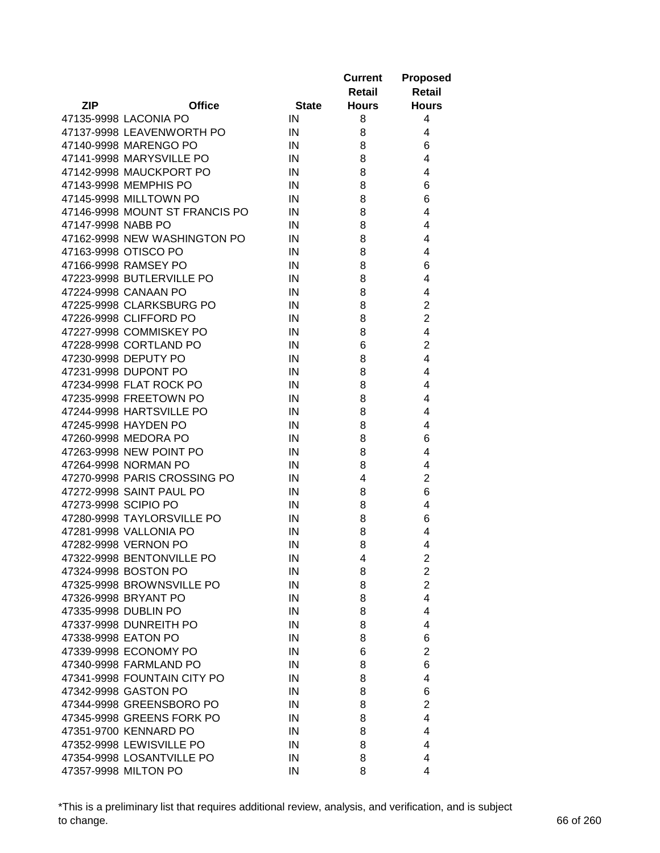|                      |                                |              | <b>Current</b> | <b>Proposed</b>         |
|----------------------|--------------------------------|--------------|----------------|-------------------------|
|                      |                                |              | Retail         | Retail                  |
| <b>ZIP</b>           | <b>Office</b>                  | <b>State</b> | <b>Hours</b>   | <b>Hours</b>            |
|                      | 47135-9998 LACONIA PO          | IN           | 8              | 4                       |
|                      | 47137-9998 LEAVENWORTH PO      | $\sf IN$     | 8              | 4                       |
|                      | 47140-9998 MARENGO PO          | IN           | 8              | 6                       |
|                      | 47141-9998 MARYSVILLE PO       | IN           | 8              | 4                       |
|                      | 47142-9998 MAUCKPORT PO        | IN           | 8              | 4                       |
|                      | 47143-9998 MEMPHIS PO          | IN           | 8              | 6                       |
|                      | 47145-9998 MILLTOWN PO         | IN           | 8              | 6                       |
|                      | 47146-9998 MOUNT ST FRANCIS PO | IN           | 8              | 4                       |
| 47147-9998 NABB PO   |                                | IN           | 8              | 4                       |
|                      | 47162-9998 NEW WASHINGTON PO   | IN           | 8              | 4                       |
|                      | 47163-9998 OTISCO PO           | IN           | 8              | 4                       |
|                      | 47166-9998 RAMSEY PO           | IN           | 8              | 6                       |
|                      | 47223-9998 BUTLERVILLE PO      | IN           | 8              | 4                       |
|                      | 47224-9998 CANAAN PO           | IN           | 8              | 4                       |
|                      | 47225-9998 CLARKSBURG PO       | IN           | 8              | $\overline{c}$          |
|                      | 47226-9998 CLIFFORD PO         | IN           | 8              | $\overline{2}$          |
|                      | 47227-9998 COMMISKEY PO        | IN           | 8              | 4                       |
|                      | 47228-9998 CORTLAND PO         | $\sf IN$     | 6              | $\overline{2}$          |
|                      | 47230-9998 DEPUTY PO           | $\sf IN$     | 8              | $\overline{4}$          |
|                      | 47231-9998 DUPONT PO           | $\sf IN$     | 8              | 4                       |
|                      | 47234-9998 FLAT ROCK PO        | $\sf IN$     | 8              | 4                       |
|                      | 47235-9998 FREETOWN PO         | IN           | 8              | 4                       |
|                      | 47244-9998 HARTSVILLE PO       | IN           | 8              | 4                       |
|                      | 47245-9998 HAYDEN PO           | IN           | 8              | 4                       |
|                      | 47260-9998 MEDORA PO           | IN           | 8              | 6                       |
|                      | 47263-9998 NEW POINT PO        | IN           | 8              | 4                       |
|                      | 47264-9998 NORMAN PO           | IN           | 8              | 4                       |
|                      | 47270-9998 PARIS CROSSING PO   | IN           | 4              | $\overline{2}$          |
|                      | 47272-9998 SAINT PAUL PO       | IN           | 8              | 6                       |
| 47273-9998 SCIPIO PO |                                | IN           | 8              | 4                       |
|                      | 47280-9998 TAYLORSVILLE PO     | IN           | 8              | 6                       |
|                      | 47281-9998 VALLONIA PO         | IN           | 8              | 4                       |
|                      | 47282-9998 VERNON PO           | IN           | 8              | 4                       |
|                      | 47322-9998 BENTONVILLE PO      | IN           | 4              | $\overline{c}$          |
|                      | 47324-9998 BOSTON PO           | IN           | 8              | $\overline{\mathbf{c}}$ |
|                      | 47325-9998 BROWNSVILLE PO      | IN           | 8              | $\overline{c}$          |
|                      | 47326-9998 BRYANT PO           | IN           | 8              | $\overline{4}$          |
|                      | 47335-9998 DUBLIN PO           | IN           | 8              | 4                       |
|                      | 47337-9998 DUNREITH PO         | IN           | 8              | 4                       |
| 47338-9998 EATON PO  |                                | IN           | 8              | 6                       |
|                      | 47339-9998 ECONOMY PO          | IN           | 6              | $\overline{2}$          |
|                      | 47340-9998 FARMLAND PO         | IN           | 8              | 6                       |
|                      | 47341-9998 FOUNTAIN CITY PO    | IN           | 8              | 4                       |
|                      | 47342-9998 GASTON PO           | IN           | 8              | 6                       |
|                      |                                |              |                | $\overline{2}$          |
|                      | 47344-9998 GREENSBORO PO       | IN           | 8              |                         |
|                      | 47345-9998 GREENS FORK PO      | IN           | 8              | 4                       |
|                      | 47351-9700 KENNARD PO          | IN           | 8              | 4                       |
|                      | 47352-9998 LEWISVILLE PO       | IN           | 8              | 4                       |
|                      | 47354-9998 LOSANTVILLE PO      | IN           | 8              | 4                       |
|                      | 47357-9998 MILTON PO           | IN           | 8              | 4                       |

\*This is a preliminary list that requires additional review, analysis, and verification, and is subject to change. 66 of 260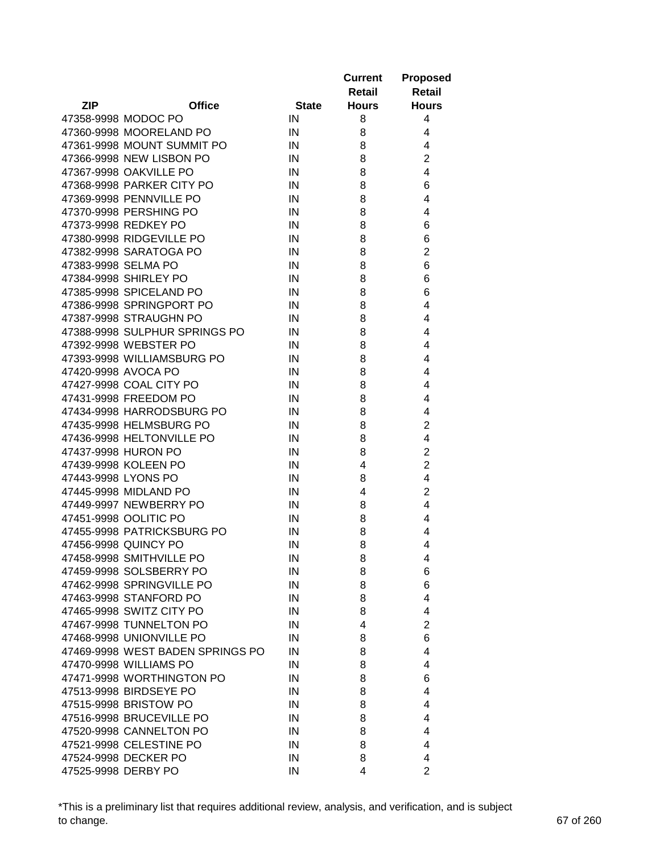|            |                                  |              | <b>Current</b><br>Retail | <b>Proposed</b><br><b>Retail</b> |
|------------|----------------------------------|--------------|--------------------------|----------------------------------|
| <b>ZIP</b> | <b>Office</b>                    | <b>State</b> | <b>Hours</b>             | <b>Hours</b>                     |
|            | 47358-9998 MODOC PO              | IN           | 8                        | 4                                |
|            | 47360-9998 MOORELAND PO          | IN           | 8                        | 4                                |
|            | 47361-9998 MOUNT SUMMIT PO       | IN           | 8                        | 4                                |
|            | 47366-9998 NEW LISBON PO         | IN           | 8                        | $\overline{2}$                   |
|            | 47367-9998 OAKVILLE PO           | IN           | 8                        | $\overline{4}$                   |
|            | 47368-9998 PARKER CITY PO        | IN           | 8                        | 6                                |
|            | 47369-9998 PENNVILLE PO          | IN           | 8                        | 4                                |
|            | 47370-9998 PERSHING PO           | IN           | 8                        | 4                                |
|            | 47373-9998 REDKEY PO             | IN           | 8                        | 6                                |
|            | 47380-9998 RIDGEVILLE PO         | IN           | 8                        | 6                                |
|            | 47382-9998 SARATOGA PO           | IN           | 8                        | $\overline{2}$                   |
|            | 47383-9998 SELMA PO              | IN           | 8                        | 6                                |
|            | 47384-9998 SHIRLEY PO            | IN           | 8                        | 6                                |
|            | 47385-9998 SPICELAND PO          | IN           | 8                        | 6                                |
|            | 47386-9998 SPRINGPORT PO         | IN           | 8                        | 4                                |
|            | 47387-9998 STRAUGHN PO           | IN           | 8                        | 4                                |
|            | 47388-9998 SULPHUR SPRINGS PO    | IN           | 8                        | 4                                |
|            | 47392-9998 WEBSTER PO            | IN           | 8                        | 4                                |
|            | 47393-9998 WILLIAMSBURG PO       | IN           | 8                        | 4                                |
|            | 47420-9998 AVOCA PO              | IN           | 8                        | 4                                |
|            | 47427-9998 COAL CITY PO          | IN           | 8                        | 4                                |
|            | 47431-9998 FREEDOM PO            | IN           | 8                        | 4                                |
|            | 47434-9998 HARRODSBURG PO        | IN           | 8                        | 4                                |
|            | 47435-9998 HELMSBURG PO          | IN           | 8                        | $\overline{c}$                   |
|            | 47436-9998 HELTONVILLE PO        | IN           | 8                        | 4                                |
|            | 47437-9998 HURON PO              | IN           | 8                        | $\overline{2}$                   |
|            | 47439-9998 KOLEEN PO             | IN           | 4                        | $\overline{2}$                   |
|            | 47443-9998 LYONS PO              | IN           | 8                        | 4                                |
|            | 47445-9998 MIDLAND PO            | IN           | 4                        | $\overline{2}$                   |
|            | 47449-9997 NEWBERRY PO           | IN           | 8                        | 4                                |
|            | 47451-9998 OOLITIC PO            | IN           | 8                        | 4                                |
|            | 47455-9998 PATRICKSBURG PO       | IN           | 8                        | 4                                |
|            | 47456-9998 QUINCY PO             | IN           | 8                        | 4                                |
|            | 47458-9998 SMITHVILLE PO         | IN           | 8                        | 4                                |
|            | 47459-9998 SOLSBERRY PO          | IN           | 8                        | 6                                |
|            | 47462-9998 SPRINGVILLE PO        | IN           | 8                        | 6                                |
|            | 47463-9998 STANFORD PO           | IN           | 8                        | 4                                |
|            | 47465-9998 SWITZ CITY PO         | IN           | 8                        | 4                                |
|            | 47467-9998 TUNNELTON PO          | IN           | 4                        | $\overline{2}$                   |
|            | 47468-9998 UNIONVILLE PO         | IN           | 8                        | 6                                |
|            | 47469-9998 WEST BADEN SPRINGS PO | IN           | 8                        | 4                                |
|            | 47470-9998 WILLIAMS PO           | IN           | 8                        | 4                                |
|            | 47471-9998 WORTHINGTON PO        | IN           | 8                        | 6                                |
|            | 47513-9998 BIRDSEYE PO           | IN           | 8                        | 4                                |
|            | 47515-9998 BRISTOW PO            | IN           | 8                        | 4                                |
|            | 47516-9998 BRUCEVILLE PO         | IN           | 8                        | 4                                |
|            |                                  |              |                          |                                  |
|            | 47520-9998 CANNELTON PO          | IN           | 8                        | 4<br>4                           |
|            | 47521-9998 CELESTINE PO          | IN           | 8                        |                                  |
|            | 47524-9998 DECKER PO             | IN           | 8                        | 4                                |
|            | 47525-9998 DERBY PO              | IN           | 4                        | $\overline{2}$                   |

\*This is a preliminary list that requires additional review, analysis, and verification, and is subject to change. 67 of 260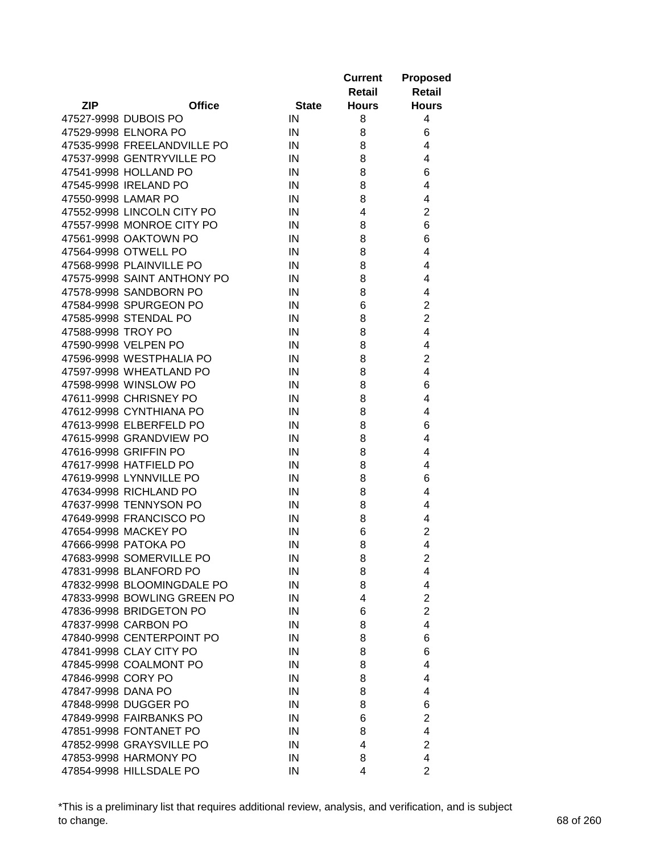|                          |                             |              | <b>Current</b><br>Retail | <b>Proposed</b><br><b>Retail</b> |
|--------------------------|-----------------------------|--------------|--------------------------|----------------------------------|
| <b>ZIP</b>               | <b>Office</b>               | <b>State</b> | <b>Hours</b>             | <b>Hours</b>                     |
| 47527-9998 DUBOIS PO     |                             | IN           | 8                        | 4                                |
| 47529-9998 ELNORA PO     |                             | IN           | 8                        | 6                                |
|                          | 47535-9998 FREELANDVILLE PO | IN           | 8                        | 4                                |
|                          | 47537-9998 GENTRYVILLE PO   | IN           | 8                        | 4                                |
| 47541-9998 HOLLAND PO    |                             | IN           | 8                        | 6                                |
| 47545-9998 IRELAND PO    |                             | IN           | 8                        | 4                                |
| 47550-9998 LAMAR PO      |                             | IN           | 8                        | 4                                |
|                          | 47552-9998 LINCOLN CITY PO  | IN           | 4                        | $\overline{2}$                   |
|                          | 47557-9998 MONROE CITY PO   | IN           | 8                        | 6                                |
| 47561-9998 OAKTOWN PO    |                             | IN           | 8                        | 6                                |
| 47564-9998 OTWELL PO     |                             | IN           | 8                        | 4                                |
| 47568-9998 PLAINVILLE PO |                             | IN           | 8                        | 4                                |
|                          | 47575-9998 SAINT ANTHONY PO | IN           | 8                        | 4                                |
| 47578-9998 SANDBORN PO   |                             | IN           | 8                        | 4                                |
| 47584-9998 SPURGEON PO   |                             | IN           | 6                        | $\overline{2}$                   |
| 47585-9998 STENDAL PO    |                             | IN           | 8                        | $\overline{2}$                   |
| 47588-9998 TROY PO       |                             | IN           | 8                        | 4                                |
| 47590-9998 VELPEN PO     |                             | IN           | 8                        | 4                                |
| 47596-9998 WESTPHALIA PO |                             | IN           | 8                        | $\overline{c}$                   |
| 47597-9998 WHEATLAND PO  |                             | IN           | 8                        | 4                                |
| 47598-9998 WINSLOW PO    |                             | IN           | 8                        | 6                                |
| 47611-9998 CHRISNEY PO   |                             | IN           | 8                        | 4                                |
| 47612-9998 CYNTHIANA PO  |                             | IN           | 8                        | 4                                |
| 47613-9998 ELBERFELD PO  |                             | IN           | 8                        | 6                                |
| 47615-9998 GRANDVIEW PO  |                             | IN           | 8                        | 4                                |
| 47616-9998 GRIFFIN PO    |                             | IN           | 8                        | 4                                |
| 47617-9998 HATFIELD PO   |                             | IN           | 8                        | 4                                |
| 47619-9998 LYNNVILLE PO  |                             | IN           | 8                        | 6                                |
| 47634-9998 RICHLAND PO   |                             | IN           | 8                        | 4                                |
| 47637-9998 TENNYSON PO   |                             | IN           | 8                        | 4                                |
| 47649-9998 FRANCISCO PO  |                             | IN           | 8                        | 4                                |
| 47654-9998 MACKEY PO     |                             | IN           | 6                        | $\overline{2}$                   |
| 47666-9998 PATOKA PO     |                             | IN           | 8                        | $\overline{4}$                   |
| 47683-9998 SOMERVILLE PO |                             |              |                          |                                  |
| 47831-9998 BLANFORD PO   |                             | IN           | 8                        | 2                                |
|                          |                             | IN           | 8                        | 4<br>4                           |
|                          | 47832-9998 BLOOMINGDALE PO  | IN           | 8<br>4                   | $\overline{2}$                   |
|                          | 47833-9998 BOWLING GREEN PO | IN           |                          | $\overline{2}$                   |
| 47836-9998 BRIDGETON PO  |                             | IN           | 6                        |                                  |
| 47837-9998 CARBON PO     |                             | IN           | 8                        | 4                                |
|                          | 47840-9998 CENTERPOINT PO   | IN           | 8                        | 6                                |
| 47841-9998 CLAY CITY PO  |                             | IN           | 8                        | 6                                |
| 47845-9998 COALMONT PO   |                             | IN           | 8                        | 4                                |
| 47846-9998 CORY PO       |                             | IN           | 8                        | 4                                |
| 47847-9998 DANA PO       |                             | IN           | 8                        | 4                                |
| 47848-9998 DUGGER PO     |                             | IN           | 8                        | 6                                |
| 47849-9998 FAIRBANKS PO  |                             | IN           | 6                        | $\overline{2}$                   |
| 47851-9998 FONTANET PO   |                             | IN           | 8                        | 4                                |
| 47852-9998 GRAYSVILLE PO |                             | IN           | 4                        | $\overline{2}$                   |
| 47853-9998 HARMONY PO    |                             | IN           | 8                        | 4                                |
| 47854-9998 HILLSDALE PO  |                             | IN           | 4                        | $\overline{2}$                   |

\*This is a preliminary list that requires additional review, analysis, and verification, and is subject to change. 68 of 260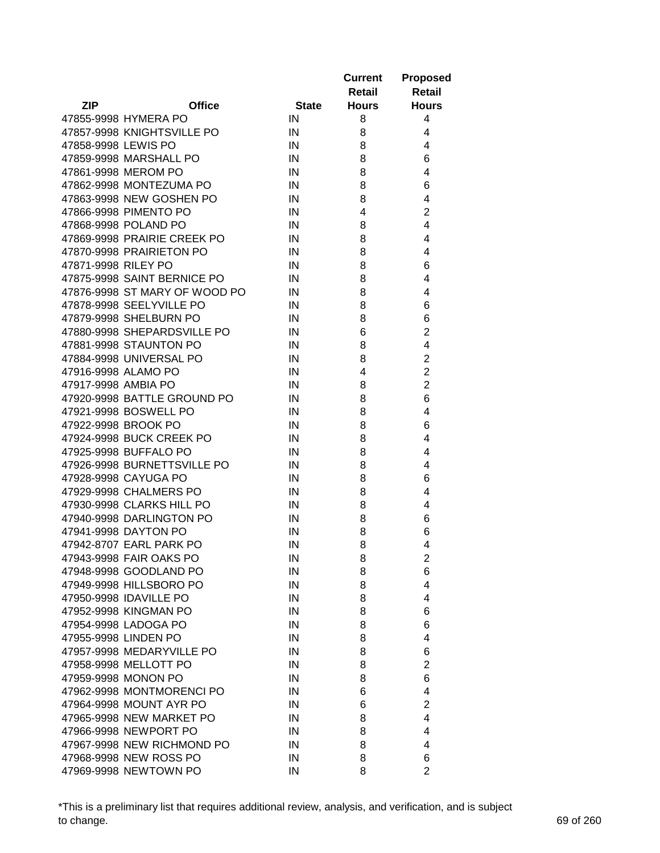|                     |                               |              | <b>Current</b> | <b>Proposed</b>         |
|---------------------|-------------------------------|--------------|----------------|-------------------------|
|                     |                               |              | Retail         | <b>Retail</b>           |
| ZIP                 | <b>Office</b>                 | <b>State</b> | <b>Hours</b>   | <b>Hours</b>            |
|                     | 47855-9998 HYMERA PO          | IN           | 8              | 4                       |
|                     | 47857-9998 KNIGHTSVILLE PO    | IN           | 8              | 4                       |
| 47858-9998 LEWIS PO |                               | IN           | 8              | 4                       |
|                     | 47859-9998 MARSHALL PO        | IN           | 8              | 6                       |
|                     | 47861-9998 MEROM PO           | IN           | 8              | 4                       |
|                     | 47862-9998 MONTEZUMA PO       | IN           | 8              | 6                       |
|                     | 47863-9998 NEW GOSHEN PO      | IN           | 8              | 4                       |
|                     | 47866-9998 PIMENTO PO         | IN           | 4              | $\overline{2}$          |
|                     | 47868-9998 POLAND PO          | IN           | 8              | 4                       |
|                     | 47869-9998 PRAIRIE CREEK PO   | IN           | 8              | 4                       |
|                     | 47870-9998 PRAIRIETON PO      | IN           | 8              | 4                       |
| 47871-9998 RILEY PO |                               | IN           | 8              | 6                       |
|                     | 47875-9998 SAINT BERNICE PO   | IN           | 8              | 4                       |
|                     | 47876-9998 ST MARY OF WOOD PO | IN           | 8              | 4                       |
|                     | 47878-9998 SEELYVILLE PO      | IN           | 8              | 6                       |
|                     | 47879-9998 SHELBURN PO        | IN           | 8              | 6                       |
|                     | 47880-9998 SHEPARDSVILLE PO   | IN           | 6              | $\overline{2}$          |
|                     | 47881-9998 STAUNTON PO        | $\sf IN$     | 8              | 4                       |
|                     | 47884-9998 UNIVERSAL PO       | $\sf IN$     | 8              | $\overline{c}$          |
| 47916-9998 ALAMO PO |                               | $\sf IN$     | 4              | $\overline{2}$          |
| 47917-9998 AMBIA PO |                               | IN           | 8              | $\overline{c}$          |
|                     | 47920-9998 BATTLE GROUND PO   | IN           | 8              | 6                       |
|                     | 47921-9998 BOSWELL PO         | IN           | 8              | 4                       |
|                     | 47922-9998 BROOK PO           | IN           | 8              | 6                       |
|                     | 47924-9998 BUCK CREEK PO      | IN           | 8              | 4                       |
|                     | 47925-9998 BUFFALO PO         | IN           | 8              | 4                       |
|                     | 47926-9998 BURNETTSVILLE PO   | IN           | 8              | 4                       |
|                     | 47928-9998 CAYUGA PO          | IN           | 8              | 6                       |
|                     | 47929-9998 CHALMERS PO        | IN           | 8              | 4                       |
|                     | 47930-9998 CLARKS HILL PO     | IN           | 8              | 4                       |
|                     | 47940-9998 DARLINGTON PO      | $\sf IN$     | 8              | 6                       |
|                     | 47941-9998 DAYTON PO          | IN           | 8              | 6                       |
|                     | 47942-8707 EARL PARK PO       | IN           | 8              | 4                       |
|                     | 47943-9998 FAIR OAKS PO       | ${\sf IN}$   | 8              | $\overline{\mathbf{c}}$ |
|                     | 47948-9998 GOODLAND PO        |              |                |                         |
|                     | 47949-9998 HILLSBORO PO       | IN<br>IN     | 8<br>8         | 6<br>4                  |
|                     |                               |              |                |                         |
|                     | 47950-9998 IDAVILLE PO        | IN           | 8              | 4                       |
|                     | 47952-9998 KINGMAN PO         | IN           | 8              | 6                       |
|                     | 47954-9998 LADOGA PO          | IN           | 8              | 6                       |
|                     | 47955-9998 LINDEN PO          | IN           | 8              | 4                       |
|                     | 47957-9998 MEDARYVILLE PO     | IN           | 8              | 6                       |
|                     | 47958-9998 MELLOTT PO         | IN           | 8              | $\overline{2}$          |
|                     | 47959-9998 MONON PO           | IN           | 8              | 6                       |
|                     | 47962-9998 MONTMORENCI PO     | IN           | 6              | 4                       |
|                     | 47964-9998 MOUNT AYR PO       | IN           | 6              | $\overline{2}$          |
|                     | 47965-9998 NEW MARKET PO      | IN           | 8              | 4                       |
|                     | 47966-9998 NEWPORT PO         | IN           | 8              | 4                       |
|                     | 47967-9998 NEW RICHMOND PO    | IN           | 8              | 4                       |
|                     | 47968-9998 NEW ROSS PO        | IN           | 8              | 6                       |
|                     | 47969-9998 NEWTOWN PO         | IN           | 8              | $\overline{2}$          |

\*This is a preliminary list that requires additional review, analysis, and verification, and is subject to change. 69 of 260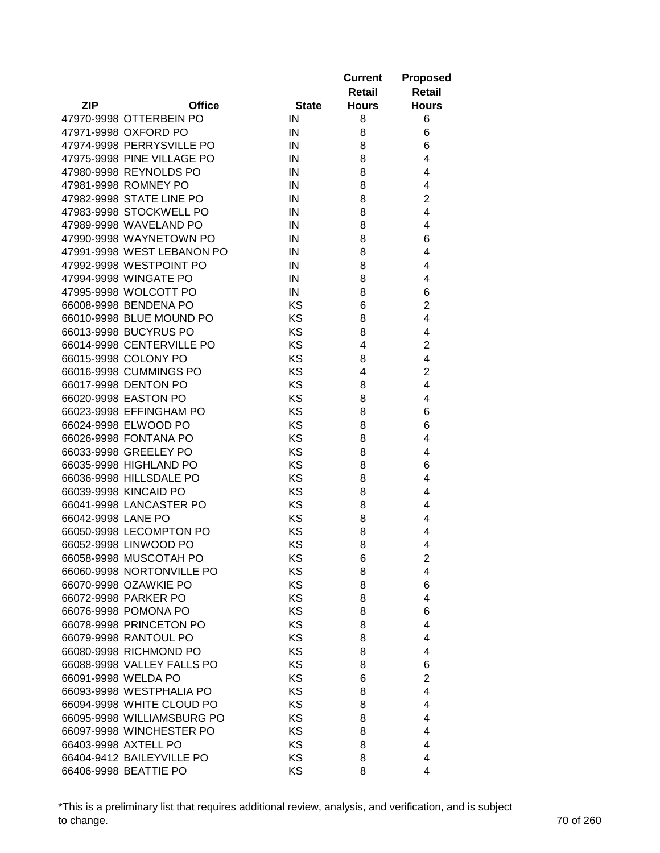|                             |              | <b>Current</b> | <b>Proposed</b>         |
|-----------------------------|--------------|----------------|-------------------------|
|                             |              | Retail         | <b>Retail</b>           |
| <b>ZIP</b><br><b>Office</b> | <b>State</b> | <b>Hours</b>   | <b>Hours</b>            |
| 47970-9998 OTTERBEIN PO     | IN           | 8              | 6                       |
| 47971-9998 OXFORD PO        | IN           | 8              | 6                       |
| 47974-9998 PERRYSVILLE PO   | IN           | 8              | 6                       |
| 47975-9998 PINE VILLAGE PO  | IN           | 8              | 4                       |
| 47980-9998 REYNOLDS PO      | IN           | 8              | 4                       |
| 47981-9998 ROMNEY PO        | IN           | 8              | 4                       |
| 47982-9998 STATE LINE PO    | IN           | 8              | $\overline{c}$          |
| 47983-9998 STOCKWELL PO     | IN           | 8              | 4                       |
| 47989-9998 WAVELAND PO      | IN           | 8              | 4                       |
| 47990-9998 WAYNETOWN PO     | IN           | 8              | 6                       |
| 47991-9998 WEST LEBANON PO  | IN           | 8              | $\overline{4}$          |
| 47992-9998 WESTPOINT PO     | IN           | 8              | 4                       |
| 47994-9998 WINGATE PO       | IN           | 8              | 4                       |
| 47995-9998 WOLCOTT PO       | IN           | 8              | 6                       |
| 66008-9998 BENDENA PO       | KS           | 6              | $\overline{c}$          |
| 66010-9998 BLUE MOUND PO    | KS           | 8              | $\overline{\mathbf{4}}$ |
| 66013-9998 BUCYRUS PO       | <b>KS</b>    | 8              | 4                       |
| 66014-9998 CENTERVILLE PO   | <b>KS</b>    | 4              | $\overline{2}$          |
| 66015-9998 COLONY PO        | KS           | 8              | 4                       |
| 66016-9998 CUMMINGS PO      | KS           | 4              | $\overline{2}$          |
| 66017-9998 DENTON PO        | KS           | 8              | $\overline{4}$          |
| 66020-9998 EASTON PO        | KS           | 8              | $\overline{4}$          |
| 66023-9998 EFFINGHAM PO     | KS           | 8              | 6                       |
| 66024-9998 ELWOOD PO        | KS           | 8              | 6                       |
| 66026-9998 FONTANA PO       | <b>KS</b>    | 8              | 4                       |
| 66033-9998 GREELEY PO       | KS           | 8              | 4                       |
| 66035-9998 HIGHLAND PO      | KS           | 8              | 6                       |
| 66036-9998 HILLSDALE PO     | KS           | 8              | 4                       |
| 66039-9998 KINCAID PO       | KS           | 8              | 4                       |
| 66041-9998 LANCASTER PO     | <b>KS</b>    | 8              | 4                       |
| 66042-9998 LANE PO          | KS           | 8              | 4                       |
| 66050-9998 LECOMPTON PO     | KS           | 8              | 4                       |
| 66052-9998 LINWOOD PO       | KS           | 8              | 4                       |
| 66058-9998 MUSCOTAH PO      | KS           | 6              | $\overline{2}$          |
| 66060-9998 NORTONVILLE PO   | KS           | 8              | 4                       |
| 66070-9998 OZAWKIE PO       | <b>KS</b>    | 8              | 6                       |
| 66072-9998 PARKER PO        | KS           | 8              | 4                       |
| 66076-9998 POMONA PO        | <b>KS</b>    | 8              | 6                       |
| 66078-9998 PRINCETON PO     | KS           | 8              | 4                       |
| 66079-9998 RANTOUL PO       | KS           | 8              | 4                       |
| 66080-9998 RICHMOND PO      | KS           | 8              | 4                       |
| 66088-9998 VALLEY FALLS PO  | <b>KS</b>    | 8              | 6                       |
| 66091-9998 WELDA PO         | KS           | 6              | $\overline{2}$          |
| 66093-9998 WESTPHALIA PO    | KS           | 8              | 4                       |
| 66094-9998 WHITE CLOUD PO   | KS           | 8              | 4                       |
| 66095-9998 WILLIAMSBURG PO  | <b>KS</b>    | 8              | 4                       |
| 66097-9998 WINCHESTER PO    | KS           | 8              | 4                       |
| 66403-9998 AXTELL PO        | KS           | 8              | 4                       |
| 66404-9412 BAILEYVILLE PO   | KS           | 8              | 4                       |
| 66406-9998 BEATTIE PO       | KS           | 8              | 4                       |

\*This is a preliminary list that requires additional review, analysis, and verification, and is subject to change. 70 of 260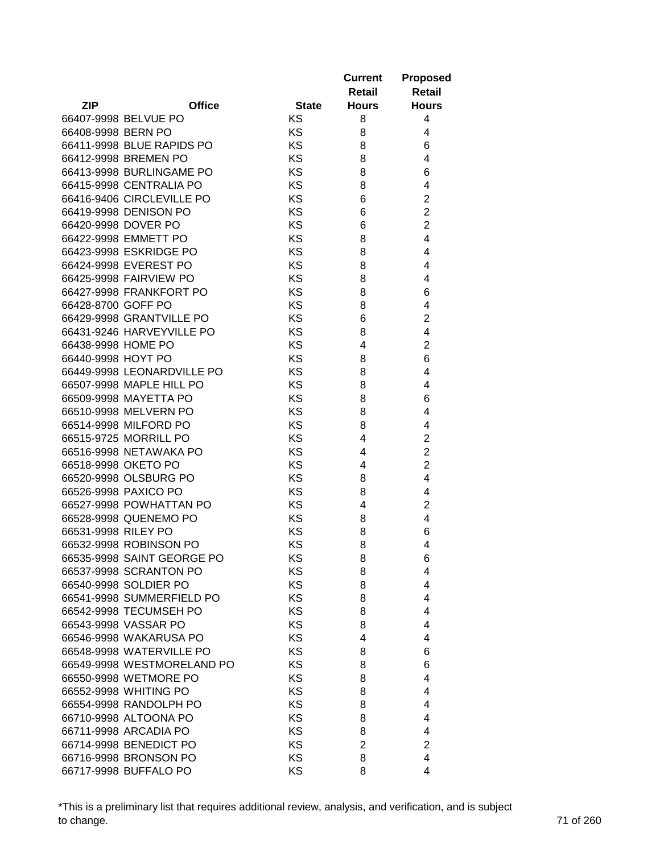|                     |                            |              | <b>Current</b><br>Retail | <b>Proposed</b><br><b>Retail</b> |
|---------------------|----------------------------|--------------|--------------------------|----------------------------------|
| <b>ZIP</b>          | <b>Office</b>              | <b>State</b> | <b>Hours</b>             | <b>Hours</b>                     |
|                     | 66407-9998 BELVUE PO       | KS           | 8                        | 4                                |
| 66408-9998 BERN PO  |                            | KS           | 8                        | 4                                |
|                     | 66411-9998 BLUE RAPIDS PO  | KS           | 8                        | 6                                |
|                     | 66412-9998 BREMEN PO       | KS           | 8                        | 4                                |
|                     | 66413-9998 BURLINGAME PO   | KS           | 8                        | 6                                |
|                     | 66415-9998 CENTRALIA PO    | KS           | 8                        | 4                                |
|                     | 66416-9406 CIRCLEVILLE PO  | KS           | 6                        | $\overline{2}$                   |
|                     | 66419-9998 DENISON PO      | KS           | 6                        | $\overline{2}$                   |
|                     | 66420-9998 DOVER PO        | KS           | 6                        | $\overline{2}$                   |
|                     | 66422-9998 EMMETT PO       | KS           | 8                        | 4                                |
|                     | 66423-9998 ESKRIDGE PO     | KS           | 8                        | 4                                |
|                     | 66424-9998 EVEREST PO      | KS           | 8                        | 4                                |
|                     | 66425-9998 FAIRVIEW PO     | KS           | 8                        | 4                                |
|                     | 66427-9998 FRANKFORT PO    | KS           | 8                        | 6                                |
| 66428-8700 GOFF PO  |                            | KS           | 8                        | 4                                |
|                     | 66429-9998 GRANTVILLE PO   | KS           | 6                        | $\overline{c}$                   |
|                     | 66431-9246 HARVEYVILLE PO  | KS           | 8                        | $\overline{\mathbf{4}}$          |
| 66438-9998 HOME PO  |                            | KS           | 4                        | $\overline{2}$                   |
| 66440-9998 HOYT PO  |                            | KS           | 8                        | 6                                |
|                     | 66449-9998 LEONARDVILLE PO | KS           | 8                        | 4                                |
|                     | 66507-9998 MAPLE HILL PO   | KS           | 8                        | 4                                |
|                     | 66509-9998 MAYETTA PO      | KS           | 8                        | 6                                |
|                     | 66510-9998 MELVERN PO      | KS           | 8                        | 4                                |
|                     | 66514-9998 MILFORD PO      | KS           | 8                        | 4                                |
|                     | 66515-9725 MORRILL PO      | KS           | 4                        | $\overline{2}$                   |
|                     | 66516-9998 NETAWAKA PO     | KS           | 4                        | $\overline{2}$                   |
|                     | 66518-9998 OKETO PO        | KS           | 4                        | $\overline{2}$                   |
|                     | 66520-9998 OLSBURG PO      | KS           | 8                        | 4                                |
|                     | 66526-9998 PAXICO PO       | KS           | 8                        | 4                                |
|                     | 66527-9998 POWHATTAN PO    | KS           | 4                        | $\overline{2}$                   |
|                     | 66528-9998 QUENEMO PO      | KS           | 8                        | 4                                |
| 66531-9998 RILEY PO |                            | KS           | 8                        | 6                                |
|                     | 66532-9998 ROBINSON PO     | KS           | 8                        | 4                                |
|                     | 66535-9998 SAINT GEORGE PO | ΚS           | 8                        | 6                                |
|                     | 66537-9998 SCRANTON PO     | <b>KS</b>    | 8                        | 4                                |
|                     | 66540-9998 SOLDIER PO      | <b>KS</b>    | 8                        | 4                                |
|                     | 66541-9998 SUMMERFIELD PO  | <b>KS</b>    | 8                        | 4                                |
|                     | 66542-9998 TECUMSEH PO     | <b>KS</b>    | 8                        | 4                                |
|                     | 66543-9998 VASSAR PO       | KS           | 8                        | 4                                |
|                     | 66546-9998 WAKARUSA PO     | KS           | 4                        | 4                                |
|                     | 66548-9998 WATERVILLE PO   | <b>KS</b>    | 8                        | 6                                |
|                     | 66549-9998 WESTMORELAND PO | KS           | 8                        | 6                                |
|                     | 66550-9998 WETMORE PO      | KS           | 8                        | 4                                |
|                     | 66552-9998 WHITING PO      | KS           | 8                        | 4                                |
|                     | 66554-9998 RANDOLPH PO     | <b>KS</b>    | 8                        | 4                                |
|                     | 66710-9998 ALTOONA PO      | <b>KS</b>    | 8                        | 4                                |
|                     |                            | KS           |                          |                                  |
|                     | 66711-9998 ARCADIA PO      | KS           | 8<br>$\overline{2}$      | 4<br>$\overline{2}$              |
|                     | 66714-9998 BENEDICT PO     |              |                          |                                  |
|                     | 66716-9998 BRONSON PO      | KS           | 8                        | $\overline{4}$                   |
|                     | 66717-9998 BUFFALO PO      | KS           | 8                        | 4                                |

\*This is a preliminary list that requires additional review, analysis, and verification, and is subject to change. 71 of 260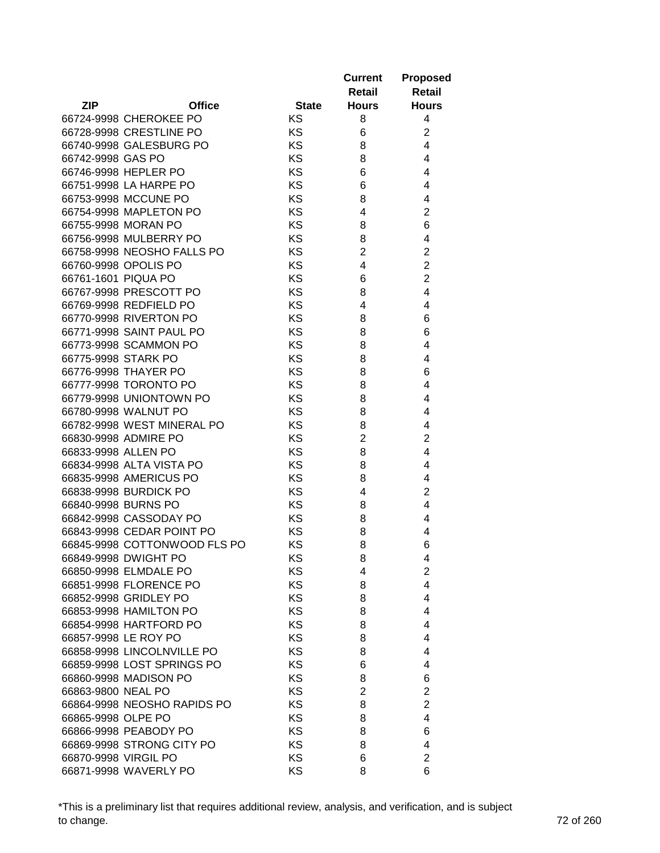|                      |                                                 |              | <b>Current</b><br>Retail | <b>Proposed</b><br><b>Retail</b> |
|----------------------|-------------------------------------------------|--------------|--------------------------|----------------------------------|
| <b>ZIP</b>           | <b>Office</b>                                   | <b>State</b> | <b>Hours</b>             | <b>Hours</b>                     |
|                      | 66724-9998 CHEROKEE PO                          | KS           | 8                        | 4                                |
|                      | 66728-9998 CRESTLINE PO                         | <b>KS</b>    | 6                        | $\overline{2}$                   |
|                      | 66740-9998 GALESBURG PO                         | <b>KS</b>    | 8                        | $\overline{4}$                   |
| 66742-9998 GAS PO    |                                                 | <b>KS</b>    | 8                        | $\overline{4}$                   |
|                      | 66746-9998 HEPLER PO                            | <b>KS</b>    | 6                        | $\overline{4}$                   |
|                      | 66751-9998 LA HARPE PO                          | <b>KS</b>    | 6                        | 4                                |
|                      | 66753-9998 MCCUNE PO                            | <b>KS</b>    | 8                        | 4                                |
|                      | 66754-9998 MAPLETON PO                          | KS           | 4                        | $\overline{2}$                   |
|                      | 66755-9998 MORAN PO                             | KS           | 8                        | 6                                |
|                      | 66756-9998 MULBERRY PO                          | KS           | 8                        | 4                                |
|                      | 66758-9998 NEOSHO FALLS PO                      | KS           | $\overline{2}$           | $\overline{2}$                   |
|                      | 66760-9998 OPOLIS PO                            | KS           | 4                        | $\overline{2}$                   |
| 66761-1601 PIQUA PO  |                                                 | <b>KS</b>    | 6                        | $\overline{2}$                   |
|                      | 66767-9998 PRESCOTT PO                          | KS           | 8                        | 4                                |
|                      | 66769-9998 REDFIELD PO                          | KS           | 4                        | 4                                |
|                      | 66770-9998 RIVERTON PO                          | <b>KS</b>    | 8                        | 6                                |
|                      | 66771-9998 SAINT PAUL PO                        | KS           | 8                        | 6                                |
|                      | 66773-9998 SCAMMON PO                           | KS           | 8                        | 4                                |
| 66775-9998 STARK PO  |                                                 | <b>KS</b>    | 8                        | 4                                |
|                      | 66776-9998 THAYER PO                            | <b>KS</b>    | 8                        | 6                                |
|                      | 66777-9998 TORONTO PO                           | <b>KS</b>    | 8                        | 4                                |
|                      | 66779-9998 UNIONTOWN PO                         | KS           | 8                        | 4                                |
|                      | 66780-9998 WALNUT PO                            | KS           | 8                        | 4                                |
|                      | 66782-9998 WEST MINERAL PO                      | KS           | 8                        | 4                                |
|                      | 66830-9998 ADMIRE PO                            | KS           | $\overline{2}$           | $\overline{2}$                   |
| 66833-9998 ALLEN PO  |                                                 | KS           | 8                        | 4                                |
|                      | 66834-9998 ALTA VISTA PO                        | KS           | 8                        | 4                                |
|                      | 66835-9998 AMERICUS PO                          | KS           | 8                        | 4                                |
|                      | 66838-9998 BURDICK PO                           | <b>KS</b>    | 4                        | $\overline{2}$                   |
|                      | 66840-9998 BURNS PO                             | KS           | 8                        | 4                                |
|                      | 66842-9998 CASSODAY PO                          | <b>KS</b>    | 8                        | 4                                |
|                      | 66843-9998 CEDAR POINT PO                       | KS           | 8                        | 4                                |
|                      | 66845-9998 COTTONWOOD FLS PO                    | KS           | 8                        | 6                                |
|                      | 66849-9998 DWIGHT PO                            |              |                          |                                  |
|                      | 66850-9998 ELMDALE PO                           | ΚS           | 8                        | 4                                |
|                      |                                                 | ΚS           | 4                        | $\overline{2}$<br>4              |
|                      | 66851-9998 FLORENCE PO<br>66852-9998 GRIDLEY PO | ΚS           | 8                        |                                  |
|                      | 66853-9998 HAMILTON PO                          | <b>KS</b>    | 8                        | 4                                |
|                      |                                                 | <b>KS</b>    | 8                        | 4                                |
|                      | 66854-9998 HARTFORD PO                          | KS           | 8                        | 4                                |
|                      | 66857-9998 LE ROY PO                            | KS           | 8                        | 4                                |
|                      | 66858-9998 LINCOLNVILLE PO                      | <b>KS</b>    | 8                        | 4                                |
|                      | 66859-9998 LOST SPRINGS PO                      | KS           | 6                        | 4                                |
|                      | 66860-9998 MADISON PO                           | KS           | 8                        | 6                                |
| 66863-9800 NEAL PO   |                                                 | <b>KS</b>    | 2                        | $\overline{2}$                   |
|                      | 66864-9998 NEOSHO RAPIDS PO                     | <b>KS</b>    | 8                        | $\overline{2}$                   |
| 66865-9998 OLPE PO   |                                                 | <b>KS</b>    | 8                        | 4                                |
|                      | 66866-9998 PEABODY PO                           | KS           | 8                        | 6                                |
|                      | 66869-9998 STRONG CITY PO                       | KS           | 8                        | 4                                |
| 66870-9998 VIRGIL PO |                                                 | KS           | 6                        | $\overline{c}$                   |
|                      | 66871-9998 WAVERLY PO                           | <b>KS</b>    | 8                        | 6                                |

\*This is a preliminary list that requires additional review, analysis, and verification, and is subject to change. 72 of 260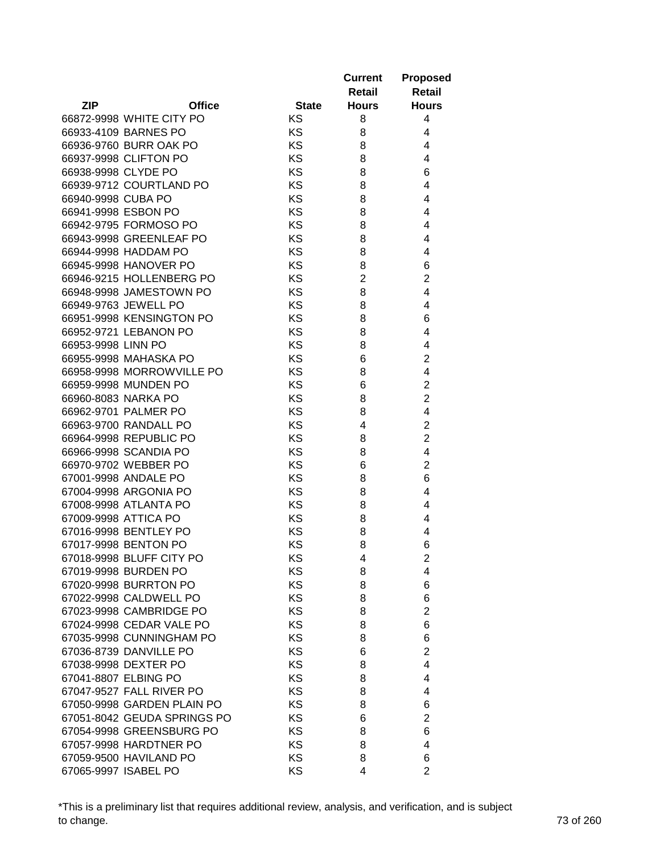|                                                           |              | <b>Current</b><br>Retail | <b>Proposed</b><br><b>Retail</b> |
|-----------------------------------------------------------|--------------|--------------------------|----------------------------------|
| <b>ZIP</b><br><b>Office</b>                               | <b>State</b> | <b>Hours</b>             | <b>Hours</b>                     |
| 66872-9998 WHITE CITY PO                                  | KS           | 8                        | 4                                |
| 66933-4109 BARNES PO                                      | <b>KS</b>    | 8                        | 4                                |
| 66936-9760 BURR OAK PO                                    | <b>KS</b>    | 8                        | 4                                |
| 66937-9998 CLIFTON PO                                     | <b>KS</b>    | 8                        | $\overline{4}$                   |
| 66938-9998 CLYDE PO                                       | <b>KS</b>    | 8                        | 6                                |
| 66939-9712 COURTLAND PO                                   | <b>KS</b>    | 8                        | 4                                |
| 66940-9998 CUBA PO                                        | <b>KS</b>    | 8                        | 4                                |
| 66941-9998 ESBON PO                                       | KS           | 8                        | 4                                |
| 66942-9795 FORMOSO PO                                     | KS           | 8                        | 4                                |
| 66943-9998 GREENLEAF PO                                   | KS           | 8                        | 4                                |
| 66944-9998 HADDAM PO                                      | <b>KS</b>    | 8                        | 4                                |
| 66945-9998 HANOVER PO                                     | <b>KS</b>    | 8                        | 6                                |
| 66946-9215 HOLLENBERG PO                                  | <b>KS</b>    | $\overline{2}$           | $\overline{2}$                   |
| 66948-9998 JAMESTOWN PO                                   | KS           | 8                        | 4                                |
| 66949-9763 JEWELL PO                                      | KS           | 8                        | 4                                |
| 66951-9998 KENSINGTON PO                                  | <b>KS</b>    | 8                        | 6                                |
| 66952-9721 LEBANON PO                                     | KS           | 8                        | 4                                |
| 66953-9998 LINN PO                                        | KS           | 8                        | 4                                |
| 66955-9998 MAHASKA PO                                     | <b>KS</b>    | 6                        | $\overline{2}$                   |
| 66958-9998 MORROWVILLE PO                                 | <b>KS</b>    | 8                        | 4                                |
| 66959-9998 MUNDEN PO                                      | <b>KS</b>    | 6                        | $\overline{2}$                   |
| 66960-8083 NARKA PO                                       | KS           | 8                        | $\overline{2}$                   |
| 66962-9701 PALMER PO                                      | KS           | 8                        | 4                                |
| 66963-9700 RANDALL PO                                     | KS           | 4                        | $\overline{c}$                   |
| 66964-9998 REPUBLIC PO                                    | KS           | 8                        | $\overline{2}$                   |
| 66966-9998 SCANDIA PO                                     | KS           | 8                        | 4                                |
| 66970-9702 WEBBER PO                                      | KS           | 6                        | $\overline{2}$                   |
| 67001-9998 ANDALE PO                                      | KS           | 8                        | 6                                |
| 67004-9998 ARGONIA PO                                     | <b>KS</b>    | 8                        | 4                                |
| 67008-9998 ATLANTA PO                                     | KS           | 8                        | 4                                |
| 67009-9998 ATTICA PO                                      | <b>KS</b>    | 8                        | 4                                |
| 67016-9998 BENTLEY PO                                     | KS           | 8                        | 4                                |
| 67017-9998 BENTON PO                                      | KS           | 8                        | 6                                |
| 67018-9998 BLUFF CITY PO                                  | ΚS           | 4                        | 2                                |
| 67019-9998 BURDEN PO                                      | ΚS           | 8                        | 4                                |
| 67020-9998 BURRTON PO                                     | ΚS           | 8                        | 6                                |
| 67022-9998 CALDWELL PO                                    | <b>KS</b>    | 8                        | 6                                |
| 67023-9998 CAMBRIDGE PO                                   | <b>KS</b>    | 8                        | $\overline{2}$                   |
| 67024-9998 CEDAR VALE PO                                  | KS           | 8                        | 6                                |
| 67035-9998 CUNNINGHAM PO                                  | KS           | 8                        | 6                                |
| 67036-8739 DANVILLE PO                                    | <b>KS</b>    | 6                        | $\overline{2}$                   |
| 67038-9998 DEXTER PO                                      | KS           | 8                        | 4                                |
| 67041-8807 ELBING PO                                      | KS           |                          | 4                                |
| 67047-9527 FALL RIVER PO                                  | <b>KS</b>    | 8<br>8                   | 4                                |
|                                                           | <b>KS</b>    |                          |                                  |
| 67050-9998 GARDEN PLAIN PO<br>67051-8042 GEUDA SPRINGS PO | <b>KS</b>    | 8                        | 6<br>$\overline{2}$              |
| 67054-9998 GREENSBURG PO                                  | KS           | 6<br>8                   | 6                                |
| 67057-9998 HARDTNER PO                                    | KS           | 8                        | 4                                |
| 67059-9500 HAVILAND PO                                    | KS           | 8                        | 6                                |
| 67065-9997 ISABEL PO                                      | <b>KS</b>    | 4                        | $\overline{2}$                   |
|                                                           |              |                          |                                  |

\*This is a preliminary list that requires additional review, analysis, and verification, and is subject to change. 73 of 260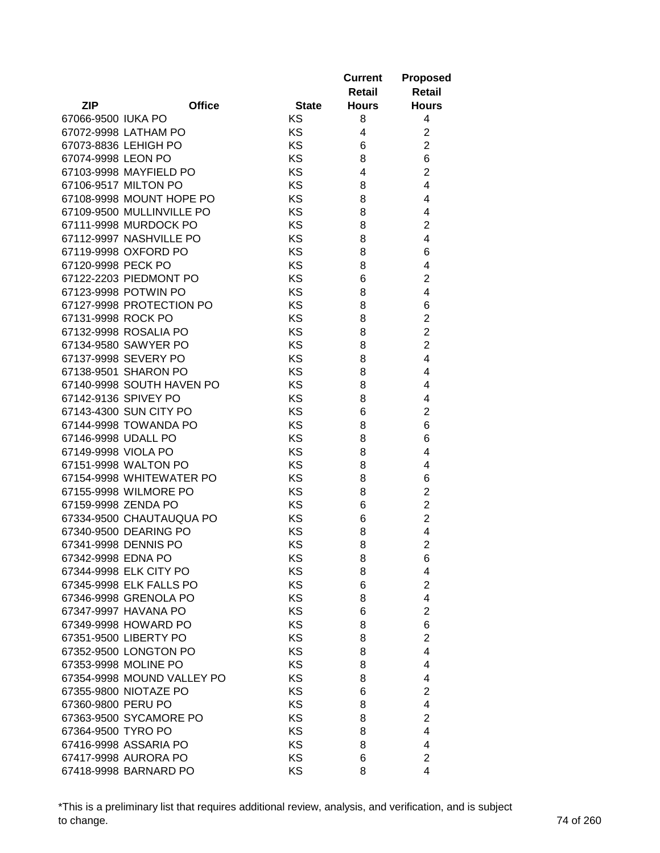|                     |                            |              | <b>Current</b><br>Retail | <b>Proposed</b><br><b>Retail</b> |
|---------------------|----------------------------|--------------|--------------------------|----------------------------------|
| <b>ZIP</b>          | <b>Office</b>              | <b>State</b> | <b>Hours</b>             | <b>Hours</b>                     |
| 67066-9500 IUKA PO  |                            | KS           | 8                        | 4                                |
|                     | 67072-9998 LATHAM PO       | KS           | 4                        | $\overline{2}$                   |
|                     | 67073-8836 LEHIGH PO       | KS           | 6                        | $\overline{2}$                   |
| 67074-9998 LEON PO  |                            | KS           | 8                        | 6                                |
|                     | 67103-9998 MAYFIELD PO     | KS           | 4                        | $\overline{2}$                   |
|                     | 67106-9517 MILTON PO       | KS           | 8                        | 4                                |
|                     | 67108-9998 MOUNT HOPE PO   | KS           | 8                        | 4                                |
|                     | 67109-9500 MULLINVILLE PO  | KS           | 8                        | 4                                |
|                     | 67111-9998 MURDOCK PO      | KS           | 8                        | $\overline{2}$                   |
|                     | 67112-9997 NASHVILLE PO    | KS           | 8                        | 4                                |
|                     | 67119-9998 OXFORD PO       | KS           | 8                        | 6                                |
| 67120-9998 PECK PO  |                            | KS           | 8                        | 4                                |
|                     | 67122-2203 PIEDMONT PO     | KS           | 6                        | $\overline{2}$                   |
|                     | 67123-9998 POTWIN PO       | KS           | 8                        | 4                                |
|                     | 67127-9998 PROTECTION PO   | KS           | 8                        | 6                                |
| 67131-9998 ROCK PO  |                            | KS           | 8                        | $\overline{\mathbf{c}}$          |
|                     | 67132-9998 ROSALIA PO      | KS           | 8                        | $\overline{c}$                   |
|                     | 67134-9580 SAWYER PO       | KS           | 8                        | $\overline{2}$                   |
|                     | 67137-9998 SEVERY PO       | KS           | 8                        | 4                                |
|                     | 67138-9501 SHARON PO       | KS           | 8                        | 4                                |
|                     | 67140-9998 SOUTH HAVEN PO  | KS           | 8                        | 4                                |
|                     | 67142-9136 SPIVEY PO       | KS           | 8                        | 4                                |
|                     | 67143-4300 SUN CITY PO     | KS           | 6                        | $\overline{2}$                   |
|                     | 67144-9998 TOWANDA PO      | KS           | 8                        | 6                                |
| 67146-9998 UDALL PO |                            | KS           | 8                        | 6                                |
| 67149-9998 VIOLA PO |                            | KS           | 8                        | 4                                |
|                     | 67151-9998 WALTON PO       | KS           | 8                        | 4                                |
|                     | 67154-9998 WHITEWATER PO   | KS           | 8                        | 6                                |
|                     | 67155-9998 WILMORE PO      | KS           | 8                        | $\overline{2}$                   |
| 67159-9998 ZENDA PO |                            | KS           | 6                        | $\overline{c}$                   |
|                     | 67334-9500 CHAUTAUQUA PO   | KS           | 6                        | $\overline{2}$                   |
|                     | 67340-9500 DEARING PO      | KS           | 8                        | 4                                |
|                     | 67341-9998 DENNIS PO       | KS           | 8                        | $\overline{2}$                   |
| 67342-9998 EDNA PO  |                            | ΚS           | 8                        | 6                                |
|                     | 67344-9998 ELK CITY PO     | KS           | 8                        | 4                                |
|                     | 67345-9998 ELK FALLS PO    | KS           | 6                        | $\overline{2}$                   |
|                     | 67346-9998 GRENOLA PO      | KS           | 8                        | 4                                |
|                     | 67347-9997 HAVANA PO       | <b>KS</b>    | 6                        | $\overline{2}$                   |
|                     | 67349-9998 HOWARD PO       | <b>KS</b>    | 8                        | 6                                |
|                     | 67351-9500 LIBERTY PO      | KS           | 8                        | $\overline{2}$                   |
|                     | 67352-9500 LONGTON PO      | KS           | 8                        | 4                                |
|                     | 67353-9998 MOLINE PO       | KS           | 8                        | 4                                |
|                     | 67354-9998 MOUND VALLEY PO | KS           | 8                        | 4                                |
|                     | 67355-9800 NIOTAZE PO      | KS           | 6                        | $\overline{2}$                   |
| 67360-9800 PERU PO  |                            | <b>KS</b>    | 8                        | 4                                |
|                     | 67363-9500 SYCAMORE PO     | <b>KS</b>    | 8                        | $\overline{2}$                   |
| 67364-9500 TYRO PO  |                            | KS           | 8                        | 4                                |
|                     | 67416-9998 ASSARIA PO      | KS           | 8                        | 4                                |
|                     | 67417-9998 AURORA PO       | KS           | 6                        | $\overline{2}$                   |
|                     | 67418-9998 BARNARD PO      | <b>KS</b>    | 8                        | 4                                |

\*This is a preliminary list that requires additional review, analysis, and verification, and is subject to change. 74 of 260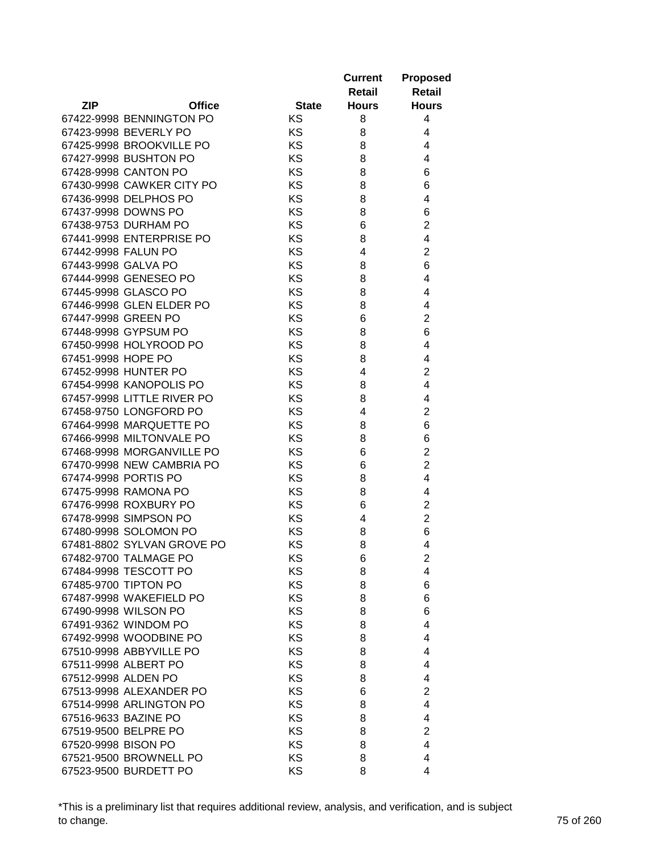|                            |               |              | <b>Current</b><br>Retail | <b>Proposed</b><br><b>Retail</b> |
|----------------------------|---------------|--------------|--------------------------|----------------------------------|
| <b>ZIP</b>                 | <b>Office</b> | <b>State</b> | <b>Hours</b>             | <b>Hours</b>                     |
| 67422-9998 BENNINGTON PO   |               | KS           | 8                        | 4                                |
| 67423-9998 BEVERLY PO      |               | <b>KS</b>    | 8                        | 4                                |
| 67425-9998 BROOKVILLE PO   |               | <b>KS</b>    | 8                        | 4                                |
| 67427-9998 BUSHTON PO      |               | <b>KS</b>    | 8                        | $\overline{4}$                   |
| 67428-9998 CANTON PO       |               | KS           | 8                        | 6                                |
| 67430-9998 CAWKER CITY PO  |               | <b>KS</b>    | 8                        | 6                                |
| 67436-9998 DELPHOS PO      |               | <b>KS</b>    | 8                        | 4                                |
| 67437-9998 DOWNS PO        |               | KS           | 8                        | 6                                |
| 67438-9753 DURHAM PO       |               | KS           | 6                        | $\overline{2}$                   |
| 67441-9998 ENTERPRISE PO   |               | KS           | 8                        | 4                                |
| 67442-9998 FALUN PO        |               | KS           | 4                        | $\overline{2}$                   |
| 67443-9998 GALVA PO        |               | <b>KS</b>    | 8                        | 6                                |
| 67444-9998 GENESEO PO      |               | <b>KS</b>    | 8                        | 4                                |
| 67445-9998 GLASCO PO       |               | KS           | 8                        | 4                                |
| 67446-9998 GLEN ELDER PO   |               | KS           | 8                        | 4                                |
| 67447-9998 GREEN PO        |               | <b>KS</b>    | 6                        | $\overline{c}$                   |
| 67448-9998 GYPSUM PO       |               | KS           | 8                        | 6                                |
| 67450-9998 HOLYROOD PO     |               | KS           | 8                        | 4                                |
| 67451-9998 HOPE PO         |               | <b>KS</b>    | 8                        | 4                                |
| 67452-9998 HUNTER PO       |               | KS           | 4                        | $\overline{c}$                   |
| 67454-9998 KANOPOLIS PO    |               | <b>KS</b>    | 8                        | $\overline{4}$                   |
| 67457-9998 LITTLE RIVER PO |               | KS           | 8                        | 4                                |
| 67458-9750 LONGFORD PO     |               | KS           | 4                        | $\overline{2}$                   |
| 67464-9998 MARQUETTE PO    |               | KS           | 8                        | 6                                |
| 67466-9998 MILTONVALE PO   |               | KS           | 8                        | 6                                |
| 67468-9998 MORGANVILLE PO  |               | KS           | 6                        | $\overline{2}$                   |
| 67470-9998 NEW CAMBRIA PO  |               | ΚS           | 6                        | $\overline{2}$                   |
| 67474-9998 PORTIS PO       |               | KS           | 8                        | 4                                |
| 67475-9998 RAMONA PO       |               | <b>KS</b>    | 8                        | 4                                |
| 67476-9998 ROXBURY PO      |               | KS           | 6                        | $\overline{2}$                   |
| 67478-9998 SIMPSON PO      |               | <b>KS</b>    | 4                        | $\overline{2}$                   |
| 67480-9998 SOLOMON PO      |               | KS           | 8                        | 6                                |
| 67481-8802 SYLVAN GROVE PO |               | KS           | 8                        | 4                                |
| 67482-9700 TALMAGE PO      |               | ΚS           | 6                        | 2                                |
| 67484-9998 TESCOTT PO      |               | KS           | 8                        | 4                                |
| 67485-9700 TIPTON PO       |               | ΚS           | 8                        | 6                                |
| 67487-9998 WAKEFIELD PO    |               | <b>KS</b>    | 8                        | 6                                |
| 67490-9998 WILSON PO       |               | <b>KS</b>    | 8                        | 6                                |
| 67491-9362 WINDOM PO       |               | <b>KS</b>    | 8                        | 4                                |
| 67492-9998 WOODBINE PO     |               | KS           | 8                        | 4                                |
| 67510-9998 ABBYVILLE PO    |               | <b>KS</b>    | 8                        | 4                                |
| 67511-9998 ALBERT PO       |               | <b>KS</b>    | 8                        | 4                                |
| 67512-9998 ALDEN PO        |               | KS           | 8                        | 4                                |
| 67513-9998 ALEXANDER PO    |               | <b>KS</b>    | 6                        | $\overline{2}$                   |
| 67514-9998 ARLINGTON PO    |               | <b>KS</b>    | 8                        | 4                                |
| 67516-9633 BAZINE PO       |               | <b>KS</b>    | 8                        | 4                                |
| 67519-9500 BELPRE PO       |               | KS           | 8                        | $\overline{2}$                   |
| 67520-9998 BISON PO        |               | KS           | 8                        | 4                                |
| 67521-9500 BROWNELL PO     |               | KS           | 8                        | 4                                |
| 67523-9500 BURDETT PO      |               | <b>KS</b>    | 8                        | 4                                |

\*This is a preliminary list that requires additional review, analysis, and verification, and is subject to change. 75 of 260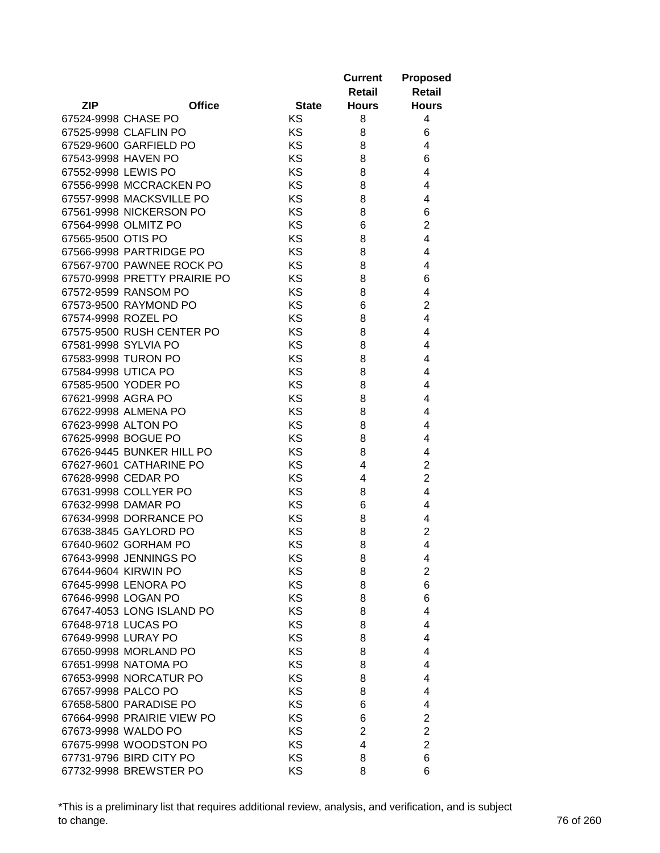|                              |               |              | <b>Current</b><br>Retail | <b>Proposed</b><br><b>Retail</b> |
|------------------------------|---------------|--------------|--------------------------|----------------------------------|
| <b>ZIP</b>                   | <b>Office</b> | <b>State</b> | <b>Hours</b>             | <b>Hours</b>                     |
| 67524-9998 CHASE PO          |               | KS           | 8                        | 4                                |
| 67525-9998 CLAFLIN PO        |               | KS           | 8                        | 6                                |
| 67529-9600 GARFIELD PO       |               | KS           | 8                        | 4                                |
| 67543-9998 HAVEN PO          |               | KS           | 8                        | 6                                |
| 67552-9998 LEWIS PO          |               | KS           | 8                        | 4                                |
| 67556-9998 MCCRACKEN PO      |               | KS           | 8                        | 4                                |
| 67557-9998 MACKSVILLE PO     |               | KS           | 8                        | 4                                |
| 67561-9998 NICKERSON PO      |               | KS           | 8                        | 6                                |
| 67564-9998 OLMITZ PO         |               | KS           | 6                        | $\overline{2}$                   |
| 67565-9500 OTIS PO           |               | KS           | 8                        | 4                                |
| 67566-9998 PARTRIDGE PO      |               | KS           | 8                        | 4                                |
| 67567-9700 PAWNEE ROCK PO    |               | KS           | 8                        | 4                                |
| 67570-9998 PRETTY PRAIRIE PO |               | KS           | 8                        | 6                                |
| 67572-9599 RANSOM PO         |               | KS           | 8                        | 4                                |
| 67573-9500 RAYMOND PO        |               | KS           | 6                        | $\overline{2}$                   |
| 67574-9998 ROZEL PO          |               | KS           | 8                        | 4                                |
| 67575-9500 RUSH CENTER PO    |               | KS           | 8                        | 4                                |
| 67581-9998 SYLVIA PO         |               | KS           | 8                        | 4                                |
| 67583-9998 TURON PO          |               | <b>KS</b>    | 8                        | 4                                |
| 67584-9998 UTICA PO          |               | <b>KS</b>    | 8                        | 4                                |
| 67585-9500 YODER PO          |               | <b>KS</b>    | 8                        | 4                                |
| 67621-9998 AGRA PO           |               | KS           | 8                        | 4                                |
| 67622-9998 ALMENA PO         |               | KS           | 8                        | 4                                |
| 67623-9998 ALTON PO          |               | KS           | 8                        | 4                                |
| 67625-9998 BOGUE PO          |               | KS           | 8                        | 4                                |
| 67626-9445 BUNKER HILL PO    |               | KS           | 8                        | 4                                |
| 67627-9601 CATHARINE PO      |               | KS           | 4                        | $\overline{2}$                   |
| 67628-9998 CEDAR PO          |               | KS           | 4                        | $\overline{2}$                   |
| 67631-9998 COLLYER PO        |               | KS           | 8                        | 4                                |
| 67632-9998 DAMAR PO          |               | KS           | 6                        | 4                                |
| 67634-9998 DORRANCE PO       |               | KS           | 8                        | 4                                |
| 67638-3845 GAYLORD PO        |               | KS           | 8                        | $\overline{2}$                   |
| 67640-9602 GORHAM PO         |               | KS           | 8                        | $\overline{4}$                   |
| 67643-9998 JENNINGS PO       |               | KS           | 8                        | 4                                |
| 67644-9604 KIRWIN PO         |               | KS           | 8                        | $\overline{2}$                   |
| 67645-9998 LENORA PO         |               | KS           | 8                        | 6                                |
| 67646-9998 LOGAN PO          |               | KS           | 8                        | 6                                |
| 67647-4053 LONG ISLAND PO    |               | <b>KS</b>    | 8                        | 4                                |
| 67648-9718 LUCAS PO          |               | <b>KS</b>    | 8                        | 4                                |
| 67649-9998 LURAY PO          |               | KS           | 8                        | 4                                |
| 67650-9998 MORLAND PO        |               | KS           | 8                        | 4                                |
| 67651-9998 NATOMA PO         |               | <b>KS</b>    | 8                        | 4                                |
| 67653-9998 NORCATUR PO       |               | KS           | 8                        | 4                                |
| 67657-9998 PALCO PO          |               | KS           | 8                        | 4                                |
| 67658-5800 PARADISE PO       |               | <b>KS</b>    | 6                        | 4                                |
| 67664-9998 PRAIRIE VIEW PO   |               | <b>KS</b>    | 6                        | 2                                |
| 67673-9998 WALDO PO          |               | KS           | $\overline{2}$           | $\overline{2}$                   |
| 67675-9998 WOODSTON PO       |               | KS           | 4                        | $\overline{2}$                   |
| 67731-9796 BIRD CITY PO      |               | KS           | 8                        | 6                                |
| 67732-9998 BREWSTER PO       |               | KS           | 8                        | 6                                |

\*This is a preliminary list that requires additional review, analysis, and verification, and is subject to change. 76 of 260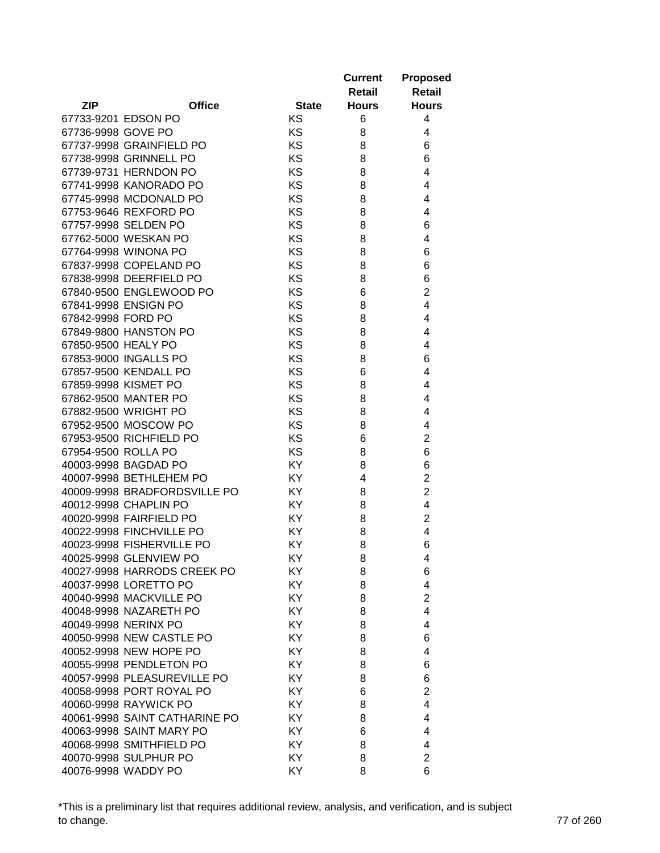|                           |                               |              | <b>Current</b><br>Retail | <b>Proposed</b><br><b>Retail</b> |
|---------------------------|-------------------------------|--------------|--------------------------|----------------------------------|
| <b>ZIP</b>                | <b>Office</b>                 | <b>State</b> | <b>Hours</b>             | <b>Hours</b>                     |
| 67733-9201 EDSON PO       |                               | KS           | 6                        | 4                                |
| 67736-9998 GOVE PO        |                               | KS           | 8                        | 4                                |
| 67737-9998 GRAINFIELD PO  |                               | KS           | 8                        | 6                                |
| 67738-9998 GRINNELL PO    |                               | KS           | 8                        | 6                                |
| 67739-9731 HERNDON PO     |                               | KS           | 8                        | 4                                |
| 67741-9998 KANORADO PO    |                               | KS           | 8                        | 4                                |
| 67745-9998 MCDONALD PO    |                               | KS           | 8                        | 4                                |
| 67753-9646 REXFORD PO     |                               | KS           | 8                        | 4                                |
| 67757-9998 SELDEN PO      |                               | KS           | 8                        | 6                                |
| 67762-5000 WESKAN PO      |                               | KS           | 8                        | 4                                |
| 67764-9998 WINONA PO      |                               | KS           | 8                        | 6                                |
| 67837-9998 COPELAND PO    |                               | KS           | 8                        | 6                                |
| 67838-9998 DEERFIELD PO   |                               | KS           | 8                        | 6                                |
| 67840-9500 ENGLEWOOD PO   |                               | KS           | 6                        | $\overline{2}$                   |
| 67841-9998 ENSIGN PO      |                               | KS           | 8                        | 4                                |
| 67842-9998 FORD PO        |                               | KS           | 8                        | 4                                |
| 67849-9800 HANSTON PO     |                               | KS           | 8                        | 4                                |
| 67850-9500 HEALY PO       |                               | KS           | 8                        | 4                                |
| 67853-9000 INGALLS PO     |                               | KS           | 8                        | 6                                |
| 67857-9500 KENDALL PO     |                               | KS           | 6                        | 4                                |
| 67859-9998 KISMET PO      |                               | KS           | 8                        | 4                                |
| 67862-9500 MANTER PO      |                               | KS           | 8                        | 4                                |
| 67882-9500 WRIGHT PO      |                               | KS           | 8                        | 4                                |
| 67952-9500 MOSCOW PO      |                               | KS           | 8                        | 4                                |
|                           |                               | KS           |                          | $\overline{2}$                   |
| 67953-9500 RICHFIELD PO   |                               | KS           | 6                        |                                  |
| 67954-9500 ROLLA PO       |                               |              | 8                        | 6                                |
| 40003-9998 BAGDAD PO      |                               | KY.          | 8                        | 6                                |
| 40007-9998 BETHLEHEM PO   |                               | KY.          | 4                        | $\overline{2}$<br>$\overline{2}$ |
|                           | 40009-9998 BRADFORDSVILLE PO  | KY.          | 8                        |                                  |
| 40012-9998 CHAPLIN PO     |                               | KY.          | 8                        | 4                                |
| 40020-9998 FAIRFIELD PO   |                               | KY           | 8                        | $\overline{2}$                   |
| 40022-9998 FINCHVILLE PO  |                               | ΚY           | 8                        | 4                                |
| 40023-9998 FISHERVILLE PO |                               | ΚY           | 8                        | 6                                |
| 40025-9998 GLENVIEW PO    |                               | ΚY           | 8                        | 4                                |
|                           | 40027-9998 HARRODS CREEK PO   | ΚY           | 8                        | 6                                |
| 40037-9998 LORETTO PO     |                               | KY           | 8                        | 4                                |
| 40040-9998 MACKVILLE PO   |                               | KY           | 8                        | $\overline{2}$                   |
| 40048-9998 NAZARETH PO    |                               | <b>KY</b>    | 8                        | 4                                |
| 40049-9998 NERINX PO      |                               | KY           | 8                        | 4                                |
| 40050-9998 NEW CASTLE PO  |                               | KY           | 8                        | 6                                |
| 40052-9998 NEW HOPE PO    |                               | KY           | 8                        | 4                                |
| 40055-9998 PENDLETON PO   |                               | KY           | 8                        | 6                                |
|                           | 40057-9998 PLEASUREVILLE PO   | KY           | 8                        | 6                                |
| 40058-9998 PORT ROYAL PO  |                               | KY           | 6                        | $\overline{2}$                   |
| 40060-9998 RAYWICK PO     |                               | KY           | 8                        | 4                                |
|                           | 40061-9998 SAINT CATHARINE PO | KY           | 8                        | 4                                |
| 40063-9998 SAINT MARY PO  |                               | KY           | 6                        | 4                                |
| 40068-9998 SMITHFIELD PO  |                               | KY.          | 8                        | 4                                |
| 40070-9998 SULPHUR PO     |                               | KY.          | 8                        | $\overline{c}$                   |
| 40076-9998 WADDY PO       |                               | KY           | 8                        | 6                                |

\*This is a preliminary list that requires additional review, analysis, and verification, and is subject to change. 77 of 260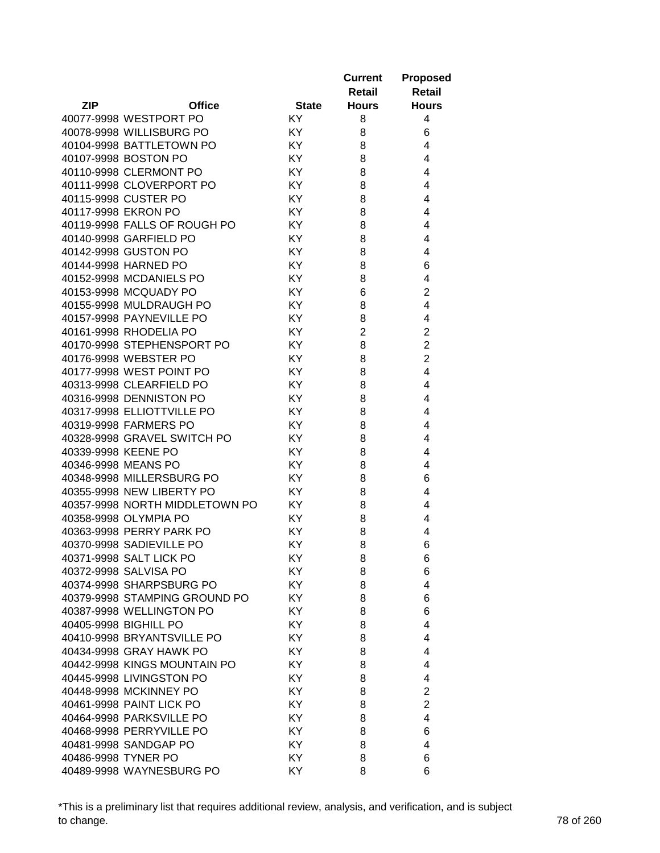|                                |               |              | <b>Current</b> | <b>Proposed</b> |
|--------------------------------|---------------|--------------|----------------|-----------------|
|                                |               |              | Retail         | Retail          |
| <b>ZIP</b>                     | <b>Office</b> | <b>State</b> | <b>Hours</b>   | <b>Hours</b>    |
| 40077-9998 WESTPORT PO         |               | KY.          | 8              | 4               |
| 40078-9998 WILLISBURG PO       |               | <b>KY</b>    | 8              | 6               |
| 40104-9998 BATTLETOWN PO       |               | KY           | 8              | 4               |
| 40107-9998 BOSTON PO           |               | KY           | 8              | 4               |
| 40110-9998 CLERMONT PO         |               | KY           | 8              | 4               |
| 40111-9998 CLOVERPORT PO       |               | KY           | 8              | 4               |
| 40115-9998 CUSTER PO           |               | KY           | 8              | 4               |
| 40117-9998 EKRON PO            |               | KY           | 8              | 4               |
| 40119-9998 FALLS OF ROUGH PO   |               | KY           | 8              | 4               |
| 40140-9998 GARFIELD PO         |               | KY           | 8              | 4               |
| 40142-9998 GUSTON PO           |               | <b>KY</b>    | 8              | 4               |
| 40144-9998 HARNED PO           |               | KY           | 8              | 6               |
| 40152-9998 MCDANIELS PO        |               | KY           | 8              | 4               |
| 40153-9998 MCQUADY PO          |               | KY           | 6              | $\overline{c}$  |
| 40155-9998 MULDRAUGH PO        |               | KY           | 8              | 4               |
| 40157-9998 PAYNEVILLE PO       |               | KY           | 8              | 4               |
| 40161-9998 RHODELIA PO         |               | KY           | $\overline{2}$ | $\overline{2}$  |
| 40170-9998 STEPHENSPORT PO     |               | KY           | 8              | $\overline{2}$  |
| 40176-9998 WEBSTER PO          |               | KY           | 8              | $\overline{2}$  |
| 40177-9998 WEST POINT PO       |               | KY           | 8              | $\overline{4}$  |
| 40313-9998 CLEARFIELD PO       |               | KY           | 8              | 4               |
| 40316-9998 DENNISTON PO        |               | KY           | 8              | 4               |
| 40317-9998 ELLIOTTVILLE PO     |               | KY           | 8              | 4               |
| 40319-9998 FARMERS PO          |               | KY           | 8              | 4               |
| 40328-9998 GRAVEL SWITCH PO    |               | KY           | 8              | 4               |
| 40339-9998 KEENE PO            |               | <b>KY</b>    | 8              | 4               |
| 40346-9998 MEANS PO            |               | KY           | 8              | 4               |
| 40348-9998 MILLERSBURG PO      |               | KY           | 8              | 6               |
| 40355-9998 NEW LIBERTY PO      |               | KY           | 8              | 4               |
| 40357-9998 NORTH MIDDLETOWN PO |               | KY           | 8              | 4               |
| 40358-9998 OLYMPIA PO          |               | KY           | 8              | 4               |
| 40363-9998 PERRY PARK PO       |               | KY           | 8              | 4               |
| 40370-9998 SADIEVILLE PO       |               | KY           | 8              | 6               |
| 40371-9998 SALT LICK PO        |               | KY           | 8              | 6               |
| 40372-9998 SALVISA PO          |               | KY           |                |                 |
| 40374-9998 SHARPSBURG PO       |               | KY           | 8<br>8         | 6<br>4          |
|                                |               | KY           |                |                 |
| 40379-9998 STAMPING GROUND PO  |               |              | 8              | 6               |
| 40387-9998 WELLINGTON PO       |               | KY           | 8              | 6               |
| 40405-9998 BIGHILL PO          |               | KY           | 8              | 4               |
| 40410-9998 BRYANTSVILLE PO     |               | KY           | 8              | 4               |
| 40434-9998 GRAY HAWK PO        |               | KY           | 8              | 4               |
| 40442-9998 KINGS MOUNTAIN PO   |               | KY.          | 8              | 4               |
| 40445-9998 LIVINGSTON PO       |               | <b>KY</b>    | 8              | 4               |
| 40448-9998 MCKINNEY PO         |               | KY           | 8              | $\overline{2}$  |
| 40461-9998 PAINT LICK PO       |               | KY           | 8              | $\overline{2}$  |
| 40464-9998 PARKSVILLE PO       |               | KY.          | 8              | 4               |
| 40468-9998 PERRYVILLE PO       |               | KY.          | 8              | 6               |
| 40481-9998 SANDGAP PO          |               | KY           | 8              | 4               |
| 40486-9998 TYNER PO            |               | KY           | 8              | 6               |
| 40489-9998 WAYNESBURG PO       |               | KY           | 8              | 6               |

\*This is a preliminary list that requires additional review, analysis, and verification, and is subject to change. 78 of 260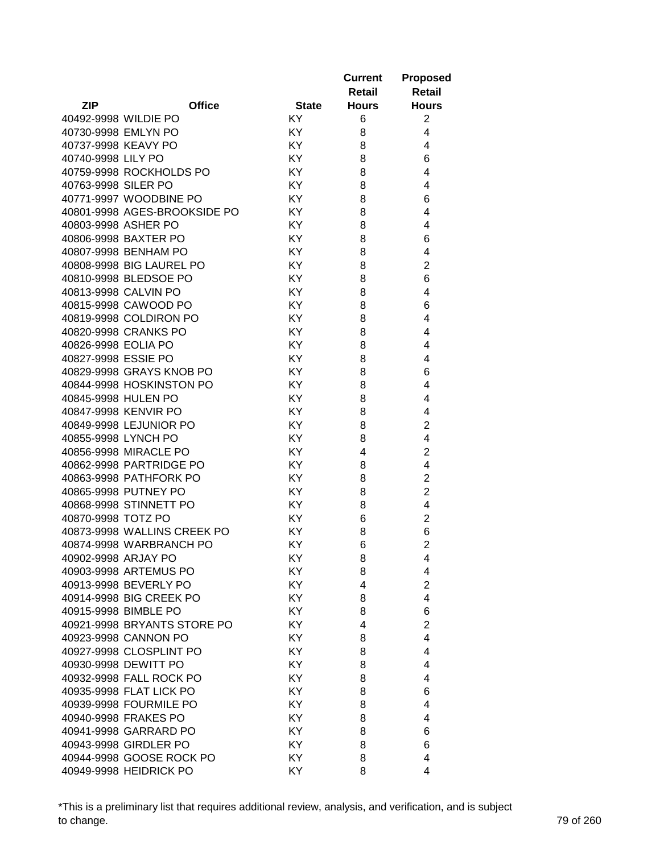|                     |                              |              | <b>Current</b> | <b>Proposed</b> |
|---------------------|------------------------------|--------------|----------------|-----------------|
|                     |                              |              | <b>Retail</b>  | Retail          |
| ZIP                 | <b>Office</b>                | <b>State</b> | <b>Hours</b>   | <b>Hours</b>    |
|                     | 40492-9998 WILDIE PO         | <b>KY</b>    | 6              | 2               |
|                     | 40730-9998 EMLYN PO          | KY           | 8              | 4               |
|                     | 40737-9998 KEAVY PO          | KY           | 8              | 4               |
| 40740-9998 LILY PO  |                              | KY           | 8              | 6               |
|                     | 40759-9998 ROCKHOLDS PO      | KY           | 8              | 4               |
| 40763-9998 SILER PO |                              | KY           | 8              | 4               |
|                     | 40771-9997 WOODBINE PO       | KY           | 8              | 6               |
|                     | 40801-9998 AGES-BROOKSIDE PO | KY           | 8              | 4               |
|                     | 40803-9998 ASHER PO          | KY           | 8              | 4               |
|                     | 40806-9998 BAXTER PO         | KY           | 8              | 6               |
|                     | 40807-9998 BENHAM PO         | KY           | 8              | 4               |
|                     | 40808-9998 BIG LAUREL PO     | KY           | 8              | $\overline{2}$  |
|                     | 40810-9998 BLEDSOE PO        | KY           | 8              | 6               |
|                     | 40813-9998 CALVIN PO         | KY           | 8              | 4               |
|                     | 40815-9998 CAWOOD PO         | KY           | 8              | 6               |
|                     | 40819-9998 COLDIRON PO       | KY           | 8              | 4               |
|                     | 40820-9998 CRANKS PO         | KY           | 8              | 4               |
| 40826-9998 EOLIA PO |                              | KY           | 8              | 4               |
| 40827-9998 ESSIE PO |                              | KY           | 8              | 4               |
|                     | 40829-9998 GRAYS KNOB PO     | KY           | 8              | 6               |
|                     | 40844-9998 HOSKINSTON PO     | KY           | 8              | 4               |
|                     | 40845-9998 HULEN PO          | KY           | 8              | 4               |
|                     | 40847-9998 KENVIR PO         | KY           | 8              | 4               |
|                     | 40849-9998 LEJUNIOR PO       | KY           | 8              | $\overline{2}$  |
|                     | 40855-9998 LYNCH PO          | KY           | 8              | 4               |
|                     | 40856-9998 MIRACLE PO        | KY           | 4              | $\overline{2}$  |
|                     | 40862-9998 PARTRIDGE PO      | KY           | 8              | 4               |
|                     | 40863-9998 PATHFORK PO       | KY           | 8              | $\overline{2}$  |
|                     | 40865-9998 PUTNEY PO         | KY           | 8              | $\overline{2}$  |
|                     | 40868-9998 STINNETT PO       | KY           | 8              | 4               |
| 40870-9998 TOTZ PO  |                              | KY           | 6              | $\overline{c}$  |
|                     | 40873-9998 WALLINS CREEK PO  | KY           | 8              | 6               |
|                     | 40874-9998 WARBRANCH PO      | KY           | 6              | $\overline{2}$  |
| 40902-9998 ARJAY PO |                              | KY           | 8              | 4               |
|                     | 40903-9998 ARTEMUS PO        | KY           | 8              | 4               |
|                     | 40913-9998 BEVERLY PO        | KY           | 4              | $\overline{c}$  |
|                     | 40914-9998 BIG CREEK PO      | KY           | 8              | $\overline{4}$  |
|                     | 40915-9998 BIMBLE PO         | KY           | 8              | 6               |
|                     | 40921-9998 BRYANTS STORE PO  | KY           | 4              | $\overline{2}$  |
|                     | 40923-9998 CANNON PO         | KY           | 8              | 4               |
|                     | 40927-9998 CLOSPLINT PO      | KY           | 8              | 4               |
|                     | 40930-9998 DEWITT PO         | KY           | 8              | 4               |
|                     | 40932-9998 FALL ROCK PO      | KY           | 8              | 4               |
|                     | 40935-9998 FLAT LICK PO      | KY           | 8              | 6               |
|                     | 40939-9998 FOURMILE PO       | KY           | 8              | 4               |
|                     | 40940-9998 FRAKES PO         | KY           | 8              | 4               |
|                     | 40941-9998 GARRARD PO        | KY           | 8              | 6               |
|                     | 40943-9998 GIRDLER PO        | KY           | 8              | 6               |
|                     | 40944-9998 GOOSE ROCK PO     | KY           | 8              | 4               |
|                     | 40949-9998 HEIDRICK PO       | KY           | 8              | 4               |

\*This is a preliminary list that requires additional review, analysis, and verification, and is subject to change. 79 of 260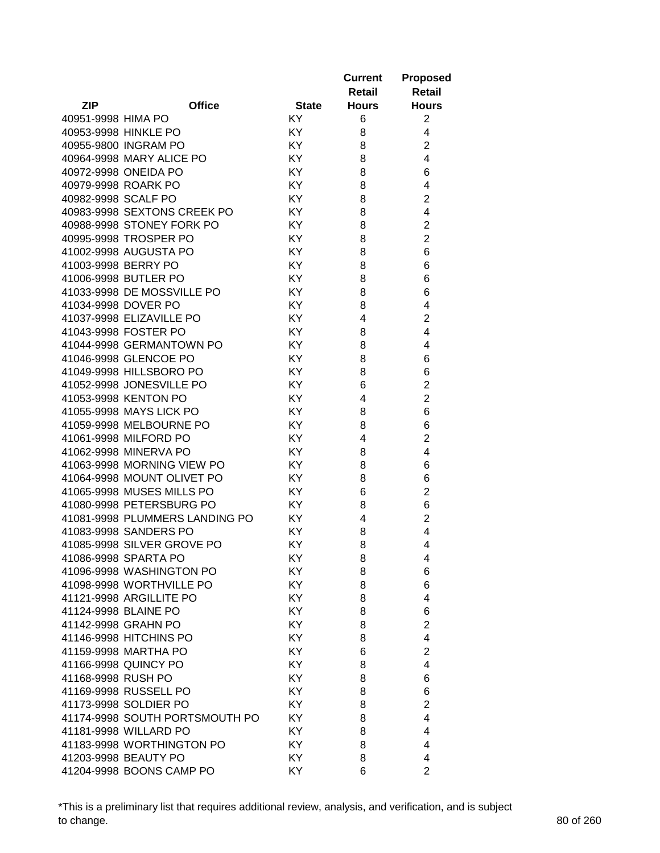|                     |                                                   |              | <b>Current</b> | <b>Proposed</b>         |
|---------------------|---------------------------------------------------|--------------|----------------|-------------------------|
|                     |                                                   |              | Retail         | Retail                  |
| <b>ZIP</b>          | <b>Office</b>                                     | <b>State</b> | <b>Hours</b>   | <b>Hours</b>            |
| 40951-9998 HIMA PO  |                                                   | KY           | 6              | 2                       |
|                     | 40953-9998 HINKLE PO                              | KY           | 8              | 4                       |
|                     | 40955-9800 INGRAM PO                              | KY           | 8              | $\overline{2}$          |
|                     | 40964-9998 MARY ALICE PO                          | KY           | 8              | $\overline{4}$          |
|                     | 40972-9998 ONEIDA PO                              | KY.          | 8              | 6                       |
|                     | 40979-9998 ROARK PO                               | KY           | 8              | 4                       |
| 40982-9998 SCALF PO |                                                   | KY           | 8              | $\overline{c}$          |
|                     | 40983-9998 SEXTONS CREEK PO                       | KY           | 8              | 4                       |
|                     | 40988-9998 STONEY FORK PO                         | KY.          | 8              | $\overline{2}$          |
|                     | 40995-9998 TROSPER PO                             | KY.          | 8              | $\overline{2}$          |
|                     | 41002-9998 AUGUSTA PO                             | KY           | 8              | 6                       |
| 41003-9998 BERRY PO |                                                   | KY           | 8              | 6                       |
|                     | 41006-9998 BUTLER PO                              | KY.          | 8              | 6                       |
|                     | 41033-9998 DE MOSSVILLE PO                        | KY           | 8              | 6                       |
|                     | 41034-9998 DOVER PO                               | KY           | 8              | 4                       |
|                     | 41037-9998 ELIZAVILLE PO                          | KY           | 4              | $\overline{2}$          |
|                     | 41043-9998 FOSTER PO                              | KY           | 8              | 4                       |
|                     | 41044-9998 GERMANTOWN PO                          | KY.          | 8              | 4                       |
|                     | 41046-9998 GLENCOE PO                             | KY           | 8              | 6                       |
|                     | 41049-9998 HILLSBORO PO                           | KY           | 8              | 6                       |
|                     | 41052-9998 JONESVILLE PO                          | KY           | 6              | $\overline{c}$          |
|                     | 41053-9998 KENTON PO                              | KY           | 4              | $\overline{2}$          |
|                     | 41055-9998 MAYS LICK PO                           | KY           |                | 6                       |
|                     | 41059-9998 MELBOURNE PO                           | KY           | 8<br>8         | 6                       |
|                     | 41061-9998 MILFORD PO                             | KY           | 4              | $\overline{2}$          |
|                     | 41062-9998 MINERVA PO                             | KY           |                | 4                       |
|                     | 41063-9998 MORNING VIEW PO                        | KY           | 8<br>8         | 6                       |
|                     | 41064-9998 MOUNT OLIVET PO                        | KY.          | 8              | 6                       |
|                     | 41065-9998 MUSES MILLS PO                         | KY.          | 6              | $\overline{\mathbf{c}}$ |
|                     | 41080-9998 PETERSBURG PO                          | KY.          |                | 6                       |
|                     | 41081-9998 PLUMMERS LANDING PO                    | KY           | 8<br>4         | $\overline{c}$          |
|                     | 41083-9998 SANDERS PO                             | KY           | 8              | 4                       |
|                     | 41085-9998 SILVER GROVE PO                        | KY           | 8              | 4                       |
|                     | 41086-9998 SPARTA PO                              | KY           | 8              | 4                       |
|                     | 41096-9998 WASHINGTON PO                          | KY           |                |                         |
|                     | 41098-9998 WORTHVILLE PO                          | KY           | 8<br>8         | 6<br>6                  |
|                     | 41121-9998 ARGILLITE PO                           | KY           | 8              | 4                       |
|                     | 41124-9998 BLAINE PO                              | KY           | 8              | 6                       |
|                     | 41142-9998 GRAHN PO                               | KY           | 8              | $\overline{2}$          |
|                     |                                                   | KY           |                | 4                       |
|                     | 41146-9998 HITCHINS PO<br>41159-9998 MARTHA PO    | KY           | 8<br>6         | $\overline{2}$          |
|                     | 41166-9998 QUINCY PO                              | KY           |                | 4                       |
| 41168-9998 RUSH PO  |                                                   |              | 8              |                         |
|                     | 41169-9998 RUSSELL PO                             | KY           | 8              | 6                       |
|                     |                                                   | KY           | 8              | 6                       |
|                     | 41173-9998 SOLDIER PO                             | KY           | 8              | $\overline{2}$          |
|                     | 41174-9998 SOUTH PORTSMOUTH PO                    | KY           | 8              | 4                       |
|                     | 41181-9998 WILLARD PO                             | KY           | 8              | 4                       |
|                     | 41183-9998 WORTHINGTON PO<br>41203-9998 BEAUTY PO | KY           | 8              | 4                       |
|                     | 41204-9998 BOONS CAMP PO                          | KY<br>KY     | 8<br>6         | 4<br>$\overline{2}$     |
|                     |                                                   |              |                |                         |

\*This is a preliminary list that requires additional review, analysis, and verification, and is subject to change. 80 of 260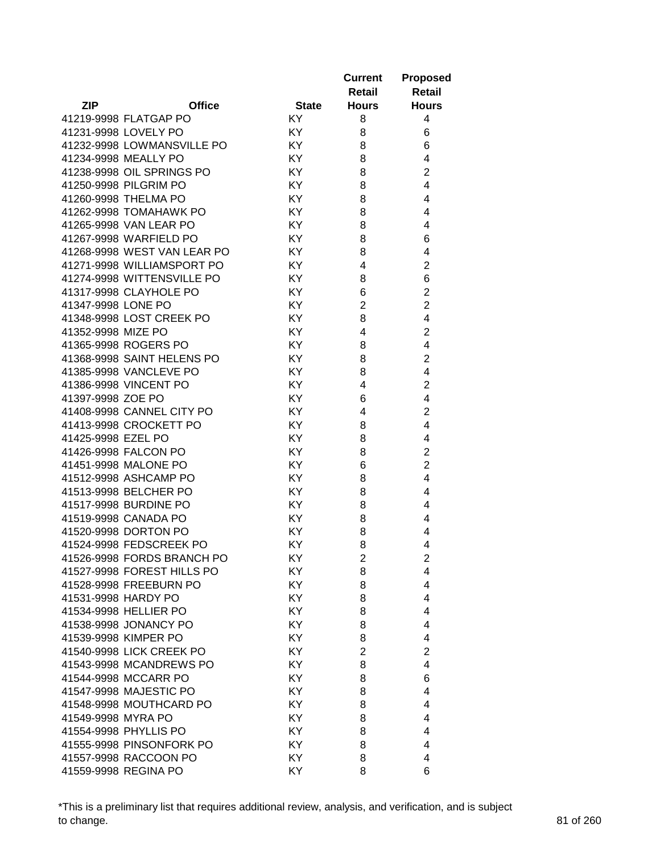|                    |                             |              | <b>Current</b><br>Retail | <b>Proposed</b><br><b>Retail</b> |
|--------------------|-----------------------------|--------------|--------------------------|----------------------------------|
| <b>ZIP</b>         | <b>Office</b>               | <b>State</b> | <b>Hours</b>             | <b>Hours</b>                     |
|                    | 41219-9998 FLATGAP PO       | KY           | 8                        | 4                                |
|                    | 41231-9998 LOVELY PO        | KY.          | 8                        | 6                                |
|                    | 41232-9998 LOWMANSVILLE PO  | KY           | 8                        | 6                                |
|                    | 41234-9998 MEALLY PO        | KY           | 8                        | 4                                |
|                    | 41238-9998 OIL SPRINGS PO   | KY           | 8                        | $\overline{2}$                   |
|                    | 41250-9998 PILGRIM PO       | KY           | 8                        | $\overline{4}$                   |
|                    | 41260-9998 THELMA PO        | KY           | 8                        | 4                                |
|                    | 41262-9998 TOMAHAWK PO      | KY           | 8                        | 4                                |
|                    | 41265-9998 VAN LEAR PO      | KY           | 8                        | 4                                |
|                    | 41267-9998 WARFIELD PO      | KY           | 8                        | 6                                |
|                    | 41268-9998 WEST VAN LEAR PO | KY           | 8                        | 4                                |
|                    | 41271-9998 WILLIAMSPORT PO  | KY           | 4                        | $\overline{2}$                   |
|                    | 41274-9998 WITTENSVILLE PO  | KY           | 8                        | 6                                |
|                    | 41317-9998 CLAYHOLE PO      | KY           | 6                        | $\overline{c}$                   |
| 41347-9998 LONE PO |                             | KY           | $\overline{2}$           | $\overline{2}$                   |
|                    | 41348-9998 LOST CREEK PO    | KY           | 8                        | 4                                |
| 41352-9998 MIZE PO |                             | KY           | 4                        | $\overline{c}$                   |
|                    | 41365-9998 ROGERS PO        | KY           | 8                        | 4                                |
|                    | 41368-9998 SAINT HELENS PO  | KY           | 8                        | $\overline{2}$                   |
|                    | 41385-9998 VANCLEVE PO      | KY           | 8                        | 4                                |
|                    | 41386-9998 VINCENT PO       | KY           | 4                        | $\overline{2}$                   |
| 41397-9998 ZOE PO  |                             | KY           | 6                        | $\overline{4}$                   |
|                    | 41408-9998 CANNEL CITY PO   | KY           | 4                        | $\overline{2}$                   |
|                    | 41413-9998 CROCKETT PO      | KY           | 8                        | $\overline{4}$                   |
| 41425-9998 EZEL PO |                             | KY           | 8                        | 4                                |
|                    | 41426-9998 FALCON PO        | KY           | 8                        | $\overline{2}$                   |
|                    | 41451-9998 MALONE PO        | KY           | 6                        | $\overline{2}$                   |
|                    | 41512-9998 ASHCAMP PO       | KY           | 8                        | 4                                |
|                    | 41513-9998 BELCHER PO       | KY           | 8                        | 4                                |
|                    | 41517-9998 BURDINE PO       | KY.          | 8                        | 4                                |
|                    | 41519-9998 CANADA PO        | KY.          | 8                        | 4                                |
|                    | 41520-9998 DORTON PO        | KY.          | 8                        | 4                                |
|                    | 41524-9998 FEDSCREEK PO     | KY           | 8                        | 4                                |
|                    | 41526-9998 FORDS BRANCH PO  | KY.          | 2                        | 2                                |
|                    | 41527-9998 FOREST HILLS PO  | KY           | 8                        | 4                                |
|                    | 41528-9998 FREEBURN PO      | KY           | 8                        | 4                                |
|                    | 41531-9998 HARDY PO         | KY           | 8                        | 4                                |
|                    | 41534-9998 HELLIER PO       | KY           | 8                        | $\overline{4}$                   |
|                    | 41538-9998 JONANCY PO       | KY           | 8                        | 4                                |
|                    | 41539-9998 KIMPER PO        | KY           | 8                        | 4                                |
|                    | 41540-9998 LICK CREEK PO    | KY           | $\overline{2}$           | $\overline{2}$                   |
|                    | 41543-9998 MCANDREWS PO     | KY           | 8                        | 4                                |
|                    | 41544-9998 MCCARR PO        | KY           | 8                        | 6                                |
|                    | 41547-9998 MAJESTIC PO      | KY           | 8                        | 4                                |
|                    | 41548-9998 MOUTHCARD PO     | KY           | 8                        | 4                                |
| 41549-9998 MYRA PO |                             | KY           | 8                        | 4                                |
|                    | 41554-9998 PHYLLIS PO       | KY           | 8                        | 4                                |
|                    | 41555-9998 PINSONFORK PO    | KY           | 8                        | 4                                |
|                    | 41557-9998 RACCOON PO       | KY           | 8                        | 4                                |
|                    | 41559-9998 REGINA PO        | KY           | 8                        | 6                                |

\*This is a preliminary list that requires additional review, analysis, and verification, and is subject to change. 81 of 260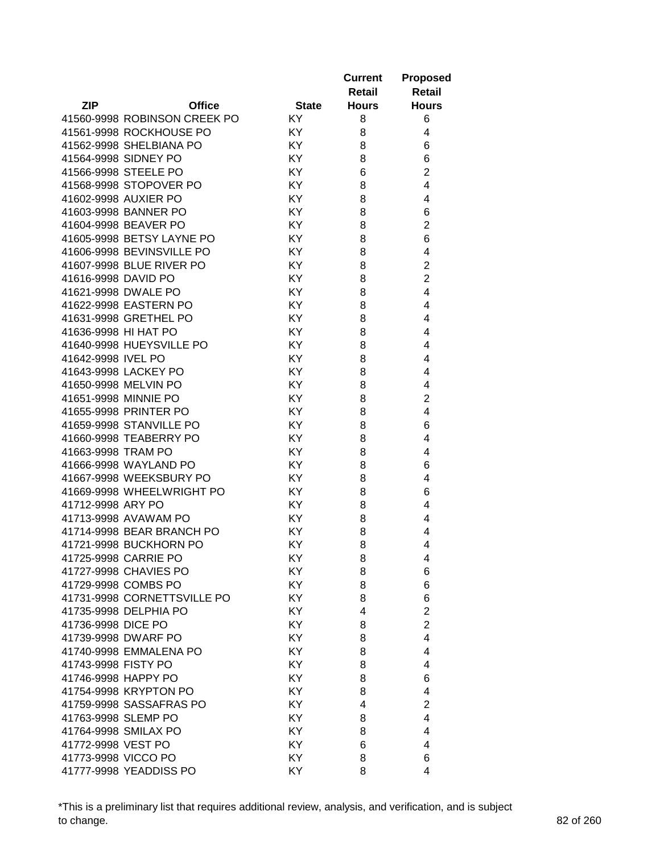|                      |                              |              | <b>Current</b><br>Retail | <b>Proposed</b><br>Retail |
|----------------------|------------------------------|--------------|--------------------------|---------------------------|
| <b>ZIP</b>           | <b>Office</b>                | <b>State</b> | <b>Hours</b>             | <b>Hours</b>              |
|                      | 41560-9998 ROBINSON CREEK PO | KY.          | 8                        | 6                         |
|                      | 41561-9998 ROCKHOUSE PO      | KY.          | 8                        | 4                         |
|                      | 41562-9998 SHELBIANA PO      | KY           | 8                        | 6                         |
|                      | 41564-9998 SIDNEY PO         | KY           | 8                        | 6                         |
|                      | 41566-9998 STEELE PO         | KY           | 6                        | $\overline{2}$            |
|                      | 41568-9998 STOPOVER PO       | KY           | 8                        | 4                         |
|                      | 41602-9998 AUXIER PO         | KY           | 8                        | 4                         |
|                      | 41603-9998 BANNER PO         | KY           | 8                        | 6                         |
|                      | 41604-9998 BEAVER PO         | KY           | 8                        | $\overline{2}$            |
|                      | 41605-9998 BETSY LAYNE PO    | KY           | 8                        | 6                         |
|                      | 41606-9998 BEVINSVILLE PO    | KY           | 8                        | 4                         |
|                      | 41607-9998 BLUE RIVER PO     | KY           | 8                        | $\overline{2}$            |
| 41616-9998 DAVID PO  |                              | KY           | 8                        | $\overline{2}$            |
| 41621-9998 DWALE PO  |                              | KY           | 8                        | 4                         |
|                      | 41622-9998 EASTERN PO        | KY           | 8                        | 4                         |
|                      | 41631-9998 GRETHEL PO        | KY           | 8                        | 4                         |
| 41636-9998 HI HAT PO |                              | KY           | 8                        | 4                         |
|                      | 41640-9998 HUEYSVILLE PO     | KY           | 8                        | 4                         |
| 41642-9998 IVEL PO   |                              | KY           | 8                        | 4                         |
|                      | 41643-9998 LACKEY PO         | KY           | 8                        | 4                         |
|                      | 41650-9998 MELVIN PO         | KY           | 8                        | 4                         |
| 41651-9998 MINNIE PO |                              | KY           | 8                        | $\overline{2}$            |
|                      | 41655-9998 PRINTER PO        | KY           | 8                        | 4                         |
|                      | 41659-9998 STANVILLE PO      | KY           | 8                        | 6                         |
|                      | 41660-9998 TEABERRY PO       | KY           | 8                        | 4                         |
| 41663-9998 TRAM PO   |                              | KY           | 8                        | 4                         |
|                      | 41666-9998 WAYLAND PO        | KY           | 8                        | 6                         |
|                      | 41667-9998 WEEKSBURY PO      | KY           | 8                        | 4                         |
|                      | 41669-9998 WHEELWRIGHT PO    | KY.          | 8                        | 6                         |
| 41712-9998 ARY PO    |                              | KY.          | 8                        | 4                         |
|                      | 41713-9998 AVAWAM PO         | KY.          | 8                        | 4                         |
|                      | 41714-9998 BEAR BRANCH PO    | ΚY           | 8                        | 4                         |
|                      | 41721-9998 BUCKHORN PO       | ΚY           | 8                        | 4                         |
|                      | 41725-9998 CARRIE PO         | ΚY           | 8                        | 4                         |
|                      | 41727-9998 CHAVIES PO        | KY           | 8                        | 6                         |
|                      | 41729-9998 COMBS PO          | KY           | 8                        | 6                         |
|                      | 41731-9998 CORNETTSVILLE PO  | KY           | 8                        | 6                         |
|                      | 41735-9998 DELPHIA PO        | KY           | 4                        | $\overline{2}$            |
| 41736-9998 DICE PO   |                              | KY           | 8                        | $\overline{2}$            |
|                      | 41739-9998 DWARF PO          | KY           | 8                        | 4                         |
|                      | 41740-9998 EMMALENA PO       | KY           | 8                        | 4                         |
| 41743-9998 FISTY PO  |                              | KY           | 8                        | 4                         |
| 41746-9998 HAPPY PO  |                              | KY           | 8                        | 6                         |
|                      | 41754-9998 KRYPTON PO        | KY           | 8                        | 4                         |
|                      | 41759-9998 SASSAFRAS PO      | KY           | 4                        | $\overline{2}$            |
| 41763-9998 SLEMP PO  |                              | KY           | 8                        | 4                         |
|                      | 41764-9998 SMILAX PO         | KY           | 8                        | 4                         |
| 41772-9998 VEST PO   |                              | KY           | 6                        | 4                         |
| 41773-9998 VICCO PO  |                              | KY           | 8                        | 6                         |
|                      | 41777-9998 YEADDISS PO       | KY           | 8                        | 4                         |

\*This is a preliminary list that requires additional review, analysis, and verification, and is subject to change. 82 of 260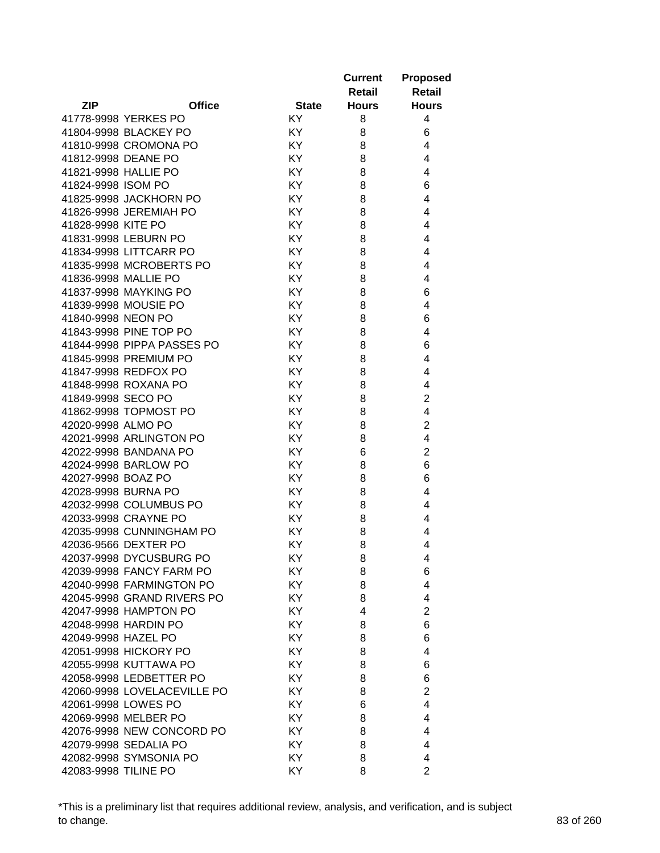|                      |                             |              | <b>Current</b> | <b>Proposed</b> |
|----------------------|-----------------------------|--------------|----------------|-----------------|
|                      |                             |              | <b>Retail</b>  | Retail          |
| <b>ZIP</b>           | <b>Office</b>               | <b>State</b> | <b>Hours</b>   | <b>Hours</b>    |
|                      | 41778-9998 YERKES PO        | KY           | 8              | 4               |
|                      | 41804-9998 BLACKEY PO       | KY           | 8              | 6               |
|                      | 41810-9998 CROMONA PO       | KY           | 8              | 4               |
|                      | 41812-9998 DEANE PO         | KY           | 8              | 4               |
|                      | 41821-9998 HALLIE PO        | KY           | 8              | 4               |
| 41824-9998 ISOM PO   |                             | KY           | 8              | 6               |
|                      | 41825-9998 JACKHORN PO      | KY           | 8              | 4               |
|                      | 41826-9998 JEREMIAH PO      | KY           | 8              | 4               |
| 41828-9998 KITE PO   |                             | KY           | 8              | 4               |
|                      | 41831-9998 LEBURN PO        | KY           | 8              | 4               |
|                      | 41834-9998 LITTCARR PO      | KY           | 8              | 4               |
|                      | 41835-9998 MCROBERTS PO     | KY           | 8              | 4               |
|                      | 41836-9998 MALLIE PO        | KY           | 8              | 4               |
|                      | 41837-9998 MAYKING PO       | KY           | 8              | 6               |
|                      | 41839-9998 MOUSIE PO        | KY           | 8              | 4               |
| 41840-9998 NEON PO   |                             | KY           | 8              | 6               |
|                      | 41843-9998 PINE TOP PO      | KY           | 8              | 4               |
|                      | 41844-9998 PIPPA PASSES PO  | KY           | 8              | 6               |
|                      | 41845-9998 PREMIUM PO       | KY           | 8              | 4               |
|                      | 41847-9998 REDFOX PO        | KY           | 8              | 4               |
|                      | 41848-9998 ROXANA PO        | KY           | 8              | 4               |
| 41849-9998 SECO PO   |                             | KY           | 8              | $\overline{2}$  |
|                      | 41862-9998 TOPMOST PO       | KY           | 8              | 4               |
| 42020-9998 ALMO PO   |                             | KY           | 8              | $\overline{2}$  |
|                      | 42021-9998 ARLINGTON PO     | KY           | 8              | 4               |
|                      | 42022-9998 BANDANA PO       | KY           | 6              | $\overline{2}$  |
|                      | 42024-9998 BARLOW PO        | KY           | 8              | 6               |
| 42027-9998 BOAZ PO   |                             | KY           | 8              | 6               |
|                      | 42028-9998 BURNA PO         | KY           | 8              | 4               |
|                      | 42032-9998 COLUMBUS PO      | KY           | 8              | 4               |
|                      | 42033-9998 CRAYNE PO        | KY           | 8              | 4               |
|                      | 42035-9998 CUNNINGHAM PO    | KY           |                | 4               |
|                      | 42036-9566 DEXTER PO        | KY           | 8<br>8         | 4               |
|                      |                             |              |                |                 |
|                      | 42037-9998 DYCUSBURG PO     | KY           | 8              | 4               |
|                      | 42039-9998 FANCY FARM PO    | KY           | 8              | 6               |
|                      | 42040-9998 FARMINGTON PO    | KY           | 8              | 4               |
|                      | 42045-9998 GRAND RIVERS PO  | KY           | 8              | 4               |
|                      | 42047-9998 HAMPTON PO       | KY           | 4              | $\overline{2}$  |
|                      | 42048-9998 HARDIN PO        | KY           | 8              | 6               |
| 42049-9998 HAZEL PO  |                             | KY           | 8              | 6               |
|                      | 42051-9998 HICKORY PO       | KY           | 8              | 4               |
|                      | 42055-9998 KUTTAWA PO       | KY           | 8              | 6               |
|                      | 42058-9998 LEDBETTER PO     | KY           | 8              | 6               |
|                      | 42060-9998 LOVELACEVILLE PO | KY           | 8              | $\overline{2}$  |
|                      | 42061-9998 LOWES PO         | KY           | 6              | 4               |
|                      | 42069-9998 MELBER PO        | KY           | 8              | 4               |
|                      | 42076-9998 NEW CONCORD PO   | KY           | 8              | 4               |
|                      | 42079-9998 SEDALIA PO       | KY           | 8              | 4               |
|                      | 42082-9998 SYMSONIA PO      | KY           | 8              | 4               |
| 42083-9998 TILINE PO |                             | KY           | 8              | $\overline{2}$  |

\*This is a preliminary list that requires additional review, analysis, and verification, and is subject to change. 83 of 260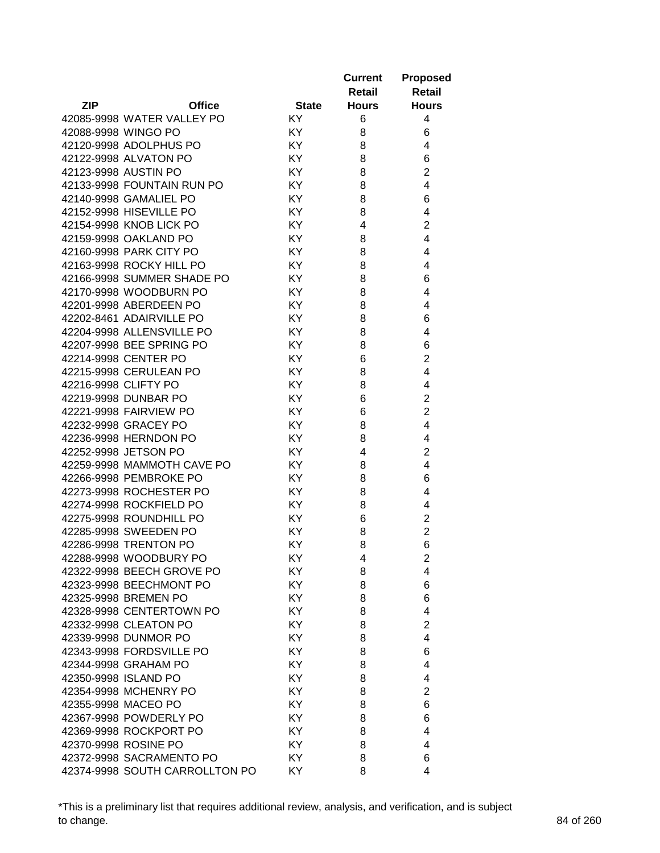|                      |                                |              | <b>Current</b><br>Retail | <b>Proposed</b><br><b>Retail</b> |
|----------------------|--------------------------------|--------------|--------------------------|----------------------------------|
| <b>ZIP</b>           | <b>Office</b>                  | <b>State</b> | <b>Hours</b>             | <b>Hours</b>                     |
|                      | 42085-9998 WATER VALLEY PO     | KY.          | 6                        | 4                                |
|                      | 42088-9998 WINGO PO            | KY.          | 8                        | 6                                |
|                      | 42120-9998 ADOLPHUS PO         | KY           | 8                        | 4                                |
|                      | 42122-9998 ALVATON PO          | KY           | 8                        | 6                                |
|                      | 42123-9998 AUSTIN PO           | KY           | 8                        | $\overline{2}$                   |
|                      | 42133-9998 FOUNTAIN RUN PO     | KY           | 8                        | 4                                |
|                      | 42140-9998 GAMALIEL PO         | KY           | 8                        | 6                                |
|                      | 42152-9998 HISEVILLE PO        | KY           | 8                        | 4                                |
|                      | 42154-9998 KNOB LICK PO        | KY           | 4                        | $\overline{2}$                   |
|                      | 42159-9998 OAKLAND PO          | KY           | 8                        | 4                                |
|                      | 42160-9998 PARK CITY PO        | KY           | 8                        | 4                                |
|                      | 42163-9998 ROCKY HILL PO       | KY           | 8                        | 4                                |
|                      | 42166-9998 SUMMER SHADE PO     | KY           | 8                        | 6                                |
|                      | 42170-9998 WOODBURN PO         | KY           | 8                        | 4                                |
|                      | 42201-9998 ABERDEEN PO         | KY           | 8                        | 4                                |
|                      | 42202-8461 ADAIRVILLE PO       | KY           | 8                        | 6                                |
|                      | 42204-9998 ALLENSVILLE PO      | KY           | 8                        | 4                                |
|                      | 42207-9998 BEE SPRING PO       | KY           | 8                        | 6                                |
|                      | 42214-9998 CENTER PO           | KY           | 6                        | $\overline{2}$                   |
|                      | 42215-9998 CERULEAN PO         | KY           | 8                        | 4                                |
| 42216-9998 CLIFTY PO |                                | KY           | 8                        | 4                                |
|                      | 42219-9998 DUNBAR PO           | KY           | 6                        | $\overline{2}$                   |
|                      | 42221-9998 FAIRVIEW PO         | KY           | 6                        | $\overline{2}$                   |
|                      | 42232-9998 GRACEY PO           | KY           | 8                        | 4                                |
|                      | 42236-9998 HERNDON PO          | KY           | 8                        | 4                                |
|                      | 42252-9998 JETSON PO           | KY           | 4                        | $\overline{2}$                   |
|                      | 42259-9998 MAMMOTH CAVE PO     | KY           | 8                        | 4                                |
|                      | 42266-9998 PEMBROKE PO         | KY           | 8                        | 6                                |
|                      | 42273-9998 ROCHESTER PO        | KY           | 8                        | 4                                |
|                      | 42274-9998 ROCKFIELD PO        | KY.          | 8                        | 4                                |
|                      | 42275-9998 ROUNDHILL PO        | KY.          | 6                        | $\overline{2}$                   |
|                      | 42285-9998 SWEEDEN PO          | KY.          | 8                        | $\overline{2}$                   |
|                      | 42286-9998 TRENTON PO          | KY           | 8                        | 6                                |
|                      | 42288-9998 WOODBURY PO         | KY.          | 4                        | 2                                |
|                      | 42322-9998 BEECH GROVE PO      | KY           | 8                        | 4                                |
|                      | 42323-9998 BEECHMONT PO        | KY           | 8                        | 6                                |
|                      | 42325-9998 BREMEN PO           | KY.          | 8                        | 6                                |
|                      | 42328-9998 CENTERTOWN PO       | KY           | 8                        | 4                                |
|                      | 42332-9998 CLEATON PO          | KY           | 8                        | $\overline{2}$                   |
|                      | 42339-9998 DUNMOR PO           | KY           | 8                        | 4                                |
|                      | 42343-9998 FORDSVILLE PO       | KY           | 8                        | 6                                |
|                      | 42344-9998 GRAHAM PO           | KY           | 8                        | 4                                |
|                      | 42350-9998 ISLAND PO           | KY           | 8                        | 4                                |
|                      | 42354-9998 MCHENRY PO          | KY           | 8                        | 2                                |
|                      | 42355-9998 MACEO PO            | KY           | 8                        | 6                                |
|                      | 42367-9998 POWDERLY PO         | KY           | 8                        | 6                                |
|                      | 42369-9998 ROCKPORT PO         | KY.          | 8                        | 4                                |
|                      | 42370-9998 ROSINE PO           | KY           | 8                        | 4                                |
|                      | 42372-9998 SACRAMENTO PO       | KY.          | 8                        | 6                                |
|                      | 42374-9998 SOUTH CARROLLTON PO | KY.          | 8                        | 4                                |

\*This is a preliminary list that requires additional review, analysis, and verification, and is subject to change. 84 of 260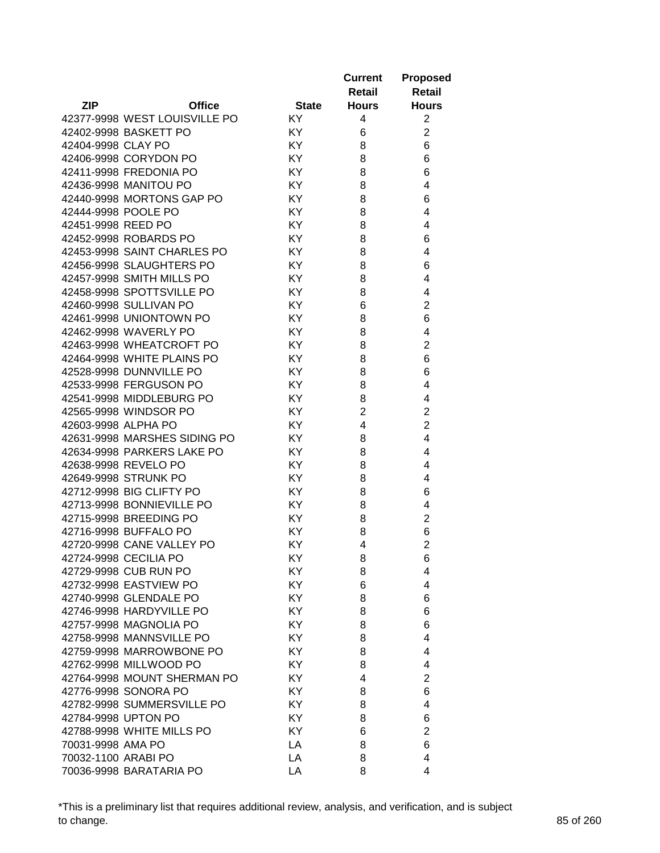|                     |                               |              | <b>Current</b><br>Retail | <b>Proposed</b><br><b>Retail</b> |
|---------------------|-------------------------------|--------------|--------------------------|----------------------------------|
| <b>ZIP</b>          | <b>Office</b>                 | <b>State</b> | <b>Hours</b>             | <b>Hours</b>                     |
|                     | 42377-9998 WEST LOUISVILLE PO | KY.          | 4                        | $\overline{2}$                   |
|                     | 42402-9998 BASKETT PO         | KY.          | 6                        | $\overline{2}$                   |
| 42404-9998 CLAY PO  |                               | KY           | 8                        | 6                                |
|                     | 42406-9998 CORYDON PO         | KY           | 8                        | 6                                |
|                     | 42411-9998 FREDONIA PO        | KY           | 8                        | 6                                |
|                     | 42436-9998 MANITOU PO         | KY           | 8                        | 4                                |
|                     | 42440-9998 MORTONS GAP PO     | KY           | 8                        | 6                                |
| 42444-9998 POOLE PO |                               | KY           | 8                        | 4                                |
| 42451-9998 REED PO  |                               | KY           | 8                        | 4                                |
|                     | 42452-9998 ROBARDS PO         | KY           | 8                        | 6                                |
|                     | 42453-9998 SAINT CHARLES PO   | KY           | 8                        | 4                                |
|                     | 42456-9998 SLAUGHTERS PO      | KY           | 8                        | 6                                |
|                     | 42457-9998 SMITH MILLS PO     | KY           | 8                        | 4                                |
|                     | 42458-9998 SPOTTSVILLE PO     | KY           | 8                        | 4                                |
|                     | 42460-9998 SULLIVAN PO        | KY           | 6                        | $\overline{2}$                   |
|                     | 42461-9998 UNIONTOWN PO       | KY           | 8                        | 6                                |
|                     | 42462-9998 WAVERLY PO         | KY           | 8                        | 4                                |
|                     | 42463-9998 WHEATCROFT PO      | KY.          | 8                        | $\overline{2}$                   |
|                     | 42464-9998 WHITE PLAINS PO    | KY.          | 8                        | 6                                |
|                     | 42528-9998 DUNNVILLE PO       | KY           | 8                        | 6                                |
|                     |                               | KY           |                          | 4                                |
|                     | 42533-9998 FERGUSON PO        |              | 8                        |                                  |
|                     | 42541-9998 MIDDLEBURG PO      | KY           | 8                        | 4                                |
|                     | 42565-9998 WINDSOR PO         | KY           | $\overline{2}$           | $\overline{2}$                   |
| 42603-9998 ALPHA PO |                               | KY           | 4                        | $\overline{2}$                   |
|                     | 42631-9998 MARSHES SIDING PO  | KY           | 8                        | $\overline{4}$                   |
|                     | 42634-9998 PARKERS LAKE PO    | KY           | 8                        | 4                                |
|                     | 42638-9998 REVELO PO          | KY           | 8                        | 4                                |
|                     | 42649-9998 STRUNK PO          | KY           | 8                        | 4                                |
|                     | 42712-9998 BIG CLIFTY PO      | KY           | 8                        | 6                                |
|                     | 42713-9998 BONNIEVILLE PO     | KY.          | 8                        | 4                                |
|                     | 42715-9998 BREEDING PO        | KY.          | 8                        | $\overline{2}$                   |
|                     | 42716-9998 BUFFALO PO         | KY.          | 8                        | 6                                |
|                     | 42720-9998 CANE VALLEY PO     | KY           | 4                        | $\overline{2}$                   |
|                     | 42724-9998 CECILIA PO         | ΚY           | 8                        | 6                                |
|                     | 42729-9998 CUB RUN PO         | KY           | 8                        | 4                                |
|                     | 42732-9998 EASTVIEW PO        | KY           | 6                        | 4                                |
|                     | 42740-9998 GLENDALE PO        | KY           | 8                        | 6                                |
|                     | 42746-9998 HARDYVILLE PO      | <b>KY</b>    | 8                        | 6                                |
|                     | 42757-9998 MAGNOLIA PO        | KY           | 8                        | 6                                |
|                     | 42758-9998 MANNSVILLE PO      | KY           | 8                        | 4                                |
|                     | 42759-9998 MARROWBONE PO      | KY           | 8                        | 4                                |
|                     | 42762-9998 MILLWOOD PO        | KY           | 8                        | 4                                |
|                     | 42764-9998 MOUNT SHERMAN PO   | KY           | 4                        | $\overline{2}$                   |
|                     | 42776-9998 SONORA PO          | KY           | 8                        | 6                                |
|                     | 42782-9998 SUMMERSVILLE PO    | KY           | 8                        | 4                                |
|                     | 42784-9998 UPTON PO           | KY           | 8                        | 6                                |
|                     | 42788-9998 WHITE MILLS PO     | KY           | 6                        | $\overline{2}$                   |
| 70031-9998 AMA PO   |                               | LA           | 8                        | 6                                |
| 70032-1100 ARABI PO |                               | LA           | 8                        | 4                                |
|                     | 70036-9998 BARATARIA PO       | LA           | 8                        | 4                                |

\*This is a preliminary list that requires additional review, analysis, and verification, and is subject to change. 85 of 260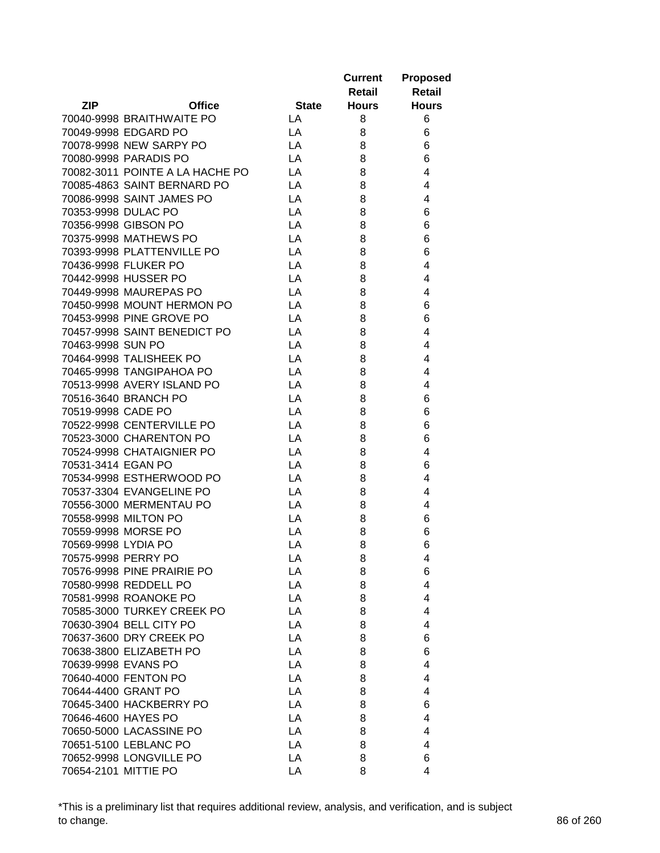|                                                |              | <b>Current</b> | <b>Proposed</b>     |
|------------------------------------------------|--------------|----------------|---------------------|
|                                                |              | Retail         | Retail              |
| <b>ZIP</b><br><b>Office</b>                    | <b>State</b> | <b>Hours</b>   | <b>Hours</b>        |
| 70040-9998 BRAITHWAITE PO                      | LA           | 8              | 6                   |
| 70049-9998 EDGARD PO                           | LA           | 8              | 6                   |
| 70078-9998 NEW SARPY PO                        | LA           | 8              | 6                   |
| 70080-9998 PARADIS PO                          | LA           | 8              | 6                   |
| 70082-3011 POINTE A LA HACHE PO                | LA           | 8              | 4                   |
| 70085-4863 SAINT BERNARD PO                    | LA           | 8              | 4                   |
| 70086-9998 SAINT JAMES PO                      | LA           | 8              | 4                   |
| 70353-9998 DULAC PO                            | LA           | 8              | 6                   |
| 70356-9998 GIBSON PO                           | LA           | 8              | 6                   |
| 70375-9998 MATHEWS PO                          | LA           | 8              | 6                   |
| 70393-9998 PLATTENVILLE PO                     | LA           | 8              | 6                   |
| 70436-9998 FLUKER PO                           | LA           | 8              | 4                   |
| 70442-9998 HUSSER PO                           | LA           | 8              | 4                   |
| 70449-9998 MAUREPAS PO                         | LA           | 8              | 4                   |
| 70450-9998 MOUNT HERMON PO                     | LA           | 8              | 6                   |
| 70453-9998 PINE GROVE PO                       | LA           | 8              | 6                   |
| 70457-9998 SAINT BENEDICT PO                   | LA           | 8              | 4                   |
| 70463-9998 SUN PO                              | LA           | 8              | 4                   |
| 70464-9998 TALISHEEK PO                        | LA           | 8              | 4                   |
| 70465-9998 TANGIPAHOA PO                       | LA           | 8              | 4                   |
| 70513-9998 AVERY ISLAND PO                     | LA           | 8              | 4                   |
| 70516-3640 BRANCH PO                           | LA           | 8              | 6                   |
| 70519-9998 CADE PO                             | LA           | 8              | 6                   |
| 70522-9998 CENTERVILLE PO                      | LA           | 8              | 6                   |
| 70523-3000 CHARENTON PO                        | LA           | 8              | 6                   |
| 70524-9998 CHATAIGNIER PO                      | LA           | 8              | 4                   |
| 70531-3414 EGAN PO                             | LA           | 8              | 6                   |
| 70534-9998 ESTHERWOOD PO                       | LA           | 8              | 4                   |
| 70537-3304 EVANGELINE PO                       | LA           | 8              | 4                   |
| 70556-3000 MERMENTAU PO                        | LA           |                | 4                   |
| 70558-9998 MILTON PO                           | LA           | 8              | 6                   |
| 70559-9998 MORSE PO                            | LA           | 8              |                     |
| 70569-9998 LYDIA PO                            | LA           | 8<br>8         | 6                   |
|                                                |              |                | 6                   |
| 70575-9998 PERRY PO                            | LA           | 8              | 4                   |
| 70576-9998 PINE PRAIRIE PO                     | LA<br>LA     | 8<br>8         | 6<br>$\overline{4}$ |
| 70580-9998 REDDELL PO<br>70581-9998 ROANOKE PO |              |                |                     |
|                                                | LA           | 8              | $\overline{4}$      |
| 70585-3000 TURKEY CREEK PO                     | LA           | 8              | 4                   |
| 70630-3904 BELL CITY PO                        | LA           | 8              | 4                   |
| 70637-3600 DRY CREEK PO                        | LA           | 8              | 6                   |
| 70638-3800 ELIZABETH PO                        | LA           | 8              | 6                   |
| 70639-9998 EVANS PO                            | LA           | 8              | 4                   |
| 70640-4000 FENTON PO                           | LA           | 8              | 4                   |
| 70644-4400 GRANT PO                            | LA           | 8              | 4                   |
| 70645-3400 HACKBERRY PO                        | LA           | 8              | 6                   |
| 70646-4600 HAYES PO                            | LA           | 8              | $\overline{4}$      |
| 70650-5000 LACASSINE PO                        | LA           | 8              | 4                   |
| 70651-5100 LEBLANC PO                          | LA           | 8              | 4                   |
| 70652-9998 LONGVILLE PO                        | LA           | 8              | 6                   |
| 70654-2101 MITTIE PO                           | LA           | 8              | 4                   |

\*This is a preliminary list that requires additional review, analysis, and verification, and is subject to change. 86 of 260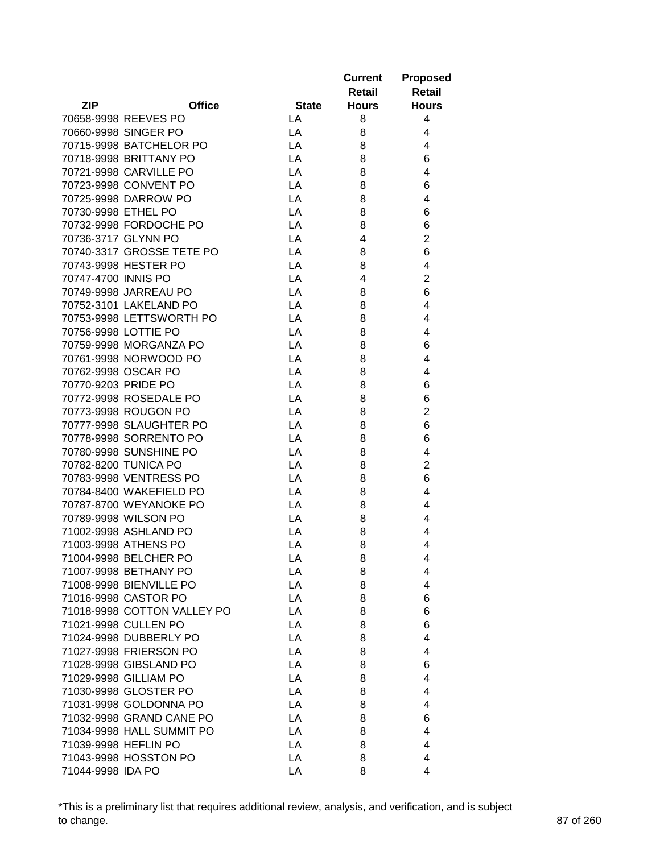|                             |              | <b>Current</b><br>Retail | <b>Proposed</b><br><b>Retail</b> |
|-----------------------------|--------------|--------------------------|----------------------------------|
| <b>ZIP</b><br><b>Office</b> | <b>State</b> | <b>Hours</b>             | <b>Hours</b>                     |
| 70658-9998 REEVES PO        | LA           | 8                        | 4                                |
| 70660-9998 SINGER PO        | LA           | 8                        | 4                                |
| 70715-9998 BATCHELOR PO     | LA           | 8                        | 4                                |
| 70718-9998 BRITTANY PO      | LA           | 8                        | 6                                |
| 70721-9998 CARVILLE PO      | LA           | 8                        | $\overline{4}$                   |
| 70723-9998 CONVENT PO       | LA           | 8                        | 6                                |
| 70725-9998 DARROW PO        | LA           | 8                        | 4                                |
| 70730-9998 ETHEL PO         | LA           | 8                        | 6                                |
| 70732-9998 FORDOCHE PO      | LA           | 8                        | 6                                |
| 70736-3717 GLYNN PO         | LA           | 4                        | $\overline{2}$                   |
| 70740-3317 GROSSE TETE PO   | LA           | 8                        | 6                                |
| 70743-9998 HESTER PO        | LA           | 8                        | 4                                |
| 70747-4700 INNIS PO         | LA           | 4                        | $\overline{2}$                   |
| 70749-9998 JARREAU PO       | LA           | 8                        | 6                                |
| 70752-3101 LAKELAND PO      | LA           | 8                        | 4                                |
| 70753-9998 LETTSWORTH PO    | LA           | 8                        | 4                                |
| 70756-9998 LOTTIE PO        | LA           | 8                        | 4                                |
| 70759-9998 MORGANZA PO      | LA           | 8                        | 6                                |
| 70761-9998 NORWOOD PO       | LA           | 8                        | 4                                |
| 70762-9998 OSCAR PO         | LA           | 8                        | 4                                |
| 70770-9203 PRIDE PO         | LA           | 8                        | 6                                |
| 70772-9998 ROSEDALE PO      | LA           | 8                        | 6                                |
| 70773-9998 ROUGON PO        | LA           | 8                        | $\overline{2}$                   |
| 70777-9998 SLAUGHTER PO     | LA           | 8                        | 6                                |
| 70778-9998 SORRENTO PO      | LA           | 8                        | 6                                |
| 70780-9998 SUNSHINE PO      | LA           | 8                        | 4                                |
| 70782-8200 TUNICA PO        | LA           | 8                        | $\overline{2}$                   |
| 70783-9998 VENTRESS PO      | LA           | 8                        | 6                                |
| 70784-8400 WAKEFIELD PO     | LA           | 8                        | 4                                |
| 70787-8700 WEYANOKE PO      | LA           | 8                        | 4                                |
| 70789-9998 WILSON PO        | LA           | 8                        | 4                                |
| 71002-9998 ASHLAND PO       | LA           | 8                        | 4                                |
| 71003-9998 ATHENS PO        | LA           | 8                        | 4                                |
| 71004-9998 BELCHER PO       | LA           | 8                        | 4                                |
| 71007-9998 BETHANY PO       | LA           | 8                        | 4                                |
| 71008-9998 BIENVILLE PO     | LA           | 8                        | 4                                |
| 71016-9998 CASTOR PO        | LA           | 8                        | 6                                |
| 71018-9998 COTTON VALLEY PO | LA           | 8                        | 6                                |
| 71021-9998 CULLEN PO        | LA           | 8                        | 6                                |
| 71024-9998 DUBBERLY PO      | LA           | 8                        | $\overline{4}$                   |
| 71027-9998 FRIERSON PO      | LA           | 8                        | $\overline{4}$                   |
| 71028-9998 GIBSLAND PO      | LA           | 8                        | 6                                |
| 71029-9998 GILLIAM PO       | LA           | 8                        | 4                                |
| 71030-9998 GLOSTER PO       | LA           | 8                        | 4                                |
| 71031-9998 GOLDONNA PO      | LA           | 8                        | 4                                |
| 71032-9998 GRAND CANE PO    | LA           | 8                        | 6                                |
| 71034-9998 HALL SUMMIT PO   | LA           | 8                        | 4                                |
| 71039-9998 HEFLIN PO        | LA           | 8                        | 4                                |
| 71043-9998 HOSSTON PO       | LA           | 8                        | 4                                |
| 71044-9998 IDA PO           | LA           | 8                        | 4                                |

\*This is a preliminary list that requires additional review, analysis, and verification, and is subject to change. 87 of 260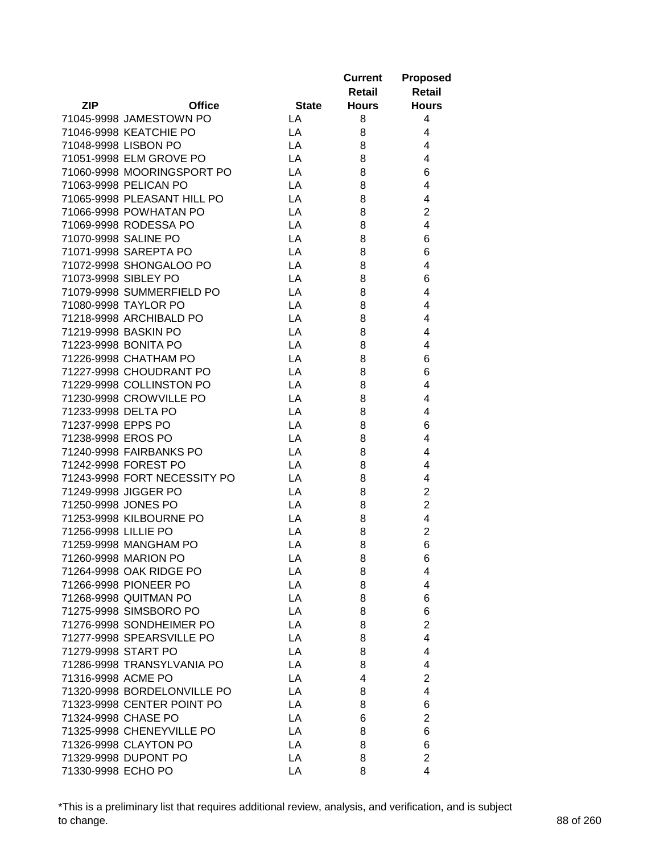|                              |              | <b>Current</b> | <b>Proposed</b>         |
|------------------------------|--------------|----------------|-------------------------|
|                              |              | Retail         | <b>Retail</b>           |
| <b>ZIP</b><br><b>Office</b>  | <b>State</b> | <b>Hours</b>   | <b>Hours</b>            |
| 71045-9998 JAMESTOWN PO      | LA           | 8              | 4                       |
| 71046-9998 KEATCHIE PO       | LA           | 8              | 4                       |
| 71048-9998 LISBON PO         | LA           | 8              | 4                       |
| 71051-9998 ELM GROVE PO      | LA           | 8              | 4                       |
| 71060-9998 MOORINGSPORT PO   | LA           | 8              | 6                       |
| 71063-9998 PELICAN PO        | LA           | 8              | 4                       |
| 71065-9998 PLEASANT HILL PO  | LA           | 8              | 4                       |
| 71066-9998 POWHATAN PO       | LA           | 8              | $\overline{2}$          |
| 71069-9998 RODESSA PO        | LA           | 8              | 4                       |
| 71070-9998 SALINE PO         | LA           | 8              | 6                       |
| 71071-9998 SAREPTA PO        | LA           | 8              | 6                       |
| 71072-9998 SHONGALOO PO      | LA           | 8              | 4                       |
| 71073-9998 SIBLEY PO         | LA           | 8              | 6                       |
| 71079-9998 SUMMERFIELD PO    | LA           | 8              | 4                       |
| 71080-9998 TAYLOR PO         | LA           | 8              | 4                       |
| 71218-9998 ARCHIBALD PO      | LA           | 8              | 4                       |
| 71219-9998 BASKIN PO         | LA           | 8              | 4                       |
| 71223-9998 BONITA PO         | LA           | 8              | 4                       |
| 71226-9998 CHATHAM PO        | LA           | 8              | 6                       |
| 71227-9998 CHOUDRANT PO      | LA           | 8              | 6                       |
| 71229-9998 COLLINSTON PO     | LA           | 8              | 4                       |
| 71230-9998 CROWVILLE PO      | LA           | 8              | 4                       |
| 71233-9998 DELTA PO          | LA           | 8              | 4                       |
| 71237-9998 EPPS PO           | LA           | 8              | 6                       |
| 71238-9998 EROS PO           | LA           | 8              | 4                       |
| 71240-9998 FAIRBANKS PO      | LA           | 8              | 4                       |
| 71242-9998 FOREST PO         | LA           | 8              | 4                       |
| 71243-9998 FORT NECESSITY PO | LA           | 8              | 4                       |
| 71249-9998 JIGGER PO         | LA           | 8              | $\overline{\mathbf{c}}$ |
| 71250-9998 JONES PO          | LA           | 8              | $\overline{2}$          |
| 71253-9998 KILBOURNE PO      | LA           | 8              | 4                       |
| 71256-9998 LILLIE PO         | LA           | 8              | $\overline{2}$          |
| 71259-9998 MANGHAM PO        | LA           | 8              | 6                       |
| 71260-9998 MARION PO         | LA           | 8              | 6                       |
| 71264-9998 OAK RIDGE PO      | LA           | 8              | 4                       |
| 71266-9998 PIONEER PO        | LA           | 8              | 4                       |
| 71268-9998 QUITMAN PO        | LA           | 8              | 6                       |
| 71275-9998 SIMSBORO PO       | LA           | 8              | 6                       |
| 71276-9998 SONDHEIMER PO     | LA           | 8              | $\overline{2}$          |
| 71277-9998 SPEARSVILLE PO    | LA           | 8              | 4                       |
| 71279-9998 START PO          | LA           | 8              | 4                       |
| 71286-9998 TRANSYLVANIA PO   | LA           | 8              | 4                       |
| 71316-9998 ACME PO           | LA           | 4              | $\overline{2}$          |
| 71320-9998 BORDELONVILLE PO  | LA           | 8              | 4                       |
| 71323-9998 CENTER POINT PO   | LA           | 8              | 6                       |
| 71324-9998 CHASE PO          | LA           | 6              | $\overline{c}$          |
| 71325-9998 CHENEYVILLE PO    | LA           | 8              | 6                       |
| 71326-9998 CLAYTON PO        | LA           | 8              | 6                       |
| 71329-9998 DUPONT PO         | LA           | 8              | $\overline{2}$          |
| 71330-9998 ECHO PO           | LA           | 8              | 4                       |

\*This is a preliminary list that requires additional review, analysis, and verification, and is subject to change. 88 of 260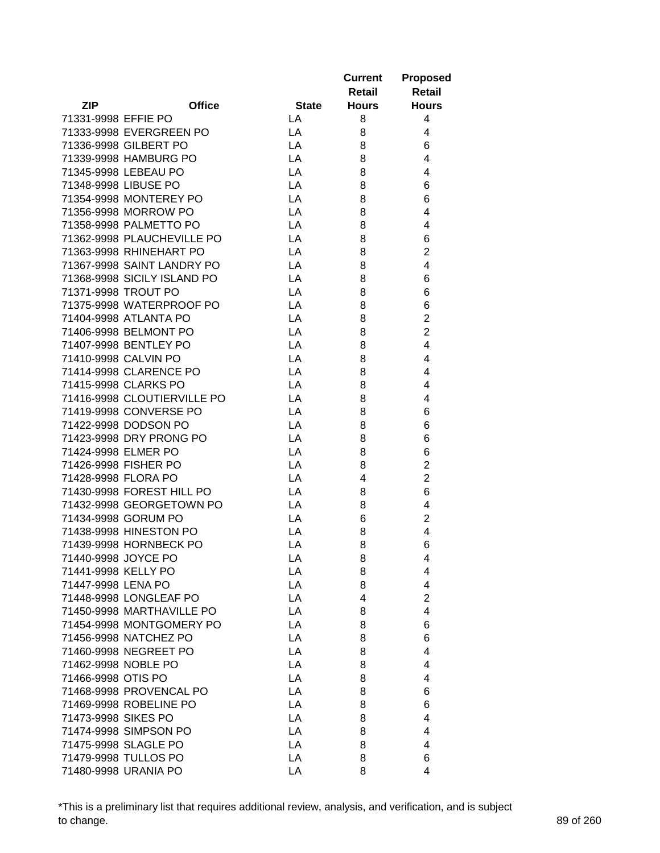|                     |                                                |              | <b>Current</b> | <b>Proposed</b>                  |
|---------------------|------------------------------------------------|--------------|----------------|----------------------------------|
|                     |                                                |              | Retail         | <b>Retail</b>                    |
| <b>ZIP</b>          | <b>Office</b>                                  | <b>State</b> | <b>Hours</b>   | <b>Hours</b>                     |
| 71331-9998 EFFIE PO |                                                | LA           | 8              | 4                                |
|                     | 71333-9998 EVERGREEN PO                        | LA           | 8              | 4                                |
|                     | 71336-9998 GILBERT PO                          | LA           | 8              | 6                                |
|                     | 71339-9998 HAMBURG PO                          | LA           | 8              | 4                                |
|                     | 71345-9998 LEBEAU PO                           | LA           | 8              | 4                                |
|                     | 71348-9998 LIBUSE PO                           | LA           | 8              | 6                                |
|                     | 71354-9998 MONTEREY PO                         | LA           | 8              | 6                                |
|                     | 71356-9998 MORROW PO                           | LA           | 8              | 4                                |
|                     | 71358-9998 PALMETTO PO                         | LA           | 8              | 4                                |
|                     | 71362-9998 PLAUCHEVILLE PO                     | LA           | 8              | 6                                |
|                     | 71363-9998 RHINEHART PO                        | LA           | 8              | $\overline{c}$                   |
|                     | 71367-9998 SAINT LANDRY PO                     | LA           | 8              | 4                                |
|                     | 71368-9998 SICILY ISLAND PO                    | LA           | 8              | 6                                |
|                     | 71371-9998 TROUT PO                            | LA           | 8              | 6                                |
|                     | 71375-9998 WATERPROOF PO                       | LA           | 8              | 6                                |
|                     | 71404-9998 ATLANTA PO                          | LA           | 8              | $\overline{2}$                   |
|                     | 71406-9998 BELMONT PO                          | LA           | 8              | $\overline{2}$                   |
|                     | 71407-9998 BENTLEY PO                          | LA           | 8              | $\overline{4}$                   |
|                     | 71410-9998 CALVIN PO                           | LA           | 8              | 4                                |
|                     | 71414-9998 CLARENCE PO                         | LA           | 8              | 4                                |
|                     | 71415-9998 CLARKS PO                           | LA           | 8              | 4                                |
|                     | 71416-9998 CLOUTIERVILLE PO                    | LA           | 8              | 4                                |
|                     | 71419-9998 CONVERSE PO                         |              |                |                                  |
|                     |                                                | LA           | 8              | 6                                |
|                     | 71422-9998 DODSON PO                           | LA           | 8              | 6                                |
|                     | 71423-9998 DRY PRONG PO<br>71424-9998 ELMER PO | LA<br>LA     | 8              | 6                                |
|                     |                                                |              | 8              | 6                                |
|                     | 71426-9998 FISHER PO                           | LA           | 8<br>4         | $\overline{c}$<br>$\overline{2}$ |
| 71428-9998 FLORA PO |                                                | LA           |                |                                  |
|                     | 71430-9998 FOREST HILL PO                      | LA           | 8              | 6                                |
|                     | 71432-9998 GEORGETOWN PO                       | LA           | 8              | 4                                |
|                     | 71434-9998 GORUM PO                            | LA           | 6              | $\overline{2}$                   |
|                     | 71438-9998 HINESTON PO                         | LA           | 8              | 4                                |
|                     | 71439-9998 HORNBECK PO                         | LA           | 8              | 6                                |
| 71440-9998 JOYCE PO |                                                | LA           | 8              | 4                                |
| 71441-9998 KELLY PO |                                                | LA           | 8              | 4                                |
| 71447-9998 LENA PO  |                                                | LA           | 8              | 4                                |
|                     | 71448-9998 LONGLEAF PO                         | LA           | 4              | $\overline{2}$                   |
|                     | 71450-9998 MARTHAVILLE PO                      | LA           | 8              | $\overline{4}$                   |
|                     | 71454-9998 MONTGOMERY PO                       | LA           | 8              | 6                                |
|                     | 71456-9998 NATCHEZ PO                          | LA           | 8              | 6                                |
|                     | 71460-9998 NEGREET PO                          | LA           | 8              | 4                                |
| 71462-9998 NOBLE PO |                                                | LA           | 8              | 4                                |
| 71466-9998 OTIS PO  |                                                | LA           | 8              | 4                                |
|                     | 71468-9998 PROVENCAL PO                        | LA           | 8              | 6                                |
|                     | 71469-9998 ROBELINE PO                         | LA           | 8              | 6                                |
| 71473-9998 SIKES PO |                                                | LA           | 8              | 4                                |
|                     | 71474-9998 SIMPSON PO                          | LA           | 8              | 4                                |
|                     | 71475-9998 SLAGLE PO                           | LA           | 8              | 4                                |
|                     | 71479-9998 TULLOS PO                           | LA           | 8              | 6                                |
|                     | 71480-9998 URANIA PO                           | LA           | 8              | 4                                |

\*This is a preliminary list that requires additional review, analysis, and verification, and is subject to change. 89 of 260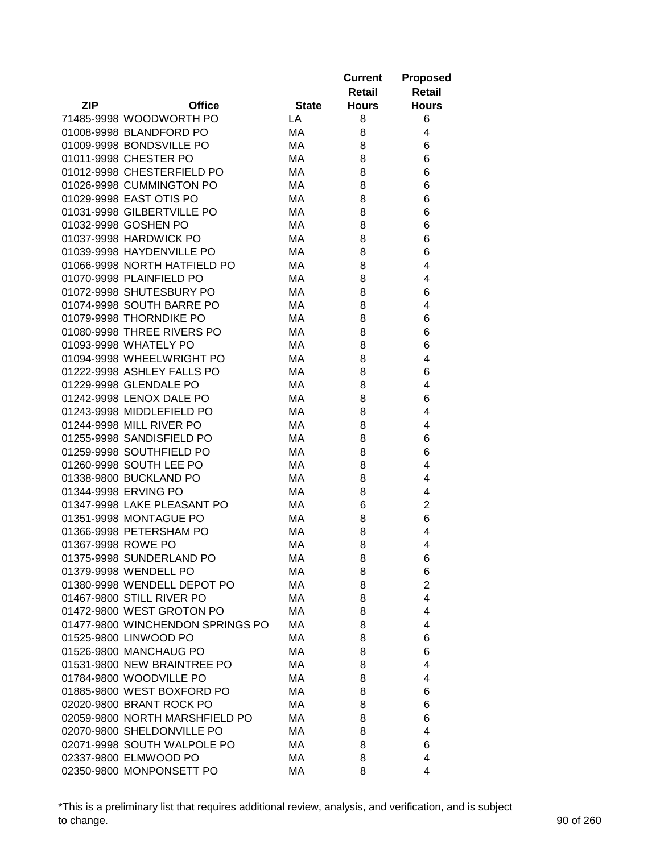|                                  |              | <b>Current</b> | <b>Proposed</b> |
|----------------------------------|--------------|----------------|-----------------|
|                                  |              | Retail         | <b>Retail</b>   |
| <b>ZIP</b><br><b>Office</b>      | <b>State</b> | <b>Hours</b>   | <b>Hours</b>    |
| 71485-9998 WOODWORTH PO          | LA           | 8              | 6               |
| 01008-9998 BLANDFORD PO          | MA           | 8              | 4               |
| 01009-9998 BONDSVILLE PO         | MA           | 8              | 6               |
| 01011-9998 CHESTER PO            | МA           | 8              | 6               |
| 01012-9998 CHESTERFIELD PO       | МA           | 8              | 6               |
| 01026-9998 CUMMINGTON PO         | МA           | 8              | 6               |
| 01029-9998 EAST OTIS PO          | МA           | 8              | 6               |
| 01031-9998 GILBERTVILLE PO       | МA           | 8              | 6               |
| 01032-9998 GOSHEN PO             | MA.          | 8              | 6               |
| 01037-9998 HARDWICK PO           | МA           | 8              | 6               |
| 01039-9998 HAYDENVILLE PO        | МA           | 8              | 6               |
| 01066-9998 NORTH HATFIELD PO     | МA           | 8              | 4               |
| 01070-9998 PLAINFIELD PO         | МA           | 8              | 4               |
| 01072-9998 SHUTESBURY PO         | МA           | 8              | 6               |
| 01074-9998 SOUTH BARRE PO        | МA           | 8              | 4               |
| 01079-9998 THORNDIKE PO          | МA           | 8              | 6               |
| 01080-9998 THREE RIVERS PO       | МA           | 8              | 6               |
| 01093-9998 WHATELY PO            | MA           | 8              | 6               |
| 01094-9998 WHEELWRIGHT PO        | MA           | 8              | 4               |
| 01222-9998 ASHLEY FALLS PO       | МA           | 8              | 6               |
| 01229-9998 GLENDALE PO           | МA           | 8              | 4               |
| 01242-9998 LENOX DALE PO         | МA           | 8              | 6               |
| 01243-9998 MIDDLEFIELD PO        | МA           | 8              | 4               |
| 01244-9998 MILL RIVER PO         | МA           | 8              | 4               |
| 01255-9998 SANDISFIELD PO        | MA.          | 8              | 6               |
| 01259-9998 SOUTHFIELD PO         | МA           | 8              | 6               |
| 01260-9998 SOUTH LEE PO          | МA           | 8              | 4               |
| 01338-9800 BUCKLAND PO           | МA           | 8              | 4               |
| 01344-9998 ERVING PO             | MA.          | 8              | 4               |
| 01347-9998 LAKE PLEASANT PO      | МA           | 6              | $\overline{2}$  |
| 01351-9998 MONTAGUE PO           | МA           | 8              | 6               |
| 01366-9998 PETERSHAM PO          | MA           | 8              | 4               |
| 01367-9998 ROWE PO               | MA           | 8              | 4               |
| 01375-9998 SUNDERLAND PO         | MA           | 8              | 6               |
| 01379-9998 WENDELL PO            | МA           | 8              | 6               |
| 01380-9998 WENDELL DEPOT PO      | МA           | 8              | $\overline{c}$  |
| 01467-9800 STILL RIVER PO        | МA           | 8              | 4               |
| 01472-9800 WEST GROTON PO        | МA           | 8              | 4               |
| 01477-9800 WINCHENDON SPRINGS PO | МA           | 8              | 4               |
| 01525-9800 LINWOOD PO            | МA           | 8              | 6               |
| 01526-9800 MANCHAUG PO           | МA           | 8              | 6               |
| 01531-9800 NEW BRAINTREE PO      | МA           | 8              | 4               |
| 01784-9800 WOODVILLE PO          | МA           | 8              | 4               |
| 01885-9800 WEST BOXFORD PO       | МA           | 8              | 6               |
| 02020-9800 BRANT ROCK PO         | МA           | 8              | 6               |
| 02059-9800 NORTH MARSHFIELD PO   | МA           | 8              | 6               |
| 02070-9800 SHELDONVILLE PO       | МA           | 8              | 4               |
| 02071-9998 SOUTH WALPOLE PO      | МA           | 8              | 6               |
| 02337-9800 ELMWOOD PO            | МA           | 8              | 4               |
| 02350-9800 MONPONSETT PO         | МA           | 8              | 4               |

\*This is a preliminary list that requires additional review, analysis, and verification, and is subject to change. 90 of 260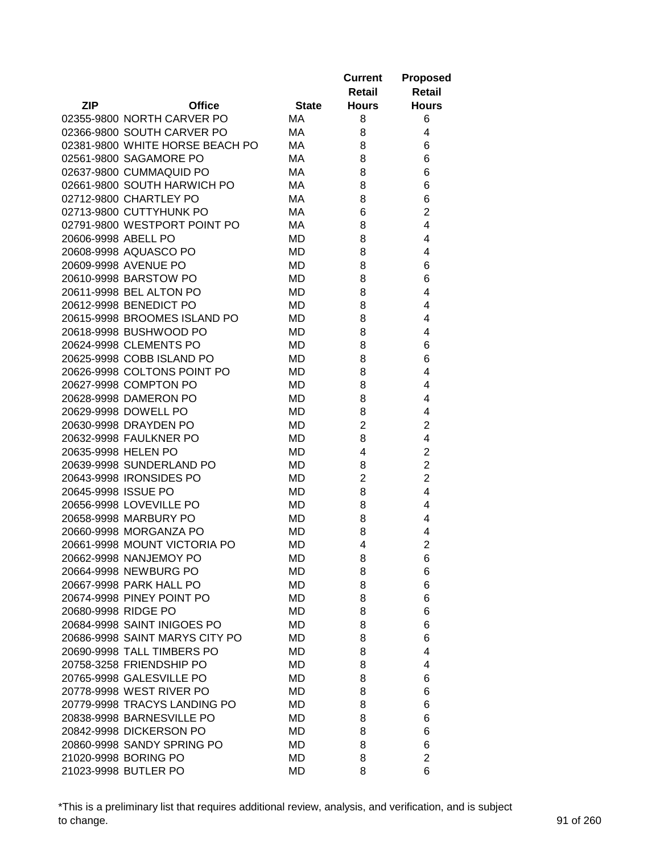|                     |                                                  |              | <b>Current</b><br>Retail | <b>Proposed</b><br><b>Retail</b> |
|---------------------|--------------------------------------------------|--------------|--------------------------|----------------------------------|
| <b>ZIP</b>          | <b>Office</b>                                    | <b>State</b> | <b>Hours</b>             | <b>Hours</b>                     |
|                     | 02355-9800 NORTH CARVER PO                       | MA           | 8                        | 6                                |
|                     | 02366-9800 SOUTH CARVER PO                       | МA           | 8                        | 4                                |
|                     | 02381-9800 WHITE HORSE BEACH PO                  | МA           | 8                        | 6                                |
|                     | 02561-9800 SAGAMORE PO                           | МA           | 8                        | 6                                |
|                     | 02637-9800 CUMMAQUID PO                          | MA           | 8                        | 6                                |
|                     | 02661-9800 SOUTH HARWICH PO                      | МA           | 8                        | 6                                |
|                     | 02712-9800 CHARTLEY PO                           | МA           | 8                        | 6                                |
|                     | 02713-9800 CUTTYHUNK PO                          | МA           | 6                        | $\overline{2}$                   |
|                     | 02791-9800 WESTPORT POINT PO                     | МA           | 8                        | 4                                |
| 20606-9998 ABELL PO |                                                  | MD           | 8                        | 4                                |
|                     | 20608-9998 AQUASCO PO                            | MD           | 8                        | 4                                |
|                     | 20609-9998 AVENUE PO                             | MD           | 8                        | 6                                |
|                     | 20610-9998 BARSTOW PO                            | MD           | 8                        | 6                                |
|                     | 20611-9998 BEL ALTON PO                          | MD           | 8                        | 4                                |
|                     | 20612-9998 BENEDICT PO                           | MD           | 8                        | 4                                |
|                     | 20615-9998 BROOMES ISLAND PO                     | MD           | 8                        | 4                                |
|                     | 20618-9998 BUSHWOOD PO                           | MD           | 8                        | 4                                |
|                     | 20624-9998 CLEMENTS PO                           | MD           | 8                        | 6                                |
|                     | 20625-9998 COBB ISLAND PO                        | MD           | 8                        | 6                                |
|                     | 20626-9998 COLTONS POINT PO                      | MD           | 8                        | 4                                |
|                     | 20627-9998 COMPTON PO                            | MD           | 8                        | 4                                |
|                     | 20628-9998 DAMERON PO                            | MD           | 8                        | 4                                |
|                     | 20629-9998 DOWELL PO                             | MD           | 8                        | 4                                |
|                     | 20630-9998 DRAYDEN PO                            | MD           | $\overline{2}$           | $\overline{2}$                   |
|                     | 20632-9998 FAULKNER PO                           | MD           | 8                        | 4                                |
| 20635-9998 HELEN PO |                                                  | MD           | 4                        | $\overline{2}$                   |
|                     | 20639-9998 SUNDERLAND PO                         | MD           | 8                        | $\overline{2}$                   |
|                     | 20643-9998 IRONSIDES PO                          | MD           | $\overline{2}$           | $\overline{c}$                   |
| 20645-9998 ISSUE PO |                                                  | MD           | 8                        | 4                                |
|                     | 20656-9998 LOVEVILLE PO                          | MD           |                          | 4                                |
|                     |                                                  |              | 8                        |                                  |
|                     | 20658-9998 MARBURY PO<br>20660-9998 MORGANZA PO  | MD           | 8                        | 4                                |
|                     |                                                  | MD           | 8<br>4                   | 4<br>$\overline{2}$              |
|                     | 20661-9998 MOUNT VICTORIA PO                     | MD           |                          |                                  |
|                     | 20662-9998 NANJEMOY PO                           | MD           | 8                        | 6                                |
|                     | 20664-9998 NEWBURG PO<br>20667-9998 PARK HALL PO | MD<br>MD     | 8<br>8                   | 6<br>6                           |
|                     | 20674-9998 PINEY POINT PO                        |              |                          |                                  |
| 20680-9998 RIDGE PO |                                                  | MD           | 8                        | 6                                |
|                     | 20684-9998 SAINT INIGOES PO                      | MD           | 8                        | 6                                |
|                     |                                                  | MD           | 8                        | 6                                |
|                     | 20686-9998 SAINT MARYS CITY PO                   | MD           | 8                        | 6                                |
|                     | 20690-9998 TALL TIMBERS PO                       | MD           | 8                        | 4                                |
|                     | 20758-3258 FRIENDSHIP PO                         | MD           | 8                        | 4                                |
|                     | 20765-9998 GALESVILLE PO                         | MD           | 8                        | 6                                |
|                     | 20778-9998 WEST RIVER PO                         | MD           | 8                        | 6                                |
|                     | 20779-9998 TRACYS LANDING PO                     | MD           | 8                        | 6                                |
|                     | 20838-9998 BARNESVILLE PO                        | MD           | 8                        | 6                                |
|                     | 20842-9998 DICKERSON PO                          | MD           | 8                        | 6                                |
|                     | 20860-9998 SANDY SPRING PO                       | MD           | 8                        | 6                                |
|                     | 21020-9998 BORING PO                             | MD           | 8                        | $\overline{2}$                   |
|                     | 21023-9998 BUTLER PO                             | MD           | 8                        | 6                                |

\*This is a preliminary list that requires additional review, analysis, and verification, and is subject to change. 91 of 260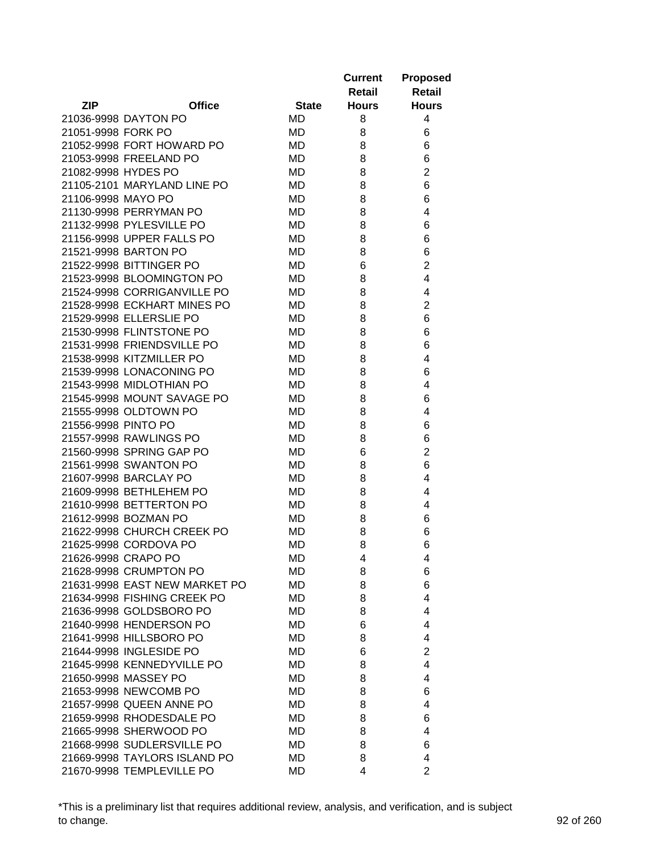|                     |                               |              | <b>Current</b><br>Retail | <b>Proposed</b><br><b>Retail</b> |
|---------------------|-------------------------------|--------------|--------------------------|----------------------------------|
| <b>ZIP</b>          | <b>Office</b>                 | <b>State</b> | <b>Hours</b>             | <b>Hours</b>                     |
|                     | 21036-9998 DAYTON PO          | MD           | 8                        | 4                                |
| 21051-9998 FORK PO  |                               | MD           | 8                        | 6                                |
|                     | 21052-9998 FORT HOWARD PO     | MD           | 8                        | 6                                |
|                     | 21053-9998 FREELAND PO        | MD           | 8                        | 6                                |
| 21082-9998 HYDES PO |                               | MD           | 8                        | $\overline{2}$                   |
|                     | 21105-2101 MARYLAND LINE PO   | MD           | 8                        | 6                                |
| 21106-9998 MAYO PO  |                               | MD           | 8                        | 6                                |
|                     | 21130-9998 PERRYMAN PO        | MD           | 8                        | 4                                |
|                     | 21132-9998 PYLESVILLE PO      | MD           | 8                        | 6                                |
|                     | 21156-9998 UPPER FALLS PO     | MD           | 8                        | 6                                |
|                     | 21521-9998 BARTON PO          | MD           | 8                        | 6                                |
|                     | 21522-9998 BITTINGER PO       | MD           | 6                        | $\overline{2}$                   |
|                     | 21523-9998 BLOOMINGTON PO     | MD           | 8                        | 4                                |
|                     | 21524-9998 CORRIGANVILLE PO   | MD           | 8                        | 4                                |
|                     | 21528-9998 ECKHART MINES PO   | MD           | 8                        | $\overline{2}$                   |
|                     | 21529-9998 ELLERSLIE PO       | MD           | 8                        | 6                                |
|                     | 21530-9998 FLINTSTONE PO      | <b>MD</b>    | 8                        | 6                                |
|                     | 21531-9998 FRIENDSVILLE PO    | MD           | 8                        | 6                                |
|                     | 21538-9998 KITZMILLER PO      | MD           | 8                        | 4                                |
|                     | 21539-9998 LONACONING PO      | MD           | 8                        | 6                                |
|                     | 21543-9998 MIDLOTHIAN PO      | MD           | 8                        | 4                                |
|                     | 21545-9998 MOUNT SAVAGE PO    | MD           | 8                        | 6                                |
|                     | 21555-9998 OLDTOWN PO         | MD           | 8                        | 4                                |
| 21556-9998 PINTO PO |                               | MD           | 8                        | 6                                |
|                     | 21557-9998 RAWLINGS PO        | MD           | 8                        | 6                                |
|                     | 21560-9998 SPRING GAP PO      | MD           | 6                        | $\overline{2}$                   |
|                     | 21561-9998 SWANTON PO         | MD           | 8                        | 6                                |
|                     | 21607-9998 BARCLAY PO         | MD           | 8                        | 4                                |
|                     | 21609-9998 BETHLEHEM PO       | MD           | 8                        | 4                                |
|                     | 21610-9998 BETTERTON PO       | MD           | 8                        | 4                                |
|                     | 21612-9998 BOZMAN PO          | MD           | 8                        | 6                                |
|                     | 21622-9998 CHURCH CREEK PO    | MD           | 8                        | 6                                |
|                     | 21625-9998 CORDOVA PO         | MD           | 8                        | 6                                |
|                     | 21626-9998 CRAPO PO           | MD           | 4                        | 4                                |
|                     | 21628-9998 CRUMPTON PO        | MD           | 8                        | 6                                |
|                     | 21631-9998 EAST NEW MARKET PO | MD           | 8                        | 6                                |
|                     | 21634-9998 FISHING CREEK PO   | MD           | 8                        | 4                                |
|                     | 21636-9998 GOLDSBORO PO       | MD           | 8                        | 4                                |
|                     | 21640-9998 HENDERSON PO       | MD           | 6                        | 4                                |
|                     | 21641-9998 HILLSBORO PO       | MD           | 8                        | 4                                |
|                     | 21644-9998 INGLESIDE PO       | MD           | 6                        | $\overline{2}$                   |
|                     | 21645-9998 KENNEDYVILLE PO    | MD           | 8                        | 4                                |
|                     | 21650-9998 MASSEY PO          | MD           | 8                        | 4                                |
|                     | 21653-9998 NEWCOMB PO         | MD           | 8                        | 6                                |
|                     | 21657-9998 QUEEN ANNE PO      | MD           | 8                        | 4                                |
|                     | 21659-9998 RHODESDALE PO      | MD           | 8                        | 6                                |
|                     | 21665-9998 SHERWOOD PO        | MD           | 8                        | 4                                |
|                     | 21668-9998 SUDLERSVILLE PO    | MD           | 8                        | 6                                |
|                     | 21669-9998 TAYLORS ISLAND PO  | MD           | 8                        | 4                                |
|                     | 21670-9998 TEMPLEVILLE PO     | MD           | 4                        | $\overline{2}$                   |

\*This is a preliminary list that requires additional review, analysis, and verification, and is subject to change. 92 of 260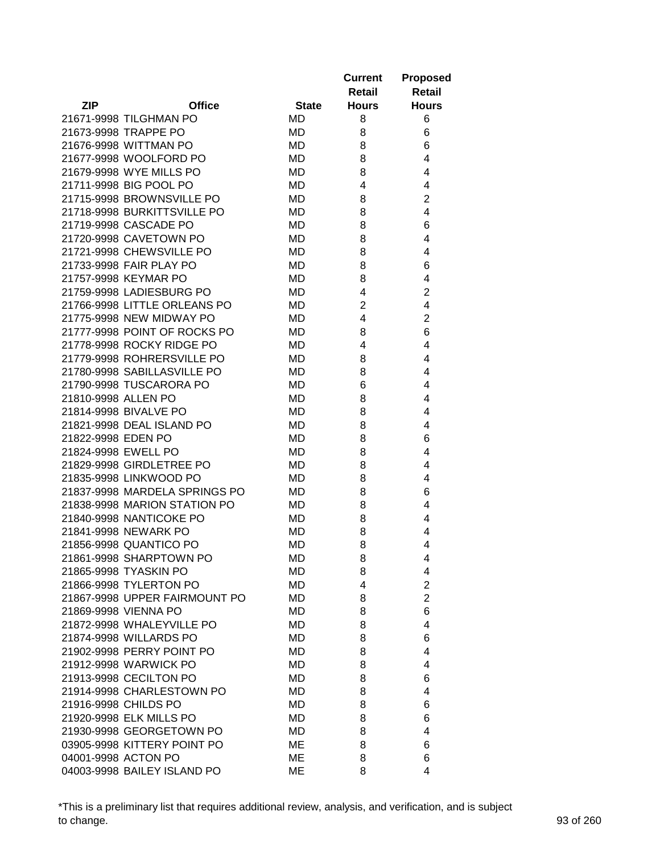|                     |                               |              | <b>Current</b><br>Retail | <b>Proposed</b><br><b>Retail</b> |
|---------------------|-------------------------------|--------------|--------------------------|----------------------------------|
| <b>ZIP</b>          | <b>Office</b>                 | <b>State</b> | <b>Hours</b>             | <b>Hours</b>                     |
|                     | 21671-9998 TILGHMAN PO        | MD           | 8                        | 6                                |
|                     | 21673-9998 TRAPPE PO          | MD           | 8                        | 6                                |
|                     | 21676-9998 WITTMAN PO         | MD           | 8                        | 6                                |
|                     | 21677-9998 WOOLFORD PO        | MD           | 8                        | 4                                |
|                     | 21679-9998 WYE MILLS PO       | MD           | 8                        | 4                                |
|                     | 21711-9998 BIG POOL PO        | MD           | 4                        | 4                                |
|                     | 21715-9998 BROWNSVILLE PO     | MD           | 8                        | $\overline{2}$                   |
|                     | 21718-9998 BURKITTSVILLE PO   | MD           | 8                        | 4                                |
|                     | 21719-9998 CASCADE PO         | MD           | 8                        | 6                                |
|                     | 21720-9998 CAVETOWN PO        | MD           | 8                        | 4                                |
|                     | 21721-9998 CHEWSVILLE PO      | MD           | 8                        | 4                                |
|                     | 21733-9998 FAIR PLAY PO       | MD           | 8                        | 6                                |
|                     | 21757-9998 KEYMAR PO          | <b>MD</b>    | 8                        | 4                                |
|                     | 21759-9998 LADIESBURG PO      | MD           | 4                        | 2                                |
|                     | 21766-9998 LITTLE ORLEANS PO  | MD           | $\overline{2}$           | 4                                |
|                     | 21775-9998 NEW MIDWAY PO      | MD           | 4                        | 2                                |
|                     | 21777-9998 POINT OF ROCKS PO  | MD           | 8                        | 6                                |
|                     | 21778-9998 ROCKY RIDGE PO     | MD           | 4                        | 4                                |
|                     | 21779-9998 ROHRERSVILLE PO    | MD           | 8                        | 4                                |
|                     | 21780-9998 SABILLASVILLE PO   | MD           | 8                        | 4                                |
|                     | 21790-9998 TUSCARORA PO       | <b>MD</b>    | 6                        | 4                                |
| 21810-9998 ALLEN PO |                               | MD           | 8                        | 4                                |
|                     | 21814-9998 BIVALVE PO         | MD           | 8                        | 4                                |
|                     | 21821-9998 DEAL ISLAND PO     | MD           | 8                        | 4                                |
| 21822-9998 EDEN PO  |                               | <b>MD</b>    | 8                        | 6                                |
|                     | 21824-9998 EWELL PO           | MD           | 8                        | 4                                |
|                     | 21829-9998 GIRDLETREE PO      | MD           | 8                        | 4                                |
|                     | 21835-9998 LINKWOOD PO        | MD           | 8                        | 4                                |
|                     | 21837-9998 MARDELA SPRINGS PO | MD           | 8                        | 6                                |
|                     | 21838-9998 MARION STATION PO  | MD           | 8                        | 4                                |
|                     | 21840-9998 NANTICOKE PO       | MD           | 8                        | 4                                |
|                     | 21841-9998 NEWARK PO          | MD           | 8                        | 4                                |
|                     | 21856-9998 QUANTICO PO        | MD           | 8                        | 4                                |
|                     | 21861-9998 SHARPTOWN PO       | MD           | 8                        | 4                                |
|                     | 21865-9998 TYASKIN PO         | MD           | 8                        | 4                                |
|                     | 21866-9998 TYLERTON PO        | MD           | 4                        | $\overline{2}$                   |
|                     | 21867-9998 UPPER FAIRMOUNT PO | MD           | 8                        | $\overline{2}$                   |
|                     | 21869-9998 VIENNA PO          | MD           | 8                        | 6                                |
|                     | 21872-9998 WHALEYVILLE PO     | MD           | 8                        | $\overline{4}$                   |
|                     | 21874-9998 WILLARDS PO        | MD           | 8                        | 6                                |
|                     | 21902-9998 PERRY POINT PO     | MD           | 8                        | 4                                |
|                     | 21912-9998 WARWICK PO         | MD           | 8                        | 4                                |
|                     | 21913-9998 CECILTON PO        | MD           | 8                        | 6                                |
|                     | 21914-9998 CHARLESTOWN PO     | MD           | 8                        | 4                                |
|                     | 21916-9998 CHILDS PO          | MD           | 8                        | 6                                |
|                     | 21920-9998 ELK MILLS PO       | MD           | 8                        | 6                                |
|                     | 21930-9998 GEORGETOWN PO      | MD           | 8                        | 4                                |
|                     | 03905-9998 KITTERY POINT PO   | ME           | 8                        | 6                                |
|                     | 04001-9998 ACTON PO           | ME           | 8                        | 6                                |
|                     | 04003-9998 BAILEY ISLAND PO   | ME           | 8                        | 4                                |

\*This is a preliminary list that requires additional review, analysis, and verification, and is subject to change. 93 of 260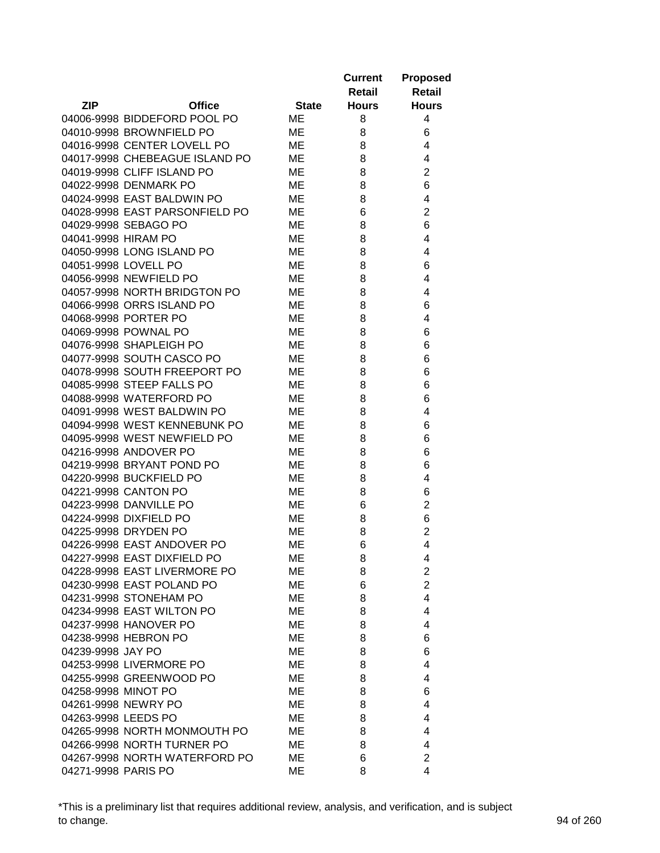|                     |                                                             |              | <b>Current</b> | <b>Proposed</b>         |
|---------------------|-------------------------------------------------------------|--------------|----------------|-------------------------|
|                     |                                                             |              | Retail         | <b>Retail</b>           |
| <b>ZIP</b>          | <b>Office</b>                                               | <b>State</b> | <b>Hours</b>   | <b>Hours</b>            |
|                     | 04006-9998 BIDDEFORD POOL PO                                | ME           | 8              | 4                       |
|                     | 04010-9998 BROWNFIELD PO                                    | ME           | 8              | 6                       |
|                     | 04016-9998 CENTER LOVELL PO                                 | ME           | 8              | 4                       |
|                     | 04017-9998 CHEBEAGUE ISLAND PO                              | ME           | 8              | 4                       |
|                     | 04019-9998 CLIFF ISLAND PO                                  | ME           | 8              | $\overline{2}$          |
|                     | 04022-9998 DENMARK PO                                       | ME           | 8              | 6                       |
|                     | 04024-9998 EAST BALDWIN PO                                  | ME           | 8              | 4                       |
|                     | 04028-9998 EAST PARSONFIELD PO                              | ME           | 6              | $\overline{2}$          |
|                     | 04029-9998 SEBAGO PO                                        | ME           | 8              | 6                       |
| 04041-9998 HIRAM PO |                                                             | ME           | 8              | 4                       |
|                     | 04050-9998 LONG ISLAND PO                                   | МE           | 8              | 4                       |
|                     | 04051-9998 LOVELL PO                                        | МE           | 8              | 6                       |
|                     | 04056-9998 NEWFIELD PO                                      | ME           | 8              | 4                       |
|                     | 04057-9998 NORTH BRIDGTON PO                                | ME           | 8              | 4                       |
|                     | 04066-9998 ORRS ISLAND PO                                   | ME           | 8              | 6                       |
|                     | 04068-9998 PORTER PO                                        | ME           | 8              | 4                       |
|                     | 04069-9998 POWNAL PO                                        | ME           | 8              | 6                       |
|                     | 04076-9998 SHAPLEIGH PO                                     | ME           |                | 6                       |
|                     |                                                             |              | 8              |                         |
|                     | 04077-9998 SOUTH CASCO PO                                   | ME           | 8              | 6                       |
|                     | 04078-9998 SOUTH FREEPORT PO                                | ME           | 8              | 6                       |
|                     | 04085-9998 STEEP FALLS PO                                   | ME           | 8              | 6                       |
|                     | 04088-9998 WATERFORD PO                                     | ME           | 8              | 6                       |
|                     | 04091-9998 WEST BALDWIN PO                                  | ME           | 8              | 4                       |
|                     | 04094-9998 WEST KENNEBUNK PO<br>04095-9998 WEST NEWFIELD PO | ME<br>ME     | 8              | 6<br>6                  |
|                     | 04216-9998 ANDOVER PO                                       | ME           | 8              | 6                       |
|                     | 04219-9998 BRYANT POND PO                                   | ME           | 8<br>8         | 6                       |
|                     | 04220-9998 BUCKFIELD PO                                     | МE           | 8              | 4                       |
|                     | 04221-9998 CANTON PO                                        | ME           | 8              | 6                       |
|                     | 04223-9998 DANVILLE PO                                      | ME           | 6              | $\overline{c}$          |
|                     | 04224-9998 DIXFIELD PO                                      | ME           | 8              | 6                       |
|                     | 04225-9998 DRYDEN PO                                        | ME           | 8              | $\overline{c}$          |
|                     | 04226-9998 EAST ANDOVER PO                                  | ME           | 6              | 4                       |
|                     | 04227-9998 EAST DIXFIELD PO                                 | ME           | 8              | 4                       |
|                     | 04228-9998 EAST LIVERMORE PO                                | ME           | 8              | $\overline{\mathbf{c}}$ |
|                     | 04230-9998 EAST POLAND PO                                   | ME           | 6              | $\overline{c}$          |
|                     | 04231-9998 STONEHAM PO                                      | ME           | 8              | 4                       |
|                     | 04234-9998 EAST WILTON PO                                   | ME           | 8              | 4                       |
|                     | 04237-9998 HANOVER PO                                       | ME           | 8              | 4                       |
|                     | 04238-9998 HEBRON PO                                        | ME           | 8              | 6                       |
| 04239-9998 JAY PO   |                                                             | ME           | 8              | 6                       |
|                     | 04253-9998 LIVERMORE PO                                     | ME           | 8              | 4                       |
|                     | 04255-9998 GREENWOOD PO                                     | ME           | 8              | 4                       |
| 04258-9998 MINOT PO |                                                             | МE           | 8              | 6                       |
|                     | 04261-9998 NEWRY PO                                         | МE           | 8              | 4                       |
| 04263-9998 LEEDS PO |                                                             | МE           | 8              | 4                       |
|                     | 04265-9998 NORTH MONMOUTH PO                                | МE           | 8              | 4                       |
|                     | 04266-9998 NORTH TURNER PO                                  | МE           | 8              | 4                       |
|                     | 04267-9998 NORTH WATERFORD PO                               | ME           | 6              | $\overline{2}$          |
| 04271-9998 PARIS PO |                                                             | МE           | 8              | 4                       |
|                     |                                                             |              |                |                         |

\*This is a preliminary list that requires additional review, analysis, and verification, and is subject to change. 94 of 260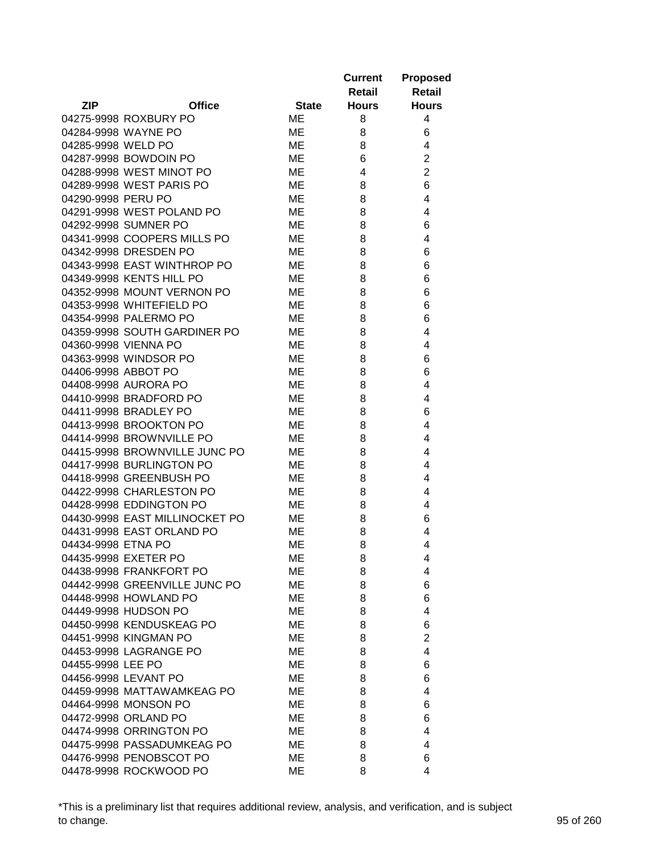|                     |                                                     |              | <b>Current</b><br>Retail | <b>Proposed</b><br><b>Retail</b> |
|---------------------|-----------------------------------------------------|--------------|--------------------------|----------------------------------|
| <b>ZIP</b>          | <b>Office</b>                                       | <b>State</b> | <b>Hours</b>             | <b>Hours</b>                     |
|                     | 04275-9998 ROXBURY PO                               | <b>ME</b>    | 8                        | 4                                |
|                     | 04284-9998 WAYNE PO                                 | ME           | 8                        | 6                                |
| 04285-9998 WELD PO  |                                                     | ME           | 8                        | 4                                |
|                     | 04287-9998 BOWDOIN PO                               | ME           | 6                        | $\overline{2}$                   |
|                     | 04288-9998 WEST MINOT PO                            | ME           | 4                        | $\overline{2}$                   |
|                     | 04289-9998 WEST PARIS PO                            | ME           | 8                        | 6                                |
| 04290-9998 PERU PO  |                                                     | ME           | 8                        | 4                                |
|                     | 04291-9998 WEST POLAND PO                           | ME           | 8                        | 4                                |
|                     | 04292-9998 SUMNER PO                                | ME           | 8                        | 6                                |
|                     | 04341-9998 COOPERS MILLS PO                         | ME           | 8                        | 4                                |
|                     | 04342-9998 DRESDEN PO                               | ME           | 8                        | 6                                |
|                     | 04343-9998 EAST WINTHROP PO                         | ME           | 8                        | 6                                |
|                     | 04349-9998 KENTS HILL PO                            | ME           | 8                        | 6                                |
|                     | 04352-9998 MOUNT VERNON PO                          | ME           | 8                        | 6                                |
|                     | 04353-9998 WHITEFIELD PO                            | ME           | 8                        | 6                                |
|                     | 04354-9998 PALERMO PO                               | ME           | 8                        | 6                                |
|                     | 04359-9998 SOUTH GARDINER PO                        | ME           | 8                        | 4                                |
|                     | 04360-9998 VIENNA PO                                | ME           | 8                        | 4                                |
|                     | 04363-9998 WINDSOR PO                               | ME           | 8                        | 6                                |
| 04406-9998 ABBOT PO |                                                     | ME           | 8                        | 6                                |
|                     | 04408-9998 AURORA PO                                | ME           | 8                        | 4                                |
|                     | 04410-9998 BRADFORD PO                              | ME           | 8                        | 4                                |
|                     | 04411-9998 BRADLEY PO                               | ME           | 8                        | 6                                |
|                     | 04413-9998 BROOKTON PO                              | ME           | 8                        | 4                                |
|                     | 04414-9998 BROWNVILLE PO                            | ME           | 8                        | 4                                |
|                     | 04415-9998 BROWNVILLE JUNC PO                       | ME           | 8                        | 4                                |
|                     |                                                     |              |                          |                                  |
|                     | 04417-9998 BURLINGTON PO<br>04418-9998 GREENBUSH PO | ME           | 8                        | 4                                |
|                     |                                                     | ME           | 8                        | 4                                |
|                     | 04422-9998 CHARLESTON PO                            | ME           | 8                        | 4                                |
|                     | 04428-9998 EDDINGTON PO                             | ME           | 8                        | 4                                |
|                     | 04430-9998 EAST MILLINOCKET PO                      | ME           | 8                        | 6                                |
|                     | 04431-9998 EAST ORLAND PO                           | ME           | 8                        | 4                                |
| 04434-9998 ETNA PO  |                                                     | ME           | 8                        | 4                                |
|                     | 04435-9998 EXETER PO                                | MЕ           | 8                        | 4                                |
|                     | 04438-9998 FRANKFORT PO                             | ME           | 8                        | 4                                |
|                     | 04442-9998 GREENVILLE JUNC PO                       | ME           | 8                        | 6                                |
|                     | 04448-9998 HOWLAND PO                               | ME           | 8                        | 6                                |
|                     | 04449-9998 HUDSON PO                                | ME           | 8                        | 4                                |
|                     | 04450-9998 KENDUSKEAG PO                            | ME           | 8                        | 6                                |
|                     | 04451-9998 KINGMAN PO                               | ME           | 8                        | $\overline{2}$                   |
|                     | 04453-9998 LAGRANGE PO                              | ME           | 8                        | $\overline{4}$                   |
| 04455-9998 LEE PO   |                                                     | ME           | 8                        | 6                                |
|                     | 04456-9998 LEVANT PO                                | ME           | 8                        | 6                                |
|                     | 04459-9998 MATTAWAMKEAG PO                          | ME           | 8                        | 4                                |
|                     | 04464-9998 MONSON PO                                | ME           | 8                        | 6                                |
|                     | 04472-9998 ORLAND PO                                | МE           | 8                        | 6                                |
|                     | 04474-9998 ORRINGTON PO                             | МE           | 8                        | 4                                |
|                     | 04475-9998 PASSADUMKEAG PO                          | МE           | 8                        | 4                                |
|                     | 04476-9998 PENOBSCOT PO                             | ME           | 8                        | 6                                |
|                     | 04478-9998 ROCKWOOD PO                              | ME           | 8                        | 4                                |

\*This is a preliminary list that requires additional review, analysis, and verification, and is subject to change. 95 of 260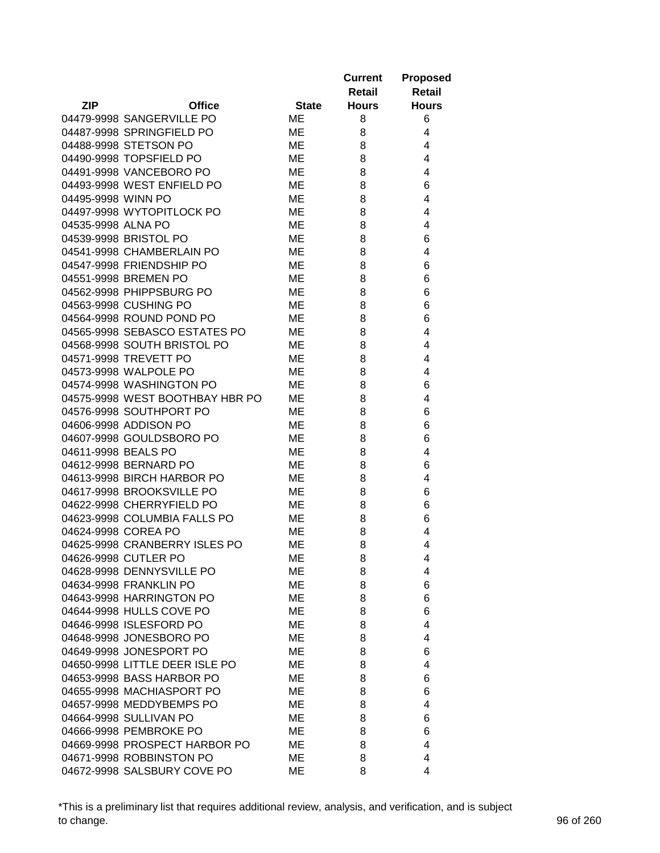|                                 |              | <b>Current</b><br>Retail | <b>Proposed</b><br><b>Retail</b> |
|---------------------------------|--------------|--------------------------|----------------------------------|
| <b>ZIP</b><br><b>Office</b>     | <b>State</b> | <b>Hours</b>             | <b>Hours</b>                     |
| 04479-9998 SANGERVILLE PO       | ME           | 8                        | 6                                |
| 04487-9998 SPRINGFIELD PO       | ME           | 8                        | 4                                |
| 04488-9998 STETSON PO           | ME           | 8                        | 4                                |
| 04490-9998 TOPSFIELD PO         | ME           | 8                        | 4                                |
| 04491-9998 VANCEBORO PO         | ME           | 8                        | 4                                |
| 04493-9998 WEST ENFIELD PO      | ME           | 8                        | 6                                |
| 04495-9998 WINN PO              | ME           | 8                        | 4                                |
| 04497-9998 WYTOPITLOCK PO       | ME           | 8                        | 4                                |
| 04535-9998 ALNA PO              | ME           | 8                        | 4                                |
| 04539-9998 BRISTOL PO           | ME           | 8                        | 6                                |
| 04541-9998 CHAMBERLAIN PO       | ME           | 8                        | 4                                |
| 04547-9998 FRIENDSHIP PO        | ME           | 8                        | 6                                |
| 04551-9998 BREMEN PO            | ME           | 8                        | 6                                |
| 04562-9998 PHIPPSBURG PO        | ME           | 8                        | 6                                |
| 04563-9998 CUSHING PO           | МE           | 8                        | 6                                |
| 04564-9998 ROUND POND PO        | ME           | 8                        | 6                                |
| 04565-9998 SEBASCO ESTATES PO   | ME           | 8                        | 4                                |
| 04568-9998 SOUTH BRISTOL PO     | ME           | 8                        | 4                                |
| 04571-9998 TREVETT PO           | ME           | 8                        | 4                                |
| 04573-9998 WALPOLE PO           | ME           | 8                        | 4                                |
| 04574-9998 WASHINGTON PO        | ME           | 8                        | 6                                |
| 04575-9998 WEST BOOTHBAY HBR PO | ME           | 8                        | 4                                |
| 04576-9998 SOUTHPORT PO         | ME           | 8                        | 6                                |
| 04606-9998 ADDISON PO           | ME           | 8                        | 6                                |
| 04607-9998 GOULDSBORO PO        | ME           | 8                        | 6                                |
| 04611-9998 BEALS PO             |              |                          |                                  |
| 04612-9998 BERNARD PO           | ME           | 8                        | 4                                |
| 04613-9998 BIRCH HARBOR PO      | ME           | 8                        | 6                                |
|                                 | ME           | 8                        | 4                                |
| 04617-9998 BROOKSVILLE PO       | ME           | 8                        | 6                                |
| 04622-9998 CHERRYFIELD PO       | ME           | 8                        | 6                                |
| 04623-9998 COLUMBIA FALLS PO    | ME           | 8                        | 6                                |
| 04624-9998 COREA PO             | ME           | 8                        | 4                                |
| 04625-9998 CRANBERRY ISLES PO   | ME           | 8                        | 4                                |
| 04626-9998 CUTLER PO            | MЕ           | 8                        | 4                                |
| 04628-9998 DENNYSVILLE PO       | ME           | 8                        | 4                                |
| 04634-9998 FRANKLIN PO          | ME           | 8                        | 6                                |
| 04643-9998 HARRINGTON PO        | ME           | 8                        | 6                                |
| 04644-9998 HULLS COVE PO        | ME           | 8                        | 6                                |
| 04646-9998 ISLESFORD PO         | ME           | 8                        | 4                                |
| 04648-9998 JONESBORO PO         | ME           | 8                        | 4                                |
| 04649-9998 JONESPORT PO         | ME           | 8                        | 6                                |
| 04650-9998 LITTLE DEER ISLE PO  | ME           | 8                        | 4                                |
| 04653-9998 BASS HARBOR PO       | ME           | 8                        | 6                                |
| 04655-9998 MACHIASPORT PO       | ME           | 8                        | 6                                |
| 04657-9998 MEDDYBEMPS PO        | ME           | 8                        | 4                                |
| 04664-9998 SULLIVAN PO          | ME           | 8                        | 6                                |
| 04666-9998 PEMBROKE PO          | МE           | 8                        | 6                                |
| 04669-9998 PROSPECT HARBOR PO   | ME           | 8                        | 4                                |
| 04671-9998 ROBBINSTON PO        | ME           | 8                        | 4                                |
| 04672-9998 SALSBURY COVE PO     | ME           | 8                        | 4                                |

\*This is a preliminary list that requires additional review, analysis, and verification, and is subject to change. 96 of 260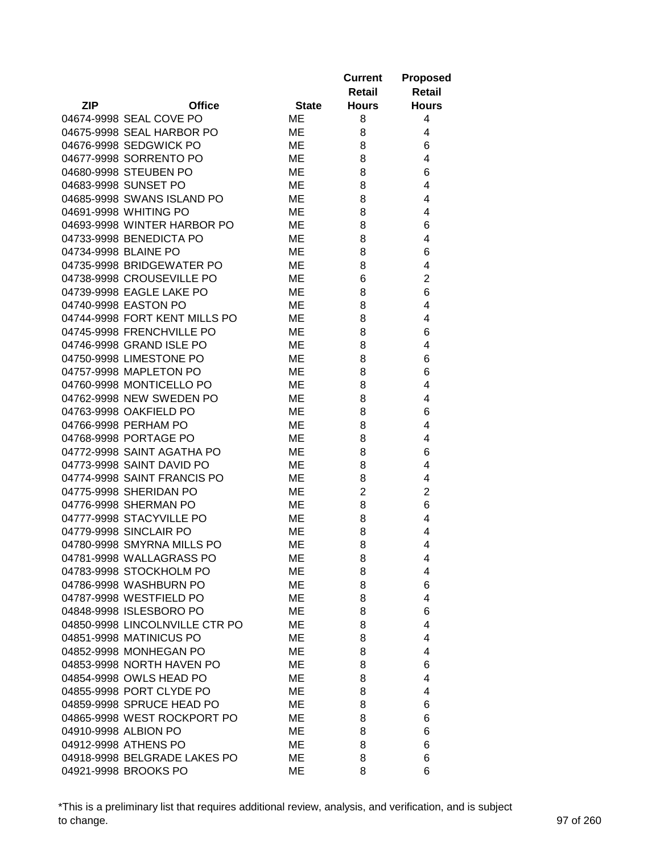|                                |              | <b>Current</b><br>Retail | <b>Proposed</b><br><b>Retail</b> |
|--------------------------------|--------------|--------------------------|----------------------------------|
| <b>ZIP</b><br><b>Office</b>    | <b>State</b> | <b>Hours</b>             | <b>Hours</b>                     |
| 04674-9998 SEAL COVE PO        | ME           | 8                        | 4                                |
| 04675-9998 SEAL HARBOR PO      | ME           | 8                        | 4                                |
| 04676-9998 SEDGWICK PO         | ME           | 8                        | 6                                |
| 04677-9998 SORRENTO PO         | ME           | 8                        | 4                                |
| 04680-9998 STEUBEN PO          | ME           | 8                        | 6                                |
| 04683-9998 SUNSET PO           | ME           | 8                        | 4                                |
| 04685-9998 SWANS ISLAND PO     | ME           | 8                        | 4                                |
| 04691-9998 WHITING PO          | ME           | 8                        | 4                                |
| 04693-9998 WINTER HARBOR PO    | ME           | 8                        | 6                                |
| 04733-9998 BENEDICTA PO        | ME           | 8                        | 4                                |
| 04734-9998 BLAINE PO           | ME           | 8                        | 6                                |
| 04735-9998 BRIDGEWATER PO      | ME           | 8                        | 4                                |
| 04738-9998 CROUSEVILLE PO      | ME           | 6                        | $\overline{2}$                   |
| 04739-9998 EAGLE LAKE PO       | ME           | 8                        | 6                                |
| 04740-9998 EASTON PO           | МE           | 8                        | 4                                |
| 04744-9998 FORT KENT MILLS PO  | ME           | 8                        | 4                                |
| 04745-9998 FRENCHVILLE PO      | ME           | 8                        | 6                                |
| 04746-9998 GRAND ISLE PO       | МE           | 8                        | 4                                |
| 04750-9998 LIMESTONE PO        | ME           | 8                        | 6                                |
| 04757-9998 MAPLETON PO         | ME           | 8                        | 6                                |
| 04760-9998 MONTICELLO PO       | ME           | 8                        | 4                                |
| 04762-9998 NEW SWEDEN PO       | ME           | 8                        | 4                                |
| 04763-9998 OAKFIELD PO         | ME           | 8                        | 6                                |
| 04766-9998 PERHAM PO           | ME           | 8                        | 4                                |
| 04768-9998 PORTAGE PO          | ME           | 8                        | 4                                |
| 04772-9998 SAINT AGATHA PO     | ME           | 8                        | 6                                |
| 04773-9998 SAINT DAVID PO      | ME           | 8                        | 4                                |
| 04774-9998 SAINT FRANCIS PO    | ME           | 8                        | 4                                |
| 04775-9998 SHERIDAN PO         | ME           | $\overline{2}$           | $\overline{2}$                   |
| 04776-9998 SHERMAN PO          | ME           | 8                        | 6                                |
| 04777-9998 STACYVILLE PO       | ME           | 8                        | 4                                |
| 04779-9998 SINCLAIR PO         | ME           | 8                        | 4                                |
| 04780-9998 SMYRNA MILLS PO     | ME           | 8                        | 4                                |
| 04781-9998 WALLAGRASS PO       | MЕ           | 8                        | 4                                |
| 04783-9998 STOCKHOLM PO        | MЕ           | 8                        | 4                                |
| 04786-9998 WASHBURN PO         | MЕ           | 8                        | 6                                |
| 04787-9998 WESTFIELD PO        | ME           | 8                        | 4                                |
| 04848-9998 ISLESBORO PO        | MЕ           | 8                        | 6                                |
| 04850-9998 LINCOLNVILLE CTR PO | ME           | 8                        | 4                                |
| 04851-9998 MATINICUS PO        | ME           | 8                        | 4                                |
| 04852-9998 MONHEGAN PO         | ME           | 8                        | 4                                |
| 04853-9998 NORTH HAVEN PO      | ME           | 8                        | 6                                |
| 04854-9998 OWLS HEAD PO        | ME           | 8                        | 4                                |
| 04855-9998 PORT CLYDE PO       | ME           | 8                        | 4                                |
| 04859-9998 SPRUCE HEAD PO      | ME           | 8                        |                                  |
| 04865-9998 WEST ROCKPORT PO    | ME           | 8                        | 6                                |
|                                |              |                          | 6                                |
| 04910-9998 ALBION PO           | ME           | 8                        | 6                                |
| 04912-9998 ATHENS PO           | ME           | 8                        | 6                                |
| 04918-9998 BELGRADE LAKES PO   | ME           | 8                        | 6                                |
| 04921-9998 BROOKS PO           | ME           | 8                        | 6                                |

\*This is a preliminary list that requires additional review, analysis, and verification, and is subject to change. 97 of 260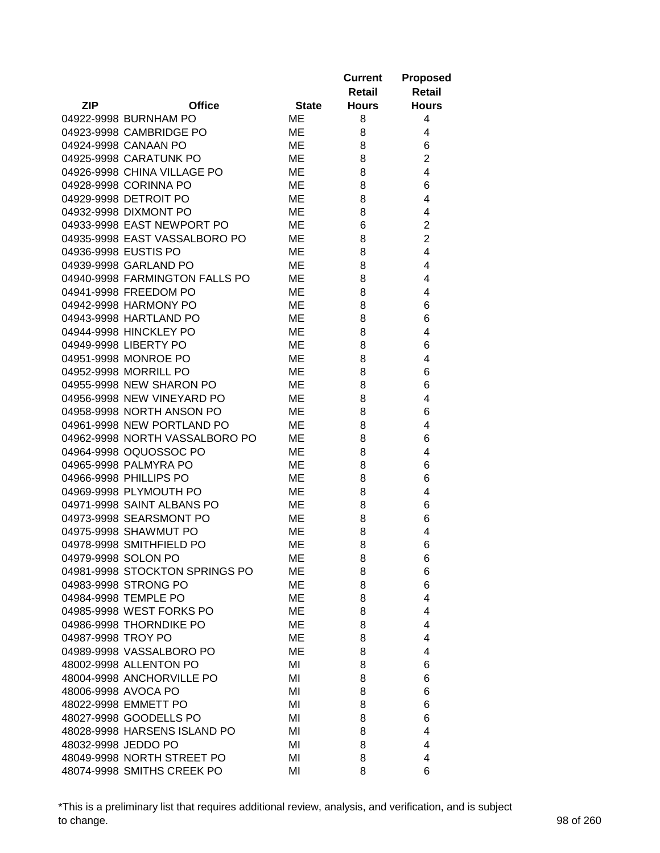|                                |              | <b>Current</b><br>Retail | <b>Proposed</b><br><b>Retail</b> |
|--------------------------------|--------------|--------------------------|----------------------------------|
| <b>ZIP</b><br><b>Office</b>    | <b>State</b> | <b>Hours</b>             | <b>Hours</b>                     |
| 04922-9998 BURNHAM PO          | ME           | 8                        | 4                                |
| 04923-9998 CAMBRIDGE PO        | ME           | 8                        | 4                                |
| 04924-9998 CANAAN PO           | ME           | 8                        | 6                                |
| 04925-9998 CARATUNK PO         | ME           | 8                        | $\overline{2}$                   |
| 04926-9998 CHINA VILLAGE PO    | ME           | 8                        | 4                                |
| 04928-9998 CORINNA PO          | ME           | 8                        | 6                                |
| 04929-9998 DETROIT PO          | ME           | 8                        | 4                                |
| 04932-9998 DIXMONT PO          | ME           | 8                        | 4                                |
| 04933-9998 EAST NEWPORT PO     | ME           | 6                        | $\overline{2}$                   |
| 04935-9998 EAST VASSALBORO PO  | ME           | 8                        | $\overline{2}$                   |
| 04936-9998 EUSTIS PO           | ME           | 8                        | 4                                |
| 04939-9998 GARLAND PO          | ME           | 8                        | 4                                |
| 04940-9998 FARMINGTON FALLS PO | ME           | 8                        | 4                                |
| 04941-9998 FREEDOM PO          | ME           | 8                        | 4                                |
| 04942-9998 HARMONY PO          | ME           | 8                        | 6                                |
| 04943-9998 HARTLAND PO         | ME           | 8                        | 6                                |
| 04944-9998 HINCKLEY PO         | ME           | 8                        | 4                                |
| 04949-9998 LIBERTY PO          | ME           | 8                        | 6                                |
| 04951-9998 MONROE PO           | ME           | 8                        | 4                                |
| 04952-9998 MORRILL PO          | ME           | 8                        | 6                                |
| 04955-9998 NEW SHARON PO       | ME           | 8                        | 6                                |
| 04956-9998 NEW VINEYARD PO     | ME           | 8                        | 4                                |
| 04958-9998 NORTH ANSON PO      | ME           | 8                        | 6                                |
| 04961-9998 NEW PORTLAND PO     | ME           | 8                        | 4                                |
|                                |              | 8                        | 6                                |
| 04962-9998 NORTH VASSALBORO PO | ME<br>ME     |                          |                                  |
| 04964-9998 OQUOSSOC PO         |              | 8                        | 4                                |
| 04965-9998 PALMYRA PO          | ME           | 8                        | 6                                |
| 04966-9998 PHILLIPS PO         | ME           | 8                        | 6                                |
| 04969-9998 PLYMOUTH PO         | ME           | 8                        | 4                                |
| 04971-9998 SAINT ALBANS PO     | МE           | 8                        | 6                                |
| 04973-9998 SEARSMONT PO        | ME           | 8                        | 6                                |
| 04975-9998 SHAWMUT PO          | ME           | 8                        | 4                                |
| 04978-9998 SMITHFIELD PO       | ME           | 8                        | 6                                |
| 04979-9998 SOLON PO            | МE           | 8                        | 6                                |
| 04981-9998 STOCKTON SPRINGS PO | ME           | 8                        | 6                                |
| 04983-9998 STRONG PO           | ME           | 8                        | 6                                |
| 04984-9998 TEMPLE PO           | ME           | 8                        | 4                                |
| 04985-9998 WEST FORKS PO       | ME           | 8                        | 4                                |
| 04986-9998 THORNDIKE PO        | ME           | 8                        | 4                                |
| 04987-9998 TROY PO             | МE           | 8                        | 4                                |
| 04989-9998 VASSALBORO PO       | ME           | 8                        | 4                                |
| 48002-9998 ALLENTON PO         | ΜI           | 8                        | 6                                |
| 48004-9998 ANCHORVILLE PO      | MI           | 8                        | 6                                |
| 48006-9998 AVOCA PO            | MI           | 8                        | 6                                |
| 48022-9998 EMMETT PO           | MI           | 8                        | 6                                |
| 48027-9998 GOODELLS PO         | MI           | 8                        | 6                                |
| 48028-9998 HARSENS ISLAND PO   | MI           | 8                        | 4                                |
| 48032-9998 JEDDO PO            | MI           | 8                        | 4                                |
| 48049-9998 NORTH STREET PO     | MI           | 8                        | 4                                |
| 48074-9998 SMITHS CREEK PO     | ΜI           | 8                        | 6                                |

\*This is a preliminary list that requires additional review, analysis, and verification, and is subject to change. 98 of 260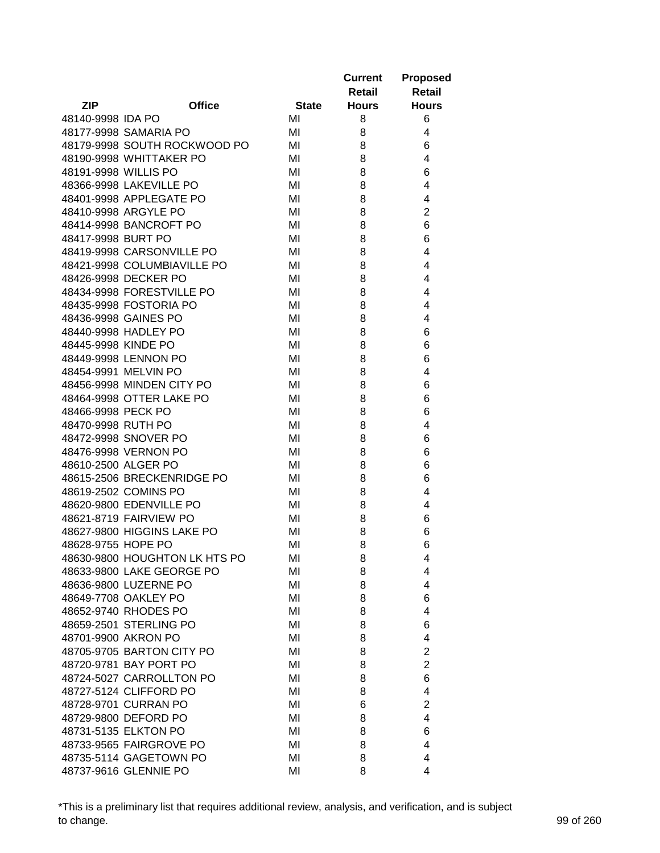|                      |                               |              | <b>Current</b> | <b>Proposed</b> |
|----------------------|-------------------------------|--------------|----------------|-----------------|
|                      |                               |              | Retail         | <b>Retail</b>   |
| <b>ZIP</b>           | <b>Office</b>                 | <b>State</b> | <b>Hours</b>   | <b>Hours</b>    |
| 48140-9998 IDA PO    |                               | MI           | 8              | 6               |
|                      | 48177-9998 SAMARIA PO         | MI           | 8              | 4               |
|                      | 48179-9998 SOUTH ROCKWOOD PO  | MI           | 8              | 6               |
|                      | 48190-9998 WHITTAKER PO       | MI           | 8              | 4               |
| 48191-9998 WILLIS PO |                               | MI           | 8              | 6               |
|                      | 48366-9998 LAKEVILLE PO       | MI           | 8              | 4               |
|                      | 48401-9998 APPLEGATE PO       | MI           | 8              | 4               |
|                      | 48410-9998 ARGYLE PO          | MI           | 8              | $\overline{2}$  |
|                      | 48414-9998 BANCROFT PO        | MI           | 8              | 6               |
| 48417-9998 BURT PO   |                               | MI           | 8              | 6               |
|                      | 48419-9998 CARSONVILLE PO     | MI           | 8              | 4               |
|                      | 48421-9998 COLUMBIAVILLE PO   | MI           | 8              | 4               |
|                      | 48426-9998 DECKER PO          | MI           | 8              | 4               |
|                      | 48434-9998 FORESTVILLE PO     | MI           | 8              | 4               |
|                      | 48435-9998 FOSTORIA PO        | MI           | 8              | 4               |
|                      | 48436-9998 GAINES PO          | MI           | 8              | 4               |
|                      | 48440-9998 HADLEY PO          | MI           | 8              | 6               |
| 48445-9998 KINDE PO  |                               | MI           | 8              | 6               |
|                      | 48449-9998 LENNON PO          | MI           | 8              | 6               |
|                      | 48454-9991 MELVIN PO          | MI           | 8              | 4               |
|                      | 48456-9998 MINDEN CITY PO     | MI           | 8              | 6               |
|                      | 48464-9998 OTTER LAKE PO      | MI           | 8              | 6               |
| 48466-9998 PECK PO   |                               | MI           | 8              | 6               |
| 48470-9998 RUTH PO   |                               | MI           | 8              | 4               |
|                      | 48472-9998 SNOVER PO          | MI           | 8              | 6               |
|                      | 48476-9998 VERNON PO          | MI           | 8              | 6               |
| 48610-2500 ALGER PO  |                               | MI           | 8              | 6               |
|                      | 48615-2506 BRECKENRIDGE PO    | MI           | 8              | 6               |
|                      | 48619-2502 COMINS PO          | MI           | 8              | 4               |
|                      | 48620-9800 EDENVILLE PO       | MI           |                | 4               |
|                      | 48621-8719 FAIRVIEW PO        | MI           | 8              | 6               |
|                      | 48627-9800 HIGGINS LAKE PO    |              | 8              |                 |
| 48628-9755 HOPE PO   |                               | MI           | 8<br>8         | 6               |
|                      | 48630-9800 HOUGHTON LK HTS PO | MI           |                | 6               |
|                      |                               | MI           | 8              | 4               |
|                      | 48633-9800 LAKE GEORGE PO     | MI           | 8              | 4               |
|                      | 48636-9800 LUZERNE PO         | MI           | 8              | 4               |
|                      | 48649-7708 OAKLEY PO          | MI           | 8              | 6               |
|                      | 48652-9740 RHODES PO          | MI           | 8              | 4               |
|                      | 48659-2501 STERLING PO        | MI           | 8              | 6               |
|                      | 48701-9900 AKRON PO           | MI           | 8              | 4               |
|                      | 48705-9705 BARTON CITY PO     | MI           | 8              | $\overline{2}$  |
|                      | 48720-9781 BAY PORT PO        | MI           | 8              | $\overline{2}$  |
|                      | 48724-5027 CARROLLTON PO      | MI           | 8              | 6               |
|                      | 48727-5124 CLIFFORD PO        | MI           | 8              | 4               |
|                      | 48728-9701 CURRAN PO          | MI           | 6              | $\overline{2}$  |
|                      | 48729-9800 DEFORD PO          | MI           | 8              | 4               |
|                      | 48731-5135 ELKTON PO          | MI           | 8              | 6               |
|                      | 48733-9565 FAIRGROVE PO       | MI           | 8              | 4               |
|                      | 48735-5114 GAGETOWN PO        | MI           | 8              | 4               |
|                      | 48737-9616 GLENNIE PO         | MI           | 8              | 4               |

\*This is a preliminary list that requires additional review, analysis, and verification, and is subject to change. 99 of 260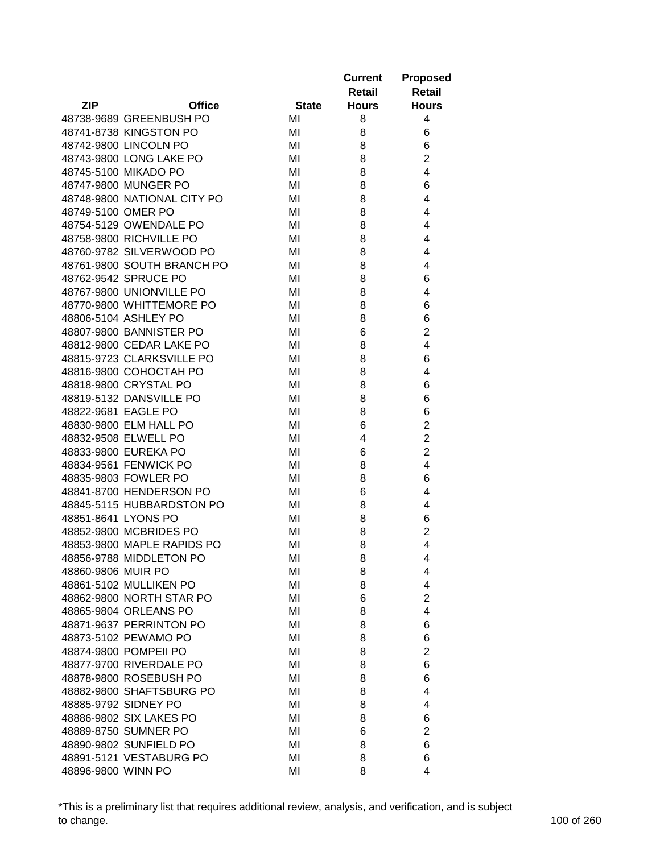|                     |                             |              | <b>Current</b> | <b>Proposed</b> |
|---------------------|-----------------------------|--------------|----------------|-----------------|
|                     |                             |              | Retail         | <b>Retail</b>   |
| ZIP                 | <b>Office</b>               | <b>State</b> | <b>Hours</b>   | <b>Hours</b>    |
|                     | 48738-9689 GREENBUSH PO     | MI           | 8              | 4               |
|                     | 48741-8738 KINGSTON PO      | MI           | 8              | 6               |
|                     | 48742-9800 LINCOLN PO       | MI           | 8              | 6               |
|                     | 48743-9800 LONG LAKE PO     | MI           | 8              | $\overline{2}$  |
|                     | 48745-5100 MIKADO PO        | MI           | 8              | $\overline{4}$  |
|                     | 48747-9800 MUNGER PO        | MI           | 8              | 6               |
|                     | 48748-9800 NATIONAL CITY PO | MI           | 8              | 4               |
| 48749-5100 OMER PO  |                             | MI           | 8              | 4               |
|                     | 48754-5129 OWENDALE PO      | MI           | 8              | 4               |
|                     | 48758-9800 RICHVILLE PO     | MI           | 8              | 4               |
|                     | 48760-9782 SILVERWOOD PO    | MI           | 8              | 4               |
|                     | 48761-9800 SOUTH BRANCH PO  | MI           | 8              | 4               |
|                     | 48762-9542 SPRUCE PO        | MI           | 8              | 6               |
|                     | 48767-9800 UNIONVILLE PO    | MI           | 8              | 4               |
|                     | 48770-9800 WHITTEMORE PO    | MI           | 8              | 6               |
|                     | 48806-5104 ASHLEY PO        | MI           | 8              | 6               |
|                     | 48807-9800 BANNISTER PO     | MI           | 6              | $\overline{2}$  |
|                     | 48812-9800 CEDAR LAKE PO    | MI           | 8              | $\overline{4}$  |
|                     | 48815-9723 CLARKSVILLE PO   | MI           | 8              | 6               |
|                     | 48816-9800 COHOCTAH PO      | MI           | 8              | 4               |
|                     | 48818-9800 CRYSTAL PO       | MI           | 8              | 6               |
|                     | 48819-5132 DANSVILLE PO     | MI           | 8              | 6               |
| 48822-9681 EAGLE PO |                             | MI           | 8              | 6               |
|                     | 48830-9800 ELM HALL PO      | MI           | 6              | $\overline{2}$  |
|                     | 48832-9508 ELWELL PO        | MI           | 4              | $\overline{2}$  |
|                     | 48833-9800 EUREKA PO        | MI           | 6              | $\overline{2}$  |
|                     | 48834-9561 FENWICK PO       | MI           | 8              | 4               |
|                     | 48835-9803 FOWLER PO        | MI           | 8              | 6               |
|                     | 48841-8700 HENDERSON PO     | MI           | 6              | 4               |
|                     | 48845-5115 HUBBARDSTON PO   | MI           |                | 4               |
| 48851-8641 LYONS PO |                             |              | 8              |                 |
|                     |                             | MI           | 8              | 6               |
|                     | 48852-9800 MCBRIDES PO      | MI           | 8              | $\overline{2}$  |
|                     | 48853-9800 MAPLE RAPIDS PO  | MI           | 8              | 4               |
|                     | 48856-9788 MIDDLETON PO     | MI           | 8              | 4               |
| 48860-9806 MUIR PO  |                             | MI           | 8              | 4               |
|                     | 48861-5102 MULLIKEN PO      | MI           | 8              | 4               |
|                     | 48862-9800 NORTH STAR PO    | MI           | 6              | $\overline{2}$  |
|                     | 48865-9804 ORLEANS PO       | MI           | 8              | 4               |
|                     | 48871-9637 PERRINTON PO     | MI           | 8              | 6               |
|                     | 48873-5102 PEWAMO PO        | MI           | 8              | 6               |
|                     | 48874-9800 POMPEII PO       | MI           | 8              | $\overline{2}$  |
|                     | 48877-9700 RIVERDALE PO     | MI           | 8              | 6               |
|                     | 48878-9800 ROSEBUSH PO      | MI           | 8              | 6               |
|                     | 48882-9800 SHAFTSBURG PO    | MI           | 8              | 4               |
|                     | 48885-9792 SIDNEY PO        | MI           | 8              | 4               |
|                     | 48886-9802 SIX LAKES PO     | MI           | 8              | 6               |
|                     | 48889-8750 SUMNER PO        | MI           | 6              | $\overline{2}$  |
|                     | 48890-9802 SUNFIELD PO      | MI           | 8              | 6               |
|                     | 48891-5121 VESTABURG PO     | MI           | 8              | 6               |
| 48896-9800 WINN PO  |                             | MI           | 8              | 4               |

\*This is a preliminary list that requires additional review, analysis, and verification, and is subject to change. 100 of 260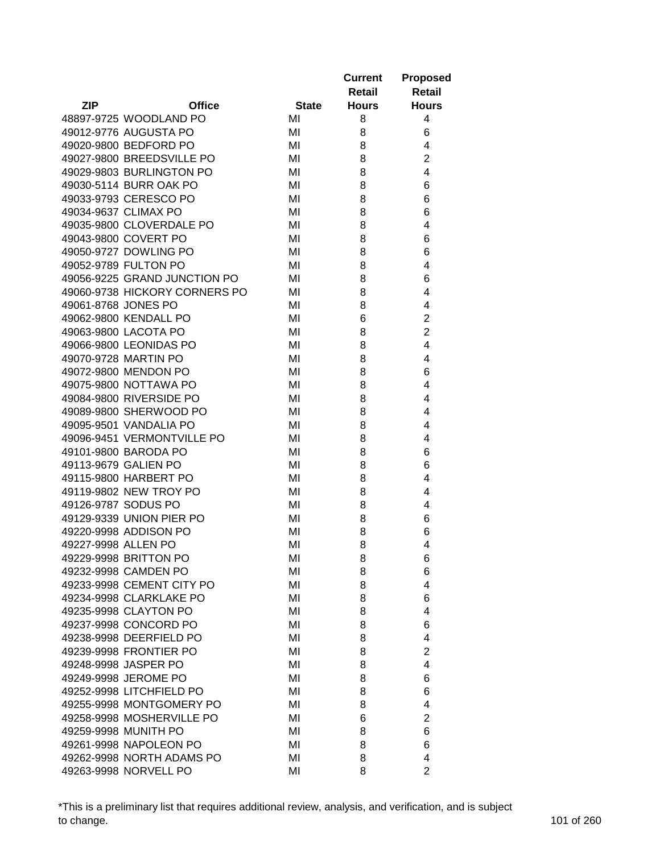|                     |                               |              | <b>Current</b> | <b>Proposed</b> |
|---------------------|-------------------------------|--------------|----------------|-----------------|
|                     |                               |              | <b>Retail</b>  | <b>Retail</b>   |
| <b>ZIP</b>          | <b>Office</b>                 | <b>State</b> | <b>Hours</b>   | <b>Hours</b>    |
|                     | 48897-9725 WOODLAND PO        | MI           | 8              | 4               |
|                     | 49012-9776 AUGUSTA PO         | MI           | 8              | 6               |
|                     | 49020-9800 BEDFORD PO         | MI           | 8              | 4               |
|                     | 49027-9800 BREEDSVILLE PO     | MI           | 8              | $\overline{c}$  |
|                     | 49029-9803 BURLINGTON PO      | MI           | 8              | $\overline{4}$  |
|                     | 49030-5114 BURR OAK PO        | MI           | 8              | 6               |
|                     | 49033-9793 CERESCO PO         | MI           | 8              | 6               |
|                     | 49034-9637 CLIMAX PO          | MI           | 8              | 6               |
|                     | 49035-9800 CLOVERDALE PO      | MI           | 8              | 4               |
|                     | 49043-9800 COVERT PO          | MI           | 8              | 6               |
|                     | 49050-9727 DOWLING PO         | MI           | 8              | 6               |
|                     | 49052-9789 FULTON PO          | MI           | 8              | 4               |
|                     | 49056-9225 GRAND JUNCTION PO  | MI           | 8              | 6               |
|                     | 49060-9738 HICKORY CORNERS PO | MI           | 8              | 4               |
|                     | 49061-8768 JONES PO           | MI           | 8              | 4               |
|                     | 49062-9800 KENDALL PO         | MI           | 6              | $\overline{2}$  |
|                     | 49063-9800 LACOTA PO          | MI           | 8              | $\overline{2}$  |
|                     | 49066-9800 LEONIDAS PO        | MI           | 8              | $\overline{4}$  |
|                     | 49070-9728 MARTIN PO          | MI           | 8              | 4               |
|                     | 49072-9800 MENDON PO          | MI           | 8              | 6               |
|                     | 49075-9800 NOTTAWA PO         | MI           | 8              | 4               |
|                     | 49084-9800 RIVERSIDE PO       | MI           | 8              | 4               |
|                     | 49089-9800 SHERWOOD PO        | MI           | 8              | 4               |
|                     | 49095-9501 VANDALIA PO        | MI           | 8              | 4               |
|                     | 49096-9451 VERMONTVILLE PO    | MI           | 8              | 4               |
|                     | 49101-9800 BARODA PO          | MI           | 8              | 6               |
|                     | 49113-9679 GALIEN PO          | MI           | 8              | 6               |
|                     | 49115-9800 HARBERT PO         | MI           | 8              | 4               |
|                     | 49119-9802 NEW TROY PO        | MI           | 8              | 4               |
|                     | 49126-9787 SODUS PO           | MI           | 8              | 4               |
|                     | 49129-9339 UNION PIER PO      | MI           | 8              | 6               |
|                     | 49220-9998 ADDISON PO         | MI           | 8              | 6               |
| 49227-9998 ALLEN PO |                               | MI           | 8              | 4               |
|                     | 49229-9998 BRITTON PO         | MI           | 8              | 6               |
|                     | 49232-9998 CAMDEN PO          | MI           |                |                 |
|                     | 49233-9998 CEMENT CITY PO     | MI           | 8<br>8         | 6<br>4          |
|                     |                               |              |                |                 |
|                     | 49234-9998 CLARKLAKE PO       | MI           | 8              | 6<br>4          |
|                     | 49235-9998 CLAYTON PO         | MI           | 8              |                 |
|                     | 49237-9998 CONCORD PO         | MI           | 8              | 6               |
|                     | 49238-9998 DEERFIELD PO       | MI           | 8              | 4               |
|                     | 49239-9998 FRONTIER PO        | MI           | 8              | $\overline{2}$  |
|                     | 49248-9998 JASPER PO          | MI           | 8              | 4               |
|                     | 49249-9998 JEROME PO          | MI           | 8              | 6               |
|                     | 49252-9998 LITCHFIELD PO      | MI           | 8              | 6               |
|                     | 49255-9998 MONTGOMERY PO      | MI           | 8              | 4               |
|                     | 49258-9998 MOSHERVILLE PO     | MI           | 6              | $\overline{c}$  |
|                     | 49259-9998 MUNITH PO          | MI           | 8              | 6               |
|                     | 49261-9998 NAPOLEON PO        | MI           | 8              | 6               |
|                     | 49262-9998 NORTH ADAMS PO     | MI           | 8              | 4               |
|                     | 49263-9998 NORVELL PO         | MI           | 8              | $\overline{2}$  |

\*This is a preliminary list that requires additional review, analysis, and verification, and is subject to change. 101 of 260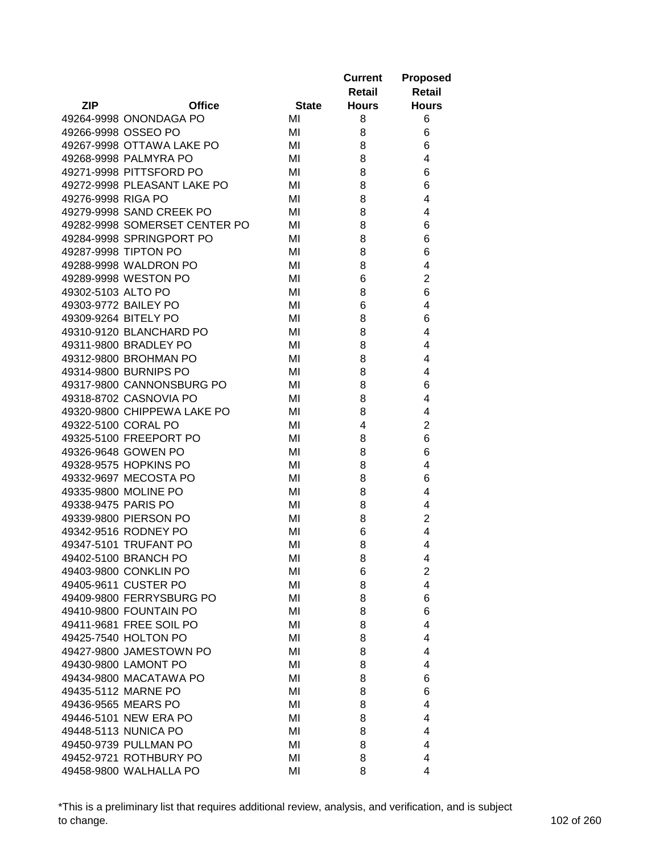|                      |                               |              | <b>Current</b> | <b>Proposed</b> |
|----------------------|-------------------------------|--------------|----------------|-----------------|
|                      |                               |              | Retail         | <b>Retail</b>   |
| ZIP                  | <b>Office</b>                 | <b>State</b> | <b>Hours</b>   | <b>Hours</b>    |
|                      | 49264-9998 ONONDAGA PO        | MI           | 8              | 6               |
|                      | 49266-9998 OSSEO PO           | MI           | 8              | 6               |
|                      | 49267-9998 OTTAWA LAKE PO     | MI           | 8              | 6               |
|                      | 49268-9998 PALMYRA PO         | MI           | 8              | 4               |
|                      | 49271-9998 PITTSFORD PO       | MI           | 8              | 6               |
|                      | 49272-9998 PLEASANT LAKE PO   | MI           | 8              | 6               |
| 49276-9998 RIGA PO   |                               | MI           | 8              | 4               |
|                      | 49279-9998 SAND CREEK PO      | MI           | 8              | 4               |
|                      | 49282-9998 SOMERSET CENTER PO | MI           | 8              | 6               |
|                      | 49284-9998 SPRINGPORT PO      | MI           | 8              | 6               |
|                      | 49287-9998 TIPTON PO          | MI           | 8              | 6               |
|                      | 49288-9998 WALDRON PO         | MI           | 8              | 4               |
|                      | 49289-9998 WESTON PO          | MI           | 6              | $\overline{2}$  |
| 49302-5103 ALTO PO   |                               | MI           | 8              | 6               |
|                      | 49303-9772 BAILEY PO          | MI           | 6              | 4               |
| 49309-9264 BITELY PO |                               | MI           | 8              | 6               |
|                      | 49310-9120 BLANCHARD PO       | MI           | 8              | 4               |
|                      | 49311-9800 BRADLEY PO         | MI           | 8              | 4               |
|                      | 49312-9800 BROHMAN PO         | MI           | 8              | 4               |
|                      | 49314-9800 BURNIPS PO         | MI           | 8              | 4               |
|                      | 49317-9800 CANNONSBURG PO     | MI           | 8              | 6               |
|                      | 49318-8702 CASNOVIA PO        | MI           | 8              | 4               |
|                      | 49320-9800 CHIPPEWA LAKE PO   | MI           | 8              | 4               |
| 49322-5100 CORAL PO  |                               | MI           | 4              | $\overline{2}$  |
|                      | 49325-5100 FREEPORT PO        | MI           | 8              | 6               |
|                      | 49326-9648 GOWEN PO           | MI           | 8              | 6               |
|                      | 49328-9575 HOPKINS PO         | MI           | 8              | 4               |
|                      | 49332-9697 MECOSTA PO         | MI           | 8              | 6               |
|                      | 49335-9800 MOLINE PO          | MI           | 8              | 4               |
| 49338-9475 PARIS PO  |                               | MI           | 8              | 4               |
|                      | 49339-9800 PIERSON PO         | MI           | 8              | $\overline{c}$  |
|                      | 49342-9516 RODNEY PO          | MI           | 6              | 4               |
|                      | 49347-5101 TRUFANT PO         | MI           | 8              | 4               |
|                      | 49402-5100 BRANCH PO          | MI           | 8              | 4               |
|                      | 49403-9800 CONKLIN PO         | MI           | 6              | $\overline{2}$  |
|                      | 49405-9611 CUSTER PO          | MI           | 8              | $\overline{4}$  |
|                      | 49409-9800 FERRYSBURG PO      | MI           | 8              | 6               |
|                      | 49410-9800 FOUNTAIN PO        | MI           | 8              | 6               |
|                      | 49411-9681 FREE SOIL PO       | MI           | 8              | 4               |
|                      | 49425-7540 HOLTON PO          | MI           | 8              | 4               |
|                      | 49427-9800 JAMESTOWN PO       | MI           | 8              | 4               |
|                      | 49430-9800 LAMONT PO          | MI           | 8              | 4               |
|                      | 49434-9800 MACATAWA PO        | MI           | 8              | 6               |
|                      | 49435-5112 MARNE PO           | MI           | 8              | 6               |
|                      | 49436-9565 MEARS PO           | MI           | 8              | 4               |
|                      | 49446-5101 NEW ERA PO         | MI           | 8              | 4               |
|                      | 49448-5113 NUNICA PO          | MI           | 8              | 4               |
|                      | 49450-9739 PULLMAN PO         | MI           | 8              | 4               |
|                      | 49452-9721 ROTHBURY PO        | MI           | 8              | 4               |
|                      | 49458-9800 WALHALLA PO        | MI           | 8              | 4               |

\*This is a preliminary list that requires additional review, analysis, and verification, and is subject to change. 102 of 260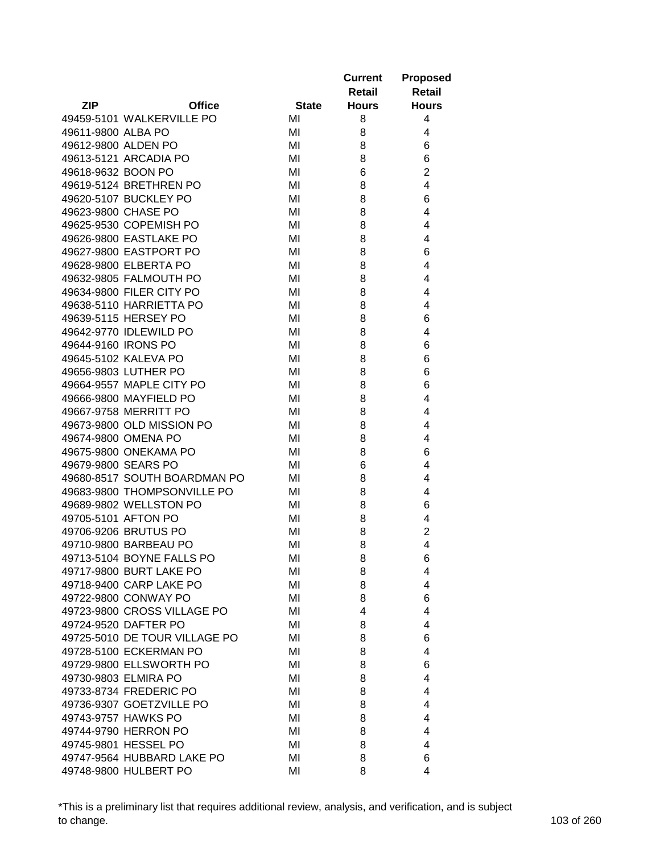|                     |                               |              | <b>Current</b> | <b>Proposed</b> |
|---------------------|-------------------------------|--------------|----------------|-----------------|
|                     |                               |              | Retail         | <b>Retail</b>   |
| ZIP                 | <b>Office</b>                 | <b>State</b> | <b>Hours</b>   | <b>Hours</b>    |
|                     | 49459-5101 WALKERVILLE PO     | MI           | 8              | 4               |
| 49611-9800 ALBA PO  |                               | MI           | 8              | 4               |
|                     | 49612-9800 ALDEN PO           | MI           | 8              | 6               |
|                     | 49613-5121 ARCADIA PO         | MI           | 8              | 6               |
| 49618-9632 BOON PO  |                               | MI           | 6              | $\overline{2}$  |
|                     | 49619-5124 BRETHREN PO        | MI           | 8              | 4               |
|                     | 49620-5107 BUCKLEY PO         | MI           | 8              | 6               |
|                     | 49623-9800 CHASE PO           | MI           | 8              | 4               |
|                     | 49625-9530 COPEMISH PO        | MI           | 8              | 4               |
|                     | 49626-9800 EASTLAKE PO        | MI           | 8              | 4               |
|                     | 49627-9800 EASTPORT PO        | MI           | 8              | 6               |
|                     | 49628-9800 ELBERTA PO         | MI           | 8              | 4               |
|                     | 49632-9805 FALMOUTH PO        | MI           | 8              | 4               |
|                     | 49634-9800 FILER CITY PO      | MI           | 8              | 4               |
|                     | 49638-5110 HARRIETTA PO       | MI           | 8              | 4               |
|                     | 49639-5115 HERSEY PO          | MI           | 8              | 6               |
|                     | 49642-9770 IDLEWILD PO        | MI           | 8              | 4               |
| 49644-9160 IRONS PO |                               | MI           | 8              | 6               |
|                     | 49645-5102 KALEVA PO          | MI           | 8              | 6               |
|                     | 49656-9803 LUTHER PO          | MI           | 8              | 6               |
|                     | 49664-9557 MAPLE CITY PO      | MI           | 8              | 6               |
|                     | 49666-9800 MAYFIELD PO        | MI           | 8              | 4               |
|                     | 49667-9758 MERRITT PO         | MI           | 8              | 4               |
|                     | 49673-9800 OLD MISSION PO     | MI           | 8              | 4               |
|                     | 49674-9800 OMENA PO           | MI           | 8              | 4               |
|                     | 49675-9800 ONEKAMA PO         | MI           | 8              | 6               |
|                     | 49679-9800 SEARS PO           | MI           | 6              | 4               |
|                     | 49680-8517 SOUTH BOARDMAN PO  |              |                | 4               |
|                     | 49683-9800 THOMPSONVILLE PO   | MI           | 8              |                 |
|                     |                               | MI           | 8              | 4               |
|                     | 49689-9802 WELLSTON PO        | MI           | 8              | 6               |
|                     | 49705-5101 AFTON PO           | MI           | 8              | 4               |
|                     | 49706-9206 BRUTUS PO          | MI           | 8              | $\overline{2}$  |
|                     | 49710-9800 BARBEAU PO         | MI           | 8              | 4               |
|                     | 49713-5104 BOYNE FALLS PO     | MI           | 8              | 6               |
|                     | 49717-9800 BURT LAKE PO       | ΜI           | 8              | 4               |
|                     | 49718-9400 CARP LAKE PO       | MI           | 8              | 4               |
|                     | 49722-9800 CONWAY PO          | MI           | 8              | 6               |
|                     | 49723-9800 CROSS VILLAGE PO   | MI           | 4              | 4               |
|                     | 49724-9520 DAFTER PO          | MI           | 8              | 4               |
|                     | 49725-5010 DE TOUR VILLAGE PO | MI           | 8              | 6               |
|                     | 49728-5100 ECKERMAN PO        | MI           | 8              | 4               |
|                     | 49729-9800 ELLSWORTH PO       | MI           | 8              | 6               |
|                     | 49730-9803 ELMIRA PO          | MI           | 8              | 4               |
|                     | 49733-8734 FREDERIC PO        | MI           | 8              | 4               |
|                     | 49736-9307 GOETZVILLE PO      | MI           | 8              | 4               |
|                     | 49743-9757 HAWKS PO           | MI           | 8              | 4               |
|                     | 49744-9790 HERRON PO          | MI           | 8              | 4               |
|                     | 49745-9801 HESSEL PO          | MI           | 8              | 4               |
|                     | 49747-9564 HUBBARD LAKE PO    | MI           | 8              | 6               |
|                     | 49748-9800 HULBERT PO         | MI           | 8              | 4               |

\*This is a preliminary list that requires additional review, analysis, and verification, and is subject to change. 103 of 260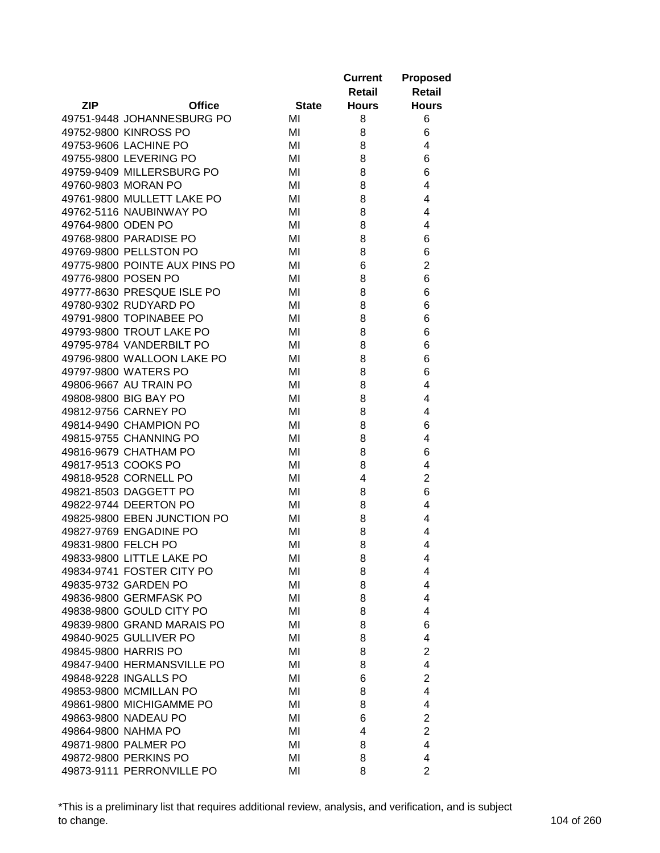|                       |                               |              | <b>Current</b> | <b>Proposed</b> |
|-----------------------|-------------------------------|--------------|----------------|-----------------|
|                       |                               |              | Retail         | <b>Retail</b>   |
| <b>ZIP</b>            | <b>Office</b>                 | <b>State</b> | <b>Hours</b>   | <b>Hours</b>    |
|                       | 49751-9448 JOHANNESBURG PO    | MI           | 8              | 6               |
|                       | 49752-9800 KINROSS PO         | MI           | 8              | 6               |
|                       | 49753-9606 LACHINE PO         | MI           | 8              | 4               |
|                       | 49755-9800 LEVERING PO        | MI           | 8              | 6               |
|                       | 49759-9409 MILLERSBURG PO     | MI           | 8              | 6               |
| 49760-9803 MORAN PO   |                               | MI           | 8              | 4               |
|                       | 49761-9800 MULLETT LAKE PO    | MI           | 8              | 4               |
|                       | 49762-5116 NAUBINWAY PO       | MI           | 8              | 4               |
| 49764-9800 ODEN PO    |                               | MI           | 8              | 4               |
|                       | 49768-9800 PARADISE PO        | MI           | 8              | 6               |
|                       | 49769-9800 PELLSTON PO        | MI           | 8              | 6               |
|                       | 49775-9800 POINTE AUX PINS PO | MI           | 6              | $\overline{2}$  |
| 49776-9800 POSEN PO   |                               | MI           | 8              | 6               |
|                       | 49777-8630 PRESQUE ISLE PO    | MI           | 8              | 6               |
|                       | 49780-9302 RUDYARD PO         | MI           | 8              | 6               |
|                       | 49791-9800 TOPINABEE PO       | MI           | 8              | 6               |
|                       | 49793-9800 TROUT LAKE PO      | MI           | 8              | 6               |
|                       | 49795-9784 VANDERBILT PO      | MI           | 8              | 6               |
|                       | 49796-9800 WALLOON LAKE PO    | MI           | 8              | 6               |
|                       | 49797-9800 WATERS PO          | MI           | 8              | 6               |
|                       | 49806-9667 AU TRAIN PO        | MI           | 8              | 4               |
| 49808-9800 BIG BAY PO |                               | MI           | 8              | 4               |
|                       | 49812-9756 CARNEY PO          | MI           | 8              | 4               |
|                       | 49814-9490 CHAMPION PO        | MI           | 8              | 6               |
|                       | 49815-9755 CHANNING PO        | MI           | 8              | 4               |
|                       | 49816-9679 CHATHAM PO         | MI           | 8              | 6               |
| 49817-9513 COOKS PO   |                               | MI           | 8              | 4               |
|                       | 49818-9528 CORNELL PO         | MI           | 4              | $\overline{2}$  |
|                       | 49821-8503 DAGGETT PO         | MI           | 8              | 6               |
|                       | 49822-9744 DEERTON PO         | MI           |                | 4               |
|                       | 49825-9800 EBEN JUNCTION PO   | MI           | 8<br>8         | 4               |
|                       | 49827-9769 ENGADINE PO        |              |                |                 |
| 49831-9800 FELCH PO   |                               | MI           | 8<br>8         | 4<br>4          |
|                       |                               | MI           |                |                 |
|                       | 49833-9800 LITTLE LAKE PO     | MI           | 8              | 4               |
|                       | 49834-9741 FOSTER CITY PO     | MI           | 8              | 4               |
|                       | 49835-9732 GARDEN PO          | MI           | 8              | 4               |
|                       | 49836-9800 GERMFASK PO        | MI           | 8              | 4               |
|                       | 49838-9800 GOULD CITY PO      | MI           | 8              | 4               |
|                       | 49839-9800 GRAND MARAIS PO    | MI           | 8              | 6               |
|                       | 49840-9025 GULLIVER PO        | MI           | 8              | 4               |
| 49845-9800 HARRIS PO  |                               | MI           | 8              | $\overline{2}$  |
|                       | 49847-9400 HERMANSVILLE PO    | MI           | 8              | 4               |
|                       | 49848-9228 INGALLS PO         | MI           | 6              | $\overline{2}$  |
|                       | 49853-9800 MCMILLAN PO        | MI           | 8              | 4               |
|                       | 49861-9800 MICHIGAMME PO      | MI           | 8              | 4               |
|                       | 49863-9800 NADEAU PO          | MI           | 6              | $\overline{c}$  |
| 49864-9800 NAHMA PO   |                               | MI           | 4              | $\overline{c}$  |
|                       | 49871-9800 PALMER PO          | MI           | 8              | 4               |
|                       | 49872-9800 PERKINS PO         | MI           | 8              | 4               |
|                       | 49873-9111 PERRONVILLE PO     | MI           | 8              | $\overline{2}$  |

\*This is a preliminary list that requires additional review, analysis, and verification, and is subject to change. 104 of 260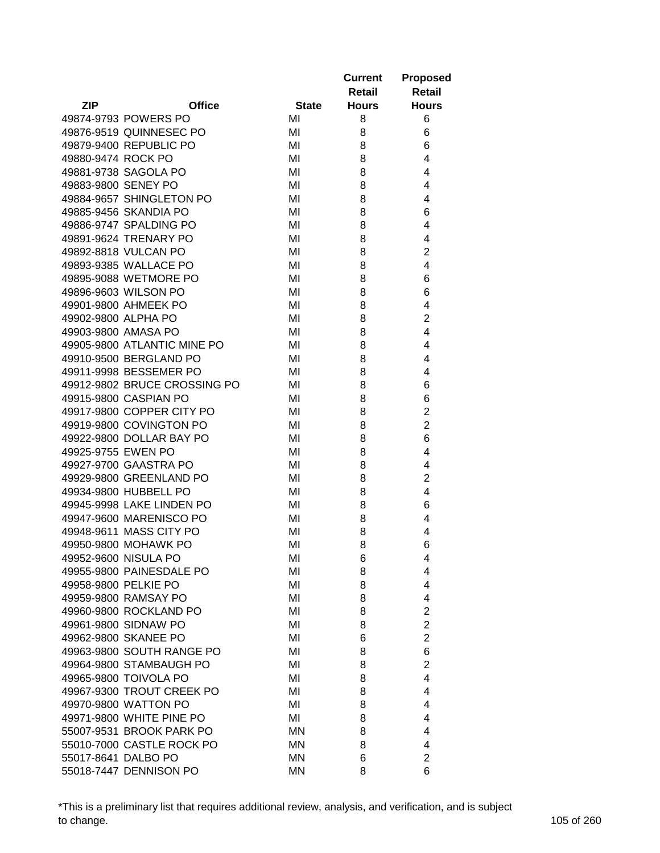|                      |                              |              | <b>Current</b> | <b>Proposed</b> |
|----------------------|------------------------------|--------------|----------------|-----------------|
|                      |                              |              | Retail         | <b>Retail</b>   |
| <b>ZIP</b>           | <b>Office</b>                | <b>State</b> | <b>Hours</b>   | <b>Hours</b>    |
|                      | 49874-9793 POWERS PO         | MI           | 8              | 6               |
|                      | 49876-9519 QUINNESEC PO      | MI           | 8              | 6               |
|                      | 49879-9400 REPUBLIC PO       | MI           | 8              | 6               |
| 49880-9474 ROCK PO   |                              | MI           | 8              | 4               |
|                      | 49881-9738 SAGOLA PO         | MI           | 8              | 4               |
| 49883-9800 SENEY PO  |                              | MI           | 8              | 4               |
|                      | 49884-9657 SHINGLETON PO     | MI           | 8              | 4               |
|                      | 49885-9456 SKANDIA PO        | MI           | 8              | 6               |
|                      | 49886-9747 SPALDING PO       | MI           | 8              | 4               |
|                      | 49891-9624 TRENARY PO        | MI           | 8              | 4               |
|                      | 49892-8818 VULCAN PO         | MI           | 8              | $\overline{c}$  |
|                      | 49893-9385 WALLACE PO        | MI           | 8              | 4               |
|                      | 49895-9088 WETMORE PO        | MI           | 8              | 6               |
|                      | 49896-9603 WILSON PO         | MI           | 8              | 6               |
|                      | 49901-9800 AHMEEK PO         | MI           | 8              | 4               |
| 49902-9800 ALPHA PO  |                              | MI           | 8              | $\overline{2}$  |
| 49903-9800 AMASA PO  |                              | MI           | 8              | 4               |
|                      | 49905-9800 ATLANTIC MINE PO  | MI           | 8              | 4               |
|                      | 49910-9500 BERGLAND PO       | MI           | 8              | 4               |
|                      | 49911-9998 BESSEMER PO       | MI           | 8              | 4               |
|                      | 49912-9802 BRUCE CROSSING PO | MI           | 8              | 6               |
|                      | 49915-9800 CASPIAN PO        | MI           | 8              | 6               |
|                      | 49917-9800 COPPER CITY PO    | MI           | 8              | $\overline{2}$  |
|                      | 49919-9800 COVINGTON PO      | MI           | 8              | $\overline{2}$  |
|                      | 49922-9800 DOLLAR BAY PO     | MI           | 8              | 6               |
| 49925-9755 EWEN PO   |                              | MI           | 8              | 4               |
|                      | 49927-9700 GAASTRA PO        | MI           | 8              | 4               |
|                      | 49929-9800 GREENLAND PO      | MI           | 8              | $\overline{2}$  |
|                      | 49934-9800 HUBBELL PO        | MI           | 8              | 4               |
|                      | 49945-9998 LAKE LINDEN PO    | MI           |                | 6               |
|                      | 49947-9600 MARENISCO PO      | MI           | 8<br>8         | 4               |
|                      | 49948-9611 MASS CITY PO      |              |                | 4               |
|                      | 49950-9800 MOHAWK PO         | MI           | 8<br>8         | 6               |
|                      |                              | MI           |                |                 |
|                      | 49952-9600 NISULA PO         | MI           | 6              | 4               |
|                      | 49955-9800 PAINESDALE PO     | MI           | 8              | 4               |
| 49958-9800 PELKIE PO |                              | MI           | 8              | 4               |
|                      | 49959-9800 RAMSAY PO         | MI           | 8              | 4               |
|                      | 49960-9800 ROCKLAND PO       | MI           | 8              | $\overline{c}$  |
|                      | 49961-9800 SIDNAW PO         | MI           | 8              | $\overline{2}$  |
|                      | 49962-9800 SKANEE PO         | MI           | 6              | $\overline{2}$  |
|                      | 49963-9800 SOUTH RANGE PO    | MI           | 8              | 6               |
|                      | 49964-9800 STAMBAUGH PO      | MI           | 8              | $\overline{2}$  |
|                      | 49965-9800 TOIVOLA PO        | MI           | 8              | 4               |
|                      | 49967-9300 TROUT CREEK PO    | MI           | 8              | 4               |
|                      | 49970-9800 WATTON PO         | MI           | 8              | 4               |
|                      | 49971-9800 WHITE PINE PO     | ΜI           | 8              | 4               |
|                      | 55007-9531 BROOK PARK PO     | ΜN           | 8              | 4               |
|                      | 55010-7000 CASTLE ROCK PO    | ΜN           | 8              | 4               |
| 55017-8641 DALBO PO  |                              | MN           | 6              | $\overline{2}$  |
|                      | 55018-7447 DENNISON PO       | MN           | 8              | 6               |

\*This is a preliminary list that requires additional review, analysis, and verification, and is subject to change. 105 of 260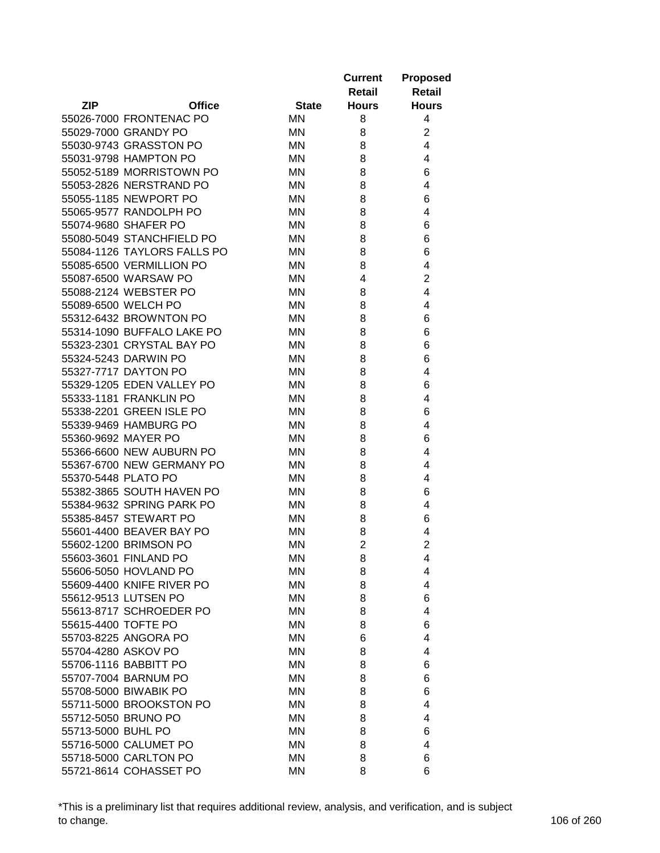|                     |                             |                 | <b>Current</b><br>Retail | <b>Proposed</b><br><b>Retail</b> |
|---------------------|-----------------------------|-----------------|--------------------------|----------------------------------|
| <b>ZIP</b>          | <b>Office</b>               | <b>State</b>    | <b>Hours</b>             | <b>Hours</b>                     |
|                     | 55026-7000 FRONTENAC PO     | ΜN              | 8                        | 4                                |
|                     | 55029-7000 GRANDY PO        | ΜN              | 8                        | $\overline{2}$                   |
|                     | 55030-9743 GRASSTON PO      | ΜN              | 8                        | 4                                |
|                     | 55031-9798 HAMPTON PO       | ΜN              | 8                        | 4                                |
|                     | 55052-5189 MORRISTOWN PO    | ΜN              | 8                        | 6                                |
|                     | 55053-2826 NERSTRAND PO     | ΜN              | 8                        | 4                                |
|                     | 55055-1185 NEWPORT PO       | ΜN              | 8                        | 6                                |
|                     | 55065-9577 RANDOLPH PO      | ΜN              | 8                        | 4                                |
|                     | 55074-9680 SHAFER PO        | <b>MN</b>       | 8                        | 6                                |
|                     | 55080-5049 STANCHFIELD PO   | ΜN              | 8                        | 6                                |
|                     | 55084-1126 TAYLORS FALLS PO | ΜN              | 8                        | 6                                |
|                     | 55085-6500 VERMILLION PO    | ΜN              | 8                        | 4                                |
|                     | 55087-6500 WARSAW PO        | <b>MN</b>       | 4                        | $\overline{2}$                   |
|                     | 55088-2124 WEBSTER PO       | ΜN              | 8                        | 4                                |
|                     | 55089-6500 WELCH PO         | ΜN              | 8                        | 4                                |
|                     | 55312-6432 BROWNTON PO      | ΜN              | 8                        | 6                                |
|                     | 55314-1090 BUFFALO LAKE PO  | <b>MN</b>       | 8                        | 6                                |
|                     | 55323-2301 CRYSTAL BAY PO   | ΜN              | 8                        | 6                                |
|                     | 55324-5243 DARWIN PO        | ΜN              | 8                        | 6                                |
|                     | 55327-7717 DAYTON PO        | ΜN              | 8                        | 4                                |
|                     | 55329-1205 EDEN VALLEY PO   | <b>MN</b>       | 8                        | 6                                |
|                     | 55333-1181 FRANKLIN PO      | ΜN              | 8                        | 4                                |
|                     | 55338-2201 GREEN ISLE PO    | ΜN              | 8                        | 6                                |
|                     | 55339-9469 HAMBURG PO       | ΜN              | 8                        | 4                                |
|                     | 55360-9692 MAYER PO         | ΜN              | 8                        | 6                                |
|                     | 55366-6600 NEW AUBURN PO    | ΜN              | 8                        | 4                                |
|                     | 55367-6700 NEW GERMANY PO   | ΜN              | 8                        | 4                                |
| 55370-5448 PLATO PO |                             | ΜN              | 8                        | 4                                |
|                     | 55382-3865 SOUTH HAVEN PO   | ΜN              | 8                        | 6                                |
|                     | 55384-9632 SPRING PARK PO   | ΜN              | 8                        | 4                                |
|                     | 55385-8457 STEWART PO       | MN              | 8                        | 6                                |
|                     | 55601-4400 BEAVER BAY PO    | MN              | 8                        | 4                                |
|                     | 55602-1200 BRIMSON PO       | <b>MN</b>       | $\overline{2}$           | $\overline{2}$                   |
|                     | 55603-3601 FINLAND PO       | <b>MN</b>       | 8                        | 4                                |
|                     | 55606-5050 HOVLAND PO       | ΜN              | 8                        | 4                                |
|                     | 55609-4400 KNIFE RIVER PO   | ΜN              | 8                        | 4                                |
|                     | 55612-9513 LUTSEN PO        | ΜN              | 8                        | 6                                |
|                     | 55613-8717 SCHROEDER PO     | ΜN              | 8                        | 4                                |
| 55615-4400 TOFTE PO |                             | ΜN              | 8                        | 6                                |
|                     | 55703-8225 ANGORA PO        |                 |                          |                                  |
| 55704-4280 ASKOV PO |                             | MN              | 6                        | 4                                |
|                     |                             | ΜN<br><b>MN</b> | 8                        | 4                                |
|                     | 55706-1116 BABBITT PO       |                 | 8                        | 6                                |
|                     | 55707-7004 BARNUM PO        | ΜN              | 8                        | 6                                |
|                     | 55708-5000 BIWABIK PO       | ΜN              | 8                        | 6                                |
|                     | 55711-5000 BROOKSTON PO     | ΜN              | 8                        | 4                                |
|                     | 55712-5050 BRUNO PO         | ΜN              | 8                        | 4                                |
| 55713-5000 BUHL PO  |                             | ΜN              | 8                        | 6                                |
|                     | 55716-5000 CALUMET PO       | MN              | 8                        | 4                                |
|                     | 55718-5000 CARLTON PO       | MN              | 8                        | 6                                |
|                     | 55721-8614 COHASSET PO      | MN              | 8                        | 6                                |

\*This is a preliminary list that requires additional review, analysis, and verification, and is subject to change. 106 of 260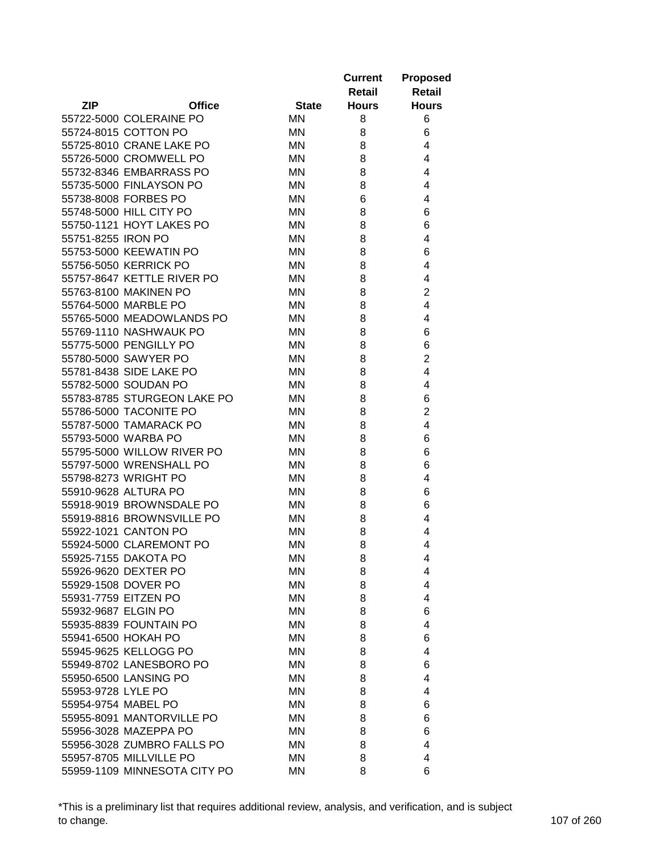|                      |                                              |              | <b>Current</b><br>Retail | <b>Proposed</b><br><b>Retail</b> |
|----------------------|----------------------------------------------|--------------|--------------------------|----------------------------------|
| <b>ZIP</b>           | <b>Office</b>                                | <b>State</b> | <b>Hours</b>             | <b>Hours</b>                     |
|                      | 55722-5000 COLERAINE PO                      | ΜN           | 8                        | 6                                |
|                      | 55724-8015 COTTON PO                         | ΜN           | 8                        | 6                                |
|                      | 55725-8010 CRANE LAKE PO                     | ΜN           | 8                        | 4                                |
|                      | 55726-5000 CROMWELL PO                       | ΜN           | 8                        | 4                                |
|                      | 55732-8346 EMBARRASS PO                      | ΜN           | 8                        | 4                                |
|                      | 55735-5000 FINLAYSON PO                      | ΜN           | 8                        | 4                                |
|                      | 55738-8008 FORBES PO                         | ΜN           | 6                        | 4                                |
|                      | 55748-5000 HILL CITY PO                      | ΜN           | 8                        | 6                                |
|                      | 55750-1121 HOYT LAKES PO                     | <b>MN</b>    | 8                        | 6                                |
| 55751-8255 IRON PO   |                                              | ΜN           | 8                        | 4                                |
|                      | 55753-5000 KEEWATIN PO                       | ΜN           | 8                        | 6                                |
|                      | 55756-5050 KERRICK PO                        | ΜN           | 8                        | 4                                |
|                      | 55757-8647 KETTLE RIVER PO                   | <b>MN</b>    | 8                        | 4                                |
|                      | 55763-8100 MAKINEN PO                        | ΜN           | 8                        | $\overline{2}$                   |
|                      | 55764-5000 MARBLE PO                         | ΜN           | 8                        | 4                                |
|                      | 55765-5000 MEADOWLANDS PO                    | ΜN           | 8                        | 4                                |
|                      | 55769-1110 NASHWAUK PO                       | <b>MN</b>    | 8                        | 6                                |
|                      | 55775-5000 PENGILLY PO                       | <b>MN</b>    | 8                        | 6                                |
|                      | 55780-5000 SAWYER PO                         | ΜN           | 8                        | $\overline{2}$                   |
|                      | 55781-8438 SIDE LAKE PO                      | ΜN           | 8                        | 4                                |
|                      | 55782-5000 SOUDAN PO                         | ΜN           | 8                        | 4                                |
|                      | 55783-8785 STURGEON LAKE PO                  | ΜN           | 8                        | 6                                |
|                      | 55786-5000 TACONITE PO                       | ΜN           | 8                        | $\overline{2}$                   |
|                      | 55787-5000 TAMARACK PO                       | MN           | 8                        | 4                                |
|                      | 55793-5000 WARBA PO                          | ΜN           | 8                        | 6                                |
|                      | 55795-5000 WILLOW RIVER PO                   | ΜN           | 8                        | 6                                |
|                      | 55797-5000 WRENSHALL PO                      | ΜN           | 8                        | 6                                |
|                      | 55798-8273 WRIGHT PO                         | ΜN           | 8                        | 4                                |
|                      | 55910-9628 ALTURA PO                         | ΜN           | 8                        | 6                                |
|                      | 55918-9019 BROWNSDALE PO                     | ΜN           | 8                        | 6                                |
|                      | 55919-8816 BROWNSVILLE PO                    | MN           | 8                        | 4                                |
|                      | 55922-1021 CANTON PO                         | MN           | 8                        | 4                                |
|                      | 55924-5000 CLAREMONT PO                      | <b>MN</b>    | 8                        | 4                                |
|                      |                                              |              |                          |                                  |
|                      | 55925-7155 DAKOTA PO<br>55926-9620 DEXTER PO | <b>MN</b>    | 8                        | 4                                |
|                      |                                              | ΜN           | 8                        | 4                                |
| 55931-7759 EITZEN PO | 55929-1508 DOVER PO                          | MN           | 8                        | 4<br>4                           |
| 55932-9687 ELGIN PO  |                                              | ΜN           | 8                        |                                  |
|                      | 55935-8839 FOUNTAIN PO                       | ΜN           | 8                        | 6<br>4                           |
|                      |                                              | ΜN           | 8                        |                                  |
| 55941-6500 HOKAH PO  |                                              | MN           | 8                        | 6                                |
|                      | 55945-9625 KELLOGG PO                        | ΜN           | 8                        | 4                                |
|                      | 55949-8702 LANESBORO PO                      | ΜN           | 8                        | 6                                |
|                      | 55950-6500 LANSING PO                        | ΜN           | 8                        | 4                                |
| 55953-9728 LYLE PO   |                                              | ΜN           | 8                        | 4                                |
| 55954-9754 MABEL PO  |                                              | ΜN           | 8                        | 6                                |
|                      | 55955-8091 MANTORVILLE PO                    | ΜN           | 8                        | 6                                |
|                      | 55956-3028 MAZEPPA PO                        | ΜN           | 8                        | 6                                |
|                      | 55956-3028 ZUMBRO FALLS PO                   | MN           | 8                        | 4                                |
|                      | 55957-8705 MILLVILLE PO                      | ΜN           | 8                        | 4                                |
|                      | 55959-1109 MINNESOTA CITY PO                 | <b>MN</b>    | 8                        | 6                                |

\*This is a preliminary list that requires additional review, analysis, and verification, and is subject to change. 107 of 260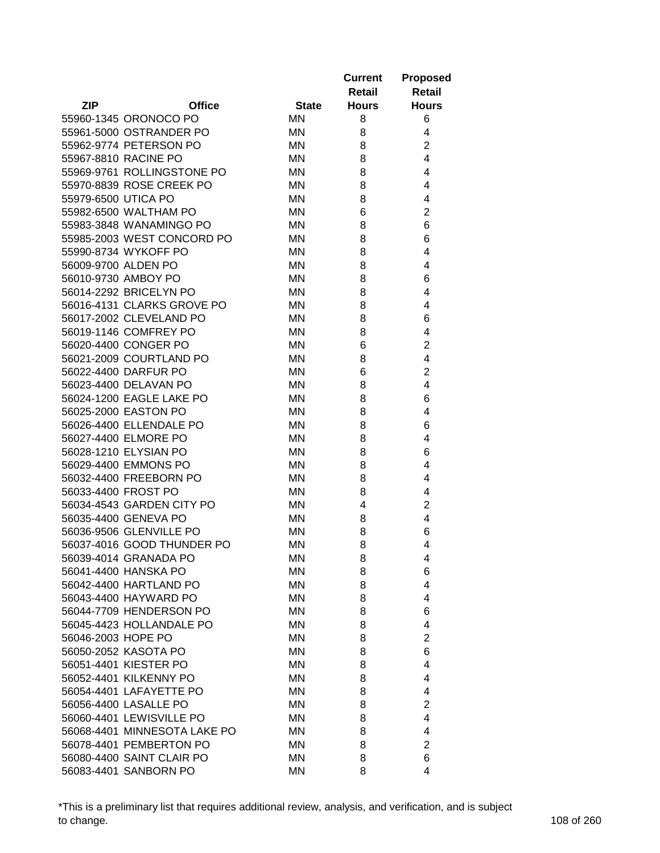|                     |                              |              | <b>Current</b><br>Retail | <b>Proposed</b><br><b>Retail</b> |
|---------------------|------------------------------|--------------|--------------------------|----------------------------------|
| <b>ZIP</b>          | <b>Office</b>                | <b>State</b> | <b>Hours</b>             | <b>Hours</b>                     |
|                     | 55960-1345 ORONOCO PO        | ΜN           | 8                        | 6                                |
|                     | 55961-5000 OSTRANDER PO      | ΜN           | 8                        | 4                                |
|                     | 55962-9774 PETERSON PO       | ΜN           | 8                        | $\overline{2}$                   |
|                     | 55967-8810 RACINE PO         | ΜN           | 8                        | 4                                |
|                     | 55969-9761 ROLLINGSTONE PO   | ΜN           | 8                        | 4                                |
|                     | 55970-8839 ROSE CREEK PO     | ΜN           | 8                        | 4                                |
| 55979-6500 UTICA PO |                              | MN           | 8                        | 4                                |
|                     | 55982-6500 WALTHAM PO        | ΜN           | 6                        | $\overline{2}$                   |
|                     | 55983-3848 WANAMINGO PO      | ΜN           | 8                        | 6                                |
|                     | 55985-2003 WEST CONCORD PO   | ΜN           | 8                        | 6                                |
|                     | 55990-8734 WYKOFF PO         | ΜN           | 8                        | 4                                |
| 56009-9700 ALDEN PO |                              | ΜN           | 8                        | 4                                |
|                     | 56010-9730 AMBOY PO          | <b>MN</b>    | 8                        | 6                                |
|                     | 56014-2292 BRICELYN PO       | ΜN           | 8                        | 4                                |
|                     | 56016-4131 CLARKS GROVE PO   | MN           | 8                        | 4                                |
|                     | 56017-2002 CLEVELAND PO      | ΜN           | 8                        | 6                                |
|                     | 56019-1146 COMFREY PO        | <b>MN</b>    | 8                        | 4                                |
|                     | 56020-4400 CONGER PO         | ΜN           | 6                        | $\overline{c}$                   |
|                     | 56021-2009 COURTLAND PO      | ΜN           | 8                        | 4                                |
|                     | 56022-4400 DARFUR PO         | ΜN           | 6                        | $\overline{2}$                   |
|                     | 56023-4400 DELAVAN PO        | ΜN           | 8                        | 4                                |
|                     | 56024-1200 EAGLE LAKE PO     | ΜN           | 8                        | 6                                |
|                     | 56025-2000 EASTON PO         | ΜN           | 8                        | 4                                |
|                     | 56026-4400 ELLENDALE PO      | ΜN           | 8                        | 6                                |
|                     | 56027-4400 ELMORE PO         | ΜN           | 8                        | 4                                |
|                     | 56028-1210 ELYSIAN PO        | ΜN           | 8                        | 6                                |
|                     | 56029-4400 EMMONS PO         | ΜN           | 8                        | 4                                |
|                     | 56032-4400 FREEBORN PO       | ΜN           | 8                        | 4                                |
|                     | 56033-4400 FROST PO          | ΜN           | 8                        | 4                                |
|                     | 56034-4543 GARDEN CITY PO    | ΜN           | 4                        | $\overline{\mathbf{c}}$          |
|                     | 56035-4400 GENEVA PO         | MN           | 8                        | 4                                |
|                     | 56036-9506 GLENVILLE PO      | MN           | 8                        | 6                                |
|                     | 56037-4016 GOOD THUNDER PO   | MN           | 8                        | 4                                |
|                     | 56039-4014 GRANADA PO        | <b>MN</b>    | 8                        | 4                                |
|                     | 56041-4400 HANSKA PO         | ΜN           | 8                        | 6                                |
|                     | 56042-4400 HARTLAND PO       | MN           | 8                        | 4                                |
|                     | 56043-4400 HAYWARD PO        | ΜN           | 8                        | 4                                |
|                     | 56044-7709 HENDERSON PO      | ΜN           | 8                        | 6                                |
|                     | 56045-4423 HOLLANDALE PO     | ΜN           | 8                        | 4                                |
| 56046-2003 HOPE PO  |                              | MN           | 8                        | $\overline{2}$                   |
|                     | 56050-2052 KASOTA PO         | ΜN           | 8                        | 6                                |
|                     | 56051-4401 KIESTER PO        | <b>MN</b>    | 8                        | 4                                |
|                     | 56052-4401 KILKENNY PO       | ΜN           | 8                        | 4                                |
|                     | 56054-4401 LAFAYETTE PO      | ΜN           | 8                        | 4                                |
|                     | 56056-4400 LASALLE PO        | ΜN           | 8                        | $\overline{2}$                   |
|                     | 56060-4401 LEWISVILLE PO     | ΜN           | 8                        | 4                                |
|                     | 56068-4401 MINNESOTA LAKE PO | ΜN           | 8                        | 4                                |
|                     | 56078-4401 PEMBERTON PO      | ΜN           | 8                        | $\overline{2}$                   |
|                     | 56080-4400 SAINT CLAIR PO    | ΜN           | 8                        | 6                                |
|                     | 56083-4401 SANBORN PO        | MN           | 8                        | 4                                |

\*This is a preliminary list that requires additional review, analysis, and verification, and is subject to change. 108 of 260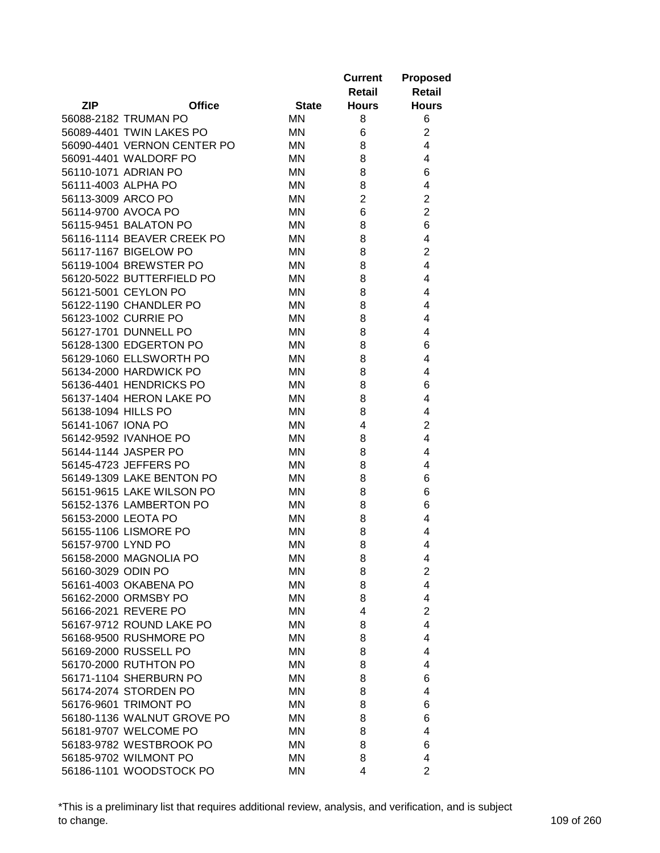| <b>ZIP</b><br><b>Office</b><br><b>Hours</b><br><b>State</b><br><b>Hours</b><br>56088-2182 TRUMAN PO<br><b>MN</b><br>8<br>6<br>56089-4401 TWIN LAKES PO<br>$\overline{2}$<br>ΜN<br>6<br>56090-4401 VERNON CENTER PO<br>4<br>ΜN<br>8<br>4<br>56091-4401 WALDORF PO<br>ΜN<br>8<br>56110-1071 ADRIAN PO<br>ΜN<br>8<br>6<br>8<br>4<br>56111-4003 ALPHA PO<br>ΜN<br>$\overline{2}$<br>$\overline{2}$<br>56113-3009 ARCO PO<br>ΜN<br>$\overline{2}$<br>6<br>56114-9700 AVOCA PO<br>ΜN<br>6<br>56115-9451 BALATON PO<br>ΜN<br>8<br>56116-1114 BEAVER CREEK PO<br>ΜN<br>8<br>4<br>$\overline{2}$<br>56117-1167 BIGELOW PO<br>ΜN<br>8<br>56119-1004 BREWSTER PO<br>ΜN<br>8<br>4<br>56120-5022 BUTTERFIELD PO<br>ΜN<br>4<br>8<br>56121-5001 CEYLON PO<br>ΜN<br>8<br>4<br>56122-1190 CHANDLER PO<br>ΜN<br>8<br>4<br>56123-1002 CURRIE PO<br>ΜN<br>8<br>4<br>56127-1701 DUNNELL PO<br><b>MN</b><br>8<br>4<br>56128-1300 EDGERTON PO<br>6<br>ΜN<br>8<br>56129-1060 ELLSWORTH PO<br>ΜN<br>8<br>4<br>56134-2000 HARDWICK PO<br>ΜN<br>8<br>4<br>56136-4401 HENDRICKS PO<br>ΜN<br>8<br>6<br>56137-1404 HERON LAKE PO<br>4<br>ΜN<br>8<br>4<br>56138-1094 HILLS PO<br>ΜN<br>8<br>$\overline{2}$<br>56141-1067 IONA PO<br>ΜN<br>4<br>$\overline{4}$<br>56142-9592 IVANHOE PO<br>ΜN<br>8<br>56144-1144 JASPER PO<br>ΜN<br>8<br>4<br>56145-4723 JEFFERS PO<br>ΜN<br>8<br>4<br>56149-1309 LAKE BENTON PO<br>ΜN<br>8<br>6<br>56151-9615 LAKE WILSON PO<br>ΜN<br>8<br>6<br>56152-1376 LAMBERTON PO<br>ΜN<br>8<br>6<br>56153-2000 LEOTA PO<br>ΜN<br>8<br>4<br>56155-1106 LISMORE PO<br>ΜN<br>8<br>4<br>56157-9700 LYND PO<br>8<br>4<br>ΜN<br>56158-2000 MAGNOLIA PO<br>ΜN<br>4<br>8<br>$\overline{2}$<br>56160-3029 ODIN PO<br>ΜN<br>8<br>4<br>56161-4003 OKABENA PO<br>ΜN<br>8<br>56162-2000 ORMSBY PO<br>ΜN<br>8<br>4<br>$\overline{2}$<br>56166-2021 REVERE PO<br>ΜN<br>4<br>56167-9712 ROUND LAKE PO<br>4<br>ΜN<br>8<br>56168-9500 RUSHMORE PO<br>ΜN<br>8<br>4<br>56169-2000 RUSSELL PO<br>ΜN<br>8<br>4<br>56170-2000 RUTHTON PO<br>ΜN<br>4<br>8<br>56171-1104 SHERBURN PO<br>ΜN<br>6<br>8<br>56174-2074 STORDEN PO<br>ΜN<br>4<br>8<br>56176-9601 TRIMONT PO<br>ΜN<br>8<br>6<br>56180-1136 WALNUT GROVE PO<br>ΜN<br>8<br>6<br>56181-9707 WELCOME PO<br>ΜN<br>4<br>8<br>56183-9782 WESTBROOK PO<br>ΜN<br>8<br>6<br>56185-9702 WILMONT PO<br>ΜN<br>8<br>4<br>56186-1101 WOODSTOCK PO |  |    | <b>Current</b><br>Retail | <b>Proposed</b><br><b>Retail</b> |
|-------------------------------------------------------------------------------------------------------------------------------------------------------------------------------------------------------------------------------------------------------------------------------------------------------------------------------------------------------------------------------------------------------------------------------------------------------------------------------------------------------------------------------------------------------------------------------------------------------------------------------------------------------------------------------------------------------------------------------------------------------------------------------------------------------------------------------------------------------------------------------------------------------------------------------------------------------------------------------------------------------------------------------------------------------------------------------------------------------------------------------------------------------------------------------------------------------------------------------------------------------------------------------------------------------------------------------------------------------------------------------------------------------------------------------------------------------------------------------------------------------------------------------------------------------------------------------------------------------------------------------------------------------------------------------------------------------------------------------------------------------------------------------------------------------------------------------------------------------------------------------------------------------------------------------------------------------------------------------------------------------------------------------------------------------------------------------------------------------------------------------------------------------------------------------------------------------------------------------------------------------------------------------------------------------------------------------------------------------------|--|----|--------------------------|----------------------------------|
|                                                                                                                                                                                                                                                                                                                                                                                                                                                                                                                                                                                                                                                                                                                                                                                                                                                                                                                                                                                                                                                                                                                                                                                                                                                                                                                                                                                                                                                                                                                                                                                                                                                                                                                                                                                                                                                                                                                                                                                                                                                                                                                                                                                                                                                                                                                                                             |  |    |                          |                                  |
|                                                                                                                                                                                                                                                                                                                                                                                                                                                                                                                                                                                                                                                                                                                                                                                                                                                                                                                                                                                                                                                                                                                                                                                                                                                                                                                                                                                                                                                                                                                                                                                                                                                                                                                                                                                                                                                                                                                                                                                                                                                                                                                                                                                                                                                                                                                                                             |  |    |                          |                                  |
|                                                                                                                                                                                                                                                                                                                                                                                                                                                                                                                                                                                                                                                                                                                                                                                                                                                                                                                                                                                                                                                                                                                                                                                                                                                                                                                                                                                                                                                                                                                                                                                                                                                                                                                                                                                                                                                                                                                                                                                                                                                                                                                                                                                                                                                                                                                                                             |  |    |                          |                                  |
|                                                                                                                                                                                                                                                                                                                                                                                                                                                                                                                                                                                                                                                                                                                                                                                                                                                                                                                                                                                                                                                                                                                                                                                                                                                                                                                                                                                                                                                                                                                                                                                                                                                                                                                                                                                                                                                                                                                                                                                                                                                                                                                                                                                                                                                                                                                                                             |  |    |                          |                                  |
|                                                                                                                                                                                                                                                                                                                                                                                                                                                                                                                                                                                                                                                                                                                                                                                                                                                                                                                                                                                                                                                                                                                                                                                                                                                                                                                                                                                                                                                                                                                                                                                                                                                                                                                                                                                                                                                                                                                                                                                                                                                                                                                                                                                                                                                                                                                                                             |  |    |                          |                                  |
|                                                                                                                                                                                                                                                                                                                                                                                                                                                                                                                                                                                                                                                                                                                                                                                                                                                                                                                                                                                                                                                                                                                                                                                                                                                                                                                                                                                                                                                                                                                                                                                                                                                                                                                                                                                                                                                                                                                                                                                                                                                                                                                                                                                                                                                                                                                                                             |  |    |                          |                                  |
|                                                                                                                                                                                                                                                                                                                                                                                                                                                                                                                                                                                                                                                                                                                                                                                                                                                                                                                                                                                                                                                                                                                                                                                                                                                                                                                                                                                                                                                                                                                                                                                                                                                                                                                                                                                                                                                                                                                                                                                                                                                                                                                                                                                                                                                                                                                                                             |  |    |                          |                                  |
|                                                                                                                                                                                                                                                                                                                                                                                                                                                                                                                                                                                                                                                                                                                                                                                                                                                                                                                                                                                                                                                                                                                                                                                                                                                                                                                                                                                                                                                                                                                                                                                                                                                                                                                                                                                                                                                                                                                                                                                                                                                                                                                                                                                                                                                                                                                                                             |  |    |                          |                                  |
|                                                                                                                                                                                                                                                                                                                                                                                                                                                                                                                                                                                                                                                                                                                                                                                                                                                                                                                                                                                                                                                                                                                                                                                                                                                                                                                                                                                                                                                                                                                                                                                                                                                                                                                                                                                                                                                                                                                                                                                                                                                                                                                                                                                                                                                                                                                                                             |  |    |                          |                                  |
|                                                                                                                                                                                                                                                                                                                                                                                                                                                                                                                                                                                                                                                                                                                                                                                                                                                                                                                                                                                                                                                                                                                                                                                                                                                                                                                                                                                                                                                                                                                                                                                                                                                                                                                                                                                                                                                                                                                                                                                                                                                                                                                                                                                                                                                                                                                                                             |  |    |                          |                                  |
|                                                                                                                                                                                                                                                                                                                                                                                                                                                                                                                                                                                                                                                                                                                                                                                                                                                                                                                                                                                                                                                                                                                                                                                                                                                                                                                                                                                                                                                                                                                                                                                                                                                                                                                                                                                                                                                                                                                                                                                                                                                                                                                                                                                                                                                                                                                                                             |  |    |                          |                                  |
|                                                                                                                                                                                                                                                                                                                                                                                                                                                                                                                                                                                                                                                                                                                                                                                                                                                                                                                                                                                                                                                                                                                                                                                                                                                                                                                                                                                                                                                                                                                                                                                                                                                                                                                                                                                                                                                                                                                                                                                                                                                                                                                                                                                                                                                                                                                                                             |  |    |                          |                                  |
|                                                                                                                                                                                                                                                                                                                                                                                                                                                                                                                                                                                                                                                                                                                                                                                                                                                                                                                                                                                                                                                                                                                                                                                                                                                                                                                                                                                                                                                                                                                                                                                                                                                                                                                                                                                                                                                                                                                                                                                                                                                                                                                                                                                                                                                                                                                                                             |  |    |                          |                                  |
|                                                                                                                                                                                                                                                                                                                                                                                                                                                                                                                                                                                                                                                                                                                                                                                                                                                                                                                                                                                                                                                                                                                                                                                                                                                                                                                                                                                                                                                                                                                                                                                                                                                                                                                                                                                                                                                                                                                                                                                                                                                                                                                                                                                                                                                                                                                                                             |  |    |                          |                                  |
|                                                                                                                                                                                                                                                                                                                                                                                                                                                                                                                                                                                                                                                                                                                                                                                                                                                                                                                                                                                                                                                                                                                                                                                                                                                                                                                                                                                                                                                                                                                                                                                                                                                                                                                                                                                                                                                                                                                                                                                                                                                                                                                                                                                                                                                                                                                                                             |  |    |                          |                                  |
|                                                                                                                                                                                                                                                                                                                                                                                                                                                                                                                                                                                                                                                                                                                                                                                                                                                                                                                                                                                                                                                                                                                                                                                                                                                                                                                                                                                                                                                                                                                                                                                                                                                                                                                                                                                                                                                                                                                                                                                                                                                                                                                                                                                                                                                                                                                                                             |  |    |                          |                                  |
|                                                                                                                                                                                                                                                                                                                                                                                                                                                                                                                                                                                                                                                                                                                                                                                                                                                                                                                                                                                                                                                                                                                                                                                                                                                                                                                                                                                                                                                                                                                                                                                                                                                                                                                                                                                                                                                                                                                                                                                                                                                                                                                                                                                                                                                                                                                                                             |  |    |                          |                                  |
|                                                                                                                                                                                                                                                                                                                                                                                                                                                                                                                                                                                                                                                                                                                                                                                                                                                                                                                                                                                                                                                                                                                                                                                                                                                                                                                                                                                                                                                                                                                                                                                                                                                                                                                                                                                                                                                                                                                                                                                                                                                                                                                                                                                                                                                                                                                                                             |  |    |                          |                                  |
|                                                                                                                                                                                                                                                                                                                                                                                                                                                                                                                                                                                                                                                                                                                                                                                                                                                                                                                                                                                                                                                                                                                                                                                                                                                                                                                                                                                                                                                                                                                                                                                                                                                                                                                                                                                                                                                                                                                                                                                                                                                                                                                                                                                                                                                                                                                                                             |  |    |                          |                                  |
|                                                                                                                                                                                                                                                                                                                                                                                                                                                                                                                                                                                                                                                                                                                                                                                                                                                                                                                                                                                                                                                                                                                                                                                                                                                                                                                                                                                                                                                                                                                                                                                                                                                                                                                                                                                                                                                                                                                                                                                                                                                                                                                                                                                                                                                                                                                                                             |  |    |                          |                                  |
|                                                                                                                                                                                                                                                                                                                                                                                                                                                                                                                                                                                                                                                                                                                                                                                                                                                                                                                                                                                                                                                                                                                                                                                                                                                                                                                                                                                                                                                                                                                                                                                                                                                                                                                                                                                                                                                                                                                                                                                                                                                                                                                                                                                                                                                                                                                                                             |  |    |                          |                                  |
|                                                                                                                                                                                                                                                                                                                                                                                                                                                                                                                                                                                                                                                                                                                                                                                                                                                                                                                                                                                                                                                                                                                                                                                                                                                                                                                                                                                                                                                                                                                                                                                                                                                                                                                                                                                                                                                                                                                                                                                                                                                                                                                                                                                                                                                                                                                                                             |  |    |                          |                                  |
|                                                                                                                                                                                                                                                                                                                                                                                                                                                                                                                                                                                                                                                                                                                                                                                                                                                                                                                                                                                                                                                                                                                                                                                                                                                                                                                                                                                                                                                                                                                                                                                                                                                                                                                                                                                                                                                                                                                                                                                                                                                                                                                                                                                                                                                                                                                                                             |  |    |                          |                                  |
|                                                                                                                                                                                                                                                                                                                                                                                                                                                                                                                                                                                                                                                                                                                                                                                                                                                                                                                                                                                                                                                                                                                                                                                                                                                                                                                                                                                                                                                                                                                                                                                                                                                                                                                                                                                                                                                                                                                                                                                                                                                                                                                                                                                                                                                                                                                                                             |  |    |                          |                                  |
|                                                                                                                                                                                                                                                                                                                                                                                                                                                                                                                                                                                                                                                                                                                                                                                                                                                                                                                                                                                                                                                                                                                                                                                                                                                                                                                                                                                                                                                                                                                                                                                                                                                                                                                                                                                                                                                                                                                                                                                                                                                                                                                                                                                                                                                                                                                                                             |  |    |                          |                                  |
|                                                                                                                                                                                                                                                                                                                                                                                                                                                                                                                                                                                                                                                                                                                                                                                                                                                                                                                                                                                                                                                                                                                                                                                                                                                                                                                                                                                                                                                                                                                                                                                                                                                                                                                                                                                                                                                                                                                                                                                                                                                                                                                                                                                                                                                                                                                                                             |  |    |                          |                                  |
|                                                                                                                                                                                                                                                                                                                                                                                                                                                                                                                                                                                                                                                                                                                                                                                                                                                                                                                                                                                                                                                                                                                                                                                                                                                                                                                                                                                                                                                                                                                                                                                                                                                                                                                                                                                                                                                                                                                                                                                                                                                                                                                                                                                                                                                                                                                                                             |  |    |                          |                                  |
|                                                                                                                                                                                                                                                                                                                                                                                                                                                                                                                                                                                                                                                                                                                                                                                                                                                                                                                                                                                                                                                                                                                                                                                                                                                                                                                                                                                                                                                                                                                                                                                                                                                                                                                                                                                                                                                                                                                                                                                                                                                                                                                                                                                                                                                                                                                                                             |  |    |                          |                                  |
|                                                                                                                                                                                                                                                                                                                                                                                                                                                                                                                                                                                                                                                                                                                                                                                                                                                                                                                                                                                                                                                                                                                                                                                                                                                                                                                                                                                                                                                                                                                                                                                                                                                                                                                                                                                                                                                                                                                                                                                                                                                                                                                                                                                                                                                                                                                                                             |  |    |                          |                                  |
|                                                                                                                                                                                                                                                                                                                                                                                                                                                                                                                                                                                                                                                                                                                                                                                                                                                                                                                                                                                                                                                                                                                                                                                                                                                                                                                                                                                                                                                                                                                                                                                                                                                                                                                                                                                                                                                                                                                                                                                                                                                                                                                                                                                                                                                                                                                                                             |  |    |                          |                                  |
|                                                                                                                                                                                                                                                                                                                                                                                                                                                                                                                                                                                                                                                                                                                                                                                                                                                                                                                                                                                                                                                                                                                                                                                                                                                                                                                                                                                                                                                                                                                                                                                                                                                                                                                                                                                                                                                                                                                                                                                                                                                                                                                                                                                                                                                                                                                                                             |  |    |                          |                                  |
|                                                                                                                                                                                                                                                                                                                                                                                                                                                                                                                                                                                                                                                                                                                                                                                                                                                                                                                                                                                                                                                                                                                                                                                                                                                                                                                                                                                                                                                                                                                                                                                                                                                                                                                                                                                                                                                                                                                                                                                                                                                                                                                                                                                                                                                                                                                                                             |  |    |                          |                                  |
|                                                                                                                                                                                                                                                                                                                                                                                                                                                                                                                                                                                                                                                                                                                                                                                                                                                                                                                                                                                                                                                                                                                                                                                                                                                                                                                                                                                                                                                                                                                                                                                                                                                                                                                                                                                                                                                                                                                                                                                                                                                                                                                                                                                                                                                                                                                                                             |  |    |                          |                                  |
|                                                                                                                                                                                                                                                                                                                                                                                                                                                                                                                                                                                                                                                                                                                                                                                                                                                                                                                                                                                                                                                                                                                                                                                                                                                                                                                                                                                                                                                                                                                                                                                                                                                                                                                                                                                                                                                                                                                                                                                                                                                                                                                                                                                                                                                                                                                                                             |  |    |                          |                                  |
|                                                                                                                                                                                                                                                                                                                                                                                                                                                                                                                                                                                                                                                                                                                                                                                                                                                                                                                                                                                                                                                                                                                                                                                                                                                                                                                                                                                                                                                                                                                                                                                                                                                                                                                                                                                                                                                                                                                                                                                                                                                                                                                                                                                                                                                                                                                                                             |  |    |                          |                                  |
|                                                                                                                                                                                                                                                                                                                                                                                                                                                                                                                                                                                                                                                                                                                                                                                                                                                                                                                                                                                                                                                                                                                                                                                                                                                                                                                                                                                                                                                                                                                                                                                                                                                                                                                                                                                                                                                                                                                                                                                                                                                                                                                                                                                                                                                                                                                                                             |  |    |                          |                                  |
|                                                                                                                                                                                                                                                                                                                                                                                                                                                                                                                                                                                                                                                                                                                                                                                                                                                                                                                                                                                                                                                                                                                                                                                                                                                                                                                                                                                                                                                                                                                                                                                                                                                                                                                                                                                                                                                                                                                                                                                                                                                                                                                                                                                                                                                                                                                                                             |  |    |                          |                                  |
|                                                                                                                                                                                                                                                                                                                                                                                                                                                                                                                                                                                                                                                                                                                                                                                                                                                                                                                                                                                                                                                                                                                                                                                                                                                                                                                                                                                                                                                                                                                                                                                                                                                                                                                                                                                                                                                                                                                                                                                                                                                                                                                                                                                                                                                                                                                                                             |  |    |                          |                                  |
|                                                                                                                                                                                                                                                                                                                                                                                                                                                                                                                                                                                                                                                                                                                                                                                                                                                                                                                                                                                                                                                                                                                                                                                                                                                                                                                                                                                                                                                                                                                                                                                                                                                                                                                                                                                                                                                                                                                                                                                                                                                                                                                                                                                                                                                                                                                                                             |  |    |                          |                                  |
|                                                                                                                                                                                                                                                                                                                                                                                                                                                                                                                                                                                                                                                                                                                                                                                                                                                                                                                                                                                                                                                                                                                                                                                                                                                                                                                                                                                                                                                                                                                                                                                                                                                                                                                                                                                                                                                                                                                                                                                                                                                                                                                                                                                                                                                                                                                                                             |  |    |                          |                                  |
|                                                                                                                                                                                                                                                                                                                                                                                                                                                                                                                                                                                                                                                                                                                                                                                                                                                                                                                                                                                                                                                                                                                                                                                                                                                                                                                                                                                                                                                                                                                                                                                                                                                                                                                                                                                                                                                                                                                                                                                                                                                                                                                                                                                                                                                                                                                                                             |  |    |                          |                                  |
|                                                                                                                                                                                                                                                                                                                                                                                                                                                                                                                                                                                                                                                                                                                                                                                                                                                                                                                                                                                                                                                                                                                                                                                                                                                                                                                                                                                                                                                                                                                                                                                                                                                                                                                                                                                                                                                                                                                                                                                                                                                                                                                                                                                                                                                                                                                                                             |  |    |                          |                                  |
|                                                                                                                                                                                                                                                                                                                                                                                                                                                                                                                                                                                                                                                                                                                                                                                                                                                                                                                                                                                                                                                                                                                                                                                                                                                                                                                                                                                                                                                                                                                                                                                                                                                                                                                                                                                                                                                                                                                                                                                                                                                                                                                                                                                                                                                                                                                                                             |  |    |                          |                                  |
|                                                                                                                                                                                                                                                                                                                                                                                                                                                                                                                                                                                                                                                                                                                                                                                                                                                                                                                                                                                                                                                                                                                                                                                                                                                                                                                                                                                                                                                                                                                                                                                                                                                                                                                                                                                                                                                                                                                                                                                                                                                                                                                                                                                                                                                                                                                                                             |  |    |                          |                                  |
|                                                                                                                                                                                                                                                                                                                                                                                                                                                                                                                                                                                                                                                                                                                                                                                                                                                                                                                                                                                                                                                                                                                                                                                                                                                                                                                                                                                                                                                                                                                                                                                                                                                                                                                                                                                                                                                                                                                                                                                                                                                                                                                                                                                                                                                                                                                                                             |  |    |                          |                                  |
|                                                                                                                                                                                                                                                                                                                                                                                                                                                                                                                                                                                                                                                                                                                                                                                                                                                                                                                                                                                                                                                                                                                                                                                                                                                                                                                                                                                                                                                                                                                                                                                                                                                                                                                                                                                                                                                                                                                                                                                                                                                                                                                                                                                                                                                                                                                                                             |  |    |                          |                                  |
|                                                                                                                                                                                                                                                                                                                                                                                                                                                                                                                                                                                                                                                                                                                                                                                                                                                                                                                                                                                                                                                                                                                                                                                                                                                                                                                                                                                                                                                                                                                                                                                                                                                                                                                                                                                                                                                                                                                                                                                                                                                                                                                                                                                                                                                                                                                                                             |  |    |                          |                                  |
|                                                                                                                                                                                                                                                                                                                                                                                                                                                                                                                                                                                                                                                                                                                                                                                                                                                                                                                                                                                                                                                                                                                                                                                                                                                                                                                                                                                                                                                                                                                                                                                                                                                                                                                                                                                                                                                                                                                                                                                                                                                                                                                                                                                                                                                                                                                                                             |  |    |                          |                                  |
|                                                                                                                                                                                                                                                                                                                                                                                                                                                                                                                                                                                                                                                                                                                                                                                                                                                                                                                                                                                                                                                                                                                                                                                                                                                                                                                                                                                                                                                                                                                                                                                                                                                                                                                                                                                                                                                                                                                                                                                                                                                                                                                                                                                                                                                                                                                                                             |  |    |                          |                                  |
|                                                                                                                                                                                                                                                                                                                                                                                                                                                                                                                                                                                                                                                                                                                                                                                                                                                                                                                                                                                                                                                                                                                                                                                                                                                                                                                                                                                                                                                                                                                                                                                                                                                                                                                                                                                                                                                                                                                                                                                                                                                                                                                                                                                                                                                                                                                                                             |  |    |                          |                                  |
|                                                                                                                                                                                                                                                                                                                                                                                                                                                                                                                                                                                                                                                                                                                                                                                                                                                                                                                                                                                                                                                                                                                                                                                                                                                                                                                                                                                                                                                                                                                                                                                                                                                                                                                                                                                                                                                                                                                                                                                                                                                                                                                                                                                                                                                                                                                                                             |  | MN | 4                        | $\overline{2}$                   |

\*This is a preliminary list that requires additional review, analysis, and verification, and is subject to change. 109 of 260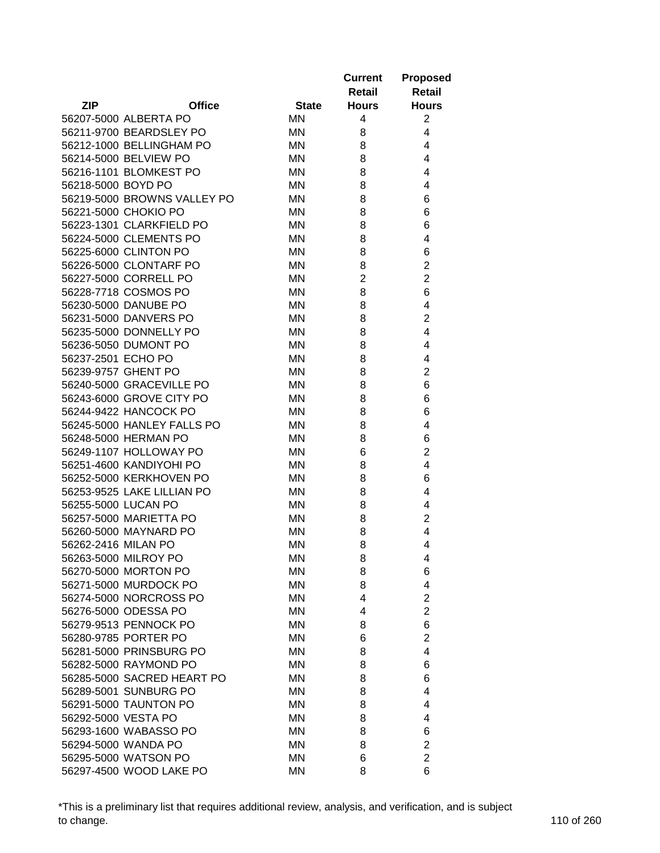|                     |                                                 |              | <b>Current</b><br>Retail | <b>Proposed</b><br><b>Retail</b> |
|---------------------|-------------------------------------------------|--------------|--------------------------|----------------------------------|
| <b>ZIP</b>          | <b>Office</b>                                   | <b>State</b> | <b>Hours</b>             | <b>Hours</b>                     |
|                     | 56207-5000 ALBERTA PO                           | MN           | 4                        | $\overline{2}$                   |
|                     | 56211-9700 BEARDSLEY PO                         | MN           | 8                        | 4                                |
|                     | 56212-1000 BELLINGHAM PO                        | MN           | 8                        | 4                                |
|                     | 56214-5000 BELVIEW PO                           | MN           | 8                        | 4                                |
|                     | 56216-1101 BLOMKEST PO                          | MN           | 8                        | 4                                |
| 56218-5000 BOYD PO  |                                                 | MN           | 8                        | 4                                |
|                     | 56219-5000 BROWNS VALLEY PO                     | MN           | 8                        | 6                                |
|                     | 56221-5000 CHOKIO PO                            | MN           | 8                        | 6                                |
|                     | 56223-1301 CLARKFIELD PO                        | MN           | 8                        | 6                                |
|                     | 56224-5000 CLEMENTS PO                          | MN           | 8                        | 4                                |
|                     | 56225-6000 CLINTON PO                           | MN           | 8                        | 6                                |
|                     | 56226-5000 CLONTARF PO                          | MN           | 8                        | $\overline{2}$                   |
|                     | 56227-5000 CORRELL PO                           | <b>MN</b>    | $\overline{2}$           | $\overline{2}$                   |
|                     | 56228-7718 COSMOS PO                            | <b>MN</b>    | 8                        | 6                                |
|                     | 56230-5000 DANUBE PO                            | ΜN           | 8                        | 4                                |
|                     | 56231-5000 DANVERS PO                           | ΜN           | 8                        | $\overline{2}$                   |
|                     | 56235-5000 DONNELLY PO                          | <b>MN</b>    | 8                        | 4                                |
|                     | 56236-5050 DUMONT PO                            | MN           | 8                        | 4                                |
| 56237-2501 ECHO PO  |                                                 | MN           | 8                        | 4                                |
|                     | 56239-9757 GHENT PO                             | MN           | 8                        | $\overline{2}$                   |
|                     | 56240-5000 GRACEVILLE PO                        | MN           | 8                        | 6                                |
|                     | 56243-6000 GROVE CITY PO                        | MN           | 8                        | 6                                |
|                     | 56244-9422 HANCOCK PO                           | MN           | 8                        | 6                                |
|                     | 56245-5000 HANLEY FALLS PO                      | MN           | 8                        | 4                                |
|                     | 56248-5000 HERMAN PO                            | MN           | 8                        | 6                                |
|                     | 56249-1107 HOLLOWAY PO                          | MN           | 6                        | 2                                |
|                     | 56251-4600 KANDIYOHI PO                         | MN           | 8                        | 4                                |
|                     | 56252-5000 KERKHOVEN PO                         | MN           | 8                        | 6                                |
|                     | 56253-9525 LAKE LILLIAN PO                      | ΜN           | 8                        | 4                                |
|                     | 56255-5000 LUCAN PO                             | ΜN           | 8                        | 4                                |
|                     | 56257-5000 MARIETTA PO                          | MN           | 8                        | $\overline{2}$                   |
|                     | 56260-5000 MAYNARD PO                           | ΜN           | 8                        | 4                                |
| 56262-2416 MILAN PO |                                                 | ΜN           | 8                        | 4                                |
|                     | 56263-5000 MILROY PO                            | ΜN           |                          | 4                                |
|                     | 56270-5000 MORTON PO                            |              | 8                        |                                  |
|                     |                                                 | ΜN           | 8                        | 6                                |
|                     | 56271-5000 MURDOCK PO<br>56274-5000 NORCROSS PO | ΜN           | 8<br>4                   | 4<br>$\overline{2}$              |
|                     | 56276-5000 ODESSA PO                            | MN           |                          | $\overline{2}$                   |
|                     |                                                 | ΜN           | 4                        |                                  |
|                     | 56279-9513 PENNOCK PO                           | ΜN           | 8                        | 6                                |
|                     | 56280-9785 PORTER PO                            | ΜN           | 6                        | $\overline{2}$                   |
|                     | 56281-5000 PRINSBURG PO                         | MN           | 8                        | 4                                |
|                     | 56282-5000 RAYMOND PO                           | ΜN           | 8                        | 6                                |
|                     | 56285-5000 SACRED HEART PO                      | ΜN           | 8                        | 6                                |
|                     | 56289-5001 SUNBURG PO                           | ΜN           | 8                        | 4                                |
|                     | 56291-5000 TAUNTON PO                           | ΜN           | 8                        | 4                                |
| 56292-5000 VESTA PO |                                                 | ΜN           | 8                        | 4                                |
|                     | 56293-1600 WABASSO PO                           | ΜN           | 8                        | 6                                |
|                     | 56294-5000 WANDA PO                             | MN           | 8                        | $\overline{2}$                   |
|                     | 56295-5000 WATSON PO                            | ΜN           | 6                        | $\overline{2}$                   |
|                     | 56297-4500 WOOD LAKE PO                         | ΜN           | 8                        | 6                                |

\*This is a preliminary list that requires additional review, analysis, and verification, and is subject to change. 110 of 260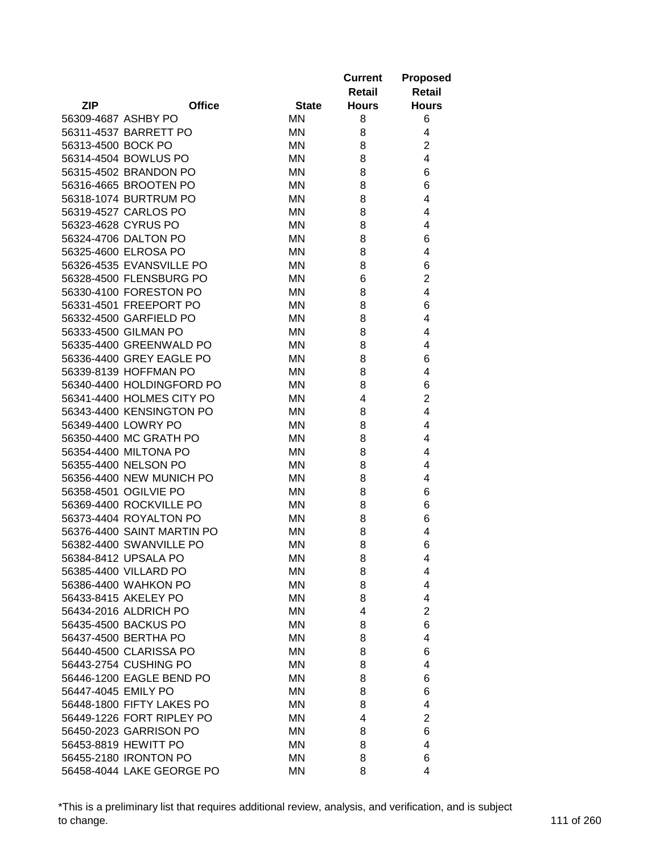|                     |                            |              | <b>Current</b><br>Retail | <b>Proposed</b><br><b>Retail</b> |
|---------------------|----------------------------|--------------|--------------------------|----------------------------------|
| <b>ZIP</b>          | <b>Office</b>              | <b>State</b> | <b>Hours</b>             | <b>Hours</b>                     |
| 56309-4687 ASHBY PO |                            | MN           | 8                        | 6                                |
|                     | 56311-4537 BARRETT PO      | ΜN           | 8                        | 4                                |
| 56313-4500 BOCK PO  |                            | ΜN           | 8                        | $\overline{2}$                   |
|                     | 56314-4504 BOWLUS PO       | ΜN           | 8                        | 4                                |
|                     | 56315-4502 BRANDON PO      | ΜN           | 8                        | 6                                |
|                     | 56316-4665 BROOTEN PO      | MN           | 8                        | 6                                |
|                     | 56318-1074 BURTRUM PO      | MN           | 8                        | 4                                |
|                     | 56319-4527 CARLOS PO       | ΜN           | 8                        | 4                                |
|                     | 56323-4628 CYRUS PO        | <b>MN</b>    | 8                        | 4                                |
|                     | 56324-4706 DALTON PO       | ΜN           | 8                        | 6                                |
|                     | 56325-4600 ELROSA PO       | ΜN           | 8                        | 4                                |
|                     | 56326-4535 EVANSVILLE PO   | ΜN           | 8                        | 6                                |
|                     | 56328-4500 FLENSBURG PO    | ΜN           | 6                        | $\overline{2}$                   |
|                     | 56330-4100 FORESTON PO     | ΜN           | 8                        | 4                                |
|                     | 56331-4501 FREEPORT PO     | ΜN           | 8                        | 6                                |
|                     | 56332-4500 GARFIELD PO     | ΜN           | 8                        | 4                                |
|                     | 56333-4500 GILMAN PO       | <b>MN</b>    | 8                        | 4                                |
|                     | 56335-4400 GREENWALD PO    | ΜN           | 8                        | 4                                |
|                     | 56336-4400 GREY EAGLE PO   | ΜN           | 8                        | 6                                |
|                     | 56339-8139 HOFFMAN PO      | ΜN           | 8                        | 4                                |
|                     | 56340-4400 HOLDINGFORD PO  | ΜN           | 8                        | 6                                |
|                     | 56341-4400 HOLMES CITY PO  | ΜN           | 4                        | $\overline{2}$                   |
|                     | 56343-4400 KENSINGTON PO   | MN           | 8                        | 4                                |
|                     | 56349-4400 LOWRY PO        | ΜN           | 8                        | 4                                |
|                     | 56350-4400 MC GRATH PO     | ΜN           | 8                        | 4                                |
|                     | 56354-4400 MILTONA PO      | ΜN           | 8                        | 4                                |
|                     | 56355-4400 NELSON PO       | ΜN           | 8                        | 4                                |
|                     | 56356-4400 NEW MUNICH PO   | ΜN           | 8                        | 4                                |
|                     | 56358-4501 OGILVIE PO      | ΜN           | 8                        | 6                                |
|                     | 56369-4400 ROCKVILLE PO    | ΜN           | 8                        | 6                                |
|                     | 56373-4404 ROYALTON PO     | MN           | 8                        | 6                                |
|                     | 56376-4400 SAINT MARTIN PO | MN           | 8                        | 4                                |
|                     | 56382-4400 SWANVILLE PO    | MN           | 8                        | 6                                |
|                     | 56384-8412 UPSALA PO       | ΜN           | 8                        | 4                                |
|                     | 56385-4400 VILLARD PO      | ΜN           | 8                        | 4                                |
|                     | 56386-4400 WAHKON PO       | ΜN           | 8                        | 4                                |
|                     | 56433-8415 AKELEY PO       | ΜN           | 8                        | 4                                |
|                     | 56434-2016 ALDRICH PO      | ΜN           | 4                        | $\overline{2}$                   |
|                     | 56435-4500 BACKUS PO       | ΜN           | 8                        | 6                                |
|                     | 56437-4500 BERTHA PO       | ΜN           | 8                        | 4                                |
|                     | 56440-4500 CLARISSA PO     | ΜN           | 8                        | 6                                |
|                     | 56443-2754 CUSHING PO      | ΜN           | 8                        | 4                                |
|                     | 56446-1200 EAGLE BEND PO   | ΜN           | 8                        | 6                                |
| 56447-4045 EMILY PO |                            |              |                          |                                  |
|                     | 56448-1800 FIFTY LAKES PO  | ΜN           | 8                        | 6                                |
|                     | 56449-1226 FORT RIPLEY PO  | ΜN           | 8<br>4                   | 4<br>$\overline{2}$              |
|                     |                            | ΜN           |                          |                                  |
|                     | 56450-2023 GARRISON PO     | ΜN           | 8                        | 6                                |
|                     | 56453-8819 HEWITT PO       | ΜN           | 8                        | 4                                |
|                     | 56455-2180 IRONTON PO      | ΜN           | 8                        | 6                                |
|                     | 56458-4044 LAKE GEORGE PO  | <b>MN</b>    | 8                        | 4                                |

\*This is a preliminary list that requires additional review, analysis, and verification, and is subject to change. 111 of 260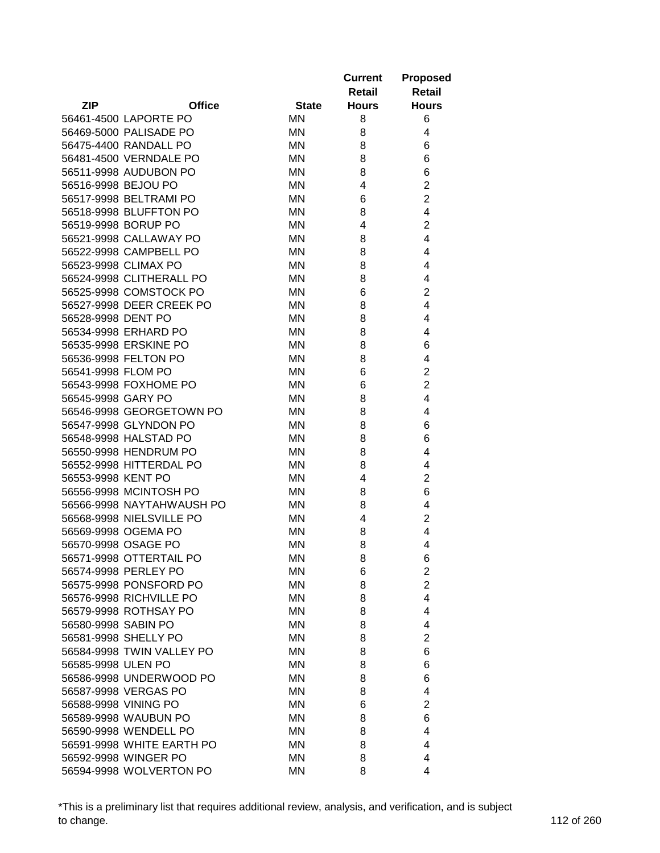|                     |                           |              | <b>Current</b><br>Retail | <b>Proposed</b><br><b>Retail</b> |
|---------------------|---------------------------|--------------|--------------------------|----------------------------------|
| <b>ZIP</b>          | <b>Office</b>             | <b>State</b> | <b>Hours</b>             | <b>Hours</b>                     |
|                     | 56461-4500 LAPORTE PO     | <b>MN</b>    | 8                        | 6                                |
|                     | 56469-5000 PALISADE PO    | ΜN           | 8                        | 4                                |
|                     | 56475-4400 RANDALL PO     | ΜN           | 8                        | 6                                |
|                     | 56481-4500 VERNDALE PO    | ΜN           | 8                        | 6                                |
|                     | 56511-9998 AUDUBON PO     | <b>MN</b>    | 8                        | 6                                |
| 56516-9998 BEJOU PO |                           | <b>MN</b>    | 4                        | 2                                |
|                     | 56517-9998 BELTRAMI PO    | MN           | 6                        | $\overline{2}$                   |
|                     | 56518-9998 BLUFFTON PO    | ΜN           | 8                        | 4                                |
|                     | 56519-9998 BORUP PO       | <b>MN</b>    | 4                        | $\overline{2}$                   |
|                     | 56521-9998 CALLAWAY PO    | ΜN           | 8                        | 4                                |
|                     | 56522-9998 CAMPBELL PO    | ΜN           | 8                        | 4                                |
|                     | 56523-9998 CLIMAX PO      | ΜN           | 8                        | 4                                |
|                     | 56524-9998 CLITHERALL PO  | <b>MN</b>    | 8                        | 4                                |
|                     | 56525-9998 COMSTOCK PO    | <b>MN</b>    | 6                        | 2                                |
|                     | 56527-9998 DEER CREEK PO  | ΜN           | 8                        | 4                                |
| 56528-9998 DENT PO  |                           | ΜN           | 8                        | 4                                |
|                     | 56534-9998 ERHARD PO      | <b>MN</b>    | 8                        | 4                                |
|                     | 56535-9998 ERSKINE PO     | <b>MN</b>    | 8                        | 6                                |
|                     | 56536-9998 FELTON PO      | ΜN           | 8                        | 4                                |
| 56541-9998 FLOM PO  |                           | ΜN           | 6                        | $\overline{2}$                   |
|                     | 56543-9998 FOXHOME PO     | <b>MN</b>    | 6                        | $\overline{2}$                   |
| 56545-9998 GARY PO  |                           | ΜN           | 8                        | 4                                |
|                     | 56546-9998 GEORGETOWN PO  | MN           | 8                        | 4                                |
|                     | 56547-9998 GLYNDON PO     | ΜN           | 8                        | 6                                |
|                     | 56548-9998 HALSTAD PO     | <b>MN</b>    | 8                        | 6                                |
|                     | 56550-9998 HENDRUM PO     | ΜN           | 8                        | 4                                |
|                     | 56552-9998 HITTERDAL PO   | ΜN           | 8                        | 4                                |
| 56553-9998 KENT PO  |                           | ΜN           | 4                        | $\overline{2}$                   |
|                     | 56556-9998 MCINTOSH PO    | ΜN           | 8                        | 6                                |
|                     | 56566-9998 NAYTAHWAUSH PO | ΜN           | 8                        | 4                                |
|                     | 56568-9998 NIELSVILLE PO  | ΜN           | 4                        | $\overline{2}$                   |
|                     | 56569-9998 OGEMA PO       | MN           | 8                        | 4                                |
|                     | 56570-9998 OSAGE PO       | MN           | 8                        | 4                                |
|                     | 56571-9998 OTTERTAIL PO   | <b>MN</b>    | 8                        |                                  |
|                     | 56574-9998 PERLEY PO      | ΜN           | 6                        | 6<br>$\overline{2}$              |
|                     | 56575-9998 PONSFORD PO    | ΜN           | 8                        | $\overline{2}$                   |
|                     | 56576-9998 RICHVILLE PO   | ΜN           | 8                        | 4                                |
|                     | 56579-9998 ROTHSAY PO     | ΜN           | 8                        | 4                                |
| 56580-9998 SABIN PO |                           | MN           | 8                        | 4                                |
|                     | 56581-9998 SHELLY PO      | MN           | 8                        | $\overline{2}$                   |
|                     |                           |              | 8                        |                                  |
| 56585-9998 ULEN PO  | 56584-9998 TWIN VALLEY PO | ΜN           |                          | 6                                |
|                     |                           | ΜN           | 8                        | 6                                |
|                     | 56586-9998 UNDERWOOD PO   | ΜN           | 8                        | 6                                |
|                     | 56587-9998 VERGAS PO      | ΜN           | 8                        | 4                                |
|                     | 56588-9998 VINING PO      | ΜN           | 6                        | $\overline{2}$                   |
|                     | 56589-9998 WAUBUN PO      | ΜN           | 8                        | 6                                |
|                     | 56590-9998 WENDELL PO     | ΜN           | 8                        | 4                                |
|                     | 56591-9998 WHITE EARTH PO | ΜN           | 8                        | 4                                |
|                     | 56592-9998 WINGER PO      | ΜN           | 8                        | 4                                |
|                     | 56594-9998 WOLVERTON PO   | MN           | 8                        | 4                                |

\*This is a preliminary list that requires additional review, analysis, and verification, and is subject to change. 112 of 260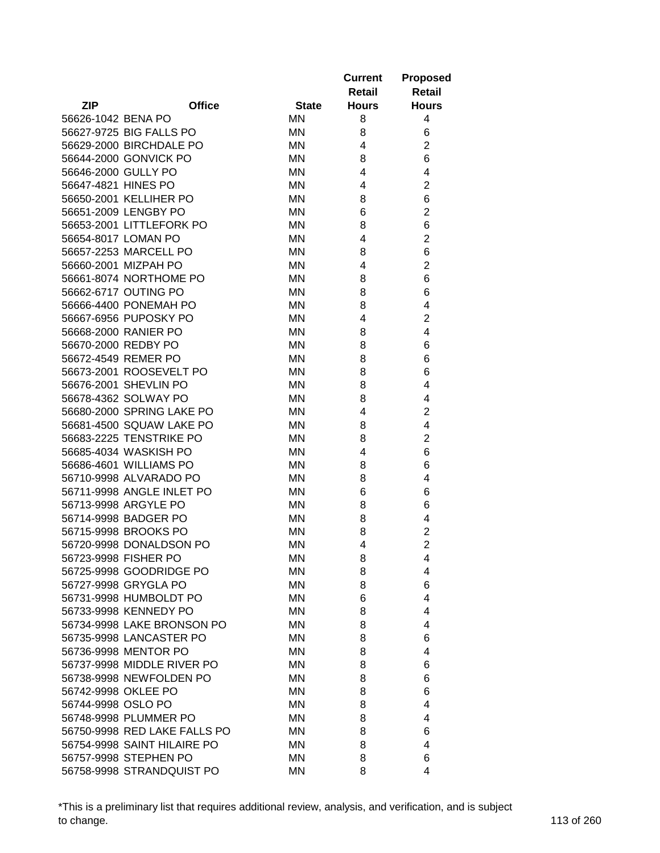|                     |                                                 |              | <b>Current</b><br>Retail | <b>Proposed</b><br><b>Retail</b> |
|---------------------|-------------------------------------------------|--------------|--------------------------|----------------------------------|
| <b>ZIP</b>          | <b>Office</b>                                   | <b>State</b> | <b>Hours</b>             | <b>Hours</b>                     |
| 56626-1042 BENA PO  |                                                 | <b>MN</b>    | 8                        | 4                                |
|                     | 56627-9725 BIG FALLS PO                         | MN           | 8                        | 6                                |
|                     | 56629-2000 BIRCHDALE PO                         | ΜN           | 4                        | $\overline{2}$                   |
|                     | 56644-2000 GONVICK PO                           | ΜN           | 8                        | 6                                |
| 56646-2000 GULLY PO |                                                 | ΜN           | $\overline{\mathbf{4}}$  | 4                                |
| 56647-4821 HINES PO |                                                 | ΜN           | 4                        | $\overline{2}$                   |
|                     | 56650-2001 KELLIHER PO                          | MN           | 8                        | 6                                |
|                     | 56651-2009 LENGBY PO                            | ΜN           | 6                        | $\overline{2}$                   |
|                     | 56653-2001 LITTLEFORK PO                        | ΜN           | 8                        | 6                                |
|                     | 56654-8017 LOMAN PO                             | ΜN           | 4                        | $\overline{2}$                   |
|                     | 56657-2253 MARCELL PO                           | ΜN           | 8                        | 6                                |
|                     | 56660-2001 MIZPAH PO                            | ΜN           | 4                        | $\overline{2}$                   |
|                     | 56661-8074 NORTHOME PO                          | ΜN           | 8                        | 6                                |
|                     | 56662-6717 OUTING PO                            | ΜN           | 8                        | 6                                |
|                     | 56666-4400 PONEMAH PO                           | ΜN           | 8                        | 4                                |
|                     | 56667-6956 PUPOSKY PO                           | ΜN           | 4                        | $\overline{c}$                   |
|                     | 56668-2000 RANIER PO                            | <b>MN</b>    | 8                        | 4                                |
| 56670-2000 REDBY PO |                                                 | ΜN           | 8                        | 6                                |
|                     | 56672-4549 REMER PO                             | ΜN           | 8                        | 6                                |
|                     | 56673-2001 ROOSEVELT PO                         | ΜN           | 8                        | 6                                |
|                     | 56676-2001 SHEVLIN PO                           | ΜN           | 8                        | 4                                |
|                     | 56678-4362 SOLWAY PO                            | MN           | 8                        | 4                                |
|                     | 56680-2000 SPRING LAKE PO                       | MN           | 4                        | $\overline{2}$                   |
|                     | 56681-4500 SQUAW LAKE PO                        | MN           | 8                        | 4                                |
|                     | 56683-2225 TENSTRIKE PO                         | ΜN           | 8                        | $\overline{2}$                   |
|                     | 56685-4034 WASKISH PO                           | ΜN           | 4                        | 6                                |
|                     | 56686-4601 WILLIAMS PO                          | ΜN           | 8                        | 6                                |
|                     | 56710-9998 ALVARADO PO                          | ΜN           | 8                        | 4                                |
|                     | 56711-9998 ANGLE INLET PO                       | ΜN           | 6                        | 6                                |
|                     | 56713-9998 ARGYLE PO                            | ΜN           | 8                        | 6                                |
|                     | 56714-9998 BADGER PO                            | MN           | 8                        | 4                                |
|                     | 56715-9998 BROOKS PO                            | ΜN           | 8                        | $\overline{\mathbf{c}}$          |
|                     | 56720-9998 DONALDSON PO                         | MN           | 4                        | $\overline{2}$                   |
|                     | 56723-9998 FISHER PO                            | MN.          |                          | 4                                |
|                     | 56725-9998 GOODRIDGE PO                         | ΜN           | 8<br>8                   | 4                                |
|                     | 56727-9998 GRYGLA PO                            | ΜN           | 8                        | 6                                |
|                     | 56731-9998 HUMBOLDT PO                          | ΜN           | 6                        | 4                                |
|                     | 56733-9998 KENNEDY PO                           | ΜN           | 8                        | 4                                |
|                     | 56734-9998 LAKE BRONSON PO                      | ΜN           | 8                        | 4                                |
|                     |                                                 |              |                          |                                  |
|                     | 56735-9998 LANCASTER PO<br>56736-9998 MENTOR PO | ΜN           | 8                        | 6<br>4                           |
|                     |                                                 | ΜN           | 8                        |                                  |
|                     | 56737-9998 MIDDLE RIVER PO                      | ΜN           | 8                        | 6                                |
|                     | 56738-9998 NEWFOLDEN PO                         | ΜN           | 8                        | 6                                |
| 56742-9998 OKLEE PO |                                                 | ΜN           | 8                        | 6                                |
| 56744-9998 OSLO PO  |                                                 | ΜN           | 8                        | 4                                |
|                     | 56748-9998 PLUMMER PO                           | ΜN           | 8                        | 4                                |
|                     | 56750-9998 RED LAKE FALLS PO                    | ΜN           | 8                        | 6                                |
|                     | 56754-9998 SAINT HILAIRE PO                     | ΜN           | 8                        | 4                                |
|                     | 56757-9998 STEPHEN PO                           | ΜN           | 8                        | 6                                |
|                     | 56758-9998 STRANDQUIST PO                       | <b>MN</b>    | 8                        | 4                                |

\*This is a preliminary list that requires additional review, analysis, and verification, and is subject to change. 113 of 260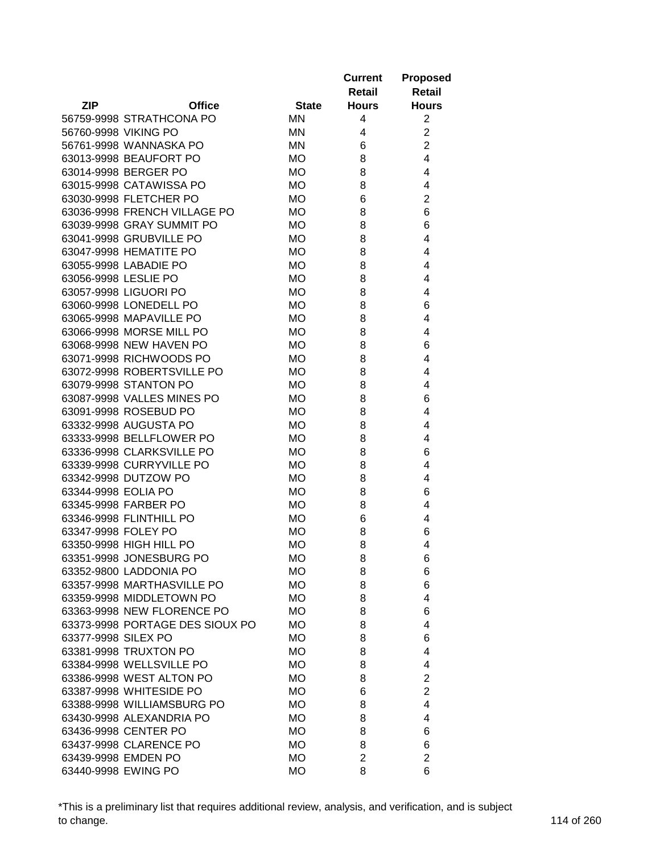|                                 |              | <b>Current</b><br>Retail | <b>Proposed</b><br><b>Retail</b> |
|---------------------------------|--------------|--------------------------|----------------------------------|
| <b>ZIP</b><br><b>Office</b>     | <b>State</b> | <b>Hours</b>             | <b>Hours</b>                     |
| 56759-9998 STRATHCONA PO        | <b>MN</b>    | 4                        | $\overline{2}$                   |
| 56760-9998 VIKING PO            | ΜN           | 4                        | $\overline{2}$                   |
| 56761-9998 WANNASKA PO          | ΜN           | 6                        | $\overline{2}$                   |
| 63013-9998 BEAUFORT PO          | <b>MO</b>    | 8                        | $\overline{4}$                   |
| 63014-9998 BERGER PO            | МO           | 8                        | 4                                |
| 63015-9998 CATAWISSA PO         | <b>MO</b>    | 8                        | 4                                |
| 63030-9998 FLETCHER PO          | МO           | 6                        | $\overline{2}$                   |
| 63036-9998 FRENCH VILLAGE PO    | <b>MO</b>    | 8                        | 6                                |
| 63039-9998 GRAY SUMMIT PO       | <b>MO</b>    | 8                        | 6                                |
| 63041-9998 GRUBVILLE PO         | <b>MO</b>    | 8                        | 4                                |
| 63047-9998 HEMATITE PO          | <b>MO</b>    | 8                        | 4                                |
| 63055-9998 LABADIE PO           | МO           | 8                        | 4                                |
| 63056-9998 LESLIE PO            | <b>MO</b>    | 8                        | 4                                |
| 63057-9998 LIGUORI PO           | <b>MO</b>    | 8                        | 4                                |
| 63060-9998 LONEDELL PO          | МO           | 8                        | 6                                |
| 63065-9998 MAPAVILLE PO         | МO           | 8                        | 4                                |
| 63066-9998 MORSE MILL PO        | <b>MO</b>    | 8                        | 4                                |
| 63068-9998 NEW HAVEN PO         | <b>MO</b>    | 8                        | 6                                |
| 63071-9998 RICHWOODS PO         | <b>MO</b>    | 8                        | 4                                |
| 63072-9998 ROBERTSVILLE PO      | <b>MO</b>    | 8                        | 4                                |
| 63079-9998 STANTON PO           | <b>MO</b>    | 8                        | 4                                |
| 63087-9998 VALLES MINES PO      | <b>MO</b>    | 8                        | 6                                |
| 63091-9998 ROSEBUD PO           | <b>MO</b>    | 8                        | 4                                |
| 63332-9998 AUGUSTA PO           | <b>MO</b>    | 8                        | 4                                |
| 63333-9998 BELLFLOWER PO        | <b>MO</b>    | 8                        | 4                                |
|                                 |              |                          |                                  |
| 63336-9998 CLARKSVILLE PO       | <b>MO</b>    | 8                        | 6                                |
| 63339-9998 CURRYVILLE PO        | <b>MO</b>    | 8                        | 4                                |
| 63342-9998 DUTZOW PO            | <b>MO</b>    | 8                        | 4                                |
| 63344-9998 EOLIA PO             | <b>MO</b>    | 8                        | 6                                |
| 63345-9998 FARBER PO            | МO           | 8                        | 4                                |
| 63346-9998 FLINTHILL PO         | <b>MO</b>    | 6                        | 4                                |
| 63347-9998 FOLEY PO             | <b>MO</b>    | 8                        | 6                                |
| 63350-9998 HIGH HILL PO         | <b>MO</b>    | 8                        | 4                                |
| 63351-9998 JONESBURG PO         | МO           | 8                        | 6                                |
| 63352-9800 LADDONIA PO          | МO           | 8                        | 6                                |
| 63357-9998 MARTHASVILLE PO      | МO           | 8                        | 6                                |
| 63359-9998 MIDDLETOWN PO        | МO           | 8                        | 4                                |
| 63363-9998 NEW FLORENCE PO      | МO           | 8                        | 6                                |
| 63373-9998 PORTAGE DES SIOUX PO | <b>MO</b>    | 8                        | 4                                |
| 63377-9998 SILEX PO             | МO           | 8                        | 6                                |
| 63381-9998 TRUXTON PO           | МO           | 8                        | 4                                |
| 63384-9998 WELLSVILLE PO        | МO           | 8                        | 4                                |
| 63386-9998 WEST ALTON PO        | МO           | 8                        | 2                                |
| 63387-9998 WHITESIDE PO         | МO           | 6                        | $\overline{2}$                   |
| 63388-9998 WILLIAMSBURG PO      | МO           | 8                        | 4                                |
| 63430-9998 ALEXANDRIA PO        | МO           | 8                        | 4                                |
| 63436-9998 CENTER PO            | <b>MO</b>    | 8                        | 6                                |
| 63437-9998 CLARENCE PO          | МO           | 8                        | 6                                |
| 63439-9998 EMDEN PO             | МO           | $\overline{2}$           | $\overline{2}$                   |
| 63440-9998 EWING PO             | <b>MO</b>    | 8                        | 6                                |

\*This is a preliminary list that requires additional review, analysis, and verification, and is subject to change. 114 of 260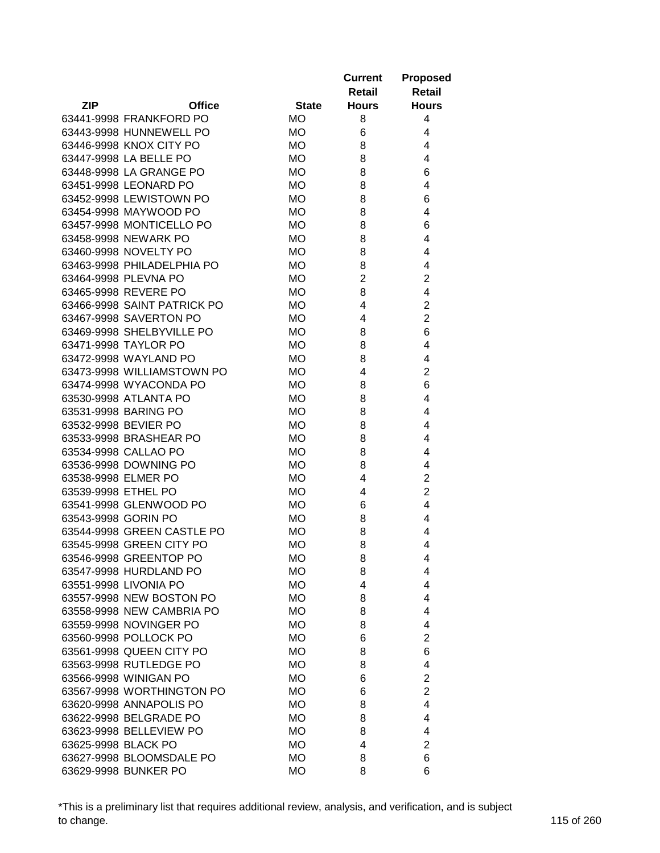|                     |                                                 |                        | <b>Current</b><br>Retail | <b>Proposed</b><br><b>Retail</b> |
|---------------------|-------------------------------------------------|------------------------|--------------------------|----------------------------------|
| <b>ZIP</b>          | <b>Office</b>                                   | <b>State</b>           | <b>Hours</b>             | <b>Hours</b>                     |
|                     | 63441-9998 FRANKFORD PO                         | МO                     | 8                        | 4                                |
|                     | 63443-9998 HUNNEWELL PO                         | МO                     | 6                        | 4                                |
|                     | 63446-9998 KNOX CITY PO                         | МO                     | 8                        | 4                                |
|                     | 63447-9998 LA BELLE PO                          | <b>MO</b>              | 8                        | 4                                |
|                     | 63448-9998 LA GRANGE PO                         | МO                     | 8                        | 6                                |
|                     | 63451-9998 LEONARD PO                           | <b>MO</b>              | 8                        | 4                                |
|                     | 63452-9998 LEWISTOWN PO                         | МO                     | 8                        | 6                                |
|                     | 63454-9998 MAYWOOD PO                           | МO                     | 8                        | 4                                |
|                     | 63457-9998 MONTICELLO PO                        | <b>MO</b>              | 8                        | 6                                |
|                     | 63458-9998 NEWARK PO                            | МO                     | 8                        | 4                                |
|                     | 63460-9998 NOVELTY PO                           | МO                     | 8                        | 4                                |
|                     | 63463-9998 PHILADELPHIA PO                      | МO                     | 8                        | 4                                |
|                     | 63464-9998 PLEVNA PO                            | <b>MO</b>              | $\overline{2}$           | $\overline{2}$                   |
|                     | 63465-9998 REVERE PO                            | МO                     | 8                        | 4                                |
|                     | 63466-9998 SAINT PATRICK PO                     | <b>MO</b>              | 4                        | $\overline{2}$                   |
|                     | 63467-9998 SAVERTON PO                          | МO                     | 4                        | $\overline{2}$                   |
|                     | 63469-9998 SHELBYVILLE PO                       | <b>MO</b>              | 8                        | 6                                |
|                     | 63471-9998 TAYLOR PO                            | МO                     | 8                        | 4                                |
|                     | 63472-9998 WAYLAND PO                           | МO                     | 8                        | 4                                |
|                     | 63473-9998 WILLIAMSTOWN PO                      | МO                     | 4                        | $\overline{c}$                   |
|                     | 63474-9998 WYACONDA PO                          | МO                     | 8                        | 6                                |
|                     | 63530-9998 ATLANTA PO                           | <b>MO</b>              | 8                        | 4                                |
|                     | 63531-9998 BARING PO                            | <b>MO</b>              | 8                        | 4                                |
|                     | 63532-9998 BEVIER PO                            | <b>MO</b>              | 8                        | 4                                |
|                     | 63533-9998 BRASHEAR PO                          | <b>MO</b>              | 8                        | 4                                |
|                     | 63534-9998 CALLAO PO                            | <b>MO</b>              | 8                        | 4                                |
|                     | 63536-9998 DOWNING PO                           | <b>MO</b>              | 8                        | 4                                |
| 63538-9998 ELMER PO |                                                 | <b>MO</b>              | 4                        | $\overline{2}$                   |
| 63539-9998 ETHEL PO |                                                 | <b>MO</b>              | 4                        | $\overline{2}$                   |
|                     | 63541-9998 GLENWOOD PO                          | <b>MO</b>              | 6                        | 4                                |
| 63543-9998 GORIN PO |                                                 | <b>MO</b>              | 8                        | 4                                |
|                     | 63544-9998 GREEN CASTLE PO                      | <b>MO</b>              | 8                        | 4                                |
|                     | 63545-9998 GREEN CITY PO                        | <b>MO</b>              | 8                        | 4                                |
|                     | 63546-9998 GREENTOP PO                          |                        |                          | 4                                |
|                     |                                                 | МO                     | 8                        |                                  |
|                     | 63547-9998 HURDLAND PO<br>63551-9998 LIVONIA PO | <b>MO</b><br><b>MO</b> | 8<br>4                   | 4<br>4                           |
|                     | 63557-9998 NEW BOSTON PO                        |                        |                          |                                  |
|                     | 63558-9998 NEW CAMBRIA PO                       | <b>MO</b>              | 8                        | 4                                |
|                     | 63559-9998 NOVINGER PO                          | <b>MO</b>              | 8                        | 4                                |
|                     |                                                 | <b>MO</b>              | 8                        | 4                                |
|                     | 63560-9998 POLLOCK PO                           | <b>MO</b>              | 6                        | $\overline{2}$                   |
|                     | 63561-9998 QUEEN CITY PO                        | <b>MO</b>              | 8                        | 6                                |
|                     | 63563-9998 RUTLEDGE PO                          | <b>MO</b>              | 8                        | 4                                |
|                     | 63566-9998 WINIGAN PO                           | <b>MO</b>              | 6                        | $\overline{2}$                   |
|                     | 63567-9998 WORTHINGTON PO                       | <b>MO</b>              | 6                        | $\overline{2}$                   |
|                     | 63620-9998 ANNAPOLIS PO                         | <b>MO</b>              | 8                        | 4                                |
|                     | 63622-9998 BELGRADE PO                          | МO                     | 8                        | 4                                |
|                     | 63623-9998 BELLEVIEW PO                         | <b>MO</b>              | 8                        | 4                                |
| 63625-9998 BLACK PO |                                                 | МO                     | 4                        | $\overline{2}$                   |
|                     | 63627-9998 BLOOMSDALE PO                        | МO                     | 8                        | 6                                |
|                     | 63629-9998 BUNKER PO                            | <b>MO</b>              | 8                        | 6                                |

\*This is a preliminary list that requires additional review, analysis, and verification, and is subject to change. 115 of 260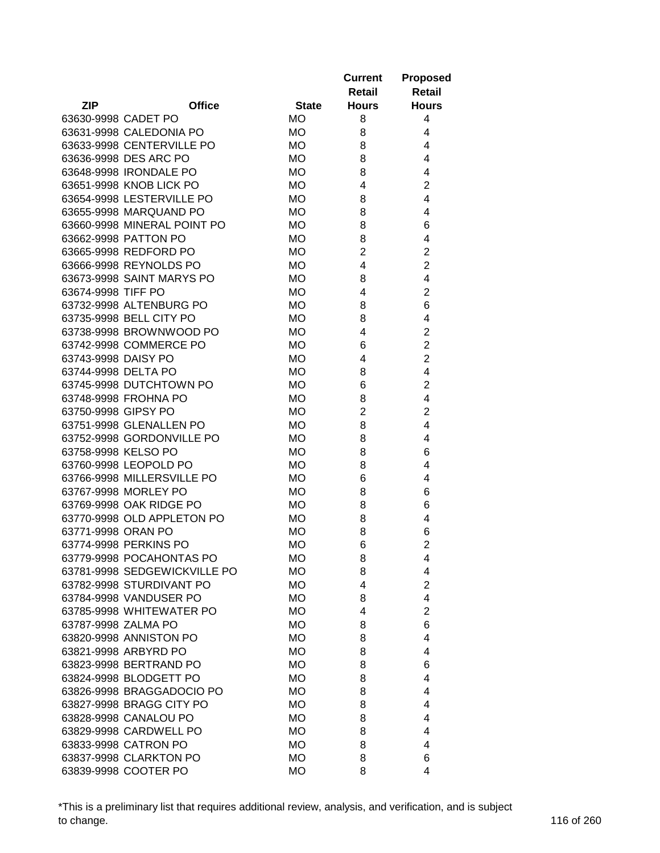|                     |                              |              | <b>Current</b><br>Retail | <b>Proposed</b><br><b>Retail</b> |
|---------------------|------------------------------|--------------|--------------------------|----------------------------------|
| <b>ZIP</b>          | <b>Office</b>                | <b>State</b> | <b>Hours</b>             | <b>Hours</b>                     |
| 63630-9998 CADET PO |                              | <b>MO</b>    | 8                        | 4                                |
|                     | 63631-9998 CALEDONIA PO      | <b>MO</b>    | 8                        | 4                                |
|                     | 63633-9998 CENTERVILLE PO    | <b>MO</b>    | 8                        | 4                                |
|                     | 63636-9998 DES ARC PO        | <b>MO</b>    | 8                        | 4                                |
|                     | 63648-9998 IRONDALE PO       | <b>MO</b>    | 8                        | 4                                |
|                     | 63651-9998 KNOB LICK PO      | <b>MO</b>    | 4                        | $\overline{2}$                   |
|                     | 63654-9998 LESTERVILLE PO    | <b>MO</b>    | 8                        | 4                                |
|                     | 63655-9998 MARQUAND PO       | <b>MO</b>    | 8                        | 4                                |
|                     | 63660-9998 MINERAL POINT PO  | <b>MO</b>    | 8                        | 6                                |
|                     | 63662-9998 PATTON PO         | <b>MO</b>    | 8                        | 4                                |
|                     | 63665-9998 REDFORD PO        | <b>MO</b>    | $\overline{2}$           | $\overline{2}$                   |
|                     | 63666-9998 REYNOLDS PO       | <b>MO</b>    | 4                        | $\overline{2}$                   |
|                     | 63673-9998 SAINT MARYS PO    | <b>MO</b>    | 8                        | 4                                |
| 63674-9998 TIFF PO  |                              | <b>MO</b>    | 4                        | $\overline{2}$                   |
|                     | 63732-9998 ALTENBURG PO      | <b>MO</b>    | 8                        | 6                                |
|                     | 63735-9998 BELL CITY PO      | <b>MO</b>    | 8                        | 4                                |
|                     | 63738-9998 BROWNWOOD PO      | <b>MO</b>    | 4                        | $\overline{c}$                   |
|                     | 63742-9998 COMMERCE PO       | <b>MO</b>    | 6                        | $\overline{2}$                   |
| 63743-9998 DAISY PO |                              | <b>MO</b>    | 4                        | $\overline{2}$                   |
| 63744-9998 DELTA PO |                              | <b>MO</b>    | 8                        | 4                                |
|                     | 63745-9998 DUTCHTOWN PO      | <b>MO</b>    | 6                        | $\overline{2}$                   |
|                     | 63748-9998 FROHNA PO         | <b>MO</b>    | 8                        | 4                                |
| 63750-9998 GIPSY PO |                              | <b>MO</b>    | $\overline{2}$           | $\overline{2}$                   |
|                     | 63751-9998 GLENALLEN PO      | <b>MO</b>    | 8                        | 4                                |
|                     | 63752-9998 GORDONVILLE PO    | <b>MO</b>    | 8                        | 4                                |
| 63758-9998 KELSO PO |                              | <b>MO</b>    | 8                        | 6                                |
|                     | 63760-9998 LEOPOLD PO        | <b>MO</b>    | 8                        | 4                                |
|                     | 63766-9998 MILLERSVILLE PO   | <b>MO</b>    | 6                        | 4                                |
|                     | 63767-9998 MORLEY PO         | <b>MO</b>    | 8                        | 6                                |
|                     | 63769-9998 OAK RIDGE PO      | <b>MO</b>    | 8                        | 6                                |
|                     | 63770-9998 OLD APPLETON PO   | <b>MO</b>    | 8                        | 4                                |
| 63771-9998 ORAN PO  |                              | <b>MO</b>    | 8                        | 6                                |
|                     | 63774-9998 PERKINS PO        | <b>MO</b>    | 6                        | $\overline{2}$                   |
|                     | 63779-9998 POCAHONTAS PO     | МO           | 8                        | 4                                |
|                     | 63781-9998 SEDGEWICKVILLE PO | МO           | 8                        | 4                                |
|                     | 63782-9998 STURDIVANT PO     | МO           | 4                        | $\overline{2}$                   |
|                     | 63784-9998 VANDUSER PO       | МO           | 8                        | 4                                |
|                     | 63785-9998 WHITEWATER PO     | МO           | 4                        | $\overline{c}$                   |
| 63787-9998 ZALMA PO |                              | МO           | 8                        | 6                                |
|                     | 63820-9998 ANNISTON PO       | <b>MO</b>    | 8                        | 4                                |
|                     | 63821-9998 ARBYRD PO         | <b>MO</b>    | 8                        | 4                                |
|                     | 63823-9998 BERTRAND PO       | <b>MO</b>    | 8                        | 6                                |
|                     | 63824-9998 BLODGETT PO       | <b>MO</b>    | 8                        | 4                                |
|                     | 63826-9998 BRAGGADOCIO PO    | <b>MO</b>    | 8                        | 4                                |
|                     | 63827-9998 BRAGG CITY PO     | МO           | 8                        | 4                                |
|                     | 63828-9998 CANALOU PO        | МO           | 8                        | 4                                |
|                     |                              |              |                          | 4                                |
|                     | 63829-9998 CARDWELL PO       | <b>MO</b>    | 8                        |                                  |
|                     | 63833-9998 CATRON PO         | <b>MO</b>    | 8                        | 4                                |
|                     | 63837-9998 CLARKTON PO       | <b>MO</b>    | 8                        | 6                                |
|                     | 63839-9998 COOTER PO         | <b>MO</b>    | 8                        | 4                                |

\*This is a preliminary list that requires additional review, analysis, and verification, and is subject to change. 116 of 260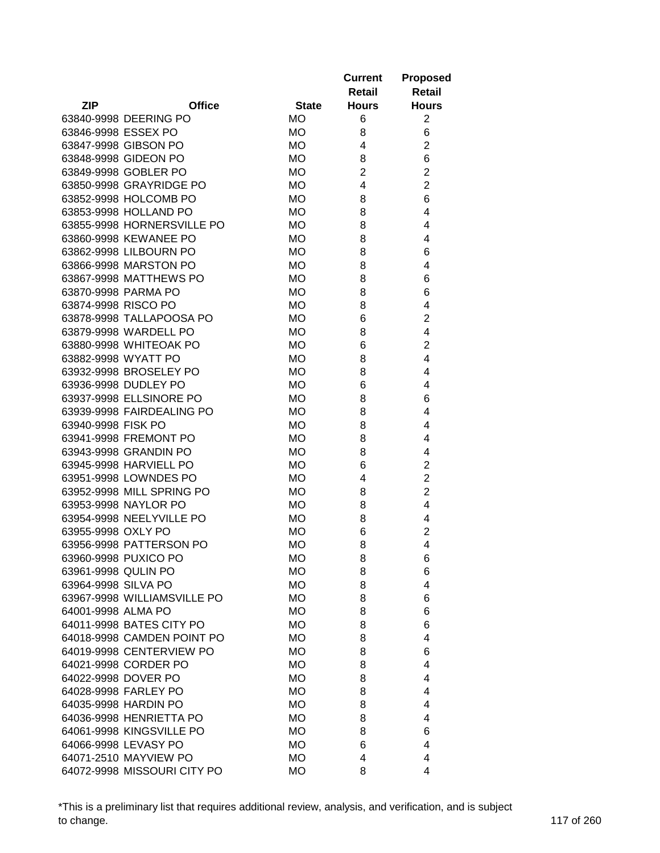| <b>Current</b><br>Retail                                    | <b>Proposed</b><br><b>Retail</b> |
|-------------------------------------------------------------|----------------------------------|
| <b>ZIP</b><br><b>Office</b><br><b>State</b><br><b>Hours</b> | <b>Hours</b>                     |
| 63840-9998 DEERING PO<br><b>MO</b><br>6                     | $\overline{2}$                   |
| 63846-9998 ESSEX PO<br><b>MO</b><br>8                       | 6                                |
| 63847-9998 GIBSON PO<br><b>MO</b><br>4                      | $\overline{2}$                   |
| 63848-9998 GIDEON PO<br><b>MO</b><br>8                      | 6                                |
| $\overline{2}$<br>63849-9998 GOBLER PO<br>МO                | $\overline{2}$                   |
| 63850-9998 GRAYRIDGE PO<br><b>MO</b><br>4                   | $\overline{2}$                   |
| 8<br>63852-9998 HOLCOMB PO<br>МO                            | 6                                |
| 8<br>63853-9998 HOLLAND PO<br><b>MO</b>                     | 4                                |
| 63855-9998 HORNERSVILLE PO<br><b>MO</b><br>8                | 4                                |
| 63860-9998 KEWANEE PO<br><b>MO</b><br>8                     | 4                                |
| 8<br>63862-9998 LILBOURN PO<br><b>MO</b>                    | 6                                |
| 63866-9998 MARSTON PO<br>8<br><b>MO</b>                     | 4                                |
| 63867-9998 MATTHEWS PO<br><b>MO</b><br>8                    | 6                                |
| <b>MO</b><br>63870-9998 PARMA PO<br>8                       | 6                                |
| 63874-9998 RISCO PO<br>8<br>МO                              | 4                                |
| 63878-9998 TALLAPOOSA PO<br>6<br>МO                         | 2                                |
| 63879-9998 WARDELL PO<br><b>MO</b><br>8                     | 4                                |
| 63880-9998 WHITEOAK PO<br><b>MO</b><br>6                    | $\overline{2}$                   |
| <b>MO</b><br>8<br>63882-9998 WYATT PO                       | 4                                |
| 63932-9998 BROSELEY PO<br><b>MO</b><br>8                    | 4                                |
| 63936-9998 DUDLEY PO<br><b>MO</b><br>6                      | 4                                |
| 63937-9998 ELLSINORE PO<br><b>MO</b><br>8                   | 6                                |
| 63939-9998 FAIRDEALING PO<br><b>MO</b><br>8                 | 4                                |
| 8<br>63940-9998 FISK PO<br><b>MO</b>                        | 4                                |
| <b>MO</b><br>8<br>63941-9998 FREMONT PO                     | 4                                |
| 63943-9998 GRANDIN PO<br><b>MO</b><br>8                     | 4                                |
| 6<br>63945-9998 HARVIELL PO<br><b>MO</b>                    | $\overline{2}$                   |
| 63951-9998 LOWNDES PO<br><b>MO</b><br>4                     | 2                                |
| 63952-9998 MILL SPRING PO<br><b>MO</b><br>8                 | $\overline{2}$                   |
| 63953-9998 NAYLOR PO<br>МO<br>8                             | 4                                |
| 63954-9998 NEELYVILLE PO<br><b>MO</b><br>8                  | 4                                |
| 6<br>63955-9998 OXLY PO<br><b>MO</b>                        | 2                                |
| 63956-9998 PATTERSON PO<br><b>MO</b><br>8                   | 4                                |
| 63960-9998 PUXICO PO<br><b>MO</b><br>8                      | 6                                |
| 63961-9998 QULIN PO<br>МO<br>8                              | 6                                |
| 63964-9998 SILVA PO<br>МO<br>8                              | 4                                |
| 63967-9998 WILLIAMSVILLE PO<br>МO<br>8                      | 6                                |
| 64001-9998 ALMA PO<br>МO<br>8                               | 6                                |
| 64011-9998 BATES CITY PO<br><b>MO</b><br>8                  | 6                                |
| 64018-9998 CAMDEN POINT PO<br>МO<br>8                       | 4                                |
| 64019-9998 CENTERVIEW PO<br>МO<br>8                         | 6                                |
| <b>MO</b><br>64021-9998 CORDER PO<br>8                      | 4                                |
| 64022-9998 DOVER PO<br>МO<br>8                              | 4                                |
| 64028-9998 FARLEY PO<br>МO<br>8                             | 4                                |
| 64035-9998 HARDIN PO<br>МO<br>8                             | 4                                |
| 64036-9998 HENRIETTA PO<br>МO<br>8                          | 4                                |
| 64061-9998 KINGSVILLE PO<br><b>MO</b><br>8                  | 6                                |
| 64066-9998 LEVASY PO<br>МO<br>6                             | 4                                |
| 64071-2510 MAYVIEW PO<br>МO<br>4                            | 4                                |
| 64072-9998 MISSOURI CITY PO<br><b>MO</b><br>8               | 4                                |

\*This is a preliminary list that requires additional review, analysis, and verification, and is subject to change. 117 of 260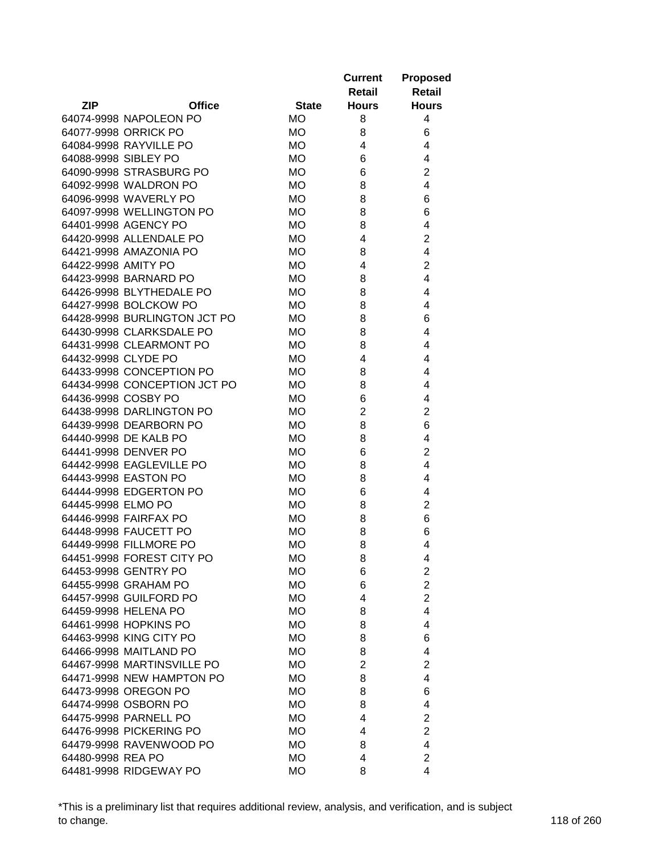|                     |                                              |              | <b>Current</b><br>Retail | <b>Proposed</b><br><b>Retail</b> |
|---------------------|----------------------------------------------|--------------|--------------------------|----------------------------------|
| <b>ZIP</b>          | <b>Office</b>                                | <b>State</b> | <b>Hours</b>             | <b>Hours</b>                     |
|                     | 64074-9998 NAPOLEON PO                       | <b>MO</b>    | 8                        | 4                                |
|                     | 64077-9998 ORRICK PO                         | <b>MO</b>    | 8                        | 6                                |
|                     | 64084-9998 RAYVILLE PO                       | <b>MO</b>    | 4                        | 4                                |
|                     | 64088-9998 SIBLEY PO                         | <b>MO</b>    | 6                        | 4                                |
|                     | 64090-9998 STRASBURG PO                      | МO           | 6                        | $\overline{2}$                   |
|                     | 64092-9998 WALDRON PO                        | <b>MO</b>    | 8                        | 4                                |
|                     | 64096-9998 WAVERLY PO                        | МO           | 8                        | 6                                |
|                     | 64097-9998 WELLINGTON PO                     | <b>MO</b>    | 8                        | 6                                |
|                     | 64401-9998 AGENCY PO                         | <b>MO</b>    | 8                        | 4                                |
|                     | 64420-9998 ALLENDALE PO                      | <b>MO</b>    | 4                        | 2                                |
|                     | 64421-9998 AMAZONIA PO                       | <b>MO</b>    | 8                        | 4                                |
| 64422-9998 AMITY PO |                                              | МO           | 4                        | 2                                |
|                     | 64423-9998 BARNARD PO                        | <b>MO</b>    | 8                        | 4                                |
|                     | 64426-9998 BLYTHEDALE PO                     | <b>MO</b>    | 8                        | 4                                |
|                     | 64427-9998 BOLCKOW PO                        | МO           | 8                        | 4                                |
|                     | 64428-9998 BURLINGTON JCT PO                 | <b>MO</b>    | 8                        | 6                                |
|                     | 64430-9998 CLARKSDALE PO                     | <b>MO</b>    | 8                        | 4                                |
|                     | 64431-9998 CLEARMONT PO                      | <b>MO</b>    | 8                        | 4                                |
| 64432-9998 CLYDE PO |                                              | <b>MO</b>    | 4                        | 4                                |
|                     | 64433-9998 CONCEPTION PO                     | <b>MO</b>    | 8                        | 4                                |
|                     | 64434-9998 CONCEPTION JCT PO                 | <b>MO</b>    | 8                        | 4                                |
|                     | 64436-9998 COSBY PO                          | <b>MO</b>    | 6                        | 4                                |
|                     | 64438-9998 DARLINGTON PO                     | <b>MO</b>    | $\overline{2}$           | $\overline{2}$                   |
|                     | 64439-9998 DEARBORN PO                       | <b>MO</b>    | 8                        | 6                                |
|                     | 64440-9998 DE KALB PO                        | <b>MO</b>    | 8                        | 4                                |
|                     | 64441-9998 DENVER PO                         | <b>MO</b>    | 6                        | 2                                |
|                     | 64442-9998 EAGLEVILLE PO                     | <b>MO</b>    | 8                        | 4                                |
|                     | 64443-9998 EASTON PO                         | <b>MO</b>    | 8                        | 4                                |
|                     | 64444-9998 EDGERTON PO                       | <b>MO</b>    | 6                        | 4                                |
| 64445-9998 ELMO PO  |                                              | МO           | 8                        | 2                                |
|                     | 64446-9998 FAIRFAX PO                        | <b>MO</b>    | 8                        | 6                                |
|                     | 64448-9998 FAUCETT PO                        | <b>MO</b>    | 8                        | 6                                |
|                     | 64449-9998 FILLMORE PO                       | <b>MO</b>    | 8                        | 4                                |
|                     | 64451-9998 FOREST CITY PO                    | МO           | 8                        | 4                                |
|                     | 64453-9998 GENTRY PO                         | МO           | 6                        | $\overline{2}$                   |
|                     | 64455-9998 GRAHAM PO                         | МO           | 6                        | $\overline{2}$                   |
|                     | 64457-9998 GUILFORD PO                       | МO           | 4                        | $\overline{2}$                   |
|                     | 64459-9998 HELENA PO                         | <b>MO</b>    | 8                        | $\overline{4}$                   |
|                     | 64461-9998 HOPKINS PO                        | <b>MO</b>    | 8                        | 4                                |
|                     | 64463-9998 KING CITY PO                      | <b>MO</b>    | 8                        | 6                                |
|                     | 64466-9998 MAITLAND PO                       | МO           | 8                        | 4                                |
|                     | 64467-9998 MARTINSVILLE PO                   | МO           | $\overline{2}$           | $\overline{2}$                   |
|                     | 64471-9998 NEW HAMPTON PO                    |              |                          | 4                                |
|                     |                                              | МO           | 8                        |                                  |
|                     | 64473-9998 OREGON PO<br>64474-9998 OSBORN PO | МO           | 8                        | 6                                |
|                     |                                              | МO           | 8                        | 4                                |
|                     | 64475-9998 PARNELL PO                        | <b>MO</b>    | 4                        | $\overline{2}$                   |
|                     | 64476-9998 PICKERING PO                      | МO           | 4                        | $\overline{2}$                   |
|                     | 64479-9998 RAVENWOOD PO                      | МO           | 8                        | 4                                |
| 64480-9998 REA PO   |                                              | МO           | 4                        | $\overline{2}$                   |
|                     | 64481-9998 RIDGEWAY PO                       | <b>MO</b>    | 8                        | 4                                |

\*This is a preliminary list that requires additional review, analysis, and verification, and is subject to change. 118 of 260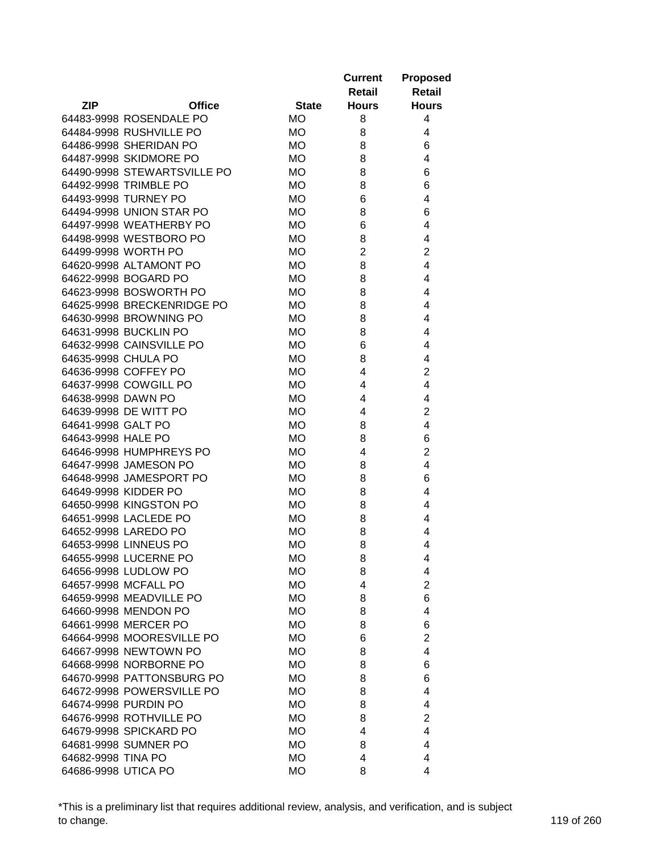|                             |               |              | <b>Current</b><br>Retail | <b>Proposed</b><br><b>Retail</b> |
|-----------------------------|---------------|--------------|--------------------------|----------------------------------|
| <b>ZIP</b>                  | <b>Office</b> | <b>State</b> | <b>Hours</b>             | <b>Hours</b>                     |
| 64483-9998 ROSENDALE PO     |               | МO           | 8                        | 4                                |
| 64484-9998 RUSHVILLE PO     |               | МO           | 8                        | 4                                |
| 64486-9998 SHERIDAN PO      |               | МO           | 8                        | 6                                |
| 64487-9998 SKIDMORE PO      |               | МO           | 8                        | 4                                |
| 64490-9998 STEWARTSVILLE PO |               | МO           | 8                        | 6                                |
| 64492-9998 TRIMBLE PO       |               | <b>MO</b>    | 8                        | 6                                |
| 64493-9998 TURNEY PO        |               | МO           | 6                        | 4                                |
| 64494-9998 UNION STAR PO    |               | МO           | 8                        | 6                                |
| 64497-9998 WEATHERBY PO     |               | <b>MO</b>    | 6                        | 4                                |
| 64498-9998 WESTBORO PO      |               | МO           | 8                        | 4                                |
| 64499-9998 WORTH PO         |               | МO           | $\overline{2}$           | $\overline{2}$                   |
| 64620-9998 ALTAMONT PO      |               | МO           | 8                        | 4                                |
| 64622-9998 BOGARD PO        |               | <b>MO</b>    | 8                        | 4                                |
| 64623-9998 BOSWORTH PO      |               | МO           | 8                        | 4                                |
| 64625-9998 BRECKENRIDGE PO  |               | <b>MO</b>    | 8                        | 4                                |
| 64630-9998 BROWNING PO      |               | МO           | 8                        | 4                                |
| 64631-9998 BUCKLIN PO       |               | <b>MO</b>    | 8                        | 4                                |
| 64632-9998 CAINSVILLE PO    |               | <b>MO</b>    | 6                        | 4                                |
| 64635-9998 CHULA PO         |               | МO           | 8                        | 4                                |
| 64636-9998 COFFEY PO        |               | <b>MO</b>    | 4                        | $\overline{c}$                   |
| 64637-9998 COWGILL PO       |               | <b>MO</b>    | 4                        | $\overline{4}$                   |
| 64638-9998 DAWN PO          |               | МO           | 4                        | 4                                |
| 64639-9998 DE WITT PO       |               | <b>MO</b>    | 4                        | $\overline{2}$                   |
| 64641-9998 GALT PO          |               | МO           | 8                        | 4                                |
| 64643-9998 HALE PO          |               | <b>MO</b>    | 8                        | 6                                |
| 64646-9998 HUMPHREYS PO     |               | МO           | 4                        | $\overline{2}$                   |
| 64647-9998 JAMESON PO       |               | МO           | 8                        | 4                                |
| 64648-9998 JAMESPORT PO     |               | МO           | 8                        | 6                                |
| 64649-9998 KIDDER PO        |               | <b>MO</b>    | 8                        | 4                                |
| 64650-9998 KINGSTON PO      |               | МO           | 8                        | 4                                |
| 64651-9998 LACLEDE PO       |               | МO           | 8                        | 4                                |
| 64652-9998 LAREDO PO        |               | <b>MO</b>    | 8                        | 4                                |
| 64653-9998 LINNEUS PO       |               | <b>MO</b>    | 8                        | 4                                |
| 64655-9998 LUCERNE PO       |               | МO           | 8                        | 4                                |
| 64656-9998 LUDLOW PO        |               | МO           | 8                        | 4                                |
| 64657-9998 MCFALL PO        |               | МO           | 4                        | $\overline{2}$                   |
| 64659-9998 MEADVILLE PO     |               | МO           | 8                        | 6                                |
| 64660-9998 MENDON PO        |               | МO           | 8                        | 4                                |
| 64661-9998 MERCER PO        |               | МO           | 8                        | 6                                |
| 64664-9998 MOORESVILLE PO   |               | МO           | 6                        | $\overline{2}$                   |
| 64667-9998 NEWTOWN PO       |               | МO           | 8                        | 4                                |
| 64668-9998 NORBORNE PO      |               | <b>MO</b>    | 8                        | 6                                |
| 64670-9998 PATTONSBURG PO   |               | МO           | 8                        | 6                                |
| 64672-9998 POWERSVILLE PO   |               | МO           | 8                        | 4                                |
| 64674-9998 PURDIN PO        |               | МO           | 8                        | 4                                |
| 64676-9998 ROTHVILLE PO     |               | <b>MO</b>    | 8                        | $\overline{2}$                   |
| 64679-9998 SPICKARD PO      |               | МO           | 4                        | 4                                |
| 64681-9998 SUMNER PO        |               | МO           | 8                        | 4                                |
| 64682-9998 TINA PO          |               | МO           | 4                        | 4                                |
| 64686-9998 UTICA PO         |               | <b>MO</b>    | 8                        | 4                                |

\*This is a preliminary list that requires additional review, analysis, and verification, and is subject to change. 119 of 260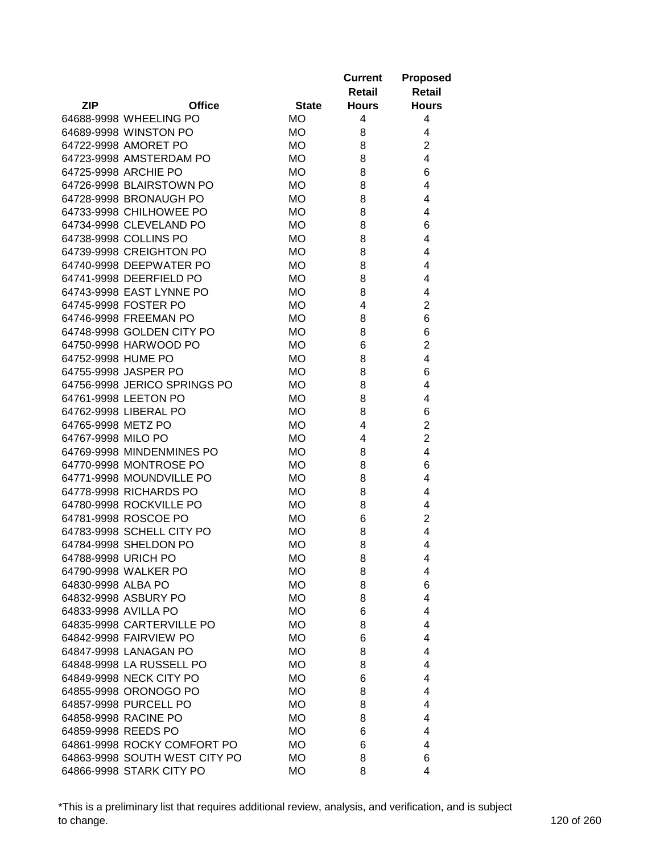| <b>ZIP</b><br><b>Office</b><br><b>State</b><br><b>Hours</b><br><b>Hours</b><br>МO<br>4<br>4<br>64688-9998 WHEELING PO<br>64689-9998 WINSTON PO<br>МO<br>8<br>4<br>$\overline{c}$<br>64722-9998 AMORET PO<br>МO<br>8<br>$\overline{4}$<br>64723-9998 AMSTERDAM PO<br>МO<br>8<br>64725-9998 ARCHIE PO<br>МO<br>8<br>6<br>4<br>64726-9998 BLAIRSTOWN PO<br>МO<br>8<br>8<br>64728-9998 BRONAUGH PO<br>МO<br>4<br>64733-9998 CHILHOWEE PO<br>МO<br>8<br>4<br><b>MO</b><br>6<br>64734-9998 CLEVELAND PO<br>8<br>64738-9998 COLLINS PO<br>МO<br>8<br>4<br>64739-9998 CREIGHTON PO<br>МO<br>8<br>4<br>64740-9998 DEEPWATER PO<br>МO<br>8<br>4<br>64741-9998 DEERFIELD PO<br><b>MO</b><br>8<br>4<br>64743-9998 EAST LYNNE PO<br>МO<br>8<br>4<br>$\overline{2}$<br>64745-9998 FOSTER PO<br>МO<br>4<br>64746-9998 FREEMAN PO<br>6<br>МO<br>8<br>64748-9998 GOLDEN CITY PO<br><b>MO</b><br>6<br>8<br>$\overline{c}$<br>64750-9998 HARWOOD PO<br>6<br>МO<br>64752-9998 HUME PO<br>4<br>МO<br>8<br>64755-9998 JASPER PO<br>6<br>МO<br>8<br>64756-9998 JERICO SPRINGS PO<br>4<br>МO<br>8<br>64761-9998 LEETON PO<br>МO<br>8<br>4<br><b>MO</b><br>6<br>64762-9998 LIBERAL PO<br>8<br>$\overline{2}$<br>4<br>64765-9998 METZ PO<br>МO<br>$\overline{2}$<br>64767-9998 MILO PO<br><b>MO</b><br>4<br>64769-9998 MINDENMINES PO<br><b>MO</b><br>8<br>4<br>64770-9998 MONTROSE PO<br>6<br><b>MO</b><br>8<br>64771-9998 MOUNDVILLE PO<br><b>MO</b><br>8<br>4<br>64778-9998 RICHARDS PO<br><b>MO</b><br>4<br>8<br>64780-9998 ROCKVILLE PO<br><b>MO</b><br>4<br>8<br>64781-9998 ROSCOE PO<br>$\overline{2}$<br><b>MO</b><br>6<br>64783-9998 SCHELL CITY PO<br>4<br><b>MO</b><br>8<br>64784-9998 SHELDON PO<br>8<br><b>MO</b><br>4<br>64788-9998 URICH PO<br>МO<br>8<br>4<br>64790-9998 WALKER PO<br><b>MO</b><br>8<br>4<br>6<br>64830-9998 ALBA PO<br><b>MO</b><br>8<br>64832-9998 ASBURY PO<br><b>MO</b><br>8<br>4<br>64833-9998 AVILLA PO<br><b>MO</b><br>4<br>6<br>64835-9998 CARTERVILLE PO<br><b>MO</b><br>4<br>8<br>64842-9998 FAIRVIEW PO<br><b>MO</b><br>6<br>4<br>64847-9998 LANAGAN PO<br><b>MO</b><br>8<br>4<br>64848-9998 LA RUSSELL PO<br><b>MO</b><br>8<br>4<br>64849-9998 NECK CITY PO<br><b>MO</b><br>6<br>4<br>64855-9998 ORONOGO PO<br><b>MO</b><br>8<br>4<br>64857-9998 PURCELL PO<br><b>MO</b><br>4<br>8<br>64858-9998 RACINE PO<br><b>MO</b><br>8<br>4<br>64859-9998 REEDS PO<br><b>MO</b><br>4<br>6<br>64861-9998 ROCKY COMFORT PO<br><b>MO</b><br>4<br>6 |  | <b>Current</b><br>Retail | <b>Proposed</b><br><b>Retail</b> |
|---------------------------------------------------------------------------------------------------------------------------------------------------------------------------------------------------------------------------------------------------------------------------------------------------------------------------------------------------------------------------------------------------------------------------------------------------------------------------------------------------------------------------------------------------------------------------------------------------------------------------------------------------------------------------------------------------------------------------------------------------------------------------------------------------------------------------------------------------------------------------------------------------------------------------------------------------------------------------------------------------------------------------------------------------------------------------------------------------------------------------------------------------------------------------------------------------------------------------------------------------------------------------------------------------------------------------------------------------------------------------------------------------------------------------------------------------------------------------------------------------------------------------------------------------------------------------------------------------------------------------------------------------------------------------------------------------------------------------------------------------------------------------------------------------------------------------------------------------------------------------------------------------------------------------------------------------------------------------------------------------------------------------------------------------------------------------------------------------------------------------------------------------------------------------------------------------------------------------------------------------------------------------------------------------------------------------------------------------------------------------------------------------------------------------------------------------------|--|--------------------------|----------------------------------|
|                                                                                                                                                                                                                                                                                                                                                                                                                                                                                                                                                                                                                                                                                                                                                                                                                                                                                                                                                                                                                                                                                                                                                                                                                                                                                                                                                                                                                                                                                                                                                                                                                                                                                                                                                                                                                                                                                                                                                                                                                                                                                                                                                                                                                                                                                                                                                                                                                                                         |  |                          |                                  |
|                                                                                                                                                                                                                                                                                                                                                                                                                                                                                                                                                                                                                                                                                                                                                                                                                                                                                                                                                                                                                                                                                                                                                                                                                                                                                                                                                                                                                                                                                                                                                                                                                                                                                                                                                                                                                                                                                                                                                                                                                                                                                                                                                                                                                                                                                                                                                                                                                                                         |  |                          |                                  |
|                                                                                                                                                                                                                                                                                                                                                                                                                                                                                                                                                                                                                                                                                                                                                                                                                                                                                                                                                                                                                                                                                                                                                                                                                                                                                                                                                                                                                                                                                                                                                                                                                                                                                                                                                                                                                                                                                                                                                                                                                                                                                                                                                                                                                                                                                                                                                                                                                                                         |  |                          |                                  |
|                                                                                                                                                                                                                                                                                                                                                                                                                                                                                                                                                                                                                                                                                                                                                                                                                                                                                                                                                                                                                                                                                                                                                                                                                                                                                                                                                                                                                                                                                                                                                                                                                                                                                                                                                                                                                                                                                                                                                                                                                                                                                                                                                                                                                                                                                                                                                                                                                                                         |  |                          |                                  |
|                                                                                                                                                                                                                                                                                                                                                                                                                                                                                                                                                                                                                                                                                                                                                                                                                                                                                                                                                                                                                                                                                                                                                                                                                                                                                                                                                                                                                                                                                                                                                                                                                                                                                                                                                                                                                                                                                                                                                                                                                                                                                                                                                                                                                                                                                                                                                                                                                                                         |  |                          |                                  |
|                                                                                                                                                                                                                                                                                                                                                                                                                                                                                                                                                                                                                                                                                                                                                                                                                                                                                                                                                                                                                                                                                                                                                                                                                                                                                                                                                                                                                                                                                                                                                                                                                                                                                                                                                                                                                                                                                                                                                                                                                                                                                                                                                                                                                                                                                                                                                                                                                                                         |  |                          |                                  |
|                                                                                                                                                                                                                                                                                                                                                                                                                                                                                                                                                                                                                                                                                                                                                                                                                                                                                                                                                                                                                                                                                                                                                                                                                                                                                                                                                                                                                                                                                                                                                                                                                                                                                                                                                                                                                                                                                                                                                                                                                                                                                                                                                                                                                                                                                                                                                                                                                                                         |  |                          |                                  |
|                                                                                                                                                                                                                                                                                                                                                                                                                                                                                                                                                                                                                                                                                                                                                                                                                                                                                                                                                                                                                                                                                                                                                                                                                                                                                                                                                                                                                                                                                                                                                                                                                                                                                                                                                                                                                                                                                                                                                                                                                                                                                                                                                                                                                                                                                                                                                                                                                                                         |  |                          |                                  |
|                                                                                                                                                                                                                                                                                                                                                                                                                                                                                                                                                                                                                                                                                                                                                                                                                                                                                                                                                                                                                                                                                                                                                                                                                                                                                                                                                                                                                                                                                                                                                                                                                                                                                                                                                                                                                                                                                                                                                                                                                                                                                                                                                                                                                                                                                                                                                                                                                                                         |  |                          |                                  |
|                                                                                                                                                                                                                                                                                                                                                                                                                                                                                                                                                                                                                                                                                                                                                                                                                                                                                                                                                                                                                                                                                                                                                                                                                                                                                                                                                                                                                                                                                                                                                                                                                                                                                                                                                                                                                                                                                                                                                                                                                                                                                                                                                                                                                                                                                                                                                                                                                                                         |  |                          |                                  |
|                                                                                                                                                                                                                                                                                                                                                                                                                                                                                                                                                                                                                                                                                                                                                                                                                                                                                                                                                                                                                                                                                                                                                                                                                                                                                                                                                                                                                                                                                                                                                                                                                                                                                                                                                                                                                                                                                                                                                                                                                                                                                                                                                                                                                                                                                                                                                                                                                                                         |  |                          |                                  |
|                                                                                                                                                                                                                                                                                                                                                                                                                                                                                                                                                                                                                                                                                                                                                                                                                                                                                                                                                                                                                                                                                                                                                                                                                                                                                                                                                                                                                                                                                                                                                                                                                                                                                                                                                                                                                                                                                                                                                                                                                                                                                                                                                                                                                                                                                                                                                                                                                                                         |  |                          |                                  |
|                                                                                                                                                                                                                                                                                                                                                                                                                                                                                                                                                                                                                                                                                                                                                                                                                                                                                                                                                                                                                                                                                                                                                                                                                                                                                                                                                                                                                                                                                                                                                                                                                                                                                                                                                                                                                                                                                                                                                                                                                                                                                                                                                                                                                                                                                                                                                                                                                                                         |  |                          |                                  |
|                                                                                                                                                                                                                                                                                                                                                                                                                                                                                                                                                                                                                                                                                                                                                                                                                                                                                                                                                                                                                                                                                                                                                                                                                                                                                                                                                                                                                                                                                                                                                                                                                                                                                                                                                                                                                                                                                                                                                                                                                                                                                                                                                                                                                                                                                                                                                                                                                                                         |  |                          |                                  |
|                                                                                                                                                                                                                                                                                                                                                                                                                                                                                                                                                                                                                                                                                                                                                                                                                                                                                                                                                                                                                                                                                                                                                                                                                                                                                                                                                                                                                                                                                                                                                                                                                                                                                                                                                                                                                                                                                                                                                                                                                                                                                                                                                                                                                                                                                                                                                                                                                                                         |  |                          |                                  |
|                                                                                                                                                                                                                                                                                                                                                                                                                                                                                                                                                                                                                                                                                                                                                                                                                                                                                                                                                                                                                                                                                                                                                                                                                                                                                                                                                                                                                                                                                                                                                                                                                                                                                                                                                                                                                                                                                                                                                                                                                                                                                                                                                                                                                                                                                                                                                                                                                                                         |  |                          |                                  |
|                                                                                                                                                                                                                                                                                                                                                                                                                                                                                                                                                                                                                                                                                                                                                                                                                                                                                                                                                                                                                                                                                                                                                                                                                                                                                                                                                                                                                                                                                                                                                                                                                                                                                                                                                                                                                                                                                                                                                                                                                                                                                                                                                                                                                                                                                                                                                                                                                                                         |  |                          |                                  |
|                                                                                                                                                                                                                                                                                                                                                                                                                                                                                                                                                                                                                                                                                                                                                                                                                                                                                                                                                                                                                                                                                                                                                                                                                                                                                                                                                                                                                                                                                                                                                                                                                                                                                                                                                                                                                                                                                                                                                                                                                                                                                                                                                                                                                                                                                                                                                                                                                                                         |  |                          |                                  |
|                                                                                                                                                                                                                                                                                                                                                                                                                                                                                                                                                                                                                                                                                                                                                                                                                                                                                                                                                                                                                                                                                                                                                                                                                                                                                                                                                                                                                                                                                                                                                                                                                                                                                                                                                                                                                                                                                                                                                                                                                                                                                                                                                                                                                                                                                                                                                                                                                                                         |  |                          |                                  |
|                                                                                                                                                                                                                                                                                                                                                                                                                                                                                                                                                                                                                                                                                                                                                                                                                                                                                                                                                                                                                                                                                                                                                                                                                                                                                                                                                                                                                                                                                                                                                                                                                                                                                                                                                                                                                                                                                                                                                                                                                                                                                                                                                                                                                                                                                                                                                                                                                                                         |  |                          |                                  |
|                                                                                                                                                                                                                                                                                                                                                                                                                                                                                                                                                                                                                                                                                                                                                                                                                                                                                                                                                                                                                                                                                                                                                                                                                                                                                                                                                                                                                                                                                                                                                                                                                                                                                                                                                                                                                                                                                                                                                                                                                                                                                                                                                                                                                                                                                                                                                                                                                                                         |  |                          |                                  |
|                                                                                                                                                                                                                                                                                                                                                                                                                                                                                                                                                                                                                                                                                                                                                                                                                                                                                                                                                                                                                                                                                                                                                                                                                                                                                                                                                                                                                                                                                                                                                                                                                                                                                                                                                                                                                                                                                                                                                                                                                                                                                                                                                                                                                                                                                                                                                                                                                                                         |  |                          |                                  |
|                                                                                                                                                                                                                                                                                                                                                                                                                                                                                                                                                                                                                                                                                                                                                                                                                                                                                                                                                                                                                                                                                                                                                                                                                                                                                                                                                                                                                                                                                                                                                                                                                                                                                                                                                                                                                                                                                                                                                                                                                                                                                                                                                                                                                                                                                                                                                                                                                                                         |  |                          |                                  |
|                                                                                                                                                                                                                                                                                                                                                                                                                                                                                                                                                                                                                                                                                                                                                                                                                                                                                                                                                                                                                                                                                                                                                                                                                                                                                                                                                                                                                                                                                                                                                                                                                                                                                                                                                                                                                                                                                                                                                                                                                                                                                                                                                                                                                                                                                                                                                                                                                                                         |  |                          |                                  |
|                                                                                                                                                                                                                                                                                                                                                                                                                                                                                                                                                                                                                                                                                                                                                                                                                                                                                                                                                                                                                                                                                                                                                                                                                                                                                                                                                                                                                                                                                                                                                                                                                                                                                                                                                                                                                                                                                                                                                                                                                                                                                                                                                                                                                                                                                                                                                                                                                                                         |  |                          |                                  |
|                                                                                                                                                                                                                                                                                                                                                                                                                                                                                                                                                                                                                                                                                                                                                                                                                                                                                                                                                                                                                                                                                                                                                                                                                                                                                                                                                                                                                                                                                                                                                                                                                                                                                                                                                                                                                                                                                                                                                                                                                                                                                                                                                                                                                                                                                                                                                                                                                                                         |  |                          |                                  |
|                                                                                                                                                                                                                                                                                                                                                                                                                                                                                                                                                                                                                                                                                                                                                                                                                                                                                                                                                                                                                                                                                                                                                                                                                                                                                                                                                                                                                                                                                                                                                                                                                                                                                                                                                                                                                                                                                                                                                                                                                                                                                                                                                                                                                                                                                                                                                                                                                                                         |  |                          |                                  |
|                                                                                                                                                                                                                                                                                                                                                                                                                                                                                                                                                                                                                                                                                                                                                                                                                                                                                                                                                                                                                                                                                                                                                                                                                                                                                                                                                                                                                                                                                                                                                                                                                                                                                                                                                                                                                                                                                                                                                                                                                                                                                                                                                                                                                                                                                                                                                                                                                                                         |  |                          |                                  |
|                                                                                                                                                                                                                                                                                                                                                                                                                                                                                                                                                                                                                                                                                                                                                                                                                                                                                                                                                                                                                                                                                                                                                                                                                                                                                                                                                                                                                                                                                                                                                                                                                                                                                                                                                                                                                                                                                                                                                                                                                                                                                                                                                                                                                                                                                                                                                                                                                                                         |  |                          |                                  |
|                                                                                                                                                                                                                                                                                                                                                                                                                                                                                                                                                                                                                                                                                                                                                                                                                                                                                                                                                                                                                                                                                                                                                                                                                                                                                                                                                                                                                                                                                                                                                                                                                                                                                                                                                                                                                                                                                                                                                                                                                                                                                                                                                                                                                                                                                                                                                                                                                                                         |  |                          |                                  |
|                                                                                                                                                                                                                                                                                                                                                                                                                                                                                                                                                                                                                                                                                                                                                                                                                                                                                                                                                                                                                                                                                                                                                                                                                                                                                                                                                                                                                                                                                                                                                                                                                                                                                                                                                                                                                                                                                                                                                                                                                                                                                                                                                                                                                                                                                                                                                                                                                                                         |  |                          |                                  |
|                                                                                                                                                                                                                                                                                                                                                                                                                                                                                                                                                                                                                                                                                                                                                                                                                                                                                                                                                                                                                                                                                                                                                                                                                                                                                                                                                                                                                                                                                                                                                                                                                                                                                                                                                                                                                                                                                                                                                                                                                                                                                                                                                                                                                                                                                                                                                                                                                                                         |  |                          |                                  |
|                                                                                                                                                                                                                                                                                                                                                                                                                                                                                                                                                                                                                                                                                                                                                                                                                                                                                                                                                                                                                                                                                                                                                                                                                                                                                                                                                                                                                                                                                                                                                                                                                                                                                                                                                                                                                                                                                                                                                                                                                                                                                                                                                                                                                                                                                                                                                                                                                                                         |  |                          |                                  |
|                                                                                                                                                                                                                                                                                                                                                                                                                                                                                                                                                                                                                                                                                                                                                                                                                                                                                                                                                                                                                                                                                                                                                                                                                                                                                                                                                                                                                                                                                                                                                                                                                                                                                                                                                                                                                                                                                                                                                                                                                                                                                                                                                                                                                                                                                                                                                                                                                                                         |  |                          |                                  |
|                                                                                                                                                                                                                                                                                                                                                                                                                                                                                                                                                                                                                                                                                                                                                                                                                                                                                                                                                                                                                                                                                                                                                                                                                                                                                                                                                                                                                                                                                                                                                                                                                                                                                                                                                                                                                                                                                                                                                                                                                                                                                                                                                                                                                                                                                                                                                                                                                                                         |  |                          |                                  |
|                                                                                                                                                                                                                                                                                                                                                                                                                                                                                                                                                                                                                                                                                                                                                                                                                                                                                                                                                                                                                                                                                                                                                                                                                                                                                                                                                                                                                                                                                                                                                                                                                                                                                                                                                                                                                                                                                                                                                                                                                                                                                                                                                                                                                                                                                                                                                                                                                                                         |  |                          |                                  |
|                                                                                                                                                                                                                                                                                                                                                                                                                                                                                                                                                                                                                                                                                                                                                                                                                                                                                                                                                                                                                                                                                                                                                                                                                                                                                                                                                                                                                                                                                                                                                                                                                                                                                                                                                                                                                                                                                                                                                                                                                                                                                                                                                                                                                                                                                                                                                                                                                                                         |  |                          |                                  |
|                                                                                                                                                                                                                                                                                                                                                                                                                                                                                                                                                                                                                                                                                                                                                                                                                                                                                                                                                                                                                                                                                                                                                                                                                                                                                                                                                                                                                                                                                                                                                                                                                                                                                                                                                                                                                                                                                                                                                                                                                                                                                                                                                                                                                                                                                                                                                                                                                                                         |  |                          |                                  |
|                                                                                                                                                                                                                                                                                                                                                                                                                                                                                                                                                                                                                                                                                                                                                                                                                                                                                                                                                                                                                                                                                                                                                                                                                                                                                                                                                                                                                                                                                                                                                                                                                                                                                                                                                                                                                                                                                                                                                                                                                                                                                                                                                                                                                                                                                                                                                                                                                                                         |  |                          |                                  |
|                                                                                                                                                                                                                                                                                                                                                                                                                                                                                                                                                                                                                                                                                                                                                                                                                                                                                                                                                                                                                                                                                                                                                                                                                                                                                                                                                                                                                                                                                                                                                                                                                                                                                                                                                                                                                                                                                                                                                                                                                                                                                                                                                                                                                                                                                                                                                                                                                                                         |  |                          |                                  |
|                                                                                                                                                                                                                                                                                                                                                                                                                                                                                                                                                                                                                                                                                                                                                                                                                                                                                                                                                                                                                                                                                                                                                                                                                                                                                                                                                                                                                                                                                                                                                                                                                                                                                                                                                                                                                                                                                                                                                                                                                                                                                                                                                                                                                                                                                                                                                                                                                                                         |  |                          |                                  |
|                                                                                                                                                                                                                                                                                                                                                                                                                                                                                                                                                                                                                                                                                                                                                                                                                                                                                                                                                                                                                                                                                                                                                                                                                                                                                                                                                                                                                                                                                                                                                                                                                                                                                                                                                                                                                                                                                                                                                                                                                                                                                                                                                                                                                                                                                                                                                                                                                                                         |  |                          |                                  |
|                                                                                                                                                                                                                                                                                                                                                                                                                                                                                                                                                                                                                                                                                                                                                                                                                                                                                                                                                                                                                                                                                                                                                                                                                                                                                                                                                                                                                                                                                                                                                                                                                                                                                                                                                                                                                                                                                                                                                                                                                                                                                                                                                                                                                                                                                                                                                                                                                                                         |  |                          |                                  |
|                                                                                                                                                                                                                                                                                                                                                                                                                                                                                                                                                                                                                                                                                                                                                                                                                                                                                                                                                                                                                                                                                                                                                                                                                                                                                                                                                                                                                                                                                                                                                                                                                                                                                                                                                                                                                                                                                                                                                                                                                                                                                                                                                                                                                                                                                                                                                                                                                                                         |  |                          |                                  |
|                                                                                                                                                                                                                                                                                                                                                                                                                                                                                                                                                                                                                                                                                                                                                                                                                                                                                                                                                                                                                                                                                                                                                                                                                                                                                                                                                                                                                                                                                                                                                                                                                                                                                                                                                                                                                                                                                                                                                                                                                                                                                                                                                                                                                                                                                                                                                                                                                                                         |  |                          |                                  |
|                                                                                                                                                                                                                                                                                                                                                                                                                                                                                                                                                                                                                                                                                                                                                                                                                                                                                                                                                                                                                                                                                                                                                                                                                                                                                                                                                                                                                                                                                                                                                                                                                                                                                                                                                                                                                                                                                                                                                                                                                                                                                                                                                                                                                                                                                                                                                                                                                                                         |  |                          |                                  |
|                                                                                                                                                                                                                                                                                                                                                                                                                                                                                                                                                                                                                                                                                                                                                                                                                                                                                                                                                                                                                                                                                                                                                                                                                                                                                                                                                                                                                                                                                                                                                                                                                                                                                                                                                                                                                                                                                                                                                                                                                                                                                                                                                                                                                                                                                                                                                                                                                                                         |  |                          |                                  |
|                                                                                                                                                                                                                                                                                                                                                                                                                                                                                                                                                                                                                                                                                                                                                                                                                                                                                                                                                                                                                                                                                                                                                                                                                                                                                                                                                                                                                                                                                                                                                                                                                                                                                                                                                                                                                                                                                                                                                                                                                                                                                                                                                                                                                                                                                                                                                                                                                                                         |  |                          |                                  |
|                                                                                                                                                                                                                                                                                                                                                                                                                                                                                                                                                                                                                                                                                                                                                                                                                                                                                                                                                                                                                                                                                                                                                                                                                                                                                                                                                                                                                                                                                                                                                                                                                                                                                                                                                                                                                                                                                                                                                                                                                                                                                                                                                                                                                                                                                                                                                                                                                                                         |  |                          |                                  |
| 64863-9998 SOUTH WEST CITY PO<br>МO<br>8<br>6                                                                                                                                                                                                                                                                                                                                                                                                                                                                                                                                                                                                                                                                                                                                                                                                                                                                                                                                                                                                                                                                                                                                                                                                                                                                                                                                                                                                                                                                                                                                                                                                                                                                                                                                                                                                                                                                                                                                                                                                                                                                                                                                                                                                                                                                                                                                                                                                           |  |                          |                                  |
| 64866-9998 STARK CITY PO<br><b>MO</b><br>8<br>4                                                                                                                                                                                                                                                                                                                                                                                                                                                                                                                                                                                                                                                                                                                                                                                                                                                                                                                                                                                                                                                                                                                                                                                                                                                                                                                                                                                                                                                                                                                                                                                                                                                                                                                                                                                                                                                                                                                                                                                                                                                                                                                                                                                                                                                                                                                                                                                                         |  |                          |                                  |

\*This is a preliminary list that requires additional review, analysis, and verification, and is subject to change. 120 of 260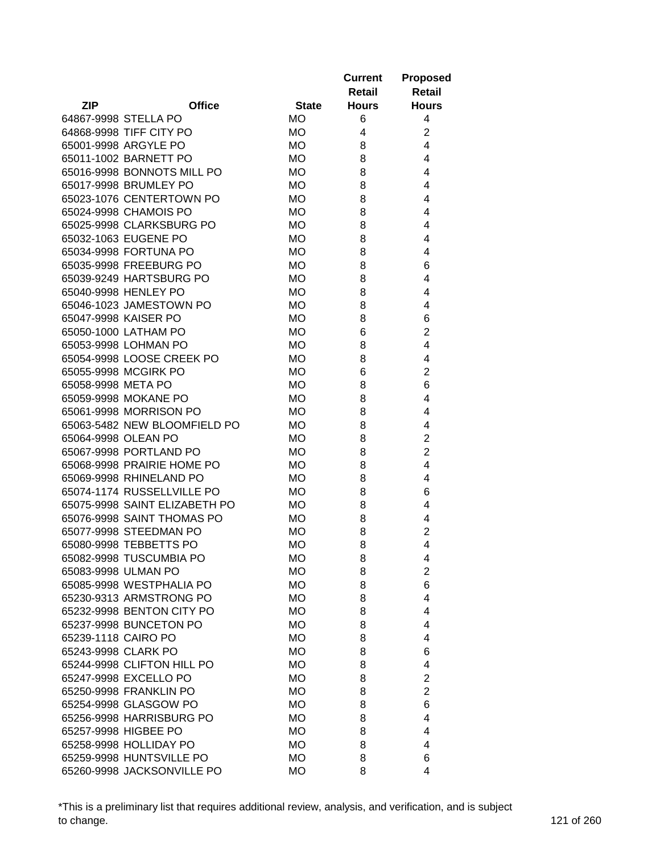|                    |                               |              | <b>Current</b><br>Retail | <b>Proposed</b><br><b>Retail</b> |
|--------------------|-------------------------------|--------------|--------------------------|----------------------------------|
| <b>ZIP</b>         | <b>Office</b>                 | <b>State</b> | <b>Hours</b>             | <b>Hours</b>                     |
|                    | 64867-9998 STELLA PO          | <b>MO</b>    | 6                        | 4                                |
|                    | 64868-9998 TIFF CITY PO       | <b>MO</b>    | 4                        | $\overline{c}$                   |
|                    | 65001-9998 ARGYLE PO          | <b>MO</b>    | 8                        | 4                                |
|                    | 65011-1002 BARNETT PO         | <b>MO</b>    | 8                        | 4                                |
|                    | 65016-9998 BONNOTS MILL PO    | МO           | 8                        | 4                                |
|                    | 65017-9998 BRUMLEY PO         | <b>MO</b>    | 8                        | 4                                |
|                    | 65023-1076 CENTERTOWN PO      | <b>MO</b>    | 8                        | 4                                |
|                    | 65024-9998 CHAMOIS PO         | <b>MO</b>    | 8                        | 4                                |
|                    | 65025-9998 CLARKSBURG PO      | <b>MO</b>    | 8                        | 4                                |
|                    | 65032-1063 EUGENE PO          | <b>MO</b>    | 8                        | 4                                |
|                    | 65034-9998 FORTUNA PO         | <b>MO</b>    | 8                        | 4                                |
|                    | 65035-9998 FREEBURG PO        | МO           | 8                        | 6                                |
|                    | 65039-9249 HARTSBURG PO       | МO           | 8                        | 4                                |
|                    | 65040-9998 HENLEY PO          | МO           | 8                        | 4                                |
|                    | 65046-1023 JAMESTOWN PO       | <b>MO</b>    | 8                        | 4                                |
|                    | 65047-9998 KAISER PO          | МO           | 8                        | 6                                |
|                    | 65050-1000 LATHAM PO          | <b>MO</b>    | 6                        | $\overline{2}$                   |
|                    | 65053-9998 LOHMAN PO          | МO           | 8                        | 4                                |
|                    | 65054-9998 LOOSE CREEK PO     | <b>MO</b>    | 8                        | 4                                |
|                    | 65055-9998 MCGIRK PO          | МO           | 6                        | $\overline{2}$                   |
| 65058-9998 META PO |                               | МO           | 8                        | 6                                |
|                    | 65059-9998 MOKANE PO          | <b>MO</b>    | 8                        | 4                                |
|                    | 65061-9998 MORRISON PO        | <b>MO</b>    | 8                        | 4                                |
|                    | 65063-5482 NEW BLOOMFIELD PO  | <b>MO</b>    | 8                        | 4                                |
|                    | 65064-9998 OLEAN PO           | <b>MO</b>    | 8                        | $\overline{2}$                   |
|                    | 65067-9998 PORTLAND PO        | <b>MO</b>    | 8                        | $\overline{2}$                   |
|                    | 65068-9998 PRAIRIE HOME PO    | <b>MO</b>    | 8                        | 4                                |
|                    | 65069-9998 RHINELAND PO       | <b>MO</b>    | 8                        | 4                                |
|                    | 65074-1174 RUSSELLVILLE PO    | <b>MO</b>    | 8                        | 6                                |
|                    | 65075-9998 SAINT ELIZABETH PO | <b>MO</b>    | 8                        | 4                                |
|                    | 65076-9998 SAINT THOMAS PO    | <b>MO</b>    | 8                        | 4                                |
|                    | 65077-9998 STEEDMAN PO        | <b>MO</b>    | 8                        | $\overline{c}$                   |
|                    | 65080-9998 TEBBETTS PO        | <b>MO</b>    | 8                        | 4                                |
|                    | 65082-9998 TUSCUMBIA PO       | МO           | 8                        | 4                                |
|                    | 65083-9998 ULMAN PO           | МO           | 8                        | $\overline{2}$                   |
|                    | 65085-9998 WESTPHALIA PO      | МO           | 8                        | 6                                |
|                    | 65230-9313 ARMSTRONG PO       | МO           | 8                        | 4                                |
|                    | 65232-9998 BENTON CITY PO     | МO           | 8                        | 4                                |
|                    | 65237-9998 BUNCETON PO        | МO           | 8                        | 4                                |
|                    | 65239-1118 CAIRO PO           | <b>MO</b>    | 8                        | 4                                |
|                    | 65243-9998 CLARK PO           | МO           | 8                        | 6                                |
|                    | 65244-9998 CLIFTON HILL PO    | МO           | 8                        | 4                                |
|                    | 65247-9998 EXCELLO PO         | <b>MO</b>    | 8                        | $\overline{c}$                   |
|                    | 65250-9998 FRANKLIN PO        | МO           | 8                        | $\overline{2}$                   |
|                    | 65254-9998 GLASGOW PO         | МO           | 8                        | 6                                |
|                    | 65256-9998 HARRISBURG PO      | МO           | 8                        | 4                                |
|                    | 65257-9998 HIGBEE PO          | МO           | 8                        | 4                                |
|                    | 65258-9998 HOLLIDAY PO        | МO           | 8                        | 4                                |
|                    | 65259-9998 HUNTSVILLE PO      | МO           | 8                        | 6                                |
|                    | 65260-9998 JACKSONVILLE PO    | <b>MO</b>    | 8                        | 4                                |
|                    |                               |              |                          |                                  |

\*This is a preliminary list that requires additional review, analysis, and verification, and is subject to change. 121 of 260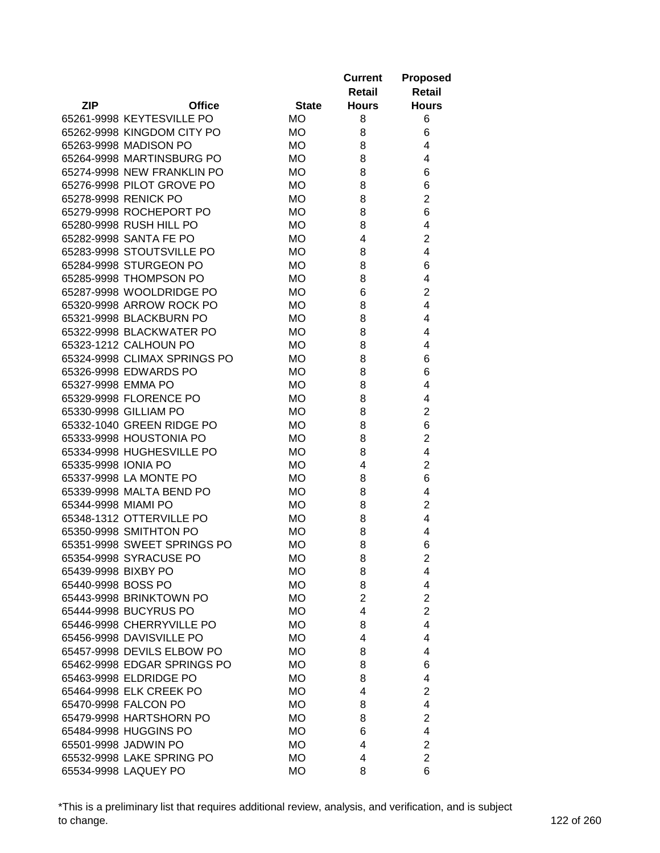|                       |                              |                 | <b>Current</b><br>Retail | <b>Proposed</b><br><b>Retail</b> |
|-----------------------|------------------------------|-----------------|--------------------------|----------------------------------|
| <b>ZIP</b>            | <b>Office</b>                | <b>State</b>    | <b>Hours</b>             | <b>Hours</b>                     |
|                       | 65261-9998 KEYTESVILLE PO    | <b>MO</b>       | 8                        | 6                                |
|                       | 65262-9998 KINGDOM CITY PO   | <b>MO</b>       | 8                        | 6                                |
| 65263-9998 MADISON PO |                              | <b>MO</b>       | 8                        | 4                                |
|                       | 65264-9998 MARTINSBURG PO    | МO              | 8                        | 4                                |
|                       | 65274-9998 NEW FRANKLIN PO   | МO              | 8                        | 6                                |
|                       | 65276-9998 PILOT GROVE PO    | МO              | 8                        | 6                                |
| 65278-9998 RENICK PO  |                              | МO              | 8                        | $\overline{2}$                   |
|                       | 65279-9998 ROCHEPORT PO      | МO              | 8                        | 6                                |
|                       | 65280-9998 RUSH HILL PO      | <b>MO</b>       | 8                        | 4                                |
|                       | 65282-9998 SANTA FE PO       | <b>MO</b>       | 4                        | 2                                |
|                       | 65283-9998 STOUTSVILLE PO    | <b>MO</b>       | 8                        | 4                                |
|                       | 65284-9998 STURGEON PO       | МO              | 8                        | 6                                |
|                       | 65285-9998 THOMPSON PO       | <b>MO</b>       | 8                        | 4                                |
|                       | 65287-9998 WOOLDRIDGE PO     | МO              | 6                        | 2                                |
|                       | 65320-9998 ARROW ROCK PO     | МO              | 8                        | 4                                |
|                       | 65321-9998 BLACKBURN PO      | МO              | 8                        | 4                                |
|                       | 65322-9998 BLACKWATER PO     | <b>MO</b>       | 8                        | 4                                |
|                       | 65323-1212 CALHOUN PO        | МO              | 8                        | 4                                |
|                       | 65324-9998 CLIMAX SPRINGS PO | <b>MO</b>       | 8                        | 6                                |
|                       | 65326-9998 EDWARDS PO        | <b>MO</b>       | 8                        | 6                                |
| 65327-9998 EMMA PO    |                              | <b>MO</b>       | 8                        | 4                                |
|                       | 65329-9998 FLORENCE PO       | <b>MO</b>       | 8                        | 4                                |
| 65330-9998 GILLIAM PO |                              | МO              | 8                        | 2                                |
|                       | 65332-1040 GREEN RIDGE PO    | <b>MO</b>       | 8                        | 6                                |
|                       | 65333-9998 HOUSTONIA PO      | <b>MO</b>       | 8                        | $\overline{2}$                   |
|                       | 65334-9998 HUGHESVILLE PO    | <b>MO</b>       | 8                        | 4                                |
| 65335-9998 IONIA PO   |                              | <b>MO</b>       | 4                        | $\overline{2}$                   |
|                       | 65337-9998 LA MONTE PO       | МO              | 8                        | 6                                |
|                       | 65339-9998 MALTA BEND PO     | МO              | 8                        | 4                                |
| 65344-9998 MIAMI PO   |                              | МO              | 8                        | 2                                |
|                       | 65348-1312 OTTERVILLE PO     | МO              | 8                        | 4                                |
|                       | 65350-9998 SMITHTON PO       | <b>MO</b>       | 8                        | 4                                |
|                       | 65351-9998 SWEET SPRINGS PO  | <b>MO</b>       | 8                        | 6                                |
|                       | 65354-9998 SYRACUSE PO       | <b>MO</b>       | 8                        | 2                                |
| 65439-9998 BIXBY PO   |                              | МO              | 8                        | 4                                |
| 65440-9998 BOSS PO    |                              | МO              | 8                        | 4                                |
|                       | 65443-9998 BRINKTOWN PO      | МO              | $\overline{2}$           | $\overline{2}$                   |
|                       | 65444-9998 BUCYRUS PO        | МO              | $\overline{4}$           | $\overline{2}$                   |
|                       | 65446-9998 CHERRYVILLE PO    | <b>MO</b>       | 8                        | 4                                |
|                       | 65456-9998 DAVISVILLE PO     | МO              | 4                        | 4                                |
|                       | 65457-9998 DEVILS ELBOW PO   | МO              | 8                        | 4                                |
|                       | 65462-9998 EDGAR SPRINGS PO  | МO              | 8                        | 6                                |
|                       | 65463-9998 ELDRIDGE PO       |                 |                          | 4                                |
|                       | 65464-9998 ELK CREEK PO      | МO<br>МO        | 8<br>4                   | 2                                |
|                       |                              |                 |                          |                                  |
| 65470-9998 FALCON PO  |                              | МO<br><b>MO</b> | 8                        | 4<br>$\overline{2}$              |
|                       | 65479-9998 HARTSHORN PO      |                 | 8                        |                                  |
| 65484-9998 HUGGINS PO |                              | <b>MO</b>       | 6                        | 4                                |
| 65501-9998 JADWIN PO  |                              | МO              | 4                        | $\overline{2}$                   |
|                       | 65532-9998 LAKE SPRING PO    | МO              | 4<br>8                   | $\overline{2}$<br>6              |
| 65534-9998 LAQUEY PO  |                              | <b>MO</b>       |                          |                                  |

\*This is a preliminary list that requires additional review, analysis, and verification, and is subject to change. 122 of 260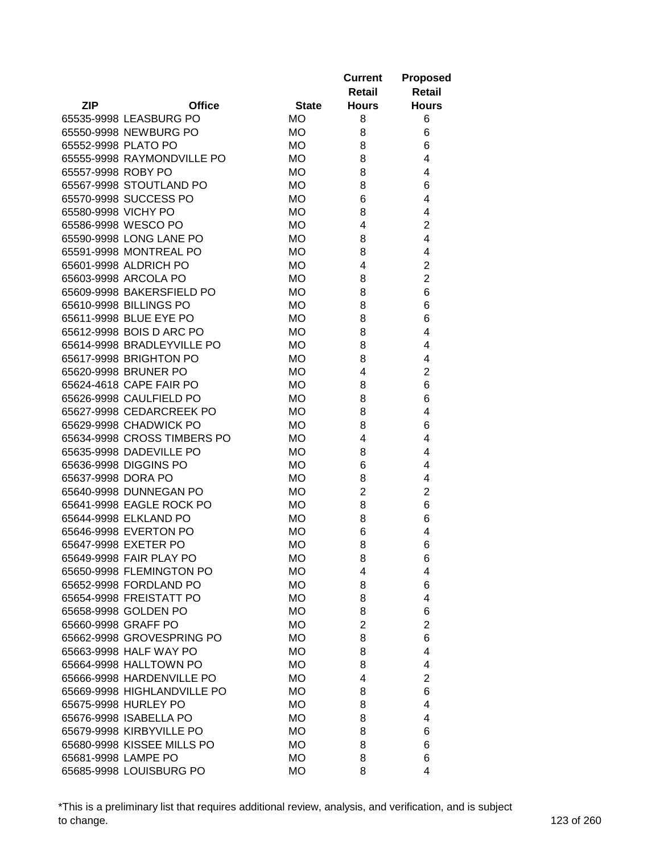|                     |                             |              | <b>Current</b><br>Retail | <b>Proposed</b><br><b>Retail</b> |
|---------------------|-----------------------------|--------------|--------------------------|----------------------------------|
| <b>ZIP</b>          | <b>Office</b>               | <b>State</b> | <b>Hours</b>             | <b>Hours</b>                     |
|                     | 65535-9998 LEASBURG PO      | МO           | 8                        | 6                                |
|                     | 65550-9998 NEWBURG PO       | МO           | 8                        | 6                                |
| 65552-9998 PLATO PO |                             | МO           | 8                        | 6                                |
|                     | 65555-9998 RAYMONDVILLE PO  | МO           | 8                        | 4                                |
| 65557-9998 ROBY PO  |                             | МO           | 8                        | 4                                |
|                     | 65567-9998 STOUTLAND PO     | МO           | 8                        | 6                                |
|                     | 65570-9998 SUCCESS PO       | МO           | 6                        | 4                                |
| 65580-9998 VICHY PO |                             | МO           | 8                        | 4                                |
|                     | 65586-9998 WESCO PO         | <b>MO</b>    | 4                        | $\overline{2}$                   |
|                     | 65590-9998 LONG LANE PO     | МO           | 8                        | 4                                |
|                     | 65591-9998 MONTREAL PO      | МO           | 8                        | 4                                |
|                     | 65601-9998 ALDRICH PO       | МO           | 4                        | $\overline{2}$                   |
|                     | 65603-9998 ARCOLA PO        | <b>MO</b>    | 8                        | $\overline{2}$                   |
|                     | 65609-9998 BAKERSFIELD PO   | МO           | 8                        | 6                                |
|                     | 65610-9998 BILLINGS PO      | МO           | 8                        | 6                                |
|                     | 65611-9998 BLUE EYE PO      | МO           | 8                        | 6                                |
|                     | 65612-9998 BOIS D ARC PO    | <b>MO</b>    | 8                        | 4                                |
|                     | 65614-9998 BRADLEYVILLE PO  | МO           | 8                        | 4                                |
|                     | 65617-9998 BRIGHTON PO      | МO           | 8                        | 4                                |
|                     | 65620-9998 BRUNER PO        | <b>MO</b>    | 4                        | $\overline{c}$                   |
|                     | 65624-4618 CAPE FAIR PO     | МO           | 8                        | 6                                |
|                     | 65626-9998 CAULFIELD PO     | МO           | 8                        | 6                                |
|                     | 65627-9998 CEDARCREEK PO    | МO           | 8                        | 4                                |
|                     | 65629-9998 CHADWICK PO      | МO           | 8                        | 6                                |
|                     | 65634-9998 CROSS TIMBERS PO | МO           | 4                        | 4                                |
|                     | 65635-9998 DADEVILLE PO     | МO           | 8                        | 4                                |
|                     | 65636-9998 DIGGINS PO       | МO           | 6                        | 4                                |
| 65637-9998 DORA PO  |                             | МO           | 8                        | 4                                |
|                     | 65640-9998 DUNNEGAN PO      | МO           | $\overline{2}$           | $\overline{2}$                   |
|                     | 65641-9998 EAGLE ROCK PO    | <b>MO</b>    | 8                        | 6                                |
|                     | 65644-9998 ELKLAND PO       | МO           | 8                        | 6                                |
|                     | 65646-9998 EVERTON PO       | <b>MO</b>    | 6                        | 4                                |
|                     | 65647-9998 EXETER PO        | <b>MO</b>    | 8                        | 6                                |
|                     | 65649-9998 FAIR PLAY PO     | МO           | 8                        | 6                                |
|                     | 65650-9998 FLEMINGTON PO    | МO           | 4                        | 4                                |
|                     | 65652-9998 FORDLAND PO      | МO           | 8                        | 6                                |
|                     | 65654-9998 FREISTATT PO     | МO           | 8                        | 4                                |
|                     | 65658-9998 GOLDEN PO        | МO           | 8                        | 6                                |
| 65660-9998 GRAFF PO |                             | МO           | $\overline{2}$           | $\overline{c}$                   |
|                     | 65662-9998 GROVESPRING PO   | МO           | 8                        | 6                                |
|                     | 65663-9998 HALF WAY PO      | МO           | 8                        | 4                                |
|                     | 65664-9998 HALLTOWN PO      | МO           | 8                        | 4                                |
|                     | 65666-9998 HARDENVILLE PO   | МO           | 4                        | 2                                |
|                     | 65669-9998 HIGHLANDVILLE PO | МO           | 8                        | 6                                |
|                     | 65675-9998 HURLEY PO        | МO           | 8                        | 4                                |
|                     | 65676-9998 ISABELLA PO      | МO           | 8                        | 4                                |
|                     | 65679-9998 KIRBYVILLE PO    | МO           | 8                        | 6                                |
|                     | 65680-9998 KISSEE MILLS PO  | МO           | 8                        | 6                                |
| 65681-9998 LAMPE PO |                             | МO           | 8                        | 6                                |
|                     | 65685-9998 LOUISBURG PO     | <b>MO</b>    | 8                        | 4                                |

\*This is a preliminary list that requires additional review, analysis, and verification, and is subject to change. 123 of 260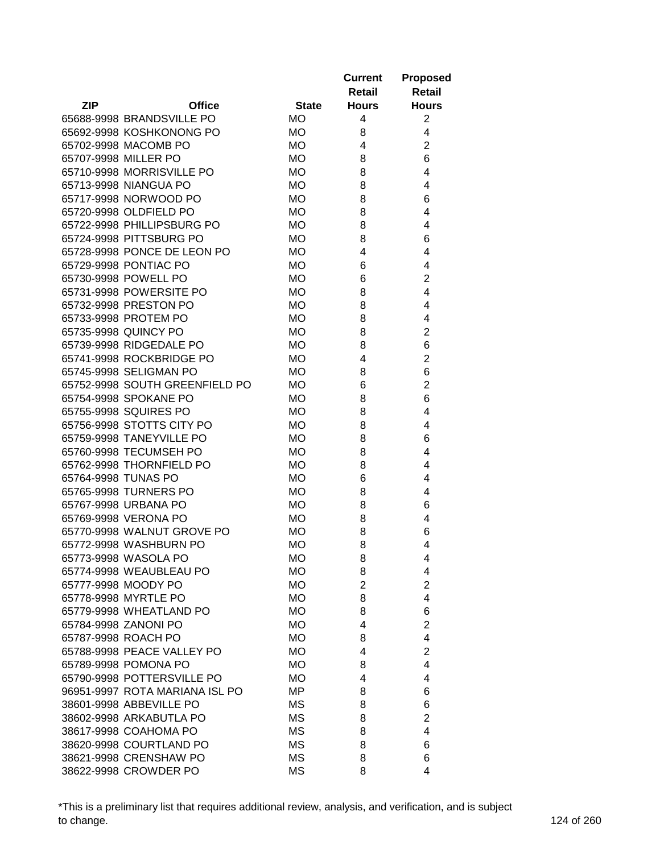|                                |              | <b>Current</b><br>Retail | <b>Proposed</b><br><b>Retail</b> |
|--------------------------------|--------------|--------------------------|----------------------------------|
| <b>ZIP</b><br><b>Office</b>    | <b>State</b> | <b>Hours</b>             | <b>Hours</b>                     |
| 65688-9998 BRANDSVILLE PO      | <b>MO</b>    | 4                        | $\overline{2}$                   |
| 65692-9998 KOSHKONONG PO       | <b>MO</b>    | 8                        | 4                                |
| 65702-9998 MACOMB PO           | <b>MO</b>    | 4                        | $\overline{2}$                   |
| 65707-9998 MILLER PO           | <b>MO</b>    | 8                        | 6                                |
| 65710-9998 MORRISVILLE PO      | МO           | 8                        | 4                                |
| 65713-9998 NIANGUA PO          | МO           | 8                        | 4                                |
| 65717-9998 NORWOOD PO          | МO           | 8                        | 6                                |
| 65720-9998 OLDFIELD PO         | <b>MO</b>    | 8                        | 4                                |
| 65722-9998 PHILLIPSBURG PO     | <b>MO</b>    | 8                        | 4                                |
| 65724-9998 PITTSBURG PO        | <b>MO</b>    | 8                        | 6                                |
| 65728-9998 PONCE DE LEON PO    | <b>MO</b>    | 4                        | 4                                |
| 65729-9998 PONTIAC PO          | МO           | 6                        | 4                                |
| 65730-9998 POWELL PO           | <b>MO</b>    | 6                        | $\overline{2}$                   |
| 65731-9998 POWERSITE PO        | <b>MO</b>    | 8                        | 4                                |
| 65732-9998 PRESTON PO          | МO           | 8                        | 4                                |
| 65733-9998 PROTEM PO           | МO           | 8                        | 4                                |
| 65735-9998 QUINCY PO           | <b>MO</b>    | 8                        | $\overline{2}$                   |
| 65739-9998 RIDGEDALE PO        | <b>MO</b>    | 8                        | 6                                |
| 65741-9998 ROCKBRIDGE PO       | <b>MO</b>    | 4                        | $\overline{2}$                   |
| 65745-9998 SELIGMAN PO         | <b>MO</b>    | 8                        | 6                                |
| 65752-9998 SOUTH GREENFIELD PO | МO           | 6                        | $\overline{2}$                   |
| 65754-9998 SPOKANE PO          | <b>MO</b>    | 8                        | 6                                |
| 65755-9998 SQUIRES PO          | <b>MO</b>    | 8                        | 4                                |
| 65756-9998 STOTTS CITY PO      | <b>MO</b>    | 8                        | 4                                |
| 65759-9998 TANEYVILLE PO       | <b>MO</b>    | 8                        | 6                                |
| 65760-9998 TECUMSEH PO         | <b>MO</b>    | 8                        | 4                                |
| 65762-9998 THORNFIELD PO       | <b>MO</b>    | 8                        | 4                                |
| 65764-9998 TUNAS PO            | <b>MO</b>    | 6                        | 4                                |
| 65765-9998 TURNERS PO          | <b>MO</b>    | 8                        | 4                                |
| 65767-9998 URBANA PO           | МO           | 8                        | 6                                |
| 65769-9998 VERONA PO           | <b>MO</b>    | 8                        | 4                                |
| 65770-9998 WALNUT GROVE PO     | <b>MO</b>    | 8                        | 6                                |
| 65772-9998 WASHBURN PO         | <b>MO</b>    | 8                        | 4                                |
| 65773-9998 WASOLA PO           | МO           | 8                        | 4                                |
| 65774-9998 WEAUBLEAU PO        | МO           | 8                        | 4                                |
| 65777-9998 MOODY PO            | МO           | $\overline{2}$           | $\overline{2}$                   |
| 65778-9998 MYRTLE PO           | МO           | 8                        | 4                                |
| 65779-9998 WHEATLAND PO        | МO           | 8                        | 6                                |
| 65784-9998 ZANONI PO           | <b>MO</b>    | 4                        | $\overline{2}$                   |
| 65787-9998 ROACH PO            | МO           | 8                        | 4                                |
| 65788-9998 PEACE VALLEY PO     | МO           | 4                        | $\overline{2}$                   |
| 65789-9998 POMONA PO           | МO           | 8                        | 4                                |
| 65790-9998 POTTERSVILLE PO     | МO           | 4                        | 4                                |
| 96951-9997 ROTA MARIANA ISL PO | MP           | 8                        | 6                                |
| 38601-9998 ABBEVILLE PO        | МS           | 8                        | 6                                |
| 38602-9998 ARKABUTLA PO        | МS           | 8                        | $\overline{2}$                   |
| 38617-9998 COAHOMA PO          | MS           | 8                        | 4                                |
| 38620-9998 COURTLAND PO        | MS           | 8                        | 6                                |
| 38621-9998 CRENSHAW PO         | MS           | 8                        | 6                                |
| 38622-9998 CROWDER PO          | <b>MS</b>    | 8                        | 4                                |

\*This is a preliminary list that requires additional review, analysis, and verification, and is subject to change. 124 of 260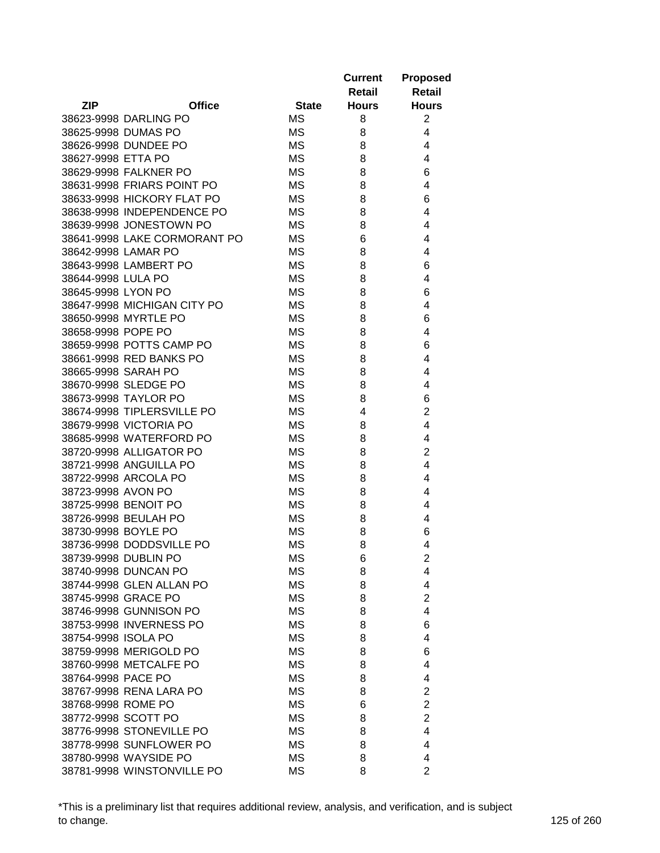|                     |                              |              | <b>Current</b><br>Retail | <b>Proposed</b><br>Retail |
|---------------------|------------------------------|--------------|--------------------------|---------------------------|
| <b>ZIP</b>          | <b>Office</b>                | <b>State</b> | <b>Hours</b>             | <b>Hours</b>              |
|                     | 38623-9998 DARLING PO        | МS           | 8                        | $\overline{2}$            |
|                     | 38625-9998 DUMAS PO          | МS           | 8                        | 4                         |
|                     | 38626-9998 DUNDEE PO         | МS           | 8                        | 4                         |
| 38627-9998 ETTA PO  |                              | <b>MS</b>    | 8                        | 4                         |
|                     | 38629-9998 FALKNER PO        | MS           | 8                        | 6                         |
|                     | 38631-9998 FRIARS POINT PO   | МS           | 8                        | 4                         |
|                     | 38633-9998 HICKORY FLAT PO   | MS           | 8                        | 6                         |
|                     | 38638-9998 INDEPENDENCE PO   | MS           | 8                        | 4                         |
|                     | 38639-9998 JONESTOWN PO      | <b>MS</b>    | 8                        | 4                         |
|                     | 38641-9998 LAKE CORMORANT PO | MS           | 6                        | 4                         |
| 38642-9998 LAMAR PO |                              | МS           | 8                        | 4                         |
|                     | 38643-9998 LAMBERT PO        | МS           | 8                        | 6                         |
| 38644-9998 LULA PO  |                              | <b>MS</b>    | 8                        | 4                         |
| 38645-9998 LYON PO  |                              | MS           | 8                        | 6                         |
|                     | 38647-9998 MICHIGAN CITY PO  | МS           | 8                        | 4                         |
|                     | 38650-9998 MYRTLE PO         | МS           | 8                        | 6                         |
| 38658-9998 POPE PO  |                              | <b>MS</b>    | 8                        | 4                         |
|                     | 38659-9998 POTTS CAMP PO     | <b>MS</b>    | 8                        | 6                         |
|                     | 38661-9998 RED BANKS PO      | <b>MS</b>    | 8                        | 4                         |
| 38665-9998 SARAH PO |                              | <b>MS</b>    | 8                        | 4                         |
|                     | 38670-9998 SLEDGE PO         | <b>MS</b>    | 8                        | 4                         |
|                     | 38673-9998 TAYLOR PO         | <b>MS</b>    | 8                        | 6                         |
|                     | 38674-9998 TIPLERSVILLE PO   | <b>MS</b>    | 4                        | $\overline{2}$            |
|                     | 38679-9998 VICTORIA PO       | МS           | 8                        | 4                         |
|                     | 38685-9998 WATERFORD PO      | <b>MS</b>    | 8                        | 4                         |
|                     | 38720-9998 ALLIGATOR PO      | МS           | 8                        | 2                         |
|                     | 38721-9998 ANGUILLA PO       | МS           | 8                        | 4                         |
|                     | 38722-9998 ARCOLA PO         | МS           | 8                        | 4                         |
| 38723-9998 AVON PO  |                              | МS           | 8                        | 4                         |
|                     | 38725-9998 BENOIT PO         | МS           | 8                        | 4                         |
|                     | 38726-9998 BEULAH PO         | MS           | 8                        | 4                         |
| 38730-9998 BOYLE PO |                              | МS           | 8                        | 6                         |
|                     | 38736-9998 DODDSVILLE PO     | <b>MS</b>    | 8                        | 4                         |
|                     | 38739-9998 DUBLIN PO         | ΜS           | 6                        | 2                         |
|                     | 38740-9998 DUNCAN PO         | MS           | 8                        | 4                         |
|                     | 38744-9998 GLEN ALLAN PO     | ΜS           | 8                        | 4                         |
|                     | 38745-9998 GRACE PO          | МS           | 8                        | $\overline{2}$            |
|                     | 38746-9998 GUNNISON PO       | <b>MS</b>    | 8                        | 4                         |
|                     | 38753-9998 INVERNESS PO      | <b>MS</b>    | 8                        | 6                         |
| 38754-9998 ISOLA PO |                              | MS           | 8                        | 4                         |
|                     | 38759-9998 MERIGOLD PO       | МS           | 8                        | 6                         |
|                     | 38760-9998 METCALFE PO       | <b>MS</b>    | 8                        | 4                         |
| 38764-9998 PACE PO  |                              | ΜS           | 8                        | 4                         |
|                     | 38767-9998 RENA LARA PO      | МS           | 8                        | $\overline{2}$            |
| 38768-9998 ROME PO  |                              | МS           | 6                        | $\overline{2}$            |
| 38772-9998 SCOTT PO |                              | MS           | 8                        | $\overline{2}$            |
|                     | 38776-9998 STONEVILLE PO     | <b>MS</b>    | 8                        | 4                         |
|                     | 38778-9998 SUNFLOWER PO      | MS           | 8                        | 4                         |
|                     | 38780-9998 WAYSIDE PO        | МS           | 8                        | 4                         |
|                     | 38781-9998 WINSTONVILLE PO   | <b>MS</b>    | 8                        | $\overline{2}$            |

\*This is a preliminary list that requires additional review, analysis, and verification, and is subject to change. 125 of 260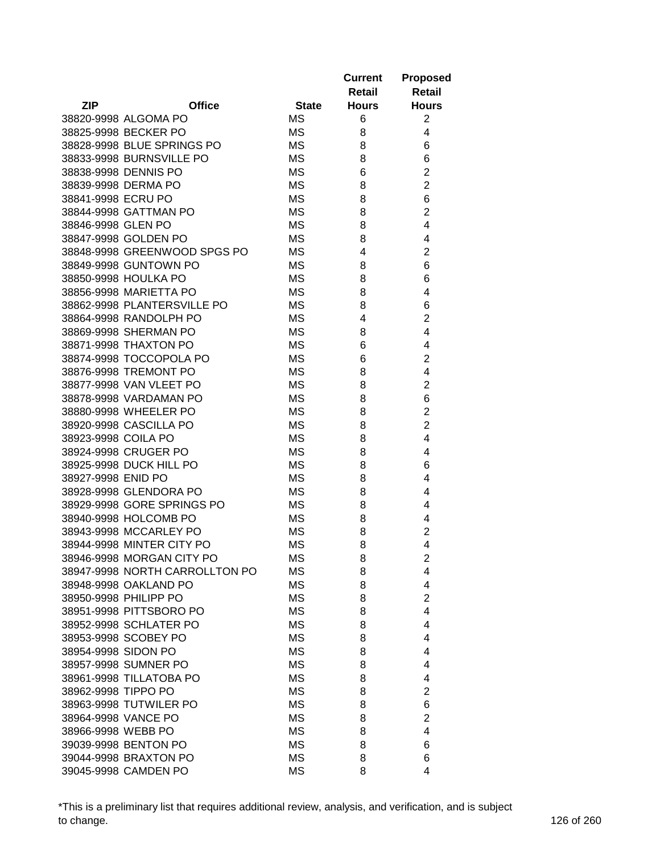|                     |                                |              | <b>Current</b><br>Retail | <b>Proposed</b><br>Retail |
|---------------------|--------------------------------|--------------|--------------------------|---------------------------|
| <b>ZIP</b>          | <b>Office</b>                  | <b>State</b> | <b>Hours</b>             | <b>Hours</b>              |
|                     | 38820-9998 ALGOMA PO           | МS           | 6                        | $\overline{2}$            |
|                     | 38825-9998 BECKER PO           | МS           | 8                        | 4                         |
|                     | 38828-9998 BLUE SPRINGS PO     | MS           | 8                        | 6                         |
|                     | 38833-9998 BURNSVILLE PO       | МS           | 8                        | 6                         |
|                     | 38838-9998 DENNIS PO           | МS           | 6                        | $\overline{2}$            |
|                     | 38839-9998 DERMA PO            | <b>MS</b>    | 8                        | $\overline{2}$            |
| 38841-9998 ECRU PO  |                                | МS           | 8                        | 6                         |
|                     | 38844-9998 GATTMAN PO          | МS           | 8                        | $\overline{2}$            |
| 38846-9998 GLEN PO  |                                | <b>MS</b>    | 8                        | 4                         |
|                     | 38847-9998 GOLDEN PO           | МS           | 8                        | 4                         |
|                     | 38848-9998 GREENWOOD SPGS PO   | МS           | 4                        | $\overline{2}$            |
|                     | 38849-9998 GUNTOWN PO          | МS           | 8                        | 6                         |
|                     | 38850-9998 HOULKA PO           |              |                          |                           |
|                     |                                | МS           | 8                        | 6                         |
|                     | 38856-9998 MARIETTA PO         | МS           | 8                        | 4                         |
|                     | 38862-9998 PLANTERSVILLE PO    | МS           | 8                        | 6                         |
|                     | 38864-9998 RANDOLPH PO         | МS           | 4                        | $\overline{2}$            |
|                     | 38869-9998 SHERMAN PO          | <b>MS</b>    | 8                        | 4                         |
|                     | 38871-9998 THAXTON PO          | <b>MS</b>    | 6                        | 4                         |
|                     | 38874-9998 TOCCOPOLA PO        | <b>MS</b>    | 6                        | $\overline{2}$            |
|                     | 38876-9998 TREMONT PO          | <b>MS</b>    | 8                        | 4                         |
|                     | 38877-9998 VAN VLEET PO        | <b>MS</b>    | 8                        | $\overline{2}$            |
|                     | 38878-9998 VARDAMAN PO         | <b>MS</b>    | 8                        | 6                         |
|                     | 38880-9998 WHEELER PO          | МS           | 8                        | $\overline{2}$            |
|                     | 38920-9998 CASCILLA PO         | МS           | 8                        | $\overline{2}$            |
| 38923-9998 COILA PO |                                | <b>MS</b>    | 8                        | 4                         |
|                     | 38924-9998 CRUGER PO           | МS           | 8                        | 4                         |
|                     | 38925-9998 DUCK HILL PO        | МS           | 8                        | 6                         |
| 38927-9998 ENID PO  |                                | МS           | 8                        | 4                         |
|                     | 38928-9998 GLENDORA PO         | МS           | 8                        | 4                         |
|                     | 38929-9998 GORE SPRINGS PO     | МS           | 8                        | 4                         |
|                     | 38940-9998 HOLCOMB PO          | МS           | 8                        | 4                         |
|                     | 38943-9998 MCCARLEY PO         | МS           | 8                        | $\overline{2}$            |
|                     | 38944-9998 MINTER CITY PO      | <b>MS</b>    | 8                        | 4                         |
|                     | 38946-9998 MORGAN CITY PO      | ΜS           | 8                        | 2                         |
|                     | 38947-9998 NORTH CARROLLTON PO | ΜS           | 8                        | 4                         |
|                     | 38948-9998 OAKLAND PO          | ΜS           | 8                        | 4                         |
|                     | 38950-9998 PHILIPP PO          | МS           | 8                        | $\overline{2}$            |
|                     | 38951-9998 PITTSBORO PO        | <b>MS</b>    | 8                        | 4                         |
|                     | 38952-9998 SCHLATER PO         | <b>MS</b>    | 8                        | 4                         |
|                     | 38953-9998 SCOBEY PO           | <b>MS</b>    | 8                        | 4                         |
| 38954-9998 SIDON PO |                                | МS           | 8                        | 4                         |
|                     | 38957-9998 SUMNER PO           | <b>MS</b>    | 8                        | 4                         |
|                     | 38961-9998 TILLATOBA PO        | МS           | 8                        | 4                         |
| 38962-9998 TIPPO PO |                                | МS           | 8                        | 2                         |
|                     | 38963-9998 TUTWILER PO         | МS           | 8                        | 6                         |
| 38964-9998 VANCE PO |                                | MS           | 8                        | $\overline{2}$            |
| 38966-9998 WEBB PO  |                                | MS           | 8                        | 4                         |
|                     | 39039-9998 BENTON PO           | MS           | 8                        | 6                         |
|                     | 39044-9998 BRAXTON PO          | MS           | 8                        | 6                         |
|                     | 39045-9998 CAMDEN PO           | <b>MS</b>    | 8                        | 4                         |
|                     |                                |              |                          |                           |

\*This is a preliminary list that requires additional review, analysis, and verification, and is subject to change. 126 of 260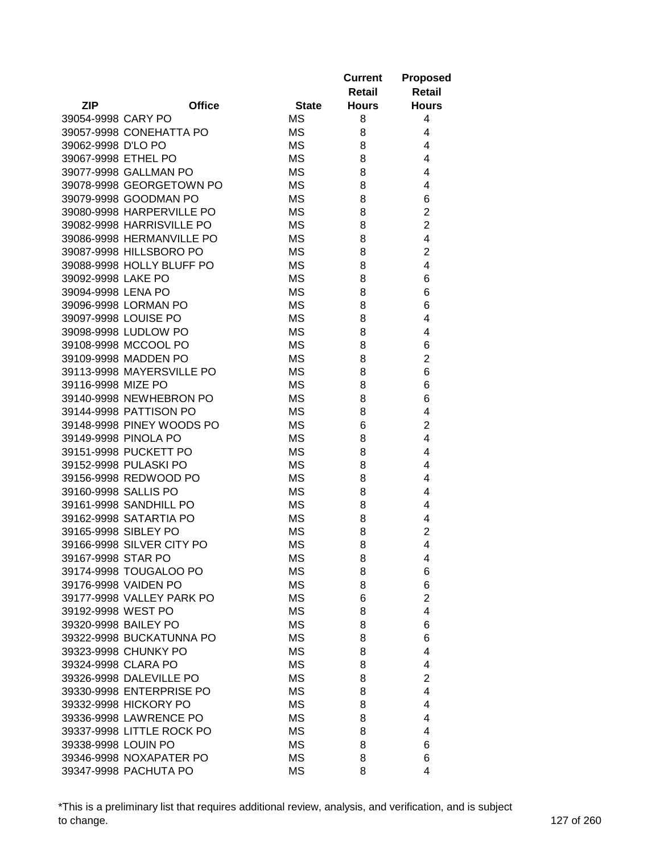| <b>Retail</b><br>Retail<br><b>ZIP</b><br><b>Office</b><br><b>State</b><br><b>Hours</b><br><b>Hours</b><br><b>MS</b><br>39054-9998 CARY PO<br>8<br>4<br><b>MS</b><br>39057-9998 CONEHATTA PO<br>8<br>4<br>39062-9998 D'LO PO<br><b>MS</b><br>4<br>8<br>39067-9998 ETHEL PO<br><b>MS</b><br>8<br>4<br>39077-9998 GALLMAN PO<br><b>MS</b><br>8<br>4<br>39078-9998 GEORGETOWN PO<br>МS<br>8<br>4<br>6<br>39079-9998 GOODMAN PO<br>MS<br>8<br>$\overline{2}$<br>8<br>39080-9998 HARPERVILLE PO<br>MS<br>$\overline{2}$<br>39082-9998 HARRISVILLE PO<br>МS<br>8<br>4<br>MS<br>39086-9998 HERMANVILLE PO<br>8<br>39087-9998 HILLSBORO PO<br>$\overline{c}$<br>MS<br>8<br>39088-9998 HOLLY BLUFF PO<br>4<br>MS<br>8<br><b>MS</b><br>6<br>39092-9998 LAKE PO<br>8<br><b>MS</b><br>8<br>6<br>39094-9998 LENA PO<br><b>MS</b><br>6<br>39096-9998 LORMAN PO<br>8<br>39097-9998 LOUISE PO<br><b>MS</b><br>8<br>4<br>39098-9998 LUDLOW PO<br><b>MS</b><br>4<br>8<br>39108-9998 MCCOOL PO<br><b>MS</b><br>8<br>6<br>$\overline{2}$<br><b>MS</b><br>39109-9998 MADDEN PO<br>8<br>6<br><b>MS</b><br>8<br>39113-9998 MAYERSVILLE PO<br>39116-9998 MIZE PO<br>8<br>6<br>МS<br>39140-9998 NEWHEBRON PO<br><b>MS</b><br>8<br>6<br>39144-9998 PATTISON PO<br>4<br>MS<br>8<br>$\overline{2}$<br>39148-9998 PINEY WOODS PO<br>MS<br>6<br>39149-9998 PINOLA PO<br>4<br>МS<br>8<br>39151-9998 PUCKETT PO<br>MS<br>4<br>8<br><b>MS</b><br>39152-9998 PULASKI PO<br>8<br>4<br>39156-9998 REDWOOD PO<br>4<br>МS<br>8<br>39160-9998 SALLIS PO<br>MS<br>8<br>4<br>39161-9998 SANDHILL PO<br><b>MS</b><br>4<br>8<br>39162-9998 SATARTIA PO<br><b>MS</b><br>8<br>4<br>$\overline{2}$<br>39165-9998 SIBLEY PO<br><b>MS</b><br>8<br>39166-9998 SILVER CITY PO<br><b>MS</b><br>8<br>4<br>39167-9998 STAR PO<br><b>MS</b><br>8<br>4<br>39174-9998 TOUGALOO PO<br>ΜS<br>8<br>6<br><b>MS</b><br>6<br>39176-9998 VAIDEN PO<br>8<br>$\overline{2}$<br>39177-9998 VALLEY PARK PO<br>MS<br>6<br>4<br>39192-9998 WEST PO<br>МS<br>8<br><b>MS</b><br>6<br>39320-9998 BAILEY PO<br>8<br>39322-9998 BUCKATUNNA PO<br>MS<br>8<br>6<br>39323-9998 CHUNKY PO<br>MS<br>8<br>4<br>39324-9998 CLARA PO<br>МS<br>8<br>4<br>39326-9998 DALEVILLE PO<br>$\overline{2}$<br>MS<br>8<br>39330-9998 ENTERPRISE PO<br>4<br>MS<br>8<br>39332-9998 HICKORY PO<br>MS<br>8<br>4<br>39336-9998 LAWRENCE PO<br>МS<br>8<br>4<br>39337-9998 LITTLE ROCK PO<br><b>MS</b><br>8<br>4<br>39338-9998 LOUIN PO<br><b>MS</b><br>6<br>8<br>39346-9998 NOXAPATER PO<br>MS<br>8<br>6<br>4<br>39347-9998 PACHUTA PO |  |           | <b>Current</b> | <b>Proposed</b> |
|-------------------------------------------------------------------------------------------------------------------------------------------------------------------------------------------------------------------------------------------------------------------------------------------------------------------------------------------------------------------------------------------------------------------------------------------------------------------------------------------------------------------------------------------------------------------------------------------------------------------------------------------------------------------------------------------------------------------------------------------------------------------------------------------------------------------------------------------------------------------------------------------------------------------------------------------------------------------------------------------------------------------------------------------------------------------------------------------------------------------------------------------------------------------------------------------------------------------------------------------------------------------------------------------------------------------------------------------------------------------------------------------------------------------------------------------------------------------------------------------------------------------------------------------------------------------------------------------------------------------------------------------------------------------------------------------------------------------------------------------------------------------------------------------------------------------------------------------------------------------------------------------------------------------------------------------------------------------------------------------------------------------------------------------------------------------------------------------------------------------------------------------------------------------------------------------------------------------------------------------------------------------------------------------------------------------------------------------------------------------------------------------------------------------------------------------------------------------------------------------------------------------------------------|--|-----------|----------------|-----------------|
|                                                                                                                                                                                                                                                                                                                                                                                                                                                                                                                                                                                                                                                                                                                                                                                                                                                                                                                                                                                                                                                                                                                                                                                                                                                                                                                                                                                                                                                                                                                                                                                                                                                                                                                                                                                                                                                                                                                                                                                                                                                                                                                                                                                                                                                                                                                                                                                                                                                                                                                                     |  |           |                |                 |
|                                                                                                                                                                                                                                                                                                                                                                                                                                                                                                                                                                                                                                                                                                                                                                                                                                                                                                                                                                                                                                                                                                                                                                                                                                                                                                                                                                                                                                                                                                                                                                                                                                                                                                                                                                                                                                                                                                                                                                                                                                                                                                                                                                                                                                                                                                                                                                                                                                                                                                                                     |  |           |                |                 |
|                                                                                                                                                                                                                                                                                                                                                                                                                                                                                                                                                                                                                                                                                                                                                                                                                                                                                                                                                                                                                                                                                                                                                                                                                                                                                                                                                                                                                                                                                                                                                                                                                                                                                                                                                                                                                                                                                                                                                                                                                                                                                                                                                                                                                                                                                                                                                                                                                                                                                                                                     |  |           |                |                 |
|                                                                                                                                                                                                                                                                                                                                                                                                                                                                                                                                                                                                                                                                                                                                                                                                                                                                                                                                                                                                                                                                                                                                                                                                                                                                                                                                                                                                                                                                                                                                                                                                                                                                                                                                                                                                                                                                                                                                                                                                                                                                                                                                                                                                                                                                                                                                                                                                                                                                                                                                     |  |           |                |                 |
|                                                                                                                                                                                                                                                                                                                                                                                                                                                                                                                                                                                                                                                                                                                                                                                                                                                                                                                                                                                                                                                                                                                                                                                                                                                                                                                                                                                                                                                                                                                                                                                                                                                                                                                                                                                                                                                                                                                                                                                                                                                                                                                                                                                                                                                                                                                                                                                                                                                                                                                                     |  |           |                |                 |
|                                                                                                                                                                                                                                                                                                                                                                                                                                                                                                                                                                                                                                                                                                                                                                                                                                                                                                                                                                                                                                                                                                                                                                                                                                                                                                                                                                                                                                                                                                                                                                                                                                                                                                                                                                                                                                                                                                                                                                                                                                                                                                                                                                                                                                                                                                                                                                                                                                                                                                                                     |  |           |                |                 |
|                                                                                                                                                                                                                                                                                                                                                                                                                                                                                                                                                                                                                                                                                                                                                                                                                                                                                                                                                                                                                                                                                                                                                                                                                                                                                                                                                                                                                                                                                                                                                                                                                                                                                                                                                                                                                                                                                                                                                                                                                                                                                                                                                                                                                                                                                                                                                                                                                                                                                                                                     |  |           |                |                 |
|                                                                                                                                                                                                                                                                                                                                                                                                                                                                                                                                                                                                                                                                                                                                                                                                                                                                                                                                                                                                                                                                                                                                                                                                                                                                                                                                                                                                                                                                                                                                                                                                                                                                                                                                                                                                                                                                                                                                                                                                                                                                                                                                                                                                                                                                                                                                                                                                                                                                                                                                     |  |           |                |                 |
|                                                                                                                                                                                                                                                                                                                                                                                                                                                                                                                                                                                                                                                                                                                                                                                                                                                                                                                                                                                                                                                                                                                                                                                                                                                                                                                                                                                                                                                                                                                                                                                                                                                                                                                                                                                                                                                                                                                                                                                                                                                                                                                                                                                                                                                                                                                                                                                                                                                                                                                                     |  |           |                |                 |
|                                                                                                                                                                                                                                                                                                                                                                                                                                                                                                                                                                                                                                                                                                                                                                                                                                                                                                                                                                                                                                                                                                                                                                                                                                                                                                                                                                                                                                                                                                                                                                                                                                                                                                                                                                                                                                                                                                                                                                                                                                                                                                                                                                                                                                                                                                                                                                                                                                                                                                                                     |  |           |                |                 |
|                                                                                                                                                                                                                                                                                                                                                                                                                                                                                                                                                                                                                                                                                                                                                                                                                                                                                                                                                                                                                                                                                                                                                                                                                                                                                                                                                                                                                                                                                                                                                                                                                                                                                                                                                                                                                                                                                                                                                                                                                                                                                                                                                                                                                                                                                                                                                                                                                                                                                                                                     |  |           |                |                 |
|                                                                                                                                                                                                                                                                                                                                                                                                                                                                                                                                                                                                                                                                                                                                                                                                                                                                                                                                                                                                                                                                                                                                                                                                                                                                                                                                                                                                                                                                                                                                                                                                                                                                                                                                                                                                                                                                                                                                                                                                                                                                                                                                                                                                                                                                                                                                                                                                                                                                                                                                     |  |           |                |                 |
|                                                                                                                                                                                                                                                                                                                                                                                                                                                                                                                                                                                                                                                                                                                                                                                                                                                                                                                                                                                                                                                                                                                                                                                                                                                                                                                                                                                                                                                                                                                                                                                                                                                                                                                                                                                                                                                                                                                                                                                                                                                                                                                                                                                                                                                                                                                                                                                                                                                                                                                                     |  |           |                |                 |
|                                                                                                                                                                                                                                                                                                                                                                                                                                                                                                                                                                                                                                                                                                                                                                                                                                                                                                                                                                                                                                                                                                                                                                                                                                                                                                                                                                                                                                                                                                                                                                                                                                                                                                                                                                                                                                                                                                                                                                                                                                                                                                                                                                                                                                                                                                                                                                                                                                                                                                                                     |  |           |                |                 |
|                                                                                                                                                                                                                                                                                                                                                                                                                                                                                                                                                                                                                                                                                                                                                                                                                                                                                                                                                                                                                                                                                                                                                                                                                                                                                                                                                                                                                                                                                                                                                                                                                                                                                                                                                                                                                                                                                                                                                                                                                                                                                                                                                                                                                                                                                                                                                                                                                                                                                                                                     |  |           |                |                 |
|                                                                                                                                                                                                                                                                                                                                                                                                                                                                                                                                                                                                                                                                                                                                                                                                                                                                                                                                                                                                                                                                                                                                                                                                                                                                                                                                                                                                                                                                                                                                                                                                                                                                                                                                                                                                                                                                                                                                                                                                                                                                                                                                                                                                                                                                                                                                                                                                                                                                                                                                     |  |           |                |                 |
|                                                                                                                                                                                                                                                                                                                                                                                                                                                                                                                                                                                                                                                                                                                                                                                                                                                                                                                                                                                                                                                                                                                                                                                                                                                                                                                                                                                                                                                                                                                                                                                                                                                                                                                                                                                                                                                                                                                                                                                                                                                                                                                                                                                                                                                                                                                                                                                                                                                                                                                                     |  |           |                |                 |
|                                                                                                                                                                                                                                                                                                                                                                                                                                                                                                                                                                                                                                                                                                                                                                                                                                                                                                                                                                                                                                                                                                                                                                                                                                                                                                                                                                                                                                                                                                                                                                                                                                                                                                                                                                                                                                                                                                                                                                                                                                                                                                                                                                                                                                                                                                                                                                                                                                                                                                                                     |  |           |                |                 |
|                                                                                                                                                                                                                                                                                                                                                                                                                                                                                                                                                                                                                                                                                                                                                                                                                                                                                                                                                                                                                                                                                                                                                                                                                                                                                                                                                                                                                                                                                                                                                                                                                                                                                                                                                                                                                                                                                                                                                                                                                                                                                                                                                                                                                                                                                                                                                                                                                                                                                                                                     |  |           |                |                 |
|                                                                                                                                                                                                                                                                                                                                                                                                                                                                                                                                                                                                                                                                                                                                                                                                                                                                                                                                                                                                                                                                                                                                                                                                                                                                                                                                                                                                                                                                                                                                                                                                                                                                                                                                                                                                                                                                                                                                                                                                                                                                                                                                                                                                                                                                                                                                                                                                                                                                                                                                     |  |           |                |                 |
|                                                                                                                                                                                                                                                                                                                                                                                                                                                                                                                                                                                                                                                                                                                                                                                                                                                                                                                                                                                                                                                                                                                                                                                                                                                                                                                                                                                                                                                                                                                                                                                                                                                                                                                                                                                                                                                                                                                                                                                                                                                                                                                                                                                                                                                                                                                                                                                                                                                                                                                                     |  |           |                |                 |
|                                                                                                                                                                                                                                                                                                                                                                                                                                                                                                                                                                                                                                                                                                                                                                                                                                                                                                                                                                                                                                                                                                                                                                                                                                                                                                                                                                                                                                                                                                                                                                                                                                                                                                                                                                                                                                                                                                                                                                                                                                                                                                                                                                                                                                                                                                                                                                                                                                                                                                                                     |  |           |                |                 |
|                                                                                                                                                                                                                                                                                                                                                                                                                                                                                                                                                                                                                                                                                                                                                                                                                                                                                                                                                                                                                                                                                                                                                                                                                                                                                                                                                                                                                                                                                                                                                                                                                                                                                                                                                                                                                                                                                                                                                                                                                                                                                                                                                                                                                                                                                                                                                                                                                                                                                                                                     |  |           |                |                 |
|                                                                                                                                                                                                                                                                                                                                                                                                                                                                                                                                                                                                                                                                                                                                                                                                                                                                                                                                                                                                                                                                                                                                                                                                                                                                                                                                                                                                                                                                                                                                                                                                                                                                                                                                                                                                                                                                                                                                                                                                                                                                                                                                                                                                                                                                                                                                                                                                                                                                                                                                     |  |           |                |                 |
|                                                                                                                                                                                                                                                                                                                                                                                                                                                                                                                                                                                                                                                                                                                                                                                                                                                                                                                                                                                                                                                                                                                                                                                                                                                                                                                                                                                                                                                                                                                                                                                                                                                                                                                                                                                                                                                                                                                                                                                                                                                                                                                                                                                                                                                                                                                                                                                                                                                                                                                                     |  |           |                |                 |
|                                                                                                                                                                                                                                                                                                                                                                                                                                                                                                                                                                                                                                                                                                                                                                                                                                                                                                                                                                                                                                                                                                                                                                                                                                                                                                                                                                                                                                                                                                                                                                                                                                                                                                                                                                                                                                                                                                                                                                                                                                                                                                                                                                                                                                                                                                                                                                                                                                                                                                                                     |  |           |                |                 |
|                                                                                                                                                                                                                                                                                                                                                                                                                                                                                                                                                                                                                                                                                                                                                                                                                                                                                                                                                                                                                                                                                                                                                                                                                                                                                                                                                                                                                                                                                                                                                                                                                                                                                                                                                                                                                                                                                                                                                                                                                                                                                                                                                                                                                                                                                                                                                                                                                                                                                                                                     |  |           |                |                 |
|                                                                                                                                                                                                                                                                                                                                                                                                                                                                                                                                                                                                                                                                                                                                                                                                                                                                                                                                                                                                                                                                                                                                                                                                                                                                                                                                                                                                                                                                                                                                                                                                                                                                                                                                                                                                                                                                                                                                                                                                                                                                                                                                                                                                                                                                                                                                                                                                                                                                                                                                     |  |           |                |                 |
|                                                                                                                                                                                                                                                                                                                                                                                                                                                                                                                                                                                                                                                                                                                                                                                                                                                                                                                                                                                                                                                                                                                                                                                                                                                                                                                                                                                                                                                                                                                                                                                                                                                                                                                                                                                                                                                                                                                                                                                                                                                                                                                                                                                                                                                                                                                                                                                                                                                                                                                                     |  |           |                |                 |
|                                                                                                                                                                                                                                                                                                                                                                                                                                                                                                                                                                                                                                                                                                                                                                                                                                                                                                                                                                                                                                                                                                                                                                                                                                                                                                                                                                                                                                                                                                                                                                                                                                                                                                                                                                                                                                                                                                                                                                                                                                                                                                                                                                                                                                                                                                                                                                                                                                                                                                                                     |  |           |                |                 |
|                                                                                                                                                                                                                                                                                                                                                                                                                                                                                                                                                                                                                                                                                                                                                                                                                                                                                                                                                                                                                                                                                                                                                                                                                                                                                                                                                                                                                                                                                                                                                                                                                                                                                                                                                                                                                                                                                                                                                                                                                                                                                                                                                                                                                                                                                                                                                                                                                                                                                                                                     |  |           |                |                 |
|                                                                                                                                                                                                                                                                                                                                                                                                                                                                                                                                                                                                                                                                                                                                                                                                                                                                                                                                                                                                                                                                                                                                                                                                                                                                                                                                                                                                                                                                                                                                                                                                                                                                                                                                                                                                                                                                                                                                                                                                                                                                                                                                                                                                                                                                                                                                                                                                                                                                                                                                     |  |           |                |                 |
|                                                                                                                                                                                                                                                                                                                                                                                                                                                                                                                                                                                                                                                                                                                                                                                                                                                                                                                                                                                                                                                                                                                                                                                                                                                                                                                                                                                                                                                                                                                                                                                                                                                                                                                                                                                                                                                                                                                                                                                                                                                                                                                                                                                                                                                                                                                                                                                                                                                                                                                                     |  |           |                |                 |
|                                                                                                                                                                                                                                                                                                                                                                                                                                                                                                                                                                                                                                                                                                                                                                                                                                                                                                                                                                                                                                                                                                                                                                                                                                                                                                                                                                                                                                                                                                                                                                                                                                                                                                                                                                                                                                                                                                                                                                                                                                                                                                                                                                                                                                                                                                                                                                                                                                                                                                                                     |  |           |                |                 |
|                                                                                                                                                                                                                                                                                                                                                                                                                                                                                                                                                                                                                                                                                                                                                                                                                                                                                                                                                                                                                                                                                                                                                                                                                                                                                                                                                                                                                                                                                                                                                                                                                                                                                                                                                                                                                                                                                                                                                                                                                                                                                                                                                                                                                                                                                                                                                                                                                                                                                                                                     |  |           |                |                 |
|                                                                                                                                                                                                                                                                                                                                                                                                                                                                                                                                                                                                                                                                                                                                                                                                                                                                                                                                                                                                                                                                                                                                                                                                                                                                                                                                                                                                                                                                                                                                                                                                                                                                                                                                                                                                                                                                                                                                                                                                                                                                                                                                                                                                                                                                                                                                                                                                                                                                                                                                     |  |           |                |                 |
|                                                                                                                                                                                                                                                                                                                                                                                                                                                                                                                                                                                                                                                                                                                                                                                                                                                                                                                                                                                                                                                                                                                                                                                                                                                                                                                                                                                                                                                                                                                                                                                                                                                                                                                                                                                                                                                                                                                                                                                                                                                                                                                                                                                                                                                                                                                                                                                                                                                                                                                                     |  |           |                |                 |
|                                                                                                                                                                                                                                                                                                                                                                                                                                                                                                                                                                                                                                                                                                                                                                                                                                                                                                                                                                                                                                                                                                                                                                                                                                                                                                                                                                                                                                                                                                                                                                                                                                                                                                                                                                                                                                                                                                                                                                                                                                                                                                                                                                                                                                                                                                                                                                                                                                                                                                                                     |  |           |                |                 |
|                                                                                                                                                                                                                                                                                                                                                                                                                                                                                                                                                                                                                                                                                                                                                                                                                                                                                                                                                                                                                                                                                                                                                                                                                                                                                                                                                                                                                                                                                                                                                                                                                                                                                                                                                                                                                                                                                                                                                                                                                                                                                                                                                                                                                                                                                                                                                                                                                                                                                                                                     |  |           |                |                 |
|                                                                                                                                                                                                                                                                                                                                                                                                                                                                                                                                                                                                                                                                                                                                                                                                                                                                                                                                                                                                                                                                                                                                                                                                                                                                                                                                                                                                                                                                                                                                                                                                                                                                                                                                                                                                                                                                                                                                                                                                                                                                                                                                                                                                                                                                                                                                                                                                                                                                                                                                     |  |           |                |                 |
|                                                                                                                                                                                                                                                                                                                                                                                                                                                                                                                                                                                                                                                                                                                                                                                                                                                                                                                                                                                                                                                                                                                                                                                                                                                                                                                                                                                                                                                                                                                                                                                                                                                                                                                                                                                                                                                                                                                                                                                                                                                                                                                                                                                                                                                                                                                                                                                                                                                                                                                                     |  |           |                |                 |
|                                                                                                                                                                                                                                                                                                                                                                                                                                                                                                                                                                                                                                                                                                                                                                                                                                                                                                                                                                                                                                                                                                                                                                                                                                                                                                                                                                                                                                                                                                                                                                                                                                                                                                                                                                                                                                                                                                                                                                                                                                                                                                                                                                                                                                                                                                                                                                                                                                                                                                                                     |  |           |                |                 |
|                                                                                                                                                                                                                                                                                                                                                                                                                                                                                                                                                                                                                                                                                                                                                                                                                                                                                                                                                                                                                                                                                                                                                                                                                                                                                                                                                                                                                                                                                                                                                                                                                                                                                                                                                                                                                                                                                                                                                                                                                                                                                                                                                                                                                                                                                                                                                                                                                                                                                                                                     |  |           |                |                 |
|                                                                                                                                                                                                                                                                                                                                                                                                                                                                                                                                                                                                                                                                                                                                                                                                                                                                                                                                                                                                                                                                                                                                                                                                                                                                                                                                                                                                                                                                                                                                                                                                                                                                                                                                                                                                                                                                                                                                                                                                                                                                                                                                                                                                                                                                                                                                                                                                                                                                                                                                     |  |           |                |                 |
|                                                                                                                                                                                                                                                                                                                                                                                                                                                                                                                                                                                                                                                                                                                                                                                                                                                                                                                                                                                                                                                                                                                                                                                                                                                                                                                                                                                                                                                                                                                                                                                                                                                                                                                                                                                                                                                                                                                                                                                                                                                                                                                                                                                                                                                                                                                                                                                                                                                                                                                                     |  |           |                |                 |
|                                                                                                                                                                                                                                                                                                                                                                                                                                                                                                                                                                                                                                                                                                                                                                                                                                                                                                                                                                                                                                                                                                                                                                                                                                                                                                                                                                                                                                                                                                                                                                                                                                                                                                                                                                                                                                                                                                                                                                                                                                                                                                                                                                                                                                                                                                                                                                                                                                                                                                                                     |  |           |                |                 |
|                                                                                                                                                                                                                                                                                                                                                                                                                                                                                                                                                                                                                                                                                                                                                                                                                                                                                                                                                                                                                                                                                                                                                                                                                                                                                                                                                                                                                                                                                                                                                                                                                                                                                                                                                                                                                                                                                                                                                                                                                                                                                                                                                                                                                                                                                                                                                                                                                                                                                                                                     |  |           |                |                 |
|                                                                                                                                                                                                                                                                                                                                                                                                                                                                                                                                                                                                                                                                                                                                                                                                                                                                                                                                                                                                                                                                                                                                                                                                                                                                                                                                                                                                                                                                                                                                                                                                                                                                                                                                                                                                                                                                                                                                                                                                                                                                                                                                                                                                                                                                                                                                                                                                                                                                                                                                     |  |           |                |                 |
|                                                                                                                                                                                                                                                                                                                                                                                                                                                                                                                                                                                                                                                                                                                                                                                                                                                                                                                                                                                                                                                                                                                                                                                                                                                                                                                                                                                                                                                                                                                                                                                                                                                                                                                                                                                                                                                                                                                                                                                                                                                                                                                                                                                                                                                                                                                                                                                                                                                                                                                                     |  |           |                |                 |
|                                                                                                                                                                                                                                                                                                                                                                                                                                                                                                                                                                                                                                                                                                                                                                                                                                                                                                                                                                                                                                                                                                                                                                                                                                                                                                                                                                                                                                                                                                                                                                                                                                                                                                                                                                                                                                                                                                                                                                                                                                                                                                                                                                                                                                                                                                                                                                                                                                                                                                                                     |  |           |                |                 |
|                                                                                                                                                                                                                                                                                                                                                                                                                                                                                                                                                                                                                                                                                                                                                                                                                                                                                                                                                                                                                                                                                                                                                                                                                                                                                                                                                                                                                                                                                                                                                                                                                                                                                                                                                                                                                                                                                                                                                                                                                                                                                                                                                                                                                                                                                                                                                                                                                                                                                                                                     |  |           |                |                 |
|                                                                                                                                                                                                                                                                                                                                                                                                                                                                                                                                                                                                                                                                                                                                                                                                                                                                                                                                                                                                                                                                                                                                                                                                                                                                                                                                                                                                                                                                                                                                                                                                                                                                                                                                                                                                                                                                                                                                                                                                                                                                                                                                                                                                                                                                                                                                                                                                                                                                                                                                     |  |           |                |                 |
|                                                                                                                                                                                                                                                                                                                                                                                                                                                                                                                                                                                                                                                                                                                                                                                                                                                                                                                                                                                                                                                                                                                                                                                                                                                                                                                                                                                                                                                                                                                                                                                                                                                                                                                                                                                                                                                                                                                                                                                                                                                                                                                                                                                                                                                                                                                                                                                                                                                                                                                                     |  | <b>MS</b> | 8              |                 |

\*This is a preliminary list that requires additional review, analysis, and verification, and is subject to change. 127 of 260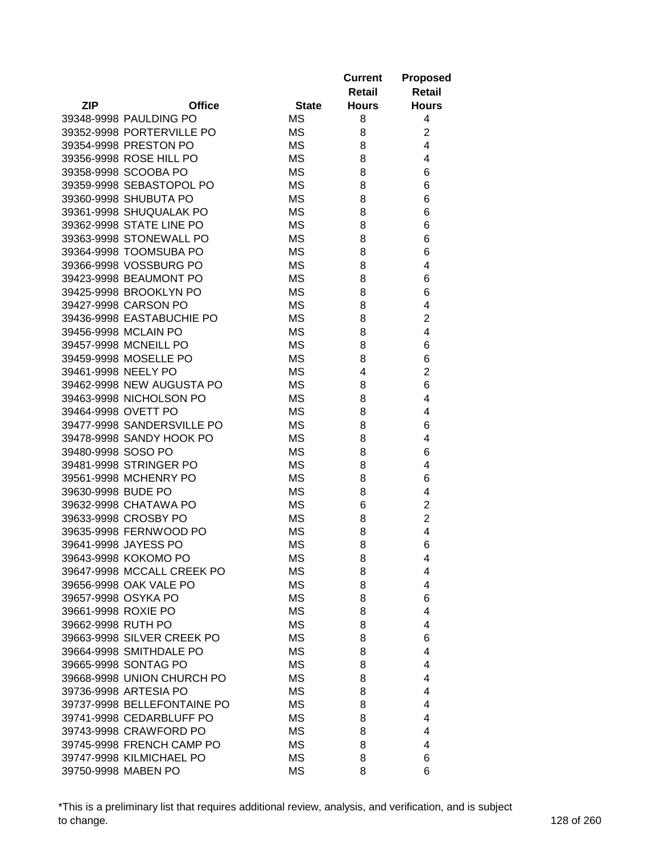|                     |                             |              | <b>Current</b><br>Retail | <b>Proposed</b><br><b>Retail</b> |
|---------------------|-----------------------------|--------------|--------------------------|----------------------------------|
| <b>ZIP</b>          | <b>Office</b>               | <b>State</b> | <b>Hours</b>             | <b>Hours</b>                     |
|                     | 39348-9998 PAULDING PO      | МS           | 8                        | 4                                |
|                     | 39352-9998 PORTERVILLE PO   | МS           | 8                        | $\overline{2}$                   |
|                     | 39354-9998 PRESTON PO       | МS           | 8                        | 4                                |
|                     | 39356-9998 ROSE HILL PO     | <b>MS</b>    | 8                        | 4                                |
|                     | 39358-9998 SCOOBA PO        | <b>MS</b>    | 8                        | 6                                |
|                     | 39359-9998 SEBASTOPOL PO    | <b>MS</b>    | 8                        | 6                                |
|                     | 39360-9998 SHUBUTA PO       | MS           | 8                        | 6                                |
|                     | 39361-9998 SHUQUALAK PO     | МS           | 8                        | 6                                |
|                     | 39362-9998 STATE LINE PO    | <b>MS</b>    | 8                        | 6                                |
|                     | 39363-9998 STONEWALL PO     | МS           | 8                        | 6                                |
|                     | 39364-9998 TOOMSUBA PO      | МS           | 8                        | 6                                |
|                     | 39366-9998 VOSSBURG PO      | МS           | 8                        | 4                                |
|                     | 39423-9998 BEAUMONT PO      | <b>MS</b>    | 8                        | 6                                |
|                     | 39425-9998 BROOKLYN PO      | МS           | 8                        | 6                                |
|                     | 39427-9998 CARSON PO        | МS           | 8                        | 4                                |
|                     | 39436-9998 EASTABUCHIE PO   | <b>MS</b>    | 8                        | 2                                |
|                     | 39456-9998 MCLAIN PO        | <b>MS</b>    | 8                        | 4                                |
|                     | 39457-9998 MCNEILL PO       | <b>MS</b>    | 8                        | 6                                |
|                     | 39459-9998 MOSELLE PO       | <b>MS</b>    | 8                        | 6                                |
| 39461-9998 NEELY PO |                             | <b>MS</b>    | 4                        | $\overline{2}$                   |
|                     | 39462-9998 NEW AUGUSTA PO   | <b>MS</b>    | 8                        | 6                                |
|                     | 39463-9998 NICHOLSON PO     | <b>MS</b>    | 8                        | 4                                |
| 39464-9998 OVETT PO |                             | <b>MS</b>    | 8                        | 4                                |
|                     | 39477-9998 SANDERSVILLE PO  | МS           | 8                        | 6                                |
|                     | 39478-9998 SANDY HOOK PO    | <b>MS</b>    | 8                        | 4                                |
| 39480-9998 SOSO PO  |                             | МS           | 8                        | 6                                |
|                     | 39481-9998 STRINGER PO      | МS           | 8                        | 4                                |
|                     | 39561-9998 MCHENRY PO       | МS           | 8                        | 6                                |
| 39630-9998 BUDE PO  |                             | МS           | 8                        | 4                                |
|                     | 39632-9998 CHATAWA PO       | MS           | 6                        | $\overline{c}$                   |
|                     | 39633-9998 CROSBY PO        | MS           | 8                        | $\overline{2}$                   |
|                     | 39635-9998 FERNWOOD PO      | МS           | 8                        | 4                                |
|                     | 39641-9998 JAYESS PO        | <b>MS</b>    | 8                        | 6                                |
|                     | 39643-9998 KOKOMO PO        | ΜS           | 8                        | 4                                |
|                     | 39647-9998 MCCALL CREEK PO  | MS           | 8                        | 4                                |
|                     | 39656-9998 OAK VALE PO      | ΜS           | 8                        | 4                                |
| 39657-9998 OSYKA PO |                             | <b>MS</b>    | 8                        | 6                                |
| 39661-9998 ROXIE PO |                             | <b>MS</b>    | 8                        | 4                                |
| 39662-9998 RUTH PO  |                             | <b>MS</b>    | 8                        | 4                                |
|                     | 39663-9998 SILVER CREEK PO  | MS           | 8                        | 6                                |
|                     | 39664-9998 SMITHDALE PO     | МS           | 8                        | 4                                |
|                     | 39665-9998 SONTAG PO        | <b>MS</b>    | 8                        | 4                                |
|                     | 39668-9998 UNION CHURCH PO  | МS           | 8                        | 4                                |
|                     | 39736-9998 ARTESIA PO       | МS           | 8                        | 4                                |
|                     | 39737-9998 BELLEFONTAINE PO | МS           | 8                        | 4                                |
|                     | 39741-9998 CEDARBLUFF PO    | МS           | 8                        | 4                                |
|                     | 39743-9998 CRAWFORD PO      | MS           | 8                        | 4                                |
|                     | 39745-9998 FRENCH CAMP PO   | МS           | 8                        | 4                                |
|                     | 39747-9998 KILMICHAEL PO    | МS           | 8                        | 6                                |
|                     | 39750-9998 MABEN PO         | <b>MS</b>    | 8                        | 6                                |

\*This is a preliminary list that requires additional review, analysis, and verification, and is subject to change. 128 of 260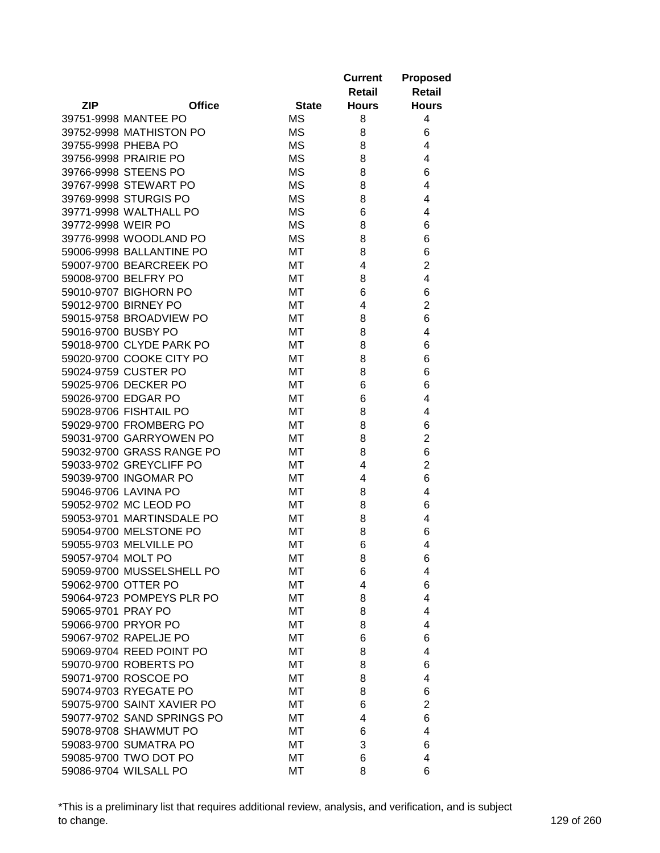|                     |                            |              | <b>Current</b><br>Retail | <b>Proposed</b><br>Retail |
|---------------------|----------------------------|--------------|--------------------------|---------------------------|
| <b>ZIP</b>          | <b>Office</b>              | <b>State</b> | <b>Hours</b>             | <b>Hours</b>              |
|                     | 39751-9998 MANTEE PO       | <b>MS</b>    | 8                        | 4                         |
|                     | 39752-9998 MATHISTON PO    | МS           | 8                        | 6                         |
| 39755-9998 PHEBA PO |                            | МS           | 8                        | 4                         |
|                     | 39756-9998 PRAIRIE PO      | <b>MS</b>    | 8                        | 4                         |
|                     | 39766-9998 STEENS PO       | <b>MS</b>    | 8                        | 6                         |
|                     | 39767-9998 STEWART PO      | МS           | 8                        | 4                         |
|                     | 39769-9998 STURGIS PO      | МS           | 8                        | 4                         |
|                     | 39771-9998 WALTHALL PO     | МS           | 6                        | 4                         |
| 39772-9998 WEIR PO  |                            | <b>MS</b>    | 8                        | 6                         |
|                     | 39776-9998 WOODLAND PO     | МS           | 8                        | 6                         |
|                     | 59006-9998 BALLANTINE PO   | МT           | 8                        | 6                         |
|                     | 59007-9700 BEARCREEK PO    | МT           | 4                        | $\overline{2}$            |
|                     | 59008-9700 BELFRY PO       | MT           | 8                        | 4                         |
|                     | 59010-9707 BIGHORN PO      | МT           | 6                        | 6                         |
|                     | 59012-9700 BIRNEY PO       | МT           | 4                        | $\overline{2}$            |
|                     | 59015-9758 BROADVIEW PO    | МT           | 8                        | 6                         |
| 59016-9700 BUSBY PO |                            | МT           | 8                        | 4                         |
|                     | 59018-9700 CLYDE PARK PO   | МT           | 8                        | 6                         |
|                     | 59020-9700 COOKE CITY PO   | МT           | 8                        | 6                         |
|                     | 59024-9759 CUSTER PO       | МT           | 8                        | 6                         |
|                     | 59025-9706 DECKER PO       | МT           | 6                        | 6                         |
|                     | 59026-9700 EDGAR PO        | МT           | 6                        | 4                         |
|                     | 59028-9706 FISHTAIL PO     | МT           | 8                        | 4                         |
|                     | 59029-9700 FROMBERG PO     | МT           | 8                        | 6                         |
|                     | 59031-9700 GARRYOWEN PO    | МT           | 8                        | $\overline{2}$            |
|                     | 59032-9700 GRASS RANGE PO  | МT           | 8                        | 6                         |
|                     | 59033-9702 GREYCLIFF PO    | МT           | 4                        | $\overline{2}$            |
|                     | 59039-9700 INGOMAR PO      | МT           | 4                        | 6                         |
|                     | 59046-9706 LAVINA PO       | MT           | 8                        | 4                         |
|                     | 59052-9702 MC LEOD PO      | МT           | 8                        | 6                         |
|                     | 59053-9701 MARTINSDALE PO  | МT           | 8                        | 4                         |
|                     | 59054-9700 MELSTONE PO     | МT           | 8                        | 6                         |
|                     | 59055-9703 MELVILLE PO     | МT           | 6                        | 4                         |
| 59057-9704 MOLT PO  |                            | МT           | 8                        | 6                         |
|                     | 59059-9700 MUSSELSHELL PO  | МT           | 6                        | 4                         |
| 59062-9700 OTTER PO |                            | МT           | 4                        | 6                         |
|                     | 59064-9723 POMPEYS PLR PO  | МT           | 8                        | 4                         |
| 59065-9701 PRAY PO  |                            | МT           | 8                        | 4                         |
|                     | 59066-9700 PRYOR PO        | МT           | 8                        | 4                         |
|                     | 59067-9702 RAPELJE PO      | МT           | 6                        | 6                         |
|                     | 59069-9704 REED POINT PO   | МT           | 8                        | 4                         |
|                     | 59070-9700 ROBERTS PO      | МT           | 8                        | 6                         |
|                     | 59071-9700 ROSCOE PO       | МT           | 8                        | 4                         |
|                     | 59074-9703 RYEGATE PO      | МT           | 8                        | 6                         |
|                     | 59075-9700 SAINT XAVIER PO | МT           | 6                        | $\overline{2}$            |
|                     | 59077-9702 SAND SPRINGS PO | МT           | 4                        | 6                         |
|                     | 59078-9708 SHAWMUT PO      | МT           | 6                        | 4                         |
|                     | 59083-9700 SUMATRA PO      | МT           | 3                        | 6                         |
|                     | 59085-9700 TWO DOT PO      | МT           | 6                        | 4                         |
|                     | 59086-9704 WILSALL PO      | МT           | 8                        | 6                         |

\*This is a preliminary list that requires additional review, analysis, and verification, and is subject to change. 129 of 260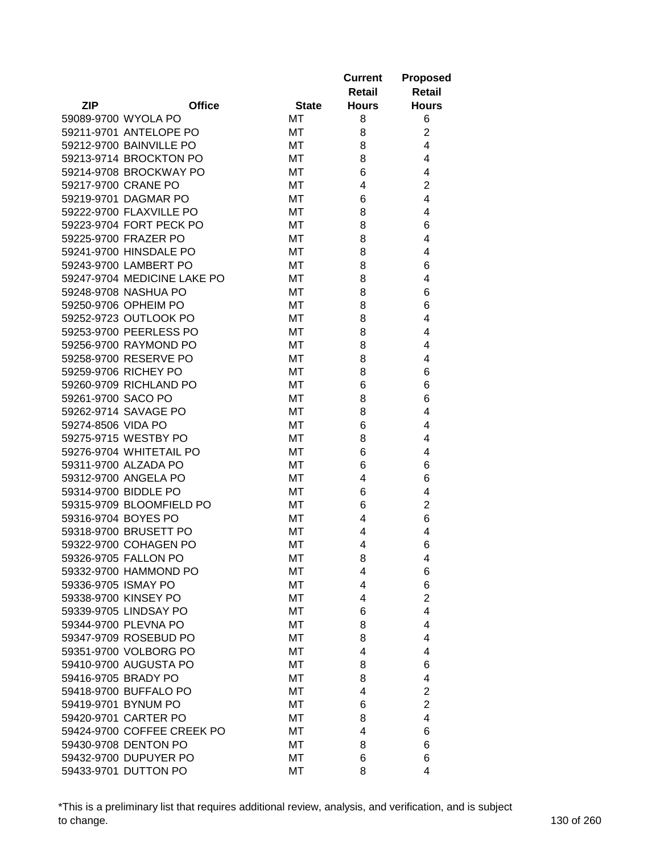| <b>ZIP</b><br><b>Office</b><br><b>State</b><br><b>Hours</b><br><b>Hours</b><br>59089-9700 WYOLA PO<br>МT<br>8<br>6<br>$\overline{2}$<br>59211-9701 ANTELOPE PO<br>МT<br>8<br>59212-9700 BAINVILLE PO<br>4<br>МT<br>8<br>59213-9714 BROCKTON PO<br>МT<br>8<br>4<br>59214-9708 BROCKWAY PO<br>4<br>МT<br>6<br>$\overline{2}$<br>59217-9700 CRANE PO<br>МT<br>4<br>4<br>59219-9701 DAGMAR PO<br>МT<br>6<br>4<br>59222-9700 FLAXVILLE PO<br>МT<br>8<br>6<br>59223-9704 FORT PECK PO<br>МT<br>8<br>59225-9700 FRAZER PO<br>МT<br>8<br>4<br>59241-9700 HINSDALE PO<br>МT<br>8<br>4<br>59243-9700 LAMBERT PO<br>МT<br>8<br>6<br>59247-9704 MEDICINE LAKE PO<br>MT<br>4<br>8<br>59248-9708 NASHUA PO<br>МT<br>8<br>6<br>59250-9706 OPHEIM PO<br>6<br>МT<br>8<br>59252-9723 OUTLOOK PO<br>МT<br>8<br>4<br>59253-9700 PEERLESS PO<br>8<br>МT<br>4<br>59256-9700 RAYMOND PO<br>МT<br>8<br>4<br>59258-9700 RESERVE PO<br>МT<br>8<br>4<br>59259-9706 RICHEY PO<br>6<br>МT<br>8<br>59260-9709 RICHLAND PO<br>МT<br>6<br>6<br>59261-9700 SACO PO<br>6<br>MT<br>8<br>4<br>59262-9714 SAVAGE PO<br>МT<br>8<br>59274-8506 VIDA PO<br>МT<br>6<br>4<br>59275-9715 WESTBY PO<br>МT<br>8<br>4<br>59276-9704 WHITETAIL PO<br>МT<br>6<br>4<br>59311-9700 ALZADA PO<br>МT<br>6<br>6<br>59312-9700 ANGELA PO<br>МT<br>4<br>6<br>59314-9700 BIDDLE PO<br>МT<br>4<br>6<br>59315-9709 BLOOMFIELD PO<br>$\overline{2}$<br>МT<br>6<br>59316-9704 BOYES PO<br>6<br>МT<br>4<br>59318-9700 BRUSETT PO<br>4<br>МT<br>4<br>59322-9700 COHAGEN PO<br>4<br>6<br>МT<br>59326-9705 FALLON PO<br>МT<br>8<br>4<br>59332-9700 HAMMOND PO<br>6<br>МT<br>4<br>59336-9705 ISMAY PO<br>6<br>МT<br>4<br>$\overline{2}$<br>59338-9700 KINSEY PO<br>МT<br>4<br>4<br>59339-9705 LINDSAY PO<br>МT<br>6<br>59344-9700 PLEVNA PO<br>MT<br>4<br>8<br>59347-9709 ROSEBUD PO<br>MT<br>8<br>4<br>59351-9700 VOLBORG PO<br>МT<br>4<br>4<br>59410-9700 AUGUSTA PO<br>MT<br>8<br>6<br>59416-9705 BRADY PO<br>МT<br>8<br>4<br>59418-9700 BUFFALO PO<br>$\overline{2}$<br>МT<br>4<br>59419-9701 BYNUM PO<br>$\overline{2}$<br>МT<br>6<br>59420-9701 CARTER PO<br>MT<br>4<br>8<br>59424-9700 COFFEE CREEK PO<br>МT<br>4<br>6<br>59430-9708 DENTON PO<br>МT<br>8<br>6<br>59432-9700 DUPUYER PO<br>МT<br>6<br>6<br>59433-9701 DUTTON PO |  |    | <b>Current</b><br>Retail | <b>Proposed</b><br><b>Retail</b> |
|-----------------------------------------------------------------------------------------------------------------------------------------------------------------------------------------------------------------------------------------------------------------------------------------------------------------------------------------------------------------------------------------------------------------------------------------------------------------------------------------------------------------------------------------------------------------------------------------------------------------------------------------------------------------------------------------------------------------------------------------------------------------------------------------------------------------------------------------------------------------------------------------------------------------------------------------------------------------------------------------------------------------------------------------------------------------------------------------------------------------------------------------------------------------------------------------------------------------------------------------------------------------------------------------------------------------------------------------------------------------------------------------------------------------------------------------------------------------------------------------------------------------------------------------------------------------------------------------------------------------------------------------------------------------------------------------------------------------------------------------------------------------------------------------------------------------------------------------------------------------------------------------------------------------------------------------------------------------------------------------------------------------------------------------------------------------------------------------------------------------------------------------------------------------------------------------------------------------------------------------------------------------------|--|----|--------------------------|----------------------------------|
|                                                                                                                                                                                                                                                                                                                                                                                                                                                                                                                                                                                                                                                                                                                                                                                                                                                                                                                                                                                                                                                                                                                                                                                                                                                                                                                                                                                                                                                                                                                                                                                                                                                                                                                                                                                                                                                                                                                                                                                                                                                                                                                                                                                                                                                                       |  |    |                          |                                  |
|                                                                                                                                                                                                                                                                                                                                                                                                                                                                                                                                                                                                                                                                                                                                                                                                                                                                                                                                                                                                                                                                                                                                                                                                                                                                                                                                                                                                                                                                                                                                                                                                                                                                                                                                                                                                                                                                                                                                                                                                                                                                                                                                                                                                                                                                       |  |    |                          |                                  |
|                                                                                                                                                                                                                                                                                                                                                                                                                                                                                                                                                                                                                                                                                                                                                                                                                                                                                                                                                                                                                                                                                                                                                                                                                                                                                                                                                                                                                                                                                                                                                                                                                                                                                                                                                                                                                                                                                                                                                                                                                                                                                                                                                                                                                                                                       |  |    |                          |                                  |
|                                                                                                                                                                                                                                                                                                                                                                                                                                                                                                                                                                                                                                                                                                                                                                                                                                                                                                                                                                                                                                                                                                                                                                                                                                                                                                                                                                                                                                                                                                                                                                                                                                                                                                                                                                                                                                                                                                                                                                                                                                                                                                                                                                                                                                                                       |  |    |                          |                                  |
|                                                                                                                                                                                                                                                                                                                                                                                                                                                                                                                                                                                                                                                                                                                                                                                                                                                                                                                                                                                                                                                                                                                                                                                                                                                                                                                                                                                                                                                                                                                                                                                                                                                                                                                                                                                                                                                                                                                                                                                                                                                                                                                                                                                                                                                                       |  |    |                          |                                  |
|                                                                                                                                                                                                                                                                                                                                                                                                                                                                                                                                                                                                                                                                                                                                                                                                                                                                                                                                                                                                                                                                                                                                                                                                                                                                                                                                                                                                                                                                                                                                                                                                                                                                                                                                                                                                                                                                                                                                                                                                                                                                                                                                                                                                                                                                       |  |    |                          |                                  |
|                                                                                                                                                                                                                                                                                                                                                                                                                                                                                                                                                                                                                                                                                                                                                                                                                                                                                                                                                                                                                                                                                                                                                                                                                                                                                                                                                                                                                                                                                                                                                                                                                                                                                                                                                                                                                                                                                                                                                                                                                                                                                                                                                                                                                                                                       |  |    |                          |                                  |
|                                                                                                                                                                                                                                                                                                                                                                                                                                                                                                                                                                                                                                                                                                                                                                                                                                                                                                                                                                                                                                                                                                                                                                                                                                                                                                                                                                                                                                                                                                                                                                                                                                                                                                                                                                                                                                                                                                                                                                                                                                                                                                                                                                                                                                                                       |  |    |                          |                                  |
|                                                                                                                                                                                                                                                                                                                                                                                                                                                                                                                                                                                                                                                                                                                                                                                                                                                                                                                                                                                                                                                                                                                                                                                                                                                                                                                                                                                                                                                                                                                                                                                                                                                                                                                                                                                                                                                                                                                                                                                                                                                                                                                                                                                                                                                                       |  |    |                          |                                  |
|                                                                                                                                                                                                                                                                                                                                                                                                                                                                                                                                                                                                                                                                                                                                                                                                                                                                                                                                                                                                                                                                                                                                                                                                                                                                                                                                                                                                                                                                                                                                                                                                                                                                                                                                                                                                                                                                                                                                                                                                                                                                                                                                                                                                                                                                       |  |    |                          |                                  |
|                                                                                                                                                                                                                                                                                                                                                                                                                                                                                                                                                                                                                                                                                                                                                                                                                                                                                                                                                                                                                                                                                                                                                                                                                                                                                                                                                                                                                                                                                                                                                                                                                                                                                                                                                                                                                                                                                                                                                                                                                                                                                                                                                                                                                                                                       |  |    |                          |                                  |
|                                                                                                                                                                                                                                                                                                                                                                                                                                                                                                                                                                                                                                                                                                                                                                                                                                                                                                                                                                                                                                                                                                                                                                                                                                                                                                                                                                                                                                                                                                                                                                                                                                                                                                                                                                                                                                                                                                                                                                                                                                                                                                                                                                                                                                                                       |  |    |                          |                                  |
|                                                                                                                                                                                                                                                                                                                                                                                                                                                                                                                                                                                                                                                                                                                                                                                                                                                                                                                                                                                                                                                                                                                                                                                                                                                                                                                                                                                                                                                                                                                                                                                                                                                                                                                                                                                                                                                                                                                                                                                                                                                                                                                                                                                                                                                                       |  |    |                          |                                  |
|                                                                                                                                                                                                                                                                                                                                                                                                                                                                                                                                                                                                                                                                                                                                                                                                                                                                                                                                                                                                                                                                                                                                                                                                                                                                                                                                                                                                                                                                                                                                                                                                                                                                                                                                                                                                                                                                                                                                                                                                                                                                                                                                                                                                                                                                       |  |    |                          |                                  |
|                                                                                                                                                                                                                                                                                                                                                                                                                                                                                                                                                                                                                                                                                                                                                                                                                                                                                                                                                                                                                                                                                                                                                                                                                                                                                                                                                                                                                                                                                                                                                                                                                                                                                                                                                                                                                                                                                                                                                                                                                                                                                                                                                                                                                                                                       |  |    |                          |                                  |
|                                                                                                                                                                                                                                                                                                                                                                                                                                                                                                                                                                                                                                                                                                                                                                                                                                                                                                                                                                                                                                                                                                                                                                                                                                                                                                                                                                                                                                                                                                                                                                                                                                                                                                                                                                                                                                                                                                                                                                                                                                                                                                                                                                                                                                                                       |  |    |                          |                                  |
|                                                                                                                                                                                                                                                                                                                                                                                                                                                                                                                                                                                                                                                                                                                                                                                                                                                                                                                                                                                                                                                                                                                                                                                                                                                                                                                                                                                                                                                                                                                                                                                                                                                                                                                                                                                                                                                                                                                                                                                                                                                                                                                                                                                                                                                                       |  |    |                          |                                  |
|                                                                                                                                                                                                                                                                                                                                                                                                                                                                                                                                                                                                                                                                                                                                                                                                                                                                                                                                                                                                                                                                                                                                                                                                                                                                                                                                                                                                                                                                                                                                                                                                                                                                                                                                                                                                                                                                                                                                                                                                                                                                                                                                                                                                                                                                       |  |    |                          |                                  |
|                                                                                                                                                                                                                                                                                                                                                                                                                                                                                                                                                                                                                                                                                                                                                                                                                                                                                                                                                                                                                                                                                                                                                                                                                                                                                                                                                                                                                                                                                                                                                                                                                                                                                                                                                                                                                                                                                                                                                                                                                                                                                                                                                                                                                                                                       |  |    |                          |                                  |
|                                                                                                                                                                                                                                                                                                                                                                                                                                                                                                                                                                                                                                                                                                                                                                                                                                                                                                                                                                                                                                                                                                                                                                                                                                                                                                                                                                                                                                                                                                                                                                                                                                                                                                                                                                                                                                                                                                                                                                                                                                                                                                                                                                                                                                                                       |  |    |                          |                                  |
|                                                                                                                                                                                                                                                                                                                                                                                                                                                                                                                                                                                                                                                                                                                                                                                                                                                                                                                                                                                                                                                                                                                                                                                                                                                                                                                                                                                                                                                                                                                                                                                                                                                                                                                                                                                                                                                                                                                                                                                                                                                                                                                                                                                                                                                                       |  |    |                          |                                  |
|                                                                                                                                                                                                                                                                                                                                                                                                                                                                                                                                                                                                                                                                                                                                                                                                                                                                                                                                                                                                                                                                                                                                                                                                                                                                                                                                                                                                                                                                                                                                                                                                                                                                                                                                                                                                                                                                                                                                                                                                                                                                                                                                                                                                                                                                       |  |    |                          |                                  |
|                                                                                                                                                                                                                                                                                                                                                                                                                                                                                                                                                                                                                                                                                                                                                                                                                                                                                                                                                                                                                                                                                                                                                                                                                                                                                                                                                                                                                                                                                                                                                                                                                                                                                                                                                                                                                                                                                                                                                                                                                                                                                                                                                                                                                                                                       |  |    |                          |                                  |
|                                                                                                                                                                                                                                                                                                                                                                                                                                                                                                                                                                                                                                                                                                                                                                                                                                                                                                                                                                                                                                                                                                                                                                                                                                                                                                                                                                                                                                                                                                                                                                                                                                                                                                                                                                                                                                                                                                                                                                                                                                                                                                                                                                                                                                                                       |  |    |                          |                                  |
|                                                                                                                                                                                                                                                                                                                                                                                                                                                                                                                                                                                                                                                                                                                                                                                                                                                                                                                                                                                                                                                                                                                                                                                                                                                                                                                                                                                                                                                                                                                                                                                                                                                                                                                                                                                                                                                                                                                                                                                                                                                                                                                                                                                                                                                                       |  |    |                          |                                  |
|                                                                                                                                                                                                                                                                                                                                                                                                                                                                                                                                                                                                                                                                                                                                                                                                                                                                                                                                                                                                                                                                                                                                                                                                                                                                                                                                                                                                                                                                                                                                                                                                                                                                                                                                                                                                                                                                                                                                                                                                                                                                                                                                                                                                                                                                       |  |    |                          |                                  |
|                                                                                                                                                                                                                                                                                                                                                                                                                                                                                                                                                                                                                                                                                                                                                                                                                                                                                                                                                                                                                                                                                                                                                                                                                                                                                                                                                                                                                                                                                                                                                                                                                                                                                                                                                                                                                                                                                                                                                                                                                                                                                                                                                                                                                                                                       |  |    |                          |                                  |
|                                                                                                                                                                                                                                                                                                                                                                                                                                                                                                                                                                                                                                                                                                                                                                                                                                                                                                                                                                                                                                                                                                                                                                                                                                                                                                                                                                                                                                                                                                                                                                                                                                                                                                                                                                                                                                                                                                                                                                                                                                                                                                                                                                                                                                                                       |  |    |                          |                                  |
|                                                                                                                                                                                                                                                                                                                                                                                                                                                                                                                                                                                                                                                                                                                                                                                                                                                                                                                                                                                                                                                                                                                                                                                                                                                                                                                                                                                                                                                                                                                                                                                                                                                                                                                                                                                                                                                                                                                                                                                                                                                                                                                                                                                                                                                                       |  |    |                          |                                  |
|                                                                                                                                                                                                                                                                                                                                                                                                                                                                                                                                                                                                                                                                                                                                                                                                                                                                                                                                                                                                                                                                                                                                                                                                                                                                                                                                                                                                                                                                                                                                                                                                                                                                                                                                                                                                                                                                                                                                                                                                                                                                                                                                                                                                                                                                       |  |    |                          |                                  |
|                                                                                                                                                                                                                                                                                                                                                                                                                                                                                                                                                                                                                                                                                                                                                                                                                                                                                                                                                                                                                                                                                                                                                                                                                                                                                                                                                                                                                                                                                                                                                                                                                                                                                                                                                                                                                                                                                                                                                                                                                                                                                                                                                                                                                                                                       |  |    |                          |                                  |
|                                                                                                                                                                                                                                                                                                                                                                                                                                                                                                                                                                                                                                                                                                                                                                                                                                                                                                                                                                                                                                                                                                                                                                                                                                                                                                                                                                                                                                                                                                                                                                                                                                                                                                                                                                                                                                                                                                                                                                                                                                                                                                                                                                                                                                                                       |  |    |                          |                                  |
|                                                                                                                                                                                                                                                                                                                                                                                                                                                                                                                                                                                                                                                                                                                                                                                                                                                                                                                                                                                                                                                                                                                                                                                                                                                                                                                                                                                                                                                                                                                                                                                                                                                                                                                                                                                                                                                                                                                                                                                                                                                                                                                                                                                                                                                                       |  |    |                          |                                  |
|                                                                                                                                                                                                                                                                                                                                                                                                                                                                                                                                                                                                                                                                                                                                                                                                                                                                                                                                                                                                                                                                                                                                                                                                                                                                                                                                                                                                                                                                                                                                                                                                                                                                                                                                                                                                                                                                                                                                                                                                                                                                                                                                                                                                                                                                       |  |    |                          |                                  |
|                                                                                                                                                                                                                                                                                                                                                                                                                                                                                                                                                                                                                                                                                                                                                                                                                                                                                                                                                                                                                                                                                                                                                                                                                                                                                                                                                                                                                                                                                                                                                                                                                                                                                                                                                                                                                                                                                                                                                                                                                                                                                                                                                                                                                                                                       |  |    |                          |                                  |
|                                                                                                                                                                                                                                                                                                                                                                                                                                                                                                                                                                                                                                                                                                                                                                                                                                                                                                                                                                                                                                                                                                                                                                                                                                                                                                                                                                                                                                                                                                                                                                                                                                                                                                                                                                                                                                                                                                                                                                                                                                                                                                                                                                                                                                                                       |  |    |                          |                                  |
|                                                                                                                                                                                                                                                                                                                                                                                                                                                                                                                                                                                                                                                                                                                                                                                                                                                                                                                                                                                                                                                                                                                                                                                                                                                                                                                                                                                                                                                                                                                                                                                                                                                                                                                                                                                                                                                                                                                                                                                                                                                                                                                                                                                                                                                                       |  |    |                          |                                  |
|                                                                                                                                                                                                                                                                                                                                                                                                                                                                                                                                                                                                                                                                                                                                                                                                                                                                                                                                                                                                                                                                                                                                                                                                                                                                                                                                                                                                                                                                                                                                                                                                                                                                                                                                                                                                                                                                                                                                                                                                                                                                                                                                                                                                                                                                       |  |    |                          |                                  |
|                                                                                                                                                                                                                                                                                                                                                                                                                                                                                                                                                                                                                                                                                                                                                                                                                                                                                                                                                                                                                                                                                                                                                                                                                                                                                                                                                                                                                                                                                                                                                                                                                                                                                                                                                                                                                                                                                                                                                                                                                                                                                                                                                                                                                                                                       |  |    |                          |                                  |
|                                                                                                                                                                                                                                                                                                                                                                                                                                                                                                                                                                                                                                                                                                                                                                                                                                                                                                                                                                                                                                                                                                                                                                                                                                                                                                                                                                                                                                                                                                                                                                                                                                                                                                                                                                                                                                                                                                                                                                                                                                                                                                                                                                                                                                                                       |  |    |                          |                                  |
|                                                                                                                                                                                                                                                                                                                                                                                                                                                                                                                                                                                                                                                                                                                                                                                                                                                                                                                                                                                                                                                                                                                                                                                                                                                                                                                                                                                                                                                                                                                                                                                                                                                                                                                                                                                                                                                                                                                                                                                                                                                                                                                                                                                                                                                                       |  |    |                          |                                  |
|                                                                                                                                                                                                                                                                                                                                                                                                                                                                                                                                                                                                                                                                                                                                                                                                                                                                                                                                                                                                                                                                                                                                                                                                                                                                                                                                                                                                                                                                                                                                                                                                                                                                                                                                                                                                                                                                                                                                                                                                                                                                                                                                                                                                                                                                       |  |    |                          |                                  |
|                                                                                                                                                                                                                                                                                                                                                                                                                                                                                                                                                                                                                                                                                                                                                                                                                                                                                                                                                                                                                                                                                                                                                                                                                                                                                                                                                                                                                                                                                                                                                                                                                                                                                                                                                                                                                                                                                                                                                                                                                                                                                                                                                                                                                                                                       |  |    |                          |                                  |
|                                                                                                                                                                                                                                                                                                                                                                                                                                                                                                                                                                                                                                                                                                                                                                                                                                                                                                                                                                                                                                                                                                                                                                                                                                                                                                                                                                                                                                                                                                                                                                                                                                                                                                                                                                                                                                                                                                                                                                                                                                                                                                                                                                                                                                                                       |  |    |                          |                                  |
|                                                                                                                                                                                                                                                                                                                                                                                                                                                                                                                                                                                                                                                                                                                                                                                                                                                                                                                                                                                                                                                                                                                                                                                                                                                                                                                                                                                                                                                                                                                                                                                                                                                                                                                                                                                                                                                                                                                                                                                                                                                                                                                                                                                                                                                                       |  |    |                          |                                  |
|                                                                                                                                                                                                                                                                                                                                                                                                                                                                                                                                                                                                                                                                                                                                                                                                                                                                                                                                                                                                                                                                                                                                                                                                                                                                                                                                                                                                                                                                                                                                                                                                                                                                                                                                                                                                                                                                                                                                                                                                                                                                                                                                                                                                                                                                       |  |    |                          |                                  |
|                                                                                                                                                                                                                                                                                                                                                                                                                                                                                                                                                                                                                                                                                                                                                                                                                                                                                                                                                                                                                                                                                                                                                                                                                                                                                                                                                                                                                                                                                                                                                                                                                                                                                                                                                                                                                                                                                                                                                                                                                                                                                                                                                                                                                                                                       |  |    |                          |                                  |
|                                                                                                                                                                                                                                                                                                                                                                                                                                                                                                                                                                                                                                                                                                                                                                                                                                                                                                                                                                                                                                                                                                                                                                                                                                                                                                                                                                                                                                                                                                                                                                                                                                                                                                                                                                                                                                                                                                                                                                                                                                                                                                                                                                                                                                                                       |  |    |                          |                                  |
|                                                                                                                                                                                                                                                                                                                                                                                                                                                                                                                                                                                                                                                                                                                                                                                                                                                                                                                                                                                                                                                                                                                                                                                                                                                                                                                                                                                                                                                                                                                                                                                                                                                                                                                                                                                                                                                                                                                                                                                                                                                                                                                                                                                                                                                                       |  |    |                          |                                  |
|                                                                                                                                                                                                                                                                                                                                                                                                                                                                                                                                                                                                                                                                                                                                                                                                                                                                                                                                                                                                                                                                                                                                                                                                                                                                                                                                                                                                                                                                                                                                                                                                                                                                                                                                                                                                                                                                                                                                                                                                                                                                                                                                                                                                                                                                       |  |    |                          |                                  |
|                                                                                                                                                                                                                                                                                                                                                                                                                                                                                                                                                                                                                                                                                                                                                                                                                                                                                                                                                                                                                                                                                                                                                                                                                                                                                                                                                                                                                                                                                                                                                                                                                                                                                                                                                                                                                                                                                                                                                                                                                                                                                                                                                                                                                                                                       |  | MT | 8                        | 4                                |

\*This is a preliminary list that requires additional review, analysis, and verification, and is subject to change. 130 of 260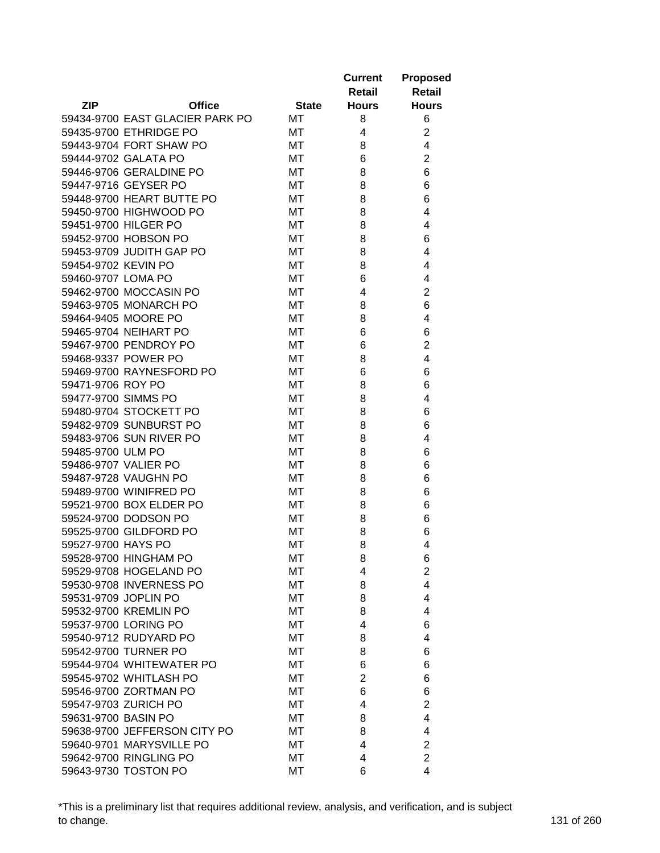|                      |                                 |              | <b>Current</b><br>Retail | <b>Proposed</b><br><b>Retail</b> |
|----------------------|---------------------------------|--------------|--------------------------|----------------------------------|
| <b>ZIP</b>           | <b>Office</b>                   | <b>State</b> | <b>Hours</b>             | <b>Hours</b>                     |
|                      | 59434-9700 EAST GLACIER PARK PO | МT           | 8                        | 6                                |
|                      | 59435-9700 ETHRIDGE PO          | МT           | 4                        | $\overline{2}$                   |
|                      | 59443-9704 FORT SHAW PO         | МT           | 8                        | 4                                |
|                      | 59444-9702 GALATA PO            | МT           | 6                        | $\overline{2}$                   |
|                      | 59446-9706 GERALDINE PO         | МT           | 8                        | 6                                |
|                      | 59447-9716 GEYSER PO            | МT           | 8                        | 6                                |
|                      | 59448-9700 HEART BUTTE PO       | МT           | 8                        | 6                                |
|                      | 59450-9700 HIGHWOOD PO          | МT           | 8                        | 4                                |
|                      | 59451-9700 HILGER PO            | MT           | 8                        | 4                                |
|                      | 59452-9700 HOBSON PO            | МT           | 8                        | 6                                |
|                      | 59453-9709 JUDITH GAP PO        | МT           | 8                        | 4                                |
| 59454-9702 KEVIN PO  |                                 | МT           | 8                        | 4                                |
| 59460-9707 LOMA PO   |                                 | MT           | 6                        | 4                                |
|                      | 59462-9700 MOCCASIN PO          | MT           | 4                        | $\overline{2}$                   |
|                      | 59463-9705 MONARCH PO           | МT           | 8                        | 6                                |
|                      | 59464-9405 MOORE PO             | МT           | 8                        | 4                                |
|                      | 59465-9704 NEIHART PO           | МT           | 6                        | 6                                |
|                      | 59467-9700 PENDROY PO           | МT           | 6                        | 2                                |
|                      | 59468-9337 POWER PO             | МT           | 8                        | 4                                |
|                      | 59469-9700 RAYNESFORD PO        | МT           | 6                        | 6                                |
| 59471-9706 ROY PO    |                                 | МT           | 8                        | 6                                |
| 59477-9700 SIMMS PO  |                                 | МT           | 8                        | 4                                |
|                      | 59480-9704 STOCKETT PO          | МT           | 8                        | 6                                |
|                      | 59482-9709 SUNBURST PO          | МT           | 8                        | 6                                |
|                      | 59483-9706 SUN RIVER PO         | МT           | 8                        | 4                                |
| 59485-9700 ULM PO    |                                 | МT           | 8                        | 6                                |
|                      | 59486-9707 VALIER PO            | МT           | 8                        | 6                                |
|                      | 59487-9728 VAUGHN PO            | МT           | 8                        | 6                                |
|                      | 59489-9700 WINIFRED PO          | MT           | 8                        | 6                                |
|                      | 59521-9700 BOX ELDER PO         | МT           | 8                        | 6                                |
|                      | 59524-9700 DODSON PO            | МT           | 8                        | 6                                |
|                      | 59525-9700 GILDFORD PO          | МT           | 8                        | 6                                |
| 59527-9700 HAYS PO   |                                 | МT           | 8                        | 4                                |
|                      | 59528-9700 HINGHAM PO           | МT           | 8                        | 6                                |
|                      | 59529-9708 HOGELAND PO          | МT           | 4                        | $\overline{2}$                   |
|                      | 59530-9708 INVERNESS PO         | МT           | 8                        | 4                                |
| 59531-9709 JOPLIN PO |                                 | МT           | 8                        | 4                                |
|                      | 59532-9700 KREMLIN PO           | МT           | 8                        | 4                                |
|                      | 59537-9700 LORING PO            | МT           | 4                        | 6                                |
|                      | 59540-9712 RUDYARD PO           | МT           | 8                        | 4                                |
|                      | 59542-9700 TURNER PO            | МT           | 8                        | 6                                |
|                      | 59544-9704 WHITEWATER PO        | МT           | 6                        | 6                                |
|                      | 59545-9702 WHITLASH PO          | МT           | $\overline{c}$           | 6                                |
|                      | 59546-9700 ZORTMAN PO           | МT           | 6                        | 6                                |
|                      | 59547-9703 ZURICH PO            | МT           | 4                        | $\overline{2}$                   |
| 59631-9700 BASIN PO  |                                 | МT           | 8                        | 4                                |
|                      | 59638-9700 JEFFERSON CITY PO    | МT           | 8                        | 4                                |
|                      | 59640-9701 MARYSVILLE PO        | МT           | 4                        | $\overline{2}$                   |
|                      | 59642-9700 RINGLING PO          | МT           | 4                        | $\overline{2}$                   |
|                      |                                 |              | 6                        | 4                                |
|                      | 59643-9730 TOSTON PO            | МT           |                          |                                  |

\*This is a preliminary list that requires additional review, analysis, and verification, and is subject to change. 131 of 260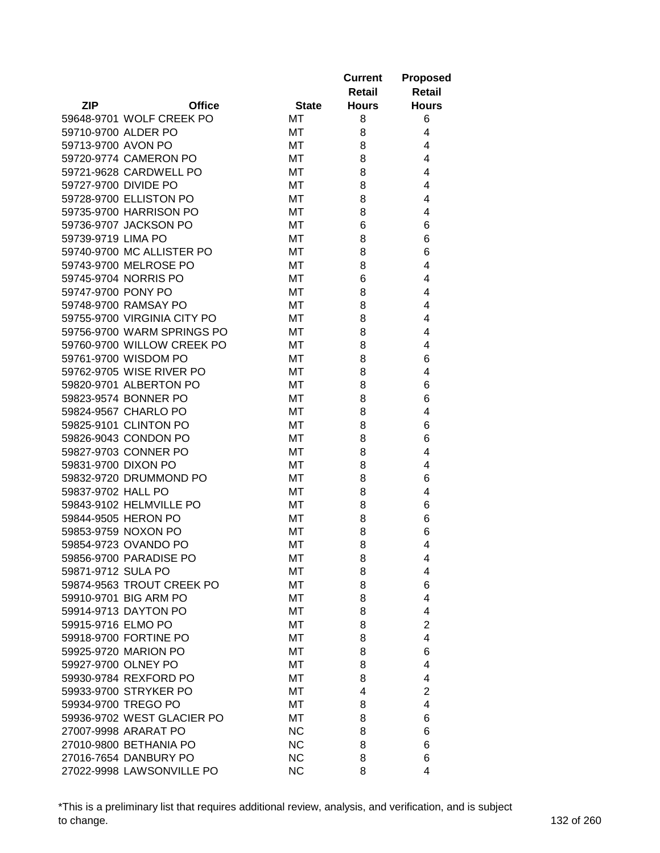|                      |                                                |              | <b>Current</b><br>Retail | <b>Proposed</b><br><b>Retail</b> |
|----------------------|------------------------------------------------|--------------|--------------------------|----------------------------------|
| <b>ZIP</b>           | <b>Office</b>                                  | <b>State</b> | <b>Hours</b>             | <b>Hours</b>                     |
|                      | 59648-9701 WOLF CREEK PO                       | МT           | 8                        | 6                                |
| 59710-9700 ALDER PO  |                                                | МT           | 8                        | 4                                |
| 59713-9700 AVON PO   |                                                | МT           | 8                        | 4                                |
|                      | 59720-9774 CAMERON PO                          | МT           | 8                        | 4                                |
|                      | 59721-9628 CARDWELL PO                         | MT           | 8                        | 4                                |
| 59727-9700 DIVIDE PO |                                                | МT           | 8                        | 4                                |
|                      | 59728-9700 ELLISTON PO                         | МT           | 8                        | 4                                |
|                      | 59735-9700 HARRISON PO                         | МT           | 8                        | 4                                |
|                      | 59736-9707 JACKSON PO                          | МT           | 6                        | 6                                |
| 59739-9719 LIMA PO   |                                                | МT           | 8                        | 6                                |
|                      | 59740-9700 MC ALLISTER PO                      | МT           | 8                        | 6                                |
|                      | 59743-9700 MELROSE PO                          | МT           | 8                        | 4                                |
|                      | 59745-9704 NORRIS PO                           | MT           | 6                        | 4                                |
| 59747-9700 PONY PO   |                                                | MT           | 8                        | 4                                |
|                      | 59748-9700 RAMSAY PO                           | МT           | 8                        | 4                                |
|                      | 59755-9700 VIRGINIA CITY PO                    | МT           | 8                        | 4                                |
|                      | 59756-9700 WARM SPRINGS PO                     | МT           | 8                        | 4                                |
|                      | 59760-9700 WILLOW CREEK PO                     | МT           | 8                        | 4                                |
|                      | 59761-9700 WISDOM PO                           | МT           | 8                        | 6                                |
|                      | 59762-9705 WISE RIVER PO                       | МT           | 8                        | 4                                |
|                      | 59820-9701 ALBERTON PO                         | МT           | 8                        | 6                                |
|                      | 59823-9574 BONNER PO                           | МT           | 8                        | 6                                |
|                      | 59824-9567 CHARLO PO                           | МT           | 8                        | 4                                |
|                      | 59825-9101 CLINTON PO                          | МT           | 8                        | 6                                |
|                      | 59826-9043 CONDON PO                           | МT           | 8                        | 6                                |
|                      | 59827-9703 CONNER PO                           | МT           | 8                        | 4                                |
| 59831-9700 DIXON PO  |                                                | МT           | 8                        | 4                                |
|                      | 59832-9720 DRUMMOND PO                         | МT           | 8                        | 6                                |
| 59837-9702 HALL PO   |                                                | МT           | 8                        | 4                                |
|                      | 59843-9102 HELMVILLE PO                        | МT           | 8                        | 6                                |
|                      | 59844-9505 HERON PO                            | МT           | 8                        | 6                                |
|                      | 59853-9759 NOXON PO                            | МT           | 8                        | 6                                |
|                      | 59854-9723 OVANDO PO                           | МT           | 8                        | 4                                |
|                      | 59856-9700 PARADISE PO                         | МT           | 8                        | 4                                |
| 59871-9712 SULA PO   |                                                | МT           | 8                        | 4                                |
|                      | 59874-9563 TROUT CREEK PO                      | МT           | 8                        | 6                                |
|                      | 59910-9701 BIG ARM PO                          | МT           | 8                        | 4                                |
|                      | 59914-9713 DAYTON PO                           | МT           | 8                        | 4                                |
| 59915-9716 ELMO PO   |                                                | МT           | 8                        | $\overline{2}$                   |
|                      | 59918-9700 FORTINE PO                          | МT           | 8                        | 4                                |
|                      | 59925-9720 MARION PO                           | МT           | 8                        | 6                                |
| 59927-9700 OLNEY PO  |                                                | МT           | 8                        | 4                                |
|                      | 59930-9784 REXFORD PO                          | МT           | 8                        | 4                                |
|                      | 59933-9700 STRYKER PO                          | МT           | 4                        | 2                                |
|                      | 59934-9700 TREGO PO                            | МT           | 8                        | 4                                |
|                      | 59936-9702 WEST GLACIER PO                     | МT           | 8                        | 6                                |
|                      |                                                | <b>NC</b>    |                          |                                  |
|                      | 27007-9998 ARARAT PO<br>27010-9800 BETHANIA PO | <b>NC</b>    | 8                        | 6                                |
|                      |                                                | <b>NC</b>    | 8                        | 6                                |
|                      | 27016-7654 DANBURY PO                          |              | 8                        | 6                                |
|                      | 27022-9998 LAWSONVILLE PO                      | <b>NC</b>    | 8                        | 4                                |

\*This is a preliminary list that requires additional review, analysis, and verification, and is subject to change. 132 of 260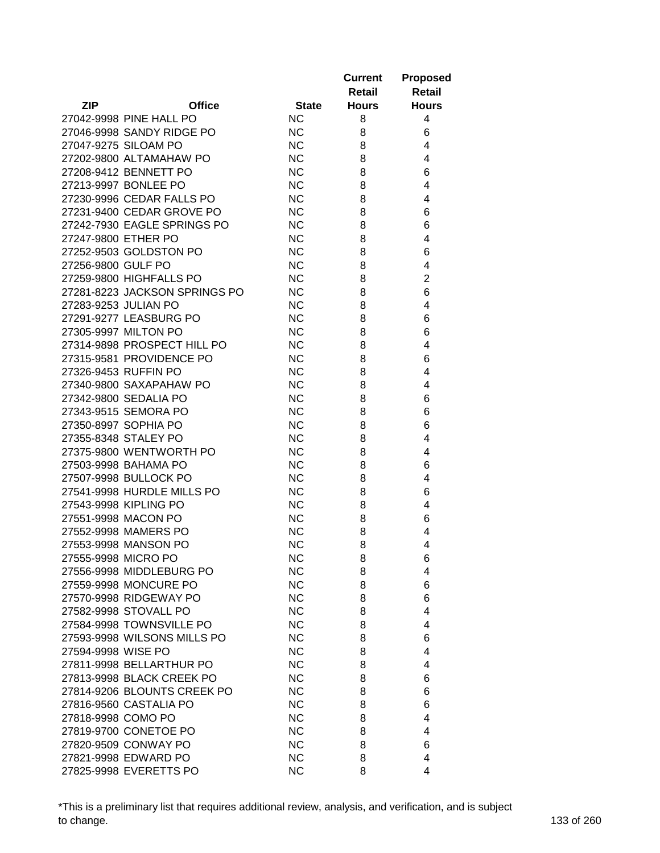|                      |                               |              | <b>Current</b><br>Retail | <b>Proposed</b><br><b>Retail</b> |
|----------------------|-------------------------------|--------------|--------------------------|----------------------------------|
| <b>ZIP</b>           | <b>Office</b>                 | <b>State</b> | <b>Hours</b>             | <b>Hours</b>                     |
|                      | 27042-9998 PINE HALL PO       | <b>NC</b>    | 8                        | 4                                |
|                      | 27046-9998 SANDY RIDGE PO     | <b>NC</b>    | 8                        | 6                                |
|                      | 27047-9275 SILOAM PO          | <b>NC</b>    | 8                        | 4                                |
|                      | 27202-9800 ALTAMAHAW PO       | <b>NC</b>    | 8                        | 4                                |
|                      | 27208-9412 BENNETT PO         | <b>NC</b>    | 8                        | 6                                |
|                      | 27213-9997 BONLEE PO          | <b>NC</b>    | 8                        | 4                                |
|                      | 27230-9996 CEDAR FALLS PO     | <b>NC</b>    | 8                        | 4                                |
|                      | 27231-9400 CEDAR GROVE PO     | <b>NC</b>    | 8                        | 6                                |
|                      | 27242-7930 EAGLE SPRINGS PO   | <b>NC</b>    | 8                        | 6                                |
| 27247-9800 ETHER PO  |                               | <b>NC</b>    | 8                        | 4                                |
|                      | 27252-9503 GOLDSTON PO        | <b>NC</b>    | 8                        | 6                                |
| 27256-9800 GULF PO   |                               | <b>NC</b>    | 8                        | 4                                |
|                      | 27259-9800 HIGHFALLS PO       | <b>NC</b>    | 8                        | $\overline{2}$                   |
|                      | 27281-8223 JACKSON SPRINGS PO | <b>NC</b>    | 8                        | 6                                |
| 27283-9253 JULIAN PO |                               | <b>NC</b>    | 8                        | 4                                |
|                      | 27291-9277 LEASBURG PO        | <b>NC</b>    | 8                        | 6                                |
|                      | 27305-9997 MILTON PO          | <b>NC</b>    | 8                        | 6                                |
|                      | 27314-9898 PROSPECT HILL PO   | <b>NC</b>    | 8                        | 4                                |
|                      | 27315-9581 PROVIDENCE PO      | <b>NC</b>    | 8                        | 6                                |
|                      | 27326-9453 RUFFIN PO          | <b>NC</b>    | 8                        | 4                                |
|                      | 27340-9800 SAXAPAHAW PO       | <b>NC</b>    | 8                        | 4                                |
|                      | 27342-9800 SEDALIA PO         | <b>NC</b>    | 8                        | 6                                |
|                      | 27343-9515 SEMORA PO          | <b>NC</b>    | 8                        | 6                                |
|                      | 27350-8997 SOPHIA PO          | <b>NC</b>    | 8                        | 6                                |
|                      | 27355-8348 STALEY PO          | <b>NC</b>    | 8                        | 4                                |
|                      | 27375-9800 WENTWORTH PO       | <b>NC</b>    | 8                        | 4                                |
|                      | 27503-9998 BAHAMA PO          | <b>NC</b>    | 8                        | 6                                |
|                      | 27507-9998 BULLOCK PO         | <b>NC</b>    | 8                        | 4                                |
|                      | 27541-9998 HURDLE MILLS PO    | <b>NC</b>    | 8                        | 6                                |
|                      | 27543-9998 KIPLING PO         | <b>NC</b>    | 8                        | 4                                |
|                      | 27551-9998 MACON PO           | <b>NC</b>    | 8                        | 6                                |
|                      | 27552-9998 MAMERS PO          | <b>NC</b>    | 8                        | 4                                |
|                      | 27553-9998 MANSON PO          | <b>NC</b>    | 8                        | 4                                |
| 27555-9998 MICRO PO  |                               | <b>NC</b>    | 8                        |                                  |
|                      | 27556-9998 MIDDLEBURG PO      | <b>NC</b>    | 8                        | 6<br>4                           |
|                      | 27559-9998 MONCURE PO         | <b>NC</b>    | 8                        | 6                                |
|                      | 27570-9998 RIDGEWAY PO        | <b>NC</b>    | 8                        | 6                                |
|                      | 27582-9998 STOVALL PO         | <b>NC</b>    | 8                        | 4                                |
|                      | 27584-9998 TOWNSVILLE PO      | <b>NC</b>    | 8                        | 4                                |
|                      | 27593-9998 WILSONS MILLS PO   | <b>NC</b>    | 8                        | 6                                |
| 27594-9998 WISE PO   |                               | <b>NC</b>    | 8                        | 4                                |
|                      | 27811-9998 BELLARTHUR PO      | <b>NC</b>    | 8                        | 4                                |
|                      | 27813-9998 BLACK CREEK PO     |              |                          |                                  |
|                      | 27814-9206 BLOUNTS CREEK PO   | <b>NC</b>    | 8                        | 6                                |
|                      |                               | <b>NC</b>    | 8                        | 6                                |
| 27818-9998 COMO PO   | 27816-9560 CASTALIA PO        | <b>NC</b>    | 8                        | 6<br>4                           |
|                      |                               | <b>NC</b>    | 8                        |                                  |
|                      | 27819-9700 CONETOE PO         | <b>NC</b>    | 8                        | 4                                |
|                      | 27820-9509 CONWAY PO          | <b>NC</b>    | 8                        | 6                                |
|                      | 27821-9998 EDWARD PO          | <b>NC</b>    | 8                        | 4                                |
|                      | 27825-9998 EVERETTS PO        | <b>NC</b>    | 8                        | 4                                |

\*This is a preliminary list that requires additional review, analysis, and verification, and is subject to change. 133 of 260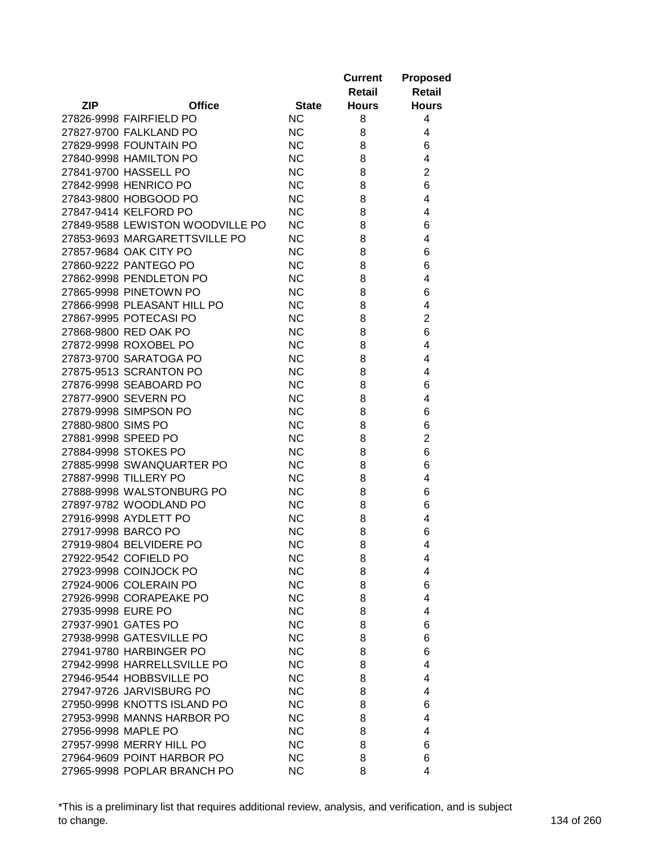|                     |                                  |              | <b>Current</b> | <b>Proposed</b> |
|---------------------|----------------------------------|--------------|----------------|-----------------|
|                     |                                  |              | Retail         | <b>Retail</b>   |
| ZIP                 | <b>Office</b>                    | <b>State</b> | <b>Hours</b>   | <b>Hours</b>    |
|                     | 27826-9998 FAIRFIELD PO          | <b>NC</b>    | 8              | 4               |
|                     | 27827-9700 FALKLAND PO           | <b>NC</b>    | 8              | 4               |
|                     | 27829-9998 FOUNTAIN PO           | <b>NC</b>    | 8              | 6               |
|                     | 27840-9998 HAMILTON PO           | <b>NC</b>    | 8              | 4               |
|                     | 27841-9700 HASSELL PO            | <b>NC</b>    | 8              | $\overline{2}$  |
|                     | 27842-9998 HENRICO PO            | <b>NC</b>    | 8              | 6               |
|                     | 27843-9800 HOBGOOD PO            | <b>NC</b>    | 8              | 4               |
|                     | 27847-9414 KELFORD PO            | <b>NC</b>    | 8              | 4               |
|                     | 27849-9588 LEWISTON WOODVILLE PO | <b>NC</b>    | 8              | 6               |
|                     | 27853-9693 MARGARETTSVILLE PO    | <b>NC</b>    | 8              | 4               |
|                     | 27857-9684 OAK CITY PO           | <b>NC</b>    | 8              | 6               |
|                     | 27860-9222 PANTEGO PO            | <b>NC</b>    | 8              | 6               |
|                     | 27862-9998 PENDLETON PO          | <b>NC</b>    | 8              | 4               |
|                     | 27865-9998 PINETOWN PO           | <b>NC</b>    | 8              | 6               |
|                     | 27866-9998 PLEASANT HILL PO      | <b>NC</b>    | 8              | 4               |
|                     | 27867-9995 POTECASI PO           | <b>NC</b>    | 8              | $\overline{2}$  |
|                     | 27868-9800 RED OAK PO            | <b>NC</b>    | 8              | 6               |
|                     | 27872-9998 ROXOBEL PO            | <b>NC</b>    | 8              | 4               |
|                     | 27873-9700 SARATOGA PO           | <b>NC</b>    | 8              | 4               |
|                     | 27875-9513 SCRANTON PO           | <b>NC</b>    | 8              | 4               |
|                     | 27876-9998 SEABOARD PO           | <b>NC</b>    | 8              | 6               |
|                     | 27877-9900 SEVERN PO             | <b>NC</b>    | 8              | 4               |
|                     | 27879-9998 SIMPSON PO            | <b>NC</b>    | 8              | 6               |
| 27880-9800 SIMS PO  |                                  | <b>NC</b>    | 8              | 6               |
| 27881-9998 SPEED PO |                                  | <b>NC</b>    | 8              | $\overline{2}$  |
|                     | 27884-9998 STOKES PO             | <b>NC</b>    | 8              | 6               |
|                     | 27885-9998 SWANQUARTER PO        | <b>NC</b>    | 8              | 6               |
|                     | 27887-9998 TILLERY PO            | <b>NC</b>    | 8              | 4               |
|                     | 27888-9998 WALSTONBURG PO        | <b>NC</b>    | 8              | 6               |
|                     | 27897-9782 WOODLAND PO           | <b>NC</b>    | 8              | 6               |
|                     | 27916-9998 AYDLETT PO            | <b>NC</b>    | 8              | 4               |
|                     | 27917-9998 BARCO PO              | <b>NC</b>    | 8              | 6               |
|                     | 27919-9804 BELVIDERE PO          | <b>NC</b>    | 8              | 4               |
|                     | 27922-9542 COFIELD PO            | <b>NC</b>    | 8              | 4               |
|                     | 27923-9998 COINJOCK PO           | <b>NC</b>    | 8              | 4               |
|                     | 27924-9006 COLERAIN PO           | <b>NC</b>    | 8              | 6               |
|                     | 27926-9998 CORAPEAKE PO          | <b>NC</b>    | 8              | 4               |
| 27935-9998 EURE PO  |                                  | <b>NC</b>    | 8              | 4               |
| 27937-9901 GATES PO |                                  | <b>NC</b>    | 8              | 6               |
|                     | 27938-9998 GATESVILLE PO         | <b>NC</b>    | 8              | 6               |
|                     | 27941-9780 HARBINGER PO          | <b>NC</b>    | 8              | 6               |
|                     | 27942-9998 HARRELLSVILLE PO      | <b>NC</b>    | 8              | 4               |
|                     | 27946-9544 HOBBSVILLE PO         | <b>NC</b>    | 8              | 4               |
|                     | 27947-9726 JARVISBURG PO         | <b>NC</b>    | 8              | 4               |
|                     | 27950-9998 KNOTTS ISLAND PO      | <b>NC</b>    | 8              | 6               |
|                     | 27953-9998 MANNS HARBOR PO       | <b>NC</b>    | 8              | 4               |
| 27956-9998 MAPLE PO |                                  | <b>NC</b>    | 8              | 4               |
|                     | 27957-9998 MERRY HILL PO         | <b>NC</b>    | 8              | 6               |
|                     | 27964-9609 POINT HARBOR PO       | <b>NC</b>    | 8              | 6               |
|                     | 27965-9998 POPLAR BRANCH PO      | <b>NC</b>    | 8              | 4               |

\*This is a preliminary list that requires additional review, analysis, and verification, and is subject to change. 134 of 260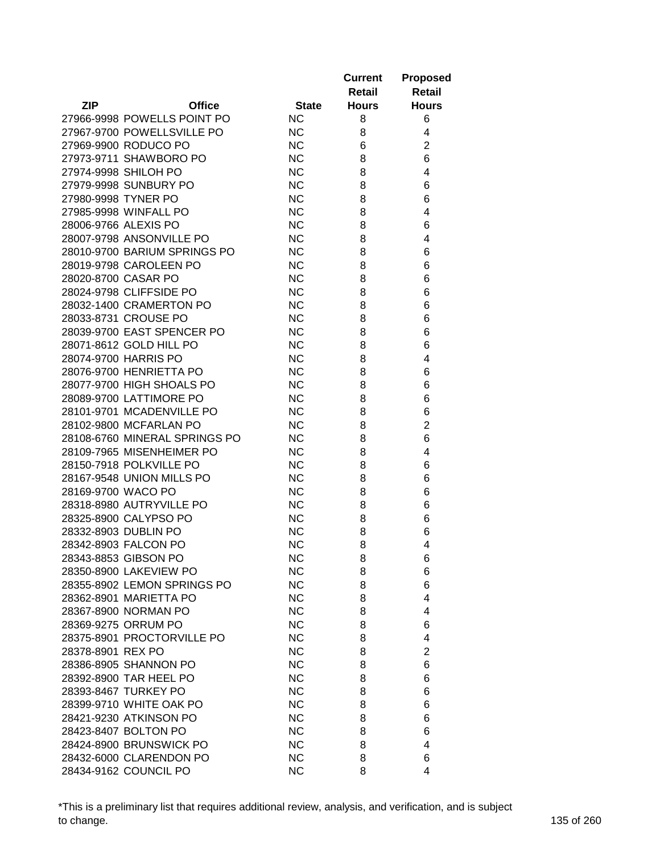|                      |                               |              | <b>Current</b><br>Retail | <b>Proposed</b><br>Retail |
|----------------------|-------------------------------|--------------|--------------------------|---------------------------|
| <b>ZIP</b>           | <b>Office</b>                 | <b>State</b> | <b>Hours</b>             | <b>Hours</b>              |
|                      | 27966-9998 POWELLS POINT PO   | <b>NC</b>    | 8                        | 6                         |
|                      | 27967-9700 POWELLSVILLE PO    | <b>NC</b>    | 8                        | 4                         |
|                      | 27969-9900 RODUCO PO          | <b>NC</b>    | 6                        | $\overline{2}$            |
|                      | 27973-9711 SHAWBORO PO        | <b>NC</b>    | 8                        | 6                         |
|                      | 27974-9998 SHILOH PO          | <b>NC</b>    | 8                        | 4                         |
|                      | 27979-9998 SUNBURY PO         | <b>NC</b>    | 8                        | 6                         |
| 27980-9998 TYNER PO  |                               | <b>NC</b>    | 8                        | 6                         |
|                      | 27985-9998 WINFALL PO         | <b>NC</b>    | 8                        | 4                         |
| 28006-9766 ALEXIS PO |                               | <b>NC</b>    | 8                        | 6                         |
|                      | 28007-9798 ANSONVILLE PO      | <b>NC</b>    | 8                        | 4                         |
|                      | 28010-9700 BARIUM SPRINGS PO  | <b>NC</b>    | 8                        | 6                         |
|                      | 28019-9798 CAROLEEN PO        | <b>NC</b>    | 8                        | 6                         |
| 28020-8700 CASAR PO  |                               | <b>NC</b>    | 8                        | 6                         |
|                      | 28024-9798 CLIFFSIDE PO       | <b>NC</b>    | 8                        | 6                         |
|                      | 28032-1400 CRAMERTON PO       | <b>NC</b>    | 8                        | 6                         |
|                      | 28033-8731 CROUSE PO          | <b>NC</b>    | 8                        | 6                         |
|                      | 28039-9700 EAST SPENCER PO    | <b>NC</b>    | 8                        | 6                         |
|                      | 28071-8612 GOLD HILL PO       | <b>NC</b>    | 8                        | 6                         |
|                      | 28074-9700 HARRIS PO          | <b>NC</b>    | 8                        | 4                         |
|                      | 28076-9700 HENRIETTA PO       | <b>NC</b>    | 8                        | 6                         |
|                      | 28077-9700 HIGH SHOALS PO     | <b>NC</b>    | 8                        | 6                         |
|                      | 28089-9700 LATTIMORE PO       | <b>NC</b>    | 8                        | 6                         |
|                      | 28101-9701 MCADENVILLE PO     | <b>NC</b>    | 8                        | 6                         |
|                      | 28102-9800 MCFARLAN PO        | <b>NC</b>    | 8                        | $\overline{2}$            |
|                      | 28108-6760 MINERAL SPRINGS PO | <b>NC</b>    | 8                        | 6                         |
|                      | 28109-7965 MISENHEIMER PO     | <b>NC</b>    | 8                        | 4                         |
|                      | 28150-7918 POLKVILLE PO       | <b>NC</b>    | 8                        | 6                         |
|                      | 28167-9548 UNION MILLS PO     | <b>NC</b>    | 8                        | 6                         |
| 28169-9700 WACO PO   |                               | <b>NC</b>    | 8                        | 6                         |
|                      | 28318-8980 AUTRYVILLE PO      | <b>NC</b>    | 8                        | 6                         |
|                      | 28325-8900 CALYPSO PO         | <b>NC</b>    | 8                        | 6                         |
|                      | 28332-8903 DUBLIN PO          | <b>NC</b>    | 8                        | 6                         |
|                      | 28342-8903 FALCON PO          | <b>NC</b>    | 8                        | 4                         |
|                      | 28343-8853 GIBSON PO          | <b>NC</b>    | 8                        | 6                         |
|                      | 28350-8900 LAKEVIEW PO        | <b>NC</b>    | 8                        | 6                         |
|                      | 28355-8902 LEMON SPRINGS PO   | <b>NC</b>    | 8                        | 6                         |
|                      | 28362-8901 MARIETTA PO        | <b>NC</b>    | 8                        | 4                         |
|                      | 28367-8900 NORMAN PO          | <b>NC</b>    | 8                        | 4                         |
|                      | 28369-9275 ORRUM PO           | <b>NC</b>    | 8                        | 6                         |
|                      | 28375-8901 PROCTORVILLE PO    | <b>NC</b>    | 8                        | 4                         |
| 28378-8901 REX PO    |                               | <b>NC</b>    | 8                        | $\overline{2}$            |
|                      | 28386-8905 SHANNON PO         | <b>NC</b>    | 8                        | 6                         |
|                      | 28392-8900 TAR HEEL PO        | <b>NC</b>    | 8                        | 6                         |
|                      | 28393-8467 TURKEY PO          | <b>NC</b>    | 8                        | 6                         |
|                      | 28399-9710 WHITE OAK PO       | <b>NC</b>    | 8                        | 6                         |
|                      | 28421-9230 ATKINSON PO        | <b>NC</b>    | 8                        | 6                         |
|                      | 28423-8407 BOLTON PO          | <b>NC</b>    | 8                        | 6                         |
|                      | 28424-8900 BRUNSWICK PO       | <b>NC</b>    | 8                        | 4                         |
|                      | 28432-6000 CLARENDON PO       | <b>NC</b>    | 8                        | 6                         |
|                      | 28434-9162 COUNCIL PO         | <b>NC</b>    | 8                        | 4                         |

\*This is a preliminary list that requires additional review, analysis, and verification, and is subject to change. 135 of 260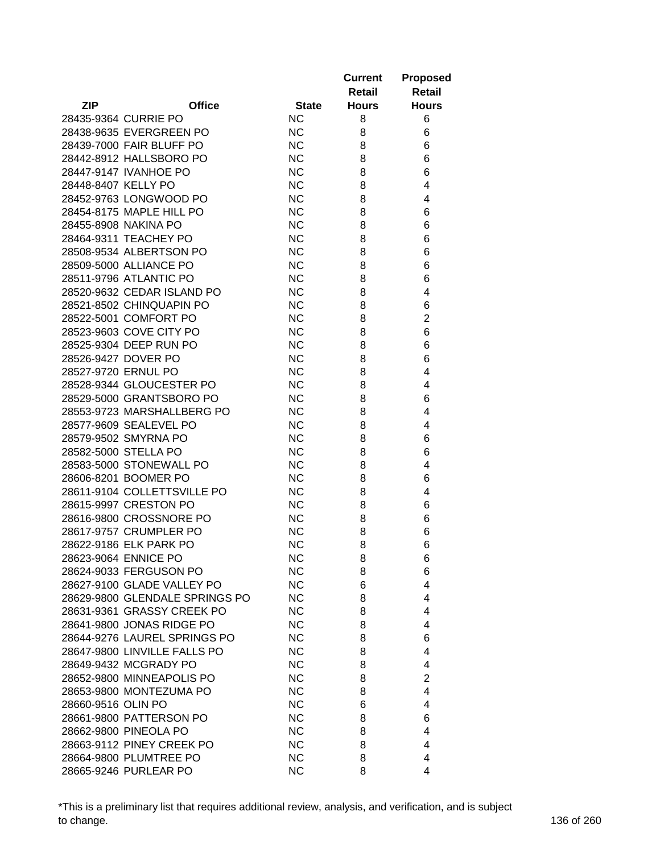|                     |                                |              | <b>Current</b><br>Retail | <b>Proposed</b><br><b>Retail</b> |
|---------------------|--------------------------------|--------------|--------------------------|----------------------------------|
| <b>ZIP</b>          | <b>Office</b>                  | <b>State</b> | <b>Hours</b>             | <b>Hours</b>                     |
|                     | 28435-9364 CURRIE PO           | <b>NC</b>    | 8                        | 6                                |
|                     | 28438-9635 EVERGREEN PO        | <b>NC</b>    | 8                        | 6                                |
|                     | 28439-7000 FAIR BLUFF PO       | <b>NC</b>    | 8                        | 6                                |
|                     | 28442-8912 HALLSBORO PO        | <b>NC</b>    | 8                        | 6                                |
|                     | 28447-9147 IVANHOE PO          | <b>NC</b>    | 8                        | 6                                |
| 28448-8407 KELLY PO |                                | <b>NC</b>    | 8                        | 4                                |
|                     | 28452-9763 LONGWOOD PO         | <b>NC</b>    | 8                        | 4                                |
|                     | 28454-8175 MAPLE HILL PO       | <b>NC</b>    | 8                        | 6                                |
|                     | 28455-8908 NAKINA PO           | <b>NC</b>    | 8                        | 6                                |
|                     | 28464-9311 TEACHEY PO          | <b>NC</b>    | 8                        | 6                                |
|                     | 28508-9534 ALBERTSON PO        | <b>NC</b>    | 8                        | 6                                |
|                     | 28509-5000 ALLIANCE PO         | <b>NC</b>    | 8                        | 6                                |
|                     | 28511-9796 ATLANTIC PO         | <b>NC</b>    | 8                        | 6                                |
|                     | 28520-9632 CEDAR ISLAND PO     | <b>NC</b>    | 8                        | 4                                |
|                     | 28521-8502 CHINQUAPIN PO       | <b>NC</b>    | 8                        | 6                                |
|                     | 28522-5001 COMFORT PO          | <b>NC</b>    | 8                        | 2                                |
|                     | 28523-9603 COVE CITY PO        | <b>NC</b>    | 8                        | 6                                |
|                     | 28525-9304 DEEP RUN PO         | <b>NC</b>    | 8                        | 6                                |
|                     | 28526-9427 DOVER PO            | <b>NC</b>    | 8                        | 6                                |
|                     | 28527-9720 ERNUL PO            | <b>NC</b>    | 8                        | 4                                |
|                     | 28528-9344 GLOUCESTER PO       | <b>NC</b>    | 8                        | 4                                |
|                     | 28529-5000 GRANTSBORO PO       | <b>NC</b>    | 8                        | 6                                |
|                     | 28553-9723 MARSHALLBERG PO     | <b>NC</b>    | 8                        | 4                                |
|                     | 28577-9609 SEALEVEL PO         | <b>NC</b>    | 8                        | 4                                |
|                     | 28579-9502 SMYRNA PO           | <b>NC</b>    | 8                        | 6                                |
|                     | 28582-5000 STELLA PO           | <b>NC</b>    | 8                        | 6                                |
|                     | 28583-5000 STONEWALL PO        | <b>NC</b>    | 8                        | 4                                |
|                     | 28606-8201 BOOMER PO           | <b>NC</b>    | 8                        | 6                                |
|                     | 28611-9104 COLLETTSVILLE PO    | <b>NC</b>    | 8                        | 4                                |
|                     | 28615-9997 CRESTON PO          | <b>NC</b>    | 8                        | 6                                |
|                     | 28616-9800 CROSSNORE PO        | <b>NC</b>    | 8                        | 6                                |
|                     | 28617-9757 CRUMPLER PO         | <b>NC</b>    | 8                        | 6                                |
|                     | 28622-9186 ELK PARK PO         | <b>NC</b>    | 8                        | 6                                |
|                     | 28623-9064 ENNICE PO           | <b>NC</b>    | 8                        |                                  |
|                     | 28624-9033 FERGUSON PO         | <b>NC</b>    | 8                        | 6<br>6                           |
|                     | 28627-9100 GLADE VALLEY PO     | <b>NC</b>    | 6                        | 4                                |
|                     | 28629-9800 GLENDALE SPRINGS PO | <b>NC</b>    | 8                        | 4                                |
|                     | 28631-9361 GRASSY CREEK PO     | <b>NC</b>    | 8                        | 4                                |
|                     | 28641-9800 JONAS RIDGE PO      | <b>NC</b>    | 8                        | 4                                |
|                     | 28644-9276 LAUREL SPRINGS PO   | <b>NC</b>    | 8                        | 6                                |
|                     | 28647-9800 LINVILLE FALLS PO   | <b>NC</b>    |                          | 4                                |
|                     |                                |              | 8                        |                                  |
|                     | 28649-9432 MCGRADY PO          | <b>NC</b>    | 8                        | 4                                |
|                     | 28652-9800 MINNEAPOLIS PO      | <b>NC</b>    | 8                        | 2                                |
|                     | 28653-9800 MONTEZUMA PO        | <b>NC</b>    | 8                        | 4                                |
| 28660-9516 OLIN PO  |                                | <b>NC</b>    | 6                        | 4                                |
|                     | 28661-9800 PATTERSON PO        | <b>NC</b>    | 8                        | 6                                |
|                     | 28662-9800 PINEOLA PO          | <b>NC</b>    | 8                        | 4                                |
|                     | 28663-9112 PINEY CREEK PO      | <b>NC</b>    | 8                        | 4                                |
|                     | 28664-9800 PLUMTREE PO         | <b>NC</b>    | 8                        | 4                                |
|                     | 28665-9246 PURLEAR PO          | <b>NC</b>    | 8                        | 4                                |

\*This is a preliminary list that requires additional review, analysis, and verification, and is subject to change. 136 of 260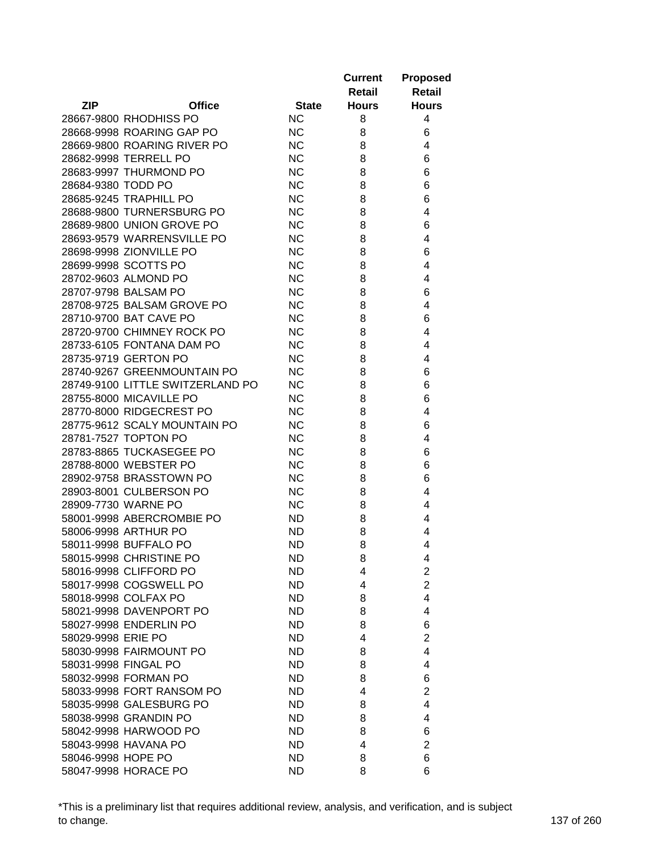|                    |                                  |              | <b>Current</b><br>Retail | <b>Proposed</b><br><b>Retail</b> |
|--------------------|----------------------------------|--------------|--------------------------|----------------------------------|
| <b>ZIP</b>         | <b>Office</b>                    | <b>State</b> | <b>Hours</b>             | <b>Hours</b>                     |
|                    | 28667-9800 RHODHISS PO           | <b>NC</b>    | 8                        | 4                                |
|                    | 28668-9998 ROARING GAP PO        | <b>NC</b>    | 8                        | 6                                |
|                    | 28669-9800 ROARING RIVER PO      | <b>NC</b>    | 8                        | 4                                |
|                    | 28682-9998 TERRELL PO            | <b>NC</b>    | 8                        | 6                                |
|                    | 28683-9997 THURMOND PO           | <b>NC</b>    | 8                        | 6                                |
| 28684-9380 TODD PO |                                  | <b>NC</b>    | 8                        | 6                                |
|                    | 28685-9245 TRAPHILL PO           | <b>NC</b>    | 8                        | 6                                |
|                    | 28688-9800 TURNERSBURG PO        | <b>NC</b>    | 8                        | 4                                |
|                    | 28689-9800 UNION GROVE PO        | <b>NC</b>    | 8                        | 6                                |
|                    | 28693-9579 WARRENSVILLE PO       | <b>NC</b>    | 8                        | 4                                |
|                    | 28698-9998 ZIONVILLE PO          | <b>NC</b>    | 8                        | 6                                |
|                    | 28699-9998 SCOTTS PO             | <b>NC</b>    | 8                        | 4                                |
|                    | 28702-9603 ALMOND PO             | <b>NC</b>    | 8                        | 4                                |
|                    | 28707-9798 BALSAM PO             | <b>NC</b>    | 8                        | 6                                |
|                    | 28708-9725 BALSAM GROVE PO       | <b>NC</b>    | 8                        | 4                                |
|                    | 28710-9700 BAT CAVE PO           | <b>NC</b>    | 8                        | 6                                |
|                    | 28720-9700 CHIMNEY ROCK PO       | <b>NC</b>    | 8                        | 4                                |
|                    | 28733-6105 FONTANA DAM PO        | <b>NC</b>    | 8                        | 4                                |
|                    | 28735-9719 GERTON PO             | <b>NC</b>    | 8                        | 4                                |
|                    | 28740-9267 GREENMOUNTAIN PO      | <b>NC</b>    | 8                        | 6                                |
|                    | 28749-9100 LITTLE SWITZERLAND PO | <b>NC</b>    | 8                        | 6                                |
|                    | 28755-8000 MICAVILLE PO          | <b>NC</b>    | 8                        | 6                                |
|                    | 28770-8000 RIDGECREST PO         | <b>NC</b>    | 8                        | 4                                |
|                    | 28775-9612 SCALY MOUNTAIN PO     | <b>NC</b>    | 8                        | 6                                |
|                    | 28781-7527 TOPTON PO             | <b>NC</b>    | 8                        | 4                                |
|                    | 28783-8865 TUCKASEGEE PO         | <b>NC</b>    | 8                        | 6                                |
|                    | 28788-8000 WEBSTER PO            | <b>NC</b>    | 8                        | 6                                |
|                    | 28902-9758 BRASSTOWN PO          | <b>NC</b>    | 8                        | 6                                |
|                    |                                  | <b>NC</b>    |                          | 4                                |
|                    | 28903-8001 CULBERSON PO          | <b>NC</b>    | 8                        | 4                                |
|                    | 28909-7730 WARNE PO              |              | 8                        |                                  |
|                    | 58001-9998 ABERCROMBIE PO        | <b>ND</b>    | 8                        | 4                                |
|                    | 58006-9998 ARTHUR PO             | <b>ND</b>    | 8                        | 4                                |
|                    | 58011-9998 BUFFALO PO            | <b>ND</b>    | 8                        | 4                                |
|                    | 58015-9998 CHRISTINE PO          | ND           | 8                        | 4                                |
|                    | 58016-9998 CLIFFORD PO           | ND.          | 4                        | $\overline{2}$                   |
|                    | 58017-9998 COGSWELL PO           | ND.          | 4                        | $\overline{2}$                   |
|                    | 58018-9998 COLFAX PO             | ND.          | 8                        | 4                                |
|                    | 58021-9998 DAVENPORT PO          | ND.          | 8                        | 4                                |
|                    | 58027-9998 ENDERLIN PO           | <b>ND</b>    | 8                        | 6                                |
| 58029-9998 ERIE PO |                                  | <b>ND</b>    | 4                        | $\overline{2}$                   |
|                    | 58030-9998 FAIRMOUNT PO          | ND           | 8                        | 4                                |
|                    | 58031-9998 FINGAL PO             | <b>ND</b>    | 8                        | 4                                |
|                    | 58032-9998 FORMAN PO             | ND           | 8                        | 6                                |
|                    | 58033-9998 FORT RANSOM PO        | ND           | 4                        | $\overline{2}$                   |
|                    | 58035-9998 GALESBURG PO          | ND           | 8                        | 4                                |
|                    | 58038-9998 GRANDIN PO            | ND           | 8                        | 4                                |
|                    | 58042-9998 HARWOOD PO            | <b>ND</b>    | 8                        | 6                                |
|                    | 58043-9998 HAVANA PO             | <b>ND</b>    | 4                        | $\overline{2}$                   |
| 58046-9998 HOPE PO |                                  | ND.          | 8                        | 6                                |
|                    | 58047-9998 HORACE PO             | <b>ND</b>    | 8                        | 6                                |

\*This is a preliminary list that requires additional review, analysis, and verification, and is subject to change. 137 of 260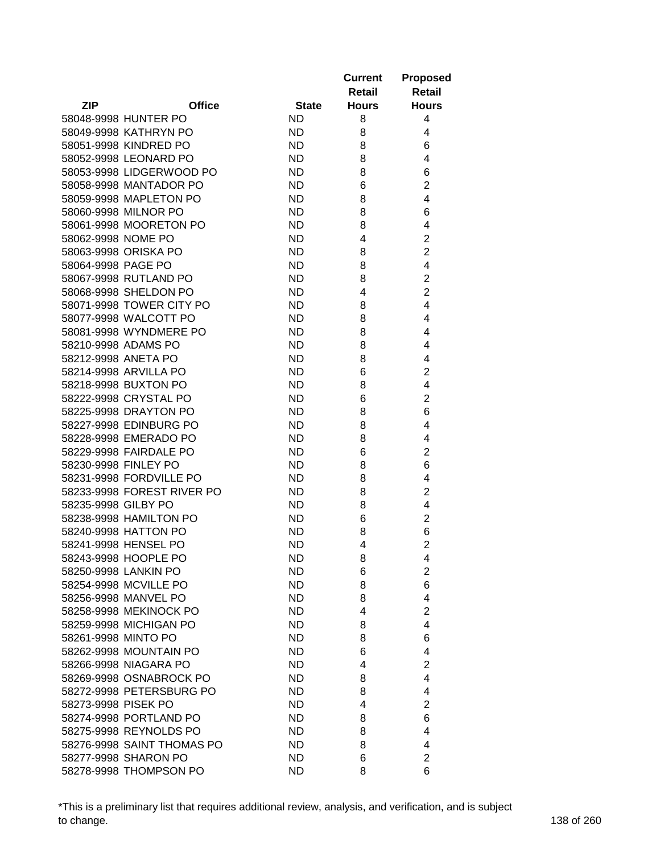|                     |                            |              | <b>Current</b><br>Retail | <b>Proposed</b><br><b>Retail</b> |
|---------------------|----------------------------|--------------|--------------------------|----------------------------------|
| <b>ZIP</b>          | <b>Office</b>              | <b>State</b> | <b>Hours</b>             | <b>Hours</b>                     |
|                     | 58048-9998 HUNTER PO       | ND           | 8                        | 4                                |
|                     | 58049-9998 KATHRYN PO      | ND           | 8                        | 4                                |
|                     | 58051-9998 KINDRED PO      | ND           | 8                        | 6                                |
|                     | 58052-9998 LEONARD PO      | ND           | 8                        | 4                                |
|                     | 58053-9998 LIDGERWOOD PO   | ND           | 8                        | 6                                |
|                     | 58058-9998 MANTADOR PO     | ND           | 6                        | $\overline{2}$                   |
|                     | 58059-9998 MAPLETON PO     | ND           | 8                        | 4                                |
|                     | 58060-9998 MILNOR PO       | ND           | 8                        | 6                                |
|                     | 58061-9998 MOORETON PO     | <b>ND</b>    | 8                        | 4                                |
| 58062-9998 NOME PO  |                            | ND           | 4                        | $\overline{2}$                   |
|                     | 58063-9998 ORISKA PO       | ND           | 8                        | $\overline{2}$                   |
| 58064-9998 PAGE PO  |                            | ND.          | 8                        | 4                                |
|                     | 58067-9998 RUTLAND PO      | <b>ND</b>    | 8                        | $\overline{2}$                   |
|                     | 58068-9998 SHELDON PO      | ND.          | 4                        | $\overline{2}$                   |
|                     | 58071-9998 TOWER CITY PO   | ND           | 8                        | 4                                |
|                     | 58077-9998 WALCOTT PO      | ND           | 8                        | 4                                |
|                     | 58081-9998 WYNDMERE PO     | <b>ND</b>    | 8                        | 4                                |
|                     | 58210-9998 ADAMS PO        | <b>ND</b>    |                          |                                  |
|                     |                            |              | 8                        | 4                                |
| 58212-9998 ANETA PO |                            | ND           | 8                        | 4                                |
|                     | 58214-9998 ARVILLA PO      | <b>ND</b>    | 6                        | $\overline{2}$                   |
|                     | 58218-9998 BUXTON PO       | <b>ND</b>    | 8                        | 4                                |
|                     | 58222-9998 CRYSTAL PO      | <b>ND</b>    | 6                        | $\overline{2}$                   |
|                     | 58225-9998 DRAYTON PO      | ND           | 8                        | 6                                |
|                     | 58227-9998 EDINBURG PO     | <b>ND</b>    | 8                        | 4                                |
|                     | 58228-9998 EMERADO PO      | <b>ND</b>    | 8                        | 4                                |
|                     | 58229-9998 FAIRDALE PO     | <b>ND</b>    | 6                        | $\overline{2}$                   |
|                     | 58230-9998 FINLEY PO       | ND           | 8                        | 6                                |
|                     | 58231-9998 FORDVILLE PO    | ND           | 8                        | 4                                |
|                     | 58233-9998 FOREST RIVER PO | ND           | 8                        | $\overline{2}$                   |
| 58235-9998 GILBY PO |                            | ND           | 8                        | 4                                |
|                     | 58238-9998 HAMILTON PO     | ND           | 6                        | $\overline{2}$                   |
|                     | 58240-9998 HATTON PO       | ND           | 8                        | 6                                |
|                     | 58241-9998 HENSEL PO       | <b>ND</b>    | 4                        | $\overline{2}$                   |
|                     | 58243-9998 HOOPLE PO       | ND           | 8                        | 4                                |
|                     | 58250-9998 LANKIN PO       | ND.          | 6                        | $\overline{2}$                   |
|                     | 58254-9998 MCVILLE PO      | ND.          | 8                        | 6                                |
|                     | 58256-9998 MANVEL PO       | ND.          | 8                        | 4                                |
|                     | 58258-9998 MEKINOCK PO     | ND.          | 4                        | $\overline{2}$                   |
|                     | 58259-9998 MICHIGAN PO     | ND.          | 8                        | $\overline{4}$                   |
| 58261-9998 MINTO PO |                            | <b>ND</b>    | 8                        | 6                                |
|                     | 58262-9998 MOUNTAIN PO     | ND.          | 6                        | 4                                |
|                     | 58266-9998 NIAGARA PO      | <b>ND</b>    | 4                        | $\overline{2}$                   |
|                     | 58269-9998 OSNABROCK PO    | ND           | 8                        | 4                                |
|                     | 58272-9998 PETERSBURG PO   | ND           | 8                        | 4                                |
| 58273-9998 PISEK PO |                            | ND.          | 4                        | $\overline{2}$                   |
|                     | 58274-9998 PORTLAND PO     | ND.          | 8                        | 6                                |
|                     | 58275-9998 REYNOLDS PO     | <b>ND</b>    | 8                        | 4                                |
|                     | 58276-9998 SAINT THOMAS PO | <b>ND</b>    | 8                        | 4                                |
|                     | 58277-9998 SHARON PO       | ND.          | 6                        | $\overline{2}$                   |
|                     | 58278-9998 THOMPSON PO     | <b>ND</b>    | 8                        | 6                                |

\*This is a preliminary list that requires additional review, analysis, and verification, and is subject to change. 138 of 260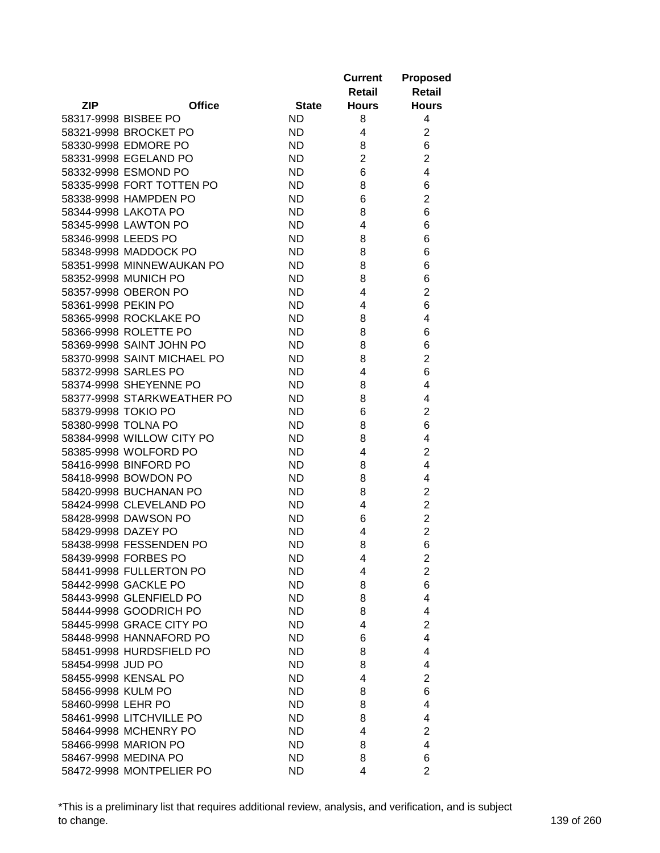|                     |                                               |              | <b>Current</b><br>Retail | <b>Proposed</b><br><b>Retail</b> |
|---------------------|-----------------------------------------------|--------------|--------------------------|----------------------------------|
| <b>ZIP</b>          | <b>Office</b>                                 | <b>State</b> | <b>Hours</b>             | <b>Hours</b>                     |
|                     | 58317-9998 BISBEE PO                          | ND           | 8                        | 4                                |
|                     | 58321-9998 BROCKET PO                         | ND           | 4                        | $\overline{2}$                   |
|                     | 58330-9998 EDMORE PO                          | ND.          | 8                        | 6                                |
|                     | 58331-9998 EGELAND PO                         | ND.          | $\overline{2}$           | $\overline{2}$                   |
|                     | 58332-9998 ESMOND PO                          | ND           | 6                        | $\overline{4}$                   |
|                     | 58335-9998 FORT TOTTEN PO                     | ND           | 8                        | 6                                |
|                     | 58338-9998 HAMPDEN PO                         | ND           | 6                        | $\overline{2}$                   |
|                     | 58344-9998 LAKOTA PO                          | <b>ND</b>    | 8                        | 6                                |
|                     | 58345-9998 LAWTON PO                          | <b>ND</b>    | 4                        | 6                                |
| 58346-9998 LEEDS PO |                                               | ND           | 8                        | 6                                |
|                     | 58348-9998 MADDOCK PO                         | ND           | 8                        | 6                                |
|                     | 58351-9998 MINNEWAUKAN PO                     | ND           | 8                        | 6                                |
|                     | 58352-9998 MUNICH PO                          | ND.          | 8                        | 6                                |
|                     | 58357-9998 OBERON PO                          | <b>ND</b>    | 4                        | $\overline{2}$                   |
| 58361-9998 PEKIN PO |                                               | ND.          | 4                        | 6                                |
|                     | 58365-9998 ROCKLAKE PO                        | ND.          | 8                        | 4                                |
|                     | 58366-9998 ROLETTE PO                         | ND.          | 8                        | 6                                |
|                     | 58369-9998 SAINT JOHN PO                      | ND.          | 8                        | 6                                |
|                     | 58370-9998 SAINT MICHAEL PO                   | ND           | 8                        | $\overline{2}$                   |
|                     | 58372-9998 SARLES PO                          | ND           | 4                        | 6                                |
|                     | 58374-9998 SHEYENNE PO                        | ND           | 8                        | 4                                |
|                     | 58377-9998 STARKWEATHER PO                    | ND           | 8                        | 4                                |
| 58379-9998 TOKIO PO |                                               | ND           | 6                        | $\overline{2}$                   |
| 58380-9998 TOLNA PO |                                               | ND           | 8                        | 6                                |
|                     |                                               |              |                          | 4                                |
|                     | 58384-9998 WILLOW CITY PO                     | ND           | 8<br>4                   | 2                                |
|                     | 58385-9998 WOLFORD PO                         | ND           |                          |                                  |
|                     | 58416-9998 BINFORD PO<br>58418-9998 BOWDON PO | ND           | 8                        | 4                                |
|                     |                                               | ND           | 8                        | 4                                |
|                     | 58420-9998 BUCHANAN PO                        | ND           | 8                        | $\overline{2}$                   |
|                     | 58424-9998 CLEVELAND PO                       | ND           | 4                        | $\overline{c}$                   |
|                     | 58428-9998 DAWSON PO                          | <b>ND</b>    | 6                        | $\overline{2}$                   |
| 58429-9998 DAZEY PO |                                               | ND           | 4                        | $\overline{2}$                   |
|                     | 58438-9998 FESSENDEN PO                       | ND           | 8                        | 6                                |
|                     | 58439-9998 FORBES PO                          | ND           | 4                        | 2                                |
|                     | 58441-9998 FULLERTON PO                       | ND.          | 4                        | $\overline{c}$                   |
|                     | 58442-9998 GACKLE PO                          | ND.          | 8                        | 6                                |
|                     | 58443-9998 GLENFIELD PO                       | ND.          | 8                        | 4                                |
|                     | 58444-9998 GOODRICH PO                        | ND.          | 8                        | 4                                |
|                     | 58445-9998 GRACE CITY PO                      | ND.          | 4                        | $\overline{2}$                   |
|                     | 58448-9998 HANNAFORD PO                       | ND.          | 6                        | 4                                |
|                     | 58451-9998 HURDSFIELD PO                      | ND           | 8                        | 4                                |
| 58454-9998 JUD PO   |                                               | ND           | 8                        | 4                                |
|                     | 58455-9998 KENSAL PO                          | ND.          | 4                        | $\overline{2}$                   |
| 58456-9998 KULM PO  |                                               | ND.          | 8                        | 6                                |
| 58460-9998 LEHR PO  |                                               | ND.          | 8                        | 4                                |
|                     | 58461-9998 LITCHVILLE PO                      | ND.          | 8                        | 4                                |
|                     | 58464-9998 MCHENRY PO                         | <b>ND</b>    | 4                        | 2                                |
|                     | 58466-9998 MARION PO                          | <b>ND</b>    | 8                        | 4                                |
|                     | 58467-9998 MEDINA PO                          | ND.          | 8                        | 6                                |
|                     | 58472-9998 MONTPELIER PO                      | <b>ND</b>    | 4                        | $\overline{2}$                   |

\*This is a preliminary list that requires additional review, analysis, and verification, and is subject to change. 139 of 260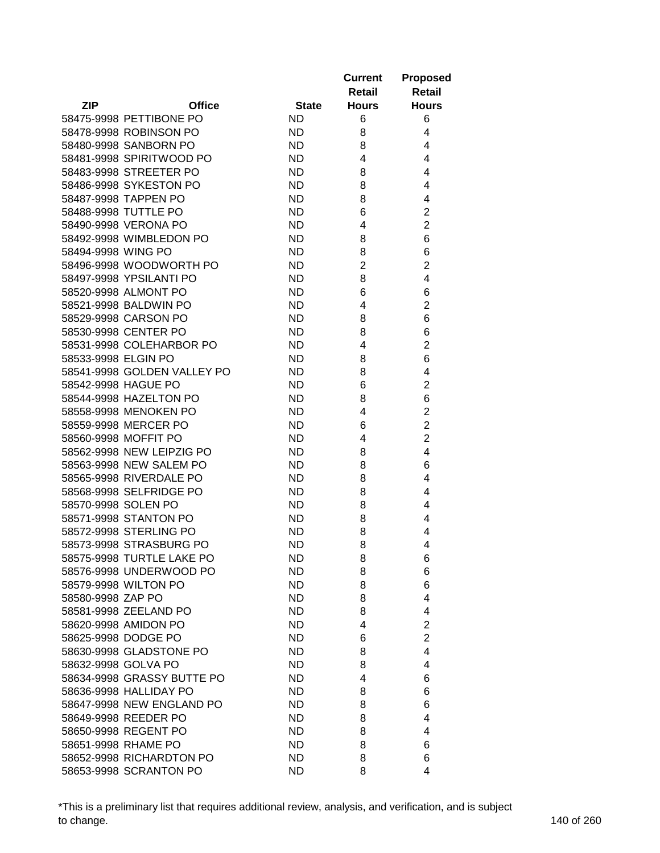|                     |                             |              | <b>Current</b><br>Retail | <b>Proposed</b><br><b>Retail</b> |
|---------------------|-----------------------------|--------------|--------------------------|----------------------------------|
| <b>ZIP</b>          | <b>Office</b>               | <b>State</b> | <b>Hours</b>             | <b>Hours</b>                     |
|                     | 58475-9998 PETTIBONE PO     | <b>ND</b>    | 6                        | 6                                |
|                     | 58478-9998 ROBINSON PO      | <b>ND</b>    | 8                        | 4                                |
|                     | 58480-9998 SANBORN PO       | <b>ND</b>    | 8                        | 4                                |
|                     | 58481-9998 SPIRITWOOD PO    | <b>ND</b>    | 4                        | 4                                |
|                     | 58483-9998 STREETER PO      | <b>ND</b>    | 8                        | 4                                |
|                     | 58486-9998 SYKESTON PO      | <b>ND</b>    | 8                        | 4                                |
|                     | 58487-9998 TAPPEN PO        | <b>ND</b>    | 8                        | 4                                |
|                     | 58488-9998 TUTTLE PO        | <b>ND</b>    | 6                        | $\overline{2}$                   |
|                     | 58490-9998 VERONA PO        | <b>ND</b>    | 4                        | $\overline{2}$                   |
|                     | 58492-9998 WIMBLEDON PO     | <b>ND</b>    | 8                        | 6                                |
| 58494-9998 WING PO  |                             | ND           | 8                        | 6                                |
|                     | 58496-9998 WOODWORTH PO     | <b>ND</b>    | $\overline{2}$           | $\overline{2}$                   |
|                     | 58497-9998 YPSILANTI PO     | <b>ND</b>    | 8                        | 4                                |
|                     | 58520-9998 ALMONT PO        | <b>ND</b>    | 6                        | 6                                |
|                     | 58521-9998 BALDWIN PO       | <b>ND</b>    | 4                        | $\overline{2}$                   |
|                     | 58529-9998 CARSON PO        | <b>ND</b>    | 8                        | 6                                |
|                     | 58530-9998 CENTER PO        | <b>ND</b>    | 8                        | 6                                |
|                     | 58531-9998 COLEHARBOR PO    | <b>ND</b>    | 4                        | $\overline{c}$                   |
| 58533-9998 ELGIN PO |                             | <b>ND</b>    | 8                        | 6                                |
|                     | 58541-9998 GOLDEN VALLEY PO | <b>ND</b>    | 8                        | 4                                |
| 58542-9998 HAGUE PO |                             | <b>ND</b>    | 6                        | $\overline{2}$                   |
|                     | 58544-9998 HAZELTON PO      | <b>ND</b>    | 8                        | 6                                |
|                     | 58558-9998 MENOKEN PO       | <b>ND</b>    | 4                        | $\overline{2}$                   |
|                     | 58559-9998 MERCER PO        | <b>ND</b>    | 6                        | $\overline{2}$                   |
|                     | 58560-9998 MOFFIT PO        | <b>ND</b>    | 4                        | $\overline{2}$                   |
|                     | 58562-9998 NEW LEIPZIG PO   | <b>ND</b>    | 8                        | 4                                |
|                     | 58563-9998 NEW SALEM PO     | <b>ND</b>    | 8                        | 6                                |
|                     | 58565-9998 RIVERDALE PO     | <b>ND</b>    | 8                        | 4                                |
|                     | 58568-9998 SELFRIDGE PO     | <b>ND</b>    | 8                        | 4                                |
| 58570-9998 SOLEN PO |                             | <b>ND</b>    |                          | 4                                |
|                     | 58571-9998 STANTON PO       | <b>ND</b>    | 8<br>8                   | 4                                |
|                     | 58572-9998 STERLING PO      | <b>ND</b>    | 8                        | 4                                |
|                     | 58573-9998 STRASBURG PO     | <b>ND</b>    | 8                        | 4                                |
|                     | 58575-9998 TURTLE LAKE PO   |              |                          |                                  |
|                     | 58576-9998 UNDERWOOD PO     | ND           | 8                        | 6                                |
|                     | 58579-9998 WILTON PO        | ND.          | 8                        | 6                                |
| 58580-9998 ZAP PO   |                             | ND.          | 8                        | 6                                |
|                     |                             | ND.          | 8                        | 4                                |
|                     | 58581-9998 ZEELAND PO       | ND           | 8                        | 4                                |
|                     | 58620-9998 AMIDON PO        | ND           | 4                        | $\overline{2}$<br>$\overline{2}$ |
|                     | 58625-9998 DODGE PO         | <b>ND</b>    | 6                        |                                  |
|                     | 58630-9998 GLADSTONE PO     | ND           | 8                        | 4                                |
| 58632-9998 GOLVA PO |                             | <b>ND</b>    | 8                        | 4                                |
|                     | 58634-9998 GRASSY BUTTE PO  | ND           | 4                        | 6                                |
|                     | 58636-9998 HALLIDAY PO      | ND           | 8                        | 6                                |
|                     | 58647-9998 NEW ENGLAND PO   | ND           | 8                        | 6                                |
|                     | 58649-9998 REEDER PO        | ND           | 8                        | 4                                |
|                     | 58650-9998 REGENT PO        | <b>ND</b>    | 8                        | 4                                |
|                     | 58651-9998 RHAME PO         | <b>ND</b>    | 8                        | 6                                |
|                     | 58652-9998 RICHARDTON PO    | ND.          | 8                        | 6                                |
|                     | 58653-9998 SCRANTON PO      | <b>ND</b>    | 8                        | 4                                |

\*This is a preliminary list that requires additional review, analysis, and verification, and is subject to change. 140 of 260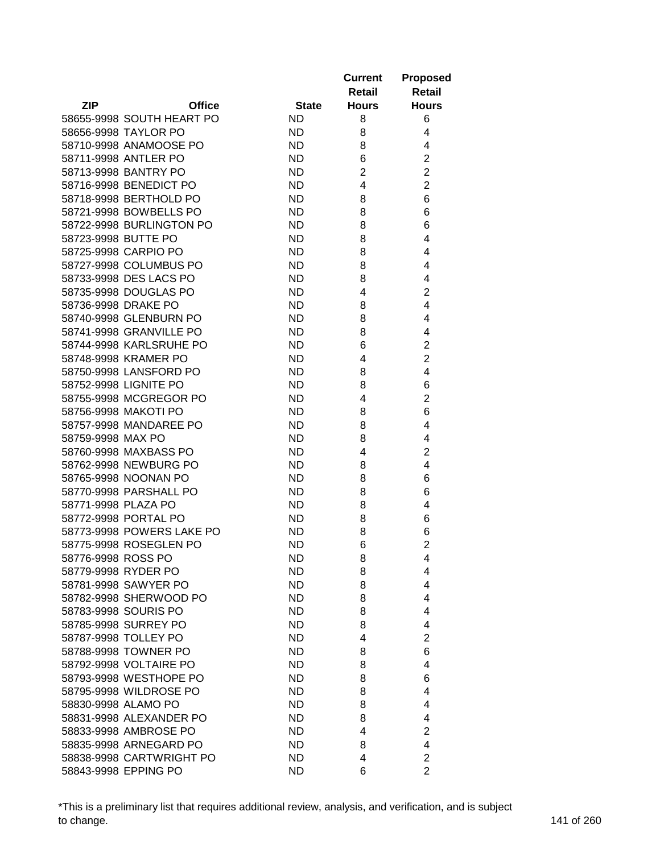|                             |              | <b>Current</b><br>Retail | <b>Proposed</b><br><b>Retail</b> |
|-----------------------------|--------------|--------------------------|----------------------------------|
| <b>ZIP</b><br><b>Office</b> | <b>State</b> | <b>Hours</b>             | <b>Hours</b>                     |
| 58655-9998 SOUTH HEART PO   | ND           | 8                        | 6                                |
| 58656-9998 TAYLOR PO        | <b>ND</b>    | 8                        | 4                                |
| 58710-9998 ANAMOOSE PO      | ND           | 8                        | 4                                |
| 58711-9998 ANTLER PO        | <b>ND</b>    | 6                        | $\overline{2}$                   |
| 58713-9998 BANTRY PO        | <b>ND</b>    | $\overline{2}$           | $\overline{2}$                   |
| 58716-9998 BENEDICT PO      | <b>ND</b>    | 4                        | $\overline{2}$                   |
| 58718-9998 BERTHOLD PO      | <b>ND</b>    | 8                        | 6                                |
| 58721-9998 BOWBELLS PO      | <b>ND</b>    | 8                        | 6                                |
| 58722-9998 BURLINGTON PO    | <b>ND</b>    | 8                        | 6                                |
| 58723-9998 BUTTE PO         | ND           | 8                        | 4                                |
| 58725-9998 CARPIO PO        | <b>ND</b>    | 8                        | 4                                |
| 58727-9998 COLUMBUS PO      | ND           | 8                        | 4                                |
| 58733-9998 DES LACS PO      | <b>ND</b>    | 8                        | 4                                |
| 58735-9998 DOUGLAS PO       | <b>ND</b>    | 4                        | 2                                |
| 58736-9998 DRAKE PO         | <b>ND</b>    | 8                        | 4                                |
| 58740-9998 GLENBURN PO      | ND           | 8                        | 4                                |
| 58741-9998 GRANVILLE PO     | <b>ND</b>    | 8                        | 4                                |
| 58744-9998 KARLSRUHE PO     | <b>ND</b>    | 6                        | $\overline{2}$                   |
| 58748-9998 KRAMER PO        | <b>ND</b>    | 4                        | $\overline{2}$                   |
| 58750-9998 LANSFORD PO      | <b>ND</b>    | 8                        | 4                                |
| 58752-9998 LIGNITE PO       | <b>ND</b>    | 8                        | 6                                |
| 58755-9998 MCGREGOR PO      | <b>ND</b>    | 4                        | $\overline{2}$                   |
| 58756-9998 MAKOTI PO        | <b>ND</b>    | 8                        | 6                                |
| 58757-9998 MANDAREE PO      | <b>ND</b>    | 8                        | 4                                |
| 58759-9998 MAX PO           | <b>ND</b>    | 8                        | 4                                |
| 58760-9998 MAXBASS PO       | <b>ND</b>    | 4                        | 2                                |
| 58762-9998 NEWBURG PO       | <b>ND</b>    | 8                        | 4                                |
| 58765-9998 NOONAN PO        | <b>ND</b>    | 8                        | 6                                |
| 58770-9998 PARSHALL PO      | <b>ND</b>    | 8                        | 6                                |
| 58771-9998 PLAZA PO         | <b>ND</b>    | 8                        | 4                                |
| 58772-9998 PORTAL PO        | <b>ND</b>    | 8                        | 6                                |
| 58773-9998 POWERS LAKE PO   | <b>ND</b>    | 8                        | 6                                |
| 58775-9998 ROSEGLEN PO      | ND           | 6                        | $\overline{2}$                   |
| 58776-9998 ROSS PO          | <b>ND</b>    | 8                        | 4                                |
| 58779-9998 RYDER PO         | ND.          | 8                        | 4                                |
| 58781-9998 SAWYER PO        | ND.          | 8                        | 4                                |
| 58782-9998 SHERWOOD PO      | ND           | 8                        | 4                                |
| 58783-9998 SOURIS PO        | <b>ND</b>    | 8                        | 4                                |
| 58785-9998 SURREY PO        | <b>ND</b>    | 8                        | 4                                |
| 58787-9998 TOLLEY PO        | <b>ND</b>    | 4                        | $\overline{2}$                   |
| 58788-9998 TOWNER PO        | ND           | 8                        | 6                                |
| 58792-9998 VOLTAIRE PO      | <b>ND</b>    | 8                        | 4                                |
| 58793-9998 WESTHOPE PO      | ND           | 8                        | 6                                |
| 58795-9998 WILDROSE PO      | ND           | 8                        | 4                                |
| 58830-9998 ALAMO PO         | ND           | 8                        | 4                                |
| 58831-9998 ALEXANDER PO     | ND           | 8                        | 4                                |
| 58833-9998 AMBROSE PO       | <b>ND</b>    | 4                        | 2                                |
| 58835-9998 ARNEGARD PO      | <b>ND</b>    | 8                        | 4                                |
| 58838-9998 CARTWRIGHT PO    | ND           | 4                        | $\overline{2}$                   |
| 58843-9998 EPPING PO        | <b>ND</b>    | 6                        | $\overline{2}$                   |

\*This is a preliminary list that requires additional review, analysis, and verification, and is subject to change. 141 of 260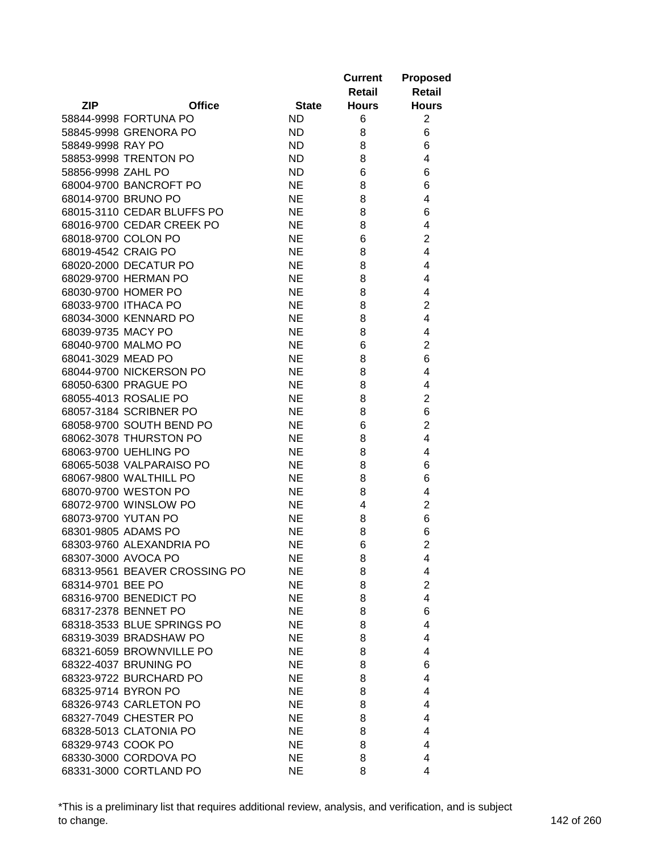|                     |                                               |              | <b>Current</b><br>Retail | <b>Proposed</b><br><b>Retail</b> |
|---------------------|-----------------------------------------------|--------------|--------------------------|----------------------------------|
| <b>ZIP</b>          | <b>Office</b>                                 | <b>State</b> | <b>Hours</b>             | <b>Hours</b>                     |
|                     | 58844-9998 FORTUNA PO                         | ND           | 6                        | $\overline{2}$                   |
|                     | 58845-9998 GRENORA PO                         | ND           | 8                        | 6                                |
| 58849-9998 RAY PO   |                                               | <b>ND</b>    | 8                        | 6                                |
|                     | 58853-9998 TRENTON PO                         | <b>ND</b>    | 8                        | 4                                |
| 58856-9998 ZAHL PO  |                                               | <b>ND</b>    | 6                        | 6                                |
|                     | 68004-9700 BANCROFT PO                        | <b>NE</b>    | 8                        | 6                                |
|                     | 68014-9700 BRUNO PO                           | <b>NE</b>    | 8                        | 4                                |
|                     | 68015-3110 CEDAR BLUFFS PO                    | <b>NE</b>    | 8                        | 6                                |
|                     | 68016-9700 CEDAR CREEK PO                     | <b>NE</b>    | 8                        | 4                                |
|                     | 68018-9700 COLON PO                           | <b>NE</b>    | 6                        | $\overline{2}$                   |
| 68019-4542 CRAIG PO |                                               | <b>NE</b>    | 8                        | 4                                |
|                     | 68020-2000 DECATUR PO                         | <b>NE</b>    | 8                        | 4                                |
|                     | 68029-9700 HERMAN PO                          | <b>NE</b>    | 8                        | 4                                |
|                     | 68030-9700 HOMER PO                           | <b>NE</b>    | 8                        | 4                                |
|                     |                                               | <b>NE</b>    |                          |                                  |
|                     | 68033-9700 ITHACA PO<br>68034-3000 KENNARD PO |              | 8                        | $\overline{2}$                   |
|                     |                                               | <b>NE</b>    | 8                        | 4                                |
| 68039-9735 MACY PO  |                                               | <b>NE</b>    | 8                        | 4                                |
|                     | 68040-9700 MALMO PO                           | <b>NE</b>    | 6                        | $\overline{2}$                   |
| 68041-3029 MEAD PO  |                                               | <b>NE</b>    | 8                        | 6                                |
|                     | 68044-9700 NICKERSON PO                       | <b>NE</b>    | 8                        | 4                                |
|                     | 68050-6300 PRAGUE PO                          | <b>NE</b>    | 8                        | 4                                |
|                     | 68055-4013 ROSALIE PO                         | <b>NE</b>    | 8                        | $\overline{2}$                   |
|                     | 68057-3184 SCRIBNER PO                        | <b>NE</b>    | 8                        | 6                                |
|                     | 68058-9700 SOUTH BEND PO                      | <b>NE</b>    | 6                        | $\overline{2}$                   |
|                     | 68062-3078 THURSTON PO                        | <b>NE</b>    | 8                        | 4                                |
|                     | 68063-9700 UEHLING PO                         | <b>NE</b>    | 8                        | 4                                |
|                     | 68065-5038 VALPARAISO PO                      | <b>NE</b>    | 8                        | 6                                |
|                     | 68067-9800 WALTHILL PO                        | <b>NE</b>    | 8                        | 6                                |
|                     | 68070-9700 WESTON PO                          | <b>NE</b>    | 8                        | 4                                |
|                     | 68072-9700 WINSLOW PO                         | <b>NE</b>    | 4                        | $\overline{2}$                   |
| 68073-9700 YUTAN PO |                                               | <b>NE</b>    | 8                        | 6                                |
| 68301-9805 ADAMS PO |                                               | <b>NE</b>    | 8                        | 6                                |
|                     | 68303-9760 ALEXANDRIA PO                      | <b>NE</b>    | 6                        | $\overline{2}$                   |
| 68307-3000 AVOCA PO |                                               | NE           | 8                        | 4                                |
|                     | 68313-9561 BEAVER CROSSING PO                 | NE           | 8                        | 4                                |
| 68314-9701 BEE PO   |                                               | <b>NE</b>    | 8                        | $\overline{2}$                   |
|                     | 68316-9700 BENEDICT PO                        | <b>NE</b>    | 8                        | 4                                |
|                     | 68317-2378 BENNET PO                          | <b>NE</b>    | 8                        | 6                                |
|                     | 68318-3533 BLUE SPRINGS PO                    | <b>NE</b>    | 8                        | 4                                |
|                     | 68319-3039 BRADSHAW PO                        | <b>NE</b>    | 8                        | 4                                |
|                     | 68321-6059 BROWNVILLE PO                      | <b>NE</b>    | 8                        | 4                                |
|                     | 68322-4037 BRUNING PO                         | <b>NE</b>    | 8                        | 6                                |
|                     | 68323-9722 BURCHARD PO                        | <b>NE</b>    | 8                        | 4                                |
|                     | 68325-9714 BYRON PO                           | NE           | 8                        | 4                                |
|                     | 68326-9743 CARLETON PO                        | <b>NE</b>    | 8                        | 4                                |
|                     | 68327-7049 CHESTER PO                         | <b>NE</b>    | 8                        | 4                                |
|                     | 68328-5013 CLATONIA PO                        | <b>NE</b>    | 8                        | 4                                |
| 68329-9743 COOK PO  |                                               | <b>NE</b>    | 8                        | 4                                |
|                     | 68330-3000 CORDOVA PO                         | <b>NE</b>    | 8                        | 4                                |
|                     | 68331-3000 CORTLAND PO                        | <b>NE</b>    | 8                        | 4                                |

\*This is a preliminary list that requires additional review, analysis, and verification, and is subject to change. 142 of 260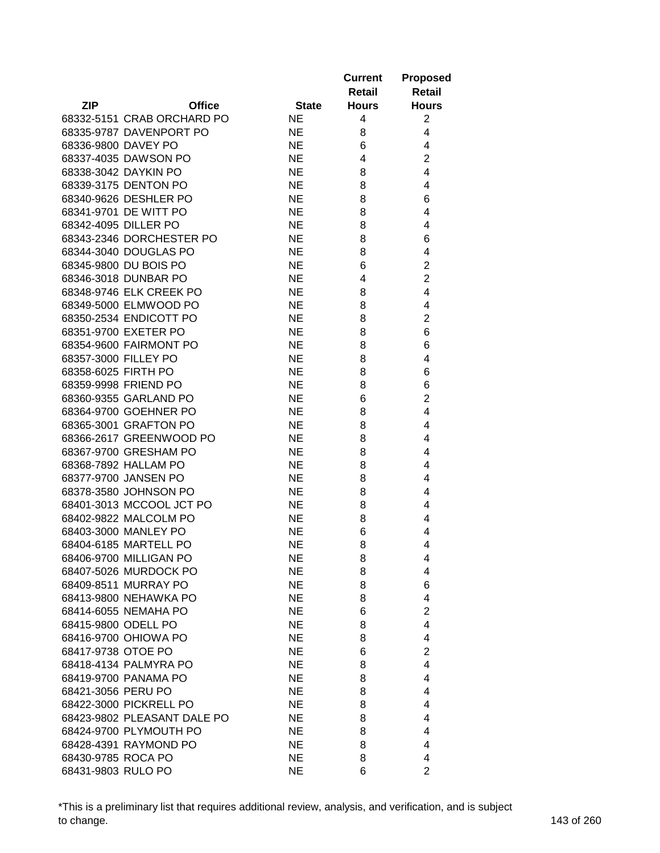|                             |              | <b>Current</b><br>Retail | <b>Proposed</b><br><b>Retail</b> |
|-----------------------------|--------------|--------------------------|----------------------------------|
| <b>ZIP</b><br><b>Office</b> | <b>State</b> | <b>Hours</b>             | <b>Hours</b>                     |
| 68332-5151 CRAB ORCHARD PO  | NE.          | 4                        | $\overline{2}$                   |
| 68335-9787 DAVENPORT PO     | <b>NE</b>    | 8                        | 4                                |
| 68336-9800 DAVEY PO         | <b>NE</b>    | 6                        | 4                                |
| 68337-4035 DAWSON PO        | <b>NE</b>    | 4                        | $\overline{2}$                   |
| 68338-3042 DAYKIN PO        | <b>NE</b>    | 8                        | 4                                |
| 68339-3175 DENTON PO        | <b>NE</b>    | 8                        | 4                                |
| 68340-9626 DESHLER PO       | <b>NE</b>    | 8                        | 6                                |
| 68341-9701 DE WITT PO       | <b>NE</b>    | 8                        | 4                                |
| 68342-4095 DILLER PO        | <b>NE</b>    | 8                        | 4                                |
| 68343-2346 DORCHESTER PO    | <b>NE</b>    | 8                        | 6                                |
| 68344-3040 DOUGLAS PO       | <b>NE</b>    | 8                        | 4                                |
| 68345-9800 DU BOIS PO       | NE.          | 6                        | 2                                |
| 68346-3018 DUNBAR PO        | <b>NE</b>    | 4                        | $\overline{2}$                   |
| 68348-9746 ELK CREEK PO     | <b>NE</b>    | 8                        | 4                                |
|                             |              |                          | 4                                |
| 68349-5000 ELMWOOD PO       | <b>NE</b>    | 8                        |                                  |
| 68350-2534 ENDICOTT PO      | <b>NE</b>    | 8                        | 2                                |
| 68351-9700 EXETER PO        | <b>NE</b>    | 8                        | 6                                |
| 68354-9600 FAIRMONT PO      | <b>NE</b>    | 8                        | 6                                |
| 68357-3000 FILLEY PO        | <b>NE</b>    | 8                        | 4                                |
| 68358-6025 FIRTH PO         | <b>NE</b>    | 8                        | 6                                |
| 68359-9998 FRIEND PO        | <b>NE</b>    | 8                        | 6                                |
| 68360-9355 GARLAND PO       | <b>NE</b>    | 6                        | $\overline{2}$                   |
| 68364-9700 GOEHNER PO       | <b>NE</b>    | 8                        | 4                                |
| 68365-3001 GRAFTON PO       | <b>NE</b>    | 8                        | 4                                |
| 68366-2617 GREENWOOD PO     | <b>NE</b>    | 8                        | 4                                |
| 68367-9700 GRESHAM PO       | <b>NE</b>    | 8                        | 4                                |
| 68368-7892 HALLAM PO        | <b>NE</b>    | 8                        | 4                                |
| 68377-9700 JANSEN PO        | <b>NE</b>    | 8                        | 4                                |
| 68378-3580 JOHNSON PO       | <b>NE</b>    | 8                        | 4                                |
| 68401-3013 MCCOOL JCT PO    | NE.          | 8                        | 4                                |
| 68402-9822 MALCOLM PO       | NE.          | 8                        | 4                                |
| 68403-3000 MANLEY PO        | <b>NE</b>    | 6                        | 4                                |
| 68404-6185 MARTELL PO       | <b>NE</b>    | 8                        | 4                                |
| 68406-9700 MILLIGAN PO      | <b>NE</b>    | 8                        | 4                                |
| 68407-5026 MURDOCK PO       | <b>NE</b>    | 8                        | 4                                |
| 68409-8511 MURRAY PO        | <b>NE</b>    | 8                        | 6                                |
| 68413-9800 NEHAWKA PO       | <b>NE</b>    | 8                        | 4                                |
| 68414-6055 NEMAHA PO        | <b>NE</b>    | 6                        | $\overline{2}$                   |
| 68415-9800 ODELL PO         | <b>NE</b>    | 8                        | 4                                |
| 68416-9700 OHIOWA PO        | <b>NE</b>    | 8                        | 4                                |
| 68417-9738 OTOE PO          | <b>NE</b>    | 6                        | $\overline{2}$                   |
| 68418-4134 PALMYRA PO       | <b>NE</b>    | 8                        | 4                                |
| 68419-9700 PANAMA PO        | <b>NE</b>    | 8                        | 4                                |
| 68421-3056 PERU PO          | NE           | 8                        | 4                                |
| 68422-3000 PICKRELL PO      | <b>NE</b>    | 8                        | 4                                |
|                             |              |                          |                                  |
| 68423-9802 PLEASANT DALE PO | NE.          | 8                        | 4                                |
| 68424-9700 PLYMOUTH PO      | NE.          | 8                        | 4                                |
| 68428-4391 RAYMOND PO       | NE.          | 8                        | 4                                |
| 68430-9785 ROCA PO          | NE.          | 8                        | 4                                |
| 68431-9803 RULO PO          | <b>NE</b>    | 6                        | $\overline{2}$                   |

\*This is a preliminary list that requires additional review, analysis, and verification, and is subject to change. 143 of 260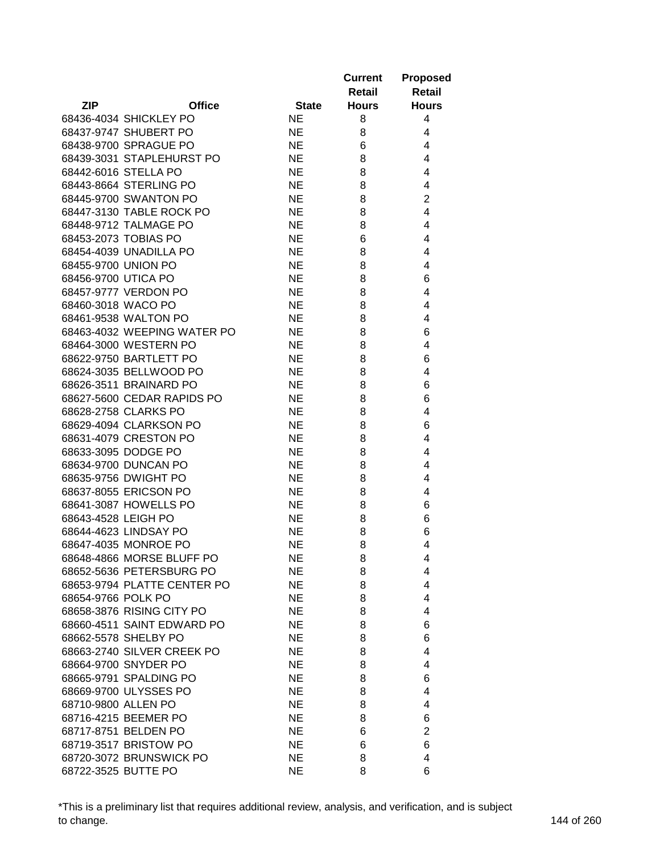|                     |                                                  |              | <b>Current</b><br>Retail | <b>Proposed</b><br><b>Retail</b> |
|---------------------|--------------------------------------------------|--------------|--------------------------|----------------------------------|
| <b>ZIP</b>          | <b>Office</b>                                    | <b>State</b> | <b>Hours</b>             | <b>Hours</b>                     |
|                     | 68436-4034 SHICKLEY PO                           | <b>NE</b>    | 8                        | 4                                |
|                     | 68437-9747 SHUBERT PO                            | <b>NE</b>    | 8                        | 4                                |
|                     | 68438-9700 SPRAGUE PO                            | <b>NE</b>    | 6                        | 4                                |
|                     | 68439-3031 STAPLEHURST PO                        | <b>NE</b>    | 8                        | 4                                |
|                     | 68442-6016 STELLA PO                             | <b>NE</b>    | 8                        | 4                                |
|                     | 68443-8664 STERLING PO                           | <b>NE</b>    | 8                        | 4                                |
|                     | 68445-9700 SWANTON PO                            | <b>NE</b>    | 8                        | $\overline{2}$                   |
|                     | 68447-3130 TABLE ROCK PO                         | <b>NE</b>    | 8                        | 4                                |
|                     | 68448-9712 TALMAGE PO                            | <b>NE</b>    | 8                        | 4                                |
|                     | 68453-2073 TOBIAS PO                             | <b>NE</b>    | 6                        | 4                                |
|                     | 68454-4039 UNADILLA PO                           | <b>NE</b>    | 8                        | 4                                |
| 68455-9700 UNION PO |                                                  | NE.          | 8                        | 4                                |
| 68456-9700 UTICA PO |                                                  | <b>NE</b>    | 8                        | 6                                |
|                     | 68457-9777 VERDON PO                             | <b>NE</b>    | 8                        | 4                                |
| 68460-3018 WACO PO  |                                                  | <b>NE</b>    | 8                        | 4                                |
|                     | 68461-9538 WALTON PO                             | <b>NE</b>    | 8                        | 4                                |
|                     | 68463-4032 WEEPING WATER PO                      | <b>NE</b>    | 8                        | 6                                |
|                     | 68464-3000 WESTERN PO                            | <b>NE</b>    | 8                        | 4                                |
|                     | 68622-9750 BARTLETT PO                           | <b>NE</b>    | 8                        | 6                                |
|                     | 68624-3035 BELLWOOD PO                           | <b>NE</b>    | 8                        | 4                                |
|                     | 68626-3511 BRAINARD PO                           | <b>NE</b>    | 8                        | 6                                |
|                     | 68627-5600 CEDAR RAPIDS PO                       | <b>NE</b>    | 8                        | 6                                |
|                     | 68628-2758 CLARKS PO                             | <b>NE</b>    | 8                        | 4                                |
|                     | 68629-4094 CLARKSON PO                           | <b>NE</b>    | 8                        | 6                                |
|                     | 68631-4079 CRESTON PO                            | <b>NE</b>    | 8                        | 4                                |
|                     | 68633-3095 DODGE PO                              | <b>NE</b>    | 8                        | 4                                |
|                     | 68634-9700 DUNCAN PO                             | NE.          | 8                        | 4                                |
|                     | 68635-9756 DWIGHT PO                             | <b>NE</b>    | 8                        | 4                                |
|                     | 68637-8055 ERICSON PO                            | NE.          | 8                        | 4                                |
|                     | 68641-3087 HOWELLS PO                            | NE.          | 8                        | 6                                |
| 68643-4528 LEIGH PO |                                                  | NE.          | 8                        | 6                                |
|                     | 68644-4623 LINDSAY PO                            | <b>NE</b>    | 8                        | 6                                |
|                     | 68647-4035 MONROE PO                             | <b>NE</b>    | 8                        | 4                                |
|                     | 68648-4866 MORSE BLUFF PO                        | NE.          | 8                        | 4                                |
|                     | 68652-5636 PETERSBURG PO                         | <b>NE</b>    | 8                        | 4                                |
|                     | 68653-9794 PLATTE CENTER PO                      | <b>NE</b>    | 8                        | 4                                |
| 68654-9766 POLK PO  |                                                  | NE.          | 8                        | 4                                |
|                     | 68658-3876 RISING CITY PO                        | <b>NE</b>    | 8                        | 4                                |
|                     | 68660-4511 SAINT EDWARD PO                       | <b>NE</b>    | 8                        | 6                                |
|                     | 68662-5578 SHELBY PO                             | <b>NE</b>    | 8                        | 6                                |
|                     | 68663-2740 SILVER CREEK PO                       | <b>NE</b>    | 8                        | 4                                |
|                     | 68664-9700 SNYDER PO                             | <b>NE</b>    | 8                        | 4                                |
|                     | 68665-9791 SPALDING PO                           | <b>NE</b>    | 8                        | 6                                |
|                     | 68669-9700 ULYSSES PO                            | NE.          | 8                        | 4                                |
| 68710-9800 ALLEN PO |                                                  | NE.          | 8                        | 4                                |
|                     | 68716-4215 BEEMER PO                             | NE.          | 8                        | 6                                |
|                     | 68717-8751 BELDEN PO                             | NE.          | 6                        | $\overline{2}$                   |
|                     |                                                  |              |                          | 6                                |
|                     | 68719-3517 BRISTOW PO<br>68720-3072 BRUNSWICK PO | NE.          | 6                        |                                  |
|                     |                                                  | <b>NE</b>    | 8<br>8                   | 4<br>6                           |
| 68722-3525 BUTTE PO |                                                  | <b>NE</b>    |                          |                                  |

\*This is a preliminary list that requires additional review, analysis, and verification, and is subject to change. 144 of 260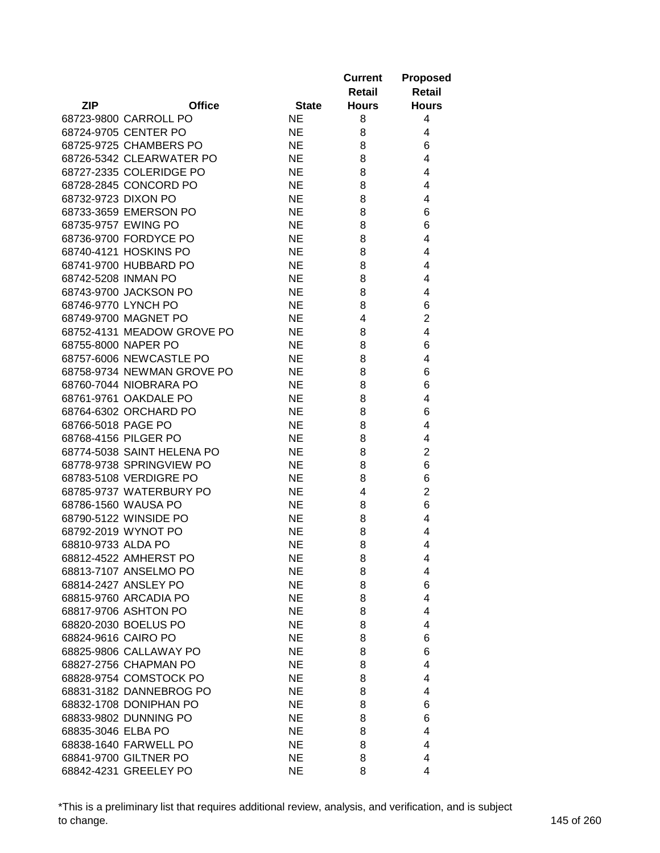|                                               |               |                        | <b>Current</b> | <b>Proposed</b> |
|-----------------------------------------------|---------------|------------------------|----------------|-----------------|
|                                               |               |                        | Retail         | <b>Retail</b>   |
| <b>ZIP</b>                                    | <b>Office</b> | <b>State</b>           | <b>Hours</b>   | <b>Hours</b>    |
| 68723-9800 CARROLL PO                         |               | <b>NE</b>              | 8              | 4               |
| 68724-9705 CENTER PO                          |               | <b>NE</b>              | 8              | 4               |
| 68725-9725 CHAMBERS PO                        |               | <b>NE</b>              | 8              | 6               |
| 68726-5342 CLEARWATER PO                      |               | <b>NE</b>              | 8              | 4               |
| 68727-2335 COLERIDGE PO                       |               | <b>NE</b>              | 8              | 4               |
| 68728-2845 CONCORD PO                         |               | <b>NE</b>              | 8              | 4               |
| 68732-9723 DIXON PO                           |               | <b>NE</b>              | 8              | 4               |
| 68733-3659 EMERSON PO                         |               | <b>NE</b>              | 8              | 6               |
| 68735-9757 EWING PO                           |               | NE.                    | 8              | 6               |
| 68736-9700 FORDYCE PO                         |               | <b>NE</b>              | 8              | 4               |
| 68740-4121 HOSKINS PO                         |               | <b>NE</b>              | 8              | 4               |
| 68741-9700 HUBBARD PO                         |               | <b>NE</b>              | 8              | 4               |
| 68742-5208 INMAN PO                           |               | <b>NE</b>              | 8              | 4               |
| 68743-9700 JACKSON PO                         |               | <b>NE</b>              | 8              | 4               |
| 68746-9770 LYNCH PO                           |               | <b>NE</b>              | 8              | 6               |
| 68749-9700 MAGNET PO                          |               | <b>NE</b>              | 4              | $\overline{2}$  |
| 68752-4131 MEADOW GROVE PO                    |               | <b>NE</b>              | 8              | 4               |
| 68755-8000 NAPER PO                           |               | <b>NE</b>              | 8              | 6               |
| 68757-6006 NEWCASTLE PO                       |               | <b>NE</b>              | 8              | 4               |
| 68758-9734 NEWMAN GROVE PO                    |               | <b>NE</b>              | 8              | 6               |
| 68760-7044 NIOBRARA PO                        |               | <b>NE</b>              | 8              | 6               |
| 68761-9761 OAKDALE PO                         |               | <b>NE</b>              | 8              | 4               |
| 68764-6302 ORCHARD PO                         |               | <b>NE</b>              | 8              | 6               |
| 68766-5018 PAGE PO                            |               | <b>NE</b>              | 8              | 4               |
| 68768-4156 PILGER PO                          |               | <b>NE</b>              | 8              | 4               |
| 68774-5038 SAINT HELENA PO                    |               | <b>NE</b>              | 8              | $\overline{2}$  |
| 68778-9738 SPRINGVIEW PO                      |               | <b>NE</b>              | 8              | 6               |
| 68783-5108 VERDIGRE PO                        |               | <b>NE</b>              | 8              | 6               |
| 68785-9737 WATERBURY PO                       |               | <b>NE</b>              | 4              | $\overline{c}$  |
| 68786-1560 WAUSA PO                           |               | <b>NE</b>              |                | 6               |
| 68790-5122 WINSIDE PO                         |               | <b>NE</b>              | 8<br>8         | 4               |
| 68792-2019 WYNOT PO                           |               | <b>NE</b>              |                |                 |
| 68810-9733 ALDA PO                            |               | <b>NE</b>              | 8              | 4               |
| 68812-4522 AMHERST PO                         |               |                        | 8              | 4               |
|                                               |               | <b>NE</b>              | 8              | 4               |
| 68813-7107 ANSELMO PO                         |               | <b>NE</b><br><b>NE</b> | 8<br>8         | 4<br>6          |
| 68814-2427 ANSLEY PO                          |               |                        |                |                 |
| 68815-9760 ARCADIA PO<br>68817-9706 ASHTON PO |               | <b>NE</b>              | 8              | 4               |
|                                               |               | <b>NE</b>              | 8              | 4               |
| 68820-2030 BOELUS PO                          |               | <b>NE</b>              | 8              | 4               |
| 68824-9616 CAIRO PO                           |               | <b>NE</b>              | 8              | 6               |
| 68825-9806 CALLAWAY PO                        |               | <b>NE</b>              | 8              | 6               |
| 68827-2756 CHAPMAN PO                         |               | NE                     | 8              | 4               |
| 68828-9754 COMSTOCK PO                        |               | <b>NE</b>              | 8              | 4               |
| 68831-3182 DANNEBROG PO                       |               | <b>NE</b>              | 8              | 4               |
| 68832-1708 DONIPHAN PO                        |               | <b>NE</b>              | 8              | 6               |
| 68833-9802 DUNNING PO                         |               | <b>NE</b>              | 8              | 6               |
| 68835-3046 ELBA PO                            |               | <b>NE</b>              | 8              | 4               |
| 68838-1640 FARWELL PO                         |               | <b>NE</b>              | 8              | 4               |
| 68841-9700 GILTNER PO                         |               | <b>NE</b>              | 8              | 4               |
| 68842-4231 GREELEY PO                         |               | <b>NE</b>              | 8              | 4               |

\*This is a preliminary list that requires additional review, analysis, and verification, and is subject to change. 145 of 260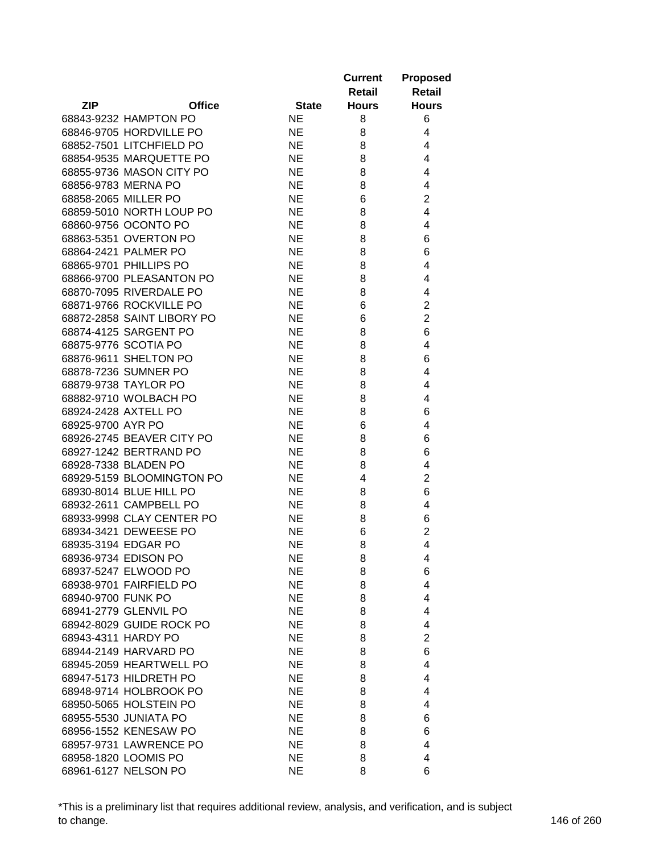|                             |                        | <b>Current</b><br>Retail | <b>Proposed</b><br><b>Retail</b> |
|-----------------------------|------------------------|--------------------------|----------------------------------|
| <b>ZIP</b><br><b>Office</b> | <b>State</b>           | <b>Hours</b>             | <b>Hours</b>                     |
| 68843-9232 HAMPTON PO       | NE.                    | 8                        | 6                                |
| 68846-9705 HORDVILLE PO     | <b>NE</b>              | 8                        | 4                                |
| 68852-7501 LITCHFIELD PO    | <b>NE</b>              | 8                        | 4                                |
| 68854-9535 MARQUETTE PO     | <b>NE</b>              | 8                        | 4                                |
| 68855-9736 MASON CITY PO    | <b>NE</b>              | 8                        | 4                                |
| 68856-9783 MERNA PO         | <b>NE</b>              | 8                        | 4                                |
| 68858-2065 MILLER PO        | <b>NE</b>              | 6                        | $\overline{2}$                   |
| 68859-5010 NORTH LOUP PO    | <b>NE</b>              | 8                        | 4                                |
| 68860-9756 OCONTO PO        | <b>NE</b>              | 8                        | 4                                |
| 68863-5351 OVERTON PO       | <b>NE</b>              | 8                        | 6                                |
| 68864-2421 PALMER PO        | <b>NE</b>              | 8                        | 6                                |
| 68865-9701 PHILLIPS PO      | <b>NE</b>              | 8                        | 4                                |
| 68866-9700 PLEASANTON PO    | <b>NE</b>              | 8                        | 4                                |
| 68870-7095 RIVERDALE PO     | <b>NE</b>              | 8                        | 4                                |
| 68871-9766 ROCKVILLE PO     | NE.                    | 6                        | $\overline{2}$                   |
| 68872-2858 SAINT LIBORY PO  | <b>NE</b>              | 6                        | $\overline{2}$                   |
| 68874-4125 SARGENT PO       | <b>NE</b>              | 8                        | 6                                |
| 68875-9776 SCOTIA PO        | <b>NE</b>              | 8                        | 4                                |
| 68876-9611 SHELTON PO       | <b>NE</b>              | 8                        | 6                                |
| 68878-7236 SUMNER PO        | <b>NE</b>              | 8                        | 4                                |
| 68879-9738 TAYLOR PO        | <b>NE</b>              | 8                        | 4                                |
| 68882-9710 WOLBACH PO       | <b>NE</b>              | 8                        | 4                                |
| 68924-2428 AXTELL PO        | <b>NE</b>              | 8                        | 6                                |
| 68925-9700 AYR PO           | <b>NE</b>              | 6                        | 4                                |
| 68926-2745 BEAVER CITY PO   | <b>NE</b>              | 8                        | 6                                |
| 68927-1242 BERTRAND PO      | <b>NE</b>              | 8                        | 6                                |
| 68928-7338 BLADEN PO        | <b>NE</b>              | 8                        | 4                                |
| 68929-5159 BLOOMINGTON PO   | <b>NE</b>              | 4                        | $\overline{2}$                   |
| 68930-8014 BLUE HILL PO     | <b>NE</b>              | 8                        | 6                                |
| 68932-2611 CAMPBELL PO      | <b>NE</b>              | 8                        | 4                                |
| 68933-9998 CLAY CENTER PO   | NE.                    | 8                        | 6                                |
| 68934-3421 DEWEESE PO       | NE                     | 6                        | $\overline{2}$                   |
| 68935-3194 EDGAR PO         | <b>NE</b>              | 8                        | 4                                |
| 68936-9734 EDISON PO        | <b>NE</b>              |                          |                                  |
| 68937-5247 ELWOOD PO        |                        | 8                        | 4                                |
| 68938-9701 FAIRFIELD PO     | <b>NE</b>              | 8                        | 6                                |
| 68940-9700 FUNK PO          | <b>NE</b><br><b>NE</b> | 8                        | 4                                |
| 68941-2779 GLENVIL PO       | <b>NE</b>              | 8                        | 4                                |
| 68942-8029 GUIDE ROCK PO    | <b>NE</b>              | 8                        | 4<br>4                           |
|                             |                        | 8                        | $\overline{2}$                   |
| 68943-4311 HARDY PO         | <b>NE</b>              | 8                        |                                  |
| 68944-2149 HARVARD PO       | <b>NE</b>              | 8                        | 6                                |
| 68945-2059 HEARTWELL PO     | <b>NE</b>              | 8                        | 4                                |
| 68947-5173 HILDRETH PO      | <b>NE</b>              | 8                        | 4                                |
| 68948-9714 HOLBROOK PO      | <b>NE</b>              | 8                        | 4                                |
| 68950-5065 HOLSTEIN PO      | NE                     | 8                        | 4                                |
| 68955-5530 JUNIATA PO       | <b>NE</b>              | 8                        | 6                                |
| 68956-1552 KENESAW PO       | <b>NE</b>              | 8                        | 6                                |
| 68957-9731 LAWRENCE PO      | NE                     | 8                        | 4                                |
| 68958-1820 LOOMIS PO        | NE                     | 8                        | 4                                |
| 68961-6127 NELSON PO        | <b>NE</b>              | 8                        | 6                                |

\*This is a preliminary list that requires additional review, analysis, and verification, and is subject to change. 146 of 260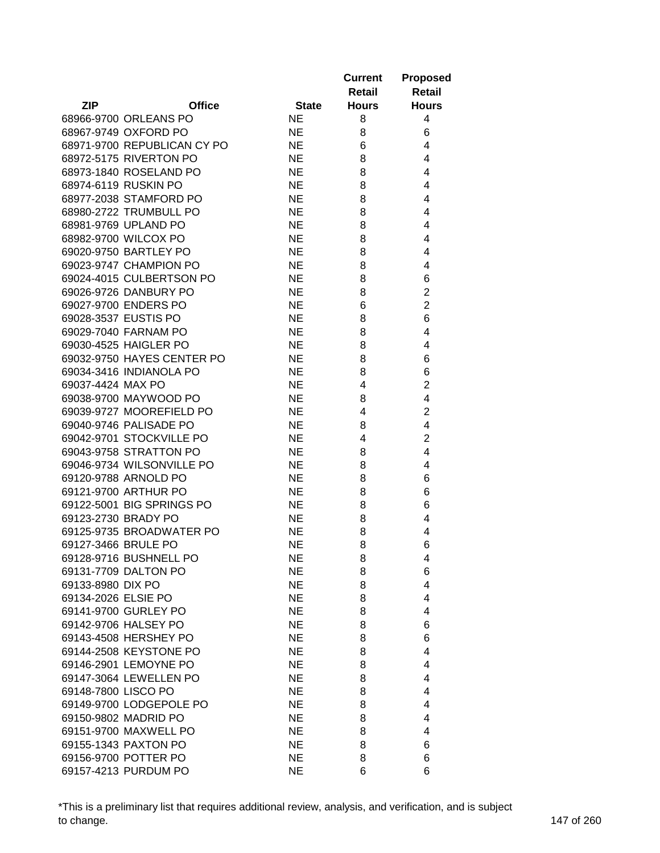|                             |              | <b>Current</b> | <b>Proposed</b> |
|-----------------------------|--------------|----------------|-----------------|
|                             |              | Retail         | <b>Retail</b>   |
| <b>ZIP</b><br><b>Office</b> | <b>State</b> | <b>Hours</b>   | <b>Hours</b>    |
| 68966-9700 ORLEANS PO       | <b>NE</b>    | 8              | 4               |
| 68967-9749 OXFORD PO        | <b>NE</b>    | 8              | 6               |
| 68971-9700 REPUBLICAN CY PO | <b>NE</b>    | 6              | 4               |
| 68972-5175 RIVERTON PO      | <b>NE</b>    | 8              | 4               |
| 68973-1840 ROSELAND PO      | <b>NE</b>    | 8              | $\overline{4}$  |
| 68974-6119 RUSKIN PO        | <b>NE</b>    | 8              | $\overline{4}$  |
| 68977-2038 STAMFORD PO      | <b>NE</b>    | 8              | 4               |
| 68980-2722 TRUMBULL PO      | <b>NE</b>    | 8              | $\overline{4}$  |
| 68981-9769 UPLAND PO        | NE.          | 8              | 4               |
| 68982-9700 WILCOX PO        | <b>NE</b>    | 8              | 4               |
| 69020-9750 BARTLEY PO       | <b>NE</b>    | 8              | 4               |
| 69023-9747 CHAMPION PO      | <b>NE</b>    | 8              | 4               |
| 69024-4015 CULBERTSON PO    | NE.          | 8              | 6               |
| 69026-9726 DANBURY PO       | <b>NE</b>    | 8              | $\overline{c}$  |
| 69027-9700 ENDERS PO        | <b>NE</b>    | 6              | $\overline{c}$  |
| 69028-3537 EUSTIS PO        | <b>NE</b>    | 8              | 6               |
| 69029-7040 FARNAM PO        | <b>NE</b>    | 8              | 4               |
| 69030-4525 HAIGLER PO       | <b>NE</b>    | 8              | 4               |
| 69032-9750 HAYES CENTER PO  | <b>NE</b>    | 8              | 6               |
| 69034-3416 INDIANOLA PO     | <b>NE</b>    | 8              | 6               |
| 69037-4424 MAX PO           | <b>NE</b>    | 4              | $\overline{c}$  |
| 69038-9700 MAYWOOD PO       | <b>NE</b>    | 8              | $\overline{4}$  |
| 69039-9727 MOOREFIELD PO    | <b>NE</b>    | 4              | $\overline{2}$  |
| 69040-9746 PALISADE PO      | <b>NE</b>    | 8              | $\overline{4}$  |
| 69042-9701 STOCKVILLE PO    | <b>NE</b>    | 4              | $\overline{2}$  |
| 69043-9758 STRATTON PO      | NE.          | 8              | $\overline{4}$  |
| 69046-9734 WILSONVILLE PO   | <b>NE</b>    | 8              | 4               |
| 69120-9788 ARNOLD PO        | <b>NE</b>    | 8              | 6               |
| 69121-9700 ARTHUR PO        | <b>NE</b>    | 8              | 6               |
| 69122-5001 BIG SPRINGS PO   | <b>NE</b>    | 8              | 6               |
| 69123-2730 BRADY PO         | <b>NE</b>    | 8              | 4               |
| 69125-9735 BROADWATER PO    | <b>NE</b>    | 8              | 4               |
| 69127-3466 BRULE PO         | <b>NE</b>    | 8              | 6               |
| 69128-9716 BUSHNELL PO      | <b>NE</b>    | 8              | 4               |
| 69131-7709 DALTON PO        | <b>NE</b>    | 8              | 6               |
| 69133-8980 DIX PO           | <b>NE</b>    | 8              | $\overline{4}$  |
| 69134-2026 ELSIE PO         | <b>NE</b>    | 8              | 4               |
| 69141-9700 GURLEY PO        | <b>NE</b>    | 8              | 4               |
| 69142-9706 HALSEY PO        | <b>NE</b>    | 8              | 6               |
| 69143-4508 HERSHEY PO       | <b>NE</b>    | 8              | 6               |
| 69144-2508 KEYSTONE PO      | <b>NE</b>    | 8              | 4               |
| 69146-2901 LEMOYNE PO       | NE           | 8              | 4               |
| 69147-3064 LEWELLEN PO      | NE           | 8              | 4               |
| 69148-7800 LISCO PO         | <b>NE</b>    | 8              | 4               |
| 69149-9700 LODGEPOLE PO     | <b>NE</b>    | 8              | 4               |
| 69150-9802 MADRID PO        | <b>NE</b>    | 8              | 4               |
| 69151-9700 MAXWELL PO       | <b>NE</b>    | 8              | 4               |
| 69155-1343 PAXTON PO        | NE           | 8              | 6               |
| 69156-9700 POTTER PO        | <b>NE</b>    | 8              | 6               |
|                             | <b>NE</b>    | 6              | 6               |
| 69157-4213 PURDUM PO        |              |                |                 |

\*This is a preliminary list that requires additional review, analysis, and verification, and is subject to change. 147 of 260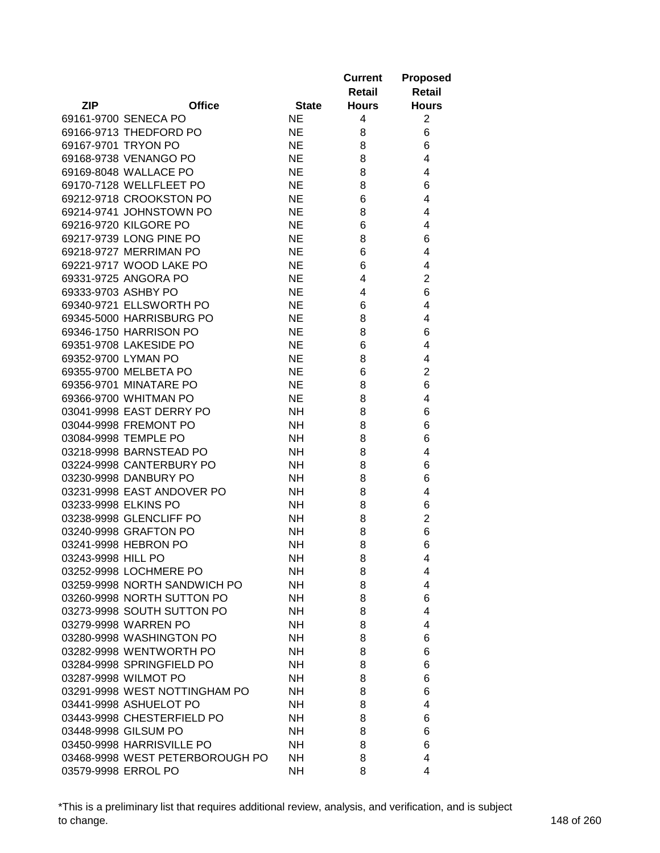|                     |                                 |              | <b>Current</b><br>Retail | <b>Proposed</b><br><b>Retail</b> |
|---------------------|---------------------------------|--------------|--------------------------|----------------------------------|
| <b>ZIP</b>          | <b>Office</b>                   | <b>State</b> | <b>Hours</b>             | <b>Hours</b>                     |
|                     | 69161-9700 SENECA PO            | <b>NE</b>    | 4                        | $\overline{2}$                   |
|                     | 69166-9713 THEDFORD PO          | <b>NE</b>    | 8                        | 6                                |
|                     | 69167-9701 TRYON PO             | <b>NE</b>    | 8                        | 6                                |
|                     | 69168-9738 VENANGO PO           | <b>NE</b>    | 8                        | 4                                |
|                     | 69169-8048 WALLACE PO           | <b>NE</b>    | 8                        | 4                                |
|                     | 69170-7128 WELLFLEET PO         | <b>NE</b>    | 8                        | 6                                |
|                     | 69212-9718 CROOKSTON PO         | <b>NE</b>    | 6                        | 4                                |
|                     | 69214-9741 JOHNSTOWN PO         | <b>NE</b>    | 8                        | 4                                |
|                     | 69216-9720 KILGORE PO           | <b>NE</b>    | 6                        | 4                                |
|                     | 69217-9739 LONG PINE PO         | <b>NE</b>    | 8                        | 6                                |
|                     | 69218-9727 MERRIMAN PO          | <b>NE</b>    | 6                        | 4                                |
|                     | 69221-9717 WOOD LAKE PO         | <b>NE</b>    | 6                        | 4                                |
|                     | 69331-9725 ANGORA PO            | <b>NE</b>    | 4                        | $\overline{2}$                   |
| 69333-9703 ASHBY PO |                                 | <b>NE</b>    | 4                        | 6                                |
|                     | 69340-9721 ELLSWORTH PO         | NE.          | 6                        | 4                                |
|                     | 69345-5000 HARRISBURG PO        | <b>NE</b>    | 8                        | 4                                |
|                     | 69346-1750 HARRISON PO          | <b>NE</b>    | 8                        | 6                                |
|                     | 69351-9708 LAKESIDE PO          | <b>NE</b>    | 6                        | 4                                |
| 69352-9700 LYMAN PO |                                 | <b>NE</b>    | 8                        | 4                                |
|                     | 69355-9700 MELBETA PO           | <b>NE</b>    | 6                        | $\overline{c}$                   |
|                     | 69356-9701 MINATARE PO          | <b>NE</b>    | 8                        | 6                                |
|                     | 69366-9700 WHITMAN PO           | <b>NE</b>    | 8                        | 4                                |
|                     | 03041-9998 EAST DERRY PO        | <b>NH</b>    | 8                        | 6                                |
|                     | 03044-9998 FREMONT PO           | <b>NH</b>    | 8                        | 6                                |
|                     | 03084-9998 TEMPLE PO            | <b>NH</b>    | 8                        | 6                                |
|                     | 03218-9998 BARNSTEAD PO         | <b>NH</b>    | 8                        | 4                                |
|                     | 03224-9998 CANTERBURY PO        | <b>NH</b>    | 8                        | 6                                |
|                     | 03230-9998 DANBURY PO           | <b>NH</b>    | 8                        | 6                                |
|                     | 03231-9998 EAST ANDOVER PO      | <b>NH</b>    | 8                        | 4                                |
|                     | 03233-9998 ELKINS PO            | <b>NH</b>    | 8                        | 6                                |
|                     | 03238-9998 GLENCLIFF PO         | <b>NH</b>    | 8                        | $\overline{2}$                   |
|                     | 03240-9998 GRAFTON PO           | <b>NH</b>    | 8                        | 6                                |
|                     | 03241-9998 HEBRON PO            | <b>NH</b>    | 8                        | 6                                |
| 03243-9998 HILL PO  |                                 | NH.          |                          | 4                                |
|                     | 03252-9998 LOCHMERE PO          |              | 8                        |                                  |
|                     | 03259-9998 NORTH SANDWICH PO    | <b>NH</b>    | 8                        | 4                                |
|                     | 03260-9998 NORTH SUTTON PO      | <b>NH</b>    | 8                        | 4                                |
|                     | 03273-9998 SOUTH SUTTON PO      | <b>NH</b>    | 8                        | 6                                |
|                     |                                 | <b>NH</b>    | 8                        | 4                                |
|                     | 03279-9998 WARREN PO            | <b>NH</b>    | 8                        | 4                                |
|                     | 03280-9998 WASHINGTON PO        | <b>NH</b>    | 8                        | 6                                |
|                     | 03282-9998 WENTWORTH PO         | <b>NH</b>    | 8                        | 6                                |
|                     | 03284-9998 SPRINGFIELD PO       | <b>NH</b>    | 8                        | 6                                |
|                     | 03287-9998 WILMOT PO            | <b>NH</b>    | 8                        | 6                                |
|                     | 03291-9998 WEST NOTTINGHAM PO   | <b>NH</b>    | 8                        | 6                                |
|                     | 03441-9998 ASHUELOT PO          | <b>NH</b>    | 8                        | 4                                |
|                     | 03443-9998 CHESTERFIELD PO      | <b>NH</b>    | 8                        | 6                                |
|                     | 03448-9998 GILSUM PO            | <b>NH</b>    | 8                        | 6                                |
|                     | 03450-9998 HARRISVILLE PO       | <b>NH</b>    | 8                        | 6                                |
|                     | 03468-9998 WEST PETERBOROUGH PO | <b>NH</b>    | 8                        | 4                                |
|                     | 03579-9998 ERROL PO             | <b>NH</b>    | 8                        | 4                                |

\*This is a preliminary list that requires additional review, analysis, and verification, and is subject to change. 148 of 260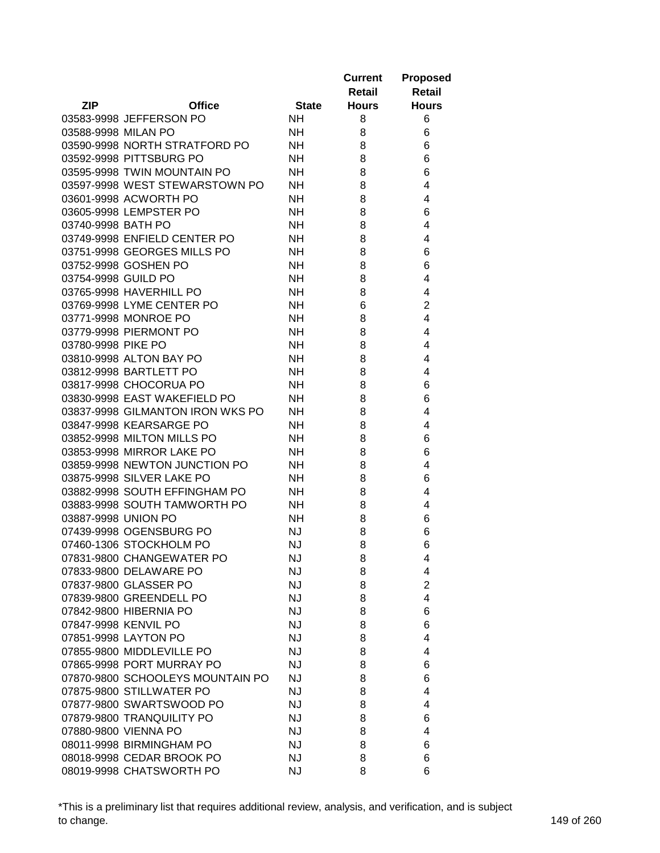|                      |                                  |              | <b>Current</b> | <b>Proposed</b> |
|----------------------|----------------------------------|--------------|----------------|-----------------|
|                      |                                  |              | Retail         | <b>Retail</b>   |
| <b>ZIP</b>           | <b>Office</b>                    | <b>State</b> | <b>Hours</b>   | <b>Hours</b>    |
|                      | 03583-9998 JEFFERSON PO          | <b>NH</b>    | 8              | 6               |
| 03588-9998 MILAN PO  |                                  | <b>NH</b>    | 8              | 6               |
|                      | 03590-9998 NORTH STRATFORD PO    | <b>NH</b>    | 8              | 6               |
|                      | 03592-9998 PITTSBURG PO          | <b>NH</b>    | 8              | 6               |
|                      | 03595-9998 TWIN MOUNTAIN PO      | <b>NH</b>    | 8              | 6               |
|                      | 03597-9998 WEST STEWARSTOWN PO   | <b>NH</b>    | 8              | 4               |
|                      | 03601-9998 ACWORTH PO            | <b>NH</b>    | 8              | 4               |
|                      | 03605-9998 LEMPSTER PO           | <b>NH</b>    | 8              | 6               |
| 03740-9998 BATH PO   |                                  | NH           | 8              | 4               |
|                      | 03749-9998 ENFIELD CENTER PO     | NH           | 8              | 4               |
|                      | 03751-9998 GEORGES MILLS PO      | NH           | 8              | 6               |
|                      | 03752-9998 GOSHEN PO             | <b>NH</b>    | 8              | 6               |
| 03754-9998 GUILD PO  |                                  | <b>NH</b>    | 8              | 4               |
|                      | 03765-9998 HAVERHILL PO          | <b>NH</b>    | 8              | 4               |
|                      | 03769-9998 LYME CENTER PO        | <b>NH</b>    | 6              | $\overline{c}$  |
|                      | 03771-9998 MONROE PO             | <b>NH</b>    | 8              | 4               |
|                      | 03779-9998 PIERMONT PO           | <b>NH</b>    | 8              | 4               |
| 03780-9998 PIKE PO   |                                  | <b>NH</b>    | 8              | 4               |
|                      | 03810-9998 ALTON BAY PO          | <b>NH</b>    | 8              | 4               |
|                      | 03812-9998 BARTLETT PO           | <b>NH</b>    | 8              | 4               |
|                      | 03817-9998 CHOCORUA PO           | <b>NH</b>    | 8              | 6               |
|                      | 03830-9998 EAST WAKEFIELD PO     | <b>NH</b>    | 8              | 6               |
|                      | 03837-9998 GILMANTON IRON WKS PO | <b>NH</b>    | 8              | 4               |
|                      | 03847-9998 KEARSARGE PO          | <b>NH</b>    | 8              | 4               |
|                      | 03852-9998 MILTON MILLS PO       | NH           | 8              | 6               |
|                      | 03853-9998 MIRROR LAKE PO        | <b>NH</b>    | 8              | 6               |
|                      | 03859-9998 NEWTON JUNCTION PO    | <b>NH</b>    | 8              | 4               |
|                      | 03875-9998 SILVER LAKE PO        | <b>NH</b>    | 8              | 6               |
|                      | 03882-9998 SOUTH EFFINGHAM PO    | <b>NH</b>    | 8              | 4               |
|                      | 03883-9998 SOUTH TAMWORTH PO     | <b>NH</b>    | 8              | 4               |
| 03887-9998 UNION PO  |                                  | <b>NH</b>    | 8              | 6               |
|                      | 07439-9998 OGENSBURG PO          | <b>NJ</b>    | 8              | 6               |
|                      | 07460-1306 STOCKHOLM PO          | <b>NJ</b>    | 8              | 6               |
|                      | 07831-9800 CHANGEWATER PO        | <b>NJ</b>    | 8              | 4               |
|                      | 07833-9800 DELAWARE PO           | <b>NJ</b>    | 8              | 4               |
|                      | 07837-9800 GLASSER PO            | <b>NJ</b>    | 8              | $\overline{c}$  |
|                      | 07839-9800 GREENDELL PO          | <b>NJ</b>    | 8              | 4               |
|                      | 07842-9800 HIBERNIA PO           | <b>NJ</b>    | 8              | 6               |
| 07847-9998 KENVIL PO |                                  | <b>NJ</b>    | 8              | 6               |
|                      | 07851-9998 LAYTON PO             | <b>NJ</b>    | 8              | 4               |
|                      | 07855-9800 MIDDLEVILLE PO        | <b>NJ</b>    | 8              | 4               |
|                      | 07865-9998 PORT MURRAY PO        | <b>NJ</b>    | 8              | 6               |
|                      | 07870-9800 SCHOOLEYS MOUNTAIN PO | <b>NJ</b>    | 8              | 6               |
|                      | 07875-9800 STILLWATER PO         | <b>NJ</b>    | 8              | 4               |
|                      | 07877-9800 SWARTSWOOD PO         | <b>NJ</b>    |                |                 |
|                      |                                  |              | 8              | 4               |
|                      | 07879-9800 TRANQUILITY PO        | <b>NJ</b>    | 8              | 6               |
|                      | 07880-9800 VIENNA PO             | <b>NJ</b>    | 8              | 4               |
|                      | 08011-9998 BIRMINGHAM PO         | <b>NJ</b>    | 8              | 6               |
|                      | 08018-9998 CEDAR BROOK PO        | <b>NJ</b>    | 8              | 6               |
|                      | 08019-9998 CHATSWORTH PO         | <b>NJ</b>    | 8              | 6               |

\*This is a preliminary list that requires additional review, analysis, and verification, and is subject to change. 149 of 260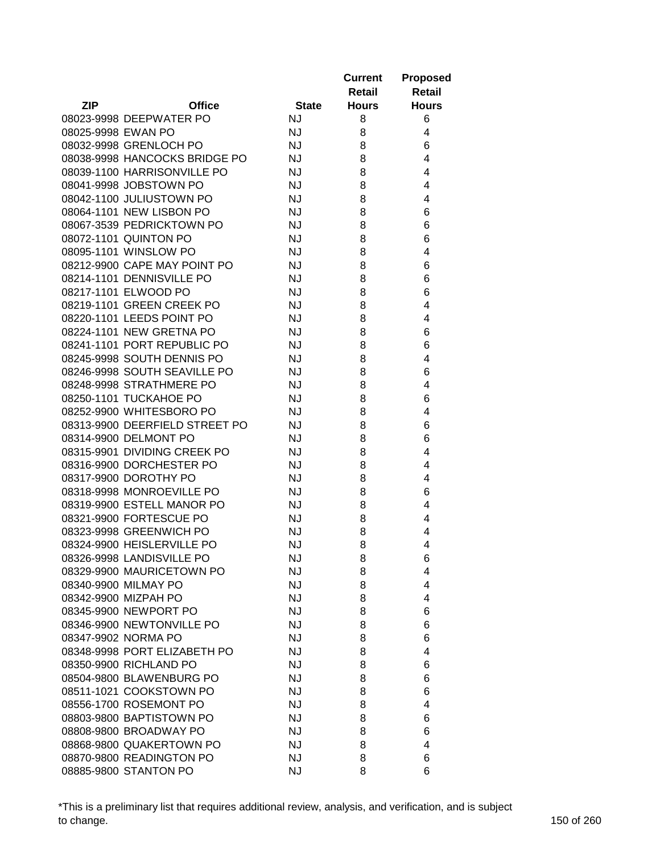|                    |                                                         |                        | <b>Current</b> | <b>Proposed</b> |
|--------------------|---------------------------------------------------------|------------------------|----------------|-----------------|
|                    |                                                         |                        | Retail         | <b>Retail</b>   |
| <b>ZIP</b>         | <b>Office</b>                                           | <b>State</b>           | <b>Hours</b>   | <b>Hours</b>    |
|                    | 08023-9998 DEEPWATER PO                                 | <b>NJ</b>              | 8              | 6               |
| 08025-9998 EWAN PO |                                                         | <b>NJ</b>              | 8              | 4               |
|                    | 08032-9998 GRENLOCH PO                                  | <b>NJ</b>              | 8              | 6               |
|                    | 08038-9998 HANCOCKS BRIDGE PO                           | <b>NJ</b>              | 8              | 4               |
|                    | 08039-1100 HARRISONVILLE PO                             | <b>NJ</b>              | 8              | 4               |
|                    | 08041-9998 JOBSTOWN PO                                  | <b>NJ</b>              | 8              | 4               |
|                    | 08042-1100 JULIUSTOWN PO                                | <b>NJ</b>              | 8              | 4               |
|                    | 08064-1101 NEW LISBON PO                                | <b>NJ</b>              | 8              | 6               |
|                    | 08067-3539 PEDRICKTOWN PO                               | <b>NJ</b>              | 8              | 6               |
|                    | 08072-1101 QUINTON PO                                   | <b>NJ</b>              | 8              | 6               |
|                    | 08095-1101 WINSLOW PO                                   | <b>NJ</b>              | 8              | 4               |
|                    | 08212-9900 CAPE MAY POINT PO                            | <b>NJ</b>              | 8              | 6               |
|                    | 08214-1101 DENNISVILLE PO                               | <b>NJ</b>              | 8              | 6               |
|                    | 08217-1101 ELWOOD PO                                    | <b>NJ</b>              | 8              | 6               |
|                    | 08219-1101 GREEN CREEK PO                               | <b>NJ</b>              | 8              | 4               |
|                    | 08220-1101 LEEDS POINT PO                               | <b>NJ</b>              | 8              | 4               |
|                    | 08224-1101 NEW GRETNA PO                                | <b>NJ</b>              | 8              | 6               |
|                    | 08241-1101 PORT REPUBLIC PO                             | <b>NJ</b>              | 8              | 6               |
|                    | 08245-9998 SOUTH DENNIS PO                              | <b>NJ</b>              | 8              | 4               |
|                    | 08246-9998 SOUTH SEAVILLE PO                            | <b>NJ</b>              | 8              | 6               |
|                    |                                                         |                        |                | 4               |
|                    | 08248-9998 STRATHMERE PO                                | <b>NJ</b>              | 8              |                 |
|                    | 08250-1101 TUCKAHOE PO                                  | <b>NJ</b>              | 8              | 6               |
|                    | 08252-9900 WHITESBORO PO                                | <b>NJ</b>              | 8              | 4               |
|                    | 08313-9900 DEERFIELD STREET PO                          | <b>NJ</b>              | 8              | 6               |
|                    | 08314-9900 DELMONT PO<br>08315-9901 DIVIDING CREEK PO   | <b>NJ</b><br><b>NJ</b> | 8              | 6<br>4          |
|                    | 08316-9900 DORCHESTER PO                                | <b>NJ</b>              | 8              | 4               |
|                    | 08317-9900 DOROTHY PO                                   | <b>NJ</b>              | 8              | 4               |
|                    |                                                         |                        | 8              |                 |
|                    | 08318-9998 MONROEVILLE PO<br>08319-9900 ESTELL MANOR PO | <b>NJ</b><br><b>NJ</b> | 8              | 6               |
|                    |                                                         |                        | 8              | 4<br>4          |
|                    | 08321-9900 FORTESCUE PO<br>08323-9998 GREENWICH PO      | <b>NJ</b>              | 8              |                 |
|                    |                                                         | <b>NJ</b><br><b>NJ</b> | 8<br>8         | 4               |
|                    | 08324-9900 HEISLERVILLE PO                              |                        |                | 4               |
|                    | 08326-9998 LANDISVILLE PO                               | <b>NJ</b>              | 8              | 6               |
|                    | 08329-9900 MAURICETOWN PO                               | <b>NJ</b>              | 8              | 4               |
|                    | 08340-9900 MILMAY PO                                    | <b>NJ</b>              | 8              | 4               |
|                    | 08342-9900 MIZPAH PO                                    | <b>NJ</b>              | 8              | 4               |
|                    | 08345-9900 NEWPORT PO                                   | <b>NJ</b>              | 8              | 6               |
|                    | 08346-9900 NEWTONVILLE PO                               | <b>NJ</b>              | 8              | 6               |
|                    | 08347-9902 NORMA PO                                     | <b>NJ</b>              | 8              | 6               |
|                    | 08348-9998 PORT ELIZABETH PO                            | <b>NJ</b>              | 8              | 4               |
|                    | 08350-9900 RICHLAND PO                                  | <b>NJ</b>              | 8              | 6               |
|                    | 08504-9800 BLAWENBURG PO                                | <b>NJ</b>              | 8              | 6               |
|                    | 08511-1021 COOKSTOWN PO                                 | <b>NJ</b>              | 8              | 6               |
|                    | 08556-1700 ROSEMONT PO                                  | <b>NJ</b>              | 8              | 4               |
|                    | 08803-9800 BAPTISTOWN PO                                | <b>NJ</b>              | 8              | 6               |
|                    | 08808-9800 BROADWAY PO                                  | <b>NJ</b>              | 8              | 6               |
|                    | 08868-9800 QUAKERTOWN PO                                | <b>NJ</b>              | 8              | 4               |
|                    | 08870-9800 READINGTON PO                                | <b>NJ</b>              | 8              | 6               |
|                    | 08885-9800 STANTON PO                                   | <b>NJ</b>              | 8              | 6               |

\*This is a preliminary list that requires additional review, analysis, and verification, and is subject to change. 150 of 260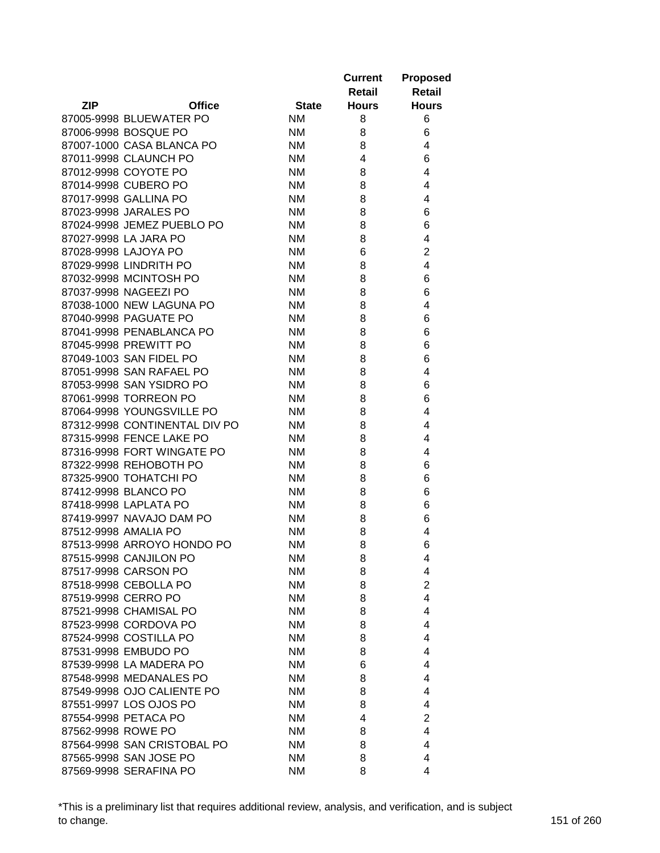|                                              |              | <b>Current</b><br>Retail | <b>Proposed</b><br><b>Retail</b> |
|----------------------------------------------|--------------|--------------------------|----------------------------------|
| <b>ZIP</b><br><b>Office</b>                  | <b>State</b> | <b>Hours</b>             | <b>Hours</b>                     |
| 87005-9998 BLUEWATER PO                      | <b>NM</b>    | 8                        | 6                                |
| 87006-9998 BOSQUE PO                         | <b>NM</b>    | 8                        | 6                                |
| 87007-1000 CASA BLANCA PO                    | <b>NM</b>    | 8                        | 4                                |
| 87011-9998 CLAUNCH PO                        | <b>NM</b>    | 4                        | 6                                |
| 87012-9998 COYOTE PO                         | <b>NM</b>    | 8                        | 4                                |
| 87014-9998 CUBERO PO                         | <b>NM</b>    | 8                        | 4                                |
| 87017-9998 GALLINA PO                        | <b>NM</b>    | 8                        | 4                                |
| 87023-9998 JARALES PO                        | <b>NM</b>    | 8                        | 6                                |
| 87024-9998 JEMEZ PUEBLO PO                   | <b>NM</b>    | 8                        | 6                                |
| 87027-9998 LA JARA PO                        | ΝM           | 8                        | 4                                |
| 87028-9998 LAJOYA PO                         | <b>NM</b>    | 6                        | $\overline{2}$                   |
| 87029-9998 LINDRITH PO                       | ΝM           | 8                        | 4                                |
| 87032-9998 MCINTOSH PO                       | <b>NM</b>    | 8                        | 6                                |
| 87037-9998 NAGEEZI PO                        | ΝM           | 8                        | 6                                |
| 87038-1000 NEW LAGUNA PO                     | <b>NM</b>    | 8                        | 4                                |
| 87040-9998 PAGUATE PO                        | ΝM           | 8                        | 6                                |
| 87041-9998 PENABLANCA PO                     | <b>NM</b>    | 8                        | 6                                |
| 87045-9998 PREWITT PO                        | ΝM           | 8                        | 6                                |
| 87049-1003 SAN FIDEL PO                      | <b>NM</b>    | 8                        | 6                                |
| 87051-9998 SAN RAFAEL PO                     | <b>NM</b>    | 8                        | 4                                |
| 87053-9998 SAN YSIDRO PO                     | <b>NM</b>    | 8                        | 6                                |
| 87061-9998 TORREON PO                        | <b>NM</b>    | 8                        | 6                                |
| 87064-9998 YOUNGSVILLE PO                    | <b>NM</b>    | 8                        | 4                                |
| 87312-9998 CONTINENTAL DIV PO                | <b>NM</b>    | 8                        | 4                                |
| 87315-9998 FENCE LAKE PO                     | <b>NM</b>    | 8                        | 4                                |
| 87316-9998 FORT WINGATE PO                   | <b>NM</b>    | 8                        | 4                                |
| 87322-9998 REHOBOTH PO                       | <b>NM</b>    | 8                        | 6                                |
| 87325-9900 TOHATCHI PO                       | ΝM           | 8                        | 6                                |
| 87412-9998 BLANCO PO                         | ΝM           | 8                        | 6                                |
| 87418-9998 LAPLATA PO                        | ΝM           | 8                        | 6                                |
| 87419-9997 NAVAJO DAM PO                     | <b>NM</b>    | 8                        | 6                                |
| 87512-9998 AMALIA PO                         | <b>NM</b>    | 8                        | 4                                |
| 87513-9998 ARROYO HONDO PO                   | <b>NM</b>    | 8                        | 6                                |
|                                              |              |                          |                                  |
| 87515-9998 CANJILON PO                       | <b>NM</b>    | 8                        | 4                                |
| 87517-9998 CARSON PO                         | ΝM           | 8                        | 4<br>$\overline{2}$              |
| 87518-9998 CEBOLLA PO<br>87519-9998 CERRO PO | ΝM           | 8                        | 4                                |
| 87521-9998 CHAMISAL PO                       | ΝM           | 8                        |                                  |
|                                              | ΝM           | 8                        | 4                                |
| 87523-9998 CORDOVA PO                        | NM           | 8                        | 4                                |
| 87524-9998 COSTILLA PO                       | <b>NM</b>    | 8                        | 4                                |
| 87531-9998 EMBUDO PO                         | ΝM           | 8                        | 4                                |
| 87539-9998 LA MADERA PO                      | ΝM           | 6                        | 4                                |
| 87548-9998 MEDANALES PO                      | ΝM           | 8                        | 4                                |
| 87549-9998 OJO CALIENTE PO                   | ΝM           | 8                        | 4                                |
| 87551-9997 LOS OJOS PO                       | ΝM           | 8                        | 4                                |
| 87554-9998 PETACA PO                         | ΝM           | 4                        | $\overline{2}$                   |
| 87562-9998 ROWE PO                           | ΝM           | 8                        | 4                                |
| 87564-9998 SAN CRISTOBAL PO                  | ΝM           | 8                        | 4                                |
| 87565-9998 SAN JOSE PO                       | ΝM           | 8                        | 4                                |
| 87569-9998 SERAFINA PO                       | ΝM           | 8                        | 4                                |

\*This is a preliminary list that requires additional review, analysis, and verification, and is subject to change. 151 of 260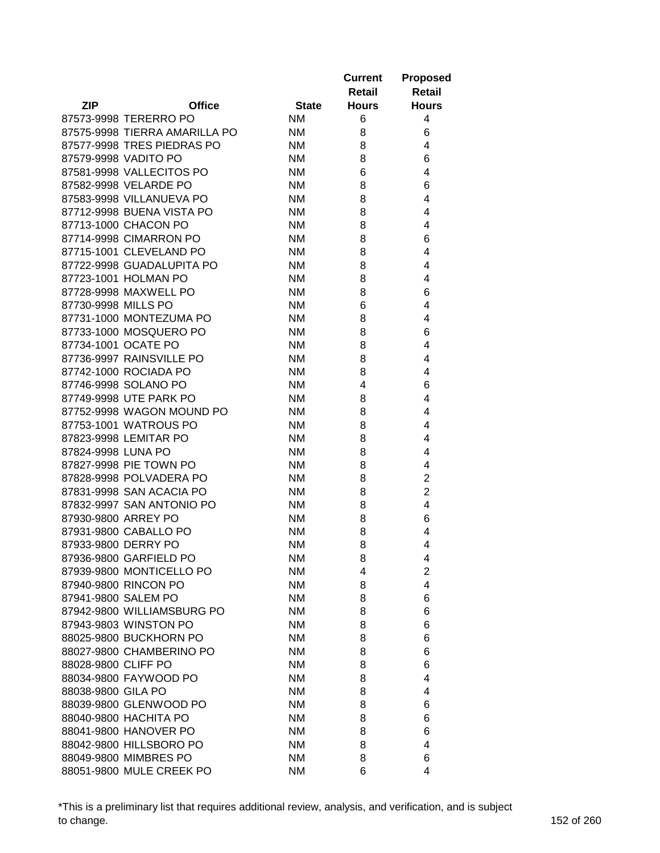|                     |                               |              | <b>Current</b><br>Retail | <b>Proposed</b><br><b>Retail</b> |
|---------------------|-------------------------------|--------------|--------------------------|----------------------------------|
| <b>ZIP</b>          | <b>Office</b>                 | <b>State</b> | <b>Hours</b>             | <b>Hours</b>                     |
|                     | 87573-9998 TERERRO PO         | <b>NM</b>    | 6                        | 4                                |
|                     | 87575-9998 TIERRA AMARILLA PO | <b>NM</b>    | 8                        | 6                                |
|                     | 87577-9998 TRES PIEDRAS PO    | <b>NM</b>    | 8                        | 4                                |
|                     | 87579-9998 VADITO PO          | ΝM           | 8                        | 6                                |
|                     | 87581-9998 VALLECITOS PO      | ΝM           | 6                        | 4                                |
|                     | 87582-9998 VELARDE PO         | ΝM           | 8                        | 6                                |
|                     | 87583-9998 VILLANUEVA PO      | ΝM           | 8                        | 4                                |
|                     | 87712-9998 BUENA VISTA PO     | ΝM           | 8                        | 4                                |
|                     | 87713-1000 CHACON PO          | <b>NM</b>    | 8                        | 4                                |
|                     | 87714-9998 CIMARRON PO        | ΝM           | 8                        | 6                                |
|                     | 87715-1001 CLEVELAND PO       | ΝM           | 8                        | 4                                |
|                     | 87722-9998 GUADALUPITA PO     | ΝM           | 8                        | 4                                |
|                     | 87723-1001 HOLMAN PO          | <b>NM</b>    | 8                        | 4                                |
|                     | 87728-9998 MAXWELL PO         | <b>NM</b>    | 8                        | 6                                |
| 87730-9998 MILLS PO |                               | <b>NM</b>    | 6                        | 4                                |
|                     | 87731-1000 MONTEZUMA PO       | <b>NM</b>    | 8                        | 4                                |
|                     | 87733-1000 MOSQUERO PO        | <b>NM</b>    | 8                        | 6                                |
| 87734-1001 OCATE PO |                               | <b>NM</b>    |                          | 4                                |
|                     |                               |              | 8                        |                                  |
|                     | 87736-9997 RAINSVILLE PO      | <b>NM</b>    | 8                        | 4                                |
|                     | 87742-1000 ROCIADA PO         | <b>NM</b>    | 8                        | 4                                |
|                     | 87746-9998 SOLANO PO          | <b>NM</b>    | 4                        | 6                                |
|                     | 87749-9998 UTE PARK PO        | ΝM           | 8                        | 4                                |
|                     | 87752-9998 WAGON MOUND PO     | <b>NM</b>    | 8                        | 4                                |
|                     | 87753-1001 WATROUS PO         | ΝM           | 8                        | 4                                |
|                     | 87823-9998 LEMITAR PO         | ΝM           | 8                        | 4                                |
| 87824-9998 LUNA PO  |                               | ΝM           | 8                        | 4                                |
|                     | 87827-9998 PIE TOWN PO        | <b>NM</b>    | 8                        | 4                                |
|                     | 87828-9998 POLVADERA PO       | <b>NM</b>    | 8                        | 2                                |
|                     | 87831-9998 SAN ACACIA PO      | <b>NM</b>    | 8                        | $\overline{2}$                   |
|                     | 87832-9997 SAN ANTONIO PO     | <b>NM</b>    | 8                        | 4                                |
| 87930-9800 ARREY PO |                               | <b>NM</b>    | 8                        | 6                                |
|                     | 87931-9800 CABALLO PO         | <b>NM</b>    | 8                        | 4                                |
| 87933-9800 DERRY PO |                               | <b>NM</b>    | 8                        | 4                                |
|                     | 87936-9800 GARFIELD PO        | <b>NM</b>    | 8                        | 4                                |
|                     | 87939-9800 MONTICELLO PO      | <b>NM</b>    | 4                        | $\overline{2}$                   |
|                     | 87940-9800 RINCON PO          | ΝM           | 8                        | 4                                |
| 87941-9800 SALEM PO |                               | ΝM           | 8                        | 6                                |
|                     | 87942-9800 WILLIAMSBURG PO    | ΝM           | 8                        | 6                                |
|                     | 87943-9803 WINSTON PO         | ΝM           | 8                        | 6                                |
|                     | 88025-9800 BUCKHORN PO        | ΝM           | 8                        | 6                                |
|                     | 88027-9800 CHAMBERINO PO      | ΝM           | 8                        | 6                                |
| 88028-9800 CLIFF PO |                               | ΝM           | 8                        | 6                                |
|                     | 88034-9800 FAYWOOD PO         | ΝM           | 8                        | 4                                |
| 88038-9800 GILA PO  |                               | ΝM           | 8                        | 4                                |
|                     | 88039-9800 GLENWOOD PO        | ΝM           | 8                        | 6                                |
|                     | 88040-9800 HACHITA PO         | ΝM           | 8                        | 6                                |
|                     | 88041-9800 HANOVER PO         | ΝM           | 8                        | 6                                |
|                     | 88042-9800 HILLSBORO PO       | <b>NM</b>    | 8                        | 4                                |
|                     | 88049-9800 MIMBRES PO         | <b>NM</b>    | 8                        | 6                                |
|                     | 88051-9800 MULE CREEK PO      | <b>NM</b>    | 6                        | 4                                |

\*This is a preliminary list that requires additional review, analysis, and verification, and is subject to change. 152 of 260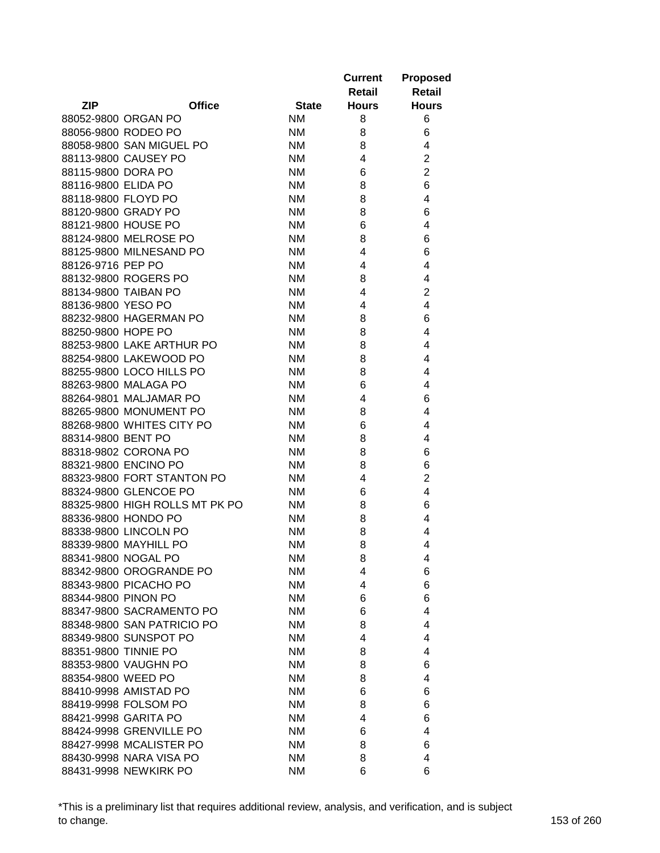|                                |              | <b>Current</b><br>Retail | <b>Proposed</b><br><b>Retail</b> |
|--------------------------------|--------------|--------------------------|----------------------------------|
| <b>ZIP</b><br><b>Office</b>    | <b>State</b> | <b>Hours</b>             | <b>Hours</b>                     |
| 88052-9800 ORGAN PO            | <b>NM</b>    | 8                        | 6                                |
| 88056-9800 RODEO PO            | <b>NM</b>    | 8                        | 6                                |
| 88058-9800 SAN MIGUEL PO       | <b>NM</b>    | 8                        | 4                                |
| 88113-9800 CAUSEY PO           | <b>NM</b>    | 4                        | $\overline{2}$                   |
| 88115-9800 DORA PO             | <b>NM</b>    | 6                        | $\overline{2}$                   |
| 88116-9800 ELIDA PO            | <b>NM</b>    | 8                        | 6                                |
| 88118-9800 FLOYD PO            | <b>NM</b>    | 8                        | 4                                |
| 88120-9800 GRADY PO            | <b>NM</b>    | 8                        | 6                                |
| 88121-9800 HOUSE PO            | <b>NM</b>    | 6                        | 4                                |
| 88124-9800 MELROSE PO          | <b>NM</b>    | 8                        | 6                                |
| 88125-9800 MILNESAND PO        | <b>NM</b>    | 4                        | 6                                |
| 88126-9716 PEP PO              | <b>NM</b>    | 4                        | 4                                |
| 88132-9800 ROGERS PO           | <b>NM</b>    | 8                        | 4                                |
| 88134-9800 TAIBAN PO           | <b>NM</b>    | 4                        | $\overline{2}$                   |
| 88136-9800 YESO PO             | <b>NM</b>    | 4                        | 4                                |
| 88232-9800 HAGERMAN PO         | <b>NM</b>    | 8                        | 6                                |
| 88250-9800 HOPE PO             | <b>NM</b>    | 8                        | 4                                |
| 88253-9800 LAKE ARTHUR PO      | <b>NM</b>    | 8                        | 4                                |
| 88254-9800 LAKEWOOD PO         | <b>NM</b>    | 8                        | 4                                |
| 88255-9800 LOCO HILLS PO       | <b>NM</b>    | 8                        | 4                                |
| 88263-9800 MALAGA PO           | <b>NM</b>    | 6                        | 4                                |
| 88264-9801 MALJAMAR PO         | <b>NM</b>    | 4                        | 6                                |
| 88265-9800 MONUMENT PO         | <b>NM</b>    | 8                        | 4                                |
| 88268-9800 WHITES CITY PO      | <b>NM</b>    | 6                        | 4                                |
| 88314-9800 BENT PO             | <b>NM</b>    | 8                        | 4                                |
| 88318-9802 CORONA PO           | <b>NM</b>    | 8                        | 6                                |
| 88321-9800 ENCINO PO           | <b>NM</b>    | 8                        | 6                                |
| 88323-9800 FORT STANTON PO     | <b>NM</b>    | 4                        | $\overline{2}$                   |
| 88324-9800 GLENCOE PO          | <b>NM</b>    | 6                        | 4                                |
| 88325-9800 HIGH ROLLS MT PK PO | <b>NM</b>    | 8                        | 6                                |
| 88336-9800 HONDO PO            | <b>NM</b>    | 8                        | 4                                |
| 88338-9800 LINCOLN PO          | <b>NM</b>    | 8                        | 4                                |
| 88339-9800 MAYHILL PO          | <b>NM</b>    | 8                        | 4                                |
| 88341-9800 NOGAL PO            | <b>NM</b>    | 8                        | 4                                |
| 88342-9800 OROGRANDE PO        | <b>NM</b>    | 4                        | 6                                |
| 88343-9800 PICACHO PO          | <b>NM</b>    | 4                        | 6                                |
| 88344-9800 PINON PO            | <b>NM</b>    | 6                        | 6                                |
| 88347-9800 SACRAMENTO PO       | <b>NM</b>    | 6                        | 4                                |
| 88348-9800 SAN PATRICIO PO     | <b>NM</b>    | 8                        | 4                                |
| 88349-9800 SUNSPOT PO          | <b>NM</b>    | 4                        | 4                                |
| 88351-9800 TINNIE PO           | <b>NM</b>    | 8                        | 4                                |
| 88353-9800 VAUGHN PO           | <b>NM</b>    | 8                        | 6                                |
| 88354-9800 WEED PO             | <b>NM</b>    | 8                        | 4                                |
| 88410-9998 AMISTAD PO          | <b>NM</b>    | 6                        | 6                                |
| 88419-9998 FOLSOM PO           | <b>NM</b>    | 8                        | 6                                |
| 88421-9998 GARITA PO           | <b>NM</b>    | 4                        | 6                                |
| 88424-9998 GRENVILLE PO        | <b>NM</b>    | 6                        | 4                                |
| 88427-9998 MCALISTER PO        | <b>NM</b>    | 8                        | 6                                |
| 88430-9998 NARA VISA PO        | <b>NM</b>    | 8                        | 4                                |
| 88431-9998 NEWKIRK PO          | <b>NM</b>    | 6                        | 6                                |

\*This is a preliminary list that requires additional review, analysis, and verification, and is subject to change. 153 of 260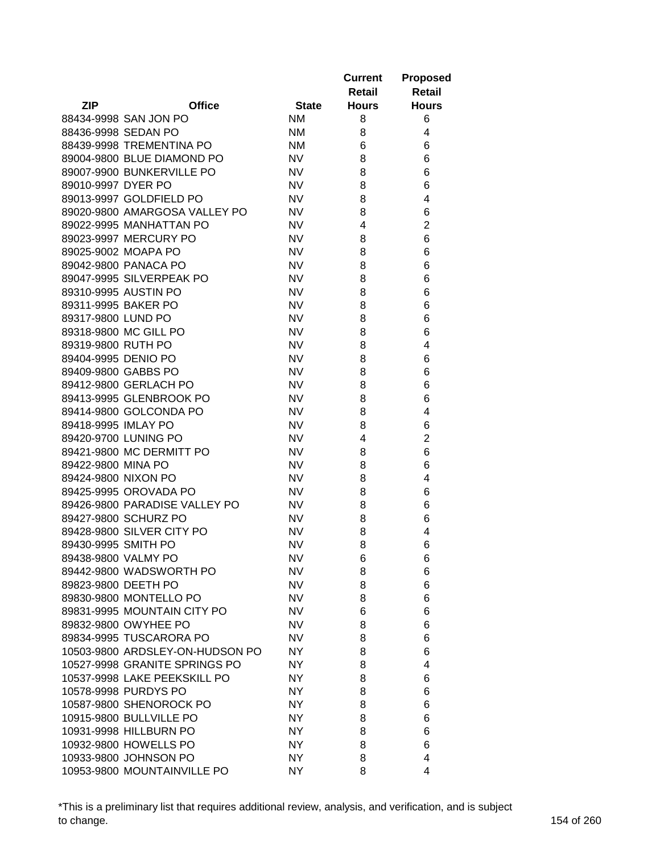|                     |                                 |              | <b>Current</b><br>Retail | <b>Proposed</b><br><b>Retail</b> |
|---------------------|---------------------------------|--------------|--------------------------|----------------------------------|
| <b>ZIP</b>          | <b>Office</b>                   | <b>State</b> | <b>Hours</b>             | <b>Hours</b>                     |
|                     | 88434-9998 SAN JON PO           | <b>NM</b>    | 8                        | 6                                |
| 88436-9998 SEDAN PO |                                 | <b>NM</b>    | 8                        | 4                                |
|                     | 88439-9998 TREMENTINA PO        | <b>NM</b>    | 6                        | 6                                |
|                     | 89004-9800 BLUE DIAMOND PO      | <b>NV</b>    | 8                        | 6                                |
|                     | 89007-9900 BUNKERVILLE PO       | <b>NV</b>    | 8                        | 6                                |
| 89010-9997 DYER PO  |                                 | <b>NV</b>    | 8                        | 6                                |
|                     | 89013-9997 GOLDFIELD PO         | <b>NV</b>    | 8                        | 4                                |
|                     | 89020-9800 AMARGOSA VALLEY PO   | <b>NV</b>    | 8                        | 6                                |
|                     | 89022-9995 MANHATTAN PO         | <b>NV</b>    | 4                        | $\overline{2}$                   |
|                     | 89023-9997 MERCURY PO           | <b>NV</b>    | 8                        | 6                                |
|                     | 89025-9002 MOAPA PO             | <b>NV</b>    | 8                        | 6                                |
|                     | 89042-9800 PANACA PO            | <b>NV</b>    | 8                        | 6                                |
|                     | 89047-9995 SILVERPEAK PO        | <b>NV</b>    | 8                        | 6                                |
|                     | 89310-9995 AUSTIN PO            | <b>NV</b>    | 8                        | 6                                |
| 89311-9995 BAKER PO |                                 | <b>NV</b>    | 8                        | 6                                |
| 89317-9800 LUND PO  |                                 | <b>NV</b>    | 8                        | 6                                |
|                     | 89318-9800 MC GILL PO           | <b>NV</b>    | 8                        | 6                                |
| 89319-9800 RUTH PO  |                                 | <b>NV</b>    | 8                        | 4                                |
| 89404-9995 DENIO PO |                                 | <b>NV</b>    | 8                        | 6                                |
| 89409-9800 GABBS PO |                                 | <b>NV</b>    | 8                        | 6                                |
|                     | 89412-9800 GERLACH PO           | <b>NV</b>    | 8                        | 6                                |
|                     | 89413-9995 GLENBROOK PO         | <b>NV</b>    | 8                        | 6                                |
|                     | 89414-9800 GOLCONDA PO          | <b>NV</b>    | 8                        | 4                                |
| 89418-9995 IMLAY PO |                                 | <b>NV</b>    | 8                        | 6                                |
|                     | 89420-9700 LUNING PO            | <b>NV</b>    | 4                        | $\overline{2}$                   |
|                     | 89421-9800 MC DERMITT PO        | <b>NV</b>    | 8                        | 6                                |
| 89422-9800 MINA PO  |                                 | <b>NV</b>    | 8                        | 6                                |
| 89424-9800 NIXON PO |                                 | <b>NV</b>    | 8                        | 4                                |
|                     | 89425-9995 OROVADA PO           | <b>NV</b>    | 8                        | 6                                |
|                     | 89426-9800 PARADISE VALLEY PO   | <b>NV</b>    | 8                        | 6                                |
|                     | 89427-9800 SCHURZ PO            | <b>NV</b>    | 8                        | 6                                |
|                     | 89428-9800 SILVER CITY PO       | <b>NV</b>    | 8                        | 4                                |
| 89430-9995 SMITH PO |                                 | <b>NV</b>    | 8                        | 6                                |
| 89438-9800 VALMY PO |                                 | NV.          | 6                        | 6                                |
|                     | 89442-9800 WADSWORTH PO         | <b>NV</b>    | 8                        | 6                                |
| 89823-9800 DEETH PO |                                 | <b>NV</b>    | 8                        | 6                                |
|                     | 89830-9800 MONTELLO PO          | <b>NV</b>    | 8                        | 6                                |
|                     | 89831-9995 MOUNTAIN CITY PO     | <b>NV</b>    | 6                        | 6                                |
|                     | 89832-9800 OWYHEE PO            | <b>NV</b>    | 8                        | 6                                |
|                     | 89834-9995 TUSCARORA PO         | <b>NV</b>    | 8                        | 6                                |
|                     | 10503-9800 ARDSLEY-ON-HUDSON PO | NY.          | 8                        | 6                                |
|                     | 10527-9998 GRANITE SPRINGS PO   | NY.          | 8                        | 4                                |
|                     | 10537-9998 LAKE PEEKSKILL PO    | NY.          | 8                        | 6                                |
|                     | 10578-9998 PURDYS PO            | NY.          | 8                        | 6                                |
|                     | 10587-9800 SHENOROCK PO         | NY.          | 8                        | 6                                |
|                     | 10915-9800 BULLVILLE PO         | <b>NY</b>    | 8                        | 6                                |
|                     | 10931-9998 HILLBURN PO          | <b>NY</b>    | 8                        | 6                                |
|                     | 10932-9800 HOWELLS PO           | NY.          | 8                        | 6                                |
|                     | 10933-9800 JOHNSON PO           | NY.          | 8                        | 4                                |
|                     | 10953-9800 MOUNTAINVILLE PO     | <b>NY</b>    | 8                        | 4                                |

\*This is a preliminary list that requires additional review, analysis, and verification, and is subject to change. 154 of 260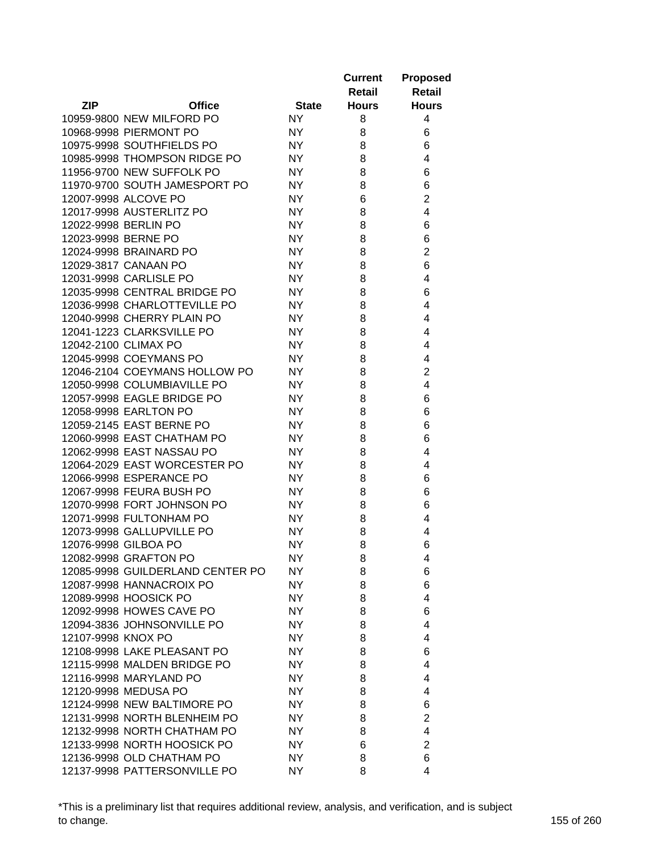|                    |                                  |              | <b>Current</b><br>Retail | <b>Proposed</b><br><b>Retail</b> |
|--------------------|----------------------------------|--------------|--------------------------|----------------------------------|
| <b>ZIP</b>         | <b>Office</b>                    | <b>State</b> | <b>Hours</b>             | <b>Hours</b>                     |
|                    | 10959-9800 NEW MILFORD PO        | NY.          | 8                        | 4                                |
|                    | 10968-9998 PIERMONT PO           | NY.          | 8                        | 6                                |
|                    | 10975-9998 SOUTHFIELDS PO        | <b>NY</b>    | 8                        | 6                                |
|                    | 10985-9998 THOMPSON RIDGE PO     | <b>NY</b>    | 8                        | 4                                |
|                    | 11956-9700 NEW SUFFOLK PO        | <b>NY</b>    | 8                        | 6                                |
|                    | 11970-9700 SOUTH JAMESPORT PO    | <b>NY</b>    | 8                        | 6                                |
|                    | 12007-9998 ALCOVE PO             | <b>NY</b>    | 6                        | $\overline{2}$                   |
|                    | 12017-9998 AUSTERLITZ PO         | <b>NY</b>    | 8                        | $\overline{4}$                   |
|                    | 12022-9998 BERLIN PO             | <b>NY</b>    | 8                        | 6                                |
|                    | 12023-9998 BERNE PO              | <b>NY</b>    | 8                        | 6                                |
|                    | 12024-9998 BRAINARD PO           | <b>NY</b>    | 8                        | $\overline{2}$                   |
|                    | 12029-3817 CANAAN PO             | <b>NY</b>    | 8                        | 6                                |
|                    | 12031-9998 CARLISLE PO           | <b>NY</b>    | 8                        | 4                                |
|                    | 12035-9998 CENTRAL BRIDGE PO     | <b>NY</b>    | 8                        | 6                                |
|                    | 12036-9998 CHARLOTTEVILLE PO     | <b>NY</b>    | 8                        | 4                                |
|                    | 12040-9998 CHERRY PLAIN PO       | NY.          | 8                        | 4                                |
|                    | 12041-1223 CLARKSVILLE PO        | <b>NY</b>    | 8                        | 4                                |
|                    | 12042-2100 CLIMAX PO             | <b>NY</b>    | 8                        | 4                                |
|                    | 12045-9998 COEYMANS PO           | <b>NY</b>    | 8                        | 4                                |
|                    | 12046-2104 COEYMANS HOLLOW PO    | <b>NY</b>    | 8                        | $\overline{2}$                   |
|                    | 12050-9998 COLUMBIAVILLE PO      | <b>NY</b>    | 8                        | $\overline{4}$                   |
|                    | 12057-9998 EAGLE BRIDGE PO       | <b>NY</b>    | 8                        | 6                                |
|                    | 12058-9998 EARLTON PO            | <b>NY</b>    | 8                        | 6                                |
|                    | 12059-2145 EAST BERNE PO         | <b>NY</b>    | 8                        | 6                                |
|                    | 12060-9998 EAST CHATHAM PO       | <b>NY</b>    | 8                        | 6                                |
|                    | 12062-9998 EAST NASSAU PO        | <b>NY</b>    | 8                        | 4                                |
|                    | 12064-2029 EAST WORCESTER PO     | NY.          | 8                        | 4                                |
|                    | 12066-9998 ESPERANCE PO          | NY.          | 8                        | 6                                |
|                    | 12067-9998 FEURA BUSH PO         | <b>NY</b>    | 8                        | 6                                |
|                    | 12070-9998 FORT JOHNSON PO       | <b>NY</b>    | 8                        | 6                                |
|                    | 12071-9998 FULTONHAM PO          | NY.          | 8                        | 4                                |
|                    | 12073-9998 GALLUPVILLE PO        | NY.          | 8                        | 4                                |
|                    | 12076-9998 GILBOA PO             | <b>NY</b>    | 8                        | 6                                |
|                    | 12082-9998 GRAFTON PO            | NY.          | 8                        | 4                                |
|                    | 12085-9998 GUILDERLAND CENTER PO | NY.          | 8                        | 6                                |
|                    | 12087-9998 HANNACROIX PO         | NY.          | 8                        | 6                                |
|                    | 12089-9998 HOOSICK PO            | NY           | 8                        | 4                                |
|                    | 12092-9998 HOWES CAVE PO         | NY.          | 8                        | 6                                |
|                    | 12094-3836 JOHNSONVILLE PO       | NY           | 8                        | 4                                |
| 12107-9998 KNOX PO |                                  | <b>NY</b>    | 8                        | 4                                |
|                    | 12108-9998 LAKE PLEASANT PO      | <b>NY</b>    | 8                        | 6                                |
|                    | 12115-9998 MALDEN BRIDGE PO      | NY.          | 8                        | 4                                |
|                    | 12116-9998 MARYLAND PO           | NY.          | 8                        | 4                                |
|                    | 12120-9998 MEDUSA PO             | NY.          | 8                        | 4                                |
|                    | 12124-9998 NEW BALTIMORE PO      | NY.          | 8                        | 6                                |
|                    | 12131-9998 NORTH BLENHEIM PO     | NY.          | 8                        | 2                                |
|                    | 12132-9998 NORTH CHATHAM PO      | NY.          | 8                        | 4                                |
|                    | 12133-9998 NORTH HOOSICK PO      | NY.          | 6                        | $\overline{2}$                   |
|                    | 12136-9998 OLD CHATHAM PO        | NY.          | 8                        | 6                                |
|                    | 12137-9998 PATTERSONVILLE PO     | NY.          | 8                        | 4                                |
|                    |                                  |              |                          |                                  |

\*This is a preliminary list that requires additional review, analysis, and verification, and is subject to change. 155 of 260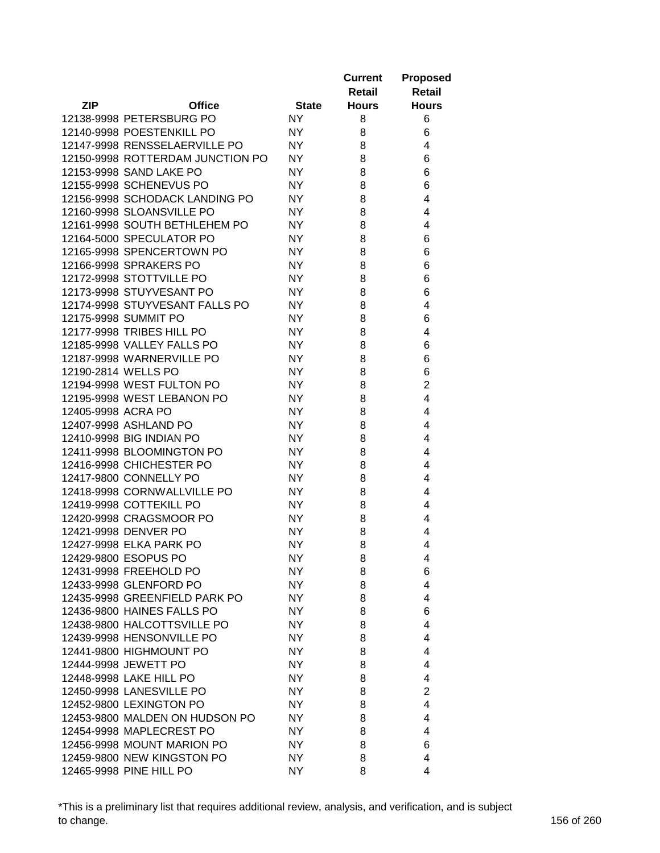|                     |                                  |              | <b>Current</b> | <b>Proposed</b> |
|---------------------|----------------------------------|--------------|----------------|-----------------|
|                     |                                  |              | Retail         | Retail          |
| <b>ZIP</b>          | <b>Office</b>                    | <b>State</b> | <b>Hours</b>   | <b>Hours</b>    |
|                     | 12138-9998 PETERSBURG PO         | <b>NY</b>    | 8              | 6               |
|                     | 12140-9998 POESTENKILL PO        | <b>NY</b>    | 8              | 6               |
|                     | 12147-9998 RENSSELAERVILLE PO    | <b>NY</b>    | 8              | 4               |
|                     | 12150-9998 ROTTERDAM JUNCTION PO | <b>NY</b>    | 8              | 6               |
|                     | 12153-9998 SAND LAKE PO          | <b>NY</b>    | 8              | 6               |
|                     | 12155-9998 SCHENEVUS PO          | <b>NY</b>    | 8              | 6               |
|                     | 12156-9998 SCHODACK LANDING PO   | <b>NY</b>    | 8              | 4               |
|                     | 12160-9998 SLOANSVILLE PO        | <b>NY</b>    | 8              | 4               |
|                     | 12161-9998 SOUTH BETHLEHEM PO    | NY           | 8              | 4               |
|                     | 12164-5000 SPECULATOR PO         | NY           | 8              | 6               |
|                     | 12165-9998 SPENCERTOWN PO        | NY           | 8              | 6               |
|                     | 12166-9998 SPRAKERS PO           | <b>NY</b>    | 8              | 6               |
|                     | 12172-9998 STOTTVILLE PO         | <b>NY</b>    | 8              | 6               |
|                     | 12173-9998 STUYVESANT PO         | <b>NY</b>    | 8              | 6               |
|                     | 12174-9998 STUYVESANT FALLS PO   | <b>NY</b>    | 8              | 4               |
|                     | 12175-9998 SUMMIT PO             | <b>NY</b>    | 8              | 6               |
|                     | 12177-9998 TRIBES HILL PO        | <b>NY</b>    | 8              | 4               |
|                     | 12185-9998 VALLEY FALLS PO       | <b>NY</b>    | 8              | 6               |
|                     | 12187-9998 WARNERVILLE PO        | NY           | 8              | 6               |
| 12190-2814 WELLS PO |                                  | <b>NY</b>    | 8              | 6               |
|                     | 12194-9998 WEST FULTON PO        | <b>NY</b>    | 8              | $\overline{2}$  |
|                     | 12195-9998 WEST LEBANON PO       | <b>NY</b>    | 8              | $\overline{4}$  |
| 12405-9998 ACRA PO  |                                  | <b>NY</b>    | 8              | 4               |
|                     | 12407-9998 ASHLAND PO            | <b>NY</b>    | 8              | 4               |
|                     | 12410-9998 BIG INDIAN PO         | NY           | 8              | 4               |
|                     | 12411-9998 BLOOMINGTON PO        | NY           | 8              | 4               |
|                     | 12416-9998 CHICHESTER PO         | NY           | 8              | 4               |
|                     | 12417-9800 CONNELLY PO           | <b>NY</b>    | 8              | 4               |
|                     | 12418-9998 CORNWALLVILLE PO      | NY           | 8              | 4               |
|                     | 12419-9998 COTTEKILL PO          | <b>NY</b>    | 8              | 4               |
|                     | 12420-9998 CRAGSMOOR PO          | NY           | 8              | 4               |
|                     | 12421-9998 DENVER PO             | <b>NY</b>    | 8              | 4               |
|                     | 12427-9998 ELKA PARK PO          | <b>NY</b>    | 8              | 4               |
|                     | 12429-9800 ESOPUS PO             | <b>NY</b>    | 8              | 4               |
|                     | 12431-9998 FREEHOLD PO           | NY.          | 8              | 6               |
|                     | 12433-9998 GLENFORD PO           | <b>NY</b>    | 8              | 4               |
|                     | 12435-9998 GREENFIELD PARK PO    | <b>NY</b>    | 8              | 4               |
|                     | 12436-9800 HAINES FALLS PO       | <b>NY</b>    | 8              | 6               |
|                     | 12438-9800 HALCOTTSVILLE PO      | <b>NY</b>    | 8              | 4               |
|                     | 12439-9998 HENSONVILLE PO        | <b>NY</b>    | 8              | 4               |
|                     | 12441-9800 HIGHMOUNT PO          | NY           | 8              | 4               |
|                     | 12444-9998 JEWETT PO             | <b>NY</b>    | 8              | 4               |
|                     | 12448-9998 LAKE HILL PO          | <b>NY</b>    | 8              | 4               |
|                     | 12450-9998 LANESVILLE PO         | <b>NY</b>    | 8              | $\overline{2}$  |
|                     |                                  |              |                |                 |
|                     | 12452-9800 LEXINGTON PO          | NY           | 8              | 4               |
|                     | 12453-9800 MALDEN ON HUDSON PO   | NY           | 8              | 4               |
|                     | 12454-9998 MAPLECREST PO         | <b>NY</b>    | 8              | 4               |
|                     | 12456-9998 MOUNT MARION PO       | <b>NY</b>    | 8              | 6               |
|                     | 12459-9800 NEW KINGSTON PO       | <b>NY</b>    | 8              | 4               |
|                     | 12465-9998 PINE HILL PO          | <b>NY</b>    | 8              | 4               |

\*This is a preliminary list that requires additional review, analysis, and verification, and is subject to change. 156 of 260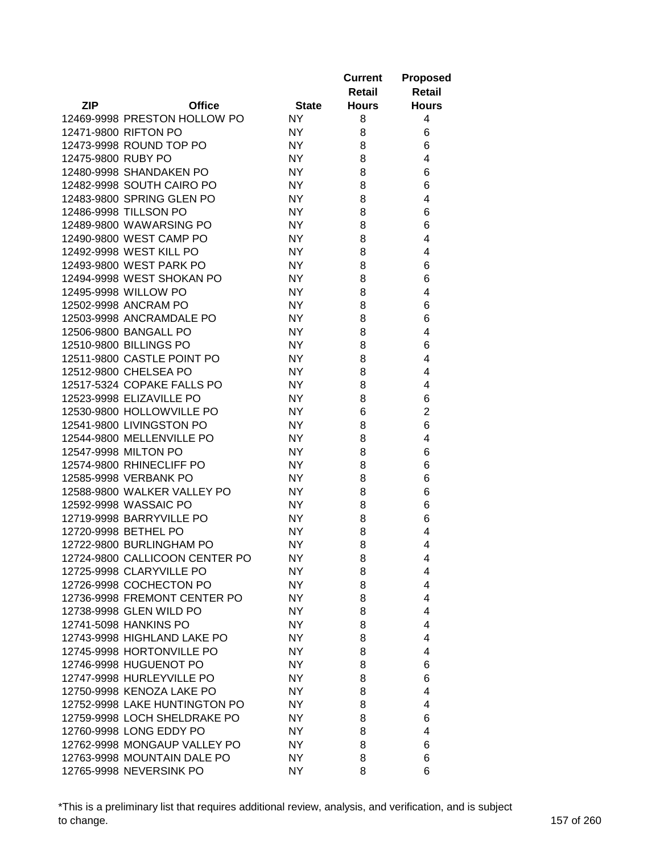|                    |                                |              | <b>Current</b><br>Retail | <b>Proposed</b><br>Retail |
|--------------------|--------------------------------|--------------|--------------------------|---------------------------|
| <b>ZIP</b>         | <b>Office</b>                  | <b>State</b> | <b>Hours</b>             | <b>Hours</b>              |
|                    | 12469-9998 PRESTON HOLLOW PO   | NY.          | 8                        | 4                         |
|                    | 12471-9800 RIFTON PO           | NY.          | 8                        | 6                         |
|                    | 12473-9998 ROUND TOP PO        | <b>NY</b>    | 8                        | 6                         |
| 12475-9800 RUBY PO |                                | <b>NY</b>    | 8                        | 4                         |
|                    | 12480-9998 SHANDAKEN PO        | <b>NY</b>    | 8                        | 6                         |
|                    | 12482-9998 SOUTH CAIRO PO      | <b>NY</b>    | 8                        | 6                         |
|                    | 12483-9800 SPRING GLEN PO      | <b>NY</b>    | 8                        | 4                         |
|                    | 12486-9998 TILLSON PO          | <b>NY</b>    | 8                        | 6                         |
|                    | 12489-9800 WAWARSING PO        | <b>NY</b>    | 8                        | 6                         |
|                    | 12490-9800 WEST CAMP PO        | <b>NY</b>    | 8                        | 4                         |
|                    | 12492-9998 WEST KILL PO        | <b>NY</b>    | 8                        | 4                         |
|                    | 12493-9800 WEST PARK PO        | <b>NY</b>    | 8                        | 6                         |
|                    | 12494-9998 WEST SHOKAN PO      | <b>NY</b>    | 8                        | 6                         |
|                    | 12495-9998 WILLOW PO           | <b>NY</b>    | 8                        | 4                         |
|                    | 12502-9998 ANCRAM PO           | <b>NY</b>    | 8                        | 6                         |
|                    | 12503-9998 ANCRAMDALE PO       | <b>NY</b>    | 8                        | 6                         |
|                    | 12506-9800 BANGALL PO          | <b>NY</b>    | 8                        | 4                         |
|                    | 12510-9800 BILLINGS PO         | <b>NY</b>    | 8                        | 6                         |
|                    | 12511-9800 CASTLE POINT PO     | <b>NY</b>    | 8                        | 4                         |
|                    | 12512-9800 CHELSEA PO          | <b>NY</b>    | 8                        | 4                         |
|                    | 12517-5324 COPAKE FALLS PO     | <b>NY</b>    | 8                        | 4                         |
|                    | 12523-9998 ELIZAVILLE PO       | <b>NY</b>    | 8                        | 6                         |
|                    | 12530-9800 HOLLOWVILLE PO      | <b>NY</b>    | 6                        | $\overline{2}$            |
|                    | 12541-9800 LIVINGSTON PO       | <b>NY</b>    | 8                        | 6                         |
|                    | 12544-9800 MELLENVILLE PO      | <b>NY</b>    | 8                        | 4                         |
|                    | 12547-9998 MILTON PO           | <b>NY</b>    | 8                        | 6                         |
|                    | 12574-9800 RHINECLIFF PO       | <b>NY</b>    | 8                        | 6                         |
|                    | 12585-9998 VERBANK PO          | NY.          | 8                        | 6                         |
|                    | 12588-9800 WALKER VALLEY PO    | NY.          | 8                        | 6                         |
|                    | 12592-9998 WASSAIC PO          | NY.          | 8                        | 6                         |
|                    | 12719-9998 BARRYVILLE PO       | NY.          | 8                        | 6                         |
|                    | 12720-9998 BETHEL PO           | NY.          | 8                        | 4                         |
|                    | 12722-9800 BURLINGHAM PO       | NY           | 8                        | 4                         |
|                    | 12724-9800 CALLICOON CENTER PO | NY.          | 8                        | 4                         |
|                    | 12725-9998 CLARYVILLE PO       | NY.          | 8                        | 4                         |
|                    | 12726-9998 COCHECTON PO        | <b>NY</b>    | 8                        | 4                         |
|                    | 12736-9998 FREMONT CENTER PO   | NY.          | 8                        | 4                         |
|                    | 12738-9998 GLEN WILD PO        | NY           | 8                        | 4                         |
|                    | 12741-5098 HANKINS PO          | NY           | 8                        | 4                         |
|                    | 12743-9998 HIGHLAND LAKE PO    | NY           | 8                        | 4                         |
|                    | 12745-9998 HORTONVILLE PO      | NY.          | 8                        | 4                         |
|                    | 12746-9998 HUGUENOT PO         | NY.          | 8                        | 6                         |
|                    | 12747-9998 HURLEYVILLE PO      | NY           | 8                        | 6                         |
|                    | 12750-9998 KENOZA LAKE PO      | NY.          | 8                        | 4                         |
|                    | 12752-9998 LAKE HUNTINGTON PO  | NY.          | 8                        | 4                         |
|                    | 12759-9998 LOCH SHELDRAKE PO   | NY.          | 8                        | 6                         |
|                    | 12760-9998 LONG EDDY PO        | NY.          | 8                        | 4                         |
|                    | 12762-9998 MONGAUP VALLEY PO   | NY.          | 8                        | 6                         |
|                    | 12763-9998 MOUNTAIN DALE PO    | NY.          | 8                        | 6                         |
|                    | 12765-9998 NEVERSINK PO        | NY.          | 8                        | 6                         |

\*This is a preliminary list that requires additional review, analysis, and verification, and is subject to change. 157 of 260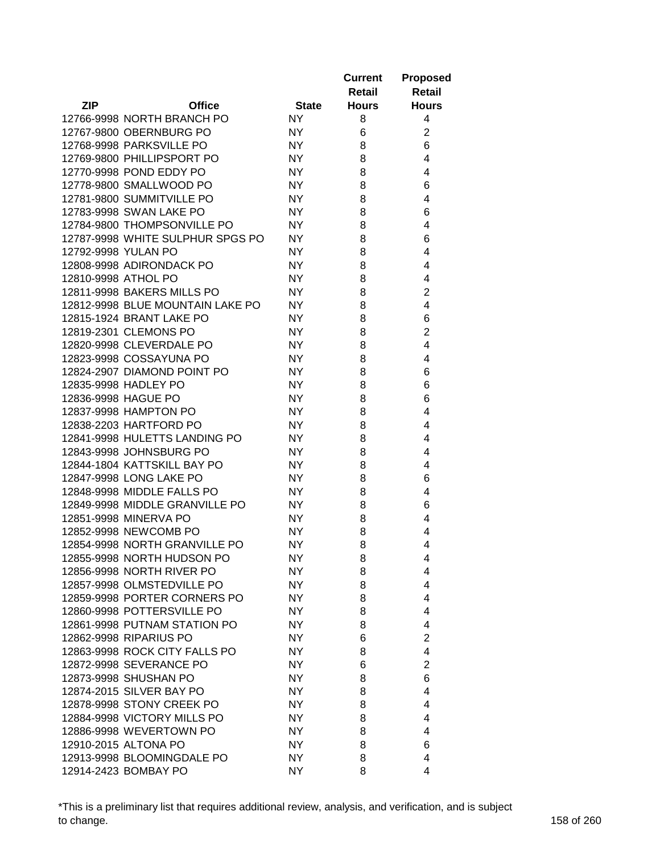|                     |                                  |              | <b>Current</b> | <b>Proposed</b> |
|---------------------|----------------------------------|--------------|----------------|-----------------|
|                     |                                  |              | Retail         | Retail          |
| <b>ZIP</b>          | <b>Office</b>                    | <b>State</b> | <b>Hours</b>   | <b>Hours</b>    |
|                     | 12766-9998 NORTH BRANCH PO       | <b>NY</b>    | 8              | 4               |
|                     | 12767-9800 OBERNBURG PO          | <b>NY</b>    | 6              | $\overline{c}$  |
|                     | 12768-9998 PARKSVILLE PO         | <b>NY</b>    | 8              | 6               |
|                     | 12769-9800 PHILLIPSPORT PO       | <b>NY</b>    | 8              | 4               |
|                     | 12770-9998 POND EDDY PO          | <b>NY</b>    | 8              | 4               |
|                     | 12778-9800 SMALLWOOD PO          | <b>NY</b>    | 8              | 6               |
|                     | 12781-9800 SUMMITVILLE PO        | <b>NY</b>    | 8              | 4               |
|                     | 12783-9998 SWAN LAKE PO          | NY.          | 8              | 6               |
|                     | 12784-9800 THOMPSONVILLE PO      | NY.          | 8              | 4               |
|                     | 12787-9998 WHITE SULPHUR SPGS PO | NY           | 8              | 6               |
| 12792-9998 YULAN PO |                                  | <b>NY</b>    | 8              | 4               |
|                     | 12808-9998 ADIRONDACK PO         | NY           | 8              | 4               |
| 12810-9998 ATHOL PO |                                  | NY.          | 8              | 4               |
|                     | 12811-9998 BAKERS MILLS PO       | <b>NY</b>    | 8              | $\overline{2}$  |
|                     | 12812-9998 BLUE MOUNTAIN LAKE PO | <b>NY</b>    | 8              | 4               |
|                     | 12815-1924 BRANT LAKE PO         | <b>NY</b>    | 8              | 6               |
|                     | 12819-2301 CLEMONS PO            | <b>NY</b>    | 8              | $\overline{2}$  |
|                     | 12820-9998 CLEVERDALE PO         | <b>NY</b>    | 8              | 4               |
|                     | 12823-9998 COSSAYUNA PO          | <b>NY</b>    | 8              | 4               |
|                     | 12824-2907 DIAMOND POINT PO      | <b>NY</b>    | 8              | 6               |
|                     | 12835-9998 HADLEY PO             | <b>NY</b>    | 8              | 6               |
|                     | 12836-9998 HAGUE PO              | <b>NY</b>    | 8              | 6               |
|                     | 12837-9998 HAMPTON PO            | <b>NY</b>    | 8              | 4               |
|                     | 12838-2203 HARTFORD PO           | NY.          | 8              | 4               |
|                     | 12841-9998 HULETTS LANDING PO    | <b>NY</b>    | 8              | 4               |
|                     | 12843-9998 JOHNSBURG PO          | <b>NY</b>    | 8              | 4               |
|                     | 12844-1804 KATTSKILL BAY PO      | <b>NY</b>    | 8              | 4               |
|                     | 12847-9998 LONG LAKE PO          | <b>NY</b>    | 8              | 6               |
|                     | 12848-9998 MIDDLE FALLS PO       | NY.          | 8              | 4               |
|                     | 12849-9998 MIDDLE GRANVILLE PO   | <b>NY</b>    | 8              | 6               |
|                     | 12851-9998 MINERVA PO            | <b>NY</b>    | 8              | 4               |
|                     | 12852-9998 NEWCOMB PO            | <b>NY</b>    | 8              | 4               |
|                     | 12854-9998 NORTH GRANVILLE PO    | NY.          | 8              | 4               |
|                     | 12855-9998 NORTH HUDSON PO       | <b>NY</b>    | 8              | 4               |
|                     | 12856-9998 NORTH RIVER PO        | NY.          | 8              | 4               |
|                     | 12857-9998 OLMSTEDVILLE PO       | <b>NY</b>    | 8              | 4               |
|                     | 12859-9998 PORTER CORNERS PO     | <b>NY</b>    | 8              | 4               |
|                     | 12860-9998 POTTERSVILLE PO       | NY           | 8              | 4               |
|                     | 12861-9998 PUTNAM STATION PO     | NY           | 8              | 4               |
|                     | 12862-9998 RIPARIUS PO           | NY           | 6              | $\overline{2}$  |
|                     | 12863-9998 ROCK CITY FALLS PO    | <b>NY</b>    | 8              | 4               |
|                     | 12872-9998 SEVERANCE PO          | NY.          | 6              | $\overline{2}$  |
|                     | 12873-9998 SHUSHAN PO            | NY           | 8              | 6               |
|                     | 12874-2015 SILVER BAY PO         | NY           | 8              | 4               |
|                     |                                  |              |                |                 |
|                     | 12878-9998 STONY CREEK PO        | NY           | 8              | 4               |
|                     | 12884-9998 VICTORY MILLS PO      | NY.          | 8              | 4               |
|                     | 12886-9998 WEVERTOWN PO          | NY.          | 8              | 4               |
|                     | 12910-2015 ALTONA PO             | NY           | 8              | 6               |
|                     | 12913-9998 BLOOMINGDALE PO       | NY           | 8              | 4               |
|                     | 12914-2423 BOMBAY PO             | NY.          | 8              | 4               |

\*This is a preliminary list that requires additional review, analysis, and verification, and is subject to change. 158 of 260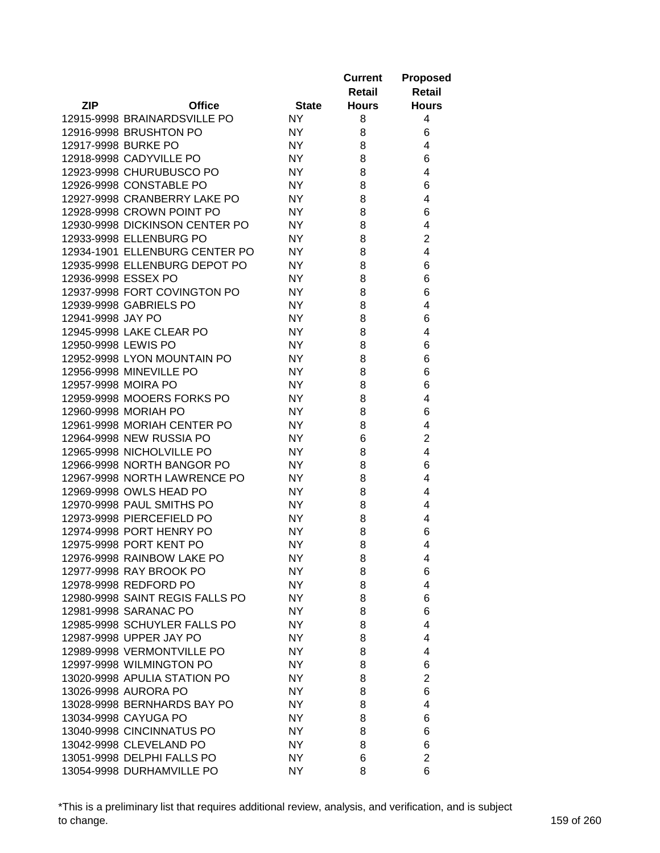|                     |                                 |              | <b>Current</b><br>Retail | <b>Proposed</b><br><b>Retail</b> |
|---------------------|---------------------------------|--------------|--------------------------|----------------------------------|
| <b>ZIP</b>          | <b>Office</b>                   | <b>State</b> | <b>Hours</b>             | <b>Hours</b>                     |
|                     | 12915-9998 BRAINARDSVILLE PO    | <b>NY</b>    | 8                        | 4                                |
|                     | 12916-9998 BRUSHTON PO          | NY.          | 8                        | 6                                |
| 12917-9998 BURKE PO |                                 | <b>NY</b>    | 8                        | 4                                |
|                     | 12918-9998 CADYVILLE PO         | <b>NY</b>    | 8                        | 6                                |
|                     | 12923-9998 CHURUBUSCO PO        | <b>NY</b>    | 8                        | 4                                |
|                     | 12926-9998 CONSTABLE PO         | <b>NY</b>    | 8                        | 6                                |
|                     | 12927-9998 CRANBERRY LAKE PO    | <b>NY</b>    | 8                        | 4                                |
|                     | 12928-9998 CROWN POINT PO       | NY.          | 8                        | 6                                |
|                     | 12930-9998 DICKINSON CENTER PO  | <b>NY</b>    | 8                        | 4                                |
|                     | 12933-9998 ELLENBURG PO         | <b>NY</b>    | 8                        | 2                                |
|                     | 12934-1901 ELLENBURG CENTER PO  | <b>NY</b>    | 8                        | 4                                |
|                     | 12935-9998 ELLENBURG DEPOT PO   | <b>NY</b>    | 8                        | 6                                |
| 12936-9998 ESSEX PO |                                 | <b>NY</b>    | 8                        | 6                                |
|                     | 12937-9998 FORT COVINGTON PO    | <b>NY</b>    | 8                        | 6                                |
|                     | 12939-9998 GABRIELS PO          | <b>NY</b>    | 8                        | 4                                |
| 12941-9998 JAY PO   |                                 | NY.          | 8                        | 6                                |
|                     | 12945-9998 LAKE CLEAR PO        | <b>NY</b>    | 8                        | 4                                |
| 12950-9998 LEWIS PO |                                 | <b>NY</b>    | 8                        | 6                                |
|                     | 12952-9998 LYON MOUNTAIN PO     | <b>NY</b>    | 8                        | 6                                |
|                     | 12956-9998 MINEVILLE PO         | <b>NY</b>    | 8                        | 6                                |
| 12957-9998 MOIRA PO |                                 | <b>NY</b>    | 8                        | 6                                |
|                     | 12959-9998 MOOERS FORKS PO      | <b>NY</b>    | 8                        | 4                                |
|                     | 12960-9998 MORIAH PO            | <b>NY</b>    | 8                        | 6                                |
|                     | 12961-9998 MORIAH CENTER PO     | <b>NY</b>    | 8                        | 4                                |
|                     | 12964-9998 NEW RUSSIA PO        | <b>NY</b>    | 6                        | 2                                |
|                     | 12965-9998 NICHOLVILLE PO       | <b>NY</b>    | 8                        | 4                                |
|                     | 12966-9998 NORTH BANGOR PO      | NY.          | 8                        | 6                                |
|                     | 12967-9998 NORTH LAWRENCE PO    | NY.          | 8                        | 4                                |
|                     | 12969-9998 OWLS HEAD PO         | NY.          | 8                        | 4                                |
|                     | 12970-9998 PAUL SMITHS PO       | <b>NY</b>    | 8                        | 4                                |
|                     | 12973-9998 PIERCEFIELD PO       | NY.          | 8                        | 4                                |
|                     | 12974-9998 PORT HENRY PO        | NY.          | 8                        | 6                                |
|                     | 12975-9998 PORT KENT PO         | NY           | 8                        | 4                                |
|                     | 12976-9998 RAINBOW LAKE PO      | NY.          | 8                        | 4                                |
|                     | 12977-9998 RAY BROOK PO         | NY.          | 8                        | 6                                |
|                     | 12978-9998 REDFORD PO           | <b>NY</b>    | 8                        | 4                                |
|                     | 12980-9998 SAINT REGIS FALLS PO | NY.          | 8                        | 6                                |
|                     | 12981-9998 SARANAC PO           | NY           | 8                        | 6                                |
|                     | 12985-9998 SCHUYLER FALLS PO    | NY           | 8                        | 4                                |
|                     | 12987-9998 UPPER JAY PO         | <b>NY</b>    | 8                        | 4                                |
|                     | 12989-9998 VERMONTVILLE PO      | NY.          | 8                        | 4                                |
|                     | 12997-9998 WILMINGTON PO        | NY.          | 8                        | 6                                |
|                     | 13020-9998 APULIA STATION PO    | <b>NY</b>    | 8                        | 2                                |
|                     | 13026-9998 AURORA PO            | NY.          | 8                        | 6                                |
|                     | 13028-9998 BERNHARDS BAY PO     | NY.          | 8                        | 4                                |
|                     | 13034-9998 CAYUGA PO            | NY.          | 8                        | 6                                |
|                     | 13040-9998 CINCINNATUS PO       | NY.          | 8                        | 6                                |
|                     | 13042-9998 CLEVELAND PO         | NY.          | 8                        | 6                                |
|                     | 13051-9998 DELPHI FALLS PO      | NY.          | 6                        | $\overline{2}$                   |
|                     | 13054-9998 DURHAMVILLE PO       | <b>NY</b>    | 8                        | 6                                |

\*This is a preliminary list that requires additional review, analysis, and verification, and is subject to change. 159 of 260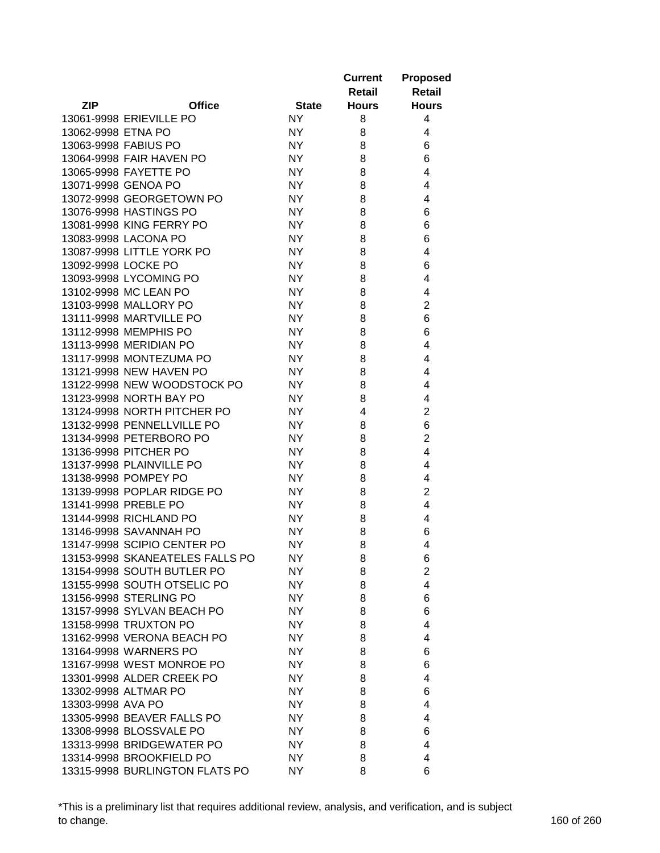|                     |                                 |              | <b>Current</b><br>Retail | <b>Proposed</b><br><b>Retail</b> |
|---------------------|---------------------------------|--------------|--------------------------|----------------------------------|
| <b>ZIP</b>          | <b>Office</b>                   | <b>State</b> | <b>Hours</b>             | <b>Hours</b>                     |
|                     | 13061-9998 ERIEVILLE PO         | <b>NY</b>    | 8                        | 4                                |
| 13062-9998 ETNA PO  |                                 | NY.          | 8                        | 4                                |
|                     | 13063-9998 FABIUS PO            | <b>NY</b>    | 8                        | 6                                |
|                     | 13064-9998 FAIR HAVEN PO        | <b>NY</b>    | 8                        | 6                                |
|                     | 13065-9998 FAYETTE PO           | <b>NY</b>    | 8                        | 4                                |
|                     | 13071-9998 GENOA PO             | <b>NY</b>    | 8                        | 4                                |
|                     | 13072-9998 GEORGETOWN PO        | <b>NY</b>    | 8                        | 4                                |
|                     | 13076-9998 HASTINGS PO          | <b>NY</b>    | 8                        | 6                                |
|                     | 13081-9998 KING FERRY PO        | <b>NY</b>    | 8                        | 6                                |
|                     | 13083-9998 LACONA PO            | <b>NY</b>    | 8                        | 6                                |
|                     | 13087-9998 LITTLE YORK PO       | <b>NY</b>    | 8                        | 4                                |
| 13092-9998 LOCKE PO |                                 | <b>NY</b>    | 8                        | 6                                |
|                     | 13093-9998 LYCOMING PO          | <b>NY</b>    | 8                        | 4                                |
|                     | 13102-9998 MC LEAN PO           | <b>NY</b>    | 8                        | 4                                |
|                     | 13103-9998 MALLORY PO           | <b>NY</b>    | 8                        | $\overline{2}$                   |
|                     | 13111-9998 MARTVILLE PO         | <b>NY</b>    | 8                        | 6                                |
|                     | 13112-9998 MEMPHIS PO           | <b>NY</b>    | 8                        | 6                                |
|                     | 13113-9998 MERIDIAN PO          | <b>NY</b>    | 8                        | 4                                |
|                     | 13117-9998 MONTEZUMA PO         | <b>NY</b>    | 8                        | 4                                |
|                     | 13121-9998 NEW HAVEN PO         | <b>NY</b>    | 8                        | 4                                |
|                     | 13122-9998 NEW WOODSTOCK PO     | <b>NY</b>    | 8                        | 4                                |
|                     | 13123-9998 NORTH BAY PO         | <b>NY</b>    | 8                        | 4                                |
|                     | 13124-9998 NORTH PITCHER PO     | <b>NY</b>    | 4                        | $\overline{2}$                   |
|                     | 13132-9998 PENNELLVILLE PO      | <b>NY</b>    | 8                        | 6                                |
|                     | 13134-9998 PETERBORO PO         | <b>NY</b>    | 8                        | 2                                |
|                     | 13136-9998 PITCHER PO           | <b>NY</b>    | 8                        | 4                                |
|                     | 13137-9998 PLAINVILLE PO        | <b>NY</b>    | 8                        | 4                                |
|                     | 13138-9998 POMPEY PO            | <b>NY</b>    | 8                        | 4                                |
|                     | 13139-9998 POPLAR RIDGE PO      | <b>NY</b>    | 8                        | $\overline{2}$                   |
|                     | 13141-9998 PREBLE PO            | <b>NY</b>    | 8                        | 4                                |
|                     | 13144-9998 RICHLAND PO          | <b>NY</b>    | 8                        | 4                                |
|                     | 13146-9998 SAVANNAH PO          | NY.          | 8                        | 6                                |
|                     | 13147-9998 SCIPIO CENTER PO     | <b>NY</b>    | 8                        | 4                                |
|                     | 13153-9998 SKANEATELES FALLS PO | NY.          | 8                        | 6                                |
|                     | 13154-9998 SOUTH BUTLER PO      | NY.          | 8                        | $\overline{2}$                   |
|                     | 13155-9998 SOUTH OTSELIC PO     | NY.          | 8                        | 4                                |
|                     | 13156-9998 STERLING PO          | NY.          | 8                        | 6                                |
|                     | 13157-9998 SYLVAN BEACH PO      | NY           | 8                        | 6                                |
|                     | 13158-9998 TRUXTON PO           | NY           | 8                        | 4                                |
|                     | 13162-9998 VERONA BEACH PO      | <b>NY</b>    | 8                        | 4                                |
|                     | 13164-9998 WARNERS PO           | NY.          | 8                        | 6                                |
|                     | 13167-9998 WEST MONROE PO       | <b>NY</b>    | 8                        | 6                                |
|                     | 13301-9998 ALDER CREEK PO       | NY           |                          | 4                                |
|                     | 13302-9998 ALTMAR PO            |              | 8                        |                                  |
|                     |                                 | NY.          | 8                        | 6                                |
| 13303-9998 AVA PO   |                                 | NY.          | 8                        | 4                                |
|                     | 13305-9998 BEAVER FALLS PO      | NY.          | 8                        | 4                                |
|                     | 13308-9998 BLOSSVALE PO         | NY.          | 8                        | 6                                |
|                     | 13313-9998 BRIDGEWATER PO       | NY.          | 8                        | 4                                |
|                     | 13314-9998 BROOKFIELD PO        | NY.          | 8                        | 4                                |
|                     | 13315-9998 BURLINGTON FLATS PO  | NY.          | 8                        | 6                                |

\*This is a preliminary list that requires additional review, analysis, and verification, and is subject to change. 160 of 260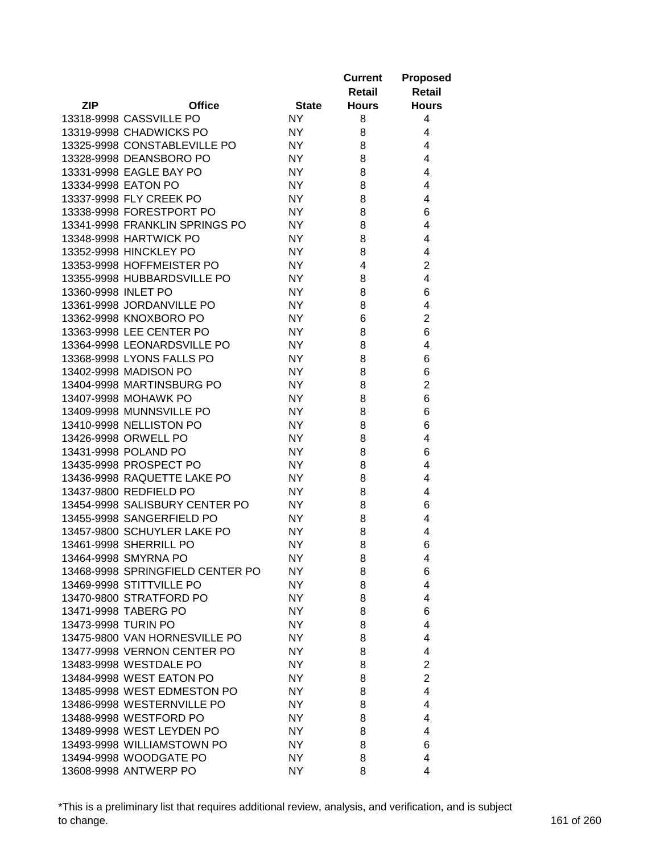|                     |                                  |              | <b>Current</b><br>Retail | <b>Proposed</b><br>Retail |
|---------------------|----------------------------------|--------------|--------------------------|---------------------------|
| <b>ZIP</b>          | <b>Office</b>                    | <b>State</b> | <b>Hours</b>             | <b>Hours</b>              |
|                     | 13318-9998 CASSVILLE PO          | NY.          | 8                        | 4                         |
|                     | 13319-9998 CHADWICKS PO          | NY.          | 8                        | 4                         |
|                     | 13325-9998 CONSTABLEVILLE PO     | <b>NY</b>    | 8                        | 4                         |
|                     | 13328-9998 DEANSBORO PO          | <b>NY</b>    | 8                        | 4                         |
|                     | 13331-9998 EAGLE BAY PO          | <b>NY</b>    | 8                        | 4                         |
|                     | 13334-9998 EATON PO              | <b>NY</b>    | 8                        | 4                         |
|                     | 13337-9998 FLY CREEK PO          | <b>NY</b>    | 8                        | 4                         |
|                     | 13338-9998 FORESTPORT PO         | <b>NY</b>    | 8                        | 6                         |
|                     | 13341-9998 FRANKLIN SPRINGS PO   | <b>NY</b>    | 8                        | 4                         |
|                     | 13348-9998 HARTWICK PO           | <b>NY</b>    | 8                        | 4                         |
|                     | 13352-9998 HINCKLEY PO           | <b>NY</b>    | 8                        | 4                         |
|                     | 13353-9998 HOFFMEISTER PO        | <b>NY</b>    | 4                        | $\overline{2}$            |
|                     | 13355-9998 HUBBARDSVILLE PO      | <b>NY</b>    | 8                        | 4                         |
| 13360-9998 INLET PO |                                  | <b>NY</b>    | 8                        | 6                         |
|                     | 13361-9998 JORDANVILLE PO        | <b>NY</b>    | 8                        | 4                         |
|                     | 13362-9998 KNOXBORO PO           | <b>NY</b>    | 6                        | $\overline{c}$            |
|                     | 13363-9998 LEE CENTER PO         | <b>NY</b>    | 8                        | 6                         |
|                     | 13364-9998 LEONARDSVILLE PO      | <b>NY</b>    | 8                        | 4                         |
|                     | 13368-9998 LYONS FALLS PO        | <b>NY</b>    | 8                        | 6                         |
|                     | 13402-9998 MADISON PO            | <b>NY</b>    | 8                        | 6                         |
|                     | 13404-9998 MARTINSBURG PO        | <b>NY</b>    | 8                        | $\overline{2}$            |
|                     | 13407-9998 MOHAWK PO             | <b>NY</b>    | 8                        | 6                         |
|                     | 13409-9998 MUNNSVILLE PO         | <b>NY</b>    | 8                        | 6                         |
|                     | 13410-9998 NELLISTON PO          | <b>NY</b>    | 8                        | 6                         |
|                     | 13426-9998 ORWELL PO             | <b>NY</b>    | 8                        | 4                         |
|                     | 13431-9998 POLAND PO             | <b>NY</b>    | 8                        | 6                         |
|                     | 13435-9998 PROSPECT PO           | <b>NY</b>    | 8                        | 4                         |
|                     | 13436-9998 RAQUETTE LAKE PO      | NY.          | 8                        | 4                         |
|                     | 13437-9800 REDFIELD PO           | NY.          | 8                        | 4                         |
|                     | 13454-9998 SALISBURY CENTER PO   | NY.          | 8                        | 6                         |
|                     | 13455-9998 SANGERFIELD PO        | NY.          | 8                        | 4                         |
|                     | 13457-9800 SCHUYLER LAKE PO      | NY.          | 8                        | 4                         |
|                     | 13461-9998 SHERRILL PO           | NY           | 8                        | 6                         |
|                     | 13464-9998 SMYRNA PO             | NY.          | 8                        | 4                         |
|                     | 13468-9998 SPRINGFIELD CENTER PO | NY           | 8                        | 6                         |
|                     | 13469-9998 STITTVILLE PO         | <b>NY</b>    | 8                        | 4                         |
|                     | 13470-9800 STRATFORD PO          | NY           | 8                        | 4                         |
|                     | 13471-9998 TABERG PO             | NY           | 8                        | 6                         |
| 13473-9998 TURIN PO |                                  | NY           | 8                        | 4                         |
|                     | 13475-9800 VAN HORNESVILLE PO    | NY           | 8                        | 4                         |
|                     | 13477-9998 VERNON CENTER PO      | NY.          | 8                        | 4                         |
|                     | 13483-9998 WESTDALE PO           | NY.          | 8                        | $\overline{2}$            |
|                     | 13484-9998 WEST EATON PO         | NY           | 8                        | $\overline{2}$            |
|                     | 13485-9998 WEST EDMESTON PO      | NY.          | 8                        | 4                         |
|                     | 13486-9998 WESTERNVILLE PO       | NY.          | 8                        | 4                         |
|                     | 13488-9998 WESTFORD PO           | NY.          | 8                        | 4                         |
|                     | 13489-9998 WEST LEYDEN PO        | NY.          | 8                        | 4                         |
|                     | 13493-9998 WILLIAMSTOWN PO       | NY.          | 8                        | 6                         |
|                     | 13494-9998 WOODGATE PO           | NY.          | 8                        | 4                         |
|                     | 13608-9998 ANTWERP PO            | NY.          | 8                        | 4                         |

\*This is a preliminary list that requires additional review, analysis, and verification, and is subject to change. 161 of 260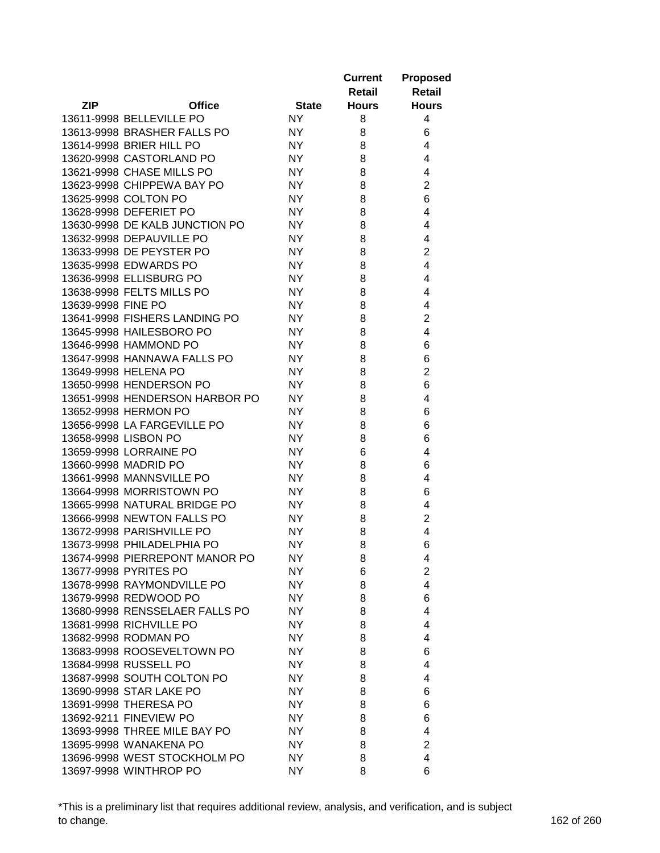|                    |                                |              | <b>Current</b><br>Retail | <b>Proposed</b><br>Retail |
|--------------------|--------------------------------|--------------|--------------------------|---------------------------|
| <b>ZIP</b>         | <b>Office</b>                  | <b>State</b> | <b>Hours</b>             | <b>Hours</b>              |
|                    | 13611-9998 BELLEVILLE PO       | <b>NY</b>    | 8                        | 4                         |
|                    | 13613-9998 BRASHER FALLS PO    | NY.          | 8                        | 6                         |
|                    | 13614-9998 BRIER HILL PO       | <b>NY</b>    | 8                        | 4                         |
|                    | 13620-9998 CASTORLAND PO       | <b>NY</b>    | 8                        | 4                         |
|                    | 13621-9998 CHASE MILLS PO      | <b>NY</b>    | 8                        | 4                         |
|                    | 13623-9998 CHIPPEWA BAY PO     | <b>NY</b>    | 8                        | $\overline{2}$            |
|                    | 13625-9998 COLTON PO           | <b>NY</b>    | 8                        | 6                         |
|                    | 13628-9998 DEFERIET PO         | <b>NY</b>    | 8                        | 4                         |
|                    | 13630-9998 DE KALB JUNCTION PO | <b>NY</b>    | 8                        | 4                         |
|                    | 13632-9998 DEPAUVILLE PO       | <b>NY</b>    | 8                        | 4                         |
|                    | 13633-9998 DE PEYSTER PO       | <b>NY</b>    | 8                        | $\overline{2}$            |
|                    | 13635-9998 EDWARDS PO          | <b>NY</b>    | 8                        | 4                         |
|                    | 13636-9998 ELLISBURG PO        | <b>NY</b>    | 8                        | 4                         |
|                    | 13638-9998 FELTS MILLS PO      | <b>NY</b>    | 8                        | 4                         |
| 13639-9998 FINE PO |                                | <b>NY</b>    | 8                        | 4                         |
|                    | 13641-9998 FISHERS LANDING PO  | <b>NY</b>    | 8                        | $\overline{c}$            |
|                    | 13645-9998 HAILESBORO PO       | <b>NY</b>    | 8                        | 4                         |
|                    | 13646-9998 HAMMOND PO          | <b>NY</b>    | 8                        | 6                         |
|                    | 13647-9998 HANNAWA FALLS PO    | <b>NY</b>    | 8                        | 6                         |
|                    | 13649-9998 HELENA PO           | <b>NY</b>    | 8                        | $\overline{2}$            |
|                    | 13650-9998 HENDERSON PO        | <b>NY</b>    | 8                        | 6                         |
|                    | 13651-9998 HENDERSON HARBOR PO | <b>NY</b>    | 8                        | 4                         |
|                    | 13652-9998 HERMON PO           | <b>NY</b>    | 8                        | 6                         |
|                    | 13656-9998 LA FARGEVILLE PO    | <b>NY</b>    | 8                        | 6                         |
|                    | 13658-9998 LISBON PO           | <b>NY</b>    | 8                        | 6                         |
|                    | 13659-9998 LORRAINE PO         | <b>NY</b>    | 6                        | 4                         |
|                    | 13660-9998 MADRID PO           | <b>NY</b>    | 8                        | 6                         |
|                    | 13661-9998 MANNSVILLE PO       | NY.          | 8                        | 4                         |
|                    | 13664-9998 MORRISTOWN PO       | NY.          | 8                        | 6                         |
|                    | 13665-9998 NATURAL BRIDGE PO   | NY.          | 8                        | 4                         |
|                    | 13666-9998 NEWTON FALLS PO     | NY.          | 8                        | $\overline{2}$            |
|                    | 13672-9998 PARISHVILLE PO      | NY.          | 8                        | 4                         |
|                    | 13673-9998 PHILADELPHIA PO     | NY.          | 8                        | 6                         |
|                    | 13674-9998 PIERREPONT MANOR PO | NY.          | 8                        | 4                         |
|                    | 13677-9998 PYRITES PO          | NY.          | 6                        | $\overline{2}$            |
|                    | 13678-9998 RAYMONDVILLE PO     | <b>NY</b>    | 8                        | 4                         |
|                    | 13679-9998 REDWOOD PO          | NY.          | 8                        | 6                         |
|                    | 13680-9998 RENSSELAER FALLS PO | NY.          | 8                        | 4                         |
|                    | 13681-9998 RICHVILLE PO        | <b>NY</b>    | 8                        | 4                         |
|                    | 13682-9998 RODMAN PO           | <b>NY</b>    | 8                        | 4                         |
|                    | 13683-9998 ROOSEVELTOWN PO     | NY.          | 8                        | 6                         |
|                    | 13684-9998 RUSSELL PO          | NY.          | 8                        | 4                         |
|                    | 13687-9998 SOUTH COLTON PO     | NY.          | 8                        | 4                         |
|                    | 13690-9998 STAR LAKE PO        | NY.          | 8                        | 6                         |
|                    | 13691-9998 THERESA PO          | NY.          | 8                        | 6                         |
|                    | 13692-9211 FINEVIEW PO         | NY.          | 8                        |                           |
|                    |                                |              |                          | 6<br>4                    |
|                    | 13693-9998 THREE MILE BAY PO   | NY.          | 8                        | $\overline{2}$            |
|                    | 13695-9998 WANAKENA PO         | NY.          | 8                        |                           |
|                    | 13696-9998 WEST STOCKHOLM PO   | NY.          | 8                        | 4                         |
|                    | 13697-9998 WINTHROP PO         | NY.          | 8                        | 6                         |

\*This is a preliminary list that requires additional review, analysis, and verification, and is subject to change. 162 of 260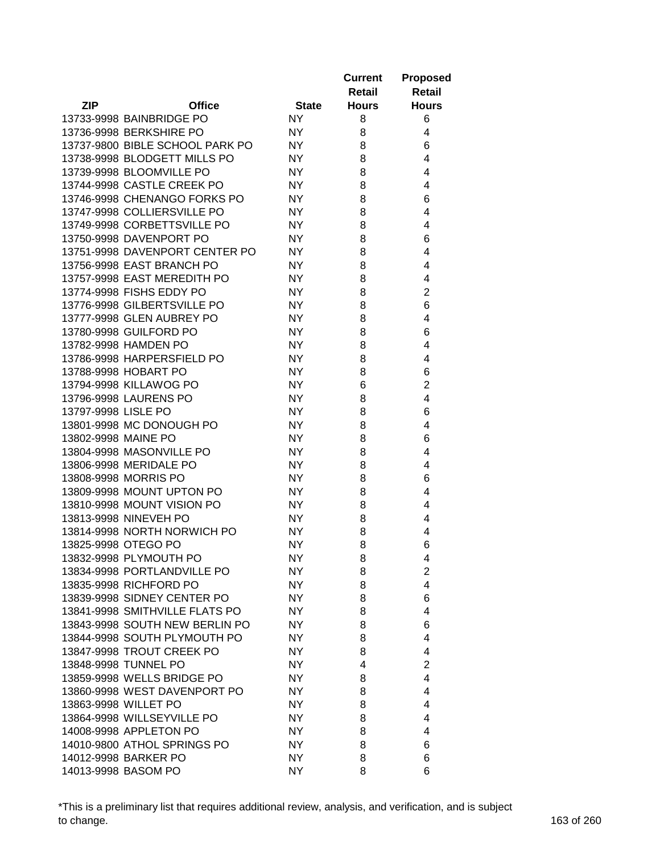|                     |                                 |              | <b>Current</b> | <b>Proposed</b>                           |
|---------------------|---------------------------------|--------------|----------------|-------------------------------------------|
|                     |                                 |              | <b>Retail</b>  | Retail                                    |
| <b>ZIP</b>          | <b>Office</b>                   | <b>State</b> | <b>Hours</b>   | <b>Hours</b>                              |
|                     | 13733-9998 BAINBRIDGE PO        | <b>NY</b>    | 8              | 6                                         |
|                     | 13736-9998 BERKSHIRE PO         | <b>NY</b>    | 8              | 4                                         |
|                     | 13737-9800 BIBLE SCHOOL PARK PO | <b>NY</b>    | 8              | 6                                         |
|                     | 13738-9998 BLODGETT MILLS PO    | <b>NY</b>    | 8              | 4                                         |
|                     | 13739-9998 BLOOMVILLE PO        | <b>NY</b>    | 8              | 4                                         |
|                     | 13744-9998 CASTLE CREEK PO      | <b>NY</b>    | 8              | 4                                         |
|                     | 13746-9998 CHENANGO FORKS PO    | <b>NY</b>    | 8              | 6                                         |
|                     | 13747-9998 COLLIERSVILLE PO     | <b>NY</b>    | 8              | 4                                         |
|                     | 13749-9998 CORBETTSVILLE PO     | NY           | 8              | 4                                         |
|                     | 13750-9998 DAVENPORT PO         | NY           | 8              | 6                                         |
|                     | 13751-9998 DAVENPORT CENTER PO  | NY           | 8              | 4                                         |
|                     | 13756-9998 EAST BRANCH PO       | <b>NY</b>    | 8              | 4                                         |
|                     | 13757-9998 EAST MEREDITH PO     | <b>NY</b>    | 8              | 4                                         |
|                     | 13774-9998 FISHS EDDY PO        | <b>NY</b>    | 8              | $\overline{c}$                            |
|                     | 13776-9998 GILBERTSVILLE PO     | <b>NY</b>    | 8              | 6                                         |
|                     | 13777-9998 GLEN AUBREY PO       | <b>NY</b>    | 8              | 4                                         |
|                     | 13780-9998 GUILFORD PO          | <b>NY</b>    | 8              | 6                                         |
|                     | 13782-9998 HAMDEN PO            | <b>NY</b>    | 8              | 4                                         |
|                     | 13786-9998 HARPERSFIELD PO      | <b>NY</b>    | 8              | 4                                         |
|                     | 13788-9998 HOBART PO            | <b>NY</b>    | 8              | 6                                         |
|                     | 13794-9998 KILLAWOG PO          | <b>NY</b>    | 6              | $\overline{2}$                            |
|                     | 13796-9998 LAURENS PO           | <b>NY</b>    | 8              | $\overline{4}$                            |
| 13797-9998 LISLE PO |                                 | <b>NY</b>    | 8              | 6                                         |
|                     | 13801-9998 MC DONOUGH PO        | <b>NY</b>    | 8              | 4                                         |
| 13802-9998 MAINE PO |                                 | NY           | 8              | 6                                         |
|                     | 13804-9998 MASONVILLE PO        | NY           | 8              | 4                                         |
|                     | 13806-9998 MERIDALE PO          | NY           | 8              | 4                                         |
|                     | 13808-9998 MORRIS PO            | <b>NY</b>    | 8              | 6                                         |
|                     | 13809-9998 MOUNT UPTON PO       | <b>NY</b>    | 8              | 4                                         |
|                     | 13810-9998 MOUNT VISION PO      | <b>NY</b>    | 8              | 4                                         |
|                     | 13813-9998 NINEVEH PO           | <b>NY</b>    |                | 4                                         |
|                     | 13814-9998 NORTH NORWICH PO     | <b>NY</b>    | 8<br>8         | 4                                         |
|                     | 13825-9998 OTEGO PO             | <b>NY</b>    | 8              |                                           |
|                     | 13832-9998 PLYMOUTH PO          |              |                | 6                                         |
|                     |                                 | <b>NY</b>    | 8              | 4                                         |
|                     | 13834-9998 PORTLANDVILLE PO     | NY.          | 8              | $\overline{2}$<br>$\overline{\mathbf{4}}$ |
|                     | 13835-9998 RICHFORD PO          | NY           | 8              |                                           |
|                     | 13839-9998 SIDNEY CENTER PO     | <b>NY</b>    | 8              | 6                                         |
|                     | 13841-9998 SMITHVILLE FLATS PO  | NY.          | 8              | 4                                         |
|                     | 13843-9998 SOUTH NEW BERLIN PO  | NY.          | 8              | 6                                         |
|                     | 13844-9998 SOUTH PLYMOUTH PO    | NY.          | 8              | 4                                         |
|                     | 13847-9998 TROUT CREEK PO       | <b>NY</b>    | 8              | 4                                         |
|                     | 13848-9998 TUNNEL PO            | NY.          | 4              | $\overline{2}$                            |
|                     | 13859-9998 WELLS BRIDGE PO      | NY.          | 8              | 4                                         |
|                     | 13860-9998 WEST DAVENPORT PO    | <b>NY</b>    | 8              | 4                                         |
|                     | 13863-9998 WILLET PO            | NY.          | 8              | 4                                         |
|                     | 13864-9998 WILLSEYVILLE PO      | NY.          | 8              | 4                                         |
|                     | 14008-9998 APPLETON PO          | <b>NY</b>    | 8              | 4                                         |
|                     | 14010-9800 ATHOL SPRINGS PO     | <b>NY</b>    | 8              | 6                                         |
|                     | 14012-9998 BARKER PO            | <b>NY</b>    | 8              | 6                                         |
|                     | 14013-9998 BASOM PO             | <b>NY</b>    | 8              | 6                                         |

\*This is a preliminary list that requires additional review, analysis, and verification, and is subject to change. 163 of 260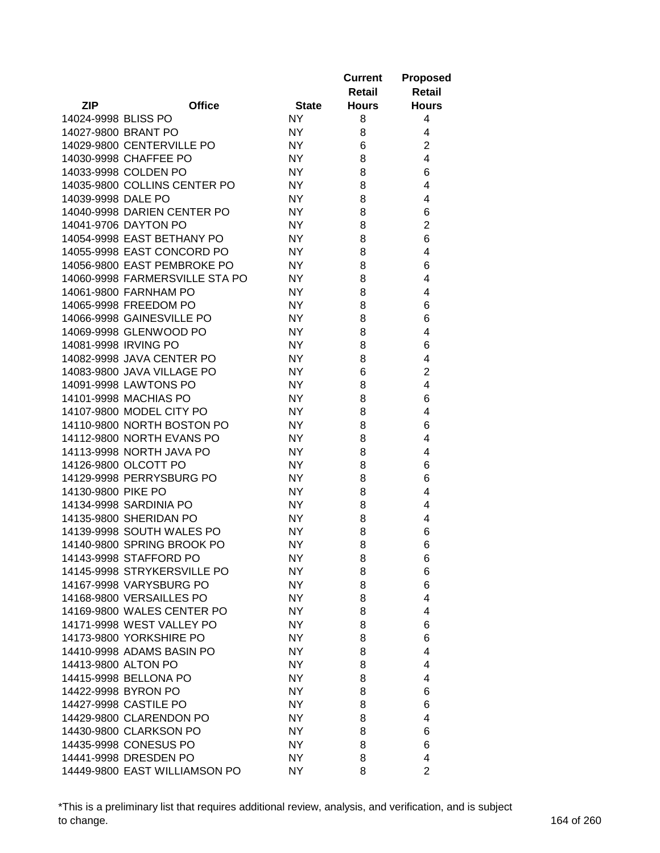|                      |                                                        |                  | <b>Current</b><br>Retail | <b>Proposed</b><br><b>Retail</b> |
|----------------------|--------------------------------------------------------|------------------|--------------------------|----------------------------------|
| <b>ZIP</b>           | <b>Office</b>                                          | <b>State</b>     | <b>Hours</b>             | <b>Hours</b>                     |
| 14024-9998 BLISS PO  |                                                        | <b>NY</b>        | 8                        | 4                                |
| 14027-9800 BRANT PO  |                                                        | NY.              | 8                        | 4                                |
|                      | 14029-9800 CENTERVILLE PO                              | <b>NY</b>        | 6                        | $\overline{2}$                   |
|                      | 14030-9998 CHAFFEE PO                                  | <b>NY</b>        | 8                        | $\overline{4}$                   |
|                      | 14033-9998 COLDEN PO                                   | <b>NY</b>        | 8                        | 6                                |
|                      | 14035-9800 COLLINS CENTER PO                           | <b>NY</b>        | 8                        | 4                                |
| 14039-9998 DALE PO   |                                                        | <b>NY</b>        | 8                        | 4                                |
|                      | 14040-9998 DARIEN CENTER PO                            | <b>NY</b>        | 8                        | 6                                |
|                      | 14041-9706 DAYTON PO                                   | <b>NY</b>        | 8                        | $\overline{2}$                   |
|                      | 14054-9998 EAST BETHANY PO                             | <b>NY</b>        | 8                        | 6                                |
|                      | 14055-9998 EAST CONCORD PO                             | <b>NY</b>        | 8                        | 4                                |
|                      | 14056-9800 EAST PEMBROKE PO                            | <b>NY</b>        | 8                        | 6                                |
|                      | 14060-9998 FARMERSVILLE STA PO                         | <b>NY</b>        | 8                        | 4                                |
|                      | 14061-9800 FARNHAM PO                                  | <b>NY</b>        | 8                        | 4                                |
|                      | 14065-9998 FREEDOM PO                                  | <b>NY</b>        | 8                        | 6                                |
|                      | 14066-9998 GAINESVILLE PO                              | <b>NY</b>        | 8                        | 6                                |
|                      | 14069-9998 GLENWOOD PO                                 | <b>NY</b>        | 8                        | 4                                |
| 14081-9998 IRVING PO |                                                        | <b>NY</b>        | 8                        | 6                                |
|                      | 14082-9998 JAVA CENTER PO                              | <b>NY</b>        | 8                        | 4                                |
|                      | 14083-9800 JAVA VILLAGE PO                             | <b>NY</b>        | 6                        | $\overline{2}$                   |
|                      | 14091-9998 LAWTONS PO                                  | <b>NY</b>        | 8                        | $\overline{4}$                   |
|                      | 14101-9998 MACHIAS PO                                  | <b>NY</b>        | 8                        | 6                                |
|                      | 14107-9800 MODEL CITY PO                               | <b>NY</b>        | 8                        | 4                                |
|                      | 14110-9800 NORTH BOSTON PO                             | <b>NY</b>        | 8                        | 6                                |
|                      | 14112-9800 NORTH EVANS PO                              | <b>NY</b>        | 8                        | 4                                |
|                      | 14113-9998 NORTH JAVA PO                               | <b>NY</b>        | 8                        | 4                                |
|                      | 14126-9800 OLCOTT PO                                   | <b>NY</b>        | 8                        | 6                                |
|                      | 14129-9998 PERRYSBURG PO                               | <b>NY</b>        | 8                        | 6                                |
| 14130-9800 PIKE PO   |                                                        | <b>NY</b>        | 8                        | 4                                |
|                      | 14134-9998 SARDINIA PO                                 | <b>NY</b>        | 8                        | 4                                |
|                      | 14135-9800 SHERIDAN PO                                 | NY.              | 8                        | 4                                |
|                      | 14139-9998 SOUTH WALES PO                              | NY.              | 8                        | 6                                |
|                      | 14140-9800 SPRING BROOK PO                             | <b>NY</b>        | 8                        | 6                                |
|                      |                                                        |                  |                          |                                  |
|                      | 14143-9998 STAFFORD PO                                 | NY.              | 8                        | 6                                |
|                      | 14145-9998 STRYKERSVILLE PO<br>14167-9998 VARYSBURG PO | NY.              | 8                        | 6                                |
|                      | 14168-9800 VERSAILLES PO                               | NY               | 8                        | 6<br>4                           |
|                      | 14169-9800 WALES CENTER PO                             | NY.<br><b>NY</b> | 8                        | 4                                |
|                      |                                                        |                  | 8                        |                                  |
|                      | 14171-9998 WEST VALLEY PO                              | NY               | 8                        | 6                                |
|                      | 14173-9800 YORKSHIRE PO                                | <b>NY</b>        | 8                        | 6                                |
|                      | 14410-9998 ADAMS BASIN PO                              | <b>NY</b>        | 8                        | 4                                |
| 14413-9800 ALTON PO  |                                                        | <b>NY</b>        | 8                        | 4                                |
|                      | 14415-9998 BELLONA PO                                  | <b>NY</b>        | 8                        | 4                                |
|                      | 14422-9998 BYRON PO                                    | <b>NY</b>        | 8                        | 6                                |
|                      | 14427-9998 CASTILE PO                                  | <b>NY</b>        | 8                        | 6                                |
|                      | 14429-9800 CLARENDON PO                                | <b>NY</b>        | 8                        | 4                                |
|                      | 14430-9800 CLARKSON PO                                 | NY.              | 8                        | 6                                |
|                      | 14435-9998 CONESUS PO                                  | NY.              | 8                        | 6                                |
|                      | 14441-9998 DRESDEN PO                                  | NY.              | 8                        | 4                                |
|                      | 14449-9800 EAST WILLIAMSON PO                          | NY.              | 8                        | $\overline{2}$                   |

\*This is a preliminary list that requires additional review, analysis, and verification, and is subject to change. 164 of 260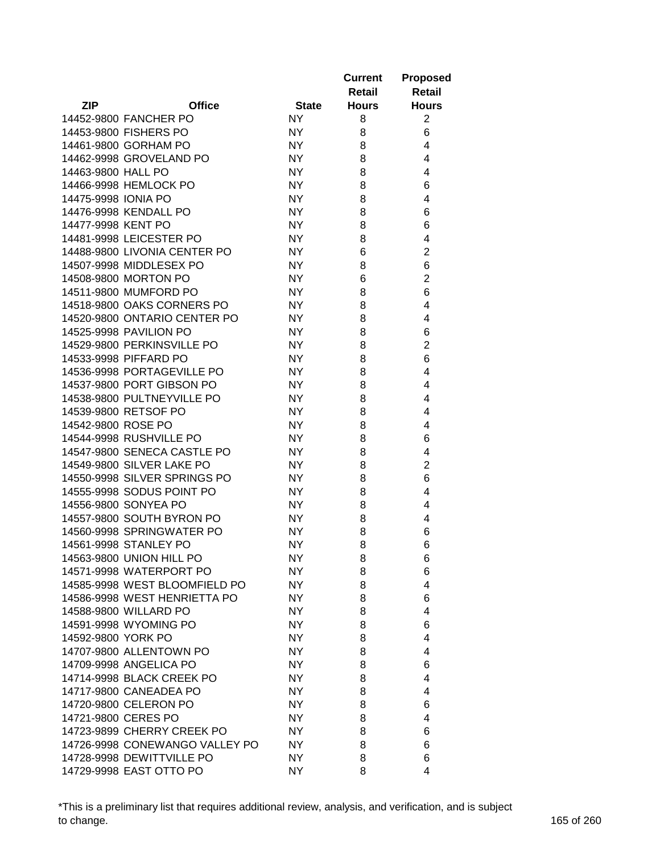|                     |                                                       |                        | <b>Current</b> | <b>Proposed</b> |
|---------------------|-------------------------------------------------------|------------------------|----------------|-----------------|
|                     |                                                       |                        | Retail         | Retail          |
| <b>ZIP</b>          | <b>Office</b>                                         | <b>State</b>           | <b>Hours</b>   | <b>Hours</b>    |
|                     | 14452-9800 FANCHER PO                                 | <b>NY</b>              | 8              | $\overline{2}$  |
|                     | 14453-9800 FISHERS PO                                 | <b>NY</b>              | 8              | 6               |
|                     | 14461-9800 GORHAM PO                                  | <b>NY</b>              | 8              | 4               |
|                     | 14462-9998 GROVELAND PO                               | <b>NY</b>              | 8              | 4               |
| 14463-9800 HALL PO  |                                                       | <b>NY</b>              | 8              | 4               |
|                     | 14466-9998 HEMLOCK PO                                 | <b>NY</b>              | 8              | 6               |
| 14475-9998 IONIA PO |                                                       | <b>NY</b>              | 8              | 4               |
|                     | 14476-9998 KENDALL PO                                 | <b>NY</b>              | 8              | 6               |
| 14477-9998 KENT PO  |                                                       | <b>NY</b>              | 8              | 6               |
|                     | 14481-9998 LEICESTER PO                               | <b>NY</b>              | 8              | 4               |
|                     | 14488-9800 LIVONIA CENTER PO                          | <b>NY</b>              | 6              | $\overline{c}$  |
|                     | 14507-9998 MIDDLESEX PO                               | <b>NY</b>              | 8              | 6               |
|                     | 14508-9800 MORTON PO                                  | <b>NY</b>              | 6              | $\overline{c}$  |
|                     | 14511-9800 MUMFORD PO                                 | <b>NY</b>              | 8              | 6               |
|                     | 14518-9800 OAKS CORNERS PO                            | <b>NY</b>              | 8              | 4               |
|                     | 14520-9800 ONTARIO CENTER PO                          | <b>NY</b>              | 8              | 4               |
|                     | 14525-9998 PAVILION PO                                | <b>NY</b>              | 8              | 6               |
|                     | 14529-9800 PERKINSVILLE PO                            | <b>NY</b>              | 8              | $\overline{2}$  |
|                     | 14533-9998 PIFFARD PO                                 | <b>NY</b>              | 8              | 6               |
|                     | 14536-9998 PORTAGEVILLE PO                            | <b>NY</b>              | 8              | 4               |
|                     | 14537-9800 PORT GIBSON PO                             |                        |                | 4               |
|                     |                                                       | <b>NY</b><br><b>NY</b> | 8              | 4               |
|                     | 14538-9800 PULTNEYVILLE PO                            |                        | 8              |                 |
|                     | 14539-9800 RETSOF PO                                  | <b>NY</b>              | 8              | 4               |
| 14542-9800 ROSE PO  | 14544-9998 RUSHVILLE PO                               | <b>NY</b><br><b>NY</b> | 8<br>8         | 4<br>6          |
|                     | 14547-9800 SENECA CASTLE PO                           | <b>NY</b>              | 8              | 4               |
|                     | 14549-9800 SILVER LAKE PO                             | <b>NY</b>              | 8              | $\overline{c}$  |
|                     | 14550-9998 SILVER SPRINGS PO                          | <b>NY</b>              | 8              | 6               |
|                     | 14555-9998 SODUS POINT PO                             |                        |                | 4               |
|                     | 14556-9800 SONYEA PO                                  | <b>NY</b><br><b>NY</b> | 8              | 4               |
|                     | 14557-9800 SOUTH BYRON PO                             |                        | 8              | 4               |
|                     | 14560-9998 SPRINGWATER PO                             | <b>NY</b><br><b>NY</b> | 8              |                 |
|                     |                                                       |                        | 8              | 6               |
|                     | 14561-9998 STANLEY PO                                 | <b>NY</b>              | 8              | 6               |
|                     | 14563-9800 UNION HILL PO                              | <b>NY</b>              | 8              | 6               |
|                     | 14571-9998 WATERPORT PO                               | NY.                    | 8              | 6<br>4          |
|                     | 14585-9998 WEST BLOOMFIELD PO                         | <b>NY</b>              | 8              |                 |
|                     | 14586-9998 WEST HENRIETTA PO<br>14588-9800 WILLARD PO | <b>NY</b><br>NY        | 8              | 6               |
|                     |                                                       |                        | 8              | 4               |
|                     | 14591-9998 WYOMING PO                                 | NY                     | 8              | 6               |
| 14592-9800 YORK PO  |                                                       | NY                     | 8              | 4               |
|                     | 14707-9800 ALLENTOWN PO                               | <b>NY</b>              | 8              | 4               |
|                     | 14709-9998 ANGELICA PO                                | NY.                    | 8              | 6               |
|                     | 14714-9998 BLACK CREEK PO                             | NY                     | 8              | 4               |
|                     | 14717-9800 CANEADEA PO                                | NY                     | 8              | 4               |
|                     | 14720-9800 CELERON PO                                 | NY                     | 8              | 6               |
|                     | 14721-9800 CERES PO                                   | NY.                    | 8              | 4               |
|                     | 14723-9899 CHERRY CREEK PO                            | NY.                    | 8              | 6               |
|                     | 14726-9998 CONEWANGO VALLEY PO                        | NY.                    | 8              | 6               |
|                     | 14728-9998 DEWITTVILLE PO                             | NY                     | 8              | 6               |
|                     | 14729-9998 EAST OTTO PO                               | NY                     | 8              | 4               |

\*This is a preliminary list that requires additional review, analysis, and verification, and is subject to change. 165 of 260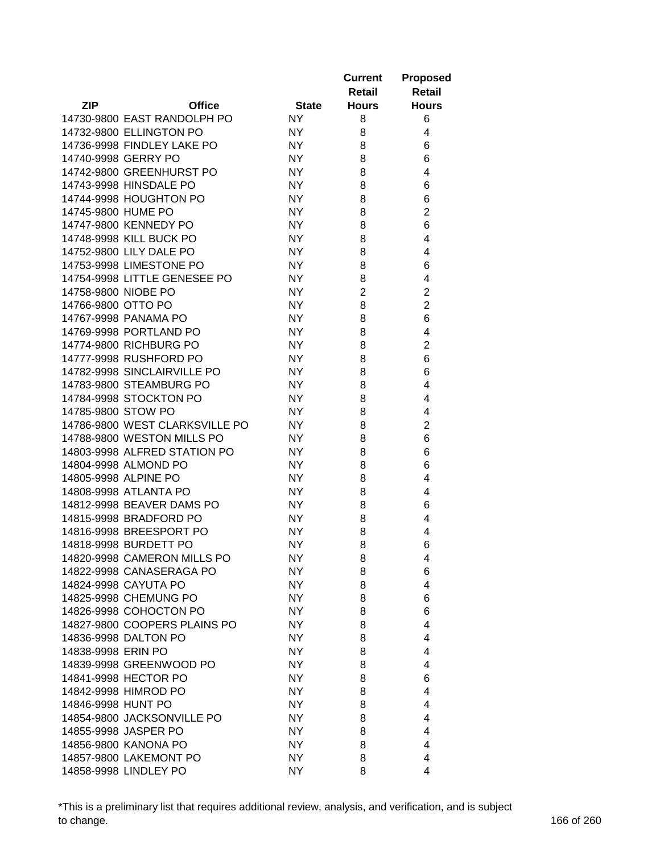|                      |                                |              | <b>Current</b><br>Retail | <b>Proposed</b><br>Retail |
|----------------------|--------------------------------|--------------|--------------------------|---------------------------|
| <b>ZIP</b>           | <b>Office</b>                  | <b>State</b> | <b>Hours</b>             | <b>Hours</b>              |
|                      | 14730-9800 EAST RANDOLPH PO    | <b>NY</b>    | 8                        | 6                         |
|                      | 14732-9800 ELLINGTON PO        | NY.          | 8                        | 4                         |
|                      | 14736-9998 FINDLEY LAKE PO     | <b>NY</b>    | 8                        | 6                         |
| 14740-9998 GERRY PO  |                                | <b>NY</b>    | 8                        | 6                         |
|                      | 14742-9800 GREENHURST PO       | <b>NY</b>    | 8                        | 4                         |
|                      | 14743-9998 HINSDALE PO         | <b>NY</b>    | 8                        | 6                         |
|                      | 14744-9998 HOUGHTON PO         | <b>NY</b>    | 8                        | 6                         |
| 14745-9800 HUME PO   |                                | <b>NY</b>    | 8                        | $\overline{2}$            |
|                      | 14747-9800 KENNEDY PO          | <b>NY</b>    | 8                        | 6                         |
|                      | 14748-9998 KILL BUCK PO        | <b>NY</b>    | 8                        | 4                         |
|                      | 14752-9800 LILY DALE PO        | <b>NY</b>    | 8                        | 4                         |
|                      | 14753-9998 LIMESTONE PO        | <b>NY</b>    | 8                        | 6                         |
|                      | 14754-9998 LITTLE GENESEE PO   | <b>NY</b>    | 8                        | 4                         |
| 14758-9800 NIOBE PO  |                                | <b>NY</b>    | $\overline{2}$           | $\overline{\mathbf{c}}$   |
| 14766-9800 OTTO PO   |                                | <b>NY</b>    | 8                        | $\overline{2}$            |
|                      | 14767-9998 PANAMA PO           | NY.          | 8                        | 6                         |
|                      | 14769-9998 PORTLAND PO         | <b>NY</b>    | 8                        | 4                         |
|                      | 14774-9800 RICHBURG PO         | <b>NY</b>    | 8                        | $\overline{c}$            |
|                      | 14777-9998 RUSHFORD PO         | <b>NY</b>    | 8                        | 6                         |
|                      | 14782-9998 SINCLAIRVILLE PO    | <b>NY</b>    | 8                        | 6                         |
|                      | 14783-9800 STEAMBURG PO        | <b>NY</b>    | 8                        | 4                         |
|                      | 14784-9998 STOCKTON PO         | <b>NY</b>    | 8                        | 4                         |
| 14785-9800 STOW PO   |                                | <b>NY</b>    | 8                        | 4                         |
|                      | 14786-9800 WEST CLARKSVILLE PO | NY.          | 8                        | $\overline{2}$            |
|                      | 14788-9800 WESTON MILLS PO     | NY.          | 8                        | 6                         |
|                      | 14803-9998 ALFRED STATION PO   | <b>NY</b>    | 8                        | 6                         |
|                      | 14804-9998 ALMOND PO           | <b>NY</b>    | 8                        | 6                         |
| 14805-9998 ALPINE PO |                                | NY.          | 8                        | 4                         |
|                      | 14808-9998 ATLANTA PO          | NY.          | 8                        | 4                         |
|                      | 14812-9998 BEAVER DAMS PO      | NY.          | 8                        | 6                         |
|                      | 14815-9998 BRADFORD PO         | NY.          | 8                        | 4                         |
|                      | 14816-9998 BREESPORT PO        | NY.          | 8                        | 4                         |
|                      | 14818-9998 BURDETT PO          | NY.          | 8                        | 6                         |
|                      | 14820-9998 CAMERON MILLS PO    | NY.          | 8                        | 4                         |
|                      | 14822-9998 CANASERAGA PO       | NY.          | 8                        | 6                         |
|                      | 14824-9998 CAYUTA PO           | <b>NY</b>    | 8                        | 4                         |
|                      | 14825-9998 CHEMUNG PO          | <b>NY</b>    | 8                        | 6                         |
|                      | 14826-9998 COHOCTON PO         | <b>NY</b>    | 8                        | 6                         |
|                      | 14827-9800 COOPERS PLAINS PO   | <b>NY</b>    | 8                        | 4                         |
|                      | 14836-9998 DALTON PO           | <b>NY</b>    | 8                        | 4                         |
| 14838-9998 ERIN PO   |                                | <b>NY</b>    | 8                        | 4                         |
|                      | 14839-9998 GREENWOOD PO        | <b>NY</b>    | 8                        | 4                         |
|                      | 14841-9998 HECTOR PO           | <b>NY</b>    | 8                        | 6                         |
|                      | 14842-9998 HIMROD PO           | <b>NY</b>    | 8                        | 4                         |
| 14846-9998 HUNT PO   |                                | NY.          | 8                        | 4                         |
|                      | 14854-9800 JACKSONVILLE PO     | NY.          | 8                        | 4                         |
|                      | 14855-9998 JASPER PO           | NY.          | 8                        | 4                         |
|                      | 14856-9800 KANONA PO           | NY.          | 8                        | 4                         |
|                      | 14857-9800 LAKEMONT PO         | NY.          | 8                        | 4                         |
|                      | 14858-9998 LINDLEY PO          | <b>NY</b>    | 8                        | 4                         |
|                      |                                |              |                          |                           |

\*This is a preliminary list that requires additional review, analysis, and verification, and is subject to change. 166 of 260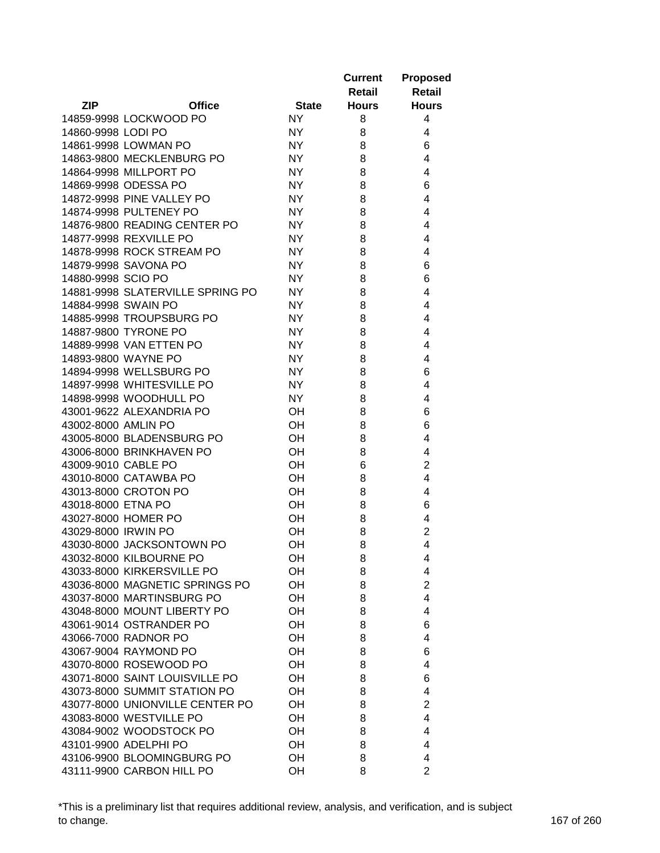|                     |                                  |              | <b>Current</b><br>Retail | <b>Proposed</b><br><b>Retail</b> |
|---------------------|----------------------------------|--------------|--------------------------|----------------------------------|
| <b>ZIP</b>          | <b>Office</b>                    | <b>State</b> | <b>Hours</b>             | <b>Hours</b>                     |
|                     | 14859-9998 LOCKWOOD PO           | NY.          | 8                        | 4                                |
| 14860-9998 LODI PO  |                                  | NY.          | 8                        | 4                                |
|                     | 14861-9998 LOWMAN PO             | <b>NY</b>    | 8                        | 6                                |
|                     | 14863-9800 MECKLENBURG PO        | <b>NY</b>    | 8                        | 4                                |
|                     | 14864-9998 MILLPORT PO           | <b>NY</b>    | 8                        | 4                                |
|                     | 14869-9998 ODESSA PO             | <b>NY</b>    | 8                        | 6                                |
|                     | 14872-9998 PINE VALLEY PO        | <b>NY</b>    | 8                        | 4                                |
|                     | 14874-9998 PULTENEY PO           | <b>NY</b>    | 8                        | 4                                |
|                     | 14876-9800 READING CENTER PO     | <b>NY</b>    | 8                        | 4                                |
|                     | 14877-9998 REXVILLE PO           | <b>NY</b>    | 8                        | 4                                |
|                     | 14878-9998 ROCK STREAM PO        | <b>NY</b>    | 8                        | 4                                |
|                     | 14879-9998 SAVONA PO             | <b>NY</b>    | 8                        | 6                                |
| 14880-9998 SCIO PO  |                                  | <b>NY</b>    | 8                        | 6                                |
|                     | 14881-9998 SLATERVILLE SPRING PO | <b>NY</b>    | 8                        | 4                                |
| 14884-9998 SWAIN PO |                                  | NY.          | 8                        | 4                                |
|                     | 14885-9998 TROUPSBURG PO         | <b>NY</b>    | 8                        | 4                                |
|                     | 14887-9800 TYRONE PO             | NY.          | 8                        | 4                                |
|                     | 14889-9998 VAN ETTEN PO          | <b>NY</b>    | 8                        | 4                                |
|                     | 14893-9800 WAYNE PO              | <b>NY</b>    | 8                        | 4                                |
|                     | 14894-9998 WELLSBURG PO          | <b>NY</b>    | 8                        | 6                                |
|                     | 14897-9998 WHITESVILLE PO        | <b>NY</b>    | 8                        | 4                                |
|                     | 14898-9998 WOODHULL PO           | <b>NY</b>    | 8                        | 4                                |
|                     | 43001-9622 ALEXANDRIA PO         | OH           | 8                        | 6                                |
| 43002-8000 AMLIN PO |                                  | OH           | 8                        | 6                                |
|                     | 43005-8000 BLADENSBURG PO        | OH           | 8                        | 4                                |
|                     | 43006-8000 BRINKHAVEN PO         | OH           | 8                        | 4                                |
| 43009-9010 CABLE PO |                                  | OH           | 6                        | $\overline{2}$                   |
|                     | 43010-8000 CATAWBA PO            | OH           | 8                        | 4                                |
|                     | 43013-8000 CROTON PO             | OH           | 8                        | 4                                |
| 43018-8000 ETNA PO  |                                  | OH           | 8                        | 6                                |
|                     | 43027-8000 HOMER PO              | OH           | 8                        | 4                                |
| 43029-8000 IRWIN PO |                                  | OH           | 8                        | $\overline{2}$                   |
|                     | 43030-8000 JACKSONTOWN PO        | OH           | 8                        | 4                                |
|                     | 43032-8000 KILBOURNE PO          | OН           | 8                        | 4                                |
|                     | 43033-8000 KIRKERSVILLE PO       | OH           | 8                        | 4                                |
|                     | 43036-8000 MAGNETIC SPRINGS PO   | OH           | 8                        | $\overline{2}$                   |
|                     | 43037-8000 MARTINSBURG PO        | OH           | 8                        | 4                                |
|                     | 43048-8000 MOUNT LIBERTY PO      | OH           | 8                        | 4                                |
|                     | 43061-9014 OSTRANDER PO          | OH           | 8                        | 6                                |
|                     | 43066-7000 RADNOR PO             | OH           | 8                        | 4                                |
|                     | 43067-9004 RAYMOND PO            | OH           | 8                        | 6                                |
|                     | 43070-8000 ROSEWOOD PO           | OH           | 8                        | 4                                |
|                     | 43071-8000 SAINT LOUISVILLE PO   | OH           | 8                        | 6                                |
|                     | 43073-8000 SUMMIT STATION PO     | OН           | 8                        | 4                                |
|                     | 43077-8000 UNIONVILLE CENTER PO  | OH           | 8                        | $\overline{2}$                   |
|                     | 43083-8000 WESTVILLE PO          | OH           | 8                        | 4                                |
|                     | 43084-9002 WOODSTOCK PO          |              |                          | 4                                |
|                     | 43101-9900 ADELPHI PO            | OH           | 8                        |                                  |
|                     |                                  | OН           | 8                        | 4                                |
|                     | 43106-9900 BLOOMINGBURG PO       | OH           | 8                        | 4                                |
|                     | 43111-9900 CARBON HILL PO        | OH           | 8                        | $\overline{2}$                   |

\*This is a preliminary list that requires additional review, analysis, and verification, and is subject to change. 167 of 260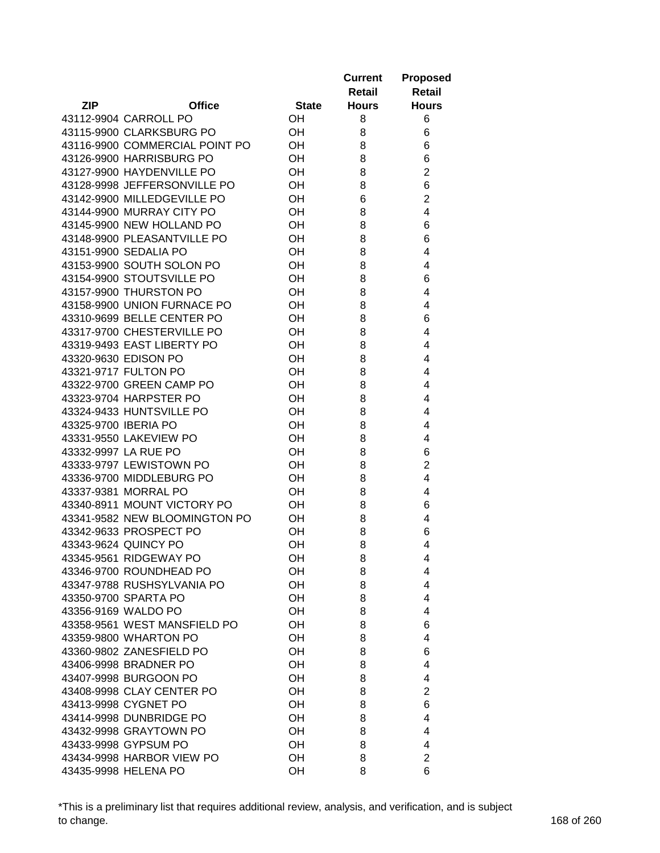|                      |                                |              | <b>Current</b><br>Retail | <b>Proposed</b><br><b>Retail</b> |
|----------------------|--------------------------------|--------------|--------------------------|----------------------------------|
| <b>ZIP</b>           | <b>Office</b>                  | <b>State</b> | <b>Hours</b>             | <b>Hours</b>                     |
|                      | 43112-9904 CARROLL PO          | <b>OH</b>    | 8                        | 6                                |
|                      | 43115-9900 CLARKSBURG PO       | <b>OH</b>    | 8                        | 6                                |
|                      | 43116-9900 COMMERCIAL POINT PO | <b>OH</b>    | 8                        | 6                                |
|                      | 43126-9900 HARRISBURG PO       | OH           | 8                        | 6                                |
|                      | 43127-9900 HAYDENVILLE PO      | OH           | 8                        | $\overline{2}$                   |
|                      | 43128-9998 JEFFERSONVILLE PO   | OH           | 8                        | 6                                |
|                      | 43142-9900 MILLEDGEVILLE PO    | OH           | 6                        | $\overline{2}$                   |
|                      | 43144-9900 MURRAY CITY PO      | OH           | 8                        | 4                                |
|                      | 43145-9900 NEW HOLLAND PO      | OH           | 8                        | 6                                |
|                      | 43148-9900 PLEASANTVILLE PO    | OH           | 8                        | 6                                |
|                      | 43151-9900 SEDALIA PO          | OH           | 8                        | 4                                |
|                      | 43153-9900 SOUTH SOLON PO      | OH           | 8                        | 4                                |
|                      | 43154-9900 STOUTSVILLE PO      | OH           | 8                        | 6                                |
|                      | 43157-9900 THURSTON PO         | OH           | 8                        | 4                                |
|                      | 43158-9900 UNION FURNACE PO    | OH           | 8                        | 4                                |
|                      | 43310-9699 BELLE CENTER PO     | OH           | 8                        | 6                                |
|                      | 43317-9700 CHESTERVILLE PO     | OH           | 8                        | 4                                |
|                      | 43319-9493 EAST LIBERTY PO     | OH           | 8                        | 4                                |
|                      | 43320-9630 EDISON PO           | OH           | 8                        | 4                                |
|                      | 43321-9717 FULTON PO           | OH           | 8                        | 4                                |
|                      | 43322-9700 GREEN CAMP PO       | OH           | 8                        | 4                                |
|                      | 43323-9704 HARPSTER PO         | OH           | 8                        | 4                                |
|                      | 43324-9433 HUNTSVILLE PO       | OH           | 8                        | 4                                |
| 43325-9700 IBERIA PO |                                | OH           | 8                        | 4                                |
|                      | 43331-9550 LAKEVIEW PO         | OH           | 8                        | 4                                |
|                      | 43332-9997 LA RUE PO           | OH           | 8                        | 6                                |
|                      | 43333-9797 LEWISTOWN PO        | OH           | 8                        | $\overline{2}$                   |
|                      | 43336-9700 MIDDLEBURG PO       | OH           | 8                        | 4                                |
|                      | 43337-9381 MORRAL PO           | OH           | 8                        | 4                                |
|                      | 43340-8911 MOUNT VICTORY PO    | <b>OH</b>    | 8                        | 6                                |
|                      | 43341-9582 NEW BLOOMINGTON PO  | OН           | 8                        | 4                                |
|                      | 43342-9633 PROSPECT PO         | OH           | 8                        | 6                                |
|                      | 43343-9624 QUINCY PO           | OH           | 8                        | 4                                |
|                      | 43345-9561 RIDGEWAY PO         | OН           | 8                        | 4                                |
|                      | 43346-9700 ROUNDHEAD PO        | OH           | 8                        | 4                                |
|                      | 43347-9788 RUSHSYLVANIA PO     | OH           | 8                        | 4                                |
|                      | 43350-9700 SPARTA PO           | OH           | 8                        | 4                                |
|                      | 43356-9169 WALDO PO            | OH           | 8                        | 4                                |
|                      | 43358-9561 WEST MANSFIELD PO   | OH           | 8                        | 6                                |
|                      | 43359-9800 WHARTON PO          | OH           | 8                        | 4                                |
|                      |                                | OH           |                          |                                  |
|                      | 43360-9802 ZANESFIELD PO       | OH           | 8                        | 6<br>4                           |
|                      | 43406-9998 BRADNER PO          |              | 8                        |                                  |
|                      | 43407-9998 BURGOON PO          | OH           | 8                        | 4                                |
|                      | 43408-9998 CLAY CENTER PO      | OH           | 8                        | 2                                |
|                      | 43413-9998 CYGNET PO           | OH           | 8                        | 6                                |
|                      | 43414-9998 DUNBRIDGE PO        | OH           | 8                        | 4                                |
|                      | 43432-9998 GRAYTOWN PO         | OH           | 8                        | 4                                |
|                      | 43433-9998 GYPSUM PO           | <b>OH</b>    | 8                        | 4                                |
|                      | 43434-9998 HARBOR VIEW PO      | OH           | 8                        | $\overline{2}$                   |
|                      | 43435-9998 HELENA PO           | OH           | 8                        | 6                                |

\*This is a preliminary list that requires additional review, analysis, and verification, and is subject to change. 168 of 260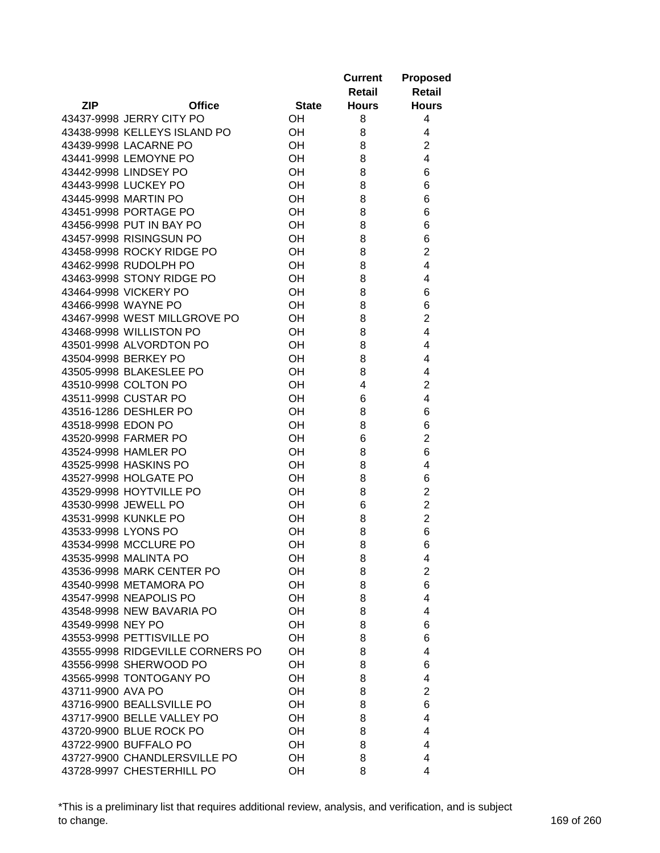|                                  |              | <b>Current</b><br>Retail | <b>Proposed</b><br><b>Retail</b> |
|----------------------------------|--------------|--------------------------|----------------------------------|
| <b>ZIP</b><br><b>Office</b>      | <b>State</b> | <b>Hours</b>             | <b>Hours</b>                     |
| 43437-9998 JERRY CITY PO         | OН           | 8                        | 4                                |
| 43438-9998 KELLEYS ISLAND PO     | OН           | 8                        | 4                                |
| 43439-9998 LACARNE PO            | OН           | 8                        | $\overline{2}$                   |
| 43441-9998 LEMOYNE PO            | OH           | 8                        | $\overline{4}$                   |
| 43442-9998 LINDSEY PO            | OH           | 8                        | 6                                |
| 43443-9998 LUCKEY PO             | OH           | 8                        | 6                                |
| 43445-9998 MARTIN PO             | OH           | 8                        | 6                                |
| 43451-9998 PORTAGE PO            | OH           | 8                        | 6                                |
| 43456-9998 PUT IN BAY PO         | OH           | 8                        | 6                                |
| 43457-9998 RISINGSUN PO          | OH           | 8                        | 6                                |
| 43458-9998 ROCKY RIDGE PO        | OH           | 8                        | $\overline{2}$                   |
| 43462-9998 RUDOLPH PO            | OH           | 8                        | 4                                |
| 43463-9998 STONY RIDGE PO        | OH           | 8                        | 4                                |
| 43464-9998 VICKERY PO            | OH           | 8                        | 6                                |
| 43466-9998 WAYNE PO              | OH           | 8                        | 6                                |
| 43467-9998 WEST MILLGROVE PO     | OH           | 8                        | $\overline{2}$                   |
| 43468-9998 WILLISTON PO          | OH           | 8                        | 4                                |
| 43501-9998 ALVORDTON PO          | OH           | 8                        | 4                                |
| 43504-9998 BERKEY PO             | OH           | 8                        | 4                                |
| 43505-9998 BLAKESLEE PO          | OH           | 8                        | 4                                |
| 43510-9998 COLTON PO             | OH           | 4                        | $\overline{2}$                   |
| 43511-9998 CUSTAR PO             | OH           | 6                        | 4                                |
| 43516-1286 DESHLER PO            | OH           | 8                        | 6                                |
| 43518-9998 EDON PO               | OH           | 8                        | 6                                |
| 43520-9998 FARMER PO             | OH           | 6                        | $\overline{2}$                   |
| 43524-9998 HAMLER PO             | OH           | 8                        | 6                                |
| 43525-9998 HASKINS PO            | OH           | 8                        | 4                                |
| 43527-9998 HOLGATE PO            | OH           | 8                        | 6                                |
| 43529-9998 HOYTVILLE PO          | OH           | 8                        | $\overline{2}$                   |
| 43530-9998 JEWELL PO             | OH           | 6                        | $\overline{2}$                   |
| 43531-9998 KUNKLE PO             | OH           | 8                        | $\overline{2}$                   |
| 43533-9998 LYONS PO              | OН           | 8                        | 6                                |
| 43534-9998 MCCLURE PO            | OH           | 8                        | 6                                |
| 43535-9998 MALINTA PO            | OН           | 8                        | 4                                |
| 43536-9998 MARK CENTER PO        | OH           | 8                        | $\overline{2}$                   |
| 43540-9998 METAMORA PO           | OH           | 8                        | 6                                |
| 43547-9998 NEAPOLIS PO           | OH           | 8                        | 4                                |
| 43548-9998 NEW BAVARIA PO        | OH           | 8                        | 4                                |
| 43549-9998 NEY PO                | OH           | 8                        | 6                                |
| 43553-9998 PETTISVILLE PO        | OH           | 8                        | 6                                |
| 43555-9998 RIDGEVILLE CORNERS PO | OH           | 8                        | 4                                |
| 43556-9998 SHERWOOD PO           | OH           | 8                        | 6                                |
| 43565-9998 TONTOGANY PO          | OH           | 8                        | 4                                |
| 43711-9900 AVA PO                | OH           | 8                        | 2                                |
| 43716-9900 BEALLSVILLE PO        | OH           | 8                        | 6                                |
| 43717-9900 BELLE VALLEY PO       | OH           | 8                        | 4                                |
| 43720-9900 BLUE ROCK PO          | OH           | 8                        | 4                                |
| 43722-9900 BUFFALO PO            | OН           | 8                        | 4                                |
| 43727-9900 CHANDLERSVILLE PO     | OH           | 8                        | 4                                |
| 43728-9997 CHESTERHILL PO        | OH           | 8                        | 4                                |

\*This is a preliminary list that requires additional review, analysis, and verification, and is subject to change. 169 of 260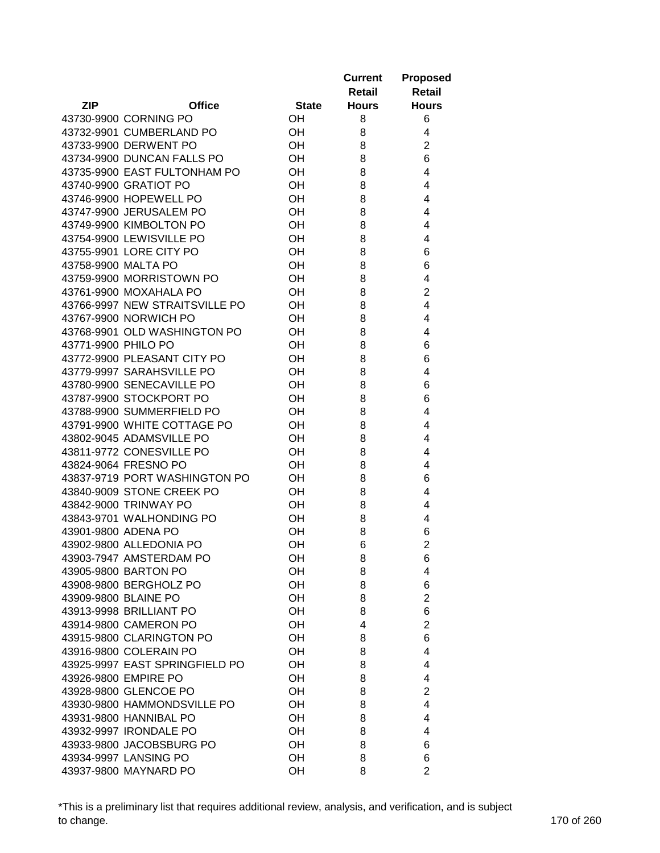|                      |                                |              | <b>Current</b><br>Retail | <b>Proposed</b><br><b>Retail</b> |
|----------------------|--------------------------------|--------------|--------------------------|----------------------------------|
| <b>ZIP</b>           | <b>Office</b>                  | <b>State</b> | <b>Hours</b>             | <b>Hours</b>                     |
|                      | 43730-9900 CORNING PO          | OН           | 8                        | 6                                |
|                      | 43732-9901 CUMBERLAND PO       | OН           | 8                        | 4                                |
|                      | 43733-9900 DERWENT PO          | OН           | 8                        | $\overline{2}$                   |
|                      | 43734-9900 DUNCAN FALLS PO     | OH           | 8                        | 6                                |
|                      | 43735-9900 EAST FULTONHAM PO   | OH           | 8                        | 4                                |
|                      | 43740-9900 GRATIOT PO          | OH           | 8                        | 4                                |
|                      | 43746-9900 HOPEWELL PO         | OH           | 8                        | 4                                |
|                      | 43747-9900 JERUSALEM PO        | OH           | 8                        | 4                                |
|                      | 43749-9900 KIMBOLTON PO        | OH           | 8                        | 4                                |
|                      | 43754-9900 LEWISVILLE PO       | OH           | 8                        | 4                                |
|                      | 43755-9901 LORE CITY PO        | OH           | 8                        | 6                                |
| 43758-9900 MALTA PO  |                                | OH           | 8                        | 6                                |
|                      | 43759-9900 MORRISTOWN PO       | OH           | 8                        | 4                                |
|                      | 43761-9900 MOXAHALA PO         | OH           | 8                        | $\overline{2}$                   |
|                      | 43766-9997 NEW STRAITSVILLE PO | OH           | 8                        | 4                                |
|                      | 43767-9900 NORWICH PO          | OН           | 8                        | 4                                |
|                      | 43768-9901 OLD WASHINGTON PO   | OH           | 8                        | 4                                |
| 43771-9900 PHILO PO  |                                | OH           | 8                        | 6                                |
|                      | 43772-9900 PLEASANT CITY PO    | OH           | 8                        | 6                                |
|                      | 43779-9997 SARAHSVILLE PO      | OH           | 8                        | 4                                |
|                      | 43780-9900 SENECAVILLE PO      | OH           | 8                        | 6                                |
|                      | 43787-9900 STOCKPORT PO        | OH           | 8                        | 6                                |
|                      | 43788-9900 SUMMERFIELD PO      | OH           | 8                        | 4                                |
|                      | 43791-9900 WHITE COTTAGE PO    | OH           | 8                        | 4                                |
|                      | 43802-9045 ADAMSVILLE PO       | OH           | 8                        | 4                                |
|                      | 43811-9772 CONESVILLE PO       | OH           | 8                        | 4                                |
|                      | 43824-9064 FRESNO PO           | OH           | 8                        | 4                                |
|                      | 43837-9719 PORT WASHINGTON PO  | OH           | 8                        | 6                                |
|                      | 43840-9009 STONE CREEK PO      | OH           | 8                        | 4                                |
|                      | 43842-9000 TRINWAY PO          | OH           | 8                        | 4                                |
|                      | 43843-9701 WALHONDING PO       | OН           | 8                        | 4                                |
| 43901-9800 ADENA PO  |                                | OН           | 8                        | 6                                |
|                      | 43902-9800 ALLEDONIA PO        | OH           | 6                        | $\overline{2}$                   |
|                      | 43903-7947 AMSTERDAM PO        | OН           | 8                        |                                  |
|                      | 43905-9800 BARTON PO           | OH           | 8                        | 6<br>4                           |
|                      | 43908-9800 BERGHOLZ PO         | OH           | 8                        | 6                                |
| 43909-9800 BLAINE PO |                                | OH           | 8                        | $\overline{2}$                   |
|                      | 43913-9998 BRILLIANT PO        | OH           | 8                        | 6                                |
|                      | 43914-9800 CAMERON PO          | OH           | 4                        | $\overline{2}$                   |
|                      | 43915-9800 CLARINGTON PO       | OH           | 8                        | 6                                |
|                      | 43916-9800 COLERAIN PO         | OH           | 8                        | 4                                |
|                      | 43925-9997 EAST SPRINGFIELD PO | OH           | 8                        | 4                                |
|                      | 43926-9800 EMPIRE PO           | OH           | 8                        | 4                                |
|                      | 43928-9800 GLENCOE PO          | OH           |                          |                                  |
|                      |                                | OH           | 8                        | 2<br>4                           |
|                      | 43930-9800 HAMMONDSVILLE PO    | OH           | 8                        | 4                                |
|                      | 43931-9800 HANNIBAL PO         |              | 8                        |                                  |
|                      | 43932-9997 IRONDALE PO         | OH           | 8                        | 4                                |
|                      | 43933-9800 JACOBSBURG PO       | OH           | 8                        | 6                                |
|                      | 43934-9997 LANSING PO          | OH           | 8                        | 6                                |
|                      | 43937-9800 MAYNARD PO          | OH           | 8                        | $\overline{2}$                   |

\*This is a preliminary list that requires additional review, analysis, and verification, and is subject to change. 170 of 260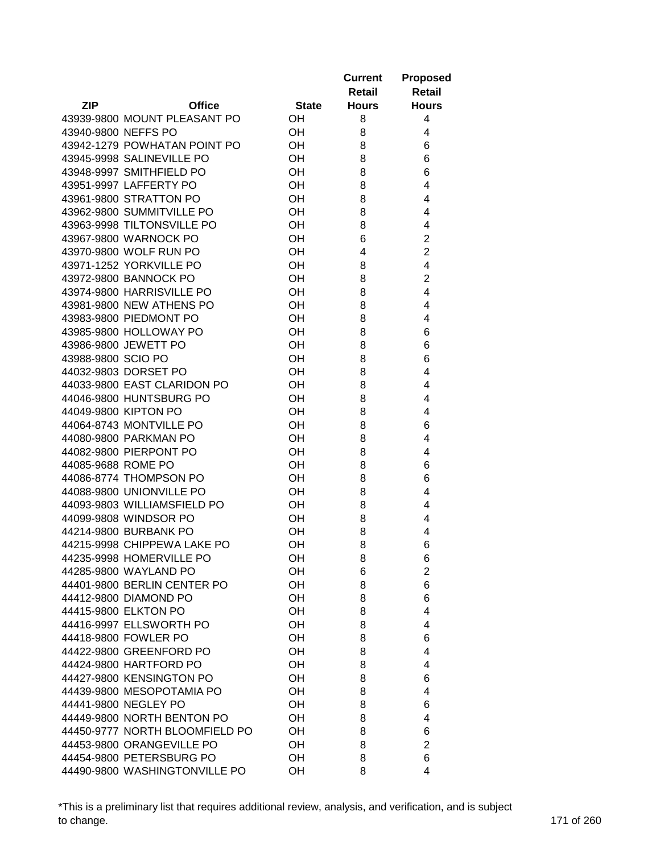|                     |                                                         |              | <b>Current</b> | <b>Proposed</b>         |
|---------------------|---------------------------------------------------------|--------------|----------------|-------------------------|
|                     |                                                         |              | Retail         | Retail                  |
| <b>ZIP</b>          | <b>Office</b>                                           | <b>State</b> | <b>Hours</b>   | <b>Hours</b>            |
|                     | 43939-9800 MOUNT PLEASANT PO                            | OН           | 8              | 4                       |
| 43940-9800 NEFFS PO |                                                         | OH           | 8              | 4                       |
|                     | 43942-1279 POWHATAN POINT PO                            | OH           | 8              | 6                       |
|                     | 43945-9998 SALINEVILLE PO                               | OH           | 8              | 6                       |
|                     | 43948-9997 SMITHFIELD PO                                | OH           | 8              | 6                       |
|                     | 43951-9997 LAFFERTY PO                                  | OH           | 8              | 4                       |
|                     | 43961-9800 STRATTON PO                                  | OH           | 8              | 4                       |
|                     | 43962-9800 SUMMITVILLE PO                               | OH           | 8              | 4                       |
|                     | 43963-9998 TILTONSVILLE PO                              | OH           | 8              | 4                       |
|                     | 43967-9800 WARNOCK PO                                   | OH           | 6              | $\overline{2}$          |
|                     | 43970-9800 WOLF RUN PO                                  | OH           | 4              | $\overline{c}$          |
|                     | 43971-1252 YORKVILLE PO                                 | OH           | 8              | $\overline{\mathbf{4}}$ |
|                     | 43972-9800 BANNOCK PO                                   | OH           | 8              | $\overline{c}$          |
|                     | 43974-9800 HARRISVILLE PO                               | OH           | 8              | 4                       |
|                     | 43981-9800 NEW ATHENS PO                                | OH           | 8              | 4                       |
|                     | 43983-9800 PIEDMONT PO                                  | OH           | 8              | 4                       |
|                     | 43985-9800 HOLLOWAY PO                                  | OH           | 8              | 6                       |
|                     | 43986-9800 JEWETT PO                                    | OH           | 8              | 6                       |
| 43988-9800 SCIO PO  |                                                         | OH           | 8              | 6                       |
|                     | 44032-9803 DORSET PO                                    | OH           | 8              | 4                       |
|                     | 44033-9800 EAST CLARIDON PO                             | OH           | 8              | 4                       |
|                     |                                                         |              |                |                         |
|                     | 44046-9800 HUNTSBURG PO                                 | OH           | 8              | 4                       |
|                     | 44049-9800 KIPTON PO                                    | OH           | 8              | 4                       |
|                     | 44064-8743 MONTVILLE PO                                 | OH<br>OH     | 8<br>8         | 6<br>4                  |
|                     | 44080-9800 PARKMAN PO<br>44082-9800 PIERPONT PO         | OH           | 8              |                         |
|                     |                                                         |              |                | 4                       |
| 44085-9688 ROME PO  | 44086-8774 THOMPSON PO                                  | OH           | 8              | 6                       |
|                     |                                                         | OH           | 8              | 6                       |
|                     | 44088-9800 UNIONVILLE PO<br>44093-9803 WILLIAMSFIELD PO | OH           | 8              | 4                       |
|                     |                                                         | OH           | 8              | 4                       |
|                     | 44099-9808 WINDSOR PO                                   | OH           | 8              | 4                       |
|                     | 44214-9800 BURBANK PO                                   | OH           | 8              | 4                       |
|                     | 44215-9998 CHIPPEWA LAKE PO                             | OH           | 8              | 6                       |
|                     | 44235-9998 HOMERVILLE PO                                | OH           | 8              | 6                       |
|                     | 44285-9800 WAYLAND PO                                   | OH           | 6              | $\overline{c}$          |
|                     | 44401-9800 BERLIN CENTER PO                             | OH           | 8              | 6                       |
|                     | 44412-9800 DIAMOND PO                                   | OH           | 8              | 6                       |
|                     | 44415-9800 ELKTON PO                                    | OH           | 8              | 4                       |
|                     | 44416-9997 ELLSWORTH PO                                 | OH           | 8              | 4                       |
|                     | 44418-9800 FOWLER PO                                    | OH           | 8              | 6                       |
|                     | 44422-9800 GREENFORD PO                                 | OH           | 8              | 4                       |
|                     | 44424-9800 HARTFORD PO                                  | OH           | 8              | 4                       |
|                     | 44427-9800 KENSINGTON PO                                | OH           | 8              | 6                       |
|                     | 44439-9800 MESOPOTAMIA PO                               | OH           | 8              | 4                       |
|                     | 44441-9800 NEGLEY PO                                    | OH           | 8              | 6                       |
|                     | 44449-9800 NORTH BENTON PO                              | OH           | 8              | 4                       |
|                     | 44450-9777 NORTH BLOOMFIELD PO                          | OH           | 8              | 6                       |
|                     | 44453-9800 ORANGEVILLE PO                               | OH           | 8              | $\overline{2}$          |
|                     | 44454-9800 PETERSBURG PO                                | OH           | 8              | 6                       |
|                     | 44490-9800 WASHINGTONVILLE PO                           | OH           | 8              | 4                       |

\*This is a preliminary list that requires additional review, analysis, and verification, and is subject to change. 171 of 260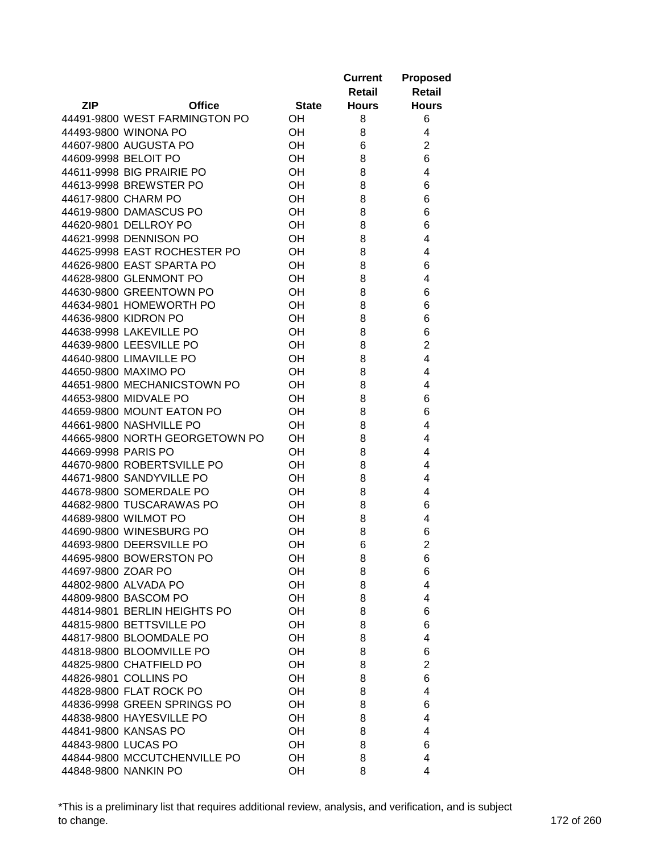|                                |              | <b>Current</b><br>Retail | <b>Proposed</b><br><b>Retail</b> |
|--------------------------------|--------------|--------------------------|----------------------------------|
| <b>ZIP</b><br><b>Office</b>    | <b>State</b> | <b>Hours</b>             | <b>Hours</b>                     |
| 44491-9800 WEST FARMINGTON PO  | OН           | 8                        | 6                                |
| 44493-9800 WINONA PO           | OH           | 8                        | 4                                |
| 44607-9800 AUGUSTA PO          | OН           | 6                        | $\overline{2}$                   |
| 44609-9998 BELOIT PO           | OH           | 8                        | 6                                |
| 44611-9998 BIG PRAIRIE PO      | OH           | 8                        | 4                                |
| 44613-9998 BREWSTER PO         | OH           | 8                        | 6                                |
| 44617-9800 CHARM PO            | OH           | 8                        | 6                                |
| 44619-9800 DAMASCUS PO         | OH           | 8                        | 6                                |
| 44620-9801 DELLROY PO          | OH           | 8                        | 6                                |
| 44621-9998 DENNISON PO         | OH           | 8                        | 4                                |
| 44625-9998 EAST ROCHESTER PO   | OH           | 8                        | 4                                |
| 44626-9800 EAST SPARTA PO      | OH           | 8                        | 6                                |
| 44628-9800 GLENMONT PO         | OH           | 8                        | 4                                |
| 44630-9800 GREENTOWN PO        | OH           | 8                        | 6                                |
| 44634-9801 HOMEWORTH PO        | OH           | 8                        | 6                                |
| 44636-9800 KIDRON PO           | OH           | 8                        | 6                                |
| 44638-9998 LAKEVILLE PO        | OH           | 8                        | 6                                |
| 44639-9800 LEESVILLE PO        | OH           | 8                        | $\overline{2}$                   |
| 44640-9800 LIMAVILLE PO        | OH           | 8                        | 4                                |
| 44650-9800 MAXIMO PO           | OH           | 8                        | 4                                |
| 44651-9800 MECHANICSTOWN PO    | OH           | 8                        | 4                                |
| 44653-9800 MIDVALE PO          | OH           | 8                        | 6                                |
| 44659-9800 MOUNT EATON PO      | OH           | 8                        | 6                                |
| 44661-9800 NASHVILLE PO        | OH           | 8                        | 4                                |
| 44665-9800 NORTH GEORGETOWN PO | OH           | 8                        | 4                                |
| 44669-9998 PARIS PO            | OH           | 8                        | 4                                |
| 44670-9800 ROBERTSVILLE PO     | OH           | 8                        | 4                                |
| 44671-9800 SANDYVILLE PO       | OH           | 8                        | 4                                |
| 44678-9800 SOMERDALE PO        | OH           | 8                        | 4                                |
| 44682-9800 TUSCARAWAS PO       | OH           | 8                        | 6                                |
| 44689-9800 WILMOT PO           | OH           | 8                        | 4                                |
| 44690-9800 WINESBURG PO        | OH           | 8                        | 6                                |
| 44693-9800 DEERSVILLE PO       | OH           | 6                        | $\overline{2}$                   |
| 44695-9800 BOWERSTON PO        | OН           | 8                        | 6                                |
| 44697-9800 ZOAR PO             | OН           | 8                        | 6                                |
| 44802-9800 ALVADA PO           | OH           | 8                        | 4                                |
| 44809-9800 BASCOM PO           | OH           | 8                        | 4                                |
| 44814-9801 BERLIN HEIGHTS PO   | OH           | 8                        | 6                                |
| 44815-9800 BETTSVILLE PO       | OH           | 8                        | 6                                |
| 44817-9800 BLOOMDALE PO        | OH           | 8                        | 4                                |
| 44818-9800 BLOOMVILLE PO       | OH           | 8                        | 6                                |
| 44825-9800 CHATFIELD PO        | OH           | 8                        | 2                                |
| 44826-9801 COLLINS PO          | OH           | 8                        | 6                                |
| 44828-9800 FLAT ROCK PO        | OH           | 8                        | 4                                |
| 44836-9998 GREEN SPRINGS PO    | OH           | 8                        | 6                                |
| 44838-9800 HAYESVILLE PO       | OH           | 8                        | 4                                |
| 44841-9800 KANSAS PO           | OH           | 8                        | 4                                |
| 44843-9800 LUCAS PO            | OH           | 8                        | 6                                |
| 44844-9800 MCCUTCHENVILLE PO   | OH           | 8                        | 4                                |
| 44848-9800 NANKIN PO           | OH           | 8                        | 4                                |

\*This is a preliminary list that requires additional review, analysis, and verification, and is subject to change. 172 of 260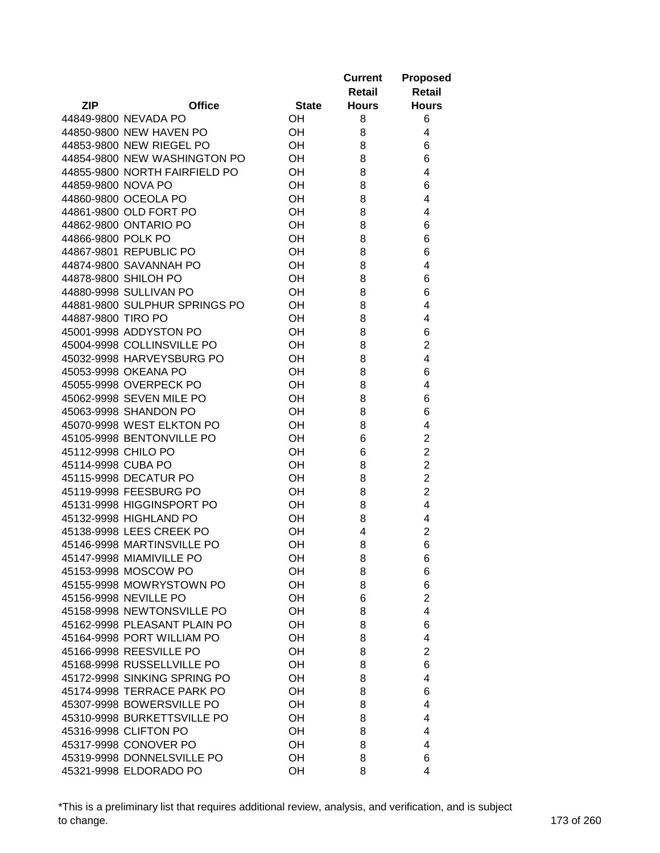|                     |                               |              | <b>Current</b><br>Retail | <b>Proposed</b><br><b>Retail</b> |
|---------------------|-------------------------------|--------------|--------------------------|----------------------------------|
| <b>ZIP</b>          | <b>Office</b>                 | <b>State</b> | <b>Hours</b>             | <b>Hours</b>                     |
|                     | 44849-9800 NEVADA PO          | OН           | 8                        | 6                                |
|                     | 44850-9800 NEW HAVEN PO       | OН           | 8                        | 4                                |
|                     | 44853-9800 NEW RIEGEL PO      | OН           | 8                        | 6                                |
|                     | 44854-9800 NEW WASHINGTON PO  | OH           | 8                        | 6                                |
|                     | 44855-9800 NORTH FAIRFIELD PO | OH           | 8                        | 4                                |
| 44859-9800 NOVA PO  |                               | OH           | 8                        | 6                                |
|                     | 44860-9800 OCEOLA PO          | OH           | 8                        | 4                                |
|                     | 44861-9800 OLD FORT PO        | OH           | 8                        | 4                                |
|                     | 44862-9800 ONTARIO PO         | OH           | 8                        | 6                                |
| 44866-9800 POLK PO  |                               | OH           | 8                        | 6                                |
|                     | 44867-9801 REPUBLIC PO        | OH           | 8                        | 6                                |
|                     | 44874-9800 SAVANNAH PO        | OH           | 8                        | 4                                |
|                     | 44878-9800 SHILOH PO          | OH           | 8                        | 6                                |
|                     | 44880-9998 SULLIVAN PO        | OH           | 8                        | 6                                |
|                     | 44881-9800 SULPHUR SPRINGS PO | OH           | 8                        | 4                                |
| 44887-9800 TIRO PO  |                               | OH           | 8                        | 4                                |
|                     | 45001-9998 ADDYSTON PO        | OH           | 8                        |                                  |
|                     | 45004-9998 COLLINSVILLE PO    | OH           |                          | 6                                |
|                     |                               |              | 8                        | 2                                |
|                     | 45032-9998 HARVEYSBURG PO     | OH           | 8                        | 4                                |
|                     | 45053-9998 OKEANA PO          | OH           | 8                        | 6                                |
|                     | 45055-9998 OVERPECK PO        | OH           | 8                        | 4                                |
|                     | 45062-9998 SEVEN MILE PO      | OH           | 8                        | 6                                |
|                     | 45063-9998 SHANDON PO         | OH           | 8                        | 6                                |
|                     | 45070-9998 WEST ELKTON PO     | OH           | 8                        | 4                                |
|                     | 45105-9998 BENTONVILLE PO     | OH           | 6                        | $\overline{2}$                   |
| 45112-9998 CHILO PO |                               | OH           | 6                        | $\overline{2}$                   |
| 45114-9998 CUBA PO  |                               | OH           | 8                        | $\overline{2}$                   |
|                     | 45115-9998 DECATUR PO         | OH           | 8                        | $\overline{2}$                   |
|                     | 45119-9998 FEESBURG PO        | OH           | 8                        | $\overline{2}$                   |
|                     | 45131-9998 HIGGINSPORT PO     | OH           | 8                        | 4                                |
|                     | 45132-9998 HIGHLAND PO        | OН           | 8                        | 4                                |
|                     | 45138-9998 LEES CREEK PO      | OH           | 4                        | $\overline{2}$                   |
|                     | 45146-9998 MARTINSVILLE PO    | OH           | 8                        | 6                                |
|                     | 45147-9998 MIAMIVILLE PO      | OН           | 8                        | 6                                |
|                     | 45153-9998 MOSCOW PO          | OH           | 8                        | 6                                |
|                     | 45155-9998 MOWRYSTOWN PO      | OH           | 8                        | 6                                |
|                     | 45156-9998 NEVILLE PO         | OH           | 6                        | $\overline{2}$                   |
|                     | 45158-9998 NEWTONSVILLE PO    | OH           | 8                        | 4                                |
|                     | 45162-9998 PLEASANT PLAIN PO  | OH           | 8                        | 6                                |
|                     | 45164-9998 PORT WILLIAM PO    | OH           | 8                        | 4                                |
|                     | 45166-9998 REESVILLE PO       | OH           | 8                        | $\overline{2}$                   |
|                     | 45168-9998 RUSSELLVILLE PO    | OH           | 8                        | 6                                |
|                     | 45172-9998 SINKING SPRING PO  | OH           | 8                        | 4                                |
|                     | 45174-9998 TERRACE PARK PO    | OH           | 8                        | 6                                |
|                     | 45307-9998 BOWERSVILLE PO     | OH           | 8                        | 4                                |
|                     | 45310-9998 BURKETTSVILLE PO   | OH           | 8                        | 4                                |
|                     | 45316-9998 CLIFTON PO         | OH           | 8                        | 4                                |
|                     | 45317-9998 CONOVER PO         | OH           | 8                        | 4                                |
|                     | 45319-9998 DONNELSVILLE PO    | OH           | 8                        | 6                                |
|                     | 45321-9998 ELDORADO PO        | OH           | 8                        | 4                                |

\*This is a preliminary list that requires additional review, analysis, and verification, and is subject to change. 173 of 260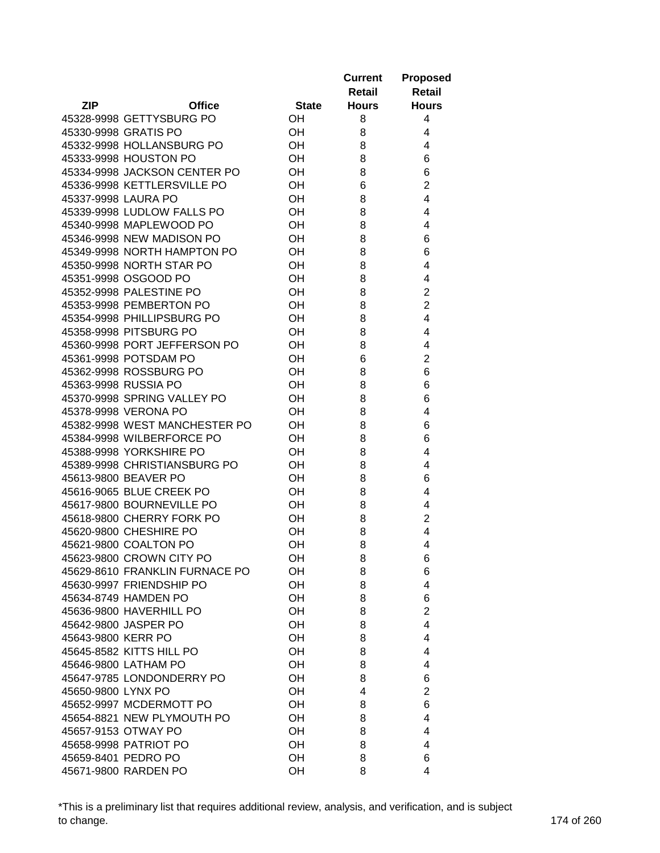|                                |               |              | <b>Current</b><br>Retail | <b>Proposed</b><br><b>Retail</b> |
|--------------------------------|---------------|--------------|--------------------------|----------------------------------|
| <b>ZIP</b>                     | <b>Office</b> | <b>State</b> | <b>Hours</b>             | <b>Hours</b>                     |
| 45328-9998 GETTYSBURG PO       |               | OH           | 8                        | 4                                |
| 45330-9998 GRATIS PO           |               | <b>OH</b>    | 8                        | 4                                |
| 45332-9998 HOLLANSBURG PO      |               | <b>OH</b>    | 8                        | 4                                |
| 45333-9998 HOUSTON PO          |               | OH           | 8                        | 6                                |
| 45334-9998 JACKSON CENTER PO   |               | OH           | 8                        | 6                                |
| 45336-9998 KETTLERSVILLE PO    |               | OH           | 6                        | $\overline{2}$                   |
| 45337-9998 LAURA PO            |               | OH           | 8                        | 4                                |
| 45339-9998 LUDLOW FALLS PO     |               | OH           | 8                        | 4                                |
| 45340-9998 MAPLEWOOD PO        |               | OH           | 8                        | 4                                |
| 45346-9998 NEW MADISON PO      |               | OН           | 8                        | 6                                |
| 45349-9998 NORTH HAMPTON PO    |               | OH           | 8                        | 6                                |
| 45350-9998 NORTH STAR PO       |               | OH           | 8                        | 4                                |
| 45351-9998 OSGOOD PO           |               | OH           | 8                        | 4                                |
| 45352-9998 PALESTINE PO        |               | OH           | 8                        | $\overline{2}$                   |
| 45353-9998 PEMBERTON PO        |               | OН           | 8                        | $\overline{2}$                   |
| 45354-9998 PHILLIPSBURG PO     |               | OН           | 8                        | 4                                |
| 45358-9998 PITSBURG PO         |               | OН           | 8                        | 4                                |
| 45360-9998 PORT JEFFERSON PO   |               | OH           | 8                        | 4                                |
| 45361-9998 POTSDAM PO          |               | OH           | 6                        | $\overline{2}$                   |
| 45362-9998 ROSSBURG PO         |               | OH           | 8                        | 6                                |
| 45363-9998 RUSSIA PO           |               | OH           | 8                        | 6                                |
| 45370-9998 SPRING VALLEY PO    |               | OH           | 8                        | 6                                |
| 45378-9998 VERONA PO           |               | OH           | 8                        | 4                                |
| 45382-9998 WEST MANCHESTER PO  |               | OH           | 8                        | 6                                |
| 45384-9998 WILBERFORCE PO      |               | OH           | 8                        | 6                                |
| 45388-9998 YORKSHIRE PO        |               | OH           | 8                        | 4                                |
| 45389-9998 CHRISTIANSBURG PO   |               | OH           | 8                        | 4                                |
| 45613-9800 BEAVER PO           |               | OH           | 8                        | 6                                |
| 45616-9065 BLUE CREEK PO       |               | OH           | 8                        | 4                                |
| 45617-9800 BOURNEVILLE PO      |               | OН           | 8                        | 4                                |
| 45618-9800 CHERRY FORK PO      |               | OH           | 8                        | $\overline{2}$                   |
| 45620-9800 CHESHIRE PO         |               | OH           | 8                        | 4                                |
| 45621-9800 COALTON PO          |               | OН           | 8                        | 4                                |
| 45623-9800 CROWN CITY PO       |               | OH           | 8                        | 6                                |
| 45629-8610 FRANKLIN FURNACE PO |               | OH           | 8                        | 6                                |
| 45630-9997 FRIENDSHIP PO       |               | OH           | 8                        | 4                                |
| 45634-8749 HAMDEN PO           |               | OH           | 8                        | 6                                |
| 45636-9800 HAVERHILL PO        |               | OH           | 8                        | $\overline{2}$                   |
| 45642-9800 JASPER PO           |               | OH           | 8                        | $\overline{4}$                   |
| 45643-9800 KERR PO             |               | OH           | 8                        | 4                                |
| 45645-8582 KITTS HILL PO       |               | OH           | 8                        | 4                                |
| 45646-9800 LATHAM PO           |               | OH           | 8                        | 4                                |
| 45647-9785 LONDONDERRY PO      |               | OH           | 8                        | 6                                |
| 45650-9800 LYNX PO             |               | OН           | 4                        | $\overline{2}$                   |
| 45652-9997 MCDERMOTT PO        |               | OH           | 8                        | 6                                |
| 45654-8821 NEW PLYMOUTH PO     |               | <b>OH</b>    | 8                        | 4                                |
| 45657-9153 OTWAY PO            |               |              |                          | 4                                |
|                                |               | OH           | 8                        |                                  |
| 45658-9998 PATRIOT PO          |               | OH           | 8                        | 4                                |
| 45659-8401 PEDRO PO            |               | OH           | 8                        | 6                                |
| 45671-9800 RARDEN PO           |               | OH           | 8                        | 4                                |

\*This is a preliminary list that requires additional review, analysis, and verification, and is subject to change. 174 of 260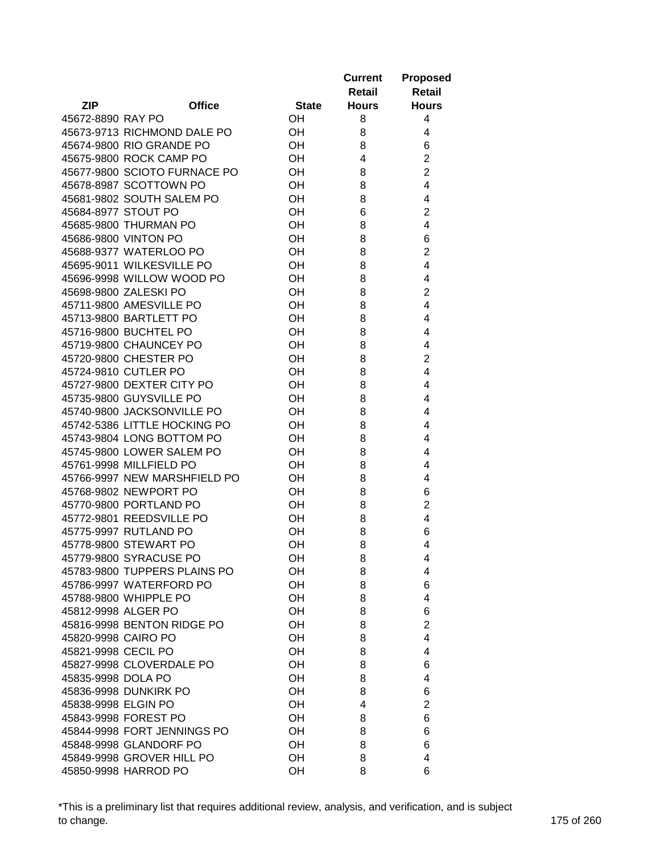|                     |                                                        |              | <b>Current</b><br>Retail | <b>Proposed</b><br><b>Retail</b> |
|---------------------|--------------------------------------------------------|--------------|--------------------------|----------------------------------|
| <b>ZIP</b>          | <b>Office</b>                                          | <b>State</b> | <b>Hours</b>             | <b>Hours</b>                     |
| 45672-8890 RAY PO   |                                                        | OН           | 8                        | 4                                |
|                     | 45673-9713 RICHMOND DALE PO                            | OН           | 8                        | 4                                |
|                     | 45674-9800 RIO GRANDE PO                               | OН           | 8                        | 6                                |
|                     | 45675-9800 ROCK CAMP PO                                | OH           | 4                        | $\overline{2}$                   |
|                     | 45677-9800 SCIOTO FURNACE PO                           | OH           | 8                        | $\overline{2}$                   |
|                     | 45678-8987 SCOTTOWN PO                                 | OH           | 8                        | 4                                |
|                     | 45681-9802 SOUTH SALEM PO                              | OH           | 8                        | 4                                |
| 45684-8977 STOUT PO |                                                        | OH           | 6                        | $\overline{2}$                   |
|                     | 45685-9800 THURMAN PO                                  | OH           | 8                        | 4                                |
|                     | 45686-9800 VINTON PO                                   | OH           | 8                        | 6                                |
|                     | 45688-9377 WATERLOO PO                                 | OH           | 8                        | $\overline{2}$                   |
|                     | 45695-9011 WILKESVILLE PO                              | OH           | 8                        | 4                                |
|                     | 45696-9998 WILLOW WOOD PO                              | OH           | 8                        | 4                                |
|                     | 45698-9800 ZALESKI PO                                  | OH           | 8                        | $\overline{2}$                   |
|                     | 45711-9800 AMESVILLE PO                                | OH           | 8                        | 4                                |
|                     | 45713-9800 BARTLETT PO                                 | OH           | 8                        | 4                                |
|                     | 45716-9800 BUCHTEL PO                                  | OH           | 8                        | 4                                |
|                     | 45719-9800 CHAUNCEY PO                                 | OH           | 8                        | 4                                |
|                     | 45720-9800 CHESTER PO                                  | OH           | 8                        | $\overline{2}$                   |
|                     | 45724-9810 CUTLER PO                                   | OH           | 8                        | 4                                |
|                     | 45727-9800 DEXTER CITY PO                              | OH           | 8                        | 4                                |
|                     | 45735-9800 GUYSVILLE PO                                | OH           | 8                        | 4                                |
|                     | 45740-9800 JACKSONVILLE PO                             | OH           | 8                        | 4                                |
|                     | 45742-5386 LITTLE HOCKING PO                           | OН           | 8                        | 4                                |
|                     | 45743-9804 LONG BOTTOM PO                              | OH           | 8                        | 4                                |
|                     | 45745-9800 LOWER SALEM PO                              | OH           | 8                        | 4                                |
|                     | 45761-9998 MILLFIELD PO                                | OH           | 8                        | 4                                |
|                     | 45766-9997 NEW MARSHFIELD PO                           | OH           | 8                        | 4                                |
|                     | 45768-9802 NEWPORT PO                                  | OH           | 8                        | 6                                |
|                     | 45770-9800 PORTLAND PO                                 | OH           | 8                        | $\overline{2}$                   |
|                     | 45772-9801 REEDSVILLE PO                               | OН           | 8                        | 4                                |
|                     | 45775-9997 RUTLAND PO                                  | OH           | 8                        | 6                                |
|                     | 45778-9800 STEWART PO                                  | OH           | 8                        | 4                                |
|                     |                                                        |              |                          |                                  |
|                     | 45779-9800 SYRACUSE PO<br>45783-9800 TUPPERS PLAINS PO | OН           | 8                        | 4                                |
|                     |                                                        | OH           | 8                        | 4                                |
|                     | 45786-9997 WATERFORD PO<br>45788-9800 WHIPPLE PO       | OH           | 8                        | 6                                |
| 45812-9998 ALGER PO |                                                        | OH           | 8                        | 4                                |
|                     | 45816-9998 BENTON RIDGE PO                             | OH           | 8                        | 6                                |
|                     |                                                        | OH           | 8                        | $\overline{2}$                   |
| 45820-9998 CAIRO PO |                                                        | OH           | 8                        | 4                                |
| 45821-9998 CECIL PO |                                                        | OH           | 8                        | 4                                |
|                     | 45827-9998 CLOVERDALE PO                               | OH           | 8                        | 6                                |
| 45835-9998 DOLA PO  |                                                        | OH           | 8                        | 4                                |
|                     | 45836-9998 DUNKIRK PO                                  | OH           | 8                        | 6                                |
| 45838-9998 ELGIN PO |                                                        | OH           | 4                        | $\overline{2}$                   |
|                     | 45843-9998 FOREST PO                                   | OH           | 8                        | 6                                |
|                     | 45844-9998 FORT JENNINGS PO                            | OH           | 8                        | 6                                |
|                     | 45848-9998 GLANDORF PO                                 | <b>OH</b>    | 8                        | 6                                |
|                     | 45849-9998 GROVER HILL PO                              | OH           | 8                        | 4                                |
|                     | 45850-9998 HARROD PO                                   | OH           | 8                        | 6                                |

\*This is a preliminary list that requires additional review, analysis, and verification, and is subject to change. 175 of 260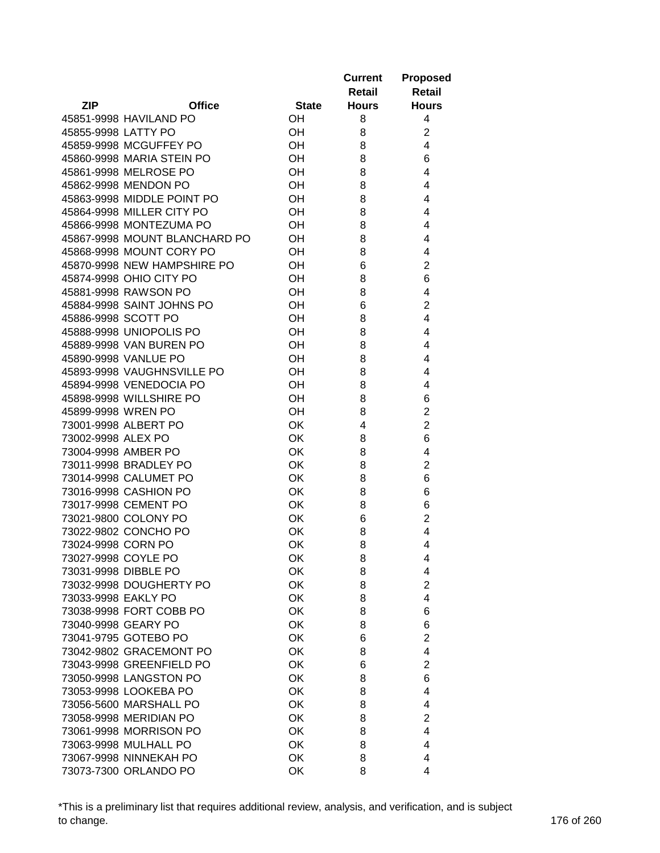|                     |                                                 |              | <b>Current</b><br>Retail | <b>Proposed</b><br><b>Retail</b> |
|---------------------|-------------------------------------------------|--------------|--------------------------|----------------------------------|
| <b>ZIP</b>          | <b>Office</b>                                   | <b>State</b> | <b>Hours</b>             | <b>Hours</b>                     |
|                     | 45851-9998 HAVILAND PO                          | <b>OH</b>    | 8                        | 4                                |
| 45855-9998 LATTY PO |                                                 | <b>OH</b>    | 8                        | $\overline{2}$                   |
|                     | 45859-9998 MCGUFFEY PO                          | <b>OH</b>    | 8                        | 4                                |
|                     | 45860-9998 MARIA STEIN PO                       | OН           | 8                        | 6                                |
|                     | 45861-9998 MELROSE PO                           | OH           | 8                        | 4                                |
|                     | 45862-9998 MENDON PO                            | OH           | 8                        | 4                                |
|                     | 45863-9998 MIDDLE POINT PO                      | OH           | 8                        | 4                                |
|                     | 45864-9998 MILLER CITY PO                       | OH           | 8                        | 4                                |
|                     | 45866-9998 MONTEZUMA PO                         | OH           | 8                        | 4                                |
|                     | 45867-9998 MOUNT BLANCHARD PO                   | OH           | 8                        | 4                                |
|                     | 45868-9998 MOUNT CORY PO                        | OH           | 8                        | 4                                |
|                     | 45870-9998 NEW HAMPSHIRE PO                     | OH           | 6                        | $\overline{2}$                   |
|                     | 45874-9998 OHIO CITY PO                         | OH           | 8                        | 6                                |
|                     | 45881-9998 RAWSON PO                            | OH           | 8                        | 4                                |
|                     | 45884-9998 SAINT JOHNS PO                       | OH           | 6                        | $\overline{2}$                   |
| 45886-9998 SCOTT PO |                                                 | OH           | 8                        | 4                                |
|                     | 45888-9998 UNIOPOLIS PO                         | OH           | 8                        | 4                                |
|                     | 45889-9998 VAN BUREN PO                         | OH           | 8                        | 4                                |
|                     | 45890-9998 VANLUE PO                            | <b>OH</b>    | 8                        | 4                                |
|                     | 45893-9998 VAUGHNSVILLE PO                      | OH           | 8                        | 4                                |
|                     | 45894-9998 VENEDOCIA PO                         | OH           | 8                        | 4                                |
|                     | 45898-9998 WILLSHIRE PO                         | OH           | 8                        | 6                                |
| 45899-9998 WREN PO  |                                                 | OH           | 8                        | $\overline{2}$                   |
|                     | 73001-9998 ALBERT PO                            | OK           | 4                        | $\overline{2}$                   |
| 73002-9998 ALEX PO  |                                                 | <b>OK</b>    | 8                        | 6                                |
|                     | 73004-9998 AMBER PO                             | OK           | 8                        | 4                                |
|                     | 73011-9998 BRADLEY PO                           | OK           | 8                        | $\overline{2}$                   |
|                     | 73014-9998 CALUMET PO                           | OK           | 8                        | 6                                |
|                     | 73016-9998 CASHION PO                           | OK           | 8                        | 6                                |
|                     | 73017-9998 CEMENT PO                            | OK           | 8                        | 6                                |
|                     | 73021-9800 COLONY PO                            | OK           | 6                        | $\overline{2}$                   |
|                     | 73022-9802 CONCHO PO                            | OK           | 8                        | 4                                |
| 73024-9998 CORN PO  |                                                 | OK           | 8                        | 4                                |
| 73027-9998 COYLE PO |                                                 | OK           | 8                        | 4                                |
|                     | 73031-9998 DIBBLE PO                            | OK           | 8                        | 4                                |
|                     | 73032-9998 DOUGHERTY PO                         | OK           | 8                        | $\overline{2}$                   |
| 73033-9998 EAKLY PO |                                                 | OK           | 8                        | 4                                |
|                     | 73038-9998 FORT COBB PO                         | OK           | 8                        | 6                                |
|                     | 73040-9998 GEARY PO                             | OK           | 8                        | 6                                |
|                     | 73041-9795 GOTEBO PO                            | OK           | 6                        | $\overline{2}$                   |
|                     | 73042-9802 GRACEMONT PO                         |              |                          | 4                                |
|                     |                                                 | OK           | 8                        |                                  |
|                     | 73043-9998 GREENFIELD PO                        | <b>OK</b>    | 6                        | 2                                |
|                     | 73050-9998 LANGSTON PO                          | OK           | 8                        | 6                                |
|                     | 73053-9998 LOOKEBA PO                           | OK           | 8                        | 4                                |
|                     | 73056-5600 MARSHALL PO                          | <b>OK</b>    | 8                        | 4                                |
|                     | 73058-9998 MERIDIAN PO                          | <b>OK</b>    | 8                        | 2                                |
|                     | 73061-9998 MORRISON PO                          | OK           | 8                        | 4                                |
|                     | 73063-9998 MULHALL PO<br>73067-9998 NINNEKAH PO | OK           | 8                        | 4                                |
|                     | 73073-7300 ORLANDO PO                           | OK<br>OK     | 8<br>8                   | 4<br>4                           |
|                     |                                                 |              |                          |                                  |

\*This is a preliminary list that requires additional review, analysis, and verification, and is subject to change. 176 of 260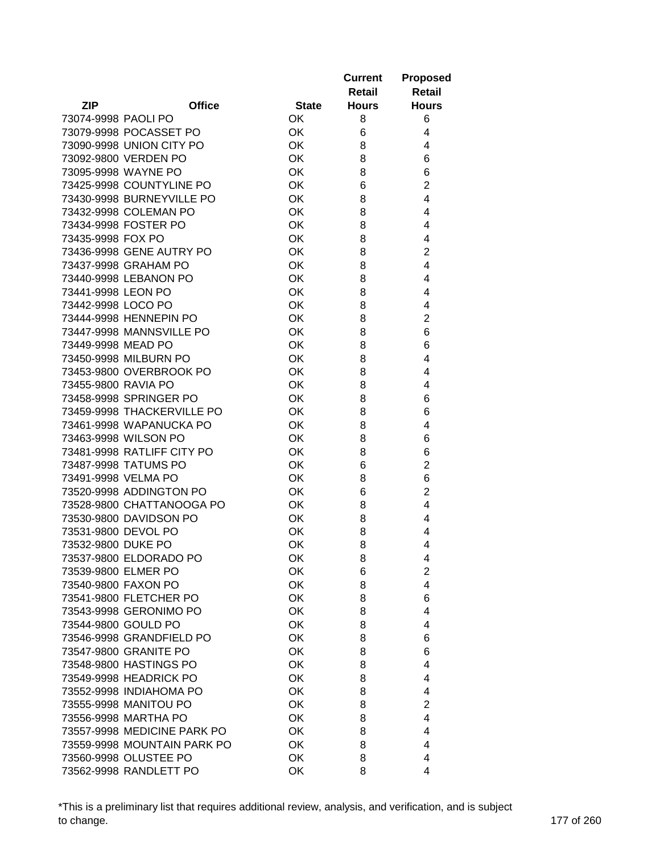|                     |                             |              | <b>Current</b> | <b>Proposed</b> |
|---------------------|-----------------------------|--------------|----------------|-----------------|
|                     |                             |              | Retail         | Retail          |
| <b>ZIP</b>          | <b>Office</b>               | <b>State</b> | <b>Hours</b>   | <b>Hours</b>    |
| 73074-9998 PAOLI PO |                             | OK           | 8              | 6               |
|                     | 73079-9998 POCASSET PO      | OK           | 6              | 4               |
|                     | 73090-9998 UNION CITY PO    | OK           | 8              | 4               |
|                     | 73092-9800 VERDEN PO        | OK           | 8              | 6               |
|                     | 73095-9998 WAYNE PO         | OK           | 8              | 6               |
|                     | 73425-9998 COUNTYLINE PO    | OK           | 6              | $\overline{2}$  |
|                     | 73430-9998 BURNEYVILLE PO   | OK           | 8              | 4               |
|                     | 73432-9998 COLEMAN PO       | <b>OK</b>    | 8              | 4               |
|                     | 73434-9998 FOSTER PO        | <b>OK</b>    | 8              | 4               |
| 73435-9998 FOX PO   |                             | <b>OK</b>    | 8              | 4               |
|                     | 73436-9998 GENE AUTRY PO    | OK           | 8              | $\overline{c}$  |
|                     | 73437-9998 GRAHAM PO        | OK           | 8              | 4               |
|                     | 73440-9998 LEBANON PO       | <b>OK</b>    | 8              | 4               |
| 73441-9998 LEON PO  |                             | <b>OK</b>    | 8              | 4               |
| 73442-9998 LOCO PO  |                             | OK           | 8              | 4               |
|                     | 73444-9998 HENNEPIN PO      | OK           | 8              | $\overline{2}$  |
|                     | 73447-9998 MANNSVILLE PO    | OK           | 8              | 6               |
| 73449-9998 MEAD PO  |                             | OK           | 8              | 6               |
|                     | 73450-9998 MILBURN PO       | OK           | 8              | 4               |
|                     | 73453-9800 OVERBROOK PO     | OK           | 8              | 4               |
| 73455-9800 RAVIA PO |                             | OK           | 8              | 4               |
|                     |                             |              |                |                 |
|                     | 73458-9998 SPRINGER PO      | OK           | 8              | 6               |
|                     | 73459-9998 THACKERVILLE PO  | OK           | 8              | 6               |
|                     | 73461-9998 WAPANUCKA PO     | <b>OK</b>    | 8              | 4               |
|                     | 73463-9998 WILSON PO        | <b>OK</b>    | 8              | 6               |
|                     | 73481-9998 RATLIFF CITY PO  | <b>OK</b>    | 8              | 6               |
|                     | 73487-9998 TATUMS PO        | OK           | 6              | $\overline{c}$  |
|                     | 73491-9998 VELMA PO         | OK           | 8              | 6               |
|                     | 73520-9998 ADDINGTON PO     | <b>OK</b>    | 6              | $\overline{c}$  |
|                     | 73528-9800 CHATTANOOGA PO   | <b>OK</b>    | 8              | 4               |
|                     | 73530-9800 DAVIDSON PO      | OK           | 8              | 4               |
|                     | 73531-9800 DEVOL PO         | OK           | 8              | 4               |
| 73532-9800 DUKE PO  |                             | OK           | 8              | 4               |
|                     | 73537-9800 ELDORADO PO      | OK           | 8              | 4               |
|                     | 73539-9800 ELMER PO         | OK           | 6              | 2               |
|                     | 73540-9800 FAXON PO         | OK           | 8              | 4               |
|                     | 73541-9800 FLETCHER PO      | OK           | 8              | 6               |
|                     | 73543-9998 GERONIMO PO      | OK           | 8              | 4               |
|                     | 73544-9800 GOULD PO         | OK           | 8              | 4               |
|                     | 73546-9998 GRANDFIELD PO    | OK           | 8              | 6               |
|                     | 73547-9800 GRANITE PO       | OK           | 8              | 6               |
|                     | 73548-9800 HASTINGS PO      | OK           | 8              | 4               |
|                     | 73549-9998 HEADRICK PO      | OK           | 8              | 4               |
|                     | 73552-9998 INDIAHOMA PO     | OK           | 8              | 4               |
|                     | 73555-9998 MANITOU PO       | OK           | 8              | $\overline{2}$  |
|                     | 73556-9998 MARTHA PO        | OK           | 8              | 4               |
|                     | 73557-9998 MEDICINE PARK PO | OK           | 8              | 4               |
|                     | 73559-9998 MOUNTAIN PARK PO | OK           | 8              | 4               |
|                     | 73560-9998 OLUSTEE PO       | OK           | 8              | 4               |
|                     | 73562-9998 RANDLETT PO      | OK           | 8              | 4               |

\*This is a preliminary list that requires additional review, analysis, and verification, and is subject to change. 177 of 260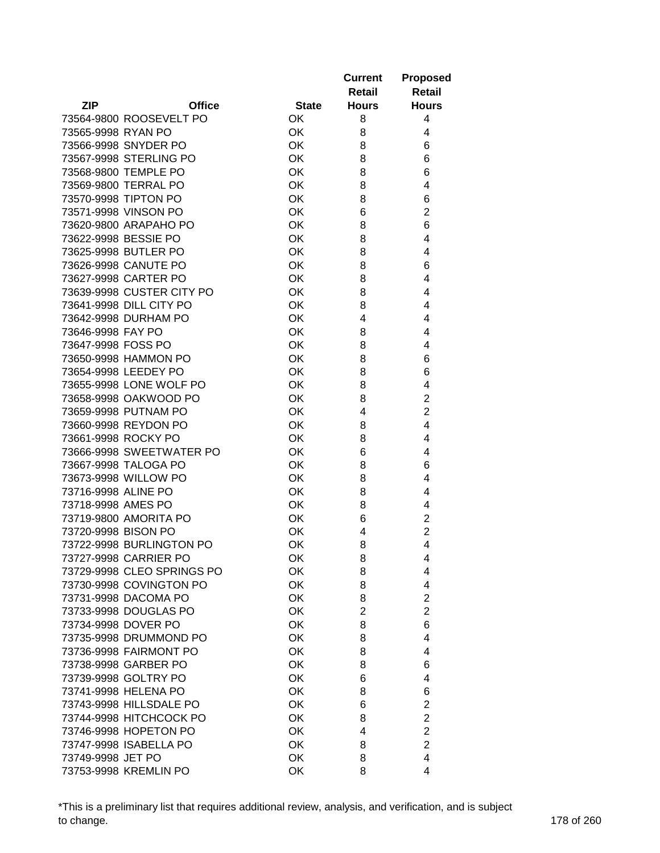|                             |              | <b>Current</b> | <b>Proposed</b> |
|-----------------------------|--------------|----------------|-----------------|
|                             |              | Retail         | Retail          |
| <b>ZIP</b><br><b>Office</b> | <b>State</b> | <b>Hours</b>   | <b>Hours</b>    |
| 73564-9800 ROOSEVELT PO     | 0K           | 8              | 4               |
| 73565-9998 RYAN PO          | OK           | 8              | 4               |
| 73566-9998 SNYDER PO        | OK           | 8              | 6               |
| 73567-9998 STERLING PO      | OK           | 8              | 6               |
| 73568-9800 TEMPLE PO        | OK           | 8              | 6               |
| 73569-9800 TERRAL PO        | OK           | 8              | 4               |
| 73570-9998 TIPTON PO        | OK           | 8              | 6               |
| 73571-9998 VINSON PO        | OK           | 6              | $\overline{2}$  |
| 73620-9800 ARAPAHO PO       | <b>OK</b>    | 8              | 6               |
| 73622-9998 BESSIE PO        | <b>OK</b>    | 8              | 4               |
| 73625-9998 BUTLER PO        | OK           | 8              | 4               |
| 73626-9998 CANUTE PO        | OK           | 8              | 6               |
| 73627-9998 CARTER PO        | OK           | 8              | 4               |
| 73639-9998 CUSTER CITY PO   | OK           | 8              | 4               |
| 73641-9998 DILL CITY PO     | OK           | 8              | 4               |
| 73642-9998 DURHAM PO        | OK           | 4              | 4               |
| 73646-9998 FAY PO           | OK           | 8              | 4               |
| 73647-9998 FOSS PO          | OK           | 8              | 4               |
| 73650-9998 HAMMON PO        | OK           | 8              | 6               |
| 73654-9998 LEEDEY PO        | OK           | 8              | 6               |
| 73655-9998 LONE WOLF PO     | OK           | 8              | 4               |
| 73658-9998 OAKWOOD PO       | OK           | 8              | $\overline{2}$  |
| 73659-9998 PUTNAM PO        | OK           | 4              | $\overline{2}$  |
| 73660-9998 REYDON PO        | <b>OK</b>    | 8              | 4               |
| 73661-9998 ROCKY PO         | <b>OK</b>    | 8              | 4               |
| 73666-9998 SWEETWATER PO    | <b>OK</b>    | 6              | 4               |
| 73667-9998 TALOGA PO        | OK           | 8              | 6               |
| 73673-9998 WILLOW PO        | OK           | 8              | 4               |
| 73716-9998 ALINE PO         | OK           | 8              | 4               |
| 73718-9998 AMES PO          | OK           | 8              | 4               |
| 73719-9800 AMORITA PO       | OK           | 6              | $\overline{c}$  |
| 73720-9998 BISON PO         | OK           | 4              | $\overline{2}$  |
| 73722-9998 BURLINGTON PO    | OK           | 8              | 4               |
| 73727-9998 CARRIER PO       | OK           | 8              | 4               |
| 73729-9998 CLEO SPRINGS PO  | OK           | 8              | 4               |
| 73730-9998 COVINGTON PO     | OK           | 8              | 4               |
| 73731-9998 DACOMA PO        | OK           | 8              | $\overline{2}$  |
| 73733-9998 DOUGLAS PO       | OK           | $\overline{2}$ | $\overline{2}$  |
| 73734-9998 DOVER PO         | OK           | 8              | 6               |
| 73735-9998 DRUMMOND PO      | OK           | 8              | 4               |
| 73736-9998 FAIRMONT PO      | OK           | 8              | 4               |
| 73738-9998 GARBER PO        | OK           | 8              | 6               |
| 73739-9998 GOLTRY PO        | OK           | 6              | 4               |
| 73741-9998 HELENA PO        | OK           | 8              | 6               |
| 73743-9998 HILLSDALE PO     | OK           | 6              | $\overline{2}$  |
| 73744-9998 HITCHCOCK PO     | OK           | 8              | $\overline{c}$  |
| 73746-9998 HOPETON PO       | OK           | 4              | $\overline{c}$  |
| 73747-9998 ISABELLA PO      | OK           | 8              | $\overline{2}$  |
| 73749-9998 JET PO           | OK           | 8              | 4               |
| 73753-9998 KREMLIN PO       | OK           | 8              | 4               |
|                             |              |                |                 |

\*This is a preliminary list that requires additional review, analysis, and verification, and is subject to change. 178 of 260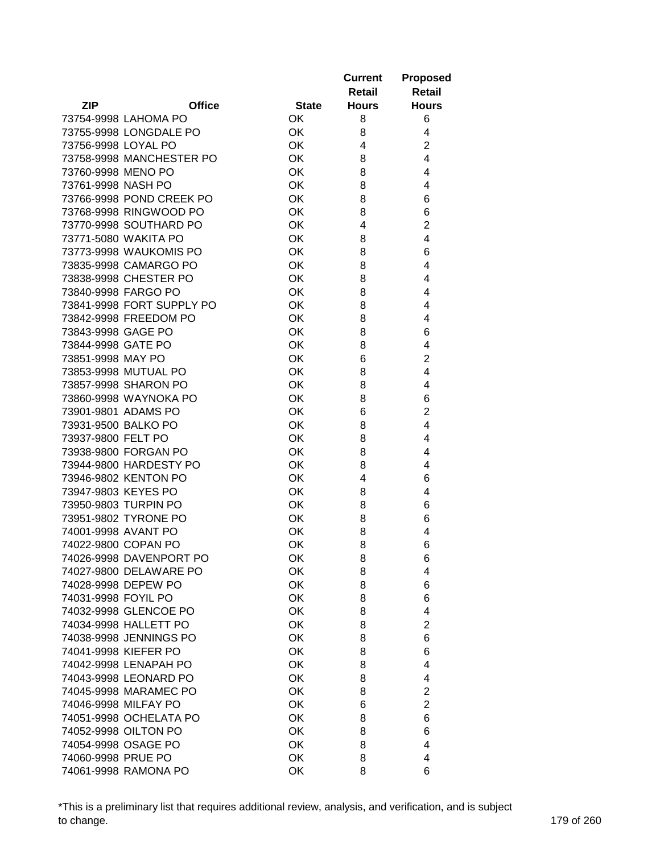|                        |                           |              | <b>Current</b><br>Retail | <b>Proposed</b><br><b>Retail</b> |
|------------------------|---------------------------|--------------|--------------------------|----------------------------------|
| <b>ZIP</b>             | <b>Office</b>             | <b>State</b> | <b>Hours</b>             | <b>Hours</b>                     |
| 73754-9998 LAHOMA PO   |                           | OK           | 8                        | 6                                |
|                        | 73755-9998 LONGDALE PO    | <b>OK</b>    | 8                        | 4                                |
| 73756-9998 LOYAL PO    |                           | OK           | 4                        | $\overline{2}$                   |
|                        | 73758-9998 MANCHESTER PO  | OK           | 8                        | $\overline{4}$                   |
| 73760-9998 MENO PO     |                           | OK           | 8                        | 4                                |
| 73761-9998 NASH PO     |                           | OK           | 8                        | 4                                |
|                        | 73766-9998 POND CREEK PO  | OK           | 8                        | 6                                |
|                        | 73768-9998 RINGWOOD PO    | OK           | 8                        | 6                                |
|                        | 73770-9998 SOUTHARD PO    | OK           | 4                        | $\overline{2}$                   |
| 73771-5080 WAKITA PO   |                           | <b>OK</b>    | 8                        | 4                                |
|                        | 73773-9998 WAUKOMIS PO    | <b>OK</b>    | 8                        | 6                                |
|                        | 73835-9998 CAMARGO PO     | <b>OK</b>    | 8                        | 4                                |
| 73838-9998 CHESTER PO  |                           | <b>OK</b>    | 8                        | 4                                |
| 73840-9998 FARGO PO    |                           | <b>OK</b>    | 8                        | 4                                |
|                        | 73841-9998 FORT SUPPLY PO | <b>OK</b>    | 8                        | 4                                |
| 73842-9998 FREEDOM PO  |                           | <b>OK</b>    | 8                        | 4                                |
| 73843-9998 GAGE PO     |                           | OK           | 8                        | 6                                |
| 73844-9998 GATE PO     |                           | <b>OK</b>    | 8                        | 4                                |
| 73851-9998 MAY PO      |                           | OK           | 6                        | $\overline{2}$                   |
| 73853-9998 MUTUAL PO   |                           | OK           | 8                        | 4                                |
| 73857-9998 SHARON PO   |                           | OK           | 8                        | 4                                |
| 73860-9998 WAYNOKA PO  |                           | OK           | 8                        | 6                                |
| 73901-9801 ADAMS PO    |                           | OK           | 6                        | $\overline{2}$                   |
| 73931-9500 BALKO PO    |                           | OK           | 8                        | 4                                |
| 73937-9800 FELT PO     |                           | OK           | 8                        | 4                                |
| 73938-9800 FORGAN PO   |                           | OK           | 8                        | 4                                |
|                        | 73944-9800 HARDESTY PO    | OK           | 8                        | 4                                |
| 73946-9802 KENTON PO   |                           | OK           | 4                        | 6                                |
| 73947-9803 KEYES PO    |                           | <b>OK</b>    | 8                        | 4                                |
| 73950-9803 TURPIN PO   |                           | <b>OK</b>    | 8                        | 6                                |
| 73951-9802 TYRONE PO   |                           | OK           | 8                        | 6                                |
| 74001-9998 AVANT PO    |                           | OK           | 8                        | 4                                |
| 74022-9800 COPAN PO    |                           | OK           | 8                        | 6                                |
|                        | 74026-9998 DAVENPORT PO   | OK           | 8                        | 6                                |
|                        | 74027-9800 DELAWARE PO    | OK           | 8                        | 4                                |
| 74028-9998 DEPEW PO    |                           | OK           | 8                        | 6                                |
| 74031-9998 FOYIL PO    |                           | OK           | 8                        | 6                                |
| 74032-9998 GLENCOE PO  |                           | OK           | 8                        | 4                                |
| 74034-9998 HALLETT PO  |                           | OK           | 8                        | $\overline{2}$                   |
| 74038-9998 JENNINGS PO |                           | OK           | 8                        | 6                                |
| 74041-9998 KIEFER PO   |                           | OK           | 8                        | 6                                |
| 74042-9998 LENAPAH PO  |                           | OK           | 8                        | 4                                |
| 74043-9998 LEONARD PO  |                           | OK           | 8                        | 4                                |
| 74045-9998 MARAMEC PO  |                           | OK           | 8                        | 2                                |
| 74046-9998 MILFAY PO   |                           | <b>OK</b>    | 6                        | $\overline{2}$                   |
|                        | 74051-9998 OCHELATA PO    | <b>OK</b>    | 8                        | 6                                |
| 74052-9998 OILTON PO   |                           | OK           | 8                        | 6                                |
| 74054-9998 OSAGE PO    |                           | OK           | 8                        | 4                                |
| 74060-9998 PRUE PO     |                           | OK           | 8                        | 4                                |
| 74061-9998 RAMONA PO   |                           | OK           | 8                        | 6                                |

\*This is a preliminary list that requires additional review, analysis, and verification, and is subject to change. 179 of 260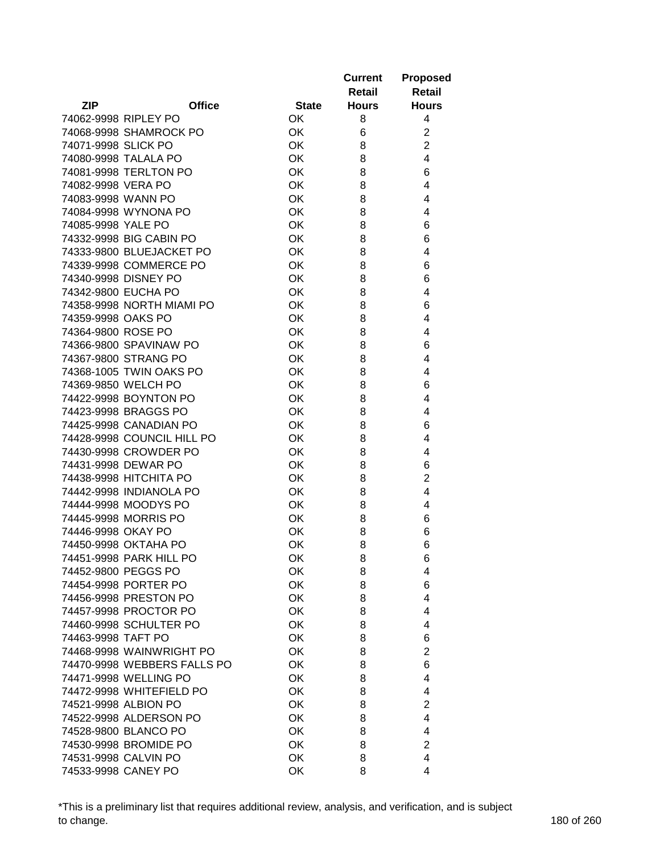|                      |                             |              | <b>Current</b><br>Retail | <b>Proposed</b><br><b>Retail</b> |
|----------------------|-----------------------------|--------------|--------------------------|----------------------------------|
| <b>ZIP</b>           | <b>Office</b>               | <b>State</b> | <b>Hours</b>             | <b>Hours</b>                     |
| 74062-9998 RIPLEY PO |                             | OK           | 8                        | 4                                |
|                      | 74068-9998 SHAMROCK PO      | OK           | 6                        | $\overline{2}$                   |
| 74071-9998 SLICK PO  |                             | OK           | 8                        | $\overline{2}$                   |
| 74080-9998 TALALA PO |                             | OK           | 8                        | $\overline{4}$                   |
|                      | 74081-9998 TERLTON PO       | OK           | 8                        | 6                                |
| 74082-9998 VERA PO   |                             | OK           | 8                        | 4                                |
| 74083-9998 WANN PO   |                             | OK           | 8                        | 4                                |
|                      | 74084-9998 WYNONA PO        | OK           | 8                        | 4                                |
| 74085-9998 YALE PO   |                             | OK           | 8                        | 6                                |
|                      | 74332-9998 BIG CABIN PO     | OK           | 8                        | 6                                |
|                      | 74333-9800 BLUEJACKET PO    | OK           | 8                        | 4                                |
|                      | 74339-9998 COMMERCE PO      | OK           | 8                        | 6                                |
| 74340-9998 DISNEY PO |                             | OK           | 8                        | 6                                |
| 74342-9800 EUCHA PO  |                             | OK           | 8                        | 4                                |
|                      | 74358-9998 NORTH MIAMI PO   | OK           | 8                        | 6                                |
| 74359-9998 OAKS PO   |                             | OK           | 8                        | 4                                |
| 74364-9800 ROSE PO   |                             | OK           | 8                        | 4                                |
|                      | 74366-9800 SPAVINAW PO      | OK           | 8                        | 6                                |
|                      | 74367-9800 STRANG PO        | OK           | 8                        | 4                                |
|                      | 74368-1005 TWIN OAKS PO     | OK           | 8                        | 4                                |
| 74369-9850 WELCH PO  |                             | OK           | 8                        | 6                                |
|                      | 74422-9998 BOYNTON PO       | OK           | 8                        | 4                                |
|                      | 74423-9998 BRAGGS PO        | OK           | 8                        | 4                                |
|                      | 74425-9998 CANADIAN PO      | OK           | 8                        | 6                                |
|                      | 74428-9998 COUNCIL HILL PO  | OK           | 8                        | 4                                |
|                      | 74430-9998 CROWDER PO       | 0K           | 8                        | 4                                |
| 74431-9998 DEWAR PO  |                             | OK           | 8                        | 6                                |
|                      | 74438-9998 HITCHITA PO      | OK           | 8                        | $\overline{2}$                   |
|                      | 74442-9998 INDIANOLA PO     | OK           | 8                        | 4                                |
|                      | 74444-9998 MOODYS PO        | OK           | 8                        | 4                                |
|                      | 74445-9998 MORRIS PO        | OK           | 8                        | 6                                |
| 74446-9998 OKAY PO   |                             | 0K           | 8                        | 6                                |
|                      | 74450-9998 OKTAHA PO        | OK           | 8                        | 6                                |
|                      |                             |              |                          |                                  |
| 74452-9800 PEGGS PO  | 74451-9998 PARK HILL PO     | OK<br>OK     | 8                        | 6                                |
|                      | 74454-9998 PORTER PO        | OK           | 8<br>8                   | 4<br>6                           |
|                      | 74456-9998 PRESTON PO       | OK           |                          |                                  |
|                      |                             |              | 8                        | 4                                |
|                      | 74457-9998 PROCTOR PO       | OK           | 8                        | 4                                |
|                      | 74460-9998 SCHULTER PO      | OK           | 8                        | 4                                |
| 74463-9998 TAFT PO   |                             | OK           | 8                        | 6                                |
|                      | 74468-9998 WAINWRIGHT PO    | OK           | 8                        | $\overline{2}$                   |
|                      | 74470-9998 WEBBERS FALLS PO | <b>OK</b>    | 8                        | 6                                |
|                      | 74471-9998 WELLING PO       | OK           | 8                        | 4                                |
|                      | 74472-9998 WHITEFIELD PO    | OK           | 8                        | 4                                |
| 74521-9998 ALBION PO |                             | OK           | 8                        | 2                                |
|                      | 74522-9998 ALDERSON PO      | <b>OK</b>    | 8                        | 4                                |
|                      | 74528-9800 BLANCO PO        | OK           | 8                        | 4                                |
|                      | 74530-9998 BROMIDE PO       | OK           | 8                        | $\overline{2}$                   |
| 74531-9998 CALVIN PO |                             | OK           | 8                        | 4                                |
| 74533-9998 CANEY PO  |                             | OK           | 8                        | 4                                |

\*This is a preliminary list that requires additional review, analysis, and verification, and is subject to change. 180 of 260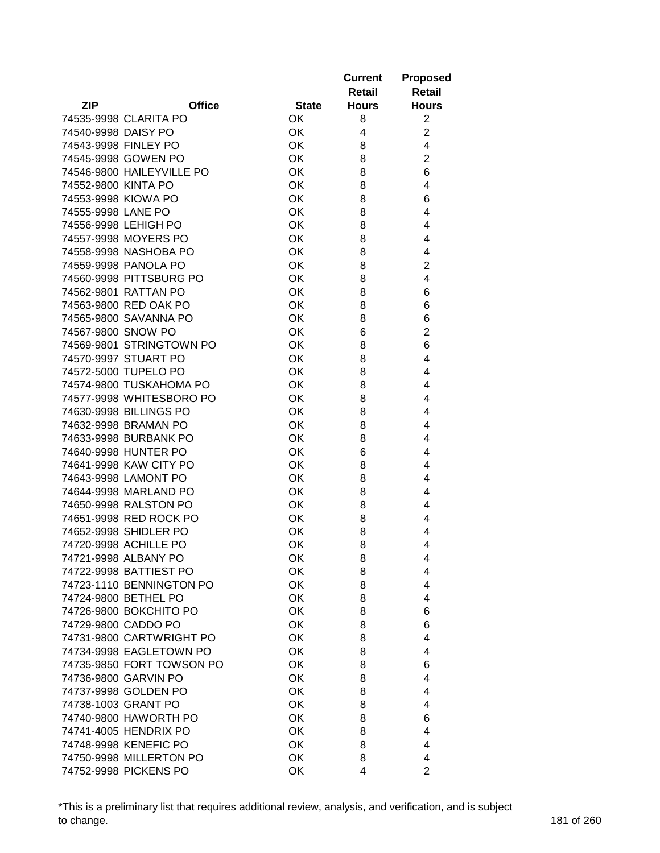|                           |               |              | <b>Current</b><br>Retail | <b>Proposed</b><br><b>Retail</b> |
|---------------------------|---------------|--------------|--------------------------|----------------------------------|
| <b>ZIP</b>                | <b>Office</b> | <b>State</b> | <b>Hours</b>             | <b>Hours</b>                     |
| 74535-9998 CLARITA PO     |               | OK           | 8                        | $\overline{2}$                   |
| 74540-9998 DAISY PO       |               | OK           | 4                        | $\overline{2}$                   |
| 74543-9998 FINLEY PO      |               | OK           | 8                        | 4                                |
| 74545-9998 GOWEN PO       |               | OK           | 8                        | $\overline{2}$                   |
| 74546-9800 HAILEYVILLE PO |               | OK           | 8                        | 6                                |
| 74552-9800 KINTA PO       |               | OK           | 8                        | 4                                |
| 74553-9998 KIOWA PO       |               | OK           | 8                        | 6                                |
| 74555-9998 LANE PO        |               | OK           | 8                        | 4                                |
| 74556-9998 LEHIGH PO      |               | OK           | 8                        | 4                                |
| 74557-9998 MOYERS PO      |               | OK           | 8                        | 4                                |
| 74558-9998 NASHOBA PO     |               | OK           | 8                        | 4                                |
| 74559-9998 PANOLA PO      |               | OK           | 8                        | 2                                |
| 74560-9998 PITTSBURG PO   |               | OK           | 8                        | 4                                |
| 74562-9801 RATTAN PO      |               | OK           | 8                        | 6                                |
| 74563-9800 RED OAK PO     |               | OK           | 8                        | 6                                |
| 74565-9800 SAVANNA PO     |               | OK           | 8                        | 6                                |
| 74567-9800 SNOW PO        |               | OK           | 6                        | $\overline{2}$                   |
| 74569-9801 STRINGTOWN PO  |               | OK           | 8                        | 6                                |
| 74570-9997 STUART PO      |               | OK           | 8                        | 4                                |
| 74572-5000 TUPELO PO      |               | OK           | 8                        | 4                                |
| 74574-9800 TUSKAHOMA PO   |               | OK           | 8                        | 4                                |
| 74577-9998 WHITESBORO PO  |               | OK           | 8                        | 4                                |
| 74630-9998 BILLINGS PO    |               | OK           | 8                        | 4                                |
| 74632-9998 BRAMAN PO      |               | OK           | 8                        | 4                                |
| 74633-9998 BURBANK PO     |               | OK           | 8                        | 4                                |
| 74640-9998 HUNTER PO      |               | 0K           | 6                        | 4                                |
| 74641-9998 KAW CITY PO    |               | OK           | 8                        | 4                                |
| 74643-9998 LAMONT PO      |               | OK           | 8                        | 4                                |
| 74644-9998 MARLAND PO     |               | OK           | 8                        | 4                                |
| 74650-9998 RALSTON PO     |               | OK           | 8                        | 4                                |
| 74651-9998 RED ROCK PO    |               | OK           | 8                        | 4                                |
| 74652-9998 SHIDLER PO     |               | 0K           | 8                        | 4                                |
| 74720-9998 ACHILLE PO     |               | OK           | 8                        | 4                                |
| 74721-9998 ALBANY PO      |               | OK           | 8                        | 4                                |
| 74722-9998 BATTIEST PO    |               | OK           | 8                        | 4                                |
| 74723-1110 BENNINGTON PO  |               | OK           | 8                        | 4                                |
| 74724-9800 BETHEL PO      |               | OK           | 8                        | 4                                |
| 74726-9800 BOKCHITO PO    |               | OK           | 8                        | 6                                |
| 74729-9800 CADDO PO       |               | OK           | 8                        | 6                                |
| 74731-9800 CARTWRIGHT PO  |               | OK           | 8                        | 4                                |
| 74734-9998 EAGLETOWN PO   |               | OK           | 8                        | 4                                |
| 74735-9850 FORT TOWSON PO |               | OK           | 8                        | 6                                |
| 74736-9800 GARVIN PO      |               | OK           | 8                        | 4                                |
| 74737-9998 GOLDEN PO      |               | OK           | 8                        | 4                                |
| 74738-1003 GRANT PO       |               | OK           | 8                        | 4                                |
| 74740-9800 HAWORTH PO     |               | <b>OK</b>    | 8                        | 6                                |
| 74741-4005 HENDRIX PO     |               | OK           | 8                        | 4                                |
| 74748-9998 KENEFIC PO     |               | OK           | 8                        | 4                                |
| 74750-9998 MILLERTON PO   |               | OK           | 8                        | 4                                |
| 74752-9998 PICKENS PO     |               | OK           | 4                        | $\overline{2}$                   |

\*This is a preliminary list that requires additional review, analysis, and verification, and is subject to change. 181 of 260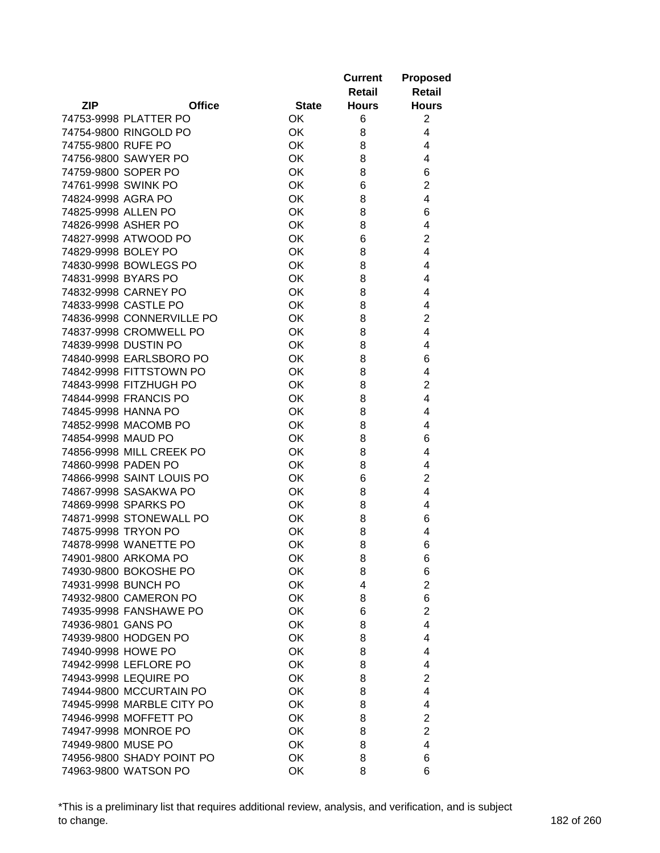|                             |              | <b>Current</b><br>Retail | <b>Proposed</b><br><b>Retail</b> |
|-----------------------------|--------------|--------------------------|----------------------------------|
| <b>ZIP</b><br><b>Office</b> | <b>State</b> | <b>Hours</b>             | <b>Hours</b>                     |
| 74753-9998 PLATTER PO       | OK           | 6                        | $\overline{2}$                   |
| 74754-9800 RINGOLD PO       | 0K           | 8                        | 4                                |
| 74755-9800 RUFE PO          | 0K           | 8                        | 4                                |
| 74756-9800 SAWYER PO        | OK           | 8                        | 4                                |
| 74759-9800 SOPER PO         | OK           | 8                        | 6                                |
| 74761-9998 SWINK PO         | OK           | 6                        | $\overline{2}$                   |
| 74824-9998 AGRA PO          | OK           | 8                        | 4                                |
| 74825-9998 ALLEN PO         | OK           | 8                        | 6                                |
| 74826-9998 ASHER PO         | OK           | 8                        | 4                                |
| 74827-9998 ATWOOD PO        | OK           | 6                        | 2                                |
| 74829-9998 BOLEY PO         | OK           | 8                        | 4                                |
| 74830-9998 BOWLEGS PO       | OK           | 8                        | 4                                |
| 74831-9998 BYARS PO         | OK           | 8                        | 4                                |
| 74832-9998 CARNEY PO        | <b>OK</b>    | 8                        | 4                                |
| 74833-9998 CASTLE PO        | <b>OK</b>    | 8                        | 4                                |
| 74836-9998 CONNERVILLE PO   | OK           | 8                        | $\overline{2}$                   |
| 74837-9998 CROMWELL PO      | OK           | 8                        | 4                                |
| 74839-9998 DUSTIN PO        | OK           | 8                        | 4                                |
| 74840-9998 EARLSBORO PO     | OK           | 8                        | 6                                |
| 74842-9998 FITTSTOWN PO     | OK           | 8                        | 4                                |
| 74843-9998 FITZHUGH PO      | OK           | 8                        | $\overline{2}$                   |
| 74844-9998 FRANCIS PO       | OK           | 8                        | 4                                |
| 74845-9998 HANNA PO         | OK           | 8                        | 4                                |
| 74852-9998 MACOMB PO        | OK           | 8                        | 4                                |
| 74854-9998 MAUD PO          | OK           | 8                        | 6                                |
| 74856-9998 MILL CREEK PO    | OK           | 8                        | 4                                |
| 74860-9998 PADEN PO         | OK           | 8                        | 4                                |
| 74866-9998 SAINT LOUIS PO   | OK           | 6                        | $\overline{2}$                   |
| 74867-9998 SASAKWA PO       | OK           | 8                        | 4                                |
| 74869-9998 SPARKS PO        | OK           | 8                        | 4                                |
| 74871-9998 STONEWALL PO     | OK           | 8                        | 6                                |
| 74875-9998 TRYON PO         | OK           | 8                        | 4                                |
| 74878-9998 WANETTE PO       | OK           | 8                        | 6                                |
| 74901-9800 ARKOMA PO        | OK           | 8                        | 6                                |
| 74930-9800 BOKOSHE PO       | OK           | 8                        | 6                                |
| 74931-9998 BUNCH PO         | OK           | 4                        | $\overline{2}$                   |
| 74932-9800 CAMERON PO       | OK           | 8                        | 6                                |
| 74935-9998 FANSHAWE PO      | OK           | 6                        | $\overline{2}$                   |
| 74936-9801 GANS PO          | OK           | 8                        | 4                                |
| 74939-9800 HODGEN PO        | OK           | 8                        | 4                                |
| 74940-9998 HOWE PO          | OK           | 8                        | 4                                |
| 74942-9998 LEFLORE PO       | OK           | 8                        | 4                                |
| 74943-9998 LEQUIRE PO       | OK           | 8                        | 2                                |
| 74944-9800 MCCURTAIN PO     | OK           | 8                        | 4                                |
| 74945-9998 MARBLE CITY PO   | OK           | 8                        | 4                                |
| 74946-9998 MOFFETT PO       | <b>OK</b>    | 8                        | 2                                |
| 74947-9998 MONROE PO        | OK           | 8                        | $\overline{2}$                   |
| 74949-9800 MUSE PO          | OK           | 8                        | 4                                |
| 74956-9800 SHADY POINT PO   | OK           | 8                        | 6                                |
| 74963-9800 WATSON PO        | OK           | 8                        | 6                                |

\*This is a preliminary list that requires additional review, analysis, and verification, and is subject to change. 182 of 260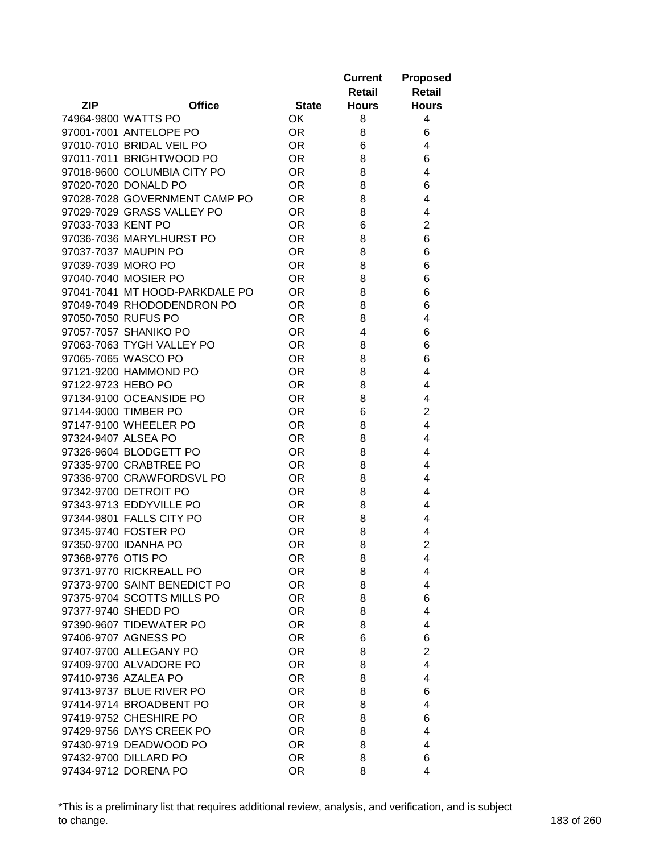|                     |                                |              | <b>Current</b><br>Retail | <b>Proposed</b><br><b>Retail</b> |
|---------------------|--------------------------------|--------------|--------------------------|----------------------------------|
| <b>ZIP</b>          | <b>Office</b>                  | <b>State</b> | <b>Hours</b>             | <b>Hours</b>                     |
|                     | 74964-9800 WATTS PO            | <b>OK</b>    | 8                        | 4                                |
|                     | 97001-7001 ANTELOPE PO         | <b>OR</b>    | 8                        | 6                                |
|                     | 97010-7010 BRIDAL VEIL PO      | <b>OR</b>    | 6                        | 4                                |
|                     | 97011-7011 BRIGHTWOOD PO       | <b>OR</b>    | 8                        | 6                                |
|                     | 97018-9600 COLUMBIA CITY PO    | <b>OR</b>    | 8                        | 4                                |
|                     | 97020-7020 DONALD PO           | OR.          | 8                        | 6                                |
|                     | 97028-7028 GOVERNMENT CAMP PO  | OR.          | 8                        | 4                                |
|                     | 97029-7029 GRASS VALLEY PO     | OR.          | 8                        | 4                                |
| 97033-7033 KENT PO  |                                | OR.          | 6                        | $\overline{2}$                   |
|                     | 97036-7036 MARYLHURST PO       | OR.          | 8                        | 6                                |
|                     | 97037-7037 MAUPIN PO           | <b>OR</b>    | 8                        | 6                                |
| 97039-7039 MORO PO  |                                | <b>OR</b>    | 8                        | 6                                |
|                     | 97040-7040 MOSIER PO           | <b>OR</b>    | 8                        | 6                                |
|                     | 97041-7041 MT HOOD-PARKDALE PO | OR.          | 8                        | 6                                |
|                     | 97049-7049 RHODODENDRON PO     | OR.          | 8                        | 6                                |
| 97050-7050 RUFUS PO |                                | OR.          | 8                        | 4                                |
|                     | 97057-7057 SHANIKO PO          | <b>OR</b>    | 4                        | 6                                |
|                     | 97063-7063 TYGH VALLEY PO      | OR.          | 8                        | 6                                |
|                     | 97065-7065 WASCO PO            |              |                          | 6                                |
|                     | 97121-9200 HAMMOND PO          | OR.          | 8                        |                                  |
|                     |                                | OR.          | 8                        | 4                                |
| 97122-9723 HEBO PO  |                                | <b>OR</b>    | 8                        | 4                                |
|                     | 97134-9100 OCEANSIDE PO        | <b>OR</b>    | 8                        | 4                                |
|                     | 97144-9000 TIMBER PO           | OR.          | 6                        | $\overline{2}$                   |
|                     | 97147-9100 WHEELER PO          | OR.          | 8                        | 4                                |
| 97324-9407 ALSEA PO |                                | OR.          | 8                        | 4                                |
|                     | 97326-9604 BLODGETT PO         | OR.          | 8                        | 4                                |
|                     | 97335-9700 CRABTREE PO         | OR.          | 8                        | 4                                |
|                     | 97336-9700 CRAWFORDSVL PO      | OR.          | 8                        | 4                                |
|                     | 97342-9700 DETROIT PO          | <b>OR</b>    | 8                        | 4                                |
|                     | 97343-9713 EDDYVILLE PO        | <b>OR</b>    | 8                        | 4                                |
|                     | 97344-9801 FALLS CITY PO       | <b>OR</b>    | 8                        | 4                                |
|                     | 97345-9740 FOSTER PO           | OR.          | 8                        | 4                                |
|                     | 97350-9700 IDANHA PO           | OR.          | 8                        | $\overline{2}$                   |
| 97368-9776 OTIS PO  |                                | OR.          | 8                        | 4                                |
|                     | 97371-9770 RICKREALL PO        | <b>OR</b>    | 8                        | 4                                |
|                     | 97373-9700 SAINT BENEDICT PO   | <b>OR</b>    | 8                        | 4                                |
|                     | 97375-9704 SCOTTS MILLS PO     | <b>OR</b>    | 8                        | 6                                |
| 97377-9740 SHEDD PO |                                | <b>OR</b>    | 8                        | 4                                |
|                     | 97390-9607 TIDEWATER PO        | <b>OR</b>    | 8                        | 4                                |
|                     | 97406-9707 AGNESS PO           | <b>OR</b>    | 6                        | 6                                |
|                     | 97407-9700 ALLEGANY PO         | <b>OR</b>    | 8                        | $\overline{2}$                   |
|                     | 97409-9700 ALVADORE PO         | <b>OR</b>    | 8                        | 4                                |
|                     | 97410-9736 AZALEA PO           | <b>OR</b>    | 8                        | 4                                |
|                     | 97413-9737 BLUE RIVER PO       | <b>OR</b>    | 8                        | 6                                |
|                     | 97414-9714 BROADBENT PO        | OR.          | 8                        | 4                                |
|                     | 97419-9752 CHESHIRE PO         | <b>OR</b>    | 8                        | 6                                |
|                     | 97429-9756 DAYS CREEK PO       | <b>OR</b>    | 8                        | 4                                |
|                     | 97430-9719 DEADWOOD PO         | <b>OR</b>    | 8                        | 4                                |
|                     | 97432-9700 DILLARD PO          | <b>OR</b>    | 8                        | 6                                |
|                     | 97434-9712 DORENA PO           | <b>OR</b>    | 8                        | 4                                |

\*This is a preliminary list that requires additional review, analysis, and verification, and is subject to change. 183 of 260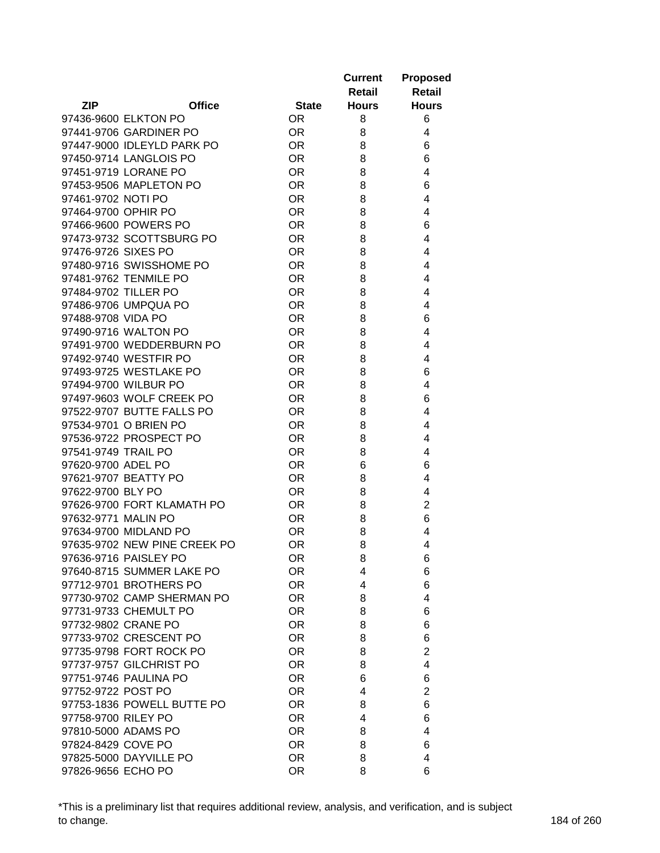|                      |                              |           | <b>Current</b><br>Retail     | <b>Proposed</b><br><b>Retail</b> |
|----------------------|------------------------------|-----------|------------------------------|----------------------------------|
| <b>ZIP</b>           | <b>Office</b>                |           | <b>Hours</b><br><b>State</b> | <b>Hours</b>                     |
|                      | 97436-9600 ELKTON PO         | <b>OR</b> | 8                            | 6                                |
|                      | 97441-9706 GARDINER PO       | <b>OR</b> | 8                            | 4                                |
|                      | 97447-9000 IDLEYLD PARK PO   | <b>OR</b> | 8                            | 6                                |
|                      | 97450-9714 LANGLOIS PO       | OR.       | 8                            | 6                                |
|                      | 97451-9719 LORANE PO         | OR.       | 8                            | 4                                |
|                      | 97453-9506 MAPLETON PO       | <b>OR</b> | 8                            | 6                                |
| 97461-9702 NOTI PO   |                              | OR.       | 8                            | 4                                |
| 97464-9700 OPHIR PO  |                              | <b>OR</b> | 8                            | 4                                |
|                      | 97466-9600 POWERS PO         | <b>OR</b> | 8                            | 6                                |
|                      | 97473-9732 SCOTTSBURG PO     | OR.       | 8                            | 4                                |
| 97476-9726 SIXES PO  |                              | OR.       | 8                            | 4                                |
|                      | 97480-9716 SWISSHOME PO      | OR.       | 8                            | 4                                |
|                      | 97481-9762 TENMILE PO        | <b>OR</b> | 8                            | 4                                |
| 97484-9702 TILLER PO |                              | OR.       | 8                            | 4                                |
|                      | 97486-9706 UMPQUA PO         | <b>OR</b> | 8                            | 4                                |
| 97488-9708 VIDA PO   |                              | OR.       | 8                            | 6                                |
|                      | 97490-9716 WALTON PO         | <b>OR</b> | 8                            | 4                                |
|                      |                              |           |                              |                                  |
|                      | 97491-9700 WEDDERBURN PO     | <b>OR</b> | 8                            | 4                                |
|                      | 97492-9740 WESTFIR PO        | OR.       | 8                            | 4                                |
|                      | 97493-9725 WESTLAKE PO       | <b>OR</b> | 8                            | 6                                |
|                      | 97494-9700 WILBUR PO         | <b>OR</b> | 8                            | 4                                |
|                      | 97497-9603 WOLF CREEK PO     | OR.       | 8                            | 6                                |
|                      | 97522-9707 BUTTE FALLS PO    | OR.       | 8                            | 4                                |
|                      | 97534-9701 O BRIEN PO        | OR.       | 8                            | 4                                |
|                      | 97536-9722 PROSPECT PO       | <b>OR</b> | 8                            | 4                                |
| 97541-9749 TRAIL PO  |                              | OR.       | 8                            | 4                                |
| 97620-9700 ADEL PO   |                              | <b>OR</b> | 6                            | 6                                |
|                      | 97621-9707 BEATTY PO         | <b>OR</b> | 8                            | 4                                |
| 97622-9700 BLY PO    |                              | <b>OR</b> | 8                            | 4                                |
|                      | 97626-9700 FORT KLAMATH PO   | OR.       | 8                            | $\overline{c}$                   |
| 97632-9771 MALIN PO  |                              | OR.       | 8                            | 6                                |
|                      | 97634-9700 MIDLAND PO        | OR.       | 8                            | 4                                |
|                      | 97635-9702 NEW PINE CREEK PO | <b>OR</b> | 8                            | 4                                |
|                      | 97636-9716 PAISLEY PO        | OR.       | 8                            | 6                                |
|                      | 97640-8715 SUMMER LAKE PO    | <b>OR</b> | 4                            | 6                                |
|                      | 97712-9701 BROTHERS PO       | <b>OR</b> | 4                            | 6                                |
|                      | 97730-9702 CAMP SHERMAN PO   | <b>OR</b> | 8                            | 4                                |
|                      | 97731-9733 CHEMULT PO        | <b>OR</b> | 8                            | 6                                |
|                      | 97732-9802 CRANE PO          | <b>OR</b> | 8                            | 6                                |
|                      | 97733-9702 CRESCENT PO       | <b>OR</b> | 8                            | 6                                |
|                      | 97735-9798 FORT ROCK PO      | <b>OR</b> | 8                            | $\overline{2}$                   |
|                      | 97737-9757 GILCHRIST PO      | <b>OR</b> | 8                            | 4                                |
|                      | 97751-9746 PAULINA PO        | <b>OR</b> | 6                            | 6                                |
| 97752-9722 POST PO   |                              | <b>OR</b> | 4                            | $\overline{2}$                   |
|                      | 97753-1836 POWELL BUTTE PO   | OR.       | 8                            | 6                                |
| 97758-9700 RILEY PO  |                              | OR.       | 4                            | 6                                |
|                      | 97810-5000 ADAMS PO          | <b>OR</b> | 8                            | 4                                |
| 97824-8429 COVE PO   |                              | <b>OR</b> | 8                            | 6                                |
|                      | 97825-5000 DAYVILLE PO       | <b>OR</b> | 8                            | 4                                |
| 97826-9656 ECHO PO   |                              | <b>OR</b> | 8                            | 6                                |

\*This is a preliminary list that requires additional review, analysis, and verification, and is subject to change. 184 of 260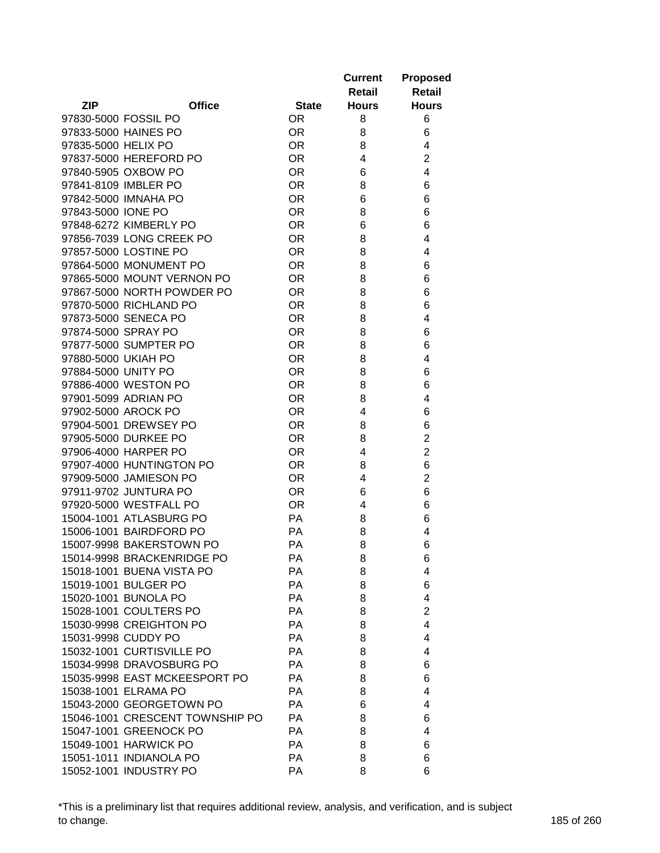| <b>ZIP</b><br><b>Office</b><br><b>Hours</b><br><b>State</b><br><b>Hours</b><br>97830-5000 FOSSIL PO<br>OR.<br>8<br>6<br>6<br>97833-5000 HAINES PO<br>OR.<br>8<br>97835-5000 HELIX PO<br>OR.<br>8<br>4<br>$\overline{2}$<br><b>OR</b><br>97837-5000 HEREFORD PO<br>4<br>97840-5905 OXBOW PO<br>4<br><b>OR</b><br>6<br><b>OR</b><br>8<br>97841-8109 IMBLER PO<br>6<br><b>OR</b><br>6<br>6<br>97842-5000 IMNAHA PO<br><b>OR</b><br>8<br>97843-5000 IONE PO<br>6<br>97848-6272 KIMBERLY PO<br><b>OR</b><br>6<br>6<br>97856-7039 LONG CREEK PO<br>OR.<br>8<br>4<br>97857-5000 LOSTINE PO<br>OR.<br>8<br>4<br>97864-5000 MONUMENT PO<br><b>OR</b><br>8<br>6<br>97865-5000 MOUNT VERNON PO<br><b>OR</b><br>8<br>6<br>97867-5000 NORTH POWDER PO<br><b>OR</b><br>8<br>6<br>97870-5000 RICHLAND PO<br><b>OR</b><br>6<br>8<br>97873-5000 SENECA PO<br><b>OR</b><br>8<br>4<br>97874-5000 SPRAY PO<br><b>OR</b><br>8<br>6<br>97877-5000 SUMPTER PO<br><b>OR</b><br>8<br>6<br>97880-5000 UKIAH PO<br><b>OR</b><br>8<br>4<br>97884-5000 UNITY PO<br><b>OR</b><br>8<br>6<br><b>OR</b><br>97886-4000 WESTON PO<br>8<br>6<br>8<br>4<br>97901-5099 ADRIAN PO<br><b>OR</b><br>97902-5000 AROCK PO<br><b>OR</b><br>4<br>6<br><b>OR</b><br>97904-5001 DREWSEY PO<br>8<br>6<br><b>OR</b><br>2<br>97905-5000 DURKEE PO<br>8<br>$\overline{2}$<br>97906-4000 HARPER PO<br>OR.<br>4<br>6<br>97907-4000 HUNTINGTON PO<br>OR.<br>8<br><b>OR</b><br>$\overline{2}$<br>97909-5000 JAMIESON PO<br>4<br><b>OR</b><br>97911-9702 JUNTURA PO<br>6<br>6<br><b>OR</b><br>97920-5000 WESTFALL PO<br>4<br>6<br>15004-1001 ATLASBURG PO<br>PA<br>8<br>6<br><b>PA</b><br>8<br>15006-1001 BAIRDFORD PO<br>4<br>15007-9998 BAKERSTOWN PO<br><b>PA</b><br>8<br>6<br>15014-9998 BRACKENRIDGE PO<br>РA<br>8<br>6<br>15018-1001 BUENA VISTA PO<br>PA<br>8<br>4<br>15019-1001 BULGER PO<br>PA<br>8<br>6<br>15020-1001 BUNOLA PO<br>PA<br>8<br>4<br>15028-1001 COULTERS PO<br>PA<br>$\overline{2}$<br>8<br>15030-9998 CREIGHTON PO<br>PA<br>4<br>8<br>15031-9998 CUDDY PO<br>PA<br>8<br>4<br>15032-1001 CURTISVILLE PO<br>PA<br>8<br>4<br>15034-9998 DRAVOSBURG PO<br><b>PA</b><br>8<br>6<br>15035-9998 EAST MCKEESPORT PO<br><b>PA</b><br>8<br>6<br>15038-1001 ELRAMA PO<br>PA<br>8<br>4<br>15043-2000 GEORGETOWN PO<br>PA<br>6<br>4<br>15046-1001 CRESCENT TOWNSHIP PO<br>PA<br>8<br>6<br>15047-1001 GREENOCK PO<br>PA<br>8<br>4<br>15049-1001 HARWICK PO<br>PA<br>8<br>6<br>15051-1011 INDIANOLA PO<br>PA<br>8<br>6<br>15052-1001 INDUSTRY PO |  |    | <b>Current</b><br>Retail | <b>Proposed</b><br><b>Retail</b> |
|---------------------------------------------------------------------------------------------------------------------------------------------------------------------------------------------------------------------------------------------------------------------------------------------------------------------------------------------------------------------------------------------------------------------------------------------------------------------------------------------------------------------------------------------------------------------------------------------------------------------------------------------------------------------------------------------------------------------------------------------------------------------------------------------------------------------------------------------------------------------------------------------------------------------------------------------------------------------------------------------------------------------------------------------------------------------------------------------------------------------------------------------------------------------------------------------------------------------------------------------------------------------------------------------------------------------------------------------------------------------------------------------------------------------------------------------------------------------------------------------------------------------------------------------------------------------------------------------------------------------------------------------------------------------------------------------------------------------------------------------------------------------------------------------------------------------------------------------------------------------------------------------------------------------------------------------------------------------------------------------------------------------------------------------------------------------------------------------------------------------------------------------------------------------------------------------------------------------------------------------------------------------------------------------------------------------------------------------------------------------------------------------------------------------------------------------------------------------------------------------------|--|----|--------------------------|----------------------------------|
|                                                                                                                                                                                                                                                                                                                                                                                                                                                                                                                                                                                                                                                                                                                                                                                                                                                                                                                                                                                                                                                                                                                                                                                                                                                                                                                                                                                                                                                                                                                                                                                                                                                                                                                                                                                                                                                                                                                                                                                                                                                                                                                                                                                                                                                                                                                                                                                                                                                                                                   |  |    |                          |                                  |
|                                                                                                                                                                                                                                                                                                                                                                                                                                                                                                                                                                                                                                                                                                                                                                                                                                                                                                                                                                                                                                                                                                                                                                                                                                                                                                                                                                                                                                                                                                                                                                                                                                                                                                                                                                                                                                                                                                                                                                                                                                                                                                                                                                                                                                                                                                                                                                                                                                                                                                   |  |    |                          |                                  |
|                                                                                                                                                                                                                                                                                                                                                                                                                                                                                                                                                                                                                                                                                                                                                                                                                                                                                                                                                                                                                                                                                                                                                                                                                                                                                                                                                                                                                                                                                                                                                                                                                                                                                                                                                                                                                                                                                                                                                                                                                                                                                                                                                                                                                                                                                                                                                                                                                                                                                                   |  |    |                          |                                  |
|                                                                                                                                                                                                                                                                                                                                                                                                                                                                                                                                                                                                                                                                                                                                                                                                                                                                                                                                                                                                                                                                                                                                                                                                                                                                                                                                                                                                                                                                                                                                                                                                                                                                                                                                                                                                                                                                                                                                                                                                                                                                                                                                                                                                                                                                                                                                                                                                                                                                                                   |  |    |                          |                                  |
|                                                                                                                                                                                                                                                                                                                                                                                                                                                                                                                                                                                                                                                                                                                                                                                                                                                                                                                                                                                                                                                                                                                                                                                                                                                                                                                                                                                                                                                                                                                                                                                                                                                                                                                                                                                                                                                                                                                                                                                                                                                                                                                                                                                                                                                                                                                                                                                                                                                                                                   |  |    |                          |                                  |
|                                                                                                                                                                                                                                                                                                                                                                                                                                                                                                                                                                                                                                                                                                                                                                                                                                                                                                                                                                                                                                                                                                                                                                                                                                                                                                                                                                                                                                                                                                                                                                                                                                                                                                                                                                                                                                                                                                                                                                                                                                                                                                                                                                                                                                                                                                                                                                                                                                                                                                   |  |    |                          |                                  |
|                                                                                                                                                                                                                                                                                                                                                                                                                                                                                                                                                                                                                                                                                                                                                                                                                                                                                                                                                                                                                                                                                                                                                                                                                                                                                                                                                                                                                                                                                                                                                                                                                                                                                                                                                                                                                                                                                                                                                                                                                                                                                                                                                                                                                                                                                                                                                                                                                                                                                                   |  |    |                          |                                  |
|                                                                                                                                                                                                                                                                                                                                                                                                                                                                                                                                                                                                                                                                                                                                                                                                                                                                                                                                                                                                                                                                                                                                                                                                                                                                                                                                                                                                                                                                                                                                                                                                                                                                                                                                                                                                                                                                                                                                                                                                                                                                                                                                                                                                                                                                                                                                                                                                                                                                                                   |  |    |                          |                                  |
|                                                                                                                                                                                                                                                                                                                                                                                                                                                                                                                                                                                                                                                                                                                                                                                                                                                                                                                                                                                                                                                                                                                                                                                                                                                                                                                                                                                                                                                                                                                                                                                                                                                                                                                                                                                                                                                                                                                                                                                                                                                                                                                                                                                                                                                                                                                                                                                                                                                                                                   |  |    |                          |                                  |
|                                                                                                                                                                                                                                                                                                                                                                                                                                                                                                                                                                                                                                                                                                                                                                                                                                                                                                                                                                                                                                                                                                                                                                                                                                                                                                                                                                                                                                                                                                                                                                                                                                                                                                                                                                                                                                                                                                                                                                                                                                                                                                                                                                                                                                                                                                                                                                                                                                                                                                   |  |    |                          |                                  |
|                                                                                                                                                                                                                                                                                                                                                                                                                                                                                                                                                                                                                                                                                                                                                                                                                                                                                                                                                                                                                                                                                                                                                                                                                                                                                                                                                                                                                                                                                                                                                                                                                                                                                                                                                                                                                                                                                                                                                                                                                                                                                                                                                                                                                                                                                                                                                                                                                                                                                                   |  |    |                          |                                  |
|                                                                                                                                                                                                                                                                                                                                                                                                                                                                                                                                                                                                                                                                                                                                                                                                                                                                                                                                                                                                                                                                                                                                                                                                                                                                                                                                                                                                                                                                                                                                                                                                                                                                                                                                                                                                                                                                                                                                                                                                                                                                                                                                                                                                                                                                                                                                                                                                                                                                                                   |  |    |                          |                                  |
|                                                                                                                                                                                                                                                                                                                                                                                                                                                                                                                                                                                                                                                                                                                                                                                                                                                                                                                                                                                                                                                                                                                                                                                                                                                                                                                                                                                                                                                                                                                                                                                                                                                                                                                                                                                                                                                                                                                                                                                                                                                                                                                                                                                                                                                                                                                                                                                                                                                                                                   |  |    |                          |                                  |
|                                                                                                                                                                                                                                                                                                                                                                                                                                                                                                                                                                                                                                                                                                                                                                                                                                                                                                                                                                                                                                                                                                                                                                                                                                                                                                                                                                                                                                                                                                                                                                                                                                                                                                                                                                                                                                                                                                                                                                                                                                                                                                                                                                                                                                                                                                                                                                                                                                                                                                   |  |    |                          |                                  |
|                                                                                                                                                                                                                                                                                                                                                                                                                                                                                                                                                                                                                                                                                                                                                                                                                                                                                                                                                                                                                                                                                                                                                                                                                                                                                                                                                                                                                                                                                                                                                                                                                                                                                                                                                                                                                                                                                                                                                                                                                                                                                                                                                                                                                                                                                                                                                                                                                                                                                                   |  |    |                          |                                  |
|                                                                                                                                                                                                                                                                                                                                                                                                                                                                                                                                                                                                                                                                                                                                                                                                                                                                                                                                                                                                                                                                                                                                                                                                                                                                                                                                                                                                                                                                                                                                                                                                                                                                                                                                                                                                                                                                                                                                                                                                                                                                                                                                                                                                                                                                                                                                                                                                                                                                                                   |  |    |                          |                                  |
|                                                                                                                                                                                                                                                                                                                                                                                                                                                                                                                                                                                                                                                                                                                                                                                                                                                                                                                                                                                                                                                                                                                                                                                                                                                                                                                                                                                                                                                                                                                                                                                                                                                                                                                                                                                                                                                                                                                                                                                                                                                                                                                                                                                                                                                                                                                                                                                                                                                                                                   |  |    |                          |                                  |
|                                                                                                                                                                                                                                                                                                                                                                                                                                                                                                                                                                                                                                                                                                                                                                                                                                                                                                                                                                                                                                                                                                                                                                                                                                                                                                                                                                                                                                                                                                                                                                                                                                                                                                                                                                                                                                                                                                                                                                                                                                                                                                                                                                                                                                                                                                                                                                                                                                                                                                   |  |    |                          |                                  |
|                                                                                                                                                                                                                                                                                                                                                                                                                                                                                                                                                                                                                                                                                                                                                                                                                                                                                                                                                                                                                                                                                                                                                                                                                                                                                                                                                                                                                                                                                                                                                                                                                                                                                                                                                                                                                                                                                                                                                                                                                                                                                                                                                                                                                                                                                                                                                                                                                                                                                                   |  |    |                          |                                  |
|                                                                                                                                                                                                                                                                                                                                                                                                                                                                                                                                                                                                                                                                                                                                                                                                                                                                                                                                                                                                                                                                                                                                                                                                                                                                                                                                                                                                                                                                                                                                                                                                                                                                                                                                                                                                                                                                                                                                                                                                                                                                                                                                                                                                                                                                                                                                                                                                                                                                                                   |  |    |                          |                                  |
|                                                                                                                                                                                                                                                                                                                                                                                                                                                                                                                                                                                                                                                                                                                                                                                                                                                                                                                                                                                                                                                                                                                                                                                                                                                                                                                                                                                                                                                                                                                                                                                                                                                                                                                                                                                                                                                                                                                                                                                                                                                                                                                                                                                                                                                                                                                                                                                                                                                                                                   |  |    |                          |                                  |
|                                                                                                                                                                                                                                                                                                                                                                                                                                                                                                                                                                                                                                                                                                                                                                                                                                                                                                                                                                                                                                                                                                                                                                                                                                                                                                                                                                                                                                                                                                                                                                                                                                                                                                                                                                                                                                                                                                                                                                                                                                                                                                                                                                                                                                                                                                                                                                                                                                                                                                   |  |    |                          |                                  |
|                                                                                                                                                                                                                                                                                                                                                                                                                                                                                                                                                                                                                                                                                                                                                                                                                                                                                                                                                                                                                                                                                                                                                                                                                                                                                                                                                                                                                                                                                                                                                                                                                                                                                                                                                                                                                                                                                                                                                                                                                                                                                                                                                                                                                                                                                                                                                                                                                                                                                                   |  |    |                          |                                  |
|                                                                                                                                                                                                                                                                                                                                                                                                                                                                                                                                                                                                                                                                                                                                                                                                                                                                                                                                                                                                                                                                                                                                                                                                                                                                                                                                                                                                                                                                                                                                                                                                                                                                                                                                                                                                                                                                                                                                                                                                                                                                                                                                                                                                                                                                                                                                                                                                                                                                                                   |  |    |                          |                                  |
|                                                                                                                                                                                                                                                                                                                                                                                                                                                                                                                                                                                                                                                                                                                                                                                                                                                                                                                                                                                                                                                                                                                                                                                                                                                                                                                                                                                                                                                                                                                                                                                                                                                                                                                                                                                                                                                                                                                                                                                                                                                                                                                                                                                                                                                                                                                                                                                                                                                                                                   |  |    |                          |                                  |
|                                                                                                                                                                                                                                                                                                                                                                                                                                                                                                                                                                                                                                                                                                                                                                                                                                                                                                                                                                                                                                                                                                                                                                                                                                                                                                                                                                                                                                                                                                                                                                                                                                                                                                                                                                                                                                                                                                                                                                                                                                                                                                                                                                                                                                                                                                                                                                                                                                                                                                   |  |    |                          |                                  |
|                                                                                                                                                                                                                                                                                                                                                                                                                                                                                                                                                                                                                                                                                                                                                                                                                                                                                                                                                                                                                                                                                                                                                                                                                                                                                                                                                                                                                                                                                                                                                                                                                                                                                                                                                                                                                                                                                                                                                                                                                                                                                                                                                                                                                                                                                                                                                                                                                                                                                                   |  |    |                          |                                  |
|                                                                                                                                                                                                                                                                                                                                                                                                                                                                                                                                                                                                                                                                                                                                                                                                                                                                                                                                                                                                                                                                                                                                                                                                                                                                                                                                                                                                                                                                                                                                                                                                                                                                                                                                                                                                                                                                                                                                                                                                                                                                                                                                                                                                                                                                                                                                                                                                                                                                                                   |  |    |                          |                                  |
|                                                                                                                                                                                                                                                                                                                                                                                                                                                                                                                                                                                                                                                                                                                                                                                                                                                                                                                                                                                                                                                                                                                                                                                                                                                                                                                                                                                                                                                                                                                                                                                                                                                                                                                                                                                                                                                                                                                                                                                                                                                                                                                                                                                                                                                                                                                                                                                                                                                                                                   |  |    |                          |                                  |
|                                                                                                                                                                                                                                                                                                                                                                                                                                                                                                                                                                                                                                                                                                                                                                                                                                                                                                                                                                                                                                                                                                                                                                                                                                                                                                                                                                                                                                                                                                                                                                                                                                                                                                                                                                                                                                                                                                                                                                                                                                                                                                                                                                                                                                                                                                                                                                                                                                                                                                   |  |    |                          |                                  |
|                                                                                                                                                                                                                                                                                                                                                                                                                                                                                                                                                                                                                                                                                                                                                                                                                                                                                                                                                                                                                                                                                                                                                                                                                                                                                                                                                                                                                                                                                                                                                                                                                                                                                                                                                                                                                                                                                                                                                                                                                                                                                                                                                                                                                                                                                                                                                                                                                                                                                                   |  |    |                          |                                  |
|                                                                                                                                                                                                                                                                                                                                                                                                                                                                                                                                                                                                                                                                                                                                                                                                                                                                                                                                                                                                                                                                                                                                                                                                                                                                                                                                                                                                                                                                                                                                                                                                                                                                                                                                                                                                                                                                                                                                                                                                                                                                                                                                                                                                                                                                                                                                                                                                                                                                                                   |  |    |                          |                                  |
|                                                                                                                                                                                                                                                                                                                                                                                                                                                                                                                                                                                                                                                                                                                                                                                                                                                                                                                                                                                                                                                                                                                                                                                                                                                                                                                                                                                                                                                                                                                                                                                                                                                                                                                                                                                                                                                                                                                                                                                                                                                                                                                                                                                                                                                                                                                                                                                                                                                                                                   |  |    |                          |                                  |
|                                                                                                                                                                                                                                                                                                                                                                                                                                                                                                                                                                                                                                                                                                                                                                                                                                                                                                                                                                                                                                                                                                                                                                                                                                                                                                                                                                                                                                                                                                                                                                                                                                                                                                                                                                                                                                                                                                                                                                                                                                                                                                                                                                                                                                                                                                                                                                                                                                                                                                   |  |    |                          |                                  |
|                                                                                                                                                                                                                                                                                                                                                                                                                                                                                                                                                                                                                                                                                                                                                                                                                                                                                                                                                                                                                                                                                                                                                                                                                                                                                                                                                                                                                                                                                                                                                                                                                                                                                                                                                                                                                                                                                                                                                                                                                                                                                                                                                                                                                                                                                                                                                                                                                                                                                                   |  |    |                          |                                  |
|                                                                                                                                                                                                                                                                                                                                                                                                                                                                                                                                                                                                                                                                                                                                                                                                                                                                                                                                                                                                                                                                                                                                                                                                                                                                                                                                                                                                                                                                                                                                                                                                                                                                                                                                                                                                                                                                                                                                                                                                                                                                                                                                                                                                                                                                                                                                                                                                                                                                                                   |  |    |                          |                                  |
|                                                                                                                                                                                                                                                                                                                                                                                                                                                                                                                                                                                                                                                                                                                                                                                                                                                                                                                                                                                                                                                                                                                                                                                                                                                                                                                                                                                                                                                                                                                                                                                                                                                                                                                                                                                                                                                                                                                                                                                                                                                                                                                                                                                                                                                                                                                                                                                                                                                                                                   |  |    |                          |                                  |
|                                                                                                                                                                                                                                                                                                                                                                                                                                                                                                                                                                                                                                                                                                                                                                                                                                                                                                                                                                                                                                                                                                                                                                                                                                                                                                                                                                                                                                                                                                                                                                                                                                                                                                                                                                                                                                                                                                                                                                                                                                                                                                                                                                                                                                                                                                                                                                                                                                                                                                   |  |    |                          |                                  |
|                                                                                                                                                                                                                                                                                                                                                                                                                                                                                                                                                                                                                                                                                                                                                                                                                                                                                                                                                                                                                                                                                                                                                                                                                                                                                                                                                                                                                                                                                                                                                                                                                                                                                                                                                                                                                                                                                                                                                                                                                                                                                                                                                                                                                                                                                                                                                                                                                                                                                                   |  |    |                          |                                  |
|                                                                                                                                                                                                                                                                                                                                                                                                                                                                                                                                                                                                                                                                                                                                                                                                                                                                                                                                                                                                                                                                                                                                                                                                                                                                                                                                                                                                                                                                                                                                                                                                                                                                                                                                                                                                                                                                                                                                                                                                                                                                                                                                                                                                                                                                                                                                                                                                                                                                                                   |  |    |                          |                                  |
|                                                                                                                                                                                                                                                                                                                                                                                                                                                                                                                                                                                                                                                                                                                                                                                                                                                                                                                                                                                                                                                                                                                                                                                                                                                                                                                                                                                                                                                                                                                                                                                                                                                                                                                                                                                                                                                                                                                                                                                                                                                                                                                                                                                                                                                                                                                                                                                                                                                                                                   |  |    |                          |                                  |
|                                                                                                                                                                                                                                                                                                                                                                                                                                                                                                                                                                                                                                                                                                                                                                                                                                                                                                                                                                                                                                                                                                                                                                                                                                                                                                                                                                                                                                                                                                                                                                                                                                                                                                                                                                                                                                                                                                                                                                                                                                                                                                                                                                                                                                                                                                                                                                                                                                                                                                   |  |    |                          |                                  |
|                                                                                                                                                                                                                                                                                                                                                                                                                                                                                                                                                                                                                                                                                                                                                                                                                                                                                                                                                                                                                                                                                                                                                                                                                                                                                                                                                                                                                                                                                                                                                                                                                                                                                                                                                                                                                                                                                                                                                                                                                                                                                                                                                                                                                                                                                                                                                                                                                                                                                                   |  |    |                          |                                  |
|                                                                                                                                                                                                                                                                                                                                                                                                                                                                                                                                                                                                                                                                                                                                                                                                                                                                                                                                                                                                                                                                                                                                                                                                                                                                                                                                                                                                                                                                                                                                                                                                                                                                                                                                                                                                                                                                                                                                                                                                                                                                                                                                                                                                                                                                                                                                                                                                                                                                                                   |  |    |                          |                                  |
|                                                                                                                                                                                                                                                                                                                                                                                                                                                                                                                                                                                                                                                                                                                                                                                                                                                                                                                                                                                                                                                                                                                                                                                                                                                                                                                                                                                                                                                                                                                                                                                                                                                                                                                                                                                                                                                                                                                                                                                                                                                                                                                                                                                                                                                                                                                                                                                                                                                                                                   |  |    |                          |                                  |
|                                                                                                                                                                                                                                                                                                                                                                                                                                                                                                                                                                                                                                                                                                                                                                                                                                                                                                                                                                                                                                                                                                                                                                                                                                                                                                                                                                                                                                                                                                                                                                                                                                                                                                                                                                                                                                                                                                                                                                                                                                                                                                                                                                                                                                                                                                                                                                                                                                                                                                   |  |    |                          |                                  |
|                                                                                                                                                                                                                                                                                                                                                                                                                                                                                                                                                                                                                                                                                                                                                                                                                                                                                                                                                                                                                                                                                                                                                                                                                                                                                                                                                                                                                                                                                                                                                                                                                                                                                                                                                                                                                                                                                                                                                                                                                                                                                                                                                                                                                                                                                                                                                                                                                                                                                                   |  |    |                          |                                  |
|                                                                                                                                                                                                                                                                                                                                                                                                                                                                                                                                                                                                                                                                                                                                                                                                                                                                                                                                                                                                                                                                                                                                                                                                                                                                                                                                                                                                                                                                                                                                                                                                                                                                                                                                                                                                                                                                                                                                                                                                                                                                                                                                                                                                                                                                                                                                                                                                                                                                                                   |  |    |                          |                                  |
|                                                                                                                                                                                                                                                                                                                                                                                                                                                                                                                                                                                                                                                                                                                                                                                                                                                                                                                                                                                                                                                                                                                                                                                                                                                                                                                                                                                                                                                                                                                                                                                                                                                                                                                                                                                                                                                                                                                                                                                                                                                                                                                                                                                                                                                                                                                                                                                                                                                                                                   |  |    |                          |                                  |
|                                                                                                                                                                                                                                                                                                                                                                                                                                                                                                                                                                                                                                                                                                                                                                                                                                                                                                                                                                                                                                                                                                                                                                                                                                                                                                                                                                                                                                                                                                                                                                                                                                                                                                                                                                                                                                                                                                                                                                                                                                                                                                                                                                                                                                                                                                                                                                                                                                                                                                   |  |    |                          |                                  |
|                                                                                                                                                                                                                                                                                                                                                                                                                                                                                                                                                                                                                                                                                                                                                                                                                                                                                                                                                                                                                                                                                                                                                                                                                                                                                                                                                                                                                                                                                                                                                                                                                                                                                                                                                                                                                                                                                                                                                                                                                                                                                                                                                                                                                                                                                                                                                                                                                                                                                                   |  | PA | 8                        | 6                                |

\*This is a preliminary list that requires additional review, analysis, and verification, and is subject to change. 185 of 260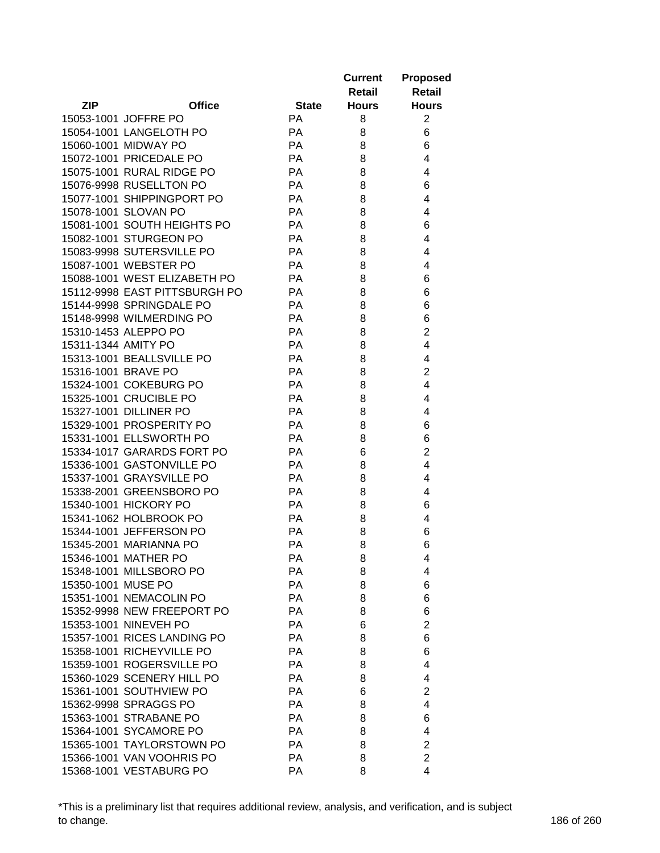|                     |                                                       |              | <b>Current</b> | <b>Proposed</b>     |
|---------------------|-------------------------------------------------------|--------------|----------------|---------------------|
|                     |                                                       |              | Retail         | Retail              |
| <b>ZIP</b>          | <b>Office</b>                                         | <b>State</b> | <b>Hours</b>   | <b>Hours</b>        |
|                     | 15053-1001 JOFFRE PO                                  | <b>PA</b>    | 8              | $\overline{2}$      |
|                     | 15054-1001 LANGELOTH PO                               | PA           | 8              | 6                   |
|                     | 15060-1001 MIDWAY PO                                  | PA           | 8              | 6                   |
|                     | 15072-1001 PRICEDALE PO                               | PA           | 8              | 4                   |
|                     | 15075-1001 RURAL RIDGE PO                             | PA           | 8              | 4                   |
|                     | 15076-9998 RUSELLTON PO                               | PA           | 8              | 6                   |
|                     | 15077-1001 SHIPPINGPORT PO                            | PA           | 8              | 4                   |
|                     | 15078-1001 SLOVAN PO                                  | PA           | 8              | 4                   |
|                     | 15081-1001 SOUTH HEIGHTS PO                           | PA           | 8              | 6                   |
|                     | 15082-1001 STURGEON PO                                | PA           | 8              | 4                   |
|                     | 15083-9998 SUTERSVILLE PO                             | PA           | 8              | 4                   |
|                     | 15087-1001 WEBSTER PO                                 | PA           | 8              | 4                   |
|                     | 15088-1001 WEST ELIZABETH PO                          | PA           | 8              | 6                   |
|                     | 15112-9998 EAST PITTSBURGH PO                         | PA           | 8              | 6                   |
|                     | 15144-9998 SPRINGDALE PO                              | PA           | 8              | 6                   |
|                     | 15148-9998 WILMERDING PO                              | PA           | 8              | 6                   |
|                     | 15310-1453 ALEPPO PO                                  | PA           | 8              | $\overline{c}$      |
| 15311-1344 AMITY PO |                                                       | PA           | 8              | $\overline{4}$      |
|                     | 15313-1001 BEALLSVILLE PO                             | PA           | 8              | 4                   |
| 15316-1001 BRAVE PO |                                                       | PA           | 8              | $\overline{2}$      |
|                     | 15324-1001 COKEBURG PO                                | PA           | 8              | $\overline{4}$      |
|                     |                                                       |              |                |                     |
|                     | 15325-1001 CRUCIBLE PO                                | PA           | 8              | 4                   |
|                     | 15327-1001 DILLINER PO                                | PA           | 8              | 4                   |
|                     | 15329-1001 PROSPERITY PO                              | PA<br>PA     | 8              | 6                   |
|                     | 15331-1001 ELLSWORTH PO<br>15334-1017 GARARDS FORT PO | PA           | 8              | 6<br>$\overline{2}$ |
|                     |                                                       | PA           | 6              | 4                   |
|                     | 15336-1001 GASTONVILLE PO                             | PA           | 8              | 4                   |
|                     | 15337-1001 GRAYSVILLE PO                              |              | 8              |                     |
|                     | 15338-2001 GREENSBORO PO<br>15340-1001 HICKORY PO     | PA           | 8              | 4                   |
|                     |                                                       | PA           | 8              | 6                   |
|                     | 15341-1062 HOLBROOK PO                                | PA           | 8              | 4                   |
|                     | 15344-1001 JEFFERSON PO                               | PA           | 8              | 6                   |
|                     | 15345-2001 MARIANNA PO                                | PA           | 8              | 6                   |
|                     | 15346-1001 MATHER PO                                  | PA           | 8              | 4                   |
|                     | 15348-1001 MILLSBORO PO                               | PA           | 8              | 4                   |
| 15350-1001 MUSE PO  |                                                       | PA           | 8              | 6                   |
|                     | 15351-1001 NEMACOLIN PO                               | PA           | 8              | 6                   |
|                     | 15352-9998 NEW FREEPORT PO                            | PA           | 8              | 6                   |
|                     | 15353-1001 NINEVEH PO                                 | PA           | 6              | $\overline{2}$      |
|                     | 15357-1001 RICES LANDING PO                           | <b>PA</b>    | 8              | 6                   |
|                     | 15358-1001 RICHEYVILLE PO                             | PA           | 8              | 6                   |
|                     | 15359-1001 ROGERSVILLE PO                             | PA           | 8              | 4                   |
|                     | 15360-1029 SCENERY HILL PO                            | PA           | 8              | 4                   |
|                     | 15361-1001 SOUTHVIEW PO                               | PA           | 6              | $\overline{2}$      |
|                     | 15362-9998 SPRAGGS PO                                 | PA           | 8              | 4                   |
|                     | 15363-1001 STRABANE PO                                | PA           | 8              | 6                   |
|                     | 15364-1001 SYCAMORE PO                                | PA           | 8              | 4                   |
|                     | 15365-1001 TAYLORSTOWN PO                             | PA           | 8              | $\overline{c}$      |
|                     | 15366-1001 VAN VOOHRIS PO                             | PA           | 8              | $\overline{2}$      |
|                     | 15368-1001 VESTABURG PO                               | PA           | 8              | 4                   |

\*This is a preliminary list that requires additional review, analysis, and verification, and is subject to change. 186 of 260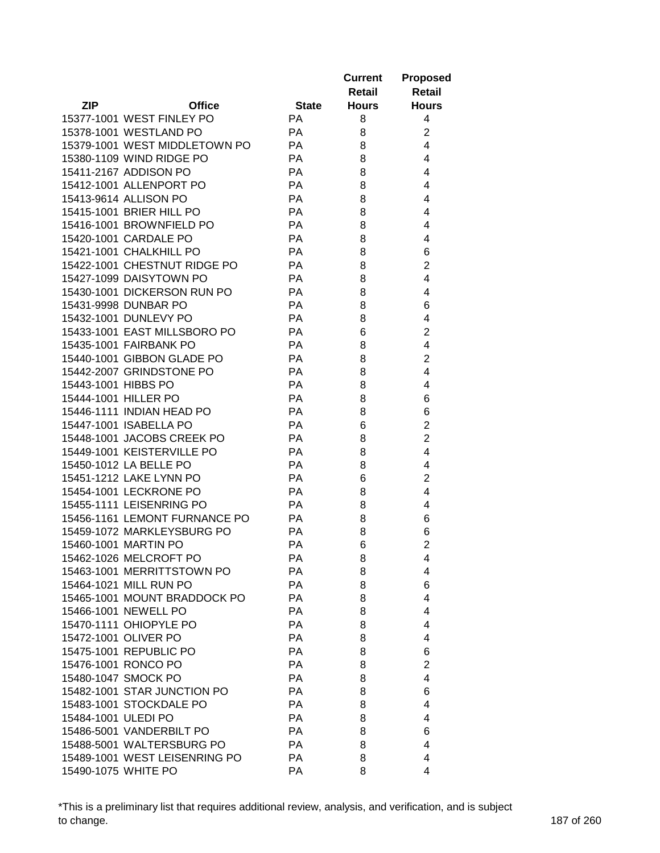|                     |                                                        |              | <b>Current</b> | <b>Proposed</b>         |
|---------------------|--------------------------------------------------------|--------------|----------------|-------------------------|
|                     |                                                        |              | Retail         | <b>Retail</b>           |
| <b>ZIP</b>          | <b>Office</b>                                          | <b>State</b> | <b>Hours</b>   | <b>Hours</b>            |
|                     | 15377-1001 WEST FINLEY PO                              | PA           | 8              | 4                       |
|                     | 15378-1001 WESTLAND PO                                 | PA           | 8              | $\overline{\mathbf{c}}$ |
|                     | 15379-1001 WEST MIDDLETOWN PO                          | PA           | 8              | $\overline{4}$          |
|                     | 15380-1109 WIND RIDGE PO                               | PA           | 8              | 4                       |
|                     | 15411-2167 ADDISON PO                                  | PA           | 8              | 4                       |
|                     | 15412-1001 ALLENPORT PO                                | PA           | 8              | 4                       |
|                     | 15413-9614 ALLISON PO                                  | PA           | 8              | 4                       |
|                     | 15415-1001 BRIER HILL PO                               | PA           | 8              | 4                       |
|                     | 15416-1001 BROWNFIELD PO                               | PA           | 8              | 4                       |
|                     | 15420-1001 CARDALE PO                                  | <b>PA</b>    | 8              | 4                       |
|                     | 15421-1001 CHALKHILL PO                                | PA           | 8              | 6                       |
|                     | 15422-1001 CHESTNUT RIDGE PO                           | PA           | 8              | $\overline{2}$          |
|                     | 15427-1099 DAISYTOWN PO                                | <b>PA</b>    | 8              | 4                       |
|                     | 15430-1001 DICKERSON RUN PO                            | <b>PA</b>    | 8              | 4                       |
|                     | 15431-9998 DUNBAR PO                                   | <b>PA</b>    | 8              | 6                       |
|                     | 15432-1001 DUNLEVY PO                                  | PA           | 8              | 4                       |
|                     | 15433-1001 EAST MILLSBORO PO                           | PA           | 6              | $\overline{c}$          |
|                     | 15435-1001 FAIRBANK PO                                 | PA           | 8              | $\overline{\mathbf{4}}$ |
|                     | 15440-1001 GIBBON GLADE PO                             | PA           | 8              | $\overline{2}$          |
|                     | 15442-2007 GRINDSTONE PO                               | PA           | 8              | $\overline{4}$          |
| 15443-1001 HIBBS PO |                                                        | PA           | 8              | 4                       |
|                     | 15444-1001 HILLER PO                                   | PA           | 8              | 6                       |
|                     | 15446-1111 INDIAN HEAD PO                              | PA           | 8              | 6                       |
|                     | 15447-1001 ISABELLA PO                                 | PA           | 6              | $\overline{2}$          |
|                     | 15448-1001 JACOBS CREEK PO                             | PA           | 8              | $\overline{c}$          |
|                     | 15449-1001 KEISTERVILLE PO                             | <b>PA</b>    | 8              | 4                       |
|                     | 15450-1012 LA BELLE PO                                 | <b>PA</b>    | 8              | 4                       |
|                     | 15451-1212 LAKE LYNN PO                                | PA           | 6              | $\overline{2}$          |
|                     | 15454-1001 LECKRONE PO                                 | <b>PA</b>    | 8              | 4                       |
|                     | 15455-1111 LEISENRING PO                               | PA           | 8              | 4                       |
|                     | 15456-1161 LEMONT FURNANCE PO                          | PA           | 8              | 6                       |
|                     | 15459-1072 MARKLEYSBURG PO                             | PA           | 8              | 6                       |
|                     | 15460-1001 MARTIN PO                                   | PA           | 6              | $\overline{2}$          |
|                     | 15462-1026 MELCROFT PO                                 | PA           | 8              | 4                       |
|                     | 15463-1001 MERRITTSTOWN PO                             | PA           | 8              | 4                       |
|                     | 15464-1021 MILL RUN PO                                 | PA           | 8              | 6                       |
|                     | 15465-1001 MOUNT BRADDOCK PO                           | PA           | 8              | $\overline{4}$          |
|                     | 15466-1001 NEWELL PO                                   | PA           | 8              | $\overline{4}$          |
|                     | 15470-1111 OHIOPYLE PO                                 | PA           | 8              | 4                       |
|                     | 15472-1001 OLIVER PO                                   | PA           | 8              | 4                       |
|                     | 15475-1001 REPUBLIC PO                                 | PA           | 8              | 6                       |
|                     | 15476-1001 RONCO PO                                    | PA           | 8              | $\overline{2}$          |
|                     | 15480-1047 SMOCK PO                                    | PA           | 8              | 4                       |
|                     |                                                        |              |                |                         |
|                     | 15482-1001 STAR JUNCTION PO<br>15483-1001 STOCKDALE PO | PA           | 8              | 6                       |
|                     |                                                        | PA           | 8              | 4                       |
| 15484-1001 ULEDI PO |                                                        | PA           | 8              | 4                       |
|                     | 15486-5001 VANDERBILT PO                               | PA           | 8              | 6                       |
|                     | 15488-5001 WALTERSBURG PO                              | PA           | 8              | 4                       |
|                     | 15489-1001 WEST LEISENRING PO                          | PA           | 8              | 4                       |
| 15490-1075 WHITE PO |                                                        | PA           | 8              | 4                       |

\*This is a preliminary list that requires additional review, analysis, and verification, and is subject to change. 187 of 260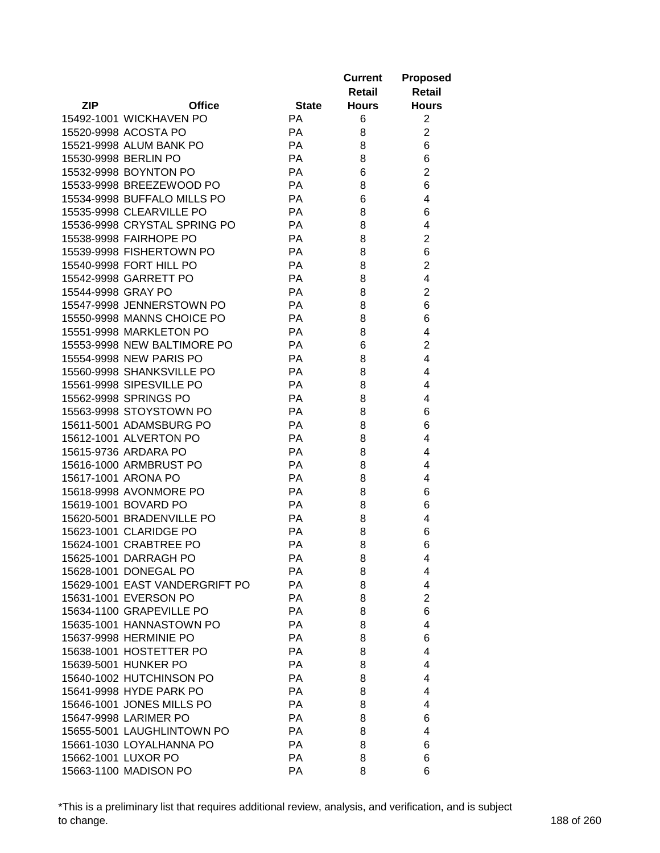|                    |                                |              | <b>Current</b><br>Retail | <b>Proposed</b><br><b>Retail</b> |
|--------------------|--------------------------------|--------------|--------------------------|----------------------------------|
| <b>ZIP</b>         | <b>Office</b>                  | <b>State</b> | <b>Hours</b>             | <b>Hours</b>                     |
|                    | 15492-1001 WICKHAVEN PO        | <b>PA</b>    | 6                        | $\overline{2}$                   |
|                    | 15520-9998 ACOSTA PO           | PA           | 8                        | $\overline{2}$                   |
|                    | 15521-9998 ALUM BANK PO        | <b>PA</b>    | 8                        | 6                                |
|                    | 15530-9998 BERLIN PO           | <b>PA</b>    | 8                        | 6                                |
|                    | 15532-9998 BOYNTON PO          | PA           | 6                        | $\overline{2}$                   |
|                    | 15533-9998 BREEZEWOOD PO       | PA           | 8                        | 6                                |
|                    | 15534-9998 BUFFALO MILLS PO    | PA           | 6                        | 4                                |
|                    | 15535-9998 CLEARVILLE PO       | PA           | 8                        | 6                                |
|                    | 15536-9998 CRYSTAL SPRING PO   | PA           | 8                        | 4                                |
|                    | 15538-9998 FAIRHOPE PO         | <b>PA</b>    | 8                        | $\overline{2}$                   |
|                    | 15539-9998 FISHERTOWN PO       | PA           | 8                        | 6                                |
|                    | 15540-9998 FORT HILL PO        | PA           | 8                        | $\overline{2}$                   |
|                    | 15542-9998 GARRETT PO          | PA           | 8                        | 4                                |
| 15544-9998 GRAY PO |                                | PA           | 8                        | $\overline{\mathbf{c}}$          |
|                    | 15547-9998 JENNERSTOWN PO      | PA           | 8                        | 6                                |
|                    | 15550-9998 MANNS CHOICE PO     | PA           | 8                        | 6                                |
|                    | 15551-9998 MARKLETON PO        | <b>PA</b>    | 8                        | 4                                |
|                    | 15553-9998 NEW BALTIMORE PO    | <b>PA</b>    | 6                        | $\overline{2}$                   |
|                    | 15554-9998 NEW PARIS PO        | PA           | 8                        | 4                                |
|                    | 15560-9998 SHANKSVILLE PO      | PA           | 8                        | 4                                |
|                    | 15561-9998 SIPESVILLE PO       | <b>PA</b>    | 8                        | 4                                |
|                    | 15562-9998 SPRINGS PO          | <b>PA</b>    | 8                        | 4                                |
|                    | 15563-9998 STOYSTOWN PO        | PA           | 8                        | 6                                |
|                    | 15611-5001 ADAMSBURG PO        | <b>PA</b>    | 8                        | 6                                |
|                    | 15612-1001 ALVERTON PO         | <b>PA</b>    | 8                        | 4                                |
|                    | 15615-9736 ARDARA PO           | <b>PA</b>    | 8                        | 4                                |
|                    | 15616-1000 ARMBRUST PO         | PA           | 8                        | 4                                |
|                    | 15617-1001 ARONA PO            | <b>PA</b>    | 8                        | 4                                |
|                    | 15618-9998 AVONMORE PO         | <b>PA</b>    | 8                        | 6                                |
|                    | 15619-1001 BOVARD PO           | <b>PA</b>    | 8                        | 6                                |
|                    | 15620-5001 BRADENVILLE PO      | PA           | 8                        | 4                                |
|                    | 15623-1001 CLARIDGE PO         | <b>PA</b>    | 8                        | 6                                |
|                    | 15624-1001 CRABTREE PO         | <b>PA</b>    | 8                        | 6                                |
|                    | 15625-1001 DARRAGH PO          | РA           | 8                        | 4                                |
|                    | 15628-1001 DONEGAL PO          | PA           | 8                        | 4                                |
|                    | 15629-1001 EAST VANDERGRIFT PO | PA           | 8                        | 4                                |
|                    | 15631-1001 EVERSON PO          | PA           | 8                        | $\overline{2}$                   |
|                    | 15634-1100 GRAPEVILLE PO       | PA           | 8                        | 6                                |
|                    | 15635-1001 HANNASTOWN PO       | <b>PA</b>    | 8                        | 4                                |
|                    | 15637-9998 HERMINIE PO         | PA           | 8                        | 6                                |
|                    | 15638-1001 HOSTETTER PO        | PA           | 8                        | 4                                |
|                    | 15639-5001 HUNKER PO           | <b>PA</b>    | 8                        | 4                                |
|                    | 15640-1002 HUTCHINSON PO       | <b>PA</b>    | 8                        | 4                                |
|                    | 15641-9998 HYDE PARK PO        | PA           | 8                        | 4                                |
|                    | 15646-1001 JONES MILLS PO      | <b>PA</b>    | 8                        | 4                                |
|                    | 15647-9998 LARIMER PO          | <b>PA</b>    | 8                        | 6                                |
|                    | 15655-5001 LAUGHLINTOWN PO     | <b>PA</b>    | 8                        | 4                                |
|                    | 15661-1030 LOYALHANNA PO       | PA           | 8                        | 6                                |
|                    | 15662-1001 LUXOR PO            | PA           | 8                        | 6                                |
|                    | 15663-1100 MADISON PO          | PA           | 8                        | 6                                |
|                    |                                |              |                          |                                  |

\*This is a preliminary list that requires additional review, analysis, and verification, and is subject to change. 188 of 260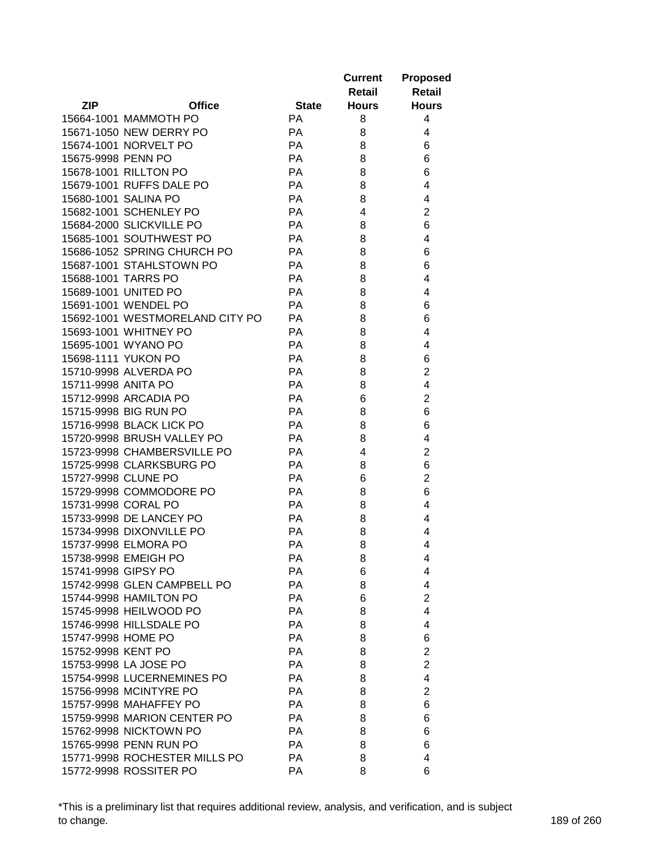|                     |                                 |              | <b>Current</b> | <b>Proposed</b> |
|---------------------|---------------------------------|--------------|----------------|-----------------|
|                     |                                 |              | Retail         | <b>Retail</b>   |
| <b>ZIP</b>          | <b>Office</b>                   | <b>State</b> | <b>Hours</b>   | <b>Hours</b>    |
|                     | 15664-1001 MAMMOTH PO           | <b>PA</b>    | 8              | 4               |
|                     | 15671-1050 NEW DERRY PO         | PA           | 8              | 4               |
|                     | 15674-1001 NORVELT PO           | PA           | 8              | 6               |
| 15675-9998 PENN PO  |                                 | PA           | 8              | 6               |
|                     | 15678-1001 RILLTON PO           | <b>PA</b>    | 8              | 6               |
|                     | 15679-1001 RUFFS DALE PO        | <b>PA</b>    | 8              | 4               |
|                     | 15680-1001 SALINA PO            | <b>PA</b>    | 8              | 4               |
|                     | 15682-1001 SCHENLEY PO          | PA           | 4              | $\overline{2}$  |
|                     | 15684-2000 SLICKVILLE PO        | PA           | 8              | 6               |
|                     | 15685-1001 SOUTHWEST PO         | PA           | 8              | 4               |
|                     | 15686-1052 SPRING CHURCH PO     | PA           | 8              | 6               |
|                     | 15687-1001 STAHLSTOWN PO        | PA           | 8              | 6               |
| 15688-1001 TARRS PO |                                 | PA           | 8              | 4               |
|                     |                                 | PA           |                |                 |
|                     | 15689-1001 UNITED PO            |              | 8              | 4               |
|                     | 15691-1001 WENDEL PO            | PA           | 8              | 6               |
|                     | 15692-1001 WESTMORELAND CITY PO | PA           | 8              | 6               |
|                     | 15693-1001 WHITNEY PO           | PA           | 8              | 4               |
|                     | 15695-1001 WYANO PO             | PA           | 8              | 4               |
|                     | 15698-1111 YUKON PO             | PA           | 8              | 6               |
|                     | 15710-9998 ALVERDA PO           | PA           | 8              | $\overline{2}$  |
| 15711-9998 ANITA PO |                                 | PA           | 8              | 4               |
|                     | 15712-9998 ARCADIA PO           | PA           | 6              | $\overline{2}$  |
|                     | 15715-9998 BIG RUN PO           | PA           | 8              | 6               |
|                     | 15716-9998 BLACK LICK PO        | PA           | 8              | 6               |
|                     | 15720-9998 BRUSH VALLEY PO      | PA           | 8              | 4               |
|                     | 15723-9998 CHAMBERSVILLE PO     | PA           | 4              | $\overline{2}$  |
|                     | 15725-9998 CLARKSBURG PO        | PA           | 8              | 6               |
| 15727-9998 CLUNE PO |                                 | PA           | 6              | $\overline{2}$  |
|                     | 15729-9998 COMMODORE PO         | PA           | 8              | 6               |
| 15731-9998 CORAL PO |                                 | PA           | 8              | 4               |
|                     | 15733-9998 DE LANCEY PO         | PA           | 8              | 4               |
|                     | 15734-9998 DIXONVILLE PO        | PA           | 8              | 4               |
|                     | 15737-9998 ELMORA PO            | PA           | 8              | 4               |
|                     | 15738-9998 EMEIGH PO            | PA           | 8              | 4               |
| 15741-9998 GIPSY PO |                                 | РA           | 6              | 4               |
|                     | 15742-9998 GLEN CAMPBELL PO     | PA           | 8              | 4               |
|                     | 15744-9998 HAMILTON PO          | PA           | 6              | $\overline{2}$  |
|                     | 15745-9998 HEILWOOD PO          | PA           | 8              | 4               |
|                     | 15746-9998 HILLSDALE PO         | PA           | 8              | 4               |
| 15747-9998 HOME PO  |                                 | PA           | 8              | 6               |
| 15752-9998 KENT PO  |                                 | PA           | 8              | $\overline{2}$  |
|                     | 15753-9998 LA JOSE PO           | PA           | 8              | $\overline{2}$  |
|                     | 15754-9998 LUCERNEMINES PO      | PA           | 8              | 4               |
|                     | 15756-9998 MCINTYRE PO          | PA           | 8              | $\overline{2}$  |
|                     | 15757-9998 MAHAFFEY PO          | PA           | 8              | 6               |
|                     | 15759-9998 MARION CENTER PO     | PA           | 8              | 6               |
|                     | 15762-9998 NICKTOWN PO          | PA           | 8              | 6               |
|                     | 15765-9998 PENN RUN PO          | PA           | 8              | 6               |
|                     | 15771-9998 ROCHESTER MILLS PO   | PA           | 8              | 4               |
|                     | 15772-9998 ROSSITER PO          | PA           | 8              | 6               |
|                     |                                 |              |                |                 |

\*This is a preliminary list that requires additional review, analysis, and verification, and is subject to change. 189 of 260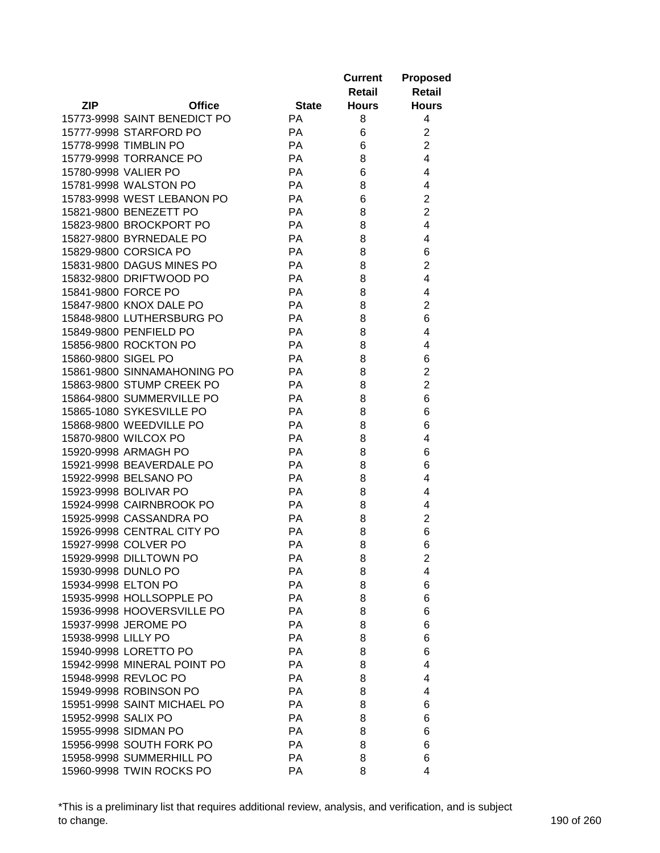|                     |                              |              | <b>Current</b><br>Retail | <b>Proposed</b><br><b>Retail</b> |
|---------------------|------------------------------|--------------|--------------------------|----------------------------------|
| <b>ZIP</b>          | <b>Office</b>                | <b>State</b> | <b>Hours</b>             | <b>Hours</b>                     |
|                     | 15773-9998 SAINT BENEDICT PO | PA           | 8                        | 4                                |
|                     | 15777-9998 STARFORD PO       | PA           | 6                        | $\overline{2}$                   |
|                     | 15778-9998 TIMBLIN PO        | PA           | 6                        | $\overline{2}$                   |
|                     | 15779-9998 TORRANCE PO       | PA           | 8                        | 4                                |
|                     | 15780-9998 VALIER PO         | PA           | 6                        | 4                                |
|                     | 15781-9998 WALSTON PO        | PA           | 8                        | 4                                |
|                     | 15783-9998 WEST LEBANON PO   | PA           | 6                        | $\overline{2}$                   |
|                     | 15821-9800 BENEZETT PO       | PA           | 8                        | $\overline{2}$                   |
|                     | 15823-9800 BROCKPORT PO      | <b>PA</b>    | 8                        | 4                                |
|                     | 15827-9800 BYRNEDALE PO      | <b>PA</b>    | 8                        | 4                                |
|                     | 15829-9800 CORSICA PO        | PA           | 8                        | 6                                |
|                     | 15831-9800 DAGUS MINES PO    | PA           | 8                        | $\overline{2}$                   |
|                     | 15832-9800 DRIFTWOOD PO      | PA           | 8                        | 4                                |
|                     | 15841-9800 FORCE PO          | PA           | 8                        | 4                                |
|                     | 15847-9800 KNOX DALE PO      | PA           | 8                        | $\overline{2}$                   |
|                     | 15848-9800 LUTHERSBURG PO    | PA           | 8                        | 6                                |
|                     | 15849-9800 PENFIELD PO       | <b>PA</b>    | 8                        | 4                                |
|                     | 15856-9800 ROCKTON PO        | <b>PA</b>    | 8                        | 4                                |
| 15860-9800 SIGEL PO |                              | PA           | 8                        | 6                                |
|                     | 15861-9800 SINNAMAHONING PO  | PA           | 8                        | $\overline{2}$                   |
|                     | 15863-9800 STUMP CREEK PO    | PA           | 8                        | $\overline{2}$                   |
|                     |                              | <b>PA</b>    |                          | 6                                |
|                     | 15864-9800 SUMMERVILLE PO    | PA           | 8                        |                                  |
|                     | 15865-1080 SYKESVILLE PO     |              | 8                        | 6                                |
|                     | 15868-9800 WEEDVILLE PO      | <b>PA</b>    | 8                        | 6                                |
|                     | 15870-9800 WILCOX PO         | <b>PA</b>    | 8                        | 4                                |
|                     | 15920-9998 ARMAGH PO         | <b>PA</b>    | 8                        | 6                                |
|                     | 15921-9998 BEAVERDALE PO     | PA           | 8                        | 6                                |
|                     | 15922-9998 BELSANO PO        | PA           | 8                        | 4                                |
|                     | 15923-9998 BOLIVAR PO        | <b>PA</b>    | 8                        | 4                                |
|                     | 15924-9998 CAIRNBROOK PO     | <b>PA</b>    | 8                        | 4                                |
|                     | 15925-9998 CASSANDRA PO      | PA           | 8                        | $\overline{2}$                   |
|                     | 15926-9998 CENTRAL CITY PO   | <b>PA</b>    | 8                        | 6                                |
|                     | 15927-9998 COLVER PO         | <b>PA</b>    | 8                        | 6                                |
|                     | 15929-9998 DILLTOWN PO       | РA           | 8                        | 2                                |
| 15934-9998 ELTON PO | 15930-9998 DUNLO PO          | PA           | 8                        | 4                                |
|                     |                              | PA           | 8                        | 6                                |
|                     | 15935-9998 HOLLSOPPLE PO     | PA           | 8                        | 6                                |
|                     | 15936-9998 HOOVERSVILLE PO   | PA           | 8                        | 6                                |
|                     | 15937-9998 JEROME PO         | PA           | 8                        | 6                                |
| 15938-9998 LILLY PO |                              | PA           | 8                        | 6                                |
|                     | 15940-9998 LORETTO PO        | PA           | 8                        | 6                                |
|                     | 15942-9998 MINERAL POINT PO  | <b>PA</b>    | 8                        | 4                                |
|                     | 15948-9998 REVLOC PO         | <b>PA</b>    | 8                        | 4                                |
|                     | 15949-9998 ROBINSON PO       | PA           | 8                        | 4                                |
|                     | 15951-9998 SAINT MICHAEL PO  | PA           | 8                        | 6                                |
| 15952-9998 SALIX PO |                              | PA           | 8                        | 6                                |
|                     | 15955-9998 SIDMAN PO         | PA           | 8                        | 6                                |
|                     | 15956-9998 SOUTH FORK PO     | PA           | 8                        | 6                                |
|                     | 15958-9998 SUMMERHILL PO     | PA           | 8                        | 6                                |
|                     | 15960-9998 TWIN ROCKS PO     | PA           | 8                        | 4                                |

\*This is a preliminary list that requires additional review, analysis, and verification, and is subject to change. 190 of 260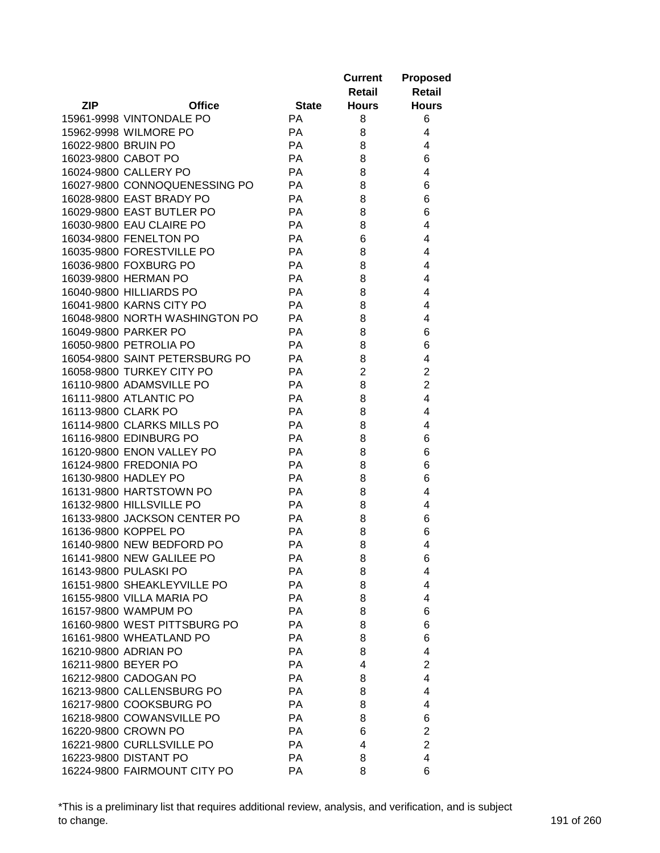|                     |                                |              | <b>Current</b> | <b>Proposed</b>         |
|---------------------|--------------------------------|--------------|----------------|-------------------------|
|                     |                                |              | <b>Retail</b>  | <b>Retail</b>           |
| <b>ZIP</b>          | <b>Office</b>                  | <b>State</b> | <b>Hours</b>   | <b>Hours</b>            |
|                     | 15961-9998 VINTONDALE PO       | <b>PA</b>    | 8              | 6                       |
|                     | 15962-9998 WILMORE PO          | PA           | 8              | 4                       |
| 16022-9800 BRUIN PO |                                | PA           | 8              | 4                       |
|                     | 16023-9800 CABOT PO            | PA           | 8              | 6                       |
|                     | 16024-9800 CALLERY PO          | <b>PA</b>    | 8              | 4                       |
|                     | 16027-9800 CONNOQUENESSING PO  | <b>PA</b>    | 8              | 6                       |
|                     | 16028-9800 EAST BRADY PO       | <b>PA</b>    | 8              | 6                       |
|                     | 16029-9800 EAST BUTLER PO      | PA           | 8              | 6                       |
|                     | 16030-9800 EAU CLAIRE PO       | PA           | 8              | 4                       |
|                     | 16034-9800 FENELTON PO         | PA           | 6              | 4                       |
|                     | 16035-9800 FORESTVILLE PO      | PA           | 8              | 4                       |
|                     | 16036-9800 FOXBURG PO          | PA           | 8              | 4                       |
|                     | 16039-9800 HERMAN PO           | PA           | 8              | 4                       |
|                     | 16040-9800 HILLIARDS PO        | PA           | 8              | 4                       |
|                     | 16041-9800 KARNS CITY PO       | PA           | 8              | 4                       |
|                     | 16048-9800 NORTH WASHINGTON PO | PA           | 8              | 4                       |
|                     |                                | PA           | 8              | 6                       |
|                     | 16049-9800 PARKER PO           |              |                |                         |
|                     | 16050-9800 PETROLIA PO         | PA           | 8              | 6                       |
|                     | 16054-9800 SAINT PETERSBURG PO | PA           | 8              | 4                       |
|                     | 16058-9800 TURKEY CITY PO      | PA           | $\overline{2}$ | $\overline{2}$          |
|                     | 16110-9800 ADAMSVILLE PO       | PA           | 8              | $\overline{c}$          |
|                     | 16111-9800 ATLANTIC PO         | PA           | 8              | $\overline{\mathbf{4}}$ |
| 16113-9800 CLARK PO |                                | PA           | 8              | 4                       |
|                     | 16114-9800 CLARKS MILLS PO     | PA           | 8              | 4                       |
|                     | 16116-9800 EDINBURG PO         | PA           | 8              | 6                       |
|                     | 16120-9800 ENON VALLEY PO      | PA           | 8              | 6                       |
|                     | 16124-9800 FREDONIA PO         | PA           | 8              | 6                       |
|                     | 16130-9800 HADLEY PO           | PA           | 8              | 6                       |
|                     | 16131-9800 HARTSTOWN PO        | PA           | 8              | 4                       |
|                     | 16132-9800 HILLSVILLE PO       | PA           | 8              | 4                       |
|                     | 16133-9800 JACKSON CENTER PO   | PA           | 8              | 6                       |
|                     | 16136-9800 KOPPEL PO           | PA           | 8              | 6                       |
|                     | 16140-9800 NEW BEDFORD PO      | PA           | 8              | 4                       |
|                     | 16141-9800 NEW GALILEE PO      | PA           | 8              | 6                       |
|                     | 16143-9800 PULASKI PO          | РA           | 8              | 4                       |
|                     | 16151-9800 SHEAKLEYVILLE PO    | PA           | 8              | 4                       |
|                     | 16155-9800 VILLA MARIA PO      | PA           | 8              | 4                       |
|                     | 16157-9800 WAMPUM PO           | PA           | 8              | 6                       |
|                     | 16160-9800 WEST PITTSBURG PO   | PA           | 8              | 6                       |
|                     | 16161-9800 WHEATLAND PO        | <b>PA</b>    | 8              | 6                       |
|                     | 16210-9800 ADRIAN PO           | PA           | 8              | 4                       |
| 16211-9800 BEYER PO |                                | PA           | 4              | $\overline{2}$          |
|                     | 16212-9800 CADOGAN PO          | PA           | 8              | 4                       |
|                     | 16213-9800 CALLENSBURG PO      | PA           | 8              | 4                       |
|                     | 16217-9800 COOKSBURG PO        | PA           | 8              | 4                       |
|                     | 16218-9800 COWANSVILLE PO      | PA           | 8              | 6                       |
|                     | 16220-9800 CROWN PO            | PA           | 6              | $\overline{c}$          |
|                     | 16221-9800 CURLLSVILLE PO      | PA           | 4              | $\overline{2}$          |
|                     | 16223-9800 DISTANT PO          | PA           | 8              | 4                       |
|                     | 16224-9800 FAIRMOUNT CITY PO   | PA           | 8              | 6                       |

\*This is a preliminary list that requires additional review, analysis, and verification, and is subject to change. 191 of 260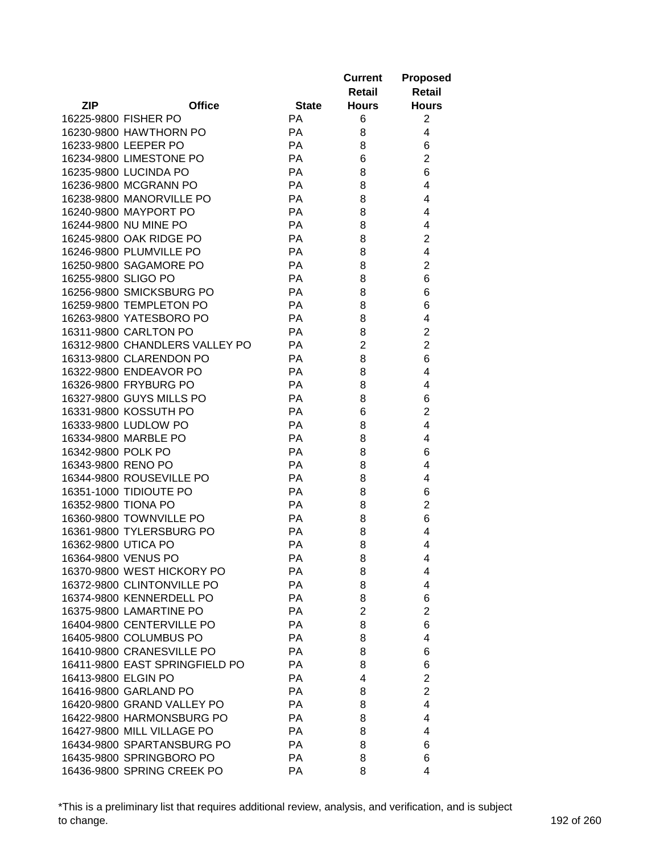|                     |                                                 |              | <b>Current</b> | <b>Proposed</b>     |
|---------------------|-------------------------------------------------|--------------|----------------|---------------------|
|                     |                                                 |              | Retail         | <b>Retail</b>       |
| <b>ZIP</b>          | <b>Office</b>                                   | <b>State</b> | <b>Hours</b>   | <b>Hours</b>        |
|                     | 16225-9800 FISHER PO                            | <b>PA</b>    | 6              | $\overline{2}$      |
|                     | 16230-9800 HAWTHORN PO                          | PA           | 8              | 4                   |
|                     | 16233-9800 LEEPER PO                            | PA           | 8              | 6                   |
|                     | 16234-9800 LIMESTONE PO                         | PA           | 6              | $\overline{c}$      |
|                     | 16235-9800 LUCINDA PO                           | PA           | 8              | 6                   |
|                     | 16236-9800 MCGRANN PO                           | <b>PA</b>    | 8              | 4                   |
|                     | 16238-9800 MANORVILLE PO                        | <b>PA</b>    | 8              | 4                   |
|                     | 16240-9800 MAYPORT PO                           | PA           | 8              | 4                   |
|                     | 16244-9800 NU MINE PO                           | PA           | 8              | 4                   |
|                     | 16245-9800 OAK RIDGE PO                         | PA           | 8              | $\overline{2}$      |
|                     | 16246-9800 PLUMVILLE PO                         | PA           | 8              | 4                   |
|                     | 16250-9800 SAGAMORE PO                          | PA           | 8              | $\overline{2}$      |
| 16255-9800 SLIGO PO |                                                 | PA           | 8              | 6                   |
|                     | 16256-9800 SMICKSBURG PO                        | PA           | 8              | 6                   |
|                     | 16259-9800 TEMPLETON PO                         | PA           | 8              | 6                   |
|                     | 16263-9800 YATESBORO PO                         | PA           | 8              | 4                   |
|                     | 16311-9800 CARLTON PO                           | PA           | 8              | $\overline{2}$      |
|                     | 16312-9800 CHANDLERS VALLEY PO                  | PA           | $\overline{2}$ | $\overline{2}$      |
|                     | 16313-9800 CLARENDON PO                         | <b>PA</b>    | 8              | 6                   |
|                     |                                                 | PA           | 8              | 4                   |
|                     | 16322-9800 ENDEAVOR PO<br>16326-9800 FRYBURG PO | PA           | 8              | 4                   |
|                     |                                                 | PA           |                |                     |
|                     | 16327-9800 GUYS MILLS PO                        |              | 8              | 6                   |
|                     | 16331-9800 KOSSUTH PO                           | PA<br>PA     | 6              | $\overline{2}$<br>4 |
|                     | 16333-9800 LUDLOW PO<br>16334-9800 MARBLE PO    | PA           | 8              | 4                   |
| 16342-9800 POLK PO  |                                                 | PA           | 8<br>8         | 6                   |
| 16343-9800 RENO PO  |                                                 | PA           | 8              | 4                   |
|                     | 16344-9800 ROUSEVILLE PO                        | PA           |                | 4                   |
|                     | 16351-1000 TIDIOUTE PO                          |              | 8              |                     |
|                     |                                                 | PA           | 8              | 6                   |
| 16352-9800 TIONA PO |                                                 | PA           | 8              | $\overline{2}$      |
|                     | 16360-9800 TOWNVILLE PO                         | PA           | 8              | 6                   |
|                     | 16361-9800 TYLERSBURG PO                        | PA           | 8              | 4                   |
| 16362-9800 UTICA PO |                                                 | PA           | 8              | 4                   |
|                     | 16364-9800 VENUS PO                             | PA           | 8              | 4                   |
|                     | 16370-9800 WEST HICKORY PO                      | РA           | 8              | 4                   |
|                     | 16372-9800 CLINTONVILLE PO                      | PA           | 8              | 4                   |
|                     | 16374-9800 KENNERDELL PO                        | PA           | 8              | 6                   |
|                     | 16375-9800 LAMARTINE PO                         | PA           | $\overline{2}$ | $\overline{2}$      |
|                     | 16404-9800 CENTERVILLE PO                       | PA           | 8              | 6                   |
|                     | 16405-9800 COLUMBUS PO                          | PA           | 8              | 4                   |
|                     | 16410-9800 CRANESVILLE PO                       | PA           | 8              | 6                   |
|                     | 16411-9800 EAST SPRINGFIELD PO                  | PA           | 8              | 6                   |
| 16413-9800 ELGIN PO |                                                 | PA           | 4              | $\overline{2}$      |
|                     | 16416-9800 GARLAND PO                           | PA           | 8              | $\overline{2}$      |
|                     | 16420-9800 GRAND VALLEY PO                      | PA           | 8              | 4                   |
|                     | 16422-9800 HARMONSBURG PO                       | PA           | 8              | 4                   |
|                     | 16427-9800 MILL VILLAGE PO                      | PA           | 8              | 4                   |
|                     | 16434-9800 SPARTANSBURG PO                      | PA           | 8              | 6                   |
|                     | 16435-9800 SPRINGBORO PO                        | PA           | 8              | 6                   |
|                     | 16436-9800 SPRING CREEK PO                      | PA           | 8              | 4                   |

\*This is a preliminary list that requires additional review, analysis, and verification, and is subject to change. 192 of 260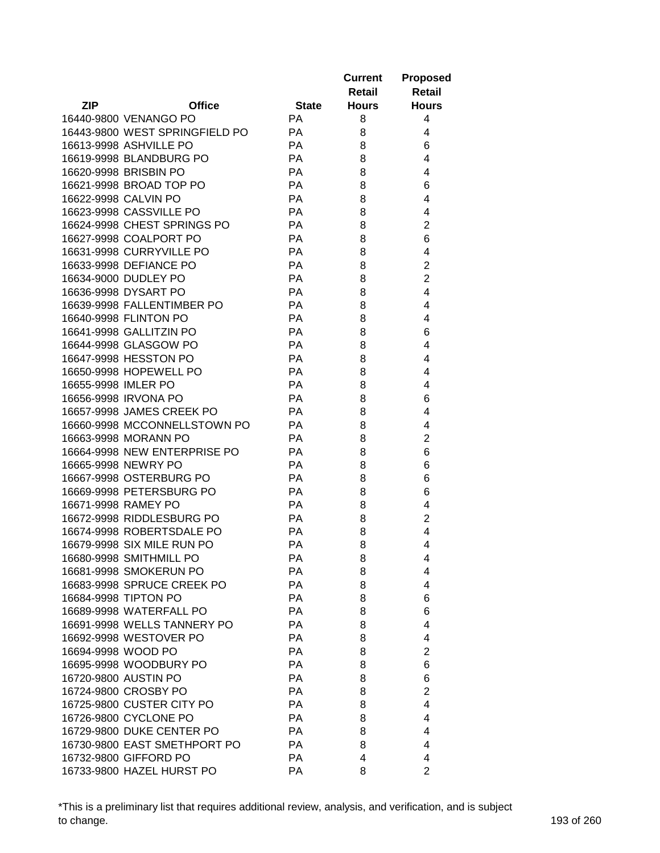|                     |                                                   |              | <b>Current</b><br>Retail | <b>Proposed</b><br><b>Retail</b> |
|---------------------|---------------------------------------------------|--------------|--------------------------|----------------------------------|
| <b>ZIP</b>          | <b>Office</b>                                     | <b>State</b> | <b>Hours</b>             | <b>Hours</b>                     |
|                     | 16440-9800 VENANGO PO                             | <b>PA</b>    | 8                        | 4                                |
|                     | 16443-9800 WEST SPRINGFIELD PO                    | <b>PA</b>    | 8                        | 4                                |
|                     | 16613-9998 ASHVILLE PO                            | <b>PA</b>    | 8                        | 6                                |
|                     | 16619-9998 BLANDBURG PO                           | PA           | 8                        | 4                                |
|                     | 16620-9998 BRISBIN PO                             | PA           | 8                        | 4                                |
|                     | 16621-9998 BROAD TOP PO                           | PA           | 8                        | 6                                |
|                     | 16622-9998 CALVIN PO                              | PA           | 8                        | 4                                |
|                     | 16623-9998 CASSVILLE PO                           | PA           | 8                        | 4                                |
|                     | 16624-9998 CHEST SPRINGS PO                       | PA           | 8                        | $\overline{2}$                   |
|                     | 16627-9998 COALPORT PO                            | <b>PA</b>    | 8                        | 6                                |
|                     | 16631-9998 CURRYVILLE PO                          | PA           | 8                        | 4                                |
|                     | 16633-9998 DEFIANCE PO                            | PA           | 8                        | $\overline{2}$                   |
|                     | 16634-9000 DUDLEY PO                              | PA           | 8                        | $\overline{2}$                   |
|                     | 16636-9998 DYSART PO                              | PA           | 8                        | 4                                |
|                     | 16639-9998 FALLENTIMBER PO                        | PA           | 8                        | 4                                |
|                     | 16640-9998 FLINTON PO                             | PA           | 8                        | 4                                |
|                     | 16641-9998 GALLITZIN PO                           | PA           | 8                        | 6                                |
|                     | 16644-9998 GLASGOW PO                             | PA           | 8                        | 4                                |
|                     | 16647-9998 HESSTON PO                             | PA           | 8                        | 4                                |
|                     | 16650-9998 HOPEWELL PO                            | PA           | 8                        | 4                                |
| 16655-9998 IMLER PO |                                                   | PA           | 8                        | 4                                |
|                     | 16656-9998 IRVONA PO                              | PA           | 8                        | 6                                |
|                     | 16657-9998 JAMES CREEK PO                         | <b>PA</b>    | 8                        | 4                                |
|                     | 16660-9998 MCCONNELLSTOWN PO                      | <b>PA</b>    | 8                        | 4                                |
|                     | 16663-9998 MORANN PO                              | <b>PA</b>    | 8                        | 2                                |
|                     | 16664-9998 NEW ENTERPRISE PO                      | <b>PA</b>    | 8                        | 6                                |
|                     | 16665-9998 NEWRY PO                               | <b>PA</b>    | 8                        | 6                                |
|                     | 16667-9998 OSTERBURG PO                           | PA           | 8                        | 6                                |
|                     | 16669-9998 PETERSBURG PO                          | PA           | 8                        | 6                                |
|                     | 16671-9998 RAMEY PO                               | <b>PA</b>    | 8                        | 4                                |
|                     | 16672-9998 RIDDLESBURG PO                         | <b>PA</b>    | 8                        | $\overline{2}$                   |
|                     | 16674-9998 ROBERTSDALE PO                         | <b>PA</b>    | 8                        | 4                                |
|                     | 16679-9998 SIX MILE RUN PO                        | PA           | 8                        | 4                                |
|                     | 16680-9998 SMITHMILL PO                           | РA           | 8                        | 4                                |
|                     | 16681-9998 SMOKERUN PO                            | PA           | 8                        | 4                                |
|                     | 16683-9998 SPRUCE CREEK PO                        | PA           | 8                        | 4                                |
|                     | 16684-9998 TIPTON PO                              | PA           | 8                        | 6                                |
|                     | 16689-9998 WATERFALL PO                           | PA           | 8                        | 6                                |
|                     | 16691-9998 WELLS TANNERY PO                       | PA           | 8                        | 4                                |
|                     | 16692-9998 WESTOVER PO                            | PA           | 8                        | 4                                |
| 16694-9998 WOOD PO  |                                                   | PA           | 8                        | 2                                |
|                     | 16695-9998 WOODBURY PO                            | PA           | 8                        | 6                                |
|                     | 16720-9800 AUSTIN PO                              | <b>PA</b>    |                          | 6                                |
|                     |                                                   |              | 8                        |                                  |
|                     | 16724-9800 CROSBY PO<br>16725-9800 CUSTER CITY PO | <b>PA</b>    | 8                        | $\overline{2}$<br>4              |
|                     |                                                   | PA           | 8                        |                                  |
|                     | 16726-9800 CYCLONE PO                             | PA           | 8                        | 4                                |
|                     | 16729-9800 DUKE CENTER PO                         | PA           | 8                        | 4                                |
|                     | 16730-9800 EAST SMETHPORT PO                      | PA           | 8                        | 4                                |
|                     | 16732-9800 GIFFORD PO                             | PA           | 4                        | 4                                |
|                     | 16733-9800 HAZEL HURST PO                         | PA           | 8                        | $\overline{2}$                   |

\*This is a preliminary list that requires additional review, analysis, and verification, and is subject to change. 193 of 260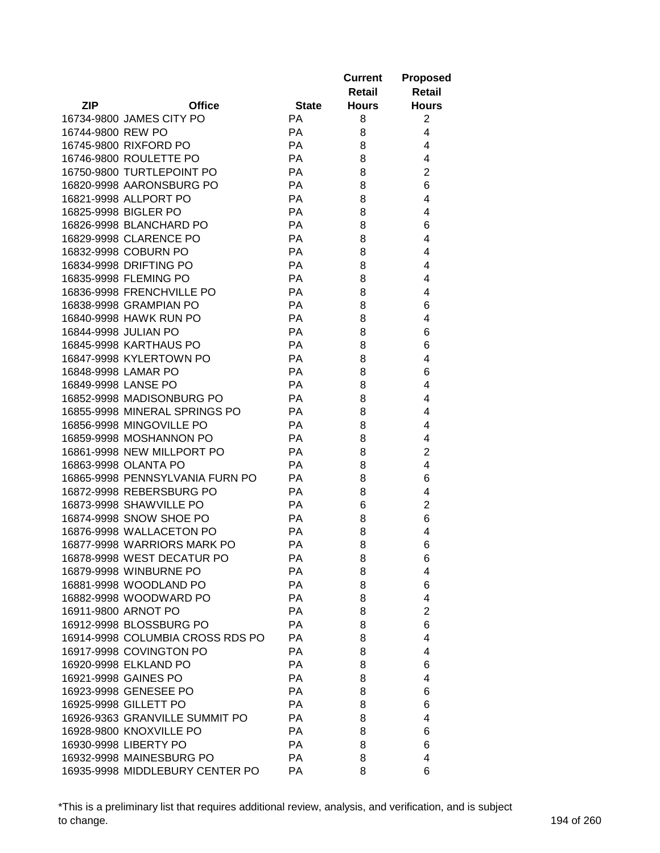|                      |                                                    |              | <b>Current</b><br>Retail | <b>Proposed</b><br>Retail |
|----------------------|----------------------------------------------------|--------------|--------------------------|---------------------------|
| <b>ZIP</b>           | <b>Office</b>                                      | <b>State</b> | <b>Hours</b>             | <b>Hours</b>              |
|                      | 16734-9800 JAMES CITY PO                           | <b>PA</b>    | 8                        | $\overline{2}$            |
| 16744-9800 REW PO    |                                                    | <b>PA</b>    | 8                        | 4                         |
|                      | 16745-9800 RIXFORD PO                              | <b>PA</b>    | 8                        | 4                         |
|                      | 16746-9800 ROULETTE PO                             | <b>PA</b>    | 8                        | 4                         |
|                      | 16750-9800 TURTLEPOINT PO                          | PA           | 8                        | $\overline{2}$            |
|                      | 16820-9998 AARONSBURG PO                           | PA           | 8                        | 6                         |
|                      | 16821-9998 ALLPORT PO                              | PA           | 8                        | 4                         |
|                      | 16825-9998 BIGLER PO                               | PA           | 8                        | 4                         |
|                      | 16826-9998 BLANCHARD PO                            | <b>PA</b>    | 8                        | 6                         |
|                      | 16829-9998 CLARENCE PO                             | PA           | 8                        | 4                         |
|                      | 16832-9998 COBURN PO                               | PA           | 8                        | 4                         |
|                      | 16834-9998 DRIFTING PO                             | PA           | 8                        | 4                         |
|                      | 16835-9998 FLEMING PO                              | PA           | 8                        | 4                         |
|                      | 16836-9998 FRENCHVILLE PO                          | PA           | 8                        | 4                         |
|                      | 16838-9998 GRAMPIAN PO                             | PA           | 8                        | 6                         |
|                      | 16840-9998 HAWK RUN PO                             | PA           | 8                        | 4                         |
| 16844-9998 JULIAN PO |                                                    | <b>PA</b>    | 8                        | 6                         |
|                      | 16845-9998 KARTHAUS PO                             | <b>PA</b>    | 8                        | 6                         |
|                      | 16847-9998 KYLERTOWN PO                            | PA           | 8                        | 4                         |
| 16848-9998 LAMAR PO  |                                                    | <b>PA</b>    | 8                        | 6                         |
| 16849-9998 LANSE PO  |                                                    | <b>PA</b>    | 8                        | 4                         |
|                      | 16852-9998 MADISONBURG PO                          | <b>PA</b>    | 8                        | 4                         |
|                      | 16855-9998 MINERAL SPRINGS PO                      | <b>PA</b>    | 8                        | 4                         |
|                      | 16856-9998 MINGOVILLE PO                           | <b>PA</b>    | 8                        | 4                         |
|                      | 16859-9998 MOSHANNON PO                            | <b>PA</b>    | 8                        | 4                         |
|                      | 16861-9998 NEW MILLPORT PO                         | <b>PA</b>    | 8                        | 2                         |
|                      | 16863-9998 OLANTA PO                               | <b>PA</b>    | 8                        | 4                         |
|                      | 16865-9998 PENNSYLVANIA FURN PO                    | <b>PA</b>    | 8                        |                           |
|                      | 16872-9998 REBERSBURG PO                           | <b>PA</b>    | 8                        | 6<br>4                    |
|                      |                                                    | <b>PA</b>    |                          |                           |
|                      | 16873-9998 SHAWVILLE PO<br>16874-9998 SNOW SHOE PO |              | 6                        | 2                         |
|                      |                                                    | PA           | 8                        | 6                         |
|                      | 16876-9998 WALLACETON PO                           | <b>PA</b>    | 8                        | 4                         |
|                      | 16877-9998 WARRIORS MARK PO                        | <b>PA</b>    | 8                        | 6                         |
|                      | 16878-9998 WEST DECATUR PO                         | РA           | 8                        | 6                         |
|                      | 16879-9998 WINBURNE PO                             | PA           | 8                        | 4                         |
|                      | 16881-9998 WOODLAND PO                             | PA           | 8                        | 6                         |
|                      | 16882-9998 WOODWARD PO                             | PA           | 8                        | 4                         |
|                      | 16911-9800 ARNOT PO                                | <b>PA</b>    | 8                        | $\overline{2}$            |
|                      | 16912-9998 BLOSSBURG PO                            | <b>PA</b>    | 8                        | 6                         |
|                      | 16914-9998 COLUMBIA CROSS RDS PO                   | PA           | 8                        | 4                         |
|                      | 16917-9998 COVINGTON PO                            | <b>PA</b>    | 8                        | 4                         |
|                      | 16920-9998 ELKLAND PO                              | <b>PA</b>    | 8                        | 6                         |
|                      | 16921-9998 GAINES PO                               | <b>PA</b>    | 8                        | 4                         |
|                      | 16923-9998 GENESEE PO                              | PA           | 8                        | 6                         |
|                      | 16925-9998 GILLETT PO                              | <b>PA</b>    | 8                        | 6                         |
|                      | 16926-9363 GRANVILLE SUMMIT PO                     | <b>PA</b>    | 8                        | 4                         |
|                      | 16928-9800 KNOXVILLE PO                            | <b>PA</b>    | 8                        | 6                         |
|                      | 16930-9998 LIBERTY PO                              | PA           | 8                        | 6                         |
|                      | 16932-9998 MAINESBURG PO                           | PA           | 8                        | 4                         |
|                      | 16935-9998 MIDDLEBURY CENTER PO                    | PA           | 8                        | 6                         |

\*This is a preliminary list that requires additional review, analysis, and verification, and is subject to change. 194 of 260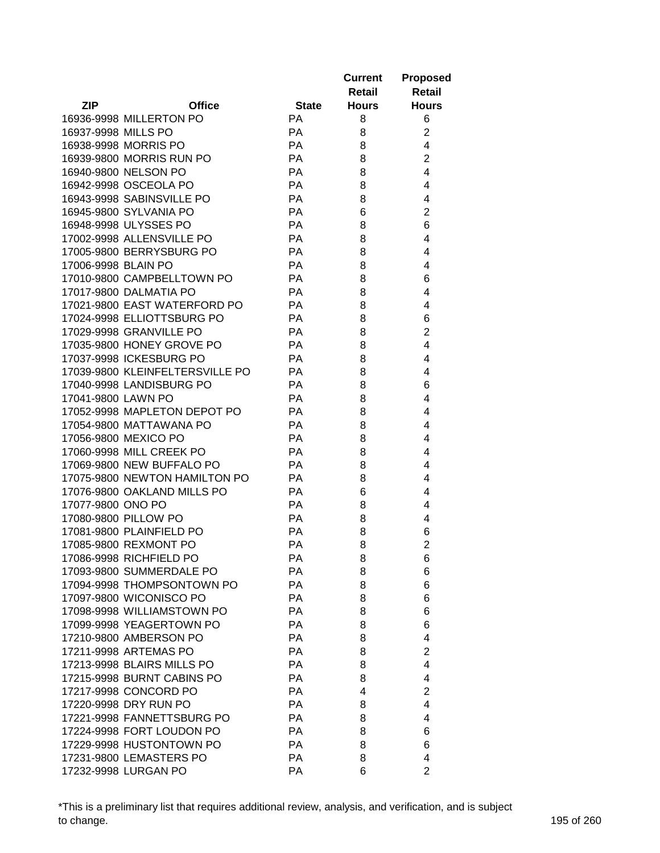|                     |                                 |              | <b>Current</b> | <b>Proposed</b> |
|---------------------|---------------------------------|--------------|----------------|-----------------|
|                     |                                 |              | Retail         | <b>Retail</b>   |
| <b>ZIP</b>          | <b>Office</b>                   | <b>State</b> | <b>Hours</b>   | <b>Hours</b>    |
|                     | 16936-9998 MILLERTON PO         | <b>PA</b>    | 8              | 6               |
| 16937-9998 MILLS PO |                                 | PA           | 8              | $\overline{c}$  |
|                     | 16938-9998 MORRIS PO            | PA           | 8              | 4               |
|                     | 16939-9800 MORRIS RUN PO        | PA           | 8              | $\overline{2}$  |
|                     | 16940-9800 NELSON PO            | PA           | 8              | 4               |
|                     | 16942-9998 OSCEOLA PO           | PA           | 8              | 4               |
|                     | 16943-9998 SABINSVILLE PO       | PA           | 8              | 4               |
|                     | 16945-9800 SYLVANIA PO          | PA           | 6              | $\overline{2}$  |
|                     | 16948-9998 ULYSSES PO           | PA           | 8              | 6               |
|                     | 17002-9998 ALLENSVILLE PO       | PA           | 8              | 4               |
|                     | 17005-9800 BERRYSBURG PO        | PA           | 8              | 4               |
| 17006-9998 BLAIN PO |                                 | PA           | 8              | 4               |
|                     | 17010-9800 CAMPBELLTOWN PO      | PA           | 8              | 6               |
|                     | 17017-9800 DALMATIA PO          | PA           |                |                 |
|                     | 17021-9800 EAST WATERFORD PO    |              | 8              | 4               |
|                     |                                 | PA           | 8              | 4               |
|                     | 17024-9998 ELLIOTTSBURG PO      | PA           | 8              | 6               |
|                     | 17029-9998 GRANVILLE PO         | PA           | 8              | $\overline{2}$  |
|                     | 17035-9800 HONEY GROVE PO       | PA           | 8              | 4               |
|                     | 17037-9998 ICKESBURG PO         | PA           | 8              | 4               |
|                     | 17039-9800 KLEINFELTERSVILLE PO | PA           | 8              | 4               |
|                     | 17040-9998 LANDISBURG PO        | PA           | 8              | 6               |
| 17041-9800 LAWN PO  |                                 | PA           | 8              | 4               |
|                     | 17052-9998 MAPLETON DEPOT PO    | PA           | 8              | 4               |
|                     | 17054-9800 MATTAWANA PO         | PA           | 8              | 4               |
|                     | 17056-9800 MEXICO PO            | PA           | 8              | 4               |
|                     | 17060-9998 MILL CREEK PO        | PA           | 8              | 4               |
|                     | 17069-9800 NEW BUFFALO PO       | PA           | 8              | 4               |
|                     | 17075-9800 NEWTON HAMILTON PO   | PA           | 8              | 4               |
|                     | 17076-9800 OAKLAND MILLS PO     | PA           | 6              | 4               |
| 17077-9800 ONO PO   |                                 | PA           | 8              | 4               |
|                     | 17080-9800 PILLOW PO            | PA           | 8              | 4               |
|                     | 17081-9800 PLAINFIELD PO        | PA           | 8              | 6               |
|                     | 17085-9800 REXMONT PO           | PA           | 8              | $\overline{2}$  |
|                     | 17086-9998 RICHFIELD PO         | PA           | 8              | $\,6$           |
|                     | 17093-9800 SUMMERDALE PO        | РA           | 8              | 6               |
|                     | 17094-9998 THOMPSONTOWN PO      | PA           | 8              | 6               |
|                     | 17097-9800 WICONISCO PO         | PA           | 8              | 6               |
|                     | 17098-9998 WILLIAMSTOWN PO      | PA           | 8              | 6               |
|                     | 17099-9998 YEAGERTOWN PO        | PA           | 8              | 6               |
|                     | 17210-9800 AMBERSON PO          | PA           | 8              | 4               |
|                     | 17211-9998 ARTEMAS PO           | PA           | 8              | $\overline{2}$  |
|                     | 17213-9998 BLAIRS MILLS PO      | PA           | 8              | 4               |
|                     | 17215-9998 BURNT CABINS PO      | PA           | 8              | 4               |
|                     | 17217-9998 CONCORD PO           | PA           | 4              | $\overline{2}$  |
|                     | 17220-9998 DRY RUN PO           | PA           | 8              | 4               |
|                     | 17221-9998 FANNETTSBURG PO      | PA           | 8              | 4               |
|                     | 17224-9998 FORT LOUDON PO       | PA           | 8              | 6               |
|                     | 17229-9998 HUSTONTOWN PO        | PA           | 8              | 6               |
|                     | 17231-9800 LEMASTERS PO         | PA           | 8              | 4               |
|                     | 17232-9998 LURGAN PO            | PA           | 6              | $\overline{2}$  |
|                     |                                 |              |                |                 |

\*This is a preliminary list that requires additional review, analysis, and verification, and is subject to change. 195 of 260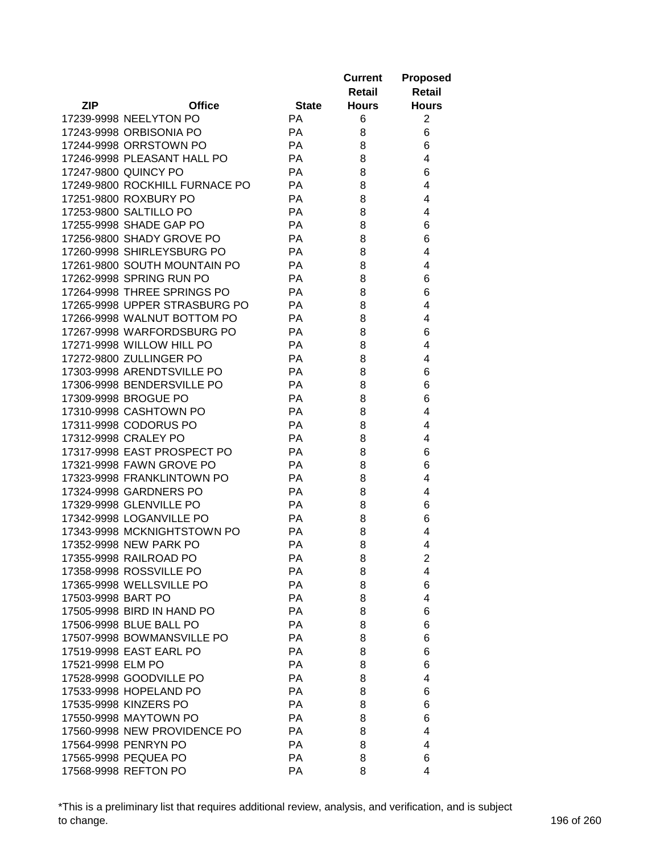|                    |                                               |              | <b>Current</b> | <b>Proposed</b> |
|--------------------|-----------------------------------------------|--------------|----------------|-----------------|
|                    |                                               |              | Retail         | <b>Retail</b>   |
| <b>ZIP</b>         | <b>Office</b>                                 | <b>State</b> | <b>Hours</b>   | <b>Hours</b>    |
|                    | 17239-9998 NEELYTON PO                        | <b>PA</b>    | 6              | 2               |
|                    | 17243-9998 ORBISONIA PO                       | PA           | 8              | 6               |
|                    | 17244-9998 ORRSTOWN PO                        | PA           | 8              | 6               |
|                    | 17246-9998 PLEASANT HALL PO                   | PA           | 8              | 4               |
|                    | 17247-9800 QUINCY PO                          | PA           | 8              | 6               |
|                    | 17249-9800 ROCKHILL FURNACE PO                | PA           | 8              | 4               |
|                    | 17251-9800 ROXBURY PO                         | <b>PA</b>    | 8              | 4               |
|                    | 17253-9800 SALTILLO PO                        | PA           | 8              | 4               |
|                    | 17255-9998 SHADE GAP PO                       | PA           | 8              | 6               |
|                    | 17256-9800 SHADY GROVE PO                     | PA           | 8              | 6               |
|                    | 17260-9998 SHIRLEYSBURG PO                    | PA           | 8              | 4               |
|                    | 17261-9800 SOUTH MOUNTAIN PO                  | PA           | 8              | 4               |
|                    | 17262-9998 SPRING RUN PO                      | PA           | 8              | 6               |
|                    | 17264-9998 THREE SPRINGS PO                   | PA           | 8              | 6               |
|                    | 17265-9998 UPPER STRASBURG PO                 | PA           | 8              | 4               |
|                    | 17266-9998 WALNUT BOTTOM PO                   | PA           | 8              | 4               |
|                    | 17267-9998 WARFORDSBURG PO                    | PA           | 8              | 6               |
|                    | 17271-9998 WILLOW HILL PO                     | PA           | 8              | 4               |
|                    | 17272-9800 ZULLINGER PO                       | PA           | 8              | 4               |
|                    | 17303-9998 ARENDTSVILLE PO                    | PA           | 8              | 6               |
|                    |                                               | PA           | 8              | 6               |
|                    | 17306-9998 BENDERSVILLE PO                    |              |                |                 |
|                    | 17309-9998 BROGUE PO                          | PA           | 8              | 6               |
|                    | 17310-9998 CASHTOWN PO                        | PA           | 8              | 4               |
|                    | 17311-9998 CODORUS PO<br>17312-9998 CRALEY PO | PA<br>PA     | 8<br>8         | 4               |
|                    | 17317-9998 EAST PROSPECT PO                   | PA           |                | 4               |
|                    | 17321-9998 FAWN GROVE PO                      | PA           | 8              | 6               |
|                    | 17323-9998 FRANKLINTOWN PO                    | PA           | 8              | 6<br>4          |
|                    | 17324-9998 GARDNERS PO                        |              | 8              |                 |
|                    | 17329-9998 GLENVILLE PO                       | PA           | 8              | 4               |
|                    | 17342-9998 LOGANVILLE PO                      | PA           | 8              | 6               |
|                    |                                               | PA           | 8              | 6               |
|                    | 17343-9998 MCKNIGHTSTOWN PO                   | PA           | 8              | 4               |
|                    | 17352-9998 NEW PARK PO                        | PA           | 8              | 4               |
|                    | 17355-9998 RAILROAD PO                        | PA           | 8              | $\overline{c}$  |
|                    | 17358-9998 ROSSVILLE PO                       | РA           | 8              | 4               |
|                    | 17365-9998 WELLSVILLE PO                      | PA           | 8              | 6               |
| 17503-9998 BART PO |                                               | <b>PA</b>    | 8              | 4               |
|                    | 17505-9998 BIRD IN HAND PO                    | PA           | 8              | 6               |
|                    | 17506-9998 BLUE BALL PO                       | PA           | 8              | 6               |
|                    | 17507-9998 BOWMANSVILLE PO                    | PA           | 8              | 6               |
|                    | 17519-9998 EAST EARL PO                       | PA           | 8              | 6               |
| 17521-9998 ELM PO  |                                               | PA           | 8              | 6               |
|                    | 17528-9998 GOODVILLE PO                       | PA           | 8              | 4               |
|                    | 17533-9998 HOPELAND PO                        | PA           | 8              | 6               |
|                    | 17535-9998 KINZERS PO                         | PA           | 8              | 6               |
|                    | 17550-9998 MAYTOWN PO                         | PA           | 8              | 6               |
|                    | 17560-9998 NEW PROVIDENCE PO                  | PA           | 8              | 4               |
|                    | 17564-9998 PENRYN PO                          | PA           | 8              | 4               |
|                    | 17565-9998 PEQUEA PO                          | PA           | 8              | 6               |
|                    | 17568-9998 REFTON PO                          | PA           | 8              | 4               |

\*This is a preliminary list that requires additional review, analysis, and verification, and is subject to change. 196 of 260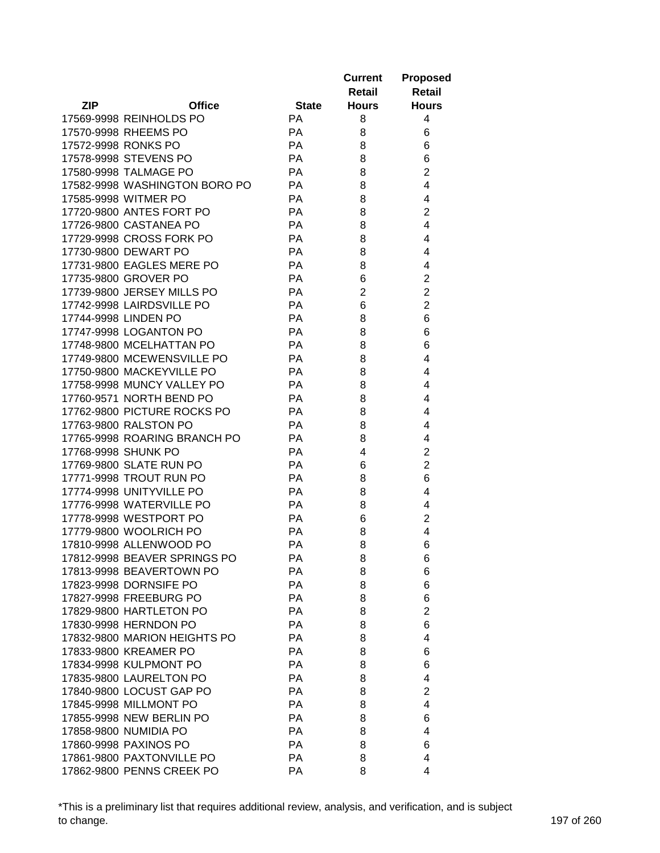|                     |                               |              | <b>Current</b> | <b>Proposed</b>         |
|---------------------|-------------------------------|--------------|----------------|-------------------------|
|                     |                               |              | Retail         | <b>Retail</b>           |
| <b>ZIP</b>          | <b>Office</b>                 | <b>State</b> | <b>Hours</b>   | <b>Hours</b>            |
|                     | 17569-9998 REINHOLDS PO       | <b>PA</b>    | 8              | 4                       |
|                     | 17570-9998 RHEEMS PO          | PA           | 8              | 6                       |
|                     | 17572-9998 RONKS PO           | PA           | 8              | 6                       |
|                     | 17578-9998 STEVENS PO         | PA           | 8              | 6                       |
|                     | 17580-9998 TALMAGE PO         | <b>PA</b>    | 8              | $\overline{2}$          |
|                     | 17582-9998 WASHINGTON BORO PO | PA           | 8              | 4                       |
|                     | 17585-9998 WITMER PO          | <b>PA</b>    | 8              | 4                       |
|                     | 17720-9800 ANTES FORT PO      | PA           | 8              | $\overline{2}$          |
|                     | 17726-9800 CASTANEA PO        | PA           | 8              | 4                       |
|                     | 17729-9998 CROSS FORK PO      | PA           | 8              | 4                       |
|                     | 17730-9800 DEWART PO          | PA           | 8              | 4                       |
|                     | 17731-9800 EAGLES MERE PO     | PA           | 8              | 4                       |
|                     | 17735-9800 GROVER PO          | PA           | 6              | $\overline{\mathbf{c}}$ |
|                     | 17739-9800 JERSEY MILLS PO    | PA           | $\overline{2}$ | $\overline{2}$          |
|                     | 17742-9998 LAIRDSVILLE PO     | PA           | 6              | $\overline{2}$          |
|                     | 17744-9998 LINDEN PO          | PA           | 8              | 6                       |
|                     | 17747-9998 LOGANTON PO        | PA           | 8              | 6                       |
|                     | 17748-9800 MCELHATTAN PO      | PA           | 8              | 6                       |
|                     | 17749-9800 MCEWENSVILLE PO    | PA           | 8              | 4                       |
|                     | 17750-9800 MACKEYVILLE PO     | PA           | 8              | 4                       |
|                     |                               | PA           | 8              | 4                       |
|                     | 17758-9998 MUNCY VALLEY PO    |              |                |                         |
|                     | 17760-9571 NORTH BEND PO      | PA           | 8              | 4                       |
|                     | 17762-9800 PICTURE ROCKS PO   | PA           | 8              | 4                       |
|                     | 17763-9800 RALSTON PO         | PA<br>PA     | 8<br>8         | 4                       |
| 17768-9998 SHUNK PO | 17765-9998 ROARING BRANCH PO  | PA           |                | 4<br>$\overline{2}$     |
|                     | 17769-9800 SLATE RUN PO       | PA           | 4              | $\overline{c}$          |
|                     | 17771-9998 TROUT RUN PO       | PA           | 6              | 6                       |
|                     |                               |              | 8              |                         |
|                     | 17774-9998 UNITYVILLE PO      | PA           | 8              | 4                       |
|                     | 17776-9998 WATERVILLE PO      | PA           | 8              | 4                       |
|                     | 17778-9998 WESTPORT PO        | PA           | 6              | $\overline{c}$          |
|                     | 17779-9800 WOOLRICH PO        | PA           | 8              | 4                       |
|                     | 17810-9998 ALLENWOOD PO       | PA           | 8              | 6                       |
|                     | 17812-9998 BEAVER SPRINGS PO  | PA           | 8              | 6                       |
|                     | 17813-9998 BEAVERTOWN PO      | РA           | 8              | 6                       |
|                     | 17823-9998 DORNSIFE PO        | PA           | 8              | 6                       |
|                     | 17827-9998 FREEBURG PO        | PA           | 8              | 6                       |
|                     | 17829-9800 HARTLETON PO       | PA           | 8              | $\overline{2}$          |
|                     | 17830-9998 HERNDON PO         | PA           | 8              | 6                       |
|                     | 17832-9800 MARION HEIGHTS PO  | PA           | 8              | 4                       |
|                     | 17833-9800 KREAMER PO         | PA           | 8              | 6                       |
|                     | 17834-9998 KULPMONT PO        | PA           | 8              | 6                       |
|                     | 17835-9800 LAURELTON PO       | PA           | 8              | 4                       |
|                     | 17840-9800 LOCUST GAP PO      | PA           | 8              | $\overline{2}$          |
|                     | 17845-9998 MILLMONT PO        | PA           | 8              | 4                       |
|                     | 17855-9998 NEW BERLIN PO      | PA           | 8              | 6                       |
|                     | 17858-9800 NUMIDIA PO         | PA           | 8              | 4                       |
|                     | 17860-9998 PAXINOS PO         | PA           | 8              | 6                       |
|                     | 17861-9800 PAXTONVILLE PO     | PA           | 8              | 4                       |
|                     | 17862-9800 PENNS CREEK PO     | PA           | 8              | 4                       |

\*This is a preliminary list that requires additional review, analysis, and verification, and is subject to change. 197 of 260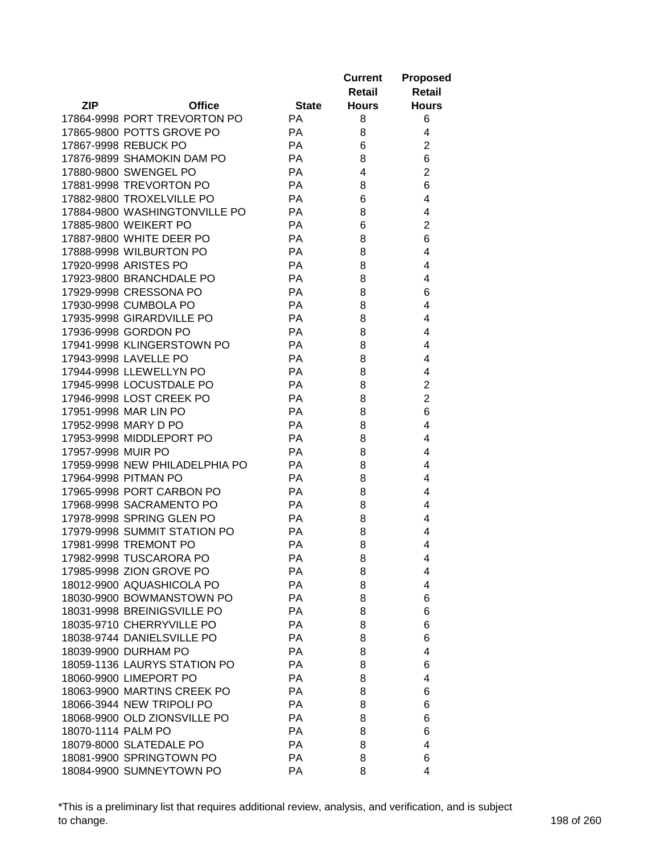|                    |                                |              | <b>Current</b><br>Retail | <b>Proposed</b><br>Retail |
|--------------------|--------------------------------|--------------|--------------------------|---------------------------|
| <b>ZIP</b>         | <b>Office</b>                  | <b>State</b> | <b>Hours</b>             | <b>Hours</b>              |
|                    | 17864-9998 PORT TREVORTON PO   | <b>PA</b>    | 8                        | 6                         |
|                    | 17865-9800 POTTS GROVE PO      | <b>PA</b>    | 8                        | 4                         |
|                    | 17867-9998 REBUCK PO           | <b>PA</b>    | 6                        | $\overline{2}$            |
|                    | 17876-9899 SHAMOKIN DAM PO     | <b>PA</b>    | 8                        | 6                         |
|                    | 17880-9800 SWENGEL PO          | PA           | 4                        | $\overline{2}$            |
|                    | 17881-9998 TREVORTON PO        | PA           | 8                        | 6                         |
|                    | 17882-9800 TROXELVILLE PO      | PA           | 6                        | 4                         |
|                    | 17884-9800 WASHINGTONVILLE PO  | PA           | 8                        | 4                         |
|                    | 17885-9800 WEIKERT PO          | <b>PA</b>    | 6                        | $\overline{2}$            |
|                    | 17887-9800 WHITE DEER PO       | <b>PA</b>    | 8                        | 6                         |
|                    | 17888-9998 WILBURTON PO        | PA           | 8                        | 4                         |
|                    | 17920-9998 ARISTES PO          | PA           | 8                        | 4                         |
|                    | 17923-9800 BRANCHDALE PO       | PA           | 8                        | 4                         |
|                    | 17929-9998 CRESSONA PO         | PA           | 8                        | 6                         |
|                    | 17930-9998 CUMBOLA PO          | PA           | 8                        | 4                         |
|                    | 17935-9998 GIRARDVILLE PO      | PA           | 8                        | 4                         |
|                    | 17936-9998 GORDON PO           | <b>PA</b>    | 8                        | 4                         |
|                    | 17941-9998 KLINGERSTOWN PO     | <b>PA</b>    | 8                        | 4                         |
|                    | 17943-9998 LAVELLE PO          | PA           | 8                        | 4                         |
|                    | 17944-9998 LLEWELLYN PO        | PA           | 8                        | 4                         |
|                    | 17945-9998 LOCUSTDALE PO       | <b>PA</b>    | 8                        | $\overline{2}$            |
|                    | 17946-9998 LOST CREEK PO       | <b>PA</b>    | 8                        | $\overline{2}$            |
|                    | 17951-9998 MAR LIN PO          | <b>PA</b>    | 8                        | 6                         |
|                    | 17952-9998 MARY D PO           | <b>PA</b>    | 8                        | 4                         |
|                    | 17953-9998 MIDDLEPORT PO       | <b>PA</b>    | 8                        | 4                         |
| 17957-9998 MUIR PO |                                | <b>PA</b>    | 8                        | 4                         |
|                    | 17959-9998 NEW PHILADELPHIA PO | <b>PA</b>    | 8                        | 4                         |
|                    | 17964-9998 PITMAN PO           | <b>PA</b>    | 8                        | 4                         |
|                    | 17965-9998 PORT CARBON PO      | <b>PA</b>    | 8                        | 4                         |
|                    | 17968-9998 SACRAMENTO PO       | <b>PA</b>    | 8                        | 4                         |
|                    | 17978-9998 SPRING GLEN PO      | <b>PA</b>    | 8                        | 4                         |
|                    | 17979-9998 SUMMIT STATION PO   | PA           | 8                        | 4                         |
|                    | 17981-9998 TREMONT PO          | <b>PA</b>    | 8                        | 4                         |
|                    | 17982-9998 TUSCARORA PO        | РA           | 8                        | 4                         |
|                    | 17985-9998 ZION GROVE PO       | PA           | 8                        | 4                         |
|                    | 18012-9900 AQUASHICOLA PO      | PA           | 8                        | 4                         |
|                    | 18030-9900 BOWMANSTOWN PO      | PA           | 8                        | 6                         |
|                    | 18031-9998 BREINIGSVILLE PO    | PA           | 8                        | 6                         |
|                    | 18035-9710 CHERRYVILLE PO      | <b>PA</b>    | 8                        | 6                         |
|                    | 18038-9744 DANIELSVILLE PO     | PA           | 8                        | 6                         |
|                    | 18039-9900 DURHAM PO           | <b>PA</b>    | 8                        | 4                         |
|                    | 18059-1136 LAURYS STATION PO   | <b>PA</b>    | 8                        | 6                         |
|                    | 18060-9900 LIMEPORT PO         | <b>PA</b>    | 8                        | 4                         |
|                    | 18063-9900 MARTINS CREEK PO    | PA           | 8                        | 6                         |
|                    | 18066-3944 NEW TRIPOLI PO      | PA           | 8                        | 6                         |
|                    | 18068-9900 OLD ZIONSVILLE PO   | <b>PA</b>    | 8                        | 6                         |
| 18070-1114 PALM PO |                                | <b>PA</b>    | 8                        | 6                         |
|                    | 18079-8000 SLATEDALE PO        | PA           | 8                        | 4                         |
|                    | 18081-9900 SPRINGTOWN PO       | PA           | 8                        | 6                         |
|                    | 18084-9900 SUMNEYTOWN PO       | PA           | 8                        | 4                         |

\*This is a preliminary list that requires additional review, analysis, and verification, and is subject to change. 198 of 260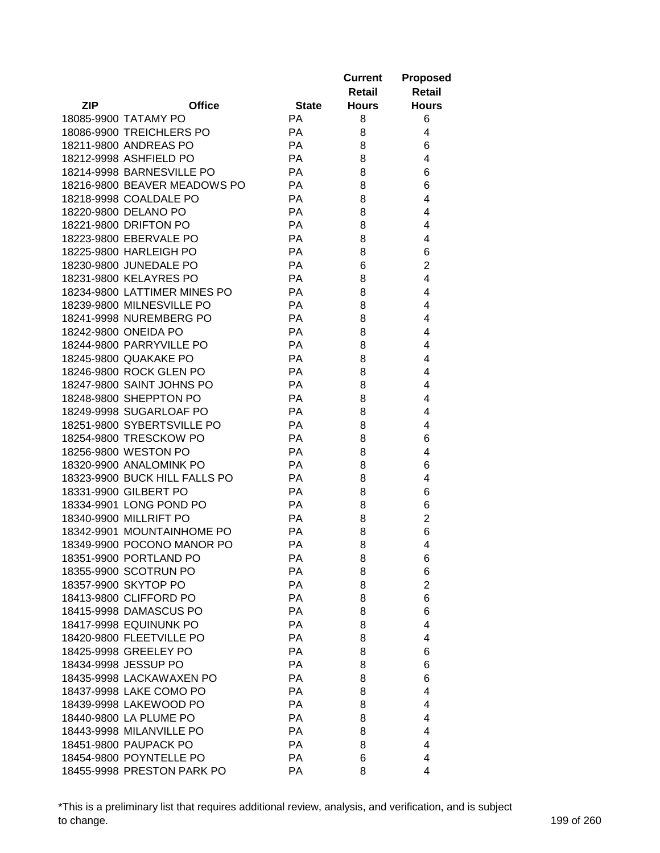|            |                               |              | <b>Current</b> | <b>Proposed</b>     |
|------------|-------------------------------|--------------|----------------|---------------------|
|            |                               |              | <b>Retail</b>  | <b>Retail</b>       |
| <b>ZIP</b> | <b>Office</b>                 | <b>State</b> | <b>Hours</b>   | <b>Hours</b>        |
|            | 18085-9900 TATAMY PO          | <b>PA</b>    | 8              | 6                   |
|            | 18086-9900 TREICHLERS PO      | PA           | 8              | 4                   |
|            | 18211-9800 ANDREAS PO         | PA           | 8              | 6                   |
|            | 18212-9998 ASHFIELD PO        | PA           | 8              | 4                   |
|            | 18214-9998 BARNESVILLE PO     | PA           | 8              | 6                   |
|            | 18216-9800 BEAVER MEADOWS PO  | PA           | 8              | 6                   |
|            | 18218-9998 COALDALE PO        | <b>PA</b>    | 8              | 4                   |
|            | 18220-9800 DELANO PO          | PA           | 8              | 4                   |
|            | 18221-9800 DRIFTON PO         | PA           | 8              | 4                   |
|            | 18223-9800 EBERVALE PO        | PA           | 8              | 4                   |
|            | 18225-9800 HARLEIGH PO        | PA           | 8              | 6                   |
|            | 18230-9800 JUNEDALE PO        | PA           | 6              | $\overline{2}$      |
|            | 18231-9800 KELAYRES PO        | PA           | 8              | 4                   |
|            | 18234-9800 LATTIMER MINES PO  | PA           | 8              | 4                   |
|            | 18239-9800 MILNESVILLE PO     | PA           | 8              | 4                   |
|            | 18241-9998 NUREMBERG PO       | PA           | 8              | 4                   |
|            | 18242-9800 ONEIDA PO          | PA           | 8              | 4                   |
|            | 18244-9800 PARRYVILLE PO      | PA           | 8              | 4                   |
|            | 18245-9800 QUAKAKE PO         | PA           | 8              | 4                   |
|            | 18246-9800 ROCK GLEN PO       | PA           | 8              | 4                   |
|            | 18247-9800 SAINT JOHNS PO     | PA           | 8              | 4                   |
|            | 18248-9800 SHEPPTON PO        | PA           | 8              | 4                   |
|            | 18249-9998 SUGARLOAF PO       | PA           | 8              | 4                   |
|            | 18251-9800 SYBERTSVILLE PO    | PA           | 8              | 4                   |
|            | 18254-9800 TRESCKOW PO        | PA           | 8              | 6                   |
|            | 18256-9800 WESTON PO          | PA           | 8              | 4                   |
|            | 18320-9900 ANALOMINK PO       | PA           | 8              | 6                   |
|            | 18323-9900 BUCK HILL FALLS PO | PA           | 8              | 4                   |
|            | 18331-9900 GILBERT PO         | PA           | 8              | 6                   |
|            | 18334-9901 LONG POND PO       | PA           | 8              |                     |
|            | 18340-9900 MILLRIFT PO        | PA           |                | 6<br>$\overline{c}$ |
|            | 18342-9901 MOUNTAINHOME PO    | PA           | 8              | 6                   |
|            | 18349-9900 POCONO MANOR PO    | PA           | 8<br>8         | 4                   |
|            |                               |              |                |                     |
|            | 18351-9900 PORTLAND PO        | PA           | 8              | 6                   |
|            | 18355-9900 SCOTRUN PO         | PA           | 8              | 6                   |
|            | 18357-9900 SKYTOP PO          | PA           | 8              | $\overline{2}$      |
|            | 18413-9800 CLIFFORD PO        | PA           | 8              | 6                   |
|            | 18415-9998 DAMASCUS PO        | PA           | 8              | 6                   |
|            | <b>18417-9998 EQUINUNK PO</b> | PA           | 8              | 4                   |
|            | 18420-9800 FLEETVILLE PO      | PA           | 8              | 4                   |
|            | 18425-9998 GREELEY PO         | PA           | 8              | 6                   |
|            | 18434-9998 JESSUP PO          | PA           | 8              | 6                   |
|            | 18435-9998 LACKAWAXEN PO      | PA           | 8              | 6                   |
|            | 18437-9998 LAKE COMO PO       | PA           | 8              | 4                   |
|            | 18439-9998 LAKEWOOD PO        | PA           | 8              | 4                   |
|            | 18440-9800 LA PLUME PO        | PA           | 8              | 4                   |
|            | 18443-9998 MILANVILLE PO      | PA           | 8              | 4                   |
|            | 18451-9800 PAUPACK PO         | PA           | 8              | 4                   |
|            | 18454-9800 POYNTELLE PO       | PA           | 6              | 4                   |
|            | 18455-9998 PRESTON PARK PO    | PA           | 8              | 4                   |

\*This is a preliminary list that requires additional review, analysis, and verification, and is subject to change. 199 of 260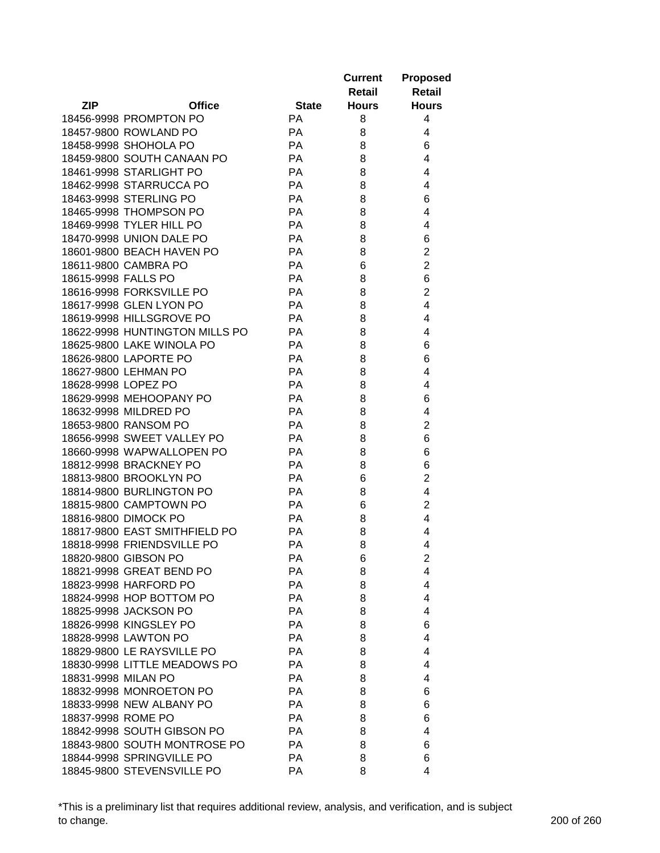|                     |                                                         |                 | <b>Current</b> | <b>Proposed</b>     |
|---------------------|---------------------------------------------------------|-----------------|----------------|---------------------|
|                     |                                                         |                 | Retail         | <b>Retail</b>       |
| ZIP                 | <b>Office</b>                                           | <b>State</b>    | <b>Hours</b>   | <b>Hours</b>        |
|                     | 18456-9998 PROMPTON PO                                  | <b>PA</b>       | 8              | 4                   |
|                     | 18457-9800 ROWLAND PO                                   | PA              | 8              | 4                   |
|                     | 18458-9998 SHOHOLA PO                                   | PA              | 8              | 6                   |
|                     | 18459-9800 SOUTH CANAAN PO                              | PA              | 8              | 4                   |
|                     | 18461-9998 STARLIGHT PO                                 | PA              | 8              | 4                   |
|                     | 18462-9998 STARRUCCA PO                                 | PA              | 8              | 4                   |
|                     | 18463-9998 STERLING PO                                  | PA              | 8              | 6                   |
|                     | 18465-9998 THOMPSON PO                                  | PA              | 8              | 4                   |
|                     | 18469-9998 TYLER HILL PO                                | PA              | 8              | 4                   |
|                     | 18470-9998 UNION DALE PO                                | PA              | 8              | 6                   |
|                     | 18601-9800 BEACH HAVEN PO                               | PA              | 8              | $\mathbf 2$         |
|                     | 18611-9800 CAMBRA PO                                    | PA              | 6              | $\overline{2}$      |
| 18615-9998 FALLS PO |                                                         | PA              | 8              | 6                   |
|                     | 18616-9998 FORKSVILLE PO                                | PA              | 8              | $\overline{2}$      |
|                     | 18617-9998 GLEN LYON PO                                 | PA              | 8              | 4                   |
|                     | 18619-9998 HILLSGROVE PO                                | PA              | 8              | 4                   |
|                     | 18622-9998 HUNTINGTON MILLS PO                          | PA              |                | 4                   |
|                     |                                                         | PA              | 8              |                     |
|                     | 18625-9800 LAKE WINOLA PO                               |                 | 8              | 6                   |
|                     | 18626-9800 LAPORTE PO                                   | PA              | 8              | 6                   |
|                     | 18627-9800 LEHMAN PO                                    | PA              | 8              | 4                   |
| 18628-9998 LOPEZ PO |                                                         | PA              | 8              | 4                   |
|                     | 18629-9998 MEHOOPANY PO                                 | PA              | 8              | 6                   |
|                     | 18632-9998 MILDRED PO                                   | PA              | 8              | 4                   |
|                     | 18653-9800 RANSOM PO                                    | PA<br>PA        | 8              | $\overline{2}$      |
|                     | 18656-9998 SWEET VALLEY PO<br>18660-9998 WAPWALLOPEN PO | PA              | 8              | 6                   |
|                     | 18812-9998 BRACKNEY PO                                  | PA              | 8              | 6                   |
|                     | 18813-9800 BROOKLYN PO                                  | PA              | 8              | 6<br>$\overline{2}$ |
|                     |                                                         |                 | 6              |                     |
|                     | 18814-9800 BURLINGTON PO                                | PA              | 8              | 4                   |
|                     | 18815-9800 CAMPTOWN PO                                  | PA              | 6              | $\overline{2}$      |
|                     | 18816-9800 DIMOCK PO<br>18817-9800 EAST SMITHFIELD PO   | PA<br>PA        | 8              | 4<br>4              |
|                     |                                                         |                 | 8              |                     |
|                     | 18818-9998 FRIENDSVILLE PO                              | PA              | 8              | 4                   |
|                     | 18820-9800 GIBSON PO                                    | PA              | 6              | $\overline{c}$      |
|                     | 18821-9998 GREAT BEND PO                                | РA<br>PA        | 8<br>8         | 4<br>4              |
|                     | 18823-9998 HARFORD PO                                   |                 |                |                     |
|                     | 18824-9998 HOP BOTTOM PO<br>18825-9998 JACKSON PO       | <b>PA</b><br>PA | 8              | 4                   |
|                     |                                                         |                 | 8              | 4                   |
|                     | 18826-9998 KINGSLEY PO                                  | PA              | 8              | 6                   |
|                     | 18828-9998 LAWTON PO                                    | <b>PA</b>       | 8              | 4                   |
|                     | 18829-9800 LE RAYSVILLE PO                              | <b>PA</b>       | 8              | 4                   |
|                     | 18830-9998 LITTLE MEADOWS PO                            | <b>PA</b>       | 8              | 4                   |
| 18831-9998 MILAN PO |                                                         | PA              | 8              | 4                   |
|                     | 18832-9998 MONROETON PO                                 | PA              | 8              | 6                   |
|                     | 18833-9998 NEW ALBANY PO                                | PA              | 8              | 6                   |
| 18837-9998 ROME PO  |                                                         | PA              | 8              | 6                   |
|                     | 18842-9998 SOUTH GIBSON PO                              | PA              | 8              | 4                   |
|                     | 18843-9800 SOUTH MONTROSE PO                            | PA              | 8              | 6                   |
|                     | 18844-9998 SPRINGVILLE PO                               | PA              | 8              | 6                   |
|                     | 18845-9800 STEVENSVILLE PO                              | PA              | 8              | 4                   |

\*This is a preliminary list that requires additional review, analysis, and verification, and is subject to change. 200 of 260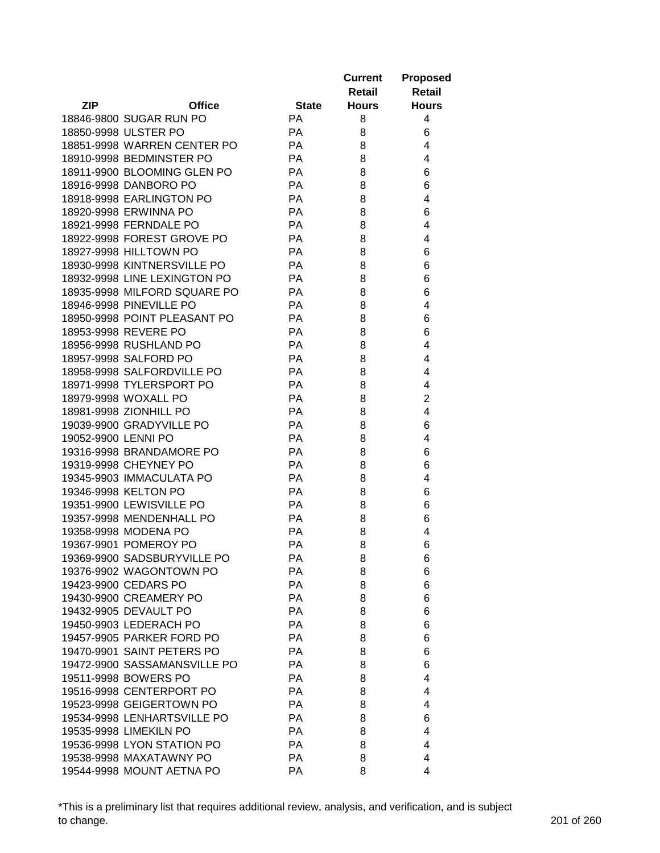|                     |                              |              | <b>Current</b><br>Retail | <b>Proposed</b><br><b>Retail</b> |
|---------------------|------------------------------|--------------|--------------------------|----------------------------------|
| <b>ZIP</b>          | <b>Office</b>                | <b>State</b> | <b>Hours</b>             | <b>Hours</b>                     |
|                     | 18846-9800 SUGAR RUN PO      | <b>PA</b>    | 8                        | 4                                |
|                     | 18850-9998 ULSTER PO         | PA           | 8                        | 6                                |
|                     | 18851-9998 WARREN CENTER PO  | <b>PA</b>    | 8                        | 4                                |
|                     | 18910-9998 BEDMINSTER PO     | PA           | 8                        | 4                                |
|                     | 18911-9900 BLOOMING GLEN PO  | <b>PA</b>    | 8                        | 6                                |
|                     | 18916-9998 DANBORO PO        | PA           | 8                        | 6                                |
|                     | 18918-9998 EARLINGTON PO     | PA           | 8                        | 4                                |
|                     | 18920-9998 ERWINNA PO        | PA           | 8                        | 6                                |
|                     | 18921-9998 FERNDALE PO       | PA           | 8                        | 4                                |
|                     | 18922-9998 FOREST GROVE PO   | PA           | 8                        | 4                                |
|                     | 18927-9998 HILLTOWN PO       | PA           | 8                        | 6                                |
|                     | 18930-9998 KINTNERSVILLE PO  | PA           | 8                        | 6                                |
|                     | 18932-9998 LINE LEXINGTON PO | PA           | 8                        | 6                                |
|                     | 18935-9998 MILFORD SQUARE PO | PA           | 8                        | 6                                |
|                     | 18946-9998 PINEVILLE PO      | PA           | 8                        | 4                                |
|                     | 18950-9998 POINT PLEASANT PO | PA           | 8                        | 6                                |
|                     | 18953-9998 REVERE PO         | PA           | 8                        | 6                                |
|                     | 18956-9998 RUSHLAND PO       | PA           | 8                        | 4                                |
|                     | 18957-9998 SALFORD PO        | PA           | 8                        | 4                                |
|                     | 18958-9998 SALFORDVILLE PO   | PA           | 8                        | 4                                |
|                     | 18971-9998 TYLERSPORT PO     | PA           | 8                        | 4                                |
|                     | 18979-9998 WOXALL PO         | PA           | 8                        | $\overline{2}$                   |
|                     | 18981-9998 ZIONHILL PO       | PA           | 8                        | 4                                |
|                     | 19039-9900 GRADYVILLE PO     | PA           | 8                        | 6                                |
| 19052-9900 LENNI PO |                              | PA           | 8                        | 4                                |
|                     | 19316-9998 BRANDAMORE PO     | PA           | 8                        | 6                                |
|                     | 19319-9998 CHEYNEY PO        | PA           | 8                        | 6                                |
|                     | 19345-9903 IMMACULATA PO     | PA           | 8                        | 4                                |
|                     | 19346-9998 KELTON PO         | PA           | 8                        | 6                                |
|                     | 19351-9900 LEWISVILLE PO     | <b>PA</b>    | 8                        | 6                                |
|                     | 19357-9998 MENDENHALL PO     | PA           | 8                        | 6                                |
|                     | 19358-9998 MODENA PO         | PA           | 8                        | 4                                |
|                     | 19367-9901 POMEROY PO        | PA           | 8                        | 6                                |
|                     | 19369-9900 SADSBURYVILLE PO  | РA           | 8                        | 6                                |
|                     | 19376-9902 WAGONTOWN PO      | PA           | 8                        | 6                                |
|                     | 19423-9900 CEDARS PO         | PA           | 8                        | 6                                |
|                     | 19430-9900 CREAMERY PO       | PA           | 8                        | 6                                |
|                     | 19432-9905 DEVAULT PO        | PA           | 8                        | 6                                |
|                     | 19450-9903 LEDERACH PO       | PA           | 8                        | 6                                |
|                     | 19457-9905 PARKER FORD PO    | PA           | 8                        | 6                                |
|                     | 19470-9901 SAINT PETERS PO   | PA           | 8                        | 6                                |
|                     | 19472-9900 SASSAMANSVILLE PO | PA           | 8                        | 6                                |
|                     | 19511-9998 BOWERS PO         | PA           | 8                        | 4                                |
|                     | 19516-9998 CENTERPORT PO     | PA           | 8                        | 4                                |
|                     | 19523-9998 GEIGERTOWN PO     | PA           | 8                        | 4                                |
|                     | 19534-9998 LENHARTSVILLE PO  | PA           | 8                        | 6                                |
|                     | 19535-9998 LIMEKILN PO       | PA           | 8                        | 4                                |
|                     | 19536-9998 LYON STATION PO   | PA           | 8                        | 4                                |
|                     | 19538-9998 MAXATAWNY PO      | PA           | 8                        | 4                                |
|                     | 19544-9998 MOUNT AETNA PO    | PA           | 8                        | 4                                |

\*This is a preliminary list that requires additional review, analysis, and verification, and is subject to change. 201 of 260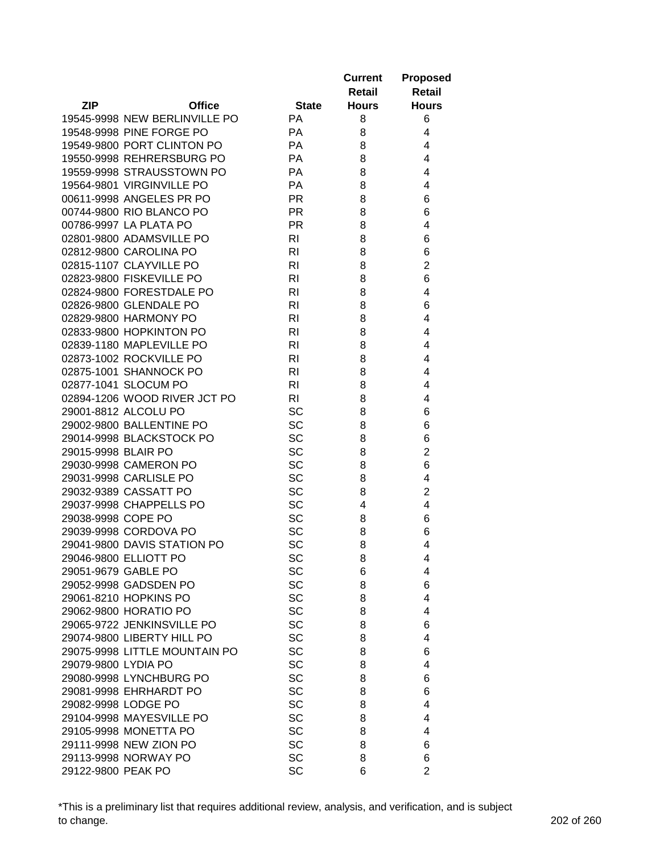|                     |                               |                | <b>Current</b><br>Retail | <b>Proposed</b><br><b>Retail</b> |
|---------------------|-------------------------------|----------------|--------------------------|----------------------------------|
| <b>ZIP</b>          | <b>Office</b>                 | <b>State</b>   | <b>Hours</b>             | <b>Hours</b>                     |
|                     | 19545-9998 NEW BERLINVILLE PO | <b>PA</b>      | 8                        | 6                                |
|                     | 19548-9998 PINE FORGE PO      | <b>PA</b>      | 8                        | 4                                |
|                     | 19549-9800 PORT CLINTON PO    | <b>PA</b>      | 8                        | 4                                |
|                     | 19550-9998 REHRERSBURG PO     | <b>PA</b>      | 8                        | 4                                |
|                     | 19559-9998 STRAUSSTOWN PO     | <b>PA</b>      | 8                        | 4                                |
|                     | 19564-9801 VIRGINVILLE PO     | PA             | 8                        | 4                                |
|                     | 00611-9998 ANGELES PR PO      | <b>PR</b>      | 8                        | 6                                |
|                     | 00744-9800 RIO BLANCO PO      | <b>PR</b>      | 8                        | 6                                |
|                     | 00786-9997 LA PLATA PO        | <b>PR</b>      | 8                        | 4                                |
|                     | 02801-9800 ADAMSVILLE PO      | RI             | 8                        | 6                                |
|                     | 02812-9800 CAROLINA PO        | <b>RI</b>      | 8                        | 6                                |
|                     | 02815-1107 CLAYVILLE PO       | RI             | 8                        | $\overline{2}$                   |
|                     | 02823-9800 FISKEVILLE PO      | R <sub>l</sub> | 8                        | 6                                |
|                     | 02824-9800 FORESTDALE PO      | R <sub>l</sub> | 8                        | 4                                |
|                     | 02826-9800 GLENDALE PO        | R <sub>l</sub> | 8                        | 6                                |
|                     | 02829-9800 HARMONY PO         | R <sub>l</sub> | 8                        | 4                                |
|                     | 02833-9800 HOPKINTON PO       | R <sub>l</sub> | 8                        | 4                                |
|                     | 02839-1180 MAPLEVILLE PO      | RI             | 8                        | 4                                |
|                     | 02873-1002 ROCKVILLE PO       | <b>RI</b>      | 8                        | 4                                |
|                     | 02875-1001 SHANNOCK PO        | <b>RI</b>      | 8                        | 4                                |
|                     | 02877-1041 SLOCUM PO          | R <sub>l</sub> | 8                        | 4                                |
|                     | 02894-1206 WOOD RIVER JCT PO  | R <sub>l</sub> | 8                        | 4                                |
|                     | 29001-8812 ALCOLU PO          | <b>SC</b>      | 8                        | 6                                |
|                     | 29002-9800 BALLENTINE PO      | <b>SC</b>      | 8                        | 6                                |
|                     | 29014-9998 BLACKSTOCK PO      | <b>SC</b>      | 8                        | 6                                |
| 29015-9998 BLAIR PO |                               | SC             | 8                        | $\overline{2}$                   |
|                     | 29030-9998 CAMERON PO         | SC             | 8                        | 6                                |
|                     | 29031-9998 CARLISLE PO        | SC             | 8                        | 4                                |
|                     | 29032-9389 CASSATT PO         | SC             | 8                        | $\overline{2}$                   |
|                     | 29037-9998 CHAPPELLS PO       | SC             | 4                        | 4                                |
| 29038-9998 COPE PO  |                               | SC             | 8                        | 6                                |
|                     | 29039-9998 CORDOVA PO         | SC             | 8                        | 6                                |
|                     | 29041-9800 DAVIS STATION PO   | <b>SC</b>      | 8                        | 4                                |
|                     | 29046-9800 ELLIOTT PO         | SC             | 8                        | 4                                |
| 29051-9679 GABLE PO |                               | <b>SC</b>      | 6                        | 4                                |
|                     | 29052-9998 GADSDEN PO         | SC             | 8                        | 6                                |
|                     | 29061-8210 HOPKINS PO         | <b>SC</b>      | 8                        | 4                                |
|                     | 29062-9800 HORATIO PO         | <b>SC</b>      | 8                        | 4                                |
|                     | 29065-9722 JENKINSVILLE PO    | <b>SC</b>      | 8                        | 6                                |
|                     | 29074-9800 LIBERTY HILL PO    | <b>SC</b>      | 8                        | 4                                |
|                     | 29075-9998 LITTLE MOUNTAIN PO | <b>SC</b>      | 8                        | 6                                |
| 29079-9800 LYDIA PO |                               | <b>SC</b>      | 8                        | 4                                |
|                     | 29080-9998 LYNCHBURG PO       | <b>SC</b>      | 8                        | 6                                |
|                     | 29081-9998 EHRHARDT PO        | <b>SC</b>      | 8                        | 6                                |
| 29082-9998 LODGE PO |                               | <b>SC</b>      | 8                        | 4                                |
|                     | 29104-9998 MAYESVILLE PO      | SC             | 8                        | 4                                |
|                     | 29105-9998 MONETTA PO         | SC             | 8                        | 4                                |
|                     | 29111-9998 NEW ZION PO        | SC             | 8                        | 6                                |
|                     | 29113-9998 NORWAY PO          | <b>SC</b>      | 8                        | 6                                |
| 29122-9800 PEAK PO  |                               | SC             | 6                        | $\overline{2}$                   |

\*This is a preliminary list that requires additional review, analysis, and verification, and is subject to change. 202 of 260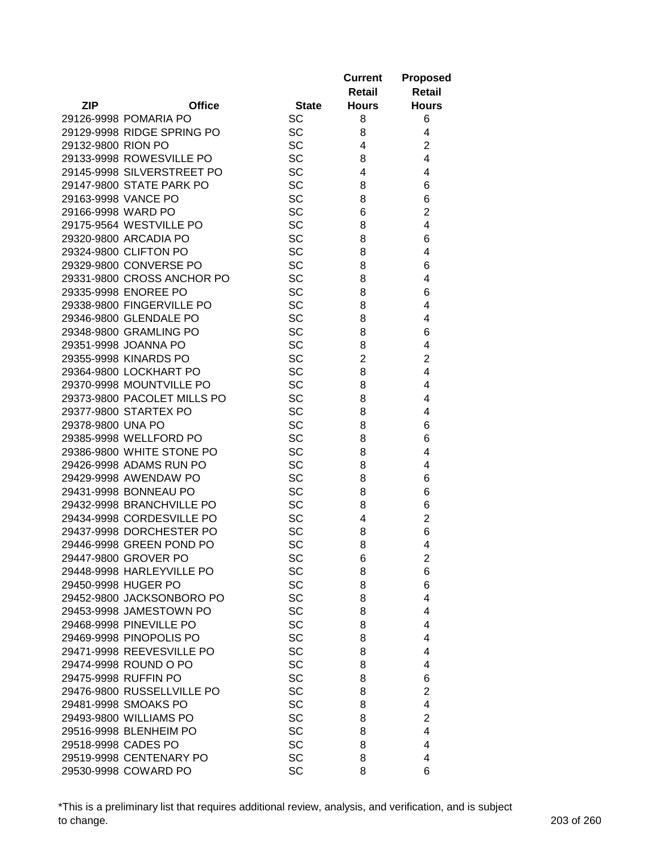| <b>ZIP</b><br><b>Office</b><br><b>Hours</b><br><b>State</b><br><b>Hours</b><br><b>SC</b><br>8<br>6<br>29126-9998 POMARIA PO<br>29129-9998 RIDGE SPRING PO<br><b>SC</b><br>8<br>4<br>$\overline{c}$<br>29132-9800 RION PO<br><b>SC</b><br>4<br><b>SC</b><br>$\overline{4}$<br>29133-9998 ROWESVILLE PO<br>8<br>SC<br>29145-9998 SILVERSTREET PO<br>4<br>4<br><b>SC</b><br>29147-9800 STATE PARK PO<br>8<br>6<br><b>SC</b><br>8<br>6<br>29163-9998 VANCE PO<br>SC<br>$\overline{2}$<br>6<br>29166-9998 WARD PO<br>SC<br>4<br>29175-9564 WESTVILLE PO<br>8<br>SC<br>6<br>29320-9800 ARCADIA PO<br>8<br>SC<br>29324-9800 CLIFTON PO<br>8<br>4<br>29329-9800 CONVERSE PO<br><b>SC</b><br>8<br>6<br>29331-9800 CROSS ANCHOR PO<br>SC<br>8<br>4<br>SC<br>29335-9998 ENOREE PO<br>8<br>6<br>SC<br>29338-9800 FINGERVILLE PO<br>8<br>4<br>SC<br>29346-9800 GLENDALE PO<br>8<br>4<br>SC<br>29348-9800 GRAMLING PO<br>8<br>6<br>SC<br>29351-9998 JOANNA PO<br>8<br>4<br><b>SC</b><br>$\overline{2}$<br>$\overline{2}$<br>29355-9998 KINARDS PO<br>29364-9800 LOCKHART PO<br><b>SC</b><br>8<br>4<br>29370-9998 MOUNTVILLE PO<br><b>SC</b><br>4<br>8<br>SC<br>29373-9800 PACOLET MILLS PO<br>4<br>8<br><b>SC</b><br>8<br>29377-9800 STARTEX PO<br>4<br>SC<br>8<br>29378-9800 UNA PO<br>6<br><b>SC</b><br>8<br>6<br>29385-9998 WELLFORD PO<br>29386-9800 WHITE STONE PO<br>SC<br>8<br>4<br><b>SC</b><br>29426-9998 ADAMS RUN PO<br>8<br>4<br><b>SC</b><br>29429-9998 AWENDAW PO<br>8<br>6<br><b>SC</b><br>29431-9998 BONNEAU PO<br>8<br>6<br>SC<br>29432-9998 BRANCHVILLE PO<br>8<br>6<br>29434-9998 CORDESVILLE PO<br><b>SC</b><br>$\overline{2}$<br>4<br>29437-9998 DORCHESTER PO<br>SC<br>8<br>6<br>SC<br>29446-9998 GREEN POND PO<br>8<br>4<br>SC<br>$\overline{c}$<br>29447-9800 GROVER PO<br>6<br><b>SC</b><br>6<br>29448-9998 HARLEYVILLE PO<br>8<br>SC<br>6<br>29450-9998 HUGER PO<br>8<br>29452-9800 JACKSONBORO PO<br><b>SC</b><br>8<br>4<br>29453-9998 JAMESTOWN PO<br><b>SC</b><br>4<br>8<br>SC<br>29468-9998 PINEVILLE PO<br>4<br>8<br><b>SC</b><br>29469-9998 PINOPOLIS PO<br>8<br>4<br><b>SC</b><br>29471-9998 REEVESVILLE PO<br>8<br>4<br><b>SC</b><br>29474-9998 ROUND O PO<br>8<br>4<br>29475-9998 RUFFIN PO<br>SC<br>8<br>6<br><b>SC</b><br>29476-9800 RUSSELLVILLE PO<br>8<br>2<br>29481-9998 SMOAKS PO<br><b>SC</b><br>4<br>8<br>SC<br>$\overline{2}$<br>29493-9800 WILLIAMS PO<br>8<br>SC<br>29516-9998 BLENHEIM PO<br>4<br>8<br>SC<br>29518-9998 CADES PO<br>8<br>4<br><b>SC</b><br>29519-9998 CENTENARY PO<br>8<br>4 |  |    | <b>Current</b><br>Retail | <b>Proposed</b><br><b>Retail</b> |
|--------------------------------------------------------------------------------------------------------------------------------------------------------------------------------------------------------------------------------------------------------------------------------------------------------------------------------------------------------------------------------------------------------------------------------------------------------------------------------------------------------------------------------------------------------------------------------------------------------------------------------------------------------------------------------------------------------------------------------------------------------------------------------------------------------------------------------------------------------------------------------------------------------------------------------------------------------------------------------------------------------------------------------------------------------------------------------------------------------------------------------------------------------------------------------------------------------------------------------------------------------------------------------------------------------------------------------------------------------------------------------------------------------------------------------------------------------------------------------------------------------------------------------------------------------------------------------------------------------------------------------------------------------------------------------------------------------------------------------------------------------------------------------------------------------------------------------------------------------------------------------------------------------------------------------------------------------------------------------------------------------------------------------------------------------------------------------------------------------------------------------------------------------------------------------------------------------------------------------------------------------------------------------------------------------------------------------------------------------------------------------------------------------------------------------------------------------------------------------------------------------------------------------|--|----|--------------------------|----------------------------------|
|                                                                                                                                                                                                                                                                                                                                                                                                                                                                                                                                                                                                                                                                                                                                                                                                                                                                                                                                                                                                                                                                                                                                                                                                                                                                                                                                                                                                                                                                                                                                                                                                                                                                                                                                                                                                                                                                                                                                                                                                                                                                                                                                                                                                                                                                                                                                                                                                                                                                                                                                |  |    |                          |                                  |
|                                                                                                                                                                                                                                                                                                                                                                                                                                                                                                                                                                                                                                                                                                                                                                                                                                                                                                                                                                                                                                                                                                                                                                                                                                                                                                                                                                                                                                                                                                                                                                                                                                                                                                                                                                                                                                                                                                                                                                                                                                                                                                                                                                                                                                                                                                                                                                                                                                                                                                                                |  |    |                          |                                  |
|                                                                                                                                                                                                                                                                                                                                                                                                                                                                                                                                                                                                                                                                                                                                                                                                                                                                                                                                                                                                                                                                                                                                                                                                                                                                                                                                                                                                                                                                                                                                                                                                                                                                                                                                                                                                                                                                                                                                                                                                                                                                                                                                                                                                                                                                                                                                                                                                                                                                                                                                |  |    |                          |                                  |
|                                                                                                                                                                                                                                                                                                                                                                                                                                                                                                                                                                                                                                                                                                                                                                                                                                                                                                                                                                                                                                                                                                                                                                                                                                                                                                                                                                                                                                                                                                                                                                                                                                                                                                                                                                                                                                                                                                                                                                                                                                                                                                                                                                                                                                                                                                                                                                                                                                                                                                                                |  |    |                          |                                  |
|                                                                                                                                                                                                                                                                                                                                                                                                                                                                                                                                                                                                                                                                                                                                                                                                                                                                                                                                                                                                                                                                                                                                                                                                                                                                                                                                                                                                                                                                                                                                                                                                                                                                                                                                                                                                                                                                                                                                                                                                                                                                                                                                                                                                                                                                                                                                                                                                                                                                                                                                |  |    |                          |                                  |
|                                                                                                                                                                                                                                                                                                                                                                                                                                                                                                                                                                                                                                                                                                                                                                                                                                                                                                                                                                                                                                                                                                                                                                                                                                                                                                                                                                                                                                                                                                                                                                                                                                                                                                                                                                                                                                                                                                                                                                                                                                                                                                                                                                                                                                                                                                                                                                                                                                                                                                                                |  |    |                          |                                  |
|                                                                                                                                                                                                                                                                                                                                                                                                                                                                                                                                                                                                                                                                                                                                                                                                                                                                                                                                                                                                                                                                                                                                                                                                                                                                                                                                                                                                                                                                                                                                                                                                                                                                                                                                                                                                                                                                                                                                                                                                                                                                                                                                                                                                                                                                                                                                                                                                                                                                                                                                |  |    |                          |                                  |
|                                                                                                                                                                                                                                                                                                                                                                                                                                                                                                                                                                                                                                                                                                                                                                                                                                                                                                                                                                                                                                                                                                                                                                                                                                                                                                                                                                                                                                                                                                                                                                                                                                                                                                                                                                                                                                                                                                                                                                                                                                                                                                                                                                                                                                                                                                                                                                                                                                                                                                                                |  |    |                          |                                  |
|                                                                                                                                                                                                                                                                                                                                                                                                                                                                                                                                                                                                                                                                                                                                                                                                                                                                                                                                                                                                                                                                                                                                                                                                                                                                                                                                                                                                                                                                                                                                                                                                                                                                                                                                                                                                                                                                                                                                                                                                                                                                                                                                                                                                                                                                                                                                                                                                                                                                                                                                |  |    |                          |                                  |
|                                                                                                                                                                                                                                                                                                                                                                                                                                                                                                                                                                                                                                                                                                                                                                                                                                                                                                                                                                                                                                                                                                                                                                                                                                                                                                                                                                                                                                                                                                                                                                                                                                                                                                                                                                                                                                                                                                                                                                                                                                                                                                                                                                                                                                                                                                                                                                                                                                                                                                                                |  |    |                          |                                  |
|                                                                                                                                                                                                                                                                                                                                                                                                                                                                                                                                                                                                                                                                                                                                                                                                                                                                                                                                                                                                                                                                                                                                                                                                                                                                                                                                                                                                                                                                                                                                                                                                                                                                                                                                                                                                                                                                                                                                                                                                                                                                                                                                                                                                                                                                                                                                                                                                                                                                                                                                |  |    |                          |                                  |
|                                                                                                                                                                                                                                                                                                                                                                                                                                                                                                                                                                                                                                                                                                                                                                                                                                                                                                                                                                                                                                                                                                                                                                                                                                                                                                                                                                                                                                                                                                                                                                                                                                                                                                                                                                                                                                                                                                                                                                                                                                                                                                                                                                                                                                                                                                                                                                                                                                                                                                                                |  |    |                          |                                  |
|                                                                                                                                                                                                                                                                                                                                                                                                                                                                                                                                                                                                                                                                                                                                                                                                                                                                                                                                                                                                                                                                                                                                                                                                                                                                                                                                                                                                                                                                                                                                                                                                                                                                                                                                                                                                                                                                                                                                                                                                                                                                                                                                                                                                                                                                                                                                                                                                                                                                                                                                |  |    |                          |                                  |
|                                                                                                                                                                                                                                                                                                                                                                                                                                                                                                                                                                                                                                                                                                                                                                                                                                                                                                                                                                                                                                                                                                                                                                                                                                                                                                                                                                                                                                                                                                                                                                                                                                                                                                                                                                                                                                                                                                                                                                                                                                                                                                                                                                                                                                                                                                                                                                                                                                                                                                                                |  |    |                          |                                  |
|                                                                                                                                                                                                                                                                                                                                                                                                                                                                                                                                                                                                                                                                                                                                                                                                                                                                                                                                                                                                                                                                                                                                                                                                                                                                                                                                                                                                                                                                                                                                                                                                                                                                                                                                                                                                                                                                                                                                                                                                                                                                                                                                                                                                                                                                                                                                                                                                                                                                                                                                |  |    |                          |                                  |
|                                                                                                                                                                                                                                                                                                                                                                                                                                                                                                                                                                                                                                                                                                                                                                                                                                                                                                                                                                                                                                                                                                                                                                                                                                                                                                                                                                                                                                                                                                                                                                                                                                                                                                                                                                                                                                                                                                                                                                                                                                                                                                                                                                                                                                                                                                                                                                                                                                                                                                                                |  |    |                          |                                  |
|                                                                                                                                                                                                                                                                                                                                                                                                                                                                                                                                                                                                                                                                                                                                                                                                                                                                                                                                                                                                                                                                                                                                                                                                                                                                                                                                                                                                                                                                                                                                                                                                                                                                                                                                                                                                                                                                                                                                                                                                                                                                                                                                                                                                                                                                                                                                                                                                                                                                                                                                |  |    |                          |                                  |
|                                                                                                                                                                                                                                                                                                                                                                                                                                                                                                                                                                                                                                                                                                                                                                                                                                                                                                                                                                                                                                                                                                                                                                                                                                                                                                                                                                                                                                                                                                                                                                                                                                                                                                                                                                                                                                                                                                                                                                                                                                                                                                                                                                                                                                                                                                                                                                                                                                                                                                                                |  |    |                          |                                  |
|                                                                                                                                                                                                                                                                                                                                                                                                                                                                                                                                                                                                                                                                                                                                                                                                                                                                                                                                                                                                                                                                                                                                                                                                                                                                                                                                                                                                                                                                                                                                                                                                                                                                                                                                                                                                                                                                                                                                                                                                                                                                                                                                                                                                                                                                                                                                                                                                                                                                                                                                |  |    |                          |                                  |
|                                                                                                                                                                                                                                                                                                                                                                                                                                                                                                                                                                                                                                                                                                                                                                                                                                                                                                                                                                                                                                                                                                                                                                                                                                                                                                                                                                                                                                                                                                                                                                                                                                                                                                                                                                                                                                                                                                                                                                                                                                                                                                                                                                                                                                                                                                                                                                                                                                                                                                                                |  |    |                          |                                  |
|                                                                                                                                                                                                                                                                                                                                                                                                                                                                                                                                                                                                                                                                                                                                                                                                                                                                                                                                                                                                                                                                                                                                                                                                                                                                                                                                                                                                                                                                                                                                                                                                                                                                                                                                                                                                                                                                                                                                                                                                                                                                                                                                                                                                                                                                                                                                                                                                                                                                                                                                |  |    |                          |                                  |
|                                                                                                                                                                                                                                                                                                                                                                                                                                                                                                                                                                                                                                                                                                                                                                                                                                                                                                                                                                                                                                                                                                                                                                                                                                                                                                                                                                                                                                                                                                                                                                                                                                                                                                                                                                                                                                                                                                                                                                                                                                                                                                                                                                                                                                                                                                                                                                                                                                                                                                                                |  |    |                          |                                  |
|                                                                                                                                                                                                                                                                                                                                                                                                                                                                                                                                                                                                                                                                                                                                                                                                                                                                                                                                                                                                                                                                                                                                                                                                                                                                                                                                                                                                                                                                                                                                                                                                                                                                                                                                                                                                                                                                                                                                                                                                                                                                                                                                                                                                                                                                                                                                                                                                                                                                                                                                |  |    |                          |                                  |
|                                                                                                                                                                                                                                                                                                                                                                                                                                                                                                                                                                                                                                                                                                                                                                                                                                                                                                                                                                                                                                                                                                                                                                                                                                                                                                                                                                                                                                                                                                                                                                                                                                                                                                                                                                                                                                                                                                                                                                                                                                                                                                                                                                                                                                                                                                                                                                                                                                                                                                                                |  |    |                          |                                  |
|                                                                                                                                                                                                                                                                                                                                                                                                                                                                                                                                                                                                                                                                                                                                                                                                                                                                                                                                                                                                                                                                                                                                                                                                                                                                                                                                                                                                                                                                                                                                                                                                                                                                                                                                                                                                                                                                                                                                                                                                                                                                                                                                                                                                                                                                                                                                                                                                                                                                                                                                |  |    |                          |                                  |
|                                                                                                                                                                                                                                                                                                                                                                                                                                                                                                                                                                                                                                                                                                                                                                                                                                                                                                                                                                                                                                                                                                                                                                                                                                                                                                                                                                                                                                                                                                                                                                                                                                                                                                                                                                                                                                                                                                                                                                                                                                                                                                                                                                                                                                                                                                                                                                                                                                                                                                                                |  |    |                          |                                  |
|                                                                                                                                                                                                                                                                                                                                                                                                                                                                                                                                                                                                                                                                                                                                                                                                                                                                                                                                                                                                                                                                                                                                                                                                                                                                                                                                                                                                                                                                                                                                                                                                                                                                                                                                                                                                                                                                                                                                                                                                                                                                                                                                                                                                                                                                                                                                                                                                                                                                                                                                |  |    |                          |                                  |
|                                                                                                                                                                                                                                                                                                                                                                                                                                                                                                                                                                                                                                                                                                                                                                                                                                                                                                                                                                                                                                                                                                                                                                                                                                                                                                                                                                                                                                                                                                                                                                                                                                                                                                                                                                                                                                                                                                                                                                                                                                                                                                                                                                                                                                                                                                                                                                                                                                                                                                                                |  |    |                          |                                  |
|                                                                                                                                                                                                                                                                                                                                                                                                                                                                                                                                                                                                                                                                                                                                                                                                                                                                                                                                                                                                                                                                                                                                                                                                                                                                                                                                                                                                                                                                                                                                                                                                                                                                                                                                                                                                                                                                                                                                                                                                                                                                                                                                                                                                                                                                                                                                                                                                                                                                                                                                |  |    |                          |                                  |
|                                                                                                                                                                                                                                                                                                                                                                                                                                                                                                                                                                                                                                                                                                                                                                                                                                                                                                                                                                                                                                                                                                                                                                                                                                                                                                                                                                                                                                                                                                                                                                                                                                                                                                                                                                                                                                                                                                                                                                                                                                                                                                                                                                                                                                                                                                                                                                                                                                                                                                                                |  |    |                          |                                  |
|                                                                                                                                                                                                                                                                                                                                                                                                                                                                                                                                                                                                                                                                                                                                                                                                                                                                                                                                                                                                                                                                                                                                                                                                                                                                                                                                                                                                                                                                                                                                                                                                                                                                                                                                                                                                                                                                                                                                                                                                                                                                                                                                                                                                                                                                                                                                                                                                                                                                                                                                |  |    |                          |                                  |
|                                                                                                                                                                                                                                                                                                                                                                                                                                                                                                                                                                                                                                                                                                                                                                                                                                                                                                                                                                                                                                                                                                                                                                                                                                                                                                                                                                                                                                                                                                                                                                                                                                                                                                                                                                                                                                                                                                                                                                                                                                                                                                                                                                                                                                                                                                                                                                                                                                                                                                                                |  |    |                          |                                  |
|                                                                                                                                                                                                                                                                                                                                                                                                                                                                                                                                                                                                                                                                                                                                                                                                                                                                                                                                                                                                                                                                                                                                                                                                                                                                                                                                                                                                                                                                                                                                                                                                                                                                                                                                                                                                                                                                                                                                                                                                                                                                                                                                                                                                                                                                                                                                                                                                                                                                                                                                |  |    |                          |                                  |
|                                                                                                                                                                                                                                                                                                                                                                                                                                                                                                                                                                                                                                                                                                                                                                                                                                                                                                                                                                                                                                                                                                                                                                                                                                                                                                                                                                                                                                                                                                                                                                                                                                                                                                                                                                                                                                                                                                                                                                                                                                                                                                                                                                                                                                                                                                                                                                                                                                                                                                                                |  |    |                          |                                  |
|                                                                                                                                                                                                                                                                                                                                                                                                                                                                                                                                                                                                                                                                                                                                                                                                                                                                                                                                                                                                                                                                                                                                                                                                                                                                                                                                                                                                                                                                                                                                                                                                                                                                                                                                                                                                                                                                                                                                                                                                                                                                                                                                                                                                                                                                                                                                                                                                                                                                                                                                |  |    |                          |                                  |
|                                                                                                                                                                                                                                                                                                                                                                                                                                                                                                                                                                                                                                                                                                                                                                                                                                                                                                                                                                                                                                                                                                                                                                                                                                                                                                                                                                                                                                                                                                                                                                                                                                                                                                                                                                                                                                                                                                                                                                                                                                                                                                                                                                                                                                                                                                                                                                                                                                                                                                                                |  |    |                          |                                  |
|                                                                                                                                                                                                                                                                                                                                                                                                                                                                                                                                                                                                                                                                                                                                                                                                                                                                                                                                                                                                                                                                                                                                                                                                                                                                                                                                                                                                                                                                                                                                                                                                                                                                                                                                                                                                                                                                                                                                                                                                                                                                                                                                                                                                                                                                                                                                                                                                                                                                                                                                |  |    |                          |                                  |
|                                                                                                                                                                                                                                                                                                                                                                                                                                                                                                                                                                                                                                                                                                                                                                                                                                                                                                                                                                                                                                                                                                                                                                                                                                                                                                                                                                                                                                                                                                                                                                                                                                                                                                                                                                                                                                                                                                                                                                                                                                                                                                                                                                                                                                                                                                                                                                                                                                                                                                                                |  |    |                          |                                  |
|                                                                                                                                                                                                                                                                                                                                                                                                                                                                                                                                                                                                                                                                                                                                                                                                                                                                                                                                                                                                                                                                                                                                                                                                                                                                                                                                                                                                                                                                                                                                                                                                                                                                                                                                                                                                                                                                                                                                                                                                                                                                                                                                                                                                                                                                                                                                                                                                                                                                                                                                |  |    |                          |                                  |
|                                                                                                                                                                                                                                                                                                                                                                                                                                                                                                                                                                                                                                                                                                                                                                                                                                                                                                                                                                                                                                                                                                                                                                                                                                                                                                                                                                                                                                                                                                                                                                                                                                                                                                                                                                                                                                                                                                                                                                                                                                                                                                                                                                                                                                                                                                                                                                                                                                                                                                                                |  |    |                          |                                  |
|                                                                                                                                                                                                                                                                                                                                                                                                                                                                                                                                                                                                                                                                                                                                                                                                                                                                                                                                                                                                                                                                                                                                                                                                                                                                                                                                                                                                                                                                                                                                                                                                                                                                                                                                                                                                                                                                                                                                                                                                                                                                                                                                                                                                                                                                                                                                                                                                                                                                                                                                |  |    |                          |                                  |
|                                                                                                                                                                                                                                                                                                                                                                                                                                                                                                                                                                                                                                                                                                                                                                                                                                                                                                                                                                                                                                                                                                                                                                                                                                                                                                                                                                                                                                                                                                                                                                                                                                                                                                                                                                                                                                                                                                                                                                                                                                                                                                                                                                                                                                                                                                                                                                                                                                                                                                                                |  |    |                          |                                  |
|                                                                                                                                                                                                                                                                                                                                                                                                                                                                                                                                                                                                                                                                                                                                                                                                                                                                                                                                                                                                                                                                                                                                                                                                                                                                                                                                                                                                                                                                                                                                                                                                                                                                                                                                                                                                                                                                                                                                                                                                                                                                                                                                                                                                                                                                                                                                                                                                                                                                                                                                |  |    |                          |                                  |
|                                                                                                                                                                                                                                                                                                                                                                                                                                                                                                                                                                                                                                                                                                                                                                                                                                                                                                                                                                                                                                                                                                                                                                                                                                                                                                                                                                                                                                                                                                                                                                                                                                                                                                                                                                                                                                                                                                                                                                                                                                                                                                                                                                                                                                                                                                                                                                                                                                                                                                                                |  |    |                          |                                  |
|                                                                                                                                                                                                                                                                                                                                                                                                                                                                                                                                                                                                                                                                                                                                                                                                                                                                                                                                                                                                                                                                                                                                                                                                                                                                                                                                                                                                                                                                                                                                                                                                                                                                                                                                                                                                                                                                                                                                                                                                                                                                                                                                                                                                                                                                                                                                                                                                                                                                                                                                |  |    |                          |                                  |
|                                                                                                                                                                                                                                                                                                                                                                                                                                                                                                                                                                                                                                                                                                                                                                                                                                                                                                                                                                                                                                                                                                                                                                                                                                                                                                                                                                                                                                                                                                                                                                                                                                                                                                                                                                                                                                                                                                                                                                                                                                                                                                                                                                                                                                                                                                                                                                                                                                                                                                                                |  |    |                          |                                  |
|                                                                                                                                                                                                                                                                                                                                                                                                                                                                                                                                                                                                                                                                                                                                                                                                                                                                                                                                                                                                                                                                                                                                                                                                                                                                                                                                                                                                                                                                                                                                                                                                                                                                                                                                                                                                                                                                                                                                                                                                                                                                                                                                                                                                                                                                                                                                                                                                                                                                                                                                |  |    |                          |                                  |
|                                                                                                                                                                                                                                                                                                                                                                                                                                                                                                                                                                                                                                                                                                                                                                                                                                                                                                                                                                                                                                                                                                                                                                                                                                                                                                                                                                                                                                                                                                                                                                                                                                                                                                                                                                                                                                                                                                                                                                                                                                                                                                                                                                                                                                                                                                                                                                                                                                                                                                                                |  |    |                          |                                  |
|                                                                                                                                                                                                                                                                                                                                                                                                                                                                                                                                                                                                                                                                                                                                                                                                                                                                                                                                                                                                                                                                                                                                                                                                                                                                                                                                                                                                                                                                                                                                                                                                                                                                                                                                                                                                                                                                                                                                                                                                                                                                                                                                                                                                                                                                                                                                                                                                                                                                                                                                |  |    |                          |                                  |
|                                                                                                                                                                                                                                                                                                                                                                                                                                                                                                                                                                                                                                                                                                                                                                                                                                                                                                                                                                                                                                                                                                                                                                                                                                                                                                                                                                                                                                                                                                                                                                                                                                                                                                                                                                                                                                                                                                                                                                                                                                                                                                                                                                                                                                                                                                                                                                                                                                                                                                                                |  |    |                          |                                  |
|                                                                                                                                                                                                                                                                                                                                                                                                                                                                                                                                                                                                                                                                                                                                                                                                                                                                                                                                                                                                                                                                                                                                                                                                                                                                                                                                                                                                                                                                                                                                                                                                                                                                                                                                                                                                                                                                                                                                                                                                                                                                                                                                                                                                                                                                                                                                                                                                                                                                                                                                |  |    |                          |                                  |
| 29530-9998 COWARD PO                                                                                                                                                                                                                                                                                                                                                                                                                                                                                                                                                                                                                                                                                                                                                                                                                                                                                                                                                                                                                                                                                                                                                                                                                                                                                                                                                                                                                                                                                                                                                                                                                                                                                                                                                                                                                                                                                                                                                                                                                                                                                                                                                                                                                                                                                                                                                                                                                                                                                                           |  | SC | 8                        | 6                                |

\*This is a preliminary list that requires additional review, analysis, and verification, and is subject to change. 203 of 260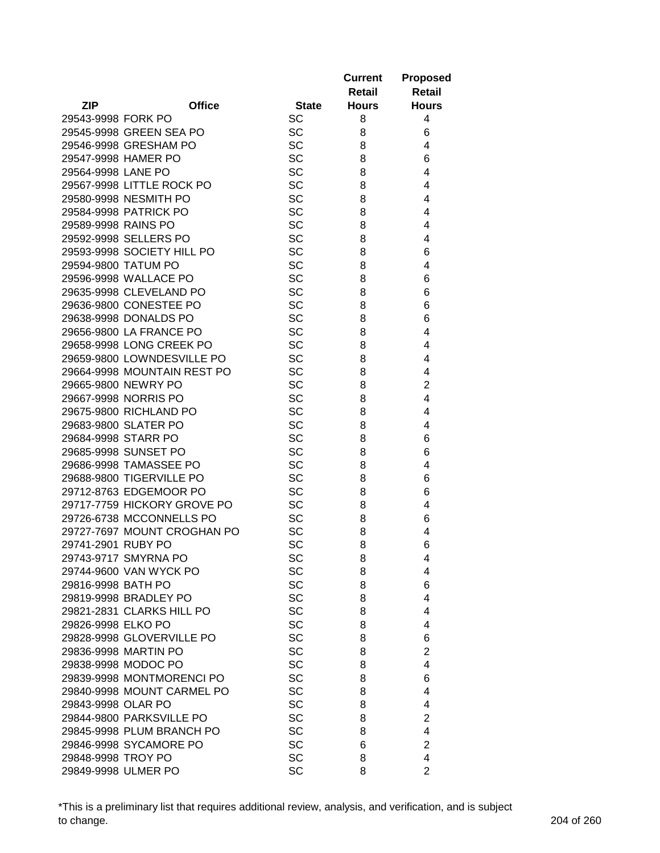|                             |               |              | <b>Current</b><br>Retail | <b>Proposed</b><br><b>Retail</b> |
|-----------------------------|---------------|--------------|--------------------------|----------------------------------|
| <b>ZIP</b>                  | <b>Office</b> | <b>State</b> | <b>Hours</b>             | <b>Hours</b>                     |
| 29543-9998 FORK PO          |               | <b>SC</b>    | 8                        | 4                                |
| 29545-9998 GREEN SEA PO     |               | <b>SC</b>    | 8                        | 6                                |
| 29546-9998 GRESHAM PO       |               | <b>SC</b>    | 8                        | 4                                |
| 29547-9998 HAMER PO         |               | SC           | 8                        | 6                                |
| 29564-9998 LANE PO          |               | SC           | 8                        | 4                                |
| 29567-9998 LITTLE ROCK PO   |               | SC           | 8                        | 4                                |
| 29580-9998 NESMITH PO       |               | SC           | 8                        | 4                                |
| 29584-9998 PATRICK PO       |               | <b>SC</b>    | 8                        | 4                                |
| 29589-9998 RAINS PO         |               | <b>SC</b>    | 8                        | 4                                |
| 29592-9998 SELLERS PO       |               | SC           | 8                        | 4                                |
| 29593-9998 SOCIETY HILL PO  |               | SC           | 8                        | 6                                |
| 29594-9800 TATUM PO         |               | <b>SC</b>    | 8                        | 4                                |
| 29596-9998 WALLACE PO       |               | <b>SC</b>    | 8                        | 6                                |
| 29635-9998 CLEVELAND PO     |               | SC           | 8                        | 6                                |
| 29636-9800 CONESTEE PO      |               | SC           | 8                        | 6                                |
| 29638-9998 DONALDS PO       |               | <b>SC</b>    | 8                        | 6                                |
| 29656-9800 LA FRANCE PO     |               | <b>SC</b>    | 8                        | 4                                |
| 29658-9998 LONG CREEK PO    |               | <b>SC</b>    | 8                        | 4                                |
| 29659-9800 LOWNDESVILLE PO  |               | <b>SC</b>    | 8                        | 4                                |
| 29664-9998 MOUNTAIN REST PO |               | <b>SC</b>    | 8                        | 4                                |
| 29665-9800 NEWRY PO         |               | SC           | 8                        | $\overline{2}$                   |
| 29667-9998 NORRIS PO        |               | <b>SC</b>    | 8                        | $\overline{4}$                   |
| 29675-9800 RICHLAND PO      |               | <b>SC</b>    | 8                        | 4                                |
| 29683-9800 SLATER PO        |               | <b>SC</b>    | 8                        | 4                                |
| 29684-9998 STARR PO         |               | <b>SC</b>    | 8                        | 6                                |
| 29685-9998 SUNSET PO        |               | SC           | 8                        | 6                                |
| 29686-9998 TAMASSEE PO      |               | <b>SC</b>    | 8                        | 4                                |
| 29688-9800 TIGERVILLE PO    |               | <b>SC</b>    | 8                        | 6                                |
| 29712-8763 EDGEMOOR PO      |               | <b>SC</b>    | 8                        | 6                                |
| 29717-7759 HICKORY GROVE PO |               | SC           | 8                        | 4                                |
| 29726-6738 MCCONNELLS PO    |               | <b>SC</b>    | 8                        | 6                                |
| 29727-7697 MOUNT CROGHAN PO |               | SC           | 8                        | 4                                |
| 29741-2901 RUBY PO          |               | SC           | 8                        | 6                                |
| 29743-9717 SMYRNA PO        |               | SC           | 8                        | 4                                |
| 29744-9600 VAN WYCK PO      |               | <b>SC</b>    | 8                        | 4                                |
| 29816-9998 BATH PO          |               | SC           | 8                        | 6                                |
| 29819-9998 BRADLEY PO       |               | <b>SC</b>    | 8                        | 4                                |
| 29821-2831 CLARKS HILL PO   |               | <b>SC</b>    | 8                        | 4                                |
| 29826-9998 ELKO PO          |               | <b>SC</b>    | 8                        | 4                                |
| 29828-9998 GLOVERVILLE PO   |               | <b>SC</b>    | 8                        | 6                                |
| 29836-9998 MARTIN PO        |               | <b>SC</b>    | 8                        | $\overline{2}$                   |
| 29838-9998 MODOC PO         |               | <b>SC</b>    | 8                        | 4                                |
| 29839-9998 MONTMORENCI PO   |               | <b>SC</b>    | 8                        | 6                                |
| 29840-9998 MOUNT CARMEL PO  |               | <b>SC</b>    | 8                        | 4                                |
| 29843-9998 OLAR PO          |               | <b>SC</b>    | 8                        | 4                                |
| 29844-9800 PARKSVILLE PO    |               | <b>SC</b>    | 8                        | 2                                |
| 29845-9998 PLUM BRANCH PO   |               | SC           | 8                        | 4                                |
| 29846-9998 SYCAMORE PO      |               | <b>SC</b>    | 6                        | $\overline{2}$                   |
| 29848-9998 TROY PO          |               | SC           | 8                        | $\overline{4}$                   |
| 29849-9998 ULMER PO         |               | <b>SC</b>    | 8                        | $\overline{2}$                   |

\*This is a preliminary list that requires additional review, analysis, and verification, and is subject to change. 204 of 260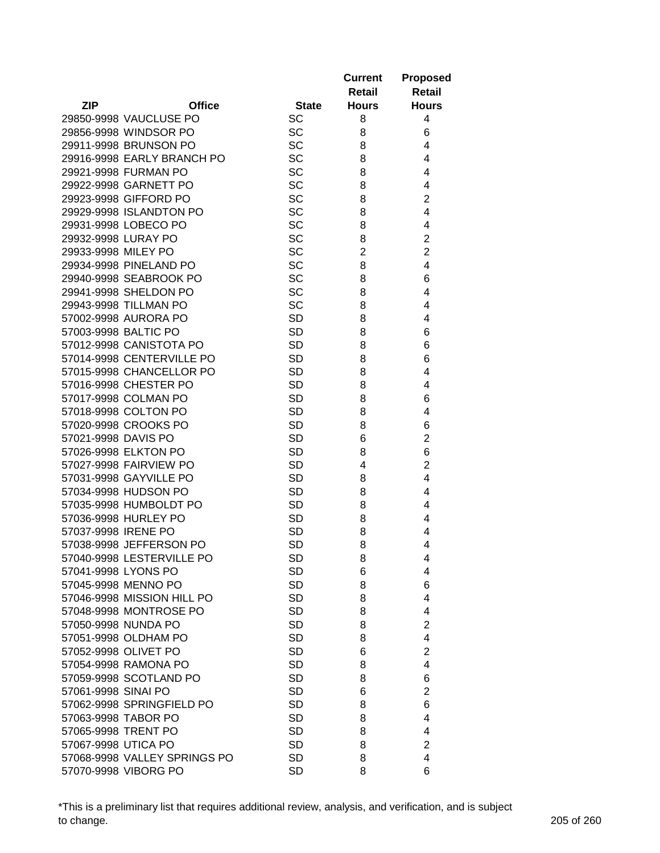| <b>ZIP</b><br><b>Office</b><br><b>State</b><br><b>Hours</b><br><b>Hours</b><br><b>SC</b><br>29850-9998 VAUCLUSE PO<br>8<br>4<br><b>SC</b><br>6<br>29856-9998 WINDSOR PO<br>8<br><b>SC</b><br>29911-9998 BRUNSON PO<br>8<br>4<br>SC<br>4<br>29916-9998 EARLY BRANCH PO<br>8<br><b>SC</b><br>29921-9998 FURMAN PO<br>4<br>8<br>SC<br>29922-9998 GARNETT PO<br>8<br>4<br>SC<br>$\overline{2}$<br>8<br>29923-9998 GIFFORD PO<br><b>SC</b><br>4<br>29929-9998 ISLANDTON PO<br>8<br><b>SC</b><br>29931-9998 LOBECO PO<br>8<br>4<br>SC<br>$\overline{2}$<br>29932-9998 LURAY PO<br>8<br>SC<br>$\overline{2}$<br>$\overline{2}$<br>29933-9998 MILEY PO<br>29934-9998 PINELAND PO<br>SC<br>4<br>8<br>SC<br>29940-9998 SEABROOK PO<br>6<br>8<br>29941-9998 SHELDON PO<br>SC<br>4<br>8<br><b>SC</b><br>29943-9998 TILLMAN PO<br>8<br>4<br>57002-9998 AURORA PO<br><b>SD</b><br>8<br>4<br>57003-9998 BALTIC PO<br><b>SD</b><br>8<br>6<br>57012-9998 CANISTOTA PO<br><b>SD</b><br>6<br>8<br>57014-9998 CENTERVILLE PO<br><b>SD</b><br>6<br>8<br><b>SD</b><br>4<br>57015-9998 CHANCELLOR PO<br>8<br><b>SD</b><br>4<br>57016-9998 CHESTER PO<br>8<br>57017-9998 COLMAN PO<br><b>SD</b><br>8<br>6<br>57018-9998 COLTON PO<br><b>SD</b><br>4<br>8<br><b>SD</b><br>6<br>57020-9998 CROOKS PO<br>8<br>$\overline{2}$<br><b>SD</b><br>57021-9998 DAVIS PO<br>6<br>6<br><b>SD</b><br>57026-9998 ELKTON PO<br>8<br>$\overline{2}$<br><b>SD</b><br>57027-9998 FAIRVIEW PO<br>4<br><b>SD</b><br>57031-9998 GAYVILLE PO<br>4<br>8<br>57034-9998 HUDSON PO<br><b>SD</b><br>4<br>8<br><b>SD</b><br>57035-9998 HUMBOLDT PO<br>4<br>8<br>57036-9998 HURLEY PO<br><b>SD</b><br>8<br>4<br><b>SD</b><br>57037-9998 IRENE PO<br>8<br>4<br>57038-9998 JEFFERSON PO<br><b>SD</b><br>8<br>4<br>57040-9998 LESTERVILLE PO<br>SD<br>8<br>4<br>57041-9998 LYONS PO<br><b>SD</b><br>6<br>4<br>57045-9998 MENNO PO<br><b>SD</b><br>6<br>8<br>57046-9998 MISSION HILL PO<br><b>SD</b><br>8<br>4<br>57048-9998 MONTROSE PO<br><b>SD</b><br>4<br>8<br>57050-9998 NUNDA PO<br><b>SD</b><br>$\overline{2}$<br>8<br><b>SD</b><br>4<br>57051-9998 OLDHAM PO<br>8<br>$\overline{2}$<br><b>SD</b><br>57052-9998 OLIVET PO<br>6<br><b>SD</b><br>4<br>57054-9998 RAMONA PO<br>8<br><b>SD</b><br>6<br>57059-9998 SCOTLAND PO<br>8<br>57061-9998 SINAI PO<br><b>SD</b><br>$\overline{2}$<br>6<br>57062-9998 SPRINGFIELD PO<br><b>SD</b><br>6<br>8<br>57063-9998 TABOR PO<br><b>SD</b><br>4<br>8<br>57065-9998 TRENT PO<br><b>SD</b><br>4<br>8<br>57067-9998 UTICA PO<br><b>SD</b><br>$\overline{2}$<br>8<br><b>SD</b><br>4<br>57068-9998 VALLEY SPRINGS PO<br>8 |                      |           | <b>Current</b><br>Retail | <b>Proposed</b><br><b>Retail</b> |
|-----------------------------------------------------------------------------------------------------------------------------------------------------------------------------------------------------------------------------------------------------------------------------------------------------------------------------------------------------------------------------------------------------------------------------------------------------------------------------------------------------------------------------------------------------------------------------------------------------------------------------------------------------------------------------------------------------------------------------------------------------------------------------------------------------------------------------------------------------------------------------------------------------------------------------------------------------------------------------------------------------------------------------------------------------------------------------------------------------------------------------------------------------------------------------------------------------------------------------------------------------------------------------------------------------------------------------------------------------------------------------------------------------------------------------------------------------------------------------------------------------------------------------------------------------------------------------------------------------------------------------------------------------------------------------------------------------------------------------------------------------------------------------------------------------------------------------------------------------------------------------------------------------------------------------------------------------------------------------------------------------------------------------------------------------------------------------------------------------------------------------------------------------------------------------------------------------------------------------------------------------------------------------------------------------------------------------------------------------------------------------------------------------------------------------------------------------------------------------------------------------------------------------------------------------------------------------------------------------------|----------------------|-----------|--------------------------|----------------------------------|
|                                                                                                                                                                                                                                                                                                                                                                                                                                                                                                                                                                                                                                                                                                                                                                                                                                                                                                                                                                                                                                                                                                                                                                                                                                                                                                                                                                                                                                                                                                                                                                                                                                                                                                                                                                                                                                                                                                                                                                                                                                                                                                                                                                                                                                                                                                                                                                                                                                                                                                                                                                                                           |                      |           |                          |                                  |
|                                                                                                                                                                                                                                                                                                                                                                                                                                                                                                                                                                                                                                                                                                                                                                                                                                                                                                                                                                                                                                                                                                                                                                                                                                                                                                                                                                                                                                                                                                                                                                                                                                                                                                                                                                                                                                                                                                                                                                                                                                                                                                                                                                                                                                                                                                                                                                                                                                                                                                                                                                                                           |                      |           |                          |                                  |
|                                                                                                                                                                                                                                                                                                                                                                                                                                                                                                                                                                                                                                                                                                                                                                                                                                                                                                                                                                                                                                                                                                                                                                                                                                                                                                                                                                                                                                                                                                                                                                                                                                                                                                                                                                                                                                                                                                                                                                                                                                                                                                                                                                                                                                                                                                                                                                                                                                                                                                                                                                                                           |                      |           |                          |                                  |
|                                                                                                                                                                                                                                                                                                                                                                                                                                                                                                                                                                                                                                                                                                                                                                                                                                                                                                                                                                                                                                                                                                                                                                                                                                                                                                                                                                                                                                                                                                                                                                                                                                                                                                                                                                                                                                                                                                                                                                                                                                                                                                                                                                                                                                                                                                                                                                                                                                                                                                                                                                                                           |                      |           |                          |                                  |
|                                                                                                                                                                                                                                                                                                                                                                                                                                                                                                                                                                                                                                                                                                                                                                                                                                                                                                                                                                                                                                                                                                                                                                                                                                                                                                                                                                                                                                                                                                                                                                                                                                                                                                                                                                                                                                                                                                                                                                                                                                                                                                                                                                                                                                                                                                                                                                                                                                                                                                                                                                                                           |                      |           |                          |                                  |
|                                                                                                                                                                                                                                                                                                                                                                                                                                                                                                                                                                                                                                                                                                                                                                                                                                                                                                                                                                                                                                                                                                                                                                                                                                                                                                                                                                                                                                                                                                                                                                                                                                                                                                                                                                                                                                                                                                                                                                                                                                                                                                                                                                                                                                                                                                                                                                                                                                                                                                                                                                                                           |                      |           |                          |                                  |
|                                                                                                                                                                                                                                                                                                                                                                                                                                                                                                                                                                                                                                                                                                                                                                                                                                                                                                                                                                                                                                                                                                                                                                                                                                                                                                                                                                                                                                                                                                                                                                                                                                                                                                                                                                                                                                                                                                                                                                                                                                                                                                                                                                                                                                                                                                                                                                                                                                                                                                                                                                                                           |                      |           |                          |                                  |
|                                                                                                                                                                                                                                                                                                                                                                                                                                                                                                                                                                                                                                                                                                                                                                                                                                                                                                                                                                                                                                                                                                                                                                                                                                                                                                                                                                                                                                                                                                                                                                                                                                                                                                                                                                                                                                                                                                                                                                                                                                                                                                                                                                                                                                                                                                                                                                                                                                                                                                                                                                                                           |                      |           |                          |                                  |
|                                                                                                                                                                                                                                                                                                                                                                                                                                                                                                                                                                                                                                                                                                                                                                                                                                                                                                                                                                                                                                                                                                                                                                                                                                                                                                                                                                                                                                                                                                                                                                                                                                                                                                                                                                                                                                                                                                                                                                                                                                                                                                                                                                                                                                                                                                                                                                                                                                                                                                                                                                                                           |                      |           |                          |                                  |
|                                                                                                                                                                                                                                                                                                                                                                                                                                                                                                                                                                                                                                                                                                                                                                                                                                                                                                                                                                                                                                                                                                                                                                                                                                                                                                                                                                                                                                                                                                                                                                                                                                                                                                                                                                                                                                                                                                                                                                                                                                                                                                                                                                                                                                                                                                                                                                                                                                                                                                                                                                                                           |                      |           |                          |                                  |
|                                                                                                                                                                                                                                                                                                                                                                                                                                                                                                                                                                                                                                                                                                                                                                                                                                                                                                                                                                                                                                                                                                                                                                                                                                                                                                                                                                                                                                                                                                                                                                                                                                                                                                                                                                                                                                                                                                                                                                                                                                                                                                                                                                                                                                                                                                                                                                                                                                                                                                                                                                                                           |                      |           |                          |                                  |
|                                                                                                                                                                                                                                                                                                                                                                                                                                                                                                                                                                                                                                                                                                                                                                                                                                                                                                                                                                                                                                                                                                                                                                                                                                                                                                                                                                                                                                                                                                                                                                                                                                                                                                                                                                                                                                                                                                                                                                                                                                                                                                                                                                                                                                                                                                                                                                                                                                                                                                                                                                                                           |                      |           |                          |                                  |
|                                                                                                                                                                                                                                                                                                                                                                                                                                                                                                                                                                                                                                                                                                                                                                                                                                                                                                                                                                                                                                                                                                                                                                                                                                                                                                                                                                                                                                                                                                                                                                                                                                                                                                                                                                                                                                                                                                                                                                                                                                                                                                                                                                                                                                                                                                                                                                                                                                                                                                                                                                                                           |                      |           |                          |                                  |
|                                                                                                                                                                                                                                                                                                                                                                                                                                                                                                                                                                                                                                                                                                                                                                                                                                                                                                                                                                                                                                                                                                                                                                                                                                                                                                                                                                                                                                                                                                                                                                                                                                                                                                                                                                                                                                                                                                                                                                                                                                                                                                                                                                                                                                                                                                                                                                                                                                                                                                                                                                                                           |                      |           |                          |                                  |
|                                                                                                                                                                                                                                                                                                                                                                                                                                                                                                                                                                                                                                                                                                                                                                                                                                                                                                                                                                                                                                                                                                                                                                                                                                                                                                                                                                                                                                                                                                                                                                                                                                                                                                                                                                                                                                                                                                                                                                                                                                                                                                                                                                                                                                                                                                                                                                                                                                                                                                                                                                                                           |                      |           |                          |                                  |
|                                                                                                                                                                                                                                                                                                                                                                                                                                                                                                                                                                                                                                                                                                                                                                                                                                                                                                                                                                                                                                                                                                                                                                                                                                                                                                                                                                                                                                                                                                                                                                                                                                                                                                                                                                                                                                                                                                                                                                                                                                                                                                                                                                                                                                                                                                                                                                                                                                                                                                                                                                                                           |                      |           |                          |                                  |
|                                                                                                                                                                                                                                                                                                                                                                                                                                                                                                                                                                                                                                                                                                                                                                                                                                                                                                                                                                                                                                                                                                                                                                                                                                                                                                                                                                                                                                                                                                                                                                                                                                                                                                                                                                                                                                                                                                                                                                                                                                                                                                                                                                                                                                                                                                                                                                                                                                                                                                                                                                                                           |                      |           |                          |                                  |
|                                                                                                                                                                                                                                                                                                                                                                                                                                                                                                                                                                                                                                                                                                                                                                                                                                                                                                                                                                                                                                                                                                                                                                                                                                                                                                                                                                                                                                                                                                                                                                                                                                                                                                                                                                                                                                                                                                                                                                                                                                                                                                                                                                                                                                                                                                                                                                                                                                                                                                                                                                                                           |                      |           |                          |                                  |
|                                                                                                                                                                                                                                                                                                                                                                                                                                                                                                                                                                                                                                                                                                                                                                                                                                                                                                                                                                                                                                                                                                                                                                                                                                                                                                                                                                                                                                                                                                                                                                                                                                                                                                                                                                                                                                                                                                                                                                                                                                                                                                                                                                                                                                                                                                                                                                                                                                                                                                                                                                                                           |                      |           |                          |                                  |
|                                                                                                                                                                                                                                                                                                                                                                                                                                                                                                                                                                                                                                                                                                                                                                                                                                                                                                                                                                                                                                                                                                                                                                                                                                                                                                                                                                                                                                                                                                                                                                                                                                                                                                                                                                                                                                                                                                                                                                                                                                                                                                                                                                                                                                                                                                                                                                                                                                                                                                                                                                                                           |                      |           |                          |                                  |
|                                                                                                                                                                                                                                                                                                                                                                                                                                                                                                                                                                                                                                                                                                                                                                                                                                                                                                                                                                                                                                                                                                                                                                                                                                                                                                                                                                                                                                                                                                                                                                                                                                                                                                                                                                                                                                                                                                                                                                                                                                                                                                                                                                                                                                                                                                                                                                                                                                                                                                                                                                                                           |                      |           |                          |                                  |
|                                                                                                                                                                                                                                                                                                                                                                                                                                                                                                                                                                                                                                                                                                                                                                                                                                                                                                                                                                                                                                                                                                                                                                                                                                                                                                                                                                                                                                                                                                                                                                                                                                                                                                                                                                                                                                                                                                                                                                                                                                                                                                                                                                                                                                                                                                                                                                                                                                                                                                                                                                                                           |                      |           |                          |                                  |
|                                                                                                                                                                                                                                                                                                                                                                                                                                                                                                                                                                                                                                                                                                                                                                                                                                                                                                                                                                                                                                                                                                                                                                                                                                                                                                                                                                                                                                                                                                                                                                                                                                                                                                                                                                                                                                                                                                                                                                                                                                                                                                                                                                                                                                                                                                                                                                                                                                                                                                                                                                                                           |                      |           |                          |                                  |
|                                                                                                                                                                                                                                                                                                                                                                                                                                                                                                                                                                                                                                                                                                                                                                                                                                                                                                                                                                                                                                                                                                                                                                                                                                                                                                                                                                                                                                                                                                                                                                                                                                                                                                                                                                                                                                                                                                                                                                                                                                                                                                                                                                                                                                                                                                                                                                                                                                                                                                                                                                                                           |                      |           |                          |                                  |
|                                                                                                                                                                                                                                                                                                                                                                                                                                                                                                                                                                                                                                                                                                                                                                                                                                                                                                                                                                                                                                                                                                                                                                                                                                                                                                                                                                                                                                                                                                                                                                                                                                                                                                                                                                                                                                                                                                                                                                                                                                                                                                                                                                                                                                                                                                                                                                                                                                                                                                                                                                                                           |                      |           |                          |                                  |
|                                                                                                                                                                                                                                                                                                                                                                                                                                                                                                                                                                                                                                                                                                                                                                                                                                                                                                                                                                                                                                                                                                                                                                                                                                                                                                                                                                                                                                                                                                                                                                                                                                                                                                                                                                                                                                                                                                                                                                                                                                                                                                                                                                                                                                                                                                                                                                                                                                                                                                                                                                                                           |                      |           |                          |                                  |
|                                                                                                                                                                                                                                                                                                                                                                                                                                                                                                                                                                                                                                                                                                                                                                                                                                                                                                                                                                                                                                                                                                                                                                                                                                                                                                                                                                                                                                                                                                                                                                                                                                                                                                                                                                                                                                                                                                                                                                                                                                                                                                                                                                                                                                                                                                                                                                                                                                                                                                                                                                                                           |                      |           |                          |                                  |
|                                                                                                                                                                                                                                                                                                                                                                                                                                                                                                                                                                                                                                                                                                                                                                                                                                                                                                                                                                                                                                                                                                                                                                                                                                                                                                                                                                                                                                                                                                                                                                                                                                                                                                                                                                                                                                                                                                                                                                                                                                                                                                                                                                                                                                                                                                                                                                                                                                                                                                                                                                                                           |                      |           |                          |                                  |
|                                                                                                                                                                                                                                                                                                                                                                                                                                                                                                                                                                                                                                                                                                                                                                                                                                                                                                                                                                                                                                                                                                                                                                                                                                                                                                                                                                                                                                                                                                                                                                                                                                                                                                                                                                                                                                                                                                                                                                                                                                                                                                                                                                                                                                                                                                                                                                                                                                                                                                                                                                                                           |                      |           |                          |                                  |
|                                                                                                                                                                                                                                                                                                                                                                                                                                                                                                                                                                                                                                                                                                                                                                                                                                                                                                                                                                                                                                                                                                                                                                                                                                                                                                                                                                                                                                                                                                                                                                                                                                                                                                                                                                                                                                                                                                                                                                                                                                                                                                                                                                                                                                                                                                                                                                                                                                                                                                                                                                                                           |                      |           |                          |                                  |
|                                                                                                                                                                                                                                                                                                                                                                                                                                                                                                                                                                                                                                                                                                                                                                                                                                                                                                                                                                                                                                                                                                                                                                                                                                                                                                                                                                                                                                                                                                                                                                                                                                                                                                                                                                                                                                                                                                                                                                                                                                                                                                                                                                                                                                                                                                                                                                                                                                                                                                                                                                                                           |                      |           |                          |                                  |
|                                                                                                                                                                                                                                                                                                                                                                                                                                                                                                                                                                                                                                                                                                                                                                                                                                                                                                                                                                                                                                                                                                                                                                                                                                                                                                                                                                                                                                                                                                                                                                                                                                                                                                                                                                                                                                                                                                                                                                                                                                                                                                                                                                                                                                                                                                                                                                                                                                                                                                                                                                                                           |                      |           |                          |                                  |
|                                                                                                                                                                                                                                                                                                                                                                                                                                                                                                                                                                                                                                                                                                                                                                                                                                                                                                                                                                                                                                                                                                                                                                                                                                                                                                                                                                                                                                                                                                                                                                                                                                                                                                                                                                                                                                                                                                                                                                                                                                                                                                                                                                                                                                                                                                                                                                                                                                                                                                                                                                                                           |                      |           |                          |                                  |
|                                                                                                                                                                                                                                                                                                                                                                                                                                                                                                                                                                                                                                                                                                                                                                                                                                                                                                                                                                                                                                                                                                                                                                                                                                                                                                                                                                                                                                                                                                                                                                                                                                                                                                                                                                                                                                                                                                                                                                                                                                                                                                                                                                                                                                                                                                                                                                                                                                                                                                                                                                                                           |                      |           |                          |                                  |
|                                                                                                                                                                                                                                                                                                                                                                                                                                                                                                                                                                                                                                                                                                                                                                                                                                                                                                                                                                                                                                                                                                                                                                                                                                                                                                                                                                                                                                                                                                                                                                                                                                                                                                                                                                                                                                                                                                                                                                                                                                                                                                                                                                                                                                                                                                                                                                                                                                                                                                                                                                                                           |                      |           |                          |                                  |
|                                                                                                                                                                                                                                                                                                                                                                                                                                                                                                                                                                                                                                                                                                                                                                                                                                                                                                                                                                                                                                                                                                                                                                                                                                                                                                                                                                                                                                                                                                                                                                                                                                                                                                                                                                                                                                                                                                                                                                                                                                                                                                                                                                                                                                                                                                                                                                                                                                                                                                                                                                                                           |                      |           |                          |                                  |
|                                                                                                                                                                                                                                                                                                                                                                                                                                                                                                                                                                                                                                                                                                                                                                                                                                                                                                                                                                                                                                                                                                                                                                                                                                                                                                                                                                                                                                                                                                                                                                                                                                                                                                                                                                                                                                                                                                                                                                                                                                                                                                                                                                                                                                                                                                                                                                                                                                                                                                                                                                                                           |                      |           |                          |                                  |
|                                                                                                                                                                                                                                                                                                                                                                                                                                                                                                                                                                                                                                                                                                                                                                                                                                                                                                                                                                                                                                                                                                                                                                                                                                                                                                                                                                                                                                                                                                                                                                                                                                                                                                                                                                                                                                                                                                                                                                                                                                                                                                                                                                                                                                                                                                                                                                                                                                                                                                                                                                                                           |                      |           |                          |                                  |
|                                                                                                                                                                                                                                                                                                                                                                                                                                                                                                                                                                                                                                                                                                                                                                                                                                                                                                                                                                                                                                                                                                                                                                                                                                                                                                                                                                                                                                                                                                                                                                                                                                                                                                                                                                                                                                                                                                                                                                                                                                                                                                                                                                                                                                                                                                                                                                                                                                                                                                                                                                                                           |                      |           |                          |                                  |
|                                                                                                                                                                                                                                                                                                                                                                                                                                                                                                                                                                                                                                                                                                                                                                                                                                                                                                                                                                                                                                                                                                                                                                                                                                                                                                                                                                                                                                                                                                                                                                                                                                                                                                                                                                                                                                                                                                                                                                                                                                                                                                                                                                                                                                                                                                                                                                                                                                                                                                                                                                                                           |                      |           |                          |                                  |
|                                                                                                                                                                                                                                                                                                                                                                                                                                                                                                                                                                                                                                                                                                                                                                                                                                                                                                                                                                                                                                                                                                                                                                                                                                                                                                                                                                                                                                                                                                                                                                                                                                                                                                                                                                                                                                                                                                                                                                                                                                                                                                                                                                                                                                                                                                                                                                                                                                                                                                                                                                                                           |                      |           |                          |                                  |
|                                                                                                                                                                                                                                                                                                                                                                                                                                                                                                                                                                                                                                                                                                                                                                                                                                                                                                                                                                                                                                                                                                                                                                                                                                                                                                                                                                                                                                                                                                                                                                                                                                                                                                                                                                                                                                                                                                                                                                                                                                                                                                                                                                                                                                                                                                                                                                                                                                                                                                                                                                                                           |                      |           |                          |                                  |
|                                                                                                                                                                                                                                                                                                                                                                                                                                                                                                                                                                                                                                                                                                                                                                                                                                                                                                                                                                                                                                                                                                                                                                                                                                                                                                                                                                                                                                                                                                                                                                                                                                                                                                                                                                                                                                                                                                                                                                                                                                                                                                                                                                                                                                                                                                                                                                                                                                                                                                                                                                                                           |                      |           |                          |                                  |
|                                                                                                                                                                                                                                                                                                                                                                                                                                                                                                                                                                                                                                                                                                                                                                                                                                                                                                                                                                                                                                                                                                                                                                                                                                                                                                                                                                                                                                                                                                                                                                                                                                                                                                                                                                                                                                                                                                                                                                                                                                                                                                                                                                                                                                                                                                                                                                                                                                                                                                                                                                                                           |                      |           |                          |                                  |
|                                                                                                                                                                                                                                                                                                                                                                                                                                                                                                                                                                                                                                                                                                                                                                                                                                                                                                                                                                                                                                                                                                                                                                                                                                                                                                                                                                                                                                                                                                                                                                                                                                                                                                                                                                                                                                                                                                                                                                                                                                                                                                                                                                                                                                                                                                                                                                                                                                                                                                                                                                                                           |                      |           |                          |                                  |
|                                                                                                                                                                                                                                                                                                                                                                                                                                                                                                                                                                                                                                                                                                                                                                                                                                                                                                                                                                                                                                                                                                                                                                                                                                                                                                                                                                                                                                                                                                                                                                                                                                                                                                                                                                                                                                                                                                                                                                                                                                                                                                                                                                                                                                                                                                                                                                                                                                                                                                                                                                                                           |                      |           |                          |                                  |
|                                                                                                                                                                                                                                                                                                                                                                                                                                                                                                                                                                                                                                                                                                                                                                                                                                                                                                                                                                                                                                                                                                                                                                                                                                                                                                                                                                                                                                                                                                                                                                                                                                                                                                                                                                                                                                                                                                                                                                                                                                                                                                                                                                                                                                                                                                                                                                                                                                                                                                                                                                                                           |                      |           |                          |                                  |
|                                                                                                                                                                                                                                                                                                                                                                                                                                                                                                                                                                                                                                                                                                                                                                                                                                                                                                                                                                                                                                                                                                                                                                                                                                                                                                                                                                                                                                                                                                                                                                                                                                                                                                                                                                                                                                                                                                                                                                                                                                                                                                                                                                                                                                                                                                                                                                                                                                                                                                                                                                                                           |                      |           |                          |                                  |
|                                                                                                                                                                                                                                                                                                                                                                                                                                                                                                                                                                                                                                                                                                                                                                                                                                                                                                                                                                                                                                                                                                                                                                                                                                                                                                                                                                                                                                                                                                                                                                                                                                                                                                                                                                                                                                                                                                                                                                                                                                                                                                                                                                                                                                                                                                                                                                                                                                                                                                                                                                                                           |                      |           |                          |                                  |
|                                                                                                                                                                                                                                                                                                                                                                                                                                                                                                                                                                                                                                                                                                                                                                                                                                                                                                                                                                                                                                                                                                                                                                                                                                                                                                                                                                                                                                                                                                                                                                                                                                                                                                                                                                                                                                                                                                                                                                                                                                                                                                                                                                                                                                                                                                                                                                                                                                                                                                                                                                                                           |                      |           |                          |                                  |
|                                                                                                                                                                                                                                                                                                                                                                                                                                                                                                                                                                                                                                                                                                                                                                                                                                                                                                                                                                                                                                                                                                                                                                                                                                                                                                                                                                                                                                                                                                                                                                                                                                                                                                                                                                                                                                                                                                                                                                                                                                                                                                                                                                                                                                                                                                                                                                                                                                                                                                                                                                                                           | 57070-9998 VIBORG PO | <b>SD</b> | 8                        | 6                                |

\*This is a preliminary list that requires additional review, analysis, and verification, and is subject to change. 205 of 260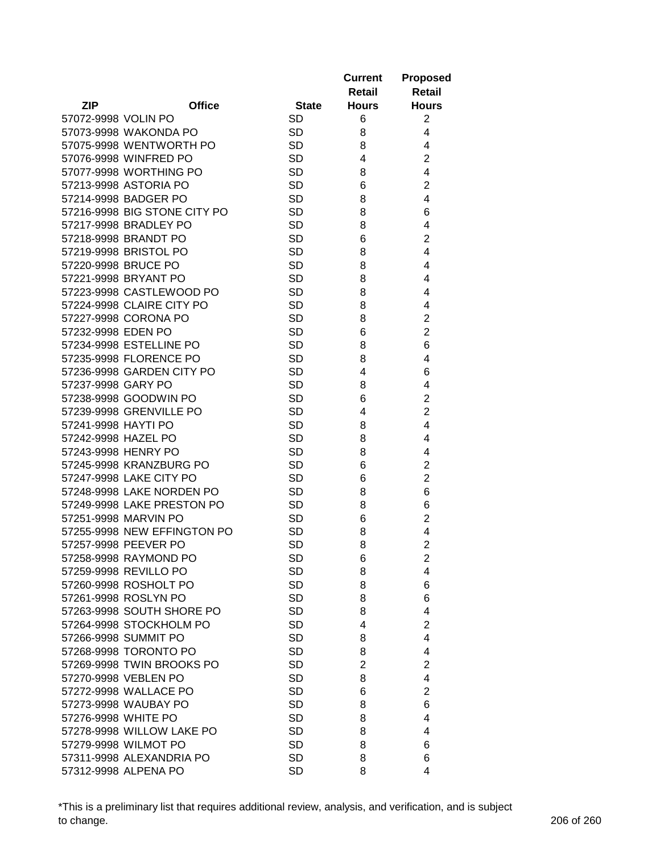|                     |                              |              | <b>Current</b><br>Retail | <b>Proposed</b><br><b>Retail</b> |
|---------------------|------------------------------|--------------|--------------------------|----------------------------------|
| <b>ZIP</b>          | <b>Office</b>                | <b>State</b> | <b>Hours</b>             | <b>Hours</b>                     |
| 57072-9998 VOLIN PO |                              | <b>SD</b>    | 6                        | $\overline{2}$                   |
|                     | 57073-9998 WAKONDA PO        | <b>SD</b>    | 8                        | 4                                |
|                     | 57075-9998 WENTWORTH PO      | <b>SD</b>    | 8                        | 4                                |
|                     | 57076-9998 WINFRED PO        | <b>SD</b>    | 4                        | $\overline{2}$                   |
|                     | 57077-9998 WORTHING PO       | <b>SD</b>    | 8                        | 4                                |
|                     | 57213-9998 ASTORIA PO        | <b>SD</b>    |                          | $\overline{2}$                   |
|                     | 57214-9998 BADGER PO         | <b>SD</b>    | 6<br>8                   | 4                                |
|                     |                              | <b>SD</b>    |                          | 6                                |
|                     | 57216-9998 BIG STONE CITY PO | <b>SD</b>    | 8                        |                                  |
|                     | 57217-9998 BRADLEY PO        |              | 8                        | 4                                |
|                     | 57218-9998 BRANDT PO         | <b>SD</b>    | 6                        | $\overline{2}$                   |
|                     | 57219-9998 BRISTOL PO        | <b>SD</b>    | 8                        | 4                                |
| 57220-9998 BRUCE PO |                              | <b>SD</b>    | 8                        | 4                                |
|                     | 57221-9998 BRYANT PO         | <b>SD</b>    | 8                        | 4                                |
|                     | 57223-9998 CASTLEWOOD PO     | <b>SD</b>    | 8                        | 4                                |
|                     | 57224-9998 CLAIRE CITY PO    | <b>SD</b>    | 8                        | 4                                |
|                     | 57227-9998 CORONA PO         | <b>SD</b>    | 8                        | $\overline{\mathbf{c}}$          |
| 57232-9998 EDEN PO  |                              | <b>SD</b>    | 6                        | $\overline{2}$                   |
|                     | 57234-9998 ESTELLINE PO      | <b>SD</b>    | 8                        | 6                                |
|                     | 57235-9998 FLORENCE PO       | <b>SD</b>    | 8                        | 4                                |
|                     | 57236-9998 GARDEN CITY PO    | <b>SD</b>    | 4                        | 6                                |
| 57237-9998 GARY PO  |                              | <b>SD</b>    | 8                        | 4                                |
|                     | 57238-9998 GOODWIN PO        | <b>SD</b>    | 6                        | $\overline{c}$                   |
|                     | 57239-9998 GRENVILLE PO      | <b>SD</b>    | 4                        | $\overline{2}$                   |
| 57241-9998 HAYTI PO |                              | <b>SD</b>    | 8                        | 4                                |
| 57242-9998 HAZEL PO |                              | <b>SD</b>    | 8                        | 4                                |
| 57243-9998 HENRY PO |                              | <b>SD</b>    | 8                        | 4                                |
|                     | 57245-9998 KRANZBURG PO      | <b>SD</b>    | 6                        | $\overline{2}$                   |
|                     | 57247-9998 LAKE CITY PO      | <b>SD</b>    | 6                        | $\overline{2}$                   |
|                     | 57248-9998 LAKE NORDEN PO    | <b>SD</b>    | 8                        | 6                                |
|                     | 57249-9998 LAKE PRESTON PO   | <b>SD</b>    | 8                        | 6                                |
|                     | 57251-9998 MARVIN PO         | <b>SD</b>    | 6                        | $\overline{2}$                   |
|                     | 57255-9998 NEW EFFINGTON PO  | <b>SD</b>    | 8                        | 4                                |
|                     | 57257-9998 PEEVER PO         | <b>SD</b>    | 8                        | $\overline{2}$                   |
|                     | 57258-9998 RAYMOND PO        | SD           | 6                        | 2                                |
|                     | 57259-9998 REVILLO PO        | <b>SD</b>    | 8                        | 4                                |
|                     | 57260-9998 ROSHOLT PO        | <b>SD</b>    | 8                        | 6                                |
|                     | 57261-9998 ROSLYN PO         | <b>SD</b>    | 8                        | 6                                |
|                     | 57263-9998 SOUTH SHORE PO    | <b>SD</b>    | 8                        | 4                                |
|                     | 57264-9998 STOCKHOLM PO      | <b>SD</b>    | 4                        | $\overline{2}$                   |
|                     | 57266-9998 SUMMIT PO         | <b>SD</b>    | 8                        | 4                                |
|                     | 57268-9998 TORONTO PO        | <b>SD</b>    | 8                        | 4                                |
|                     | 57269-9998 TWIN BROOKS PO    | <b>SD</b>    | $\overline{2}$           | $\overline{2}$                   |
|                     | 57270-9998 VEBLEN PO         | <b>SD</b>    | 8                        | 4                                |
|                     | 57272-9998 WALLACE PO        | <b>SD</b>    | 6                        | $\overline{2}$                   |
|                     | 57273-9998 WAUBAY PO         | <b>SD</b>    | 8                        | 6                                |
| 57276-9998 WHITE PO |                              | <b>SD</b>    | 8                        | 4                                |
|                     | 57278-9998 WILLOW LAKE PO    | <b>SD</b>    | 8                        | 4                                |
|                     | 57279-9998 WILMOT PO         | <b>SD</b>    | 8                        | 6                                |
|                     | 57311-9998 ALEXANDRIA PO     | <b>SD</b>    | 8                        | 6                                |
|                     | 57312-9998 ALPENA PO         | <b>SD</b>    | 8                        | 4                                |

\*This is a preliminary list that requires additional review, analysis, and verification, and is subject to change. 206 of 260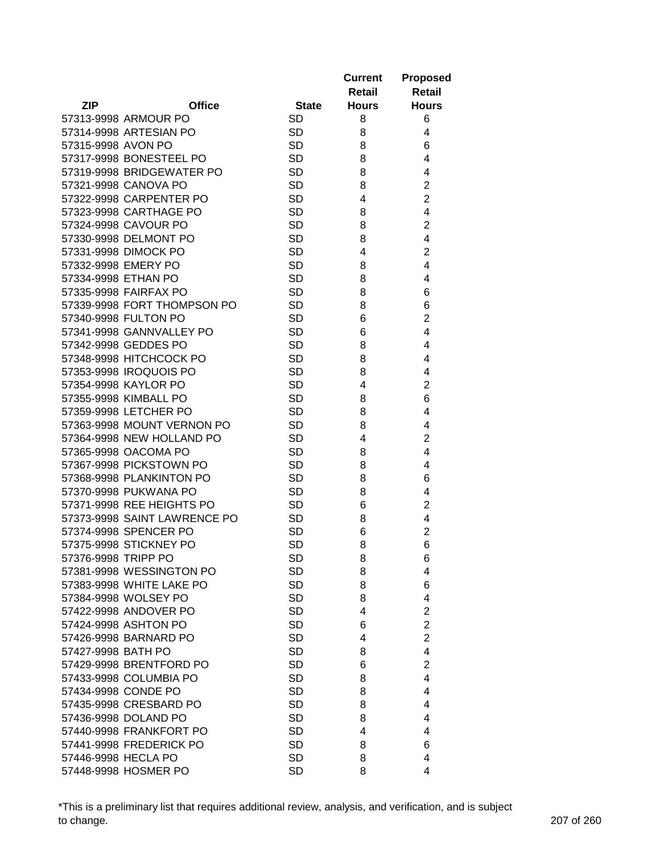|                     |                              |              | <b>Current</b><br>Retail | <b>Proposed</b><br><b>Retail</b> |
|---------------------|------------------------------|--------------|--------------------------|----------------------------------|
| <b>ZIP</b>          | <b>Office</b>                | <b>State</b> | <b>Hours</b>             | <b>Hours</b>                     |
|                     | 57313-9998 ARMOUR PO         | <b>SD</b>    | 8                        | 6                                |
|                     | 57314-9998 ARTESIAN PO       | <b>SD</b>    | 8                        | 4                                |
| 57315-9998 AVON PO  |                              | <b>SD</b>    | 8                        | 6                                |
|                     | 57317-9998 BONESTEEL PO      | <b>SD</b>    | 8                        | 4                                |
|                     | 57319-9998 BRIDGEWATER PO    | <b>SD</b>    | 8                        | 4                                |
|                     | 57321-9998 CANOVA PO         | <b>SD</b>    | 8                        | $\overline{2}$                   |
|                     | 57322-9998 CARPENTER PO      | <b>SD</b>    | 4                        | $\overline{2}$                   |
|                     | 57323-9998 CARTHAGE PO       | <b>SD</b>    | 8                        | 4                                |
|                     | 57324-9998 CAVOUR PO         | <b>SD</b>    | 8                        | $\overline{2}$                   |
|                     | 57330-9998 DELMONT PO        | <b>SD</b>    | 8                        | 4                                |
|                     | 57331-9998 DIMOCK PO         | <b>SD</b>    | 4                        | $\overline{2}$                   |
|                     | 57332-9998 EMERY PO          | <b>SD</b>    | 8                        | 4                                |
| 57334-9998 ETHAN PO |                              | <b>SD</b>    | 8                        | 4                                |
|                     | 57335-9998 FAIRFAX PO        | <b>SD</b>    | 8                        | 6                                |
|                     | 57339-9998 FORT THOMPSON PO  | <b>SD</b>    | 8                        | 6                                |
|                     | 57340-9998 FULTON PO         | <b>SD</b>    | 6                        | $\overline{2}$                   |
|                     | 57341-9998 GANNVALLEY PO     | <b>SD</b>    | 6                        | 4                                |
|                     | 57342-9998 GEDDES PO         | <b>SD</b>    | 8                        | 4                                |
|                     | 57348-9998 HITCHCOCK PO      | <b>SD</b>    |                          |                                  |
|                     |                              |              | 8                        | 4                                |
|                     | 57353-9998 IROQUOIS PO       | <b>SD</b>    | 8                        | 4                                |
|                     | 57354-9998 KAYLOR PO         | <b>SD</b>    | 4                        | $\overline{2}$                   |
|                     | 57355-9998 KIMBALL PO        | <b>SD</b>    | 8                        | 6                                |
|                     | 57359-9998 LETCHER PO        | <b>SD</b>    | 8                        | 4                                |
|                     | 57363-9998 MOUNT VERNON PO   | <b>SD</b>    | 8                        | 4                                |
|                     | 57364-9998 NEW HOLLAND PO    | <b>SD</b>    | 4                        | $\overline{2}$                   |
|                     | 57365-9998 OACOMA PO         | <b>SD</b>    | 8                        | 4                                |
|                     | 57367-9998 PICKSTOWN PO      | <b>SD</b>    | 8                        | 4                                |
|                     | 57368-9998 PLANKINTON PO     | <b>SD</b>    | 8                        | 6                                |
|                     | 57370-9998 PUKWANA PO        | <b>SD</b>    | 8                        | 4                                |
|                     | 57371-9998 REE HEIGHTS PO    | <b>SD</b>    | 6                        | $\overline{c}$                   |
|                     | 57373-9998 SAINT LAWRENCE PO | <b>SD</b>    | 8                        | 4                                |
|                     | 57374-9998 SPENCER PO        | <b>SD</b>    | 6                        | $\overline{2}$                   |
|                     | 57375-9998 STICKNEY PO       | <b>SD</b>    | 8                        | 6                                |
| 57376-9998 TRIPP PO |                              | SD           | 8                        | 6                                |
|                     | 57381-9998 WESSINGTON PO     | <b>SD</b>    | 8                        | 4                                |
|                     | 57383-9998 WHITE LAKE PO     | <b>SD</b>    | 8                        | 6                                |
|                     | 57384-9998 WOLSEY PO         | <b>SD</b>    | 8                        | 4                                |
|                     | 57422-9998 ANDOVER PO        | <b>SD</b>    | 4                        | $\overline{2}$                   |
|                     | 57424-9998 ASHTON PO         | <b>SD</b>    | 6                        | $\overline{2}$                   |
|                     | 57426-9998 BARNARD PO        | <b>SD</b>    | 4                        | $\overline{2}$                   |
| 57427-9998 BATH PO  |                              | <b>SD</b>    | 8                        | 4                                |
|                     | 57429-9998 BRENTFORD PO      | <b>SD</b>    | 6                        | $\overline{2}$                   |
|                     | 57433-9998 COLUMBIA PO       | <b>SD</b>    | 8                        | 4                                |
|                     | 57434-9998 CONDE PO          | <b>SD</b>    | 8                        | 4                                |
|                     | 57435-9998 CRESBARD PO       | <b>SD</b>    | 8                        | 4                                |
|                     | 57436-9998 DOLAND PO         | <b>SD</b>    | 8                        | 4                                |
|                     | 57440-9998 FRANKFORT PO      | <b>SD</b>    | 4                        | 4                                |
|                     | 57441-9998 FREDERICK PO      | <b>SD</b>    | 8                        | 6                                |
| 57446-9998 HECLA PO |                              | <b>SD</b>    | 8                        | 4                                |
|                     | 57448-9998 HOSMER PO         | <b>SD</b>    | 8                        | 4                                |

\*This is a preliminary list that requires additional review, analysis, and verification, and is subject to change. 207 of 260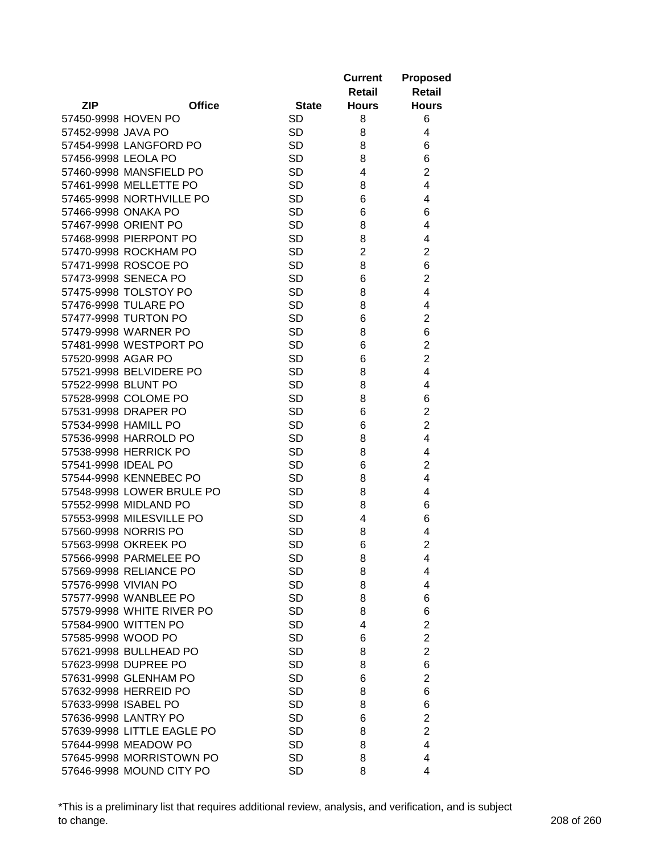|                             |              | <b>Current</b><br>Retail | <b>Proposed</b><br><b>Retail</b> |
|-----------------------------|--------------|--------------------------|----------------------------------|
| <b>ZIP</b><br><b>Office</b> | <b>State</b> | <b>Hours</b>             | <b>Hours</b>                     |
| 57450-9998 HOVEN PO         | <b>SD</b>    | 8                        | 6                                |
| 57452-9998 JAVA PO          | <b>SD</b>    | 8                        | 4                                |
| 57454-9998 LANGFORD PO      | <b>SD</b>    | 8                        | 6                                |
| 57456-9998 LEOLA PO         | <b>SD</b>    | 8                        | 6                                |
| 57460-9998 MANSFIELD PO     | <b>SD</b>    | 4                        | $\overline{2}$                   |
| 57461-9998 MELLETTE PO      | <b>SD</b>    | 8                        | 4                                |
| 57465-9998 NORTHVILLE PO    | <b>SD</b>    | 6                        | 4                                |
| 57466-9998 ONAKA PO         | <b>SD</b>    | 6                        | 6                                |
| 57467-9998 ORIENT PO        | <b>SD</b>    | 8                        | 4                                |
| 57468-9998 PIERPONT PO      | <b>SD</b>    | 8                        | 4                                |
| 57470-9998 ROCKHAM PO       | <b>SD</b>    | $\overline{2}$           | $\overline{2}$                   |
| 57471-9998 ROSCOE PO        | <b>SD</b>    | 8                        | 6                                |
| 57473-9998 SENECA PO        | <b>SD</b>    | 6                        | $\overline{2}$                   |
| 57475-9998 TOLSTOY PO       | <b>SD</b>    | 8                        | 4                                |
| 57476-9998 TULARE PO        | <b>SD</b>    | 8                        | 4                                |
| 57477-9998 TURTON PO        | <b>SD</b>    | 6                        | $\overline{c}$                   |
| 57479-9998 WARNER PO        | <b>SD</b>    | 8                        | 6                                |
| 57481-9998 WESTPORT PO      | <b>SD</b>    | 6                        | $\overline{c}$                   |
| 57520-9998 AGAR PO          | <b>SD</b>    | 6                        | $\overline{2}$                   |
| 57521-9998 BELVIDERE PO     | <b>SD</b>    | 8                        | 4                                |
| 57522-9998 BLUNT PO         | <b>SD</b>    | 8                        | 4                                |
| 57528-9998 COLOME PO        | <b>SD</b>    | 8                        | 6                                |
| 57531-9998 DRAPER PO        | <b>SD</b>    | 6                        | $\overline{2}$                   |
| 57534-9998 HAMILL PO        | <b>SD</b>    | 6                        | $\overline{2}$                   |
| 57536-9998 HARROLD PO       | <b>SD</b>    | 8                        | 4                                |
| 57538-9998 HERRICK PO       | <b>SD</b>    | 8                        | 4                                |
| 57541-9998 IDEAL PO         | <b>SD</b>    | 6                        | $\overline{2}$                   |
| 57544-9998 KENNEBEC PO      | <b>SD</b>    | 8                        | 4                                |
| 57548-9998 LOWER BRULE PO   | <b>SD</b>    | 8                        | 4                                |
| 57552-9998 MIDLAND PO       | <b>SD</b>    | 8                        | 6                                |
| 57553-9998 MILESVILLE PO    | <b>SD</b>    | 4                        | 6                                |
| 57560-9998 NORRIS PO        | <b>SD</b>    | 8                        | 4                                |
| 57563-9998 OKREEK PO        | <b>SD</b>    | 6                        | $\overline{2}$                   |
| 57566-9998 PARMELEE PO      | SD           | 8                        | 4                                |
| 57569-9998 RELIANCE PO      | <b>SD</b>    | 8                        | 4                                |
| 57576-9998 VIVIAN PO        | <b>SD</b>    | 8                        | 4                                |
| 57577-9998 WANBLEE PO       | <b>SD</b>    | 8                        | 6                                |
| 57579-9998 WHITE RIVER PO   | <b>SD</b>    | 8                        | 6                                |
| 57584-9900 WITTEN PO        | <b>SD</b>    | 4                        | $\overline{2}$                   |
| 57585-9998 WOOD PO          | <b>SD</b>    | 6                        | $\overline{2}$                   |
| 57621-9998 BULLHEAD PO      | <b>SD</b>    | 8                        | $\overline{2}$                   |
| 57623-9998 DUPREE PO        | <b>SD</b>    | 8                        | 6                                |
| 57631-9998 GLENHAM PO       | <b>SD</b>    | 6                        | $\overline{2}$                   |
| 57632-9998 HERREID PO       | <b>SD</b>    | 8                        | 6                                |
| 57633-9998 ISABEL PO        | <b>SD</b>    | 8                        | 6                                |
| 57636-9998 LANTRY PO        | <b>SD</b>    | 6                        | $\overline{2}$                   |
| 57639-9998 LITTLE EAGLE PO  | <b>SD</b>    | 8                        | $\overline{2}$                   |
| 57644-9998 MEADOW PO        | <b>SD</b>    | 8                        | 4                                |
| 57645-9998 MORRISTOWN PO    | <b>SD</b>    | 8                        | 4                                |
| 57646-9998 MOUND CITY PO    | <b>SD</b>    | 8                        | 4                                |

\*This is a preliminary list that requires additional review, analysis, and verification, and is subject to change. 208 of 260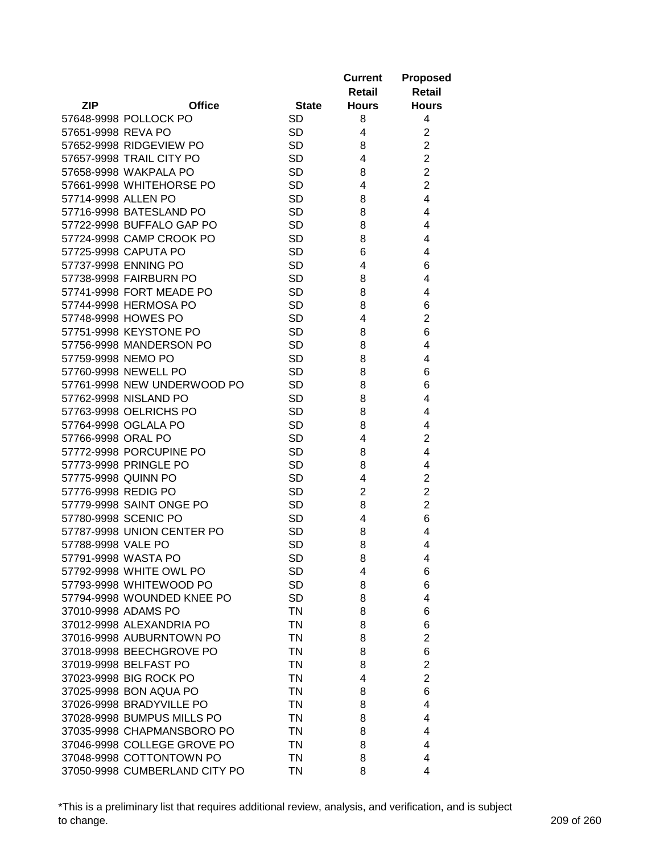|                     |                               |                 | <b>Current</b><br>Retail | <b>Proposed</b><br><b>Retail</b> |
|---------------------|-------------------------------|-----------------|--------------------------|----------------------------------|
| <b>ZIP</b>          | <b>Office</b>                 | <b>State</b>    | <b>Hours</b>             | <b>Hours</b>                     |
|                     | 57648-9998 POLLOCK PO         | <b>SD</b>       | 8                        | 4                                |
| 57651-9998 REVA PO  |                               | <b>SD</b>       | 4                        | $\overline{2}$                   |
|                     | 57652-9998 RIDGEVIEW PO       | <b>SD</b>       | 8                        | $\overline{2}$                   |
|                     | 57657-9998 TRAIL CITY PO      | <b>SD</b>       | 4                        | $\overline{c}$                   |
|                     | 57658-9998 WAKPALA PO         | <b>SD</b>       | 8                        | $\overline{c}$                   |
|                     | 57661-9998 WHITEHORSE PO      | <b>SD</b>       | 4                        | $\overline{2}$                   |
| 57714-9998 ALLEN PO |                               | <b>SD</b>       | 8                        | 4                                |
|                     | 57716-9998 BATESLAND PO       | <b>SD</b>       | 8                        | 4                                |
|                     | 57722-9998 BUFFALO GAP PO     | <b>SD</b>       | 8                        | 4                                |
|                     | 57724-9998 CAMP CROOK PO      | <b>SD</b>       | 8                        | 4                                |
|                     | 57725-9998 CAPUTA PO          | <b>SD</b>       | 6                        | 4                                |
|                     | 57737-9998 ENNING PO          | <b>SD</b>       | 4                        | 6                                |
|                     | 57738-9998 FAIRBURN PO        | <b>SD</b>       | 8                        | 4                                |
|                     | 57741-9998 FORT MEADE PO      | <b>SD</b>       | 8                        | 4                                |
|                     | 57744-9998 HERMOSA PO         | <b>SD</b>       | 8                        | 6                                |
|                     | 57748-9998 HOWES PO           | <b>SD</b>       | 4                        | $\overline{2}$                   |
|                     | 57751-9998 KEYSTONE PO        | <b>SD</b>       | 8                        | 6                                |
|                     | 57756-9998 MANDERSON PO       | <b>SD</b>       | 8                        | 4                                |
| 57759-9998 NEMO PO  |                               | <b>SD</b>       | 8                        | 4                                |
|                     | 57760-9998 NEWELL PO          | <b>SD</b>       | 8                        | 6                                |
|                     | 57761-9998 NEW UNDERWOOD PO   | <b>SD</b>       | 8                        | 6                                |
|                     |                               | <b>SD</b>       |                          | 4                                |
|                     | 57762-9998 NISLAND PO         | <b>SD</b>       | 8<br>8                   |                                  |
|                     | 57763-9998 OELRICHS PO        | <b>SD</b>       | 8                        | 4                                |
|                     | 57764-9998 OGLALA PO          | <b>SD</b>       |                          | 4<br>$\overline{2}$              |
| 57766-9998 ORAL PO  | 57772-9998 PORCUPINE PO       | <b>SD</b>       | 4<br>8                   | 4                                |
|                     | 57773-9998 PRINGLE PO         | <b>SD</b>       | 8                        | 4                                |
| 57775-9998 QUINN PO |                               | <b>SD</b>       | 4                        | $\overline{2}$                   |
| 57776-9998 REDIG PO |                               | <b>SD</b>       | $\overline{2}$           | $\overline{2}$                   |
|                     | 57779-9998 SAINT ONGE PO      | <b>SD</b>       | 8                        | $\overline{2}$                   |
|                     | 57780-9998 SCENIC PO          | <b>SD</b>       |                          | 6                                |
|                     |                               | <b>SD</b>       | 4                        |                                  |
| 57788-9998 VALE PO  | 57787-9998 UNION CENTER PO    | <b>SD</b>       | 8<br>8                   | 4<br>4                           |
|                     | 57791-9998 WASTA PO           |                 |                          | 4                                |
|                     | 57792-9998 WHITE OWL PO       | SD<br><b>SD</b> | 8                        |                                  |
|                     | 57793-9998 WHITEWOOD PO       | <b>SD</b>       | 4<br>8                   | 6<br>6                           |
|                     | 57794-9998 WOUNDED KNEE PO    | <b>SD</b>       | 8                        | 4                                |
|                     | 37010-9998 ADAMS PO           | <b>TN</b>       | 8                        |                                  |
|                     | 37012-9998 ALEXANDRIA PO      | ΤN              | 8                        | 6<br>6                           |
|                     | 37016-9998 AUBURNTOWN PO      | TN              | 8                        | $\overline{2}$                   |
|                     | 37018-9998 BEECHGROVE PO      | <b>TN</b>       | 8                        | 6                                |
|                     | 37019-9998 BELFAST PO         | <b>TN</b>       | 8                        | $\overline{2}$                   |
|                     | 37023-9998 BIG ROCK PO        | <b>TN</b>       | 4                        | $\overline{2}$                   |
|                     | 37025-9998 BON AQUA PO        | <b>TN</b>       | 8                        | 6                                |
|                     | 37026-9998 BRADYVILLE PO      | <b>TN</b>       |                          | 4                                |
|                     | 37028-9998 BUMPUS MILLS PO    | <b>TN</b>       | 8                        |                                  |
|                     | 37035-9998 CHAPMANSBORO PO    | <b>TN</b>       | 8<br>8                   | 4<br>4                           |
|                     | 37046-9998 COLLEGE GROVE PO   | <b>TN</b>       | 8                        | 4                                |
|                     | 37048-9998 COTTONTOWN PO      | ΤN              | 8                        | 4                                |
|                     | 37050-9998 CUMBERLAND CITY PO | <b>TN</b>       | 8                        | 4                                |
|                     |                               |                 |                          |                                  |

\*This is a preliminary list that requires additional review, analysis, and verification, and is subject to change. 209 of 260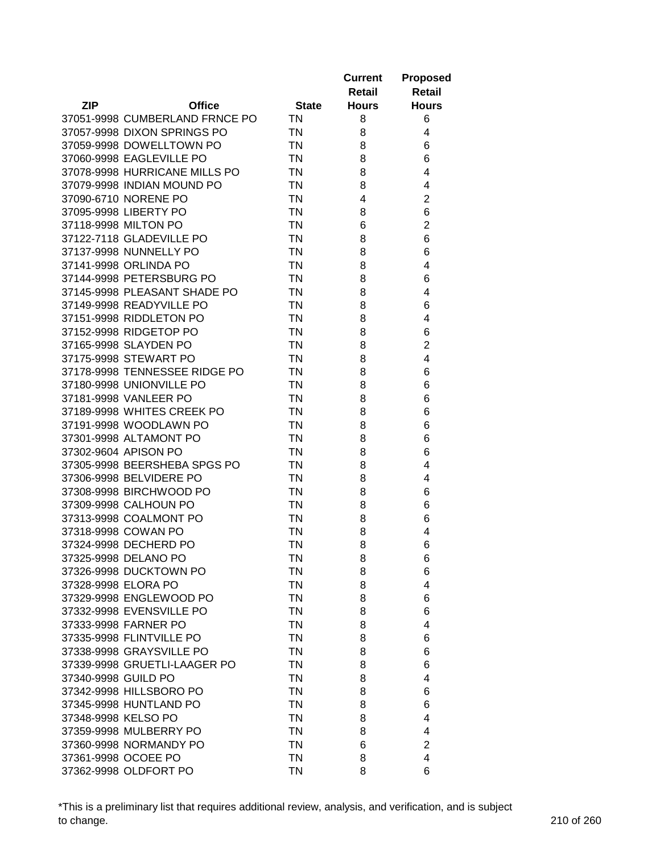|                     |                                                    |                        | <b>Current</b><br>Retail | <b>Proposed</b><br><b>Retail</b> |
|---------------------|----------------------------------------------------|------------------------|--------------------------|----------------------------------|
| <b>ZIP</b>          | <b>Office</b>                                      | <b>State</b>           | <b>Hours</b>             | <b>Hours</b>                     |
|                     | 37051-9998 CUMBERLAND FRNCE PO                     | TN                     | 8                        | 6                                |
|                     | 37057-9998 DIXON SPRINGS PO                        | TN                     | 8                        | 4                                |
|                     | 37059-9998 DOWELLTOWN PO                           | <b>TN</b>              | 8                        | 6                                |
|                     | 37060-9998 EAGLEVILLE PO                           | <b>TN</b>              | 8                        | 6                                |
|                     | 37078-9998 HURRICANE MILLS PO                      | TN                     | 8                        | 4                                |
|                     | 37079-9998 INDIAN MOUND PO                         | <b>TN</b>              | 8                        | 4                                |
|                     | 37090-6710 NORENE PO                               | <b>TN</b>              | 4                        | $\overline{2}$                   |
|                     | 37095-9998 LIBERTY PO                              | <b>TN</b>              | 8                        | 6                                |
|                     | 37118-9998 MILTON PO                               | <b>TN</b>              | 6                        | $\overline{2}$                   |
|                     | 37122-7118 GLADEVILLE PO                           | <b>TN</b>              | 8                        | 6                                |
|                     | 37137-9998 NUNNELLY PO                             | <b>TN</b>              | 8                        | 6                                |
|                     | 37141-9998 ORLINDA PO                              | <b>TN</b>              | 8                        | 4                                |
|                     | 37144-9998 PETERSBURG PO                           | <b>TN</b>              | 8                        | 6                                |
|                     | 37145-9998 PLEASANT SHADE PO                       | <b>TN</b>              | 8                        | 4                                |
|                     | 37149-9998 READYVILLE PO                           | <b>TN</b>              | 8                        | 6                                |
|                     | 37151-9998 RIDDLETON PO                            | <b>TN</b>              | 8                        | 4                                |
|                     | 37152-9998 RIDGETOP PO                             | <b>TN</b>              | 8                        | 6                                |
|                     | 37165-9998 SLAYDEN PO                              | <b>TN</b>              | 8                        | $\overline{c}$                   |
|                     | 37175-9998 STEWART PO                              | TN                     | 8                        | 4                                |
|                     | 37178-9998 TENNESSEE RIDGE PO                      | <b>TN</b>              | 8                        | 6                                |
|                     | 37180-9998 UNIONVILLE PO                           | <b>TN</b>              | 8                        | 6                                |
|                     | 37181-9998 VANLEER PO                              | <b>TN</b>              | 8                        | 6                                |
|                     |                                                    | <b>TN</b>              |                          |                                  |
|                     | 37189-9998 WHITES CREEK PO                         |                        | 8                        | 6                                |
|                     | 37191-9998 WOODLAWN PO                             | <b>TN</b><br><b>TN</b> | 8                        | 6                                |
|                     | 37301-9998 ALTAMONT PO                             | <b>TN</b>              | 8                        | 6                                |
|                     | 37302-9604 APISON PO                               | <b>TN</b>              | 8                        | 6                                |
|                     | 37305-9998 BEERSHEBA SPGS PO                       | <b>TN</b>              | 8                        | 4                                |
|                     | 37306-9998 BELVIDERE PO<br>37308-9998 BIRCHWOOD PO | <b>TN</b>              | 8                        | 4                                |
|                     | 37309-9998 CALHOUN PO                              | <b>TN</b>              | 8                        | 6                                |
|                     |                                                    |                        | 8                        | 6                                |
|                     | 37313-9998 COALMONT PO                             | <b>TN</b>              | 8                        | 6                                |
|                     | 37318-9998 COWAN PO                                | ΤN                     | 8                        | 4                                |
|                     | 37324-9998 DECHERD PO                              | ΤN                     | 8                        | 6                                |
|                     | 37325-9998 DELANO PO                               | ΤN                     | 8                        | 6                                |
|                     | 37326-9998 DUCKTOWN PO                             | TN                     | 8                        | 6                                |
| 37328-9998 ELORA PO |                                                    | TN                     | 8                        | 4                                |
|                     | 37329-9998 ENGLEWOOD PO                            | <b>TN</b>              | 8                        | 6                                |
|                     | 37332-9998 EVENSVILLE PO                           | <b>TN</b>              | 8                        | 6                                |
|                     | 37333-9998 FARNER PO                               | <b>TN</b>              | 8                        | 4                                |
|                     | 37335-9998 FLINTVILLE PO                           | <b>TN</b>              | 8                        | 6                                |
|                     | 37338-9998 GRAYSVILLE PO                           | <b>TN</b>              | 8                        | 6                                |
|                     | 37339-9998 GRUETLI-LAAGER PO                       | <b>TN</b>              | 8                        | 6                                |
| 37340-9998 GUILD PO |                                                    | <b>TN</b>              | 8                        | 4                                |
|                     | 37342-9998 HILLSBORO PO                            | <b>TN</b>              | 8                        | 6                                |
|                     | 37345-9998 HUNTLAND PO                             | <b>TN</b>              | 8                        | 6                                |
| 37348-9998 KELSO PO |                                                    | <b>TN</b>              | 8                        | 4                                |
|                     | 37359-9998 MULBERRY PO                             | <b>TN</b>              | 8                        | 4                                |
|                     | 37360-9998 NORMANDY PO                             | <b>TN</b>              | 6                        | $\overline{2}$                   |
| 37361-9998 OCOEE PO |                                                    | TN                     | 8                        | 4                                |
|                     | 37362-9998 OLDFORT PO                              | <b>TN</b>              | 8                        | 6                                |

\*This is a preliminary list that requires additional review, analysis, and verification, and is subject to change. 210 of 260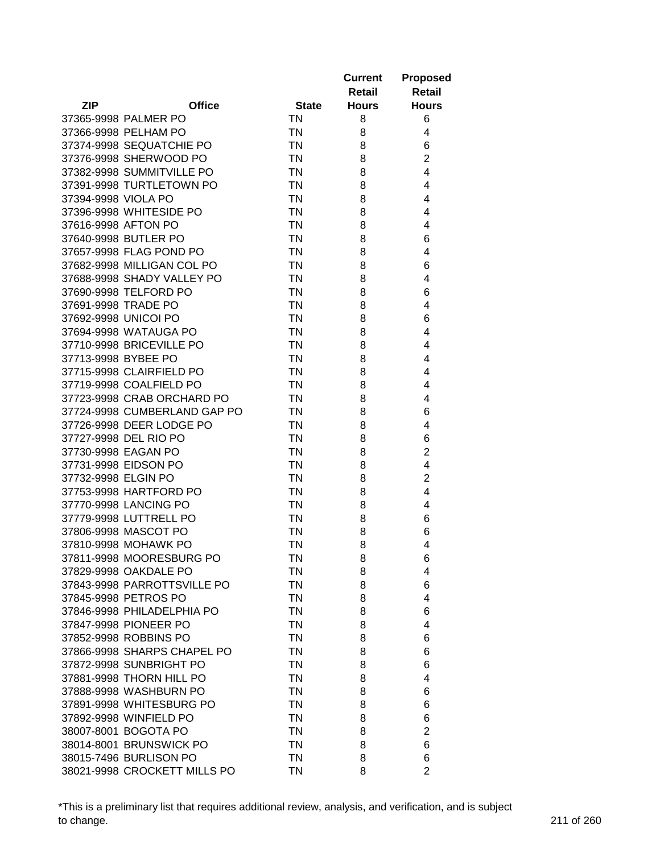|                              |               |              | <b>Current</b> | <b>Proposed</b> |
|------------------------------|---------------|--------------|----------------|-----------------|
|                              |               |              | Retail         | Retail          |
| ZIP                          | <b>Office</b> | <b>State</b> | <b>Hours</b>   | <b>Hours</b>    |
| 37365-9998 PALMER PO         |               | <b>TN</b>    | 8              | 6               |
| 37366-9998 PELHAM PO         |               | <b>TN</b>    | 8              | 4               |
| 37374-9998 SEQUATCHIE PO     |               | <b>TN</b>    | 8              | 6               |
| 37376-9998 SHERWOOD PO       |               | <b>TN</b>    | 8              | $\overline{2}$  |
| 37382-9998 SUMMITVILLE PO    |               | <b>TN</b>    | 8              | 4               |
| 37391-9998 TURTLETOWN PO     |               | <b>TN</b>    | 8              | 4               |
| 37394-9998 VIOLA PO          |               | <b>TN</b>    | 8              | 4               |
| 37396-9998 WHITESIDE PO      |               | <b>TN</b>    | 8              | 4               |
| 37616-9998 AFTON PO          |               | <b>TN</b>    | 8              | 4               |
| 37640-9998 BUTLER PO         |               | <b>TN</b>    | 8              | 6               |
| 37657-9998 FLAG POND PO      |               | <b>TN</b>    | 8              | 4               |
| 37682-9998 MILLIGAN COL PO   |               | <b>TN</b>    | 8              | 6               |
| 37688-9998 SHADY VALLEY PO   |               | <b>TN</b>    | 8              | 4               |
| 37690-9998 TELFORD PO        |               | <b>TN</b>    | 8              | 6               |
| 37691-9998 TRADE PO          |               | <b>TN</b>    | 8              | 4               |
| 37692-9998 UNICOI PO         |               | <b>TN</b>    | 8              | 6               |
| 37694-9998 WATAUGA PO        |               | <b>TN</b>    | 8              | 4               |
| 37710-9998 BRICEVILLE PO     |               | <b>TN</b>    | 8              | 4               |
| 37713-9998 BYBEE PO          |               | <b>TN</b>    | 8              | 4               |
| 37715-9998 CLAIRFIELD PO     |               | <b>TN</b>    | 8              | 4               |
| 37719-9998 COALFIELD PO      |               | <b>TN</b>    | 8              | 4               |
| 37723-9998 CRAB ORCHARD PO   |               | <b>TN</b>    | 8              | 4               |
| 37724-9998 CUMBERLAND GAP PO |               | <b>TN</b>    | 8              | 6               |
| 37726-9998 DEER LODGE PO     |               | <b>TN</b>    | 8              | 4               |
| 37727-9998 DEL RIO PO        |               | <b>TN</b>    | 8              | 6               |
| 37730-9998 EAGAN PO          |               | <b>TN</b>    | 8              | $\overline{2}$  |
| 37731-9998 EIDSON PO         |               | <b>TN</b>    | 8              | 4               |
| 37732-9998 ELGIN PO          |               | <b>TN</b>    | 8              | $\overline{2}$  |
| 37753-9998 HARTFORD PO       |               | <b>TN</b>    | 8              | 4               |
| 37770-9998 LANCING PO        |               | <b>TN</b>    | 8              | 4               |
| 37779-9998 LUTTRELL PO       |               | <b>TN</b>    | 8              | 6               |
| 37806-9998 MASCOT PO         |               | TN           | 8              | 6               |
| 37810-9998 MOHAWK PO         |               | ΤN           | 8              | 4               |
| 37811-9998 MOORESBURG PO     |               | <b>TN</b>    | 8              | 6               |
| 37829-9998 OAKDALE PO        |               | ΤN           | 8              | 4               |
| 37843-9998 PARROTTSVILLE PO  |               | <b>TN</b>    | 8              | 6               |
| 37845-9998 PETROS PO         |               | <b>TN</b>    | 8              | 4               |
| 37846-9998 PHILADELPHIA PO   |               | <b>TN</b>    | 8              | 6               |
| 37847-9998 PIONEER PO        |               | <b>TN</b>    | 8              | 4               |
| 37852-9998 ROBBINS PO        |               | <b>TN</b>    | 8              | 6               |
| 37866-9998 SHARPS CHAPEL PO  |               | <b>TN</b>    | 8              | 6               |
| 37872-9998 SUNBRIGHT PO      |               | <b>TN</b>    | 8              | 6               |
| 37881-9998 THORN HILL PO     |               | <b>TN</b>    | 8              | 4               |
| 37888-9998 WASHBURN PO       |               | <b>TN</b>    | 8              | 6               |
| 37891-9998 WHITESBURG PO     |               | <b>TN</b>    | 8              | 6               |
| 37892-9998 WINFIELD PO       |               | <b>TN</b>    | 8              | 6               |
| 38007-8001 BOGOTA PO         |               | <b>TN</b>    | 8              | $\overline{2}$  |
| 38014-8001 BRUNSWICK PO      |               | <b>TN</b>    | 8              | 6               |
| 38015-7496 BURLISON PO       |               | <b>TN</b>    | 8              | 6               |
| 38021-9998 CROCKETT MILLS PO |               | <b>TN</b>    | 8              | $\overline{2}$  |
|                              |               |              |                |                 |

\*This is a preliminary list that requires additional review, analysis, and verification, and is subject to change. 211 of 260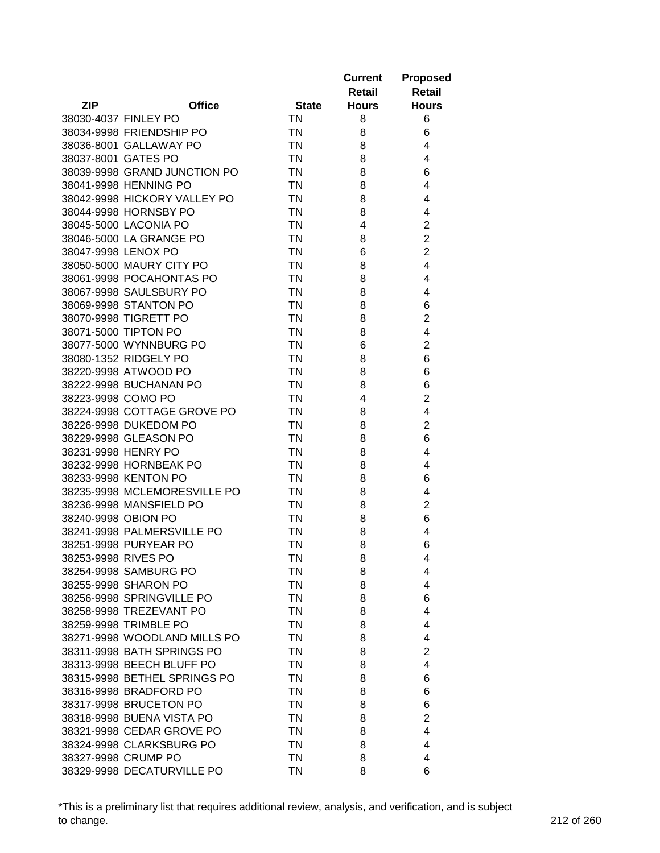|                      |                              |              | <b>Current</b> | <b>Proposed</b> |
|----------------------|------------------------------|--------------|----------------|-----------------|
|                      |                              |              | Retail         | <b>Retail</b>   |
| <b>ZIP</b>           | <b>Office</b>                | <b>State</b> | <b>Hours</b>   | <b>Hours</b>    |
| 38030-4037 FINLEY PO |                              | <b>TN</b>    | 8              | 6               |
|                      | 38034-9998 FRIENDSHIP PO     | <b>TN</b>    | 8              | 6               |
|                      | 38036-8001 GALLAWAY PO       | <b>TN</b>    | 8              | 4               |
| 38037-8001 GATES PO  |                              | <b>TN</b>    | 8              | 4               |
|                      | 38039-9998 GRAND JUNCTION PO | <b>TN</b>    | 8              | 6               |
|                      | 38041-9998 HENNING PO        | <b>TN</b>    | 8              | 4               |
|                      | 38042-9998 HICKORY VALLEY PO | <b>TN</b>    | 8              | 4               |
|                      | 38044-9998 HORNSBY PO        | <b>TN</b>    | 8              | 4               |
|                      | 38045-5000 LACONIA PO        | <b>TN</b>    | 4              | $\overline{2}$  |
|                      | 38046-5000 LA GRANGE PO      | <b>TN</b>    | 8              | $\overline{2}$  |
| 38047-9998 LENOX PO  |                              | <b>TN</b>    | 6              | $\overline{2}$  |
|                      | 38050-5000 MAURY CITY PO     | <b>TN</b>    | 8              | 4               |
|                      | 38061-9998 POCAHONTAS PO     | <b>TN</b>    | 8              | 4               |
|                      | 38067-9998 SAULSBURY PO      | <b>TN</b>    | 8              | 4               |
|                      | 38069-9998 STANTON PO        | <b>TN</b>    | 8              | 6               |
|                      | 38070-9998 TIGRETT PO        | <b>TN</b>    | 8              | $\overline{2}$  |
|                      | 38071-5000 TIPTON PO         | <b>TN</b>    | 8              | 4               |
|                      | 38077-5000 WYNNBURG PO       | <b>TN</b>    | 6              | $\overline{2}$  |
|                      | 38080-1352 RIDGELY PO        | <b>TN</b>    | 8              | 6               |
|                      | 38220-9998 ATWOOD PO         | <b>TN</b>    | 8              | 6               |
|                      | 38222-9998 BUCHANAN PO       | <b>TN</b>    | 8              | 6               |
| 38223-9998 COMO PO   |                              | <b>TN</b>    | 4              | $\overline{2}$  |
|                      | 38224-9998 COTTAGE GROVE PO  | <b>TN</b>    | 8              | 4               |
|                      | 38226-9998 DUKEDOM PO        | <b>TN</b>    | 8              | $\overline{2}$  |
|                      | 38229-9998 GLEASON PO        | <b>TN</b>    | 8              | 6               |
| 38231-9998 HENRY PO  |                              | <b>TN</b>    | 8              | 4               |
|                      | 38232-9998 HORNBEAK PO       | <b>TN</b>    | 8              | 4               |
|                      | 38233-9998 KENTON PO         | <b>TN</b>    | 8              | 6               |
|                      | 38235-9998 MCLEMORESVILLE PO | <b>TN</b>    | 8              | 4               |
|                      | 38236-9998 MANSFIELD PO      | <b>TN</b>    | 8              | $\overline{2}$  |
| 38240-9998 OBION PO  |                              | <b>TN</b>    | 8              | 6               |
|                      | 38241-9998 PALMERSVILLE PO   | <b>TN</b>    | 8              | 4               |
|                      | 38251-9998 PURYEAR PO        | <b>TN</b>    | 8              | 6               |
| 38253-9998 RIVES PO  |                              | <b>TN</b>    | 8              | 4               |
|                      | 38254-9998 SAMBURG PO        | ΤN           | 8              | 4               |
|                      | 38255-9998 SHARON PO         | <b>TN</b>    | 8              | 4               |
|                      | 38256-9998 SPRINGVILLE PO    | <b>TN</b>    | 8              | 6               |
|                      | 38258-9998 TREZEVANT PO      | <b>TN</b>    | 8              | 4               |
|                      | 38259-9998 TRIMBLE PO        | <b>TN</b>    | 8              | 4               |
|                      | 38271-9998 WOODLAND MILLS PO | <b>TN</b>    | 8              | 4               |
|                      | 38311-9998 BATH SPRINGS PO   | <b>TN</b>    | 8              | $\overline{2}$  |
|                      | 38313-9998 BEECH BLUFF PO    | <b>TN</b>    | 8              | 4               |
|                      | 38315-9998 BETHEL SPRINGS PO | <b>TN</b>    | 8              | 6               |
|                      | 38316-9998 BRADFORD PO       | <b>TN</b>    | 8              | 6               |
|                      | 38317-9998 BRUCETON PO       | <b>TN</b>    | 8              | 6               |
|                      | 38318-9998 BUENA VISTA PO    | <b>TN</b>    | 8              | $\overline{2}$  |
|                      | 38321-9998 CEDAR GROVE PO    | <b>TN</b>    | 8              | 4               |
|                      | 38324-9998 CLARKSBURG PO     | <b>TN</b>    | 8              | 4               |
|                      | 38327-9998 CRUMP PO          | <b>TN</b>    | 8              | 4               |
|                      | 38329-9998 DECATURVILLE PO   | <b>TN</b>    | 8              | 6               |
|                      |                              |              |                |                 |

\*This is a preliminary list that requires additional review, analysis, and verification, and is subject to change. 212 of 260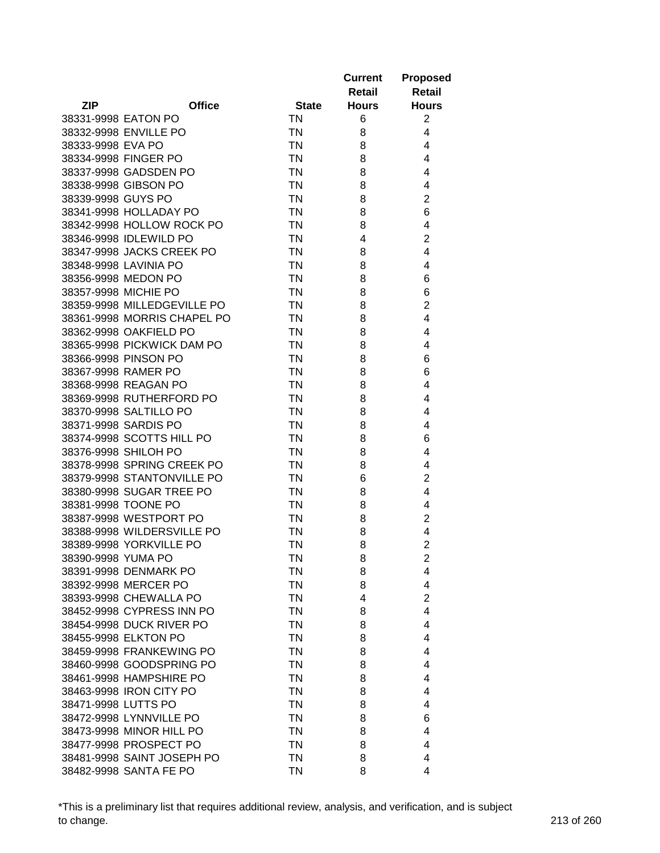|                     |                             |              | <b>Current</b> | <b>Proposed</b> |
|---------------------|-----------------------------|--------------|----------------|-----------------|
|                     |                             |              | Retail         | Retail          |
| <b>ZIP</b>          | <b>Office</b>               | <b>State</b> | <b>Hours</b>   | <b>Hours</b>    |
| 38331-9998 EATON PO |                             | <b>TN</b>    | 6              | 2               |
|                     | 38332-9998 ENVILLE PO       | <b>TN</b>    | 8              | 4               |
| 38333-9998 EVA PO   |                             | <b>TN</b>    | 8              | 4               |
|                     | 38334-9998 FINGER PO        | <b>TN</b>    | 8              | 4               |
|                     | 38337-9998 GADSDEN PO       | <b>TN</b>    | 8              | 4               |
|                     | 38338-9998 GIBSON PO        | <b>TN</b>    | 8              | 4               |
| 38339-9998 GUYS PO  |                             | <b>TN</b>    | 8              | $\overline{2}$  |
|                     | 38341-9998 HOLLADAY PO      | <b>TN</b>    | 8              | 6               |
|                     | 38342-9998 HOLLOW ROCK PO   | <b>TN</b>    | 8              | 4               |
|                     | 38346-9998 IDLEWILD PO      | <b>TN</b>    | 4              | $\overline{2}$  |
|                     | 38347-9998 JACKS CREEK PO   | <b>TN</b>    | 8              | 4               |
|                     | 38348-9998 LAVINIA PO       | <b>TN</b>    | 8              | 4               |
|                     | 38356-9998 MEDON PO         | <b>TN</b>    | 8              | 6               |
|                     | 38357-9998 MICHIE PO        | <b>TN</b>    | 8              | 6               |
|                     | 38359-9998 MILLEDGEVILLE PO | <b>TN</b>    | 8              | $\overline{c}$  |
|                     | 38361-9998 MORRIS CHAPEL PO | <b>TN</b>    | 8              | 4               |
|                     | 38362-9998 OAKFIELD PO      | <b>TN</b>    | 8              | 4               |
|                     | 38365-9998 PICKWICK DAM PO  | <b>TN</b>    | 8              | 4               |
|                     | 38366-9998 PINSON PO        | <b>TN</b>    | 8              | 6               |
|                     | 38367-9998 RAMER PO         | <b>TN</b>    | 8              | 6               |
|                     | 38368-9998 REAGAN PO        | <b>TN</b>    | 8              | 4               |
|                     | 38369-9998 RUTHERFORD PO    | <b>TN</b>    | 8              | 4               |
|                     | 38370-9998 SALTILLO PO      | <b>TN</b>    | 8              | 4               |
|                     | 38371-9998 SARDIS PO        | <b>TN</b>    | 8              | 4               |
|                     | 38374-9998 SCOTTS HILL PO   | <b>TN</b>    | 8              | 6               |
|                     | 38376-9998 SHILOH PO        | <b>TN</b>    | 8              | 4               |
|                     | 38378-9998 SPRING CREEK PO  | <b>TN</b>    | 8              | 4               |
|                     | 38379-9998 STANTONVILLE PO  | <b>TN</b>    | 6              | $\overline{2}$  |
|                     | 38380-9998 SUGAR TREE PO    | <b>TN</b>    | 8              | 4               |
|                     | 38381-9998 TOONE PO         | <b>TN</b>    | 8              | 4               |
|                     | 38387-9998 WESTPORT PO      | <b>TN</b>    | 8              | $\overline{c}$  |
|                     | 38388-9998 WILDERSVILLE PO  | <b>TN</b>    | 8              | 4               |
|                     | 38389-9998 YORKVILLE PO     | <b>TN</b>    | 8              | $\overline{2}$  |
|                     | 38390-9998 YUMA PO          | <b>TN</b>    | 8              | $\overline{c}$  |
|                     | 38391-9998 DENMARK PO       | ΤN           | 8              | 4               |
|                     | 38392-9998 MERCER PO        | <b>TN</b>    | 8              | 4               |
|                     | 38393-9998 CHEWALLA PO      | <b>TN</b>    | 4              | $\overline{2}$  |
|                     | 38452-9998 CYPRESS INN PO   | <b>TN</b>    | 8              | $\overline{4}$  |
|                     | 38454-9998 DUCK RIVER PO    | <b>TN</b>    | 8              | 4               |
|                     | 38455-9998 ELKTON PO        | <b>TN</b>    | 8              | 4               |
|                     | 38459-9998 FRANKEWING PO    | <b>TN</b>    | 8              | 4               |
|                     | 38460-9998 GOODSPRING PO    | <b>TN</b>    | 8              | 4               |
|                     | 38461-9998 HAMPSHIRE PO     | <b>TN</b>    | 8              | 4               |
|                     | 38463-9998 IRON CITY PO     | <b>TN</b>    | 8              | 4               |
| 38471-9998 LUTTS PO |                             | <b>TN</b>    | 8              | 4               |
|                     | 38472-9998 LYNNVILLE PO     | <b>TN</b>    | 8              | 6               |
|                     | 38473-9998 MINOR HILL PO    | <b>TN</b>    | 8              | 4               |
|                     | 38477-9998 PROSPECT PO      | <b>TN</b>    | 8              | 4               |
|                     | 38481-9998 SAINT JOSEPH PO  | <b>TN</b>    | 8              | 4               |
|                     | 38482-9998 SANTA FE PO      | <b>TN</b>    | 8              | 4               |
|                     |                             |              |                |                 |

\*This is a preliminary list that requires additional review, analysis, and verification, and is subject to change. 213 of 260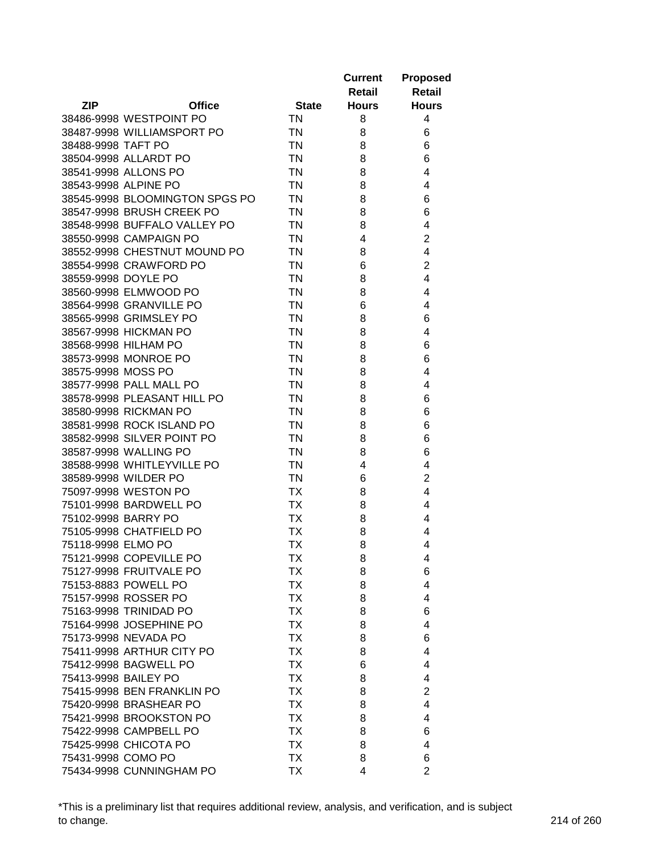|                      |                                |              | <b>Current</b> | <b>Proposed</b> |
|----------------------|--------------------------------|--------------|----------------|-----------------|
|                      |                                |              | Retail         | <b>Retail</b>   |
| <b>ZIP</b>           | <b>Office</b>                  | <b>State</b> | <b>Hours</b>   | <b>Hours</b>    |
|                      | 38486-9998 WESTPOINT PO        | <b>TN</b>    | 8              | 4               |
|                      | 38487-9998 WILLIAMSPORT PO     | <b>TN</b>    | 8              | 6               |
| 38488-9998 TAFT PO   |                                | <b>TN</b>    | 8              | 6               |
|                      | 38504-9998 ALLARDT PO          | <b>TN</b>    | 8              | 6               |
|                      | 38541-9998 ALLONS PO           | <b>TN</b>    | 8              | 4               |
|                      | 38543-9998 ALPINE PO           | <b>TN</b>    | 8              | 4               |
|                      | 38545-9998 BLOOMINGTON SPGS PO | <b>TN</b>    | 8              | 6               |
|                      | 38547-9998 BRUSH CREEK PO      | <b>TN</b>    | 8              | 6               |
|                      | 38548-9998 BUFFALO VALLEY PO   | <b>TN</b>    | 8              | 4               |
|                      | 38550-9998 CAMPAIGN PO         | <b>TN</b>    | 4              | $\overline{2}$  |
|                      | 38552-9998 CHESTNUT MOUND PO   | <b>TN</b>    | 8              | 4               |
|                      | 38554-9998 CRAWFORD PO         | <b>TN</b>    | 6              | $\overline{2}$  |
| 38559-9998 DOYLE PO  |                                | <b>TN</b>    | 8              | 4               |
|                      | 38560-9998 ELMWOOD PO          | <b>TN</b>    | 8              | 4               |
|                      | 38564-9998 GRANVILLE PO        | <b>TN</b>    | 6              | 4               |
|                      | 38565-9998 GRIMSLEY PO         | <b>TN</b>    | 8              | 6               |
|                      | 38567-9998 HICKMAN PO          | <b>TN</b>    | 8              | 4               |
|                      | 38568-9998 HILHAM PO           | <b>TN</b>    | 8              | 6               |
|                      | 38573-9998 MONROE PO           | <b>TN</b>    | 8              | 6               |
| 38575-9998 MOSS PO   |                                | <b>TN</b>    | 8              | 4               |
|                      | 38577-9998 PALL MALL PO        | <b>TN</b>    | 8              | 4               |
|                      | 38578-9998 PLEASANT HILL PO    | <b>TN</b>    | 8              | 6               |
|                      | 38580-9998 RICKMAN PO          | <b>TN</b>    | 8              | 6               |
|                      | 38581-9998 ROCK ISLAND PO      | <b>TN</b>    | 8              | 6               |
|                      | 38582-9998 SILVER POINT PO     | <b>TN</b>    | 8              | 6               |
|                      | 38587-9998 WALLING PO          | <b>TN</b>    | 8              | 6               |
|                      | 38588-9998 WHITLEYVILLE PO     | <b>TN</b>    | 4              | 4               |
|                      | 38589-9998 WILDER PO           | <b>TN</b>    | 6              | $\overline{2}$  |
|                      | 75097-9998 WESTON PO           | ТX           | 8              | 4               |
|                      | 75101-9998 BARDWELL PO         | TX           | 8              | 4               |
| 75102-9998 BARRY PO  |                                | ТX           | 8              | 4               |
|                      | 75105-9998 CHATFIELD PO        | ТX           | 8              | 4               |
| 75118-9998 ELMO PO   |                                | <b>TX</b>    | 8              | 4               |
|                      | 75121-9998 COPEVILLE PO        | <b>TX</b>    | 8              | 4               |
|                      | 75127-9998 FRUITVALE PO        | TХ           | 8              | 6               |
|                      | 75153-8883 POWELL PO           | TX           | 8              | 4               |
|                      | 75157-9998 ROSSER PO           | <b>TX</b>    | 8              | 4               |
|                      | 75163-9998 TRINIDAD PO         | <b>TX</b>    | 8              | 6               |
|                      | 75164-9998 JOSEPHINE PO        | <b>TX</b>    | 8              | 4               |
|                      | 75173-9998 NEVADA PO           | <b>TX</b>    | 8              | 6               |
|                      | 75411-9998 ARTHUR CITY PO      | <b>TX</b>    | 8              | 4               |
|                      | 75412-9998 BAGWELL PO          | <b>TX</b>    | 6              | 4               |
| 75413-9998 BAILEY PO |                                | <b>TX</b>    | 8              | 4               |
|                      | 75415-9998 BEN FRANKLIN PO     | <b>TX</b>    | 8              | $\overline{2}$  |
|                      | 75420-9998 BRASHEAR PO         | <b>TX</b>    | 8              | 4               |
|                      | 75421-9998 BROOKSTON PO        | ТX           | 8              | 4               |
|                      | 75422-9998 CAMPBELL PO         | TX           | 8              | 6               |
|                      | 75425-9998 CHICOTA PO          | ТX           | 8              | 4               |
| 75431-9998 COMO PO   |                                | <b>TX</b>    | 8              | 6               |
|                      | 75434-9998 CUNNINGHAM PO       | TX           | 4              | $\overline{2}$  |

\*This is a preliminary list that requires additional review, analysis, and verification, and is subject to change. 214 of 260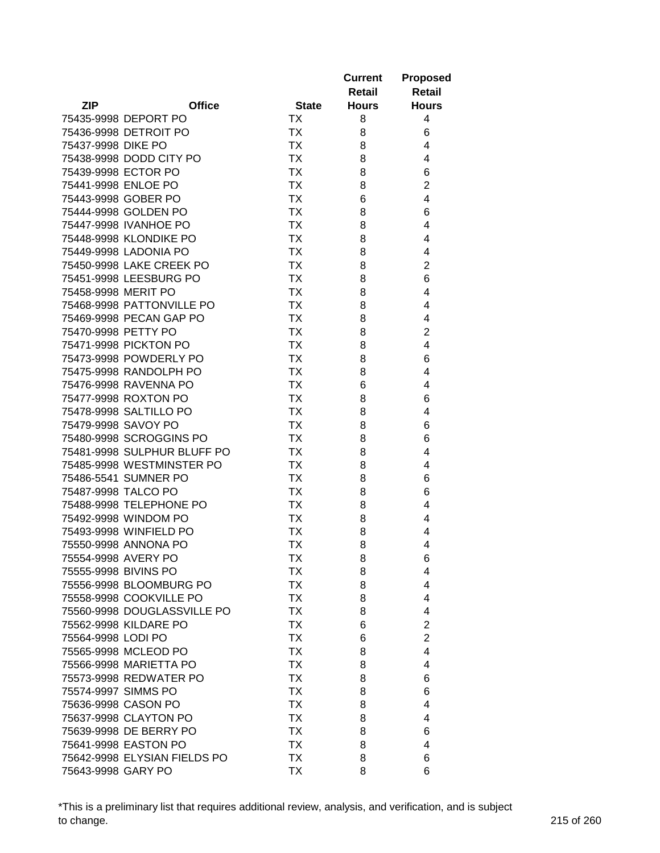|                              |              | <b>Current</b> | <b>Proposed</b>         |
|------------------------------|--------------|----------------|-------------------------|
|                              |              | Retail         | <b>Retail</b>           |
| <b>ZIP</b><br><b>Office</b>  | <b>State</b> | <b>Hours</b>   | <b>Hours</b>            |
| 75435-9998 DEPORT PO         | ТX           | 8              | 4                       |
| 75436-9998 DETROIT PO        | <b>TX</b>    | 8              | 6                       |
| 75437-9998 DIKE PO           | <b>TX</b>    | 8              | 4                       |
| 75438-9998 DODD CITY PO      | <b>TX</b>    | 8              | 4                       |
| 75439-9998 ECTOR PO          | <b>TX</b>    | 8              | 6                       |
| 75441-9998 ENLOE PO          | <b>TX</b>    | 8              | $\overline{c}$          |
| 75443-9998 GOBER PO          | <b>TX</b>    | 6              | 4                       |
| 75444-9998 GOLDEN PO         | <b>TX</b>    | 8              | 6                       |
| 75447-9998 IVANHOE PO        | <b>TX</b>    | 8              | 4                       |
| 75448-9998 KLONDIKE PO       | <b>TX</b>    | 8              | 4                       |
| 75449-9998 LADONIA PO        | <b>TX</b>    | 8              | 4                       |
| 75450-9998 LAKE CREEK PO     | <b>TX</b>    | 8              | $\overline{2}$          |
| 75451-9998 LEESBURG PO       | <b>TX</b>    | 8              | 6                       |
| 75458-9998 MERIT PO          | <b>TX</b>    | 8              | 4                       |
| 75468-9998 PATTONVILLE PO    | <b>TX</b>    | 8              | 4                       |
| 75469-9998 PECAN GAP PO      | TX           | 8              | 4                       |
| 75470-9998 PETTY PO          | TX           | 8              | $\overline{2}$          |
| 75471-9998 PICKTON PO        | TX           | 8              | $\overline{\mathbf{4}}$ |
| 75473-9998 POWDERLY PO       | TX           | 8              | 6                       |
| 75475-9998 RANDOLPH PO       | TX           | 8              | 4                       |
| 75476-9998 RAVENNA PO        | <b>TX</b>    | 6              | 4                       |
| 75477-9998 ROXTON PO         | <b>TX</b>    | 8              | 6                       |
| 75478-9998 SALTILLO PO       | <b>TX</b>    | 8              | 4                       |
| 75479-9998 SAVOY PO          | TX           | 8              | 6                       |
| 75480-9998 SCROGGINS PO      | <b>TX</b>    | 8              | 6                       |
| 75481-9998 SULPHUR BLUFF PO  | <b>TX</b>    | 8              | 4                       |
| 75485-9998 WESTMINSTER PO    | <b>TX</b>    | 8              | 4                       |
| 75486-5541 SUMNER PO         | <b>TX</b>    | 8              | 6                       |
| 75487-9998 TALCO PO          | <b>TX</b>    | 8              | 6                       |
| 75488-9998 TELEPHONE PO      | TX           | 8              | 4                       |
| 75492-9998 WINDOM PO         | TX           | 8              | 4                       |
| 75493-9998 WINFIELD PO       | <b>TX</b>    | 8              | 4                       |
| 75550-9998 ANNONA PO         | <b>TX</b>    | 8              | 4                       |
| 75554-9998 AVERY PO          | <b>TX</b>    | 8              | 6                       |
| 75555-9998 BIVINS PO         | TХ           | 8              | 4                       |
| 75556-9998 BLOOMBURG PO      | TX           | 8              | 4                       |
| 75558-9998 COOKVILLE PO      | TX           | 8              | 4                       |
| 75560-9998 DOUGLASSVILLE PO  | TX           | 8              | 4                       |
| 75562-9998 KILDARE PO        | TX           | 6              | $\overline{2}$          |
| 75564-9998 LODI PO           | TX           | 6              | $\overline{2}$          |
| 75565-9998 MCLEOD PO         | TX           | 8              | 4                       |
| 75566-9998 MARIETTA PO       | <b>TX</b>    | 8              | 4                       |
| 75573-9998 REDWATER PO       | <b>TX</b>    | 8              | 6                       |
| 75574-9997 SIMMS PO          |              |                |                         |
| 75636-9998 CASON PO          | TX           | 8              | 6                       |
|                              | TX           | 8              | 4                       |
| 75637-9998 CLAYTON PO        | TX           | 8              | 4                       |
| 75639-9998 DE BERRY PO       | ТX           | 8              | 6                       |
| 75641-9998 EASTON PO         | ТX           | 8              | 4                       |
| 75642-9998 ELYSIAN FIELDS PO | TX           | 8              | 6                       |
| 75643-9998 GARY PO           | TX           | 8              | 6                       |

\*This is a preliminary list that requires additional review, analysis, and verification, and is subject to change. 215 of 260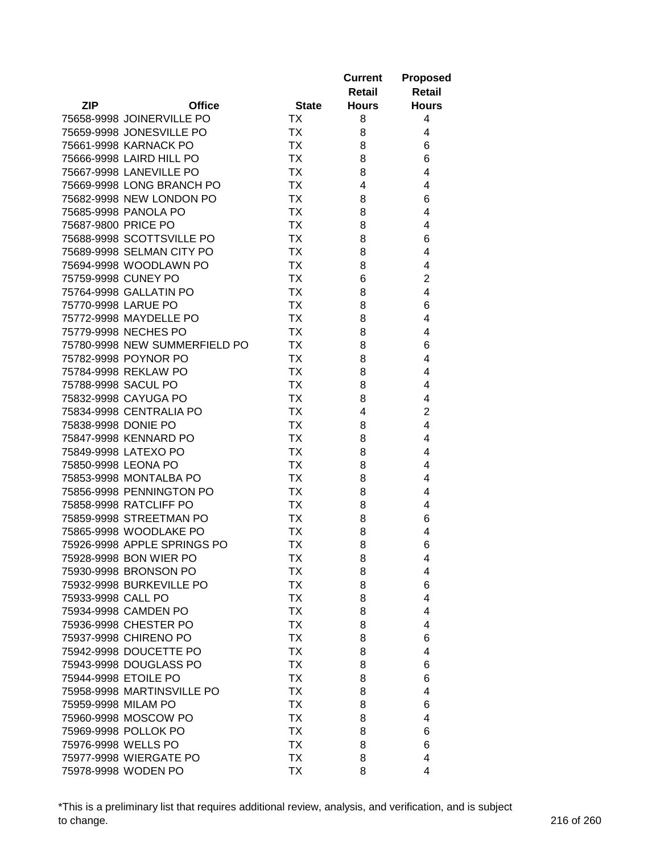|                     |                               |              | <b>Current</b> | <b>Proposed</b> |
|---------------------|-------------------------------|--------------|----------------|-----------------|
|                     |                               |              | Retail         | Retail          |
| <b>ZIP</b>          | <b>Office</b>                 | <b>State</b> | <b>Hours</b>   | <b>Hours</b>    |
|                     | 75658-9998 JOINERVILLE PO     | ТX           | 8              | 4               |
|                     | 75659-9998 JONESVILLE PO      | <b>TX</b>    | 8              | 4               |
|                     | 75661-9998 KARNACK PO         | <b>TX</b>    | 8              | 6               |
|                     | 75666-9998 LAIRD HILL PO      | <b>TX</b>    | 8              | 6               |
|                     | 75667-9998 LANEVILLE PO       | <b>TX</b>    | 8              | 4               |
|                     | 75669-9998 LONG BRANCH PO     | <b>TX</b>    | 4              | 4               |
|                     | 75682-9998 NEW LONDON PO      | <b>TX</b>    | 8              | 6               |
|                     | 75685-9998 PANOLA PO          | <b>TX</b>    | 8              | 4               |
| 75687-9800 PRICE PO |                               | <b>TX</b>    | 8              | 4               |
|                     | 75688-9998 SCOTTSVILLE PO     | <b>TX</b>    | 8              | 6               |
|                     | 75689-9998 SELMAN CITY PO     | <b>TX</b>    | 8              | 4               |
|                     | 75694-9998 WOODLAWN PO        | <b>TX</b>    | 8              | 4               |
|                     | 75759-9998 CUNEY PO           | <b>TX</b>    | 6              | $\overline{c}$  |
|                     | 75764-9998 GALLATIN PO        | <b>TX</b>    | 8              | 4               |
| 75770-9998 LARUE PO |                               | <b>TX</b>    | 8              | 6               |
|                     | 75772-9998 MAYDELLE PO        | <b>TX</b>    | 8              | 4               |
|                     | 75779-9998 NECHES PO          | <b>TX</b>    | 8              | 4               |
|                     | 75780-9998 NEW SUMMERFIELD PO | <b>TX</b>    | 8              | 6               |
|                     | 75782-9998 POYNOR PO          | <b>TX</b>    | 8              | 4               |
|                     | 75784-9998 REKLAW PO          | <b>TX</b>    | 8              | 4               |
| 75788-9998 SACUL PO |                               | <b>TX</b>    | 8              | 4               |
|                     | 75832-9998 CAYUGA PO          | <b>TX</b>    | 8              | 4               |
|                     | 75834-9998 CENTRALIA PO       | <b>TX</b>    | 4              | $\overline{2}$  |
| 75838-9998 DONIE PO |                               | <b>TX</b>    | 8              | 4               |
|                     | 75847-9998 KENNARD PO         | <b>TX</b>    | 8              | 4               |
|                     | 75849-9998 LATEXO PO          | <b>TX</b>    | 8              | 4               |
|                     | 75850-9998 LEONA PO           | <b>TX</b>    | 8              | 4               |
|                     | 75853-9998 MONTALBA PO        | <b>TX</b>    | 8              | 4               |
|                     | 75856-9998 PENNINGTON PO      | <b>TX</b>    | 8              | 4               |
|                     | 75858-9998 RATCLIFF PO        | ТX           | 8              | 4               |
|                     | 75859-9998 STREETMAN PO       | <b>TX</b>    |                | 6               |
|                     | 75865-9998 WOODLAKE PO        | <b>TX</b>    | 8              |                 |
|                     | 75926-9998 APPLE SPRINGS PO   | <b>TX</b>    | 8<br>8         | 4               |
|                     | 75928-9998 BON WIER PO        |              |                | 6               |
|                     |                               | <b>TX</b>    | 8              | 4               |
|                     | 75930-9998 BRONSON PO         | TХ           | 8              | 4               |
|                     | 75932-9998 BURKEVILLE PO      | TX           | 8              | 6               |
| 75933-9998 CALL PO  |                               | <b>TX</b>    | 8              | 4               |
|                     | 75934-9998 CAMDEN PO          | <b>TX</b>    | 8              | 4               |
|                     | 75936-9998 CHESTER PO         | <b>TX</b>    | 8              | 4               |
|                     | 75937-9998 CHIRENO PO         | <b>TX</b>    | 8              | 6               |
|                     | 75942-9998 DOUCETTE PO        | <b>TX</b>    | 8              | 4               |
|                     | 75943-9998 DOUGLASS PO        | <b>TX</b>    | 8              | 6               |
|                     | 75944-9998 ETOILE PO          | <b>TX</b>    | 8              | 6               |
|                     | 75958-9998 MARTINSVILLE PO    | <b>TX</b>    | 8              | 4               |
| 75959-9998 MILAM PO |                               | <b>TX</b>    | 8              | 6               |
|                     | 75960-9998 MOSCOW PO          | <b>TX</b>    | 8              | 4               |
|                     | 75969-9998 POLLOK PO          | <b>TX</b>    | 8              | 6               |
|                     | 75976-9998 WELLS PO           | <b>TX</b>    | 8              | 6               |
|                     | 75977-9998 WIERGATE PO        | TX           | 8              | 4               |
|                     | 75978-9998 WODEN PO           | <b>TX</b>    | 8              | 4               |

\*This is a preliminary list that requires additional review, analysis, and verification, and is subject to change. 216 of 260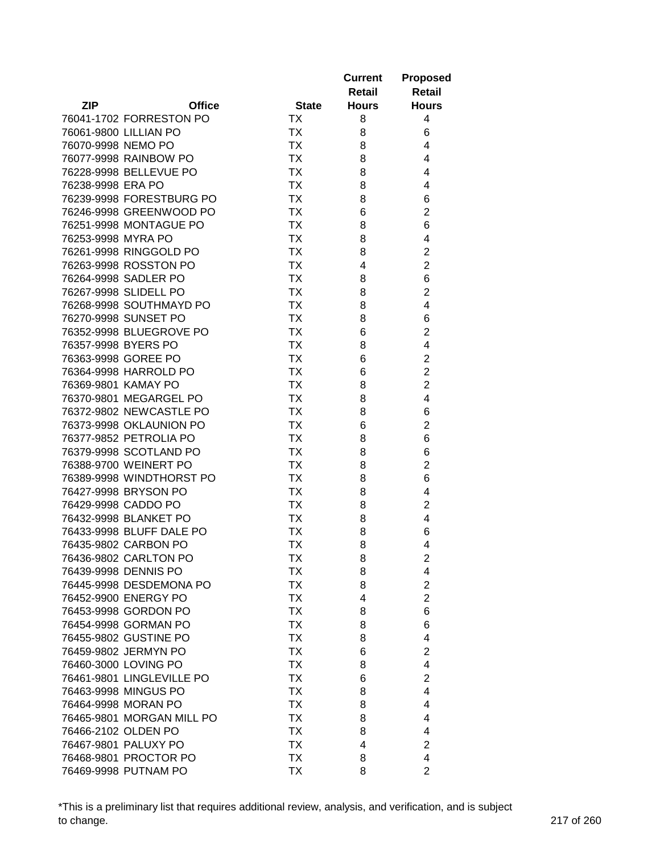|                    |                           |                        | <b>Current</b> | <b>Proposed</b>         |
|--------------------|---------------------------|------------------------|----------------|-------------------------|
|                    |                           |                        | Retail         | <b>Retail</b>           |
| <b>ZIP</b>         | <b>Office</b>             | <b>State</b>           | <b>Hours</b>   | <b>Hours</b>            |
|                    | 76041-1702 FORRESTON PO   | ТX                     | 8              | 4                       |
|                    | 76061-9800 LILLIAN PO     | <b>TX</b>              | 8              | 6                       |
| 76070-9998 NEMO PO |                           | <b>TX</b>              | 8              | 4                       |
|                    | 76077-9998 RAINBOW PO     | <b>TX</b>              | 8              | 4                       |
|                    | 76228-9998 BELLEVUE PO    | <b>TX</b>              | 8              | 4                       |
| 76238-9998 ERA PO  |                           | <b>TX</b>              | 8              | 4                       |
|                    | 76239-9998 FORESTBURG PO  | <b>TX</b>              | 8              | 6                       |
|                    | 76246-9998 GREENWOOD PO   | <b>TX</b>              | 6              | $\overline{2}$          |
|                    | 76251-9998 MONTAGUE PO    | <b>TX</b>              | 8              | 6                       |
| 76253-9998 MYRA PO |                           | <b>TX</b>              | 8              | 4                       |
|                    | 76261-9998 RINGGOLD PO    | <b>TX</b>              | 8              | $\overline{\mathbf{c}}$ |
|                    | 76263-9998 ROSSTON PO     | <b>TX</b>              | 4              | $\overline{2}$          |
|                    | 76264-9998 SADLER PO      | <b>TX</b>              | 8              | 6                       |
|                    | 76267-9998 SLIDELL PO     | <b>TX</b>              | 8              | $\overline{c}$          |
|                    | 76268-9998 SOUTHMAYD PO   | <b>TX</b>              | 8              | 4                       |
|                    | 76270-9998 SUNSET PO      | <b>TX</b>              | 8              | 6                       |
|                    | 76352-9998 BLUEGROVE PO   | <b>TX</b>              | 6              | $\overline{2}$          |
|                    | 76357-9998 BYERS PO       | <b>TX</b>              | 8              | 4                       |
|                    | 76363-9998 GOREE PO       | TX                     | 6              | $\overline{c}$          |
|                    | 76364-9998 HARROLD PO     | <b>TX</b>              | 6              | $\overline{2}$          |
|                    | 76369-9801 KAMAY PO       | <b>TX</b>              | 8              | $\overline{2}$          |
|                    | 76370-9801 MEGARGEL PO    | <b>TX</b>              | 8              | $\overline{4}$          |
|                    | 76372-9802 NEWCASTLE PO   | <b>TX</b>              | 8              | 6                       |
|                    | 76373-9998 OKLAUNION PO   | <b>TX</b>              | 6              | $\overline{2}$          |
|                    | 76377-9852 PETROLIA PO    | <b>TX</b>              | 8              | 6                       |
|                    | 76379-9998 SCOTLAND PO    | <b>TX</b>              | 8              | 6                       |
|                    | 76388-9700 WEINERT PO     | <b>TX</b>              | 8              | $\overline{2}$          |
|                    | 76389-9998 WINDTHORST PO  | <b>TX</b>              | 8              | 6                       |
|                    | 76427-9998 BRYSON PO      | ТX                     | 8              | 4                       |
|                    | 76429-9998 CADDO PO       | <b>TX</b>              | 8              | $\overline{c}$          |
|                    | 76432-9998 BLANKET PO     | ТX                     | 8              | 4                       |
|                    | 76433-9998 BLUFF DALE PO  | <b>TX</b>              | 8              | 6                       |
|                    | 76435-9802 CARBON PO      | <b>TX</b>              | 8              | 4                       |
|                    | 76436-9802 CARLTON PO     | <b>TX</b>              | 8              | $\overline{c}$          |
|                    | 76439-9998 DENNIS PO      | TХ                     | 8              | 4                       |
|                    | 76445-9998 DESDEMONA PO   | <b>TX</b>              | 8              | $\overline{2}$          |
|                    | 76452-9900 ENERGY PO      | <b>TX</b>              | 4              | $\overline{2}$          |
|                    | 76453-9998 GORDON PO      | <b>TX</b>              | 8              | 6                       |
|                    | 76454-9998 GORMAN PO      | <b>TX</b>              | 8              | 6                       |
|                    | 76455-9802 GUSTINE PO     | <b>TX</b>              | 8              | 4                       |
|                    | 76459-9802 JERMYN PO      | <b>TX</b>              | 6              | $\overline{2}$          |
|                    | 76460-3000 LOVING PO      | <b>TX</b>              | 8              | 4                       |
|                    | 76461-9801 LINGLEVILLE PO | <b>TX</b>              | 6              | $\overline{2}$          |
|                    | 76463-9998 MINGUS PO      |                        |                | 4                       |
|                    |                           | <b>TX</b><br><b>TX</b> | 8              |                         |
|                    | 76464-9998 MORAN PO       |                        | 8              | 4                       |
|                    | 76465-9801 MORGAN MILL PO | <b>TX</b>              | 8              | 4                       |
|                    | 76466-2102 OLDEN PO       | TX                     | 8              | 4                       |
|                    | 76467-9801 PALUXY PO      | <b>TX</b>              | 4              | $\overline{c}$          |
|                    | 76468-9801 PROCTOR PO     | <b>TX</b>              | 8              | 4                       |
|                    | 76469-9998 PUTNAM PO      | TX                     | 8              | $\overline{2}$          |

\*This is a preliminary list that requires additional review, analysis, and verification, and is subject to change. 217 of 260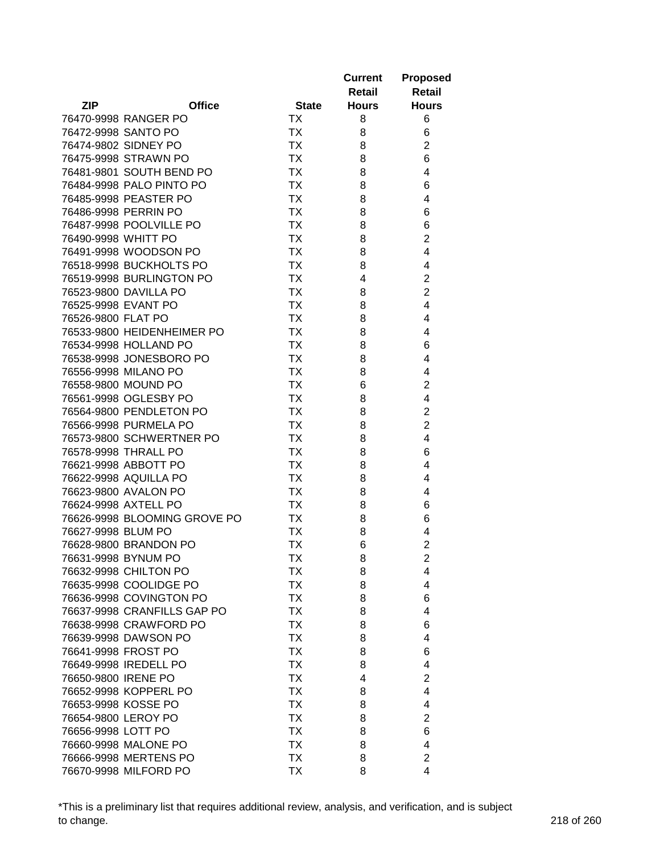|                              |                 | <b>Current</b> | <b>Proposed</b>         |
|------------------------------|-----------------|----------------|-------------------------|
|                              |                 | <b>Retail</b>  | <b>Retail</b>           |
| <b>ZIP</b><br><b>Office</b>  | <b>State</b>    | <b>Hours</b>   | <b>Hours</b>            |
| 76470-9998 RANGER PO         | ТX              | 8              | 6                       |
| 76472-9998 SANTO PO          | <b>TX</b>       | 8              | 6                       |
| 76474-9802 SIDNEY PO         | <b>TX</b>       | 8              | $\overline{2}$          |
| 76475-9998 STRAWN PO         | <b>TX</b>       | 8              | 6                       |
| 76481-9801 SOUTH BEND PO     | <b>TX</b>       | 8              | 4                       |
| 76484-9998 PALO PINTO PO     | <b>TX</b>       | 8              | 6                       |
| 76485-9998 PEASTER PO        | <b>TX</b>       | 8              | 4                       |
| 76486-9998 PERRIN PO         | <b>TX</b>       | 8              | 6                       |
| 76487-9998 POOLVILLE PO      | <b>TX</b>       | 8              | 6                       |
| 76490-9998 WHITT PO          | <b>TX</b>       | 8              | $\overline{2}$          |
| 76491-9998 WOODSON PO        | <b>TX</b>       | 8              | 4                       |
| 76518-9998 BUCKHOLTS PO      | <b>TX</b>       | 8              | 4                       |
| 76519-9998 BURLINGTON PO     | <b>TX</b>       | 4              | $\overline{\mathbf{c}}$ |
| 76523-9800 DAVILLA PO        | <b>TX</b>       | 8              | $\overline{2}$          |
| 76525-9998 EVANT PO          | <b>TX</b>       | 8              | 4                       |
| 76526-9800 FLAT PO           | <b>TX</b>       | 8              | 4                       |
| 76533-9800 HEIDENHEIMER PO   | <b>TX</b>       | 8              | 4                       |
| 76534-9998 HOLLAND PO        | <b>TX</b>       | 8              | 6                       |
| 76538-9998 JONESBORO PO      | <b>TX</b>       | 8              | 4                       |
| 76556-9998 MILANO PO         | <b>TX</b>       | 8              | 4                       |
| 76558-9800 MOUND PO          | <b>TX</b>       | 6              | $\overline{2}$          |
| 76561-9998 OGLESBY PO        | <b>TX</b>       | 8              | 4                       |
| 76564-9800 PENDLETON PO      | <b>TX</b>       | 8              | $\overline{2}$          |
| 76566-9998 PURMELA PO        | <b>TX</b>       | 8              | $\overline{2}$          |
| 76573-9800 SCHWERTNER PO     | <b>TX</b>       | 8              | 4                       |
| 76578-9998 THRALL PO         | <b>TX</b>       | 8              | 6                       |
| 76621-9998 ABBOTT PO         | <b>TX</b>       | 8              | 4                       |
| 76622-9998 AQUILLA PO        | <b>TX</b>       | 8              | 4                       |
| 76623-9800 AVALON PO         | ТX              | 8              | 4                       |
| 76624-9998 AXTELL PO         | ТX              |                | 6                       |
| 76626-9998 BLOOMING GROVE PO | TX              | 8              |                         |
| 76627-9998 BLUM PO           |                 | 8              | 6                       |
| 76628-9800 BRANDON PO        | ТX<br><b>TX</b> | 8              | 4<br>$\overline{2}$     |
|                              |                 | 6              |                         |
| 76631-9998 BYNUM PO          | <b>TX</b>       | 8              | $\overline{c}$          |
| 76632-9998 CHILTON PO        | TХ              | 8              | 4                       |
| 76635-9998 COOLIDGE PO       | <b>TX</b>       | 8              | 4                       |
| 76636-9998 COVINGTON PO      | <b>TX</b>       | 8              | 6                       |
| 76637-9998 CRANFILLS GAP PO  | <b>TX</b>       | 8              | 4                       |
| 76638-9998 CRAWFORD PO       | <b>TX</b>       | 8              | 6                       |
| 76639-9998 DAWSON PO         | <b>TX</b>       | 8              | 4                       |
| 76641-9998 FROST PO          | <b>TX</b>       | 8              | 6                       |
| 76649-9998 IREDELL PO        | <b>TX</b>       | 8              | 4                       |
| 76650-9800 IRENE PO          | <b>TX</b>       | 4              | $\overline{2}$          |
| 76652-9998 KOPPERL PO        | <b>TX</b>       | 8              | 4                       |
| 76653-9998 KOSSE PO          | <b>TX</b>       | 8              | 4                       |
| 76654-9800 LEROY PO          | <b>TX</b>       | 8              | $\overline{c}$          |
| 76656-9998 LOTT PO           | <b>TX</b>       | 8              | 6                       |
| 76660-9998 MALONE PO         | <b>TX</b>       | 8              | 4                       |
| 76666-9998 MERTENS PO        | <b>TX</b>       | 8              | $\overline{2}$          |
| 76670-9998 MILFORD PO        | <b>TX</b>       | 8              | 4                       |

\*This is a preliminary list that requires additional review, analysis, and verification, and is subject to change. 218 of 260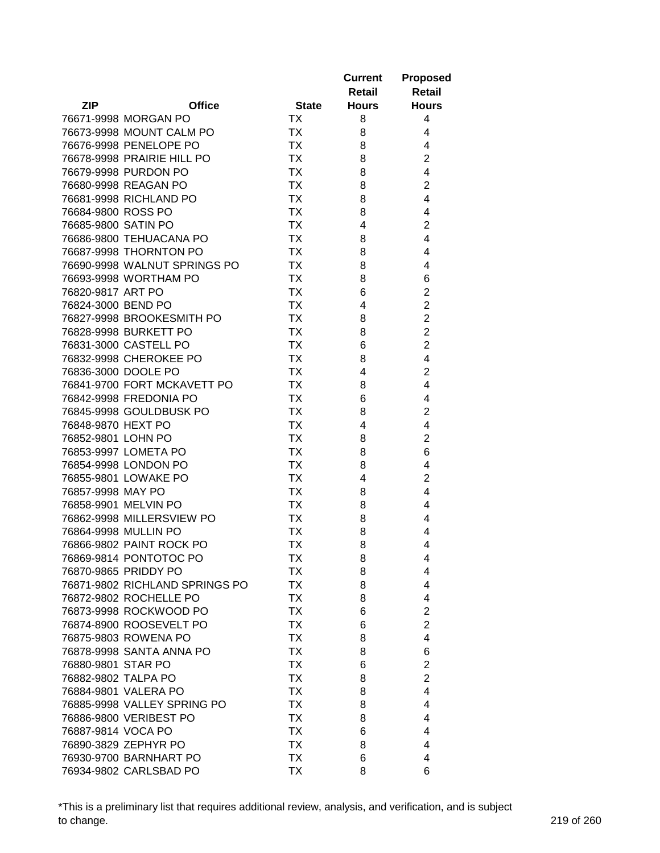|                                            |                        | <b>Current</b> | <b>Proposed</b>     |
|--------------------------------------------|------------------------|----------------|---------------------|
|                                            |                        | Retail         | Retail              |
| <b>ZIP</b><br><b>Office</b>                | <b>State</b>           | <b>Hours</b>   | <b>Hours</b>        |
| 76671-9998 MORGAN PO                       | <b>TX</b>              | 8              | 4                   |
| 76673-9998 MOUNT CALM PO                   | <b>TX</b>              | 8              | 4                   |
| 76676-9998 PENELOPE PO                     | ТX                     | 8              | 4                   |
| 76678-9998 PRAIRIE HILL PO                 | <b>TX</b>              | 8              | $\overline{c}$      |
| 76679-9998 PURDON PO                       | <b>TX</b>              | 8              | 4                   |
| 76680-9998 REAGAN PO                       | <b>TX</b>              | 8              | $\overline{c}$      |
| 76681-9998 RICHLAND PO                     | <b>TX</b>              | 8              | 4                   |
| 76684-9800 ROSS PO                         | <b>TX</b>              | 8              | 4                   |
| 76685-9800 SATIN PO                        | <b>TX</b>              | 4              | $\overline{2}$      |
| 76686-9800 TEHUACANA PO                    | <b>TX</b>              | 8              | 4                   |
| 76687-9998 THORNTON PO                     | <b>TX</b>              | 8              | 4                   |
| 76690-9998 WALNUT SPRINGS PO               | <b>TX</b>              | 8              | 4                   |
| 76693-9998 WORTHAM PO                      | <b>TX</b>              | 8              | 6                   |
| 76820-9817 ART PO                          | <b>TX</b>              | 6              | $\overline{c}$      |
| 76824-3000 BEND PO                         | <b>TX</b>              | 4              | $\overline{2}$      |
| 76827-9998 BROOKESMITH PO                  | <b>TX</b>              | 8              | $\overline{2}$      |
| 76828-9998 BURKETT PO                      | <b>TX</b>              | 8              | $\overline{2}$      |
| 76831-3000 CASTELL PO                      | <b>TX</b>              | 6              | $\overline{2}$      |
| 76832-9998 CHEROKEE PO                     | <b>TX</b>              |                | 4                   |
| 76836-3000 DOOLE PO                        | <b>TX</b>              | 8              | $\overline{2}$      |
| 76841-9700 FORT MCKAVETT PO                | <b>TX</b>              | 4              | $\overline{4}$      |
|                                            |                        | 8              |                     |
| 76842-9998 FREDONIA PO                     | <b>TX</b>              | 6              | 4                   |
| 76845-9998 GOULDBUSK PO                    | <b>TX</b><br><b>TX</b> | 8              | $\overline{c}$<br>4 |
| 76848-9870 HEXT PO                         | <b>TX</b>              | 4              | $\overline{2}$      |
| 76852-9801 LOHN PO<br>76853-9997 LOMETA PO | <b>TX</b>              | 8              |                     |
| 76854-9998 LONDON PO                       | <b>TX</b>              | 8              | 6<br>4              |
| 76855-9801 LOWAKE PO                       | <b>TX</b>              | 8              | $\overline{2}$      |
|                                            |                        | 4              |                     |
| 76857-9998 MAY PO<br>76858-9901 MELVIN PO  | TX                     | 8              | 4                   |
|                                            | ТX                     | 8              | 4                   |
| 76862-9998 MILLERSVIEW PO                  | ТX                     | 8              | 4                   |
| 76864-9998 MULLIN PO                       | ТX                     | 8              | 4                   |
| 76866-9802 PAINT ROCK PO                   | <b>TX</b>              | 8              | 4                   |
| 76869-9814 PONTOTOC PO                     | <b>TX</b>              | 8              | 4                   |
| 76870-9865 PRIDDY PO                       | TХ                     | 8              | 4                   |
| 76871-9802 RICHLAND SPRINGS PO             | <b>TX</b>              | 8              | 4                   |
| 76872-9802 ROCHELLE PO                     | <b>TX</b>              | 8              | 4                   |
| 76873-9998 ROCKWOOD PO                     | <b>TX</b>              | 6              | $\overline{2}$      |
| 76874-8900 ROOSEVELT PO                    | <b>TX</b>              | 6              | $\overline{2}$      |
| 76875-9803 ROWENA PO                       | <b>TX</b>              | 8              | 4                   |
| 76878-9998 SANTA ANNA PO                   | <b>TX</b>              | 8              | 6                   |
| 76880-9801 STAR PO                         | <b>TX</b>              | 6              | $\overline{2}$      |
| 76882-9802 TALPA PO                        | <b>TX</b>              | 8              | $\overline{2}$      |
| 76884-9801 VALERA PO                       | <b>TX</b>              | 8              | 4                   |
| 76885-9998 VALLEY SPRING PO                | <b>TX</b>              | 8              | 4                   |
| 76886-9800 VERIBEST PO                     | ТX                     | 8              | 4                   |
| 76887-9814 VOCA PO                         | <b>TX</b>              | 6              | 4                   |
| 76890-3829 ZEPHYR PO                       | ТX                     | 8              | 4                   |
| 76930-9700 BARNHART PO                     | <b>TX</b>              | 6              | 4                   |
| 76934-9802 CARLSBAD PO                     | TX                     | 8              | 6                   |

\*This is a preliminary list that requires additional review, analysis, and verification, and is subject to change. 219 of 260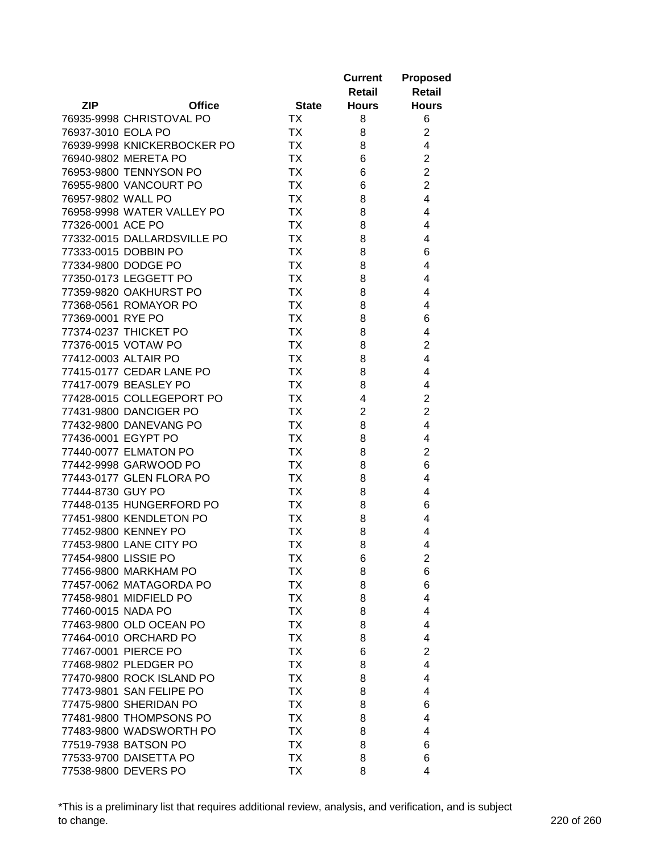|                      |                             |              | <b>Current</b> | <b>Proposed</b> |
|----------------------|-----------------------------|--------------|----------------|-----------------|
|                      |                             |              | Retail         | <b>Retail</b>   |
| <b>ZIP</b>           | <b>Office</b>               | <b>State</b> | <b>Hours</b>   | <b>Hours</b>    |
|                      | 76935-9998 CHRISTOVAL PO    | <b>TX</b>    | 8              | 6               |
| 76937-3010 EOLA PO   |                             | <b>TX</b>    | 8              | $\overline{2}$  |
|                      | 76939-9998 KNICKERBOCKER PO | <b>TX</b>    | 8              | 4               |
|                      | 76940-9802 MERETA PO        | <b>TX</b>    | 6              | $\overline{2}$  |
|                      | 76953-9800 TENNYSON PO      | <b>TX</b>    | 6              | $\overline{2}$  |
|                      | 76955-9800 VANCOURT PO      | <b>TX</b>    | 6              | $\overline{c}$  |
| 76957-9802 WALL PO   |                             | <b>TX</b>    | 8              | 4               |
|                      | 76958-9998 WATER VALLEY PO  | <b>TX</b>    | 8              | 4               |
| 77326-0001 ACE PO    |                             | <b>TX</b>    | 8              | 4               |
|                      | 77332-0015 DALLARDSVILLE PO | <b>TX</b>    | 8              | 4               |
|                      | 77333-0015 DOBBIN PO        | <b>TX</b>    | 8              | 6               |
|                      | 77334-9800 DODGE PO         | <b>TX</b>    | 8              | 4               |
|                      | 77350-0173 LEGGETT PO       | <b>TX</b>    | 8              | 4               |
|                      | 77359-9820 OAKHURST PO      | <b>TX</b>    | 8              | 4               |
|                      | 77368-0561 ROMAYOR PO       | <b>TX</b>    | 8              | 4               |
| 77369-0001 RYE PO    |                             | <b>TX</b>    | 8              | 6               |
|                      | 77374-0237 THICKET PO       | <b>TX</b>    | 8              | 4               |
|                      | 77376-0015 VOTAW PO         | <b>TX</b>    | 8              | $\overline{2}$  |
|                      | 77412-0003 ALTAIR PO        | <b>TX</b>    | 8              | $\overline{4}$  |
|                      | 77415-0177 CEDAR LANE PO    | <b>TX</b>    | 8              | 4               |
|                      | 77417-0079 BEASLEY PO       | <b>TX</b>    | 8              | 4               |
|                      | 77428-0015 COLLEGEPORT PO   | <b>TX</b>    | 4              | $\overline{2}$  |
|                      | 77431-9800 DANCIGER PO      | <b>TX</b>    | $\overline{2}$ | $\overline{2}$  |
|                      | 77432-9800 DANEVANG PO      | <b>TX</b>    | 8              | 4               |
| 77436-0001 EGYPT PO  |                             | <b>TX</b>    | 8              | 4               |
|                      | 77440-0077 ELMATON PO       | <b>TX</b>    | 8              | $\overline{2}$  |
|                      | 77442-9998 GARWOOD PO       | <b>TX</b>    | 8              | 6               |
|                      | 77443-0177 GLEN FLORA PO    | <b>TX</b>    | 8              | 4               |
| 77444-8730 GUY PO    |                             | ТX           | 8              | 4               |
|                      | 77448-0135 HUNGERFORD PO    |              |                |                 |
|                      |                             | TX           | 8              | 6               |
|                      | 77451-9800 KENDLETON PO     | TX           | 8              | 4               |
|                      | 77452-9800 KENNEY PO        | ТX           | 8              | 4               |
|                      | 77453-9800 LANE CITY PO     | <b>TX</b>    | 8              | 4               |
| 77454-9800 LISSIE PO |                             | <b>TX</b>    | 6              | $\overline{c}$  |
|                      | 77456-9800 MARKHAM PO       | TХ           | 8              | 6               |
|                      | 77457-0062 MATAGORDA PO     | <b>TX</b>    | 8              | 6               |
|                      | 77458-9801 MIDFIELD PO      | <b>TX</b>    | 8              | 4               |
| 77460-0015 NADA PO   |                             | <b>TX</b>    | 8              | 4               |
|                      | 77463-9800 OLD OCEAN PO     | <b>TX</b>    | 8              | 4               |
|                      | 77464-0010 ORCHARD PO       | <b>TX</b>    | 8              | 4               |
|                      | 77467-0001 PIERCE PO        | <b>TX</b>    | 6              | $\overline{2}$  |
|                      | 77468-9802 PLEDGER PO       | <b>TX</b>    | 8              | 4               |
|                      | 77470-9800 ROCK ISLAND PO   | <b>TX</b>    | 8              | 4               |
|                      | 77473-9801 SAN FELIPE PO    | <b>TX</b>    | 8              | 4               |
|                      | 77475-9800 SHERIDAN PO      | <b>TX</b>    | 8              | 6               |
|                      | 77481-9800 THOMPSONS PO     | ТX           | 8              | 4               |
|                      | 77483-9800 WADSWORTH PO     | ТX           | 8              | 4               |
|                      | 77519-7938 BATSON PO        | ТX           | 8              | 6               |
|                      | 77533-9700 DAISETTA PO      | <b>TX</b>    | 8              | 6               |
|                      | 77538-9800 DEVERS PO        | TX           | 8              | 4               |

\*This is a preliminary list that requires additional review, analysis, and verification, and is subject to change. 220 of 260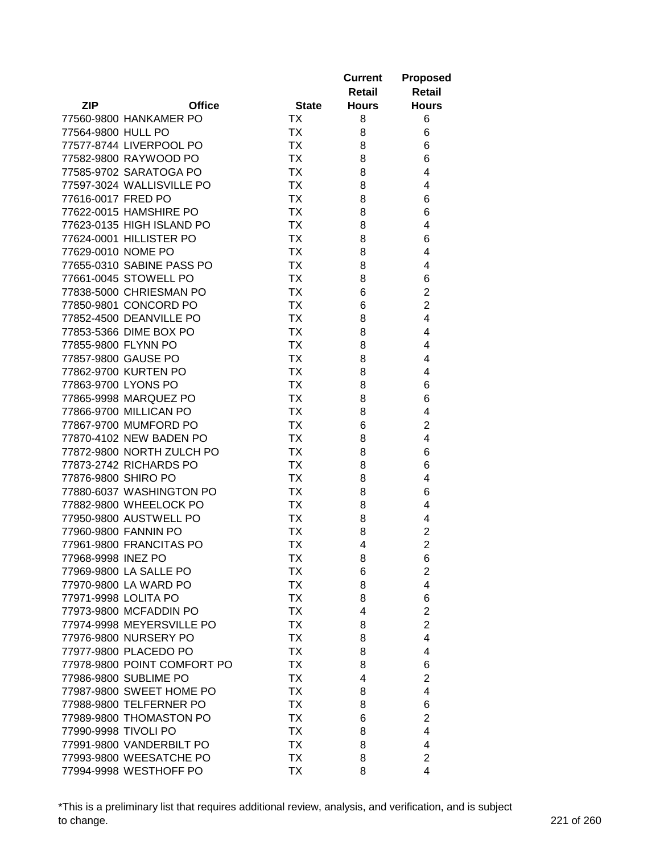|                      |                                                  |                        | <b>Current</b> | <b>Proposed</b>                             |
|----------------------|--------------------------------------------------|------------------------|----------------|---------------------------------------------|
|                      |                                                  |                        | Retail         | <b>Retail</b>                               |
| <b>ZIP</b>           | <b>Office</b>                                    | <b>State</b>           | <b>Hours</b>   | <b>Hours</b>                                |
|                      | 77560-9800 HANKAMER PO                           | <b>TX</b>              | 8              | 6                                           |
| 77564-9800 HULL PO   |                                                  | <b>TX</b>              | 8              | 6                                           |
|                      | 77577-8744 LIVERPOOL PO                          | <b>TX</b>              | 8              | 6                                           |
|                      | 77582-9800 RAYWOOD PO                            | <b>TX</b>              | 8              | 6                                           |
|                      | 77585-9702 SARATOGA PO                           | <b>TX</b>              | 8              | 4                                           |
|                      | 77597-3024 WALLISVILLE PO                        | <b>TX</b>              | 8              | 4                                           |
| 77616-0017 FRED PO   |                                                  | <b>TX</b>              | 8              | 6                                           |
|                      | 77622-0015 HAMSHIRE PO                           | <b>TX</b>              | 8              | 6                                           |
|                      | 77623-0135 HIGH ISLAND PO                        | <b>TX</b>              | 8              | 4                                           |
|                      | 77624-0001 HILLISTER PO                          | <b>TX</b>              | 8              | 6                                           |
| 77629-0010 NOME PO   |                                                  | <b>TX</b>              | 8              | 4                                           |
|                      | 77655-0310 SABINE PASS PO                        | <b>TX</b>              | 8              | 4                                           |
|                      | 77661-0045 STOWELL PO                            | <b>TX</b>              | 8              | 6                                           |
|                      | 77838-5000 CHRIESMAN PO                          | <b>TX</b>              | 6              | $\overline{c}$                              |
|                      | 77850-9801 CONCORD PO                            | <b>TX</b>              | 6              | $\overline{c}$                              |
|                      | 77852-4500 DEANVILLE PO                          | <b>TX</b>              | 8              | 4                                           |
|                      | 77853-5366 DIME BOX PO                           | <b>TX</b>              | 8              | 4                                           |
|                      | 77855-9800 FLYNN PO                              | <b>TX</b>              | 8              | 4                                           |
|                      | 77857-9800 GAUSE PO                              | TX                     | 8              | 4                                           |
|                      | 77862-9700 KURTEN PO                             | <b>TX</b>              |                | 4                                           |
|                      | 77863-9700 LYONS PO                              | <b>TX</b>              | 8              | 6                                           |
|                      |                                                  |                        | 8              |                                             |
|                      | 77865-9998 MARQUEZ PO                            | <b>TX</b>              | 8              | 6                                           |
|                      | 77866-9700 MILLICAN PO                           | <b>TX</b>              | 8              | 4                                           |
|                      | 77867-9700 MUMFORD PO<br>77870-4102 NEW BADEN PO | <b>TX</b><br><b>TX</b> | 6              | $\overline{2}$                              |
|                      | 77872-9800 NORTH ZULCH PO                        | <b>TX</b>              | 8              | 4                                           |
|                      | 77873-2742 RICHARDS PO                           | <b>TX</b>              | 8              | 6                                           |
| 77876-9800 SHIRO PO  |                                                  | <b>TX</b>              | 8              | 6                                           |
|                      | 77880-6037 WASHINGTON PO                         |                        | 8              | 4                                           |
|                      |                                                  | TX                     | 8              | 6                                           |
|                      | 77882-9800 WHEELOCK PO                           | TX                     | 8              | 4                                           |
|                      | 77950-9800 AUSTWELL PO                           | <b>TX</b>              | 8              | 4                                           |
|                      | 77960-9800 FANNIN PO                             | ТX                     | 8              | $\overline{c}$<br>$\overline{2}$            |
|                      | 77961-9800 FRANCITAS PO                          | <b>TX</b>              | 4              |                                             |
| 77968-9998 INEZ PO   |                                                  | <b>TX</b>              | 8              | 6                                           |
|                      | 77969-9800 LA SALLE PO                           | TХ                     | 6              | $\boldsymbol{2}$<br>$\overline{\mathbf{4}}$ |
|                      | 77970-9800 LA WARD PO                            | TX                     | 8              |                                             |
|                      | 77971-9998 LOLITA PO                             | <b>TX</b>              | 8              | 6                                           |
|                      | 77973-9800 MCFADDIN PO                           | <b>TX</b>              | 4              | $\overline{2}$                              |
|                      | 77974-9998 MEYERSVILLE PO                        | <b>TX</b>              | 8              | $\overline{2}$                              |
|                      | 77976-9800 NURSERY PO                            | <b>TX</b>              | 8              | 4                                           |
|                      | 77977-9800 PLACEDO PO                            | <b>TX</b>              | 8              | 4                                           |
|                      | 77978-9800 POINT COMFORT PO                      | <b>TX</b>              | 8              | 6                                           |
|                      | 77986-9800 SUBLIME PO                            | <b>TX</b>              | 4              | $\overline{2}$                              |
|                      | 77987-9800 SWEET HOME PO                         | <b>TX</b>              | 8              | 4                                           |
|                      | 77988-9800 TELFERNER PO                          | <b>TX</b>              | 8              | 6                                           |
|                      | 77989-9800 THOMASTON PO                          | <b>TX</b>              | 6              | $\overline{c}$                              |
| 77990-9998 TIVOLI PO |                                                  | <b>TX</b>              | 8              | 4                                           |
|                      | 77991-9800 VANDERBILT PO                         | <b>TX</b>              | 8              | 4                                           |
|                      | 77993-9800 WEESATCHE PO                          | <b>TX</b>              | 8              | $\overline{2}$                              |
|                      | 77994-9998 WESTHOFF PO                           | <b>TX</b>              | 8              | 4                                           |

\*This is a preliminary list that requires additional review, analysis, and verification, and is subject to change. 221 of 260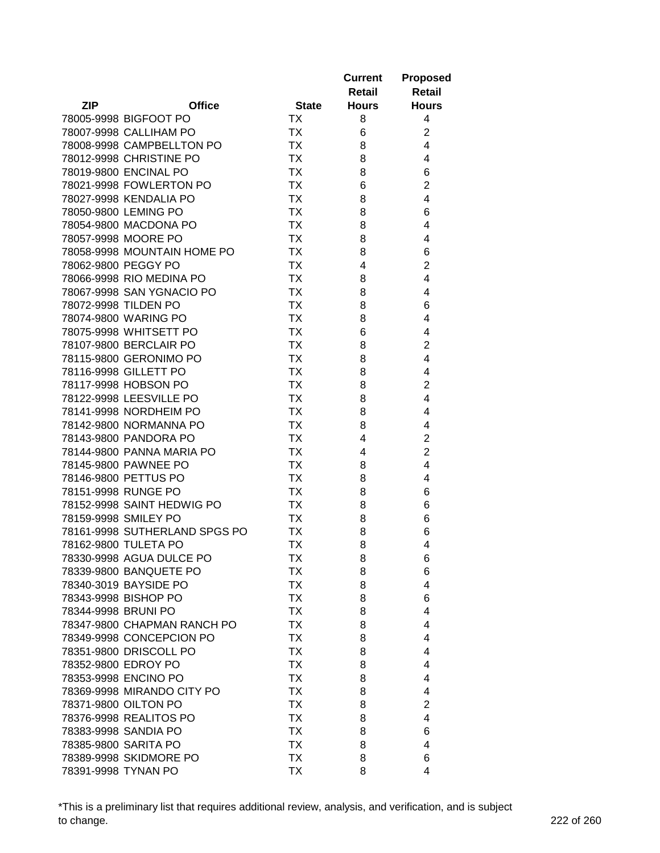| <b>Retail</b><br><b>Retail</b><br><b>ZIP</b><br><b>Office</b><br><b>State</b><br><b>Hours</b><br><b>Hours</b><br>78005-9998 BIGFOOT PO<br>ТX<br>8<br>4<br><b>TX</b><br>$\overline{c}$<br>78007-9998 CALLIHAM PO<br>6<br><b>TX</b><br>4<br>78008-9998 CAMPBELLTON PO<br>8<br><b>TX</b><br>4<br>78012-9998 CHRISTINE PO<br>8<br>78019-9800 ENCINAL PO<br><b>TX</b><br>6<br>8<br>78021-9998 FOWLERTON PO<br><b>TX</b><br>$\overline{c}$<br>6<br><b>TX</b><br>4<br>78027-9998 KENDALIA PO<br>8<br><b>TX</b><br>6<br>78050-9800 LEMING PO<br>8<br>78054-9800 MACDONA PO<br><b>TX</b><br>4<br>8<br>78057-9998 MOORE PO<br><b>TX</b><br>4<br>8<br>78058-9998 MOUNTAIN HOME PO<br><b>TX</b><br>8<br>6<br>$\overline{2}$<br>78062-9800 PEGGY PO<br><b>TX</b><br>4<br>78066-9998 RIO MEDINA PO<br><b>TX</b><br>4<br>8<br>78067-9998 SAN YGNACIO PO<br><b>TX</b><br>4<br>8<br>78072-9998 TILDEN PO<br><b>TX</b><br>6<br>8<br><b>TX</b><br>78074-9800 WARING PO<br>8<br>4<br>78075-9998 WHITSETT PO<br><b>TX</b><br>4<br>6<br>78107-9800 BERCLAIR PO<br><b>TX</b><br>$\overline{2}$<br>8<br>$\overline{4}$<br>78115-9800 GERONIMO PO<br><b>TX</b><br>8<br><b>TX</b><br>4<br>78116-9998 GILLETT PO<br>8<br>$\overline{2}$<br><b>TX</b><br>78117-9998 HOBSON PO<br>8<br>$\overline{4}$<br><b>TX</b><br>78122-9998 LEESVILLE PO<br>8<br>78141-9998 NORDHEIM PO<br><b>TX</b><br>4<br>8<br>78142-9800 NORMANNA PO<br><b>TX</b><br>8<br>4<br>78143-9800 PANDORA PO<br><b>TX</b><br>$\overline{2}$<br>4<br>$\overline{2}$<br>78144-9800 PANNA MARIA PO<br><b>TX</b><br>4<br>78145-9800 PAWNEE PO<br><b>TX</b><br>4<br>8<br>78146-9800 PETTUS PO<br><b>TX</b><br>8<br>4<br>78151-9998 RUNGE PO<br>TX<br>8<br>6<br>78152-9998 SAINT HEDWIG PO<br><b>TX</b><br>8<br>6<br>78159-9998 SMILEY PO<br>6<br>TX<br>8<br>78161-9998 SUTHERLAND SPGS PO<br><b>TX</b><br>8<br>6<br>78162-9800 TULETA PO<br><b>TX</b><br>8<br>4<br>78330-9998 AGUA DULCE PO<br><b>TX</b><br>8<br>6<br>78339-9800 BANQUETE PO<br>TХ<br>8<br>6<br><b>TX</b><br>4<br>78340-3019 BAYSIDE PO<br>8<br><b>TX</b><br>78343-9998 BISHOP PO<br>8<br>6<br>78344-9998 BRUNI PO<br><b>TX</b><br>$\overline{4}$<br>8<br>78347-9800 CHAPMAN RANCH PO<br><b>TX</b><br>4<br>8<br>78349-9998 CONCEPCION PO<br><b>TX</b><br>8<br>4<br>78351-9800 DRISCOLL PO<br><b>TX</b><br>8<br>4<br>78352-9800 EDROY PO<br><b>TX</b><br>8<br>4<br>78353-9998 ENCINO PO<br><b>TX</b><br>4<br>8<br><b>TX</b><br>78369-9998 MIRANDO CITY PO<br>8<br>4<br>78371-9800 OILTON PO<br><b>TX</b><br>$\overline{2}$<br>8<br>78376-9998 REALITOS PO<br>4<br>ТX<br>8<br>78383-9998 SANDIA PO<br><b>TX</b><br>8<br>6<br>78385-9800 SARITA PO<br>ТX<br>8<br>4 |                        |           | <b>Current</b> | <b>Proposed</b> |
|----------------------------------------------------------------------------------------------------------------------------------------------------------------------------------------------------------------------------------------------------------------------------------------------------------------------------------------------------------------------------------------------------------------------------------------------------------------------------------------------------------------------------------------------------------------------------------------------------------------------------------------------------------------------------------------------------------------------------------------------------------------------------------------------------------------------------------------------------------------------------------------------------------------------------------------------------------------------------------------------------------------------------------------------------------------------------------------------------------------------------------------------------------------------------------------------------------------------------------------------------------------------------------------------------------------------------------------------------------------------------------------------------------------------------------------------------------------------------------------------------------------------------------------------------------------------------------------------------------------------------------------------------------------------------------------------------------------------------------------------------------------------------------------------------------------------------------------------------------------------------------------------------------------------------------------------------------------------------------------------------------------------------------------------------------------------------------------------------------------------------------------------------------------------------------------------------------------------------------------------------------------------------------------------------------------------------------------------------------------------------------------------------------------------------------------------------------------------------------------------------------------------------------------------------------------------------------------------------------------------------------------------------------------|------------------------|-----------|----------------|-----------------|
|                                                                                                                                                                                                                                                                                                                                                                                                                                                                                                                                                                                                                                                                                                                                                                                                                                                                                                                                                                                                                                                                                                                                                                                                                                                                                                                                                                                                                                                                                                                                                                                                                                                                                                                                                                                                                                                                                                                                                                                                                                                                                                                                                                                                                                                                                                                                                                                                                                                                                                                                                                                                                                                                |                        |           |                |                 |
|                                                                                                                                                                                                                                                                                                                                                                                                                                                                                                                                                                                                                                                                                                                                                                                                                                                                                                                                                                                                                                                                                                                                                                                                                                                                                                                                                                                                                                                                                                                                                                                                                                                                                                                                                                                                                                                                                                                                                                                                                                                                                                                                                                                                                                                                                                                                                                                                                                                                                                                                                                                                                                                                |                        |           |                |                 |
|                                                                                                                                                                                                                                                                                                                                                                                                                                                                                                                                                                                                                                                                                                                                                                                                                                                                                                                                                                                                                                                                                                                                                                                                                                                                                                                                                                                                                                                                                                                                                                                                                                                                                                                                                                                                                                                                                                                                                                                                                                                                                                                                                                                                                                                                                                                                                                                                                                                                                                                                                                                                                                                                |                        |           |                |                 |
|                                                                                                                                                                                                                                                                                                                                                                                                                                                                                                                                                                                                                                                                                                                                                                                                                                                                                                                                                                                                                                                                                                                                                                                                                                                                                                                                                                                                                                                                                                                                                                                                                                                                                                                                                                                                                                                                                                                                                                                                                                                                                                                                                                                                                                                                                                                                                                                                                                                                                                                                                                                                                                                                |                        |           |                |                 |
|                                                                                                                                                                                                                                                                                                                                                                                                                                                                                                                                                                                                                                                                                                                                                                                                                                                                                                                                                                                                                                                                                                                                                                                                                                                                                                                                                                                                                                                                                                                                                                                                                                                                                                                                                                                                                                                                                                                                                                                                                                                                                                                                                                                                                                                                                                                                                                                                                                                                                                                                                                                                                                                                |                        |           |                |                 |
|                                                                                                                                                                                                                                                                                                                                                                                                                                                                                                                                                                                                                                                                                                                                                                                                                                                                                                                                                                                                                                                                                                                                                                                                                                                                                                                                                                                                                                                                                                                                                                                                                                                                                                                                                                                                                                                                                                                                                                                                                                                                                                                                                                                                                                                                                                                                                                                                                                                                                                                                                                                                                                                                |                        |           |                |                 |
|                                                                                                                                                                                                                                                                                                                                                                                                                                                                                                                                                                                                                                                                                                                                                                                                                                                                                                                                                                                                                                                                                                                                                                                                                                                                                                                                                                                                                                                                                                                                                                                                                                                                                                                                                                                                                                                                                                                                                                                                                                                                                                                                                                                                                                                                                                                                                                                                                                                                                                                                                                                                                                                                |                        |           |                |                 |
|                                                                                                                                                                                                                                                                                                                                                                                                                                                                                                                                                                                                                                                                                                                                                                                                                                                                                                                                                                                                                                                                                                                                                                                                                                                                                                                                                                                                                                                                                                                                                                                                                                                                                                                                                                                                                                                                                                                                                                                                                                                                                                                                                                                                                                                                                                                                                                                                                                                                                                                                                                                                                                                                |                        |           |                |                 |
|                                                                                                                                                                                                                                                                                                                                                                                                                                                                                                                                                                                                                                                                                                                                                                                                                                                                                                                                                                                                                                                                                                                                                                                                                                                                                                                                                                                                                                                                                                                                                                                                                                                                                                                                                                                                                                                                                                                                                                                                                                                                                                                                                                                                                                                                                                                                                                                                                                                                                                                                                                                                                                                                |                        |           |                |                 |
|                                                                                                                                                                                                                                                                                                                                                                                                                                                                                                                                                                                                                                                                                                                                                                                                                                                                                                                                                                                                                                                                                                                                                                                                                                                                                                                                                                                                                                                                                                                                                                                                                                                                                                                                                                                                                                                                                                                                                                                                                                                                                                                                                                                                                                                                                                                                                                                                                                                                                                                                                                                                                                                                |                        |           |                |                 |
|                                                                                                                                                                                                                                                                                                                                                                                                                                                                                                                                                                                                                                                                                                                                                                                                                                                                                                                                                                                                                                                                                                                                                                                                                                                                                                                                                                                                                                                                                                                                                                                                                                                                                                                                                                                                                                                                                                                                                                                                                                                                                                                                                                                                                                                                                                                                                                                                                                                                                                                                                                                                                                                                |                        |           |                |                 |
|                                                                                                                                                                                                                                                                                                                                                                                                                                                                                                                                                                                                                                                                                                                                                                                                                                                                                                                                                                                                                                                                                                                                                                                                                                                                                                                                                                                                                                                                                                                                                                                                                                                                                                                                                                                                                                                                                                                                                                                                                                                                                                                                                                                                                                                                                                                                                                                                                                                                                                                                                                                                                                                                |                        |           |                |                 |
|                                                                                                                                                                                                                                                                                                                                                                                                                                                                                                                                                                                                                                                                                                                                                                                                                                                                                                                                                                                                                                                                                                                                                                                                                                                                                                                                                                                                                                                                                                                                                                                                                                                                                                                                                                                                                                                                                                                                                                                                                                                                                                                                                                                                                                                                                                                                                                                                                                                                                                                                                                                                                                                                |                        |           |                |                 |
|                                                                                                                                                                                                                                                                                                                                                                                                                                                                                                                                                                                                                                                                                                                                                                                                                                                                                                                                                                                                                                                                                                                                                                                                                                                                                                                                                                                                                                                                                                                                                                                                                                                                                                                                                                                                                                                                                                                                                                                                                                                                                                                                                                                                                                                                                                                                                                                                                                                                                                                                                                                                                                                                |                        |           |                |                 |
|                                                                                                                                                                                                                                                                                                                                                                                                                                                                                                                                                                                                                                                                                                                                                                                                                                                                                                                                                                                                                                                                                                                                                                                                                                                                                                                                                                                                                                                                                                                                                                                                                                                                                                                                                                                                                                                                                                                                                                                                                                                                                                                                                                                                                                                                                                                                                                                                                                                                                                                                                                                                                                                                |                        |           |                |                 |
|                                                                                                                                                                                                                                                                                                                                                                                                                                                                                                                                                                                                                                                                                                                                                                                                                                                                                                                                                                                                                                                                                                                                                                                                                                                                                                                                                                                                                                                                                                                                                                                                                                                                                                                                                                                                                                                                                                                                                                                                                                                                                                                                                                                                                                                                                                                                                                                                                                                                                                                                                                                                                                                                |                        |           |                |                 |
|                                                                                                                                                                                                                                                                                                                                                                                                                                                                                                                                                                                                                                                                                                                                                                                                                                                                                                                                                                                                                                                                                                                                                                                                                                                                                                                                                                                                                                                                                                                                                                                                                                                                                                                                                                                                                                                                                                                                                                                                                                                                                                                                                                                                                                                                                                                                                                                                                                                                                                                                                                                                                                                                |                        |           |                |                 |
|                                                                                                                                                                                                                                                                                                                                                                                                                                                                                                                                                                                                                                                                                                                                                                                                                                                                                                                                                                                                                                                                                                                                                                                                                                                                                                                                                                                                                                                                                                                                                                                                                                                                                                                                                                                                                                                                                                                                                                                                                                                                                                                                                                                                                                                                                                                                                                                                                                                                                                                                                                                                                                                                |                        |           |                |                 |
|                                                                                                                                                                                                                                                                                                                                                                                                                                                                                                                                                                                                                                                                                                                                                                                                                                                                                                                                                                                                                                                                                                                                                                                                                                                                                                                                                                                                                                                                                                                                                                                                                                                                                                                                                                                                                                                                                                                                                                                                                                                                                                                                                                                                                                                                                                                                                                                                                                                                                                                                                                                                                                                                |                        |           |                |                 |
|                                                                                                                                                                                                                                                                                                                                                                                                                                                                                                                                                                                                                                                                                                                                                                                                                                                                                                                                                                                                                                                                                                                                                                                                                                                                                                                                                                                                                                                                                                                                                                                                                                                                                                                                                                                                                                                                                                                                                                                                                                                                                                                                                                                                                                                                                                                                                                                                                                                                                                                                                                                                                                                                |                        |           |                |                 |
|                                                                                                                                                                                                                                                                                                                                                                                                                                                                                                                                                                                                                                                                                                                                                                                                                                                                                                                                                                                                                                                                                                                                                                                                                                                                                                                                                                                                                                                                                                                                                                                                                                                                                                                                                                                                                                                                                                                                                                                                                                                                                                                                                                                                                                                                                                                                                                                                                                                                                                                                                                                                                                                                |                        |           |                |                 |
|                                                                                                                                                                                                                                                                                                                                                                                                                                                                                                                                                                                                                                                                                                                                                                                                                                                                                                                                                                                                                                                                                                                                                                                                                                                                                                                                                                                                                                                                                                                                                                                                                                                                                                                                                                                                                                                                                                                                                                                                                                                                                                                                                                                                                                                                                                                                                                                                                                                                                                                                                                                                                                                                |                        |           |                |                 |
|                                                                                                                                                                                                                                                                                                                                                                                                                                                                                                                                                                                                                                                                                                                                                                                                                                                                                                                                                                                                                                                                                                                                                                                                                                                                                                                                                                                                                                                                                                                                                                                                                                                                                                                                                                                                                                                                                                                                                                                                                                                                                                                                                                                                                                                                                                                                                                                                                                                                                                                                                                                                                                                                |                        |           |                |                 |
|                                                                                                                                                                                                                                                                                                                                                                                                                                                                                                                                                                                                                                                                                                                                                                                                                                                                                                                                                                                                                                                                                                                                                                                                                                                                                                                                                                                                                                                                                                                                                                                                                                                                                                                                                                                                                                                                                                                                                                                                                                                                                                                                                                                                                                                                                                                                                                                                                                                                                                                                                                                                                                                                |                        |           |                |                 |
|                                                                                                                                                                                                                                                                                                                                                                                                                                                                                                                                                                                                                                                                                                                                                                                                                                                                                                                                                                                                                                                                                                                                                                                                                                                                                                                                                                                                                                                                                                                                                                                                                                                                                                                                                                                                                                                                                                                                                                                                                                                                                                                                                                                                                                                                                                                                                                                                                                                                                                                                                                                                                                                                |                        |           |                |                 |
|                                                                                                                                                                                                                                                                                                                                                                                                                                                                                                                                                                                                                                                                                                                                                                                                                                                                                                                                                                                                                                                                                                                                                                                                                                                                                                                                                                                                                                                                                                                                                                                                                                                                                                                                                                                                                                                                                                                                                                                                                                                                                                                                                                                                                                                                                                                                                                                                                                                                                                                                                                                                                                                                |                        |           |                |                 |
|                                                                                                                                                                                                                                                                                                                                                                                                                                                                                                                                                                                                                                                                                                                                                                                                                                                                                                                                                                                                                                                                                                                                                                                                                                                                                                                                                                                                                                                                                                                                                                                                                                                                                                                                                                                                                                                                                                                                                                                                                                                                                                                                                                                                                                                                                                                                                                                                                                                                                                                                                                                                                                                                |                        |           |                |                 |
|                                                                                                                                                                                                                                                                                                                                                                                                                                                                                                                                                                                                                                                                                                                                                                                                                                                                                                                                                                                                                                                                                                                                                                                                                                                                                                                                                                                                                                                                                                                                                                                                                                                                                                                                                                                                                                                                                                                                                                                                                                                                                                                                                                                                                                                                                                                                                                                                                                                                                                                                                                                                                                                                |                        |           |                |                 |
|                                                                                                                                                                                                                                                                                                                                                                                                                                                                                                                                                                                                                                                                                                                                                                                                                                                                                                                                                                                                                                                                                                                                                                                                                                                                                                                                                                                                                                                                                                                                                                                                                                                                                                                                                                                                                                                                                                                                                                                                                                                                                                                                                                                                                                                                                                                                                                                                                                                                                                                                                                                                                                                                |                        |           |                |                 |
|                                                                                                                                                                                                                                                                                                                                                                                                                                                                                                                                                                                                                                                                                                                                                                                                                                                                                                                                                                                                                                                                                                                                                                                                                                                                                                                                                                                                                                                                                                                                                                                                                                                                                                                                                                                                                                                                                                                                                                                                                                                                                                                                                                                                                                                                                                                                                                                                                                                                                                                                                                                                                                                                |                        |           |                |                 |
|                                                                                                                                                                                                                                                                                                                                                                                                                                                                                                                                                                                                                                                                                                                                                                                                                                                                                                                                                                                                                                                                                                                                                                                                                                                                                                                                                                                                                                                                                                                                                                                                                                                                                                                                                                                                                                                                                                                                                                                                                                                                                                                                                                                                                                                                                                                                                                                                                                                                                                                                                                                                                                                                |                        |           |                |                 |
|                                                                                                                                                                                                                                                                                                                                                                                                                                                                                                                                                                                                                                                                                                                                                                                                                                                                                                                                                                                                                                                                                                                                                                                                                                                                                                                                                                                                                                                                                                                                                                                                                                                                                                                                                                                                                                                                                                                                                                                                                                                                                                                                                                                                                                                                                                                                                                                                                                                                                                                                                                                                                                                                |                        |           |                |                 |
|                                                                                                                                                                                                                                                                                                                                                                                                                                                                                                                                                                                                                                                                                                                                                                                                                                                                                                                                                                                                                                                                                                                                                                                                                                                                                                                                                                                                                                                                                                                                                                                                                                                                                                                                                                                                                                                                                                                                                                                                                                                                                                                                                                                                                                                                                                                                                                                                                                                                                                                                                                                                                                                                |                        |           |                |                 |
|                                                                                                                                                                                                                                                                                                                                                                                                                                                                                                                                                                                                                                                                                                                                                                                                                                                                                                                                                                                                                                                                                                                                                                                                                                                                                                                                                                                                                                                                                                                                                                                                                                                                                                                                                                                                                                                                                                                                                                                                                                                                                                                                                                                                                                                                                                                                                                                                                                                                                                                                                                                                                                                                |                        |           |                |                 |
|                                                                                                                                                                                                                                                                                                                                                                                                                                                                                                                                                                                                                                                                                                                                                                                                                                                                                                                                                                                                                                                                                                                                                                                                                                                                                                                                                                                                                                                                                                                                                                                                                                                                                                                                                                                                                                                                                                                                                                                                                                                                                                                                                                                                                                                                                                                                                                                                                                                                                                                                                                                                                                                                |                        |           |                |                 |
|                                                                                                                                                                                                                                                                                                                                                                                                                                                                                                                                                                                                                                                                                                                                                                                                                                                                                                                                                                                                                                                                                                                                                                                                                                                                                                                                                                                                                                                                                                                                                                                                                                                                                                                                                                                                                                                                                                                                                                                                                                                                                                                                                                                                                                                                                                                                                                                                                                                                                                                                                                                                                                                                |                        |           |                |                 |
|                                                                                                                                                                                                                                                                                                                                                                                                                                                                                                                                                                                                                                                                                                                                                                                                                                                                                                                                                                                                                                                                                                                                                                                                                                                                                                                                                                                                                                                                                                                                                                                                                                                                                                                                                                                                                                                                                                                                                                                                                                                                                                                                                                                                                                                                                                                                                                                                                                                                                                                                                                                                                                                                |                        |           |                |                 |
|                                                                                                                                                                                                                                                                                                                                                                                                                                                                                                                                                                                                                                                                                                                                                                                                                                                                                                                                                                                                                                                                                                                                                                                                                                                                                                                                                                                                                                                                                                                                                                                                                                                                                                                                                                                                                                                                                                                                                                                                                                                                                                                                                                                                                                                                                                                                                                                                                                                                                                                                                                                                                                                                |                        |           |                |                 |
|                                                                                                                                                                                                                                                                                                                                                                                                                                                                                                                                                                                                                                                                                                                                                                                                                                                                                                                                                                                                                                                                                                                                                                                                                                                                                                                                                                                                                                                                                                                                                                                                                                                                                                                                                                                                                                                                                                                                                                                                                                                                                                                                                                                                                                                                                                                                                                                                                                                                                                                                                                                                                                                                |                        |           |                |                 |
|                                                                                                                                                                                                                                                                                                                                                                                                                                                                                                                                                                                                                                                                                                                                                                                                                                                                                                                                                                                                                                                                                                                                                                                                                                                                                                                                                                                                                                                                                                                                                                                                                                                                                                                                                                                                                                                                                                                                                                                                                                                                                                                                                                                                                                                                                                                                                                                                                                                                                                                                                                                                                                                                |                        |           |                |                 |
|                                                                                                                                                                                                                                                                                                                                                                                                                                                                                                                                                                                                                                                                                                                                                                                                                                                                                                                                                                                                                                                                                                                                                                                                                                                                                                                                                                                                                                                                                                                                                                                                                                                                                                                                                                                                                                                                                                                                                                                                                                                                                                                                                                                                                                                                                                                                                                                                                                                                                                                                                                                                                                                                |                        |           |                |                 |
|                                                                                                                                                                                                                                                                                                                                                                                                                                                                                                                                                                                                                                                                                                                                                                                                                                                                                                                                                                                                                                                                                                                                                                                                                                                                                                                                                                                                                                                                                                                                                                                                                                                                                                                                                                                                                                                                                                                                                                                                                                                                                                                                                                                                                                                                                                                                                                                                                                                                                                                                                                                                                                                                |                        |           |                |                 |
|                                                                                                                                                                                                                                                                                                                                                                                                                                                                                                                                                                                                                                                                                                                                                                                                                                                                                                                                                                                                                                                                                                                                                                                                                                                                                                                                                                                                                                                                                                                                                                                                                                                                                                                                                                                                                                                                                                                                                                                                                                                                                                                                                                                                                                                                                                                                                                                                                                                                                                                                                                                                                                                                |                        |           |                |                 |
|                                                                                                                                                                                                                                                                                                                                                                                                                                                                                                                                                                                                                                                                                                                                                                                                                                                                                                                                                                                                                                                                                                                                                                                                                                                                                                                                                                                                                                                                                                                                                                                                                                                                                                                                                                                                                                                                                                                                                                                                                                                                                                                                                                                                                                                                                                                                                                                                                                                                                                                                                                                                                                                                |                        |           |                |                 |
|                                                                                                                                                                                                                                                                                                                                                                                                                                                                                                                                                                                                                                                                                                                                                                                                                                                                                                                                                                                                                                                                                                                                                                                                                                                                                                                                                                                                                                                                                                                                                                                                                                                                                                                                                                                                                                                                                                                                                                                                                                                                                                                                                                                                                                                                                                                                                                                                                                                                                                                                                                                                                                                                |                        |           |                |                 |
|                                                                                                                                                                                                                                                                                                                                                                                                                                                                                                                                                                                                                                                                                                                                                                                                                                                                                                                                                                                                                                                                                                                                                                                                                                                                                                                                                                                                                                                                                                                                                                                                                                                                                                                                                                                                                                                                                                                                                                                                                                                                                                                                                                                                                                                                                                                                                                                                                                                                                                                                                                                                                                                                |                        |           |                |                 |
|                                                                                                                                                                                                                                                                                                                                                                                                                                                                                                                                                                                                                                                                                                                                                                                                                                                                                                                                                                                                                                                                                                                                                                                                                                                                                                                                                                                                                                                                                                                                                                                                                                                                                                                                                                                                                                                                                                                                                                                                                                                                                                                                                                                                                                                                                                                                                                                                                                                                                                                                                                                                                                                                |                        |           |                |                 |
|                                                                                                                                                                                                                                                                                                                                                                                                                                                                                                                                                                                                                                                                                                                                                                                                                                                                                                                                                                                                                                                                                                                                                                                                                                                                                                                                                                                                                                                                                                                                                                                                                                                                                                                                                                                                                                                                                                                                                                                                                                                                                                                                                                                                                                                                                                                                                                                                                                                                                                                                                                                                                                                                |                        |           |                |                 |
|                                                                                                                                                                                                                                                                                                                                                                                                                                                                                                                                                                                                                                                                                                                                                                                                                                                                                                                                                                                                                                                                                                                                                                                                                                                                                                                                                                                                                                                                                                                                                                                                                                                                                                                                                                                                                                                                                                                                                                                                                                                                                                                                                                                                                                                                                                                                                                                                                                                                                                                                                                                                                                                                |                        |           |                |                 |
|                                                                                                                                                                                                                                                                                                                                                                                                                                                                                                                                                                                                                                                                                                                                                                                                                                                                                                                                                                                                                                                                                                                                                                                                                                                                                                                                                                                                                                                                                                                                                                                                                                                                                                                                                                                                                                                                                                                                                                                                                                                                                                                                                                                                                                                                                                                                                                                                                                                                                                                                                                                                                                                                |                        |           |                |                 |
|                                                                                                                                                                                                                                                                                                                                                                                                                                                                                                                                                                                                                                                                                                                                                                                                                                                                                                                                                                                                                                                                                                                                                                                                                                                                                                                                                                                                                                                                                                                                                                                                                                                                                                                                                                                                                                                                                                                                                                                                                                                                                                                                                                                                                                                                                                                                                                                                                                                                                                                                                                                                                                                                | 78389-9998 SKIDMORE PO | <b>TX</b> | 8              | 6               |
|                                                                                                                                                                                                                                                                                                                                                                                                                                                                                                                                                                                                                                                                                                                                                                                                                                                                                                                                                                                                                                                                                                                                                                                                                                                                                                                                                                                                                                                                                                                                                                                                                                                                                                                                                                                                                                                                                                                                                                                                                                                                                                                                                                                                                                                                                                                                                                                                                                                                                                                                                                                                                                                                | 78391-9998 TYNAN PO    | TX        | 8              | 4               |
|                                                                                                                                                                                                                                                                                                                                                                                                                                                                                                                                                                                                                                                                                                                                                                                                                                                                                                                                                                                                                                                                                                                                                                                                                                                                                                                                                                                                                                                                                                                                                                                                                                                                                                                                                                                                                                                                                                                                                                                                                                                                                                                                                                                                                                                                                                                                                                                                                                                                                                                                                                                                                                                                |                        |           |                |                 |

\*This is a preliminary list that requires additional review, analysis, and verification, and is subject to change. 222 of 260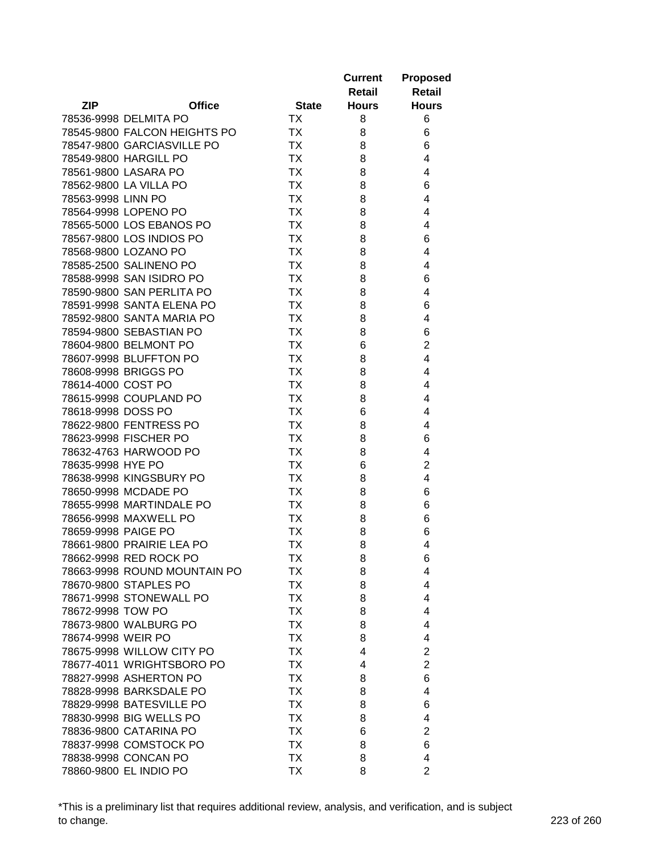| <b>ZIP</b><br><b>Office</b><br><b>Hours</b><br><b>State</b><br><b>Hours</b><br>78536-9998 DELMITA PO<br>ТX<br>6<br>8<br>78545-9800 FALCON HEIGHTS PO<br>ТX<br>6<br>8<br><b>TX</b><br>78547-9800 GARCIASVILLE PO<br>8<br>6<br><b>TX</b><br>4<br>78549-9800 HARGILL PO<br>8<br><b>TX</b><br>78561-9800 LASARA PO<br>8<br>4<br><b>TX</b><br>78562-9800 LA VILLA PO<br>8<br>6<br><b>TX</b><br>4<br>78563-9998 LINN PO<br>8<br><b>TX</b><br>4<br>78564-9998 LOPENO PO<br>8<br>78565-5000 LOS EBANOS PO<br><b>TX</b><br>8<br>4<br><b>TX</b><br>78567-9800 LOS INDIOS PO<br>8<br>6<br><b>TX</b><br>78568-9800 LOZANO PO<br>8<br>4<br>78585-2500 SALINENO PO<br><b>TX</b><br>4<br>8<br>78588-9998 SAN ISIDRO PO<br><b>TX</b><br>8<br>6<br>78590-9800 SAN PERLITA PO<br>ТX<br>8<br>4<br>78591-9998 SANTA ELENA PO<br>ТX<br>8<br>6<br>78592-9800 SANTA MARIA PO<br>ТX<br>8<br>4<br>78594-9800 SEBASTIAN PO<br><b>TX</b><br>6<br>8<br>$\overline{c}$<br>78604-9800 BELMONT PO<br>ТX<br>6<br>78607-9998 BLUFFTON PO<br><b>TX</b><br>4<br>8<br>78608-9998 BRIGGS PO<br><b>TX</b><br>4<br>8<br>78614-4000 COST PO<br><b>TX</b><br>4<br>8<br>78615-9998 COUPLAND PO<br>ТX<br>8<br>4<br>78618-9998 DOSS PO<br>ТX<br>6<br>4<br>78622-9800 FENTRESS PO<br>ТX<br>8<br>4<br><b>TX</b><br>78623-9998 FISCHER PO<br>8<br>6<br><b>TX</b><br>78632-4763 HARWOOD PO<br>8<br>4<br><b>TX</b><br>$\overline{2}$<br>78635-9998 HYE PO<br>6<br>78638-9998 KINGSBURY PO<br><b>TX</b><br>4<br>8<br>78650-9998 MCDADE PO<br><b>TX</b><br>8<br>6<br>78655-9998 MARTINDALE PO<br>ТX<br>8<br>6<br>78656-9998 MAXWELL PO<br>ТX<br>8<br>6<br>78659-9998 PAIGE PO<br>ТX<br>8<br>6<br>78661-9800 PRAIRIE LEA PO<br>8<br>4<br>ТX<br>78662-9998 RED ROCK PO<br>TХ<br>8<br>6<br>78663-9998 ROUND MOUNTAIN PO<br>ТX<br>8<br>4<br>78670-9800 STAPLES PO<br>ТX<br>8<br>4<br>78671-9998 STONEWALL PO<br>TX<br>4<br>8<br>78672-9998 TOW PO<br>TX<br>4<br>8<br>78673-9800 WALBURG PO<br><b>TX</b><br>4<br>8<br>78674-9998 WEIR PO<br><b>TX</b><br>8<br>4<br><b>TX</b><br>$\overline{\mathbf{c}}$<br>78675-9998 WILLOW CITY PO<br>4<br>$\overline{2}$<br>78677-4011 WRIGHTSBORO PO<br><b>TX</b><br>4<br><b>TX</b><br>78827-9998 ASHERTON PO<br>6<br>8<br><b>TX</b><br>78828-9998 BARKSDALE PO<br>4<br>8<br>78829-9998 BATESVILLE PO<br><b>TX</b><br>8<br>6<br>78830-9998 BIG WELLS PO<br><b>TX</b><br>4<br>8<br><b>TX</b><br>78836-9800 CATARINA PO<br>2<br>6<br>78837-9998 COMSTOCK PO<br><b>TX</b><br>8<br>6<br>78838-9998 CONCAN PO<br>TX<br>8<br>4 |                        |    | <b>Current</b><br>Retail | <b>Proposed</b><br><b>Retail</b> |
|------------------------------------------------------------------------------------------------------------------------------------------------------------------------------------------------------------------------------------------------------------------------------------------------------------------------------------------------------------------------------------------------------------------------------------------------------------------------------------------------------------------------------------------------------------------------------------------------------------------------------------------------------------------------------------------------------------------------------------------------------------------------------------------------------------------------------------------------------------------------------------------------------------------------------------------------------------------------------------------------------------------------------------------------------------------------------------------------------------------------------------------------------------------------------------------------------------------------------------------------------------------------------------------------------------------------------------------------------------------------------------------------------------------------------------------------------------------------------------------------------------------------------------------------------------------------------------------------------------------------------------------------------------------------------------------------------------------------------------------------------------------------------------------------------------------------------------------------------------------------------------------------------------------------------------------------------------------------------------------------------------------------------------------------------------------------------------------------------------------------------------------------------------------------------------------------------------------------------------------------------------------------------------------------------------------------------------------------------------------------------------------------------------------------------------------------------------------------------------------------------|------------------------|----|--------------------------|----------------------------------|
|                                                                                                                                                                                                                                                                                                                                                                                                                                                                                                                                                                                                                                                                                                                                                                                                                                                                                                                                                                                                                                                                                                                                                                                                                                                                                                                                                                                                                                                                                                                                                                                                                                                                                                                                                                                                                                                                                                                                                                                                                                                                                                                                                                                                                                                                                                                                                                                                                                                                                                      |                        |    |                          |                                  |
|                                                                                                                                                                                                                                                                                                                                                                                                                                                                                                                                                                                                                                                                                                                                                                                                                                                                                                                                                                                                                                                                                                                                                                                                                                                                                                                                                                                                                                                                                                                                                                                                                                                                                                                                                                                                                                                                                                                                                                                                                                                                                                                                                                                                                                                                                                                                                                                                                                                                                                      |                        |    |                          |                                  |
|                                                                                                                                                                                                                                                                                                                                                                                                                                                                                                                                                                                                                                                                                                                                                                                                                                                                                                                                                                                                                                                                                                                                                                                                                                                                                                                                                                                                                                                                                                                                                                                                                                                                                                                                                                                                                                                                                                                                                                                                                                                                                                                                                                                                                                                                                                                                                                                                                                                                                                      |                        |    |                          |                                  |
|                                                                                                                                                                                                                                                                                                                                                                                                                                                                                                                                                                                                                                                                                                                                                                                                                                                                                                                                                                                                                                                                                                                                                                                                                                                                                                                                                                                                                                                                                                                                                                                                                                                                                                                                                                                                                                                                                                                                                                                                                                                                                                                                                                                                                                                                                                                                                                                                                                                                                                      |                        |    |                          |                                  |
|                                                                                                                                                                                                                                                                                                                                                                                                                                                                                                                                                                                                                                                                                                                                                                                                                                                                                                                                                                                                                                                                                                                                                                                                                                                                                                                                                                                                                                                                                                                                                                                                                                                                                                                                                                                                                                                                                                                                                                                                                                                                                                                                                                                                                                                                                                                                                                                                                                                                                                      |                        |    |                          |                                  |
|                                                                                                                                                                                                                                                                                                                                                                                                                                                                                                                                                                                                                                                                                                                                                                                                                                                                                                                                                                                                                                                                                                                                                                                                                                                                                                                                                                                                                                                                                                                                                                                                                                                                                                                                                                                                                                                                                                                                                                                                                                                                                                                                                                                                                                                                                                                                                                                                                                                                                                      |                        |    |                          |                                  |
|                                                                                                                                                                                                                                                                                                                                                                                                                                                                                                                                                                                                                                                                                                                                                                                                                                                                                                                                                                                                                                                                                                                                                                                                                                                                                                                                                                                                                                                                                                                                                                                                                                                                                                                                                                                                                                                                                                                                                                                                                                                                                                                                                                                                                                                                                                                                                                                                                                                                                                      |                        |    |                          |                                  |
|                                                                                                                                                                                                                                                                                                                                                                                                                                                                                                                                                                                                                                                                                                                                                                                                                                                                                                                                                                                                                                                                                                                                                                                                                                                                                                                                                                                                                                                                                                                                                                                                                                                                                                                                                                                                                                                                                                                                                                                                                                                                                                                                                                                                                                                                                                                                                                                                                                                                                                      |                        |    |                          |                                  |
|                                                                                                                                                                                                                                                                                                                                                                                                                                                                                                                                                                                                                                                                                                                                                                                                                                                                                                                                                                                                                                                                                                                                                                                                                                                                                                                                                                                                                                                                                                                                                                                                                                                                                                                                                                                                                                                                                                                                                                                                                                                                                                                                                                                                                                                                                                                                                                                                                                                                                                      |                        |    |                          |                                  |
|                                                                                                                                                                                                                                                                                                                                                                                                                                                                                                                                                                                                                                                                                                                                                                                                                                                                                                                                                                                                                                                                                                                                                                                                                                                                                                                                                                                                                                                                                                                                                                                                                                                                                                                                                                                                                                                                                                                                                                                                                                                                                                                                                                                                                                                                                                                                                                                                                                                                                                      |                        |    |                          |                                  |
|                                                                                                                                                                                                                                                                                                                                                                                                                                                                                                                                                                                                                                                                                                                                                                                                                                                                                                                                                                                                                                                                                                                                                                                                                                                                                                                                                                                                                                                                                                                                                                                                                                                                                                                                                                                                                                                                                                                                                                                                                                                                                                                                                                                                                                                                                                                                                                                                                                                                                                      |                        |    |                          |                                  |
|                                                                                                                                                                                                                                                                                                                                                                                                                                                                                                                                                                                                                                                                                                                                                                                                                                                                                                                                                                                                                                                                                                                                                                                                                                                                                                                                                                                                                                                                                                                                                                                                                                                                                                                                                                                                                                                                                                                                                                                                                                                                                                                                                                                                                                                                                                                                                                                                                                                                                                      |                        |    |                          |                                  |
|                                                                                                                                                                                                                                                                                                                                                                                                                                                                                                                                                                                                                                                                                                                                                                                                                                                                                                                                                                                                                                                                                                                                                                                                                                                                                                                                                                                                                                                                                                                                                                                                                                                                                                                                                                                                                                                                                                                                                                                                                                                                                                                                                                                                                                                                                                                                                                                                                                                                                                      |                        |    |                          |                                  |
|                                                                                                                                                                                                                                                                                                                                                                                                                                                                                                                                                                                                                                                                                                                                                                                                                                                                                                                                                                                                                                                                                                                                                                                                                                                                                                                                                                                                                                                                                                                                                                                                                                                                                                                                                                                                                                                                                                                                                                                                                                                                                                                                                                                                                                                                                                                                                                                                                                                                                                      |                        |    |                          |                                  |
|                                                                                                                                                                                                                                                                                                                                                                                                                                                                                                                                                                                                                                                                                                                                                                                                                                                                                                                                                                                                                                                                                                                                                                                                                                                                                                                                                                                                                                                                                                                                                                                                                                                                                                                                                                                                                                                                                                                                                                                                                                                                                                                                                                                                                                                                                                                                                                                                                                                                                                      |                        |    |                          |                                  |
|                                                                                                                                                                                                                                                                                                                                                                                                                                                                                                                                                                                                                                                                                                                                                                                                                                                                                                                                                                                                                                                                                                                                                                                                                                                                                                                                                                                                                                                                                                                                                                                                                                                                                                                                                                                                                                                                                                                                                                                                                                                                                                                                                                                                                                                                                                                                                                                                                                                                                                      |                        |    |                          |                                  |
|                                                                                                                                                                                                                                                                                                                                                                                                                                                                                                                                                                                                                                                                                                                                                                                                                                                                                                                                                                                                                                                                                                                                                                                                                                                                                                                                                                                                                                                                                                                                                                                                                                                                                                                                                                                                                                                                                                                                                                                                                                                                                                                                                                                                                                                                                                                                                                                                                                                                                                      |                        |    |                          |                                  |
|                                                                                                                                                                                                                                                                                                                                                                                                                                                                                                                                                                                                                                                                                                                                                                                                                                                                                                                                                                                                                                                                                                                                                                                                                                                                                                                                                                                                                                                                                                                                                                                                                                                                                                                                                                                                                                                                                                                                                                                                                                                                                                                                                                                                                                                                                                                                                                                                                                                                                                      |                        |    |                          |                                  |
|                                                                                                                                                                                                                                                                                                                                                                                                                                                                                                                                                                                                                                                                                                                                                                                                                                                                                                                                                                                                                                                                                                                                                                                                                                                                                                                                                                                                                                                                                                                                                                                                                                                                                                                                                                                                                                                                                                                                                                                                                                                                                                                                                                                                                                                                                                                                                                                                                                                                                                      |                        |    |                          |                                  |
|                                                                                                                                                                                                                                                                                                                                                                                                                                                                                                                                                                                                                                                                                                                                                                                                                                                                                                                                                                                                                                                                                                                                                                                                                                                                                                                                                                                                                                                                                                                                                                                                                                                                                                                                                                                                                                                                                                                                                                                                                                                                                                                                                                                                                                                                                                                                                                                                                                                                                                      |                        |    |                          |                                  |
|                                                                                                                                                                                                                                                                                                                                                                                                                                                                                                                                                                                                                                                                                                                                                                                                                                                                                                                                                                                                                                                                                                                                                                                                                                                                                                                                                                                                                                                                                                                                                                                                                                                                                                                                                                                                                                                                                                                                                                                                                                                                                                                                                                                                                                                                                                                                                                                                                                                                                                      |                        |    |                          |                                  |
|                                                                                                                                                                                                                                                                                                                                                                                                                                                                                                                                                                                                                                                                                                                                                                                                                                                                                                                                                                                                                                                                                                                                                                                                                                                                                                                                                                                                                                                                                                                                                                                                                                                                                                                                                                                                                                                                                                                                                                                                                                                                                                                                                                                                                                                                                                                                                                                                                                                                                                      |                        |    |                          |                                  |
|                                                                                                                                                                                                                                                                                                                                                                                                                                                                                                                                                                                                                                                                                                                                                                                                                                                                                                                                                                                                                                                                                                                                                                                                                                                                                                                                                                                                                                                                                                                                                                                                                                                                                                                                                                                                                                                                                                                                                                                                                                                                                                                                                                                                                                                                                                                                                                                                                                                                                                      |                        |    |                          |                                  |
|                                                                                                                                                                                                                                                                                                                                                                                                                                                                                                                                                                                                                                                                                                                                                                                                                                                                                                                                                                                                                                                                                                                                                                                                                                                                                                                                                                                                                                                                                                                                                                                                                                                                                                                                                                                                                                                                                                                                                                                                                                                                                                                                                                                                                                                                                                                                                                                                                                                                                                      |                        |    |                          |                                  |
|                                                                                                                                                                                                                                                                                                                                                                                                                                                                                                                                                                                                                                                                                                                                                                                                                                                                                                                                                                                                                                                                                                                                                                                                                                                                                                                                                                                                                                                                                                                                                                                                                                                                                                                                                                                                                                                                                                                                                                                                                                                                                                                                                                                                                                                                                                                                                                                                                                                                                                      |                        |    |                          |                                  |
|                                                                                                                                                                                                                                                                                                                                                                                                                                                                                                                                                                                                                                                                                                                                                                                                                                                                                                                                                                                                                                                                                                                                                                                                                                                                                                                                                                                                                                                                                                                                                                                                                                                                                                                                                                                                                                                                                                                                                                                                                                                                                                                                                                                                                                                                                                                                                                                                                                                                                                      |                        |    |                          |                                  |
|                                                                                                                                                                                                                                                                                                                                                                                                                                                                                                                                                                                                                                                                                                                                                                                                                                                                                                                                                                                                                                                                                                                                                                                                                                                                                                                                                                                                                                                                                                                                                                                                                                                                                                                                                                                                                                                                                                                                                                                                                                                                                                                                                                                                                                                                                                                                                                                                                                                                                                      |                        |    |                          |                                  |
|                                                                                                                                                                                                                                                                                                                                                                                                                                                                                                                                                                                                                                                                                                                                                                                                                                                                                                                                                                                                                                                                                                                                                                                                                                                                                                                                                                                                                                                                                                                                                                                                                                                                                                                                                                                                                                                                                                                                                                                                                                                                                                                                                                                                                                                                                                                                                                                                                                                                                                      |                        |    |                          |                                  |
|                                                                                                                                                                                                                                                                                                                                                                                                                                                                                                                                                                                                                                                                                                                                                                                                                                                                                                                                                                                                                                                                                                                                                                                                                                                                                                                                                                                                                                                                                                                                                                                                                                                                                                                                                                                                                                                                                                                                                                                                                                                                                                                                                                                                                                                                                                                                                                                                                                                                                                      |                        |    |                          |                                  |
|                                                                                                                                                                                                                                                                                                                                                                                                                                                                                                                                                                                                                                                                                                                                                                                                                                                                                                                                                                                                                                                                                                                                                                                                                                                                                                                                                                                                                                                                                                                                                                                                                                                                                                                                                                                                                                                                                                                                                                                                                                                                                                                                                                                                                                                                                                                                                                                                                                                                                                      |                        |    |                          |                                  |
|                                                                                                                                                                                                                                                                                                                                                                                                                                                                                                                                                                                                                                                                                                                                                                                                                                                                                                                                                                                                                                                                                                                                                                                                                                                                                                                                                                                                                                                                                                                                                                                                                                                                                                                                                                                                                                                                                                                                                                                                                                                                                                                                                                                                                                                                                                                                                                                                                                                                                                      |                        |    |                          |                                  |
|                                                                                                                                                                                                                                                                                                                                                                                                                                                                                                                                                                                                                                                                                                                                                                                                                                                                                                                                                                                                                                                                                                                                                                                                                                                                                                                                                                                                                                                                                                                                                                                                                                                                                                                                                                                                                                                                                                                                                                                                                                                                                                                                                                                                                                                                                                                                                                                                                                                                                                      |                        |    |                          |                                  |
|                                                                                                                                                                                                                                                                                                                                                                                                                                                                                                                                                                                                                                                                                                                                                                                                                                                                                                                                                                                                                                                                                                                                                                                                                                                                                                                                                                                                                                                                                                                                                                                                                                                                                                                                                                                                                                                                                                                                                                                                                                                                                                                                                                                                                                                                                                                                                                                                                                                                                                      |                        |    |                          |                                  |
|                                                                                                                                                                                                                                                                                                                                                                                                                                                                                                                                                                                                                                                                                                                                                                                                                                                                                                                                                                                                                                                                                                                                                                                                                                                                                                                                                                                                                                                                                                                                                                                                                                                                                                                                                                                                                                                                                                                                                                                                                                                                                                                                                                                                                                                                                                                                                                                                                                                                                                      |                        |    |                          |                                  |
|                                                                                                                                                                                                                                                                                                                                                                                                                                                                                                                                                                                                                                                                                                                                                                                                                                                                                                                                                                                                                                                                                                                                                                                                                                                                                                                                                                                                                                                                                                                                                                                                                                                                                                                                                                                                                                                                                                                                                                                                                                                                                                                                                                                                                                                                                                                                                                                                                                                                                                      |                        |    |                          |                                  |
|                                                                                                                                                                                                                                                                                                                                                                                                                                                                                                                                                                                                                                                                                                                                                                                                                                                                                                                                                                                                                                                                                                                                                                                                                                                                                                                                                                                                                                                                                                                                                                                                                                                                                                                                                                                                                                                                                                                                                                                                                                                                                                                                                                                                                                                                                                                                                                                                                                                                                                      |                        |    |                          |                                  |
|                                                                                                                                                                                                                                                                                                                                                                                                                                                                                                                                                                                                                                                                                                                                                                                                                                                                                                                                                                                                                                                                                                                                                                                                                                                                                                                                                                                                                                                                                                                                                                                                                                                                                                                                                                                                                                                                                                                                                                                                                                                                                                                                                                                                                                                                                                                                                                                                                                                                                                      |                        |    |                          |                                  |
|                                                                                                                                                                                                                                                                                                                                                                                                                                                                                                                                                                                                                                                                                                                                                                                                                                                                                                                                                                                                                                                                                                                                                                                                                                                                                                                                                                                                                                                                                                                                                                                                                                                                                                                                                                                                                                                                                                                                                                                                                                                                                                                                                                                                                                                                                                                                                                                                                                                                                                      |                        |    |                          |                                  |
|                                                                                                                                                                                                                                                                                                                                                                                                                                                                                                                                                                                                                                                                                                                                                                                                                                                                                                                                                                                                                                                                                                                                                                                                                                                                                                                                                                                                                                                                                                                                                                                                                                                                                                                                                                                                                                                                                                                                                                                                                                                                                                                                                                                                                                                                                                                                                                                                                                                                                                      |                        |    |                          |                                  |
|                                                                                                                                                                                                                                                                                                                                                                                                                                                                                                                                                                                                                                                                                                                                                                                                                                                                                                                                                                                                                                                                                                                                                                                                                                                                                                                                                                                                                                                                                                                                                                                                                                                                                                                                                                                                                                                                                                                                                                                                                                                                                                                                                                                                                                                                                                                                                                                                                                                                                                      |                        |    |                          |                                  |
|                                                                                                                                                                                                                                                                                                                                                                                                                                                                                                                                                                                                                                                                                                                                                                                                                                                                                                                                                                                                                                                                                                                                                                                                                                                                                                                                                                                                                                                                                                                                                                                                                                                                                                                                                                                                                                                                                                                                                                                                                                                                                                                                                                                                                                                                                                                                                                                                                                                                                                      |                        |    |                          |                                  |
|                                                                                                                                                                                                                                                                                                                                                                                                                                                                                                                                                                                                                                                                                                                                                                                                                                                                                                                                                                                                                                                                                                                                                                                                                                                                                                                                                                                                                                                                                                                                                                                                                                                                                                                                                                                                                                                                                                                                                                                                                                                                                                                                                                                                                                                                                                                                                                                                                                                                                                      |                        |    |                          |                                  |
|                                                                                                                                                                                                                                                                                                                                                                                                                                                                                                                                                                                                                                                                                                                                                                                                                                                                                                                                                                                                                                                                                                                                                                                                                                                                                                                                                                                                                                                                                                                                                                                                                                                                                                                                                                                                                                                                                                                                                                                                                                                                                                                                                                                                                                                                                                                                                                                                                                                                                                      |                        |    |                          |                                  |
|                                                                                                                                                                                                                                                                                                                                                                                                                                                                                                                                                                                                                                                                                                                                                                                                                                                                                                                                                                                                                                                                                                                                                                                                                                                                                                                                                                                                                                                                                                                                                                                                                                                                                                                                                                                                                                                                                                                                                                                                                                                                                                                                                                                                                                                                                                                                                                                                                                                                                                      |                        |    |                          |                                  |
|                                                                                                                                                                                                                                                                                                                                                                                                                                                                                                                                                                                                                                                                                                                                                                                                                                                                                                                                                                                                                                                                                                                                                                                                                                                                                                                                                                                                                                                                                                                                                                                                                                                                                                                                                                                                                                                                                                                                                                                                                                                                                                                                                                                                                                                                                                                                                                                                                                                                                                      |                        |    |                          |                                  |
|                                                                                                                                                                                                                                                                                                                                                                                                                                                                                                                                                                                                                                                                                                                                                                                                                                                                                                                                                                                                                                                                                                                                                                                                                                                                                                                                                                                                                                                                                                                                                                                                                                                                                                                                                                                                                                                                                                                                                                                                                                                                                                                                                                                                                                                                                                                                                                                                                                                                                                      |                        |    |                          |                                  |
|                                                                                                                                                                                                                                                                                                                                                                                                                                                                                                                                                                                                                                                                                                                                                                                                                                                                                                                                                                                                                                                                                                                                                                                                                                                                                                                                                                                                                                                                                                                                                                                                                                                                                                                                                                                                                                                                                                                                                                                                                                                                                                                                                                                                                                                                                                                                                                                                                                                                                                      |                        |    |                          |                                  |
|                                                                                                                                                                                                                                                                                                                                                                                                                                                                                                                                                                                                                                                                                                                                                                                                                                                                                                                                                                                                                                                                                                                                                                                                                                                                                                                                                                                                                                                                                                                                                                                                                                                                                                                                                                                                                                                                                                                                                                                                                                                                                                                                                                                                                                                                                                                                                                                                                                                                                                      |                        |    |                          |                                  |
|                                                                                                                                                                                                                                                                                                                                                                                                                                                                                                                                                                                                                                                                                                                                                                                                                                                                                                                                                                                                                                                                                                                                                                                                                                                                                                                                                                                                                                                                                                                                                                                                                                                                                                                                                                                                                                                                                                                                                                                                                                                                                                                                                                                                                                                                                                                                                                                                                                                                                                      |                        |    |                          |                                  |
|                                                                                                                                                                                                                                                                                                                                                                                                                                                                                                                                                                                                                                                                                                                                                                                                                                                                                                                                                                                                                                                                                                                                                                                                                                                                                                                                                                                                                                                                                                                                                                                                                                                                                                                                                                                                                                                                                                                                                                                                                                                                                                                                                                                                                                                                                                                                                                                                                                                                                                      |                        |    |                          |                                  |
|                                                                                                                                                                                                                                                                                                                                                                                                                                                                                                                                                                                                                                                                                                                                                                                                                                                                                                                                                                                                                                                                                                                                                                                                                                                                                                                                                                                                                                                                                                                                                                                                                                                                                                                                                                                                                                                                                                                                                                                                                                                                                                                                                                                                                                                                                                                                                                                                                                                                                                      | 78860-9800 EL INDIO PO | TX | 8                        | $\overline{2}$                   |

\*This is a preliminary list that requires additional review, analysis, and verification, and is subject to change. 223 of 260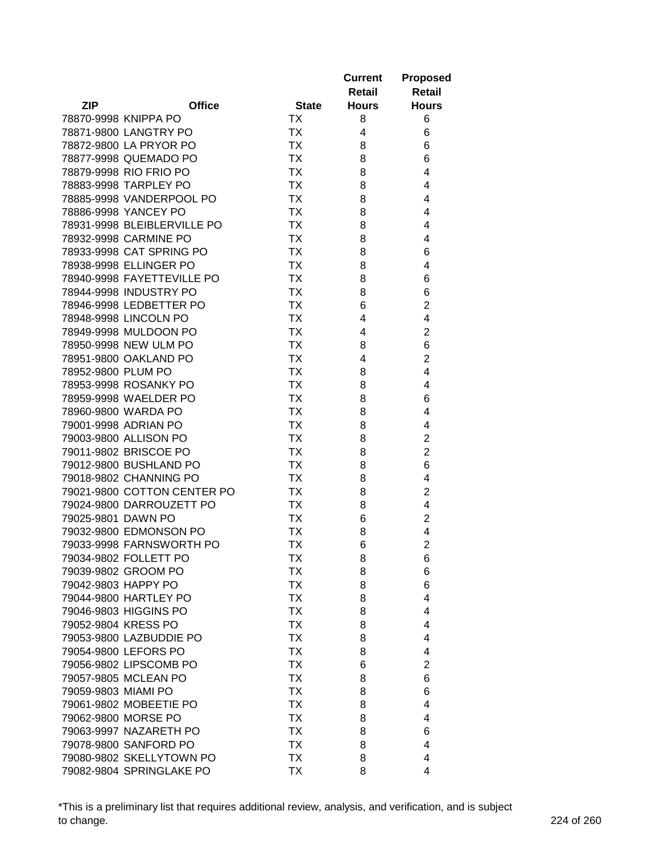|                      |                             |              | <b>Current</b> | <b>Proposed</b> |
|----------------------|-----------------------------|--------------|----------------|-----------------|
|                      |                             |              | Retail         | Retail          |
| <b>ZIP</b>           | <b>Office</b>               | <b>State</b> | <b>Hours</b>   | <b>Hours</b>    |
| 78870-9998 KNIPPA PO |                             | ТX           | 8              | 6               |
|                      | 78871-9800 LANGTRY PO       | <b>TX</b>    | 4              | 6               |
|                      | 78872-9800 LA PRYOR PO      | <b>TX</b>    | 8              | 6               |
|                      | 78877-9998 QUEMADO PO       | <b>TX</b>    | 8              | 6               |
|                      | 78879-9998 RIO FRIO PO      | <b>TX</b>    | 8              | 4               |
|                      | 78883-9998 TARPLEY PO       | <b>TX</b>    | 8              | 4               |
|                      | 78885-9998 VANDERPOOL PO    | <b>TX</b>    | 8              | 4               |
|                      | 78886-9998 YANCEY PO        | <b>TX</b>    | 8              | 4               |
|                      | 78931-9998 BLEIBLERVILLE PO | <b>TX</b>    | 8              | 4               |
|                      | 78932-9998 CARMINE PO       | <b>TX</b>    | 8              | 4               |
|                      | 78933-9998 CAT SPRING PO    | <b>TX</b>    | 8              | 6               |
|                      | 78938-9998 ELLINGER PO      | <b>TX</b>    | 8              | 4               |
|                      | 78940-9998 FAYETTEVILLE PO  | <b>TX</b>    | 8              | 6               |
|                      | 78944-9998 INDUSTRY PO      | <b>TX</b>    | 8              | 6               |
|                      | 78946-9998 LEDBETTER PO     | <b>TX</b>    | 6              | $\overline{c}$  |
|                      | 78948-9998 LINCOLN PO       | <b>TX</b>    | 4              | 4               |
|                      | 78949-9998 MULDOON PO       | <b>TX</b>    | 4              | $\overline{c}$  |
|                      | 78950-9998 NEW ULM PO       | <b>TX</b>    | 8              | 6               |
|                      | 78951-9800 OAKLAND PO       | <b>TX</b>    | 4              | $\overline{2}$  |
| 78952-9800 PLUM PO   |                             | <b>TX</b>    |                | 4               |
|                      |                             | <b>TX</b>    | 8              | 4               |
|                      | 78953-9998 ROSANKY PO       |              | 8              |                 |
|                      | 78959-9998 WAELDER PO       | <b>TX</b>    | 8              | 6               |
| 78960-9800 WARDA PO  |                             | <b>TX</b>    | 8              | 4               |
| 79001-9998 ADRIAN PO |                             | ТX           | 8              | 4               |
|                      | 79003-9800 ALLISON PO       | <b>TX</b>    | 8              | $\overline{2}$  |
|                      | 79011-9802 BRISCOE PO       | <b>TX</b>    | 8              | $\overline{2}$  |
|                      | 79012-9800 BUSHLAND PO      | <b>TX</b>    | 8              | 6               |
|                      | 79018-9802 CHANNING PO      | ТX           | 8              | 4               |
|                      | 79021-9800 COTTON CENTER PO | ТX           | 8              | $\overline{c}$  |
|                      | 79024-9800 DARROUZETT PO    | TX           | 8              | 4               |
| 79025-9801 DAWN PO   |                             | TX           | 6              | $\overline{c}$  |
|                      | 79032-9800 EDMONSON PO      | <b>TX</b>    | 8              | 4               |
|                      | 79033-9998 FARNSWORTH PO    | <b>TX</b>    | 6              | $\overline{2}$  |
|                      | 79034-9802 FOLLETT PO       | <b>TX</b>    | 8              | 6               |
| 79039-9802 GROOM PO  |                             | TХ           | 8              | 6               |
| 79042-9803 HAPPY PO  |                             | <b>TX</b>    | 8              | 6               |
|                      | 79044-9800 HARTLEY PO       | <b>TX</b>    | 8              | 4               |
|                      | 79046-9803 HIGGINS PO       | <b>TX</b>    | 8              | 4               |
| 79052-9804 KRESS PO  |                             | <b>TX</b>    | 8              | 4               |
|                      | 79053-9800 LAZBUDDIE PO     | <b>TX</b>    | 8              | 4               |
|                      | 79054-9800 LEFORS PO        | <b>TX</b>    | 8              | 4               |
|                      | 79056-9802 LIPSCOMB PO      | <b>TX</b>    | 6              | $\overline{2}$  |
|                      | 79057-9805 MCLEAN PO        | <b>TX</b>    | 8              | 6               |
| 79059-9803 MIAMI PO  |                             | <b>TX</b>    | 8              | 6               |
|                      | 79061-9802 MOBEETIE PO      | <b>TX</b>    | 8              | 4               |
| 79062-9800 MORSE PO  |                             | <b>TX</b>    | 8              | 4               |
|                      | 79063-9997 NAZARETH PO      | <b>TX</b>    | 8              | 6               |
|                      | 79078-9800 SANFORD PO       | ТX           | 8              | 4               |
|                      | 79080-9802 SKELLYTOWN PO    | <b>TX</b>    | 8              | 4               |
|                      | 79082-9804 SPRINGLAKE PO    | TX           | 8              | 4               |

\*This is a preliminary list that requires additional review, analysis, and verification, and is subject to change. 224 of 260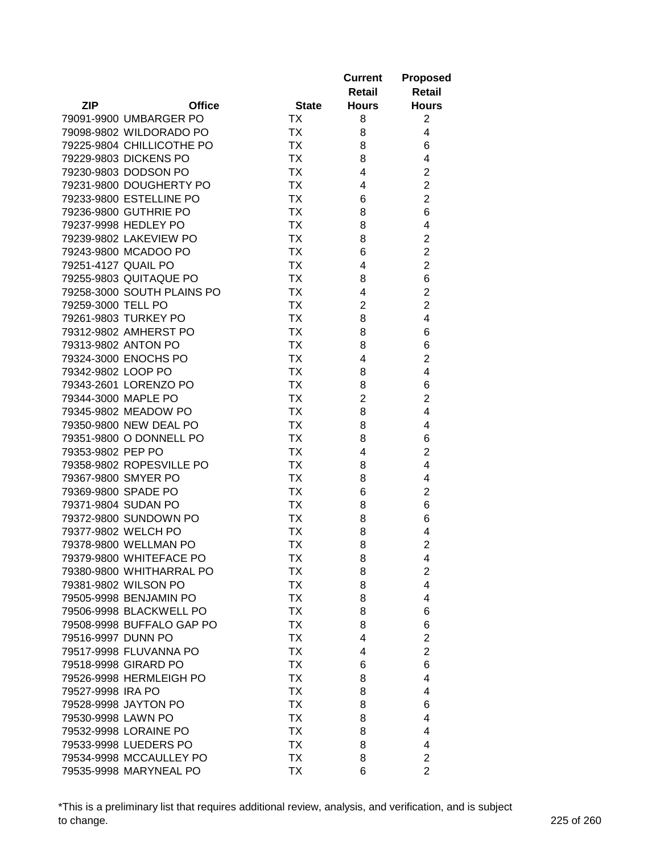|                     |                            |              | <b>Current</b> | <b>Proposed</b>     |
|---------------------|----------------------------|--------------|----------------|---------------------|
|                     |                            |              | Retail         | <b>Retail</b>       |
| <b>ZIP</b>          | <b>Office</b>              | <b>State</b> | <b>Hours</b>   | <b>Hours</b>        |
|                     | 79091-9900 UMBARGER PO     | ТX           | 8              | 2                   |
|                     | 79098-9802 WILDORADO PO    | <b>TX</b>    | 8              | 4                   |
|                     | 79225-9804 CHILLICOTHE PO  | <b>TX</b>    | 8              | 6                   |
|                     | 79229-9803 DICKENS PO      | <b>TX</b>    | 8              | 4                   |
|                     | 79230-9803 DODSON PO       | <b>TX</b>    | 4              | $\overline{c}$      |
|                     | 79231-9800 DOUGHERTY PO    | <b>TX</b>    | 4              | $\overline{c}$      |
|                     | 79233-9800 ESTELLINE PO    | <b>TX</b>    | 6              | $\overline{2}$      |
|                     | 79236-9800 GUTHRIE PO      | <b>TX</b>    | 8              | 6                   |
|                     | 79237-9998 HEDLEY PO       | <b>TX</b>    | 8              | 4                   |
|                     | 79239-9802 LAKEVIEW PO     | <b>TX</b>    | 8              | $\overline{2}$      |
|                     | 79243-9800 MCADOO PO       | <b>TX</b>    | 6              | $\overline{c}$      |
| 79251-4127 QUAIL PO |                            | <b>TX</b>    | 4              | $\overline{2}$      |
|                     | 79255-9803 QUITAQUE PO     | <b>TX</b>    | 8              | 6                   |
|                     | 79258-3000 SOUTH PLAINS PO | <b>TX</b>    | 4              | $\overline{c}$      |
| 79259-3000 TELL PO  |                            | <b>TX</b>    | $\overline{2}$ | $\overline{2}$      |
|                     | 79261-9803 TURKEY PO       | <b>TX</b>    | 8              | 4                   |
|                     | 79312-9802 AMHERST PO      | <b>TX</b>    | 8              | 6                   |
| 79313-9802 ANTON PO |                            | <b>TX</b>    | 8              | 6                   |
|                     | 79324-3000 ENOCHS PO       | <b>TX</b>    | 4              | $\overline{2}$      |
| 79342-9802 LOOP PO  |                            | <b>TX</b>    | 8              | 4                   |
|                     | 79343-2601 LORENZO PO      | <b>TX</b>    | 8              | 6                   |
| 79344-3000 MAPLE PO |                            | <b>TX</b>    | $\overline{2}$ | $\overline{2}$      |
|                     | 79345-9802 MEADOW PO       | <b>TX</b>    |                | 4                   |
|                     |                            | <b>TX</b>    | 8              |                     |
|                     | 79350-9800 NEW DEAL PO     | <b>TX</b>    | 8              | 4                   |
| 79353-9802 PEP PO   | 79351-9800 O DONNELL PO    | <b>TX</b>    | 8<br>4         | 6<br>$\overline{2}$ |
|                     |                            | <b>TX</b>    |                | 4                   |
|                     | 79358-9802 ROPESVILLE PO   | <b>TX</b>    | 8              | 4                   |
| 79367-9800 SMYER PO |                            |              | 8              |                     |
| 79369-9800 SPADE PO |                            | TX           | 6              | $\overline{c}$      |
| 79371-9804 SUDAN PO |                            | TX           | 8              | 6                   |
|                     | 79372-9800 SUNDOWN PO      | ТX           | 8              | 6                   |
|                     | 79377-9802 WELCH PO        | ТX           | 8              | 4                   |
|                     | 79378-9800 WELLMAN PO      | <b>TX</b>    | 8              | $\overline{2}$      |
|                     | 79379-9800 WHITEFACE PO    | <b>TX</b>    | 8              | 4                   |
|                     | 79380-9800 WHITHARRAL PO   | TХ           | 8              | 2                   |
|                     | 79381-9802 WILSON PO       | <b>TX</b>    | 8              | $\overline{4}$      |
|                     | 79505-9998 BENJAMIN PO     | <b>TX</b>    | 8              | 4                   |
|                     | 79506-9998 BLACKWELL PO    | <b>TX</b>    | 8              | 6                   |
|                     | 79508-9998 BUFFALO GAP PO  | <b>TX</b>    | 8              | 6                   |
| 79516-9997 DUNN PO  |                            | <b>TX</b>    | 4              | $\overline{2}$      |
|                     | 79517-9998 FLUVANNA PO     | <b>TX</b>    | 4              | $\overline{2}$      |
|                     | 79518-9998 GIRARD PO       | <b>TX</b>    | 6              | 6                   |
|                     | 79526-9998 HERMLEIGH PO    | <b>TX</b>    | 8              | 4                   |
| 79527-9998 IRA PO   |                            | <b>TX</b>    | 8              | 4                   |
|                     | 79528-9998 JAYTON PO       | <b>TX</b>    | 8              | 6                   |
| 79530-9998 LAWN PO  |                            | ТX           | 8              | 4                   |
|                     | 79532-9998 LORAINE PO      | <b>TX</b>    | 8              | 4                   |
|                     | 79533-9998 LUEDERS PO      | ТX           | 8              | 4                   |
|                     | 79534-9998 MCCAULLEY PO    | <b>TX</b>    | 8              | $\overline{2}$      |
|                     | 79535-9998 MARYNEAL PO     | TX           | 6              | $\overline{2}$      |

\*This is a preliminary list that requires additional review, analysis, and verification, and is subject to change. 225 of 260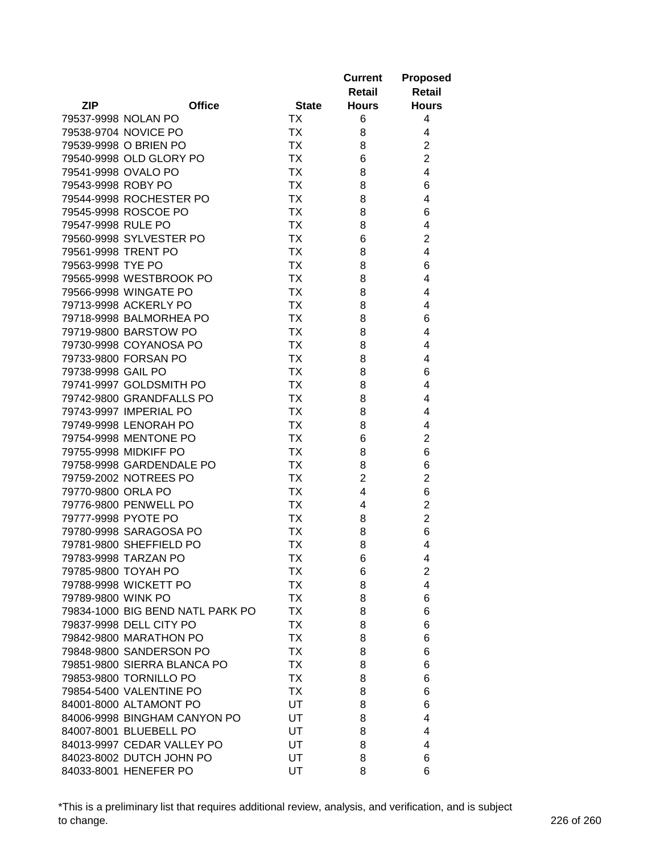|                    |                                  |              | <b>Current</b> | <b>Proposed</b> |
|--------------------|----------------------------------|--------------|----------------|-----------------|
|                    |                                  |              | Retail         | Retail          |
| <b>ZIP</b>         | <b>Office</b>                    | <b>State</b> | <b>Hours</b>   | <b>Hours</b>    |
|                    | 79537-9998 NOLAN PO              | ТX           | 6              | 4               |
|                    | 79538-9704 NOVICE PO             | <b>TX</b>    | 8              | 4               |
|                    | 79539-9998 O BRIEN PO            | <b>TX</b>    | 8              | $\overline{2}$  |
|                    | 79540-9998 OLD GLORY PO          | <b>TX</b>    | 6              | $\overline{2}$  |
|                    | 79541-9998 OVALO PO              | <b>TX</b>    | 8              | 4               |
| 79543-9998 ROBY PO |                                  | <b>TX</b>    | 8              | 6               |
|                    | 79544-9998 ROCHESTER PO          | <b>TX</b>    | 8              | 4               |
|                    | 79545-9998 ROSCOE PO             | <b>TX</b>    | 8              | 6               |
| 79547-9998 RULE PO |                                  | <b>TX</b>    | 8              | 4               |
|                    | 79560-9998 SYLVESTER PO          | <b>TX</b>    | 6              | $\overline{2}$  |
|                    | 79561-9998 TRENT PO              | <b>TX</b>    | 8              | 4               |
| 79563-9998 TYE PO  |                                  | <b>TX</b>    | 8              | 6               |
|                    | 79565-9998 WESTBROOK PO          | <b>TX</b>    | 8              | 4               |
|                    | 79566-9998 WINGATE PO            | <b>TX</b>    | 8              | 4               |
|                    | 79713-9998 ACKERLY PO            | <b>TX</b>    |                | 4               |
|                    | 79718-9998 BALMORHEA PO          | <b>TX</b>    | 8              | 6               |
|                    |                                  |              | 8              | 4               |
|                    | 79719-9800 BARSTOW PO            | <b>TX</b>    | 8              |                 |
|                    | 79730-9998 COYANOSA PO           | <b>TX</b>    | 8              | 4               |
|                    | 79733-9800 FORSAN PO             | TX           | 8              | 4               |
| 79738-9998 GAIL PO |                                  | TX           | 8              | 6               |
|                    | 79741-9997 GOLDSMITH PO          | <b>TX</b>    | 8              | 4               |
|                    | 79742-9800 GRANDFALLS PO         | <b>TX</b>    | 8              | 4               |
|                    | 79743-9997 IMPERIAL PO           | <b>TX</b>    | 8              | 4               |
|                    | 79749-9998 LENORAH PO            | <b>TX</b>    | 8              | 4               |
|                    | 79754-9998 MENTONE PO            | <b>TX</b>    | 6              | $\overline{2}$  |
|                    | 79755-9998 MIDKIFF PO            | <b>TX</b>    | 8              | 6               |
|                    | 79758-9998 GARDENDALE PO         | <b>TX</b>    | 8              | 6               |
|                    | 79759-2002 NOTREES PO            | <b>TX</b>    | $\overline{2}$ | $\overline{2}$  |
| 79770-9800 ORLA PO |                                  | TX           | 4              | 6               |
|                    | 79776-9800 PENWELL PO            | TX           | 4              | $\overline{c}$  |
|                    | 79777-9998 PYOTE PO              | ТX           | 8              | $\overline{2}$  |
|                    | 79780-9998 SARAGOSA PO           | <b>TX</b>    | 8              | 6               |
|                    | 79781-9800 SHEFFIELD PO          | <b>TX</b>    | 8              | 4               |
|                    | 79783-9998 TARZAN PO             | <b>TX</b>    | 6              | 4               |
|                    | 79785-9800 TOYAH PO              | TХ           | 6              | $\overline{c}$  |
|                    | 79788-9998 WICKETT PO            | <b>TX</b>    | 8              | 4               |
| 79789-9800 WINK PO |                                  | <b>TX</b>    | 8              | 6               |
|                    | 79834-1000 BIG BEND NATL PARK PO | <b>TX</b>    | 8              | 6               |
|                    | 79837-9998 DELL CITY PO          | <b>TX</b>    | 8              | 6               |
|                    | 79842-9800 MARATHON PO           | <b>TX</b>    | 8              | 6               |
|                    | 79848-9800 SANDERSON PO          | <b>TX</b>    | 8              | 6               |
|                    | 79851-9800 SIERRA BLANCA PO      | <b>TX</b>    | 8              | 6               |
|                    | 79853-9800 TORNILLO PO           | <b>TX</b>    | 8              | 6               |
|                    | 79854-5400 VALENTINE PO          | TX           | 8              | 6               |
|                    | 84001-8000 ALTAMONT PO           | UT           | 8              | 6               |
|                    | 84006-9998 BINGHAM CANYON PO     | UT           | 8              | 4               |
|                    | 84007-8001 BLUEBELL PO           | UT           | 8              | 4               |
|                    | 84013-9997 CEDAR VALLEY PO       | UT           | 8              | 4               |
|                    | 84023-8002 DUTCH JOHN PO         | UT           | 8              | 6               |
|                    | 84033-8001 HENEFER PO            | UT           | 8              | 6               |

\*This is a preliminary list that requires additional review, analysis, and verification, and is subject to change. 226 of 260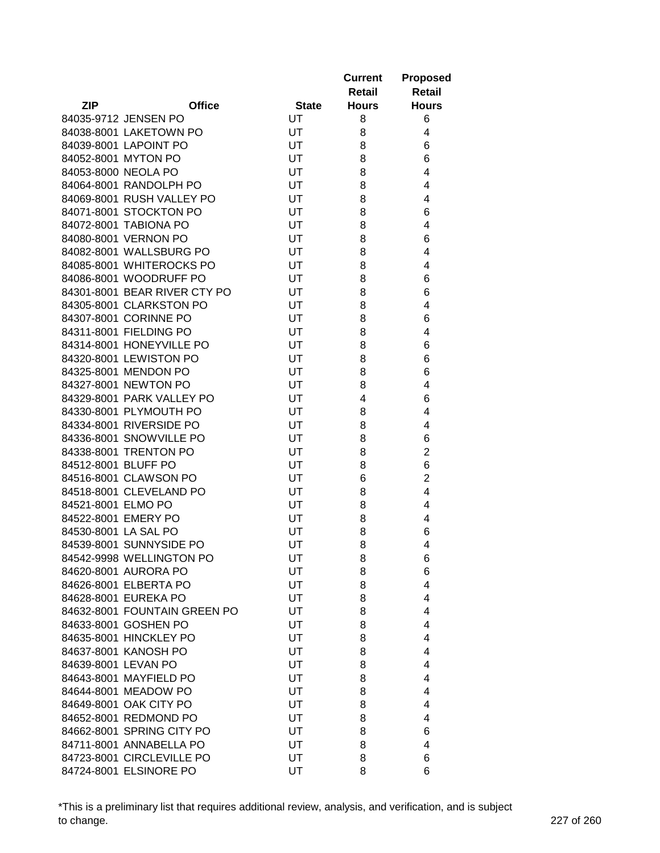|                     |                                                      |              | <b>Current</b><br>Retail | <b>Proposed</b><br><b>Retail</b> |
|---------------------|------------------------------------------------------|--------------|--------------------------|----------------------------------|
| <b>ZIP</b>          | <b>Office</b>                                        | <b>State</b> | <b>Hours</b>             | <b>Hours</b>                     |
|                     | 84035-9712 JENSEN PO                                 | UT           | 8                        | 6                                |
|                     | 84038-8001 LAKETOWN PO                               | UT           | 8                        | 4                                |
|                     | 84039-8001 LAPOINT PO                                | UT           | 8                        | 6                                |
|                     | 84052-8001 MYTON PO                                  | <b>UT</b>    | 8                        | 6                                |
|                     | 84053-8000 NEOLA PO                                  | UT           | 8                        | 4                                |
|                     | 84064-8001 RANDOLPH PO                               | UT           | 8                        | 4                                |
|                     | 84069-8001 RUSH VALLEY PO                            | UT           | 8                        | 4                                |
|                     | 84071-8001 STOCKTON PO                               | UT           | 8                        | 6                                |
|                     | 84072-8001 TABIONA PO                                | UT           | 8                        | 4                                |
|                     | 84080-8001 VERNON PO                                 | UT           | 8                        | 6                                |
|                     | 84082-8001 WALLSBURG PO                              | UT           | 8                        | 4                                |
|                     | 84085-8001 WHITEROCKS PO                             | UT           | 8                        | 4                                |
|                     | 84086-8001 WOODRUFF PO                               | UT           | 8                        | 6                                |
|                     | 84301-8001 BEAR RIVER CTY PO                         | UT           | 8                        | 6                                |
|                     | 84305-8001 CLARKSTON PO                              | UT           | 8                        | 4                                |
|                     | 84307-8001 CORINNE PO                                | UT           | 8                        | 6                                |
|                     | 84311-8001 FIELDING PO                               | UT           | 8                        | 4                                |
|                     | 84314-8001 HONEYVILLE PO                             | UT           | 8                        | 6                                |
|                     | 84320-8001 LEWISTON PO                               | UT           | 8                        | 6                                |
|                     | 84325-8001 MENDON PO                                 | UT           | 8                        | 6                                |
|                     | 84327-8001 NEWTON PO                                 | UT           | 8                        | 4                                |
|                     | 84329-8001 PARK VALLEY PO                            | UT           | 4                        | 6                                |
|                     | 84330-8001 PLYMOUTH PO                               | UT           | 8                        | 4                                |
|                     | 84334-8001 RIVERSIDE PO                              | UT           | 8                        | 4                                |
|                     | 84336-8001 SNOWVILLE PO                              | UT           | 8                        | 6                                |
|                     | 84338-8001 TRENTON PO                                | UT           | 8                        | $\overline{2}$                   |
| 84512-8001 BLUFF PO |                                                      | UT           | 8                        | 6                                |
|                     | 84516-8001 CLAWSON PO                                | UT           | 6                        | $\overline{2}$                   |
|                     | 84518-8001 CLEVELAND PO                              | UT           | 8                        | 4                                |
| 84521-8001 ELMO PO  |                                                      | UT           | 8                        | 4                                |
|                     | 84522-8001 EMERY PO                                  | UT           | 8                        | 4                                |
|                     | 84530-8001 LA SAL PO                                 | UT           | 8                        | 6                                |
|                     | 84539-8001 SUNNYSIDE PO                              |              | 8                        | 4                                |
|                     |                                                      | UT           |                          |                                  |
|                     | 84542-9998 WELLINGTON PO<br>84620-8001 AURORA PO     | UT           | 8                        | 6                                |
|                     |                                                      | UT           | 8                        | 6                                |
|                     | 84626-8001 ELBERTA PO<br>84628-8001 EUREKA PO        | UT           | 8                        | 4                                |
|                     |                                                      | UT           | 8                        | 4                                |
|                     | 84632-8001 FOUNTAIN GREEN PO<br>84633-8001 GOSHEN PO | UT           | 8                        | 4                                |
|                     |                                                      | UT           | 8                        | 4                                |
|                     | 84635-8001 HINCKLEY PO                               | UT           | 8                        | 4                                |
|                     | 84637-8001 KANOSH PO                                 | UT           | 8                        | 4                                |
| 84639-8001 LEVAN PO |                                                      | UT           | 8                        | 4                                |
|                     | 84643-8001 MAYFIELD PO                               | UT           | 8                        | 4                                |
|                     | 84644-8001 MEADOW PO                                 | UT           | 8                        | 4                                |
|                     | 84649-8001 OAK CITY PO                               | UT           | 8                        | 4                                |
|                     | 84652-8001 REDMOND PO                                | UT           | 8                        | 4                                |
|                     | 84662-8001 SPRING CITY PO                            | UT           | 8                        | 6                                |
|                     | 84711-8001 ANNABELLA PO                              | UT           | 8                        | 4                                |
|                     | 84723-8001 CIRCLEVILLE PO                            | UT           | 8                        | 6                                |
|                     | 84724-8001 ELSINORE PO                               | UT           | 8                        | 6                                |

\*This is a preliminary list that requires additional review, analysis, and verification, and is subject to change. 227 of 260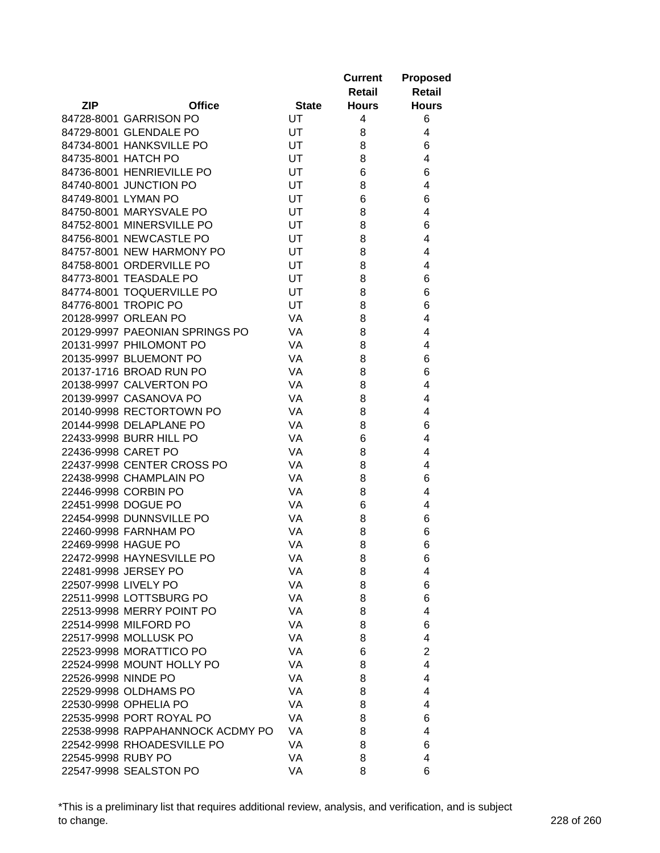|                     |                                  |              | <b>Current</b><br>Retail | <b>Proposed</b><br><b>Retail</b> |
|---------------------|----------------------------------|--------------|--------------------------|----------------------------------|
| <b>ZIP</b>          | <b>Office</b>                    | <b>State</b> | <b>Hours</b>             | <b>Hours</b>                     |
|                     | 84728-8001 GARRISON PO           | UT           | 4                        | 6                                |
|                     | 84729-8001 GLENDALE PO           | UT           | 8                        | 4                                |
|                     | 84734-8001 HANKSVILLE PO         | UT           | 8                        | 6                                |
|                     | 84735-8001 HATCH PO              | <b>UT</b>    | 8                        | 4                                |
|                     | 84736-8001 HENRIEVILLE PO        | UT           | 6                        | 6                                |
|                     | 84740-8001 JUNCTION PO           | <b>UT</b>    | 8                        | 4                                |
| 84749-8001 LYMAN PO |                                  | UT           | 6                        | 6                                |
|                     | 84750-8001 MARYSVALE PO          | UT           | 8                        | 4                                |
|                     | 84752-8001 MINERSVILLE PO        | UT           | 8                        | 6                                |
|                     | 84756-8001 NEWCASTLE PO          | UT           | 8                        | 4                                |
|                     | 84757-8001 NEW HARMONY PO        | UT           | 8                        | 4                                |
|                     | 84758-8001 ORDERVILLE PO         | UT           | 8                        | 4                                |
|                     | 84773-8001 TEASDALE PO           | UT           | 8                        | 6                                |
|                     | 84774-8001 TOQUERVILLE PO        | UT           | 8                        | 6                                |
|                     | 84776-8001 TROPIC PO             | UT           | 8                        | 6                                |
|                     | 20128-9997 ORLEAN PO             | VA           | 8                        | 4                                |
|                     | 20129-9997 PAEONIAN SPRINGS PO   | VA           | 8                        | 4                                |
|                     | 20131-9997 PHILOMONT PO          | <b>VA</b>    | 8                        | 4                                |
|                     | 20135-9997 BLUEMONT PO           | VA           | 8                        | 6                                |
|                     | 20137-1716 BROAD RUN PO          | VA           | 8                        | 6                                |
|                     | 20138-9997 CALVERTON PO          | <b>VA</b>    | 8                        | 4                                |
|                     | 20139-9997 CASANOVA PO           | <b>VA</b>    | 8                        | 4                                |
|                     | 20140-9998 RECTORTOWN PO         | VA           | 8                        | 4                                |
|                     | 20144-9998 DELAPLANE PO          | VA           | 8                        | 6                                |
|                     | 22433-9998 BURR HILL PO          | <b>VA</b>    | 6                        | 4                                |
| 22436-9998 CARET PO |                                  | VA           | 8                        | 4                                |
|                     | 22437-9998 CENTER CROSS PO       | VA           | 8                        | 4                                |
|                     | 22438-9998 CHAMPLAIN PO          | VA           | 8                        | 6                                |
|                     | 22446-9998 CORBIN PO             | VA           | 8                        | 4                                |
|                     | 22451-9998 DOGUE PO              | VA           | 6                        | 4                                |
|                     | 22454-9998 DUNNSVILLE PO         | VA           | 8                        | 6                                |
|                     | 22460-9998 FARNHAM PO            | VA           | 8                        | 6                                |
|                     | 22469-9998 HAGUE PO              | VA           | 8                        | 6                                |
|                     | 22472-9998 HAYNESVILLE PO        | VA           | 8                        |                                  |
|                     | 22481-9998 JERSEY PO             | VA           | 8                        | 6<br>4                           |
|                     | 22507-9998 LIVELY PO             | VA           | 8                        | 6                                |
|                     | 22511-9998 LOTTSBURG PO          | VA           | 8                        | 6                                |
|                     | 22513-9998 MERRY POINT PO        | VA           | 8                        | 4                                |
|                     | 22514-9998 MILFORD PO            | VA           |                          | 6                                |
|                     | 22517-9998 MOLLUSK PO            | VA           | 8<br>8                   | 4                                |
|                     | 22523-9998 MORATTICO PO          |              |                          | $\overline{2}$                   |
|                     |                                  | VA<br>VA     | 6                        | 4                                |
|                     | 22524-9998 MOUNT HOLLY PO        |              | 8                        |                                  |
| 22526-9998 NINDE PO |                                  | VA           | 8                        | 4                                |
|                     | 22529-9998 OLDHAMS PO            | VA           | 8                        | 4                                |
|                     | 22530-9998 OPHELIA PO            | VA           | 8                        | 4                                |
|                     | 22535-9998 PORT ROYAL PO         | VA           | 8                        | 6                                |
|                     | 22538-9998 RAPPAHANNOCK ACDMY PO | VA           | 8                        | 4                                |
|                     | 22542-9998 RHOADESVILLE PO       | VA           | 8                        | 6                                |
| 22545-9998 RUBY PO  |                                  | VA           | 8                        | 4                                |
|                     | 22547-9998 SEALSTON PO           | VA           | 8                        | 6                                |

\*This is a preliminary list that requires additional review, analysis, and verification, and is subject to change. 228 of 260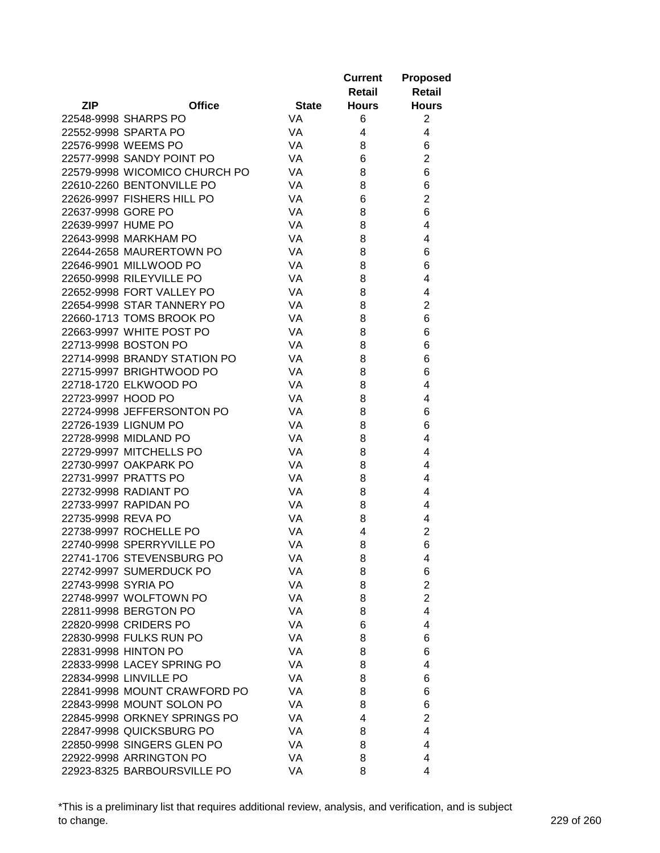|                     |                               |              | <b>Current</b> | <b>Proposed</b> |
|---------------------|-------------------------------|--------------|----------------|-----------------|
|                     |                               |              | Retail         | <b>Retail</b>   |
| <b>ZIP</b>          | <b>Office</b>                 | <b>State</b> | <b>Hours</b>   | <b>Hours</b>    |
|                     | 22548-9998 SHARPS PO          | <b>VA</b>    | 6              | 2               |
|                     | 22552-9998 SPARTA PO          | <b>VA</b>    | 4              | 4               |
|                     | 22576-9998 WEEMS PO           | VA           | 8              | 6               |
|                     | 22577-9998 SANDY POINT PO     | VA           | 6              | $\overline{2}$  |
|                     | 22579-9998 WICOMICO CHURCH PO | VA           | 8              | 6               |
|                     | 22610-2260 BENTONVILLE PO     | VA           | 8              | 6               |
|                     | 22626-9997 FISHERS HILL PO    | VA           | 6              | $\overline{c}$  |
| 22637-9998 GORE PO  |                               | VA           | 8              | 6               |
| 22639-9997 HUME PO  |                               | VA           | 8              | 4               |
|                     | 22643-9998 MARKHAM PO         | VA           | 8              | 4               |
|                     | 22644-2658 MAURERTOWN PO      | VA           | 8              | 6               |
|                     | 22646-9901 MILLWOOD PO        | VA           | 8              | 6               |
|                     | 22650-9998 RILEYVILLE PO      | VA           | 8              | 4               |
|                     | 22652-9998 FORT VALLEY PO     | VA           | 8              | 4               |
|                     | 22654-9998 STAR TANNERY PO    | VA           | 8              | $\overline{c}$  |
|                     | 22660-1713 TOMS BROOK PO      | VA           | 8              | 6               |
|                     | 22663-9997 WHITE POST PO      | VA           | 8              | 6               |
|                     | 22713-9998 BOSTON PO          | VA           | 8              | 6               |
|                     | 22714-9998 BRANDY STATION PO  | VA           | 8              | 6               |
|                     | 22715-9997 BRIGHTWOOD PO      | VA           | 8              | 6               |
|                     | 22718-1720 ELKWOOD PO         | VA           | 8              | 4               |
| 22723-9997 HOOD PO  |                               | VA           | 8              | 4               |
|                     | 22724-9998 JEFFERSONTON PO    | VA           | 8              | 6               |
|                     | 22726-1939 LIGNUM PO          | VA           | 8              | 6               |
|                     | 22728-9998 MIDLAND PO         | VA           | 8              | 4               |
|                     | 22729-9997 MITCHELLS PO       | VA           | 8              | 4               |
|                     | 22730-9997 OAKPARK PO         | VA           | 8              | 4               |
|                     | 22731-9997 PRATTS PO          | VA           | 8              | 4               |
|                     | 22732-9998 RADIANT PO         | VA           | 8              | 4               |
|                     | 22733-9997 RAPIDAN PO         | VA           | 8              | 4               |
| 22735-9998 REVA PO  |                               | VA           | 8              | 4               |
|                     | 22738-9997 ROCHELLE PO        | VA           | 4              | $\overline{2}$  |
|                     | 22740-9998 SPERRYVILLE PO     | VA           | 8              | 6               |
|                     | 22741-1706 STEVENSBURG PO     | VA           | 8              | 4               |
|                     | 22742-9997 SUMERDUCK PO       | VA           | 8              | 6               |
| 22743-9998 SYRIA PO |                               | VA           | 8              | $\overline{2}$  |
|                     | 22748-9997 WOLFTOWN PO        | VA           | 8              | $\overline{2}$  |
|                     | 22811-9998 BERGTON PO         | VA           | 8              | 4               |
|                     | 22820-9998 CRIDERS PO         | VA           | 6              | 4               |
|                     | 22830-9998 FULKS RUN PO       | VA           | 8              | 6               |
|                     | 22831-9998 HINTON PO          | VA           | 8              | 6               |
|                     | 22833-9998 LACEY SPRING PO    | VA           | 8              | 4               |
|                     | 22834-9998 LINVILLE PO        | VA           | 8              | 6               |
|                     | 22841-9998 MOUNT CRAWFORD PO  | VA           | 8              | 6               |
|                     | 22843-9998 MOUNT SOLON PO     | VA           | 8              | 6               |
|                     | 22845-9998 ORKNEY SPRINGS PO  | VA           | 4              | $\overline{c}$  |
|                     | 22847-9998 QUICKSBURG PO      | VA           | 8              | 4               |
|                     | 22850-9998 SINGERS GLEN PO    | VA           | 8              | 4               |
|                     | 22922-9998 ARRINGTON PO       | VA           | 8              | 4               |
|                     | 22923-8325 BARBOURSVILLE PO   | VA           | 8              | 4               |

\*This is a preliminary list that requires additional review, analysis, and verification, and is subject to change. 229 of 260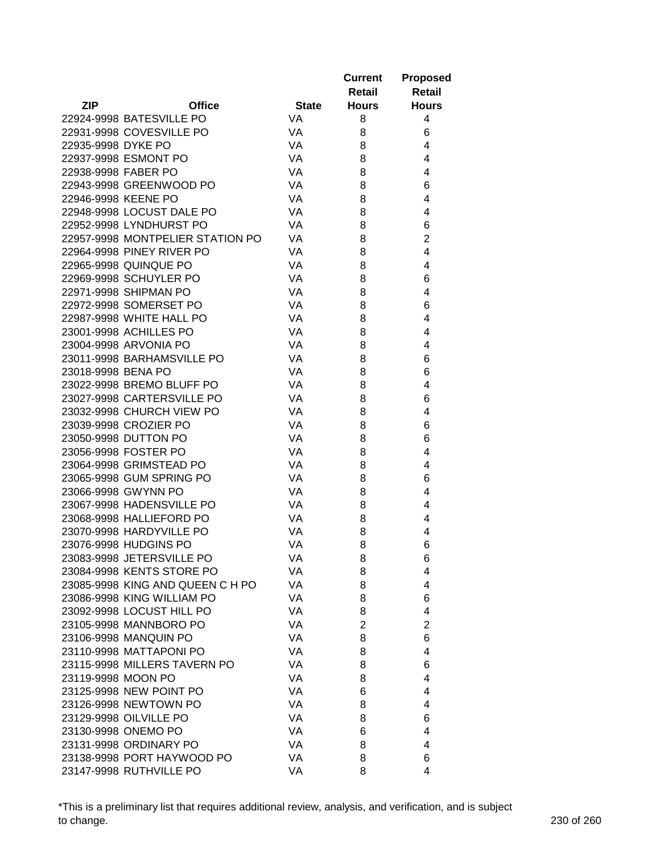|                     |                                  |              | <b>Current</b> | <b>Proposed</b> |
|---------------------|----------------------------------|--------------|----------------|-----------------|
|                     |                                  |              | Retail         | <b>Retail</b>   |
| <b>ZIP</b>          | <b>Office</b>                    | <b>State</b> | <b>Hours</b>   | <b>Hours</b>    |
|                     | 22924-9998 BATESVILLE PO         | <b>VA</b>    | 8              | 4               |
|                     | 22931-9998 COVESVILLE PO         | VA           | 8              | 6               |
| 22935-9998 DYKE PO  |                                  | VA           | 8              | 4               |
|                     | 22937-9998 ESMONT PO             | VA           | 8              | 4               |
| 22938-9998 FABER PO |                                  | VA           | 8              | 4               |
|                     | 22943-9998 GREENWOOD PO          | VA           | 8              | 6               |
| 22946-9998 KEENE PO |                                  | VA           | 8              | 4               |
|                     | 22948-9998 LOCUST DALE PO        | VA           | 8              | 4               |
|                     | 22952-9998 LYNDHURST PO          | VA           | 8              | 6               |
|                     | 22957-9998 MONTPELIER STATION PO | VA           | 8              | $\overline{2}$  |
|                     | 22964-9998 PINEY RIVER PO        | VA           | 8              | 4               |
|                     | 22965-9998 QUINQUE PO            | VA           | 8              | 4               |
|                     | 22969-9998 SCHUYLER PO           | VA           | 8              | 6               |
|                     | 22971-9998 SHIPMAN PO            | VA           | 8              | 4               |
|                     | 22972-9998 SOMERSET PO           | VA           | 8              | 6               |
|                     | 22987-9998 WHITE HALL PO         | VA           | 8              | 4               |
|                     | 23001-9998 ACHILLES PO           | VA           | 8              | 4               |
|                     | 23004-9998 ARVONIA PO            | VA           | 8              | 4               |
|                     | 23011-9998 BARHAMSVILLE PO       | VA           | 8              | 6               |
| 23018-9998 BENA PO  |                                  | VA           | 8              | 6               |
|                     | 23022-9998 BREMO BLUFF PO        | VA           | 8              | 4               |
|                     | 23027-9998 CARTERSVILLE PO       | VA           | 8              | 6               |
|                     | 23032-9998 CHURCH VIEW PO        | VA           | 8              | 4               |
|                     | 23039-9998 CROZIER PO            | VA           | 8              | 6               |
|                     | 23050-9998 DUTTON PO             | VA           | 8              | 6               |
|                     | 23056-9998 FOSTER PO             | VA           | 8              | 4               |
|                     | 23064-9998 GRIMSTEAD PO          | VA           | 8              | 4               |
|                     | 23065-9998 GUM SPRING PO         | VA           | 8              | 6               |
|                     | 23066-9998 GWYNN PO              | VA           | 8              | 4               |
|                     | 23067-9998 HADENSVILLE PO        | VA           | 8              | 4               |
|                     | 23068-9998 HALLIEFORD PO         | VA           | 8              | 4               |
|                     | 23070-9998 HARDYVILLE PO         | VA           | 8              | 4               |
|                     | 23076-9998 HUDGINS PO            | VA           | 8              | 6               |
|                     | 23083-9998 JETERSVILLE PO        | VA           | 8              | 6               |
|                     | 23084-9998 KENTS STORE PO        | VA           | 8              | 4               |
|                     | 23085-9998 KING AND QUEEN C H PO | VA           | 8              | 4               |
|                     | 23086-9998 KING WILLIAM PO       | VA           | 8              | 6               |
|                     | 23092-9998 LOCUST HILL PO        | VA           | 8              | 4               |
|                     | 23105-9998 MANNBORO PO           | VA           | $\overline{2}$ | $\overline{2}$  |
|                     | 23106-9998 MANQUIN PO            | VA           | 8              | 6               |
|                     | 23110-9998 MATTAPONI PO          | VA           | 8              | 4               |
|                     | 23115-9998 MILLERS TAVERN PO     | VA           | 8              | 6               |
| 23119-9998 MOON PO  |                                  | VA           | 8              | 4               |
|                     | 23125-9998 NEW POINT PO          | VA           | 6              | 4               |
|                     | 23126-9998 NEWTOWN PO            | VA           | 8              | 4               |
|                     | 23129-9998 OILVILLE PO           | VA           | 8              | 6               |
|                     | 23130-9998 ONEMO PO              | VA           | 6              | 4               |
|                     | 23131-9998 ORDINARY PO           | VA           | 8              | 4               |
|                     | 23138-9998 PORT HAYWOOD PO       | VA           | 8              | 6               |
|                     | 23147-9998 RUTHVILLE PO          | VA           | 8              | 4               |

\*This is a preliminary list that requires additional review, analysis, and verification, and is subject to change. 230 of 260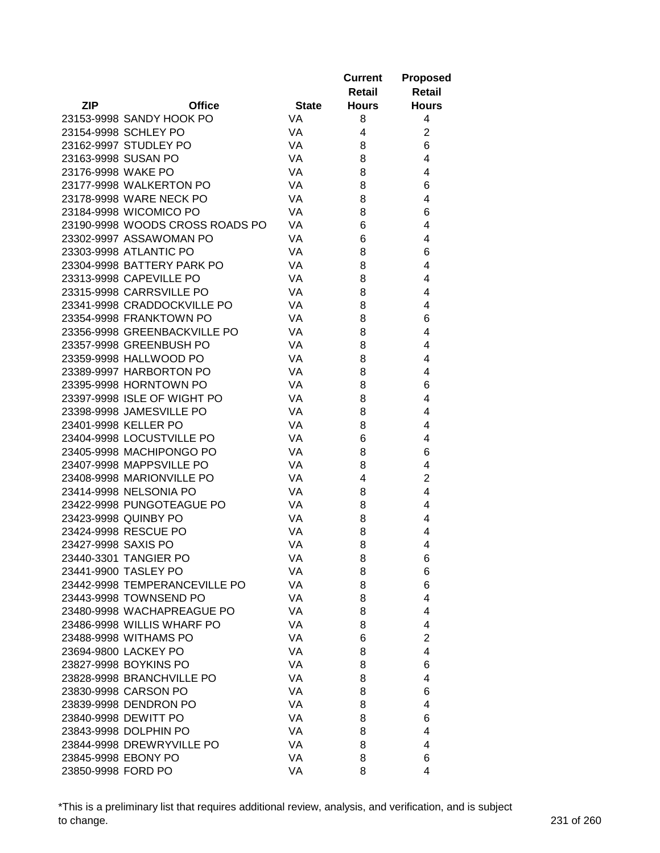|                     |                                 |              | <b>Current</b> | <b>Proposed</b>         |
|---------------------|---------------------------------|--------------|----------------|-------------------------|
|                     |                                 |              | <b>Retail</b>  | <b>Retail</b>           |
| <b>ZIP</b>          | <b>Office</b>                   | <b>State</b> | <b>Hours</b>   | <b>Hours</b>            |
|                     | 23153-9998 SANDY HOOK PO        | <b>VA</b>    | 8              | 4                       |
|                     | 23154-9998 SCHLEY PO            | VA           | 4              | $\overline{\mathbf{c}}$ |
|                     | 23162-9997 STUDLEY PO           | VA           | 8              | 6                       |
| 23163-9998 SUSAN PO |                                 | VA           | 8              | 4                       |
| 23176-9998 WAKE PO  |                                 | VA           | 8              | 4                       |
|                     | 23177-9998 WALKERTON PO         | VA           | 8              | 6                       |
|                     | 23178-9998 WARE NECK PO         | VA           | 8              | 4                       |
|                     | 23184-9998 WICOMICO PO          | VA           | 8              | 6                       |
|                     | 23190-9998 WOODS CROSS ROADS PO | VA           | 6              | 4                       |
|                     | 23302-9997 ASSAWOMAN PO         | VA           | 6              | 4                       |
|                     | 23303-9998 ATLANTIC PO          | VA           | 8              | 6                       |
|                     | 23304-9998 BATTERY PARK PO      | VA           | 8              | 4                       |
|                     | 23313-9998 CAPEVILLE PO         | VA           | 8              | 4                       |
|                     | 23315-9998 CARRSVILLE PO        | VA           | 8              | 4                       |
|                     | 23341-9998 CRADDOCKVILLE PO     | VA           | 8              | 4                       |
|                     | 23354-9998 FRANKTOWN PO         | VA           | 8              | 6                       |
|                     | 23356-9998 GREENBACKVILLE PO    | VA           | 8              | 4                       |
|                     | 23357-9998 GREENBUSH PO         | VA           | 8              | 4                       |
|                     | 23359-9998 HALLWOOD PO          | VA           | 8              | 4                       |
|                     | 23389-9997 HARBORTON PO         | VA           | 8              | 4                       |
|                     | 23395-9998 HORNTOWN PO          | VA           | 8              | 6                       |
|                     | 23397-9998 ISLE OF WIGHT PO     | VA           | 8              | 4                       |
|                     | 23398-9998 JAMESVILLE PO        | VA           | 8              | 4                       |
|                     | 23401-9998 KELLER PO            | VA           | 8              | 4                       |
|                     | 23404-9998 LOCUSTVILLE PO       | VA           | 6              | 4                       |
|                     | 23405-9998 MACHIPONGO PO        | VA           | 8              | 6                       |
|                     | 23407-9998 MAPPSVILLE PO        | VA           | 8              | 4                       |
|                     | 23408-9998 MARIONVILLE PO       | VA           | 4              | $\overline{2}$          |
|                     | 23414-9998 NELSONIA PO          | VA           | 8              | 4                       |
|                     | 23422-9998 PUNGOTEAGUE PO       | VA           | 8              | 4                       |
|                     | 23423-9998 QUINBY PO            | VA           | 8              | 4                       |
|                     | 23424-9998 RESCUE PO            | VA           | 8              | 4                       |
| 23427-9998 SAXIS PO |                                 | VA           | 8              | 4                       |
|                     | 23440-3301 TANGIER PO           | VA           | 8              | 6                       |
|                     | 23441-9900 TASLEY PO            | VA           | 8              | 6                       |
|                     | 23442-9998 TEMPERANCEVILLE PO   | VA           | 8              | 6                       |
|                     | 23443-9998 TOWNSEND PO          | VA           | 8              | 4                       |
|                     | 23480-9998 WACHAPREAGUE PO      | VA           | 8              | 4                       |
|                     | 23486-9998 WILLIS WHARF PO      | VA           | 8              | 4                       |
|                     | 23488-9998 WITHAMS PO           | VA           | 6              | $\overline{2}$          |
|                     | 23694-9800 LACKEY PO            | VA           | 8              | 4                       |
|                     | 23827-9998 BOYKINS PO           | VA           | 8              | 6                       |
|                     | 23828-9998 BRANCHVILLE PO       | VA           | 8              | 4                       |
|                     | 23830-9998 CARSON PO            | VA           | 8              | 6                       |
|                     | 23839-9998 DENDRON PO           | VA           | 8              | 4                       |
|                     | 23840-9998 DEWITT PO            | VA           | 8              | 6                       |
|                     | 23843-9998 DOLPHIN PO           | VA           | 8              | 4                       |
|                     | 23844-9998 DREWRYVILLE PO       | VA           | 8              | 4                       |
| 23845-9998 EBONY PO |                                 | VA           | 8              | 6                       |
| 23850-9998 FORD PO  |                                 | VA           | 8              | 4                       |

\*This is a preliminary list that requires additional review, analysis, and verification, and is subject to change. 231 of 260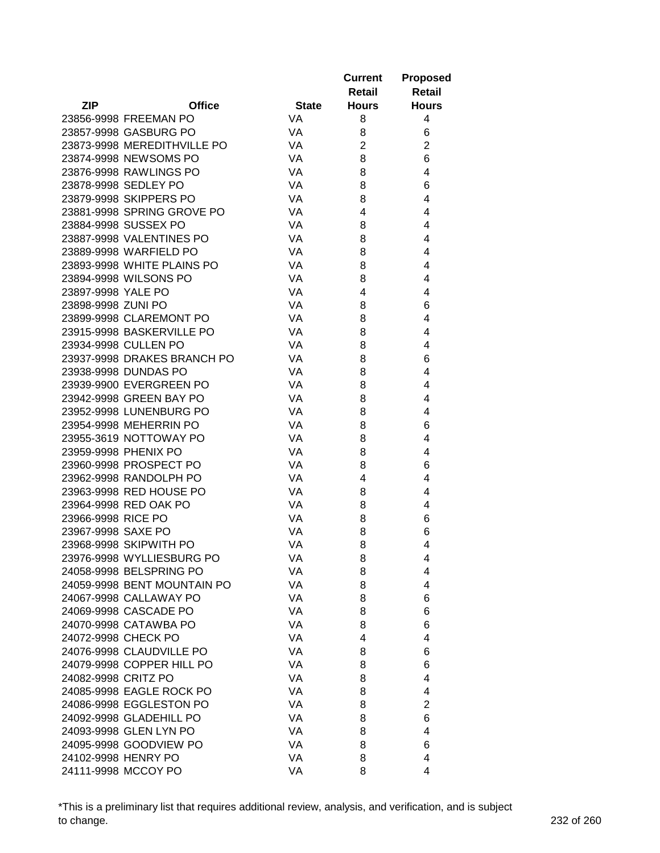|                     |                             |              | <b>Current</b> | <b>Proposed</b> |
|---------------------|-----------------------------|--------------|----------------|-----------------|
|                     |                             |              | Retail         | Retail          |
| <b>ZIP</b>          | <b>Office</b>               | <b>State</b> | <b>Hours</b>   | <b>Hours</b>    |
|                     | 23856-9998 FREEMAN PO       | <b>VA</b>    | 8              | 4               |
|                     | 23857-9998 GASBURG PO       | <b>VA</b>    | 8              | 6               |
|                     | 23873-9998 MEREDITHVILLE PO | VA           | $\overline{2}$ | $\overline{2}$  |
|                     | 23874-9998 NEWSOMS PO       | VA           | 8              | 6               |
|                     | 23876-9998 RAWLINGS PO      | VA           | 8              | 4               |
|                     | 23878-9998 SEDLEY PO        | VA           | 8              | 6               |
|                     | 23879-9998 SKIPPERS PO      | VA           | 8              | 4               |
|                     | 23881-9998 SPRING GROVE PO  | VA           | 4              | 4               |
|                     | 23884-9998 SUSSEX PO        | VA           | 8              | 4               |
|                     | 23887-9998 VALENTINES PO    | VA           | 8              | 4               |
|                     | 23889-9998 WARFIELD PO      | VA           | 8              | 4               |
|                     | 23893-9998 WHITE PLAINS PO  | VA           | 8              | 4               |
|                     | 23894-9998 WILSONS PO       | VA           | 8              | 4               |
| 23897-9998 YALE PO  |                             | VA           | 4              | 4               |
| 23898-9998 ZUNI PO  |                             | VA           | 8              | 6               |
|                     | 23899-9998 CLAREMONT PO     | VA           | 8              | 4               |
|                     | 23915-9998 BASKERVILLE PO   | VA           | 8              | 4               |
|                     | 23934-9998 CULLEN PO        | VA           | 8              | 4               |
|                     | 23937-9998 DRAKES BRANCH PO | VA           | 8              | 6               |
|                     | 23938-9998 DUNDAS PO        | VA           | 8              | 4               |
|                     | 23939-9900 EVERGREEN PO     | VA           | 8              | 4               |
|                     | 23942-9998 GREEN BAY PO     | VA           | 8              | 4               |
|                     | 23952-9998 LUNENBURG PO     | VA           | 8              | 4               |
|                     | 23954-9998 MEHERRIN PO      | VA           | 8              | 6               |
|                     | 23955-3619 NOTTOWAY PO      | VA           | 8              | 4               |
|                     | 23959-9998 PHENIX PO        | VA           | 8              | 4               |
|                     | 23960-9998 PROSPECT PO      | VA           | 8              | 6               |
|                     | 23962-9998 RANDOLPH PO      | VA           | 4              | 4               |
|                     | 23963-9998 RED HOUSE PO     | VA           | 8              | 4               |
|                     | 23964-9998 RED OAK PO       | VA           | 8              | 4               |
| 23966-9998 RICE PO  |                             | VA           | 8              | 6               |
| 23967-9998 SAXE PO  |                             | VA           | 8              | 6               |
|                     | 23968-9998 SKIPWITH PO      | VA           | 8              | 4               |
|                     | 23976-9998 WYLLIESBURG PO   | VA           | 8              | 4               |
|                     | 24058-9998 BELSPRING PO     | VA           | 8              | 4               |
|                     | 24059-9998 BENT MOUNTAIN PO | VA           | 8              | 4               |
|                     | 24067-9998 CALLAWAY PO      | VA           | 8              | 6               |
|                     | 24069-9998 CASCADE PO       | VA           | 8              | 6               |
|                     | 24070-9998 CATAWBA PO       | VA           | 8              | 6               |
| 24072-9998 CHECK PO |                             | VA           | 4              | 4               |
|                     | 24076-9998 CLAUDVILLE PO    | VA           | 8              | 6               |
|                     | 24079-9998 COPPER HILL PO   | VA           | 8              | 6               |
| 24082-9998 CRITZ PO |                             | VA           | 8              | 4               |
|                     | 24085-9998 EAGLE ROCK PO    | VA           | 8              | 4               |
|                     | 24086-9998 EGGLESTON PO     | VA           | 8              | $\overline{c}$  |
|                     | 24092-9998 GLADEHILL PO     | VA           | 8              | 6               |
|                     | 24093-9998 GLEN LYN PO      | VA           | 8              | 4               |
|                     | 24095-9998 GOODVIEW PO      | VA           | 8              | 6               |
| 24102-9998 HENRY PO |                             | VA           | 8              | 4               |
|                     | 24111-9998 MCCOY PO         | VA           | 8              | 4               |
|                     |                             |              |                |                 |

\*This is a preliminary list that requires additional review, analysis, and verification, and is subject to change. 232 of 260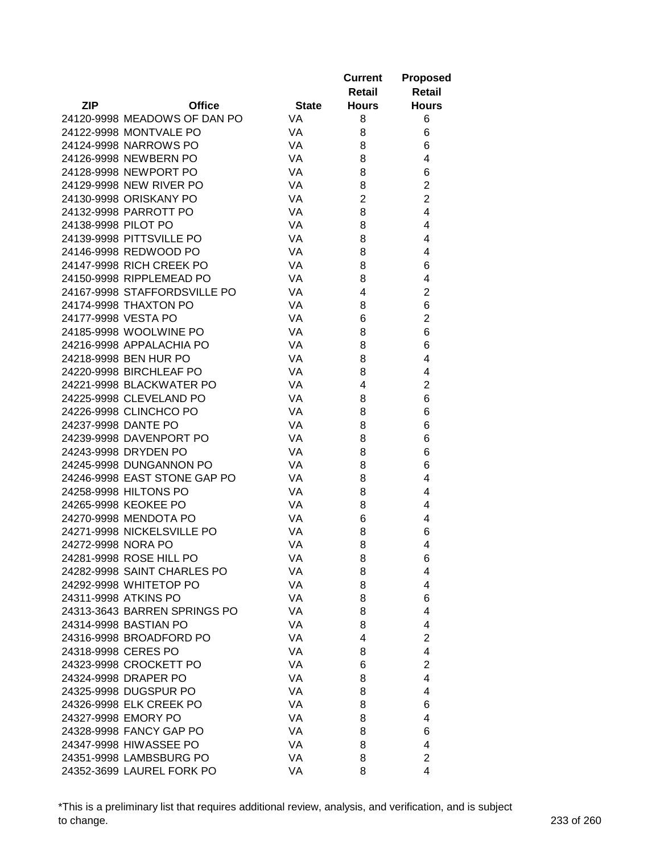|                     |                              |              | <b>Current</b><br>Retail | <b>Proposed</b><br>Retail |
|---------------------|------------------------------|--------------|--------------------------|---------------------------|
| <b>ZIP</b>          | <b>Office</b>                | <b>State</b> | <b>Hours</b>             | <b>Hours</b>              |
|                     | 24120-9998 MEADOWS OF DAN PO | <b>VA</b>    | 8                        | 6                         |
|                     | 24122-9998 MONTVALE PO       | <b>VA</b>    | 8                        | 6                         |
|                     | 24124-9998 NARROWS PO        | VA           | 8                        | 6                         |
|                     | 24126-9998 NEWBERN PO        | VA           | 8                        | 4                         |
|                     | 24128-9998 NEWPORT PO        | VA           | 8                        | 6                         |
|                     | 24129-9998 NEW RIVER PO      | VA           | 8                        | $\overline{2}$            |
|                     | 24130-9998 ORISKANY PO       | VA           | $\overline{2}$           | $\overline{2}$            |
|                     | 24132-9998 PARROTT PO        | VA           | 8                        | 4                         |
| 24138-9998 PILOT PO |                              | <b>VA</b>    | 8                        | 4                         |
|                     | 24139-9998 PITTSVILLE PO     | VA           | 8                        | 4                         |
|                     | 24146-9998 REDWOOD PO        | VA           | 8                        | 4                         |
|                     | 24147-9998 RICH CREEK PO     | VA           | 8                        | 6                         |
|                     | 24150-9998 RIPPLEMEAD PO     | VA           |                          |                           |
|                     |                              |              | 8                        | 4                         |
|                     | 24167-9998 STAFFORDSVILLE PO | VA           | 4                        | $\overline{2}$            |
|                     | 24174-9998 THAXTON PO        | VA           | 8                        | 6                         |
| 24177-9998 VESTA PO |                              | VA           | 6                        | $\overline{c}$            |
|                     | 24185-9998 WOOLWINE PO       | VA           | 8                        | 6                         |
|                     | 24216-9998 APPALACHIA PO     | VA           | 8                        | 6                         |
|                     | 24218-9998 BEN HUR PO        | VA           | 8                        | 4                         |
|                     | 24220-9998 BIRCHLEAF PO      | VA           | 8                        | 4                         |
|                     | 24221-9998 BLACKWATER PO     | <b>VA</b>    | 4                        | $\overline{2}$            |
|                     | 24225-9998 CLEVELAND PO      | VA           | 8                        | 6                         |
|                     | 24226-9998 CLINCHCO PO       | VA           | 8                        | 6                         |
| 24237-9998 DANTE PO |                              | <b>VA</b>    | 8                        | 6                         |
|                     | 24239-9998 DAVENPORT PO      | <b>VA</b>    | 8                        | 6                         |
|                     | 24243-9998 DRYDEN PO         | VA           | 8                        | 6                         |
|                     | 24245-9998 DUNGANNON PO      | VA           | 8                        | 6                         |
|                     | 24246-9998 EAST STONE GAP PO | VA           | 8                        | 4                         |
|                     | 24258-9998 HILTONS PO        | VA           | 8                        | 4                         |
|                     | 24265-9998 KEOKEE PO         | VA           | 8                        | 4                         |
|                     | 24270-9998 MENDOTA PO        | VA           | 6                        | 4                         |
|                     | 24271-9998 NICKELSVILLE PO   | VA           | 8                        | 6                         |
| 24272-9998 NORA PO  |                              | VA           | 8                        | 4                         |
|                     | 24281-9998 ROSE HILL PO      | VA           | 8                        | 6                         |
|                     | 24282-9998 SAINT CHARLES PO  | VA           | 8                        | 4                         |
|                     | 24292-9998 WHITETOP PO       | VA           | 8                        | 4                         |
|                     | 24311-9998 ATKINS PO         | VA           | 8                        | 6                         |
|                     | 24313-3643 BARREN SPRINGS PO | VA           | 8                        | 4                         |
|                     | 24314-9998 BASTIAN PO        | VA           | 8                        | 4                         |
|                     | 24316-9998 BROADFORD PO      | VA           | 4                        | $\overline{2}$            |
| 24318-9998 CERES PO |                              | VA           | 8                        | 4                         |
|                     | 24323-9998 CROCKETT PO       | VA           | 6                        | $\overline{2}$            |
|                     | 24324-9998 DRAPER PO         | VA           | 8                        | 4                         |
|                     | 24325-9998 DUGSPUR PO        | VA           | 8                        | 4                         |
|                     | 24326-9998 ELK CREEK PO      | VA           | 8                        | 6                         |
|                     | 24327-9998 EMORY PO          | VA           | 8                        | 4                         |
|                     | 24328-9998 FANCY GAP PO      | VA           | 8                        | 6                         |
|                     | 24347-9998 HIWASSEE PO       | VA           | 8                        | 4                         |
|                     | 24351-9998 LAMBSBURG PO      | VA           | 8                        | $\overline{2}$            |
|                     | 24352-3699 LAUREL FORK PO    | VA           | 8                        | 4                         |

\*This is a preliminary list that requires additional review, analysis, and verification, and is subject to change. 233 of 260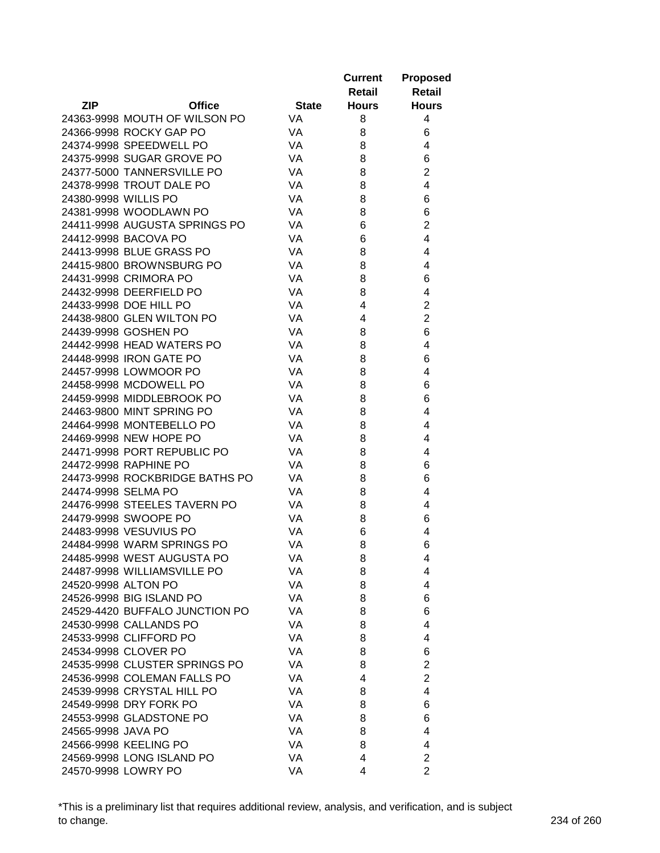|                      |                                |              | <b>Current</b><br>Retail | <b>Proposed</b><br><b>Retail</b> |
|----------------------|--------------------------------|--------------|--------------------------|----------------------------------|
| <b>ZIP</b>           | <b>Office</b>                  | <b>State</b> | <b>Hours</b>             | <b>Hours</b>                     |
|                      | 24363-9998 MOUTH OF WILSON PO  | <b>VA</b>    | 8                        | 4                                |
|                      | 24366-9998 ROCKY GAP PO        | <b>VA</b>    | 8                        | 6                                |
|                      | 24374-9998 SPEEDWELL PO        | VA           | 8                        | 4                                |
|                      | 24375-9998 SUGAR GROVE PO      | VA           | 8                        | 6                                |
|                      | 24377-5000 TANNERSVILLE PO     | VA           | 8                        | $\overline{2}$                   |
|                      | 24378-9998 TROUT DALE PO       | VA           | 8                        | 4                                |
| 24380-9998 WILLIS PO |                                | VA           | 8                        | 6                                |
|                      | 24381-9998 WOODLAWN PO         | VA           | 8                        | 6                                |
|                      | 24411-9998 AUGUSTA SPRINGS PO  | VA           | 6                        | $\overline{2}$                   |
|                      | 24412-9998 BACOVA PO           | <b>VA</b>    | 6                        | 4                                |
|                      | 24413-9998 BLUE GRASS PO       | VA           | 8                        | 4                                |
|                      | 24415-9800 BROWNSBURG PO       | VA           | 8                        | 4                                |
|                      | 24431-9998 CRIMORA PO          | VA           | 8                        | 6                                |
|                      | 24432-9998 DEERFIELD PO        | VA           | 8                        | 4                                |
|                      | 24433-9998 DOE HILL PO         | VA           | 4                        | $\overline{2}$                   |
|                      | 24438-9800 GLEN WILTON PO      | VA           | 4                        | $\overline{2}$                   |
|                      | 24439-9998 GOSHEN PO           | VA           | 8                        | 6                                |
|                      | 24442-9998 HEAD WATERS PO      | VA           | 8                        | 4                                |
|                      | 24448-9998 IRON GATE PO        | VA           | 8                        | 6                                |
|                      | 24457-9998 LOWMOOR PO          | VA           | 8                        | 4                                |
|                      | 24458-9998 MCDOWELL PO         | VA           |                          |                                  |
|                      |                                |              | 8                        | 6                                |
|                      | 24459-9998 MIDDLEBROOK PO      | VA           | 8                        | 6                                |
|                      | 24463-9800 MINT SPRING PO      | VA           | 8                        | 4                                |
|                      | 24464-9998 MONTEBELLO PO       | VA           | 8                        | 4                                |
|                      | 24469-9998 NEW HOPE PO         | <b>VA</b>    | 8                        | 4                                |
|                      | 24471-9998 PORT REPUBLIC PO    | <b>VA</b>    | 8                        | 4                                |
|                      | 24472-9998 RAPHINE PO          | <b>VA</b>    | 8                        | 6                                |
|                      | 24473-9998 ROCKBRIDGE BATHS PO | VA           | 8                        | 6                                |
| 24474-9998 SELMA PO  |                                | VA           | 8                        | 4                                |
|                      | 24476-9998 STEELES TAVERN PO   | VA           | 8                        | 4                                |
|                      | 24479-9998 SWOOPE PO           | VA           | 8                        | 6                                |
|                      | 24483-9998 VESUVIUS PO         | VA           | 6                        | 4                                |
|                      | 24484-9998 WARM SPRINGS PO     | VA           | 8                        | 6                                |
|                      | 24485-9998 WEST AUGUSTA PO     | VA           | 8                        | 4                                |
|                      | 24487-9998 WILLIAMSVILLE PO    | VA           | 8                        | 4                                |
| 24520-9998 ALTON PO  |                                | VA           | 8                        | 4                                |
|                      | 24526-9998 BIG ISLAND PO       | VA           | 8                        | 6                                |
|                      | 24529-4420 BUFFALO JUNCTION PO | VA           | 8                        | 6                                |
|                      | 24530-9998 CALLANDS PO         | VA           | 8                        | 4                                |
|                      | 24533-9998 CLIFFORD PO         | VA           | 8                        | 4                                |
|                      | 24534-9998 CLOVER PO           | VA           | 8                        | 6                                |
|                      | 24535-9998 CLUSTER SPRINGS PO  | VA           | 8                        | $\overline{2}$                   |
|                      | 24536-9998 COLEMAN FALLS PO    | VA           | 4                        | $\overline{2}$                   |
|                      | 24539-9998 CRYSTAL HILL PO     | VA           | 8                        | 4                                |
|                      | 24549-9998 DRY FORK PO         | VA           | 8                        | 6                                |
|                      | 24553-9998 GLADSTONE PO        | VA           | 8                        | 6                                |
| 24565-9998 JAVA PO   |                                | VA           | 8                        | 4                                |
|                      | 24566-9998 KEELING PO          | VA           | 8                        | 4                                |
|                      | 24569-9998 LONG ISLAND PO      | VA           | 4                        | $\overline{\mathbf{c}}$          |
|                      | 24570-9998 LOWRY PO            | VA           | 4                        | $\overline{2}$                   |

\*This is a preliminary list that requires additional review, analysis, and verification, and is subject to change. 234 of 260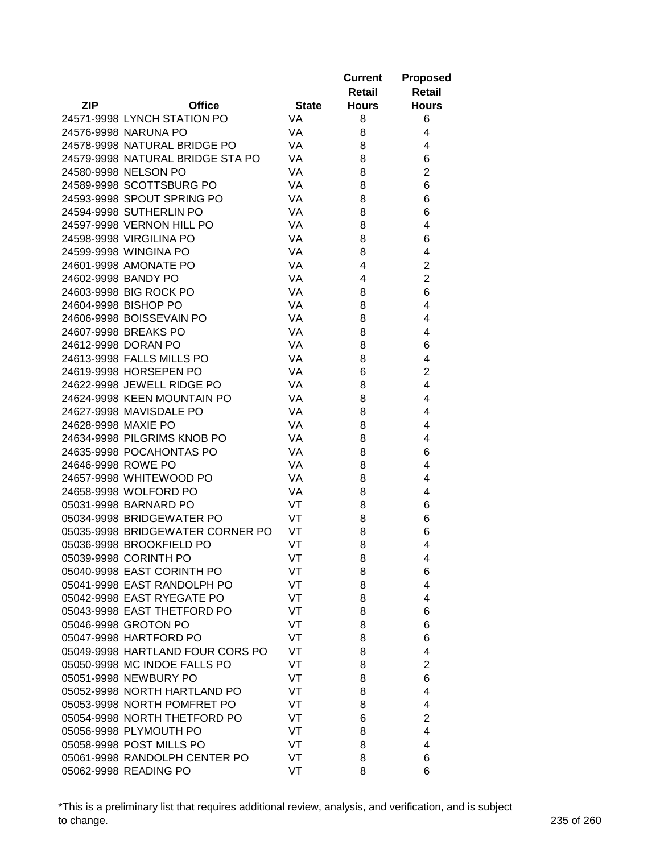|                     |                                  |              | <b>Current</b> | <b>Proposed</b>         |
|---------------------|----------------------------------|--------------|----------------|-------------------------|
|                     |                                  |              | Retail         | Retail                  |
| ZIP                 | <b>Office</b>                    | <b>State</b> | <b>Hours</b>   | <b>Hours</b>            |
|                     | 24571-9998 LYNCH STATION PO      | <b>VA</b>    | 8              | 6                       |
|                     | 24576-9998 NARUNA PO             | VA           | 8              | 4                       |
|                     | 24578-9998 NATURAL BRIDGE PO     | VA           | 8              | 4                       |
|                     | 24579-9998 NATURAL BRIDGE STA PO | VA           | 8              | 6                       |
|                     | 24580-9998 NELSON PO             | VA           | 8              | $\overline{2}$          |
|                     | 24589-9998 SCOTTSBURG PO         | VA           | 8              | 6                       |
|                     | 24593-9998 SPOUT SPRING PO       | VA           | 8              | 6                       |
|                     | 24594-9998 SUTHERLIN PO          | VA           | 8              | 6                       |
|                     | 24597-9998 VERNON HILL PO        | VA           | 8              | 4                       |
|                     | 24598-9998 VIRGILINA PO          | VA           | 8              | 6                       |
|                     | 24599-9998 WINGINA PO            | VA           | 8              | 4                       |
|                     | 24601-9998 AMONATE PO            | VA           | 4              | $\overline{c}$          |
| 24602-9998 BANDY PO |                                  | VA           | 4              | $\overline{2}$          |
|                     | 24603-9998 BIG ROCK PO           | VA           | 8              | 6                       |
|                     | 24604-9998 BISHOP PO             | VA           | 8              | 4                       |
|                     | 24606-9998 BOISSEVAIN PO         | VA           | 8              | 4                       |
|                     | 24607-9998 BREAKS PO             | VA           | 8              | 4                       |
|                     | 24612-9998 DORAN PO              | VA           | 8              | 6                       |
|                     | 24613-9998 FALLS MILLS PO        | VA           | 8              | 4                       |
|                     | 24619-9998 HORSEPEN PO           | VA           | 6              | $\overline{2}$          |
|                     | 24622-9998 JEWELL RIDGE PO       | VA           | 8              | 4                       |
|                     | 24624-9998 KEEN MOUNTAIN PO      | VA           | 8              | 4                       |
|                     | 24627-9998 MAVISDALE PO          | VA           | 8              | 4                       |
| 24628-9998 MAXIE PO |                                  | VA           | 8              | 4                       |
|                     | 24634-9998 PILGRIMS KNOB PO      | VA           | 8              | 4                       |
|                     | 24635-9998 POCAHONTAS PO         | VA           | 8              | 6                       |
| 24646-9998 ROWE PO  |                                  | VA           | 8              | 4                       |
|                     | 24657-9998 WHITEWOOD PO          | VA           | 8              | 4                       |
|                     | 24658-9998 WOLFORD PO            | VA           | 8              | 4                       |
|                     | 05031-9998 BARNARD PO            | VT           | 8              | 6                       |
|                     | 05034-9998 BRIDGEWATER PO        | VT           | 8              | 6                       |
|                     | 05035-9998 BRIDGEWATER CORNER PO | VT           | 8              | 6                       |
|                     | 05036-9998 BROOKFIELD PO         | VT           | 8              | 4                       |
|                     | 05039-9998 CORINTH PO            | VT           | 8              | 4                       |
|                     | 05040-9998 EAST CORINTH PO       | VT           | 8              | 6                       |
|                     | 05041-9998 EAST RANDOLPH PO      | VT           | 8              | 4                       |
|                     | 05042-9998 EAST RYEGATE PO       | VT           | 8              | 4                       |
|                     | 05043-9998 EAST THETFORD PO      | VT           | 8              | 6                       |
|                     | 05046-9998 GROTON PO             | VT           | 8              | 6                       |
|                     | 05047-9998 HARTFORD PO           | VT           | 8              | 6                       |
|                     | 05049-9998 HARTLAND FOUR CORS PO | VT           | 8              | 4                       |
|                     | 05050-9998 MC INDOE FALLS PO     | VT           | 8              | $\overline{2}$          |
|                     | 05051-9998 NEWBURY PO            | VT           | 8              | 6                       |
|                     | 05052-9998 NORTH HARTLAND PO     | VT           | 8              | 4                       |
|                     | 05053-9998 NORTH POMFRET PO      | VT           | 8              | 4                       |
|                     | 05054-9998 NORTH THETFORD PO     | VT           | 6              | $\overline{\mathbf{c}}$ |
|                     | 05056-9998 PLYMOUTH PO           | VT           | 8              | 4                       |
|                     | 05058-9998 POST MILLS PO         | VT           | 8              | 4                       |
|                     | 05061-9998 RANDOLPH CENTER PO    | VT           | 8              | 6                       |
|                     | 05062-9998 READING PO            | VT           | 8              | 6                       |

\*This is a preliminary list that requires additional review, analysis, and verification, and is subject to change. 235 of 260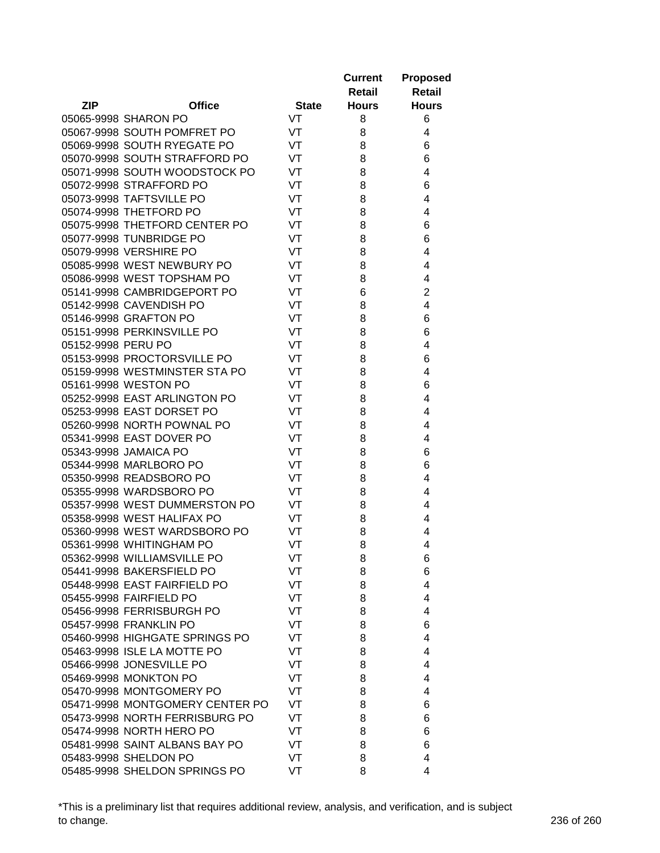|                    |                                 |              | <b>Current</b> | <b>Proposed</b> |
|--------------------|---------------------------------|--------------|----------------|-----------------|
|                    |                                 |              | Retail         | <b>Retail</b>   |
| <b>ZIP</b>         | <b>Office</b>                   | <b>State</b> | <b>Hours</b>   | <b>Hours</b>    |
|                    | 05065-9998 SHARON PO            | VT           | 8              | 6               |
|                    | 05067-9998 SOUTH POMFRET PO     | VT           | 8              | 4               |
|                    | 05069-9998 SOUTH RYEGATE PO     | VT           | 8              | 6               |
|                    | 05070-9998 SOUTH STRAFFORD PO   | VT           | 8              | 6               |
|                    | 05071-9998 SOUTH WOODSTOCK PO   | VT           | 8              | 4               |
|                    | 05072-9998 STRAFFORD PO         | VT           | 8              | 6               |
|                    | 05073-9998 TAFTSVILLE PO        | VT           | 8              | 4               |
|                    | 05074-9998 THETFORD PO          | VT           | 8              | 4               |
|                    | 05075-9998 THETFORD CENTER PO   | VT           | 8              | 6               |
|                    | 05077-9998 TUNBRIDGE PO         | VT           | 8              | 6               |
|                    | 05079-9998 VERSHIRE PO          | VT           | 8              | 4               |
|                    | 05085-9998 WEST NEWBURY PO      | VT           | 8              | 4               |
|                    | 05086-9998 WEST TOPSHAM PO      | VT           | 8              | 4               |
|                    | 05141-9998 CAMBRIDGEPORT PO     | VT           | 6              | $\overline{c}$  |
|                    | 05142-9998 CAVENDISH PO         | VT           | 8              | 4               |
|                    | 05146-9998 GRAFTON PO           | VT           | 8              | 6               |
|                    | 05151-9998 PERKINSVILLE PO      | VT           | 8              | 6               |
| 05152-9998 PERU PO |                                 | VT           | 8              | 4               |
|                    | 05153-9998 PROCTORSVILLE PO     | VT           | 8              | 6               |
|                    | 05159-9998 WESTMINSTER STA PO   | VT           | 8              | 4               |
|                    | 05161-9998 WESTON PO            | VT           | 8              | 6               |
|                    | 05252-9998 EAST ARLINGTON PO    | VT           | 8              | 4               |
|                    | 05253-9998 EAST DORSET PO       | VT           | 8              | 4               |
|                    | 05260-9998 NORTH POWNAL PO      | VT           | 8              | 4               |
|                    | 05341-9998 EAST DOVER PO        | VT           | 8              | 4               |
|                    | 05343-9998 JAMAICA PO           | VT           | 8              | 6               |
|                    | 05344-9998 MARLBORO PO          | VT           | 8              | 6               |
|                    | 05350-9998 READSBORO PO         | VT           | 8              | 4               |
|                    | 05355-9998 WARDSBORO PO         | VT           | 8              | 4               |
|                    | 05357-9998 WEST DUMMERSTON PO   | VT           | 8              | 4               |
|                    | 05358-9998 WEST HALIFAX PO      | VT           | 8              | 4               |
|                    | 05360-9998 WEST WARDSBORO PO    | VT           | 8              | 4               |
|                    | 05361-9998 WHITINGHAM PO        | VT           | 8              | 4               |
|                    | 05362-9998 WILLIAMSVILLE PO     | VT           | 8              | 6               |
|                    | 05441-9998 BAKERSFIELD PO       | VT           |                |                 |
|                    | 05448-9998 EAST FAIRFIELD PO    | VT           | 8<br>8         | 6<br>4          |
|                    |                                 |              |                |                 |
|                    | 05455-9998 FAIRFIELD PO         | VT           | 8              | 4<br>4          |
|                    | 05456-9998 FERRISBURGH PO       | VT           | 8              |                 |
|                    | 05457-9998 FRANKLIN PO          | VT           | 8              | 6               |
|                    | 05460-9998 HIGHGATE SPRINGS PO  | VT           | 8              | 4               |
|                    | 05463-9998 ISLE LA MOTTE PO     | VT           | 8              | 4               |
|                    | 05466-9998 JONESVILLE PO        | VT           | 8              | 4               |
|                    | 05469-9998 MONKTON PO           | VT           | 8              | 4               |
|                    | 05470-9998 MONTGOMERY PO        | VT           | 8              | 4               |
|                    | 05471-9998 MONTGOMERY CENTER PO | VT           | 8              | 6               |
|                    | 05473-9998 NORTH FERRISBURG PO  | VT           | 8              | 6               |
|                    | 05474-9998 NORTH HERO PO        | VT           | 8              | 6               |
|                    | 05481-9998 SAINT ALBANS BAY PO  | VT           | 8              | 6               |
|                    | 05483-9998 SHELDON PO           | VT           | 8              | 4               |
|                    | 05485-9998 SHELDON SPRINGS PO   | VT           | 8              | 4               |

\*This is a preliminary list that requires additional review, analysis, and verification, and is subject to change. 236 of 260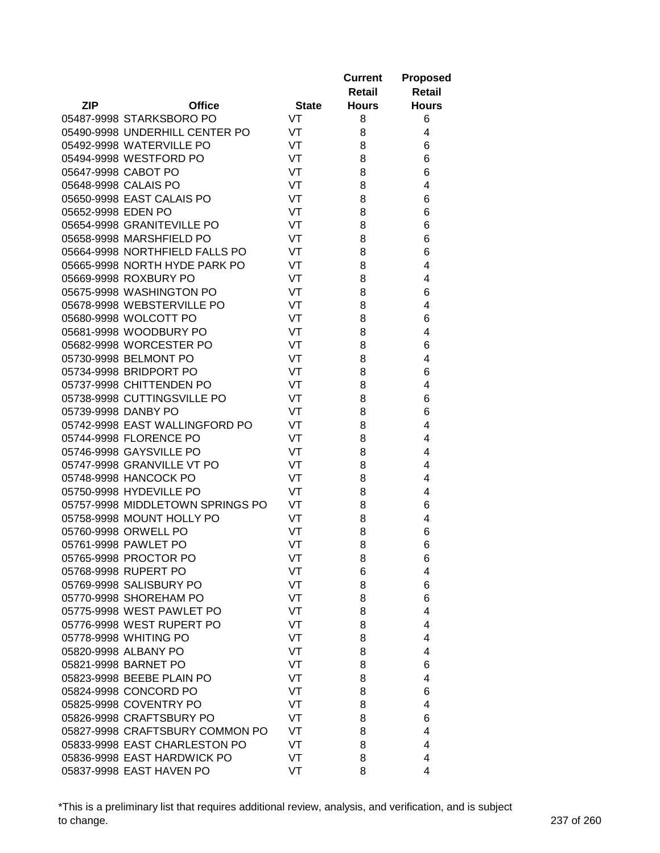|                     |                                                          |              | <b>Current</b><br>Retail | <b>Proposed</b><br><b>Retail</b> |
|---------------------|----------------------------------------------------------|--------------|--------------------------|----------------------------------|
| <b>ZIP</b>          | <b>Office</b>                                            | <b>State</b> | <b>Hours</b>             | <b>Hours</b>                     |
|                     | 05487-9998 STARKSBORO PO                                 | VT           | 8                        | 6                                |
|                     | 05490-9998 UNDERHILL CENTER PO                           | VT           | 8                        | 4                                |
|                     | 05492-9998 WATERVILLE PO                                 | VT           | 8                        | 6                                |
|                     | 05494-9998 WESTFORD PO                                   | <b>VT</b>    | 8                        | 6                                |
| 05647-9998 CABOT PO |                                                          | VT           | 8                        | 6                                |
|                     | 05648-9998 CALAIS PO                                     | VT           | 8                        | 4                                |
|                     | 05650-9998 EAST CALAIS PO                                | VT           | 8                        | 6                                |
| 05652-9998 EDEN PO  |                                                          | VT           | 8                        | 6                                |
|                     | 05654-9998 GRANITEVILLE PO                               | VT           | 8                        | 6                                |
|                     | 05658-9998 MARSHFIELD PO                                 | VT           | 8                        | 6                                |
|                     | 05664-9998 NORTHFIELD FALLS PO                           | VT           | 8                        | 6                                |
|                     | 05665-9998 NORTH HYDE PARK PO                            | VT           | 8                        | 4                                |
|                     | 05669-9998 ROXBURY PO                                    | VT           | 8                        | 4                                |
|                     | 05675-9998 WASHINGTON PO                                 | VT           | 8                        | 6                                |
|                     | 05678-9998 WEBSTERVILLE PO                               | VT           | 8                        | 4                                |
|                     | 05680-9998 WOLCOTT PO                                    | VT           | 8                        | 6                                |
|                     | 05681-9998 WOODBURY PO                                   | VT           | 8                        | 4                                |
|                     | 05682-9998 WORCESTER PO                                  | VT           | 8                        | 6                                |
|                     | 05730-9998 BELMONT PO                                    | VT           | 8                        | 4                                |
|                     | 05734-9998 BRIDPORT PO                                   | VT           | 8                        | 6                                |
|                     | 05737-9998 CHITTENDEN PO                                 | VT           | 8                        | 4                                |
|                     | 05738-9998 CUTTINGSVILLE PO                              | VT           | 8                        | 6                                |
|                     |                                                          |              |                          |                                  |
| 05739-9998 DANBY PO |                                                          | VT           | 8                        | 6                                |
|                     | 05742-9998 EAST WALLINGFORD PO<br>05744-9998 FLORENCE PO | VT<br>VT     | 8                        | 4<br>4                           |
|                     |                                                          | VT           | 8                        | 4                                |
|                     | 05746-9998 GAYSVILLE PO                                  | VT           | 8                        | 4                                |
|                     | 05747-9998 GRANVILLE VT PO                               | VT           | 8                        |                                  |
|                     | 05748-9998 HANCOCK PO                                    | VT           | 8                        | 4<br>4                           |
|                     | 05750-9998 HYDEVILLE PO                                  |              | 8                        |                                  |
|                     | 05757-9998 MIDDLETOWN SPRINGS PO                         | VT           | 8                        | 6                                |
|                     | 05758-9998 MOUNT HOLLY PO<br>05760-9998 ORWELL PO        | VT<br>VT     | 8                        | 4                                |
|                     |                                                          |              | 8                        | 6                                |
|                     | 05761-9998 PAWLET PO                                     | VT           | 8                        | 6                                |
|                     | 05765-9998 PROCTOR PO                                    | VT           | 8                        | 6                                |
|                     | 05768-9998 RUPERT PO                                     | VT           | 6                        | 4                                |
|                     | 05769-9998 SALISBURY PO                                  | VT           | 8                        | 6                                |
|                     | 05770-9998 SHOREHAM PO                                   | VT           | 8                        | 6                                |
|                     | 05775-9998 WEST PAWLET PO                                | VT           | 8                        | 4                                |
|                     | 05776-9998 WEST RUPERT PO                                | VT           | 8                        | 4                                |
|                     | 05778-9998 WHITING PO                                    | VT           | 8                        | 4                                |
|                     | 05820-9998 ALBANY PO                                     | VT           | 8                        | 4                                |
|                     | 05821-9998 BARNET PO                                     | VT           | 8                        | 6                                |
|                     | 05823-9998 BEEBE PLAIN PO                                | VT           | 8                        | 4                                |
|                     | 05824-9998 CONCORD PO                                    | VT           | 8                        | 6                                |
|                     | 05825-9998 COVENTRY PO                                   | VT           | 8                        | 4                                |
|                     | 05826-9998 CRAFTSBURY PO                                 | VT           | 8                        | 6                                |
|                     | 05827-9998 CRAFTSBURY COMMON PO                          | VT           | 8                        | 4                                |
|                     | 05833-9998 EAST CHARLESTON PO                            | VT           | 8                        | 4                                |
|                     | 05836-9998 EAST HARDWICK PO                              | VT           | 8                        | 4                                |
|                     | 05837-9998 EAST HAVEN PO                                 | VT           | 8                        | 4                                |

\*This is a preliminary list that requires additional review, analysis, and verification, and is subject to change. 237 of 260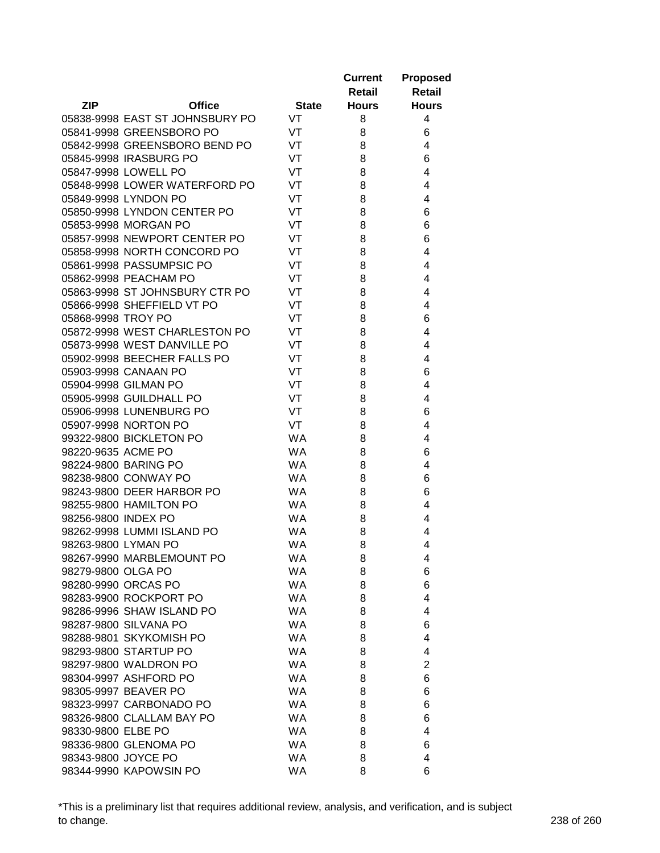|                     |                                 |              | <b>Current</b> | <b>Proposed</b> |
|---------------------|---------------------------------|--------------|----------------|-----------------|
|                     |                                 |              | Retail         | <b>Retail</b>   |
| <b>ZIP</b>          | <b>Office</b>                   | <b>State</b> | <b>Hours</b>   | <b>Hours</b>    |
|                     | 05838-9998 EAST ST JOHNSBURY PO | <b>VT</b>    | 8              | 4               |
|                     | 05841-9998 GREENSBORO PO        | VT           | 8              | 6               |
|                     | 05842-9998 GREENSBORO BEND PO   | VT           | 8              | 4               |
|                     | 05845-9998 IRASBURG PO          | VT           | 8              | 6               |
|                     | 05847-9998 LOWELL PO            | VT           | 8              | 4               |
|                     | 05848-9998 LOWER WATERFORD PO   | VT           | 8              | $\overline{4}$  |
|                     | 05849-9998 LYNDON PO            | VT           | 8              | 4               |
|                     | 05850-9998 LYNDON CENTER PO     | VT           | 8              | 6               |
|                     | 05853-9998 MORGAN PO            | VT           | 8              | 6               |
|                     | 05857-9998 NEWPORT CENTER PO    | VT           | 8              | 6               |
|                     | 05858-9998 NORTH CONCORD PO     | VT           | 8              | 4               |
|                     | 05861-9998 PASSUMPSIC PO        | VT           | 8              | 4               |
|                     | 05862-9998 PEACHAM PO           | VT           | 8              | 4               |
|                     | 05863-9998 ST JOHNSBURY CTR PO  | VT           | 8              | 4               |
|                     | 05866-9998 SHEFFIELD VT PO      | VT           | 8              | 4               |
| 05868-9998 TROY PO  |                                 | VT           | 8              | 6               |
|                     | 05872-9998 WEST CHARLESTON PO   | VT           | 8              | 4               |
|                     | 05873-9998 WEST DANVILLE PO     | VT           | 8              | 4               |
|                     | 05902-9998 BEECHER FALLS PO     | VT           | 8              | $\overline{4}$  |
|                     | 05903-9998 CANAAN PO            | VT           | 8              | 6               |
|                     | 05904-9998 GILMAN PO            | VT           | 8              | 4               |
|                     | 05905-9998 GUILDHALL PO         | VT           | 8              | $\overline{4}$  |
|                     | 05906-9998 LUNENBURG PO         | VT           | 8              | 6               |
|                     | 05907-9998 NORTON PO            | VT           | 8              | 4               |
|                     | 99322-9800 BICKLETON PO         | <b>WA</b>    | 8              | 4               |
| 98220-9635 ACME PO  |                                 | <b>WA</b>    | 8              | 6               |
|                     | 98224-9800 BARING PO            | <b>WA</b>    | 8              | 4               |
|                     | 98238-9800 CONWAY PO            | <b>WA</b>    | 8              | 6               |
|                     | 98243-9800 DEER HARBOR PO       | <b>WA</b>    | 8              | 6               |
|                     | 98255-9800 HAMILTON PO          | <b>WA</b>    | 8              | 4               |
| 98256-9800 INDEX PO |                                 | <b>WA</b>    | 8              | 4               |
|                     | 98262-9998 LUMMI ISLAND PO      | <b>WA</b>    | 8              | 4               |
|                     |                                 |              |                |                 |
| 98263-9800 LYMAN PO | 98267-9990 MARBLEMOUNT PO       | <b>WA</b>    | 8              | 4               |
|                     |                                 | <b>WA</b>    | 8              | 4               |
| 98279-9800 OLGA PO  |                                 | <b>WA</b>    | 8              | 6               |
|                     | 98280-9990 ORCAS PO             | <b>WA</b>    | 8              | 6               |
|                     | 98283-9900 ROCKPORT PO          | <b>WA</b>    | 8              | 4               |
|                     | 98286-9996 SHAW ISLAND PO       | <b>WA</b>    | 8              | 4               |
|                     | 98287-9800 SILVANA PO           | <b>WA</b>    | 8              | 6               |
|                     | 98288-9801 SKYKOMISH PO         | <b>WA</b>    | 8              | 4               |
|                     | 98293-9800 STARTUP PO           | <b>WA</b>    | 8              | 4               |
|                     | 98297-9800 WALDRON PO           | <b>WA</b>    | 8              | $\overline{2}$  |
|                     | 98304-9997 ASHFORD PO           | <b>WA</b>    | 8              | 6               |
|                     | 98305-9997 BEAVER PO            | <b>WA</b>    | 8              | 6               |
|                     | 98323-9997 CARBONADO PO         | <b>WA</b>    | 8              | 6               |
|                     | 98326-9800 CLALLAM BAY PO       | <b>WA</b>    | 8              | 6               |
| 98330-9800 ELBE PO  |                                 | <b>WA</b>    | 8              | 4               |
|                     | 98336-9800 GLENOMA PO           | <b>WA</b>    | 8              | 6               |
| 98343-9800 JOYCE PO |                                 | <b>WA</b>    | 8              | 4               |
|                     | 98344-9990 KAPOWSIN PO          | <b>WA</b>    | 8              | 6               |

\*This is a preliminary list that requires additional review, analysis, and verification, and is subject to change. 238 of 260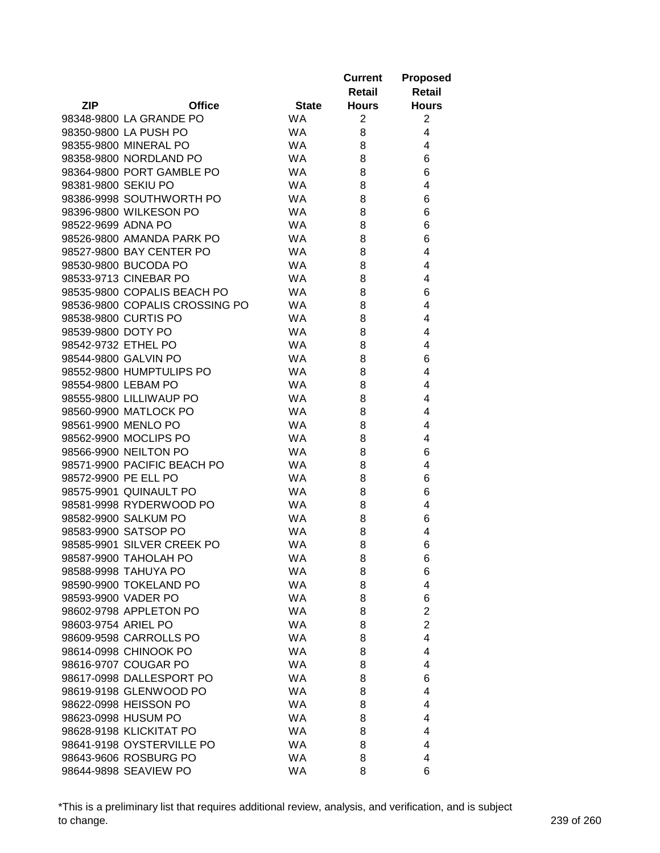|                      |                                |              | <b>Current</b><br>Retail | <b>Proposed</b><br><b>Retail</b> |
|----------------------|--------------------------------|--------------|--------------------------|----------------------------------|
| <b>ZIP</b>           | <b>Office</b>                  | <b>State</b> | <b>Hours</b>             | <b>Hours</b>                     |
|                      | 98348-9800 LA GRANDE PO        | <b>WA</b>    | 2                        | $\overline{2}$                   |
|                      | 98350-9800 LA PUSH PO          | <b>WA</b>    | 8                        | 4                                |
|                      | 98355-9800 MINERAL PO          | <b>WA</b>    | 8                        | 4                                |
|                      | 98358-9800 NORDLAND PO         | <b>WA</b>    | 8                        | 6                                |
|                      | 98364-9800 PORT GAMBLE PO      | <b>WA</b>    | 8                        | 6                                |
| 98381-9800 SEKIU PO  |                                | <b>WA</b>    | 8                        | 4                                |
|                      | 98386-9998 SOUTHWORTH PO       | <b>WA</b>    | 8                        | 6                                |
|                      | 98396-9800 WILKESON PO         | <b>WA</b>    | 8                        | 6                                |
| 98522-9699 ADNA PO   |                                | <b>WA</b>    | 8                        | 6                                |
|                      | 98526-9800 AMANDA PARK PO      | <b>WA</b>    | 8                        | 6                                |
|                      | 98527-9800 BAY CENTER PO       | <b>WA</b>    | 8                        | 4                                |
|                      | 98530-9800 BUCODA PO           | <b>WA</b>    | 8                        | 4                                |
|                      | 98533-9713 CINEBAR PO          | <b>WA</b>    | 8                        | 4                                |
|                      | 98535-9800 COPALIS BEACH PO    | <b>WA</b>    | 8                        | 6                                |
|                      | 98536-9800 COPALIS CROSSING PO | <b>WA</b>    | 8                        | 4                                |
|                      | 98538-9800 CURTIS PO           | <b>WA</b>    | 8                        | 4                                |
| 98539-9800 DOTY PO   |                                | <b>WA</b>    | 8                        | 4                                |
| 98542-9732 ETHEL PO  |                                | <b>WA</b>    | 8                        | 4                                |
|                      | 98544-9800 GALVIN PO           | <b>WA</b>    | 8                        | 6                                |
|                      | 98552-9800 HUMPTULIPS PO       | <b>WA</b>    | 8                        | 4                                |
| 98554-9800 LEBAM PO  |                                | <b>WA</b>    | 8                        | 4                                |
|                      | 98555-9800 LILLIWAUP PO        | <b>WA</b>    | 8                        | 4                                |
|                      | 98560-9900 MATLOCK PO          | <b>WA</b>    | 8                        | 4                                |
| 98561-9900 MENLO PO  |                                | <b>WA</b>    | 8                        | 4                                |
|                      | 98562-9900 MOCLIPS PO          | <b>WA</b>    | 8                        | 4                                |
|                      | 98566-9900 NEILTON PO          | <b>WA</b>    | 8                        | 6                                |
|                      | 98571-9900 PACIFIC BEACH PO    | <b>WA</b>    | 8                        | 4                                |
| 98572-9900 PE ELL PO |                                | <b>WA</b>    | 8                        | 6                                |
|                      | 98575-9901 QUINAULT PO         | <b>WA</b>    | 8                        | 6                                |
|                      | 98581-9998 RYDERWOOD PO        | <b>WA</b>    | 8                        | 4                                |
|                      | 98582-9900 SALKUM PO           | <b>WA</b>    | 8                        | 6                                |
|                      | 98583-9900 SATSOP PO           | <b>WA</b>    | 8                        | 4                                |
|                      | 98585-9901 SILVER CREEK PO     | <b>WA</b>    | 8                        | 6                                |
|                      | 98587-9900 TAHOLAH PO          | <b>WA</b>    | 8                        | 6                                |
|                      | 98588-9998 TAHUYA PO           | <b>WA</b>    | 8                        | 6                                |
|                      | 98590-9900 TOKELAND PO         | <b>WA</b>    | 8                        | 4                                |
| 98593-9900 VADER PO  |                                | <b>WA</b>    | 8                        | 6                                |
|                      | 98602-9798 APPLETON PO         | <b>WA</b>    | 8                        | $\overline{2}$                   |
| 98603-9754 ARIEL PO  |                                | <b>WA</b>    | 8                        | $\overline{2}$                   |
|                      | 98609-9598 CARROLLS PO         | <b>WA</b>    | 8                        | 4                                |
|                      | 98614-0998 CHINOOK PO          | <b>WA</b>    | 8                        | 4                                |
|                      | 98616-9707 COUGAR PO           | <b>WA</b>    | 8                        | 4                                |
|                      | 98617-0998 DALLESPORT PO       | <b>WA</b>    | 8                        | 6                                |
|                      | 98619-9198 GLENWOOD PO         | <b>WA</b>    | 8                        | 4                                |
|                      | 98622-0998 HEISSON PO          | <b>WA</b>    | 8                        | 4                                |
|                      | 98623-0998 HUSUM PO            | WA.          | 8                        | 4                                |
|                      | 98628-9198 KLICKITAT PO        | <b>WA</b>    | 8                        | 4                                |
|                      | 98641-9198 OYSTERVILLE PO      | <b>WA</b>    | 8                        | 4                                |
|                      | 98643-9606 ROSBURG PO          | <b>WA</b>    | 8                        | 4                                |
|                      | 98644-9898 SEAVIEW PO          | <b>WA</b>    | 8                        | 6                                |

\*This is a preliminary list that requires additional review, analysis, and verification, and is subject to change. 239 of 260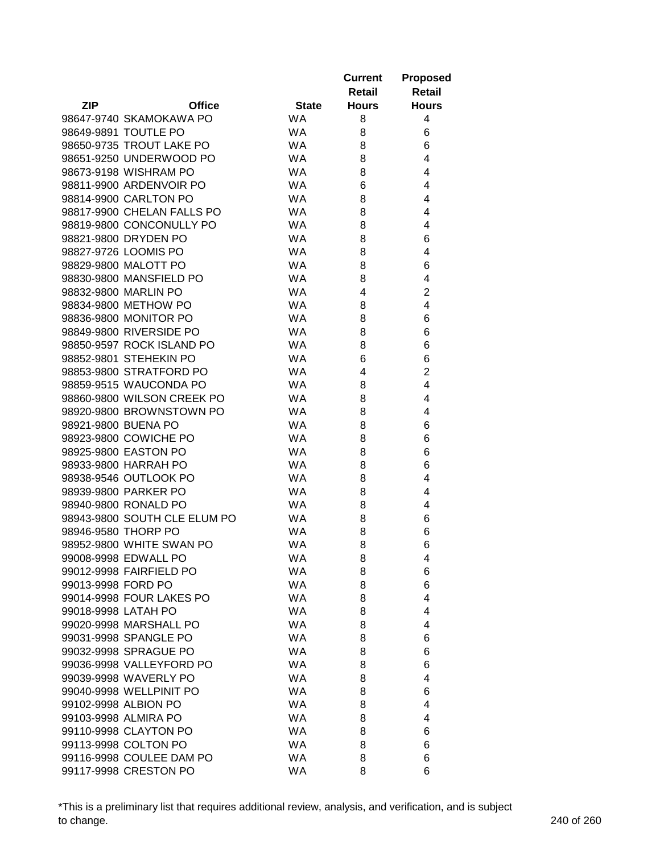|                     |                              |              | <b>Current</b><br>Retail | <b>Proposed</b><br>Retail |
|---------------------|------------------------------|--------------|--------------------------|---------------------------|
| <b>ZIP</b>          | <b>Office</b>                | <b>State</b> | <b>Hours</b>             | <b>Hours</b>              |
|                     | 98647-9740 SKAMOKAWA PO      | <b>WA</b>    | 8                        | 4                         |
|                     | 98649-9891 TOUTLE PO         | <b>WA</b>    | 8                        | 6                         |
|                     | 98650-9735 TROUT LAKE PO     | <b>WA</b>    | 8                        | 6                         |
|                     | 98651-9250 UNDERWOOD PO      | <b>WA</b>    | 8                        | 4                         |
|                     | 98673-9198 WISHRAM PO        | <b>WA</b>    | 8                        | 4                         |
|                     | 98811-9900 ARDENVOIR PO      | <b>WA</b>    | 6                        | 4                         |
|                     | 98814-9900 CARLTON PO        | <b>WA</b>    | 8                        | 4                         |
|                     | 98817-9900 CHELAN FALLS PO   | <b>WA</b>    | 8                        | 4                         |
|                     | 98819-9800 CONCONULLY PO     | <b>WA</b>    | 8                        | 4                         |
|                     | 98821-9800 DRYDEN PO         | <b>WA</b>    | 8                        | 6                         |
|                     | 98827-9726 LOOMIS PO         | <b>WA</b>    | 8                        | 4                         |
|                     | 98829-9800 MALOTT PO         | WA.          | 8                        | 6                         |
|                     | 98830-9800 MANSFIELD PO      | <b>WA</b>    | 8                        | 4                         |
|                     | 98832-9800 MARLIN PO         | <b>WA</b>    | 4                        | $\overline{2}$            |
|                     | 98834-9800 METHOW PO         | <b>WA</b>    | 8                        | 4                         |
|                     | 98836-9800 MONITOR PO        | <b>WA</b>    | 8                        | 6                         |
|                     | 98849-9800 RIVERSIDE PO      | <b>WA</b>    | 8                        | 6                         |
|                     | 98850-9597 ROCK ISLAND PO    | <b>WA</b>    | 8                        | 6                         |
|                     | 98852-9801 STEHEKIN PO       | <b>WA</b>    | 6                        | 6                         |
|                     | 98853-9800 STRATFORD PO      | <b>WA</b>    | 4                        | $\overline{2}$            |
|                     | 98859-9515 WAUCONDA PO       | <b>WA</b>    | 8                        | 4                         |
|                     | 98860-9800 WILSON CREEK PO   | <b>WA</b>    | 8                        | 4                         |
|                     | 98920-9800 BROWNSTOWN PO     | <b>WA</b>    | 8                        | 4                         |
| 98921-9800 BUENA PO |                              | <b>WA</b>    | 8                        | 6                         |
|                     | 98923-9800 COWICHE PO        | <b>WA</b>    | 8                        | 6                         |
|                     | 98925-9800 EASTON PO         | <b>WA</b>    | 8                        | 6                         |
|                     | 98933-9800 HARRAH PO         | <b>WA</b>    | 8                        | 6                         |
|                     | 98938-9546 OUTLOOK PO        | <b>WA</b>    | 8                        | 4                         |
|                     | 98939-9800 PARKER PO         | <b>WA</b>    | 8                        | 4                         |
|                     | 98940-9800 RONALD PO         | <b>WA</b>    | 8                        | 4                         |
|                     | 98943-9800 SOUTH CLE ELUM PO | <b>WA</b>    | 8                        | 6                         |
| 98946-9580 THORP PO |                              | <b>WA</b>    | 8                        | 6                         |
|                     | 98952-9800 WHITE SWAN PO     | <b>WA</b>    | 8                        | 6                         |
|                     | 99008-9998 EDWALL PO         | <b>WA</b>    | 8                        | 4                         |
|                     | 99012-9998 FAIRFIELD PO      | <b>WA</b>    | 8                        | 6                         |
| 99013-9998 FORD PO  |                              | <b>WA</b>    | 8                        | 6                         |
|                     | 99014-9998 FOUR LAKES PO     | <b>WA</b>    | 8                        | 4                         |
| 99018-9998 LATAH PO |                              | <b>WA</b>    | 8                        | 4                         |
|                     | 99020-9998 MARSHALL PO       | <b>WA</b>    | 8                        | 4                         |
|                     | 99031-9998 SPANGLE PO        | <b>WA</b>    | 8                        | 6                         |
|                     | 99032-9998 SPRAGUE PO        | <b>WA</b>    | 8                        | 6                         |
|                     | 99036-9998 VALLEYFORD PO     | <b>WA</b>    | 8                        | 6                         |
|                     | 99039-9998 WAVERLY PO        | <b>WA</b>    | 8                        | 4                         |
|                     | 99040-9998 WELLPINIT PO      | <b>WA</b>    | 8                        | 6                         |
|                     | 99102-9998 ALBION PO         | <b>WA</b>    | 8                        | 4                         |
|                     | 99103-9998 ALMIRA PO         | <b>WA</b>    | 8                        | 4                         |
|                     | 99110-9998 CLAYTON PO        | <b>WA</b>    | 8                        | 6                         |
|                     | 99113-9998 COLTON PO         | <b>WA</b>    | 8                        | 6                         |
|                     | 99116-9998 COULEE DAM PO     | <b>WA</b>    | 8                        | 6                         |
|                     | 99117-9998 CRESTON PO        | WA           | 8                        | 6                         |

\*This is a preliminary list that requires additional review, analysis, and verification, and is subject to change. 240 of 260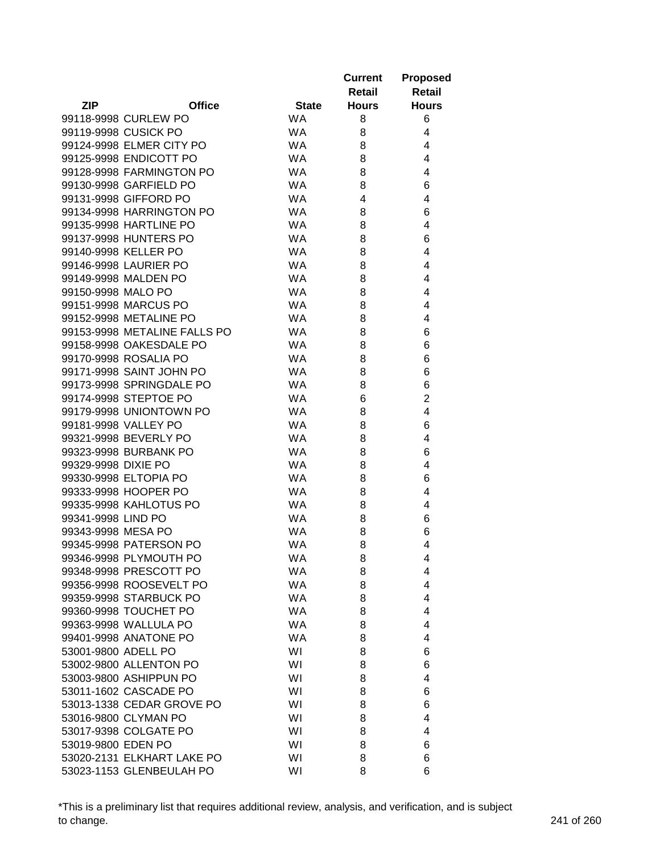|                              |              | <b>Current</b> | <b>Proposed</b> |
|------------------------------|--------------|----------------|-----------------|
|                              |              | Retail         | <b>Retail</b>   |
| <b>ZIP</b><br><b>Office</b>  | <b>State</b> | <b>Hours</b>   | <b>Hours</b>    |
| 99118-9998 CURLEW PO         | <b>WA</b>    | 8              | 6               |
| 99119-9998 CUSICK PO         | <b>WA</b>    | 8              | 4               |
| 99124-9998 ELMER CITY PO     | <b>WA</b>    | 8              | 4               |
| 99125-9998 ENDICOTT PO       | <b>WA</b>    | 8              | 4               |
| 99128-9998 FARMINGTON PO     | <b>WA</b>    | 8              | 4               |
| 99130-9998 GARFIELD PO       | <b>WA</b>    | 8              | 6               |
| 99131-9998 GIFFORD PO        | <b>WA</b>    | 4              | 4               |
| 99134-9998 HARRINGTON PO     | <b>WA</b>    | 8              | 6               |
| 99135-9998 HARTLINE PO       | <b>WA</b>    | 8              | 4               |
| 99137-9998 HUNTERS PO        | <b>WA</b>    | 8              | 6               |
| 99140-9998 KELLER PO         | <b>WA</b>    | 8              | 4               |
| 99146-9998 LAURIER PO        | <b>WA</b>    | 8              | 4               |
| 99149-9998 MALDEN PO         | <b>WA</b>    | 8              | 4               |
| 99150-9998 MALO PO           | <b>WA</b>    | 8              | 4               |
| 99151-9998 MARCUS PO         | <b>WA</b>    | 8              | 4               |
| 99152-9998 METALINE PO       | <b>WA</b>    | 8              | 4               |
| 99153-9998 METALINE FALLS PO | <b>WA</b>    | 8              | 6               |
| 99158-9998 OAKESDALE PO      | <b>WA</b>    | 8              | 6               |
| 99170-9998 ROSALIA PO        | <b>WA</b>    | 8              | 6               |
| 99171-9998 SAINT JOHN PO     | <b>WA</b>    | 8              | 6               |
| 99173-9998 SPRINGDALE PO     | <b>WA</b>    | 8              | 6               |
| 99174-9998 STEPTOE PO        | <b>WA</b>    | 6              | $\overline{2}$  |
| 99179-9998 UNIONTOWN PO      | <b>WA</b>    | 8              | 4               |
| 99181-9998 VALLEY PO         | <b>WA</b>    | 8              | 6               |
| 99321-9998 BEVERLY PO        | <b>WA</b>    | 8              | 4               |
| 99323-9998 BURBANK PO        | <b>WA</b>    | 8              | 6               |
| 99329-9998 DIXIE PO          | <b>WA</b>    | 8              | 4               |
| 99330-9998 ELTOPIA PO        | <b>WA</b>    | 8              | 6               |
| 99333-9998 HOOPER PO         | <b>WA</b>    | 8              | 4               |
| 99335-9998 KAHLOTUS PO       | <b>WA</b>    | 8              | 4               |
| 99341-9998 LIND PO           | <b>WA</b>    | 8              | 6               |
| 99343-9998 MESA PO           | <b>WA</b>    | 8              | 6               |
| 99345-9998 PATERSON PO       | <b>WA</b>    | 8              | 4               |
| 99346-9998 PLYMOUTH PO       | <b>WA</b>    | 8              | 4               |
| 99348-9998 PRESCOTT PO       | <b>WA</b>    | 8              | 4               |
| 99356-9998 ROOSEVELT PO      | <b>WA</b>    | 8              | 4               |
| 99359-9998 STARBUCK PO       | <b>WA</b>    | 8              | 4               |
| 99360-9998 TOUCHET PO        | <b>WA</b>    | 8              | 4               |
| 99363-9998 WALLULA PO        | <b>WA</b>    | 8              | 4               |
| 99401-9998 ANATONE PO        | <b>WA</b>    | 8              | 4               |
| 53001-9800 ADELL PO          | WI           | 8              | 6               |
| 53002-9800 ALLENTON PO       | WI           | 8              | 6               |
| 53003-9800 ASHIPPUN PO       | WI           | 8              | 4               |
| 53011-1602 CASCADE PO        | WI           | 8              | 6               |
| 53013-1338 CEDAR GROVE PO    | WI           | 8              | 6               |
| 53016-9800 CLYMAN PO         | WI           | 8              | 4               |
| 53017-9398 COLGATE PO        | WI           | 8              | 4               |
| 53019-9800 EDEN PO           | WI           | 8              | 6               |
| 53020-2131 ELKHART LAKE PO   | WI           | 8              | 6               |
| 53023-1153 GLENBEULAH PO     | WI           | 8              | 6               |

\*This is a preliminary list that requires additional review, analysis, and verification, and is subject to change. 241 of 260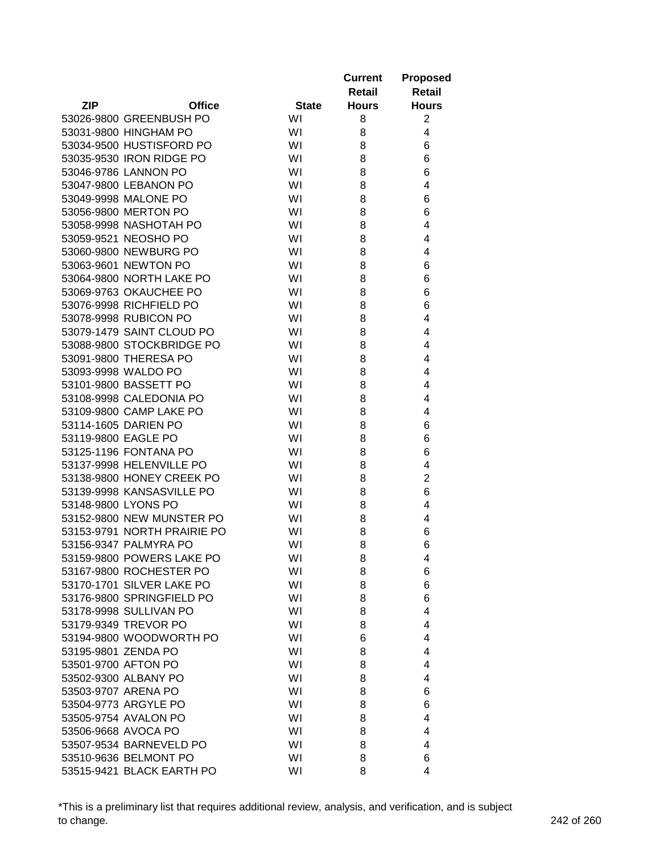|                     |                             |              | <b>Current</b> | <b>Proposed</b> |
|---------------------|-----------------------------|--------------|----------------|-----------------|
|                     |                             |              | <b>Retail</b>  | Retail          |
| <b>ZIP</b>          | <b>Office</b>               | <b>State</b> | <b>Hours</b>   | <b>Hours</b>    |
|                     | 53026-9800 GREENBUSH PO     | WI           | 8              | $\overline{c}$  |
|                     | 53031-9800 HINGHAM PO       | WI           | 8              | 4               |
|                     | 53034-9500 HUSTISFORD PO    | WI           | 8              | 6               |
|                     | 53035-9530 IRON RIDGE PO    | WI           | 8              | 6               |
|                     | 53046-9786 LANNON PO        | WI           | 8              | 6               |
|                     | 53047-9800 LEBANON PO       | WI           | 8              | 4               |
|                     | 53049-9998 MALONE PO        | WI           | 8              | 6               |
|                     | 53056-9800 MERTON PO        | WI           | 8              | 6               |
|                     | 53058-9998 NASHOTAH PO      | WI           | 8              | 4               |
|                     | 53059-9521 NEOSHO PO        | WI           | 8              | 4               |
|                     | 53060-9800 NEWBURG PO       | WI           | 8              | 4               |
|                     | 53063-9601 NEWTON PO        | WI           | 8              | 6               |
|                     | 53064-9800 NORTH LAKE PO    | WI           | 8              | 6               |
|                     | 53069-9763 OKAUCHEE PO      | WI           | 8              | 6               |
|                     | 53076-9998 RICHFIELD PO     | WI           | 8              | 6               |
|                     | 53078-9998 RUBICON PO       | WI           | 8              | 4               |
|                     | 53079-1479 SAINT CLOUD PO   | WI           | 8              | 4               |
|                     | 53088-9800 STOCKBRIDGE PO   | WI           | 8              | 4               |
|                     | 53091-9800 THERESA PO       | WI           | 8              | 4               |
|                     | 53093-9998 WALDO PO         | WI           | 8              | 4               |
|                     | 53101-9800 BASSETT PO       | WI           | 8              | 4               |
|                     | 53108-9998 CALEDONIA PO     | WI           | 8              | 4               |
|                     | 53109-9800 CAMP LAKE PO     | WI           | 8              | 4               |
|                     | 53114-1605 DARIEN PO        | WI           | 8              | 6               |
| 53119-9800 EAGLE PO |                             | WI           | 8              | 6               |
|                     | 53125-1196 FONTANA PO       | WI           | 8              | 6               |
|                     | 53137-9998 HELENVILLE PO    | WI           | 8              | 4               |
|                     | 53138-9800 HONEY CREEK PO   | WI           |                | $\overline{2}$  |
|                     | 53139-9998 KANSASVILLE PO   |              | 8              |                 |
|                     |                             | WI           | 8              | 6               |
| 53148-9800 LYONS PO |                             | WI           | 8              | 4               |
|                     | 53152-9800 NEW MUNSTER PO   | WI           | 8              | 4               |
|                     | 53153-9791 NORTH PRAIRIE PO | WI           | 8              | 6               |
|                     | 53156-9347 PALMYRA PO       | WI           | 8              | 6               |
|                     | 53159-9800 POWERS LAKE PO   | WI           | 8              | 4               |
|                     | 53167-9800 ROCHESTER PO     | WI           | 8              | 6               |
|                     | 53170-1701 SILVER LAKE PO   | WI           | 8              | 6               |
|                     | 53176-9800 SPRINGFIELD PO   | WI           | 8              | 6               |
|                     | 53178-9998 SULLIVAN PO      | WI           | 8              | 4               |
|                     | 53179-9349 TREVOR PO        | WI           | 8              | 4               |
|                     | 53194-9800 WOODWORTH PO     | WI           | 6              | 4               |
| 53195-9801 ZENDA PO |                             | WI           | 8              | 4               |
| 53501-9700 AFTON PO |                             | WI           | 8              | 4               |
|                     | 53502-9300 ALBANY PO        | WI           | 8              | 4               |
| 53503-9707 ARENA PO |                             | WI           | 8              | 6               |
|                     | 53504-9773 ARGYLE PO        | WI           | 8              | 6               |
|                     | 53505-9754 AVALON PO        | WI           | 8              | 4               |
| 53506-9668 AVOCA PO |                             | WI           | 8              | 4               |
|                     | 53507-9534 BARNEVELD PO     | WI           | 8              | 4               |
|                     | 53510-9636 BELMONT PO       | WI           | 8              | 6               |
|                     | 53515-9421 BLACK EARTH PO   | WI           | 8              | 4               |

\*This is a preliminary list that requires additional review, analysis, and verification, and is subject to change. 242 of 260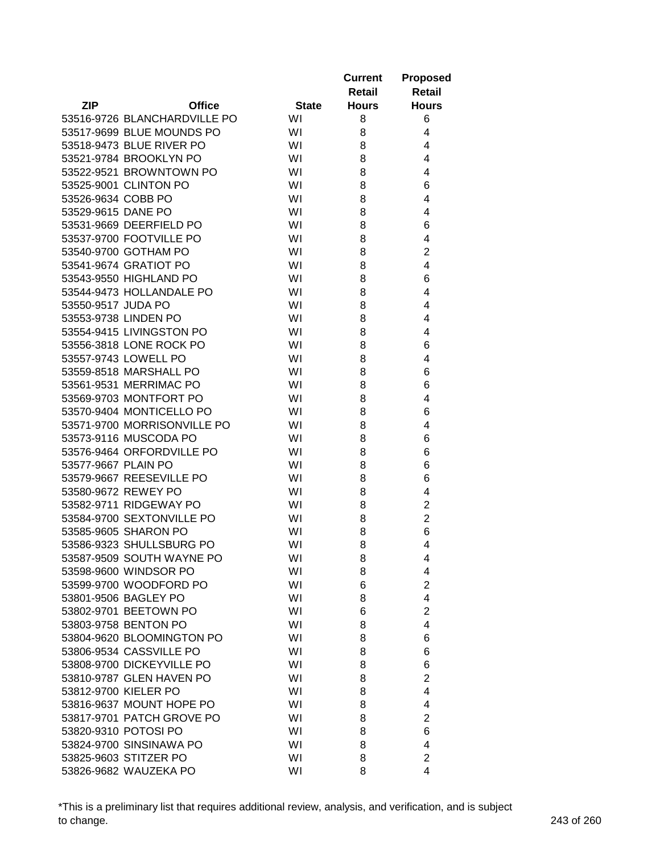|                     |                              |              | <b>Current</b> | <b>Proposed</b> |
|---------------------|------------------------------|--------------|----------------|-----------------|
|                     |                              |              | <b>Retail</b>  | <b>Retail</b>   |
| <b>ZIP</b>          | <b>Office</b>                | <b>State</b> | <b>Hours</b>   | <b>Hours</b>    |
|                     | 53516-9726 BLANCHARDVILLE PO | WI           | 8              | 6               |
|                     | 53517-9699 BLUE MOUNDS PO    | WI           | 8              | 4               |
|                     | 53518-9473 BLUE RIVER PO     | WI           | 8              | 4               |
|                     | 53521-9784 BROOKLYN PO       | WI           | 8              | 4               |
|                     | 53522-9521 BROWNTOWN PO      | WI           | 8              | 4               |
|                     | 53525-9001 CLINTON PO        | WI           | 8              | 6               |
| 53526-9634 COBB PO  |                              | WI           | 8              | 4               |
| 53529-9615 DANE PO  |                              | WI           | 8              | 4               |
|                     | 53531-9669 DEERFIELD PO      | WI           | 8              | 6               |
|                     | 53537-9700 FOOTVILLE PO      | WI           | 8              | 4               |
|                     | 53540-9700 GOTHAM PO         | WI           | 8              | $\overline{c}$  |
|                     | 53541-9674 GRATIOT PO        | WI           | 8              | 4               |
|                     | 53543-9550 HIGHLAND PO       | WI           | 8              | 6               |
|                     | 53544-9473 HOLLANDALE PO     | WI           | 8              | 4               |
| 53550-9517 JUDA PO  |                              | WI           | 8              | 4               |
|                     | 53553-9738 LINDEN PO         | WI           | 8              | 4               |
|                     | 53554-9415 LIVINGSTON PO     | WI           | 8              | 4               |
|                     | 53556-3818 LONE ROCK PO      | WI           | 8              | 6               |
|                     | 53557-9743 LOWELL PO         | WI           | 8              | 4               |
|                     | 53559-8518 MARSHALL PO       | WI           | 8              | 6               |
|                     | 53561-9531 MERRIMAC PO       | WI           | 8              | 6               |
|                     | 53569-9703 MONTFORT PO       | WI           | 8              | 4               |
|                     | 53570-9404 MONTICELLO PO     | WI           | 8              | 6               |
|                     | 53571-9700 MORRISONVILLE PO  | WI           | 8              | 4               |
|                     | 53573-9116 MUSCODA PO        | WI           | 8              | 6               |
|                     | 53576-9464 ORFORDVILLE PO    | WI           | 8              | 6               |
| 53577-9667 PLAIN PO |                              | WI           | 8              | 6               |
|                     | 53579-9667 REESEVILLE PO     | WI           | 8              | 6               |
|                     | 53580-9672 REWEY PO          | WI           | 8              | 4               |
|                     | 53582-9711 RIDGEWAY PO       | WI           | 8              | $\overline{c}$  |
|                     | 53584-9700 SEXTONVILLE PO    | WI           | 8              | $\overline{2}$  |
|                     | 53585-9605 SHARON PO         | WI           | 8              | 6               |
|                     | 53586-9323 SHULLSBURG PO     | WI           | 8              | 4               |
|                     | 53587-9509 SOUTH WAYNE PO    | WI           | 8              | 4               |
|                     | 53598-9600 WINDSOR PO        | WI           | 8              | 4               |
|                     | 53599-9700 WOODFORD PO       | WI           | 6              | $\overline{2}$  |
|                     | 53801-9506 BAGLEY PO         | WI           | 8              | 4               |
|                     | 53802-9701 BEETOWN PO        | WI           | 6              | $\overline{2}$  |
|                     | 53803-9758 BENTON PO         | WI           | 8              | $\overline{4}$  |
|                     | 53804-9620 BLOOMINGTON PO    | WI           | 8              | 6               |
|                     | 53806-9534 CASSVILLE PO      | WI           | 8              | 6               |
|                     | 53808-9700 DICKEYVILLE PO    | WI           | 8              | 6               |
|                     | 53810-9787 GLEN HAVEN PO     | WI           | 8              | $\overline{2}$  |
|                     | 53812-9700 KIELER PO         | WI           | 8              | 4               |
|                     | 53816-9637 MOUNT HOPE PO     | WI           | 8              | 4               |
|                     | 53817-9701 PATCH GROVE PO    | WI           | 8              | $\overline{c}$  |
|                     | 53820-9310 POTOSI PO         | WI           | 8              | 6               |
|                     | 53824-9700 SINSINAWA PO      | WI           | 8              | 4               |
|                     | 53825-9603 STITZER PO        | WI           | 8              | $\overline{2}$  |
|                     | 53826-9682 WAUZEKA PO        | WI           | 8              | 4               |

\*This is a preliminary list that requires additional review, analysis, and verification, and is subject to change. 243 of 260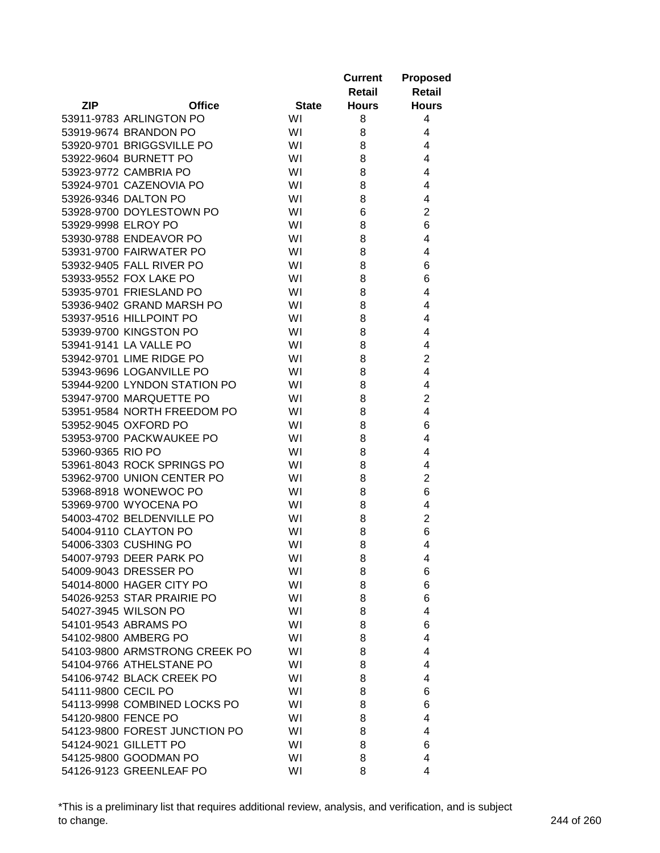|                     |                               |              | <b>Current</b><br>Retail | <b>Proposed</b><br><b>Retail</b> |
|---------------------|-------------------------------|--------------|--------------------------|----------------------------------|
| <b>ZIP</b>          | <b>Office</b>                 | <b>State</b> | <b>Hours</b>             | <b>Hours</b>                     |
|                     | 53911-9783 ARLINGTON PO       | WI           | 8                        | 4                                |
|                     | 53919-9674 BRANDON PO         | WI           | 8                        | 4                                |
|                     | 53920-9701 BRIGGSVILLE PO     | WI           | 8                        | 4                                |
|                     | 53922-9604 BURNETT PO         | WI           | 8                        | 4                                |
|                     | 53923-9772 CAMBRIA PO         | WI           | 8                        | 4                                |
|                     | 53924-9701 CAZENOVIA PO       | WI           | 8                        | 4                                |
|                     | 53926-9346 DALTON PO          | WI           | 8                        | 4                                |
|                     | 53928-9700 DOYLESTOWN PO      | WI           | 6                        | $\overline{2}$                   |
| 53929-9998 ELROY PO |                               | WI           | 8                        | 6                                |
|                     | 53930-9788 ENDEAVOR PO        | WI           | 8                        | 4                                |
|                     | 53931-9700 FAIRWATER PO       | WI           | 8                        | 4                                |
|                     | 53932-9405 FALL RIVER PO      | WI           | 8                        | 6                                |
|                     | 53933-9552 FOX LAKE PO        | WI           | 8                        | 6                                |
|                     | 53935-9701 FRIESLAND PO       | WI           | 8                        | 4                                |
|                     | 53936-9402 GRAND MARSH PO     | WI           | 8                        | 4                                |
|                     | 53937-9516 HILLPOINT PO       | WI           | 8                        | 4                                |
|                     | 53939-9700 KINGSTON PO        | WI           | 8                        | 4                                |
|                     | 53941-9141 LA VALLE PO        | WI           | 8                        | 4                                |
|                     | 53942-9701 LIME RIDGE PO      | WI           | 8                        | $\overline{2}$                   |
|                     | 53943-9696 LOGANVILLE PO      |              |                          | 4                                |
|                     | 53944-9200 LYNDON STATION PO  | WI           | 8                        | 4                                |
|                     |                               | WI           | 8                        |                                  |
|                     | 53947-9700 MARQUETTE PO       | WI           | 8                        | $\overline{2}$                   |
|                     | 53951-9584 NORTH FREEDOM PO   | WI           | 8                        | $\overline{4}$                   |
|                     | 53952-9045 OXFORD PO          | WI           | 8                        | 6                                |
|                     | 53953-9700 PACKWAUKEE PO      | WI           | 8                        | 4                                |
| 53960-9365 RIO PO   |                               | WI           | 8                        | 4                                |
|                     | 53961-8043 ROCK SPRINGS PO    | WI           | 8                        | 4                                |
|                     | 53962-9700 UNION CENTER PO    | WI           | 8                        | $\overline{2}$                   |
|                     | 53968-8918 WONEWOC PO         | WI           | 8                        | 6                                |
|                     | 53969-9700 WYOCENA PO         | WI           | 8                        | 4                                |
|                     | 54003-4702 BELDENVILLE PO     | WI           | 8                        | $\overline{2}$                   |
|                     | 54004-9110 CLAYTON PO         | WI           | 8                        | 6                                |
|                     | 54006-3303 CUSHING PO         | WI           | 8                        | 4                                |
|                     | 54007-9793 DEER PARK PO       | WI           | 8                        | 4                                |
|                     | 54009-9043 DRESSER PO         | WI           | 8                        | 6                                |
|                     | 54014-8000 HAGER CITY PO      | WI           | 8                        | 6                                |
|                     | 54026-9253 STAR PRAIRIE PO    | WI           | 8                        | 6                                |
|                     | 54027-3945 WILSON PO          | WI           | 8                        | 4                                |
|                     | 54101-9543 ABRAMS PO          | WI           | 8                        | 6                                |
|                     | 54102-9800 AMBERG PO          | WI           | 8                        | $\overline{4}$                   |
|                     | 54103-9800 ARMSTRONG CREEK PO | WI           | 8                        | 4                                |
|                     | 54104-9766 ATHELSTANE PO      | WI           | 8                        | 4                                |
|                     | 54106-9742 BLACK CREEK PO     | WI           | 8                        | 4                                |
| 54111-9800 CECIL PO |                               | WI           | 8                        | 6                                |
|                     | 54113-9998 COMBINED LOCKS PO  | WI           | 8                        | 6                                |
| 54120-9800 FENCE PO |                               | WI           | 8                        | 4                                |
|                     | 54123-9800 FOREST JUNCTION PO | WI           | 8                        | 4                                |
|                     | 54124-9021 GILLETT PO         | WI           | 8                        | 6                                |
|                     | 54125-9800 GOODMAN PO         | WI           | 8                        | 4                                |
|                     | 54126-9123 GREENLEAF PO       | WI           | 8                        | 4                                |

\*This is a preliminary list that requires additional review, analysis, and verification, and is subject to change. 244 of 260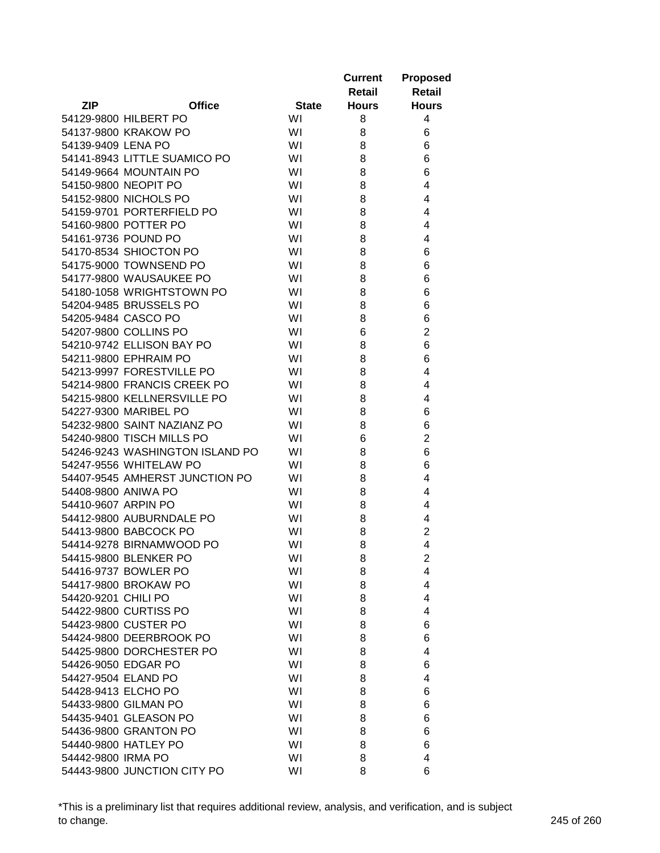|                     |                                 |              | <b>Current</b> | <b>Proposed</b> |
|---------------------|---------------------------------|--------------|----------------|-----------------|
|                     |                                 |              | <b>Retail</b>  | <b>Retail</b>   |
| <b>ZIP</b>          | <b>Office</b>                   | <b>State</b> | <b>Hours</b>   | <b>Hours</b>    |
|                     | 54129-9800 HILBERT PO           | WI           | 8              | 4               |
|                     | 54137-9800 KRAKOW PO            | WI           | 8              | 6               |
| 54139-9409 LENA PO  |                                 | WI           | 8              | 6               |
|                     | 54141-8943 LITTLE SUAMICO PO    | WI           | 8              | 6               |
|                     | 54149-9664 MOUNTAIN PO          | WI           | 8              | 6               |
|                     | 54150-9800 NEOPIT PO            | WI           | 8              | 4               |
|                     | 54152-9800 NICHOLS PO           | WI           | 8              | 4               |
|                     | 54159-9701 PORTERFIELD PO       | WI           | 8              | 4               |
|                     | 54160-9800 POTTER PO            | WI           | 8              | 4               |
|                     | 54161-9736 POUND PO             | WI           | 8              | 4               |
|                     | 54170-8534 SHIOCTON PO          | WI           | 8              | 6               |
|                     | 54175-9000 TOWNSEND PO          | WI           | 8              | 6               |
|                     | 54177-9800 WAUSAUKEE PO         | WI           | 8              | 6               |
|                     | 54180-1058 WRIGHTSTOWN PO       | WI           | 8              | 6               |
|                     | 54204-9485 BRUSSELS PO          | WI           | 8              | 6               |
|                     | 54205-9484 CASCO PO             | WI           | 8              | 6               |
|                     | 54207-9800 COLLINS PO           | WI           | 6              | $\overline{2}$  |
|                     | 54210-9742 ELLISON BAY PO       | WI           | 8              | 6               |
|                     | 54211-9800 EPHRAIM PO           | WI           | 8              | 6               |
|                     | 54213-9997 FORESTVILLE PO       | WI           | 8              | 4               |
|                     | 54214-9800 FRANCIS CREEK PO     | WI           | 8              | 4               |
|                     | 54215-9800 KELLNERSVILLE PO     | WI           | 8              | 4               |
|                     | 54227-9300 MARIBEL PO           | WI           | 8              | 6               |
|                     | 54232-9800 SAINT NAZIANZ PO     | WI           | 8              | 6               |
|                     | 54240-9800 TISCH MILLS PO       | WI           | 6              | $\overline{2}$  |
|                     | 54246-9243 WASHINGTON ISLAND PO | WI           | 8              | 6               |
|                     | 54247-9556 WHITELAW PO          | WI           | 8              | 6               |
|                     | 54407-9545 AMHERST JUNCTION PO  | WI           | 8              | 4               |
| 54408-9800 ANIWA PO |                                 | WI           | 8              | 4               |
| 54410-9607 ARPIN PO |                                 | WI           | 8              | 4               |
|                     | 54412-9800 AUBURNDALE PO        | WI           | 8              | 4               |
|                     | 54413-9800 BABCOCK PO           | WI           | 8              | $\overline{2}$  |
|                     | 54414-9278 BIRNAMWOOD PO        | WI           | 8              | 4               |
|                     | 54415-9800 BLENKER PO           | WI           | 8              | $\overline{2}$  |
|                     | 54416-9737 BOWLER PO            | WI           | 8              | 4               |
|                     | 54417-9800 BROKAW PO            | WI           | 8              | 4               |
| 54420-9201 CHILI PO |                                 | WI           | 8              | 4               |
|                     | 54422-9800 CURTISS PO           | WI           | 8              | 4               |
|                     | 54423-9800 CUSTER PO            | WI           | 8              | 6               |
|                     | 54424-9800 DEERBROOK PO         | WI           |                |                 |
|                     |                                 |              | 8              | 6               |
|                     | 54425-9800 DORCHESTER PO        | WI           | 8              | 4               |
|                     | 54426-9050 EDGAR PO             | WI           | 8              | 6               |
| 54427-9504 ELAND PO |                                 | WI           | 8              | 4               |
| 54428-9413 ELCHO PO |                                 | WI           | 8              | 6               |
|                     | 54433-9800 GILMAN PO            | WI           | 8              | 6               |
|                     | 54435-9401 GLEASON PO           | WI           | 8              | 6               |
|                     | 54436-9800 GRANTON PO           | WI           | 8              | 6               |
|                     | 54440-9800 HATLEY PO            | WI           | 8              | 6               |
| 54442-9800 IRMA PO  |                                 | WI           | 8              | 4               |
|                     | 54443-9800 JUNCTION CITY PO     | WI           | 8              | 6               |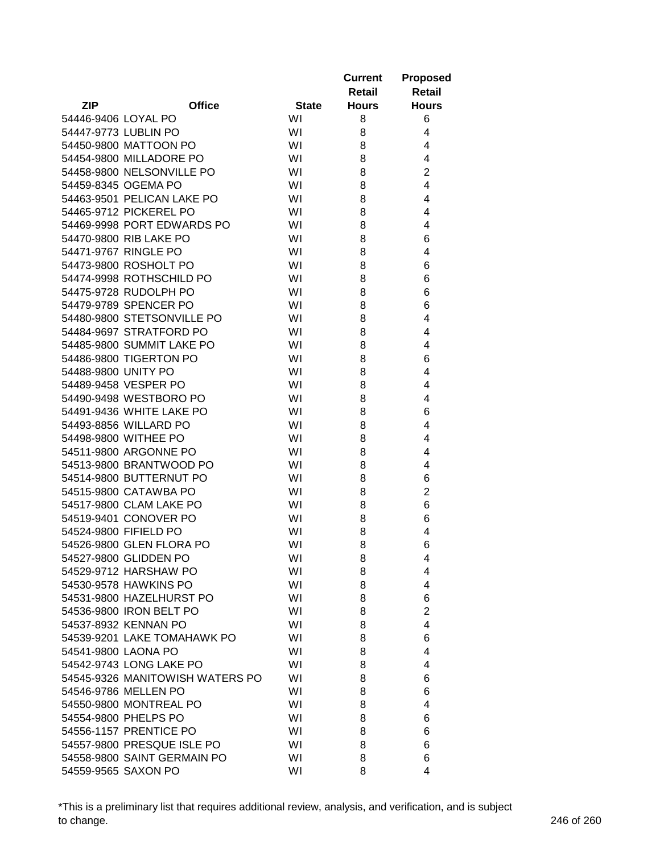| Retail                                                      | <b>Retail</b>  |
|-------------------------------------------------------------|----------------|
| <b>ZIP</b><br><b>Office</b><br><b>State</b><br><b>Hours</b> | <b>Hours</b>   |
| WI<br>54446-9406 LOYAL PO<br>8                              | 6              |
| 54447-9773 LUBLIN PO<br>WI<br>8                             | 4              |
| 54450-9800 MATTOON PO<br>WI<br>8                            | 4              |
| 54454-9800 MILLADORE PO<br>WI<br>8                          | 4              |
| 54458-9800 NELSONVILLE PO<br>WI<br>8                        | $\overline{2}$ |
| 54459-8345 OGEMA PO<br>WI<br>8                              | $\overline{4}$ |
| 8<br>54463-9501 PELICAN LAKE PO<br>WI                       | 4              |
| 54465-9712 PICKEREL PO<br>WI<br>8                           | 4              |
| WI<br>54469-9998 PORT EDWARDS PO<br>8                       | 4              |
| 54470-9800 RIB LAKE PO<br>WI<br>8                           | 6              |
| 54471-9767 RINGLE PO<br>WI<br>8                             | 4              |
| 54473-9800 ROSHOLT PO<br>WI<br>8                            | 6              |
| 54474-9998 ROTHSCHILD PO<br>WI<br>8                         | 6              |
| 54475-9728 RUDOLPH PO<br>WI<br>8                            | 6              |
| 54479-9789 SPENCER PO<br>WI<br>8                            | 6              |
| 54480-9800 STETSONVILLE PO<br>WI<br>8                       | 4              |
| 54484-9697 STRATFORD PO<br>WI<br>8                          | 4              |
| 54485-9800 SUMMIT LAKE PO<br>WI<br>8                        | 4              |
| 54486-9800 TIGERTON PO<br>WI<br>8                           | 6              |
| 54488-9800 UNITY PO<br>WI<br>8                              | 4              |
| WI<br>54489-9458 VESPER PO<br>8                             | 4              |
| 54490-9498 WESTBORO PO<br>WI<br>8                           | 4              |
| 54491-9436 WHITE LAKE PO<br>WI<br>8                         | 6              |
| WI<br>54493-8856 WILLARD PO<br>8                            | 4              |
| WI<br>54498-9800 WITHEE PO<br>8                             | 4              |
| WI<br>54511-9800 ARGONNE PO<br>8                            | 4              |
| 54513-9800 BRANTWOOD PO<br>WI<br>8                          | 4              |
| 54514-9800 BUTTERNUT PO<br>WI<br>8                          | 6              |
| 54515-9800 CATAWBA PO<br>WI<br>8                            | $\overline{2}$ |
| WI<br>54517-9800 CLAM LAKE PO<br>8                          | 6              |
| 54519-9401 CONOVER PO<br>WI<br>8                            | 6              |
| 54524-9800 FIFIELD PO<br>WI<br>8                            | 4              |
| 54526-9800 GLEN FLORA PO<br>WI<br>8                         | 6              |
| 54527-9800 GLIDDEN PO<br>WI<br>8                            | 4              |
| 54529-9712 HARSHAW PO<br>WI<br>8                            | 4              |
| 54530-9578 HAWKINS PO<br>WI<br>8                            | 4              |
| 54531-9800 HAZELHURST PO<br>WI<br>8                         | 6              |
| 54536-9800 IRON BELT PO<br>WI<br>8                          | $\overline{2}$ |
| 54537-8932 KENNAN PO<br>WI<br>8                             | 4              |
| 54539-9201 LAKE TOMAHAWK PO<br>WI<br>8                      | 6              |
| 54541-9800 LAONA PO<br>WI<br>8                              | 4              |
| 54542-9743 LONG LAKE PO<br>WI<br>8                          | 4              |
| 54545-9326 MANITOWISH WATERS PO<br>WI<br>8                  | 6              |
| 54546-9786 MELLEN PO<br>WI<br>8                             | 6              |
| 54550-9800 MONTREAL PO<br>WI<br>8                           | 4              |
| 54554-9800 PHELPS PO<br>WI<br>8                             | 6              |
| 54556-1157 PRENTICE PO<br>WI<br>8                           | 6              |
| 54557-9800 PRESQUE ISLE PO<br>WI<br>8                       | 6              |
|                                                             |                |
| 54558-9800 SAINT GERMAIN PO<br>WI<br>8                      | 6              |

\*This is a preliminary list that requires additional review, analysis, and verification, and is subject to change. 246 of 260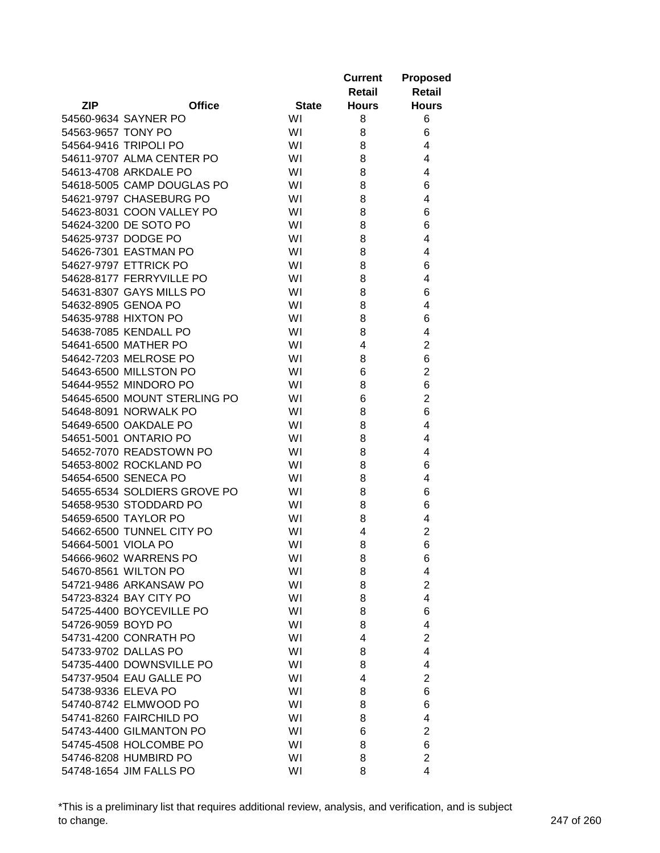|                     |                              |              | <b>Current</b> | <b>Proposed</b> |
|---------------------|------------------------------|--------------|----------------|-----------------|
|                     |                              |              | <b>Retail</b>  | <b>Retail</b>   |
| ZIP                 | <b>Office</b>                | <b>State</b> | <b>Hours</b>   | <b>Hours</b>    |
|                     | 54560-9634 SAYNER PO         | WI           | 8              | 6               |
| 54563-9657 TONY PO  |                              | WI           | 8              | 6               |
|                     | 54564-9416 TRIPOLI PO        | WI           | 8              | 4               |
|                     | 54611-9707 ALMA CENTER PO    | WI           | 8              | 4               |
|                     | 54613-4708 ARKDALE PO        | WI           | 8              | 4               |
|                     | 54618-5005 CAMP DOUGLAS PO   | WI           | 8              | 6               |
|                     | 54621-9797 CHASEBURG PO      | WI           | 8              | 4               |
|                     | 54623-8031 COON VALLEY PO    | WI           | 8              | 6               |
|                     | 54624-3200 DE SOTO PO        | WI           | 8              | 6               |
|                     | 54625-9737 DODGE PO          | WI           | 8              | 4               |
|                     | 54626-7301 EASTMAN PO        | WI           | 8              | 4               |
|                     | 54627-9797 ETTRICK PO        | WI           | 8              | 6               |
|                     | 54628-8177 FERRYVILLE PO     | WI           | 8              | 4               |
|                     | 54631-8307 GAYS MILLS PO     | WI           | 8              | 6               |
|                     | 54632-8905 GENOA PO          | WI           | 8              | 4               |
|                     | 54635-9788 HIXTON PO         | WI           | 8              | 6               |
|                     | 54638-7085 KENDALL PO        | WI           | 8              | 4               |
|                     | 54641-6500 MATHER PO         | WI           | 4              | $\overline{2}$  |
|                     | 54642-7203 MELROSE PO        | WI           | 8              | 6               |
|                     | 54643-6500 MILLSTON PO       | WI           | 6              | $\overline{2}$  |
|                     | 54644-9552 MINDORO PO        | WI           | 8              | 6               |
|                     | 54645-6500 MOUNT STERLING PO | WI           | 6              | $\overline{2}$  |
|                     | 54648-8091 NORWALK PO        | WI           | 8              | 6               |
|                     | 54649-6500 OAKDALE PO        | WI           | 8              | 4               |
|                     | 54651-5001 ONTARIO PO        | WI           | 8              | 4               |
|                     | 54652-7070 READSTOWN PO      | WI           | 8              | 4               |
|                     | 54653-8002 ROCKLAND PO       | WI           | 8              | 6               |
|                     | 54654-6500 SENECA PO         | WI           | 8              | 4               |
|                     | 54655-6534 SOLDIERS GROVE PO | WI           | 8              | 6               |
|                     | 54658-9530 STODDARD PO       | WI           | 8              | 6               |
|                     | 54659-6500 TAYLOR PO         | WI           | 8              | 4               |
|                     | 54662-6500 TUNNEL CITY PO    | WI           | 4              | $\overline{2}$  |
| 54664-5001 VIOLA PO |                              | WI           | 8              | 6               |
|                     | 54666-9602 WARRENS PO        | WI           | 8              | 6               |
|                     | 54670-8561 WILTON PO         | WI           | 8              | 4               |
|                     | 54721-9486 ARKANSAW PO       | WI           | 8              | $\overline{2}$  |
|                     | 54723-8324 BAY CITY PO       | WI           | 8              | $\overline{4}$  |
|                     | 54725-4400 BOYCEVILLE PO     | WI           | 8              | 6               |
| 54726-9059 BOYD PO  |                              | WI           | 8              | 4               |
|                     | 54731-4200 CONRATH PO        | WI           | 4              | $\overline{2}$  |
|                     | 54733-9702 DALLAS PO         | WI           | 8              | 4               |
|                     | 54735-4400 DOWNSVILLE PO     | WI           | 8              | 4               |
|                     | 54737-9504 EAU GALLE PO      | WI           | 4              | $\overline{2}$  |
| 54738-9336 ELEVA PO |                              | WI           | 8              | 6               |
|                     | 54740-8742 ELMWOOD PO        | WI           | 8              | 6               |
|                     | 54741-8260 FAIRCHILD PO      | WI           | 8              | 4               |
|                     | 54743-4400 GILMANTON PO      | WI           | 6              | $\overline{c}$  |
|                     | 54745-4508 HOLCOMBE PO       | WI           | 8              | 6               |
|                     | 54746-8208 HUMBIRD PO        | WI           | 8              | $\overline{2}$  |
|                     | 54748-1654 JIM FALLS PO      | WI           | 8              | 4               |

\*This is a preliminary list that requires additional review, analysis, and verification, and is subject to change. 247 of 260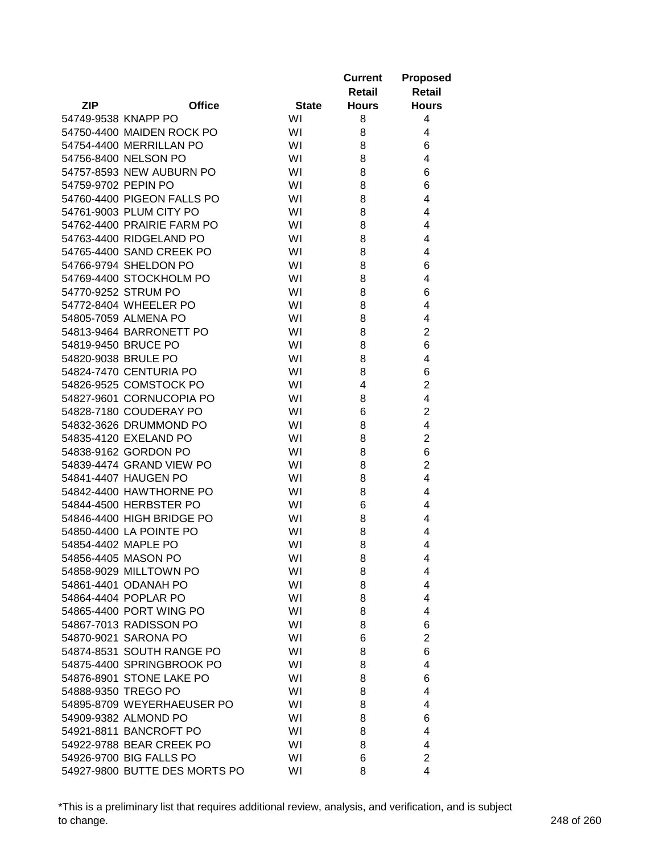|                     |                               |              | <b>Current</b> | <b>Proposed</b>         |
|---------------------|-------------------------------|--------------|----------------|-------------------------|
|                     |                               |              | Retail         | <b>Retail</b>           |
| <b>ZIP</b>          | <b>Office</b>                 | <b>State</b> | <b>Hours</b>   | <b>Hours</b>            |
| 54749-9538 KNAPP PO |                               | WI           | 8              | 4                       |
|                     | 54750-4400 MAIDEN ROCK PO     | WI           | 8              | 4                       |
|                     | 54754-4400 MERRILLAN PO       | WI           | 8              | 6                       |
|                     | 54756-8400 NELSON PO          | WI           | 8              | 4                       |
|                     | 54757-8593 NEW AUBURN PO      | WI           | 8              | 6                       |
| 54759-9702 PEPIN PO |                               | WI           | 8              | 6                       |
|                     | 54760-4400 PIGEON FALLS PO    | WI           | 8              | 4                       |
|                     | 54761-9003 PLUM CITY PO       | WI           | 8              | 4                       |
|                     | 54762-4400 PRAIRIE FARM PO    | WI           | 8              | 4                       |
|                     | 54763-4400 RIDGELAND PO       | WI           | 8              | 4                       |
|                     | 54765-4400 SAND CREEK PO      | WI           | 8              | 4                       |
|                     | 54766-9794 SHELDON PO         | WI           | 8              | 6                       |
|                     | 54769-4400 STOCKHOLM PO       | WI           | 8              | 4                       |
|                     | 54770-9252 STRUM PO           | WI           | 8              | 6                       |
|                     | 54772-8404 WHEELER PO         | WI           | 8              | 4                       |
|                     | 54805-7059 ALMENA PO          | WI           | 8              | 4                       |
|                     | 54813-9464 BARRONETT PO       | WI           | 8              | $\overline{2}$          |
| 54819-9450 BRUCE PO |                               | WI           | 8              | 6                       |
| 54820-9038 BRULE PO |                               | WI           | 8              | 4                       |
|                     | 54824-7470 CENTURIA PO        | WI           | 8              | 6                       |
|                     | 54826-9525 COMSTOCK PO        | WI           | 4              | $\overline{2}$          |
|                     | 54827-9601 CORNUCOPIA PO      | WI           | 8              | $\overline{\mathbf{4}}$ |
|                     | 54828-7180 COUDERAY PO        | WI           | 6              | $\overline{c}$          |
|                     | 54832-3626 DRUMMOND PO        | WI           | 8              | 4                       |
|                     | 54835-4120 EXELAND PO         | WI           | 8              | $\overline{2}$          |
|                     | 54838-9162 GORDON PO          | WI           | 8              | 6                       |
|                     | 54839-4474 GRAND VIEW PO      | WI           | 8              | $\overline{2}$          |
|                     | 54841-4407 HAUGEN PO          | WI           | 8              | 4                       |
|                     | 54842-4400 HAWTHORNE PO       | WI           | 8              | 4                       |
|                     | 54844-4500 HERBSTER PO        | WI           | 6              | 4                       |
|                     | 54846-4400 HIGH BRIDGE PO     | WI           | 8              | 4                       |
|                     | 54850-4400 LA POINTE PO       | WI           | 8              | 4                       |
| 54854-4402 MAPLE PO |                               | WI           | 8              | 4                       |
|                     | 54856-4405 MASON PO           | WI           | 8              | 4                       |
|                     | 54858-9029 MILLTOWN PO        | WI           | 8              | 4                       |
|                     | 54861-4401 ODANAH PO          | WI           | 8              | 4                       |
|                     | 54864-4404 POPLAR PO          | WI           | 8              | 4                       |
|                     | 54865-4400 PORT WING PO       | WI           | 8              | 4                       |
|                     | 54867-7013 RADISSON PO        | WI           | 8              | 6                       |
|                     | 54870-9021 SARONA PO          | WI           | 6              | $\overline{2}$          |
|                     | 54874-8531 SOUTH RANGE PO     | WI           | 8              | 6                       |
|                     | 54875-4400 SPRINGBROOK PO     | WI           | 8              | 4                       |
|                     | 54876-8901 STONE LAKE PO      | WI           | 8              | 6                       |
|                     | 54888-9350 TREGO PO           | WI           | 8              | 4                       |
|                     | 54895-8709 WEYERHAEUSER PO    | WI           | 8              | 4                       |
|                     | 54909-9382 ALMOND PO          | WI           | 8              | 6                       |
|                     | 54921-8811 BANCROFT PO        | WI           | 8              | 4                       |
|                     | 54922-9788 BEAR CREEK PO      | WI           | 8              | 4                       |
|                     | 54926-9700 BIG FALLS PO       | WI           | 6              | $\overline{2}$          |
|                     | 54927-9800 BUTTE DES MORTS PO | WI           | 8              | 4                       |
|                     |                               |              |                |                         |

\*This is a preliminary list that requires additional review, analysis, and verification, and is subject to change. 248 of 260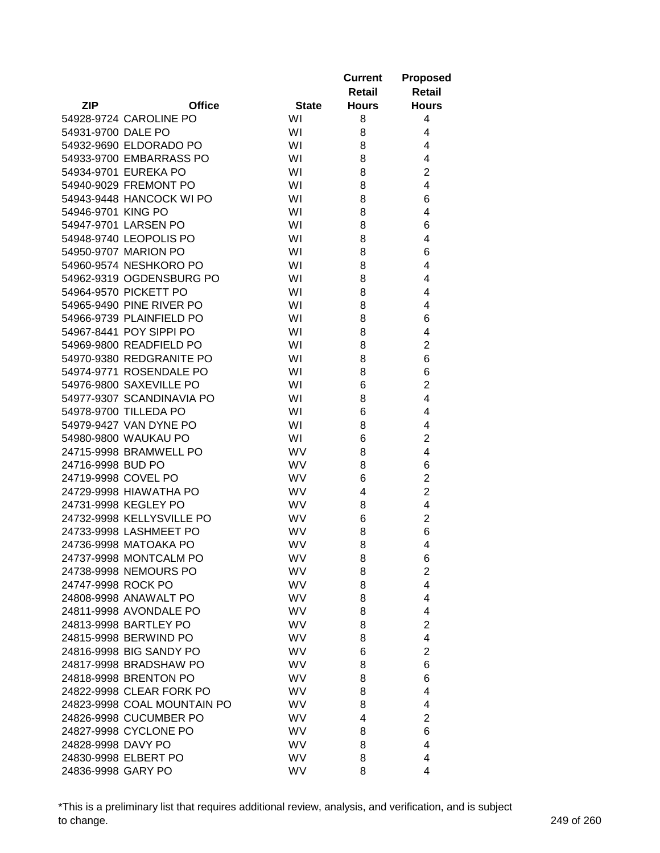|                     |                             |              | <b>Current</b><br>Retail | <b>Proposed</b><br><b>Retail</b> |
|---------------------|-----------------------------|--------------|--------------------------|----------------------------------|
| <b>ZIP</b>          | <b>Office</b>               | <b>State</b> | <b>Hours</b>             | <b>Hours</b>                     |
|                     | 54928-9724 CAROLINE PO      | WI           | 8                        | 4                                |
| 54931-9700 DALE PO  |                             | WI           | 8                        | 4                                |
|                     | 54932-9690 ELDORADO PO      | WI           | 8                        | 4                                |
|                     | 54933-9700 EMBARRASS PO     | WI           | 8                        | 4                                |
|                     | 54934-9701 EUREKA PO        | WI           | 8                        | $\overline{2}$                   |
|                     | 54940-9029 FREMONT PO       | WI           | 8                        | $\overline{4}$                   |
|                     | 54943-9448 HANCOCK WI PO    | WI           | 8                        | 6                                |
| 54946-9701 KING PO  |                             | WI           | 8                        | 4                                |
|                     | 54947-9701 LARSEN PO        | WI           | 8                        | 6                                |
|                     | 54948-9740 LEOPOLIS PO      | WI           | 8                        | 4                                |
|                     | 54950-9707 MARION PO        | WI           | 8                        | 6                                |
|                     | 54960-9574 NESHKORO PO      | WI           | 8                        | 4                                |
|                     | 54962-9319 OGDENSBURG PO    | WI           | 8                        | 4                                |
|                     | 54964-9570 PICKETT PO       | WI           | 8                        | 4                                |
|                     | 54965-9490 PINE RIVER PO    | WI           | 8                        | 4                                |
|                     | 54966-9739 PLAINFIELD PO    | WI           | 8                        | 6                                |
|                     | 54967-8441 POY SIPPI PO     | WI           | 8                        | 4                                |
|                     | 54969-9800 READFIELD PO     | WI           | 8                        | $\overline{2}$                   |
|                     | 54970-9380 REDGRANITE PO    | WI           | 8                        | 6                                |
|                     | 54974-9771 ROSENDALE PO     | WI           |                          | 6                                |
|                     |                             |              | 8                        |                                  |
|                     | 54976-9800 SAXEVILLE PO     | WI           | 6                        | $\overline{2}$                   |
|                     | 54977-9307 SCANDINAVIA PO   | WI           | 8                        | $\overline{4}$                   |
|                     | 54978-9700 TILLEDA PO       | WI           | 6                        | 4                                |
|                     | 54979-9427 VAN DYNE PO      | WI           | 8                        | 4                                |
|                     | 54980-9800 WAUKAU PO        | WI           | 6                        | $\overline{2}$                   |
|                     | 24715-9998 BRAMWELL PO      | <b>WV</b>    | 8                        | 4                                |
| 24716-9998 BUD PO   |                             | <b>WV</b>    | 8                        | 6                                |
| 24719-9998 COVEL PO |                             | <b>WV</b>    | 6                        | $\overline{2}$                   |
|                     | 24729-9998 HIAWATHA PO      | <b>WV</b>    | 4                        | $\overline{2}$                   |
|                     | 24731-9998 KEGLEY PO        | <b>WV</b>    | 8                        | 4                                |
|                     | 24732-9998 KELLYSVILLE PO   | WV           | 6                        | $\overline{2}$                   |
|                     | 24733-9998 LASHMEET PO      | <b>WV</b>    | 8                        | 6                                |
|                     | 24736-9998 MATOAKA PO       | <b>WV</b>    | 8                        | 4                                |
|                     | 24737-9998 MONTCALM PO      | <b>WV</b>    | 8                        | 6                                |
|                     | 24738-9998 NEMOURS PO       | WV           | 8                        | $\overline{2}$                   |
| 24747-9998 ROCK PO  |                             | <b>WV</b>    | 8                        | 4                                |
|                     | 24808-9998 ANAWALT PO       | <b>WV</b>    | 8                        | 4                                |
|                     | 24811-9998 AVONDALE PO      | WV           | 8                        | 4                                |
|                     | 24813-9998 BARTLEY PO       | WV           | 8                        | $\overline{2}$                   |
|                     | 24815-9998 BERWIND PO       | WV           | 8                        | 4                                |
|                     | 24816-9998 BIG SANDY PO     | <b>WV</b>    | 6                        | $\overline{2}$                   |
|                     | 24817-9998 BRADSHAW PO      | <b>WV</b>    | 8                        | 6                                |
|                     | 24818-9998 BRENTON PO       | <b>WV</b>    | 8                        | 6                                |
|                     | 24822-9998 CLEAR FORK PO    | <b>WV</b>    | 8                        | 4                                |
|                     | 24823-9998 COAL MOUNTAIN PO | <b>WV</b>    | 8                        | 4                                |
|                     | 24826-9998 CUCUMBER PO      | WV           | 4                        | 2                                |
|                     | 24827-9998 CYCLONE PO       | WV           | 8                        | 6                                |
| 24828-9998 DAVY PO  |                             | WV           | 8                        | 4                                |
|                     | 24830-9998 ELBERT PO        | <b>WV</b>    | 8                        | 4                                |
| 24836-9998 GARY PO  |                             | WV           | 8                        | 4                                |

\*This is a preliminary list that requires additional review, analysis, and verification, and is subject to change. 249 of 260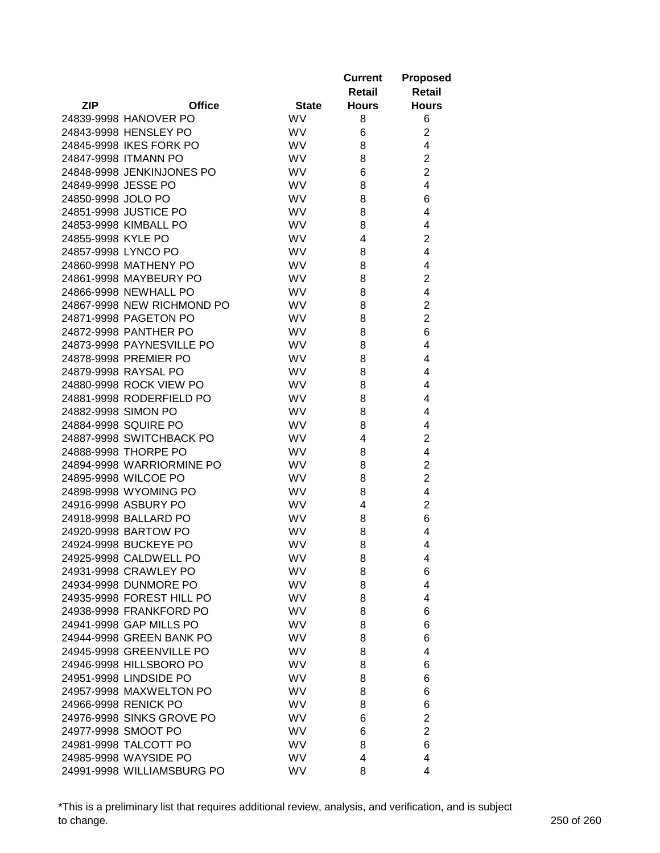|                     |                            |              | <b>Current</b><br>Retail | <b>Proposed</b><br>Retail |
|---------------------|----------------------------|--------------|--------------------------|---------------------------|
| <b>ZIP</b>          | <b>Office</b>              | <b>State</b> | <b>Hours</b>             | <b>Hours</b>              |
|                     | 24839-9998 HANOVER PO      | <b>WV</b>    | 8                        | 6                         |
|                     | 24843-9998 HENSLEY PO      | <b>WV</b>    | 6                        | $\overline{2}$            |
|                     | 24845-9998 IKES FORK PO    | <b>WV</b>    | 8                        | 4                         |
|                     | 24847-9998 ITMANN PO       | <b>WV</b>    | 8                        | $\overline{2}$            |
|                     | 24848-9998 JENKINJONES PO  | <b>WV</b>    | 6                        | $\overline{2}$            |
| 24849-9998 JESSE PO |                            | WV           | 8                        | 4                         |
| 24850-9998 JOLO PO  |                            | <b>WV</b>    | 8                        | 6                         |
|                     | 24851-9998 JUSTICE PO      | WV           | 8                        | 4                         |
|                     | 24853-9998 KIMBALL PO      | WV           | 8                        | 4                         |
| 24855-9998 KYLE PO  |                            | WV           | 4                        | 2                         |
| 24857-9998 LYNCO PO |                            | <b>WV</b>    | 8                        | 4                         |
|                     | 24860-9998 MATHENY PO      | WV           | 8                        | 4                         |
|                     | 24861-9998 MAYBEURY PO     | <b>WV</b>    | 8                        | $\overline{2}$            |
|                     | 24866-9998 NEWHALL PO      | WV           | 8                        | 4                         |
|                     | 24867-9998 NEW RICHMOND PO | WV           | 8                        | $\overline{2}$            |
|                     | 24871-9998 PAGETON PO      | <b>WV</b>    | 8                        | $\overline{2}$            |
|                     | 24872-9998 PANTHER PO      | <b>WV</b>    | 8                        | 6                         |
|                     | 24873-9998 PAYNESVILLE PO  | WV           | 8                        | 4                         |
|                     | 24878-9998 PREMIER PO      | <b>WV</b>    | 8                        | 4                         |
|                     | 24879-9998 RAYSAL PO       | <b>WV</b>    | 8                        | 4                         |
|                     | 24880-9998 ROCK VIEW PO    | WV           | 8                        | 4                         |
|                     | 24881-9998 RODERFIELD PO   | WV           | 8                        | 4                         |
| 24882-9998 SIMON PO |                            | <b>WV</b>    | 8                        | 4                         |
|                     | 24884-9998 SQUIRE PO       | <b>WV</b>    | 8                        | 4                         |
|                     | 24887-9998 SWITCHBACK PO   | <b>WV</b>    | 4                        | $\overline{2}$            |
|                     | 24888-9998 THORPE PO       | <b>WV</b>    | 8                        | 4                         |
|                     | 24894-9998 WARRIORMINE PO  | <b>WV</b>    | 8                        | $\overline{2}$            |
|                     | 24895-9998 WILCOE PO       | <b>WV</b>    | 8                        | $\overline{2}$            |
|                     | 24898-9998 WYOMING PO      | <b>WV</b>    | 8                        | 4                         |
|                     | 24916-9998 ASBURY PO       | WV           | 4                        | $\overline{2}$            |
|                     | 24918-9998 BALLARD PO      | <b>WV</b>    | 8                        | 6                         |
|                     | 24920-9998 BARTOW PO       | <b>WV</b>    | 8                        | 4                         |
|                     | 24924-9998 BUCKEYE PO      | <b>WV</b>    | 8                        | 4                         |
|                     | 24925-9998 CALDWELL PO     | <b>WV</b>    | 8                        | 4                         |
|                     | 24931-9998 CRAWLEY PO      | <b>WV</b>    | 8                        | 6                         |
|                     | 24934-9998 DUNMORE PO      | <b>WV</b>    | 8                        | 4                         |
|                     | 24935-9998 FOREST HILL PO  | <b>WV</b>    | 8                        | 4                         |
|                     | 24938-9998 FRANKFORD PO    | WV           | 8                        | 6                         |
|                     | 24941-9998 GAP MILLS PO    | WV           | 8                        | 6                         |
|                     | 24944-9998 GREEN BANK PO   | <b>WV</b>    | 8                        | 6                         |
|                     | 24945-9998 GREENVILLE PO   | <b>WV</b>    | 8                        | 4                         |
|                     | 24946-9998 HILLSBORO PO    | <b>WV</b>    | 8                        | 6                         |
|                     | 24951-9998 LINDSIDE PO     | <b>WV</b>    | 8                        | 6                         |
|                     | 24957-9998 MAXWELTON PO    | <b>WV</b>    | 8                        | 6                         |
|                     | 24966-9998 RENICK PO       | <b>WV</b>    | 8                        | 6                         |
|                     | 24976-9998 SINKS GROVE PO  | WV           | 6                        | $\overline{2}$            |
|                     | 24977-9998 SMOOT PO        | WV           | 6                        | $\overline{2}$            |
|                     | 24981-9998 TALCOTT PO      | <b>WV</b>    | 8                        | 6                         |
|                     | 24985-9998 WAYSIDE PO      | <b>WV</b>    | 4                        | 4                         |
|                     | 24991-9998 WILLIAMSBURG PO | WV           | 8                        | 4                         |

\*This is a preliminary list that requires additional review, analysis, and verification, and is subject to change. 250 of 260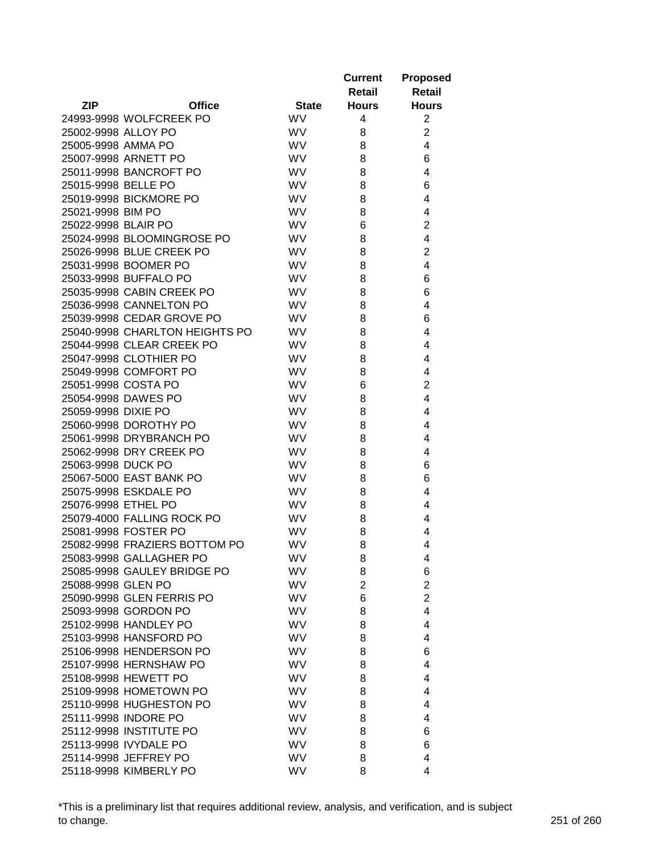|                     |                                |              | <b>Current</b><br>Retail | <b>Proposed</b><br>Retail |
|---------------------|--------------------------------|--------------|--------------------------|---------------------------|
| <b>ZIP</b>          | <b>Office</b>                  | <b>State</b> | <b>Hours</b>             | <b>Hours</b>              |
|                     | 24993-9998 WOLFCREEK PO        | <b>WV</b>    | 4                        | $\overline{2}$            |
| 25002-9998 ALLOY PO |                                | <b>WV</b>    | 8                        | $\overline{2}$            |
| 25005-9998 AMMA PO  |                                | <b>WV</b>    | 8                        | 4                         |
|                     | 25007-9998 ARNETT PO           | <b>WV</b>    | 8                        | 6                         |
|                     | 25011-9998 BANCROFT PO         | <b>WV</b>    | 8                        | 4                         |
| 25015-9998 BELLE PO |                                | WV           | 8                        | 6                         |
|                     | 25019-9998 BICKMORE PO         | <b>WV</b>    | 8                        | 4                         |
| 25021-9998 BIM PO   |                                | WV           | 8                        | 4                         |
| 25022-9998 BLAIR PO |                                | <b>WV</b>    | 6                        | $\overline{2}$            |
|                     | 25024-9998 BLOOMINGROSE PO     | <b>WV</b>    | 8                        | 4                         |
|                     | 25026-9998 BLUE CREEK PO       | <b>WV</b>    | 8                        | $\overline{2}$            |
|                     | 25031-9998 BOOMER PO           | <b>WV</b>    | 8                        | 4                         |
|                     | 25033-9998 BUFFALO PO          | <b>WV</b>    | 8                        | 6                         |
|                     | 25035-9998 CABIN CREEK PO      | <b>WV</b>    | 8                        | 6                         |
|                     | 25036-9998 CANNELTON PO        | <b>WV</b>    | 8                        | 4                         |
|                     | 25039-9998 CEDAR GROVE PO      | <b>WV</b>    | 8                        | 6                         |
|                     | 25040-9998 CHARLTON HEIGHTS PO | <b>WV</b>    | 8                        | 4                         |
|                     | 25044-9998 CLEAR CREEK PO      | <b>WV</b>    | 8                        | 4                         |
|                     | 25047-9998 CLOTHIER PO         | <b>WV</b>    |                          |                           |
|                     |                                |              | 8                        | 4                         |
|                     | 25049-9998 COMFORT PO          | <b>WV</b>    | 8                        | 4                         |
| 25051-9998 COSTA PO |                                | <b>WV</b>    | 6                        | $\overline{2}$            |
|                     | 25054-9998 DAWES PO            | WV           | 8                        | 4                         |
| 25059-9998 DIXIE PO |                                | <b>WV</b>    | 8                        | 4                         |
|                     | 25060-9998 DOROTHY PO          | <b>WV</b>    | 8                        | 4                         |
|                     | 25061-9998 DRYBRANCH PO        | <b>WV</b>    | 8                        | 4                         |
|                     | 25062-9998 DRY CREEK PO        | <b>WV</b>    | 8                        | 4                         |
| 25063-9998 DUCK PO  |                                | <b>WV</b>    | 8                        | 6                         |
|                     | 25067-5000 EAST BANK PO        | <b>WV</b>    | 8                        | 6                         |
|                     | 25075-9998 ESKDALE PO          | <b>WV</b>    | 8                        | 4                         |
| 25076-9998 ETHEL PO |                                | <b>WV</b>    | 8                        | 4                         |
|                     | 25079-4000 FALLING ROCK PO     | <b>WV</b>    | 8                        | 4                         |
|                     | 25081-9998 FOSTER PO           | <b>WV</b>    | 8                        | 4                         |
|                     | 25082-9998 FRAZIERS BOTTOM PO  | <b>WV</b>    | 8                        | 4                         |
|                     | 25083-9998 GALLAGHER PO        | WV.          | 8                        | 4                         |
|                     | 25085-9998 GAULEY BRIDGE PO    | <b>WV</b>    | 8                        | 6                         |
| 25088-9998 GLEN PO  |                                | WV.          | $\overline{2}$           | $\overline{2}$            |
|                     | 25090-9998 GLEN FERRIS PO      | <b>WV</b>    | 6                        | $\overline{2}$            |
|                     | 25093-9998 GORDON PO           | <b>WV</b>    | 8                        | $\overline{4}$            |
|                     | 25102-9998 HANDLEY PO          | <b>WV</b>    | 8                        | 4                         |
|                     | 25103-9998 HANSFORD PO         | <b>WV</b>    | 8                        | 4                         |
|                     | 25106-9998 HENDERSON PO        | <b>WV</b>    | 8                        | 6                         |
|                     | 25107-9998 HERNSHAW PO         | <b>WV</b>    | 8                        | 4                         |
|                     | 25108-9998 HEWETT PO           | <b>WV</b>    | 8                        | 4                         |
|                     | 25109-9998 HOMETOWN PO         | <b>WV</b>    | 8                        | 4                         |
|                     | 25110-9998 HUGHESTON PO        | <b>WV</b>    | 8                        | 4                         |
|                     | 25111-9998 INDORE PO           | <b>WV</b>    | 8                        | 4                         |
|                     | 25112-9998 INSTITUTE PO        | WV.          | 8                        | 6                         |
|                     | 25113-9998 IVYDALE PO          | <b>WV</b>    | 8                        | 6                         |
|                     | 25114-9998 JEFFREY PO          | WV.          | 8                        | 4                         |
|                     | 25118-9998 KIMBERLY PO         | WV           | 8                        | 4                         |

\*This is a preliminary list that requires additional review, analysis, and verification, and is subject to change. 251 of 260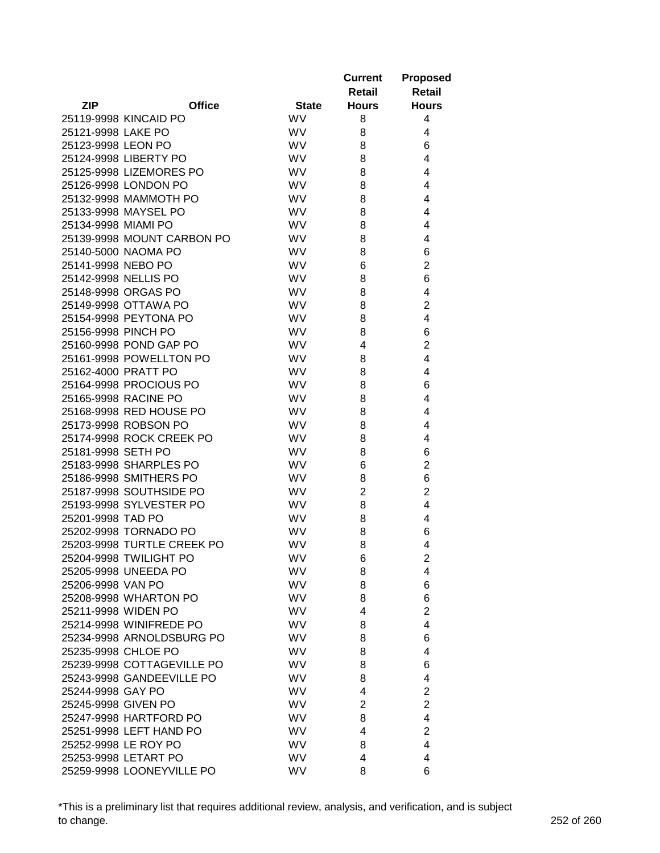|                     |                            |              | <b>Current</b><br>Retail | <b>Proposed</b><br><b>Retail</b> |
|---------------------|----------------------------|--------------|--------------------------|----------------------------------|
| <b>ZIP</b>          | <b>Office</b>              | <b>State</b> | <b>Hours</b>             | <b>Hours</b>                     |
|                     | 25119-9998 KINCAID PO      | <b>WV</b>    | 8                        | 4                                |
| 25121-9998 LAKE PO  |                            | <b>WV</b>    | 8                        | 4                                |
| 25123-9998 LEON PO  |                            | <b>WV</b>    | 8                        | 6                                |
|                     | 25124-9998 LIBERTY PO      | <b>WV</b>    | 8                        | 4                                |
|                     | 25125-9998 LIZEMORES PO    | <b>WV</b>    | 8                        | 4                                |
|                     | 25126-9998 LONDON PO       | <b>WV</b>    | 8                        | 4                                |
|                     | 25132-9998 MAMMOTH PO      | <b>WV</b>    | 8                        | 4                                |
|                     | 25133-9998 MAYSEL PO       | WV           | 8                        | 4                                |
| 25134-9998 MIAMI PO |                            | WV           | 8                        | 4                                |
|                     | 25139-9998 MOUNT CARBON PO | WV           | 8                        | 4                                |
|                     | 25140-5000 NAOMA PO        | <b>WV</b>    | 8                        | 6                                |
| 25141-9998 NEBO PO  |                            | WV           | 6                        | $\overline{2}$                   |
|                     | 25142-9998 NELLIS PO       | <b>WV</b>    | 8                        | 6                                |
|                     | 25148-9998 ORGAS PO        | WV           | 8                        | 4                                |
|                     | 25149-9998 OTTAWA PO       | WV           | 8                        | $\overline{2}$                   |
|                     | 25154-9998 PEYTONA PO      | WV           | 8                        | 4                                |
| 25156-9998 PINCH PO |                            | <b>WV</b>    | 8                        | 6                                |
|                     | 25160-9998 POND GAP PO     | WV           | 4                        | $\overline{c}$                   |
|                     | 25161-9998 POWELLTON PO    | <b>WV</b>    | 8                        | 4                                |
| 25162-4000 PRATT PO |                            | <b>WV</b>    | 8                        | 4                                |
|                     |                            | <b>WV</b>    |                          |                                  |
|                     | 25164-9998 PROCIOUS PO     |              | 8                        | 6                                |
|                     | 25165-9998 RACINE PO       | <b>WV</b>    | 8                        | 4                                |
|                     | 25168-9998 RED HOUSE PO    | <b>WV</b>    | 8                        | 4                                |
|                     | 25173-9998 ROBSON PO       | <b>WV</b>    | 8                        | 4                                |
|                     | 25174-9998 ROCK CREEK PO   | <b>WV</b>    | 8                        | 4                                |
| 25181-9998 SETH PO  |                            | <b>WV</b>    | 8                        | 6                                |
|                     | 25183-9998 SHARPLES PO     | <b>WV</b>    | 6                        | $\overline{2}$                   |
|                     | 25186-9998 SMITHERS PO     | <b>WV</b>    | 8                        | 6                                |
|                     | 25187-9998 SOUTHSIDE PO    | <b>WV</b>    | $\overline{2}$           | $\overline{2}$                   |
|                     | 25193-9998 SYLVESTER PO    | <b>WV</b>    | 8                        | 4                                |
| 25201-9998 TAD PO   |                            | <b>WV</b>    | 8                        | 4                                |
|                     | 25202-9998 TORNADO PO      | <b>WV</b>    | 8                        | 6                                |
|                     | 25203-9998 TURTLE CREEK PO | WV           | 8                        | 4                                |
|                     | 25204-9998 TWILIGHT PO     | <b>WV</b>    | 6                        | 2                                |
|                     | 25205-9998 UNEEDA PO       | <b>WV</b>    | 8                        | 4                                |
| 25206-9998 VAN PO   |                            | <b>WV</b>    | 8                        | 6                                |
|                     | 25208-9998 WHARTON PO      | <b>WV</b>    | 8                        | 6                                |
| 25211-9998 WIDEN PO |                            | WV           | 4                        | $\overline{2}$                   |
|                     | 25214-9998 WINIFREDE PO    | <b>WV</b>    | 8                        | 4                                |
|                     | 25234-9998 ARNOLDSBURG PO  | <b>WV</b>    | 8                        | 6                                |
| 25235-9998 CHLOE PO |                            | <b>WV</b>    | 8                        | 4                                |
|                     | 25239-9998 COTTAGEVILLE PO | <b>WV</b>    | 8                        | 6                                |
|                     | 25243-9998 GANDEEVILLE PO  | <b>WV</b>    | 8                        | 4                                |
| 25244-9998 GAY PO   |                            | <b>WV</b>    | 4                        | $\overline{2}$                   |
| 25245-9998 GIVEN PO |                            | <b>WV</b>    | 2                        | $\overline{2}$                   |
|                     | 25247-9998 HARTFORD PO     | WV           | 8                        | 4                                |
|                     | 25251-9998 LEFT HAND PO    | WV           | 4                        | 2                                |
|                     | 25252-9998 LE ROY PO       | <b>WV</b>    | 8                        | 4                                |
|                     | 25253-9998 LETART PO       | <b>WV</b>    | 4                        | 4                                |
|                     | 25259-9998 LOONEYVILLE PO  | WV           | 8                        | 6                                |

\*This is a preliminary list that requires additional review, analysis, and verification, and is subject to change. 252 of 260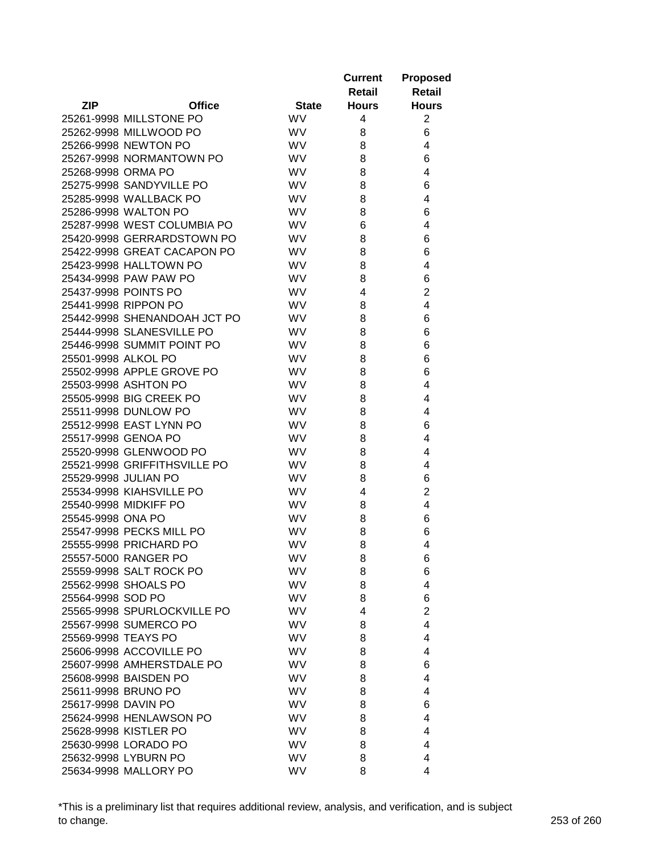|                      |                              |              | <b>Current</b><br>Retail | <b>Proposed</b><br>Retail |
|----------------------|------------------------------|--------------|--------------------------|---------------------------|
| <b>ZIP</b>           | <b>Office</b>                | <b>State</b> | <b>Hours</b>             | <b>Hours</b>              |
|                      | 25261-9998 MILLSTONE PO      | <b>WV</b>    | 4                        | $\overline{2}$            |
|                      | 25262-9998 MILLWOOD PO       | <b>WV</b>    | 8                        | 6                         |
|                      | 25266-9998 NEWTON PO         | <b>WV</b>    | 8                        | 4                         |
|                      | 25267-9998 NORMANTOWN PO     | <b>WV</b>    | 8                        | 6                         |
| 25268-9998 ORMA PO   |                              | <b>WV</b>    | 8                        | 4                         |
|                      | 25275-9998 SANDYVILLE PO     | <b>WV</b>    | 8                        | 6                         |
|                      | 25285-9998 WALLBACK PO       | <b>WV</b>    | 8                        | 4                         |
|                      | 25286-9998 WALTON PO         | <b>WV</b>    | 8                        | 6                         |
|                      | 25287-9998 WEST COLUMBIA PO  | <b>WV</b>    | 6                        | 4                         |
|                      | 25420-9998 GERRARDSTOWN PO   | <b>WV</b>    | 8                        | 6                         |
|                      | 25422-9998 GREAT CACAPON PO  | <b>WV</b>    | 8                        | 6                         |
|                      | 25423-9998 HALLTOWN PO       | <b>WV</b>    | 8                        | 4                         |
|                      | 25434-9998 PAW PAW PO        | <b>WV</b>    | 8                        | 6                         |
|                      | 25437-9998 POINTS PO         | <b>WV</b>    | 4                        | $\overline{2}$            |
|                      | 25441-9998 RIPPON PO         | WV           | 8                        | 4                         |
|                      | 25442-9998 SHENANDOAH JCT PO | <b>WV</b>    | 8                        | 6                         |
|                      | 25444-9998 SLANESVILLE PO    | <b>WV</b>    | 8                        | 6                         |
|                      | 25446-9998 SUMMIT POINT PO   | <b>WV</b>    | 8                        | 6                         |
| 25501-9998 ALKOL PO  |                              | <b>WV</b>    | 8                        | 6                         |
|                      | 25502-9998 APPLE GROVE PO    | <b>WV</b>    | 8                        | 6                         |
|                      | 25503-9998 ASHTON PO         | WV           | 8                        | 4                         |
|                      | 25505-9998 BIG CREEK PO      | <b>WV</b>    | 8                        | 4                         |
|                      | 25511-9998 DUNLOW PO         | <b>WV</b>    | 8                        | 4                         |
|                      | 25512-9998 EAST LYNN PO      | <b>WV</b>    | 8                        | 6                         |
|                      | 25517-9998 GENOA PO          | <b>WV</b>    | 8                        | 4                         |
|                      | 25520-9998 GLENWOOD PO       | <b>WV</b>    | 8                        | 4                         |
|                      | 25521-9998 GRIFFITHSVILLE PO | <b>WV</b>    | 8                        | 4                         |
| 25529-9998 JULIAN PO |                              | <b>WV</b>    | 8                        | 6                         |
|                      | 25534-9998 KIAHSVILLE PO     | <b>WV</b>    | 4                        | $\overline{2}$            |
|                      | 25540-9998 MIDKIFF PO        | WV           | 8                        | 4                         |
| 25545-9998 ONA PO    |                              | <b>WV</b>    | 8                        | 6                         |
|                      | 25547-9998 PECKS MILL PO     | <b>WV</b>    | 8                        | 6                         |
|                      | 25555-9998 PRICHARD PO       | <b>WV</b>    | 8                        | 4                         |
|                      | 25557-5000 RANGER PO         | <b>WV</b>    | 8                        | 6                         |
|                      | 25559-9998 SALT ROCK PO      | WV.          | 8                        | 6                         |
|                      | 25562-9998 SHOALS PO         | <b>WV</b>    | 8                        | 4                         |
| 25564-9998 SOD PO    |                              | <b>WV</b>    | 8                        | 6                         |
|                      | 25565-9998 SPURLOCKVILLE PO  | <b>WV</b>    | 4                        | $\overline{2}$            |
|                      | 25567-9998 SUMERCO PO        | WV           | 8                        | 4                         |
| 25569-9998 TEAYS PO  |                              | <b>WV</b>    | 8                        | 4                         |
|                      | 25606-9998 ACCOVILLE PO      | <b>WV</b>    | 8                        | 4                         |
|                      | 25607-9998 AMHERSTDALE PO    | <b>WV</b>    | 8                        | 6                         |
|                      | 25608-9998 BAISDEN PO        | <b>WV</b>    | 8                        | 4                         |
|                      | 25611-9998 BRUNO PO          | <b>WV</b>    | 8                        | 4                         |
| 25617-9998 DAVIN PO  |                              | <b>WV</b>    | 8                        | 6                         |
|                      | 25624-9998 HENLAWSON PO      | WV           | 8                        | 4                         |
|                      | 25628-9998 KISTLER PO        | <b>WV</b>    | 8                        | 4                         |
|                      | 25630-9998 LORADO PO         | <b>WV</b>    | 8                        | 4                         |
|                      | 25632-9998 LYBURN PO         | <b>WV</b>    | 8                        | 4                         |
|                      | 25634-9998 MALLORY PO        | WV           | 8                        | 4                         |

\*This is a preliminary list that requires additional review, analysis, and verification, and is subject to change. 253 of 260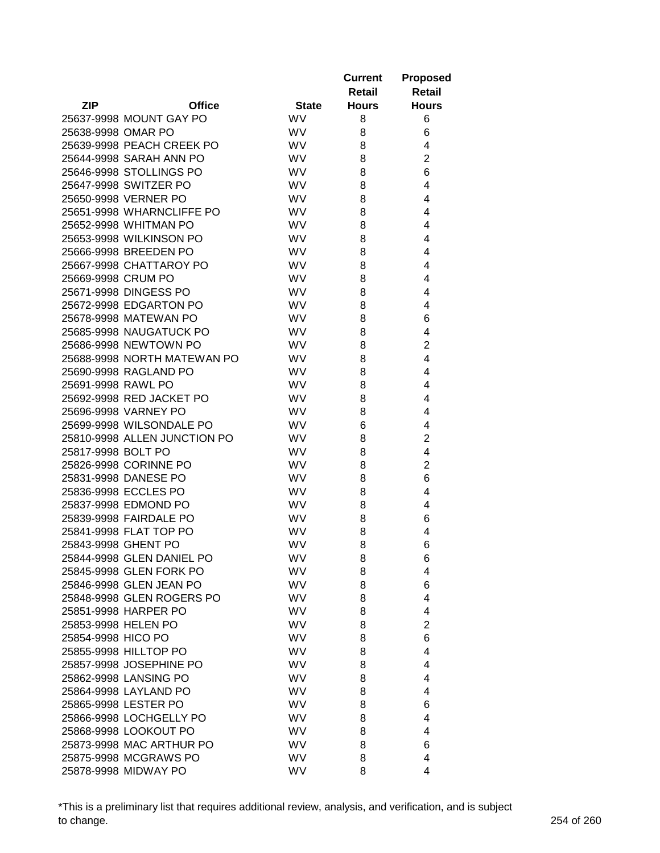|                     |                              |              | <b>Current</b><br>Retail | <b>Proposed</b><br><b>Retail</b> |
|---------------------|------------------------------|--------------|--------------------------|----------------------------------|
| <b>ZIP</b>          | <b>Office</b>                | <b>State</b> | <b>Hours</b>             | <b>Hours</b>                     |
|                     | 25637-9998 MOUNT GAY PO      | <b>WV</b>    | 8                        | 6                                |
| 25638-9998 OMAR PO  |                              | <b>WV</b>    | 8                        | 6                                |
|                     | 25639-9998 PEACH CREEK PO    | <b>WV</b>    | 8                        | 4                                |
|                     | 25644-9998 SARAH ANN PO      | <b>WV</b>    | 8                        | $\overline{2}$                   |
|                     | 25646-9998 STOLLINGS PO      | <b>WV</b>    | 8                        | 6                                |
|                     | 25647-9998 SWITZER PO        | WV           | 8                        | 4                                |
|                     | 25650-9998 VERNER PO         | WV           | 8                        | 4                                |
|                     | 25651-9998 WHARNCLIFFE PO    | WV           | 8                        | 4                                |
|                     | 25652-9998 WHITMAN PO        | WV           | 8                        | 4                                |
|                     | 25653-9998 WILKINSON PO      | WV           | 8                        | 4                                |
|                     | 25666-9998 BREEDEN PO        | <b>WV</b>    | 8                        | 4                                |
|                     | 25667-9998 CHATTAROY PO      | <b>WV</b>    | 8                        | 4                                |
| 25669-9998 CRUM PO  |                              | <b>WV</b>    | 8                        | 4                                |
|                     | 25671-9998 DINGESS PO        | <b>WV</b>    | 8                        | 4                                |
|                     | 25672-9998 EDGARTON PO       | WV           | 8                        | 4                                |
|                     | 25678-9998 MATEWAN PO        | <b>WV</b>    | 8                        | 6                                |
|                     | 25685-9998 NAUGATUCK PO      | <b>WV</b>    | 8                        | 4                                |
|                     | 25686-9998 NEWTOWN PO        | WV           | 8                        | 2                                |
|                     | 25688-9998 NORTH MATEWAN PO  | <b>WV</b>    | 8                        | 4                                |
|                     | 25690-9998 RAGLAND PO        | <b>WV</b>    | 8                        | 4                                |
| 25691-9998 RAWL PO  |                              | <b>WV</b>    | 8                        | 4                                |
|                     | 25692-9998 RED JACKET PO     | <b>WV</b>    | 8                        | 4                                |
|                     | 25696-9998 VARNEY PO         | <b>WV</b>    | 8                        | 4                                |
|                     | 25699-9998 WILSONDALE PO     | <b>WV</b>    | 6                        | 4                                |
|                     | 25810-9998 ALLEN JUNCTION PO | <b>WV</b>    | 8                        | $\overline{2}$                   |
| 25817-9998 BOLT PO  |                              | <b>WV</b>    | 8                        | 4                                |
|                     | 25826-9998 CORINNE PO        | <b>WV</b>    | 8                        | $\overline{2}$                   |
|                     | 25831-9998 DANESE PO         | <b>WV</b>    | 8                        | 6                                |
|                     | 25836-9998 ECCLES PO         | <b>WV</b>    | 8                        | 4                                |
|                     | 25837-9998 EDMOND PO         | WV           | 8                        | 4                                |
|                     | 25839-9998 FAIRDALE PO       | <b>WV</b>    | 8                        | 6                                |
|                     | 25841-9998 FLAT TOP PO       | <b>WV</b>    | 8                        | 4                                |
| 25843-9998 GHENT PO |                              | <b>WV</b>    | 8                        | 6                                |
|                     | 25844-9998 GLEN DANIEL PO    | <b>WV</b>    | 8                        | 6                                |
|                     | 25845-9998 GLEN FORK PO      | <b>WV</b>    | 8                        | 4                                |
|                     | 25846-9998 GLEN JEAN PO      | <b>WV</b>    | 8                        | 6                                |
|                     | 25848-9998 GLEN ROGERS PO    | <b>WV</b>    | 8                        | 4                                |
|                     | 25851-9998 HARPER PO         | WV           | 8                        | 4                                |
| 25853-9998 HELEN PO |                              | WV           | 8                        | $\overline{2}$                   |
| 25854-9998 HICO PO  |                              | <b>WV</b>    | 8                        | 6                                |
|                     | 25855-9998 HILLTOP PO        | <b>WV</b>    | 8                        | 4                                |
|                     | 25857-9998 JOSEPHINE PO      | <b>WV</b>    | 8                        | 4                                |
|                     | 25862-9998 LANSING PO        | <b>WV</b>    | 8                        | 4                                |
|                     | 25864-9998 LAYLAND PO        | <b>WV</b>    | 8                        | 4                                |
|                     | 25865-9998 LESTER PO         | <b>WV</b>    | 8                        | 6                                |
|                     | 25866-9998 LOCHGELLY PO      | WV           | 8                        | 4                                |
|                     | 25868-9998 LOOKOUT PO        | WV           | 8                        | 4                                |
|                     | 25873-9998 MAC ARTHUR PO     | <b>WV</b>    | 8                        | 6                                |
|                     | 25875-9998 MCGRAWS PO        | <b>WV</b>    | 8                        | 4                                |
|                     | 25878-9998 MIDWAY PO         | WV           | 8                        | 4                                |

\*This is a preliminary list that requires additional review, analysis, and verification, and is subject to change. 254 of 260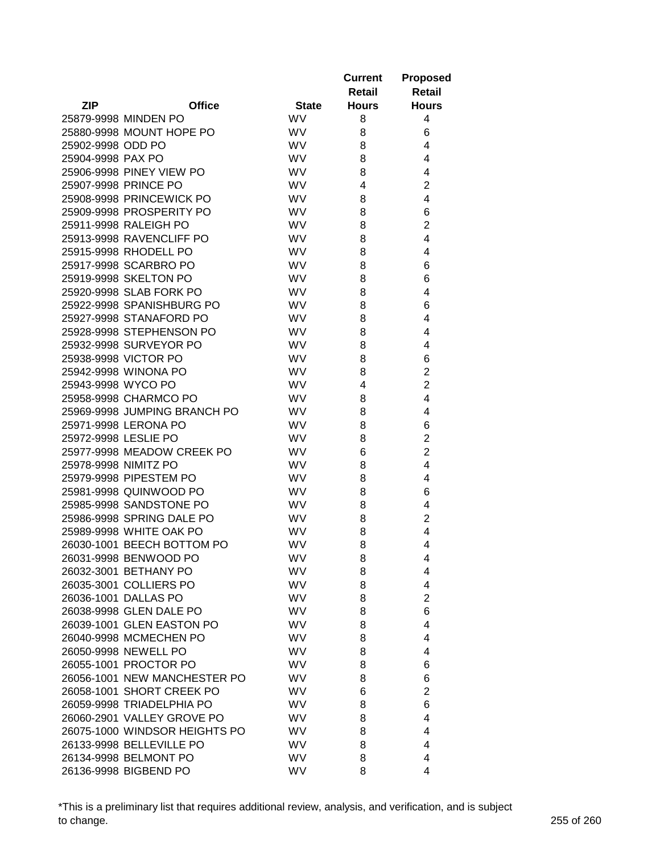|                      |                               |              | <b>Current</b><br>Retail | <b>Proposed</b><br>Retail |
|----------------------|-------------------------------|--------------|--------------------------|---------------------------|
| <b>ZIP</b>           | <b>Office</b>                 | <b>State</b> | <b>Hours</b>             | <b>Hours</b>              |
|                      | 25879-9998 MINDEN PO          | <b>WV</b>    | 8                        | 4                         |
|                      | 25880-9998 MOUNT HOPE PO      | <b>WV</b>    | 8                        | 6                         |
| 25902-9998 ODD PO    |                               | <b>WV</b>    | 8                        | 4                         |
| 25904-9998 PAX PO    |                               | WV           | 8                        | 4                         |
|                      | 25906-9998 PINEY VIEW PO      | <b>WV</b>    | 8                        | 4                         |
|                      | 25907-9998 PRINCE PO          | <b>WV</b>    | 4                        | $\overline{2}$            |
|                      | 25908-9998 PRINCEWICK PO      | <b>WV</b>    | 8                        | 4                         |
|                      | 25909-9998 PROSPERITY PO      | <b>WV</b>    | 8                        | 6                         |
|                      | 25911-9998 RALEIGH PO         | WV           | 8                        | $\overline{2}$            |
|                      | 25913-9998 RAVENCLIFF PO      | WV           | 8                        | 4                         |
|                      | 25915-9998 RHODELL PO         | <b>WV</b>    | 8                        | 4                         |
|                      | 25917-9998 SCARBRO PO         | <b>WV</b>    | 8                        | 6                         |
|                      | 25919-9998 SKELTON PO         | <b>WV</b>    | 8                        | 6                         |
|                      | 25920-9998 SLAB FORK PO       | <b>WV</b>    | 8                        | 4                         |
|                      | 25922-9998 SPANISHBURG PO     | WV           | 8                        | 6                         |
|                      | 25927-9998 STANAFORD PO       | <b>WV</b>    | 8                        | 4                         |
|                      | 25928-9998 STEPHENSON PO      | <b>WV</b>    | 8                        | 4                         |
|                      | 25932-9998 SURVEYOR PO        | <b>WV</b>    | 8                        | 4                         |
|                      | 25938-9998 VICTOR PO          | <b>WV</b>    | 8                        | 6                         |
|                      | 25942-9998 WINONA PO          | <b>WV</b>    | 8                        | $\overline{2}$            |
| 25943-9998 WYCO PO   |                               | WV           | 4                        | $\overline{2}$            |
|                      | 25958-9998 CHARMCO PO         | WV           | 8                        | 4                         |
|                      | 25969-9998 JUMPING BRANCH PO  | <b>WV</b>    | 8                        | 4                         |
|                      | 25971-9998 LERONA PO          | <b>WV</b>    | 8                        | 6                         |
| 25972-9998 LESLIE PO |                               | WV           | 8                        | $\overline{2}$            |
|                      | 25977-9998 MEADOW CREEK PO    | <b>WV</b>    | 6                        | $\overline{2}$            |
| 25978-9998 NIMITZ PO |                               | <b>WV</b>    | 8                        | 4                         |
|                      | 25979-9998 PIPESTEM PO        | <b>WV</b>    | 8                        | 4                         |
|                      | 25981-9998 QUINWOOD PO        | <b>WV</b>    | 8                        | 6                         |
|                      | 25985-9998 SANDSTONE PO       | <b>WV</b>    | 8                        | 4                         |
|                      | 25986-9998 SPRING DALE PO     | <b>WV</b>    | 8                        | $\overline{2}$            |
|                      | 25989-9998 WHITE OAK PO       | <b>WV</b>    | 8                        | 4                         |
|                      | 26030-1001 BEECH BOTTOM PO    | <b>WV</b>    | 8                        | 4                         |
|                      | 26031-9998 BENWOOD PO         | <b>WV</b>    | 8                        | 4                         |
|                      | 26032-3001 BETHANY PO         | <b>WV</b>    | 8                        | 4                         |
|                      | 26035-3001 COLLIERS PO        | <b>WV</b>    | 8                        | 4                         |
|                      | 26036-1001 DALLAS PO          | <b>WV</b>    | 8                        | $\overline{2}$            |
|                      | 26038-9998 GLEN DALE PO       | WV           | 8                        | 6                         |
|                      | 26039-1001 GLEN EASTON PO     | WV           | 8                        | 4                         |
|                      | 26040-9998 MCMECHEN PO        | <b>WV</b>    | 8                        | 4                         |
|                      | 26050-9998 NEWELL PO          | <b>WV</b>    | 8                        | 4                         |
|                      | 26055-1001 PROCTOR PO         | <b>WV</b>    | 8                        | 6                         |
|                      | 26056-1001 NEW MANCHESTER PO  | <b>WV</b>    | 8                        | 6                         |
|                      | 26058-1001 SHORT CREEK PO     | <b>WV</b>    | 6                        | $\overline{2}$            |
|                      | 26059-9998 TRIADELPHIA PO     | <b>WV</b>    | 8                        | 6                         |
|                      | 26060-2901 VALLEY GROVE PO    | <b>WV</b>    | 8                        | 4                         |
|                      | 26075-1000 WINDSOR HEIGHTS PO | <b>WV</b>    | 8                        | 4                         |
|                      | 26133-9998 BELLEVILLE PO      | <b>WV</b>    | 8                        | 4                         |
|                      | 26134-9998 BELMONT PO         | <b>WV</b>    | 8                        | 4                         |
|                      | 26136-9998 BIGBEND PO         | WV           | 8                        | 4                         |

\*This is a preliminary list that requires additional review, analysis, and verification, and is subject to change. 255 of 260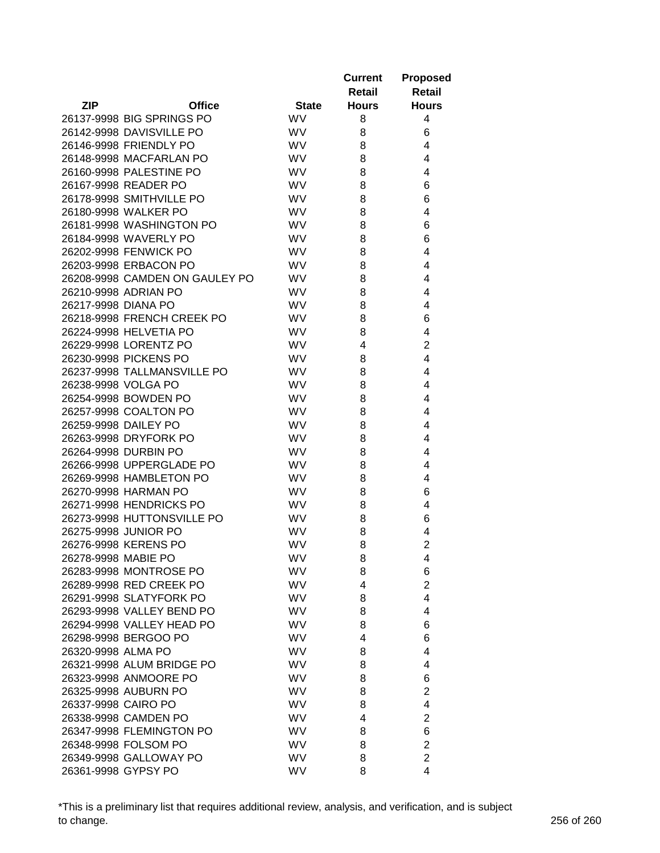|                     |                                |              | <b>Current</b> | <b>Proposed</b> |
|---------------------|--------------------------------|--------------|----------------|-----------------|
|                     |                                |              | Retail         | Retail          |
| <b>ZIP</b>          | <b>Office</b>                  | <b>State</b> | <b>Hours</b>   | <b>Hours</b>    |
|                     | 26137-9998 BIG SPRINGS PO      | <b>WV</b>    | 8              | 4               |
|                     | 26142-9998 DAVISVILLE PO       | <b>WV</b>    | 8              | 6               |
|                     | 26146-9998 FRIENDLY PO         | <b>WV</b>    | 8              | 4               |
|                     | 26148-9998 MACFARLAN PO        | <b>WV</b>    | 8              | 4               |
|                     | 26160-9998 PALESTINE PO        | <b>WV</b>    | 8              | 4               |
|                     | 26167-9998 READER PO           | <b>WV</b>    | 8              | 6               |
|                     | 26178-9998 SMITHVILLE PO       | <b>WV</b>    | 8              | 6               |
|                     | 26180-9998 WALKER PO           | <b>WV</b>    | 8              | 4               |
|                     | 26181-9998 WASHINGTON PO       | <b>WV</b>    | 8              | 6               |
|                     | 26184-9998 WAVERLY PO          | <b>WV</b>    | 8              | 6               |
|                     | 26202-9998 FENWICK PO          | <b>WV</b>    | 8              | 4               |
|                     | 26203-9998 ERBACON PO          | <b>WV</b>    | 8              | 4               |
|                     | 26208-9998 CAMDEN ON GAULEY PO | <b>WV</b>    | 8              | 4               |
|                     | 26210-9998 ADRIAN PO           | <b>WV</b>    | 8              | 4               |
| 26217-9998 DIANA PO |                                | <b>WV</b>    | 8              | 4               |
|                     | 26218-9998 FRENCH CREEK PO     | <b>WV</b>    | 8              | 6               |
|                     | 26224-9998 HELVETIA PO         | <b>WV</b>    | 8              | 4               |
|                     | 26229-9998 LORENTZ PO          | <b>WV</b>    | 4              | $\overline{2}$  |
|                     | 26230-9998 PICKENS PO          | <b>WV</b>    | 8              | 4               |
|                     | 26237-9998 TALLMANSVILLE PO    | <b>WV</b>    | 8              | 4               |
| 26238-9998 VOLGA PO |                                | <b>WV</b>    | 8              | 4               |
|                     | 26254-9998 BOWDEN PO           | <b>WV</b>    | 8              | 4               |
|                     | 26257-9998 COALTON PO          | <b>WV</b>    | 8              | 4               |
|                     | 26259-9998 DAILEY PO           | WV           | 8              | 4               |
|                     | 26263-9998 DRYFORK PO          | <b>WV</b>    | 8              | 4               |
|                     | 26264-9998 DURBIN PO           | <b>WV</b>    | 8              | 4               |
|                     | 26266-9998 UPPERGLADE PO       | <b>WV</b>    | 8              | 4               |
|                     | 26269-9998 HAMBLETON PO        | <b>WV</b>    | 8              | 4               |
|                     | 26270-9998 HARMAN PO           | <b>WV</b>    | 8              | 6               |
|                     | 26271-9998 HENDRICKS PO        | <b>WV</b>    | 8              | 4               |
|                     | 26273-9998 HUTTONSVILLE PO     | <b>WV</b>    | 8              | 6               |
|                     | 26275-9998 JUNIOR PO           | <b>WV</b>    | 8              | 4               |
|                     | 26276-9998 KERENS PO           | <b>WV</b>    | 8              | $\overline{2}$  |
| 26278-9998 MABIE PO |                                | WV           | 8              | 4               |
|                     | 26283-9998 MONTROSE PO         | <b>WV</b>    | 8              | 6               |
|                     | 26289-9998 RED CREEK PO        | WV           | 4              | $\overline{c}$  |
|                     | 26291-9998 SLATYFORK PO        | WV           | 8              | 4               |
|                     | 26293-9998 VALLEY BEND PO      | <b>WV</b>    | 8              | 4               |
|                     | 26294-9998 VALLEY HEAD PO      | <b>WV</b>    | 8              | 6               |
|                     | 26298-9998 BERGOO PO           | WV           | 4              | 6               |
| 26320-9998 ALMA PO  |                                | <b>WV</b>    | 8              | 4               |
|                     | 26321-9998 ALUM BRIDGE PO      | <b>WV</b>    | 8              | 4               |
|                     | 26323-9998 ANMOORE PO          | WV           | 8              | 6               |
|                     | 26325-9998 AUBURN PO           | WV           | 8              | $\overline{c}$  |
| 26337-9998 CAIRO PO |                                | WV           | 8              | 4               |
|                     | 26338-9998 CAMDEN PO           | WV           | 4              | $\overline{c}$  |
|                     | 26347-9998 FLEMINGTON PO       | WV           | 8              | 6               |
|                     | 26348-9998 FOLSOM PO           | WV           | 8              | $\overline{c}$  |
|                     | 26349-9998 GALLOWAY PO         | <b>WV</b>    | 8              | $\overline{2}$  |
| 26361-9998 GYPSY PO |                                | <b>WV</b>    | 8              | 4               |

\*This is a preliminary list that requires additional review, analysis, and verification, and is subject to change. 256 of 260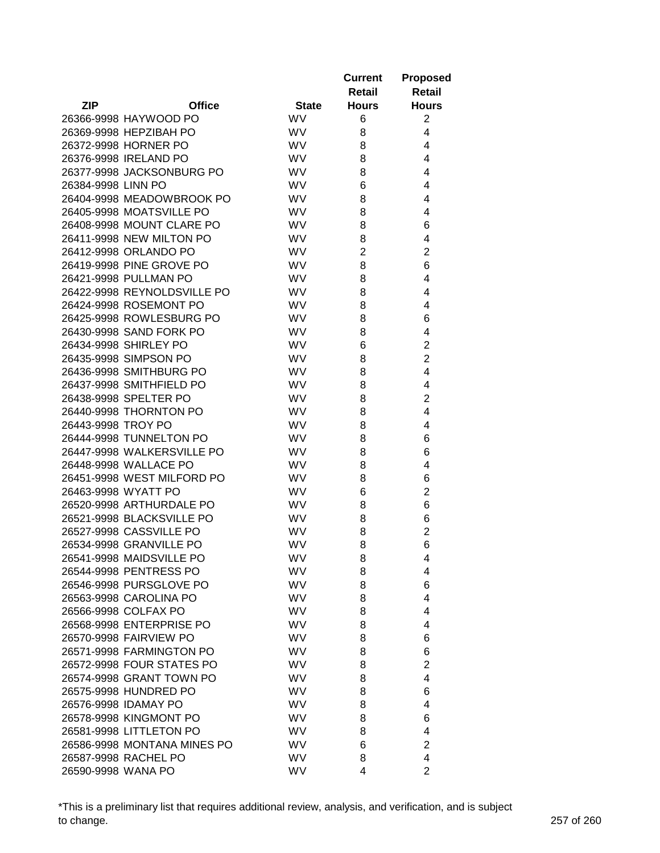|                     |                             |              | <b>Current</b><br>Retail | <b>Proposed</b><br>Retail |
|---------------------|-----------------------------|--------------|--------------------------|---------------------------|
| <b>ZIP</b>          | <b>Office</b>               | <b>State</b> | <b>Hours</b>             | <b>Hours</b>              |
|                     | 26366-9998 HAYWOOD PO       | <b>WV</b>    | 6                        | $\overline{c}$            |
|                     | 26369-9998 HEPZIBAH PO      | <b>WV</b>    | 8                        | 4                         |
|                     | 26372-9998 HORNER PO        | <b>WV</b>    | 8                        | 4                         |
|                     | 26376-9998 IRELAND PO       | WV           | 8                        | 4                         |
|                     | 26377-9998 JACKSONBURG PO   | WV           | 8                        | 4                         |
| 26384-9998 LINN PO  |                             | WV           | 6                        | 4                         |
|                     | 26404-9998 MEADOWBROOK PO   | <b>WV</b>    | 8                        | 4                         |
|                     | 26405-9998 MOATSVILLE PO    | <b>WV</b>    | 8                        | 4                         |
|                     | 26408-9998 MOUNT CLARE PO   | WV           | 8                        | 6                         |
|                     | 26411-9998 NEW MILTON PO    | WV           | 8                        | 4                         |
|                     | 26412-9998 ORLANDO PO       | <b>WV</b>    | $\overline{2}$           | $\overline{2}$            |
|                     | 26419-9998 PINE GROVE PO    | <b>WV</b>    | 8                        | 6                         |
|                     | 26421-9998 PULLMAN PO       | <b>WV</b>    | 8                        | 4                         |
|                     | 26422-9998 REYNOLDSVILLE PO | WV           | 8                        | 4                         |
|                     | 26424-9998 ROSEMONT PO      | WV           | 8                        | 4                         |
|                     | 26425-9998 ROWLESBURG PO    | <b>WV</b>    |                          |                           |
|                     |                             |              | 8                        | 6                         |
|                     | 26430-9998 SAND FORK PO     | <b>WV</b>    | 8                        | 4                         |
|                     | 26434-9998 SHIRLEY PO       | <b>WV</b>    | 6                        | 2                         |
|                     | 26435-9998 SIMPSON PO       | <b>WV</b>    | 8                        | $\overline{2}$            |
|                     | 26436-9998 SMITHBURG PO     | <b>WV</b>    | 8                        | 4                         |
|                     | 26437-9998 SMITHFIELD PO    | WV           | 8                        | 4                         |
|                     | 26438-9998 SPELTER PO       | WV           | 8                        | $\overline{2}$            |
|                     | 26440-9998 THORNTON PO      | <b>WV</b>    | 8                        | 4                         |
| 26443-9998 TROY PO  |                             | <b>WV</b>    | 8                        | 4                         |
|                     | 26444-9998 TUNNELTON PO     | <b>WV</b>    | 8                        | 6                         |
|                     | 26447-9998 WALKERSVILLE PO  | <b>WV</b>    | 8                        | 6                         |
|                     | 26448-9998 WALLACE PO       | <b>WV</b>    | 8                        | 4                         |
|                     | 26451-9998 WEST MILFORD PO  | <b>WV</b>    | 8                        | 6                         |
| 26463-9998 WYATT PO |                             | <b>WV</b>    | 6                        | $\overline{2}$            |
|                     | 26520-9998 ARTHURDALE PO    | WV           | 8                        | 6                         |
|                     | 26521-9998 BLACKSVILLE PO   | <b>WV</b>    | 8                        | 6                         |
|                     | 26527-9998 CASSVILLE PO     | <b>WV</b>    | 8                        | $\overline{2}$            |
|                     | 26534-9998 GRANVILLE PO     | <b>WV</b>    | 8                        | 6                         |
|                     | 26541-9998 MAIDSVILLE PO    | <b>WV</b>    | 8                        | 4                         |
|                     | 26544-9998 PENTRESS PO      | <b>WV</b>    | 8                        | 4                         |
|                     | 26546-9998 PURSGLOVE PO     | <b>WV</b>    | 8                        | 6                         |
|                     | 26563-9998 CAROLINA PO      | <b>WV</b>    | 8                        | 4                         |
|                     | 26566-9998 COLFAX PO        | WV           | 8                        | 4                         |
|                     | 26568-9998 ENTERPRISE PO    | WV           | 8                        | 4                         |
|                     | 26570-9998 FAIRVIEW PO      | <b>WV</b>    | 8                        | 6                         |
|                     | 26571-9998 FARMINGTON PO    | <b>WV</b>    | 8                        | 6                         |
|                     | 26572-9998 FOUR STATES PO   | <b>WV</b>    | 8                        | $\overline{2}$            |
|                     | 26574-9998 GRANT TOWN PO    | <b>WV</b>    | 8                        | 4                         |
|                     | 26575-9998 HUNDRED PO       | <b>WV</b>    | 8                        | 6                         |
|                     | 26576-9998 IDAMAY PO        | <b>WV</b>    | 8                        | 4                         |
|                     | 26578-9998 KINGMONT PO      | WV           | 8                        | 6                         |
|                     | 26581-9998 LITTLETON PO     | <b>WV</b>    | 8                        | 4                         |
|                     | 26586-9998 MONTANA MINES PO | <b>WV</b>    | 6                        | $\overline{2}$            |
|                     | 26587-9998 RACHEL PO        | <b>WV</b>    | 8                        | 4                         |
| 26590-9998 WANA PO  |                             | WV           | 4                        | $\overline{2}$            |

\*This is a preliminary list that requires additional review, analysis, and verification, and is subject to change. 257 of 260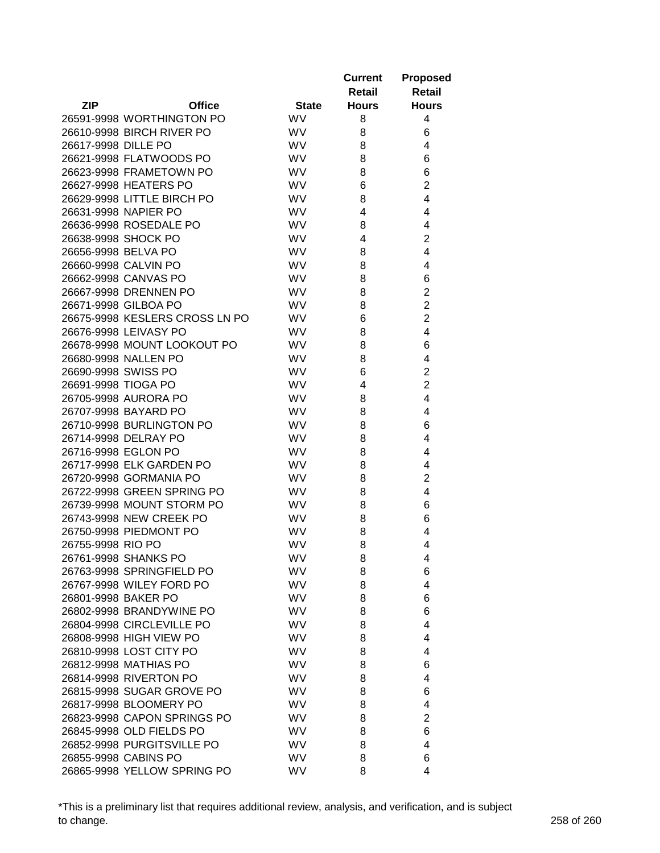|                     |                                |              | <b>Current</b><br>Retail | <b>Proposed</b><br><b>Retail</b> |
|---------------------|--------------------------------|--------------|--------------------------|----------------------------------|
| <b>ZIP</b>          | <b>Office</b>                  | <b>State</b> | <b>Hours</b>             | <b>Hours</b>                     |
|                     | 26591-9998 WORTHINGTON PO      | <b>WV</b>    | 8                        | 4                                |
|                     | 26610-9998 BIRCH RIVER PO      | <b>WV</b>    | 8                        | 6                                |
| 26617-9998 DILLE PO |                                | <b>WV</b>    | 8                        | 4                                |
|                     | 26621-9998 FLATWOODS PO        | <b>WV</b>    | 8                        | 6                                |
|                     | 26623-9998 FRAMETOWN PO        | <b>WV</b>    | 8                        | 6                                |
|                     | 26627-9998 HEATERS PO          | <b>WV</b>    | 6                        | $\overline{2}$                   |
|                     | 26629-9998 LITTLE BIRCH PO     | <b>WV</b>    | 8                        | 4                                |
|                     | 26631-9998 NAPIER PO           | WV           | 4                        | 4                                |
|                     | 26636-9998 ROSEDALE PO         | WV           | 8                        | 4                                |
|                     | 26638-9998 SHOCK PO            | WV           | 4                        | $\overline{2}$                   |
| 26656-9998 BELVA PO |                                | <b>WV</b>    | 8                        | 4                                |
|                     | 26660-9998 CALVIN PO           | WV           | 8                        | 4                                |
|                     | 26662-9998 CANVAS PO           | <b>WV</b>    | 8                        | 6                                |
|                     | 26667-9998 DRENNEN PO          | WV           | 8                        | $\overline{\mathbf{c}}$          |
|                     | 26671-9998 GILBOA PO           | WV           | 8                        | $\overline{2}$                   |
|                     | 26675-9998 KESLERS CROSS LN PO | <b>WV</b>    | 6                        | $\overline{2}$                   |
|                     | 26676-9998 LEIVASY PO          | <b>WV</b>    | 8                        | 4                                |
|                     | 26678-9998 MOUNT LOOKOUT PO    | <b>WV</b>    | 8                        | 6                                |
|                     | 26680-9998 NALLEN PO           | <b>WV</b>    | 8                        | 4                                |
| 26690-9998 SWISS PO |                                | <b>WV</b>    | 6                        | $\overline{2}$                   |
| 26691-9998 TIOGA PO |                                | WV           | 4                        | $\overline{2}$                   |
|                     | 26705-9998 AURORA PO           | WV           | 8                        | $\overline{4}$                   |
|                     | 26707-9998 BAYARD PO           | <b>WV</b>    | 8                        | 4                                |
|                     | 26710-9998 BURLINGTON PO       | <b>WV</b>    | 8                        | 6                                |
|                     | 26714-9998 DELRAY PO           | <b>WV</b>    | 8                        | 4                                |
|                     | 26716-9998 EGLON PO            | <b>WV</b>    | 8                        | 4                                |
|                     | 26717-9998 ELK GARDEN PO       | <b>WV</b>    | 8                        | 4                                |
|                     | 26720-9998 GORMANIA PO         | <b>WV</b>    | 8                        | $\overline{2}$                   |
|                     | 26722-9998 GREEN SPRING PO     | <b>WV</b>    | 8                        | 4                                |
|                     | 26739-9998 MOUNT STORM PO      | <b>WV</b>    | 8                        | 6                                |
|                     | 26743-9998 NEW CREEK PO        | WV           | 8                        | 6                                |
|                     | 26750-9998 PIEDMONT PO         | <b>WV</b>    | 8                        | 4                                |
| 26755-9998 RIO PO   |                                | <b>WV</b>    | 8                        | 4                                |
|                     | 26761-9998 SHANKS PO           | <b>WV</b>    | 8                        | 4                                |
|                     | 26763-9998 SPRINGFIELD PO      | <b>WV</b>    | 8                        | 6                                |
|                     | 26767-9998 WILEY FORD PO       | <b>WV</b>    | 8                        | 4                                |
| 26801-9998 BAKER PO |                                | <b>WV</b>    | 8                        | 6                                |
|                     | 26802-9998 BRANDYWINE PO       | <b>WV</b>    | 8                        | 6                                |
|                     | 26804-9998 CIRCLEVILLE PO      | <b>WV</b>    | 8                        | 4                                |
|                     | 26808-9998 HIGH VIEW PO        | <b>WV</b>    | 8                        | 4                                |
|                     | 26810-9998 LOST CITY PO        | <b>WV</b>    | 8                        | 4                                |
|                     | 26812-9998 MATHIAS PO          | <b>WV</b>    | 8                        | 6                                |
|                     | 26814-9998 RIVERTON PO         | <b>WV</b>    | 8                        | 4                                |
|                     | 26815-9998 SUGAR GROVE PO      | <b>WV</b>    | 8                        | 6                                |
|                     | 26817-9998 BLOOMERY PO         | <b>WV</b>    | 8                        | 4                                |
|                     | 26823-9998 CAPON SPRINGS PO    | <b>WV</b>    | 8                        | $\overline{2}$                   |
|                     | 26845-9998 OLD FIELDS PO       | <b>WV</b>    | 8                        | 6                                |
|                     | 26852-9998 PURGITSVILLE PO     | <b>WV</b>    | 8                        | 4                                |
|                     | 26855-9998 CABINS PO           | <b>WV</b>    | 8                        | 6                                |
|                     | 26865-9998 YELLOW SPRING PO    | <b>WV</b>    | 8                        | 4                                |

\*This is a preliminary list that requires additional review, analysis, and verification, and is subject to change. 258 of 260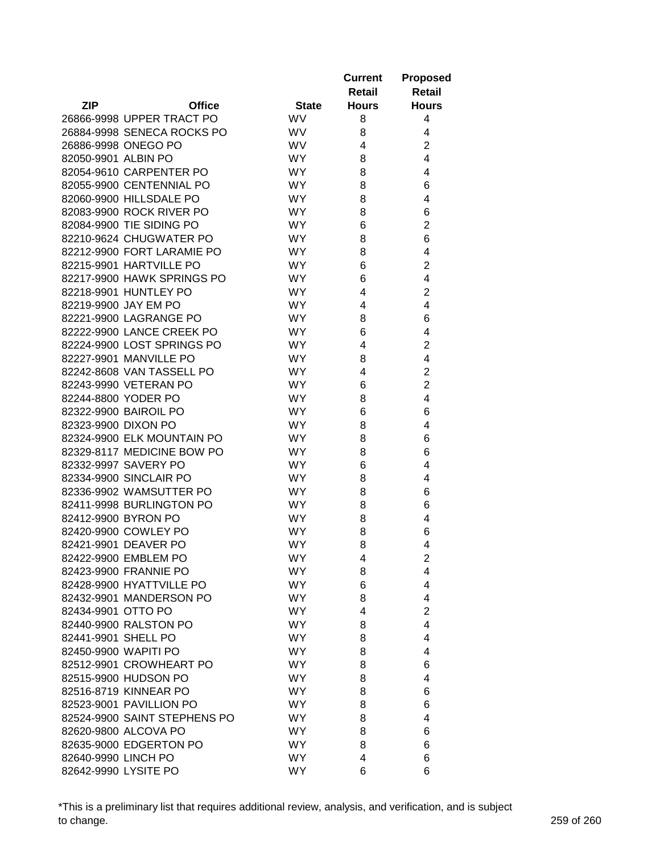|                      |                              |                  | <b>Current</b> | <b>Proposed</b> |
|----------------------|------------------------------|------------------|----------------|-----------------|
|                      |                              |                  | Retail         | Retail          |
| <b>ZIP</b>           | <b>Office</b>                | <b>State</b>     | <b>Hours</b>   | <b>Hours</b>    |
|                      | 26866-9998 UPPER TRACT PO    | <b>WV</b>        | 8              | 4               |
|                      | 26884-9998 SENECA ROCKS PO   | <b>WV</b>        | 8              | 4               |
|                      | 26886-9998 ONEGO PO          | <b>WV</b>        | 4              | $\overline{2}$  |
| 82050-9901 ALBIN PO  |                              | <b>WY</b>        | 8              | 4               |
|                      | 82054-9610 CARPENTER PO      | <b>WY</b>        | 8              | 4               |
|                      | 82055-9900 CENTENNIAL PO     | <b>WY</b>        | 8              | 6               |
|                      | 82060-9900 HILLSDALE PO      | <b>WY</b>        | 8              | 4               |
|                      | 82083-9900 ROCK RIVER PO     | <b>WY</b>        | 8              | 6               |
|                      | 82084-9900 TIE SIDING PO     | WY.              | 6              | $\overline{c}$  |
|                      | 82210-9624 CHUGWATER PO      | WY.              | 8              | 6               |
|                      | 82212-9900 FORT LARAMIE PO   | <b>WY</b>        | 8              | 4               |
|                      | 82215-9901 HARTVILLE PO      | <b>WY</b>        | 6              | $\overline{2}$  |
|                      | 82217-9900 HAWK SPRINGS PO   | <b>WY</b>        | 6              | 4               |
|                      | 82218-9901 HUNTLEY PO        | <b>WY</b>        | 4              | $\overline{2}$  |
|                      | 82219-9900 JAY EM PO         | WY.              | 4              | 4               |
|                      | 82221-9900 LAGRANGE PO       | <b>WY</b>        | 8              | 6               |
|                      | 82222-9900 LANCE CREEK PO    | <b>WY</b>        | 6              | 4               |
|                      | 82224-9900 LOST SPRINGS PO   | <b>WY</b>        | 4              | $\overline{2}$  |
|                      | 82227-9901 MANVILLE PO       | <b>WY</b>        | 8              | 4               |
|                      | 82242-8608 VAN TASSELL PO    | <b>WY</b>        | 4              | $\overline{2}$  |
|                      | 82243-9990 VETERAN PO        | <b>WY</b>        | 6              | $\overline{2}$  |
|                      | 82244-8800 YODER PO          | <b>WY</b>        | 8              | 4               |
|                      | 82322-9900 BAIROIL PO        | <b>WY</b>        | 6              | 6               |
| 82323-9900 DIXON PO  |                              | <b>WY</b>        | 8              | 4               |
|                      | 82324-9900 ELK MOUNTAIN PO   | <b>WY</b>        | 8              | 6               |
|                      | 82329-8117 MEDICINE BOW PO   | WY.              | 8              | 6               |
|                      | 82332-9997 SAVERY PO         | <b>WY</b>        | 6              | 4               |
|                      | 82334-9900 SINCLAIR PO       | <b>WY</b>        | 8              | 4               |
|                      | 82336-9902 WAMSUTTER PO      | <b>WY</b>        | 8              | 6               |
|                      | 82411-9998 BURLINGTON PO     | <b>WY</b>        | 8              |                 |
|                      | 82412-9900 BYRON PO          | <b>WY</b>        | 8              | 6<br>4          |
|                      | 82420-9900 COWLEY PO         |                  |                | 6               |
|                      | 82421-9901 DEAVER PO         | WY.<br><b>WY</b> | 8              |                 |
|                      |                              |                  | 8<br>4         | 4               |
|                      | 82422-9900 EMBLEM PO         | <b>WY</b>        |                | $\overline{c}$  |
|                      | 82423-9900 FRANNIE PO        | <b>WY</b>        | 8              | 4               |
|                      | 82428-9900 HYATTVILLE PO     | <b>WY</b>        | 6              | 4               |
|                      | 82432-9901 MANDERSON PO      | <b>WY</b>        | 8              | 4               |
| 82434-9901 OTTO PO   |                              | <b>WY</b>        | 4              | $\overline{2}$  |
|                      | 82440-9900 RALSTON PO        | <b>WY</b>        | 8              | 4               |
| 82441-9901 SHELL PO  |                              | <b>WY</b>        | 8              | 4               |
| 82450-9900 WAPITI PO |                              | <b>WY</b>        | 8              | 4               |
|                      | 82512-9901 CROWHEART PO      | WY.              | 8              | 6               |
|                      | 82515-9900 HUDSON PO         | <b>WY</b>        | 8              | 4               |
|                      | 82516-8719 KINNEAR PO        | <b>WY</b>        | 8              | 6               |
|                      | 82523-9001 PAVILLION PO      | <b>WY</b>        | 8              | 6               |
|                      | 82524-9900 SAINT STEPHENS PO | WY.              | 8              | 4               |
|                      | 82620-9800 ALCOVA PO         | WY.              | 8              | 6               |
|                      | 82635-9000 EDGERTON PO       | <b>WY</b>        | 8              | 6               |
| 82640-9990 LINCH PO  |                              | WY.              | 4              | 6               |
| 82642-9990 LYSITE PO |                              | WY.              | 6              | 6               |

\*This is a preliminary list that requires additional review, analysis, and verification, and is subject to change. 259 of 260